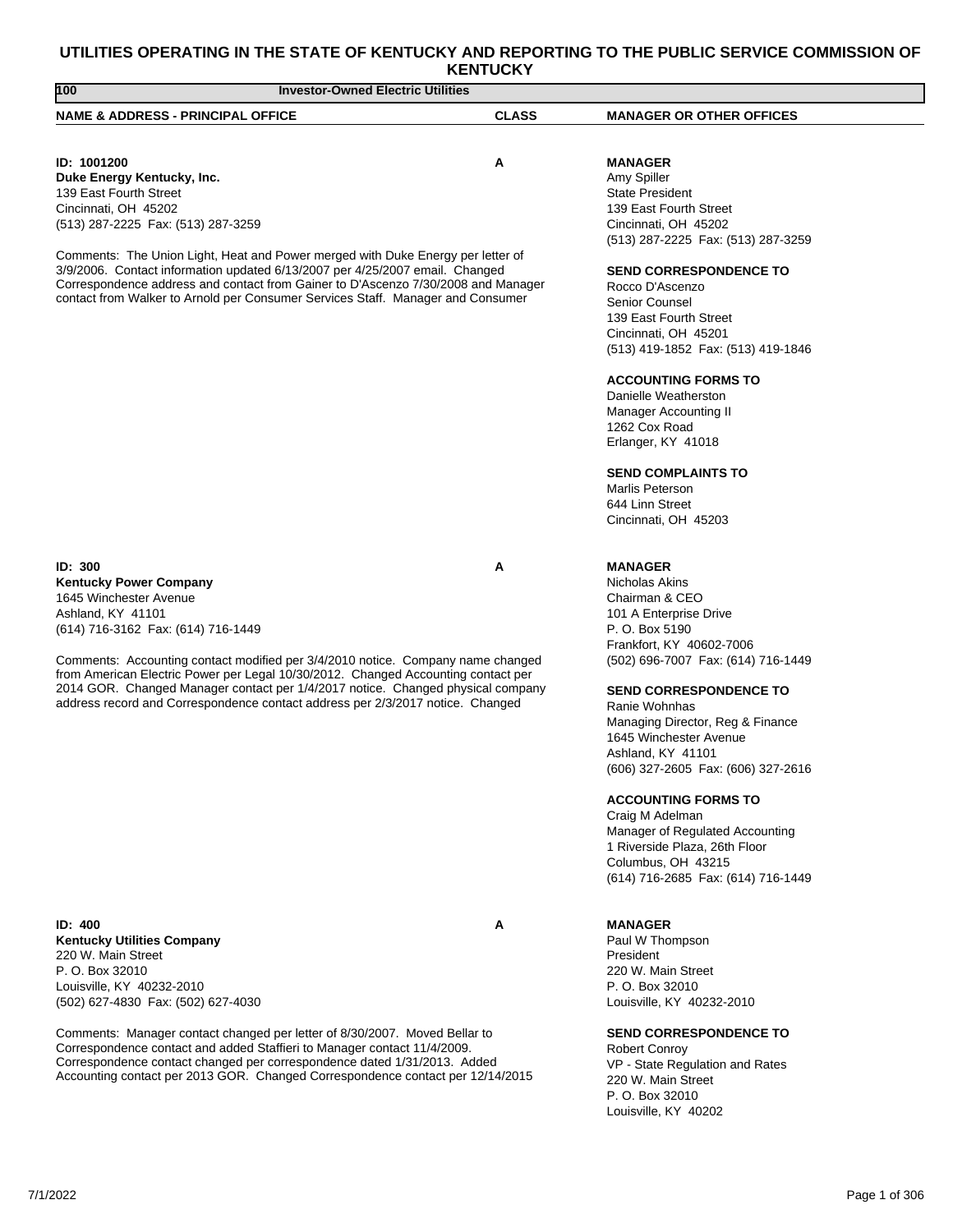# **UTILITIES OPERATING IN THE STATE OF KENTUCKY AND REPORTING TO THE PUBLIC SERVICE COMMISSION OF**

| 100<br><b>Investor-Owned Electric Utilities</b>                                                                                                                                                                                                                                                                                                                                                                                                                                   |              |                                                                                                                                                                                                                                           |  |
|-----------------------------------------------------------------------------------------------------------------------------------------------------------------------------------------------------------------------------------------------------------------------------------------------------------------------------------------------------------------------------------------------------------------------------------------------------------------------------------|--------------|-------------------------------------------------------------------------------------------------------------------------------------------------------------------------------------------------------------------------------------------|--|
| <b>NAME &amp; ADDRESS - PRINCIPAL OFFICE</b>                                                                                                                                                                                                                                                                                                                                                                                                                                      | <b>CLASS</b> | <b>MANAGER OR OTHER OFFICES</b>                                                                                                                                                                                                           |  |
|                                                                                                                                                                                                                                                                                                                                                                                                                                                                                   |              |                                                                                                                                                                                                                                           |  |
| ID: 1001200<br>Α<br>Duke Energy Kentucky, Inc.<br>139 East Fourth Street<br>Cincinnati, OH 45202<br>(513) 287-2225 Fax: (513) 287-3259<br>Comments: The Union Light, Heat and Power merged with Duke Energy per letter of<br>3/9/2006. Contact information updated 6/13/2007 per 4/25/2007 email. Changed<br>Correspondence address and contact from Gainer to D'Ascenzo 7/30/2008 and Manager<br>contact from Walker to Arnold per Consumer Services Staff. Manager and Consumer |              | <b>MANAGER</b><br>Amy Spiller<br><b>State President</b><br>139 East Fourth Street<br>Cincinnati, OH 45202<br>(513) 287-2225 Fax: (513) 287-3259<br><b>SEND CORRESPONDENCE TO</b><br>Rocco D'Ascenzo<br>Senior Counsel                     |  |
|                                                                                                                                                                                                                                                                                                                                                                                                                                                                                   |              | 139 East Fourth Street<br>Cincinnati, OH 45201<br>(513) 419-1852 Fax: (513) 419-1846                                                                                                                                                      |  |
|                                                                                                                                                                                                                                                                                                                                                                                                                                                                                   |              | <b>ACCOUNTING FORMS TO</b><br>Danielle Weatherston<br>Manager Accounting II<br>1262 Cox Road<br>Erlanger, KY 41018<br><b>SEND COMPLAINTS TO</b><br><b>Marlis Peterson</b><br>644 Linn Street<br>Cincinnati, OH 45203                      |  |
| ID: 300<br><b>Kentucky Power Company</b><br>1645 Winchester Avenue<br>Ashland, KY 41101<br>(614) 716-3162 Fax: (614) 716-1449                                                                                                                                                                                                                                                                                                                                                     | А            | <b>MANAGER</b><br>Nicholas Akins<br>Chairman & CEO<br>101 A Enterprise Drive<br>P. O. Box 5190                                                                                                                                            |  |
| Comments: Accounting contact modified per 3/4/2010 notice. Company name changed<br>from American Electric Power per Legal 10/30/2012. Changed Accounting contact per<br>2014 GOR. Changed Manager contact per 1/4/2017 notice. Changed physical company<br>address record and Correspondence contact address per 2/3/2017 notice. Changed                                                                                                                                         |              | Frankfort, KY 40602-7006<br>(502) 696-7007 Fax: (614) 716-1449<br><b>SEND CORRESPONDENCE TO</b><br>Ranie Wohnhas<br>Managing Director, Reg & Finance<br>1645 Winchester Avenue<br>Ashland, KY 41101<br>(606) 327-2605 Fax: (606) 327-2616 |  |
|                                                                                                                                                                                                                                                                                                                                                                                                                                                                                   |              | <b>ACCOUNTING FORMS TO</b><br>Craig M Adelman<br>Manager of Regulated Accounting<br>1 Riverside Plaza, 26th Floor<br>Columbus, OH 43215<br>(614) 716-2685 Fax: (614) 716-1449                                                             |  |
| <b>ID: 400</b><br><b>Kentucky Utilities Company</b><br>220 W. Main Street<br>P. O. Box 32010<br>Louisville, KY 40232-2010<br>(502) 627-4830 Fax: (502) 627-4030                                                                                                                                                                                                                                                                                                                   | А            | <b>MANAGER</b><br>Paul W Thompson<br>President<br>220 W. Main Street<br>P. O. Box 32010<br>Louisville, KY 40232-2010                                                                                                                      |  |
| Comments: Manager contact changed per letter of 8/30/2007. Moved Bellar to<br>Correspondence contact and added Staffieri to Manager contact 11/4/2009.                                                                                                                                                                                                                                                                                                                            |              | <b>SEND CORRESPONDENCE TO</b><br><b>Robert Conroy</b>                                                                                                                                                                                     |  |

Robert Conroy VP - State Regulation and Rates 220 W. Main Street P. O. Box 32010 Louisville, KY 40202

Correspondence contact changed per correspondence dated 1/31/2013. Added Accounting contact per 2013 GOR. Changed Correspondence contact per 12/14/2015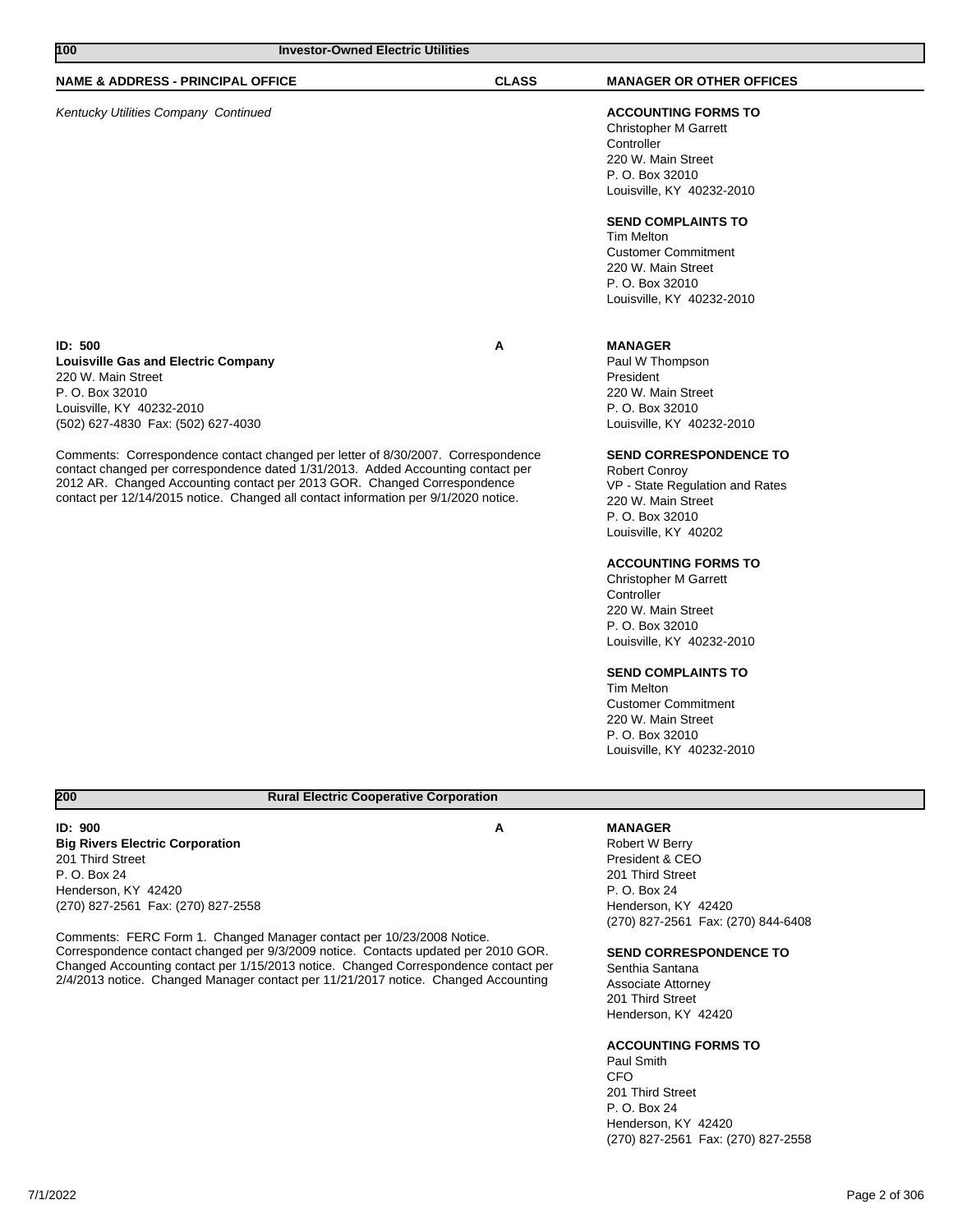| 100<br><b>Investor-Owned Electric Utilities</b>                                                                                                                                                                                                                                                                                         |              |                                                                                                                                                           |
|-----------------------------------------------------------------------------------------------------------------------------------------------------------------------------------------------------------------------------------------------------------------------------------------------------------------------------------------|--------------|-----------------------------------------------------------------------------------------------------------------------------------------------------------|
| <b>NAME &amp; ADDRESS - PRINCIPAL OFFICE</b>                                                                                                                                                                                                                                                                                            | <b>CLASS</b> | <b>MANAGER OR OTHER OFFICES</b>                                                                                                                           |
| Kentucky Utilities Company Continued                                                                                                                                                                                                                                                                                                    |              | <b>ACCOUNTING FORMS TO</b><br><b>Christopher M Garrett</b><br>Controller<br>220 W. Main Street<br>P. O. Box 32010<br>Louisville, KY 40232-2010            |
|                                                                                                                                                                                                                                                                                                                                         |              | <b>SEND COMPLAINTS TO</b><br><b>Tim Melton</b><br><b>Customer Commitment</b><br>220 W. Main Street<br>P. O. Box 32010<br>Louisville, KY 40232-2010        |
| ID: 500<br><b>Louisville Gas and Electric Company</b><br>220 W. Main Street<br>P. O. Box 32010<br>Louisville, KY 40232-2010<br>(502) 627-4830 Fax: (502) 627-4030                                                                                                                                                                       | A            | <b>MANAGER</b><br>Paul W Thompson<br>President<br>220 W. Main Street<br>P. O. Box 32010<br>Louisville, KY 40232-2010                                      |
| Comments: Correspondence contact changed per letter of 8/30/2007. Correspondence<br>contact changed per correspondence dated 1/31/2013. Added Accounting contact per<br>2012 AR. Changed Accounting contact per 2013 GOR. Changed Correspondence<br>contact per 12/14/2015 notice. Changed all contact information per 9/1/2020 notice. |              | <b>SEND CORRESPONDENCE TO</b><br><b>Robert Conroy</b><br>VP - State Regulation and Rates<br>220 W. Main Street<br>P. O. Box 32010<br>Louisville, KY 40202 |
|                                                                                                                                                                                                                                                                                                                                         |              | <b>ACCOUNTING FORMS TO</b><br><b>Christopher M Garrett</b><br>Controller<br>220 W. Main Street<br>P. O. Box 32010<br>Louisville, KY 40232-2010            |

## **SEND COMPLAINTS TO**

Tim Melton Customer Commitment 220 W. Main Street P. O. Box 32010 Louisville, KY 40232-2010

## **200 Rural Electric Cooperative Corporation**

**ID: 900 A Big Rivers Electric Corporation** 201 Third Street P. O. Box 24 Henderson, KY 42420 (270) 827-2561 Fax: (270) 827-2558

Comments: FERC Form 1. Changed Manager contact per 10/23/2008 Notice. Correspondence contact changed per 9/3/2009 notice. Contacts updated per 2010 GOR. Changed Accounting contact per 1/15/2013 notice. Changed Correspondence contact per 2/4/2013 notice. Changed Manager contact per 11/21/2017 notice. Changed Accounting

## **MANAGER**

Robert W Berry President & CEO 201 Third Street P. O. Box 24 Henderson, KY 42420 (270) 827-2561 Fax: (270) 844-6408

#### **SEND CORRESPONDENCE TO**

Senthia Santana Associate Attorney 201 Third Street Henderson, KY 42420

### **ACCOUNTING FORMS TO**

Paul Smith **CFO** 201 Third Street P. O. Box 24 Henderson, KY 42420 (270) 827-2561 Fax: (270) 827-2558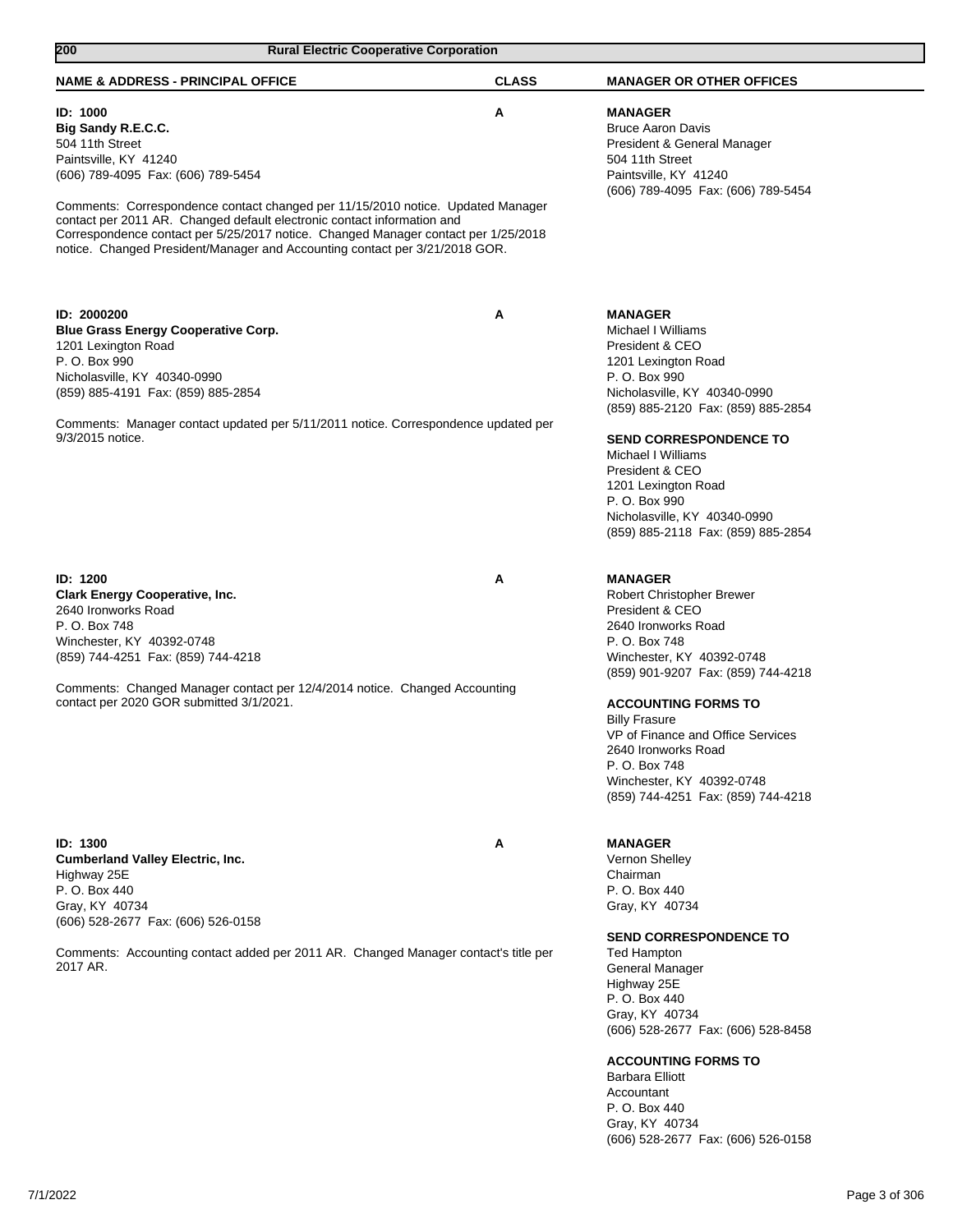| 200<br><b>Rural Electric Cooperative Corporation</b>                                                                                                                                                                                                                                                                                                                                                                                                |              |                                                                                                                                                                                                                                                                                                                                                                                 |
|-----------------------------------------------------------------------------------------------------------------------------------------------------------------------------------------------------------------------------------------------------------------------------------------------------------------------------------------------------------------------------------------------------------------------------------------------------|--------------|---------------------------------------------------------------------------------------------------------------------------------------------------------------------------------------------------------------------------------------------------------------------------------------------------------------------------------------------------------------------------------|
| <b>NAME &amp; ADDRESS - PRINCIPAL OFFICE</b>                                                                                                                                                                                                                                                                                                                                                                                                        | <b>CLASS</b> | <b>MANAGER OR OTHER OFFICES</b>                                                                                                                                                                                                                                                                                                                                                 |
| ID: 1000<br>Big Sandy R.E.C.C.<br>504 11th Street<br>Paintsville, KY 41240<br>(606) 789-4095 Fax: (606) 789-5454<br>Comments: Correspondence contact changed per 11/15/2010 notice. Updated Manager<br>contact per 2011 AR. Changed default electronic contact information and<br>Correspondence contact per 5/25/2017 notice. Changed Manager contact per 1/25/2018<br>notice. Changed President/Manager and Accounting contact per 3/21/2018 GOR. | A            | <b>MANAGER</b><br><b>Bruce Aaron Davis</b><br>President & General Manager<br>504 11th Street<br>Paintsville, KY 41240<br>(606) 789-4095 Fax: (606) 789-5454                                                                                                                                                                                                                     |
| ID: 2000200<br><b>Blue Grass Energy Cooperative Corp.</b><br>1201 Lexington Road<br>P. O. Box 990<br>Nicholasville, KY 40340-0990<br>(859) 885-4191 Fax: (859) 885-2854<br>Comments: Manager contact updated per 5/11/2011 notice. Correspondence updated per<br>9/3/2015 notice.                                                                                                                                                                   | Α            | <b>MANAGER</b><br>Michael I Williams<br>President & CEO<br>1201 Lexington Road<br>P. O. Box 990<br>Nicholasville, KY 40340-0990<br>(859) 885-2120 Fax: (859) 885-2854<br><b>SEND CORRESPONDENCE TO</b><br>Michael I Williams<br>President & CEO<br>1201 Lexington Road<br>P. O. Box 990<br>Nicholasville, KY 40340-0990<br>(859) 885-2118 Fax: (859) 885-2854                   |
| <b>ID: 1200</b><br><b>Clark Energy Cooperative, Inc.</b><br>2640 Ironworks Road<br>P. O. Box 748<br>Winchester, KY 40392-0748<br>(859) 744-4251 Fax: (859) 744-4218<br>Comments: Changed Manager contact per 12/4/2014 notice. Changed Accounting<br>contact per 2020 GOR submitted 3/1/2021.                                                                                                                                                       | A            | <b>MANAGER</b><br>Robert Christopher Brewer<br>President & CEO<br>2640 Ironworks Road<br>P. O. Box 748<br>Winchester, KY 40392-0748<br>(859) 901-9207 Fax: (859) 744-4218<br><b>ACCOUNTING FORMS TO</b><br><b>Billy Frasure</b><br>VP of Finance and Office Services<br>2640 Ironworks Road<br>P. O. Box 748<br>Winchester, KY 40392-0748<br>(859) 744-4251 Fax: (859) 744-4218 |
| ID: 1300<br><b>Cumberland Valley Electric, Inc.</b><br>Highway 25E<br>P. O. Box 440<br>Gray, KY 40734<br>(606) 528-2677 Fax: (606) 526-0158<br>Comments: Accounting contact added per 2011 AR. Changed Manager contact's title per<br>2017 AR.                                                                                                                                                                                                      | A            | <b>MANAGER</b><br>Vernon Shelley<br>Chairman<br>P. O. Box 440<br>Gray, KY 40734<br><b>SEND CORRESPONDENCE TO</b><br>Ted Hampton<br>General Manager<br>Highway 25E<br>P. O. Box 440<br>Gray, KY 40734<br>(606) 528-2677 Fax: (606) 528-8458<br><b>ACCOUNTING FORMS TO</b><br>Barbara Elliott<br>Accountant<br>P. O. Box 440<br>Gray, KY 40734                                    |

(606) 528-2677 Fax: (606) 526-0158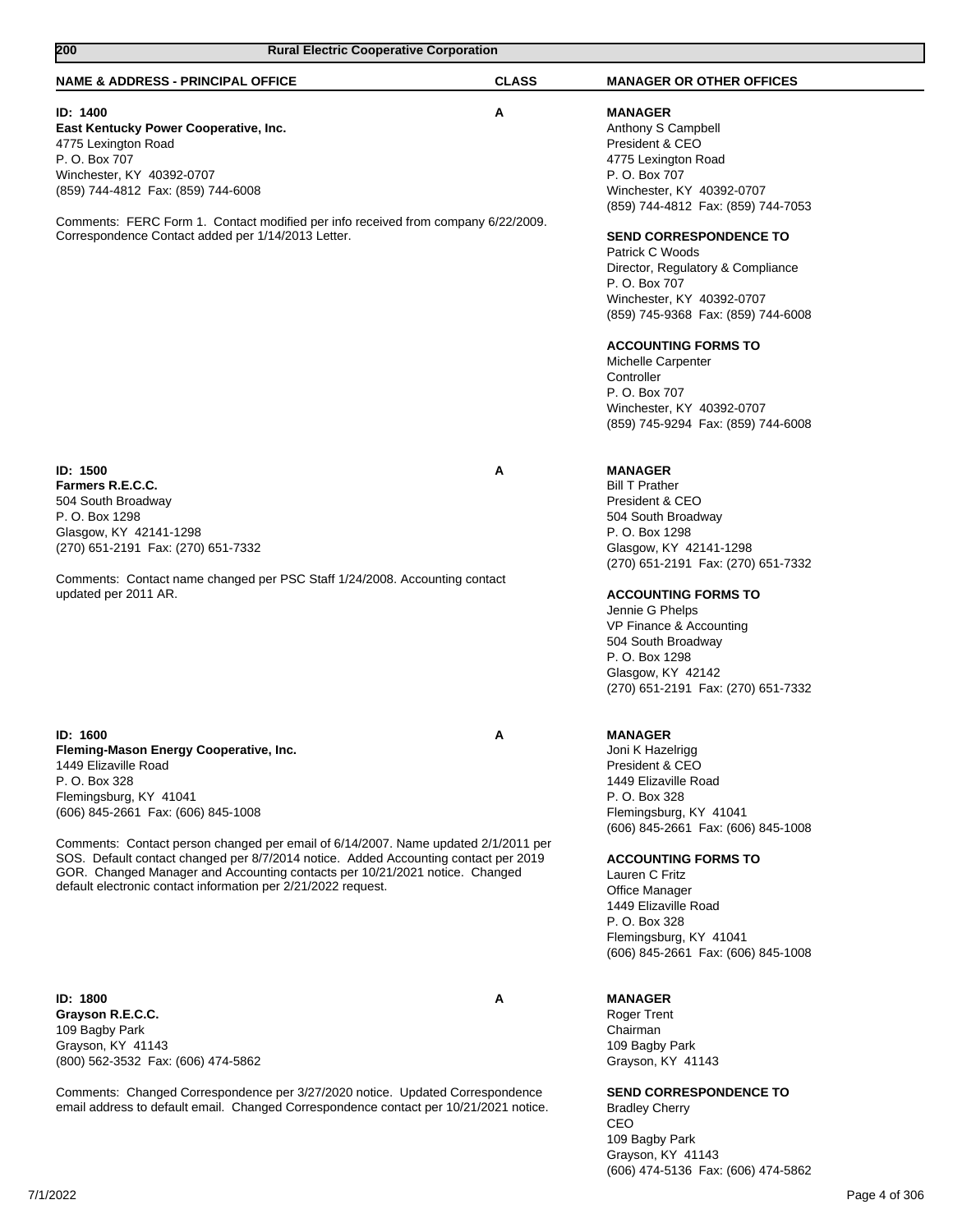| 200<br><b>Rural Electric Cooperative Corporation</b>                                                                                                                                                                                                                                                                      |              |                                                                                                                                                                                                                                                                                                    |
|---------------------------------------------------------------------------------------------------------------------------------------------------------------------------------------------------------------------------------------------------------------------------------------------------------------------------|--------------|----------------------------------------------------------------------------------------------------------------------------------------------------------------------------------------------------------------------------------------------------------------------------------------------------|
| <b>NAME &amp; ADDRESS - PRINCIPAL OFFICE</b>                                                                                                                                                                                                                                                                              | <b>CLASS</b> | <b>MANAGER OR OTHER OFFICES</b>                                                                                                                                                                                                                                                                    |
| ID: 1400<br>East Kentucky Power Cooperative, Inc.<br>4775 Lexington Road<br>P. O. Box 707<br>Winchester, KY 40392-0707<br>(859) 744-4812 Fax: (859) 744-6008                                                                                                                                                              | Α            | <b>MANAGER</b><br>Anthony S Campbell<br>President & CEO<br>4775 Lexington Road<br>P. O. Box 707<br>Winchester, KY 40392-0707                                                                                                                                                                       |
| Comments: FERC Form 1. Contact modified per info received from company 6/22/2009.<br>Correspondence Contact added per 1/14/2013 Letter.                                                                                                                                                                                   |              | (859) 744-4812 Fax: (859) 744-7053<br><b>SEND CORRESPONDENCE TO</b><br>Patrick C Woods<br>Director, Regulatory & Compliance<br>P. O. Box 707<br>Winchester, KY 40392-0707<br>(859) 745-9368 Fax: (859) 744-6008<br><b>ACCOUNTING FORMS TO</b><br>Michelle Carpenter<br>Controller<br>P. O. Box 707 |
|                                                                                                                                                                                                                                                                                                                           |              | Winchester, KY 40392-0707<br>(859) 745-9294 Fax: (859) 744-6008                                                                                                                                                                                                                                    |
| <b>ID: 1500</b><br>Farmers R.E.C.C.<br>504 South Broadway<br>P. O. Box 1298<br>Glasgow, KY 42141-1298<br>(270) 651-2191 Fax: (270) 651-7332<br>Comments: Contact name changed per PSC Staff 1/24/2008. Accounting contact                                                                                                 | A            | <b>MANAGER</b><br><b>Bill T Prather</b><br>President & CEO<br>504 South Broadway<br>P. O. Box 1298<br>Glasgow, KY 42141-1298<br>(270) 651-2191 Fax: (270) 651-7332                                                                                                                                 |
| updated per 2011 AR.                                                                                                                                                                                                                                                                                                      |              | <b>ACCOUNTING FORMS TO</b><br>Jennie G Phelps<br>VP Finance & Accounting<br>504 South Broadway<br>P. O. Box 1298<br>Glasgow, KY 42142<br>(270) 651-2191 Fax: (270) 651-7332                                                                                                                        |
| ID: 1600<br>Fleming-Mason Energy Cooperative, Inc.<br>1449 Elizaville Road<br>P. O. Box 328<br>Flemingsburg, KY 41041<br>(606) 845-2661 Fax: (606) 845-1008                                                                                                                                                               | A            | <b>MANAGER</b><br>Joni K Hazelrigg<br>President & CEO<br>1449 Elizaville Road<br>P. O. Box 328<br>Flemingsburg, KY 41041<br>(606) 845-2661 Fax: (606) 845-1008                                                                                                                                     |
| Comments: Contact person changed per email of 6/14/2007. Name updated 2/1/2011 per<br>SOS. Default contact changed per 8/7/2014 notice. Added Accounting contact per 2019<br>GOR. Changed Manager and Accounting contacts per 10/21/2021 notice. Changed<br>default electronic contact information per 2/21/2022 request. |              | <b>ACCOUNTING FORMS TO</b><br>Lauren C Fritz<br>Office Manager<br>1449 Elizaville Road<br>P. O. Box 328<br>Flemingsburg, KY 41041<br>(606) 845-2661 Fax: (606) 845-1008                                                                                                                            |
| ID: 1800<br>Grayson R.E.C.C.<br>109 Bagby Park<br>Grayson, KY 41143<br>(800) 562-3532 Fax: (606) 474-5862                                                                                                                                                                                                                 | A            | <b>MANAGER</b><br><b>Roger Trent</b><br>Chairman<br>109 Bagby Park<br>Grayson, KY 41143                                                                                                                                                                                                            |
| Comments: Changed Correspondence per 3/27/2020 notice. Updated Correspondence<br>email address to default email. Changed Correspondence contact per 10/21/2021 notice.                                                                                                                                                    |              | <b>SEND CORRESPONDENCE TO</b><br><b>Bradley Cherry</b>                                                                                                                                                                                                                                             |

Bradley Cherry CEO 109 Bagby Park Grayson, KY 41143 (606) 474-5136 Fax: (606) 474-5862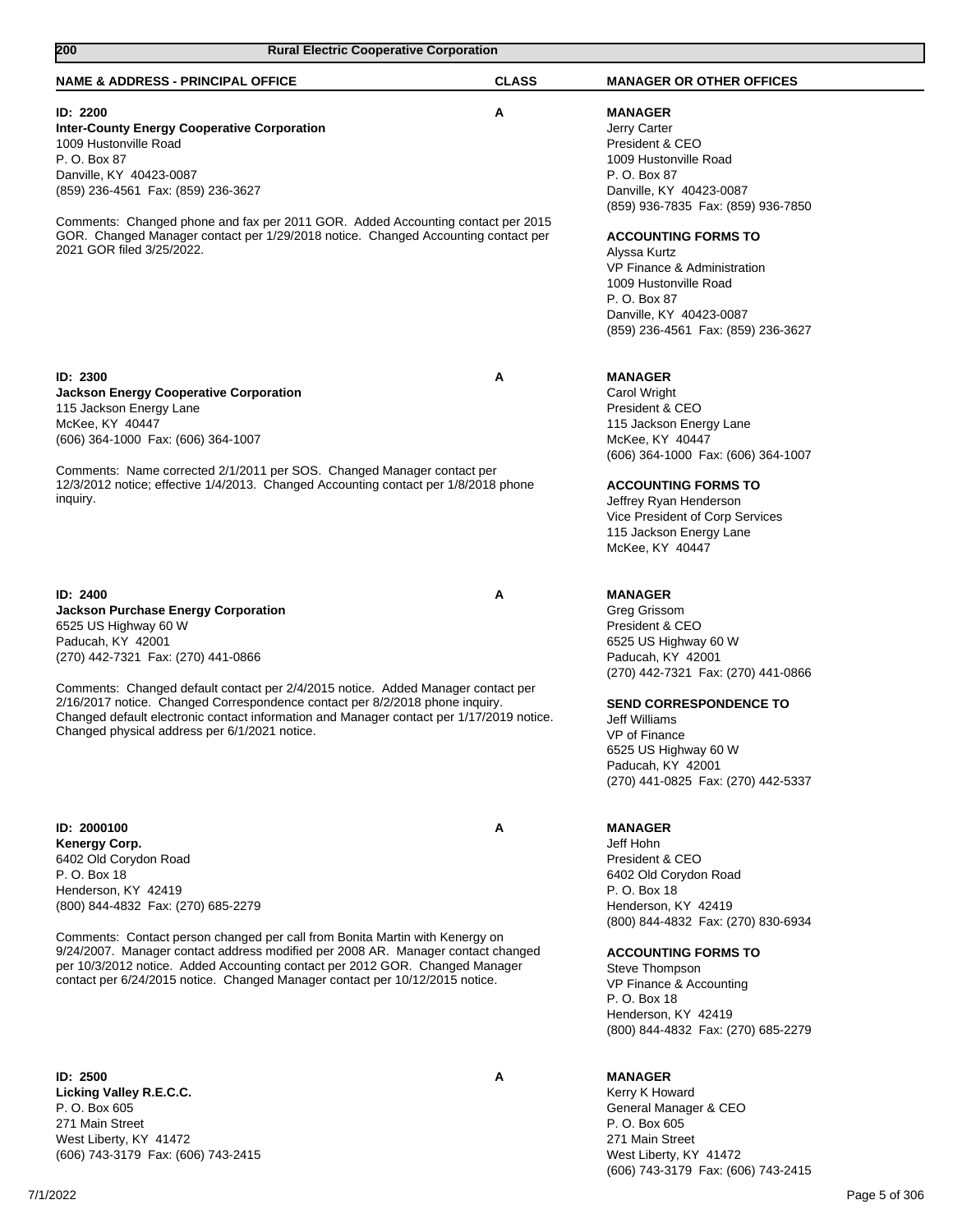| <b>Rural Electric Cooperative Corporation</b><br>200                                                                                                                 |              |                                                           |
|----------------------------------------------------------------------------------------------------------------------------------------------------------------------|--------------|-----------------------------------------------------------|
| <b>NAME &amp; ADDRESS - PRINCIPAL OFFICE</b>                                                                                                                         | <b>CLASS</b> | <b>MANAGER OR OTHER OFFICES</b>                           |
| ID: 2200<br><b>Inter-County Energy Cooperative Corporation</b>                                                                                                       | A            | <b>MANAGER</b><br>Jerry Carter                            |
| 1009 Hustonville Road                                                                                                                                                |              | President & CEO                                           |
| P. O. Box 87<br>Danville, KY 40423-0087                                                                                                                              |              | 1009 Hustonville Road<br>P. O. Box 87                     |
| (859) 236-4561 Fax: (859) 236-3627                                                                                                                                   |              | Danville, KY 40423-0087                                   |
|                                                                                                                                                                      |              | (859) 936-7835 Fax: (859) 936-7850                        |
| Comments: Changed phone and fax per 2011 GOR. Added Accounting contact per 2015<br>GOR. Changed Manager contact per 1/29/2018 notice. Changed Accounting contact per |              | <b>ACCOUNTING FORMS TO</b>                                |
| 2021 GOR filed 3/25/2022.                                                                                                                                            |              | Alyssa Kurtz                                              |
|                                                                                                                                                                      |              | VP Finance & Administration                               |
|                                                                                                                                                                      |              | 1009 Hustonville Road<br>P. O. Box 87                     |
|                                                                                                                                                                      |              | Danville, KY 40423-0087                                   |
|                                                                                                                                                                      |              | (859) 236-4561 Fax: (859) 236-3627                        |
|                                                                                                                                                                      |              |                                                           |
| ID: 2300<br><b>Jackson Energy Cooperative Corporation</b>                                                                                                            | A            | <b>MANAGER</b><br>Carol Wright                            |
| 115 Jackson Energy Lane                                                                                                                                              |              | President & CEO                                           |
| McKee, KY 40447                                                                                                                                                      |              | 115 Jackson Energy Lane                                   |
| (606) 364-1000 Fax: (606) 364-1007                                                                                                                                   |              | McKee, KY 40447                                           |
| Comments: Name corrected 2/1/2011 per SOS. Changed Manager contact per                                                                                               |              | (606) 364-1000 Fax: (606) 364-1007                        |
| 12/3/2012 notice; effective 1/4/2013. Changed Accounting contact per 1/8/2018 phone                                                                                  |              | <b>ACCOUNTING FORMS TO</b>                                |
| inquiry.                                                                                                                                                             |              | Jeffrey Ryan Henderson                                    |
|                                                                                                                                                                      |              | Vice President of Corp Services                           |
|                                                                                                                                                                      |              | 115 Jackson Energy Lane<br>McKee, KY 40447                |
|                                                                                                                                                                      |              |                                                           |
| ID: 2400                                                                                                                                                             | Α            | <b>MANAGER</b>                                            |
| <b>Jackson Purchase Energy Corporation</b>                                                                                                                           |              | Greg Grissom                                              |
| 6525 US Highway 60 W<br>Paducah, KY 42001                                                                                                                            |              | President & CEO<br>6525 US Highway 60 W                   |
| (270) 442-7321 Fax: (270) 441-0866                                                                                                                                   |              | Paducah, KY 42001                                         |
|                                                                                                                                                                      |              | (270) 442-7321 Fax: (270) 441-0866                        |
| Comments: Changed default contact per 2/4/2015 notice. Added Manager contact per<br>2/16/2017 notice. Changed Correspondence contact per 8/2/2018 phone inquiry.     |              | <b>SEND CORRESPONDENCE TO</b>                             |
| Changed default electronic contact information and Manager contact per 1/17/2019 notice.                                                                             |              | <b>Jeff Williams</b>                                      |
| Changed physical address per 6/1/2021 notice.                                                                                                                        |              | VP of Finance                                             |
|                                                                                                                                                                      |              | 6525 US Highway 60 W                                      |
|                                                                                                                                                                      |              | Paducah, KY 42001<br>(270) 441-0825 Fax: (270) 442-5337   |
|                                                                                                                                                                      |              |                                                           |
| ID: 2000100                                                                                                                                                          | Α            | <b>MANAGER</b>                                            |
| Kenergy Corp.                                                                                                                                                        |              | Jeff Hohn                                                 |
| 6402 Old Corydon Road<br>P. O. Box 18                                                                                                                                |              | President & CEO                                           |
| Henderson, KY 42419                                                                                                                                                  |              | 6402 Old Corydon Road<br>P. O. Box 18                     |
| (800) 844-4832 Fax: (270) 685-2279                                                                                                                                   |              | Henderson, KY 42419                                       |
|                                                                                                                                                                      |              | (800) 844-4832 Fax: (270) 830-6934                        |
| Comments: Contact person changed per call from Bonita Martin with Kenergy on<br>9/24/2007. Manager contact address modified per 2008 AR. Manager contact changed     |              | <b>ACCOUNTING FORMS TO</b>                                |
| per 10/3/2012 notice. Added Accounting contact per 2012 GOR. Changed Manager                                                                                         |              | Steve Thompson                                            |
| contact per 6/24/2015 notice. Changed Manager contact per 10/12/2015 notice.                                                                                         |              | VP Finance & Accounting                                   |
|                                                                                                                                                                      |              | P. O. Box 18                                              |
|                                                                                                                                                                      |              | Henderson, KY 42419<br>(800) 844-4832 Fax: (270) 685-2279 |
|                                                                                                                                                                      |              |                                                           |
| <b>ID: 2500</b>                                                                                                                                                      | A            | <b>MANAGER</b>                                            |
| Licking Valley R.E.C.C.<br>P. O. Box 605                                                                                                                             |              | Kerry K Howard                                            |
| 271 Main Street                                                                                                                                                      |              | General Manager & CEO<br>P. O. Box 605                    |
| West Liberty, KY 41472                                                                                                                                               |              | 271 Main Street                                           |

(606) 743-3179 Fax: (606) 743-2415

7/1/2022 Page 5 of 306

West Liberty, KY 41472

(606) 743-3179 Fax: (606) 743-2415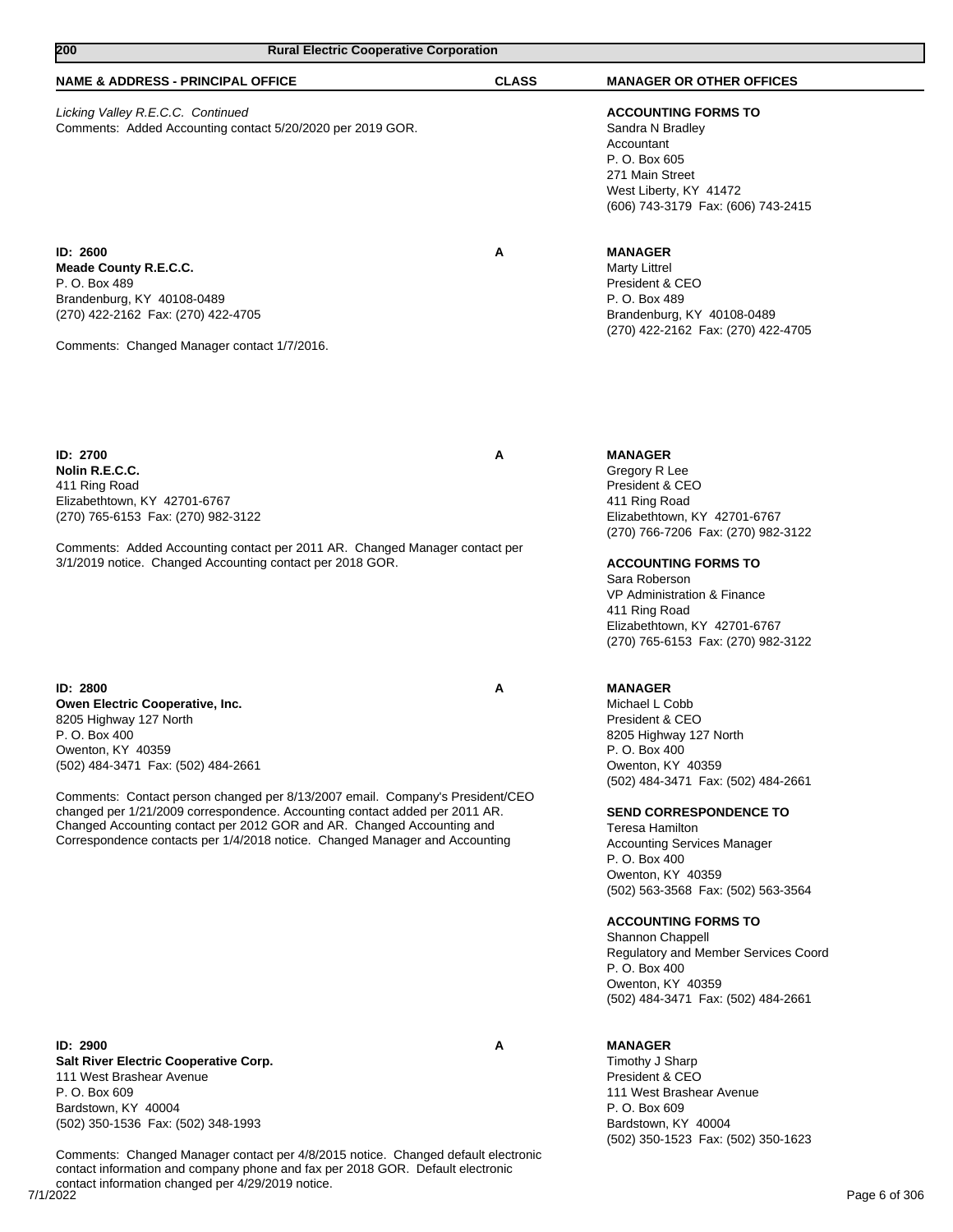| 200<br><b>Rural Electric Cooperative Corporation</b>                                                                                                                                                                                                                                                                                                                                                                                                                       |              |                                                                                                                                                                                                                                                                                                                                                                                                                                                                                                       |  |
|----------------------------------------------------------------------------------------------------------------------------------------------------------------------------------------------------------------------------------------------------------------------------------------------------------------------------------------------------------------------------------------------------------------------------------------------------------------------------|--------------|-------------------------------------------------------------------------------------------------------------------------------------------------------------------------------------------------------------------------------------------------------------------------------------------------------------------------------------------------------------------------------------------------------------------------------------------------------------------------------------------------------|--|
| <b>NAME &amp; ADDRESS - PRINCIPAL OFFICE</b>                                                                                                                                                                                                                                                                                                                                                                                                                               | <b>CLASS</b> | <b>MANAGER OR OTHER OFFICES</b>                                                                                                                                                                                                                                                                                                                                                                                                                                                                       |  |
| Licking Valley R.E.C.C. Continued<br>Comments: Added Accounting contact 5/20/2020 per 2019 GOR.                                                                                                                                                                                                                                                                                                                                                                            |              | <b>ACCOUNTING FORMS TO</b><br>Sandra N Bradley<br>Accountant<br>P. O. Box 605<br>271 Main Street<br>West Liberty, KY 41472<br>(606) 743-3179 Fax: (606) 743-2415                                                                                                                                                                                                                                                                                                                                      |  |
| ID: 2600<br>Meade County R.E.C.C.<br>P. O. Box 489<br>Brandenburg, KY 40108-0489<br>(270) 422-2162 Fax: (270) 422-4705<br>Comments: Changed Manager contact 1/7/2016.                                                                                                                                                                                                                                                                                                      | Α            | <b>MANAGER</b><br><b>Marty Littrel</b><br>President & CEO<br>P. O. Box 489<br>Brandenburg, KY 40108-0489<br>(270) 422-2162 Fax: (270) 422-4705                                                                                                                                                                                                                                                                                                                                                        |  |
| ID: 2700<br>Nolin R.E.C.C.<br>411 Ring Road<br>Elizabethtown, KY 42701-6767<br>(270) 765-6153 Fax: (270) 982-3122                                                                                                                                                                                                                                                                                                                                                          | A            | <b>MANAGER</b><br>Gregory R Lee<br>President & CEO<br>411 Ring Road<br>Elizabethtown, KY 42701-6767<br>(270) 766-7206 Fax: (270) 982-3122                                                                                                                                                                                                                                                                                                                                                             |  |
| Comments: Added Accounting contact per 2011 AR. Changed Manager contact per<br>3/1/2019 notice. Changed Accounting contact per 2018 GOR.                                                                                                                                                                                                                                                                                                                                   |              | <b>ACCOUNTING FORMS TO</b><br>Sara Roberson<br>VP Administration & Finance<br>411 Ring Road<br>Elizabethtown, KY 42701-6767<br>(270) 765-6153 Fax: (270) 982-3122                                                                                                                                                                                                                                                                                                                                     |  |
| ID: 2800<br>Owen Electric Cooperative, Inc.<br>8205 Highway 127 North<br>P. O. Box 400<br>Owenton, KY 40359<br>(502) 484-3471 Fax: (502) 484-2661<br>Comments: Contact person changed per 8/13/2007 email. Company's President/CEO<br>changed per 1/21/2009 correspondence. Accounting contact added per 2011 AR.<br>Changed Accounting contact per 2012 GOR and AR. Changed Accounting and<br>Correspondence contacts per 1/4/2018 notice. Changed Manager and Accounting | A            | <b>MANAGER</b><br>Michael L Cobb<br>President & CEO<br>8205 Highway 127 North<br>P. O. Box 400<br>Owenton, KY 40359<br>(502) 484-3471 Fax: (502) 484-2661<br><b>SEND CORRESPONDENCE TO</b><br>Teresa Hamilton<br><b>Accounting Services Manager</b><br>P. O. Box 400<br>Owenton, KY 40359<br>(502) 563-3568 Fax: (502) 563-3564<br><b>ACCOUNTING FORMS TO</b><br>Shannon Chappell<br>Regulatory and Member Services Coord<br>P. O. Box 400<br>Owenton, KY 40359<br>(502) 484-3471 Fax: (502) 484-2661 |  |
| ID: 2900<br><b>Salt River Electric Cooperative Corp.</b><br>111 West Brashear Avenue<br>P. O. Box 609<br>Bardstown, KY 40004<br>(502) 350-1536 Fax: (502) 348-1993                                                                                                                                                                                                                                                                                                         | Α            | <b>MANAGER</b><br>Timothy J Sharp<br>President & CEO<br>111 West Brashear Avenue<br>P. O. Box 609<br>Bardstown, KY 40004<br>(502) 350-1523 Fax: (502) 350-1623                                                                                                                                                                                                                                                                                                                                        |  |

7/1/2022 Page 6 of 306 Comments: Changed Manager contact per 4/8/2015 notice. Changed default electronic contact information and company phone and fax per 2018 GOR. Default electronic contact information changed per 4/29/2019 notice.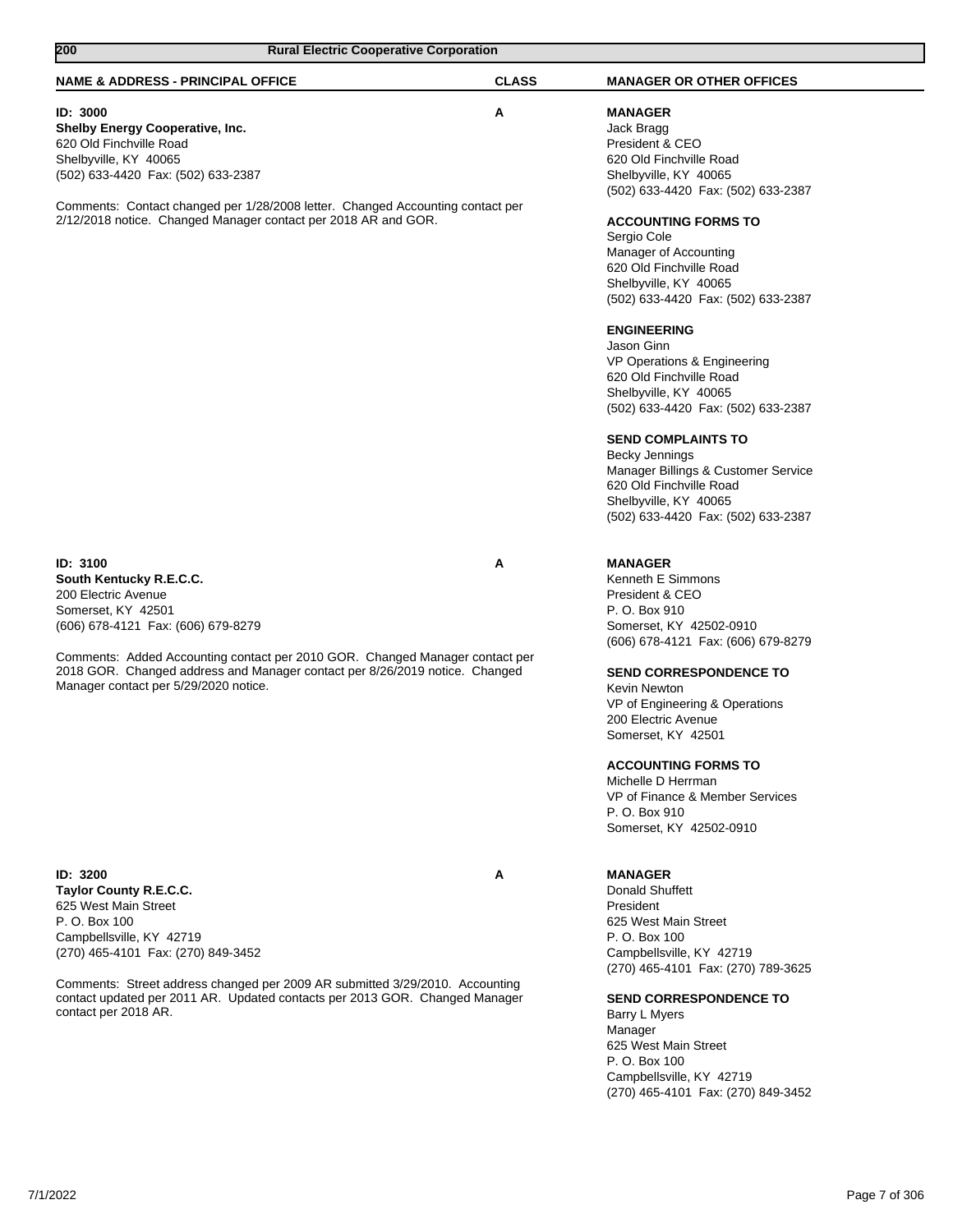| <b>Rural Electric Cooperative Corporation</b><br>200 |                                                                                                                                                                                                                                                                                                                                                                                                                                                                                                                  |  |
|------------------------------------------------------|------------------------------------------------------------------------------------------------------------------------------------------------------------------------------------------------------------------------------------------------------------------------------------------------------------------------------------------------------------------------------------------------------------------------------------------------------------------------------------------------------------------|--|
| <b>CLASS</b>                                         | <b>MANAGER OR OTHER OFFICES</b>                                                                                                                                                                                                                                                                                                                                                                                                                                                                                  |  |
| A                                                    | <b>MANAGER</b><br>Jack Bragg<br>President & CEO<br>620 Old Finchville Road                                                                                                                                                                                                                                                                                                                                                                                                                                       |  |
|                                                      | Shelbyville, KY 40065<br>(502) 633-4420 Fax: (502) 633-2387<br><b>ACCOUNTING FORMS TO</b><br>Sergio Cole<br>Manager of Accounting<br>620 Old Finchville Road<br>Shelbyville, KY 40065<br>(502) 633-4420 Fax: (502) 633-2387<br><b>ENGINEERING</b><br>Jason Ginn<br>VP Operations & Engineering<br>620 Old Finchville Road<br>Shelbyville, KY 40065<br>(502) 633-4420 Fax: (502) 633-2387<br><b>SEND COMPLAINTS TO</b><br><b>Becky Jennings</b><br>Manager Billings & Customer Service<br>620 Old Finchville Road |  |
| A                                                    | Shelbyville, KY 40065<br>(502) 633-4420 Fax: (502) 633-2387<br><b>MANAGER</b><br>Kenneth E Simmons<br>President & CEO<br>P. O. Box 910<br>Somerset, KY 42502-0910                                                                                                                                                                                                                                                                                                                                                |  |
|                                                      | (606) 678-4121 Fax: (606) 679-8279<br><b>SEND CORRESPONDENCE TO</b><br>Kevin Newton<br>VP of Engineering & Operations<br>200 Electric Avenue<br>Somerset, KY 42501<br><b>ACCOUNTING FORMS TO</b><br>Michelle D Herrman<br>VP of Finance & Member Services<br>P. O. Box 910<br>Somerset, KY 42502-0910                                                                                                                                                                                                            |  |
| A                                                    | <b>MANAGER</b><br>Donald Shuffett<br>President<br>625 West Main Street<br>P. O. Box 100<br>Campbellsville, KY 42719<br>(270) 465-4101 Fax: (270) 789-3625<br><b>SEND CORRESPONDENCE TO</b><br>Barry L Myers<br>Manager<br>625 West Main Street<br>P. O. Box 100<br>Campbellsville, KY 42719                                                                                                                                                                                                                      |  |
|                                                      | Comments: Contact changed per 1/28/2008 letter. Changed Accounting contact per<br>Comments: Added Accounting contact per 2010 GOR. Changed Manager contact per<br>2018 GOR. Changed address and Manager contact per 8/26/2019 notice. Changed<br>Comments: Street address changed per 2009 AR submitted 3/29/2010. Accounting<br>contact updated per 2011 AR. Updated contacts per 2013 GOR. Changed Manager                                                                                                     |  |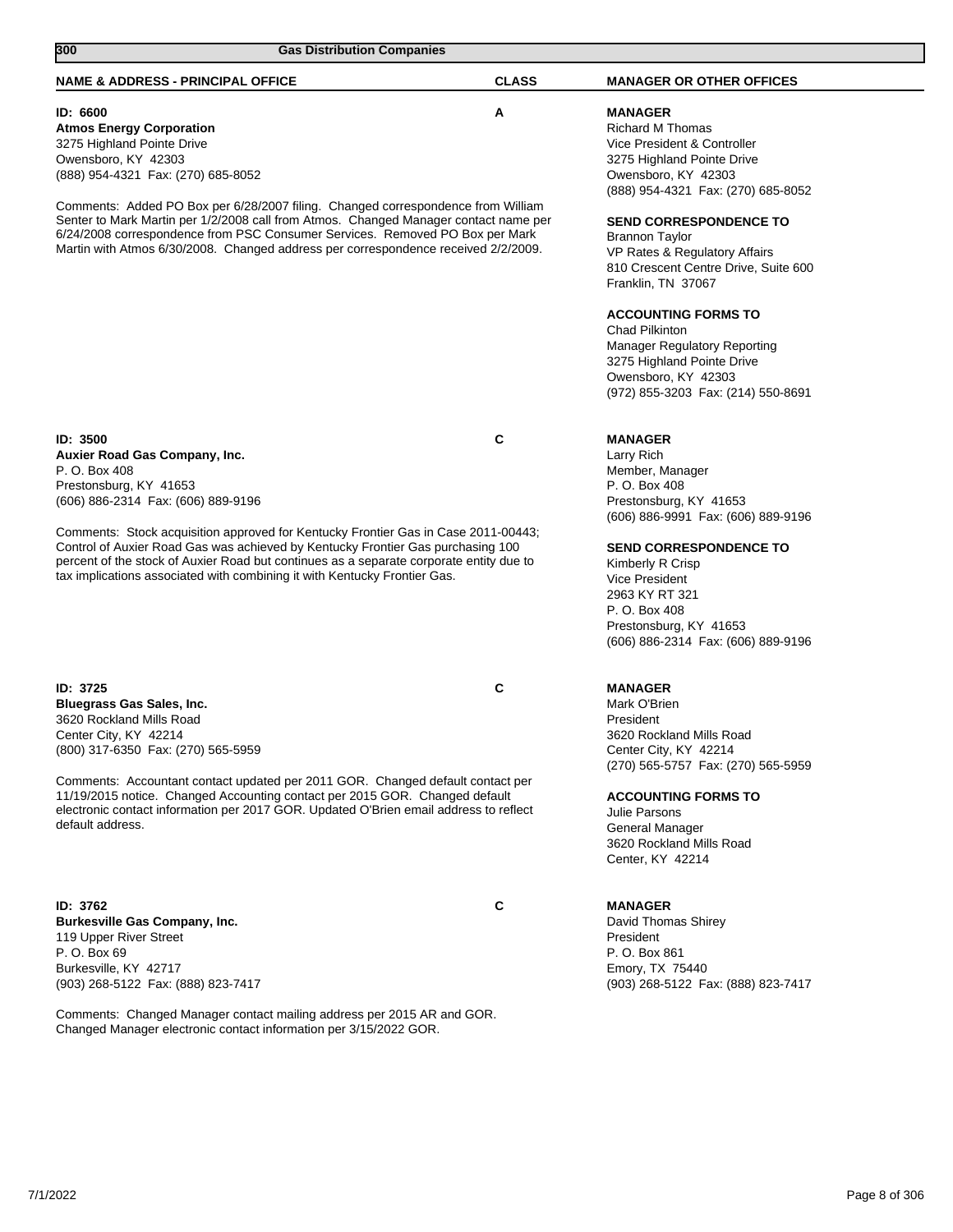| 300<br><b>Gas Distribution Companies</b>                                                                                                                                                                                                                                                                                                       |              |                                                                                                                                                                                                                                                                                                                                  |
|------------------------------------------------------------------------------------------------------------------------------------------------------------------------------------------------------------------------------------------------------------------------------------------------------------------------------------------------|--------------|----------------------------------------------------------------------------------------------------------------------------------------------------------------------------------------------------------------------------------------------------------------------------------------------------------------------------------|
| <b>NAME &amp; ADDRESS - PRINCIPAL OFFICE</b>                                                                                                                                                                                                                                                                                                   | <b>CLASS</b> | <b>MANAGER OR OTHER OFFICES</b>                                                                                                                                                                                                                                                                                                  |
| ID: 6600<br><b>Atmos Energy Corporation</b><br>3275 Highland Pointe Drive<br>Owensboro, KY 42303<br>(888) 954-4321 Fax: (270) 685-8052                                                                                                                                                                                                         | Α            | <b>MANAGER</b><br><b>Richard M Thomas</b><br>Vice President & Controller<br>3275 Highland Pointe Drive<br>Owensboro, KY 42303<br>(888) 954-4321 Fax: (270) 685-8052                                                                                                                                                              |
| Comments: Added PO Box per 6/28/2007 filing. Changed correspondence from William<br>Senter to Mark Martin per 1/2/2008 call from Atmos. Changed Manager contact name per<br>6/24/2008 correspondence from PSC Consumer Services. Removed PO Box per Mark<br>Martin with Atmos 6/30/2008. Changed address per correspondence received 2/2/2009. |              | <b>SEND CORRESPONDENCE TO</b><br>Brannon Taylor<br>VP Rates & Regulatory Affairs<br>810 Crescent Centre Drive, Suite 600<br>Franklin, TN 37067<br><b>ACCOUNTING FORMS TO</b><br>Chad Pilkinton<br><b>Manager Regulatory Reporting</b><br>3275 Highland Pointe Drive<br>Owensboro, KY 42303<br>(972) 855-3203 Fax: (214) 550-8691 |
| ID: 3500<br>Auxier Road Gas Company, Inc.<br>P. O. Box 408<br>Prestonsburg, KY 41653<br>(606) 886-2314 Fax: (606) 889-9196                                                                                                                                                                                                                     | C            | <b>MANAGER</b><br>Larry Rich<br>Member, Manager<br>P. O. Box 408<br>Prestonsburg, KY 41653                                                                                                                                                                                                                                       |
| Comments: Stock acquisition approved for Kentucky Frontier Gas in Case 2011-00443;<br>Control of Auxier Road Gas was achieved by Kentucky Frontier Gas purchasing 100<br>percent of the stock of Auxier Road but continues as a separate corporate entity due to<br>tax implications associated with combining it with Kentucky Frontier Gas.  |              | (606) 886-9991 Fax: (606) 889-9196<br><b>SEND CORRESPONDENCE TO</b><br>Kimberly R Crisp<br>Vice President<br>2963 KY RT 321<br>P. O. Box 408<br>Prestonsburg, KY 41653<br>(606) 886-2314 Fax: (606) 889-9196                                                                                                                     |
| <b>ID: 3725</b><br>Bluegrass Gas Sales, Inc.<br>3620 Rockland Mills Road<br>Center City, KY 42214<br>(800) 317-6350 Fax: (270) 565-5959                                                                                                                                                                                                        | C            | <b>MANAGER</b><br>Mark O'Brien<br>President<br>3620 Rockland Mills Road<br>Center City, KY 42214                                                                                                                                                                                                                                 |
| Comments: Accountant contact updated per 2011 GOR. Changed default contact per<br>11/19/2015 notice. Changed Accounting contact per 2015 GOR. Changed default<br>electronic contact information per 2017 GOR. Updated O'Brien email address to reflect<br>default address.                                                                     |              | (270) 565-5757 Fax: (270) 565-5959<br><b>ACCOUNTING FORMS TO</b><br>Julie Parsons<br>General Manager<br>3620 Rockland Mills Road<br>Center, KY 42214                                                                                                                                                                             |
| <b>ID: 3762</b><br>Burkesville Gas Company, Inc.<br>119 Upper River Street<br>P. O. Box 69<br>Burkesville, KY 42717<br>(903) 268-5122 Fax: (888) 823-7417                                                                                                                                                                                      | C            | <b>MANAGER</b><br>David Thomas Shirey<br>President<br>P. O. Box 861<br>Emory, TX 75440<br>(903) 268-5122 Fax: (888) 823-7417                                                                                                                                                                                                     |
| Comments: Changed Manager contact mailing address per 2015 AR and GOR.<br>Changed Manager electronic contact information per 3/15/2022 GOR.                                                                                                                                                                                                    |              |                                                                                                                                                                                                                                                                                                                                  |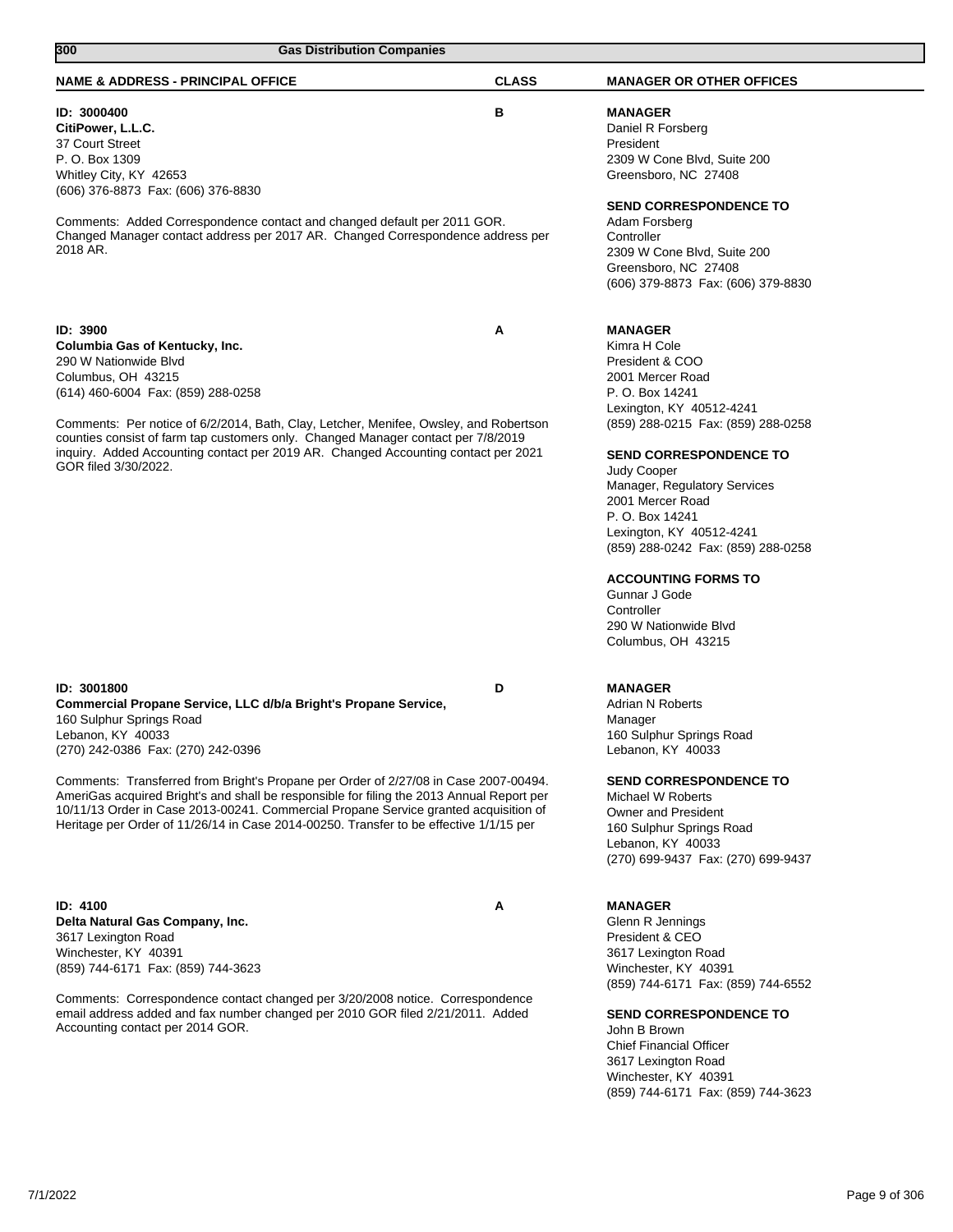| 300<br><b>Gas Distribution Companies</b>                                                                                                                                                                                                                                                                                                                                                                                                                                                                                                     |              |                                                                                                                                                                                                                                                                                                                                                                                                                                                                 |
|----------------------------------------------------------------------------------------------------------------------------------------------------------------------------------------------------------------------------------------------------------------------------------------------------------------------------------------------------------------------------------------------------------------------------------------------------------------------------------------------------------------------------------------------|--------------|-----------------------------------------------------------------------------------------------------------------------------------------------------------------------------------------------------------------------------------------------------------------------------------------------------------------------------------------------------------------------------------------------------------------------------------------------------------------|
| <b>NAME &amp; ADDRESS - PRINCIPAL OFFICE</b>                                                                                                                                                                                                                                                                                                                                                                                                                                                                                                 | <b>CLASS</b> | <b>MANAGER OR OTHER OFFICES</b>                                                                                                                                                                                                                                                                                                                                                                                                                                 |
| ID: 3000400<br>CitiPower, L.L.C.<br>37 Court Street<br>P. O. Box 1309<br>Whitley City, KY 42653<br>(606) 376-8873 Fax: (606) 376-8830                                                                                                                                                                                                                                                                                                                                                                                                        | в            | <b>MANAGER</b><br>Daniel R Forsberg<br>President<br>2309 W Cone Blvd, Suite 200<br>Greensboro, NC 27408                                                                                                                                                                                                                                                                                                                                                         |
| Comments: Added Correspondence contact and changed default per 2011 GOR.<br>Changed Manager contact address per 2017 AR. Changed Correspondence address per<br>2018 AR.                                                                                                                                                                                                                                                                                                                                                                      |              | <b>SEND CORRESPONDENCE TO</b><br>Adam Forsberg<br>Controller<br>2309 W Cone Blvd, Suite 200<br>Greensboro, NC 27408<br>(606) 379-8873 Fax: (606) 379-8830                                                                                                                                                                                                                                                                                                       |
| ID: 3900<br>Columbia Gas of Kentucky, Inc.<br>290 W Nationwide Blvd<br>Columbus, OH 43215<br>(614) 460-6004 Fax: (859) 288-0258<br>Comments: Per notice of 6/2/2014, Bath, Clay, Letcher, Menifee, Owsley, and Robertson<br>counties consist of farm tap customers only. Changed Manager contact per 7/8/2019<br>inquiry. Added Accounting contact per 2019 AR. Changed Accounting contact per 2021<br>GOR filed 3/30/2022.                                                                                                                  | A            | <b>MANAGER</b><br>Kimra H Cole<br>President & COO<br>2001 Mercer Road<br>P. O. Box 14241<br>Lexington, KY 40512-4241<br>(859) 288-0215 Fax: (859) 288-0258<br><b>SEND CORRESPONDENCE TO</b><br>Judy Cooper<br>Manager, Regulatory Services<br>2001 Mercer Road<br>P. O. Box 14241<br>Lexington, KY 40512-4241<br>(859) 288-0242 Fax: (859) 288-0258<br><b>ACCOUNTING FORMS TO</b><br>Gunnar J Gode<br>Controller<br>290 W Nationwide Blvd<br>Columbus, OH 43215 |
| ID: 3001800<br>Commercial Propane Service, LLC d/b/a Bright's Propane Service,<br>160 Sulphur Springs Road<br>Lebanon, KY 40033<br>(270) 242-0386 Fax: (270) 242-0396<br>Comments: Transferred from Bright's Propane per Order of 2/27/08 in Case 2007-00494.<br>AmeriGas acquired Bright's and shall be responsible for filing the 2013 Annual Report per<br>10/11/13 Order in Case 2013-00241. Commercial Propane Service granted acquisition of<br>Heritage per Order of 11/26/14 in Case 2014-00250. Transfer to be effective 1/1/15 per | D            | <b>MANAGER</b><br><b>Adrian N Roberts</b><br>Manager<br>160 Sulphur Springs Road<br>Lebanon, KY 40033<br><b>SEND CORRESPONDENCE TO</b><br>Michael W Roberts<br><b>Owner and President</b><br>160 Sulphur Springs Road<br>Lebanon, KY 40033                                                                                                                                                                                                                      |
| <b>ID: 4100</b><br>Delta Natural Gas Company, Inc.<br>3617 Lexington Road<br>Winchester, KY 40391<br>(859) 744-6171 Fax: (859) 744-3623<br>Comments: Correspondence contact changed per 3/20/2008 notice. Correspondence<br>email address added and fax number changed per 2010 GOR filed 2/21/2011. Added<br>Accounting contact per 2014 GOR.                                                                                                                                                                                               | Α            | (270) 699-9437 Fax: (270) 699-9437<br><b>MANAGER</b><br>Glenn R Jennings<br>President & CEO<br>3617 Lexington Road<br>Winchester, KY 40391<br>(859) 744-6171 Fax: (859) 744-6552<br><b>SEND CORRESPONDENCE TO</b><br>John B Brown<br><b>Chief Financial Officer</b><br>3617 Lexington Road                                                                                                                                                                      |

Winchester, KY 40391

(859) 744-6171 Fax: (859) 744-3623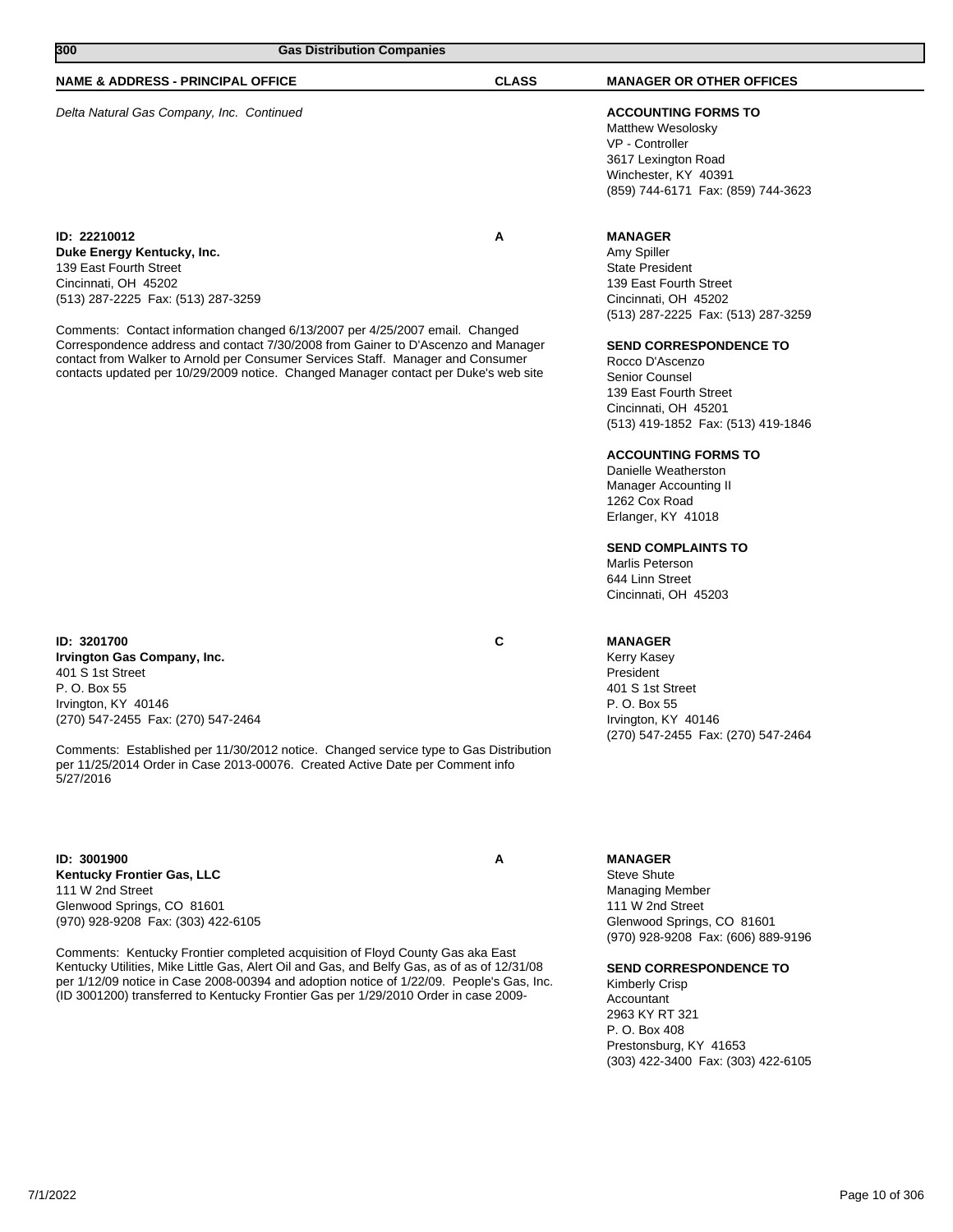| 7/1/2022 | Page 10 of 306 |
|----------|----------------|

| <b>NAME &amp; ADDRESS - PRINCIPAL OFFICE</b>                                        | <b>CLASS</b> | <b>MANAGER OR OTHER OFFICES</b>                                                                                                                       |
|-------------------------------------------------------------------------------------|--------------|-------------------------------------------------------------------------------------------------------------------------------------------------------|
| Delta Natural Gas Company, Inc. Continued                                           |              | <b>ACCOUNTING FORMS TO</b><br>Matthew Wesolosky<br>VP - Controller<br>3617 Lexington Road<br>Winchester, KY 40391<br>(859) 744-6171 Fax: (859) 744-36 |
| ID: 22210012                                                                        | A            | <b>MANAGER</b>                                                                                                                                        |
| Duke Energy Kentucky, Inc.                                                          |              | Amy Spiller                                                                                                                                           |
| 139 East Fourth Street                                                              |              | <b>State President</b>                                                                                                                                |
| Cincinnati, OH 45202                                                                |              | 139 East Fourth Street                                                                                                                                |
| (513) 287-2225 Fax: (513) 287-3259                                                  |              | Cincinnati, OH 45202                                                                                                                                  |
|                                                                                     |              | (513) 287-2225 Fax: (513) 287-32                                                                                                                      |
| Comments: Contact information changed 6/13/2007 per 4/25/2007 email. Changed        |              |                                                                                                                                                       |
| Correspondence address and contact 7/30/2008 from Gainer to D'Ascenzo and Manager   |              | <b>SEND CORRESPONDENCE TO</b>                                                                                                                         |
| contact from Walker to Arnold per Consumer Services Staff. Manager and Consumer     |              | Rocco D'Ascenzo                                                                                                                                       |
| contacts updated per 10/29/2009 notice. Changed Manager contact per Duke's web site |              | Sanior Counsal                                                                                                                                        |

**300 Gas Distribution Companies** 

**ID: 3201700 C Irvington Gas Company, Inc.** 401 S 1st Street P. O. Box 55 Irvington, KY 40146 (270) 547-2455 Fax: (270) 547-2464

Comments: Established per 11/30/2012 notice. Changed service type to Gas Distribution per 11/25/2014 Order in Case 2013-00076. Created Active Date per Comment info 5/27/2016

**ID: 3001900 A Kentucky Frontier Gas, LLC** 111 W 2nd Street Glenwood Springs, CO 81601 (970) 928-9208 Fax: (303) 422-6105

Comments: Kentucky Frontier completed acquisition of Floyd County Gas aka East Kentucky Utilities, Mike Little Gas, Alert Oil and Gas, and Belfy Gas, as of as of 12/31/08 per 1/12/09 notice in Case 2008-00394 and adoption notice of 1/22/09. People's Gas, Inc. (ID 3001200) transferred to Kentucky Frontier Gas per 1/29/2010 Order in case 2009-

Winchester, KY 40391 (859) 744-3623

139 East Fourth Street (513) 287-3259

### **SENCE TO**

Senior Counsel 139 East Fourth Street Cincinnati, OH 45201 (513) 419-1852 Fax: (513) 419-1846

### **ACCOUNTING FORMS TO**

Danielle Weatherston Manager Accounting II 1262 Cox Road Erlanger, KY 41018

## **SEND COMPLAINTS TO**

Marlis Peterson 644 Linn Street Cincinnati, OH 45203

## **MANAGER**

Kerry Kasey President 401 S 1st Street P. O. Box 55 Irvington, KY 40146 (270) 547-2455 Fax: (270) 547-2464

## **MANAGER**

Steve Shute Managing Member 111 W 2nd Street Glenwood Springs, CO 81601 (970) 928-9208 Fax: (606) 889-9196

#### **SEND CORRESPONDENCE TO**

Kimberly Crisp Accountant 2963 KY RT 321 P. O. Box 408 Prestonsburg, KY 41653 (303) 422-3400 Fax: (303) 422-6105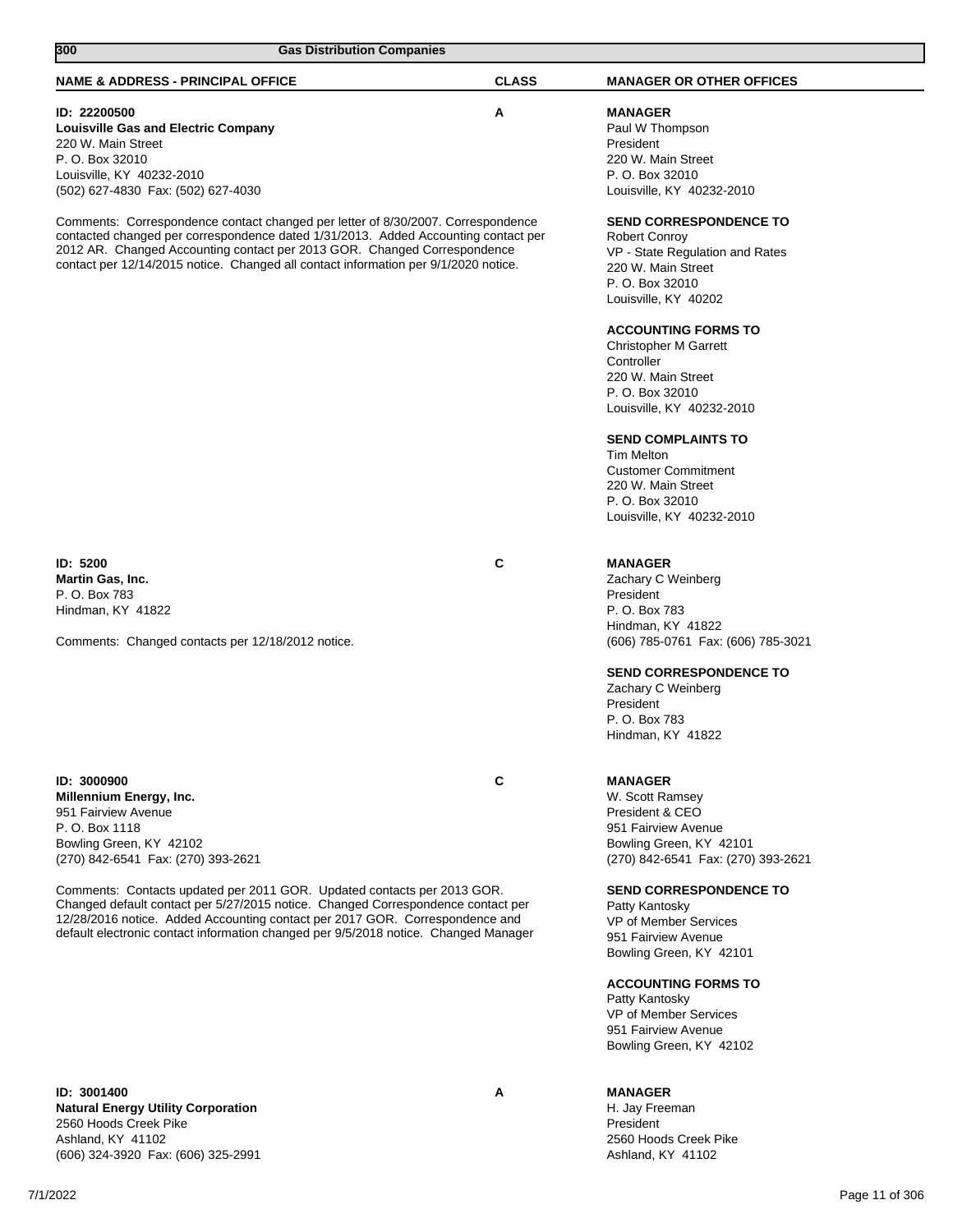| $\overline{300}$<br><b>Gas Distribution Companies</b>                                                                                                                                                                                                                                                                                                                                                                                                                                  |              |                                                                                                                                                                                                                                                                                                                                                                                                                                                                   |
|----------------------------------------------------------------------------------------------------------------------------------------------------------------------------------------------------------------------------------------------------------------------------------------------------------------------------------------------------------------------------------------------------------------------------------------------------------------------------------------|--------------|-------------------------------------------------------------------------------------------------------------------------------------------------------------------------------------------------------------------------------------------------------------------------------------------------------------------------------------------------------------------------------------------------------------------------------------------------------------------|
| <b>NAME &amp; ADDRESS - PRINCIPAL OFFICE</b>                                                                                                                                                                                                                                                                                                                                                                                                                                           | <b>CLASS</b> | <b>MANAGER OR OTHER OFFICES</b>                                                                                                                                                                                                                                                                                                                                                                                                                                   |
| ID: 22200500<br><b>Louisville Gas and Electric Company</b><br>220 W. Main Street<br>P. O. Box 32010<br>Louisville, KY 40232-2010<br>(502) 627-4830 Fax: (502) 627-4030                                                                                                                                                                                                                                                                                                                 | A            | <b>MANAGER</b><br>Paul W Thompson<br>President<br>220 W. Main Street<br>P. O. Box 32010<br>Louisville, KY 40232-2010                                                                                                                                                                                                                                                                                                                                              |
| Comments: Correspondence contact changed per letter of 8/30/2007. Correspondence<br>contacted changed per correspondence dated 1/31/2013. Added Accounting contact per<br>2012 AR. Changed Accounting contact per 2013 GOR. Changed Correspondence<br>contact per 12/14/2015 notice. Changed all contact information per 9/1/2020 notice.                                                                                                                                              |              | <b>SEND CORRESPONDENCE TO</b><br><b>Robert Conroy</b><br>VP - State Regulation and Rates<br>220 W. Main Street<br>P. O. Box 32010<br>Louisville, KY 40202<br><b>ACCOUNTING FORMS TO</b><br><b>Christopher M Garrett</b><br>Controller<br>220 W. Main Street<br>P. O. Box 32010<br>Louisville, KY 40232-2010<br><b>SEND COMPLAINTS TO</b><br><b>Tim Melton</b><br><b>Customer Commitment</b><br>220 W. Main Street<br>P. O. Box 32010<br>Louisville, KY 40232-2010 |
| <b>ID: 5200</b><br><b>Martin Gas, Inc.</b><br>P. O. Box 783<br>Hindman, KY 41822<br>Comments: Changed contacts per 12/18/2012 notice.                                                                                                                                                                                                                                                                                                                                                  | C            | <b>MANAGER</b><br>Zachary C Weinberg<br>President<br>P. O. Box 783<br>Hindman, KY 41822<br>(606) 785-0761 Fax: (606) 785-3021<br><b>SEND CORRESPONDENCE TO</b><br>Zachary C Weinberg<br>President<br>P. O. Box 783<br>Hindman, KY 41822                                                                                                                                                                                                                           |
| ID: 3000900<br>Millennium Energy, Inc.<br>951 Fairview Avenue<br>P. O. Box 1118<br>Bowling Green, KY 42102<br>(270) 842-6541 Fax: (270) 393-2621<br>Comments: Contacts updated per 2011 GOR. Updated contacts per 2013 GOR.<br>Changed default contact per 5/27/2015 notice. Changed Correspondence contact per<br>12/28/2016 notice. Added Accounting contact per 2017 GOR. Correspondence and<br>default electronic contact information changed per 9/5/2018 notice. Changed Manager | C            | <b>MANAGER</b><br>W. Scott Ramsey<br>President & CEO<br>951 Fairview Avenue<br>Bowling Green, KY 42101<br>(270) 842-6541 Fax: (270) 393-2621<br><b>SEND CORRESPONDENCE TO</b><br>Patty Kantosky<br>VP of Member Services<br>951 Fairview Avenue<br>Bowling Green, KY 42101<br><b>ACCOUNTING FORMS TO</b><br>Patty Kantosky<br>VP of Member Services<br>951 Fairview Avenue<br>Bowling Green, KY 42102                                                             |
| ID: 3001400<br>Notural Energy Hillity Carnoration                                                                                                                                                                                                                                                                                                                                                                                                                                      | A            | <b>MANAGER</b><br>$\Box$ Iou Erooman                                                                                                                                                                                                                                                                                                                                                                                                                              |

**Natural Energy Utility Corporation** 2560 Hoods Creek Pike Ashland, KY 41102 (606) 324-3920 Fax: (606) 325-2991

## H. Jay Freeman

President 2560 Hoods Creek Pike Ashland, KY 41102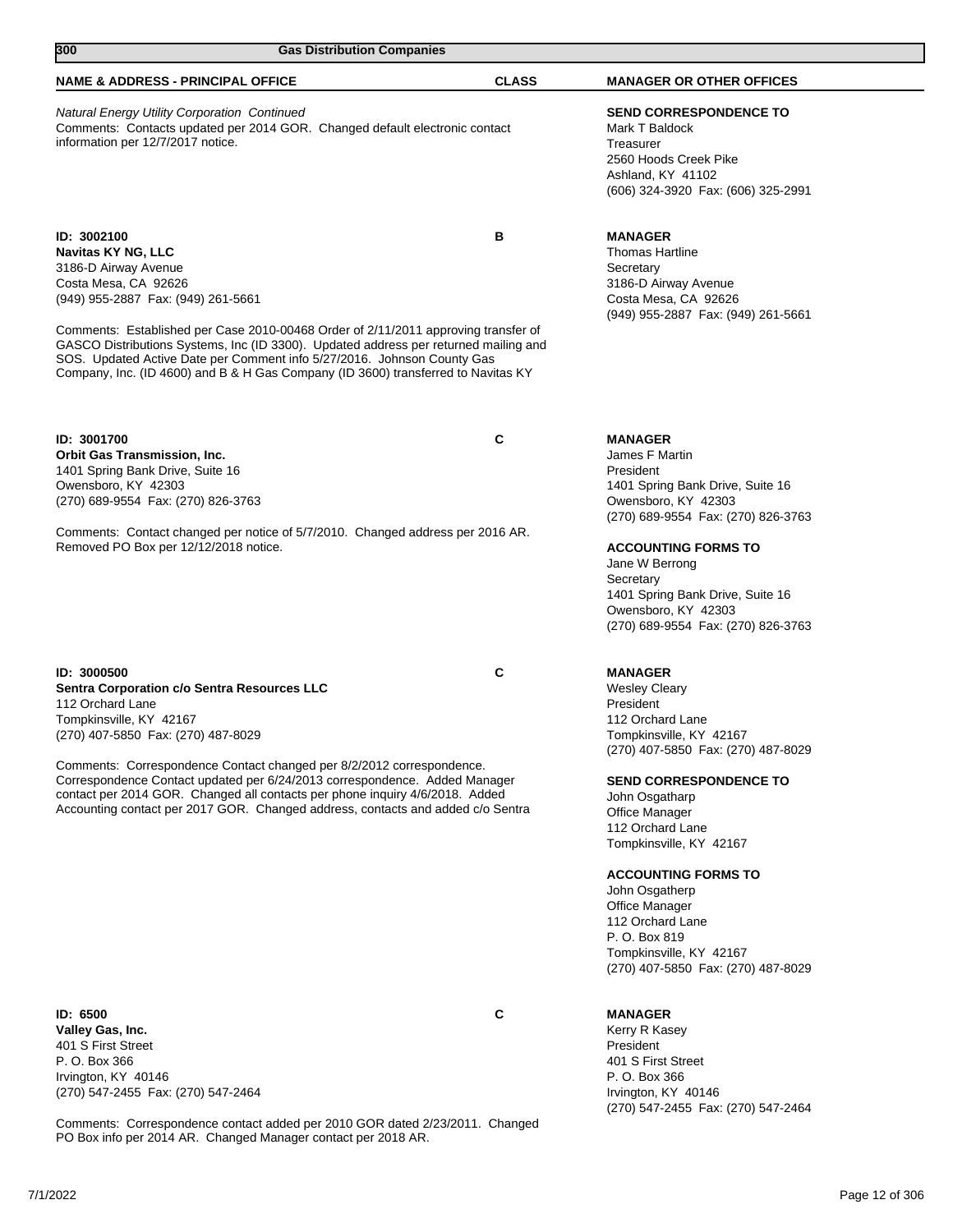| 300<br><b>Gas Distribution Companies</b>                                                                                                                                                                                                                                                                                                                                                                                                                                  |              |                                                                                                                                                                                                                                                                                                                                                                                                                                      |  |
|---------------------------------------------------------------------------------------------------------------------------------------------------------------------------------------------------------------------------------------------------------------------------------------------------------------------------------------------------------------------------------------------------------------------------------------------------------------------------|--------------|--------------------------------------------------------------------------------------------------------------------------------------------------------------------------------------------------------------------------------------------------------------------------------------------------------------------------------------------------------------------------------------------------------------------------------------|--|
| <b>NAME &amp; ADDRESS - PRINCIPAL OFFICE</b>                                                                                                                                                                                                                                                                                                                                                                                                                              | <b>CLASS</b> | <b>MANAGER OR OTHER OFFICES</b>                                                                                                                                                                                                                                                                                                                                                                                                      |  |
| <b>Natural Energy Utility Corporation Continued</b><br>Comments: Contacts updated per 2014 GOR. Changed default electronic contact<br>information per 12/7/2017 notice.                                                                                                                                                                                                                                                                                                   |              | <b>SEND CORRESPONDENCE TO</b><br>Mark T Baldock<br>Treasurer<br>2560 Hoods Creek Pike<br>Ashland, KY 41102<br>(606) 324-3920 Fax: (606) 325-2991                                                                                                                                                                                                                                                                                     |  |
| ID: 3002100<br>Navitas KY NG, LLC<br>3186-D Airway Avenue<br>Costa Mesa, CA 92626<br>(949) 955-2887 Fax: (949) 261-5661<br>Comments: Established per Case 2010-00468 Order of 2/11/2011 approving transfer of<br>GASCO Distributions Systems, Inc (ID 3300). Updated address per returned mailing and<br>SOS. Updated Active Date per Comment info 5/27/2016. Johnson County Gas<br>Company, Inc. (ID 4600) and B & H Gas Company (ID 3600) transferred to Navitas KY     | в            | <b>MANAGER</b><br><b>Thomas Hartline</b><br>Secretary<br>3186-D Airway Avenue<br>Costa Mesa, CA 92626<br>(949) 955-2887 Fax: (949) 261-5661                                                                                                                                                                                                                                                                                          |  |
| ID: 3001700<br><b>Orbit Gas Transmission, Inc.</b><br>1401 Spring Bank Drive, Suite 16<br>Owensboro, KY 42303<br>(270) 689-9554 Fax: (270) 826-3763<br>Comments: Contact changed per notice of 5/7/2010. Changed address per 2016 AR.<br>Removed PO Box per 12/12/2018 notice.                                                                                                                                                                                            | C            | <b>MANAGER</b><br>James F Martin<br>President<br>1401 Spring Bank Drive, Suite 16<br>Owensboro, KY 42303<br>(270) 689-9554 Fax: (270) 826-3763<br><b>ACCOUNTING FORMS TO</b><br>Jane W Berrong<br>Secretary<br>1401 Spring Bank Drive, Suite 16<br>Owensboro, KY 42303<br>(270) 689-9554 Fax: (270) 826-3763                                                                                                                         |  |
| ID: 3000500<br>Sentra Corporation c/o Sentra Resources LLC<br>112 Orchard Lane<br>Tompkinsville, KY 42167<br>(270) 407-5850 Fax: (270) 487-8029<br>Comments: Correspondence Contact changed per 8/2/2012 correspondence.<br>Correspondence Contact updated per 6/24/2013 correspondence. Added Manager<br>contact per 2014 GOR. Changed all contacts per phone inquiry 4/6/2018. Added<br>Accounting contact per 2017 GOR. Changed address, contacts and added c/o Sentra | C            | <b>MANAGER</b><br><b>Wesley Cleary</b><br>President<br>112 Orchard Lane<br>Tompkinsville, KY 42167<br>(270) 407-5850 Fax: (270) 487-8029<br><b>SEND CORRESPONDENCE TO</b><br>John Osgatharp<br>Office Manager<br>112 Orchard Lane<br>Tompkinsville, KY 42167<br><b>ACCOUNTING FORMS TO</b><br>John Osgatherp<br>Office Manager<br>112 Orchard Lane<br>P. O. Box 819<br>Tompkinsville, KY 42167<br>(270) 407-5850 Fax: (270) 487-8029 |  |
| ID: 6500<br>Valley Gas, Inc.<br>401 S First Street                                                                                                                                                                                                                                                                                                                                                                                                                        | C            | <b>MANAGER</b><br>Kerry R Kasey<br>President                                                                                                                                                                                                                                                                                                                                                                                         |  |

401 S First Street P. O. Box 366 Irvington, KY 40146 (270) 547-2455 Fax: (270) 547-2464

Comments: Correspondence contact added per 2010 GOR dated 2/23/2011. Changed PO Box info per 2014 AR. Changed Manager contact per 2018 AR.

401 S First Street P. O. Box 366 Irvington, KY 40146

(270) 547-2455 Fax: (270) 547-2464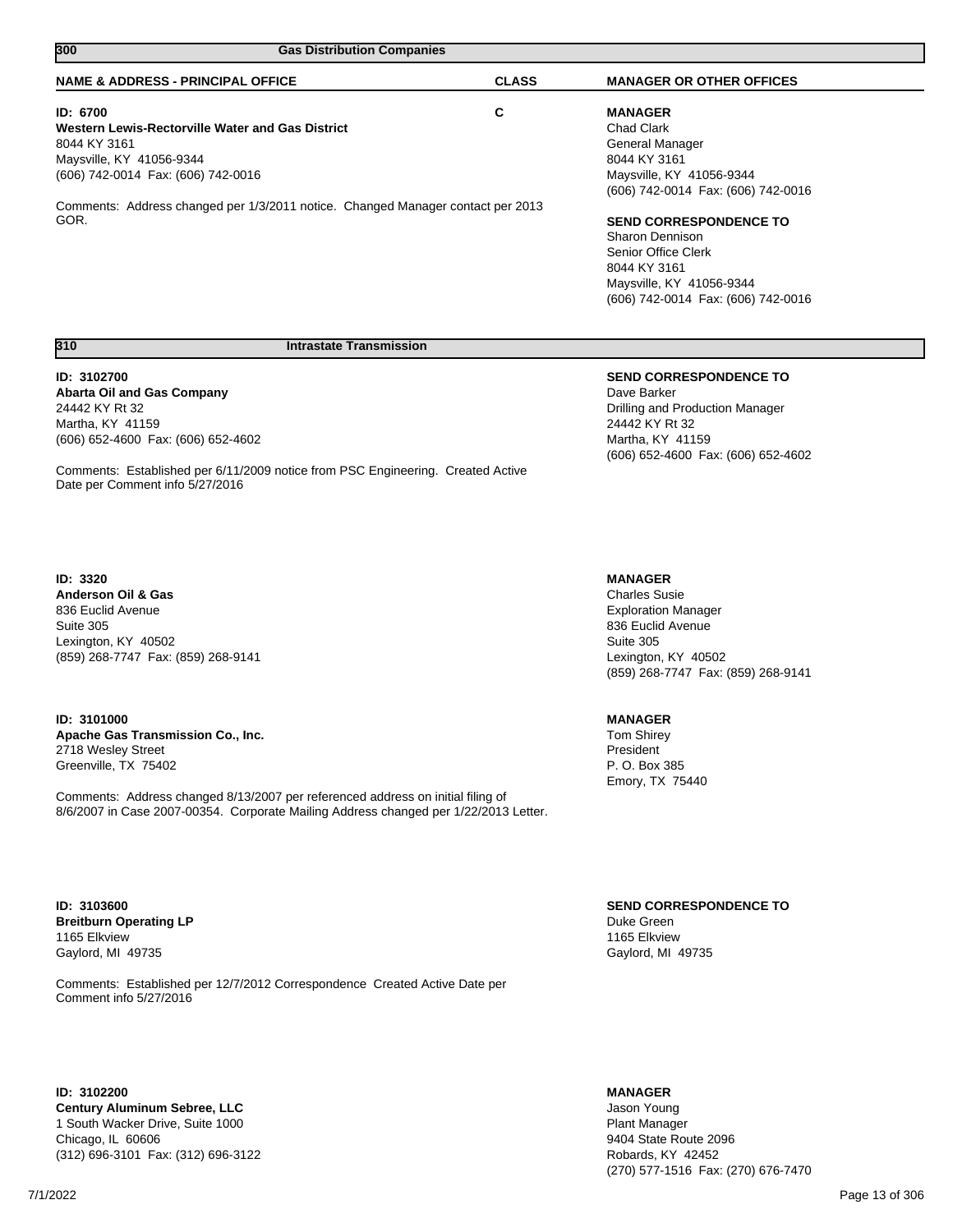| 300<br><b>Gas Distribution Companies</b>                                        |              |                                    |  |
|---------------------------------------------------------------------------------|--------------|------------------------------------|--|
| <b>NAME &amp; ADDRESS - PRINCIPAL OFFICE</b>                                    | <b>CLASS</b> | <b>MANAGER OR OTHER OFFICES</b>    |  |
| ID: 6700                                                                        | С            | <b>MANAGER</b>                     |  |
| Western Lewis-Rectorville Water and Gas District                                |              | <b>Chad Clark</b>                  |  |
| 8044 KY 3161                                                                    |              | General Manager                    |  |
| Maysville, KY 41056-9344                                                        |              | 8044 KY 3161                       |  |
| (606) 742-0014 Fax: (606) 742-0016                                              |              | Maysville, KY 41056-9344           |  |
|                                                                                 |              | (606) 742-0014 Fax: (606) 742-0016 |  |
| Comments: Address changed per 1/3/2011 notice. Changed Manager contact per 2013 |              |                                    |  |
| GOR.                                                                            |              | <b>SEND CORRESPONDENCE TO</b>      |  |
|                                                                                 |              | Sharon Dennison                    |  |
|                                                                                 |              | Senior Office Clerk                |  |
|                                                                                 |              | 8044 KY 3161                       |  |
|                                                                                 |              | Maysville, KY 41056-9344           |  |
|                                                                                 |              | (606) 742-0014 Fax: (606) 742-0016 |  |
| 310<br><b>Intrastate Transmission</b>                                           |              |                                    |  |
|                                                                                 |              |                                    |  |
| ID: 3102700                                                                     |              | <b>SEND CORRESPONDENCE TO</b>      |  |
| <b>Abarta Oil and Gas Company</b>                                               |              | Dave Barker                        |  |
| 24442 KY Rt 32                                                                  |              | Drilling and Production Manager    |  |
| Martha, KY 41159                                                                |              | 24442 KY Rt 32                     |  |
| (606) 652-4600 Fax: (606) 652-4602                                              |              | Martha, KY 41159                   |  |
|                                                                                 |              | (606) 652-4600 Fax: (606) 652-4602 |  |

Comments: Established per 6/11/2009 notice from PSC Engineering. Created Active Date per Comment info 5/27/2016

#### **ID: 3320**

**Anderson Oil & Gas** 836 Euclid Avenue Suite 305 Lexington, KY 40502 (859) 268-7747 Fax: (859) 268-9141

## **ID: 3101000**

**Apache Gas Transmission Co., Inc.** 2718 Wesley Street Greenville, TX 75402

Comments: Address changed 8/13/2007 per referenced address on initial filing of 8/6/2007 in Case 2007-00354. Corporate Mailing Address changed per 1/22/2013 Letter.

#### **MANAGER**

Charles Susie Exploration Manager 836 Euclid Avenue Suite 305 Lexington, KY 40502 (859) 268-7747 Fax: (859) 268-9141

## **MANAGER**

Tom Shirey President P. O. Box 385 Emory, TX 75440

**SEND CORRESPONDENCE TO** Duke Green 1165 Elkview Gaylord, MI 49735

**ID: 3103600 Breitburn Operating LP** 1165 Elkview Gaylord, MI 49735

Comments: Established per 12/7/2012 Correspondence Created Active Date per Comment info 5/27/2016

**ID: 3102200 Century Aluminum Sebree, LLC** 1 South Wacker Drive, Suite 1000 Chicago, IL 60606 (312) 696-3101 Fax: (312) 696-3122

### **MANAGER**

Jason Young Plant Manager 9404 State Route 2096 Robards, KY 42452 (270) 577-1516 Fax: (270) 676-7470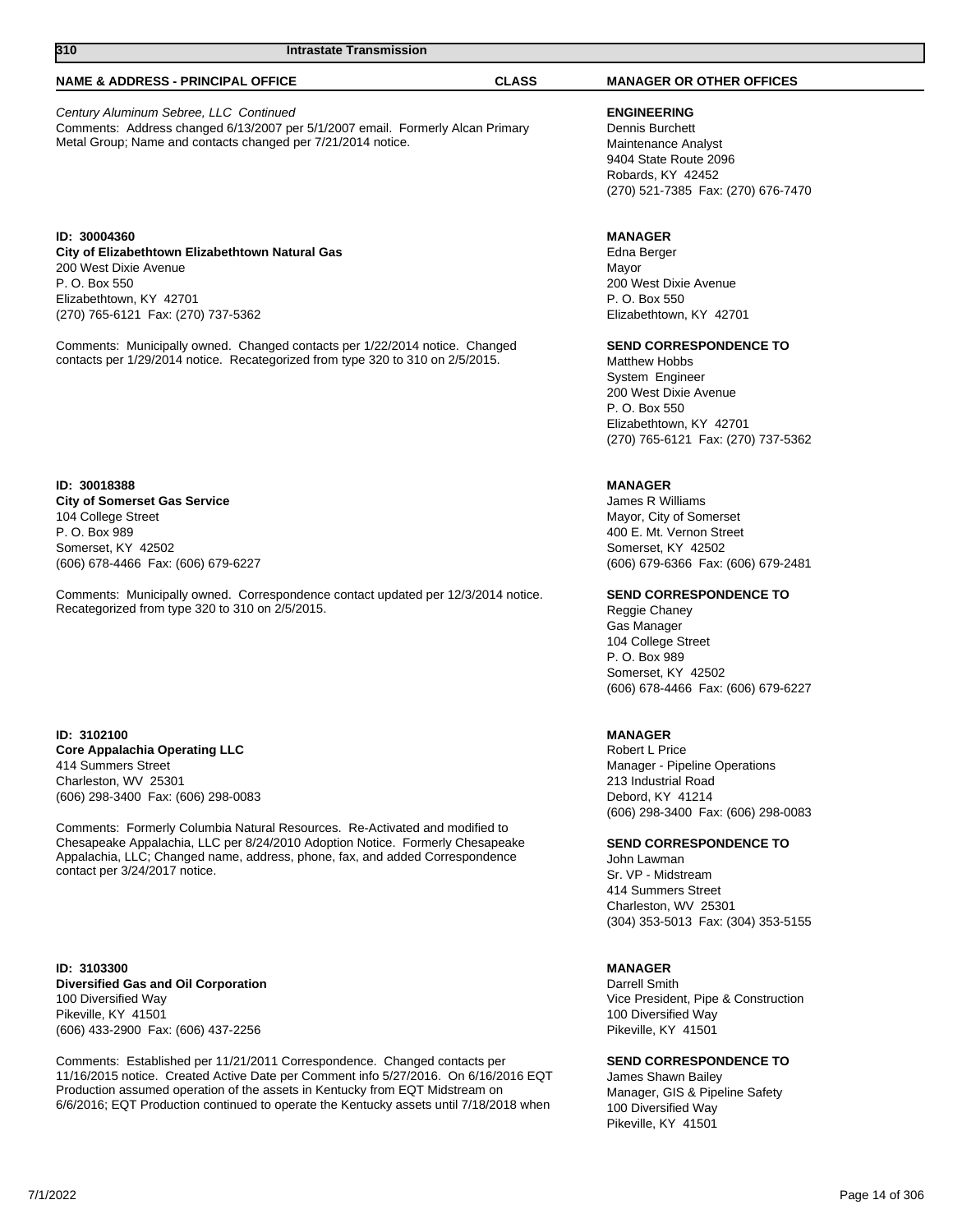## **NAME & ADDRESS - PRINCIPAL OFFICE CLASS MANAGER OR OTHER OFFICES**

Century Aluminum Sebree, LLC Continued Comments: Address changed 6/13/2007 per 5/1/2007 email. Formerly Alcan Primary Metal Group; Name and contacts changed per 7/21/2014 notice.

**ID: 30004360 City of Elizabethtown Elizabethtown Natural Gas** 200 West Dixie Avenue P. O. Box 550 Elizabethtown, KY 42701 (270) 765-6121 Fax: (270) 737-5362

Comments: Municipally owned. Changed contacts per 1/22/2014 notice. Changed contacts per 1/29/2014 notice. Recategorized from type 320 to 310 on 2/5/2015.

**ID: 30018388 City of Somerset Gas Service** 104 College Street P. O. Box 989 Somerset, KY 42502 (606) 678-4466 Fax: (606) 679-6227

Comments: Municipally owned. Correspondence contact updated per 12/3/2014 notice. Recategorized from type 320 to 310 on 2/5/2015.

**ID: 3102100 Core Appalachia Operating LLC** 414 Summers Street Charleston, WV 25301 (606) 298-3400 Fax: (606) 298-0083

Comments: Formerly Columbia Natural Resources. Re-Activated and modified to Chesapeake Appalachia, LLC per 8/24/2010 Adoption Notice. Formerly Chesapeake Appalachia, LLC; Changed name, address, phone, fax, and added Correspondence contact per 3/24/2017 notice.

**ID: 3103300 Diversified Gas and Oil Corporation** 100 Diversified Way Pikeville, KY 41501 (606) 433-2900 Fax: (606) 437-2256

Comments: Established per 11/21/2011 Correspondence. Changed contacts per 11/16/2015 notice. Created Active Date per Comment info 5/27/2016. On 6/16/2016 EQT Production assumed operation of the assets in Kentucky from EQT Midstream on 6/6/2016; EQT Production continued to operate the Kentucky assets until 7/18/2018 when

**ENGINEERING** Dennis Burchett Maintenance Analyst 9404 State Route 2096 Robards, KY 42452 (270) 521-7385 Fax: (270) 676-7470

## **MANAGER**

Edna Berger Mayor 200 West Dixie Avenue P. O. Box 550 Elizabethtown, KY 42701

#### **SEND CORRESPONDENCE TO**

Matthew Hobbs System Engineer 200 West Dixie Avenue P. O. Box 550 Elizabethtown, KY 42701 (270) 765-6121 Fax: (270) 737-5362

### **MANAGER**

James R Williams Mayor, City of Somerset 400 E. Mt. Vernon Street Somerset, KY 42502 (606) 679-6366 Fax: (606) 679-2481

#### **SEND CORRESPONDENCE TO**

Reggie Chaney Gas Manager 104 College Street P. O. Box 989 Somerset, KY 42502 (606) 678-4466 Fax: (606) 679-6227

#### **MANAGER**

Robert L Price Manager - Pipeline Operations 213 Industrial Road Debord, KY 41214 (606) 298-3400 Fax: (606) 298-0083

## **SEND CORRESPONDENCE TO**

John Lawman Sr. VP - Midstream 414 Summers Street Charleston, WV 25301 (304) 353-5013 Fax: (304) 353-5155

#### **MANAGER**

Darrell Smith Vice President, Pipe & Construction 100 Diversified Way Pikeville, KY 41501

## **SEND CORRESPONDENCE TO**

James Shawn Bailey Manager, GIS & Pipeline Safety 100 Diversified Way Pikeville, KY 41501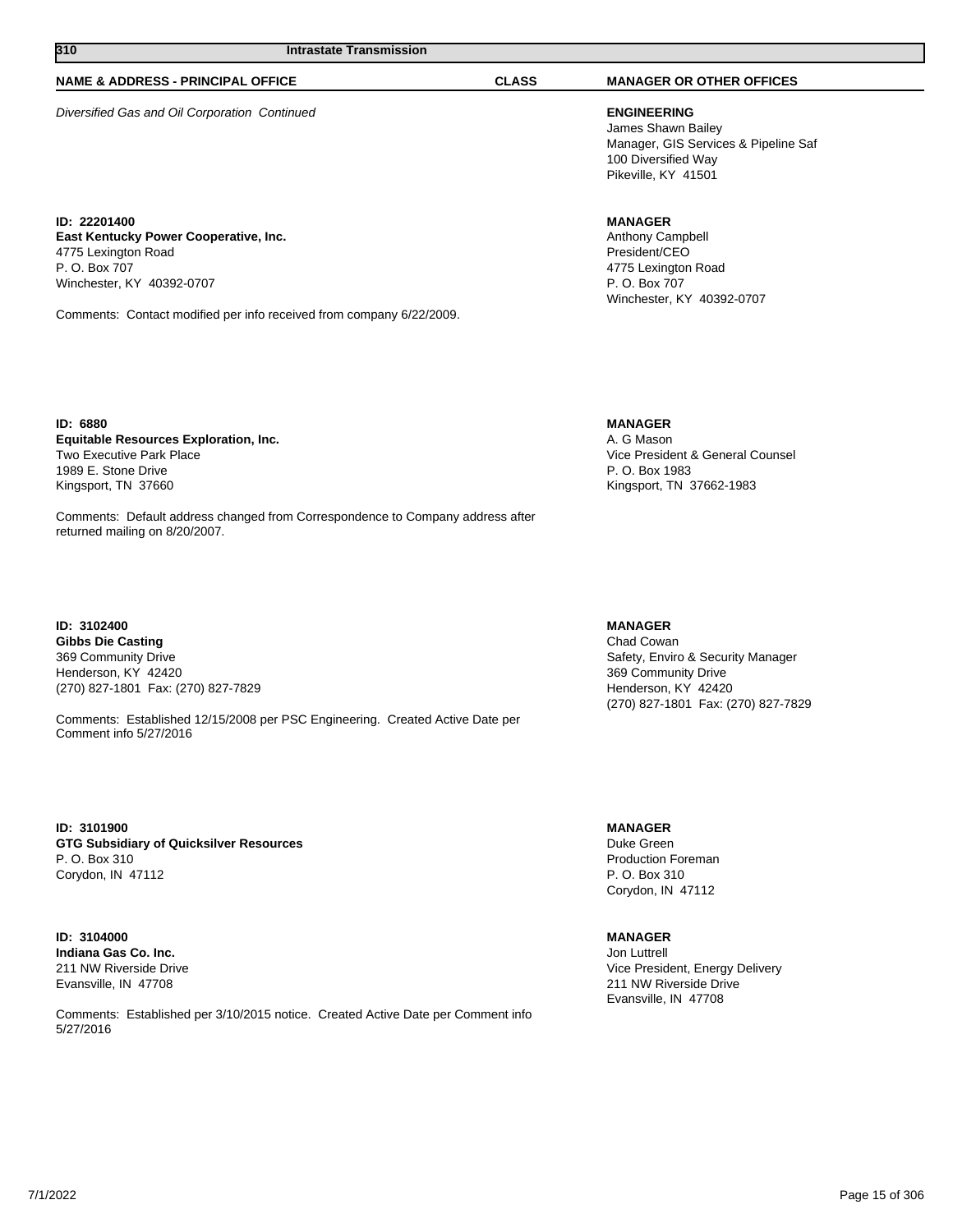### **NAME & ADDRESS - PRINCIPAL OFFICE CLASS MANAGER OR OTHER OFFICES**

Diversified Gas and Oil Corporation Continued **ENGINEERING**

**ID: 22201400 East Kentucky Power Cooperative, Inc.** 4775 Lexington Road P. O. Box 707 Winchester, KY 40392-0707

Comments: Contact modified per info received from company 6/22/2009.

**ID: 6880 Equitable Resources Exploration, Inc.** Two Executive Park Place 1989 E. Stone Drive Kingsport, TN 37660

Comments: Default address changed from Correspondence to Company address after returned mailing on 8/20/2007.

**ID: 3102400 Gibbs Die Casting** 369 Community Drive Henderson, KY 42420 (270) 827-1801 Fax: (270) 827-7829

Comments: Established 12/15/2008 per PSC Engineering. Created Active Date per Comment info 5/27/2016

**ID: 3101900 GTG Subsidiary of Quicksilver Resources** P. O. Box 310 Corydon, IN 47112

**ID: 3104000 Indiana Gas Co. Inc.** 211 NW Riverside Drive Evansville, IN 47708

Comments: Established per 3/10/2015 notice. Created Active Date per Comment info 5/27/2016

James Shawn Bailey Manager, GIS Services & Pipeline Saf 100 Diversified Way Pikeville, KY 41501

## **MANAGER**

Anthony Campbell President/CEO 4775 Lexington Road P. O. Box 707 Winchester, KY 40392-0707

**MANAGER**

A. G Mason Vice President & General Counsel P. O. Box 1983 Kingsport, TN 37662-1983

### **MANAGER**

Chad Cowan Safety, Enviro & Security Manager 369 Community Drive Henderson, KY 42420 (270) 827-1801 Fax: (270) 827-7829

**MANAGER**

Duke Green Production Foreman P. O. Box 310 Corydon, IN 47112

## **MANAGER**

Jon Luttrell Vice President, Energy Delivery 211 NW Riverside Drive Evansville, IN 47708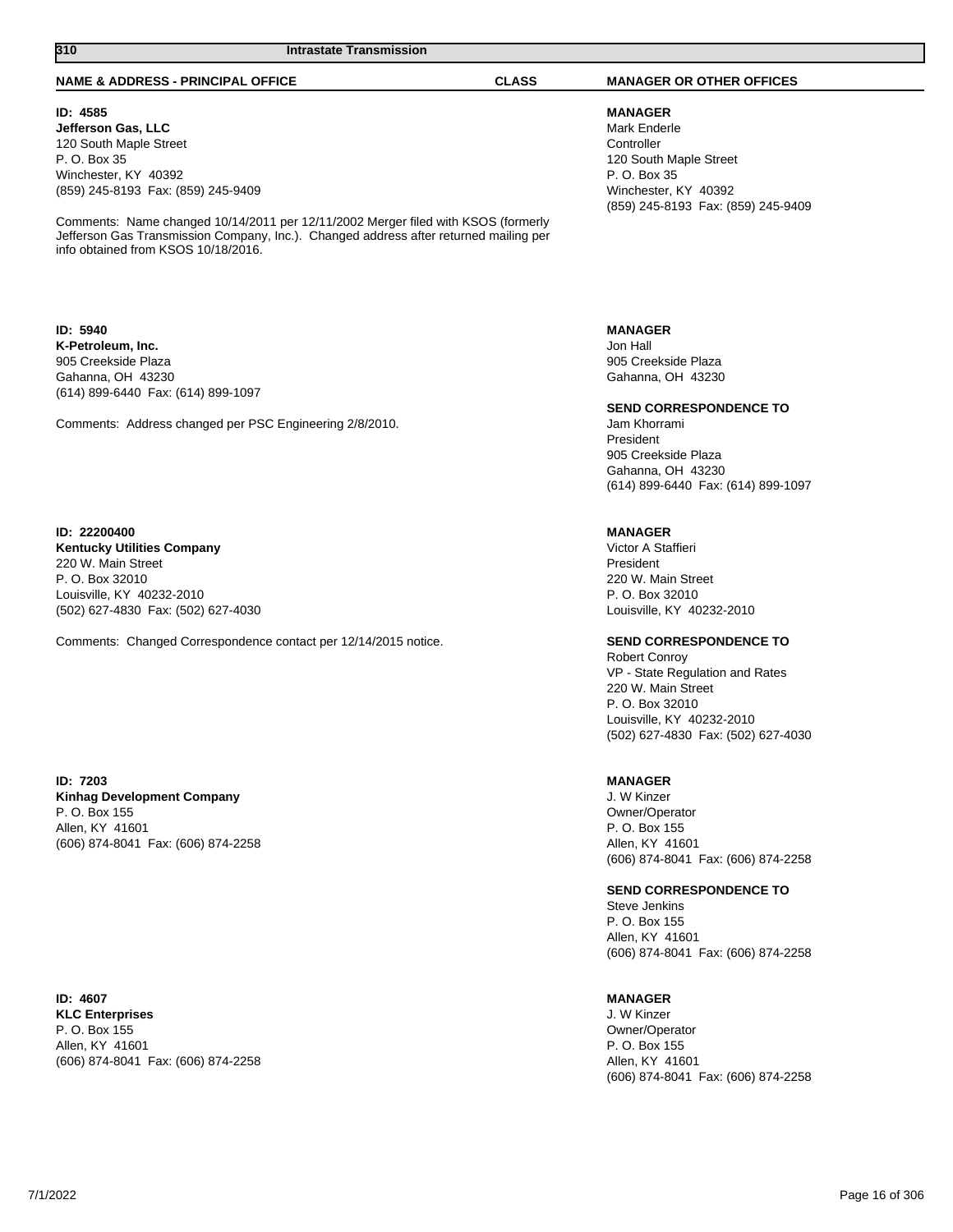#### **NAME & ADDRESS - PRINCIPAL OFFICE CLASS MANAGER OR OTHER OFFICES**

### **ID: 4585**

**Jefferson Gas, LLC** 120 South Maple Street P. O. Box 35 Winchester, KY 40392 (859) 245-8193 Fax: (859) 245-9409

Comments: Name changed 10/14/2011 per 12/11/2002 Merger filed with KSOS (formerly Jefferson Gas Transmission Company, Inc.). Changed address after returned mailing per info obtained from KSOS 10/18/2016.

**ID: 5940 K-Petroleum, Inc.** 905 Creekside Plaza Gahanna, OH 43230 (614) 899-6440 Fax: (614) 899-1097

Comments: Address changed per PSC Engineering 2/8/2010.

**ID: 22200400 Kentucky Utilities Company** 220 W. Main Street P. O. Box 32010 Louisville, KY 40232-2010 (502) 627-4830 Fax: (502) 627-4030

Comments: Changed Correspondence contact per 12/14/2015 notice.

**ID: 7203 Kinhag Development Company** P. O. Box 155 Allen, KY 41601 (606) 874-8041 Fax: (606) 874-2258

**ID: 4607 KLC Enterprises** P. O. Box 155 Allen, KY 41601 (606) 874-8041 Fax: (606) 874-2258

**MANAGER** Mark Enderle **Controller** 120 South Maple Street P. O. Box 35 Winchester, KY 40392

(859) 245-8193 Fax: (859) 245-9409

**MANAGER** Jon Hall 905 Creekside Plaza Gahanna, OH 43230

**SEND CORRESPONDENCE TO**

Jam Khorrami President 905 Creekside Plaza Gahanna, OH 43230 (614) 899-6440 Fax: (614) 899-1097

### **MANAGER**

Victor A Staffieri President 220 W. Main Street P. O. Box 32010 Louisville, KY 40232-2010

## **SEND CORRESPONDENCE TO**

Robert Conroy VP - State Regulation and Rates 220 W. Main Street P. O. Box 32010 Louisville, KY 40232-2010 (502) 627-4830 Fax: (502) 627-4030

### **MANAGER**

J. W Kinzer Owner/Operator P. O. Box 155 Allen, KY 41601 (606) 874-8041 Fax: (606) 874-2258

#### **SEND CORRESPONDENCE TO**

Steve Jenkins P. O. Box 155 Allen, KY 41601 (606) 874-8041 Fax: (606) 874-2258

#### **MANAGER**

J. W Kinzer Owner/Operator P. O. Box 155 Allen, KY 41601 (606) 874-8041 Fax: (606) 874-2258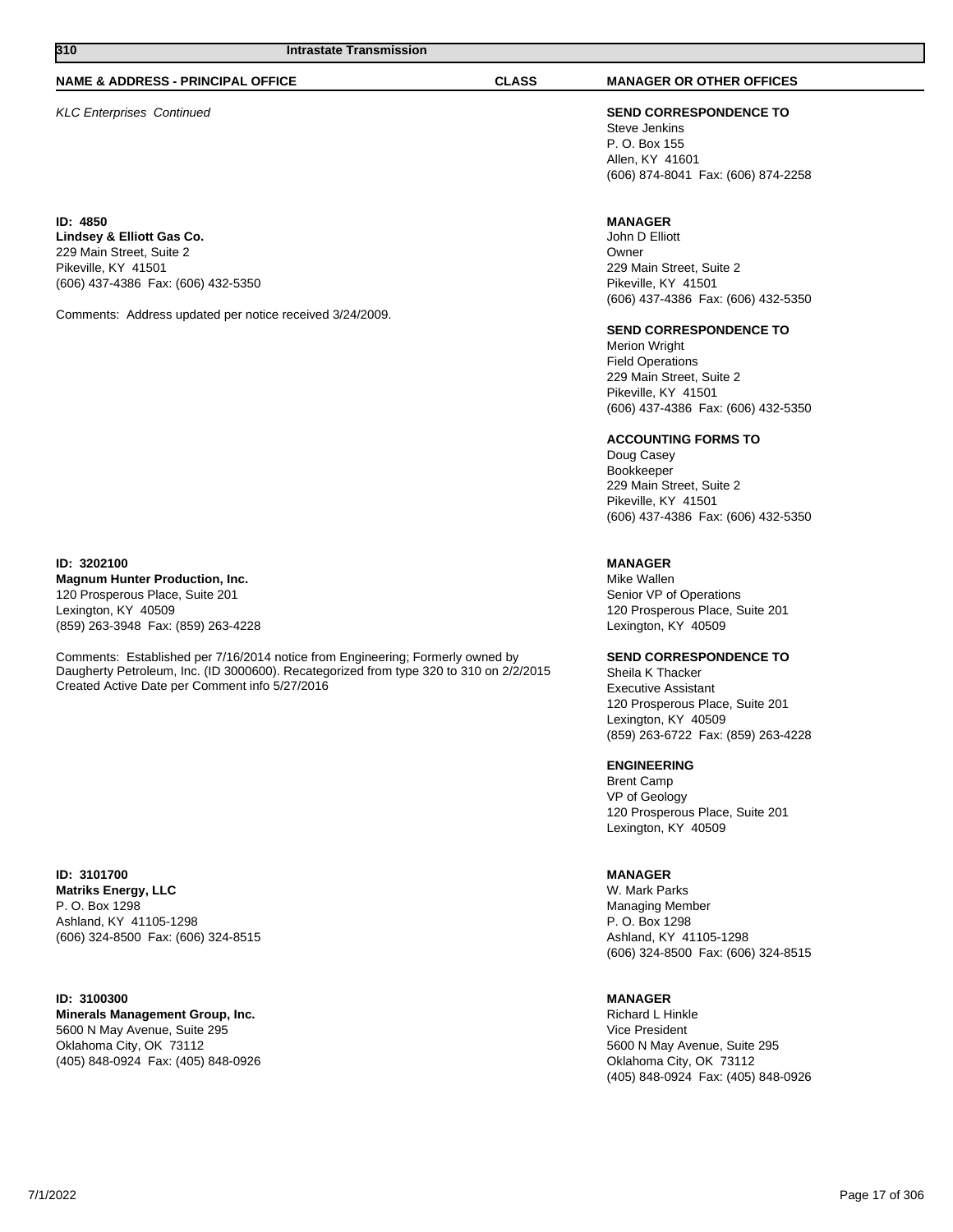#### **NAME & ADDRESS - PRINCIPAL OFFICE CLASS MANAGER OR OTHER OFFICES**

**ID: 4850 Lindsey & Elliott Gas Co.** 229 Main Street, Suite 2 Pikeville, KY 41501 (606) 437-4386 Fax: (606) 432-5350

Comments: Address updated per notice received 3/24/2009.

**ID: 3202100 Magnum Hunter Production, Inc.** 120 Prosperous Place, Suite 201

Lexington, KY 40509 (859) 263-3948 Fax: (859) 263-4228

Comments: Established per 7/16/2014 notice from Engineering; Formerly owned by Daugherty Petroleum, Inc. (ID 3000600). Recategorized from type 320 to 310 on 2/2/2015 Created Active Date per Comment info 5/27/2016

**ID: 3101700 Matriks Energy, LLC** P. O. Box 1298 Ashland, KY 41105-1298 (606) 324-8500 Fax: (606) 324-8515

**ID: 3100300**

**Minerals Management Group, Inc.** 5600 N May Avenue, Suite 295 Oklahoma City, OK 73112 (405) 848-0924 Fax: (405) 848-0926

KLC Enterprises Continued **SEND CORRESPONDENCE TO** Steve Jenkins P. O. Box 155 Allen, KY 41601 (606) 874-8041 Fax: (606) 874-2258

#### **MANAGER**

John D Elliott Owner 229 Main Street, Suite 2 Pikeville, KY 41501 (606) 437-4386 Fax: (606) 432-5350

#### **SEND CORRESPONDENCE TO**

Merion Wright Field Operations 229 Main Street, Suite 2 Pikeville, KY 41501 (606) 437-4386 Fax: (606) 432-5350

### **ACCOUNTING FORMS TO**

Doug Casey Bookkeeper 229 Main Street, Suite 2 Pikeville, KY 41501 (606) 437-4386 Fax: (606) 432-5350

## **MANAGER**

Mike Wallen Senior VP of Operations 120 Prosperous Place, Suite 201 Lexington, KY 40509

### **SEND CORRESPONDENCE TO**

Sheila K Thacker Executive Assistant 120 Prosperous Place, Suite 201 Lexington, KY 40509 (859) 263-6722 Fax: (859) 263-4228

## **ENGINEERING**

Brent Camp VP of Geology 120 Prosperous Place, Suite 201 Lexington, KY 40509

#### **MANAGER**

W. Mark Parks Managing Member P. O. Box 1298 Ashland, KY 41105-1298 (606) 324-8500 Fax: (606) 324-8515

#### **MANAGER**

Richard L Hinkle Vice President 5600 N May Avenue, Suite 295 Oklahoma City, OK 73112 (405) 848-0924 Fax: (405) 848-0926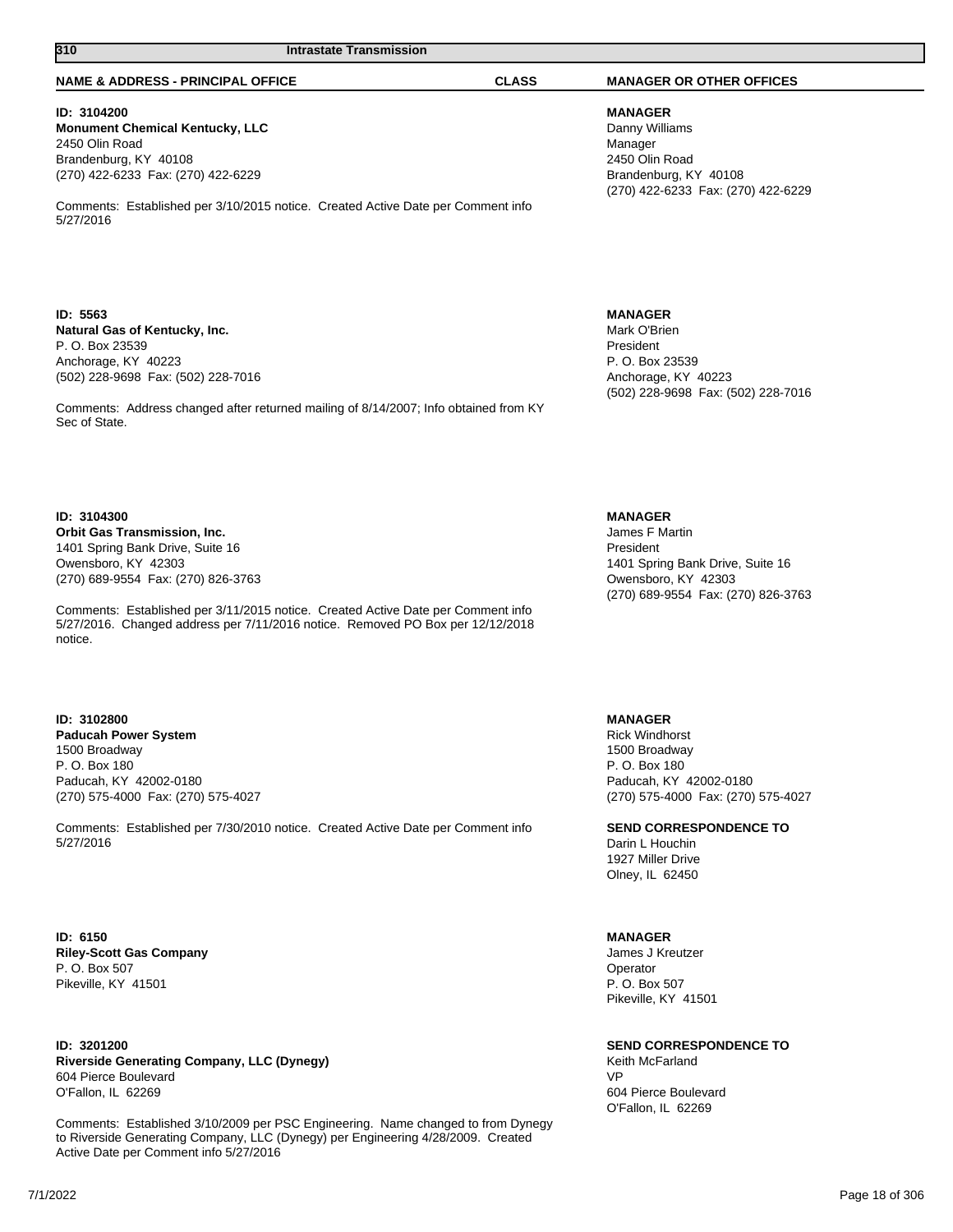## **ID: 3104200**

**Monument Chemical Kentucky, LLC** 2450 Olin Road Brandenburg, KY 40108 (270) 422-6233 Fax: (270) 422-6229

Comments: Established per 3/10/2015 notice. Created Active Date per Comment info 5/27/2016

**310 Intrastate Transmission** 

### **ID: 5563 Natural Gas of Kentucky, Inc.** P. O. Box 23539 Anchorage, KY 40223 (502) 228-9698 Fax: (502) 228-7016

Comments: Address changed after returned mailing of 8/14/2007; Info obtained from KY Sec of State.

#### **ID: 3104300**

**Orbit Gas Transmission, Inc.** 1401 Spring Bank Drive, Suite 16 Owensboro, KY 42303 (270) 689-9554 Fax: (270) 826-3763

Comments: Established per 3/11/2015 notice. Created Active Date per Comment info 5/27/2016. Changed address per 7/11/2016 notice. Removed PO Box per 12/12/2018 notice.

#### **ID: 3102800**

**Paducah Power System** 1500 Broadway P. O. Box 180 Paducah, KY 42002-0180 (270) 575-4000 Fax: (270) 575-4027

Comments: Established per 7/30/2010 notice. Created Active Date per Comment info 5/27/2016

### **ID: 6150 Riley-Scott Gas Company** P. O. Box 507 Pikeville, KY 41501

**ID: 3201200 Riverside Generating Company, LLC (Dynegy)** 604 Pierce Boulevard O'Fallon, IL 62269

Comments: Established 3/10/2009 per PSC Engineering. Name changed to from Dynegy to Riverside Generating Company, LLC (Dynegy) per Engineering 4/28/2009. Created Active Date per Comment info 5/27/2016

#### **NAME & ADDRESS - PRINCIPAL OFFICE CLASS MANAGER OR OTHER OFFICES**

**MANAGER** Danny Williams Manager 2450 Olin Road Brandenburg, KY 40108 (270) 422-6233 Fax: (270) 422-6229

**MANAGER**

Mark O'Brien President P. O. Box 23539 Anchorage, KY 40223 (502) 228-9698 Fax: (502) 228-7016

#### **MANAGER**

James F Martin President 1401 Spring Bank Drive, Suite 16 Owensboro, KY 42303 (270) 689-9554 Fax: (270) 826-3763

## **MANAGER**

Rick Windhorst 1500 Broadway P. O. Box 180 Paducah, KY 42002-0180 (270) 575-4000 Fax: (270) 575-4027

**SEND CORRESPONDENCE TO** Darin L Houchin 1927 Miller Drive Olney, IL 62450

#### **MANAGER**

James J Kreutzer Operator P. O. Box 507 Pikeville, KY 41501

**SEND CORRESPONDENCE TO**

Keith McFarland VP 604 Pierce Boulevard O'Fallon, IL 62269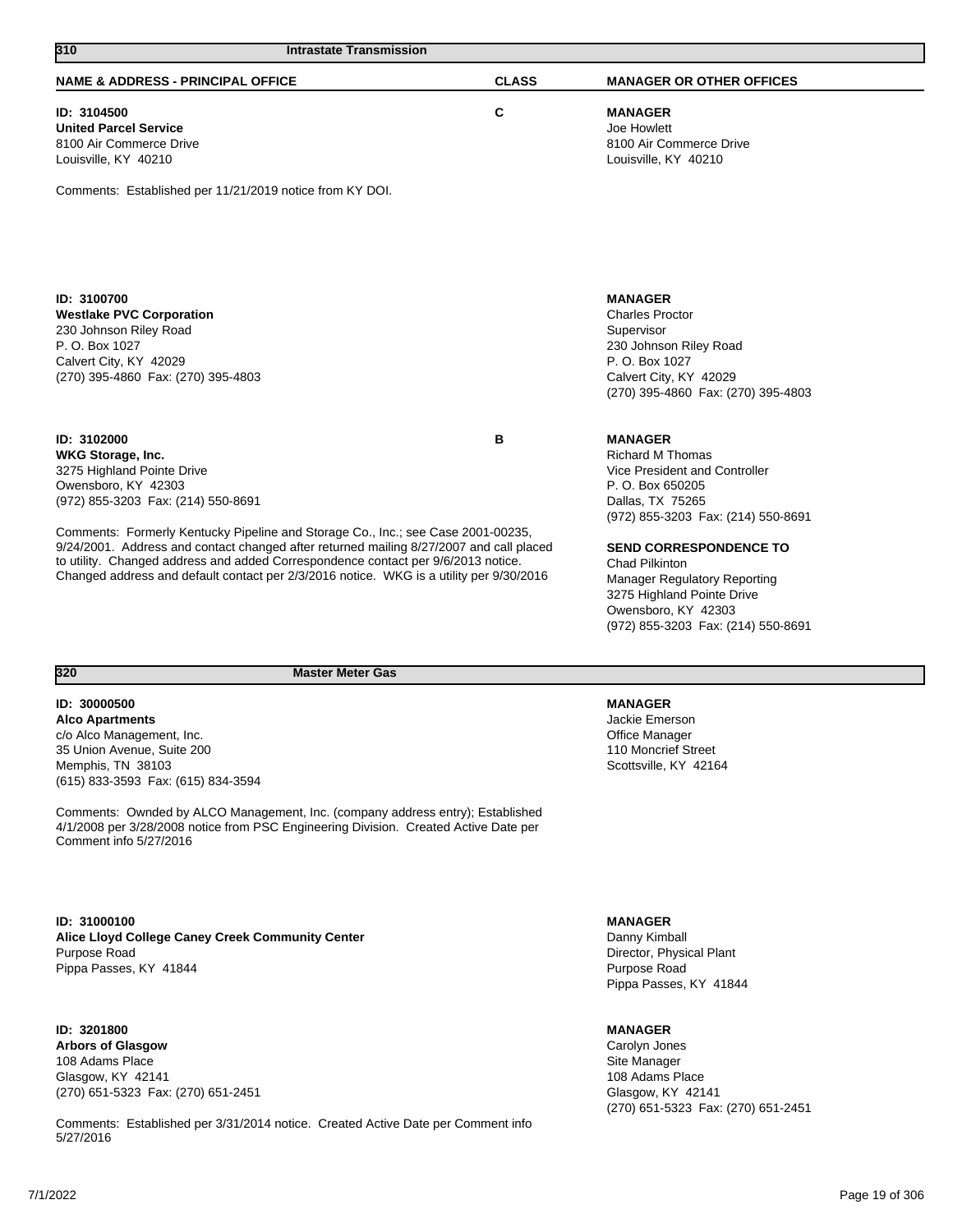| 310<br><b>Intrastate Transmission</b>                                                   |                               |                                     |
|-----------------------------------------------------------------------------------------|-------------------------------|-------------------------------------|
| <b>NAME &amp; ADDRESS - PRINCIPAL OFFICE</b>                                            | <b>CLASS</b>                  | <b>MANAGER OR OTHER OFFICES</b>     |
| ID: 3104500                                                                             | C                             | <b>MANAGER</b>                      |
| <b>United Parcel Service</b>                                                            |                               | Joe Howlett                         |
| 8100 Air Commerce Drive                                                                 |                               | 8100 Air Commerce Drive             |
| Louisville, KY 40210                                                                    |                               | Louisville, KY 40210                |
| Comments: Established per 11/21/2019 notice from KY DOI.                                |                               |                                     |
| ID: 3100700                                                                             |                               | <b>MANAGER</b>                      |
| <b>Westlake PVC Corporation</b>                                                         |                               | <b>Charles Proctor</b>              |
| 230 Johnson Riley Road                                                                  |                               | Supervisor                          |
| P. O. Box 1027                                                                          |                               | 230 Johnson Riley Road              |
| Calvert City, KY 42029                                                                  |                               | P. O. Box 1027                      |
| (270) 395-4860 Fax: (270) 395-4803                                                      |                               | Calvert City, KY 42029              |
|                                                                                         |                               | (270) 395-4860 Fax: (270) 395-4803  |
| ID: 3102000                                                                             | в                             | <b>MANAGER</b>                      |
| <b>WKG Storage, Inc.</b>                                                                |                               | <b>Richard M Thomas</b>             |
| 3275 Highland Pointe Drive                                                              |                               | Vice President and Controller       |
| Owensboro, KY 42303                                                                     |                               | P. O. Box 650205                    |
| (972) 855-3203 Fax: (214) 550-8691                                                      |                               | Dallas, TX 75265                    |
|                                                                                         |                               | (972) 855-3203 Fax: (214) 550-8691  |
| Comments: Formerly Kentucky Pipeline and Storage Co., Inc.; see Case 2001-00235,        |                               |                                     |
| 9/24/2001. Address and contact changed after returned mailing 8/27/2007 and call placed | <b>SEND CORRESPONDENCE TO</b> |                                     |
| to utility. Changed address and added Correspondence contact per 9/6/2013 notice.       |                               | <b>Chad Pilkinton</b>               |
| Changed address and default contact per 2/3/2016 notice. WKG is a utility per 9/30/2016 |                               | <b>Manager Regulatory Reporting</b> |
|                                                                                         |                               | 3275 Highland Pointe Drive          |
|                                                                                         |                               | Owensboro, KY 42303                 |
|                                                                                         |                               | (972) 855-3203 Fax: (214) 550-8691  |

### **ID: 30000500 Alco Apartments** c/o Alco Management, Inc. 35 Union Avenue, Suite 200 Memphis, TN 38103 (615) 833-3593 Fax: (615) 834-3594

Comments: Ownded by ALCO Management, Inc. (company address entry); Established 4/1/2008 per 3/28/2008 notice from PSC Engineering Division. Created Active Date per Comment info 5/27/2016

**ID: 31000100 Alice Lloyd College Caney Creek Community Center** Purpose Road Pippa Passes, KY 41844

**ID: 3201800 Arbors of Glasgow**

108 Adams Place Glasgow, KY 42141 (270) 651-5323 Fax: (270) 651-2451

Comments: Established per 3/31/2014 notice. Created Active Date per Comment info 5/27/2016

## **MANAGER**

Jackie Emerson Office Manager 110 Moncrief Street Scottsville, KY 42164

**MANAGER**

Danny Kimball Director, Physical Plant Purpose Road Pippa Passes, KY 41844

## **MANAGER**

Carolyn Jones Site Manager 108 Adams Place Glasgow, KY 42141 (270) 651-5323 Fax: (270) 651-2451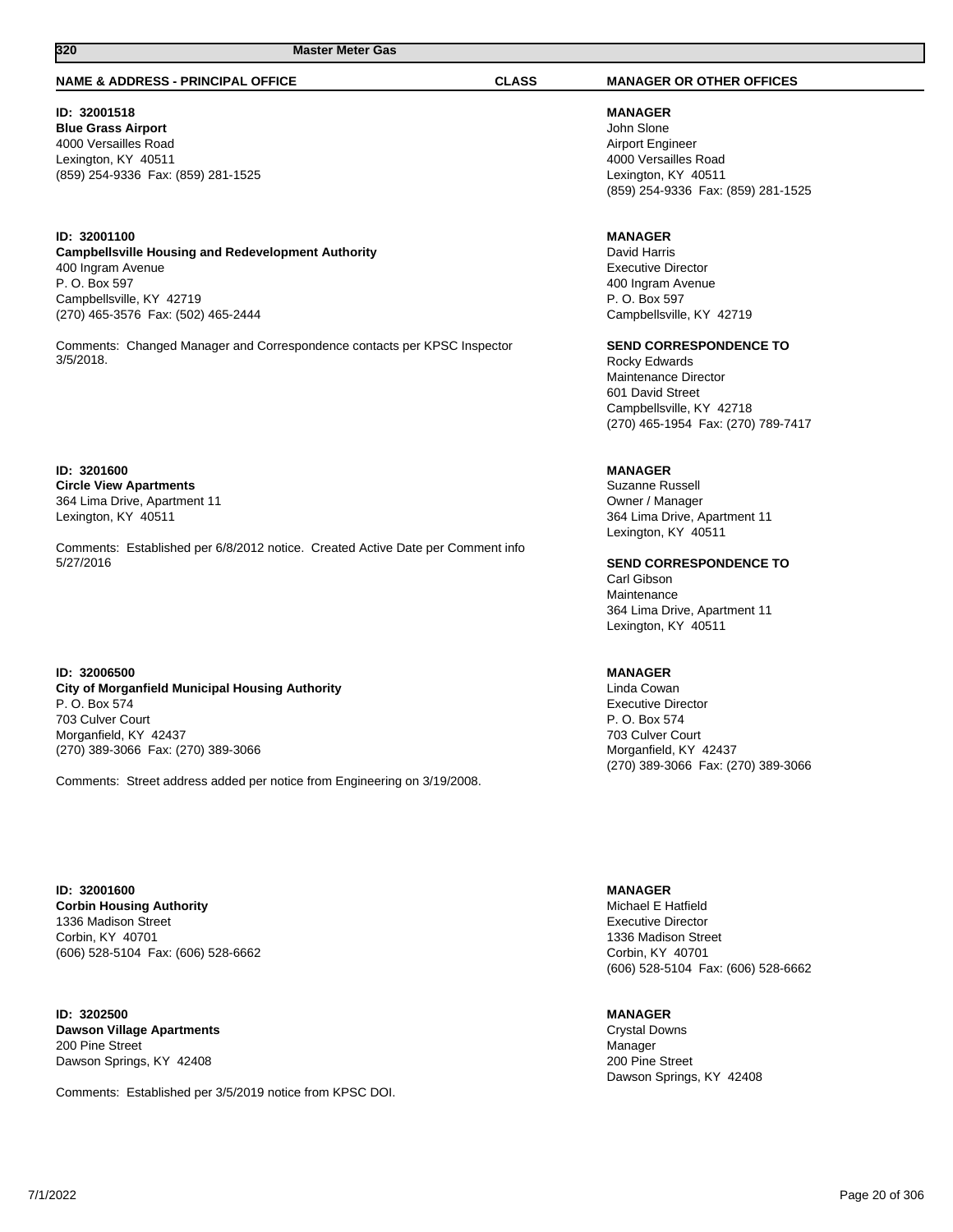#### **NAME & ADDRESS - PRINCIPAL OFFICE CLASS MANAGER OR OTHER OFFICES**

**ID: 32001518 Blue Grass Airport** 4000 Versailles Road Lexington, KY 40511 (859) 254-9336 Fax: (859) 281-1525

#### **ID: 32001100 Campbellsville Housing and Redevelopment Authority** 400 Ingram Avenue P. O. Box 597 Campbellsville, KY 42719 (270) 465-3576 Fax: (502) 465-2444

Comments: Changed Manager and Correspondence contacts per KPSC Inspector 3/5/2018.

**ID: 3201600 Circle View Apartments** 364 Lima Drive, Apartment 11 Lexington, KY 40511

Comments: Established per 6/8/2012 notice. Created Active Date per Comment info 5/27/2016

**ID: 32006500 City of Morganfield Municipal Housing Authority** P. O. Box 574 703 Culver Court Morganfield, KY 42437 (270) 389-3066 Fax: (270) 389-3066

Comments: Street address added per notice from Engineering on 3/19/2008.

**ID: 32001600 Corbin Housing Authority** 1336 Madison Street Corbin, KY 40701 (606) 528-5104 Fax: (606) 528-6662

**ID: 3202500 Dawson Village Apartments** 200 Pine Street Dawson Springs, KY 42408

Comments: Established per 3/5/2019 notice from KPSC DOI.

**MANAGER** John Slone Airport Engineer 4000 Versailles Road Lexington, KY 40511 (859) 254-9336 Fax: (859) 281-1525

### **MANAGER**

David Harris Executive Director 400 Ingram Avenue P. O. Box 597 Campbellsville, KY 42719

**SEND CORRESPONDENCE TO** Rocky Edwards

Maintenance Director 601 David Street Campbellsville, KY 42718 (270) 465-1954 Fax: (270) 789-7417

## **MANAGER**

Suzanne Russell Owner / Manager 364 Lima Drive, Apartment 11 Lexington, KY 40511

**SEND CORRESPONDENCE TO** Carl Gibson Maintenance 364 Lima Drive, Apartment 11 Lexington, KY 40511

#### **MANAGER**

Linda Cowan Executive Director P. O. Box 574 703 Culver Court Morganfield, KY 42437 (270) 389-3066 Fax: (270) 389-3066

**MANAGER**

Michael E Hatfield Executive Director 1336 Madison Street Corbin, KY 40701 (606) 528-5104 Fax: (606) 528-6662

#### **MANAGER**

Crystal Downs Manager 200 Pine Street Dawson Springs, KY 42408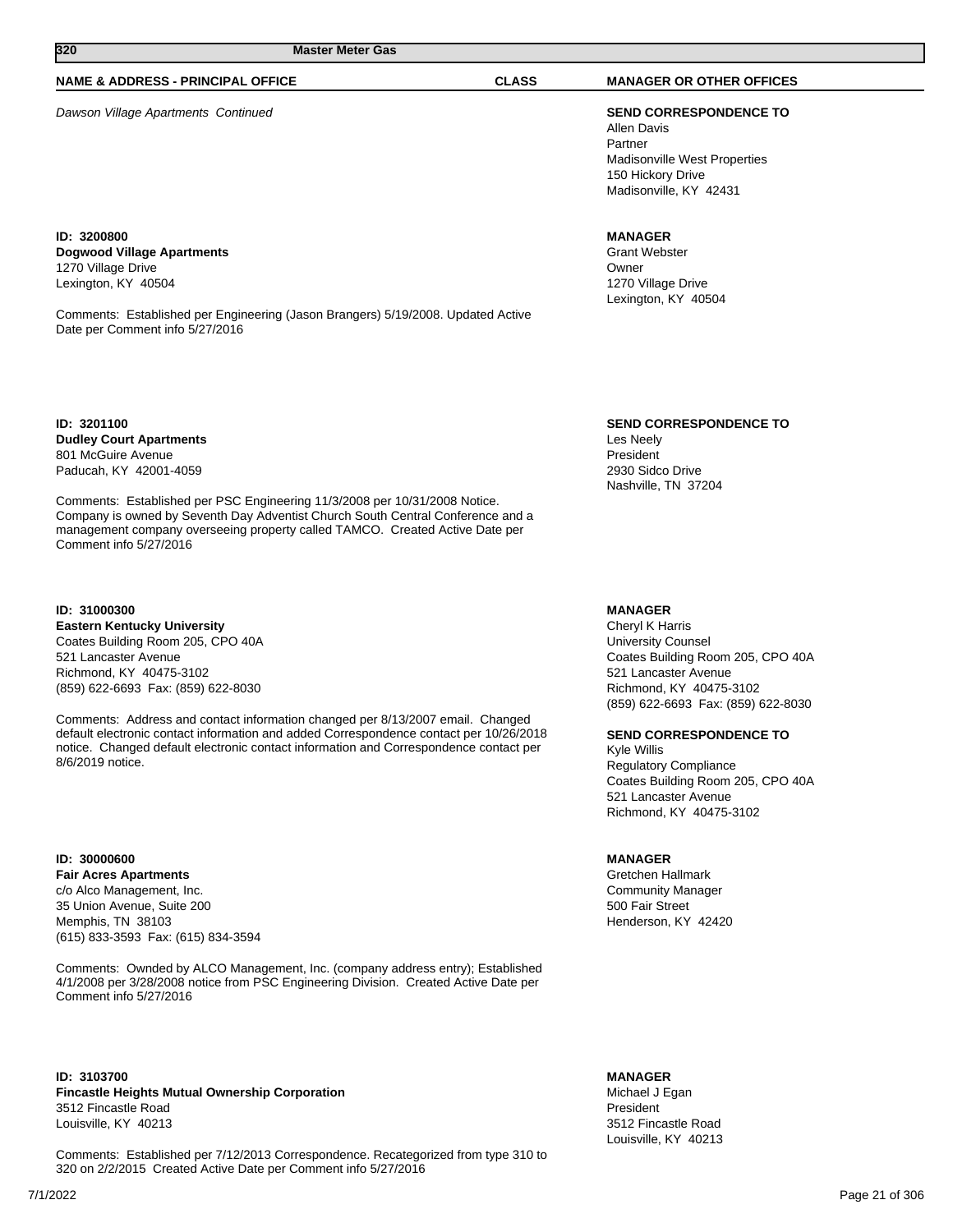## **NAME & ADDRESS - PRINCIPAL OFFICE CLASS MANAGER OR OTHER OFFICES**

Dawson Village Apartments Continued **SEND CORRESPONDENCE TO**

**ID: 3200800 Dogwood Village Apartments** 1270 Village Drive Lexington, KY 40504

Comments: Established per Engineering (Jason Brangers) 5/19/2008. Updated Active Date per Comment info 5/27/2016

**ID: 3201100 Dudley Court Apartments** 801 McGuire Avenue Paducah, KY 42001-4059

Comments: Established per PSC Engineering 11/3/2008 per 10/31/2008 Notice. Company is owned by Seventh Day Adventist Church South Central Conference and a management company overseeing property called TAMCO. Created Active Date per Comment info 5/27/2016

**ID: 31000300 Eastern Kentucky University** Coates Building Room 205, CPO 40A 521 Lancaster Avenue Richmond, KY 40475-3102 (859) 622-6693 Fax: (859) 622-8030

Comments: Address and contact information changed per 8/13/2007 email. Changed default electronic contact information and added Correspondence contact per 10/26/2018 notice. Changed default electronic contact information and Correspondence contact per 8/6/2019 notice.

**ID: 30000600 Fair Acres Apartments** c/o Alco Management, Inc. 35 Union Avenue, Suite 200 Memphis, TN 38103 (615) 833-3593 Fax: (615) 834-3594

Comments: Ownded by ALCO Management, Inc. (company address entry); Established 4/1/2008 per 3/28/2008 notice from PSC Engineering Division. Created Active Date per Comment info 5/27/2016

**ID: 3103700 Fincastle Heights Mutual Ownership Corporation** 3512 Fincastle Road Louisville, KY 40213

Comments: Established per 7/12/2013 Correspondence. Recategorized from type 310 to 320 on 2/2/2015 Created Active Date per Comment info 5/27/2016

Allen Davis Partner Madisonville West Properties 150 Hickory Drive Madisonville, KY 42431

#### **MANAGER**

Grant Webster Owner 1270 Village Drive Lexington, KY 40504

**SEND CORRESPONDENCE TO**

Les Neely President 2930 Sidco Drive Nashville, TN 37204

## **MANAGER**

Cheryl K Harris University Counsel Coates Building Room 205, CPO 40A 521 Lancaster Avenue Richmond, KY 40475-3102 (859) 622-6693 Fax: (859) 622-8030

### **SEND CORRESPONDENCE TO**

Kyle Willis Regulatory Compliance Coates Building Room 205, CPO 40A 521 Lancaster Avenue Richmond, KY 40475-3102

#### **MANAGER**

Gretchen Hallmark Community Manager 500 Fair Street Henderson, KY 42420

## **MANAGER**

Michael J Egan President 3512 Fincastle Road Louisville, KY 40213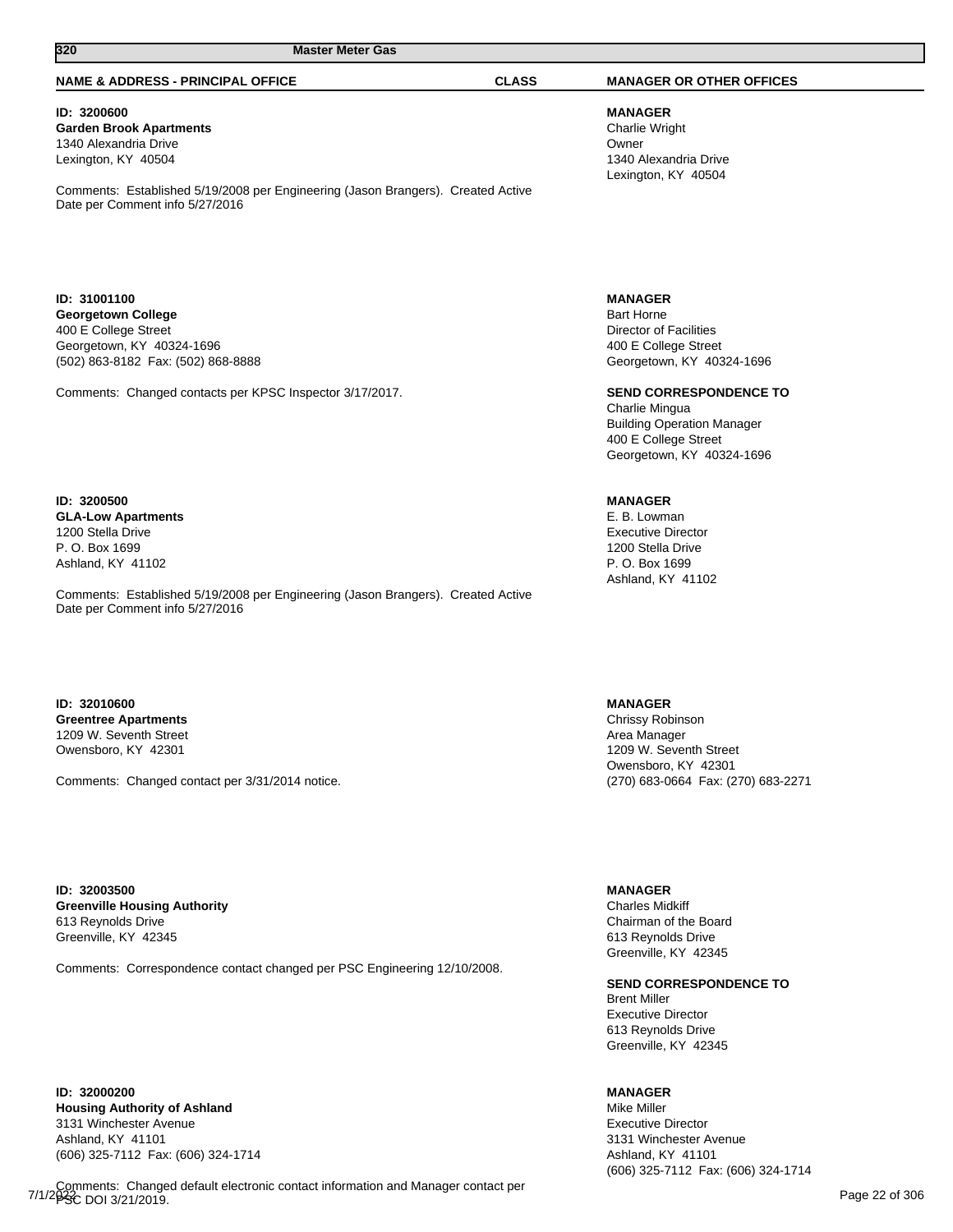### **NAME & ADDRESS - PRINCIPAL OFFICE CLASS MANAGER OR OTHER OFFICES**

**ID: 3200600 Garden Brook Apartments** 1340 Alexandria Drive Lexington, KY 40504

Comments: Established 5/19/2008 per Engineering (Jason Brangers). Created Active Date per Comment info 5/27/2016

**ID: 31001100 Georgetown College** 400 E College Street Georgetown, KY 40324-1696 (502) 863-8182 Fax: (502) 868-8888

Comments: Changed contacts per KPSC Inspector 3/17/2017.

## **ID: 3200500 GLA-Low Apartments** 1200 Stella Drive P. O. Box 1699 Ashland, KY 41102

Comments: Established 5/19/2008 per Engineering (Jason Brangers). Created Active Date per Comment info 5/27/2016

### **ID: 32010600 Greentree Apartments** 1209 W. Seventh Street Owensboro, KY 42301

Comments: Changed contact per 3/31/2014 notice.

**ID: 32003500 Greenville Housing Authority** 613 Reynolds Drive Greenville, KY 42345

Comments: Correspondence contact changed per PSC Engineering 12/10/2008.

**ID: 32000200 Housing Authority of Ashland** 3131 Winchester Avenue Ashland, KY 41101 (606) 325-7112 Fax: (606) 324-1714

Comments: Changed default electronic contact information and Manager contact per<br>7/1/2**02**2 DOL3/21/2019 PS CDOI 3/21/2019.

**MANAGER** Charlie Wright Owner 1340 Alexandria Drive Lexington, KY 40504

**MANAGER** Bart Horne Director of Facilities 400 E College Street Georgetown, KY 40324-1696

**SEND CORRESPONDENCE TO**

Charlie Mingua Building Operation Manager 400 E College Street Georgetown, KY 40324-1696

## **MANAGER**

E. B. Lowman Executive Director 1200 Stella Drive P. O. Box 1699 Ashland, KY 41102

**MANAGER**

Chrissy Robinson Area Manager 1209 W. Seventh Street Owensboro, KY 42301 (270) 683-0664 Fax: (270) 683-2271

### **MANAGER**

Charles Midkiff Chairman of the Board 613 Reynolds Drive Greenville, KY 42345

**SEND CORRESPONDENCE TO**

Brent Miller Executive Director 613 Reynolds Drive Greenville, KY 42345

## **MANAGER**

Mike Miller Executive Director 3131 Winchester Avenue Ashland, KY 41101 (606) 325-7112 Fax: (606) 324-1714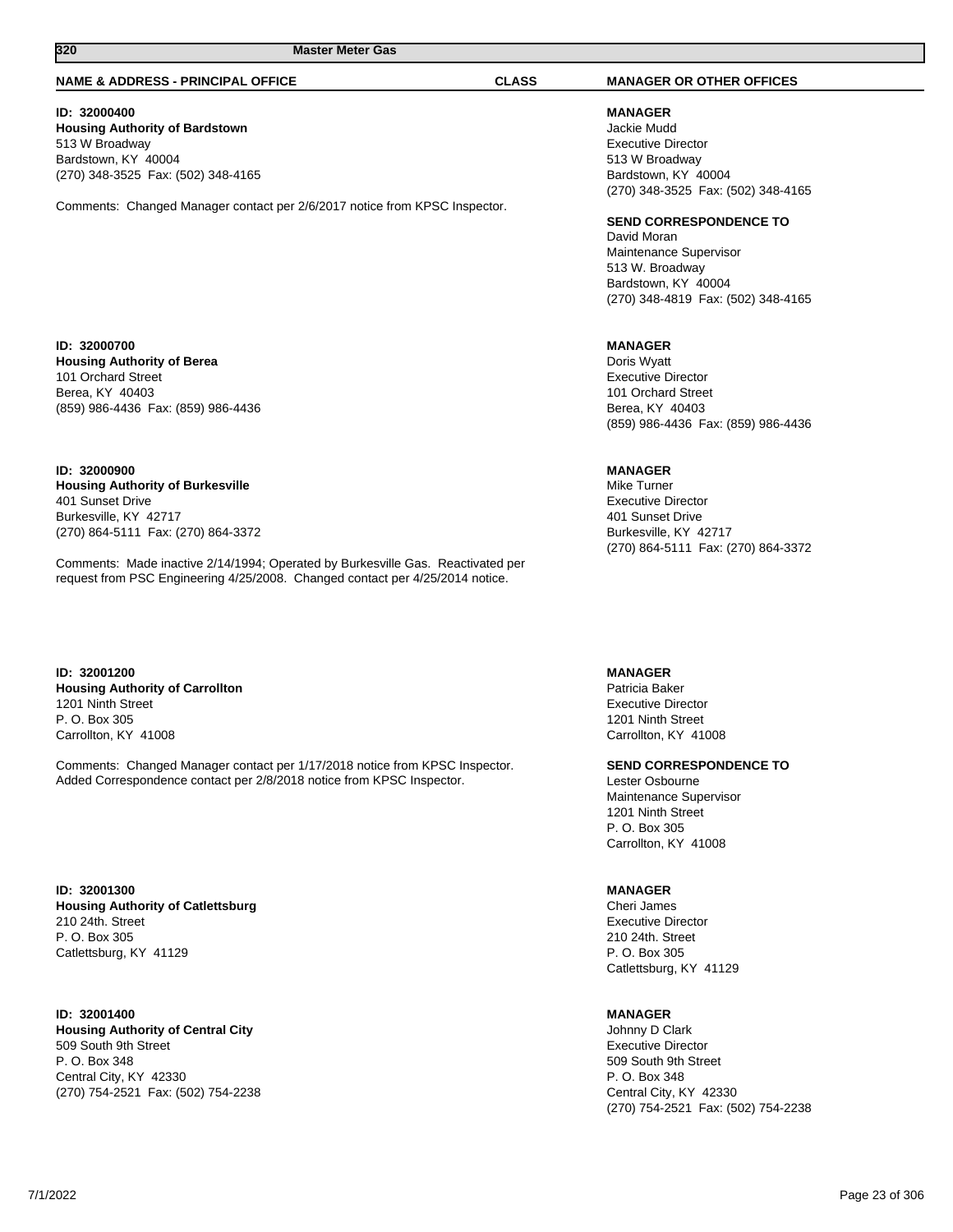#### **NAME & ADDRESS - PRINCIPAL OFFICE CLASS MANAGER OR OTHER OFFICES**

## **ID: 32000400**

**Housing Authority of Bardstown** 513 W Broadway Bardstown, KY 40004 (270) 348-3525 Fax: (502) 348-4165

Comments: Changed Manager contact per 2/6/2017 notice from KPSC Inspector.

#### **ID: 32000700 Housing Authority of Berea** 101 Orchard Street Berea, KY 40403 (859) 986-4436 Fax: (859) 986-4436

**ID: 32000900 Housing Authority of Burkesville** 401 Sunset Drive Burkesville, KY 42717 (270) 864-5111 Fax: (270) 864-3372

Comments: Made inactive 2/14/1994; Operated by Burkesville Gas. Reactivated per request from PSC Engineering 4/25/2008. Changed contact per 4/25/2014 notice.

**ID: 32001200 Housing Authority of Carrollton** 1201 Ninth Street P. O. Box 305 Carrollton, KY 41008

Comments: Changed Manager contact per 1/17/2018 notice from KPSC Inspector. Added Correspondence contact per 2/8/2018 notice from KPSC Inspector.

**ID: 32001300 Housing Authority of Catlettsburg** 210 24th. Street P. O. Box 305 Catlettsburg, KY 41129

#### **ID: 32001400 Housing Authority of Central City** 509 South 9th Street P. O. Box 348 Central City, KY 42330 (270) 754-2521 Fax: (502) 754-2238

**MANAGER** Jackie Mudd Executive Director 513 W Broadway Bardstown, KY 40004

**SEND CORRESPONDENCE TO**

David Moran Maintenance Supervisor 513 W. Broadway Bardstown, KY 40004 (270) 348-4819 Fax: (502) 348-4165

(270) 348-3525 Fax: (502) 348-4165

#### **MANAGER**

Doris Wyatt Executive Director 101 Orchard Street Berea, KY 40403 (859) 986-4436 Fax: (859) 986-4436

## **MANAGER**

Mike Turner Executive Director 401 Sunset Drive Burkesville, KY 42717 (270) 864-5111 Fax: (270) 864-3372

**MANAGER**

Patricia Baker Executive Director 1201 Ninth Street Carrollton, KY 41008

### **SEND CORRESPONDENCE TO**

Lester Osbourne Maintenance Supervisor 1201 Ninth Street P. O. Box 305 Carrollton, KY 41008

#### **MANAGER**

Cheri James Executive Director 210 24th. Street P. O. Box 305 Catlettsburg, KY 41129

#### **MANAGER**

Johnny D Clark Executive Director 509 South 9th Street P. O. Box 348 Central City, KY 42330 (270) 754-2521 Fax: (502) 754-2238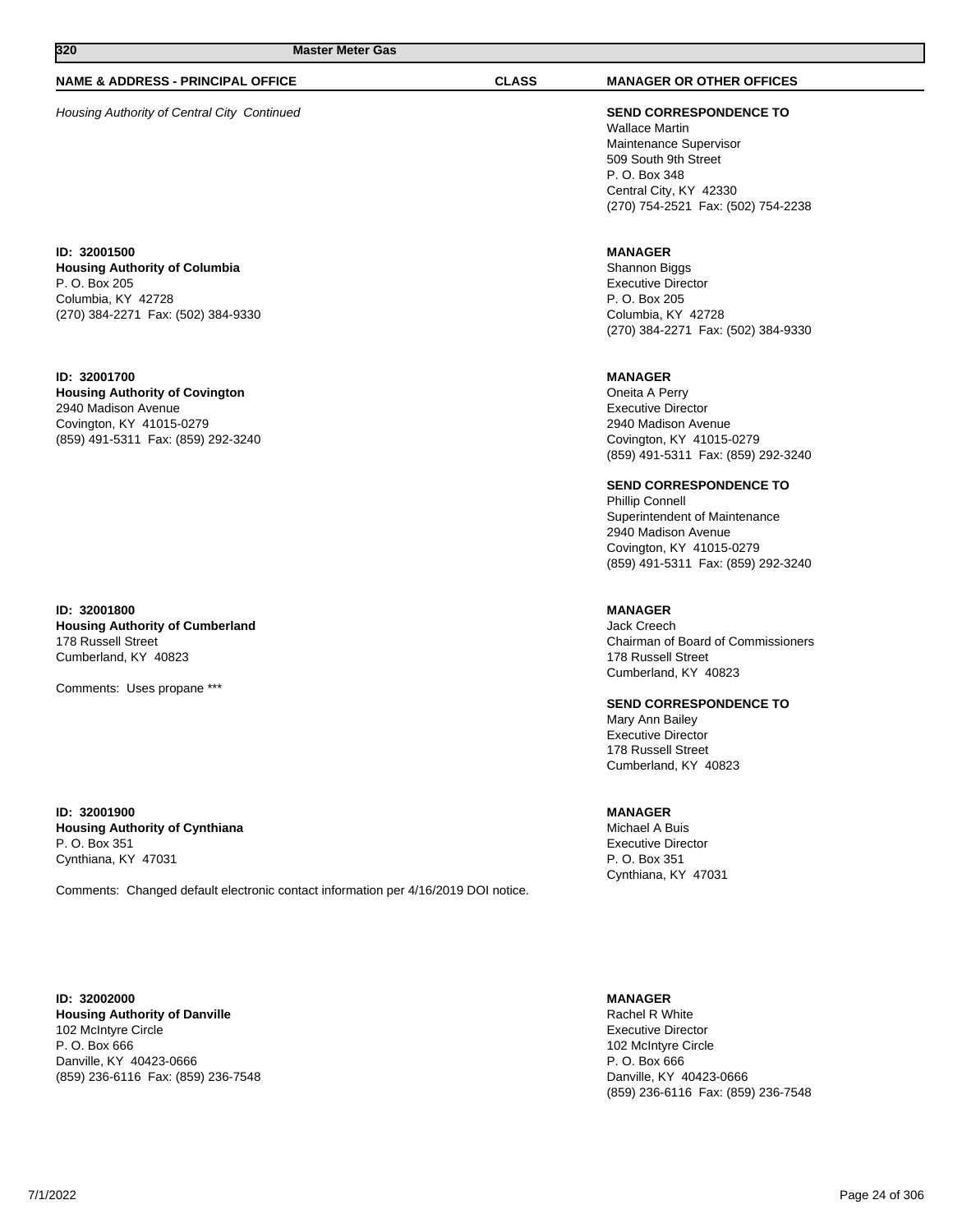## **NAME & ADDRESS - PRINCIPAL OFFICE CLASS MANAGER OR OTHER OFFICES**

Housing Authority of Central City Continued **SEND CORRESPONDENCE TO**

**ID: 32001500 Housing Authority of Columbia** P. O. Box 205 Columbia, KY 42728 (270) 384-2271 Fax: (502) 384-9330

**ID: 32001700 Housing Authority of Covington** 2940 Madison Avenue Covington, KY 41015-0279 (859) 491-5311 Fax: (859) 292-3240

**ID: 32001800 Housing Authority of Cumberland** 178 Russell Street Cumberland, KY 40823

Comments: Uses propane \*\*\*

**ID: 32001900 Housing Authority of Cynthiana** P. O. Box 351 Cynthiana, KY 47031

Comments: Changed default electronic contact information per 4/16/2019 DOI notice.

**ID: 32002000 Housing Authority of Danville** 102 McIntyre Circle P. O. Box 666 Danville, KY 40423-0666 (859) 236-6116 Fax: (859) 236-7548

Wallace Martin Maintenance Supervisor 509 South 9th Street P. O. Box 348 Central City, KY 42330 (270) 754-2521 Fax: (502) 754-2238

## **MANAGER**

Shannon Biggs Executive Director P. O. Box 205 Columbia, KY 42728 (270) 384-2271 Fax: (502) 384-9330

#### **MANAGER**

Oneita A Perry Executive Director 2940 Madison Avenue Covington, KY 41015-0279 (859) 491-5311 Fax: (859) 292-3240

### **SEND CORRESPONDENCE TO**

Phillip Connell Superintendent of Maintenance 2940 Madison Avenue Covington, KY 41015-0279 (859) 491-5311 Fax: (859) 292-3240

## **MANAGER**

Jack Creech Chairman of Board of Commissioners 178 Russell Street Cumberland, KY 40823

## **SEND CORRESPONDENCE TO**

Mary Ann Bailey Executive Director 178 Russell Street Cumberland, KY 40823

### **MANAGER**

Michael A Buis Executive Director P. O. Box 351 Cynthiana, KY 47031

## **MANAGER**

Rachel R White Executive Director 102 McIntyre Circle P. O. Box 666 Danville, KY 40423-0666 (859) 236-6116 Fax: (859) 236-7548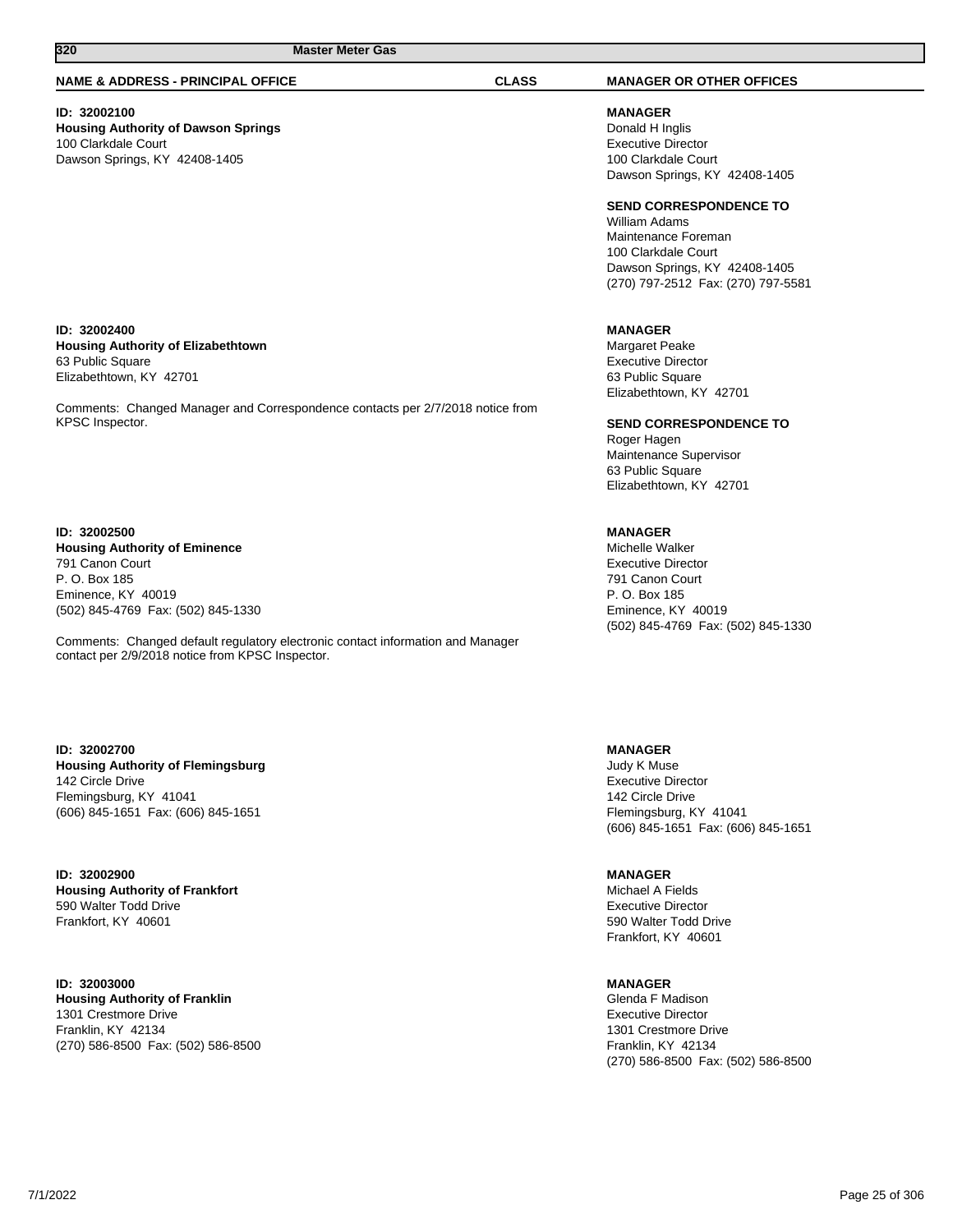Comments: Changed Manager and Correspondence contacts per 2/7/2018 notice from

Comments: Changed default regulatory electronic contact information and Manager

#### **NAME & ADDRESS - PRINCIPAL OFFICE CLASS MANAGER OR OTHER OFFICES**

## **ID: 32002100**

**ID: 32002400**

63 Public Square Elizabethtown, KY 42701

KPSC Inspector.

**ID: 32002500**

791 Canon Court P. O. Box 185 Eminence, KY 40019

**Housing Authority of Dawson Springs** 100 Clarkdale Court Dawson Springs, KY 42408-1405

**Housing Authority of Elizabethtown**

**Housing Authority of Eminence**

(502) 845-4769 Fax: (502) 845-1330

contact per 2/9/2018 notice from KPSC Inspector.

**MANAGER** Donald H Inglis Executive Director 100 Clarkdale Court Dawson Springs, KY 42408-1405

**SEND CORRESPONDENCE TO**

William Adams Maintenance Foreman 100 Clarkdale Court Dawson Springs, KY 42408-1405 (270) 797-2512 Fax: (270) 797-5581

#### **MANAGER**

Margaret Peake Executive Director 63 Public Square Elizabethtown, KY 42701

**SEND CORRESPONDENCE TO**

Roger Hagen Maintenance Supervisor 63 Public Square Elizabethtown, KY 42701

### **MANAGER**

Michelle Walker Executive Director 791 Canon Court P. O. Box 185 Eminence, KY 40019 (502) 845-4769 Fax: (502) 845-1330

**ID: 32002700 Housing Authority of Flemingsburg** 142 Circle Drive Flemingsburg, KY 41041

**ID: 32002900 Housing Authority of Frankfort** 590 Walter Todd Drive Frankfort, KY 40601

**ID: 32003000 Housing Authority of Franklin** 1301 Crestmore Drive Franklin, KY 42134 (270) 586-8500 Fax: (502) 586-8500 **MANAGER**

Judy K Muse Executive Director 142 Circle Drive Flemingsburg, KY 41041 (606) 845-1651 Fax: (606) 845-1651

**MANAGER** Michael A Fields Executive Director 590 Walter Todd Drive Frankfort, KY 40601

**MANAGER**

Glenda F Madison Executive Director 1301 Crestmore Drive Franklin, KY 42134 (270) 586-8500 Fax: (502) 586-8500

(606) 845-1651 Fax: (606) 845-1651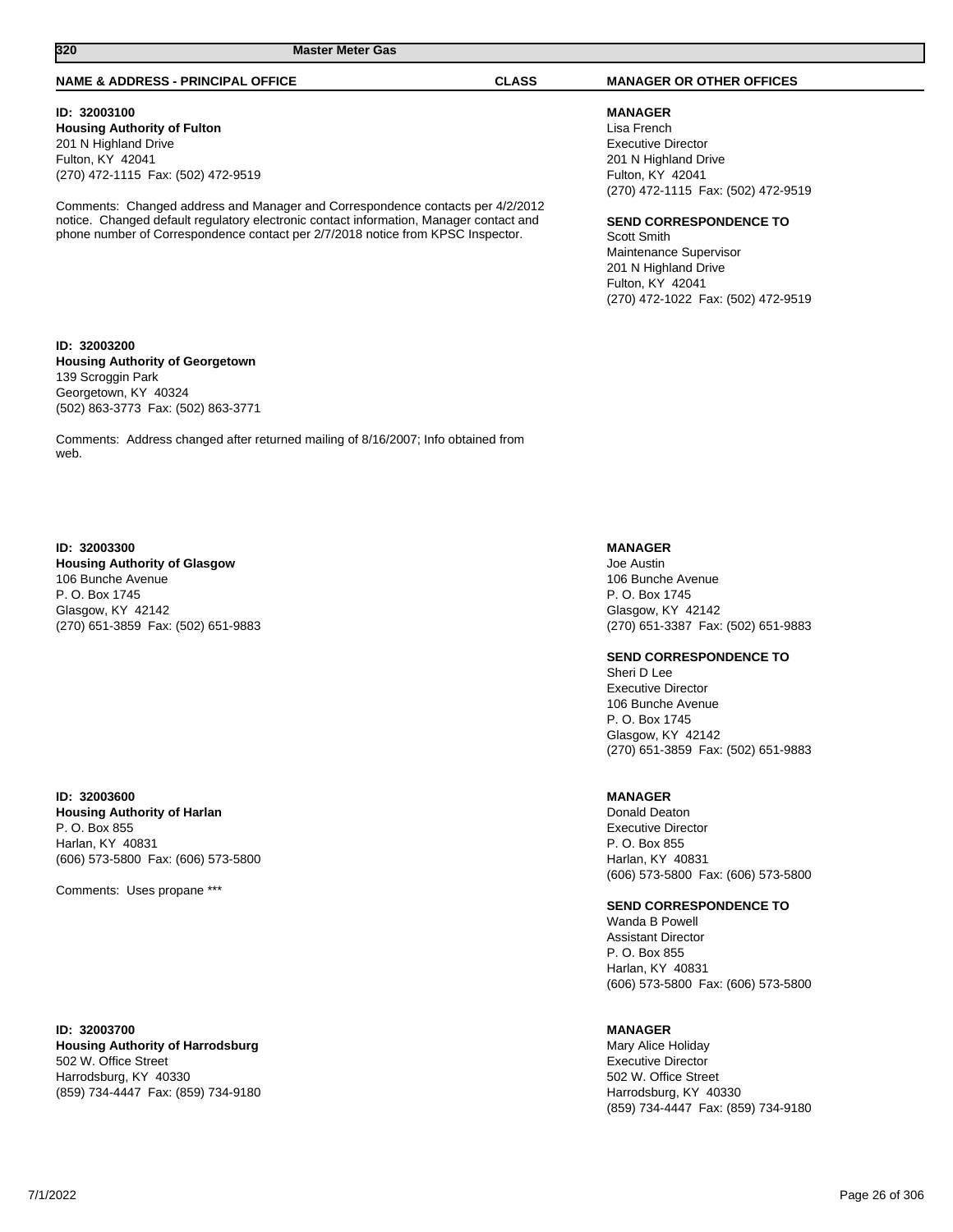#### **NAME & ADDRESS - PRINCIPAL OFFICE CLASS MANAGER OR OTHER OFFICES**

### **ID: 32003100**

**Housing Authority of Fulton** 201 N Highland Drive Fulton, KY 42041 (270) 472-1115 Fax: (502) 472-9519

Comments: Changed address and Manager and Correspondence contacts per 4/2/2012 notice. Changed default regulatory electronic contact information, Manager contact and phone number of Correspondence contact per 2/7/2018 notice from KPSC Inspector.

## **MANAGER**

Lisa French Executive Director 201 N Highland Drive Fulton, KY 42041 (270) 472-1115 Fax: (502) 472-9519

#### **SEND CORRESPONDENCE TO**

Scott Smith Maintenance Supervisor 201 N Highland Drive Fulton, KY 42041 (270) 472-1022 Fax: (502) 472-9519

**ID: 32003200 Housing Authority of Georgetown** 139 Scroggin Park Georgetown, KY 40324 (502) 863-3773 Fax: (502) 863-3771

Comments: Address changed after returned mailing of 8/16/2007; Info obtained from web.

#### **ID: 32003300**

**Housing Authority of Glasgow** 106 Bunche Avenue P. O. Box 1745 Glasgow, KY 42142 (270) 651-3859 Fax: (502) 651-9883

#### **ID: 32003600**

**Housing Authority of Harlan** P. O. Box 855 Harlan, KY 40831 (606) 573-5800 Fax: (606) 573-5800

Comments: Uses propane \*\*\*

**ID: 32003700 Housing Authority of Harrodsburg** 502 W. Office Street Harrodsburg, KY 40330 (859) 734-4447 Fax: (859) 734-9180 **MANAGER**

Joe Austin 106 Bunche Avenue P. O. Box 1745 Glasgow, KY 42142 (270) 651-3387 Fax: (502) 651-9883

**SEND CORRESPONDENCE TO**

Sheri D Lee Executive Director 106 Bunche Avenue P. O. Box 1745 Glasgow, KY 42142 (270) 651-3859 Fax: (502) 651-9883

#### **MANAGER**

Donald Deaton Executive Director P. O. Box 855 Harlan, KY 40831 (606) 573-5800 Fax: (606) 573-5800

### **SEND CORRESPONDENCE TO**

Wanda B Powell Assistant Director P. O. Box 855 Harlan, KY 40831 (606) 573-5800 Fax: (606) 573-5800

#### **MANAGER**

Mary Alice Holiday Executive Director 502 W. Office Street Harrodsburg, KY 40330 (859) 734-4447 Fax: (859) 734-9180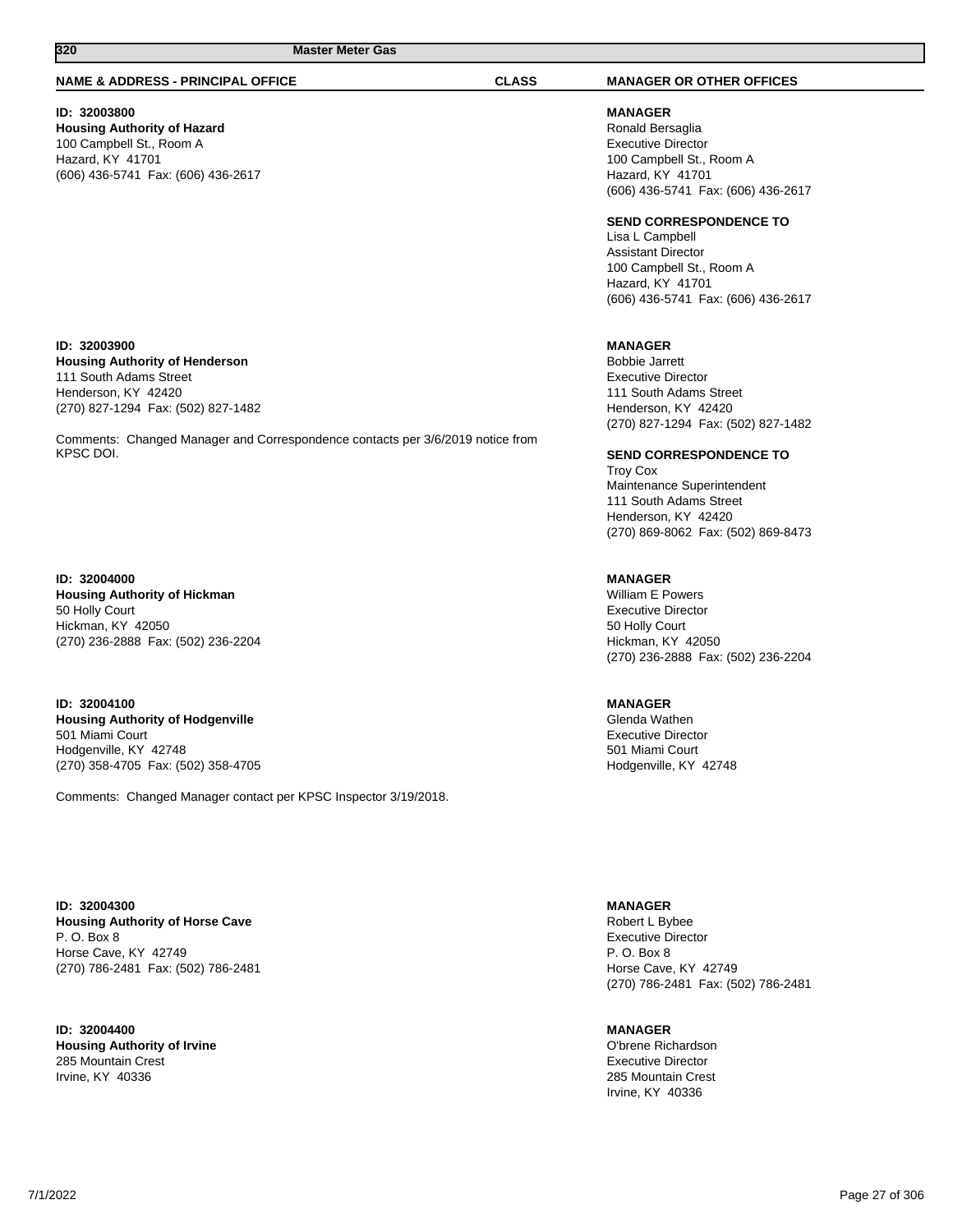#### **NAME & ADDRESS - PRINCIPAL OFFICE CLASS MANAGER OR OTHER OFFICES**

## **ID: 32003800**

**Housing Authority of Hazard** 100 Campbell St., Room A Hazard, KY 41701 (606) 436-5741 Fax: (606) 436-2617

## **ID: 32003900**

**Housing Authority of Henderson** 111 South Adams Street Henderson, KY 42420 (270) 827-1294 Fax: (502) 827-1482

Comments: Changed Manager and Correspondence contacts per 3/6/2019 notice from KPSC DOI.

#### **ID: 32004000**

**Housing Authority of Hickman** 50 Holly Court Hickman, KY 42050 (270) 236-2888 Fax: (502) 236-2204

**ID: 32004100 Housing Authority of Hodgenville** 501 Miami Court Hodgenville, KY 42748 (270) 358-4705 Fax: (502) 358-4705

Comments: Changed Manager contact per KPSC Inspector 3/19/2018.

**ID: 32004300 Housing Authority of Horse Cave** P. O. Box 8 Horse Cave, KY 42749 (270) 786-2481 Fax: (502) 786-2481

**ID: 32004400 Housing Authority of Irvine** 285 Mountain Crest Irvine, KY 40336

**MANAGER** Ronald Bersaglia Executive Director 100 Campbell St., Room A Hazard, KY 41701 (606) 436-5741 Fax: (606) 436-2617

#### **SEND CORRESPONDENCE TO**

Lisa L Campbell Assistant Director 100 Campbell St., Room A Hazard, KY 41701 (606) 436-5741 Fax: (606) 436-2617

#### **MANAGER**

Bobbie Jarrett Executive Director 111 South Adams Street Henderson, KY 42420 (270) 827-1294 Fax: (502) 827-1482

#### **SEND CORRESPONDENCE TO**

Troy Cox Maintenance Superintendent 111 South Adams Street Henderson, KY 42420 (270) 869-8062 Fax: (502) 869-8473

**MANAGER** William E Powers Executive Director 50 Holly Court Hickman, KY 42050 (270) 236-2888 Fax: (502) 236-2204

### **MANAGER**

Glenda Wathen Executive Director 501 Miami Court Hodgenville, KY 42748

#### **MANAGER**

Robert L Bybee Executive Director P. O. Box 8 Horse Cave, KY 42749 (270) 786-2481 Fax: (502) 786-2481

#### **MANAGER**

O'brene Richardson Executive Director 285 Mountain Crest Irvine, KY 40336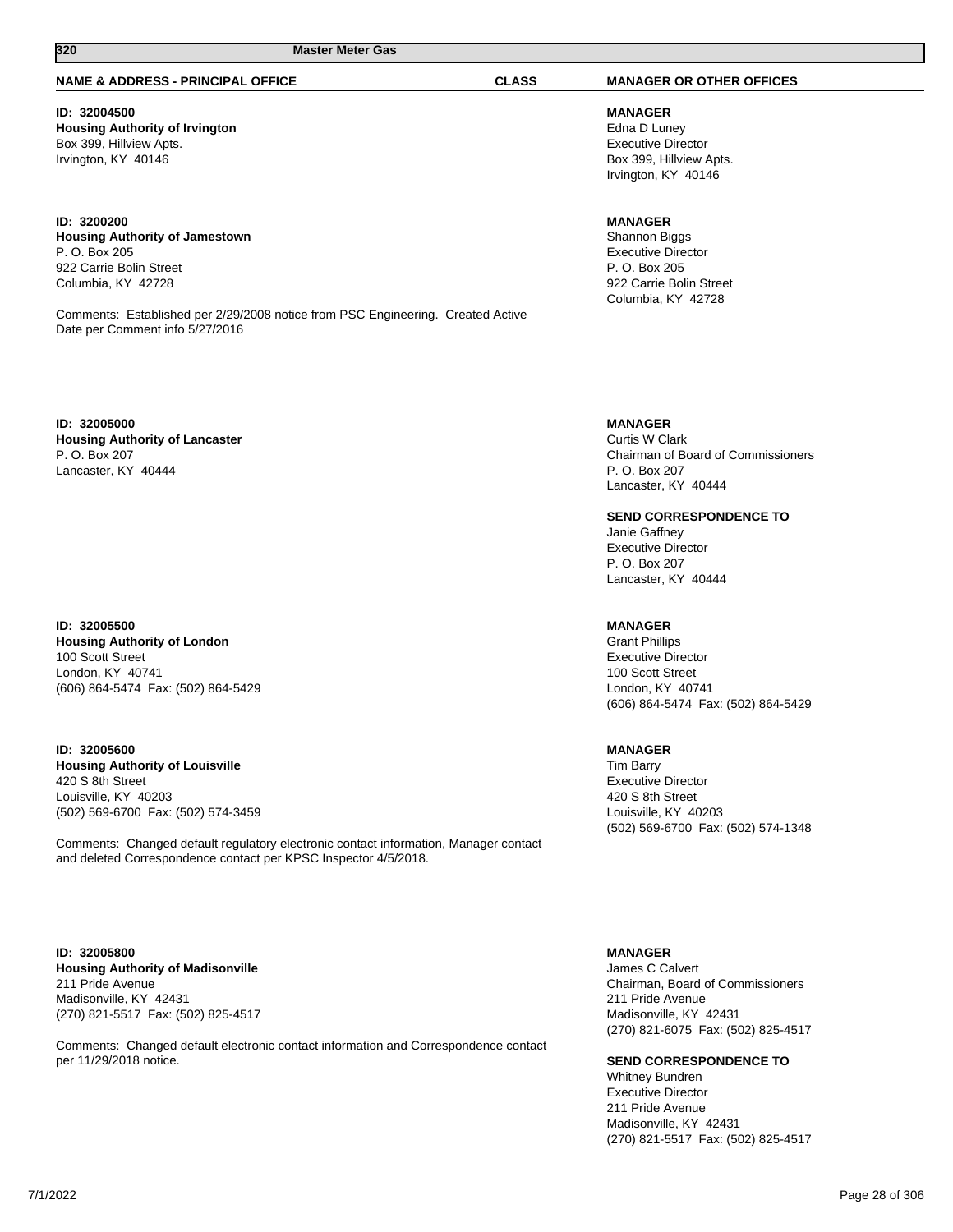#### **NAME & ADDRESS - PRINCIPAL OFFICE CLASS MANAGER OR OTHER OFFICES**

#### **ID: 32004500 Housing Authority of Irvington** Box 399, Hillview Apts. Irvington, KY 40146

**ID: 3200200 Housing Authority of Jamestown** P. O. Box 205 922 Carrie Bolin Street Columbia, KY 42728

Comments: Established per 2/29/2008 notice from PSC Engineering. Created Active Date per Comment info 5/27/2016

**ID: 32005000**

**Housing Authority of Lancaster** P. O. Box 207 Lancaster, KY 40444

**ID: 32005500 Housing Authority of London** 100 Scott Street London, KY 40741 (606) 864-5474 Fax: (502) 864-5429

**ID: 32005600 Housing Authority of Louisville** 420 S 8th Street Louisville, KY 40203 (502) 569-6700 Fax: (502) 574-3459

Comments: Changed default regulatory electronic contact information, Manager contact and deleted Correspondence contact per KPSC Inspector 4/5/2018.

**ID: 32005800 Housing Authority of Madisonville** 211 Pride Avenue Madisonville, KY 42431 (270) 821-5517 Fax: (502) 825-4517

Comments: Changed default electronic contact information and Correspondence contact per 11/29/2018 notice.

**MANAGER** Edna D Luney Executive Director Box 399, Hillview Apts. Irvington, KY 40146

#### **MANAGER**

Shannon Biggs Executive Director P. O. Box 205 922 Carrie Bolin Street Columbia, KY 42728

#### **MANAGER**

Curtis W Clark Chairman of Board of Commissioners P. O. Box 207 Lancaster, KY 40444

**SEND CORRESPONDENCE TO**

Janie Gaffney Executive Director P. O. Box 207 Lancaster, KY 40444

#### **MANAGER**

Grant Phillips Executive Director 100 Scott Street London, KY 40741 (606) 864-5474 Fax: (502) 864-5429

#### **MANAGER**

Tim Barry Executive Director 420 S 8th Street Louisville, KY 40203 (502) 569-6700 Fax: (502) 574-1348

#### **MANAGER**

James C Calvert Chairman, Board of Commissioners 211 Pride Avenue Madisonville, KY 42431 (270) 821-6075 Fax: (502) 825-4517

**SEND CORRESPONDENCE TO**

Whitney Bundren Executive Director 211 Pride Avenue Madisonville, KY 42431 (270) 821-5517 Fax: (502) 825-4517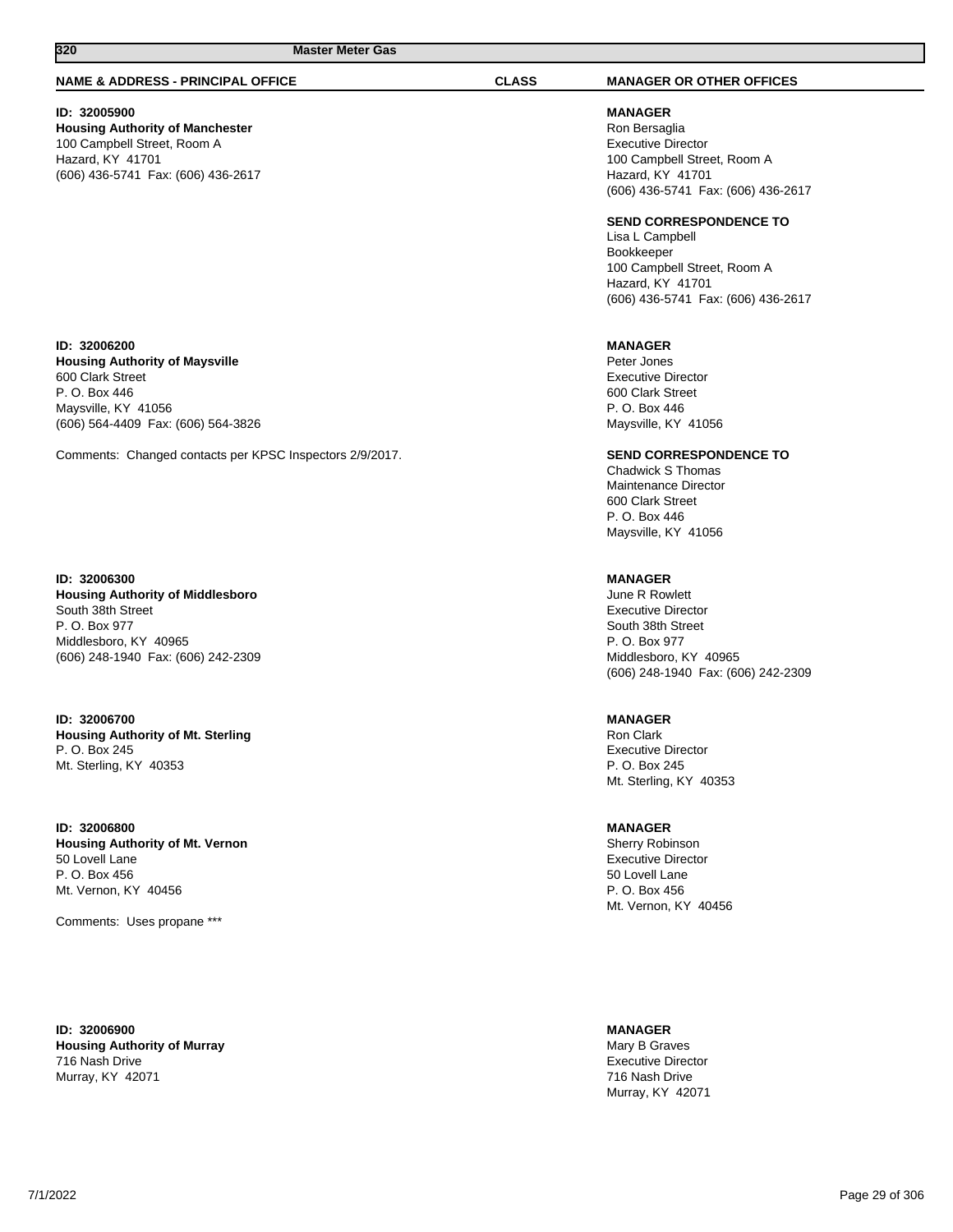#### **NAME & ADDRESS - PRINCIPAL OFFICE CLASS MANAGER OR OTHER OFFICES**

## **ID: 32005900**

**Housing Authority of Manchester** 100 Campbell Street, Room A Hazard, KY 41701 (606) 436-5741 Fax: (606) 436-2617

**MANAGER** Ron Bersaglia Executive Director 100 Campbell Street, Room A Hazard, KY 41701 (606) 436-5741 Fax: (606) 436-2617

#### **SEND CORRESPONDENCE TO**

Lisa L Campbell Bookkeeper 100 Campbell Street, Room A Hazard, KY 41701 (606) 436-5741 Fax: (606) 436-2617

#### **MANAGER**

Peter Jones Executive Director 600 Clark Street P. O. Box 446 Maysville, KY 41056

**SEND CORRESPONDENCE TO**

Chadwick S Thomas Maintenance Director 600 Clark Street P. O. Box 446 Maysville, KY 41056

#### **MANAGER**

June R Rowlett Executive Director South 38th Street P. O. Box 977 Middlesboro, KY 40965 (606) 248-1940 Fax: (606) 242-2309

## **MANAGER**

Ron Clark Executive Director P. O. Box 245 Mt. Sterling, KY 40353

**MANAGER**

Sherry Robinson Executive Director 50 Lovell Lane P. O. Box 456 Mt. Vernon, KY 40456

**MANAGER** Mary B Graves Executive Director 716 Nash Drive Murray, KY 42071

**ID: 32006200 Housing Authority of Maysville** 600 Clark Street P. O. Box 446 Maysville, KY 41056 (606) 564-4409 Fax: (606) 564-3826

Comments: Changed contacts per KPSC Inspectors 2/9/2017.

#### **ID: 32006300**

**Housing Authority of Middlesboro** South 38th Street P. O. Box 977 Middlesboro, KY 40965 (606) 248-1940 Fax: (606) 242-2309

**ID: 32006700 Housing Authority of Mt. Sterling** P. O. Box 245 Mt. Sterling, KY 40353

**ID: 32006800 Housing Authority of Mt. Vernon** 50 Lovell Lane P. O. Box 456 Mt. Vernon, KY 40456

Comments: Uses propane \*\*\*

**ID: 32006900 Housing Authority of Murray** 716 Nash Drive Murray, KY 42071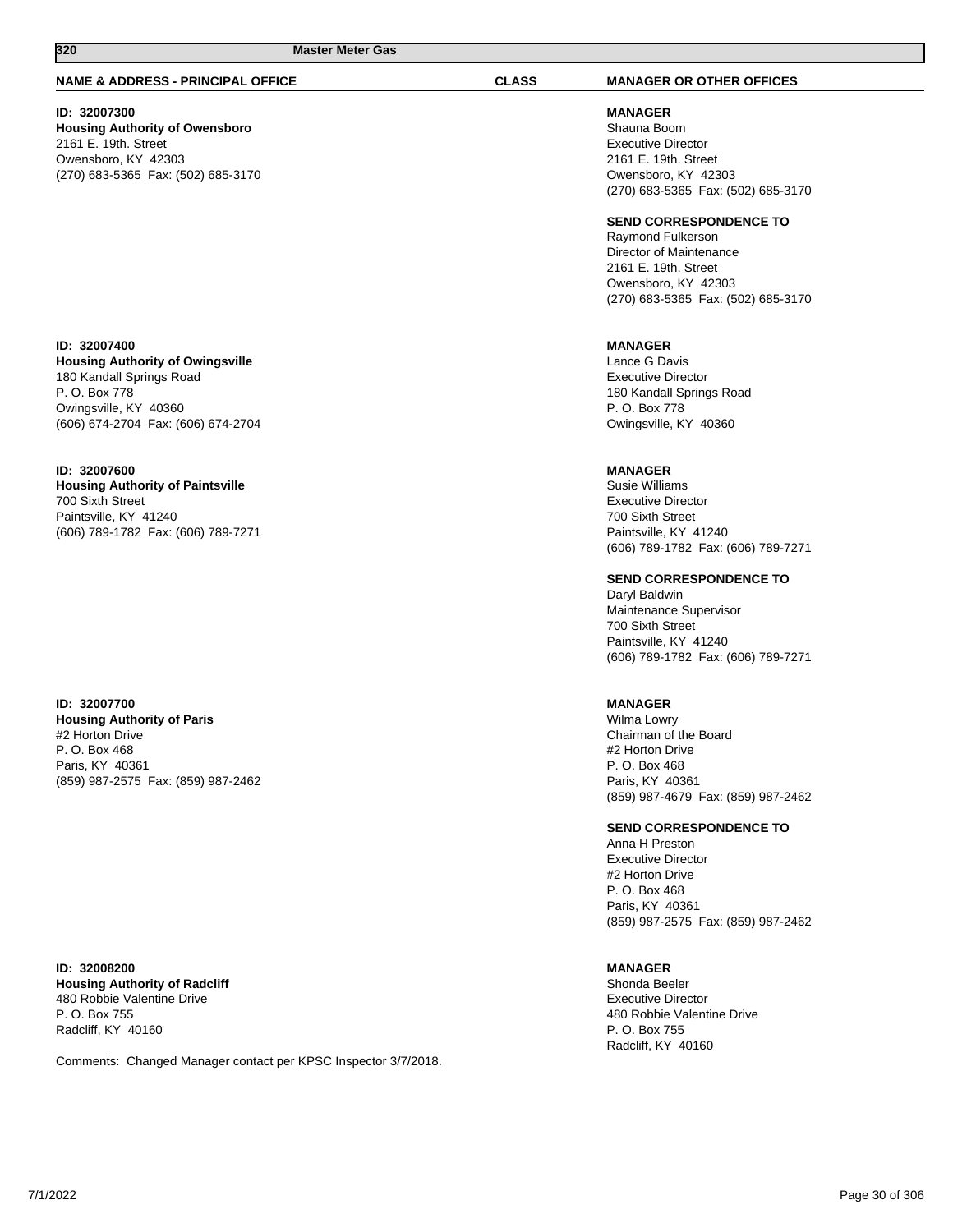#### **NAME & ADDRESS - PRINCIPAL OFFICE CLASS MANAGER OR OTHER OFFICES**

## **ID: 32007300**

**Housing Authority of Owensboro** 2161 E. 19th. Street Owensboro, KY 42303 (270) 683-5365 Fax: (502) 685-3170

## **ID: 32007400**

**Housing Authority of Owingsville** 180 Kandall Springs Road P. O. Box 778 Owingsville, KY 40360 (606) 674-2704 Fax: (606) 674-2704

## **ID: 32007600**

**Housing Authority of Paintsville** 700 Sixth Street Paintsville, KY 41240 (606) 789-1782 Fax: (606) 789-7271

**ID: 32007700 Housing Authority of Paris** #2 Horton Drive P. O. Box 468 Paris, KY 40361 (859) 987-2575 Fax: (859) 987-2462

**ID: 32008200 Housing Authority of Radcliff** 480 Robbie Valentine Drive P. O. Box 755 Radcliff, KY 40160

Comments: Changed Manager contact per KPSC Inspector 3/7/2018.

**MANAGER** Shauna Boom Executive Director 2161 E. 19th. Street Owensboro, KY 42303 (270) 683-5365 Fax: (502) 685-3170

#### **SEND CORRESPONDENCE TO**

Raymond Fulkerson Director of Maintenance 2161 E. 19th. Street Owensboro, KY 42303 (270) 683-5365 Fax: (502) 685-3170

#### **MANAGER**

Lance G Davis Executive Director 180 Kandall Springs Road P. O. Box 778 Owingsville, KY 40360

## **MANAGER**

Susie Williams Executive Director 700 Sixth Street Paintsville, KY 41240 (606) 789-1782 Fax: (606) 789-7271

**SEND CORRESPONDENCE TO**

Daryl Baldwin Maintenance Supervisor 700 Sixth Street Paintsville, KY 41240 (606) 789-1782 Fax: (606) 789-7271

### **MANAGER**

Wilma Lowry Chairman of the Board #2 Horton Drive P. O. Box 468 Paris, KY 40361 (859) 987-4679 Fax: (859) 987-2462

## **SEND CORRESPONDENCE TO**

Anna H Preston Executive Director #2 Horton Drive P. O. Box 468 Paris, KY 40361 (859) 987-2575 Fax: (859) 987-2462

### **MANAGER**

Shonda Beeler Executive Director 480 Robbie Valentine Drive P. O. Box 755 Radcliff, KY 40160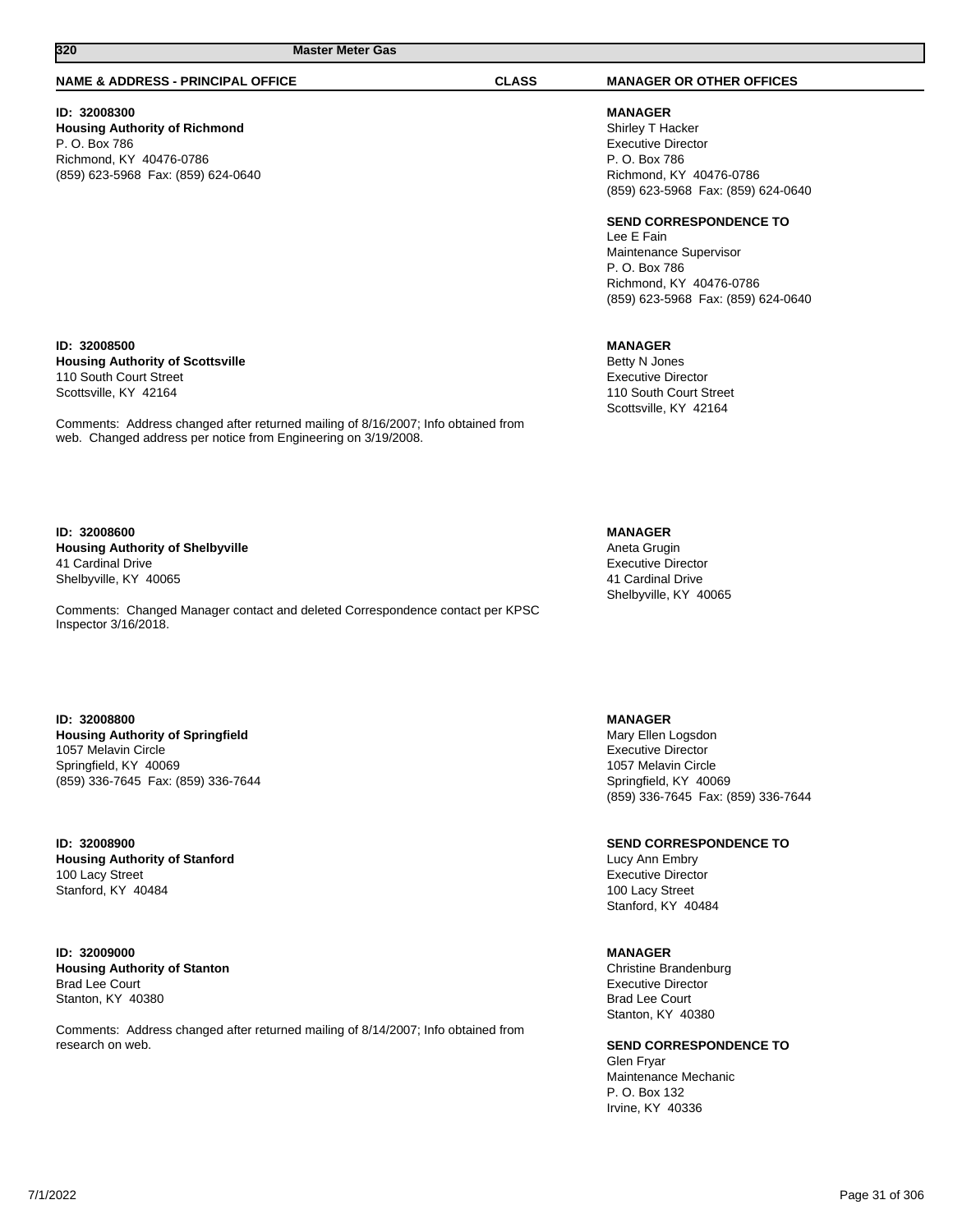#### **NAME & ADDRESS - PRINCIPAL OFFICE CLASS MANAGER OR OTHER OFFICES**

## **ID: 32008300**

**ID: 32008500**

110 South Court Street Scottsville, KY 42164

**Housing Authority of Richmond** P. O. Box 786 Richmond, KY 40476-0786 (859) 623-5968 Fax: (859) 624-0640

**MANAGER** Shirley T Hacker Executive Director P. O. Box 786 Richmond, KY 40476-0786 (859) 623-5968 Fax: (859) 624-0640

#### **SEND CORRESPONDENCE TO**

Lee E Fain Maintenance Supervisor P. O. Box 786 Richmond, KY 40476-0786 (859) 623-5968 Fax: (859) 624-0640

#### **MANAGER**

Betty N Jones Executive Director 110 South Court Street Scottsville, KY 42164

**ID: 32008600 Housing Authority of Shelbyville** 41 Cardinal Drive Shelbyville, KY 40065

**Housing Authority of Scottsville**

Comments: Changed Manager contact and deleted Correspondence contact per KPSC Inspector 3/16/2018.

Comments: Address changed after returned mailing of 8/16/2007; Info obtained from

web. Changed address per notice from Engineering on 3/19/2008.

#### **ID: 32008800 Housing Authority of Springfield**

1057 Melavin Circle Springfield, KY 40069 (859) 336-7645 Fax: (859) 336-7644

**ID: 32008900 Housing Authority of Stanford** 100 Lacy Street Stanford, KY 40484

**ID: 32009000 Housing Authority of Stanton** Brad Lee Court Stanton, KY 40380

Comments: Address changed after returned mailing of 8/14/2007; Info obtained from research on web.

## **MANAGER**

Aneta Grugin Executive Director 41 Cardinal Drive Shelbyville, KY 40065

## **MANAGER**

Mary Ellen Logsdon Executive Director 1057 Melavin Circle Springfield, KY 40069 (859) 336-7645 Fax: (859) 336-7644

**SEND CORRESPONDENCE TO**

Lucy Ann Embry Executive Director 100 Lacy Street Stanford, KY 40484

#### **MANAGER**

Christine Brandenburg Executive Director Brad Lee Court Stanton, KY 40380

**SEND CORRESPONDENCE TO**

Glen Fryar Maintenance Mechanic P. O. Box 132 Irvine, KY 40336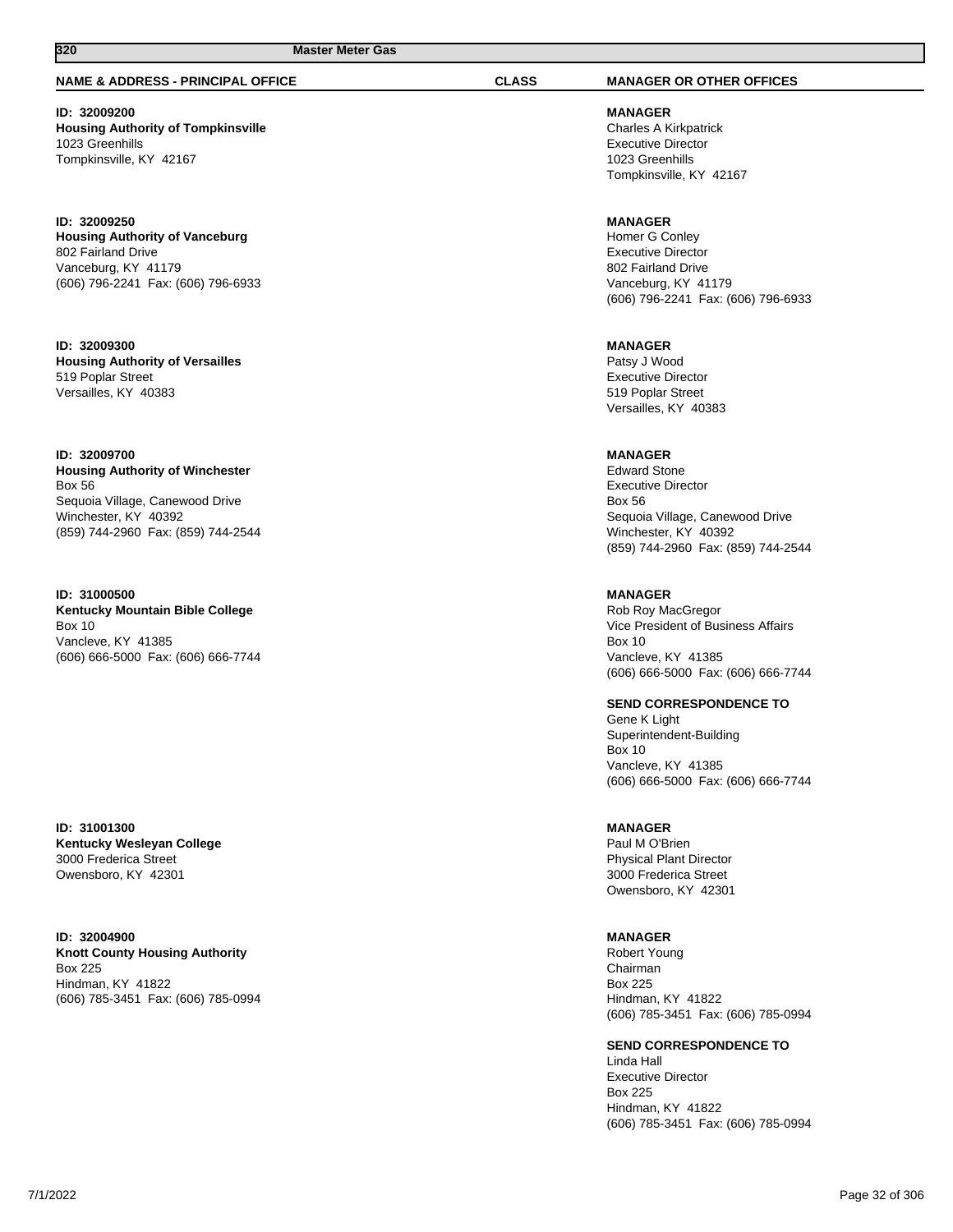### **NAME & ADDRESS - PRINCIPAL OFFICE CLASS MANAGER OR OTHER OFFICES**

**ID: 32009200 Housing Authority of Tompkinsville** 1023 Greenhills Tompkinsville, KY 42167

**ID: 32009250 Housing Authority of Vanceburg** 802 Fairland Drive Vanceburg, KY 41179 (606) 796-2241 Fax: (606) 796-6933

**ID: 32009300 Housing Authority of Versailles** 519 Poplar Street Versailles, KY 40383

**ID: 32009700 Housing Authority of Winchester** Box 56 Sequoia Village, Canewood Drive Winchester, KY 40392 (859) 744-2960 Fax: (859) 744-2544

**ID: 31000500 Kentucky Mountain Bible College** Box 10 Vancleve, KY 41385 (606) 666-5000 Fax: (606) 666-7744

**ID: 31001300 Kentucky Wesleyan College** 3000 Frederica Street Owensboro, KY 42301

**ID: 32004900 Knott County Housing Authority** Box 225 Hindman, KY 41822 (606) 785-3451 Fax: (606) 785-0994

**MANAGER** Charles A Kirkpatrick Executive Director 1023 Greenhills Tompkinsville, KY 42167

**MANAGER** Homer G Conley Executive Director 802 Fairland Drive Vanceburg, KY 41179 (606) 796-2241 Fax: (606) 796-6933

**MANAGER** Patsy J Wood Executive Director 519 Poplar Street Versailles, KY 40383

#### **MANAGER**

Edward Stone Executive Director Box 56 Sequoia Village, Canewood Drive Winchester, KY 40392 (859) 744-2960 Fax: (859) 744-2544

**MANAGER** Rob Roy MacGregor Vice President of Business Affairs Box 10 Vancleve, KY 41385 (606) 666-5000 Fax: (606) 666-7744

**SEND CORRESPONDENCE TO**

Gene K Light Superintendent-Building Box 10 Vancleve, KY 41385 (606) 666-5000 Fax: (606) 666-7744

## **MANAGER**

Paul M O'Brien Physical Plant Director 3000 Frederica Street Owensboro, KY 42301

## **MANAGER**

Robert Young Chairman Box 225 Hindman, KY 41822 (606) 785-3451 Fax: (606) 785-0994

**SEND CORRESPONDENCE TO**

Linda Hall Executive Director Box 225 Hindman, KY 41822 (606) 785-3451 Fax: (606) 785-0994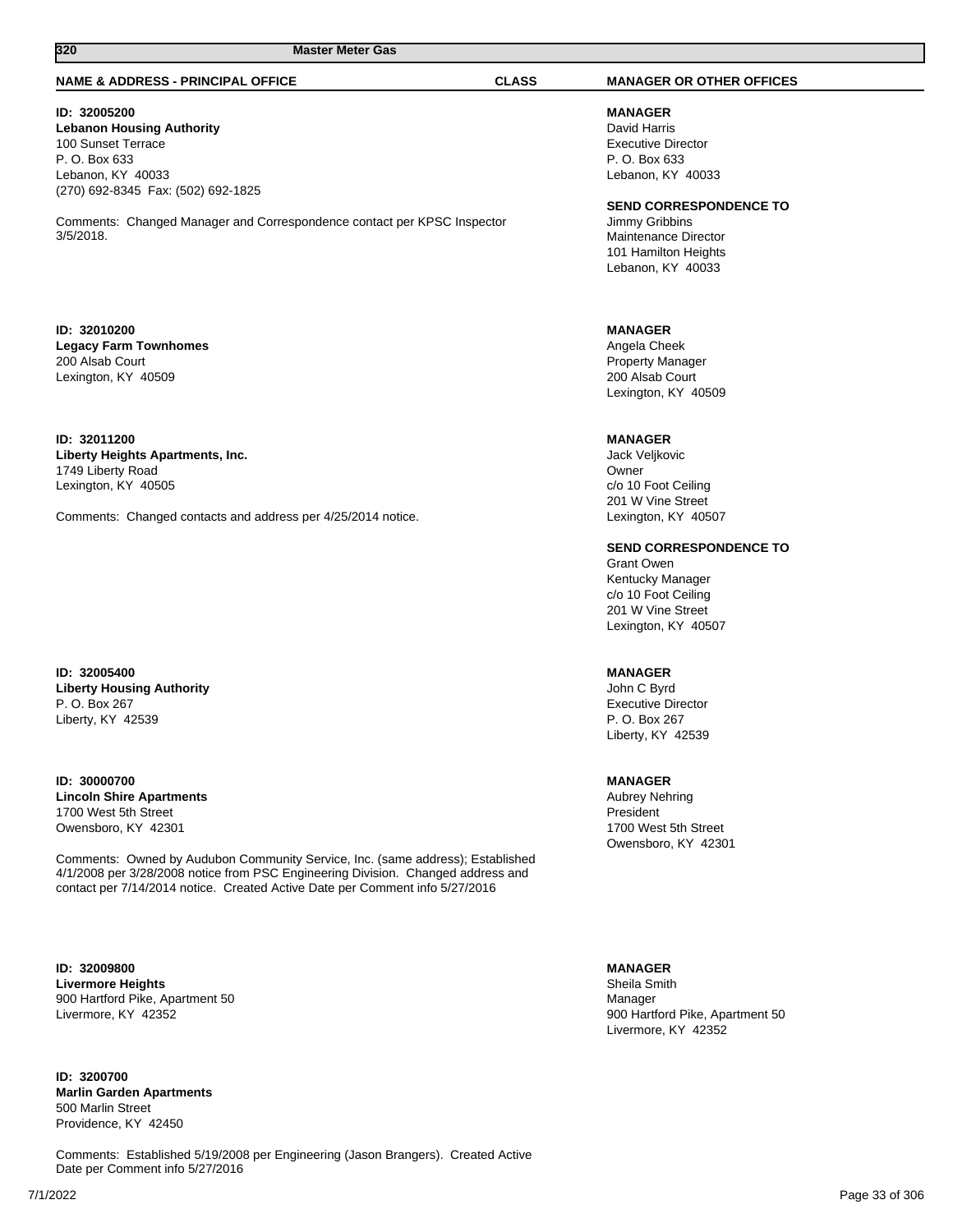#### **NAME & ADDRESS - PRINCIPAL OFFICE CLASS MANAGER OR OTHER OFFICES**

## **ID: 32005200**

**Lebanon Housing Authority** 100 Sunset Terrace P. O. Box 633 Lebanon, KY 40033 (270) 692-8345 Fax: (502) 692-1825

Comments: Changed Manager and Correspondence contact per KPSC Inspector 3/5/2018.

#### **ID: 32010200 Legacy Farm Townhomes** 200 Alsab Court Lexington, KY 40509

### **ID: 32011200 Liberty Heights Apartments, Inc.** 1749 Liberty Road Lexington, KY 40505

Comments: Changed contacts and address per 4/25/2014 notice.

### **ID: 32005400 Liberty Housing Authority** P. O. Box 267 Liberty, KY 42539

**ID: 30000700 Lincoln Shire Apartments** 1700 West 5th Street Owensboro, KY 42301

Comments: Owned by Audubon Community Service, Inc. (same address); Established 4/1/2008 per 3/28/2008 notice from PSC Engineering Division. Changed address and contact per 7/14/2014 notice. Created Active Date per Comment info 5/27/2016

**ID: 32009800 Livermore Heights** 900 Hartford Pike, Apartment 50 Livermore, KY 42352

**ID: 3200700 Marlin Garden Apartments** 500 Marlin Street Providence, KY 42450

Comments: Established 5/19/2008 per Engineering (Jason Brangers). Created Active Date per Comment info 5/27/2016

**MANAGER** David Harris Executive Director P. O. Box 633 Lebanon, KY 40033

### **SEND CORRESPONDENCE TO**

Jimmy Gribbins Maintenance Director 101 Hamilton Heights Lebanon, KY 40033

## **MANAGER**

Angela Cheek Property Manager 200 Alsab Court Lexington, KY 40509

#### **MANAGER**

Jack Veljkovic Owner c/o 10 Foot Ceiling 201 W Vine Street Lexington, KY 40507

**SEND CORRESPONDENCE TO**

Grant Owen Kentucky Manager c/o 10 Foot Ceiling 201 W Vine Street Lexington, KY 40507

## **MANAGER**

John C Byrd Executive Director P. O. Box 267 Liberty, KY 42539

#### **MANAGER**

Aubrey Nehring President 1700 West 5th Street Owensboro, KY 42301

#### **MANAGER**

Sheila Smith Manager 900 Hartford Pike, Apartment 50 Livermore, KY 42352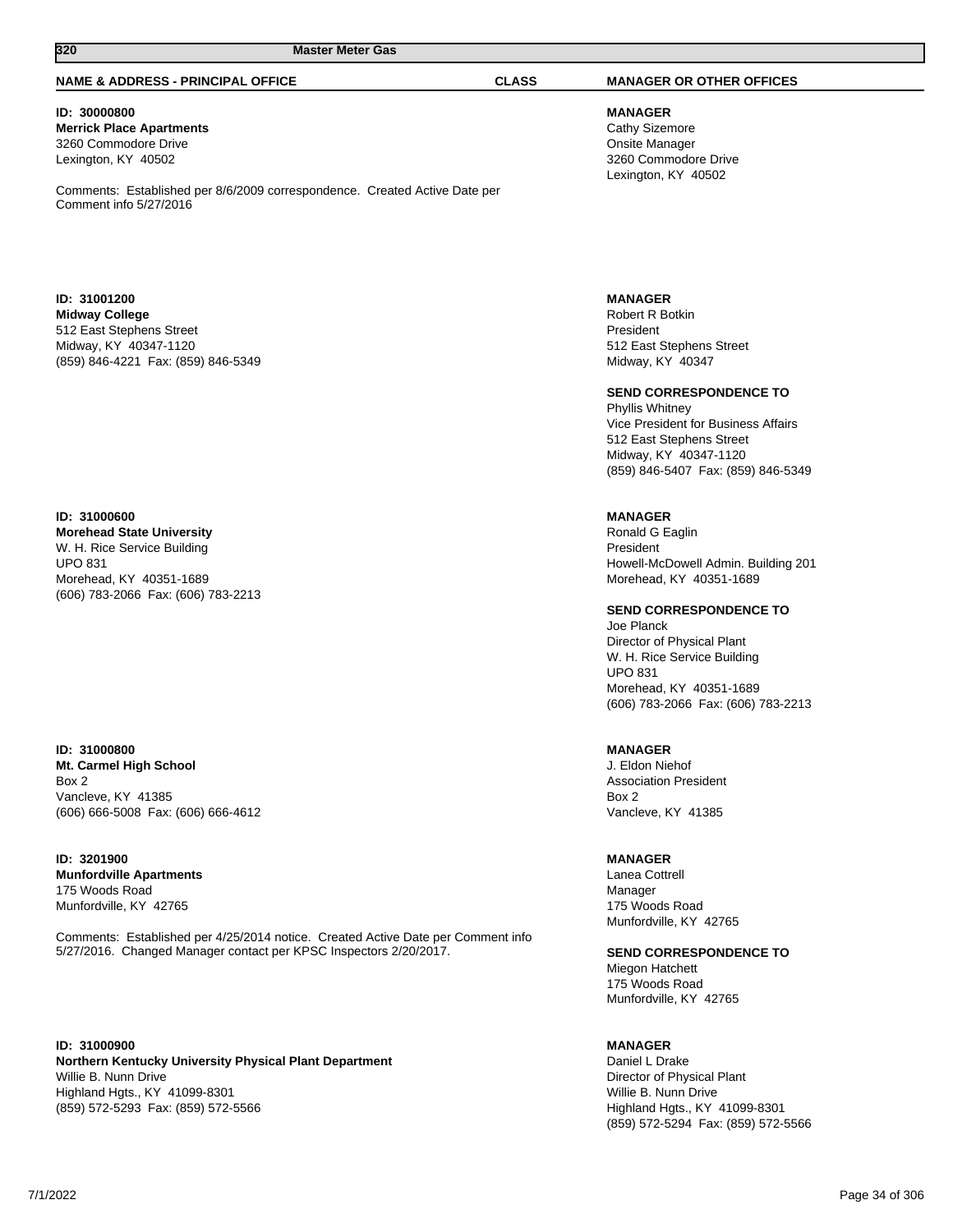#### **NAME & ADDRESS - PRINCIPAL OFFICE CLASS MANAGER OR OTHER OFFICES**

#### **ID: 30000800 Merrick Place Apartments** 3260 Commodore Drive Lexington, KY 40502

Comments: Established per 8/6/2009 correspondence. Created Active Date per Comment info 5/27/2016

#### **ID: 31001200 Midway College** 512 East Stephens Street Midway, KY 40347-1120 (859) 846-4221 Fax: (859) 846-5349

## **ID: 31000600**

**Morehead State University** W. H. Rice Service Building UPO 831 Morehead, KY 40351-1689 (606) 783-2066 Fax: (606) 783-2213

#### **ID: 31000800 Mt. Carmel High School** Box 2 Vancleve, KY 41385 (606) 666-5008 Fax: (606) 666-4612

### **ID: 3201900 Munfordville Apartments** 175 Woods Road Munfordville, KY 42765

Comments: Established per 4/25/2014 notice. Created Active Date per Comment info 5/27/2016. Changed Manager contact per KPSC Inspectors 2/20/2017.

**ID: 31000900 Northern Kentucky University Physical Plant Department** Willie B. Nunn Drive Highland Hgts., KY 41099-8301 (859) 572-5293 Fax: (859) 572-5566

**MANAGER** Cathy Sizemore Onsite Manager 3260 Commodore Drive Lexington, KY 40502

#### **MANAGER**

Robert R Botkin President 512 East Stephens Street Midway, KY 40347

#### **SEND CORRESPONDENCE TO**

Phyllis Whitney Vice President for Business Affairs 512 East Stephens Street Midway, KY 40347-1120 (859) 846-5407 Fax: (859) 846-5349

### **MANAGER**

Ronald G Eaglin President Howell-McDowell Admin. Building 201 Morehead, KY 40351-1689

**SEND CORRESPONDENCE TO**

Joe Planck Director of Physical Plant W. H. Rice Service Building UPO 831 Morehead, KY 40351-1689 (606) 783-2066 Fax: (606) 783-2213

#### **MANAGER**

J. Eldon Niehof Association President Box 2 Vancleve, KY 41385

#### **MANAGER**

Lanea Cottrell Manager 175 Woods Road Munfordville, KY 42765

**SEND CORRESPONDENCE TO** Miegon Hatchett

175 Woods Road Munfordville, KY 42765

#### **MANAGER**

Daniel L Drake Director of Physical Plant Willie B. Nunn Drive Highland Hgts., KY 41099-8301 (859) 572-5294 Fax: (859) 572-5566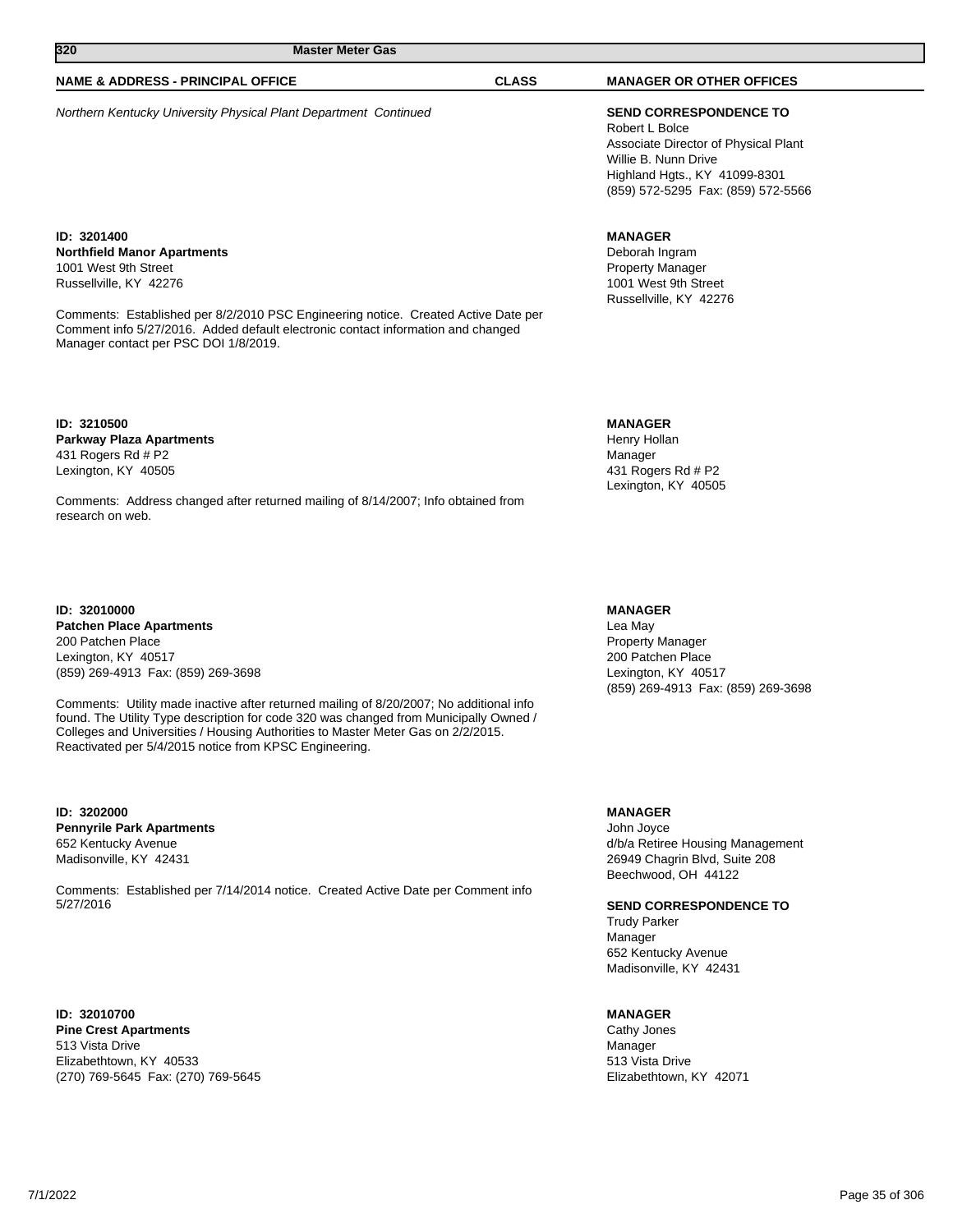### **NAME & ADDRESS - PRINCIPAL OFFICE CLASS MANAGER OR OTHER OFFICES**

Northern Kentucky University Physical Plant Department Continued **SEND CORRESPONDENCE TO**

**ID: 3201400 Northfield Manor Apartments** 1001 West 9th Street Russellville, KY 42276

Comments: Established per 8/2/2010 PSC Engineering notice. Created Active Date per Comment info 5/27/2016. Added default electronic contact information and changed Manager contact per PSC DOI 1/8/2019.

**ID: 3210500 Parkway Plaza Apartments** 431 Rogers Rd # P2 Lexington, KY 40505

Comments: Address changed after returned mailing of 8/14/2007; Info obtained from research on web.

**ID: 32010000 Patchen Place Apartments** 200 Patchen Place Lexington, KY 40517 (859) 269-4913 Fax: (859) 269-3698

Comments: Utility made inactive after returned mailing of 8/20/2007; No additional info found. The Utility Type description for code 320 was changed from Municipally Owned / Colleges and Universities / Housing Authorities to Master Meter Gas on 2/2/2015. Reactivated per 5/4/2015 notice from KPSC Engineering.

**ID: 3202000 Pennyrile Park Apartments** 652 Kentucky Avenue Madisonville, KY 42431

Comments: Established per 7/14/2014 notice. Created Active Date per Comment info 5/27/2016

**ID: 32010700 Pine Crest Apartments** 513 Vista Drive Elizabethtown, KY 40533 (270) 769-5645 Fax: (270) 769-5645

Robert L Bolce Associate Director of Physical Plant Willie B. Nunn Drive Highland Hgts., KY 41099-8301 (859) 572-5295 Fax: (859) 572-5566

#### **MANAGER**

Deborah Ingram Property Manager 1001 West 9th Street Russellville, KY 42276

#### **MANAGER**

Henry Hollan Manager 431 Rogers Rd # P2 Lexington, KY 40505

#### **MANAGER**

Lea May Property Manager 200 Patchen Place Lexington, KY 40517 (859) 269-4913 Fax: (859) 269-3698

#### **MANAGER**

John Joyce d/b/a Retiree Housing Management 26949 Chagrin Blvd, Suite 208 Beechwood, OH 44122

**SEND CORRESPONDENCE TO**

Trudy Parker Manager 652 Kentucky Avenue Madisonville, KY 42431

#### **MANAGER**

Cathy Jones Manager 513 Vista Drive Elizabethtown, KY 42071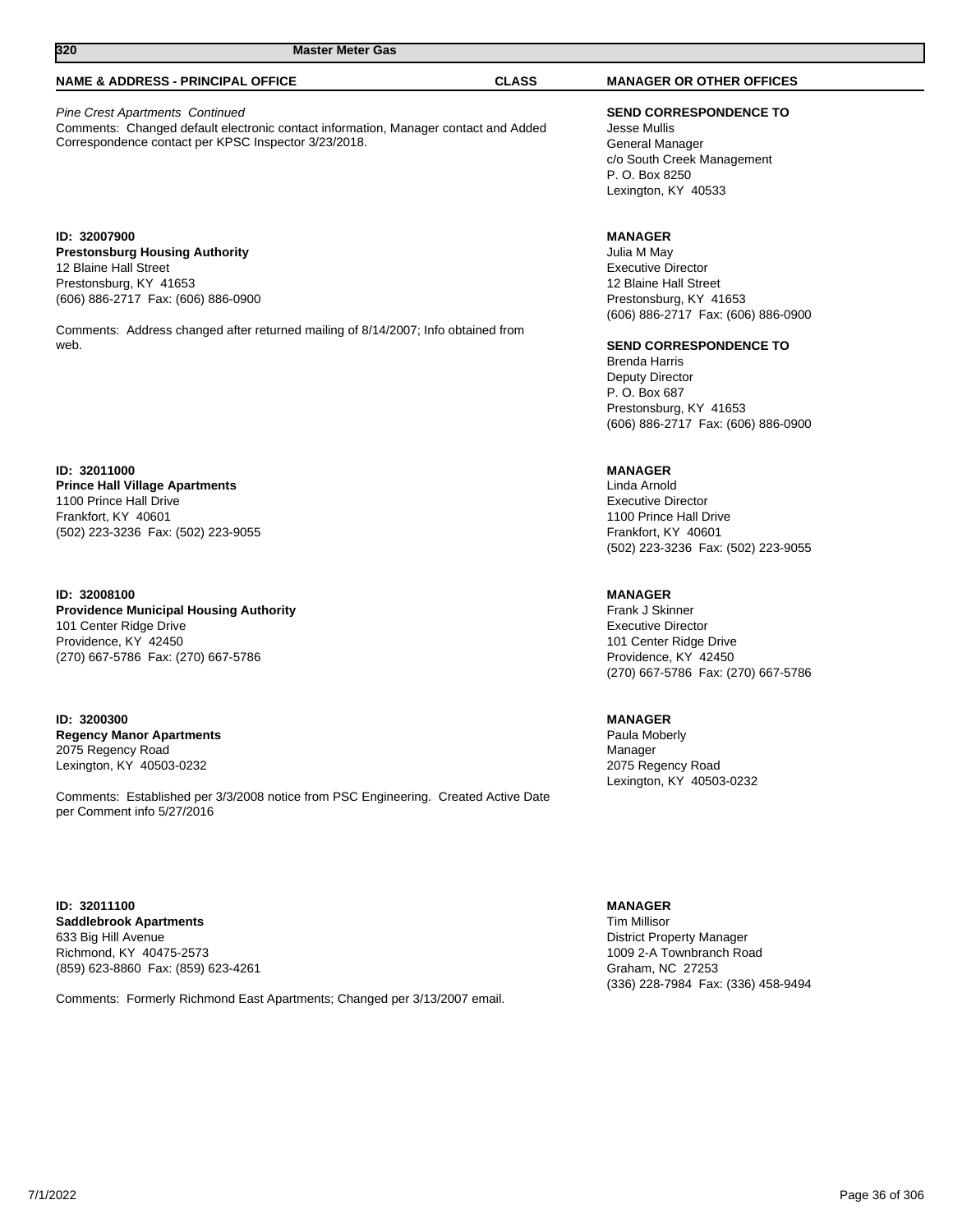## **NAME & ADDRESS - PRINCIPAL OFFICE CLASS MANAGER OR OTHER OFFICES**

Pine Crest Apartments Continued Comments: Changed default electronic contact information, Manager contact and Added Correspondence contact per KPSC Inspector 3/23/2018.

**ID: 32007900 Prestonsburg Housing Authority** 12 Blaine Hall Street Prestonsburg, KY 41653 (606) 886-2717 Fax: (606) 886-0900

Comments: Address changed after returned mailing of 8/14/2007; Info obtained from web.

**ID: 32011000 Prince Hall Village Apartments** 1100 Prince Hall Drive Frankfort, KY 40601 (502) 223-3236 Fax: (502) 223-9055

**ID: 32008100 Providence Municipal Housing Authority** 101 Center Ridge Drive Providence, KY 42450 (270) 667-5786 Fax: (270) 667-5786

**ID: 3200300 Regency Manor Apartments** 2075 Regency Road Lexington, KY 40503-0232

Comments: Established per 3/3/2008 notice from PSC Engineering. Created Active Date per Comment info 5/27/2016

#### **ID: 32011100 Saddlebrook Apartments** 633 Big Hill Avenue Richmond, KY 40475-2573 (859) 623-8860 Fax: (859) 623-4261

Comments: Formerly Richmond East Apartments; Changed per 3/13/2007 email.

**SEND CORRESPONDENCE TO** Jesse Mullis General Manager c/o South Creek Management P. O. Box 8250

Lexington, KY 40533

## **MANAGER**

Julia M May Executive Director 12 Blaine Hall Street Prestonsburg, KY 41653 (606) 886-2717 Fax: (606) 886-0900

#### **SEND CORRESPONDENCE TO**

Brenda Harris Deputy Director P. O. Box 687 Prestonsburg, KY 41653 (606) 886-2717 Fax: (606) 886-0900

## **MANAGER**

Linda Arnold Executive Director 1100 Prince Hall Drive Frankfort, KY 40601 (502) 223-3236 Fax: (502) 223-9055

### **MANAGER**

Frank J Skinner Executive Director 101 Center Ridge Drive Providence, KY 42450 (270) 667-5786 Fax: (270) 667-5786

## **MANAGER**

Paula Moberly Manager 2075 Regency Road Lexington, KY 40503-0232

#### **MANAGER**

Tim Millisor District Property Manager 1009 2-A Townbranch Road Graham, NC 27253 (336) 228-7984 Fax: (336) 458-9494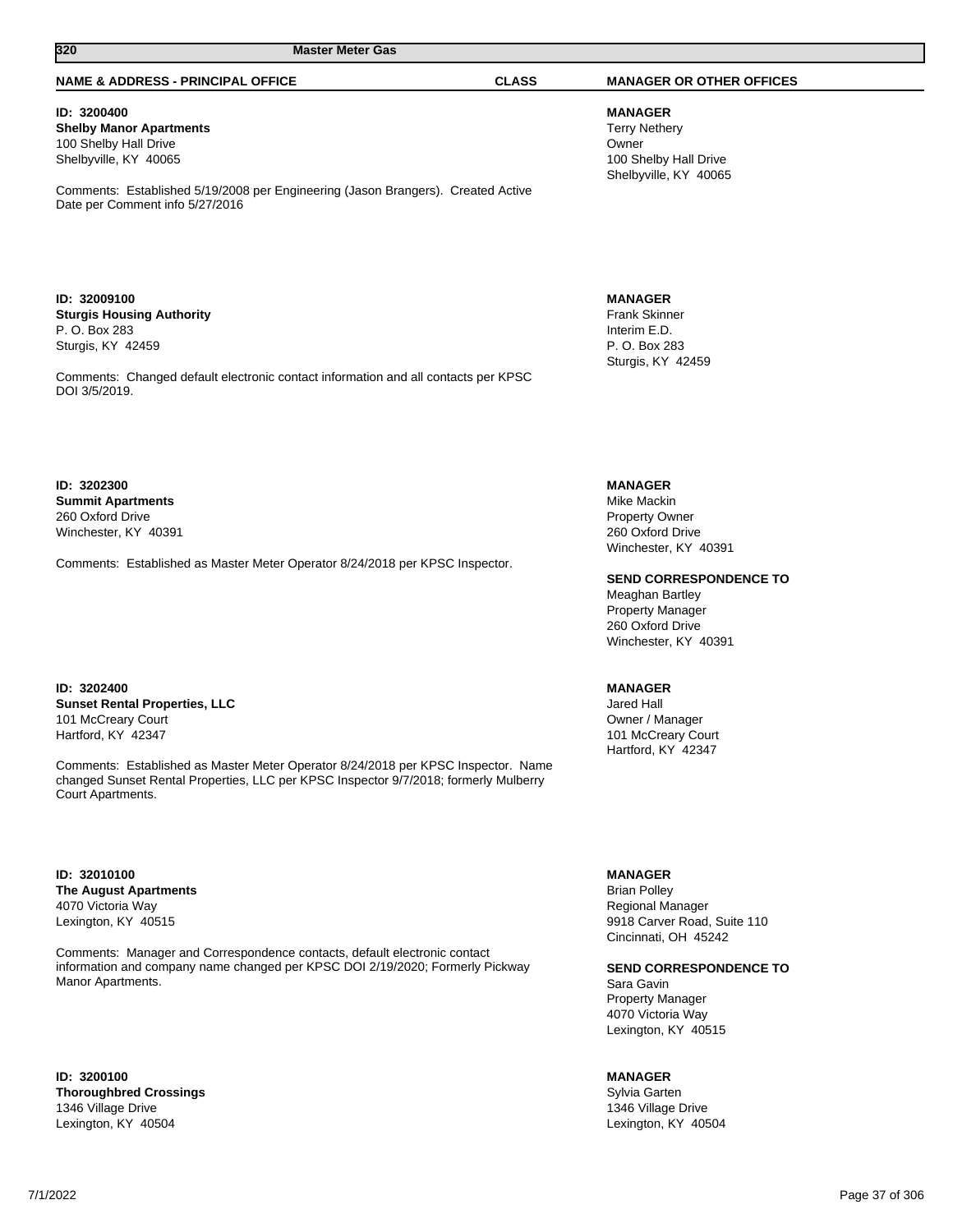# **320 Master Meter Gas**

#### **NAME & ADDRESS - PRINCIPAL OFFICE CLASS MANAGER OR OTHER OFFICES**

**ID: 3200400 Shelby Manor Apartments** 100 Shelby Hall Drive Shelbyville, KY 40065

Comments: Established 5/19/2008 per Engineering (Jason Brangers). Created Active Date per Comment info 5/27/2016

**ID: 32009100 Sturgis Housing Authority** P. O. Box 283 Sturgis, KY 42459

Comments: Changed default electronic contact information and all contacts per KPSC DOI 3/5/2019.

**ID: 3202300 Summit Apartments** 260 Oxford Drive Winchester, KY 40391

Comments: Established as Master Meter Operator 8/24/2018 per KPSC Inspector.

**ID: 3202400 Sunset Rental Properties, LLC** 101 McCreary Court Hartford, KY 42347

Comments: Established as Master Meter Operator 8/24/2018 per KPSC Inspector. Name changed Sunset Rental Properties, LLC per KPSC Inspector 9/7/2018; formerly Mulberry Court Apartments.

**ID: 32010100 The August Apartments** 4070 Victoria Way Lexington, KY 40515

Comments: Manager and Correspondence contacts, default electronic contact information and company name changed per KPSC DOI 2/19/2020; Formerly Pickway Manor Apartments.

**ID: 3200100 Thoroughbred Crossings** 1346 Village Drive Lexington, KY 40504

**MANAGER** Terry Nethery Owner 100 Shelby Hall Drive Shelbyville, KY 40065

**MANAGER** Frank Skinner Interim E.D. P. O. Box 283 Sturgis, KY 42459

## **MANAGER**

Mike Mackin Property Owner 260 Oxford Drive Winchester, KY 40391

**SEND CORRESPONDENCE TO**

Meaghan Bartley Property Manager 260 Oxford Drive Winchester, KY 40391

## **MANAGER**

Jared Hall Owner / Manager 101 McCreary Court Hartford, KY 42347

**MANAGER**

Brian Polley Regional Manager 9918 Carver Road, Suite 110 Cincinnati, OH 45242

**SEND CORRESPONDENCE TO**

Sara Gavin Property Manager 4070 Victoria Way Lexington, KY 40515

## **MANAGER**

Sylvia Garten 1346 Village Drive Lexington, KY 40504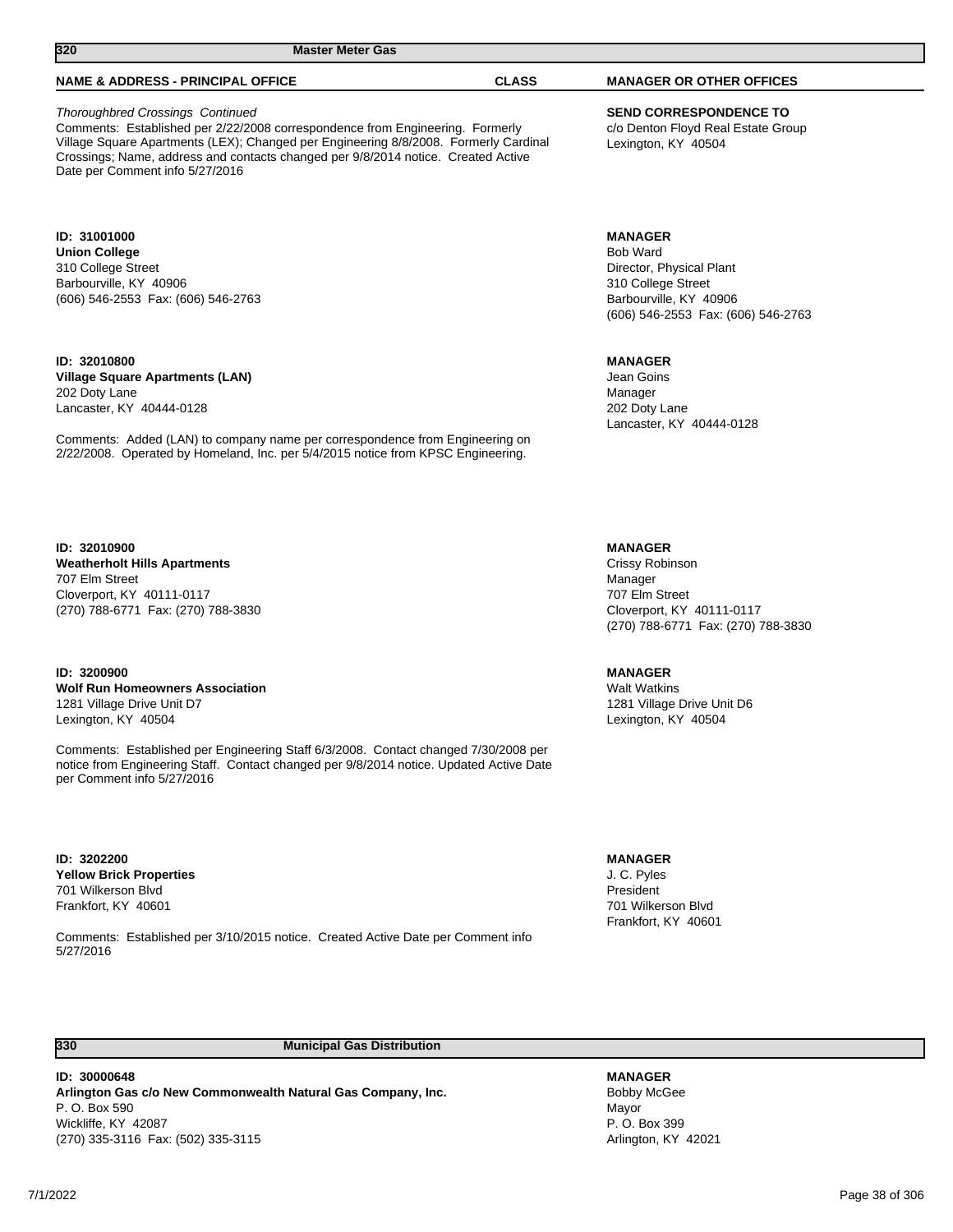**320 Master Meter Gas** 

## Thoroughbred Crossings Continued

Comments: Established per 2/22/2008 correspondence from Engineering. Formerly Village Square Apartments (LEX); Changed per Engineering 8/8/2008. Formerly Cardinal Crossings; Name, address and contacts changed per 9/8/2014 notice. Created Active Date per Comment info 5/27/2016

#### **ID: 31001000**

**ID: 32010800**

**Union College** 310 College Street Barbourville, KY 40906 (606) 546-2553 Fax: (606) 546-2763

#### **Village Square Apartments (LAN)** 202 Doty Lane

Lancaster, KY 40444-0128

Comments: Added (LAN) to company name per correspondence from Engineering on 2/22/2008. Operated by Homeland, Inc. per 5/4/2015 notice from KPSC Engineering.

# **ID: 32010900**

**Weatherholt Hills Apartments** 707 Elm Street Cloverport, KY 40111-0117 (270) 788-6771 Fax: (270) 788-3830

## **ID: 3200900**

**Wolf Run Homeowners Association** 1281 Village Drive Unit D7 Lexington, KY 40504

Comments: Established per Engineering Staff 6/3/2008. Contact changed 7/30/2008 per notice from Engineering Staff. Contact changed per 9/8/2014 notice. Updated Active Date per Comment info 5/27/2016

**ID: 3202200 Yellow Brick Properties** 701 Wilkerson Blvd Frankfort, KY 40601

Comments: Established per 3/10/2015 notice. Created Active Date per Comment info 5/27/2016

**MANAGER** Crissy Robinson Manager

707 Elm Street Cloverport, KY 40111-0117 (270) 788-6771 Fax: (270) 788-3830

## **MANAGER**

Walt Watkins 1281 Village Drive Unit D6 Lexington, KY 40504

### **MANAGER**

**MANAGER** Bobby McGee Mayor P. O. Box 399 Arlington, KY 42021

J. C. Pyles President 701 Wilkerson Blvd Frankfort, KY 40601

**330 Municipal Gas Distribution** 

**ID: 30000648 Arlington Gas c/o New Commonwealth Natural Gas Company, Inc.** P. O. Box 590 Wickliffe, KY 42087 (270) 335-3116 Fax: (502) 335-3115

**SEND CORRESPONDENCE TO** c/o Denton Floyd Real Estate Group Lexington, KY 40504

#### **MANAGER**

Bob Ward Director, Physical Plant 310 College Street Barbourville, KY 40906 (606) 546-2553 Fax: (606) 546-2763

#### **MANAGER**

Jean Goins Manager 202 Doty Lane Lancaster, KY 40444-0128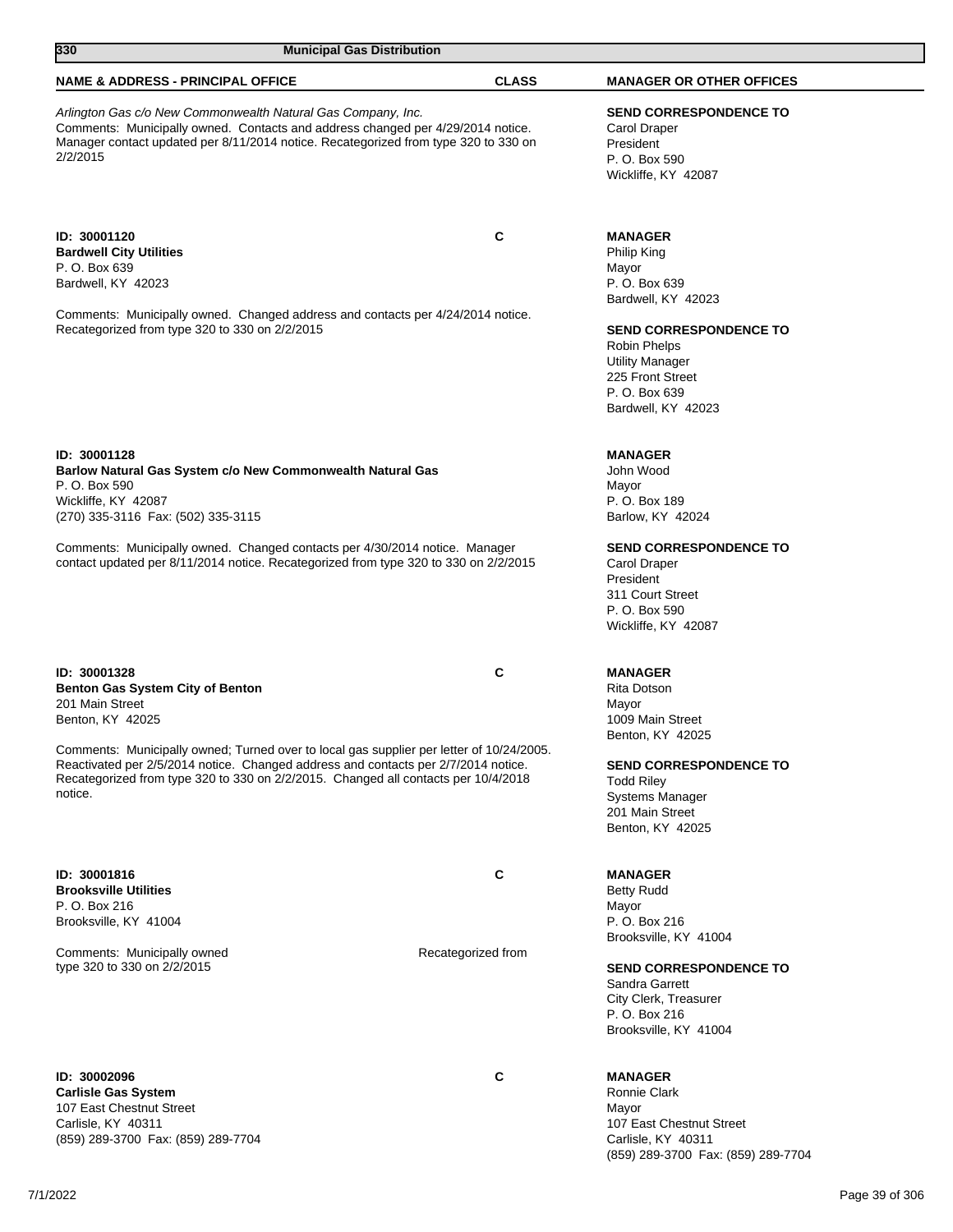| 330<br><b>Municipal Gas Distribution</b>                                                                                                                                                                                                                                                                                                                                          |                    |                                                                                                                                                         |
|-----------------------------------------------------------------------------------------------------------------------------------------------------------------------------------------------------------------------------------------------------------------------------------------------------------------------------------------------------------------------------------|--------------------|---------------------------------------------------------------------------------------------------------------------------------------------------------|
| <b>NAME &amp; ADDRESS - PRINCIPAL OFFICE</b>                                                                                                                                                                                                                                                                                                                                      | <b>CLASS</b>       | <b>MANAGER OR OTHER OFFICES</b>                                                                                                                         |
| Arlington Gas c/o New Commonwealth Natural Gas Company, Inc.<br>Comments: Municipally owned. Contacts and address changed per 4/29/2014 notice.<br>Manager contact updated per 8/11/2014 notice. Recategorized from type 320 to 330 on<br>2/2/2015                                                                                                                                |                    | <b>SEND CORRESPONDENCE TO</b><br>Carol Draper<br>President<br>P. O. Box 590<br>Wickliffe, KY 42087                                                      |
| ID: 30001120<br><b>Bardwell City Utilities</b><br>P. O. Box 639<br>Bardwell, KY 42023                                                                                                                                                                                                                                                                                             | C                  | <b>MANAGER</b><br>Philip King<br>Mayor<br>P. O. Box 639<br>Bardwell, KY 42023                                                                           |
| Comments: Municipally owned. Changed address and contacts per 4/24/2014 notice.<br>Recategorized from type 320 to 330 on 2/2/2015                                                                                                                                                                                                                                                 |                    | <b>SEND CORRESPONDENCE TO</b><br>Robin Phelps<br><b>Utility Manager</b><br>225 Front Street<br>P. O. Box 639<br>Bardwell, KY 42023                      |
| ID: 30001128<br>Barlow Natural Gas System c/o New Commonwealth Natural Gas<br>P. O. Box 590<br>Wickliffe, KY 42087<br>(270) 335-3116 Fax: (502) 335-3115                                                                                                                                                                                                                          |                    | <b>MANAGER</b><br>John Wood<br>Mayor<br>P. O. Box 189<br>Barlow, KY 42024                                                                               |
| Comments: Municipally owned. Changed contacts per 4/30/2014 notice. Manager<br>contact updated per 8/11/2014 notice. Recategorized from type 320 to 330 on 2/2/2015                                                                                                                                                                                                               |                    | <b>SEND CORRESPONDENCE TO</b><br>Carol Draper<br>President<br>311 Court Street<br>P. O. Box 590<br>Wickliffe, KY 42087                                  |
| ID: 30001328<br><b>Benton Gas System City of Benton</b><br>201 Main Street<br>Benton, KY 42025<br>Comments: Municipally owned; Turned over to local gas supplier per letter of 10/24/2005.<br>Reactivated per 2/5/2014 notice. Changed address and contacts per 2/7/2014 notice.<br>Recategorized from type 320 to 330 on 2/2/2015. Changed all contacts per 10/4/2018<br>notice. | C                  | <b>MANAGER</b><br>Rita Dotson<br>Mayor<br>1009 Main Street<br>Benton, KY 42025<br><b>SEND CORRESPONDENCE TO</b><br><b>Todd Riley</b><br>Systems Manager |
| ID: 30001816<br><b>Brooksville Utilities</b><br>P. O. Box 216<br>Brooksville, KY 41004                                                                                                                                                                                                                                                                                            | C                  | 201 Main Street<br>Benton, KY 42025<br><b>MANAGER</b><br><b>Betty Rudd</b><br>Mayor<br>P. O. Box 216                                                    |
| Comments: Municipally owned<br>type 320 to 330 on 2/2/2015                                                                                                                                                                                                                                                                                                                        | Recategorized from | Brooksville, KY 41004<br><b>SEND CORRESPONDENCE TO</b><br>Sandra Garrett                                                                                |

**ID: 30002096 C Carlisle Gas System** 107 East Chestnut Street Carlisle, KY 40311 (859) 289-3700 Fax: (859) 289-7704

7/1/2022 Page 39 of 306

City Clerk, Treasurer P. O. Box 216 Brooksville, KY 41004

107 East Chestnut Street Carlisle, KY 40311

(859) 289-3700 Fax: (859) 289-7704

**MANAGER** Ronnie Clark Mayor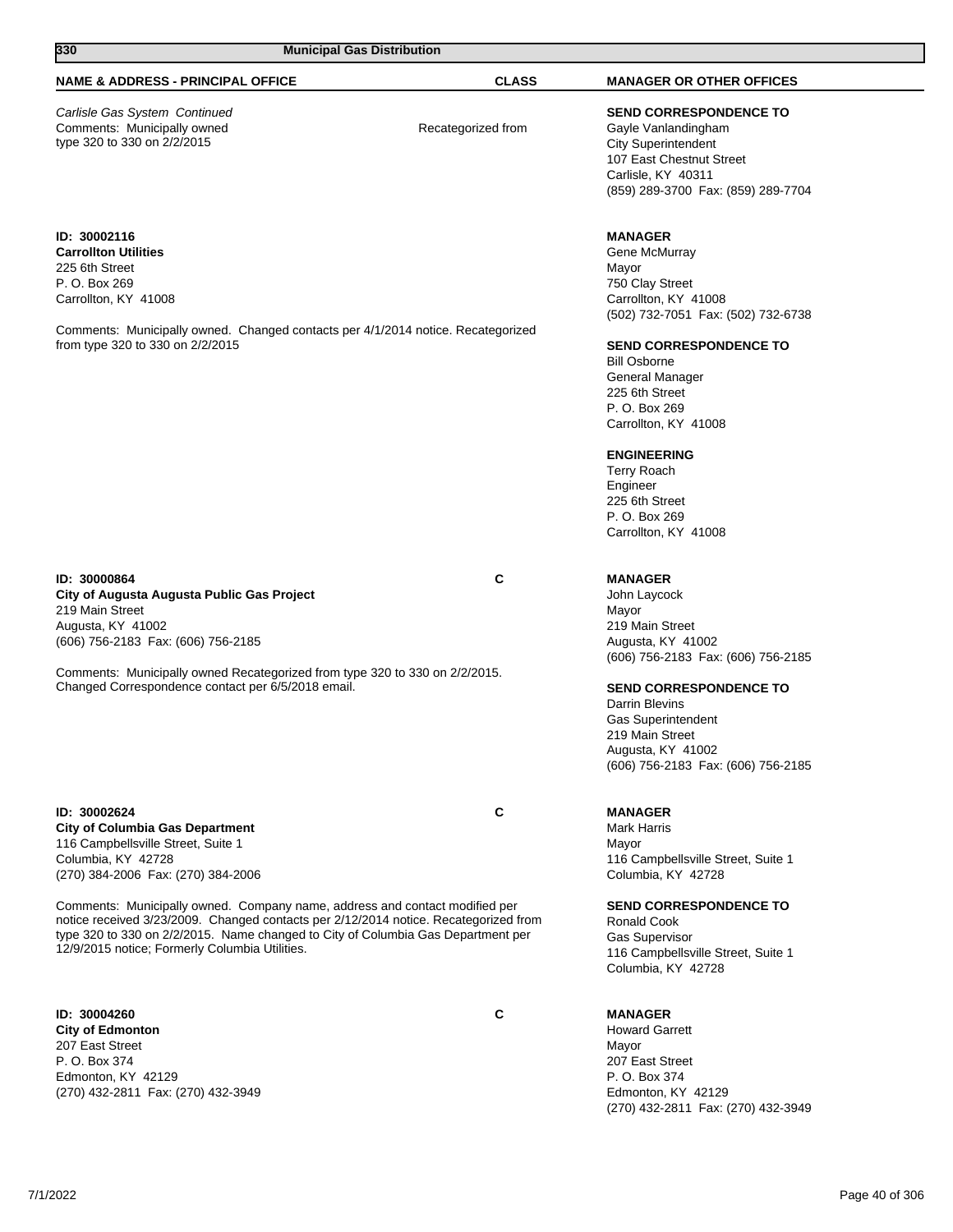| 330<br><b>Municipal Gas Distribution</b>                                                                                                                                                                                                                                                                  |                    |                                                                                                                                                                            |
|-----------------------------------------------------------------------------------------------------------------------------------------------------------------------------------------------------------------------------------------------------------------------------------------------------------|--------------------|----------------------------------------------------------------------------------------------------------------------------------------------------------------------------|
| <b>NAME &amp; ADDRESS - PRINCIPAL OFFICE</b>                                                                                                                                                                                                                                                              | <b>CLASS</b>       | <b>MANAGER OR OTHER OFFICES</b>                                                                                                                                            |
| Carlisle Gas System Continued<br>Comments: Municipally owned<br>type 320 to 330 on 2/2/2015                                                                                                                                                                                                               | Recategorized from | <b>SEND CORRESPONDENCE TO</b><br>Gayle Vanlandingham<br><b>City Superintendent</b><br>107 East Chestnut Street<br>Carlisle, KY 40311<br>(859) 289-3700 Fax: (859) 289-7704 |
| ID: 30002116<br><b>Carrollton Utilities</b><br>225 6th Street<br>P. O. Box 269<br>Carrollton, KY 41008<br>Comments: Municipally owned. Changed contacts per 4/1/2014 notice. Recategorized<br>from type 320 to 330 on 2/2/2015                                                                            |                    | <b>MANAGER</b><br>Gene McMurray<br>Mayor<br>750 Clay Street<br>Carrollton, KY 41008<br>(502) 732-7051 Fax: (502) 732-6738<br><b>SEND CORRESPONDENCE TO</b>                 |
|                                                                                                                                                                                                                                                                                                           |                    | <b>Bill Osborne</b><br>General Manager<br>225 6th Street<br>P. O. Box 269<br>Carrollton, KY 41008                                                                          |
|                                                                                                                                                                                                                                                                                                           |                    | <b>ENGINEERING</b><br><b>Terry Roach</b><br>Engineer<br>225 6th Street<br>P. O. Box 269<br>Carrollton, KY 41008                                                            |
| ID: 30000864<br>City of Augusta Augusta Public Gas Project<br>219 Main Street<br>Augusta, KY 41002<br>(606) 756-2183 Fax: (606) 756-2185                                                                                                                                                                  | C                  | <b>MANAGER</b><br>John Laycock<br>Mayor<br>219 Main Street<br>Augusta, KY 41002<br>(606) 756-2183 Fax: (606) 756-2185                                                      |
| Comments: Municipally owned Recategorized from type 320 to 330 on 2/2/2015.<br>Changed Correspondence contact per 6/5/2018 email.                                                                                                                                                                         |                    | <b>SEND CORRESPONDENCE TO</b><br>Darrin Blevins<br><b>Gas Superintendent</b><br>219 Main Street<br>Augusta, KY 41002<br>(606) 756-2183 Fax: (606) 756-2185                 |
| ID: 30002624<br><b>City of Columbia Gas Department</b><br>116 Campbellsville Street, Suite 1<br>Columbia, KY 42728<br>(270) 384-2006 Fax: (270) 384-2006                                                                                                                                                  | С                  | <b>MANAGER</b><br>Mark Harris<br>Mayor<br>116 Campbellsville Street, Suite 1<br>Columbia, KY 42728                                                                         |
| Comments: Municipally owned. Company name, address and contact modified per<br>notice received 3/23/2009. Changed contacts per 2/12/2014 notice. Recategorized from<br>type 320 to 330 on 2/2/2015. Name changed to City of Columbia Gas Department per<br>12/9/2015 notice; Formerly Columbia Utilities. |                    | <b>SEND CORRESPONDENCE TO</b><br><b>Ronald Cook</b><br>Gas Supervisor<br>116 Campbellsville Street, Suite 1<br>Columbia, KY 42728                                          |

**ID: 30004260 C City of Edmonton** 207 East Street P. O. Box 374 Edmonton, KY 42129 (270) 432-2811 Fax: (270) 432-3949

**MANAGER** Howard Garrett Mayor 207 East Street P. O. Box 374 Edmonton, KY 42129 (270) 432-2811 Fax: (270) 432-3949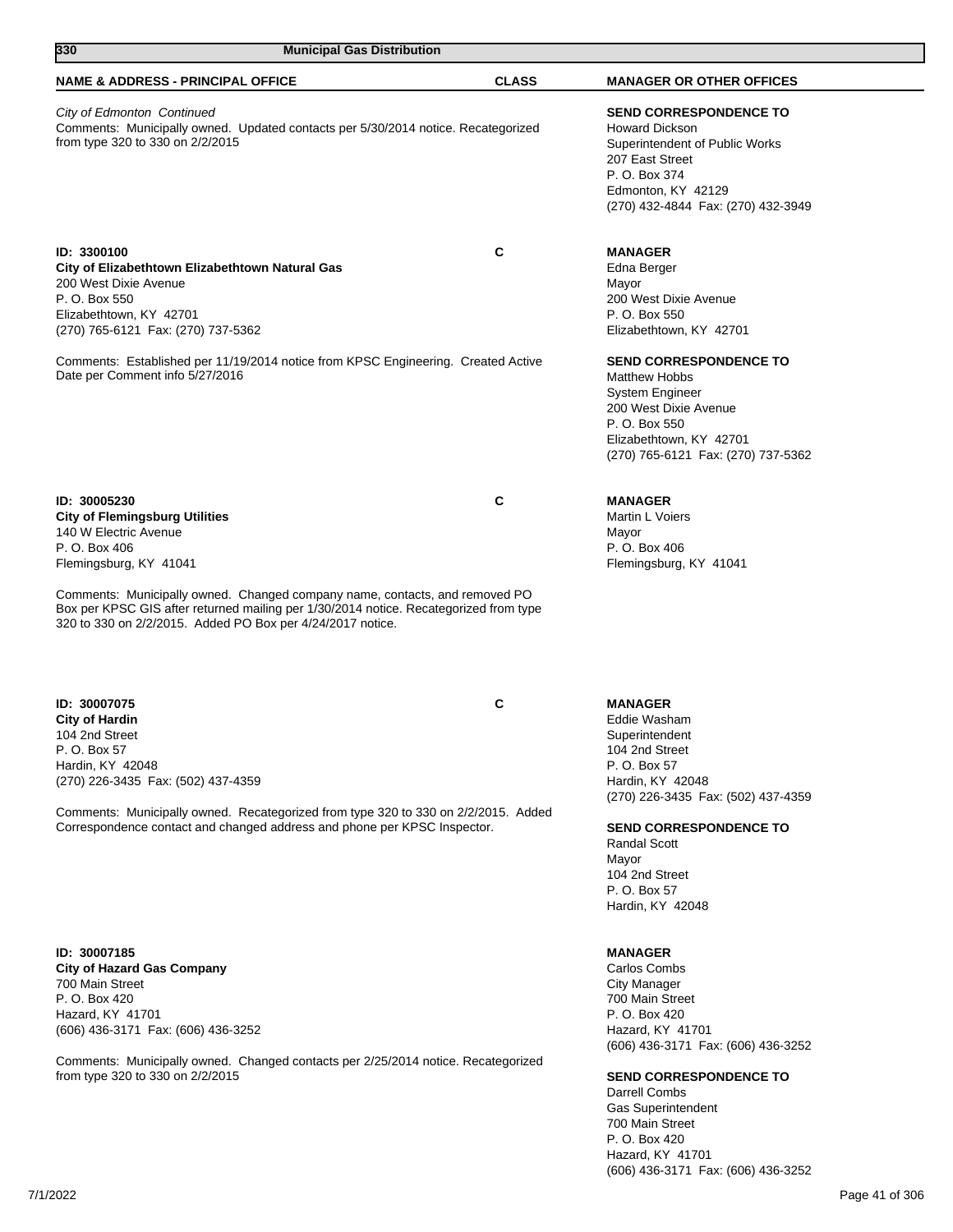| 330<br><b>Municipal Gas Distribution</b>                                                                                                                                                                                                                                                                                                                        |              |                                                                                                                                                                                            |
|-----------------------------------------------------------------------------------------------------------------------------------------------------------------------------------------------------------------------------------------------------------------------------------------------------------------------------------------------------------------|--------------|--------------------------------------------------------------------------------------------------------------------------------------------------------------------------------------------|
| <b>NAME &amp; ADDRESS - PRINCIPAL OFFICE</b>                                                                                                                                                                                                                                                                                                                    | <b>CLASS</b> | <b>MANAGER OR OTHER OFFICES</b>                                                                                                                                                            |
| City of Edmonton Continued<br>Comments: Municipally owned. Updated contacts per 5/30/2014 notice. Recategorized<br>from type 320 to 330 on 2/2/2015                                                                                                                                                                                                             |              | <b>SEND CORRESPONDENCE TO</b><br><b>Howard Dickson</b><br>Superintendent of Public Works<br>207 East Street<br>P. O. Box 374<br>Edmonton, KY 42129<br>(270) 432-4844 Fax: (270) 432-3949   |
| ID: 3300100<br>City of Elizabethtown Elizabethtown Natural Gas<br>200 West Dixie Avenue<br>P. O. Box 550<br>Elizabethtown, KY 42701<br>(270) 765-6121 Fax: (270) 737-5362                                                                                                                                                                                       | C            | <b>MANAGER</b><br>Edna Berger<br>Mayor<br>200 West Dixie Avenue<br>P. O. Box 550<br>Elizabethtown, KY 42701                                                                                |
| Comments: Established per 11/19/2014 notice from KPSC Engineering. Created Active<br>Date per Comment info 5/27/2016                                                                                                                                                                                                                                            |              | <b>SEND CORRESPONDENCE TO</b><br><b>Matthew Hobbs</b><br><b>System Engineer</b><br>200 West Dixie Avenue<br>P. O. Box 550<br>Elizabethtown, KY 42701<br>(270) 765-6121 Fax: (270) 737-5362 |
| ID: 30005230<br><b>City of Flemingsburg Utilities</b><br>140 W Electric Avenue<br>P. O. Box 406<br>Flemingsburg, KY 41041<br>Comments: Municipally owned. Changed company name, contacts, and removed PO<br>Box per KPSC GIS after returned mailing per 1/30/2014 notice. Recategorized from type<br>320 to 330 on 2/2/2015. Added PO Box per 4/24/2017 notice. | C            | <b>MANAGER</b><br>Martin L Voiers<br>Mayor<br>P. O. Box 406<br>Flemingsburg, KY 41041                                                                                                      |
| ID: 30007075<br><b>City of Hardin</b><br>104 2nd Street<br>P. O. Box 57<br>Hardin, KY 42048<br>(270) 226-3435 Fax: (502) 437-4359                                                                                                                                                                                                                               | C            | <b>MANAGER</b><br>Eddie Washam<br>Superintendent<br>104 2nd Street<br>P. O. Box 57<br>Hardin, KY 42048                                                                                     |
| Comments: Municipally owned. Recategorized from type 320 to 330 on 2/2/2015. Added<br>Correspondence contact and changed address and phone per KPSC Inspector.                                                                                                                                                                                                  |              | (270) 226-3435 Fax: (502) 437-4359<br><b>SEND CORRESPONDENCE TO</b><br><b>Randal Scott</b><br>Mayor<br>104 2nd Street<br>P. O. Box 57<br>Hardin, KY 42048                                  |

**ID: 30007185 City of Hazard Gas Company** 700 Main Street P. O. Box 420 Hazard, KY 41701 (606) 436-3171 Fax: (606) 436-3252

Comments: Municipally owned. Changed contacts per 2/25/2014 notice. Recategorized from type 320 to 330 on 2/2/2015

### **MANAGER**

Carlos Combs City Manager 700 Main Street P. O. Box 420 Hazard, KY 41701 (606) 436-3171 Fax: (606) 436-3252

## **SEND CORRESPONDENCE TO**

Darrell Combs Gas Superintendent 700 Main Street P. O. Box 420 Hazard, KY 41701 (606) 436-3171 Fax: (606) 436-3252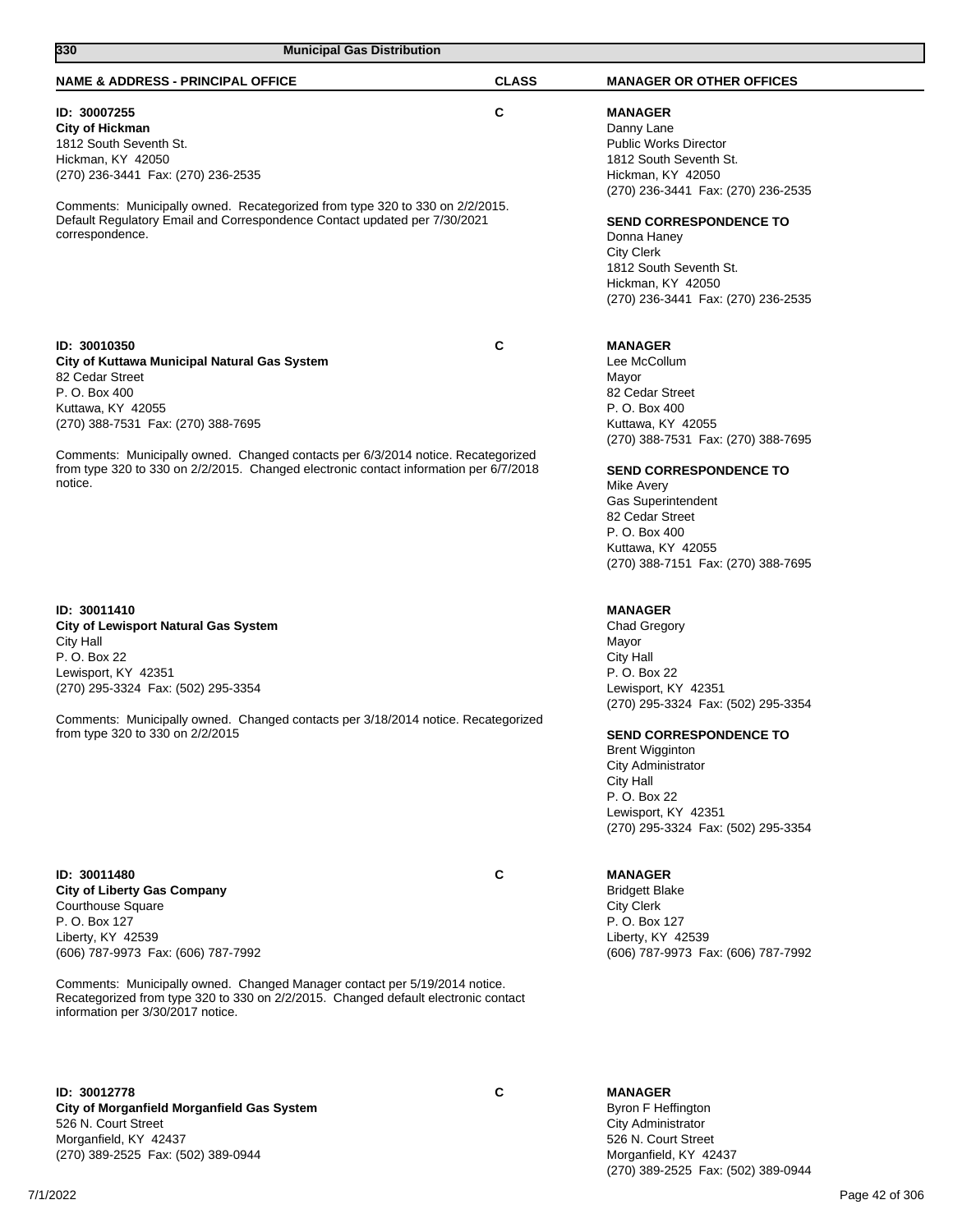| 330<br><b>Municipal Gas Distribution</b>                                                                                                                                                                                                                                                                                                                            |              |                                                                                                                                                                                                                                                                                                                            |
|---------------------------------------------------------------------------------------------------------------------------------------------------------------------------------------------------------------------------------------------------------------------------------------------------------------------------------------------------------------------|--------------|----------------------------------------------------------------------------------------------------------------------------------------------------------------------------------------------------------------------------------------------------------------------------------------------------------------------------|
| <b>NAME &amp; ADDRESS - PRINCIPAL OFFICE</b>                                                                                                                                                                                                                                                                                                                        | <b>CLASS</b> | <b>MANAGER OR OTHER OFFICES</b>                                                                                                                                                                                                                                                                                            |
| ID: 30007255<br><b>City of Hickman</b><br>1812 South Seventh St.<br>Hickman, KY 42050<br>(270) 236-3441 Fax: (270) 236-2535<br>Comments: Municipally owned. Recategorized from type 320 to 330 on 2/2/2015.<br>Default Regulatory Email and Correspondence Contact updated per 7/30/2021<br>correspondence.                                                         | C            | <b>MANAGER</b><br>Danny Lane<br><b>Public Works Director</b><br>1812 South Seventh St.<br>Hickman, KY 42050<br>(270) 236-3441 Fax: (270) 236-2535<br><b>SEND CORRESPONDENCE TO</b><br>Donna Haney<br><b>City Clerk</b><br>1812 South Seventh St.<br>Hickman, KY 42050<br>(270) 236-3441 Fax: (270) 236-2535                |
| ID: 30010350<br>City of Kuttawa Municipal Natural Gas System<br>82 Cedar Street<br>P. O. Box 400<br>Kuttawa, KY 42055<br>(270) 388-7531 Fax: (270) 388-7695<br>Comments: Municipally owned. Changed contacts per 6/3/2014 notice. Recategorized<br>from type 320 to 330 on 2/2/2015. Changed electronic contact information per 6/7/2018<br>notice.                 | C            | <b>MANAGER</b><br>Lee McCollum<br>Mayor<br>82 Cedar Street<br>P. O. Box 400<br>Kuttawa, KY 42055<br>(270) 388-7531 Fax: (270) 388-7695<br><b>SEND CORRESPONDENCE TO</b><br>Mike Avery<br><b>Gas Superintendent</b><br>82 Cedar Street<br>P. O. Box 400<br>Kuttawa, KY 42055<br>(270) 388-7151 Fax: (270) 388-7695          |
| ID: 30011410<br><b>City of Lewisport Natural Gas System</b><br>City Hall<br>P. O. Box 22<br>Lewisport, KY 42351<br>(270) 295-3324 Fax: (502) 295-3354<br>Comments: Municipally owned. Changed contacts per 3/18/2014 notice. Recategorized<br>from type 320 to 330 on 2/2/2015                                                                                      |              | <b>MANAGER</b><br><b>Chad Gregory</b><br>Mayor<br><b>City Hall</b><br>P. O. Box 22<br>Lewisport, KY 42351<br>(270) 295-3324 Fax: (502) 295-3354<br><b>SEND CORRESPONDENCE TO</b><br><b>Brent Wigginton</b><br>City Administrator<br>City Hall<br>P. O. Box 22<br>Lewisport, KY 42351<br>(270) 295-3324 Fax: (502) 295-3354 |
| ID: 30011480<br><b>City of Liberty Gas Company</b><br><b>Courthouse Square</b><br>P. O. Box 127<br>Liberty, KY 42539<br>(606) 787-9973 Fax: (606) 787-7992<br>Comments: Municipally owned. Changed Manager contact per 5/19/2014 notice.<br>Recategorized from type 320 to 330 on 2/2/2015. Changed default electronic contact<br>information per 3/30/2017 notice. | C            | <b>MANAGER</b><br><b>Bridgett Blake</b><br><b>City Clerk</b><br>P. O. Box 127<br>Liberty, KY 42539<br>(606) 787-9973 Fax: (606) 787-7992                                                                                                                                                                                   |
| ID: 30012778<br>City of Morganfield Morganfield Gas System<br>526 N. Court Street<br>Morganfield, KY 42437<br>(270) 389-2525 Fax: (502) 389-0944                                                                                                                                                                                                                    | C            | <b>MANAGER</b><br>Byron F Heffington<br>City Administrator<br>526 N. Court Street<br>Morganfield, KY 42437<br>(270) 389-2525 Fax: (502) 389-0944                                                                                                                                                                           |

7/1/2022 Page 42 of 306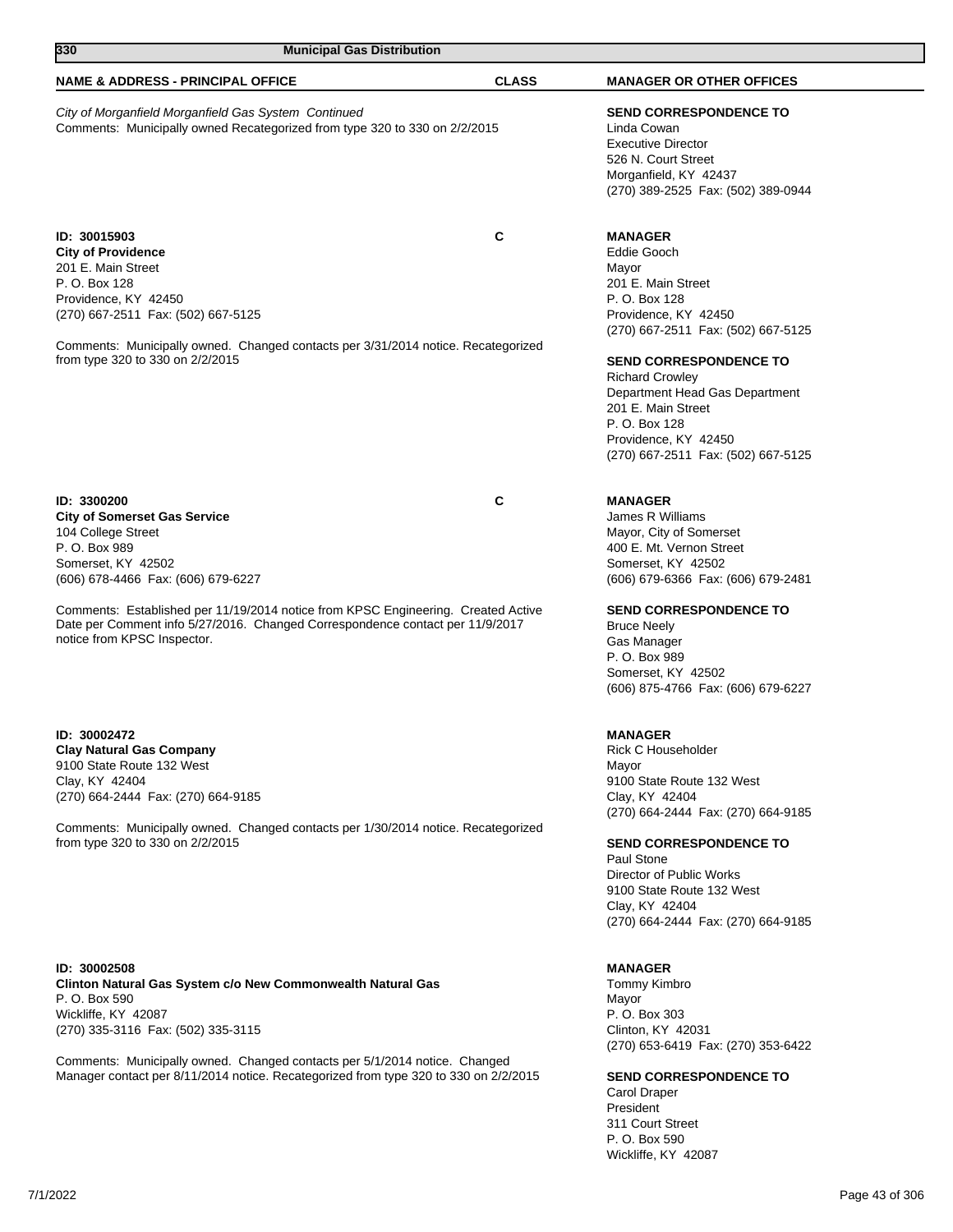| 330<br><b>Municipal Gas Distribution</b>                                                                                                                                                                                                                                                                                                                   |              |                                                                                                                                                                                                                                                                                                                                               |
|------------------------------------------------------------------------------------------------------------------------------------------------------------------------------------------------------------------------------------------------------------------------------------------------------------------------------------------------------------|--------------|-----------------------------------------------------------------------------------------------------------------------------------------------------------------------------------------------------------------------------------------------------------------------------------------------------------------------------------------------|
| <b>NAME &amp; ADDRESS - PRINCIPAL OFFICE</b>                                                                                                                                                                                                                                                                                                               | <b>CLASS</b> | <b>MANAGER OR OTHER OFFICES</b>                                                                                                                                                                                                                                                                                                               |
| City of Morganfield Morganfield Gas System Continued<br>Comments: Municipally owned Recategorized from type 320 to 330 on 2/2/2015                                                                                                                                                                                                                         |              | <b>SEND CORRESPONDENCE TO</b><br>Linda Cowan<br><b>Executive Director</b><br>526 N. Court Street<br>Morganfield, KY 42437<br>(270) 389-2525 Fax: (502) 389-0944                                                                                                                                                                               |
| ID: 30015903<br><b>City of Providence</b><br>201 E. Main Street<br>P. O. Box 128<br>Providence, KY 42450<br>(270) 667-2511 Fax: (502) 667-5125<br>Comments: Municipally owned. Changed contacts per 3/31/2014 notice. Recategorized<br>from type 320 to 330 on 2/2/2015                                                                                    | С            | <b>MANAGER</b><br>Eddie Gooch<br>Mayor<br>201 E. Main Street<br>P. O. Box 128<br>Providence, KY 42450<br>(270) 667-2511 Fax: (502) 667-5125<br><b>SEND CORRESPONDENCE TO</b><br><b>Richard Crowley</b><br>Department Head Gas Department<br>201 E. Main Street<br>P. O. Box 128<br>Providence, KY 42450<br>(270) 667-2511 Fax: (502) 667-5125 |
| ID: 3300200<br><b>City of Somerset Gas Service</b><br>104 College Street<br>P. O. Box 989<br>Somerset, KY 42502<br>(606) 678-4466 Fax: (606) 679-6227<br>Comments: Established per 11/19/2014 notice from KPSC Engineering. Created Active<br>Date per Comment info 5/27/2016. Changed Correspondence contact per 11/9/2017<br>notice from KPSC Inspector. | С            | <b>MANAGER</b><br>James R Williams<br>Mayor, City of Somerset<br>400 E. Mt. Vernon Street<br>Somerset, KY 42502<br>(606) 679-6366 Fax: (606) 679-2481<br><b>SEND CORRESPONDENCE TO</b><br><b>Bruce Neely</b><br>Gas Manager<br>P. O. Box 989<br>Somerset, KY 42502<br>(606) 875-4766 Fax: (606) 679-6227                                      |
| ID: 30002472<br><b>Clay Natural Gas Company</b><br>9100 State Route 132 West<br>Clay, KY 42404<br>(270) 664-2444 Fax: (270) 664-9185<br>Comments: Municipally owned. Changed contacts per 1/30/2014 notice. Recategorized<br>from type 320 to 330 on 2/2/2015                                                                                              |              | <b>MANAGER</b><br>Rick C Householder<br>Mayor<br>9100 State Route 132 West<br>Clay, KY 42404<br>(270) 664-2444 Fax: (270) 664-9185<br><b>SEND CORRESPONDENCE TO</b><br>Paul Stone<br>Director of Public Works<br>9100 State Route 132 West<br>Clay, KY 42404<br>(270) 664-2444 Fax: (270) 664-9185                                            |
| ID: 30002508<br>Clinton Natural Gas System c/o New Commonwealth Natural Gas<br>P. O. Box 590                                                                                                                                                                                                                                                               |              | <b>MANAGER</b><br>Tommy Kimbro<br>Mayor                                                                                                                                                                                                                                                                                                       |

Wickliffe, KY 42087 (270) 335-3116 Fax: (502) 335-3115

Comments: Municipally owned. Changed contacts per 5/1/2014 notice. Changed Manager contact per 8/11/2014 notice. Recategorized from type 320 to 330 on 2/2/2015

# **SEND CORRESPONDENCE TO**

(270) 653-6419 Fax: (270) 353-6422

Carol Draper President 311 Court Street P. O. Box 590 Wickliffe, KY 42087

P. O. Box 303 Clinton, KY 42031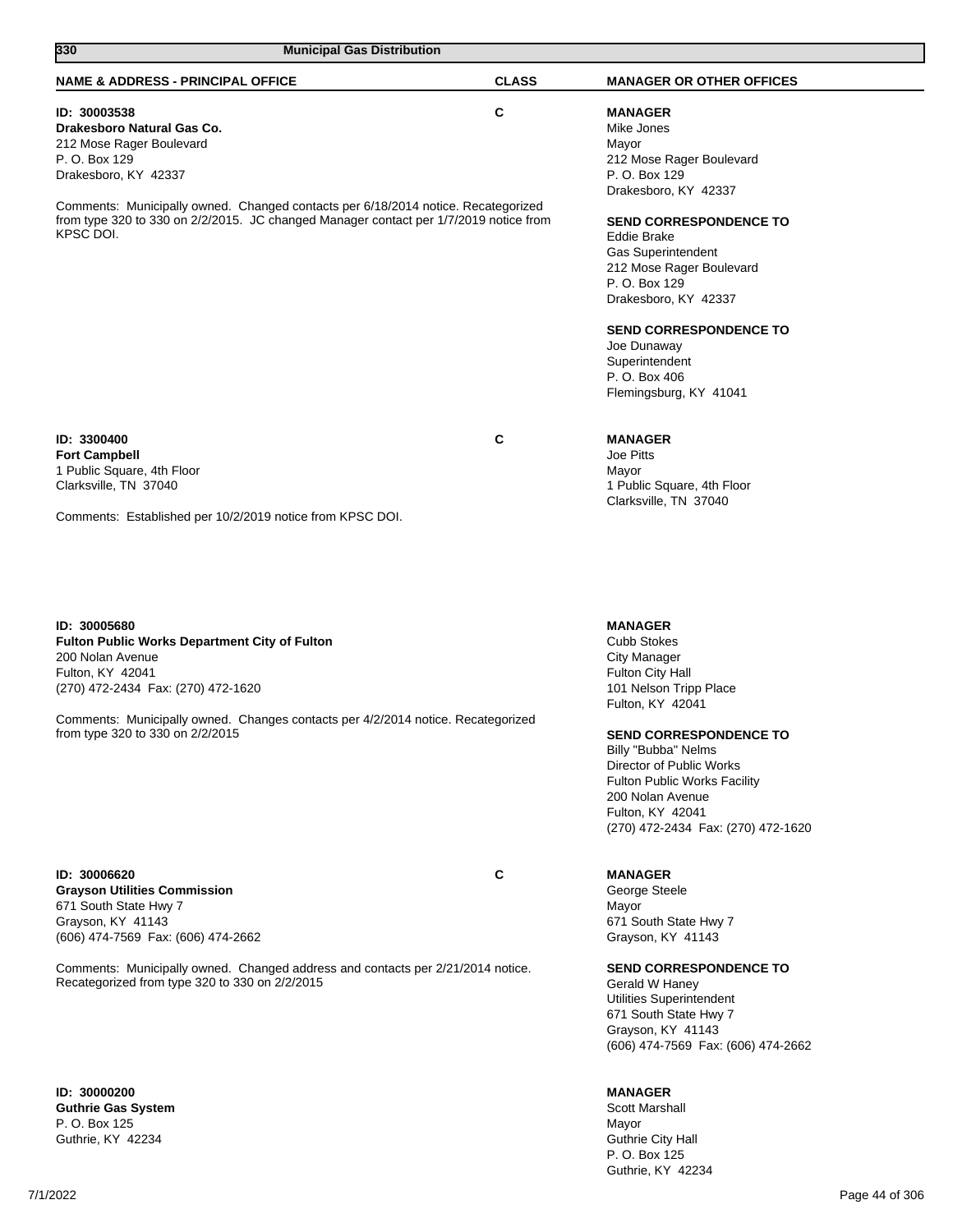| 330<br><b>Municipal Gas Distribution</b>                                                                                                                                                                                                                                                                   |              |                                                                                                                                                                                                                                                                                                                                                                           |
|------------------------------------------------------------------------------------------------------------------------------------------------------------------------------------------------------------------------------------------------------------------------------------------------------------|--------------|---------------------------------------------------------------------------------------------------------------------------------------------------------------------------------------------------------------------------------------------------------------------------------------------------------------------------------------------------------------------------|
| <b>NAME &amp; ADDRESS - PRINCIPAL OFFICE</b>                                                                                                                                                                                                                                                               | <b>CLASS</b> | <b>MANAGER OR OTHER OFFICES</b>                                                                                                                                                                                                                                                                                                                                           |
| ID: 30003538<br>Drakesboro Natural Gas Co.<br>212 Mose Rager Boulevard<br>P. O. Box 129<br>Drakesboro, KY 42337<br>Comments: Municipally owned. Changed contacts per 6/18/2014 notice. Recategorized<br>from type 320 to 330 on 2/2/2015. JC changed Manager contact per 1/7/2019 notice from<br>KPSC DOI. | $\mathbf{C}$ | <b>MANAGER</b><br>Mike Jones<br>Mayor<br>212 Mose Rager Boulevard<br>P. O. Box 129<br>Drakesboro, KY 42337<br><b>SEND CORRESPONDENCE TO</b><br><b>Eddie Brake</b><br>Gas Superintendent<br>212 Mose Rager Boulevard<br>P. O. Box 129<br>Drakesboro, KY 42337<br><b>SEND CORRESPONDENCE TO</b><br>Joe Dunaway<br>Superintendent<br>P. O. Box 406<br>Flemingsburg, KY 41041 |
| ID: 3300400<br><b>Fort Campbell</b><br>1 Public Square, 4th Floor<br>Clarksville, TN 37040<br>Comments: Established per 10/2/2019 notice from KPSC DOI.                                                                                                                                                    | С            | <b>MANAGER</b><br>Joe Pitts<br>Mayor<br>1 Public Square, 4th Floor<br>Clarksville, TN 37040                                                                                                                                                                                                                                                                               |
| ID: 30005680<br><b>Fulton Public Works Department City of Fulton</b><br>200 Nolan Avenue<br>Fulton, KY 42041<br>(270) 472-2434 Fax: (270) 472-1620<br>Comments: Municipally owned. Changes contacts per 4/2/2014 notice. Recategorized<br>from type 320 to 330 on 2/2/2015                                 |              | <b>MANAGER</b><br><b>Cubb Stokes</b><br><b>City Manager</b><br>Fulton City Hall<br>101 Nelson Tripp Place<br>Fulton, KY 42041<br><b>SEND CORRESPONDENCE TO</b><br>Billy "Bubba" Nelms<br>Director of Public Works<br><b>Fulton Public Works Facility</b><br>200 Nolan Avenue<br>Fulton, KY 42041<br>(270) 472-2434 Fax: (270) 472-1620                                    |
| ID: 30006620<br><b>Grayson Utilities Commission</b><br>671 South State Hwy 7<br>Grayson, KY 41143<br>(606) 474-7569 Fax: (606) 474-2662                                                                                                                                                                    | C            | <b>MANAGER</b><br>George Steele<br>Mayor<br>671 South State Hwy 7<br>Grayson, KY 41143                                                                                                                                                                                                                                                                                    |

Comments: Municipally owned. Changed address and contacts per 2/21/2014 notice. Recategorized from type 320 to 330 on 2/2/2015

**ID: 30000200 Guthrie Gas System** P. O. Box 125 Guthrie, KY 42234

7/1/2022 Page 44 of 306

**SEND CORRESPONDENCE TO**

(606) 474-7569 Fax: (606) 474-2662

Gerald W Haney Utilities Superintendent 671 South State Hwy 7 Grayson, KY 41143

**MANAGER** Scott Marshall Mayor Guthrie City Hall P. O. Box 125 Guthrie, KY 42234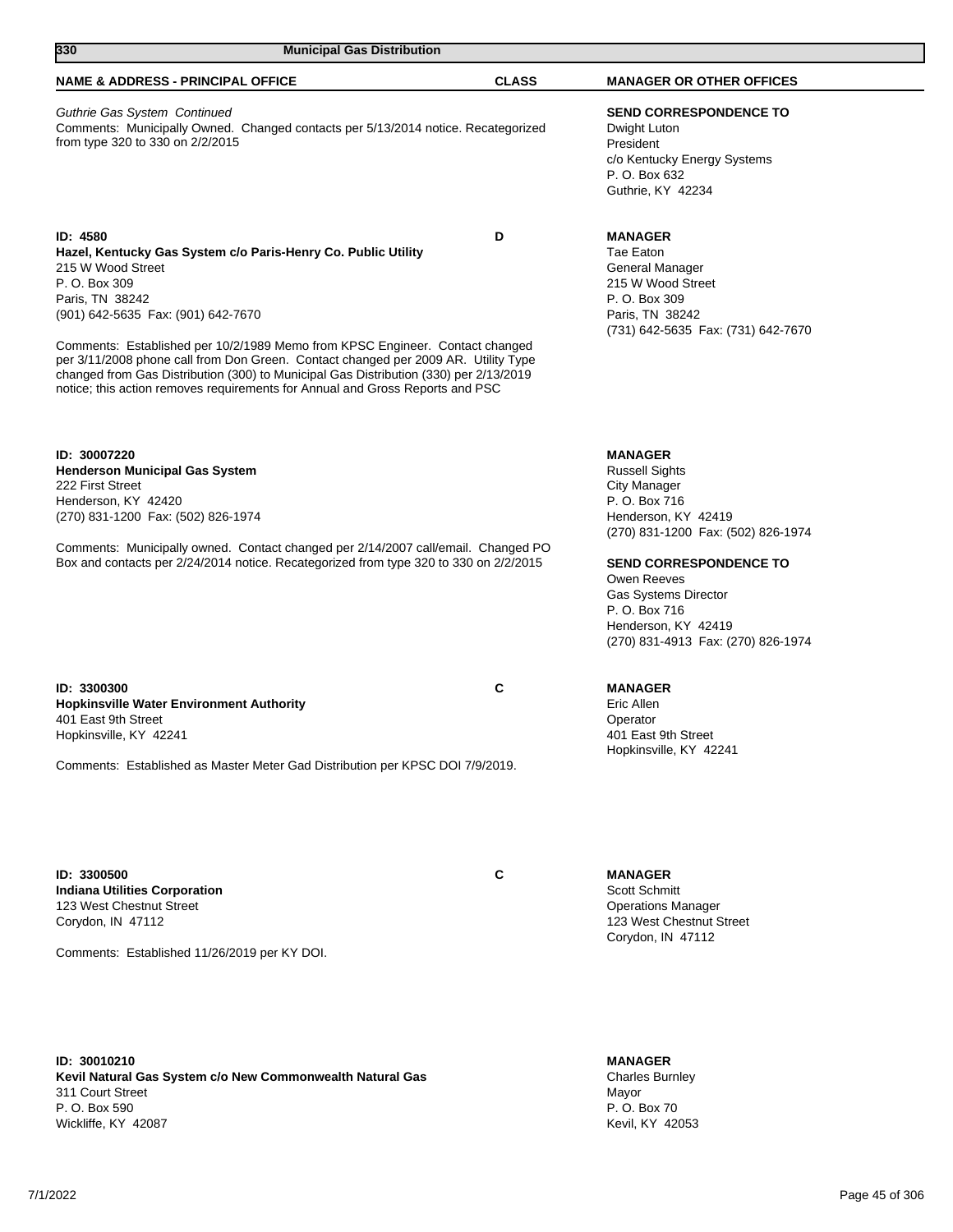| 330<br><b>Municipal Gas Distribution</b>                                                                                                                                                                                                                                                                                                                                                                                                                                                                                 |              |                                                                                                                                                                                                                                                                                                    |
|--------------------------------------------------------------------------------------------------------------------------------------------------------------------------------------------------------------------------------------------------------------------------------------------------------------------------------------------------------------------------------------------------------------------------------------------------------------------------------------------------------------------------|--------------|----------------------------------------------------------------------------------------------------------------------------------------------------------------------------------------------------------------------------------------------------------------------------------------------------|
| <b>NAME &amp; ADDRESS - PRINCIPAL OFFICE</b>                                                                                                                                                                                                                                                                                                                                                                                                                                                                             | <b>CLASS</b> | <b>MANAGER OR OTHER OFFICES</b>                                                                                                                                                                                                                                                                    |
| Guthrie Gas System Continued<br>Comments: Municipally Owned. Changed contacts per 5/13/2014 notice. Recategorized<br>from type 320 to 330 on 2/2/2015                                                                                                                                                                                                                                                                                                                                                                    |              | <b>SEND CORRESPONDENCE TO</b><br>Dwight Luton<br>President<br>c/o Kentucky Energy Systems<br>P. O. Box 632<br>Guthrie, KY 42234                                                                                                                                                                    |
| ID: 4580<br>Hazel, Kentucky Gas System c/o Paris-Henry Co. Public Utility<br>215 W Wood Street<br>P. O. Box 309<br>Paris, TN 38242<br>(901) 642-5635 Fax: (901) 642-7670<br>Comments: Established per 10/2/1989 Memo from KPSC Engineer. Contact changed<br>per 3/11/2008 phone call from Don Green. Contact changed per 2009 AR. Utility Type<br>changed from Gas Distribution (300) to Municipal Gas Distribution (330) per 2/13/2019<br>notice; this action removes requirements for Annual and Gross Reports and PSC | D            | <b>MANAGER</b><br>Tae Eaton<br>General Manager<br>215 W Wood Street<br>P. O. Box 309<br>Paris, TN 38242<br>(731) 642-5635 Fax: (731) 642-7670                                                                                                                                                      |
| ID: 30007220<br><b>Henderson Municipal Gas System</b><br>222 First Street<br>Henderson, KY 42420<br>(270) 831-1200 Fax: (502) 826-1974<br>Comments: Municipally owned. Contact changed per 2/14/2007 call/email. Changed PO<br>Box and contacts per 2/24/2014 notice. Recategorized from type 320 to 330 on 2/2/2015                                                                                                                                                                                                     |              | <b>MANAGER</b><br><b>Russell Sights</b><br>City Manager<br>P. O. Box 716<br>Henderson, KY 42419<br>(270) 831-1200 Fax: (502) 826-1974<br><b>SEND CORRESPONDENCE TO</b><br>Owen Reeves<br><b>Gas Systems Director</b><br>P. O. Box 716<br>Henderson, KY 42419<br>(270) 831-4913 Fax: (270) 826-1974 |
| ID: 3300300<br><b>Hopkinsville Water Environment Authority</b><br>401 East 9th Street<br>Hopkinsville, KY 42241<br>Comments: Established as Master Meter Gad Distribution per KPSC DOI 7/9/2019.                                                                                                                                                                                                                                                                                                                         | С            | <b>MANAGER</b><br>Eric Allen<br>Operator<br>401 East 9th Street<br>Hopkinsville, KY 42241                                                                                                                                                                                                          |
| ID: 3300500<br><b>Indiana Utilities Corporation</b><br>123 West Chestnut Street                                                                                                                                                                                                                                                                                                                                                                                                                                          | C            | <b>MANAGER</b><br>Scott Schmitt<br><b>Operations Manager</b>                                                                                                                                                                                                                                       |

Corydon, IN 47112

Comments: Established 11/26/2019 per KY DOI.

**ID: 30010210 Kevil Natural Gas System c/o New Commonwealth Natural Gas** 311 Court Street P. O. Box 590 Wickliffe, KY 42087

**MANAGER** Charles Burnley Mayor P. O. Box 70 Kevil, KY 42053

123 West Chestnut Street Corydon, IN 47112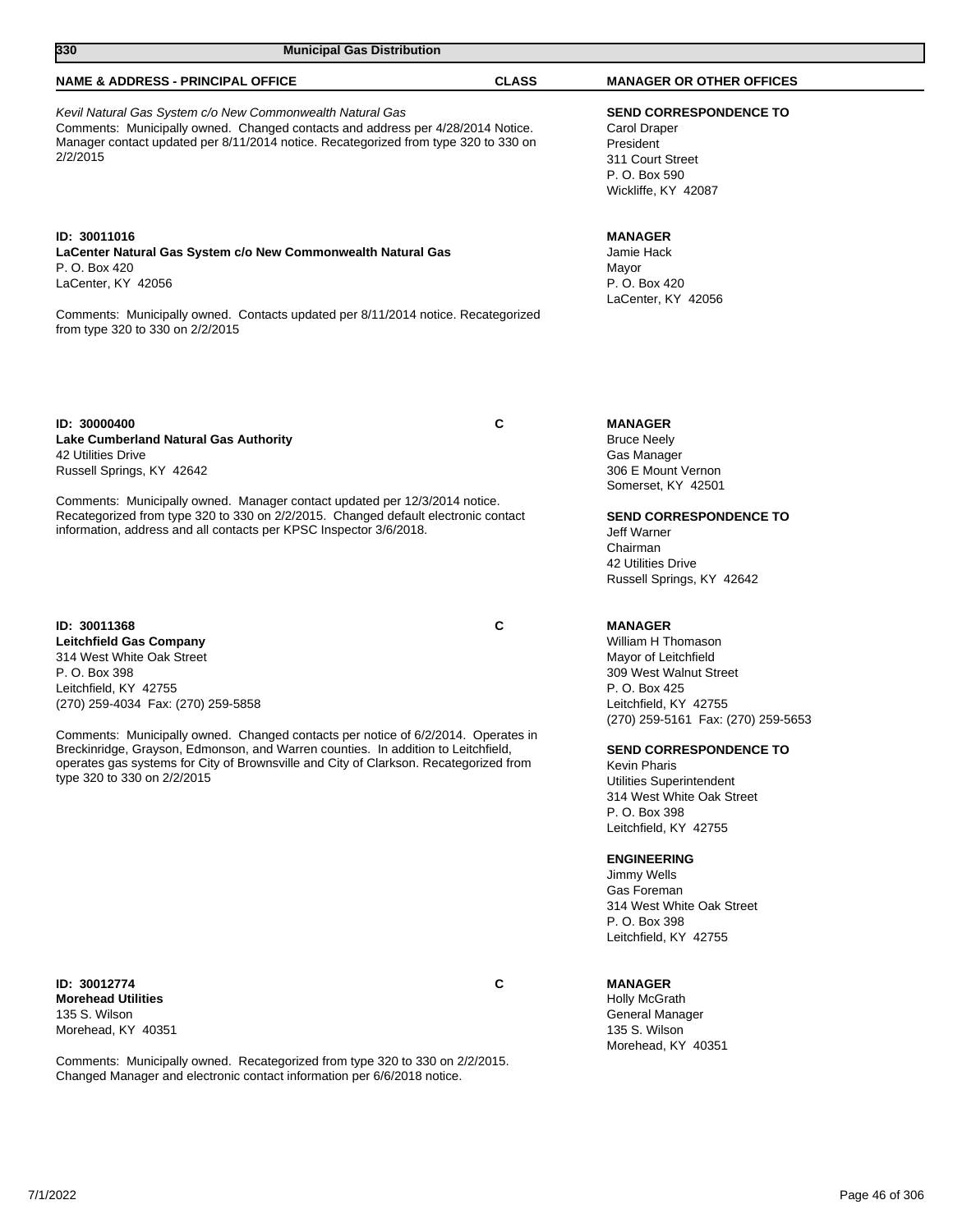| 330<br><b>Municipal Gas Distribution</b>                                                                                                                                                                                                                                                                                                                                                                                                               |              |                                                                                                                                                                                                                                                                                         |  |
|--------------------------------------------------------------------------------------------------------------------------------------------------------------------------------------------------------------------------------------------------------------------------------------------------------------------------------------------------------------------------------------------------------------------------------------------------------|--------------|-----------------------------------------------------------------------------------------------------------------------------------------------------------------------------------------------------------------------------------------------------------------------------------------|--|
| <b>NAME &amp; ADDRESS - PRINCIPAL OFFICE</b>                                                                                                                                                                                                                                                                                                                                                                                                           | <b>CLASS</b> | <b>MANAGER OR OTHER OFFICES</b>                                                                                                                                                                                                                                                         |  |
| Kevil Natural Gas System c/o New Commonwealth Natural Gas<br>Comments: Municipally owned. Changed contacts and address per 4/28/2014 Notice.<br>Manager contact updated per 8/11/2014 notice. Recategorized from type 320 to 330 on<br>2/2/2015                                                                                                                                                                                                        |              | <b>SEND CORRESPONDENCE TO</b><br>Carol Draper<br>President<br>311 Court Street<br>P. O. Box 590<br>Wickliffe, KY 42087                                                                                                                                                                  |  |
| ID: 30011016<br>LaCenter Natural Gas System c/o New Commonwealth Natural Gas<br>P. O. Box 420<br>LaCenter, KY 42056<br>Comments: Municipally owned. Contacts updated per 8/11/2014 notice. Recategorized<br>from type 320 to 330 on 2/2/2015                                                                                                                                                                                                           |              | <b>MANAGER</b><br>Jamie Hack<br>Mayor<br>P. O. Box 420<br>LaCenter, KY 42056                                                                                                                                                                                                            |  |
| ID: 30000400<br>Lake Cumberland Natural Gas Authority<br>42 Utilities Drive<br>Russell Springs, KY 42642<br>Comments: Municipally owned. Manager contact updated per 12/3/2014 notice.<br>Recategorized from type 320 to 330 on 2/2/2015. Changed default electronic contact<br>information, address and all contacts per KPSC Inspector 3/6/2018.                                                                                                     | C            | <b>MANAGER</b><br><b>Bruce Neely</b><br>Gas Manager<br>306 E Mount Vernon<br>Somerset, KY 42501<br><b>SEND CORRESPONDENCE TO</b><br>Jeff Warner<br>Chairman<br>42 Utilities Drive<br>Russell Springs, KY 42642                                                                          |  |
| ID: 30011368<br>Leitchfield Gas Company<br>314 West White Oak Street<br>P. O. Box 398<br>Leitchfield, KY 42755<br>(270) 259-4034 Fax: (270) 259-5858<br>Comments: Municipally owned. Changed contacts per notice of 6/2/2014. Operates in<br>Breckinridge, Grayson, Edmonson, and Warren counties. In addition to Leitchfield,<br>operates gas systems for City of Brownsville and City of Clarkson. Recategorized from<br>type 320 to 330 on 2/2/2015 | C            | <b>MANAGER</b><br>William H Thomason<br>Mayor of Leitchfield<br>309 West Walnut Street<br>P. O. Box 425<br>Leitchfield, KY 42755<br>(270) 259-5161 Fax: (270) 259-5653<br><b>SEND CORRESPONDENCE TO</b><br><b>Kevin Pharis</b><br>Utilities Superintendent<br>314 West White Oak Street |  |

**ID: 30012774 C Morehead Utilities** 135 S. Wilson Morehead, KY 40351

Comments: Municipally owned. Recategorized from type 320 to 330 on 2/2/2015. Changed Manager and electronic contact information per 6/6/2018 notice.

**MANAGER**

P. O. Box 398 Leitchfield, KY 42755

**ENGINEERING** Jimmy Wells Gas Foreman

P. O. Box 398 Leitchfield, KY 42755

Holly McGrath General Manager 135 S. Wilson Morehead, KY 40351

314 West White Oak Street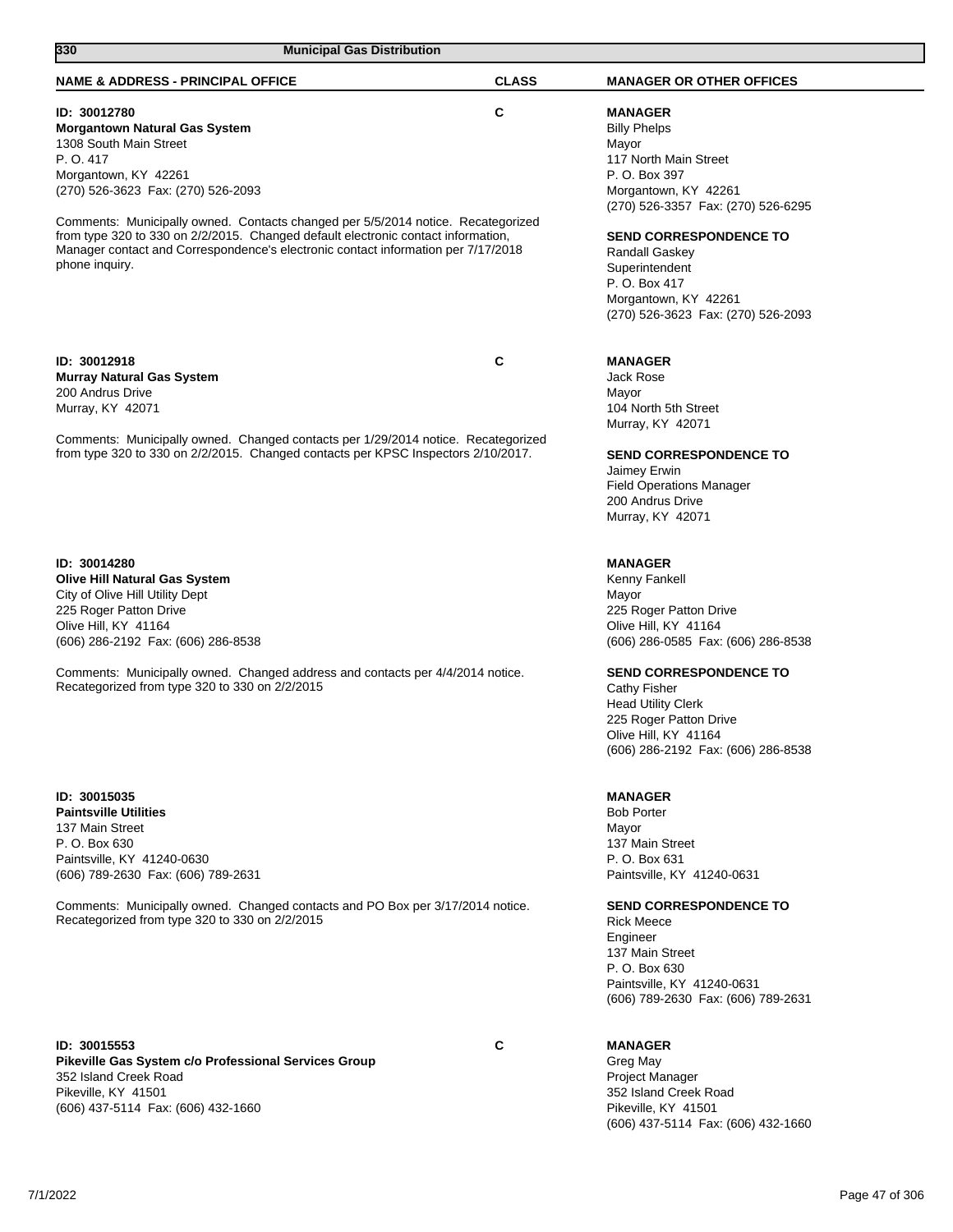| 330<br><b>Municipal Gas Distribution</b>                                                                                                                                                                                                                                                                                                                                                                                                  |              |                                                                                                                                                                                                                                                                                                                   |
|-------------------------------------------------------------------------------------------------------------------------------------------------------------------------------------------------------------------------------------------------------------------------------------------------------------------------------------------------------------------------------------------------------------------------------------------|--------------|-------------------------------------------------------------------------------------------------------------------------------------------------------------------------------------------------------------------------------------------------------------------------------------------------------------------|
| <b>NAME &amp; ADDRESS - PRINCIPAL OFFICE</b>                                                                                                                                                                                                                                                                                                                                                                                              | <b>CLASS</b> | <b>MANAGER OR OTHER OFFICES</b>                                                                                                                                                                                                                                                                                   |
| ID: 30012780<br><b>Morgantown Natural Gas System</b><br>1308 South Main Street<br>P. O. 417<br>Morgantown, KY 42261<br>(270) 526-3623 Fax: (270) 526-2093<br>Comments: Municipally owned. Contacts changed per 5/5/2014 notice. Recategorized<br>from type 320 to 330 on 2/2/2015. Changed default electronic contact information,<br>Manager contact and Correspondence's electronic contact information per 7/17/2018<br>phone inquiry. | С            | <b>MANAGER</b><br><b>Billy Phelps</b><br>Mayor<br>117 North Main Street<br>P. O. Box 397<br>Morgantown, KY 42261<br>(270) 526-3357 Fax: (270) 526-6295<br><b>SEND CORRESPONDENCE TO</b><br><b>Randall Gaskey</b><br>Superintendent<br>P. O. Box 417<br>Morgantown, KY 42261<br>(270) 526-3623 Fax: (270) 526-2093 |
| ID: 30012918<br><b>Murray Natural Gas System</b><br>200 Andrus Drive<br>Murray, KY 42071<br>Comments: Municipally owned. Changed contacts per 1/29/2014 notice. Recategorized<br>from type 320 to 330 on 2/2/2015. Changed contacts per KPSC Inspectors 2/10/2017.                                                                                                                                                                        | C            | <b>MANAGER</b><br>Jack Rose<br>Mayor<br>104 North 5th Street<br>Murray, KY 42071<br><b>SEND CORRESPONDENCE TO</b><br>Jaimey Erwin<br><b>Field Operations Manager</b><br>200 Andrus Drive<br>Murray, KY 42071                                                                                                      |
| ID: 30014280<br><b>Olive Hill Natural Gas System</b><br>City of Olive Hill Utility Dept<br>225 Roger Patton Drive<br>Olive Hill, KY 41164<br>(606) 286-2192 Fax: (606) 286-8538<br>Comments: Municipally owned. Changed address and contacts per 4/4/2014 notice.<br>Recategorized from type 320 to 330 on 2/2/2015                                                                                                                       |              | <b>MANAGER</b><br>Kenny Fankell<br>Mayor<br>225 Roger Patton Drive<br>Olive Hill, KY 41164<br>(606) 286-0585 Fax: (606) 286-8538<br><b>SEND CORRESPONDENCE TO</b><br><b>Cathy Fisher</b><br><b>Head Utility Clerk</b><br>225 Roger Patton Drive<br>Olive Hill, KY 41164<br>(606) 286-2192 Fax: (606) 286-8538     |
| ID: 30015035<br><b>Paintsville Utilities</b><br>137 Main Street<br>P. O. Box 630<br>Paintsville, KY 41240-0630<br>(606) 789-2630 Fax: (606) 789-2631<br>Comments: Municipally owned. Changed contacts and PO Box per 3/17/2014 notice.<br>Recategorized from type 320 to 330 on 2/2/2015                                                                                                                                                  |              | <b>MANAGER</b><br><b>Bob Porter</b><br>Mayor<br>137 Main Street<br>P. O. Box 631<br>Paintsville, KY 41240-0631<br><b>SEND CORRESPONDENCE TO</b><br><b>Rick Meece</b><br>Engineer<br>137 Main Street<br>P. O. Box 630<br>Paintsville, KY 41240-0631<br>(606) 789-2630 Fax: (606) 789-2631                          |
| ID: 30015553<br>Pikeville Gas System c/o Professional Services Group<br>352 Island Creek Road<br>Pikeville, KY 41501<br>(606) 437-5114 Fax: (606) 432-1660                                                                                                                                                                                                                                                                                | C            | <b>MANAGER</b><br>Greg May<br><b>Project Manager</b><br>352 Island Creek Road<br>Pikeville, KY 41501<br>(606) 437-5114 Fax: (606) 432-1660                                                                                                                                                                        |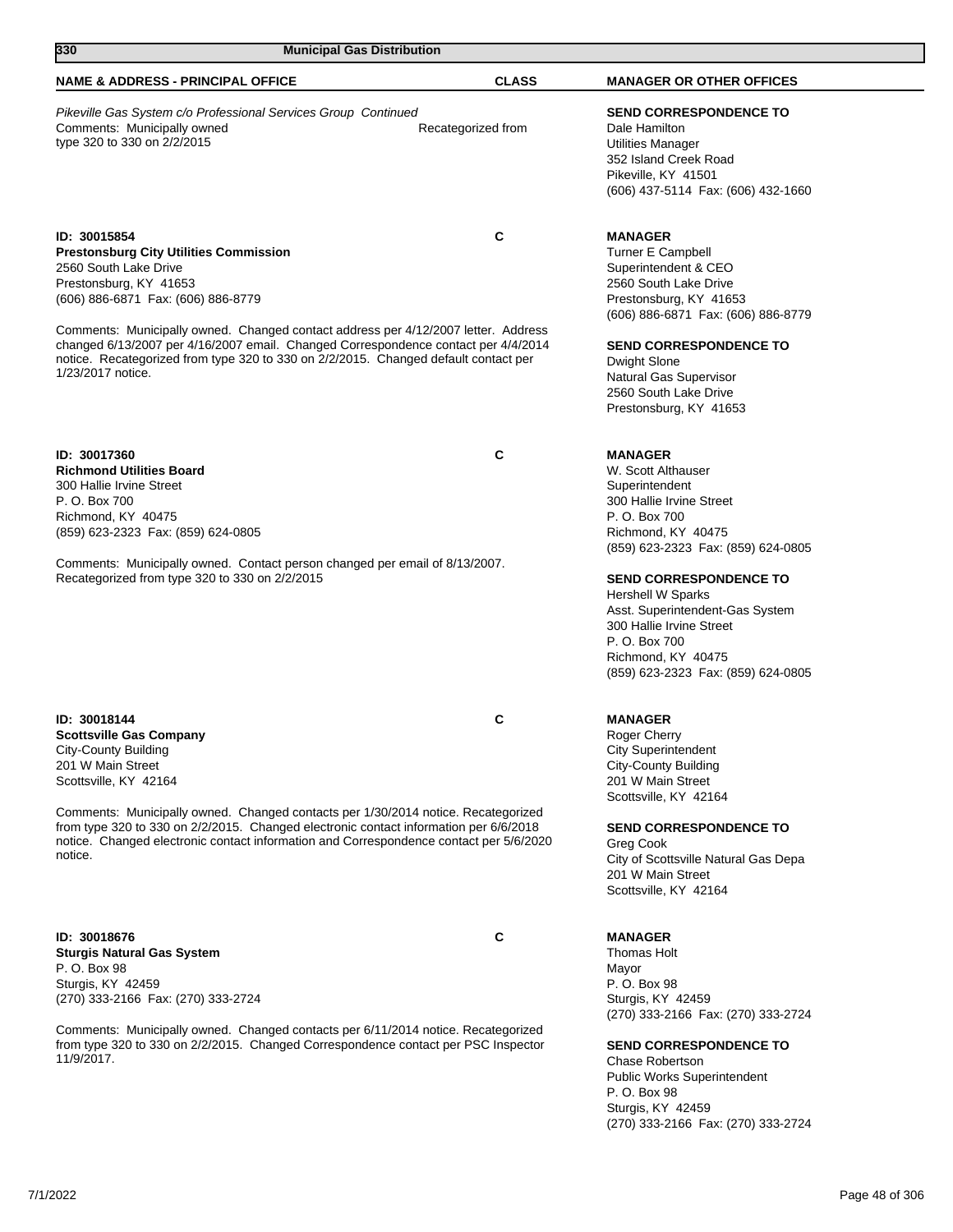| 330<br><b>Municipal Gas Distribution</b>                                                                                                                                                                                                                                                                                                                                                                                                       |                    |                                                                                                                                                                                                                                                                                                                                                                          |
|------------------------------------------------------------------------------------------------------------------------------------------------------------------------------------------------------------------------------------------------------------------------------------------------------------------------------------------------------------------------------------------------------------------------------------------------|--------------------|--------------------------------------------------------------------------------------------------------------------------------------------------------------------------------------------------------------------------------------------------------------------------------------------------------------------------------------------------------------------------|
| <b>NAME &amp; ADDRESS - PRINCIPAL OFFICE</b>                                                                                                                                                                                                                                                                                                                                                                                                   | <b>CLASS</b>       | <b>MANAGER OR OTHER OFFICES</b>                                                                                                                                                                                                                                                                                                                                          |
| Pikeville Gas System c/o Professional Services Group Continued<br>Comments: Municipally owned<br>type 320 to 330 on 2/2/2015                                                                                                                                                                                                                                                                                                                   | Recategorized from | <b>SEND CORRESPONDENCE TO</b><br>Dale Hamilton<br>Utilities Manager<br>352 Island Creek Road<br>Pikeville, KY 41501<br>(606) 437-5114 Fax: (606) 432-1660                                                                                                                                                                                                                |
| ID: 30015854<br><b>Prestonsburg City Utilities Commission</b><br>2560 South Lake Drive<br>Prestonsburg, KY 41653<br>(606) 886-6871 Fax: (606) 886-8779<br>Comments: Municipally owned. Changed contact address per 4/12/2007 letter. Address<br>changed 6/13/2007 per 4/16/2007 email. Changed Correspondence contact per 4/4/2014<br>notice. Recategorized from type 320 to 330 on 2/2/2015. Changed default contact per<br>1/23/2017 notice. | C                  | <b>MANAGER</b><br><b>Turner E Campbell</b><br>Superintendent & CEO<br>2560 South Lake Drive<br>Prestonsburg, KY 41653<br>(606) 886-6871 Fax: (606) 886-8779<br><b>SEND CORRESPONDENCE TO</b><br>Dwight Slone<br>Natural Gas Supervisor<br>2560 South Lake Drive<br>Prestonsburg, KY 41653                                                                                |
| ID: 30017360<br><b>Richmond Utilities Board</b><br>300 Hallie Irvine Street<br>P. O. Box 700<br>Richmond, KY 40475<br>(859) 623-2323 Fax: (859) 624-0805<br>Comments: Municipally owned. Contact person changed per email of 8/13/2007.<br>Recategorized from type 320 to 330 on 2/2/2015                                                                                                                                                      | C                  | <b>MANAGER</b><br>W. Scott Althauser<br>Superintendent<br>300 Hallie Irvine Street<br>P. O. Box 700<br>Richmond, KY 40475<br>(859) 623-2323 Fax: (859) 624-0805<br><b>SEND CORRESPONDENCE TO</b><br><b>Hershell W Sparks</b><br>Asst. Superintendent-Gas System<br>300 Hallie Irvine Street<br>P. O. Box 700<br>Richmond, KY 40475<br>(859) 623-2323 Fax: (859) 624-0805 |
| ID: 30018144<br><b>Scottsville Gas Company</b><br><b>City-County Building</b><br>201 W Main Street<br>Scottsville, KY 42164<br>Comments: Municipally owned. Changed contacts per 1/30/2014 notice. Recategorized<br>from type 320 to 330 on 2/2/2015. Changed electronic contact information per 6/6/2018<br>notice. Changed electronic contact information and Correspondence contact per 5/6/2020<br>notice.                                 | С                  | <b>MANAGER</b><br>Roger Cherry<br><b>City Superintendent</b><br><b>City-County Building</b><br>201 W Main Street<br>Scottsville, KY 42164<br><b>SEND CORRESPONDENCE TO</b><br>Greg Cook<br>City of Scottsville Natural Gas Depa<br>201 W Main Street<br>Scottsville, KY 42164                                                                                            |
| ID: 30018676<br><b>Sturgis Natural Gas System</b><br>P. O. Box 98<br>Sturgis, KY 42459<br>(270) 333-2166 Fax: (270) 333-2724<br>Comments: Municipally owned. Changed contacts per 6/11/2014 notice. Recategorized<br>from type 320 to 330 on 2/2/2015. Changed Correspondence contact per PSC Inspector<br>11/9/2017.                                                                                                                          | C                  | <b>MANAGER</b><br>Thomas Holt<br>Mayor<br>P. O. Box 98<br>Sturgis, KY 42459<br>(270) 333-2166 Fax: (270) 333-2724<br><b>SEND CORRESPONDENCE TO</b><br>Chase Robertson<br><b>Public Works Superintendent</b><br>P. O. Box 98                                                                                                                                              |

7/1/2022 Page 48 of 306

Sturgis, KY 42459

(270) 333-2166 Fax: (270) 333-2724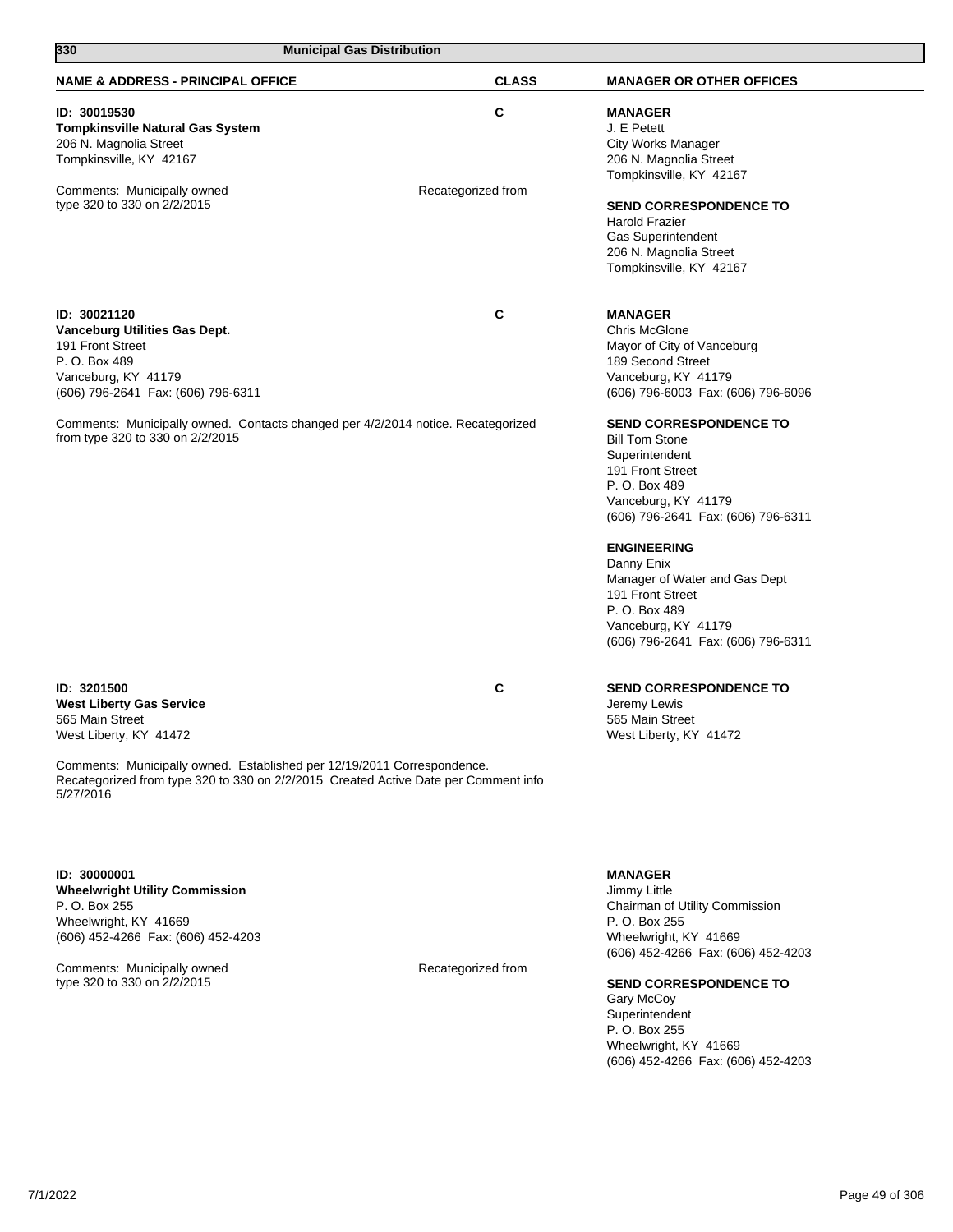| 330<br><b>Municipal Gas Distribution</b>                                                                                                                                    |                    |                                                                                                                                                                                                                                                                                                                                                   |
|-----------------------------------------------------------------------------------------------------------------------------------------------------------------------------|--------------------|---------------------------------------------------------------------------------------------------------------------------------------------------------------------------------------------------------------------------------------------------------------------------------------------------------------------------------------------------|
| <b>NAME &amp; ADDRESS - PRINCIPAL OFFICE</b>                                                                                                                                | <b>CLASS</b>       | <b>MANAGER OR OTHER OFFICES</b>                                                                                                                                                                                                                                                                                                                   |
| ID: 30019530<br><b>Tompkinsville Natural Gas System</b><br>206 N. Magnolia Street<br>Tompkinsville, KY 42167                                                                | C                  | <b>MANAGER</b><br>J. E Petett<br><b>City Works Manager</b><br>206 N. Magnolia Street                                                                                                                                                                                                                                                              |
| Comments: Municipally owned<br>type 320 to 330 on 2/2/2015                                                                                                                  | Recategorized from | Tompkinsville, KY 42167<br><b>SEND CORRESPONDENCE TO</b><br>Harold Frazier<br><b>Gas Superintendent</b><br>206 N. Magnolia Street<br>Tompkinsville, KY 42167                                                                                                                                                                                      |
| ID: 30021120<br>Vanceburg Utilities Gas Dept.<br>191 Front Street<br>P. O. Box 489<br>Vanceburg, KY 41179<br>(606) 796-2641 Fax: (606) 796-6311                             | C                  | <b>MANAGER</b><br>Chris McGlone<br>Mayor of City of Vanceburg<br>189 Second Street<br>Vanceburg, KY 41179<br>(606) 796-6003 Fax: (606) 796-6096                                                                                                                                                                                                   |
| Comments: Municipally owned. Contacts changed per 4/2/2014 notice. Recategorized<br>from type 320 to 330 on 2/2/2015                                                        |                    | <b>SEND CORRESPONDENCE TO</b><br><b>Bill Tom Stone</b><br>Superintendent<br>191 Front Street<br>P. O. Box 489<br>Vanceburg, KY 41179<br>(606) 796-2641 Fax: (606) 796-6311<br><b>ENGINEERING</b><br>Danny Enix<br>Manager of Water and Gas Dept<br>191 Front Street<br>P. O. Box 489<br>Vanceburg, KY 41179<br>(606) 796-2641 Fax: (606) 796-6311 |
| ID: 3201500<br><b>West Liberty Gas Service</b><br>565 Main Street<br>West Liberty, KY 41472                                                                                 | C                  | <b>SEND CORRESPONDENCE TO</b><br>Jeremy Lewis<br>565 Main Street<br>West Liberty, KY 41472                                                                                                                                                                                                                                                        |
| Comments: Municipally owned. Established per 12/19/2011 Correspondence.<br>Recategorized from type 320 to 330 on 2/2/2015 Created Active Date per Comment info<br>5/27/2016 |                    |                                                                                                                                                                                                                                                                                                                                                   |
| ID: 30000001<br><b>Wheelwright Utility Commission</b><br>P. O. Box 255<br>Wheelwright, KY 41669<br>(606) 452-4266 Fax: (606) 452-4203                                       |                    | <b>MANAGER</b><br>Jimmy Little<br>Chairman of Utility Commission<br>P. O. Box 255<br>Wheelwright, KY 41669<br>(606) 452-4266 Fax: (606) 452-4203                                                                                                                                                                                                  |

Comments: Municipally owned **Recategorized from Recategorized** from type 320 to 330 on 2/2/2015

## **SEND CORRESPONDENCE TO**

Gary McCoy Superintendent P. O. Box 255 Wheelwright, KY 41669 (606) 452-4266 Fax: (606) 452-4203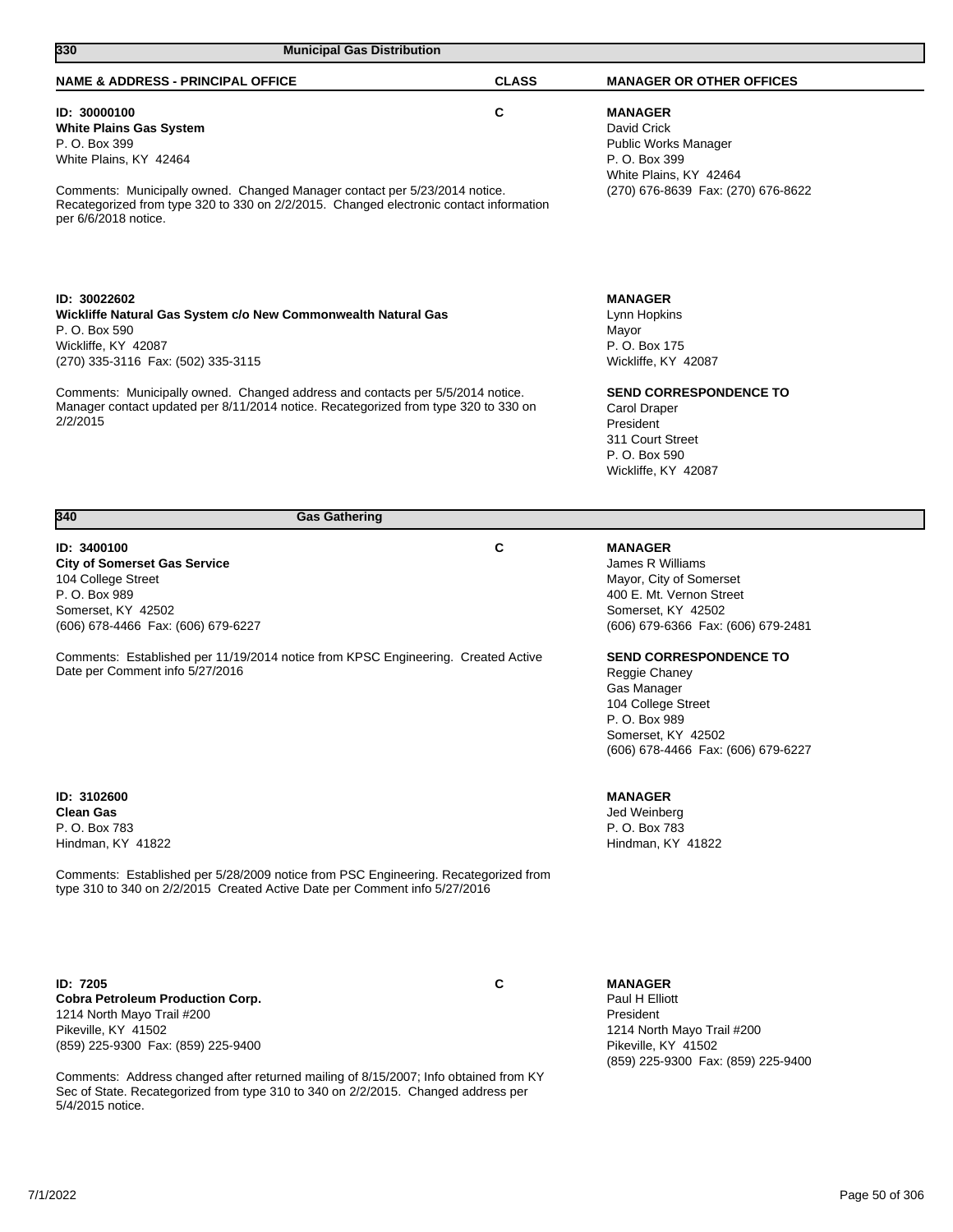| 330<br><b>Municipal Gas Distribution</b>                                                                                                                                                                                                                                                                                                         |              |                                                                                                                                                                                                           |
|--------------------------------------------------------------------------------------------------------------------------------------------------------------------------------------------------------------------------------------------------------------------------------------------------------------------------------------------------|--------------|-----------------------------------------------------------------------------------------------------------------------------------------------------------------------------------------------------------|
| <b>NAME &amp; ADDRESS - PRINCIPAL OFFICE</b>                                                                                                                                                                                                                                                                                                     | <b>CLASS</b> | <b>MANAGER OR OTHER OFFICES</b>                                                                                                                                                                           |
| ID: 30000100<br><b>White Plains Gas System</b><br>P. O. Box 399<br>White Plains, KY 42464<br>Comments: Municipally owned. Changed Manager contact per 5/23/2014 notice.<br>Recategorized from type 320 to 330 on 2/2/2015. Changed electronic contact information<br>per 6/6/2018 notice.                                                        | С            | <b>MANAGER</b><br>David Crick<br>Public Works Manager<br>P. O. Box 399<br>White Plains, KY 42464<br>(270) 676-8639 Fax: (270) 676-8622                                                                    |
| ID: 30022602<br>Wickliffe Natural Gas System c/o New Commonwealth Natural Gas<br>P. O. Box 590<br>Wickliffe, KY 42087<br>(270) 335-3116 Fax: (502) 335-3115<br>Comments: Municipally owned. Changed address and contacts per 5/5/2014 notice.<br>Manager contact updated per 8/11/2014 notice. Recategorized from type 320 to 330 on<br>2/2/2015 |              | <b>MANAGER</b><br>Lynn Hopkins<br>Mayor<br>P. O. Box 175<br>Wickliffe, KY 42087<br><b>SEND CORRESPONDENCE TO</b><br>Carol Draper<br>President<br>311 Court Street<br>P. O. Box 590<br>Wickliffe, KY 42087 |
| 340<br><b>Gas Gathering</b>                                                                                                                                                                                                                                                                                                                      |              |                                                                                                                                                                                                           |
| ID: 3400100<br><b>City of Somerset Gas Service</b><br>104 College Street<br>P. O. Box 989<br>Somerset, KY 42502<br>(606) 678-4466 Fax: (606) 679-6227                                                                                                                                                                                            | С            | <b>MANAGER</b><br>James R Williams<br>Mayor, City of Somerset<br>400 E. Mt. Vernon Street<br>Somerset, KY 42502<br>(606) 679-6366 Fax: (606) 679-2481                                                     |
| Comments: Established per 11/19/2014 notice from KPSC Engineering. Created Active<br>Date per Comment info 5/27/2016                                                                                                                                                                                                                             |              | <b>SEND CORRESPONDENCE TO</b><br>Reggie Chaney<br>Gas Manager<br>104 College Street<br>P. O. Box 989<br>Somerset, KY 42502<br>(606) 678-4466 Fax: (606) 679-6227                                          |
| ID: 3102600<br><b>Clean Gas</b><br>P. O. Box 783<br>Hindman, KY 41822                                                                                                                                                                                                                                                                            |              | <b>MANAGER</b><br>Jed Weinberg<br>P. O. Box 783<br>Hindman, KY 41822                                                                                                                                      |
| Comments: Established per 5/28/2009 notice from PSC Engineering. Recategorized from<br>type 310 to 340 on 2/2/2015 Created Active Date per Comment info 5/27/2016                                                                                                                                                                                |              |                                                                                                                                                                                                           |
| <b>ID: 7205</b><br>Cohra Petroleum Production Corn                                                                                                                                                                                                                                                                                               | С            | <b>MANAGER</b><br><b>Paul H Elliott</b>                                                                                                                                                                   |

**Cobra Petroleum Production Corp.** 1214 North Mayo Trail #200 Pikeville, KY 41502 (859) 225-9300 Fax: (859) 225-9400

Comments: Address changed after returned mailing of 8/15/2007; Info obtained from KY Sec of State. Recategorized from type 310 to 340 on 2/2/2015. Changed address per 5/4/2015 notice.

Paul H Elliott President 1214 North Mayo Trail #200 Pikeville, KY 41502 (859) 225-9300 Fax: (859) 225-9400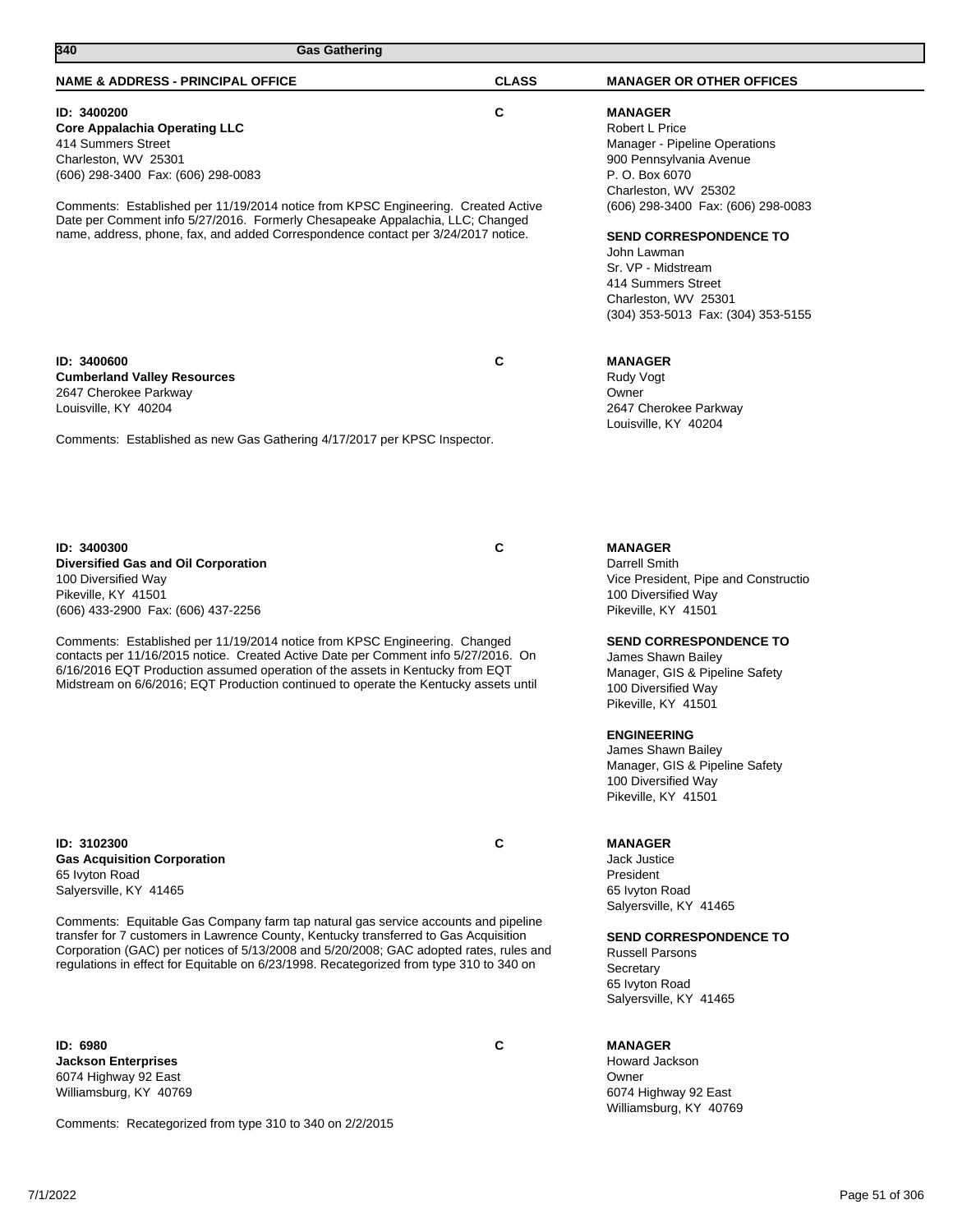| 340<br><b>Gas Gathering</b>                                                                                                                                                                                                                                                                                                                                                                                                                                      |              |                                                                                                                                                                                                                                                                                                                                        |
|------------------------------------------------------------------------------------------------------------------------------------------------------------------------------------------------------------------------------------------------------------------------------------------------------------------------------------------------------------------------------------------------------------------------------------------------------------------|--------------|----------------------------------------------------------------------------------------------------------------------------------------------------------------------------------------------------------------------------------------------------------------------------------------------------------------------------------------|
| <b>NAME &amp; ADDRESS - PRINCIPAL OFFICE</b>                                                                                                                                                                                                                                                                                                                                                                                                                     | <b>CLASS</b> | <b>MANAGER OR OTHER OFFICES</b>                                                                                                                                                                                                                                                                                                        |
| ID: 3400200<br><b>Core Appalachia Operating LLC</b><br>414 Summers Street<br>Charleston, WV 25301<br>(606) 298-3400 Fax: (606) 298-0083<br>Comments: Established per 11/19/2014 notice from KPSC Engineering. Created Active<br>Date per Comment info 5/27/2016. Formerly Chesapeake Appalachia, LLC; Changed<br>name, address, phone, fax, and added Correspondence contact per 3/24/2017 notice.                                                               | С            | <b>MANAGER</b><br>Robert L Price<br>Manager - Pipeline Operations<br>900 Pennsylvania Avenue<br>P. O. Box 6070<br>Charleston, WV 25302<br>(606) 298-3400 Fax: (606) 298-0083<br><b>SEND CORRESPONDENCE TO</b><br>John Lawman<br>Sr. VP - Midstream<br>414 Summers Street<br>Charleston, WV 25301<br>(304) 353-5013 Fax: (304) 353-5155 |
| ID: 3400600<br><b>Cumberland Valley Resources</b><br>2647 Cherokee Parkway<br>Louisville, KY 40204<br>Comments: Established as new Gas Gathering 4/17/2017 per KPSC Inspector.                                                                                                                                                                                                                                                                                   | C            | <b>MANAGER</b><br>Rudy Vogt<br>Owner<br>2647 Cherokee Parkway<br>Louisville, KY 40204                                                                                                                                                                                                                                                  |
| ID: 3400300<br>Diversified Gas and Oil Corporation<br>100 Diversified Way<br>Pikeville, KY 41501<br>(606) 433-2900 Fax: (606) 437-2256<br>Comments: Established per 11/19/2014 notice from KPSC Engineering. Changed<br>contacts per 11/16/2015 notice. Created Active Date per Comment info 5/27/2016. On                                                                                                                                                       | C            | <b>MANAGER</b><br>Darrell Smith<br>Vice President, Pipe and Constructio<br>100 Diversified Way<br>Pikeville, KY 41501<br><b>SEND CORRESPONDENCE TO</b><br>James Shawn Bailey                                                                                                                                                           |
| 6/16/2016 EQT Production assumed operation of the assets in Kentucky from EQT<br>Midstream on 6/6/2016; EQT Production continued to operate the Kentucky assets until                                                                                                                                                                                                                                                                                            |              | Manager, GIS & Pipeline Safety<br>100 Diversified Way<br>Pikeville, KY 41501<br><b>ENGINEERING</b><br>James Shawn Bailey<br>Manager, GIS & Pipeline Safety<br>100 Diversified Way<br>Pikeville, KY 41501                                                                                                                               |
| ID: 3102300<br><b>Gas Acquisition Corporation</b><br>65 lvyton Road<br>Salversville, KY 41465<br>Comments: Equitable Gas Company farm tap natural gas service accounts and pipeline<br>transfer for 7 customers in Lawrence County, Kentucky transferred to Gas Acquisition<br>Corporation (GAC) per notices of 5/13/2008 and 5/20/2008; GAC adopted rates, rules and<br>regulations in effect for Equitable on 6/23/1998. Recategorized from type 310 to 340 on | С            | <b>MANAGER</b><br><b>Jack Justice</b><br>President<br>65 lvyton Road<br>Salversville, KY 41465<br><b>SEND CORRESPONDENCE TO</b><br><b>Russell Parsons</b><br>Secretary                                                                                                                                                                 |
| <b>ID: 6980</b>                                                                                                                                                                                                                                                                                                                                                                                                                                                  | С            | 65 lvyton Road<br>Salyersville, KY 41465<br><b>MANAGER</b>                                                                                                                                                                                                                                                                             |

**Jackson Enterprises** 6074 Highway 92 East Williamsburg, KY 40769

Comments: Recategorized from type 310 to 340 on 2/2/2015

Howard Jackson Owner 6074 Highway 92 East Williamsburg, KY 40769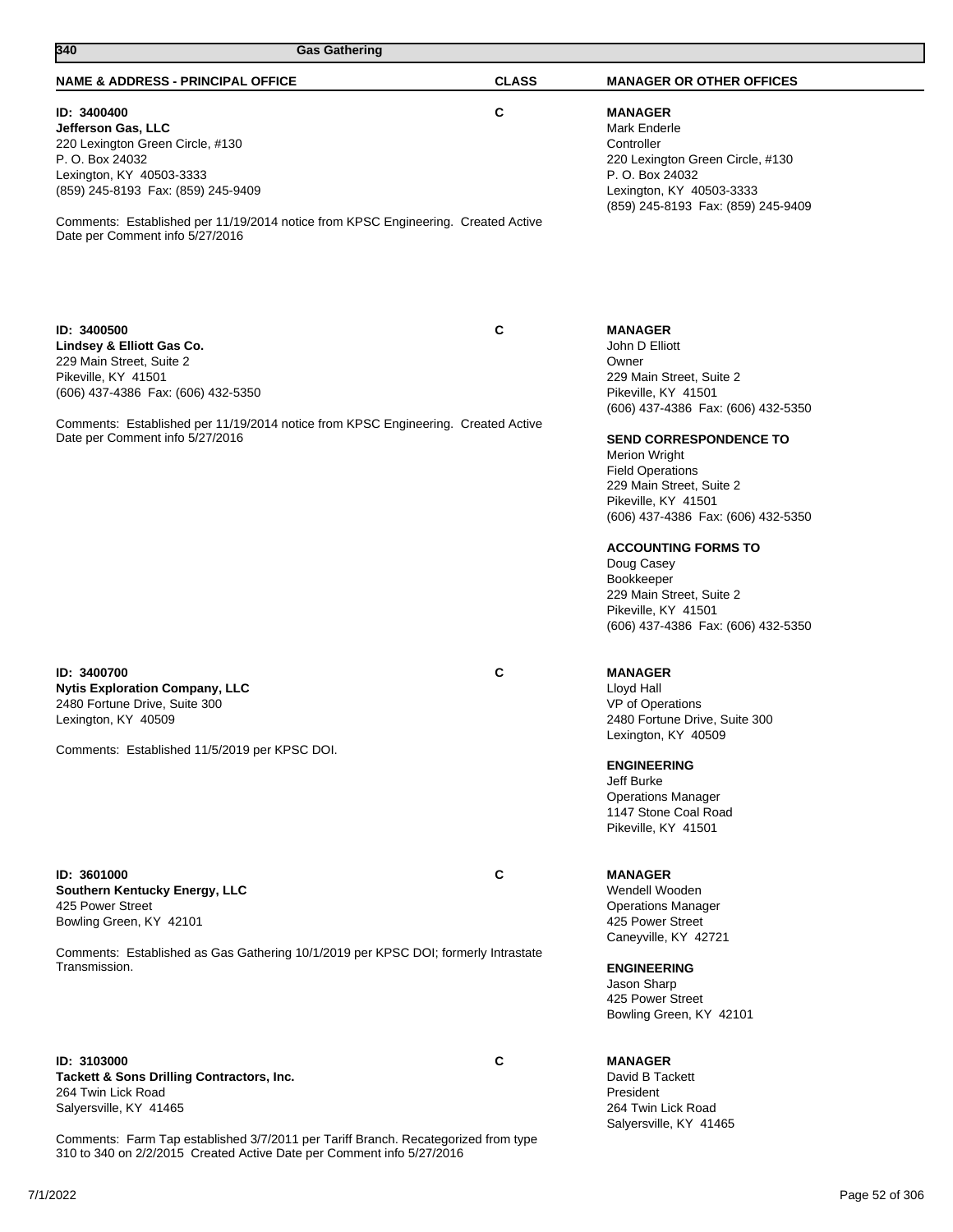| 340<br><b>Gas Gathering</b>                                                                                                                                                                                                                                                        |              |                                                                                                                                                                                                                                                                                                                                                                                                                                                                    |
|------------------------------------------------------------------------------------------------------------------------------------------------------------------------------------------------------------------------------------------------------------------------------------|--------------|--------------------------------------------------------------------------------------------------------------------------------------------------------------------------------------------------------------------------------------------------------------------------------------------------------------------------------------------------------------------------------------------------------------------------------------------------------------------|
| <b>NAME &amp; ADDRESS - PRINCIPAL OFFICE</b>                                                                                                                                                                                                                                       | <b>CLASS</b> | <b>MANAGER OR OTHER OFFICES</b>                                                                                                                                                                                                                                                                                                                                                                                                                                    |
| ID: 3400400<br>Jefferson Gas, LLC<br>220 Lexington Green Circle, #130<br>P. O. Box 24032<br>Lexington, KY 40503-3333<br>(859) 245-8193 Fax: (859) 245-9409<br>Comments: Established per 11/19/2014 notice from KPSC Engineering. Created Active<br>Date per Comment info 5/27/2016 | C            | <b>MANAGER</b><br>Mark Enderle<br>Controller<br>220 Lexington Green Circle, #130<br>P. O. Box 24032<br>Lexington, KY 40503-3333<br>(859) 245-8193 Fax: (859) 245-9409                                                                                                                                                                                                                                                                                              |
| ID: 3400500<br>Lindsey & Elliott Gas Co.<br>229 Main Street, Suite 2<br>Pikeville, KY 41501<br>(606) 437-4386 Fax: (606) 432-5350<br>Comments: Established per 11/19/2014 notice from KPSC Engineering. Created Active<br>Date per Comment info 5/27/2016                          | C            | <b>MANAGER</b><br>John D Elliott<br>Owner<br>229 Main Street, Suite 2<br>Pikeville, KY 41501<br>(606) 437-4386 Fax: (606) 432-5350<br><b>SEND CORRESPONDENCE TO</b><br><b>Merion Wright</b><br><b>Field Operations</b><br>229 Main Street, Suite 2<br>Pikeville, KY 41501<br>(606) 437-4386 Fax: (606) 432-5350<br><b>ACCOUNTING FORMS TO</b><br>Doug Casey<br>Bookkeeper<br>229 Main Street, Suite 2<br>Pikeville, KY 41501<br>(606) 437-4386 Fax: (606) 432-5350 |
| ID: 3400700<br><b>Nytis Exploration Company, LLC</b><br>2480 Fortune Drive, Suite 300<br>Lexington, KY 40509<br>Comments: Established 11/5/2019 per KPSC DOI.                                                                                                                      | C            | <b>MANAGER</b><br>Lloyd Hall<br>VP of Operations<br>2480 Fortune Drive, Suite 300<br>Lexington, KY 40509<br><b>ENGINEERING</b><br>Jeff Burke<br><b>Operations Manager</b><br>1147 Stone Coal Road<br>Pikeville, KY 41501                                                                                                                                                                                                                                           |
| ID: 3601000<br>Southern Kentucky Energy, LLC<br>425 Power Street<br>Bowling Green, KY 42101<br>Comments: Established as Gas Gathering 10/1/2019 per KPSC DOI; formerly Intrastate<br>Transmission.                                                                                 | C            | <b>MANAGER</b><br>Wendell Wooden<br><b>Operations Manager</b><br>425 Power Street<br>Caneyville, KY 42721<br><b>ENGINEERING</b><br>Jason Sharp<br>425 Power Street<br>Bowling Green, KY 42101                                                                                                                                                                                                                                                                      |
| ID: 3103000<br>Tackett & Sons Drilling Contractors, Inc.<br>264 Twin Lick Road<br>Salyersville, KY 41465                                                                                                                                                                           | C            | <b>MANAGER</b><br>David B Tackett<br>President<br>264 Twin Lick Road<br>Salyersville, KY 41465                                                                                                                                                                                                                                                                                                                                                                     |

Comments: Farm Tap established 3/7/2011 per Tariff Branch. Recategorized from type 310 to 340 on 2/2/2015 Created Active Date per Comment info 5/27/2016

7/1/2022 Page 52 of 306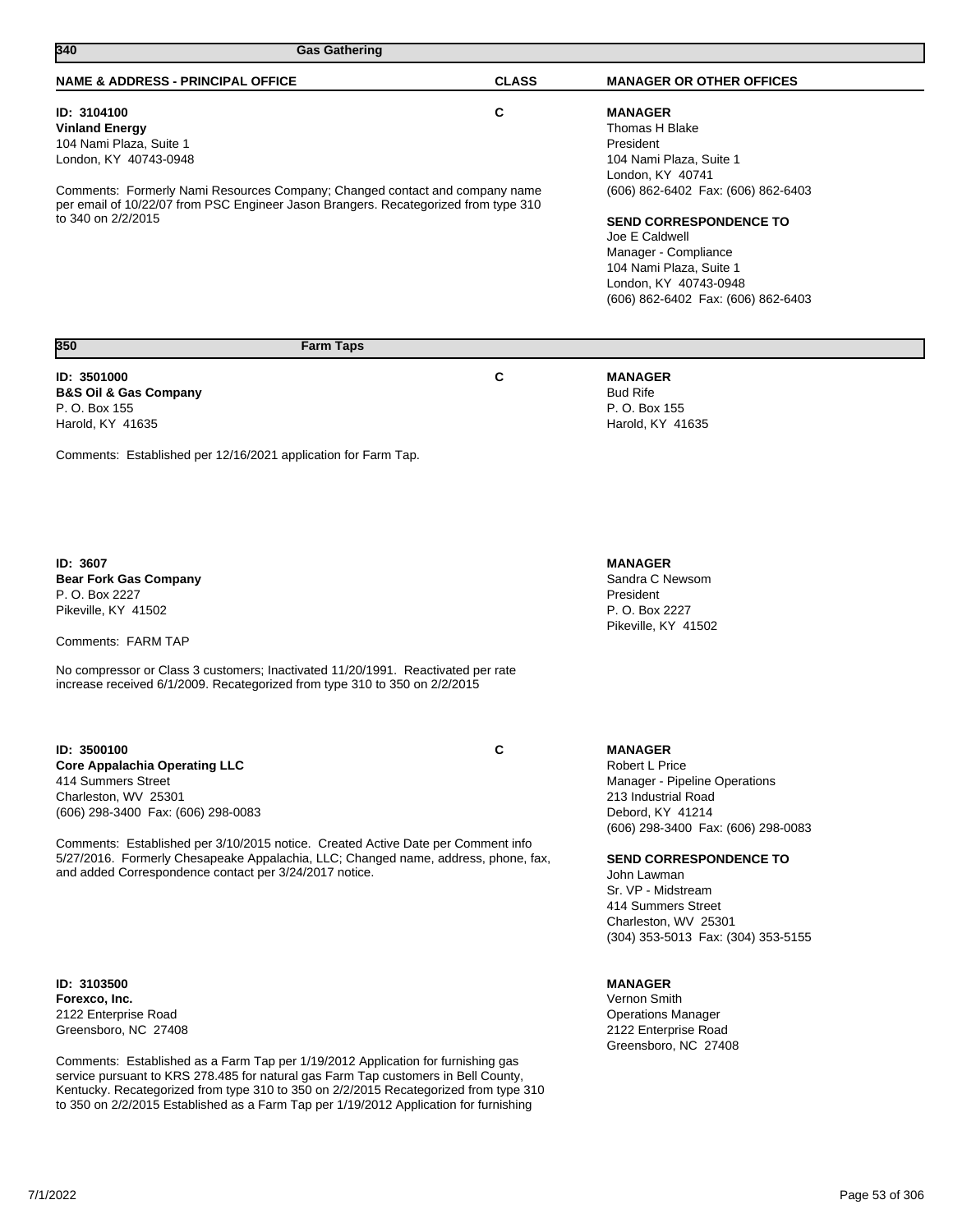| 340<br><b>Gas Gathering</b>                                                                                                                                                                                                                                                                                                                                                                                                             |              |                                                                                                                                                                                                                                                                                                              |
|-----------------------------------------------------------------------------------------------------------------------------------------------------------------------------------------------------------------------------------------------------------------------------------------------------------------------------------------------------------------------------------------------------------------------------------------|--------------|--------------------------------------------------------------------------------------------------------------------------------------------------------------------------------------------------------------------------------------------------------------------------------------------------------------|
| <b>NAME &amp; ADDRESS - PRINCIPAL OFFICE</b>                                                                                                                                                                                                                                                                                                                                                                                            | <b>CLASS</b> | <b>MANAGER OR OTHER OFFICES</b>                                                                                                                                                                                                                                                                              |
| ID: 3104100<br><b>Vinland Energy</b><br>104 Nami Plaza, Suite 1<br>London, KY 40743-0948<br>Comments: Formerly Nami Resources Company; Changed contact and company name<br>per email of 10/22/07 from PSC Engineer Jason Brangers. Recategorized from type 310<br>to 340 on 2/2/2015                                                                                                                                                    | C            | <b>MANAGER</b><br>Thomas H Blake<br>President<br>104 Nami Plaza, Suite 1<br>London, KY 40741<br>(606) 862-6402 Fax: (606) 862-6403<br><b>SEND CORRESPONDENCE TO</b><br>Joe E Caldwell<br>Manager - Compliance<br>104 Nami Plaza, Suite 1<br>London, KY 40743-0948<br>(606) 862-6402 Fax: (606) 862-6403      |
| <b>Farm Taps</b><br>350                                                                                                                                                                                                                                                                                                                                                                                                                 |              |                                                                                                                                                                                                                                                                                                              |
| ID: 3501000<br><b>B&amp;S Oil &amp; Gas Company</b><br>P. O. Box 155<br>Harold, KY 41635<br>Comments: Established per 12/16/2021 application for Farm Tap.                                                                                                                                                                                                                                                                              | C            | <b>MANAGER</b><br><b>Bud Rife</b><br>P. O. Box 155<br>Harold, KY 41635                                                                                                                                                                                                                                       |
| <b>ID: 3607</b><br><b>Bear Fork Gas Company</b><br>P. O. Box 2227<br>Pikeville, KY 41502<br>Comments: FARM TAP<br>No compressor or Class 3 customers; Inactivated 11/20/1991. Reactivated per rate<br>increase received 6/1/2009. Recategorized from type 310 to 350 on 2/2/2015                                                                                                                                                        |              | <b>MANAGER</b><br>Sandra C Newsom<br>President<br>P. O. Box 2227<br>Pikeville, KY 41502                                                                                                                                                                                                                      |
| ID: 3500100<br><b>Core Appalachia Operating LLC</b><br>414 Summers Street<br>Charleston, WV 25301<br>(606) 298-3400 Fax: (606) 298-0083<br>Comments: Established per 3/10/2015 notice. Created Active Date per Comment info<br>5/27/2016. Formerly Chesapeake Appalachia, LLC; Changed name, address, phone, fax,<br>and added Correspondence contact per 3/24/2017 notice.                                                             | C            | <b>MANAGER</b><br>Robert L Price<br>Manager - Pipeline Operations<br>213 Industrial Road<br>Debord, KY 41214<br>(606) 298-3400 Fax: (606) 298-0083<br><b>SEND CORRESPONDENCE TO</b><br>John Lawman<br>Sr. VP - Midstream<br>414 Summers Street<br>Charleston, WV 25301<br>(304) 353-5013 Fax: (304) 353-5155 |
| ID: 3103500<br>Forexco, Inc.<br>2122 Enterprise Road<br>Greensboro, NC 27408<br>Comments: Established as a Farm Tap per 1/19/2012 Application for furnishing gas<br>service pursuant to KRS 278.485 for natural gas Farm Tap customers in Bell County,<br>Kentucky. Recategorized from type 310 to 350 on 2/2/2015 Recategorized from type 310<br>to 350 on 2/2/2015 Established as a Farm Tap per 1/19/2012 Application for furnishing |              | <b>MANAGER</b><br>Vernon Smith<br><b>Operations Manager</b><br>2122 Enterprise Road<br>Greensboro, NC 27408                                                                                                                                                                                                  |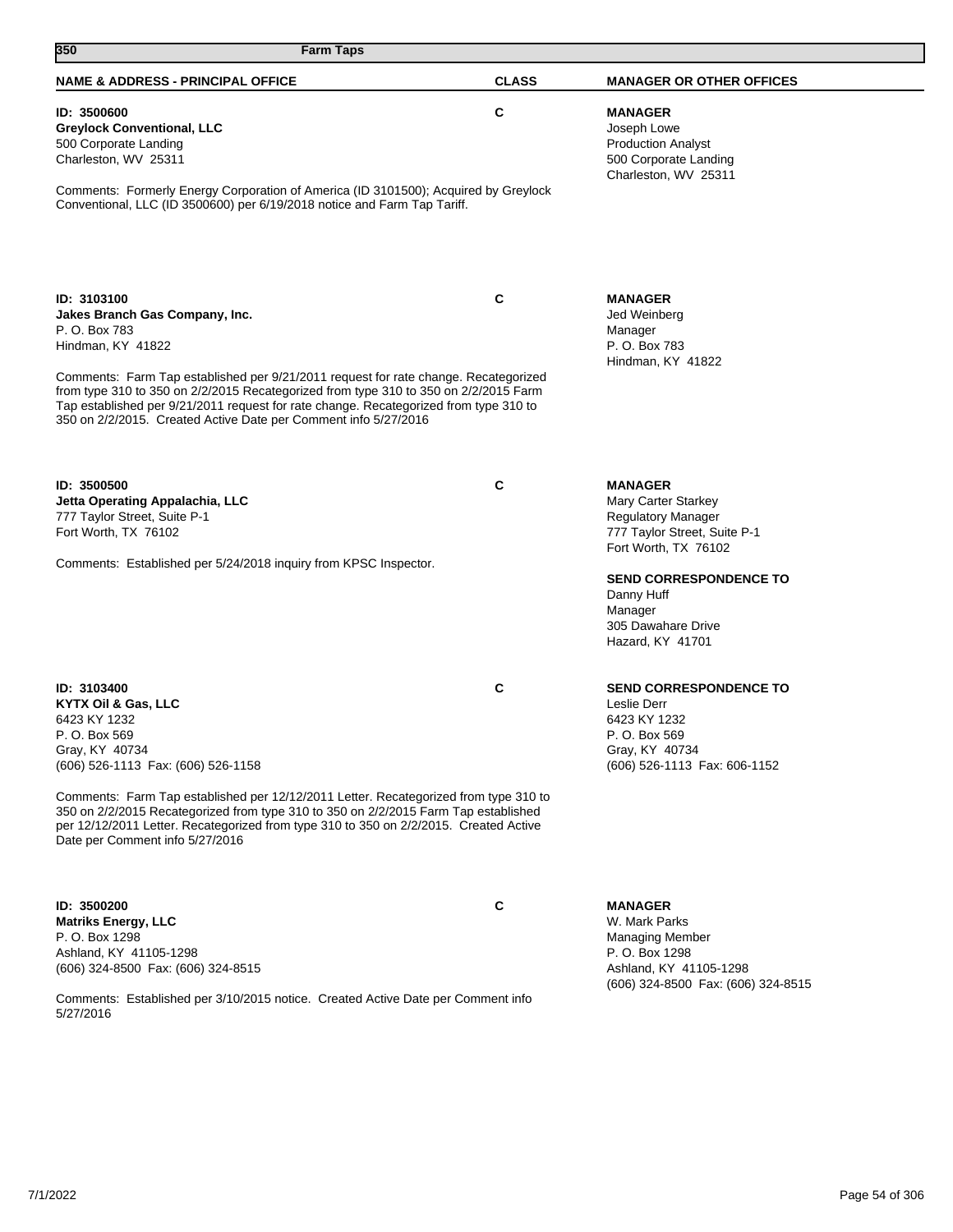| 350<br><b>Farm Taps</b>                                                                                                                                                                                                                                                                                                                                                                                                                |              |                                                                                                                                                                                                                                |
|----------------------------------------------------------------------------------------------------------------------------------------------------------------------------------------------------------------------------------------------------------------------------------------------------------------------------------------------------------------------------------------------------------------------------------------|--------------|--------------------------------------------------------------------------------------------------------------------------------------------------------------------------------------------------------------------------------|
| <b>NAME &amp; ADDRESS - PRINCIPAL OFFICE</b>                                                                                                                                                                                                                                                                                                                                                                                           | <b>CLASS</b> | <b>MANAGER OR OTHER OFFICES</b>                                                                                                                                                                                                |
| ID: 3500600<br><b>Greylock Conventional, LLC</b><br>500 Corporate Landing<br>Charleston, WV 25311                                                                                                                                                                                                                                                                                                                                      | C            | <b>MANAGER</b><br>Joseph Lowe<br><b>Production Analyst</b><br>500 Corporate Landing<br>Charleston, WV 25311                                                                                                                    |
| Comments: Formerly Energy Corporation of America (ID 3101500); Acquired by Greylock<br>Conventional, LLC (ID 3500600) per 6/19/2018 notice and Farm Tap Tariff.                                                                                                                                                                                                                                                                        |              |                                                                                                                                                                                                                                |
| ID: 3103100<br>Jakes Branch Gas Company, Inc.<br>P. O. Box 783<br>Hindman, KY 41822<br>Comments: Farm Tap established per 9/21/2011 request for rate change. Recategorized<br>from type 310 to 350 on 2/2/2015 Recategorized from type 310 to 350 on 2/2/2015 Farm<br>Tap established per 9/21/2011 request for rate change. Recategorized from type 310 to<br>350 on 2/2/2015. Created Active Date per Comment info 5/27/2016         | C            | <b>MANAGER</b><br>Jed Weinberg<br>Manager<br>P. O. Box 783<br>Hindman, KY 41822                                                                                                                                                |
| ID: 3500500<br>Jetta Operating Appalachia, LLC<br>777 Taylor Street, Suite P-1<br>Fort Worth, TX 76102<br>Comments: Established per 5/24/2018 inquiry from KPSC Inspector.                                                                                                                                                                                                                                                             | C            | <b>MANAGER</b><br>Mary Carter Starkey<br><b>Regulatory Manager</b><br>777 Taylor Street, Suite P-1<br>Fort Worth, TX 76102<br><b>SEND CORRESPONDENCE TO</b><br>Danny Huff<br>Manager<br>305 Dawahare Drive<br>Hazard, KY 41701 |
| ID: 3103400<br>KYTX Oil & Gas, LLC<br>6423 KY 1232<br>P. O. Box 569<br>Gray, KY 40734<br>(606) 526-1113 Fax: (606) 526-1158<br>Comments: Farm Tap established per 12/12/2011 Letter. Recategorized from type 310 to<br>350 on 2/2/2015 Recategorized from type 310 to 350 on 2/2/2015 Farm Tap established<br>per 12/12/2011 Letter. Recategorized from type 310 to 350 on 2/2/2015. Created Active<br>Date per Comment info 5/27/2016 | C            | <b>SEND CORRESPONDENCE TO</b><br>Leslie Derr<br>6423 KY 1232<br>P. O. Box 569<br>Gray, KY 40734<br>(606) 526-1113 Fax: 606-1152                                                                                                |
| ID: 3500200<br><b>Matriks Energy, LLC</b><br>P. O. Box 1298<br>Ashland, KY 41105-1298<br>(606) 324-8500 Fax: (606) 324-8515<br>Comments: Established per 3/10/2015 notice. Created Active Date per Comment info<br>5/27/2016                                                                                                                                                                                                           | C            | <b>MANAGER</b><br>W. Mark Parks<br><b>Managing Member</b><br>P. O. Box 1298<br>Ashland, KY 41105-1298<br>(606) 324-8500 Fax: (606) 324-8515                                                                                    |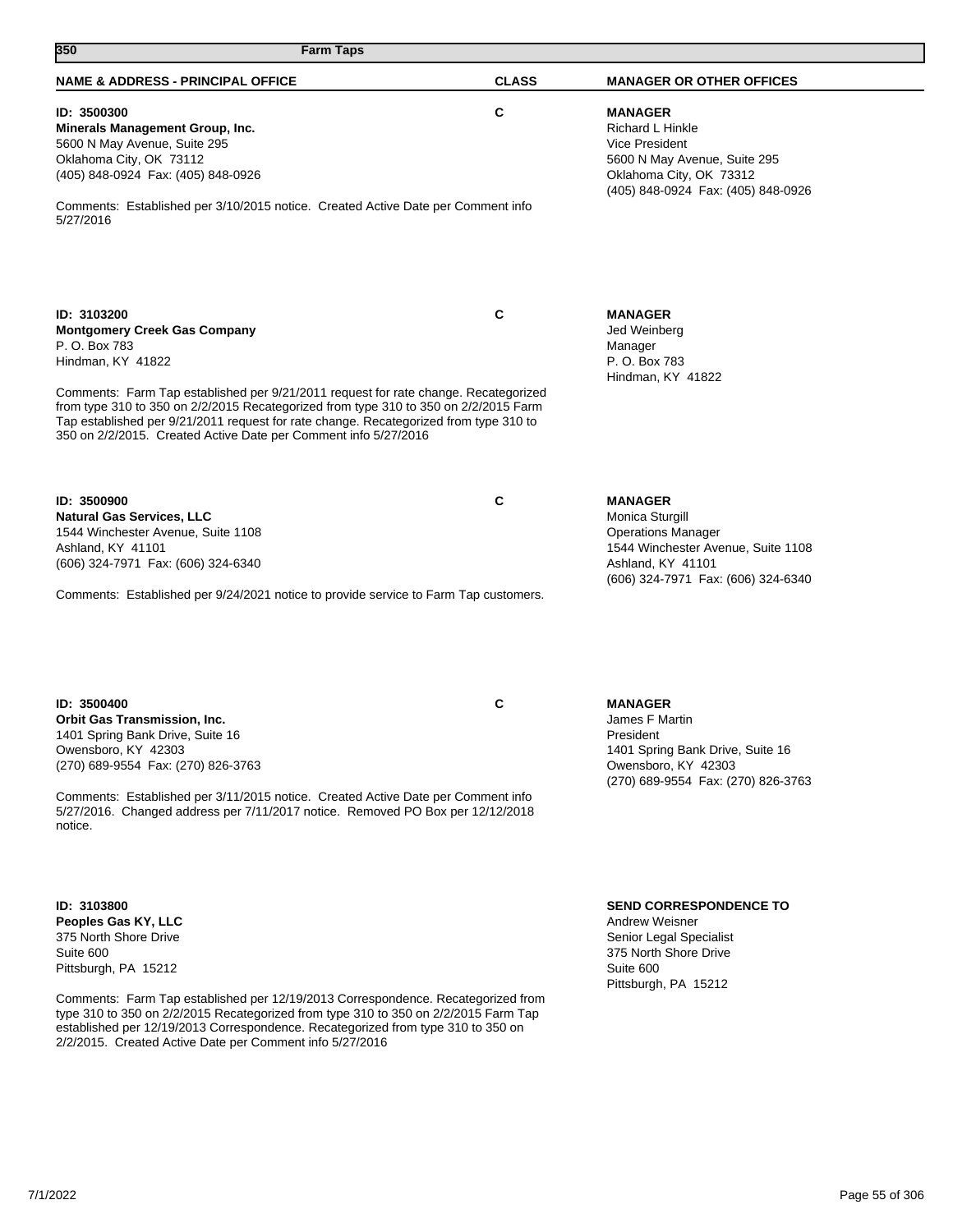| 350<br><b>Farm Taps</b>                                                                                                                                                                                                                                                                                                                                                                                                             |              |                                                                                                                                                                 |
|-------------------------------------------------------------------------------------------------------------------------------------------------------------------------------------------------------------------------------------------------------------------------------------------------------------------------------------------------------------------------------------------------------------------------------------|--------------|-----------------------------------------------------------------------------------------------------------------------------------------------------------------|
| <b>NAME &amp; ADDRESS - PRINCIPAL OFFICE</b>                                                                                                                                                                                                                                                                                                                                                                                        | <b>CLASS</b> | <b>MANAGER OR OTHER OFFICES</b>                                                                                                                                 |
| ID: 3500300<br>Minerals Management Group, Inc.<br>5600 N May Avenue, Suite 295<br>Oklahoma City, OK 73112<br>(405) 848-0924 Fax: (405) 848-0926<br>Comments: Established per 3/10/2015 notice. Created Active Date per Comment info<br>5/27/2016                                                                                                                                                                                    | С            | <b>MANAGER</b><br>Richard L Hinkle<br>Vice President<br>5600 N May Avenue, Suite 295<br>Oklahoma City, OK 73312<br>(405) 848-0924 Fax: (405) 848-0926           |
| ID: 3103200<br><b>Montgomery Creek Gas Company</b><br>P. O. Box 783<br>Hindman, KY 41822<br>Comments: Farm Tap established per 9/21/2011 request for rate change. Recategorized<br>from type 310 to 350 on 2/2/2015 Recategorized from type 310 to 350 on 2/2/2015 Farm<br>Tap established per 9/21/2011 request for rate change. Recategorized from type 310 to<br>350 on 2/2/2015. Created Active Date per Comment info 5/27/2016 | C            | <b>MANAGER</b><br>Jed Weinberg<br>Manager<br>P. O. Box 783<br>Hindman, KY 41822                                                                                 |
| ID: 3500900<br><b>Natural Gas Services, LLC</b><br>1544 Winchester Avenue, Suite 1108<br>Ashland, KY 41101<br>(606) 324-7971 Fax: (606) 324-6340<br>Comments: Established per 9/24/2021 notice to provide service to Farm Tap customers.                                                                                                                                                                                            | C            | <b>MANAGER</b><br>Monica Sturgill<br><b>Operations Manager</b><br>1544 Winchester Avenue, Suite 1108<br>Ashland, KY 41101<br>(606) 324-7971 Fax: (606) 324-6340 |
| ID: 3500400<br>Orbit Gas Transmission, Inc.<br>1401 Spring Bank Drive, Suite 16<br>Owensboro, KY 42303<br>(270) 689-9554 Fax: (270) 826-3763<br>Comments: Established per 3/11/2015 notice. Created Active Date per Comment info<br>5/27/2016. Changed address per 7/11/2017 notice. Removed PO Box per 12/12/2018<br>notice.                                                                                                       | С            | <b>MANAGER</b><br>James F Martin<br>President<br>1401 Spring Bank Drive, Suite 16<br>Owensboro, KY 42303<br>(270) 689-9554 Fax: (270) 826-3763                  |
| ID: 3103800<br>Peoples Gas KY, LLC<br>375 North Shore Drive<br>Suite 600<br>Pittsburgh, PA 15212<br>Comments: Farm Tap established per 12/19/2013 Correspondence. Recategorized from<br>type 310 to 350 on 2/2/2015 Recategorized from type 310 to 350 on 2/2/2015 Farm Tap<br>established per 12/19/2013 Correspondence. Recategorized from type 310 to 350 on                                                                     |              | <b>SEND CORRESPONDENCE TO</b><br><b>Andrew Weisner</b><br>Senior Legal Specialist<br>375 North Shore Drive<br>Suite 600<br>Pittsburgh, PA 15212                 |

2/2/2015. Created Active Date per Comment info 5/27/2016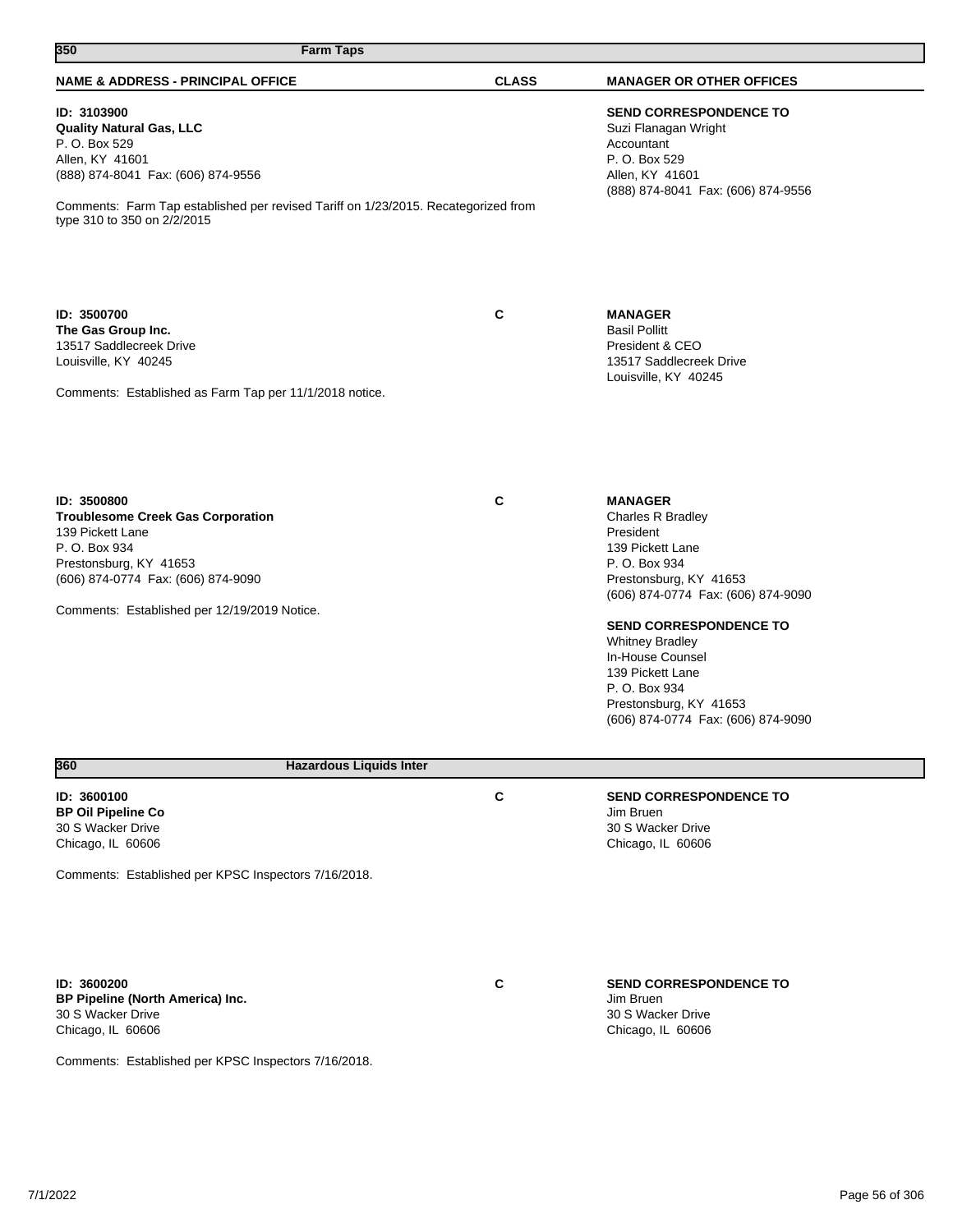| 350<br><b>Farm Taps</b>                                                                                                                                                                                                                       |              |                                                                                                                                                                                                                                                                                                                                           |
|-----------------------------------------------------------------------------------------------------------------------------------------------------------------------------------------------------------------------------------------------|--------------|-------------------------------------------------------------------------------------------------------------------------------------------------------------------------------------------------------------------------------------------------------------------------------------------------------------------------------------------|
| <b>NAME &amp; ADDRESS - PRINCIPAL OFFICE</b>                                                                                                                                                                                                  | <b>CLASS</b> | <b>MANAGER OR OTHER OFFICES</b>                                                                                                                                                                                                                                                                                                           |
| ID: 3103900<br><b>Quality Natural Gas, LLC</b><br>P. O. Box 529<br>Allen, KY 41601<br>(888) 874-8041 Fax: (606) 874-9556<br>Comments: Farm Tap established per revised Tariff on 1/23/2015. Recategorized from<br>type 310 to 350 on 2/2/2015 |              | <b>SEND CORRESPONDENCE TO</b><br>Suzi Flanagan Wright<br>Accountant<br>P. O. Box 529<br>Allen, KY 41601<br>(888) 874-8041 Fax: (606) 874-9556                                                                                                                                                                                             |
| ID: 3500700<br>The Gas Group Inc.<br>13517 Saddlecreek Drive<br>Louisville, KY 40245<br>Comments: Established as Farm Tap per 11/1/2018 notice.                                                                                               | C            | <b>MANAGER</b><br><b>Basil Pollitt</b><br>President & CEO<br>13517 Saddlecreek Drive<br>Louisville, KY 40245                                                                                                                                                                                                                              |
| ID: 3500800<br><b>Troublesome Creek Gas Corporation</b><br>139 Pickett Lane<br>P. O. Box 934<br>Prestonsburg, KY 41653<br>(606) 874-0774 Fax: (606) 874-9090<br>Comments: Established per 12/19/2019 Notice.                                  | C            | <b>MANAGER</b><br>Charles R Bradley<br>President<br>139 Pickett Lane<br>P. O. Box 934<br>Prestonsburg, KY 41653<br>(606) 874-0774 Fax: (606) 874-9090<br><b>SEND CORRESPONDENCE TO</b><br><b>Whitney Bradley</b><br>In-House Counsel<br>139 Pickett Lane<br>P. O. Box 934<br>Prestonsburg, KY 41653<br>(606) 874-0774 Fax: (606) 874-9090 |
| 360<br><b>Hazardous Liquids Inter</b>                                                                                                                                                                                                         |              |                                                                                                                                                                                                                                                                                                                                           |
| ID: 3600100<br><b>BP Oil Pipeline Co</b><br>30 S Wacker Drive<br>Chicago, IL 60606<br>Comments: Established per KPSC Inspectors 7/16/2018.                                                                                                    | C            | <b>SEND CORRESPONDENCE TO</b><br>Jim Bruen<br>30 S Wacker Drive<br>Chicago, IL 60606                                                                                                                                                                                                                                                      |
| ID: 3600200<br>BP Pipeline (North America) Inc.<br>30 S Wacker Drive<br>Chicago, IL 60606<br>Comments: Established per KPSC Inspectors 7/16/2018.                                                                                             | C            | <b>SEND CORRESPONDENCE TO</b><br>Jim Bruen<br>30 S Wacker Drive<br>Chicago, IL 60606                                                                                                                                                                                                                                                      |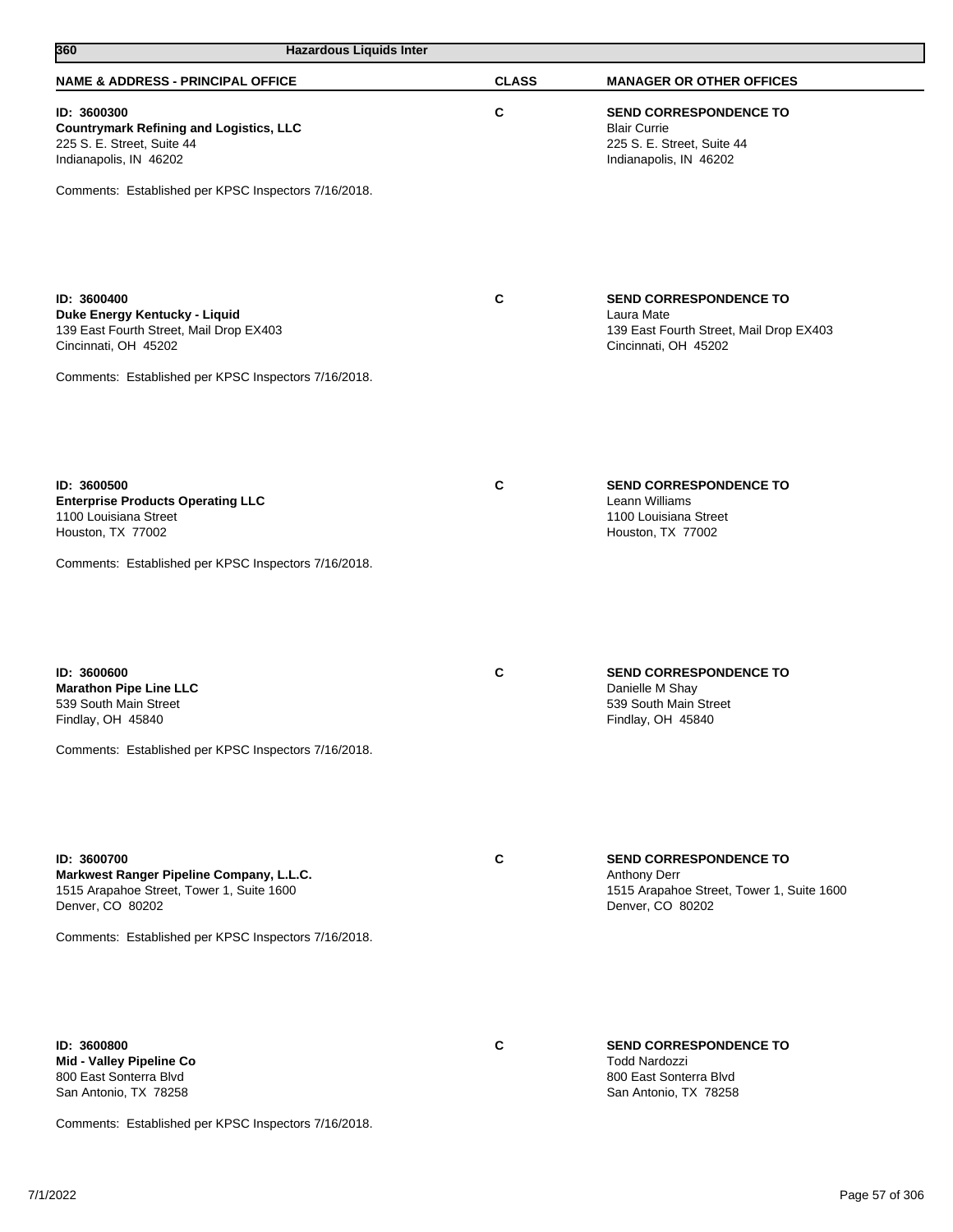| 360<br><b>Hazardous Liquids Inter</b>                                                                                                                                            |              |                                                                                                                       |
|----------------------------------------------------------------------------------------------------------------------------------------------------------------------------------|--------------|-----------------------------------------------------------------------------------------------------------------------|
| <b>NAME &amp; ADDRESS - PRINCIPAL OFFICE</b>                                                                                                                                     | <b>CLASS</b> | <b>MANAGER OR OTHER OFFICES</b>                                                                                       |
| ID: 3600300<br><b>Countrymark Refining and Logistics, LLC</b><br>225 S. E. Street, Suite 44<br>Indianapolis, IN 46202<br>Comments: Established per KPSC Inspectors 7/16/2018.    | C            | <b>SEND CORRESPONDENCE TO</b><br><b>Blair Currie</b><br>225 S. E. Street, Suite 44<br>Indianapolis, IN 46202          |
|                                                                                                                                                                                  |              |                                                                                                                       |
| ID: 3600400<br>Duke Energy Kentucky - Liquid<br>139 East Fourth Street, Mail Drop EX403<br>Cincinnati, OH 45202<br>Comments: Established per KPSC Inspectors 7/16/2018.          | C            | <b>SEND CORRESPONDENCE TO</b><br>Laura Mate<br>139 East Fourth Street, Mail Drop EX403<br>Cincinnati, OH 45202        |
| ID: 3600500<br><b>Enterprise Products Operating LLC</b>                                                                                                                          | C            | <b>SEND CORRESPONDENCE TO</b><br>Leann Williams                                                                       |
| 1100 Louisiana Street<br>Houston, TX 77002<br>Comments: Established per KPSC Inspectors 7/16/2018.                                                                               |              | 1100 Louisiana Street<br>Houston, TX 77002                                                                            |
| ID: 3600600<br><b>Marathon Pipe Line LLC</b><br>539 South Main Street<br>Findlay, OH 45840<br>Comments: Established per KPSC Inspectors 7/16/2018.                               | C            | <b>SEND CORRESPONDENCE TO</b><br>Danielle M Shay<br>539 South Main Street<br>Findlay, OH 45840                        |
| ID: 3600700<br>Markwest Ranger Pipeline Company, L.L.C.<br>1515 Arapahoe Street, Tower 1, Suite 1600<br>Denver, CO 80202<br>Comments: Established per KPSC Inspectors 7/16/2018. | C            | <b>SEND CORRESPONDENCE TO</b><br><b>Anthony Derr</b><br>1515 Arapahoe Street, Tower 1, Suite 1600<br>Denver, CO 80202 |
| ID: 3600800<br>Mid - Valley Pipeline Co<br>800 East Sonterra Blvd<br>San Antonio, TX 78258                                                                                       | C            | <b>SEND CORRESPONDENCE TO</b><br><b>Todd Nardozzi</b><br>800 East Sonterra Blvd<br>San Antonio, TX 78258              |

Comments: Established per KPSC Inspectors 7/16/2018.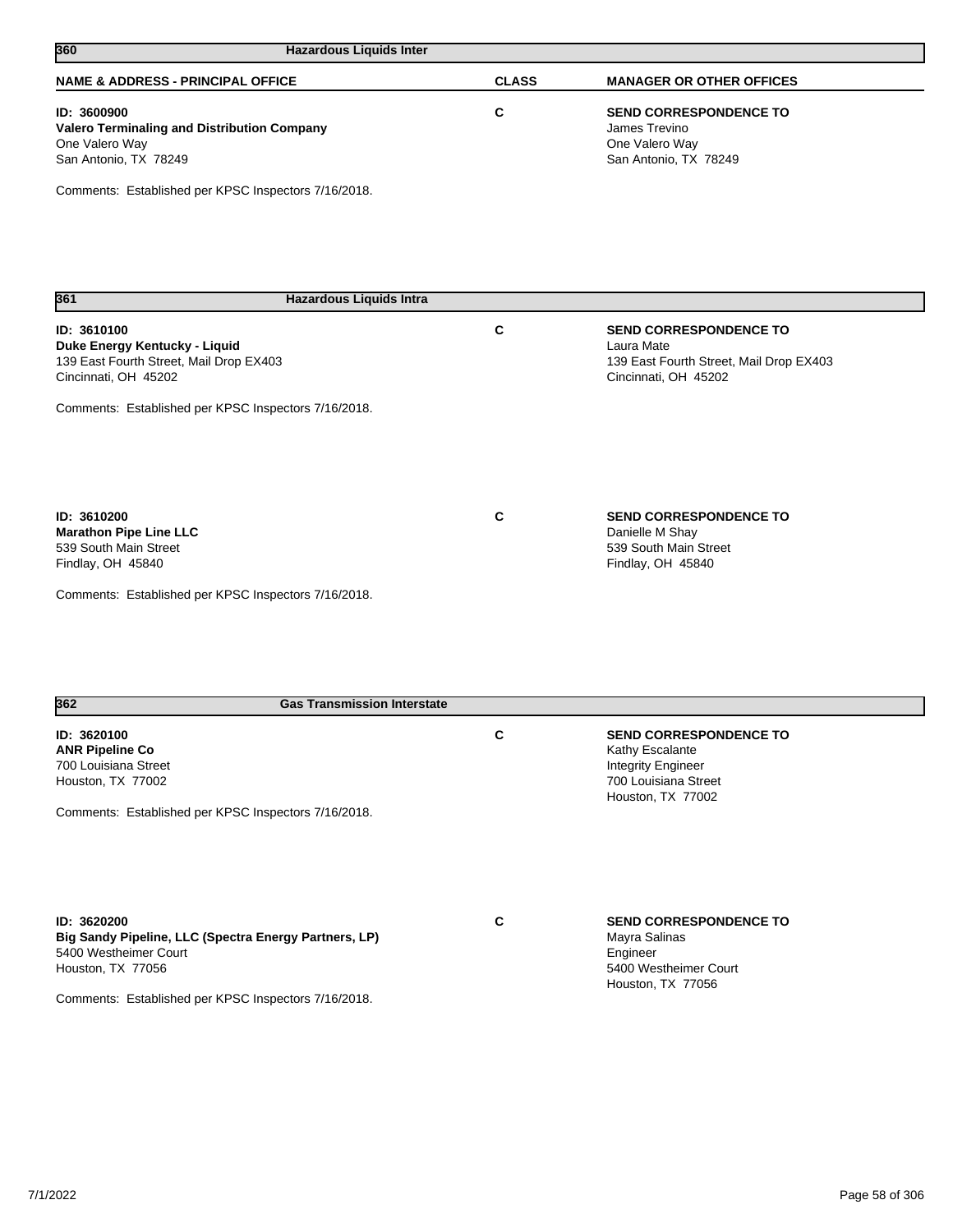| 360<br><b>Hazardous Liquids Inter</b>                                                                           |              |                                                                                                                |
|-----------------------------------------------------------------------------------------------------------------|--------------|----------------------------------------------------------------------------------------------------------------|
| <b>NAME &amp; ADDRESS - PRINCIPAL OFFICE</b>                                                                    | <b>CLASS</b> | <b>MANAGER OR OTHER OFFICES</b>                                                                                |
| ID: 3600900<br>Valero Terminaling and Distribution Company<br>One Valero Way<br>San Antonio, TX 78249           | C            | <b>SEND CORRESPONDENCE TO</b><br>James Trevino<br>One Valero Way<br>San Antonio, TX 78249                      |
| Comments: Established per KPSC Inspectors 7/16/2018.                                                            |              |                                                                                                                |
| 361<br><b>Hazardous Liquids Intra</b>                                                                           |              |                                                                                                                |
| ID: 3610100<br>Duke Energy Kentucky - Liquid<br>139 East Fourth Street, Mail Drop EX403<br>Cincinnati, OH 45202 | C            | <b>SEND CORRESPONDENCE TO</b><br>Laura Mate<br>139 East Fourth Street, Mail Drop EX403<br>Cincinnati, OH 45202 |
| Comments: Established per KPSC Inspectors 7/16/2018.                                                            |              |                                                                                                                |
| ID: 3610200<br><b>Marathon Pipe Line LLC</b><br>539 South Main Street<br>Findlay, OH 45840                      | C            | <b>SEND CORRESPONDENCE TO</b><br>Danielle M Shay<br>539 South Main Street<br>Findlay, OH 45840                 |
| Comments: Established per KPSC Inspectors 7/16/2018.                                                            |              |                                                                                                                |
|                                                                                                                 |              |                                                                                                                |

| 362                                                                                                                                                                        | <b>Gas Transmission Interstate</b> |   |                                                                                                                            |  |
|----------------------------------------------------------------------------------------------------------------------------------------------------------------------------|------------------------------------|---|----------------------------------------------------------------------------------------------------------------------------|--|
| ID: 3620100<br><b>ANR Pipeline Co</b><br>700 Louisiana Street<br>Houston, TX 77002                                                                                         |                                    | C | <b>SEND CORRESPONDENCE TO</b><br>Kathy Escalante<br><b>Integrity Engineer</b><br>700 Louisiana Street<br>Houston, TX 77002 |  |
| Comments: Established per KPSC Inspectors 7/16/2018.                                                                                                                       |                                    |   |                                                                                                                            |  |
| ID: 3620200<br>Big Sandy Pipeline, LLC (Spectra Energy Partners, LP)<br>5400 Westheimer Court<br>Houston, TX 77056<br>Comments: Established per KPSC Inspectors 7/16/2018. |                                    | C | <b>SEND CORRESPONDENCE TO</b><br>Mayra Salinas<br>Engineer<br>5400 Westheimer Court<br>Houston, TX 77056                   |  |
|                                                                                                                                                                            |                                    |   |                                                                                                                            |  |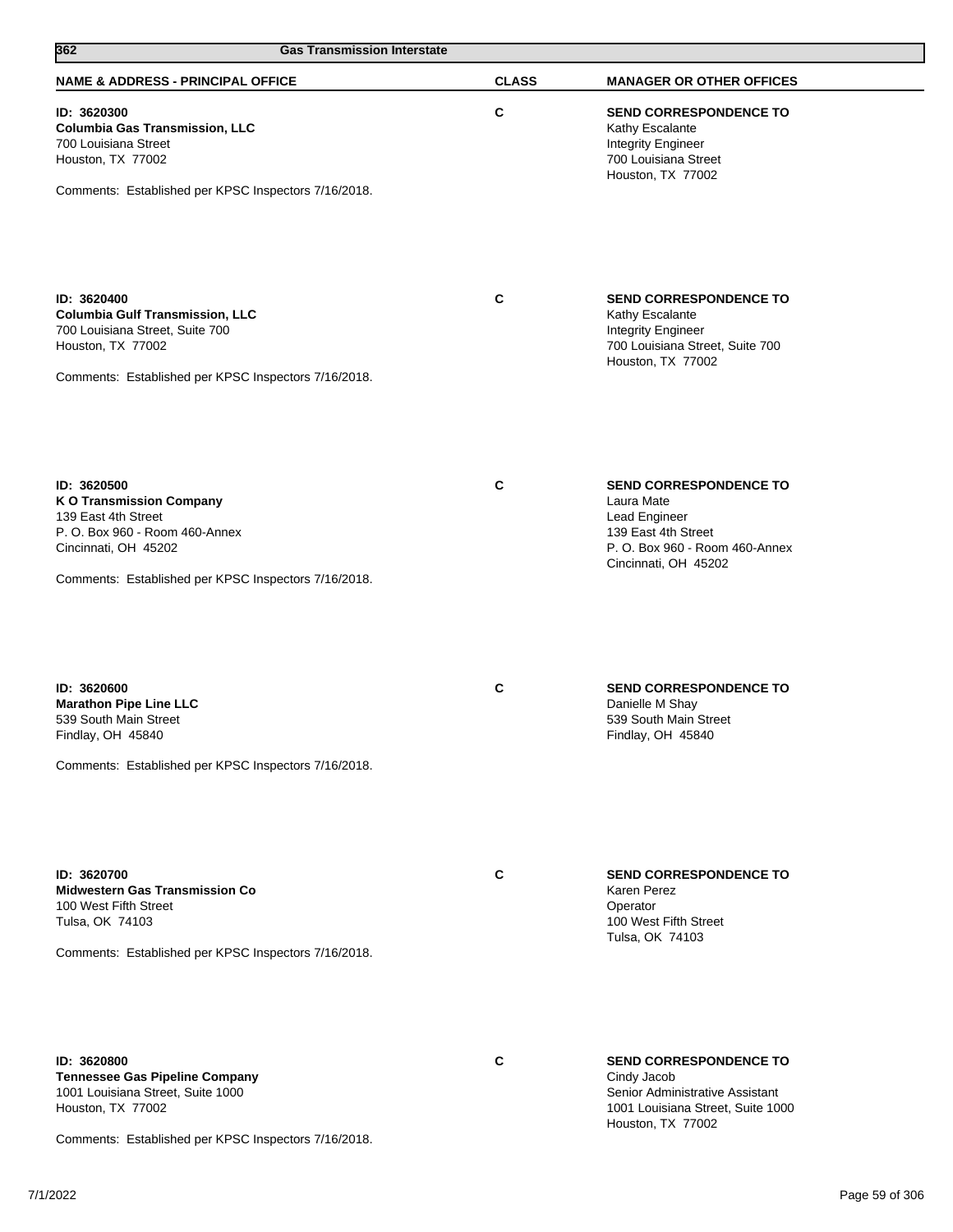| 362<br><b>Gas Transmission Interstate</b>                                                                                                                                               |              |                                                                                                                                               |
|-----------------------------------------------------------------------------------------------------------------------------------------------------------------------------------------|--------------|-----------------------------------------------------------------------------------------------------------------------------------------------|
| <b>NAME &amp; ADDRESS - PRINCIPAL OFFICE</b>                                                                                                                                            | <b>CLASS</b> | <b>MANAGER OR OTHER OFFICES</b>                                                                                                               |
| ID: 3620300<br><b>Columbia Gas Transmission, LLC</b><br>700 Louisiana Street<br>Houston, TX 77002<br>Comments: Established per KPSC Inspectors 7/16/2018.                               | C            | <b>SEND CORRESPONDENCE TO</b><br>Kathy Escalante<br><b>Integrity Engineer</b><br>700 Louisiana Street<br>Houston, TX 77002                    |
| ID: 3620400<br><b>Columbia Gulf Transmission, LLC</b><br>700 Louisiana Street, Suite 700<br>Houston, TX 77002<br>Comments: Established per KPSC Inspectors 7/16/2018.                   | C            | <b>SEND CORRESPONDENCE TO</b><br>Kathy Escalante<br><b>Integrity Engineer</b><br>700 Louisiana Street, Suite 700<br>Houston, TX 77002         |
| ID: 3620500<br><b>K O Transmission Company</b><br>139 East 4th Street<br>P. O. Box 960 - Room 460-Annex<br>Cincinnati, OH 45202<br>Comments: Established per KPSC Inspectors 7/16/2018. | C            | <b>SEND CORRESPONDENCE TO</b><br>Laura Mate<br>Lead Engineer<br>139 East 4th Street<br>P. O. Box 960 - Room 460-Annex<br>Cincinnati, OH 45202 |
| ID: 3620600<br><b>Marathon Pipe Line LLC</b><br>539 South Main Street<br>Findlay, OH 45840<br>Comments: Established per KPSC Inspectors 7/16/2018.                                      | $\mathbf c$  | <b>SEND CORRESPONDENCE TO</b><br>Danielle M Shay<br>539 South Main Street<br>Findlay, OH 45840                                                |
| ID: 3620700<br><b>Midwestern Gas Transmission Co</b><br>100 West Fifth Street<br>Tulsa, OK 74103<br>Comments: Established per KPSC Inspectors 7/16/2018.                                | C            | <b>SEND CORRESPONDENCE TO</b><br>Karen Perez<br>Operator<br>100 West Fifth Street<br>Tulsa, OK 74103                                          |
| ID: 3620800<br><b>Tennessee Gas Pipeline Company</b><br>1001 Louisiana Street, Suite 1000<br>Houston, TX 77002                                                                          | C            | <b>SEND CORRESPONDENCE TO</b><br>Cindy Jacob<br>Senior Administrative Assistant<br>1001 Louisiana Street, Suite 1000                          |

Comments: Established per KPSC Inspectors 7/16/2018.

Houston, TX 77002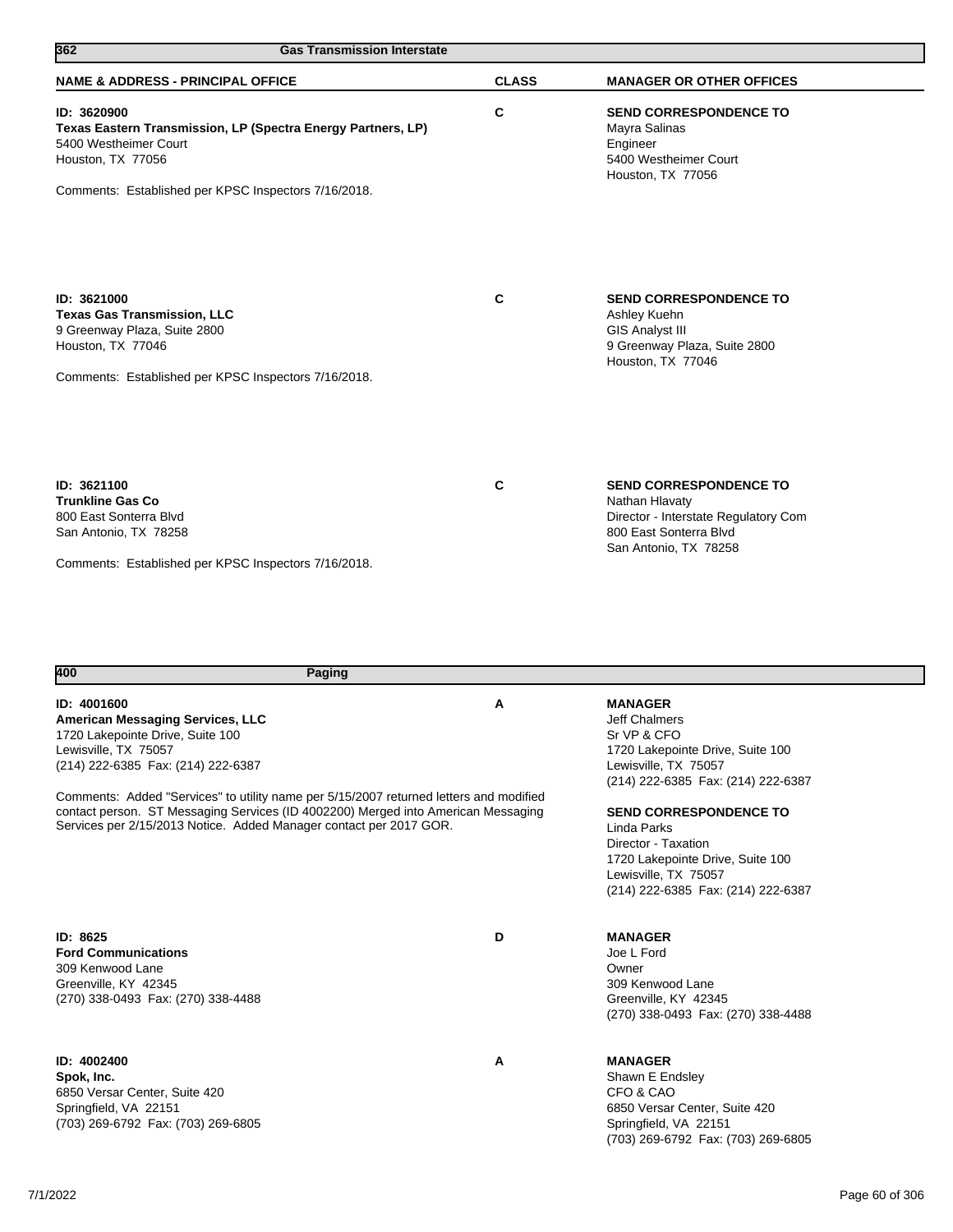| 362<br><b>Gas Transmission Interstate</b>                                                                                                                                         |              |                                                                                                                                            |  |
|-----------------------------------------------------------------------------------------------------------------------------------------------------------------------------------|--------------|--------------------------------------------------------------------------------------------------------------------------------------------|--|
| <b>NAME &amp; ADDRESS - PRINCIPAL OFFICE</b>                                                                                                                                      | <b>CLASS</b> | <b>MANAGER OR OTHER OFFICES</b>                                                                                                            |  |
| ID: 3620900<br>Texas Eastern Transmission, LP (Spectra Energy Partners, LP)<br>5400 Westheimer Court<br>Houston, TX 77056<br>Comments: Established per KPSC Inspectors 7/16/2018. | C            | SEND CORRESPONDENCE TO<br>Mayra Salinas<br>Engineer<br>5400 Westheimer Court<br>Houston, TX 77056                                          |  |
| ID: 3621000<br><b>Texas Gas Transmission, LLC</b><br>9 Greenway Plaza, Suite 2800<br>Houston, TX 77046<br>Comments: Established per KPSC Inspectors 7/16/2018.                    | C            | <b>SEND CORRESPONDENCE TO</b><br>Ashley Kuehn<br><b>GIS Analyst III</b><br>9 Greenway Plaza, Suite 2800<br>Houston, TX 77046               |  |
| ID: 3621100<br><b>Trunkline Gas Co</b><br>800 East Sonterra Blvd<br>San Antonio, TX 78258<br>Comments: Established per KPSC Inspectors 7/16/2018.                                 | C            | <b>SEND CORRESPONDENCE TO</b><br>Nathan Hlavaty<br>Director - Interstate Regulatory Com<br>800 East Sonterra Blvd<br>San Antonio, TX 78258 |  |

| 400<br>Paging                                                                                                                                                                                                                                                                                                                                                                                          |   |                                                                                                                                                                                                                                                                                                                           |
|--------------------------------------------------------------------------------------------------------------------------------------------------------------------------------------------------------------------------------------------------------------------------------------------------------------------------------------------------------------------------------------------------------|---|---------------------------------------------------------------------------------------------------------------------------------------------------------------------------------------------------------------------------------------------------------------------------------------------------------------------------|
| ID: 4001600<br>American Messaging Services, LLC<br>1720 Lakepointe Drive, Suite 100<br>Lewisville, TX 75057<br>(214) 222-6385 Fax: (214) 222-6387<br>Comments: Added "Services" to utility name per 5/15/2007 returned letters and modified<br>contact person. ST Messaging Services (ID 4002200) Merged into American Messaging<br>Services per 2/15/2013 Notice. Added Manager contact per 2017 GOR. | Α | <b>MANAGER</b><br>Jeff Chalmers<br>Sr VP & CFO<br>1720 Lakepointe Drive, Suite 100<br>Lewisville, TX 75057<br>(214) 222-6385 Fax: (214) 222-6387<br><b>SEND CORRESPONDENCE TO</b><br>Linda Parks<br>Director - Taxation<br>1720 Lakepointe Drive, Suite 100<br>Lewisville, TX 75057<br>(214) 222-6385 Fax: (214) 222-6387 |
| ID: 8625<br><b>Ford Communications</b><br>309 Kenwood Lane<br>Greenville, KY 42345<br>(270) 338-0493 Fax: (270) 338-4488                                                                                                                                                                                                                                                                               | D | <b>MANAGER</b><br>Joe L Ford<br>Owner<br>309 Kenwood Lane<br>Greenville, KY 42345<br>(270) 338-0493 Fax: (270) 338-4488                                                                                                                                                                                                   |
| ID: 4002400<br>Spok, Inc.<br>6850 Versar Center, Suite 420<br>Springfield, VA 22151<br>(703) 269-6792 Fax: (703) 269-6805                                                                                                                                                                                                                                                                              | Α | <b>MANAGER</b><br>Shawn E Endsley<br>CFO & CAO<br>6850 Versar Center, Suite 420<br>Springfield, VA 22151<br>(703) 269-6792 Fax: (703) 269-6805                                                                                                                                                                            |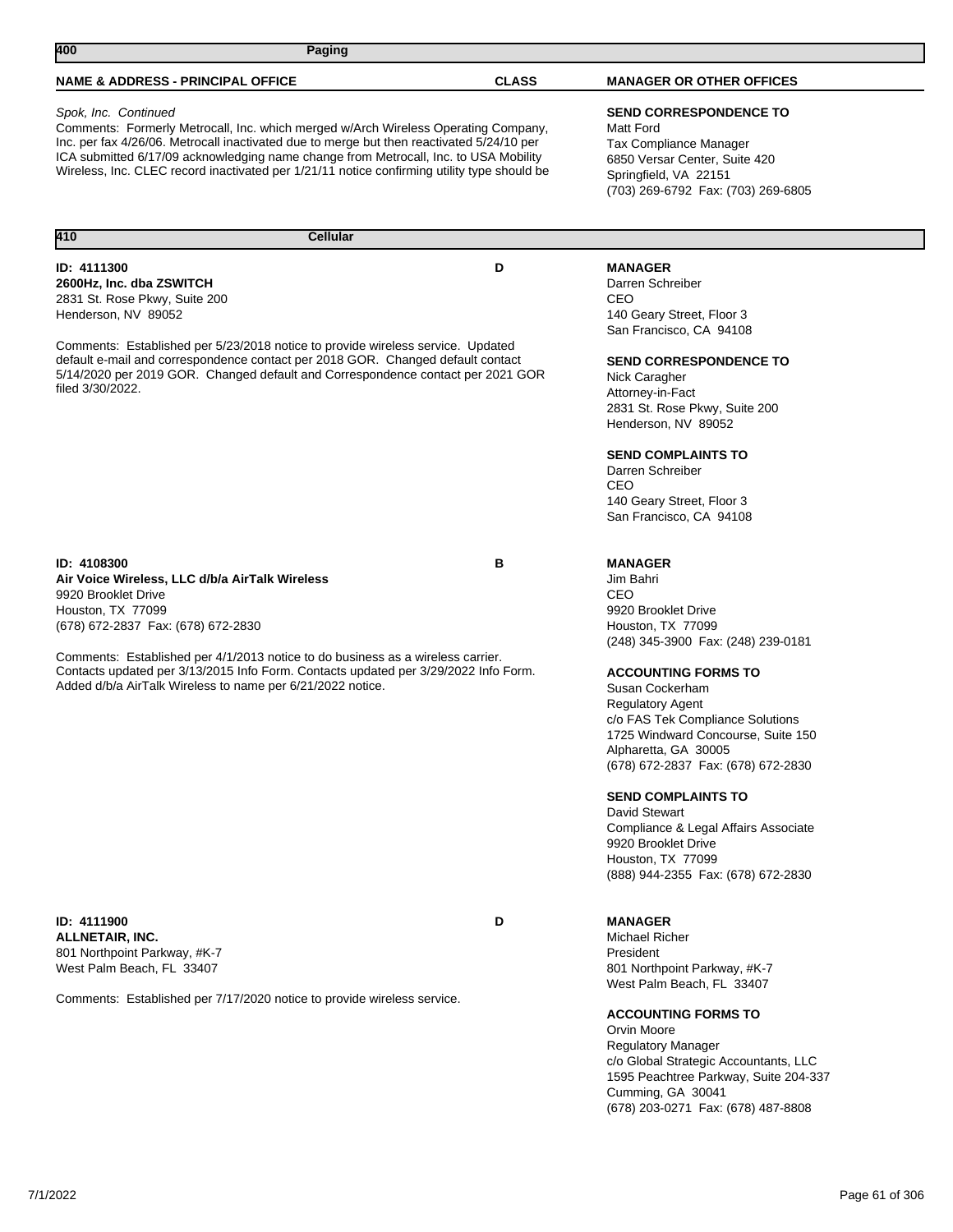**410 Cellular** 

## Spok, Inc. Continued

Comments: Formerly Metrocall, Inc. which merged w/Arch Wireless Operating Company, Inc. per fax 4/26/06. Metrocall inactivated due to merge but then reactivated 5/24/10 per ICA submitted 6/17/09 acknowledging name change from Metrocall, Inc. to USA Mobility Wireless, Inc. CLEC record inactivated per 1/21/11 notice confirming utility type should be

### **ID: 4111300 D 2600Hz, Inc. dba ZSWITCH** 2831 St. Rose Pkwy, Suite 200 Henderson, NV 89052

Comments: Established per 5/23/2018 notice to provide wireless service. Updated default e-mail and correspondence contact per 2018 GOR. Changed default contact 5/14/2020 per 2019 GOR. Changed default and Correspondence contact per 2021 GOR filed 3/30/2022.

### **ID: 4108300 B Air Voice Wireless, LLC d/b/a AirTalk Wireless** 9920 Brooklet Drive Houston, TX 77099 (678) 672-2837 Fax: (678) 672-2830

Comments: Established per 4/1/2013 notice to do business as a wireless carrier. Contacts updated per 3/13/2015 Info Form. Contacts updated per 3/29/2022 Info Form. Added d/b/a AirTalk Wireless to name per 6/21/2022 notice.

**ID: 4111900 D ALLNETAIR, INC.** 801 Northpoint Parkway, #K-7 West Palm Beach, FL 33407

Comments: Established per 7/17/2020 notice to provide wireless service.

# **SEND CORRESPONDENCE TO**

Matt Ford Tax Compliance Manager 6850 Versar Center, Suite 420 Springfield, VA 22151 (703) 269-6792 Fax: (703) 269-6805

## **MANAGER**

Darren Schreiber CEO 140 Geary Street, Floor 3 San Francisco, CA 94108

**SEND CORRESPONDENCE TO**

Nick Caragher Attorney-in-Fact 2831 St. Rose Pkwy, Suite 200 Henderson, NV 89052

**SEND COMPLAINTS TO**

Darren Schreiber CEO 140 Geary Street, Floor 3 San Francisco, CA 94108

## **MANAGER**

Jim Bahri CEO 9920 Brooklet Drive Houston, TX 77099 (248) 345-3900 Fax: (248) 239-0181

## **ACCOUNTING FORMS TO**

Susan Cockerham Regulatory Agent c/o FAS Tek Compliance Solutions 1725 Windward Concourse, Suite 150 Alpharetta, GA 30005 (678) 672-2837 Fax: (678) 672-2830

## **SEND COMPLAINTS TO**

David Stewart Compliance & Legal Affairs Associate 9920 Brooklet Drive Houston, TX 77099 (888) 944-2355 Fax: (678) 672-2830

# **MANAGER**

Michael Richer President 801 Northpoint Parkway, #K-7 West Palm Beach, FL 33407

**ACCOUNTING FORMS TO**

Orvin Moore Regulatory Manager c/o Global Strategic Accountants, LLC 1595 Peachtree Parkway, Suite 204-337 Cumming, GA 30041 (678) 203-0271 Fax: (678) 487-8808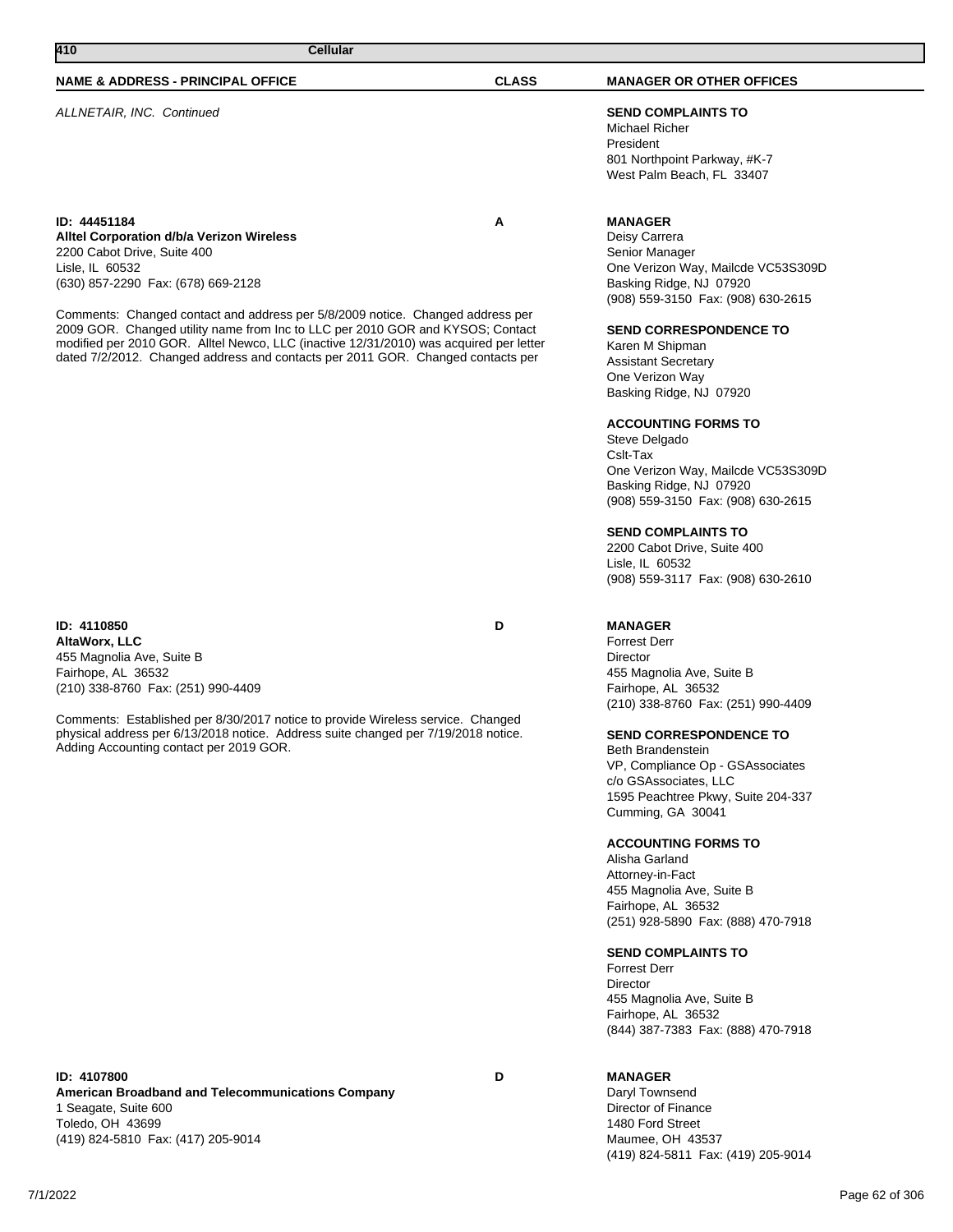Toledo, OH 43699

(419) 824-5810 Fax: (417) 205-9014

**ID: 4107800 D American Broadband and Telecommunications Company** 1 Seagate, Suite 600

### **NAME & ADDRESS - PRINCIPAL OFFICE CLASS MANAGER OR OTHER OFFICES**

ALLNETAIR, INC. Continued **SEND COMPLAINTS TO**

Michael Richer President 801 Northpoint Parkway, #K-7 West Palm Beach, FL 33407

## **MANAGER**

Deisy Carrera Senior Manager One Verizon Way, Mailcde VC53S309D Basking Ridge, NJ 07920 (908) 559-3150 Fax: (908) 630-2615

### **SEND CORRESPONDENCE TO**

Karen M Shipman Assistant Secretary One Verizon Way Basking Ridge, NJ 07920

#### **ACCOUNTING FORMS TO**

Steve Delgado Cslt-Tax One Verizon Way, Mailcde VC53S309D Basking Ridge, NJ 07920 (908) 559-3150 Fax: (908) 630-2615

#### **SEND COMPLAINTS TO**

2200 Cabot Drive, Suite 400 Lisle, IL 60532 (908) 559-3117 Fax: (908) 630-2610

### **MANAGER**

Forrest Derr Director 455 Magnolia Ave, Suite B Fairhope, AL 36532 (210) 338-8760 Fax: (251) 990-4409

### **SEND CORRESPONDENCE TO**

Beth Brandenstein VP, Compliance Op - GSAssociates c/o GSAssociates, LLC 1595 Peachtree Pkwy, Suite 204-337 Cumming, GA 30041

### **ACCOUNTING FORMS TO**

Alisha Garland Attorney-in-Fact 455 Magnolia Ave, Suite B Fairhope, AL 36532 (251) 928-5890 Fax: (888) 470-7918

#### **SEND COMPLAINTS TO**

Forrest Derr **Director** 455 Magnolia Ave, Suite B Fairhope, AL 36532 (844) 387-7383 Fax: (888) 470-7918

# **MANAGER**

Daryl Townsend Director of Finance 1480 Ford Street Maumee, OH 43537 (419) 824-5811 Fax: (419) 205-9014

**ID: 44451184 A Alltel Corporation d/b/a Verizon Wireless** 2200 Cabot Drive, Suite 400 Lisle, IL 60532 (630) 857-2290 Fax: (678) 669-2128

Comments: Changed contact and address per 5/8/2009 notice. Changed address per 2009 GOR. Changed utility name from Inc to LLC per 2010 GOR and KYSOS; Contact modified per 2010 GOR. Alltel Newco, LLC (inactive 12/31/2010) was acquired per letter dated 7/2/2012. Changed address and contacts per 2011 GOR. Changed contacts per

## **ID: 4110850 D AltaWorx, LLC** 455 Magnolia Ave, Suite B Fairhope, AL 36532 (210) 338-8760 Fax: (251) 990-4409

Comments: Established per 8/30/2017 notice to provide Wireless service. Changed physical address per 6/13/2018 notice. Address suite changed per 7/19/2018 notice. Adding Accounting contact per 2019 GOR.

**410 Cellular**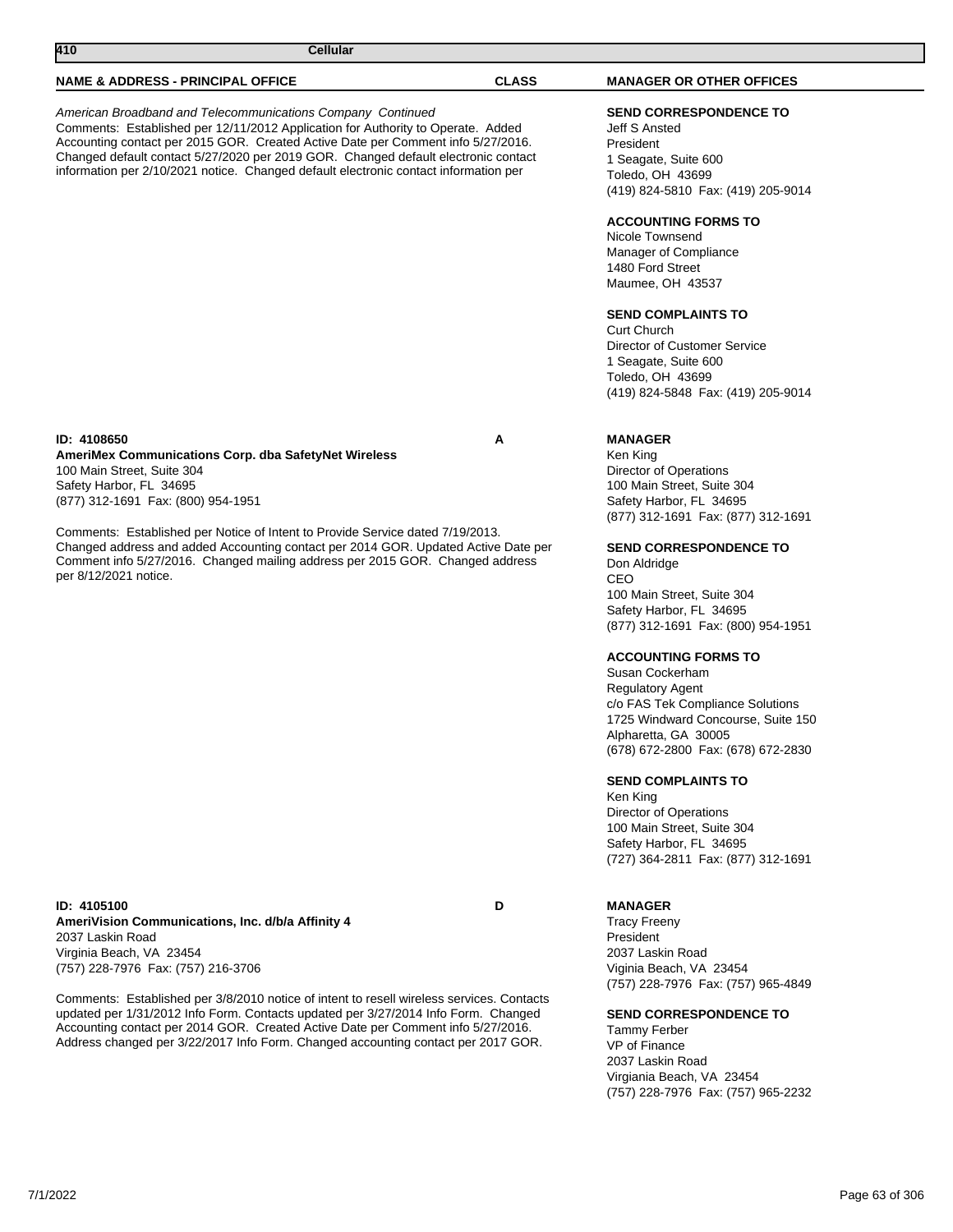| 410<br><b>Cellular</b>                                                                                                                                                                                                                                                                                                                                                                                                                               |              |                                                                                                                                                                                                                                                                                                                                                                                                                                                                                                                                                                                                                                                                                                                |
|------------------------------------------------------------------------------------------------------------------------------------------------------------------------------------------------------------------------------------------------------------------------------------------------------------------------------------------------------------------------------------------------------------------------------------------------------|--------------|----------------------------------------------------------------------------------------------------------------------------------------------------------------------------------------------------------------------------------------------------------------------------------------------------------------------------------------------------------------------------------------------------------------------------------------------------------------------------------------------------------------------------------------------------------------------------------------------------------------------------------------------------------------------------------------------------------------|
| <b>NAME &amp; ADDRESS - PRINCIPAL OFFICE</b>                                                                                                                                                                                                                                                                                                                                                                                                         | <b>CLASS</b> | <b>MANAGER OR OTHER OFFICES</b>                                                                                                                                                                                                                                                                                                                                                                                                                                                                                                                                                                                                                                                                                |
| American Broadband and Telecommunications Company Continued<br>Comments: Established per 12/11/2012 Application for Authority to Operate. Added<br>Accounting contact per 2015 GOR. Created Active Date per Comment info 5/27/2016.<br>Changed default contact 5/27/2020 per 2019 GOR. Changed default electronic contact<br>information per 2/10/2021 notice. Changed default electronic contact information per                                    |              | <b>SEND CORRESPONDENCE TO</b><br>Jeff S Ansted<br>President<br>1 Seagate, Suite 600<br>Toledo, OH 43699<br>(419) 824-5810 Fax: (419) 205-9014<br><b>ACCOUNTING FORMS TO</b><br>Nicole Townsend<br>Manager of Compliance<br>1480 Ford Street<br>Maumee, OH 43537<br><b>SEND COMPLAINTS TO</b><br><b>Curt Church</b><br>Director of Customer Service<br>1 Seagate, Suite 600<br>Toledo, OH 43699<br>(419) 824-5848 Fax: (419) 205-9014                                                                                                                                                                                                                                                                           |
| ID: 4108650<br>AmeriMex Communications Corp. dba SafetyNet Wireless<br>100 Main Street, Suite 304<br>Safety Harbor, FL 34695<br>(877) 312-1691 Fax: (800) 954-1951<br>Comments: Established per Notice of Intent to Provide Service dated 7/19/2013.<br>Changed address and added Accounting contact per 2014 GOR. Updated Active Date per<br>Comment info 5/27/2016. Changed mailing address per 2015 GOR. Changed address<br>per 8/12/2021 notice. | Α            | <b>MANAGER</b><br>Ken King<br><b>Director of Operations</b><br>100 Main Street, Suite 304<br>Safety Harbor, FL 34695<br>(877) 312-1691 Fax: (877) 312-1691<br><b>SEND CORRESPONDENCE TO</b><br>Don Aldridge<br>CEO<br>100 Main Street, Suite 304<br>Safety Harbor, FL 34695<br>(877) 312-1691 Fax: (800) 954-1951<br><b>ACCOUNTING FORMS TO</b><br>Susan Cockerham<br><b>Regulatory Agent</b><br>c/o FAS Tek Compliance Solutions<br>1725 Windward Concourse, Suite 150<br>Alpharetta, GA 30005<br>(678) 672-2800 Fax: (678) 672-2830<br><b>SEND COMPLAINTS TO</b><br>Ken King<br><b>Director of Operations</b><br>100 Main Street, Suite 304<br>Safety Harbor, FL 34695<br>(727) 364-2811 Fax: (877) 312-1691 |
| ID: 4105100<br>AmeriVision Communications, Inc. d/b/a Affinity 4<br>2037 Laskin Road<br>Virginia Beach, VA 23454<br>(757) 228-7976 Fax: (757) 216-3706                                                                                                                                                                                                                                                                                               | D            | <b>MANAGER</b><br><b>Tracy Freeny</b><br>President<br>2037 Laskin Road<br>Viginia Beach, VA 23454                                                                                                                                                                                                                                                                                                                                                                                                                                                                                                                                                                                                              |

Comments: Established per 3/8/2010 notice of intent to resell wireless services. Contacts updated per 1/31/2012 Info Form. Contacts updated per 3/27/2014 Info Form. Changed Accounting contact per 2014 GOR. Created Active Date per Comment info 5/27/2016. Address changed per 3/22/2017 Info Form. Changed accounting contact per 2017 GOR.

Viginia Beach, VA 23454 (757) 228-7976 Fax: (757) 965-4849

## **SEND CORRESPONDENCE TO**

Tammy Ferber VP of Finance 2037 Laskin Road Virgiania Beach, VA 23454 (757) 228-7976 Fax: (757) 965-2232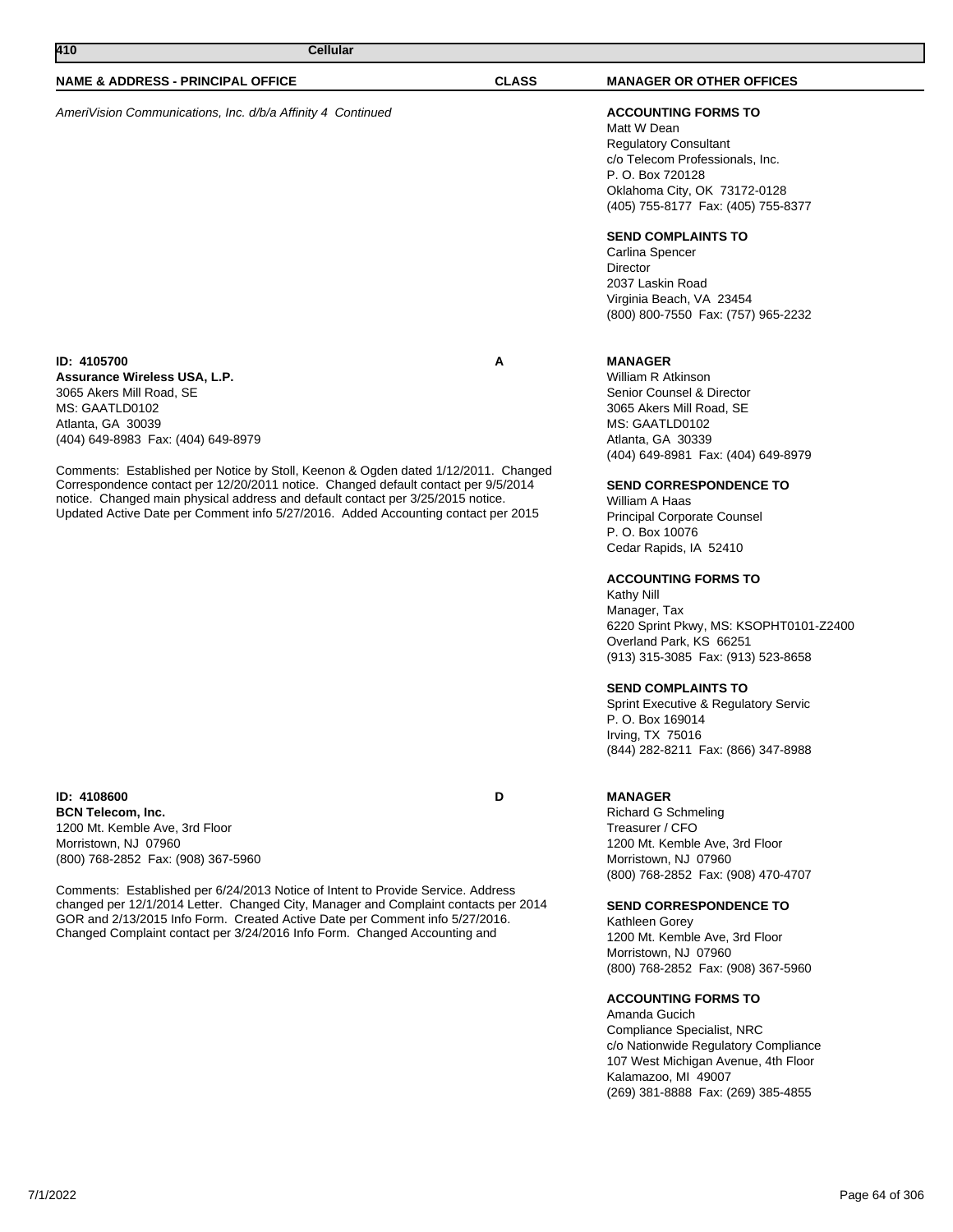AmeriVision Communications, Inc. d/b/a Affinity 4 Continued **ACCOUNTING FORMS TO**

#### **ID: 4105700 A Assurance Wireless USA, L.P.** 3065 Akers Mill Road, SE MS: GAATLD0102 Atlanta, GA 30039 (404) 649-8983 Fax: (404) 649-8979

Comments: Established per Notice by Stoll, Keenon & Ogden dated 1/12/2011. Changed Correspondence contact per 12/20/2011 notice. Changed default contact per 9/5/2014 notice. Changed main physical address and default contact per 3/25/2015 notice. Updated Active Date per Comment info 5/27/2016. Added Accounting contact per 2015

**ID: 4108600 D BCN Telecom, Inc.** 1200 Mt. Kemble Ave, 3rd Floor Morristown, NJ 07960 (800) 768-2852 Fax: (908) 367-5960

Comments: Established per 6/24/2013 Notice of Intent to Provide Service. Address changed per 12/1/2014 Letter. Changed City, Manager and Complaint contacts per 2014 GOR and 2/13/2015 Info Form. Created Active Date per Comment info 5/27/2016. Changed Complaint contact per 3/24/2016 Info Form. Changed Accounting and

Matt W Dean Regulatory Consultant c/o Telecom Professionals, Inc. P. O. Box 720128 Oklahoma City, OK 73172-0128 (405) 755-8177 Fax: (405) 755-8377

## **SEND COMPLAINTS TO**

Carlina Spencer Director 2037 Laskin Road Virginia Beach, VA 23454 (800) 800-7550 Fax: (757) 965-2232

## **MANAGER**

William R Atkinson Senior Counsel & Director 3065 Akers Mill Road, SE MS: GAATLD0102 Atlanta, GA 30339 (404) 649-8981 Fax: (404) 649-8979

## **SEND CORRESPONDENCE TO**

William A Haas Principal Corporate Counsel P. O. Box 10076 Cedar Rapids, IA 52410

## **ACCOUNTING FORMS TO**

Kathy Nill Manager, Tax 6220 Sprint Pkwy, MS: KSOPHT0101-Z2400 Overland Park, KS 66251 (913) 315-3085 Fax: (913) 523-8658

### **SEND COMPLAINTS TO**

Sprint Executive & Regulatory Servic P. O. Box 169014 Irving, TX 75016 (844) 282-8211 Fax: (866) 347-8988

## **MANAGER**

Richard G Schmeling Treasurer / CFO 1200 Mt. Kemble Ave, 3rd Floor Morristown, NJ 07960 (800) 768-2852 Fax: (908) 470-4707

## **SEND CORRESPONDENCE TO**

Kathleen Gorey 1200 Mt. Kemble Ave, 3rd Floor Morristown, NJ 07960 (800) 768-2852 Fax: (908) 367-5960

### **ACCOUNTING FORMS TO**

Amanda Gucich Compliance Specialist, NRC c/o Nationwide Regulatory Compliance 107 West Michigan Avenue, 4th Floor Kalamazoo, MI 49007 (269) 381-8888 Fax: (269) 385-4855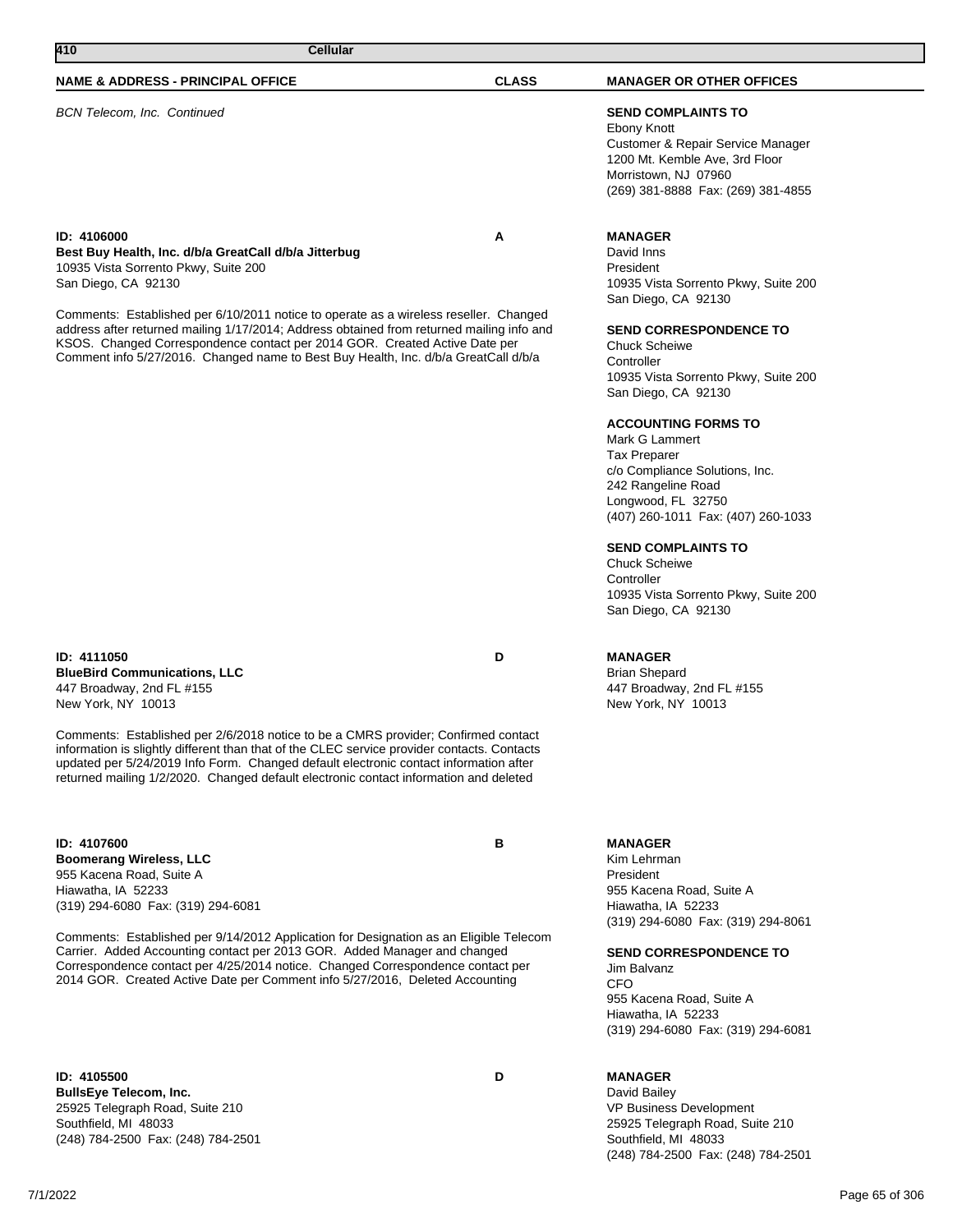BCN Telecom, Inc. Continued **SEND COMPLAINTS TO**

#### **ID: 4106000 A Best Buy Health, Inc. d/b/a GreatCall d/b/a Jitterbug** 10935 Vista Sorrento Pkwy, Suite 200 San Diego, CA 92130

Comments: Established per 6/10/2011 notice to operate as a wireless reseller. Changed address after returned mailing 1/17/2014; Address obtained from returned mailing info and KSOS. Changed Correspondence contact per 2014 GOR. Created Active Date per Comment info 5/27/2016. Changed name to Best Buy Health, Inc. d/b/a GreatCall d/b/a

## **ID: 4111050 D BlueBird Communications, LLC** 447 Broadway, 2nd FL #155 New York, NY 10013

Comments: Established per 2/6/2018 notice to be a CMRS provider; Confirmed contact information is slightly different than that of the CLEC service provider contacts. Contacts updated per 5/24/2019 Info Form. Changed default electronic contact information after returned mailing 1/2/2020. Changed default electronic contact information and deleted

**ID: 4107600 B Boomerang Wireless, LLC** 955 Kacena Road, Suite A

Hiawatha, IA 52233 (319) 294-6080 Fax: (319) 294-6081

Comments: Established per 9/14/2012 Application for Designation as an Eligible Telecom Carrier. Added Accounting contact per 2013 GOR. Added Manager and changed Correspondence contact per 4/25/2014 notice. Changed Correspondence contact per 2014 GOR. Created Active Date per Comment info 5/27/2016, Deleted Accounting

**ID: 4105500 D BullsEye Telecom, Inc.** 25925 Telegraph Road, Suite 210 Southfield, MI 48033 (248) 784-2500 Fax: (248) 784-2501

Ebony Knott Customer & Repair Service Manager 1200 Mt. Kemble Ave, 3rd Floor Morristown, NJ 07960 (269) 381-8888 Fax: (269) 381-4855

### **MANAGER**

David Inns President 10935 Vista Sorrento Pkwy, Suite 200 San Diego, CA 92130

### **SEND CORRESPONDENCE TO**

Chuck Scheiwe **Controller** 10935 Vista Sorrento Pkwy, Suite 200 San Diego, CA 92130

## **ACCOUNTING FORMS TO**

Mark G Lammert Tax Preparer c/o Compliance Solutions, Inc. 242 Rangeline Road Longwood, FL 32750 (407) 260-1011 Fax: (407) 260-1033

### **SEND COMPLAINTS TO**

Chuck Scheiwe **Controller** 10935 Vista Sorrento Pkwy, Suite 200 San Diego, CA 92130

## **MANAGER**

Brian Shepard 447 Broadway, 2nd FL #155 New York, NY 10013

### **MANAGER**

Kim Lehrman President 955 Kacena Road, Suite A Hiawatha, IA 52233 (319) 294-6080 Fax: (319) 294-8061

#### **SEND CORRESPONDENCE TO**

Jim Balvanz C<sub>FO</sub> 955 Kacena Road, Suite A Hiawatha, IA 52233 (319) 294-6080 Fax: (319) 294-6081

## **MANAGER**

David Bailey VP Business Development 25925 Telegraph Road, Suite 210 Southfield, MI 48033 (248) 784-2500 Fax: (248) 784-2501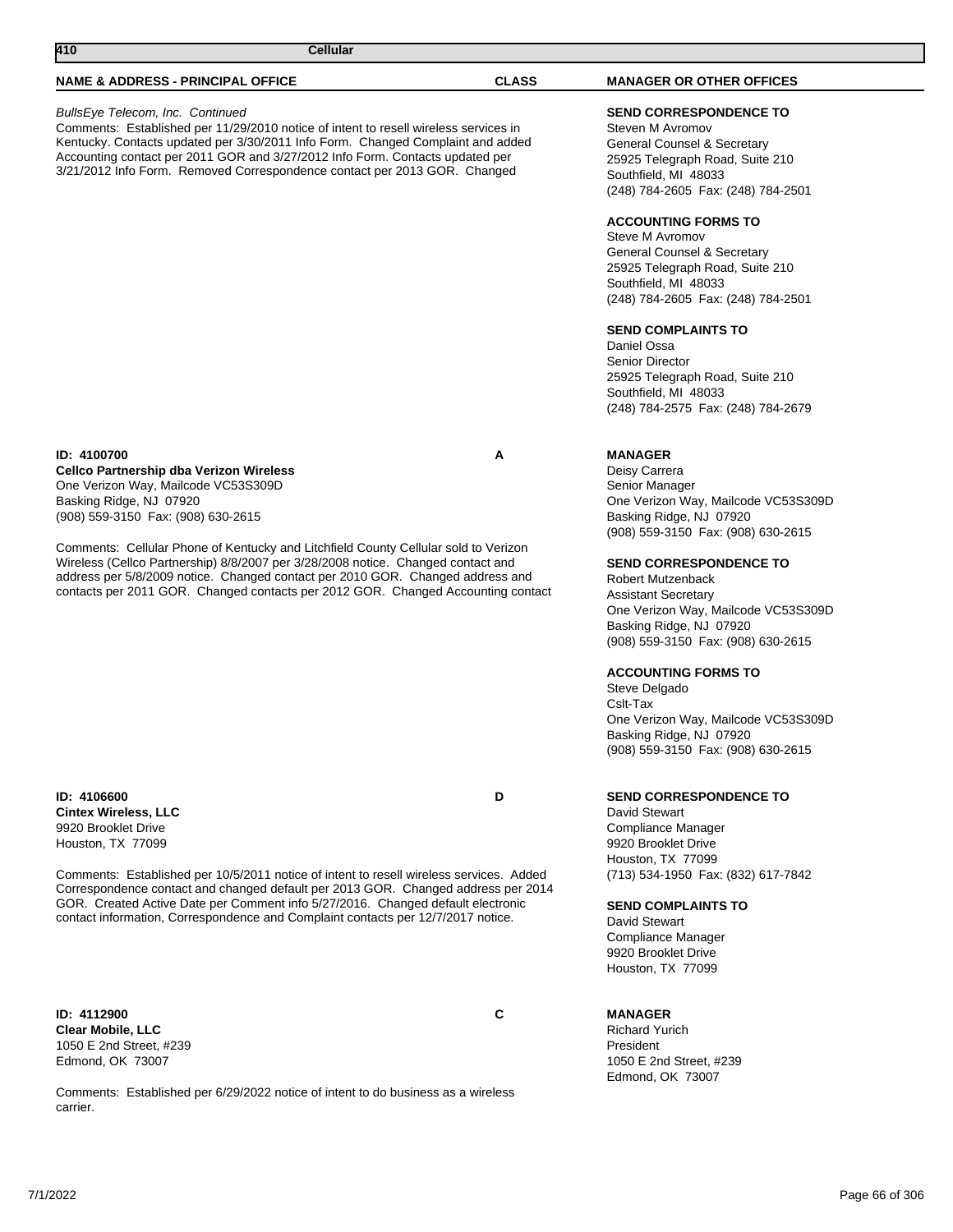#### BullsEye Telecom, Inc. Continued

Comments: Established per 11/29/2010 notice of intent to resell wireless services in Kentucky. Contacts updated per 3/30/2011 Info Form. Changed Complaint and added Accounting contact per 2011 GOR and 3/27/2012 Info Form. Contacts updated per 3/21/2012 Info Form. Removed Correspondence contact per 2013 GOR. Changed

#### **ID: 4100700 A Cellco Partnership dba Verizon Wireless** One Verizon Way, Mailcode VC53S309D Basking Ridge, NJ 07920 (908) 559-3150 Fax: (908) 630-2615

Comments: Cellular Phone of Kentucky and Litchfield County Cellular sold to Verizon Wireless (Cellco Partnership) 8/8/2007 per 3/28/2008 notice. Changed contact and address per 5/8/2009 notice. Changed contact per 2010 GOR. Changed address and contacts per 2011 GOR. Changed contacts per 2012 GOR. Changed Accounting contact

**ID: 4106600 D Cintex Wireless, LLC** 9920 Brooklet Drive Houston, TX 77099

Comments: Established per 10/5/2011 notice of intent to resell wireless services. Added Correspondence contact and changed default per 2013 GOR. Changed address per 2014 GOR. Created Active Date per Comment info 5/27/2016. Changed default electronic contact information, Correspondence and Complaint contacts per 12/7/2017 notice.

**ID: 4112900 C Clear Mobile, LLC** 1050 E 2nd Street, #239 Edmond, OK 73007

Comments: Established per 6/29/2022 notice of intent to do business as a wireless carrier.

## **SEND CORRESPONDENCE TO**

Steven M Avromov General Counsel & Secretary 25925 Telegraph Road, Suite 210 Southfield, MI 48033 (248) 784-2605 Fax: (248) 784-2501

### **ACCOUNTING FORMS TO**

Steve M Avromov General Counsel & Secretary 25925 Telegraph Road, Suite 210 Southfield, MI 48033 (248) 784-2605 Fax: (248) 784-2501

### **SEND COMPLAINTS TO**

Daniel Ossa Senior Director 25925 Telegraph Road, Suite 210 Southfield, MI 48033 (248) 784-2575 Fax: (248) 784-2679

## **MANAGER**

Deisy Carrera Senior Manager One Verizon Way, Mailcode VC53S309D Basking Ridge, NJ 07920 (908) 559-3150 Fax: (908) 630-2615

#### **SEND CORRESPONDENCE TO**

Robert Mutzenback Assistant Secretary One Verizon Way, Mailcode VC53S309D Basking Ridge, NJ 07920 (908) 559-3150 Fax: (908) 630-2615

### **ACCOUNTING FORMS TO**

Steve Delgado Cslt-Tax One Verizon Way, Mailcode VC53S309D Basking Ridge, NJ 07920 (908) 559-3150 Fax: (908) 630-2615

## **SEND CORRESPONDENCE TO**

David Stewart Compliance Manager 9920 Brooklet Drive Houston, TX 77099 (713) 534-1950 Fax: (832) 617-7842

#### **SEND COMPLAINTS TO**

David Stewart Compliance Manager 9920 Brooklet Drive Houston, TX 77099

### **MANAGER**

Richard Yurich President 1050 E 2nd Street, #239 Edmond, OK 73007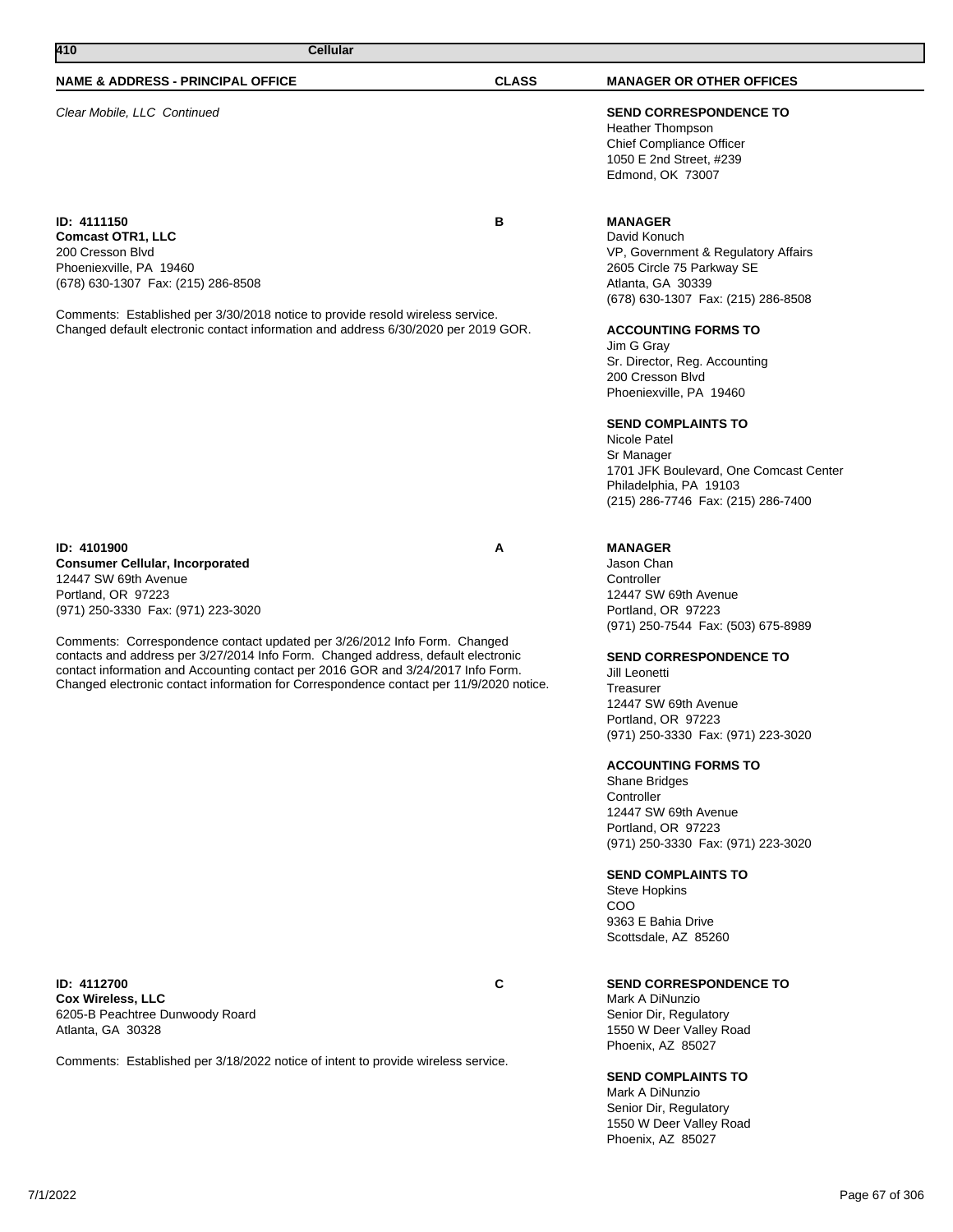Clear Mobile, LLC Continued **SEND CORRESPONDENCE TO**

**ID: 4111150 B Comcast OTR1, LLC** 200 Cresson Blvd Phoeniexville, PA 19460 (678) 630-1307 Fax: (215) 286-8508

Comments: Established per 3/30/2018 notice to provide resold wireless service. Changed default electronic contact information and address 6/30/2020 per 2019 GOR.

**ID: 4101900 A Consumer Cellular, Incorporated** 12447 SW 69th Avenue Portland, OR 97223 (971) 250-3330 Fax: (971) 223-3020

Comments: Correspondence contact updated per 3/26/2012 Info Form. Changed contacts and address per 3/27/2014 Info Form. Changed address, default electronic contact information and Accounting contact per 2016 GOR and 3/24/2017 Info Form. Changed electronic contact information for Correspondence contact per 11/9/2020 notice.

**ID: 4112700 C Cox Wireless, LLC** 6205-B Peachtree Dunwoody Roard Atlanta, GA 30328

Comments: Established per 3/18/2022 notice of intent to provide wireless service.

Heather Thompson Chief Compliance Officer 1050 E 2nd Street, #239 Edmond, OK 73007

## **MANAGER**

David Konuch VP, Government & Regulatory Affairs 2605 Circle 75 Parkway SE Atlanta, GA 30339 (678) 630-1307 Fax: (215) 286-8508

### **ACCOUNTING FORMS TO**

Jim G Gray Sr. Director, Reg. Accounting 200 Cresson Blvd Phoeniexville, PA 19460

### **SEND COMPLAINTS TO**

Nicole Patel Sr Manager 1701 JFK Boulevard, One Comcast Center Philadelphia, PA 19103 (215) 286-7746 Fax: (215) 286-7400

### **MANAGER**

Jason Chan **Controller** 12447 SW 69th Avenue Portland, OR 97223 (971) 250-7544 Fax: (503) 675-8989

#### **SEND CORRESPONDENCE TO**

Jill Leonetti **Treasurer** 12447 SW 69th Avenue Portland, OR 97223 (971) 250-3330 Fax: (971) 223-3020

### **ACCOUNTING FORMS TO**

Shane Bridges **Controller** 12447 SW 69th Avenue Portland, OR 97223 (971) 250-3330 Fax: (971) 223-3020

# **SEND COMPLAINTS TO**

Steve Hopkins COO 9363 E Bahia Drive Scottsdale, AZ 85260

## **SEND CORRESPONDENCE TO**

Mark A DiNunzio Senior Dir, Regulatory 1550 W Deer Valley Road Phoenix, AZ 85027

## **SEND COMPLAINTS TO**

Mark A DiNunzio Senior Dir, Regulatory 1550 W Deer Valley Road Phoenix, AZ 85027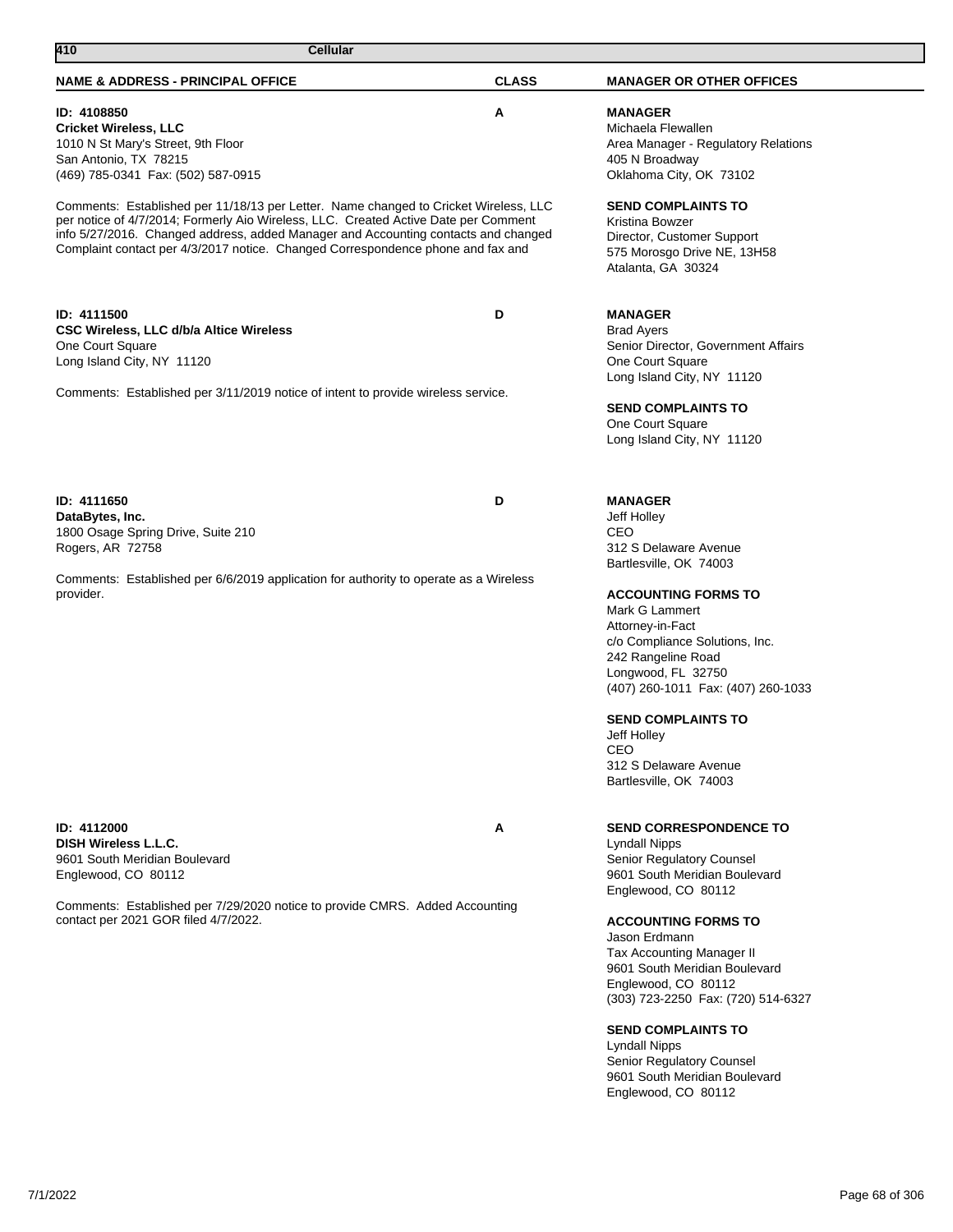| 410<br><b>Cellular</b>                                                                                                                                                                                                                                                                                                                               |              |                                                                                                                                                                                                                                                                                                                                                                                                                                         |
|------------------------------------------------------------------------------------------------------------------------------------------------------------------------------------------------------------------------------------------------------------------------------------------------------------------------------------------------------|--------------|-----------------------------------------------------------------------------------------------------------------------------------------------------------------------------------------------------------------------------------------------------------------------------------------------------------------------------------------------------------------------------------------------------------------------------------------|
| <b>NAME &amp; ADDRESS - PRINCIPAL OFFICE</b>                                                                                                                                                                                                                                                                                                         | <b>CLASS</b> | <b>MANAGER OR OTHER OFFICES</b>                                                                                                                                                                                                                                                                                                                                                                                                         |
| ID: 4108850<br><b>Cricket Wireless, LLC</b><br>1010 N St Mary's Street, 9th Floor<br>San Antonio, TX 78215<br>(469) 785-0341 Fax: (502) 587-0915                                                                                                                                                                                                     | A            | <b>MANAGER</b><br>Michaela Flewallen<br>Area Manager - Regulatory Relations<br>405 N Broadway<br>Oklahoma City, OK 73102                                                                                                                                                                                                                                                                                                                |
| Comments: Established per 11/18/13 per Letter. Name changed to Cricket Wireless, LLC<br>per notice of 4/7/2014; Formerly Aio Wireless, LLC. Created Active Date per Comment<br>info 5/27/2016. Changed address, added Manager and Accounting contacts and changed<br>Complaint contact per 4/3/2017 notice. Changed Correspondence phone and fax and |              | <b>SEND COMPLAINTS TO</b><br>Kristina Bowzer<br>Director, Customer Support<br>575 Morosgo Drive NE, 13H58<br>Atalanta, GA 30324                                                                                                                                                                                                                                                                                                         |
| ID: 4111500<br><b>CSC Wireless, LLC d/b/a Altice Wireless</b><br>One Court Square<br>Long Island City, NY 11120                                                                                                                                                                                                                                      | D            | <b>MANAGER</b><br><b>Brad Ayers</b><br>Senior Director, Government Affairs<br>One Court Square<br>Long Island City, NY 11120                                                                                                                                                                                                                                                                                                            |
| Comments: Established per 3/11/2019 notice of intent to provide wireless service.                                                                                                                                                                                                                                                                    |              | <b>SEND COMPLAINTS TO</b><br>One Court Square<br>Long Island City, NY 11120                                                                                                                                                                                                                                                                                                                                                             |
| ID: 4111650<br>DataBytes, Inc.<br>1800 Osage Spring Drive, Suite 210<br>Rogers, AR 72758                                                                                                                                                                                                                                                             | D            | <b>MANAGER</b><br>Jeff Holley<br>CEO<br>312 S Delaware Avenue<br>Bartlesville, OK 74003                                                                                                                                                                                                                                                                                                                                                 |
| Comments: Established per 6/6/2019 application for authority to operate as a Wireless<br>provider.                                                                                                                                                                                                                                                   |              | <b>ACCOUNTING FORMS TO</b><br>Mark G Lammert<br>Attorney-in-Fact<br>c/o Compliance Solutions, Inc.<br>242 Rangeline Road<br>Longwood, FL 32750<br>(407) 260-1011 Fax: (407) 260-1033<br><b>SEND COMPLAINTS TO</b><br>Jeff Holley<br>CEO<br>312 S Delaware Avenue<br>Bartlesville, OK 74003                                                                                                                                              |
| ID: 4112000<br><b>DISH Wireless L.L.C.</b><br>9601 South Meridian Boulevard<br>Englewood, CO 80112<br>Comments: Established per 7/29/2020 notice to provide CMRS. Added Accounting<br>contact per 2021 GOR filed 4/7/2022.                                                                                                                           | Α            | <b>SEND CORRESPONDENCE TO</b><br><b>Lyndall Nipps</b><br>Senior Regulatory Counsel<br>9601 South Meridian Boulevard<br>Englewood, CO 80112<br><b>ACCOUNTING FORMS TO</b><br>Jason Erdmann<br>Tax Accounting Manager II<br>9601 South Meridian Boulevard<br>Englewood, CO 80112<br>(303) 723-2250 Fax: (720) 514-6327<br><b>SEND COMPLAINTS TO</b><br><b>Lyndall Nipps</b><br>Senior Regulatory Counsel<br>9601 South Meridian Boulevard |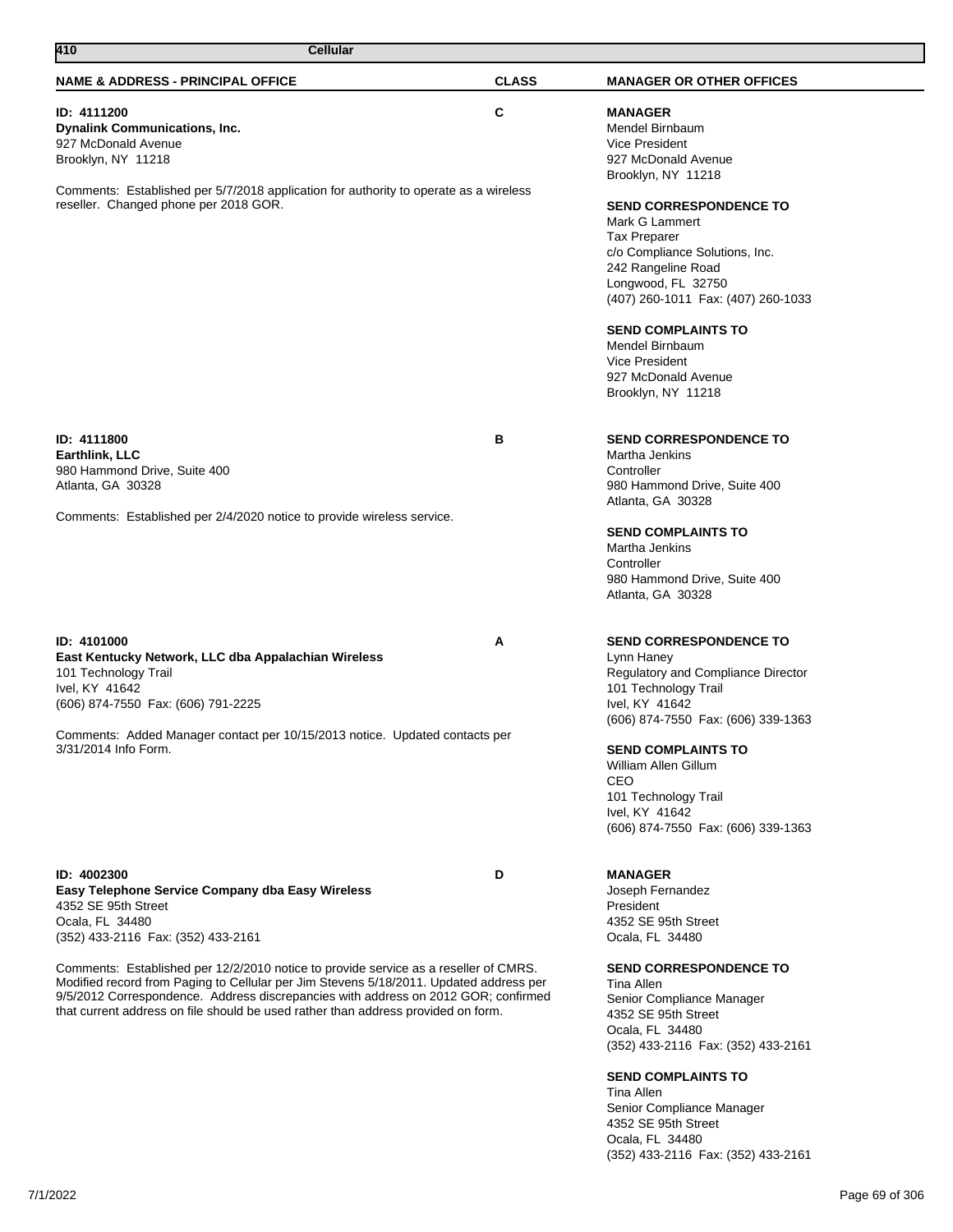| 410<br><b>Cellular</b>                                                                                                                                                                                                                                                                                                                                                                                                                                                                                       |              |                                                                                                                                                                                                                                                                                                                                                                                                               |  |  |
|--------------------------------------------------------------------------------------------------------------------------------------------------------------------------------------------------------------------------------------------------------------------------------------------------------------------------------------------------------------------------------------------------------------------------------------------------------------------------------------------------------------|--------------|---------------------------------------------------------------------------------------------------------------------------------------------------------------------------------------------------------------------------------------------------------------------------------------------------------------------------------------------------------------------------------------------------------------|--|--|
| <b>NAME &amp; ADDRESS - PRINCIPAL OFFICE</b>                                                                                                                                                                                                                                                                                                                                                                                                                                                                 | <b>CLASS</b> | <b>MANAGER OR OTHER OFFICES</b>                                                                                                                                                                                                                                                                                                                                                                               |  |  |
| <b>ID: 4111200</b><br><b>Dynalink Communications, Inc.</b><br>927 McDonald Avenue<br>Brooklyn, NY 11218<br>Comments: Established per 5/7/2018 application for authority to operate as a wireless<br>reseller. Changed phone per 2018 GOR.                                                                                                                                                                                                                                                                    | C            | <b>MANAGER</b><br>Mendel Birnbaum<br>Vice President<br>927 McDonald Avenue<br>Brooklyn, NY 11218<br><b>SEND CORRESPONDENCE TO</b><br>Mark G Lammert<br><b>Tax Preparer</b><br>c/o Compliance Solutions, Inc.<br>242 Rangeline Road<br>Longwood, FL 32750<br>(407) 260-1011 Fax: (407) 260-1033<br><b>SEND COMPLAINTS TO</b><br>Mendel Birnbaum<br>Vice President<br>927 McDonald Avenue<br>Brooklyn, NY 11218 |  |  |
| ID: 4111800<br>Earthlink, LLC<br>980 Hammond Drive, Suite 400<br>Atlanta, GA 30328<br>Comments: Established per 2/4/2020 notice to provide wireless service.                                                                                                                                                                                                                                                                                                                                                 | в            | <b>SEND CORRESPONDENCE TO</b><br>Martha Jenkins<br>Controller<br>980 Hammond Drive, Suite 400<br>Atlanta, GA 30328<br><b>SEND COMPLAINTS TO</b><br>Martha Jenkins<br>Controller<br>980 Hammond Drive, Suite 400<br>Atlanta, GA 30328                                                                                                                                                                          |  |  |
| ID: 4101000<br>East Kentucky Network, LLC dba Appalachian Wireless<br>101 Technology Trail<br>Ivel, KY 41642<br>(606) 874-7550 Fax: (606) 791-2225<br>Comments: Added Manager contact per 10/15/2013 notice. Updated contacts per<br>3/31/2014 Info Form.                                                                                                                                                                                                                                                    | A            | <b>SEND CORRESPONDENCE TO</b><br>Lynn Haney<br>Regulatory and Compliance Director<br>101 Technology Trail<br>Ivel, KY 41642<br>(606) 874-7550 Fax: (606) 339-1363<br><b>SEND COMPLAINTS TO</b><br>William Allen Gillum<br>CEO<br>101 Technology Trail<br>Ivel, KY 41642<br>(606) 874-7550 Fax: (606) 339-1363                                                                                                 |  |  |
| ID: 4002300<br>Easy Telephone Service Company dba Easy Wireless<br>4352 SE 95th Street<br>Ocala, FL 34480<br>(352) 433-2116 Fax: (352) 433-2161<br>Comments: Established per 12/2/2010 notice to provide service as a reseller of CMRS.<br>Modified record from Paging to Cellular per Jim Stevens 5/18/2011. Updated address per<br>9/5/2012 Correspondence. Address discrepancies with address on 2012 GOR; confirmed<br>that current address on file should be used rather than address provided on form. | D            | <b>MANAGER</b><br>Joseph Fernandez<br>President<br>4352 SE 95th Street<br>Ocala, FL 34480<br><b>SEND CORRESPONDENCE TO</b><br>Tina Allen<br>Senior Compliance Manager<br>4352 SE 95th Street<br>Ocala, FL 34480<br>(352) 433-2116 Fax: (352) 433-2161<br><b>SEND COMPLAINTS TO</b>                                                                                                                            |  |  |

Tina Allen Senior Compliance Manager 4352 SE 95th Street Ocala, FL 34480 (352) 433-2116 Fax: (352) 433-2161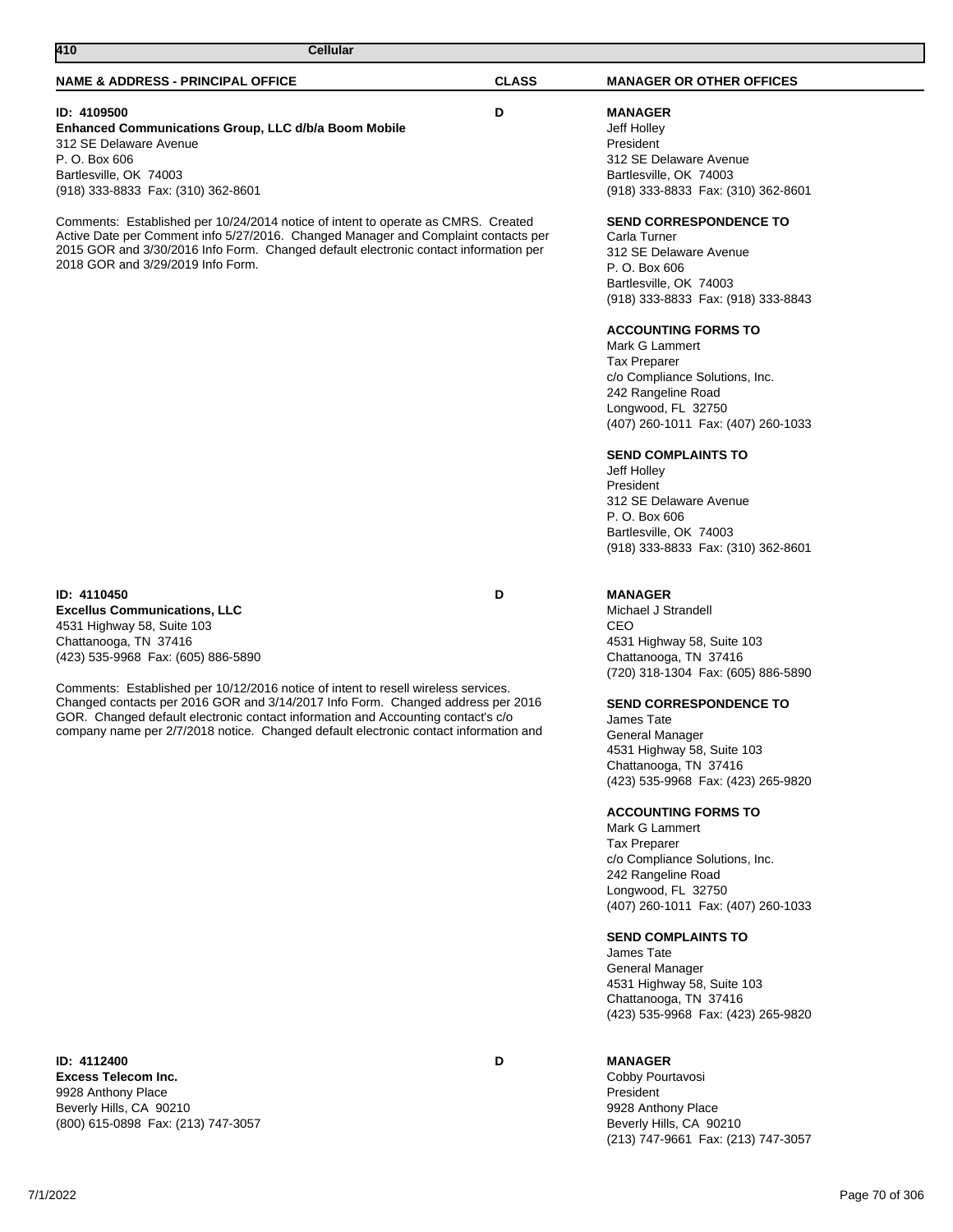# **ID: 4109500 D**

**Enhanced Communications Group, LLC d/b/a Boom Mobile** 312 SE Delaware Avenue P. O. Box 606 Bartlesville, OK 74003 (918) 333-8833 Fax: (310) 362-8601

Comments: Established per 10/24/2014 notice of intent to operate as CMRS. Created Active Date per Comment info 5/27/2016. Changed Manager and Complaint contacts per 2015 GOR and 3/30/2016 Info Form. Changed default electronic contact information per 2018 GOR and 3/29/2019 Info Form.

# **ID: 4110450 D**

**Excellus Communications, LLC** 4531 Highway 58, Suite 103 Chattanooga, TN 37416 (423) 535-9968 Fax: (605) 886-5890

Comments: Established per 10/12/2016 notice of intent to resell wireless services. Changed contacts per 2016 GOR and 3/14/2017 Info Form. Changed address per 2016 GOR. Changed default electronic contact information and Accounting contact's c/o company name per 2/7/2018 notice. Changed default electronic contact information and

# **ID: 4112400 D**

**Excess Telecom Inc.** 9928 Anthony Place Beverly Hills, CA 90210 (800) 615-0898 Fax: (213) 747-3057

**MANAGER** Jeff Holley

President 312 SE Delaware Avenue Bartlesville, OK 74003 (918) 333-8833 Fax: (310) 362-8601

### **SEND CORRESPONDENCE TO**

Carla Turner 312 SE Delaware Avenue P. O. Box 606 Bartlesville, OK 74003 (918) 333-8833 Fax: (918) 333-8843

## **ACCOUNTING FORMS TO**

Mark G Lammert Tax Preparer c/o Compliance Solutions, Inc. 242 Rangeline Road Longwood, FL 32750 (407) 260-1011 Fax: (407) 260-1033

## **SEND COMPLAINTS TO**

Jeff Holley President 312 SE Delaware Avenue P. O. Box 606 Bartlesville, OK 74003 (918) 333-8833 Fax: (310) 362-8601

## **MANAGER**

Michael J Strandell CEO 4531 Highway 58, Suite 103 Chattanooga, TN 37416 (720) 318-1304 Fax: (605) 886-5890

## **SEND CORRESPONDENCE TO**

James Tate General Manager 4531 Highway 58, Suite 103 Chattanooga, TN 37416 (423) 535-9968 Fax: (423) 265-9820

### **ACCOUNTING FORMS TO**

Mark G Lammert Tax Preparer c/o Compliance Solutions, Inc. 242 Rangeline Road Longwood, FL 32750 (407) 260-1011 Fax: (407) 260-1033

## **SEND COMPLAINTS TO**

James Tate General Manager 4531 Highway 58, Suite 103 Chattanooga, TN 37416 (423) 535-9968 Fax: (423) 265-9820

# **MANAGER**

Cobby Pourtavosi President 9928 Anthony Place Beverly Hills, CA 90210 (213) 747-9661 Fax: (213) 747-3057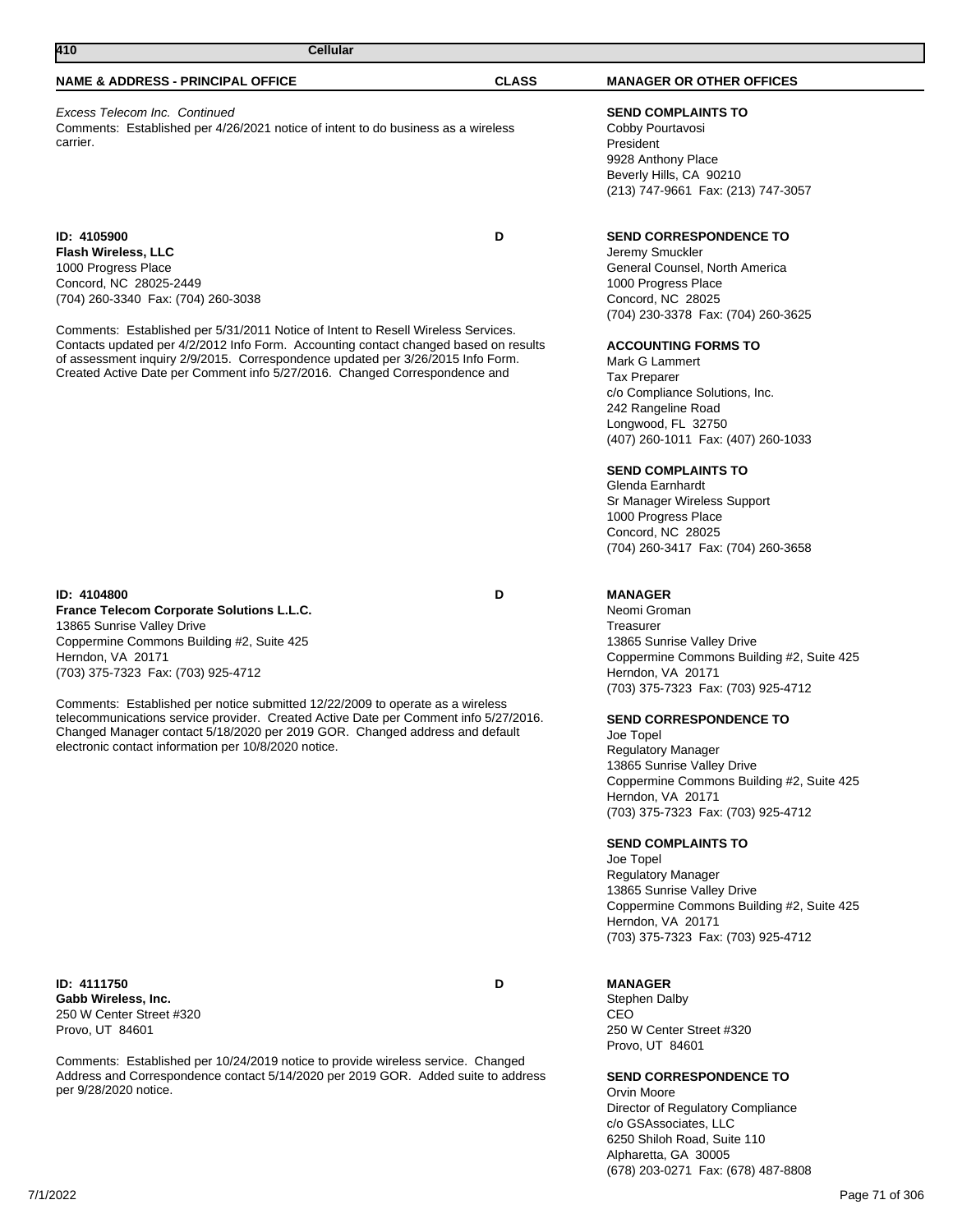**ID: 4111750 D Gabb Wireless, Inc.** 250 W Center Street #320 Provo, UT 84601

Comments: Established per 10/24/2019 notice to provide wireless service. Changed Address and Correspondence contact 5/14/2020 per 2019 GOR. Added suite to address per 9/28/2020 notice.

## **NAME & ADDRESS - PRINCIPAL OFFICE CLASS MANAGER OR OTHER OFFICES**

**410 Cellular** 

# Excess Telecom Inc. Continued

Comments: Established per 4/26/2021 notice of intent to do business as a wireless carrier.

**ID: 4105900 D Flash Wireless, LLC** 1000 Progress Place Concord, NC 28025-2449 (704) 260-3340 Fax: (704) 260-3038

Comments: Established per 5/31/2011 Notice of Intent to Resell Wireless Services. Contacts updated per 4/2/2012 Info Form. Accounting contact changed based on results of assessment inquiry 2/9/2015. Correspondence updated per 3/26/2015 Info Form. Created Active Date per Comment info 5/27/2016. Changed Correspondence and

# **ID: 4104800 D**

**France Telecom Corporate Solutions L.L.C.** 13865 Sunrise Valley Drive Coppermine Commons Building #2, Suite 425 Herndon, VA 20171 (703) 375-7323 Fax: (703) 925-4712

Comments: Established per notice submitted 12/22/2009 to operate as a wireless telecommunications service provider. Created Active Date per Comment info 5/27/2016. Changed Manager contact 5/18/2020 per 2019 GOR. Changed address and default electronic contact information per 10/8/2020 notice.

## **SEND COMPLAINTS TO**

Cobby Pourtavosi President 9928 Anthony Place Beverly Hills, CA 90210 (213) 747-9661 Fax: (213) 747-3057

## **SEND CORRESPONDENCE TO**

Jeremy Smuckler General Counsel, North America 1000 Progress Place Concord, NC 28025 (704) 230-3378 Fax: (704) 260-3625

#### **ACCOUNTING FORMS TO**

Mark G Lammert Tax Preparer c/o Compliance Solutions, Inc. 242 Rangeline Road Longwood, FL 32750 (407) 260-1011 Fax: (407) 260-1033

### **SEND COMPLAINTS TO**

Glenda Earnhardt Sr Manager Wireless Support 1000 Progress Place Concord, NC 28025 (704) 260-3417 Fax: (704) 260-3658

### **MANAGER**

Neomi Groman Treasurer 13865 Sunrise Valley Drive Coppermine Commons Building #2, Suite 425 Herndon, VA 20171 (703) 375-7323 Fax: (703) 925-4712

## **SEND CORRESPONDENCE TO**

Joe Topel Regulatory Manager 13865 Sunrise Valley Drive Coppermine Commons Building #2, Suite 425 Herndon, VA 20171 (703) 375-7323 Fax: (703) 925-4712

#### **SEND COMPLAINTS TO**

Joe Topel Regulatory Manager 13865 Sunrise Valley Drive Coppermine Commons Building #2, Suite 425 Herndon, VA 20171 (703) 375-7323 Fax: (703) 925-4712

## **MANAGER**

Stephen Dalby CEO 250 W Center Street #320 Provo, UT 84601

### **SEND CORRESPONDENCE TO**

Orvin Moore Director of Regulatory Compliance c/o GSAssociates, LLC 6250 Shiloh Road, Suite 110 Alpharetta, GA 30005 (678) 203-0271 Fax: (678) 487-8808

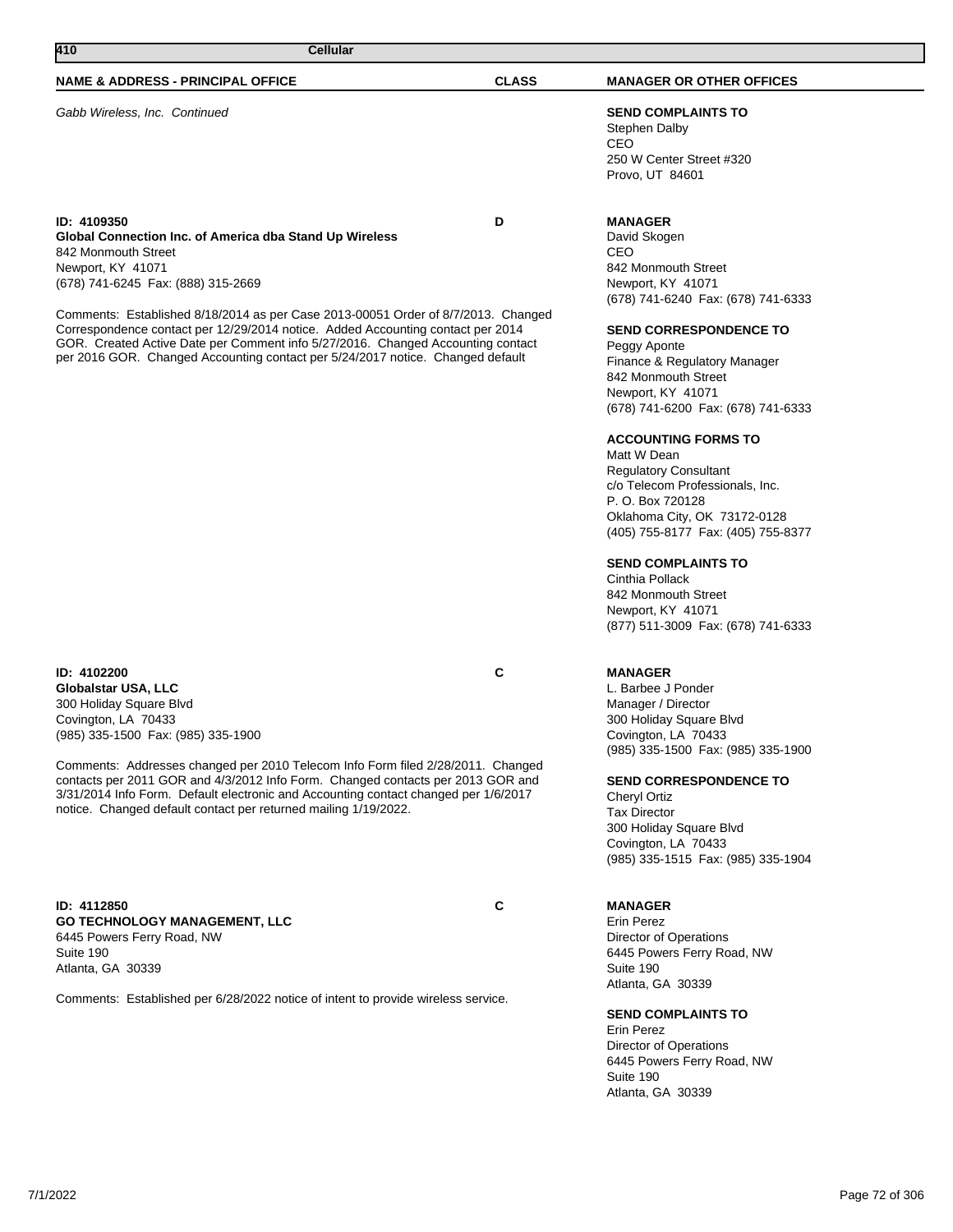# **410 Cellular**

#### **NAME & ADDRESS - PRINCIPAL OFFICE CLASS MANAGER OR OTHER OFFICES**

Gabb Wireless, Inc. Continued **SEND COMPLAINTS TO**

#### **ID: 4109350 D**

**Global Connection Inc. of America dba Stand Up Wireless** 842 Monmouth Street Newport, KY 41071 (678) 741-6245 Fax: (888) 315-2669

Comments: Established 8/18/2014 as per Case 2013-00051 Order of 8/7/2013. Changed Correspondence contact per 12/29/2014 notice. Added Accounting contact per 2014 GOR. Created Active Date per Comment info 5/27/2016. Changed Accounting contact per 2016 GOR. Changed Accounting contact per 5/24/2017 notice. Changed default

#### **ID: 4102200 C Globalstar USA, LLC** 300 Holiday Square Blvd Covington, LA 70433 (985) 335-1500 Fax: (985) 335-1900

Comments: Addresses changed per 2010 Telecom Info Form filed 2/28/2011. Changed contacts per 2011 GOR and 4/3/2012 Info Form. Changed contacts per 2013 GOR and 3/31/2014 Info Form. Default electronic and Accounting contact changed per 1/6/2017 notice. Changed default contact per returned mailing 1/19/2022.

**ID: 4112850 C GO TECHNOLOGY MANAGEMENT, LLC** 6445 Powers Ferry Road, NW Suite 190 Atlanta, GA 30339

Comments: Established per 6/28/2022 notice of intent to provide wireless service.

Stephen Dalby CEO 250 W Center Street #320 Provo, UT 84601

### **MANAGER**

David Skogen CEO 842 Monmouth Street Newport, KY 41071 (678) 741-6240 Fax: (678) 741-6333

### **SEND CORRESPONDENCE TO**

Peggy Aponte Finance & Regulatory Manager 842 Monmouth Street Newport, KY 41071 (678) 741-6200 Fax: (678) 741-6333

### **ACCOUNTING FORMS TO**

Matt W Dean Regulatory Consultant c/o Telecom Professionals, Inc. P. O. Box 720128 Oklahoma City, OK 73172-0128 (405) 755-8177 Fax: (405) 755-8377

#### **SEND COMPLAINTS TO**

Cinthia Pollack 842 Monmouth Street Newport, KY 41071 (877) 511-3009 Fax: (678) 741-6333

### **MANAGER**

L. Barbee J Ponder Manager / Director 300 Holiday Square Blvd Covington, LA 70433 (985) 335-1500 Fax: (985) 335-1900

**SEND CORRESPONDENCE TO**

Cheryl Ortiz Tax Director 300 Holiday Square Blvd Covington, LA 70433 (985) 335-1515 Fax: (985) 335-1904

## **MANAGER**

Erin Perez Director of Operations 6445 Powers Ferry Road, NW Suite 190 Atlanta, GA 30339

## **SEND COMPLAINTS TO**

Erin Perez Director of Operations 6445 Powers Ferry Road, NW Suite 190 Atlanta, GA 30339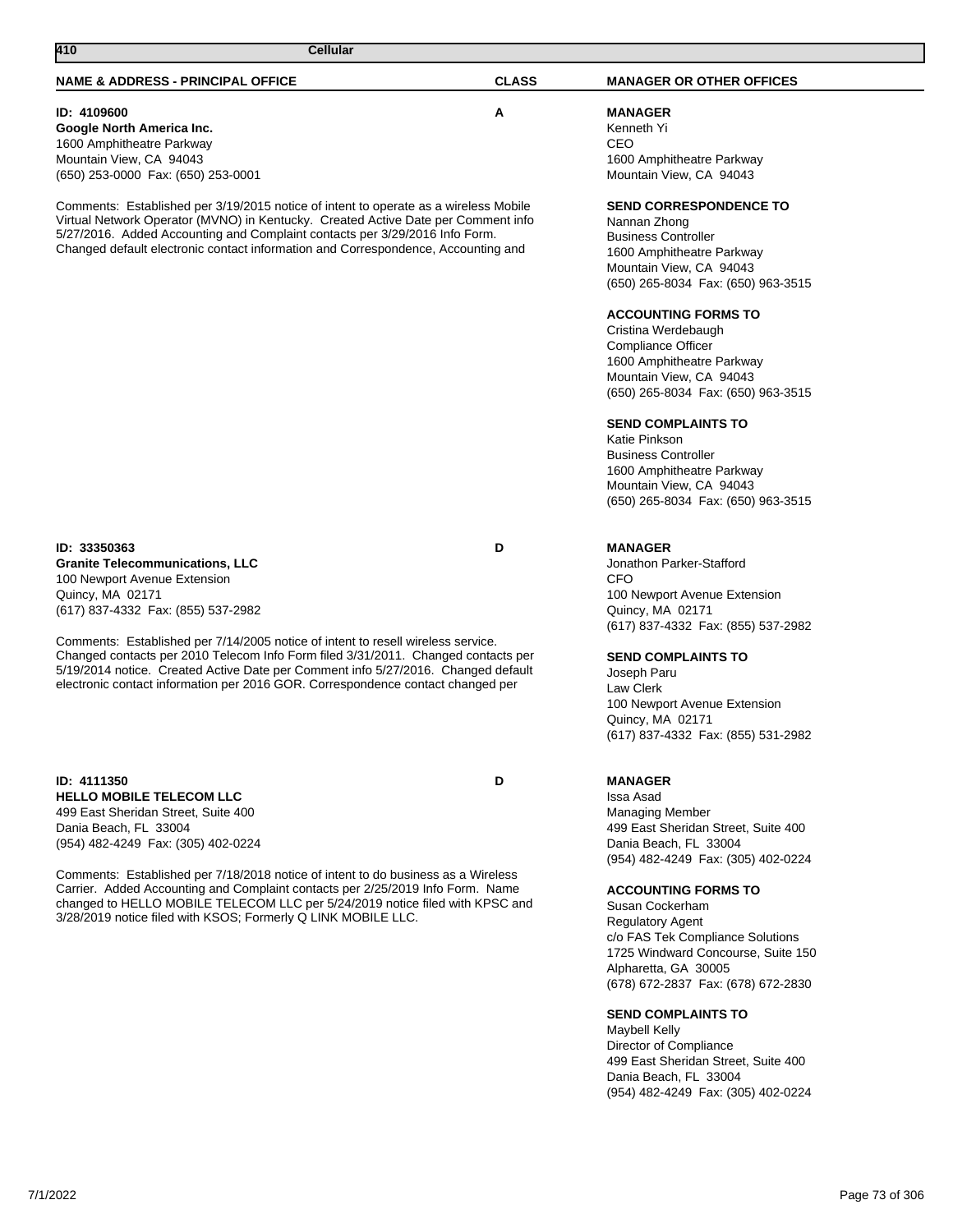**Google North America Inc.** 1600 Amphitheatre Parkway Mountain View, CA 94043 (650) 253-0000 Fax: (650) 253-0001

Comments: Established per 3/19/2015 notice of intent to operate as a wireless Mobile Virtual Network Operator (MVNO) in Kentucky. Created Active Date per Comment info 5/27/2016. Added Accounting and Complaint contacts per 3/29/2016 Info Form. Changed default electronic contact information and Correspondence, Accounting and

**ID: 33350363 D Granite Telecommunications, LLC** 100 Newport Avenue Extension Quincy, MA 02171 (617) 837-4332 Fax: (855) 537-2982

Comments: Established per 7/14/2005 notice of intent to resell wireless service. Changed contacts per 2010 Telecom Info Form filed 3/31/2011. Changed contacts per 5/19/2014 notice. Created Active Date per Comment info 5/27/2016. Changed default electronic contact information per 2016 GOR. Correspondence contact changed per

**ID: 4111350 D HELLO MOBILE TELECOM LLC** 499 East Sheridan Street, Suite 400 Dania Beach, FL 33004 (954) 482-4249 Fax: (305) 402-0224

Comments: Established per 7/18/2018 notice of intent to do business as a Wireless Carrier. Added Accounting and Complaint contacts per 2/25/2019 Info Form. Name changed to HELLO MOBILE TELECOM LLC per 5/24/2019 notice filed with KPSC and 3/28/2019 notice filed with KSOS; Formerly Q LINK MOBILE LLC.

**MANAGER**

Jonathon Parker-Stafford **CFO** 100 Newport Avenue Extension Quincy, MA 02171 (617) 837-4332 Fax: (855) 537-2982

**SEND COMPLAINTS TO**

Joseph Paru Law Clerk 100 Newport Avenue Extension Quincy, MA 02171 (617) 837-4332 Fax: (855) 531-2982

# **MANAGER**

Issa Asad Managing Member 499 East Sheridan Street, Suite 400 Dania Beach, FL 33004 (954) 482-4249 Fax: (305) 402-0224

# **ACCOUNTING FORMS TO**

Susan Cockerham Regulatory Agent c/o FAS Tek Compliance Solutions 1725 Windward Concourse, Suite 150 Alpharetta, GA 30005 (678) 672-2837 Fax: (678) 672-2830

# **SEND COMPLAINTS TO**

Maybell Kelly Director of Compliance 499 East Sheridan Street, Suite 400 Dania Beach, FL 33004 (954) 482-4249 Fax: (305) 402-0224

# **NAME & ADDRESS - PRINCIPAL OFFICE CLASS MANAGER OR OTHER OFFICES ID: 4109600 A MANAGER** Kenneth Yi CEO 1600 Amphitheatre Parkway Mountain View, CA 94043

# **SEND CORRESPONDENCE TO**

Nannan Zhong Business Controller 1600 Amphitheatre Parkway Mountain View, CA 94043 (650) 265-8034 Fax: (650) 963-3515

# **ACCOUNTING FORMS TO**

Cristina Werdebaugh Compliance Officer 1600 Amphitheatre Parkway Mountain View, CA 94043 (650) 265-8034 Fax: (650) 963-3515

# **SEND COMPLAINTS TO**

Katie Pinkson Business Controller 1600 Amphitheatre Parkway Mountain View, CA 94043 (650) 265-8034 Fax: (650) 963-3515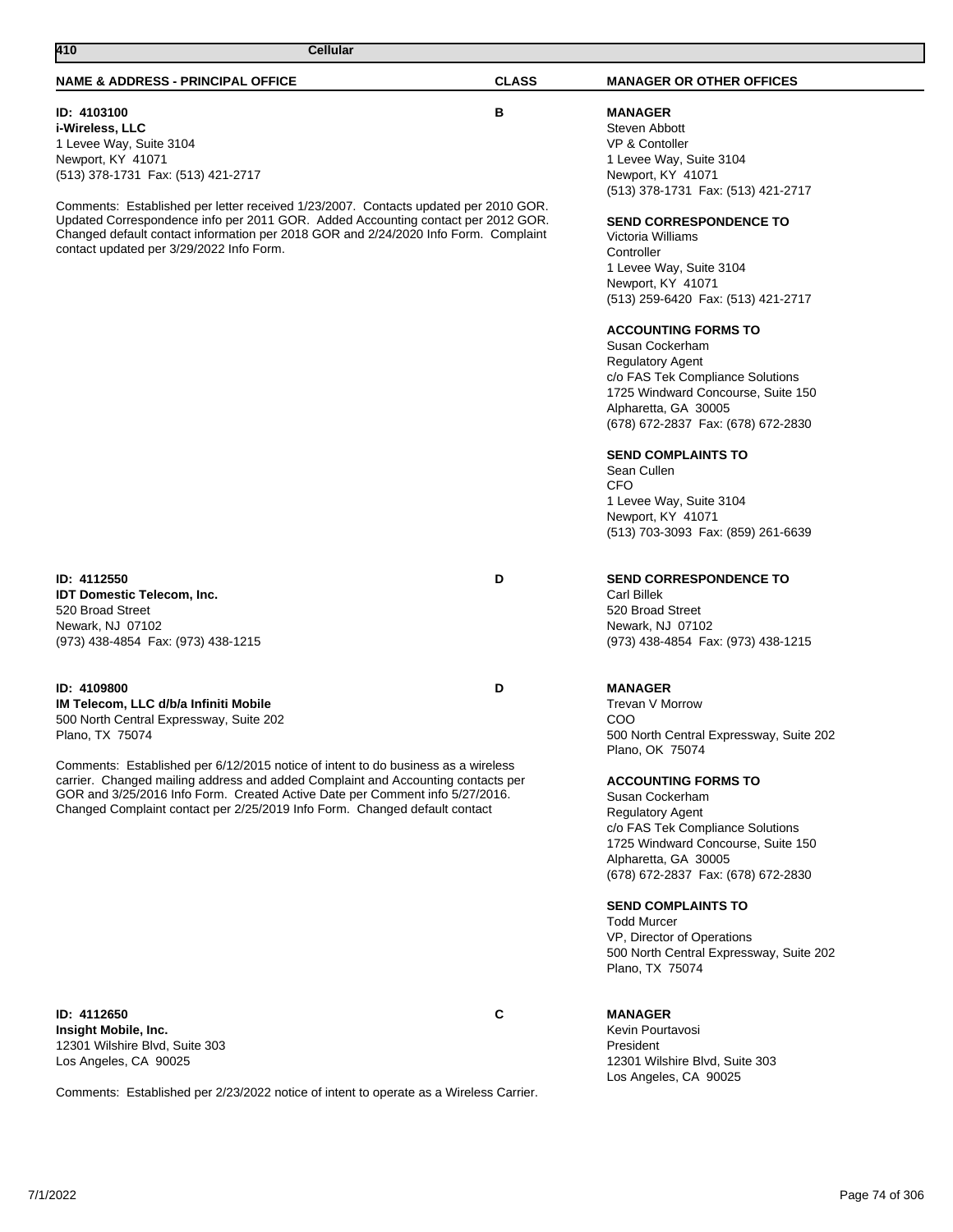# **ID: 4103100 B**

**i-Wireless, LLC** 1 Levee Way, Suite 3104 Newport, KY 41071 (513) 378-1731 Fax: (513) 421-2717

Comments: Established per letter received 1/23/2007. Contacts updated per 2010 GOR. Updated Correspondence info per 2011 GOR. Added Accounting contact per 2012 GOR. Changed default contact information per 2018 GOR and 2/24/2020 Info Form. Complaint contact updated per 3/29/2022 Info Form.

**ID: 4112550 D IDT Domestic Telecom, Inc.** 520 Broad Street Newark, NJ 07102 (973) 438-4854 Fax: (973) 438-1215

# **ID: 4109800 D**

**IM Telecom, LLC d/b/a Infiniti Mobile** 500 North Central Expressway, Suite 202 Plano, TX 75074

Comments: Established per 6/12/2015 notice of intent to do business as a wireless carrier. Changed mailing address and added Complaint and Accounting contacts per GOR and 3/25/2016 Info Form. Created Active Date per Comment info 5/27/2016. Changed Complaint contact per 2/25/2019 Info Form. Changed default contact

**ID: 4112650 C Insight Mobile, Inc.** 12301 Wilshire Blvd, Suite 303 Los Angeles, CA 90025

Comments: Established per 2/23/2022 notice of intent to operate as a Wireless Carrier.

**MANAGER** Steven Abbott VP & Contoller 1 Levee Way, Suite 3104 Newport, KY 41071 (513) 378-1731 Fax: (513) 421-2717

### **SEND CORRESPONDENCE TO**

Victoria Williams **Controller** 1 Levee Way, Suite 3104 Newport, KY 41071 (513) 259-6420 Fax: (513) 421-2717

# **ACCOUNTING FORMS TO**

Susan Cockerham Regulatory Agent c/o FAS Tek Compliance Solutions 1725 Windward Concourse, Suite 150 Alpharetta, GA 30005 (678) 672-2837 Fax: (678) 672-2830

#### **SEND COMPLAINTS TO**

Sean Cullen CFO 1 Levee Way, Suite 3104 Newport, KY 41071 (513) 703-3093 Fax: (859) 261-6639

#### **SEND CORRESPONDENCE TO**

Carl Billek 520 Broad Street Newark, NJ 07102 (973) 438-4854 Fax: (973) 438-1215

# **MANAGER**

Trevan V Morrow COO 500 North Central Expressway, Suite 202 Plano, OK 75074

# **ACCOUNTING FORMS TO**

Susan Cockerham Regulatory Agent c/o FAS Tek Compliance Solutions 1725 Windward Concourse, Suite 150 Alpharetta, GA 30005 (678) 672-2837 Fax: (678) 672-2830

### **SEND COMPLAINTS TO**

Todd Murcer VP, Director of Operations 500 North Central Expressway, Suite 202 Plano, TX 75074

# **MANAGER**

Kevin Pourtavosi President 12301 Wilshire Blvd, Suite 303 Los Angeles, CA 90025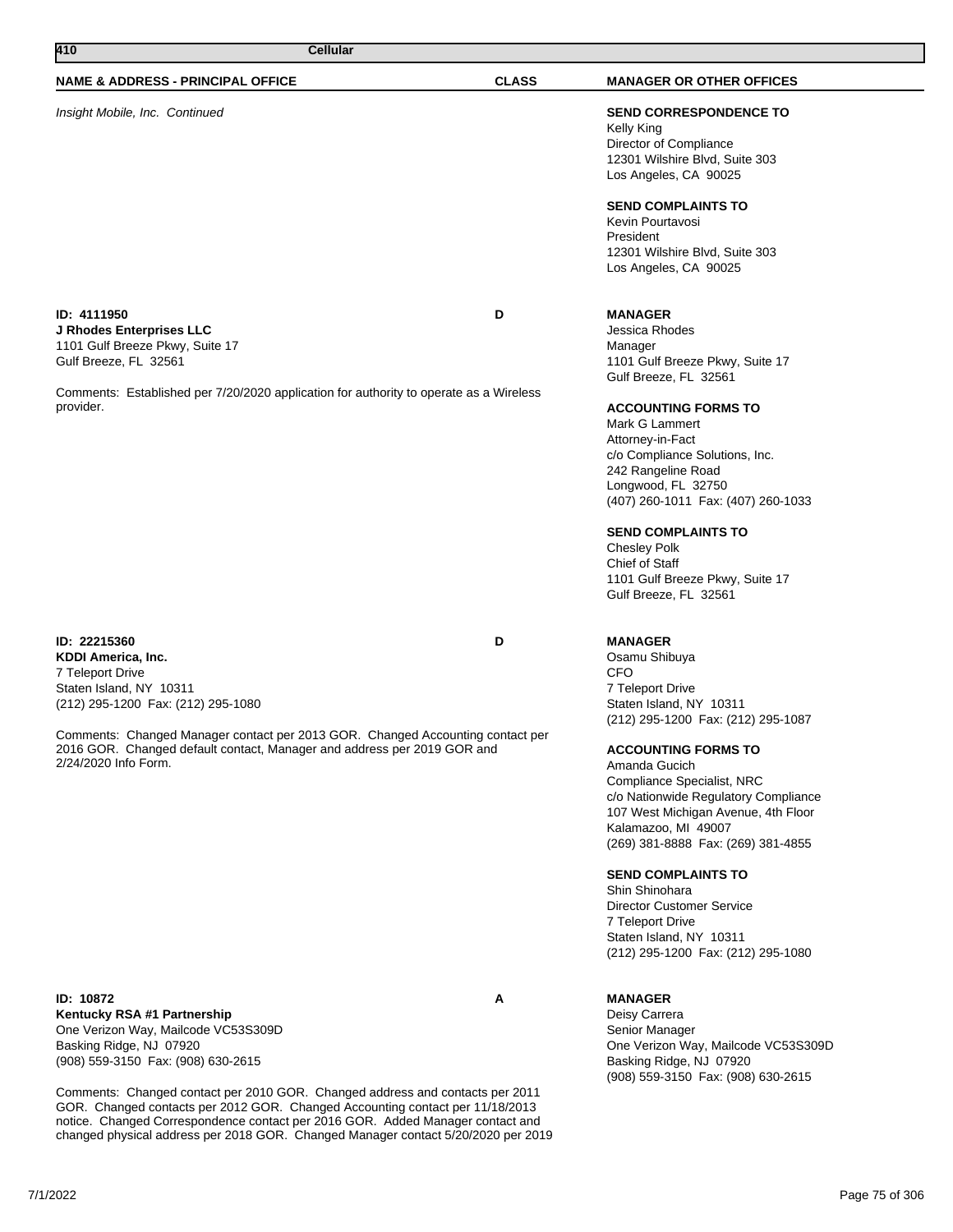| 410<br><b>Cellular</b>                                                                                                                                                                                                                                                                                       |              |                                                                                                                                                                                                                                                                                                                                                                                                                                                                                                                                            |
|--------------------------------------------------------------------------------------------------------------------------------------------------------------------------------------------------------------------------------------------------------------------------------------------------------------|--------------|--------------------------------------------------------------------------------------------------------------------------------------------------------------------------------------------------------------------------------------------------------------------------------------------------------------------------------------------------------------------------------------------------------------------------------------------------------------------------------------------------------------------------------------------|
| NAME & ADDRESS - PRINCIPAL OFFICE                                                                                                                                                                                                                                                                            | <b>CLASS</b> | <b>MANAGER OR OTHER OFFICES</b>                                                                                                                                                                                                                                                                                                                                                                                                                                                                                                            |
| Insight Mobile, Inc. Continued                                                                                                                                                                                                                                                                               |              | <b>SEND CORRESPONDENCE TO</b><br>Kelly King<br>Director of Compliance<br>12301 Wilshire Blvd, Suite 303<br>Los Angeles, CA 90025                                                                                                                                                                                                                                                                                                                                                                                                           |
|                                                                                                                                                                                                                                                                                                              |              | <b>SEND COMPLAINTS TO</b><br>Kevin Pourtavosi<br>President<br>12301 Wilshire Blvd, Suite 303<br>Los Angeles, CA 90025                                                                                                                                                                                                                                                                                                                                                                                                                      |
| ID: 4111950<br>J Rhodes Enterprises LLC<br>1101 Gulf Breeze Pkwy, Suite 17<br>Gulf Breeze, FL 32561                                                                                                                                                                                                          | D            | <b>MANAGER</b><br>Jessica Rhodes<br>Manager<br>1101 Gulf Breeze Pkwy, Suite 17<br>Gulf Breeze, FL 32561                                                                                                                                                                                                                                                                                                                                                                                                                                    |
| Comments: Established per 7/20/2020 application for authority to operate as a Wireless<br>provider.                                                                                                                                                                                                          |              | <b>ACCOUNTING FORMS TO</b><br>Mark G Lammert<br>Attorney-in-Fact<br>c/o Compliance Solutions, Inc.<br>242 Rangeline Road<br>Longwood, FL 32750<br>(407) 260-1011 Fax: (407) 260-1033<br><b>SEND COMPLAINTS TO</b><br><b>Chesley Polk</b><br>Chief of Staff<br>1101 Gulf Breeze Pkwy, Suite 17<br>Gulf Breeze, FL 32561                                                                                                                                                                                                                     |
| ID: 22215360<br>KDDI America, Inc.<br>7 Teleport Drive<br>Staten Island, NY 10311<br>(212) 295-1200 Fax: (212) 295-1080<br>Comments: Changed Manager contact per 2013 GOR. Changed Accounting contact per<br>2016 GOR. Changed default contact, Manager and address per 2019 GOR and<br>2/24/2020 Info Form. | D            | <b>MANAGER</b><br>Osamu Shibuya<br><b>CFO</b><br>7 Teleport Drive<br>Staten Island, NY 10311<br>(212) 295-1200 Fax: (212) 295-1087<br><b>ACCOUNTING FORMS TO</b><br>Amanda Gucich<br><b>Compliance Specialist, NRC</b><br>c/o Nationwide Regulatory Compliance<br>107 West Michigan Avenue, 4th Floor<br>Kalamazoo, MI 49007<br>(269) 381-8888 Fax: (269) 381-4855<br><b>SEND COMPLAINTS TO</b><br>Shin Shinohara<br><b>Director Customer Service</b><br>7 Teleport Drive<br>Staten Island, NY 10311<br>(212) 295-1200 Fax: (212) 295-1080 |
| ID: 10872<br>Kentucky RSA #1 Partnership<br>One Verizon Way, Mailcode VC53S309D                                                                                                                                                                                                                              | Α            | <b>MANAGER</b><br>Deisy Carrera<br>Senior Manager                                                                                                                                                                                                                                                                                                                                                                                                                                                                                          |

One Verizon Way, Mailcode VC53S309D Basking Ridge, NJ 07920 (908) 559-3150 Fax: (908) 630-2615

Comments: Changed contact per 2010 GOR. Changed address and contacts per 2011 GOR. Changed contacts per 2012 GOR. Changed Accounting contact per 11/18/2013 notice. Changed Correspondence contact per 2016 GOR. Added Manager contact and changed physical address per 2018 GOR. Changed Manager contact 5/20/2020 per 2019 One Verizon Way, Mailcode VC53S309D

(908) 559-3150 Fax: (908) 630-2615

Basking Ridge, NJ 07920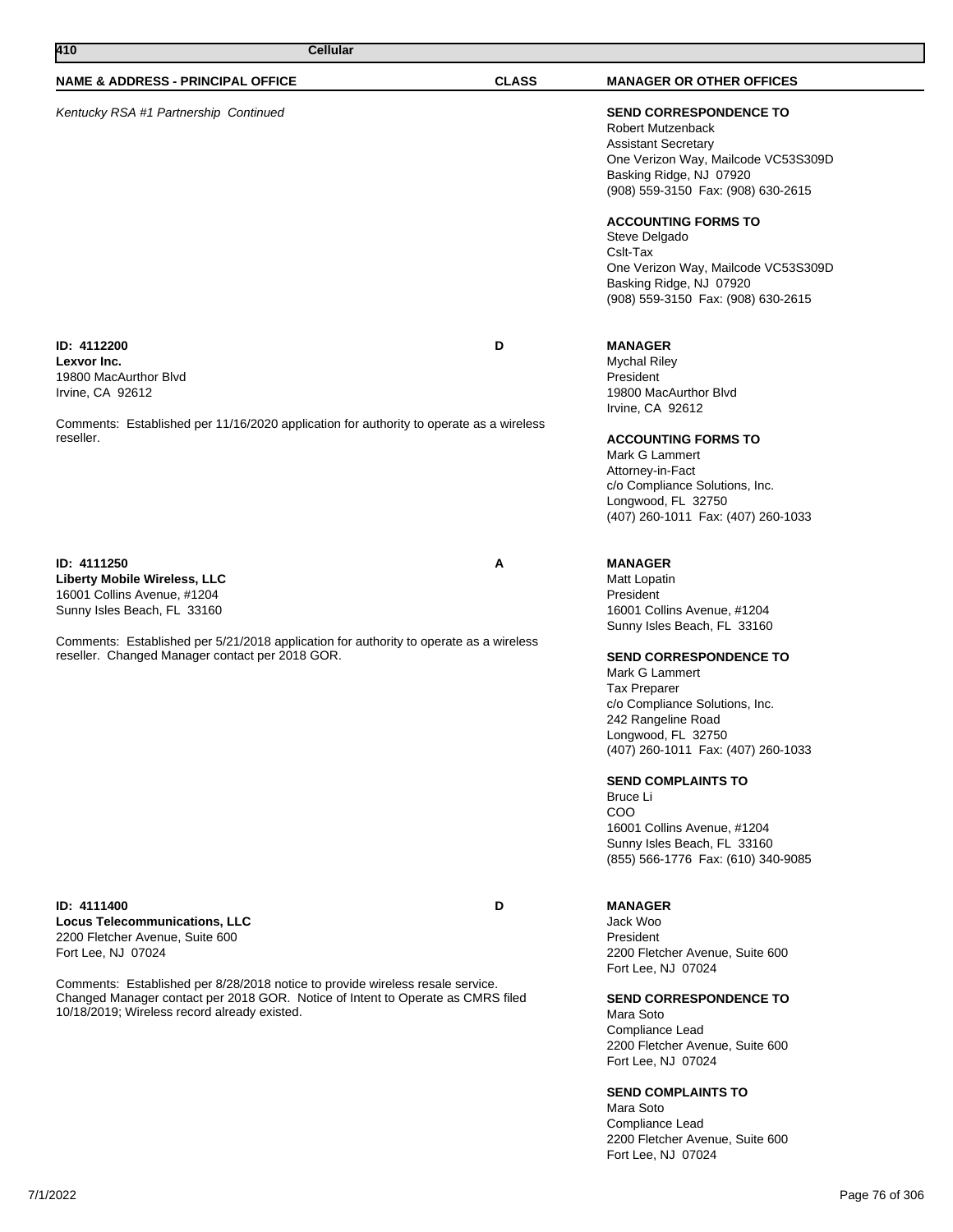| 410<br><b>Cellular</b>                                                                                                                                                                                            |              |                                                                                                                                                                                                                                                                                                                                                                               |
|-------------------------------------------------------------------------------------------------------------------------------------------------------------------------------------------------------------------|--------------|-------------------------------------------------------------------------------------------------------------------------------------------------------------------------------------------------------------------------------------------------------------------------------------------------------------------------------------------------------------------------------|
| <b>NAME &amp; ADDRESS - PRINCIPAL OFFICE</b>                                                                                                                                                                      | <b>CLASS</b> | <b>MANAGER OR OTHER OFFICES</b>                                                                                                                                                                                                                                                                                                                                               |
| Kentucky RSA #1 Partnership Continued                                                                                                                                                                             |              | <b>SEND CORRESPONDENCE TO</b><br><b>Robert Mutzenback</b><br><b>Assistant Secretary</b><br>One Verizon Way, Mailcode VC53S309D<br>Basking Ridge, NJ 07920<br>(908) 559-3150 Fax: (908) 630-2615                                                                                                                                                                               |
|                                                                                                                                                                                                                   |              | <b>ACCOUNTING FORMS TO</b><br>Steve Delgado<br>Cslt-Tax<br>One Verizon Way, Mailcode VC53S309D<br>Basking Ridge, NJ 07920<br>(908) 559-3150 Fax: (908) 630-2615                                                                                                                                                                                                               |
| ID: 4112200<br>Lexvor Inc.<br>19800 MacAurthor Blvd<br>Irvine, CA 92612                                                                                                                                           | D            | <b>MANAGER</b><br><b>Mychal Riley</b><br>President<br>19800 MacAurthor Blvd<br>Irvine, CA 92612                                                                                                                                                                                                                                                                               |
| Comments: Established per 11/16/2020 application for authority to operate as a wireless<br>reseller.                                                                                                              |              | <b>ACCOUNTING FORMS TO</b><br>Mark G Lammert<br>Attorney-in-Fact<br>c/o Compliance Solutions, Inc.<br>Longwood, FL 32750<br>(407) 260-1011 Fax: (407) 260-1033                                                                                                                                                                                                                |
| ID: 4111250<br><b>Liberty Mobile Wireless, LLC</b><br>16001 Collins Avenue, #1204<br>Sunny Isles Beach, FL 33160                                                                                                  | Α            | <b>MANAGER</b><br>Matt Lopatin<br>President<br>16001 Collins Avenue, #1204                                                                                                                                                                                                                                                                                                    |
| Comments: Established per 5/21/2018 application for authority to operate as a wireless<br>reseller. Changed Manager contact per 2018 GOR.                                                                         |              | Sunny Isles Beach, FL 33160<br><b>SEND CORRESPONDENCE TO</b><br>Mark G Lammert<br><b>Tax Preparer</b><br>c/o Compliance Solutions, Inc.<br>242 Rangeline Road<br>Longwood, FL 32750<br>(407) 260-1011 Fax: (407) 260-1033<br><b>SEND COMPLAINTS TO</b><br>Bruce Li<br>COO<br>16001 Collins Avenue, #1204<br>Sunny Isles Beach, FL 33160<br>(855) 566-1776 Fax: (610) 340-9085 |
| ID: 4111400<br><b>Locus Telecommunications, LLC</b><br>2200 Fletcher Avenue, Suite 600<br>Fort Lee, NJ 07024                                                                                                      | D            | <b>MANAGER</b><br>Jack Woo<br>President<br>2200 Fletcher Avenue, Suite 600                                                                                                                                                                                                                                                                                                    |
| Comments: Established per 8/28/2018 notice to provide wireless resale service.<br>Changed Manager contact per 2018 GOR. Notice of Intent to Operate as CMRS filed<br>10/18/2019; Wireless record already existed. |              | Fort Lee, NJ 07024<br><b>SEND CORRESPONDENCE TO</b><br>Mara Soto<br>Compliance Lead<br>2200 Fletcher Avenue, Suite 600<br>Fort Lee, NJ 07024<br><b>SEND COMPLAINTS TO</b><br>Mara Soto<br>Compliance Lead                                                                                                                                                                     |

2200 Fletcher Avenue, Suite 600

Fort Lee, NJ 07024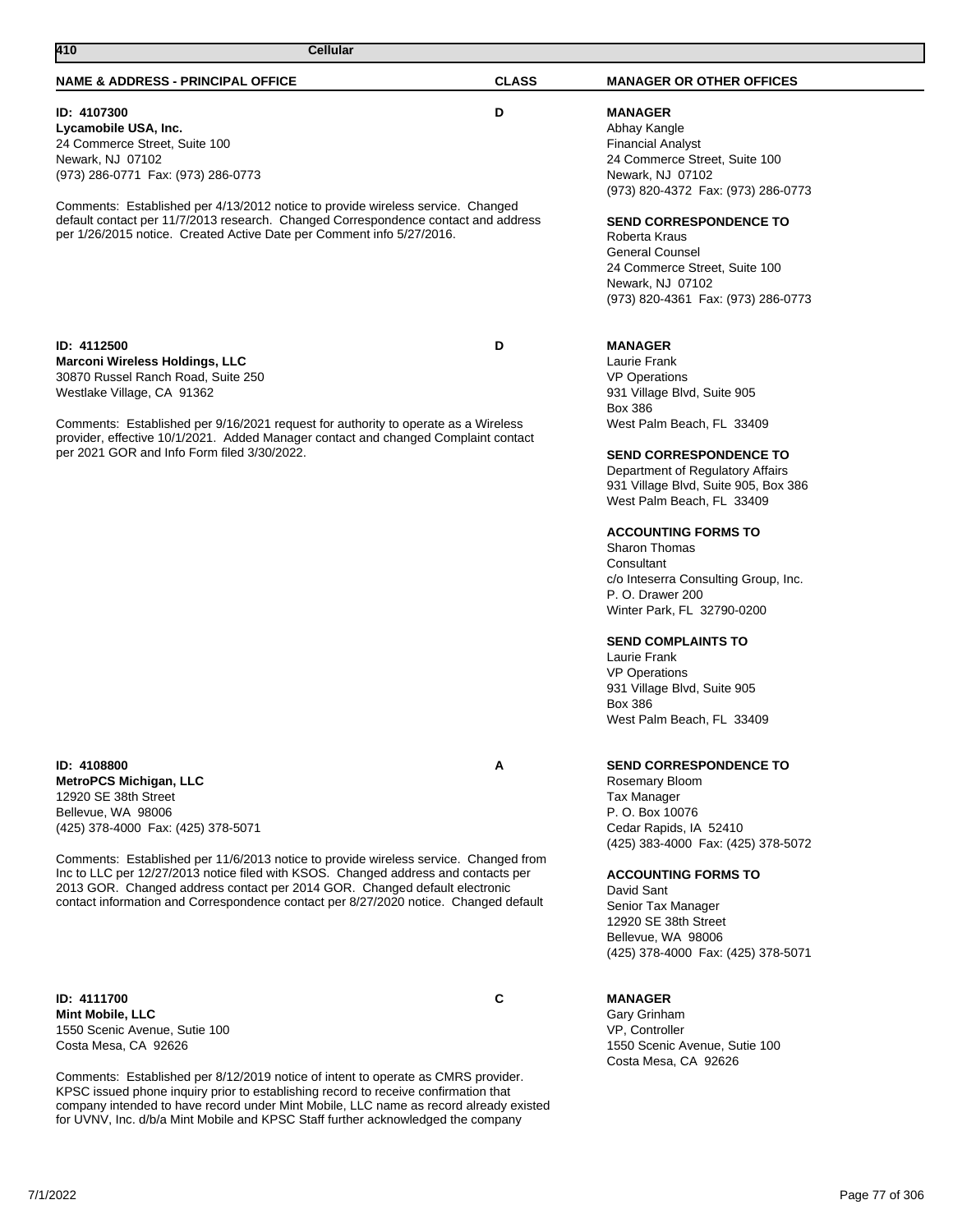# **ID: 4107300 D**

**Lycamobile USA, Inc.** 24 Commerce Street, Suite 100 Newark, NJ 07102 (973) 286-0771 Fax: (973) 286-0773

Comments: Established per 4/13/2012 notice to provide wireless service. Changed default contact per 11/7/2013 research. Changed Correspondence contact and address per 1/26/2015 notice. Created Active Date per Comment info 5/27/2016.

# **ID: 4112500 D Marconi Wireless Holdings, LLC**

30870 Russel Ranch Road, Suite 250 Westlake Village, CA 91362

Comments: Established per 9/16/2021 request for authority to operate as a Wireless provider, effective 10/1/2021. Added Manager contact and changed Complaint contact per 2021 GOR and Info Form filed 3/30/2022.

**ID: 4108800 A MetroPCS Michigan, LLC** 12920 SE 38th Street Bellevue, WA 98006 (425) 378-4000 Fax: (425) 378-5071

Comments: Established per 11/6/2013 notice to provide wireless service. Changed from Inc to LLC per 12/27/2013 notice filed with KSOS. Changed address and contacts per 2013 GOR. Changed address contact per 2014 GOR. Changed default electronic contact information and Correspondence contact per 8/27/2020 notice. Changed default

**ID: 4111700 C Mint Mobile, LLC** 1550 Scenic Avenue, Sutie 100 Costa Mesa, CA 92626

Comments: Established per 8/12/2019 notice of intent to operate as CMRS provider. KPSC issued phone inquiry prior to establishing record to receive confirmation that company intended to have record under Mint Mobile, LLC name as record already existed for UVNV, Inc. d/b/a Mint Mobile and KPSC Staff further acknowledged the company

# **ACCOUNTING FORMS TO**

931 Village Blvd, Suite 905

West Palm Beach, FL 33409

**SEND CORRESPONDENCE TO** Department of Regulatory Affairs 931 Village Blvd, Suite 905, Box 386 West Palm Beach, FL 33409

Sharon Thomas **Consultant** c/o Inteserra Consulting Group, Inc. P. O. Drawer 200 Winter Park, FL 32790-0200

# **SEND COMPLAINTS TO**

Laurie Frank VP Operations 931 Village Blvd, Suite 905 Box 386 West Palm Beach, FL 33409

# **SEND CORRESPONDENCE TO**

Rosemary Bloom Tax Manager P. O. Box 10076 Cedar Rapids, IA 52410 (425) 383-4000 Fax: (425) 378-5072

#### **ACCOUNTING FORMS TO**

David Sant Senior Tax Manager 12920 SE 38th Street Bellevue, WA 98006 (425) 378-4000 Fax: (425) 378-5071

### **MANAGER**

Gary Grinham VP, Controller 1550 Scenic Avenue, Sutie 100 Costa Mesa, CA 92626

24 Commerce Street, Suite 100

**SEND CORRESPONDENCE TO**

24 Commerce Street, Suite 100

(973) 820-4361 Fax: (973) 286-0773

(973) 820-4372 Fax: (973) 286-0773

**MANAGER** Abhay Kangle Financial Analyst

Newark, NJ 07102

Newark, NJ 07102

Roberta Kraus General Counsel

**MANAGER** Laurie Frank VP Operations

Box 386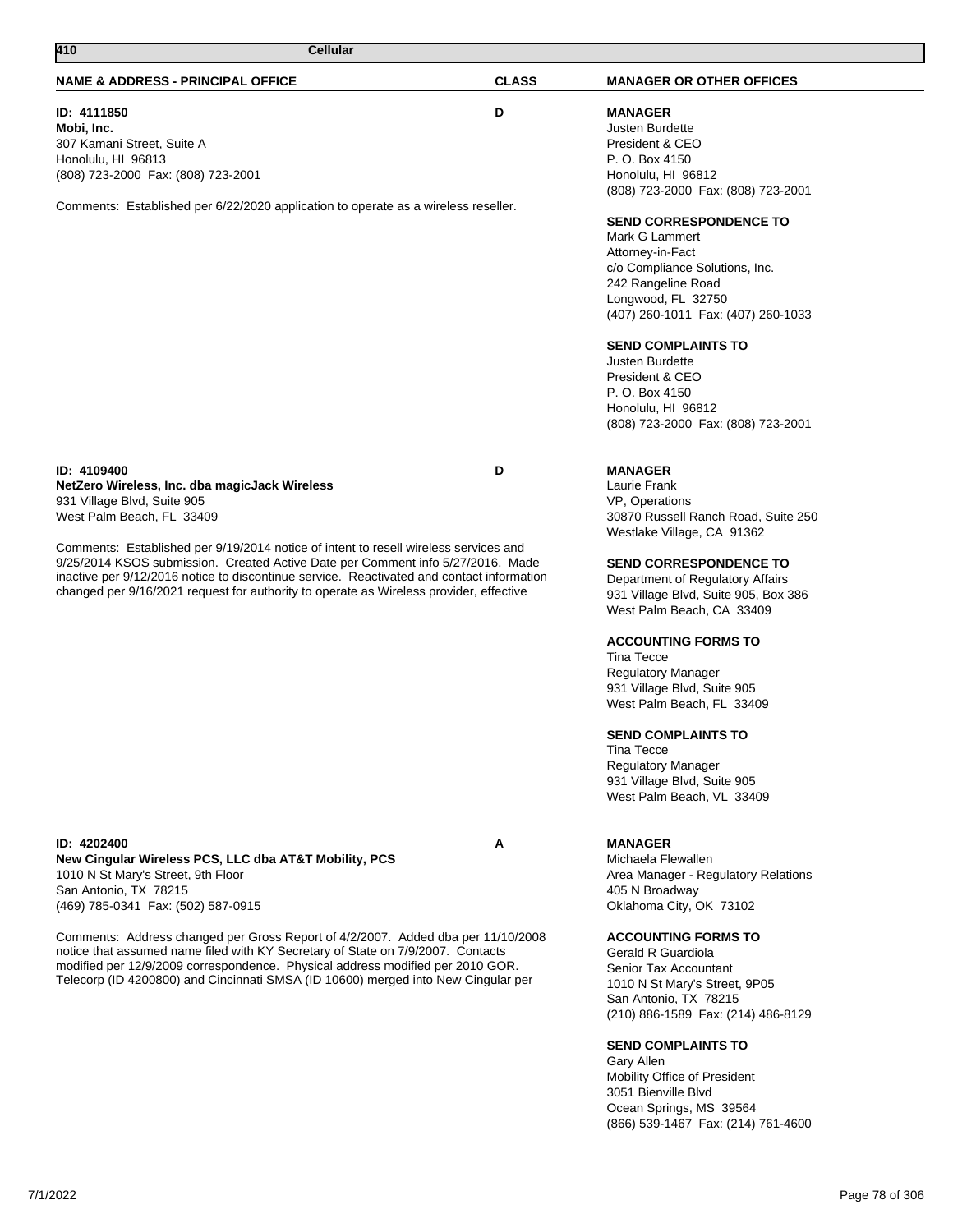**New Cingular Wireless PCS, LLC dba AT&T Mobility, PCS** 1010 N St Mary's Street, 9th Floor San Antonio, TX 78215 (469) 785-0341 Fax: (502) 587-0915

Comments: Address changed per Gross Report of 4/2/2007. Added dba per 11/10/2008 notice that assumed name filed with KY Secretary of State on 7/9/2007. Contacts modified per 12/9/2009 correspondence. Physical address modified per 2010 GOR. Telecorp (ID 4200800) and Cincinnati SMSA (ID 10600) merged into New Cingular per

**ID: 4202400 A**

### **NAME & ADDRESS - PRINCIPAL OFFICE CLASS MANAGER OR OTHER OFFICES**

**MANAGER** Justen Burdette President & CEO P. O. Box 4150 lonolulu, HI 96812 (808) 723-2000 Fax: (808) 723-2001

#### **SEND CORRESPONDENCE TO**

Mark G Lammert Attorney-in-Fact /o Compliance Solutions, Inc. 242 Rangeline Road Longwood, FL 32750 (407) 260-1011 Fax: (407) 260-1033

#### **SEND COMPLAINTS TO**

usten Burdette President & CEO . O. Box 4150 lonolulu, HI 96812 (808) 723-2000 Fax: (808) 723-2001

# **MANAGER**

Laurie Frank VP, Operations 30870 Russell Ranch Road, Suite 250 Westlake Village, CA 91362

#### **SEND CORRESPONDENCE TO**

epartment of Regulatory Affairs 931 Village Blvd, Suite 905, Box 386 West Palm Beach, CA 33409

# **ACCOUNTING FORMS TO**

Tina Tecce Regulatory Manager 931 Village Blvd, Suite 905 West Palm Beach, FL 33409

#### **SEND COMPLAINTS TO**

Tina Tecce Regulatory Manager 931 Village Blvd, Suite 905 West Palm Beach, VL 33409

# **MANAGER**

Michaela Flewallen Area Manager - Regulatory Relations 405 N Broadway Oklahoma City, OK 73102

# **ACCOUNTING FORMS TO**

Gerald R Guardiola Senior Tax Accountant 1010 N St Mary's Street, 9P05 San Antonio, TX 78215 (210) 886-1589 Fax: (214) 486-8129

#### **SEND COMPLAINTS TO**

Gary Allen Mobility Office of President 3051 Bienville Blvd Ocean Springs, MS 39564 (866) 539-1467 Fax: (214) 761-4600

| ID: 4111850<br>Mobi, Inc.<br>307 Kamani Street, Suite A<br>Honolulu, HI 96813<br>(808) 723-2000 Fax: (808) 723-2001                                                                                                                                                                                                                                            | D | N<br>J<br>P<br>P<br>Н                                              |
|----------------------------------------------------------------------------------------------------------------------------------------------------------------------------------------------------------------------------------------------------------------------------------------------------------------------------------------------------------------|---|--------------------------------------------------------------------|
| Comments: Established per 6/22/2020 application to operate as a wireless reseller.                                                                                                                                                                                                                                                                             |   | (8<br>S<br>N<br>A<br>C,<br>$\overline{2}$<br>L<br>$\left( \right)$ |
|                                                                                                                                                                                                                                                                                                                                                                |   | S<br>J<br>P<br>P<br>Н<br>(8                                        |
| ID: 4109400<br>NetZero Wireless, Inc. dba magicJack Wireless<br>931 Village Blvd, Suite 905<br>West Palm Beach, FL 33409                                                                                                                                                                                                                                       | D | N<br>L<br>$\vee$<br>3<br>V                                         |
| Comments: Established per 9/19/2014 notice of intent to resell wireless services and<br>9/25/2014 KSOS submission. Created Active Date per Comment info 5/27/2016. Made<br>inactive per 9/12/2016 notice to discontinue service. Reactivated and contact information<br>changed per 9/16/2021 request for authority to operate as Wireless provider, effective |   | S<br>D<br>9                                                        |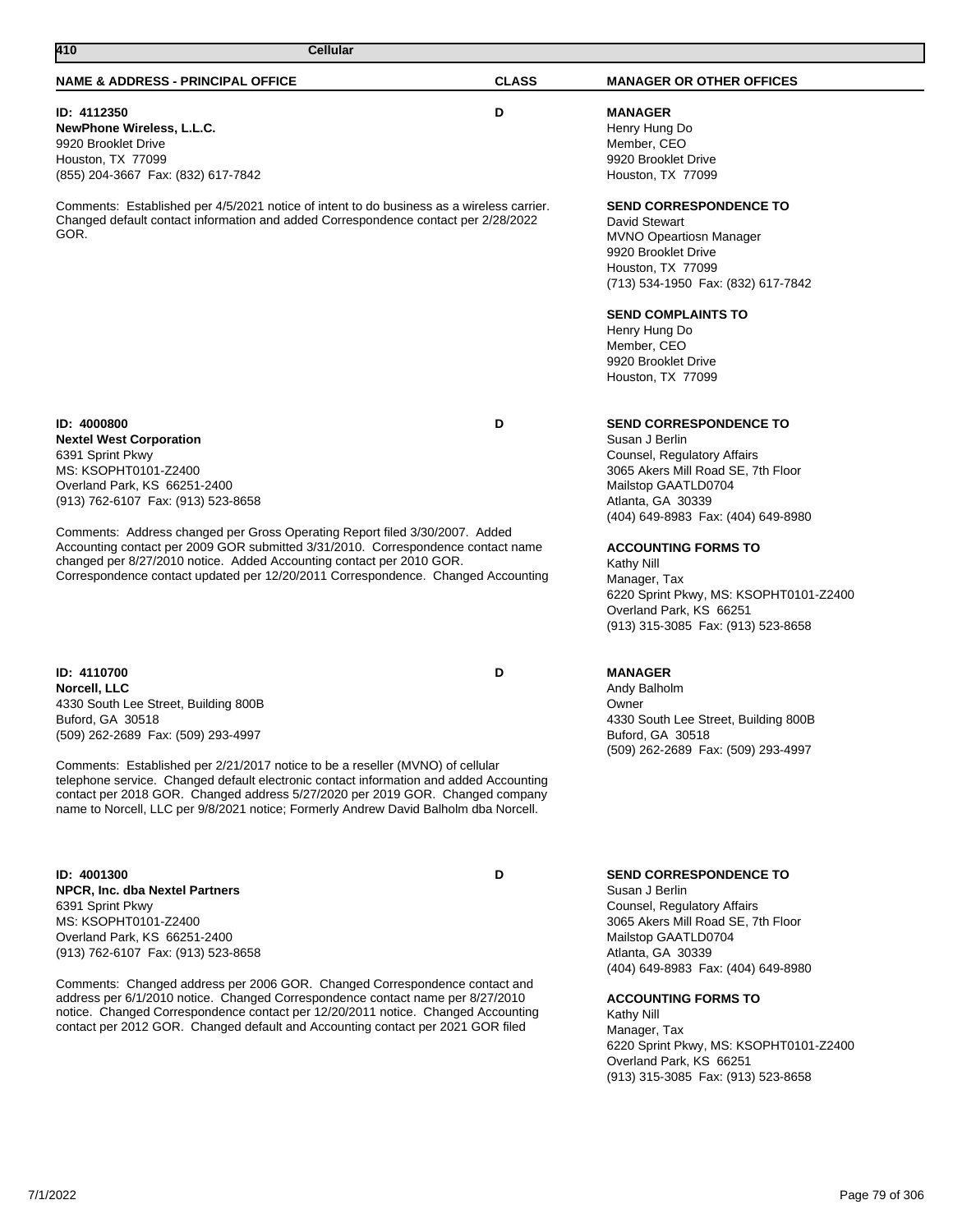# **NAME & ADDRESS - PRINCIPAL OFFICE CLASS MANAGER OR OTHER OFFICES 410 Cellular ID: 4112350 D NewPhone Wireless, L.L.C.** 9920 Brooklet Drive Houston, TX 77099 (855) 204-3667 Fax: (832) 617-7842 Comments: Established per 4/5/2021 notice of intent to do business as a wireless carrier. Changed default contact information and added Correspondence contact per 2/28/2022 GOR. **MANAGER** Henry Hung Do Member, CEO 9920 Brooklet Drive Houston, TX 77099 **SEND CORRESPONDENCE TO** David Stewart MVNO Opeartiosn Manager 9920 Brooklet Drive Houston, TX 77099 (713) 534-1950 Fax: (832) 617-7842 **SEND COMPLAINTS TO** Henry Hung Do Member, CEO 9920 Brooklet Drive Houston, TX 77099 **ID: 4000800 D Nextel West Corporation** 6391 Sprint Pkwy MS: KSOPHT0101-Z2400 Overland Park, KS 66251-2400 (913) 762-6107 Fax: (913) 523-8658 Comments: Address changed per Gross Operating Report filed 3/30/2007. Added Accounting contact per 2009 GOR submitted 3/31/2010. Correspondence contact name changed per 8/27/2010 notice. Added Accounting contact per 2010 GOR. Correspondence contact updated per 12/20/2011 Correspondence. Changed Accounting **SEND CORRESPONDENCE TO** Susan J Berlin Counsel, Regulatory Affairs 3065 Akers Mill Road SE, 7th Floor Mailstop GAATLD0704 Atlanta, GA 30339 (404) 649-8983 Fax: (404) 649-8980 **ACCOUNTING FORMS TO** Kathy Nill Manager, Tax 6220 Sprint Pkwy, MS: KSOPHT0101-Z2400 Overland Park, KS 66251 (913) 315-3085 Fax: (913) 523-8658 **ID: 4110700 D Norcell, LLC** 4330 South Lee Street, Building 800B Buford, GA 30518 (509) 262-2689 Fax: (509) 293-4997 Comments: Established per 2/21/2017 notice to be a reseller (MVNO) of cellular telephone service. Changed default electronic contact information and added Accounting contact per 2018 GOR. Changed address 5/27/2020 per 2019 GOR. Changed company name to Norcell, LLC per 9/8/2021 notice; Formerly Andrew David Balholm dba Norcell. **MANAGER** Andy Balholm Owner 4330 South Lee Street, Building 800B Buford, GA 30518 (509) 262-2689 Fax: (509) 293-4997

**ID: 4001300 D NPCR, Inc. dba Nextel Partners** 6391 Sprint Pkwy MS: KSOPHT0101-Z2400 Overland Park, KS 66251-2400 (913) 762-6107 Fax: (913) 523-8658

Comments: Changed address per 2006 GOR. Changed Correspondence contact and address per 6/1/2010 notice. Changed Correspondence contact name per 8/27/2010 notice. Changed Correspondence contact per 12/20/2011 notice. Changed Accounting contact per 2012 GOR. Changed default and Accounting contact per 2021 GOR filed

# **SEND CORRESPONDENCE TO**

Susan J Berlin Counsel, Regulatory Affairs 3065 Akers Mill Road SE, 7th Floor Mailstop GAATLD0704 Atlanta, GA 30339 (404) 649-8983 Fax: (404) 649-8980

### **ACCOUNTING FORMS TO**

Kathy Nill Manager, Tax 6220 Sprint Pkwy, MS: KSOPHT0101-Z2400 Overland Park, KS 66251 (913) 315-3085 Fax: (913) 523-8658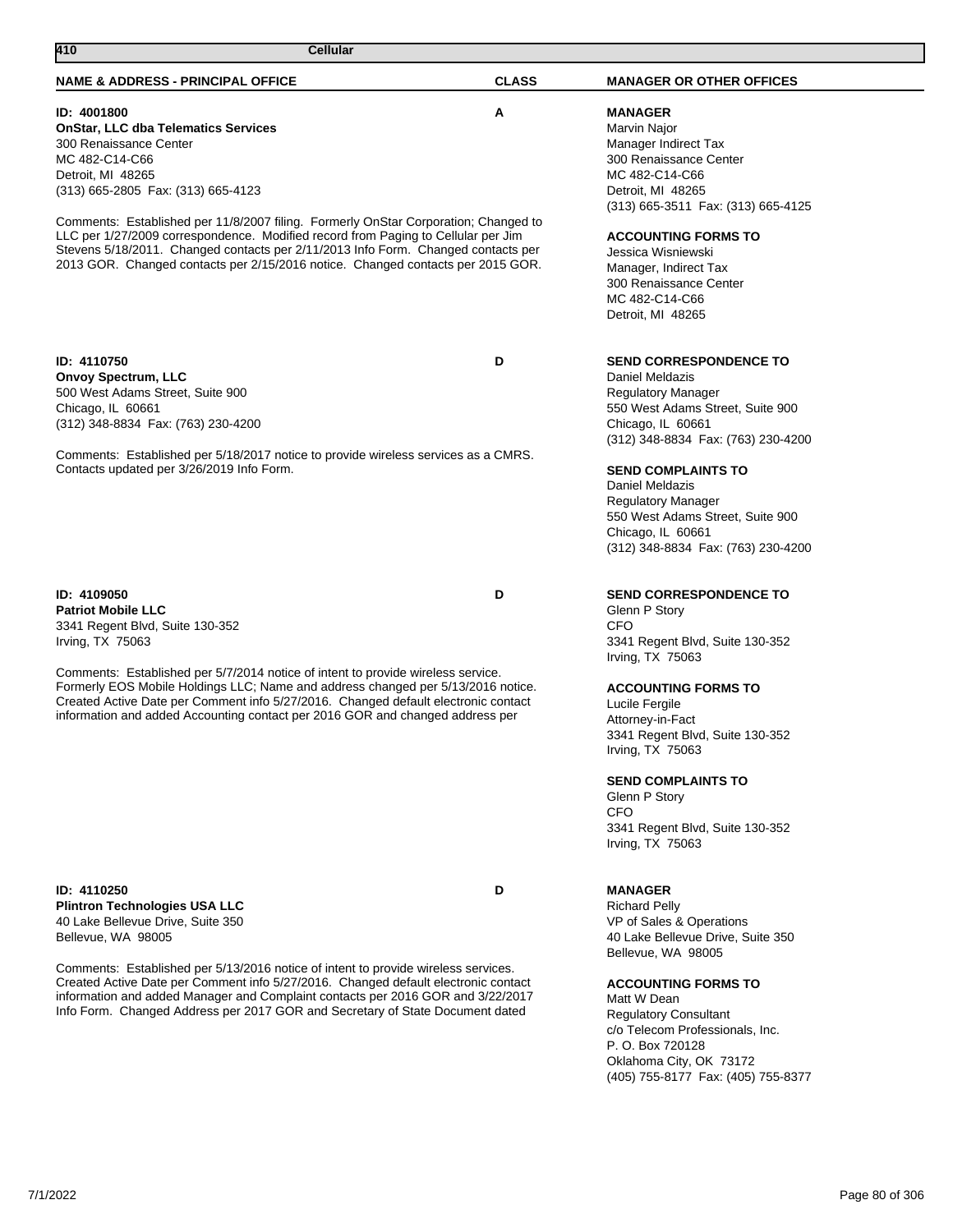# Comments: Established per 5/13/2016 notice of intent to provide wireless services. Created Active Date per Comment info 5/27/2016. Changed default electronic contact information and added Manager and Complaint contacts per 2016 GOR and 3/22/2017 Info Form. Changed Address per 2017 GOR and Secretary of State Document dated

**ID: 4110250 D**

Comments: Established per 5/7/2014 notice of intent to provide wireless service. Formerly EOS Mobile Holdings LLC; Name and address changed per 5/13/2016 notice. Created Active Date per Comment info 5/27/2016. Changed default electronic contact information and added Accounting contact per 2016 GOR and changed address per

**ID: 4109050 D Patriot Mobile LLC** 3341 Regent Blvd, Suite 130-352 Irving, TX 75063

**Plintron Technologies USA LLC** 40 Lake Bellevue Drive, Suite 350

Bellevue, WA 98005

500 West Adams Street, Suite 900 Chicago, IL 60661 (312) 348-8834 Fax: (763) 230-4200

**ID: 4110750 D**

**ID: 4001800 A**

MC 482-C14-C66 Detroit, MI 48265 (313) 665-2805 Fax: (313) 665-4123

**410 Cellular** 

**OnStar, LLC dba Telematics Services**

300 Renaissance Center

**Onvoy Spectrum, LLC**

Comments: Established per 11/8/2007 filing. Formerly OnStar Corporation; Changed to LLC per 1/27/2009 correspondence. Modified record from Paging to Cellular per Jim Stevens 5/18/2011. Changed contacts per 2/11/2013 Info Form. Changed contacts per 2013 GOR. Changed contacts per 2/15/2016 notice. Changed contacts per 2015 GOR.

**NAME & ADDRESS - PRINCIPAL OFFICE CLASS MANAGER OR OTHER OFFICES**

Comments: Established per 5/18/2017 notice to provide wireless services as a CMRS. Contacts updated per 3/26/2019 Info Form.

Marvin Najor Manager Indirect Tax 300 Renaissance Center MC 482-C14-C66 Detroit, MI 48265 (313) 665-3511 Fax: (313) 665-4125

# **ACCOUNTING FORMS TO**

**MANAGER**

Jessica Wisniewski Manager, Indirect Tax 300 Renaissance Center MC 482-C14-C66 Detroit, MI 48265

**SEND CORRESPONDENCE TO**

Daniel Meldazis Regulatory Manager 550 West Adams Street, Suite 900 Chicago, IL 60661 (312) 348-8834 Fax: (763) 230-4200

# **SEND COMPLAINTS TO**

Daniel Meldazis Regulatory Manager 550 West Adams Street, Suite 900 Chicago, IL 60661 (312) 348-8834 Fax: (763) 230-4200

# **SEND CORRESPONDENCE TO**

Glenn P Story CFO 3341 Regent Blvd, Suite 130-352 Irving, TX 75063

# **ACCOUNTING FORMS TO**

Lucile Fergile Attorney-in-Fact 3341 Regent Blvd, Suite 130-352 Irving, TX 75063

# **SEND COMPLAINTS TO**

Glenn P Story C<sub>FO</sub> 3341 Regent Blvd, Suite 130-352 Irving, TX 75063

# **MANAGER**

Richard Pelly VP of Sales & Operations 40 Lake Bellevue Drive, Suite 350 Bellevue, WA 98005

# **ACCOUNTING FORMS TO**

Matt W Dean Regulatory Consultant c/o Telecom Professionals, Inc. P. O. Box 720128 Oklahoma City, OK 73172 (405) 755-8177 Fax: (405) 755-8377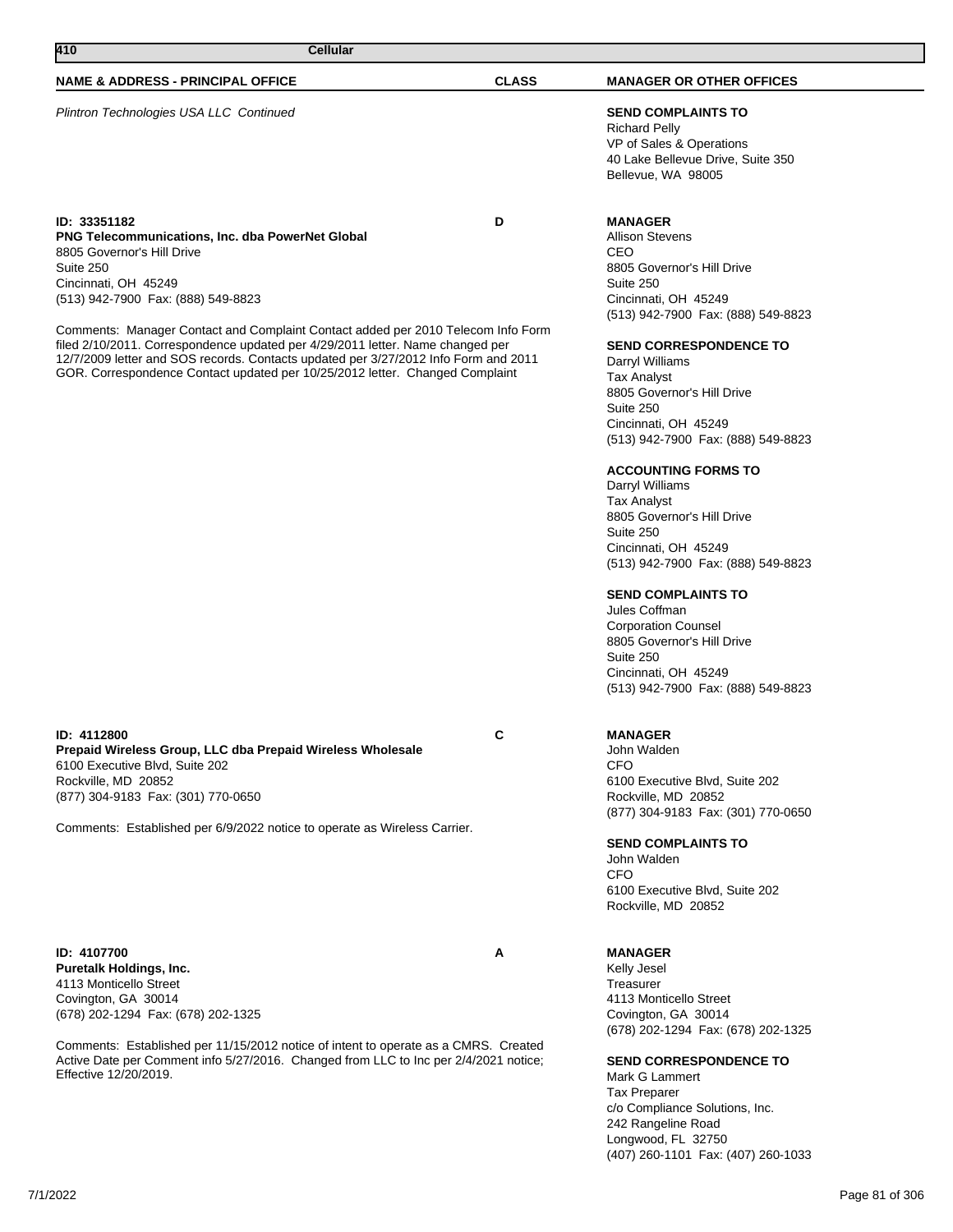Plintron Technologies USA LLC Continued **SEND COMPLAINTS TO**

**ID: 33351182 D PNG Telecommunications, Inc. dba PowerNet Global** 8805 Governor's Hill Drive Suite 250 Cincinnati, OH 45249 (513) 942-7900 Fax: (888) 549-8823

Comments: Manager Contact and Complaint Contact added per 2010 Telecom Info Form filed 2/10/2011. Correspondence updated per 4/29/2011 letter. Name changed per 12/7/2009 letter and SOS records. Contacts updated per 3/27/2012 Info Form and 2011 GOR. Correspondence Contact updated per 10/25/2012 letter. Changed Complaint

**ID: 4112800 C Prepaid Wireless Group, LLC dba Prepaid Wireless Wholesale** 6100 Executive Blvd, Suite 202 Rockville, MD 20852 (877) 304-9183 Fax: (301) 770-0650

Comments: Established per 6/9/2022 notice to operate as Wireless Carrier.

**ID: 4107700 A Puretalk Holdings, Inc.** 4113 Monticello Street Covington, GA 30014 (678) 202-1294 Fax: (678) 202-1325

Comments: Established per 11/15/2012 notice of intent to operate as a CMRS. Created Active Date per Comment info 5/27/2016. Changed from LLC to Inc per 2/4/2021 notice; Effective 12/20/2019.

Richard Pelly VP of Sales & Operations 40 Lake Bellevue Drive, Suite 350 Bellevue, WA 98005

# **MANAGER**

Allison Stevens CEO 8805 Governor's Hill Drive Suite 250 Cincinnati, OH 45249 (513) 942-7900 Fax: (888) 549-8823

#### **SEND CORRESPONDENCE TO**

Darryl Williams Tax Analyst 8805 Governor's Hill Drive Suite 250 Cincinnati, OH 45249 (513) 942-7900 Fax: (888) 549-8823

# **ACCOUNTING FORMS TO**

Darryl Williams Tax Analyst 8805 Governor's Hill Drive Suite 250 Cincinnati, OH 45249 (513) 942-7900 Fax: (888) 549-8823

# **SEND COMPLAINTS TO**

Jules Coffman Corporation Counsel 8805 Governor's Hill Drive Suite 250 Cincinnati, OH 45249 (513) 942-7900 Fax: (888) 549-8823

**MANAGER**

John Walden

CFO 6100 Executive Blvd, Suite 202 Rockville, MD 20852 (877) 304-9183 Fax: (301) 770-0650

**SEND COMPLAINTS TO**

John Walden CFO 6100 Executive Blvd, Suite 202 Rockville, MD 20852

# **MANAGER**

Kelly Jesel Treasurer 4113 Monticello Street Covington, GA 30014 (678) 202-1294 Fax: (678) 202-1325

**SEND CORRESPONDENCE TO**

Mark G Lammert Tax Preparer c/o Compliance Solutions, Inc. 242 Rangeline Road Longwood, FL 32750 (407) 260-1101 Fax: (407) 260-1033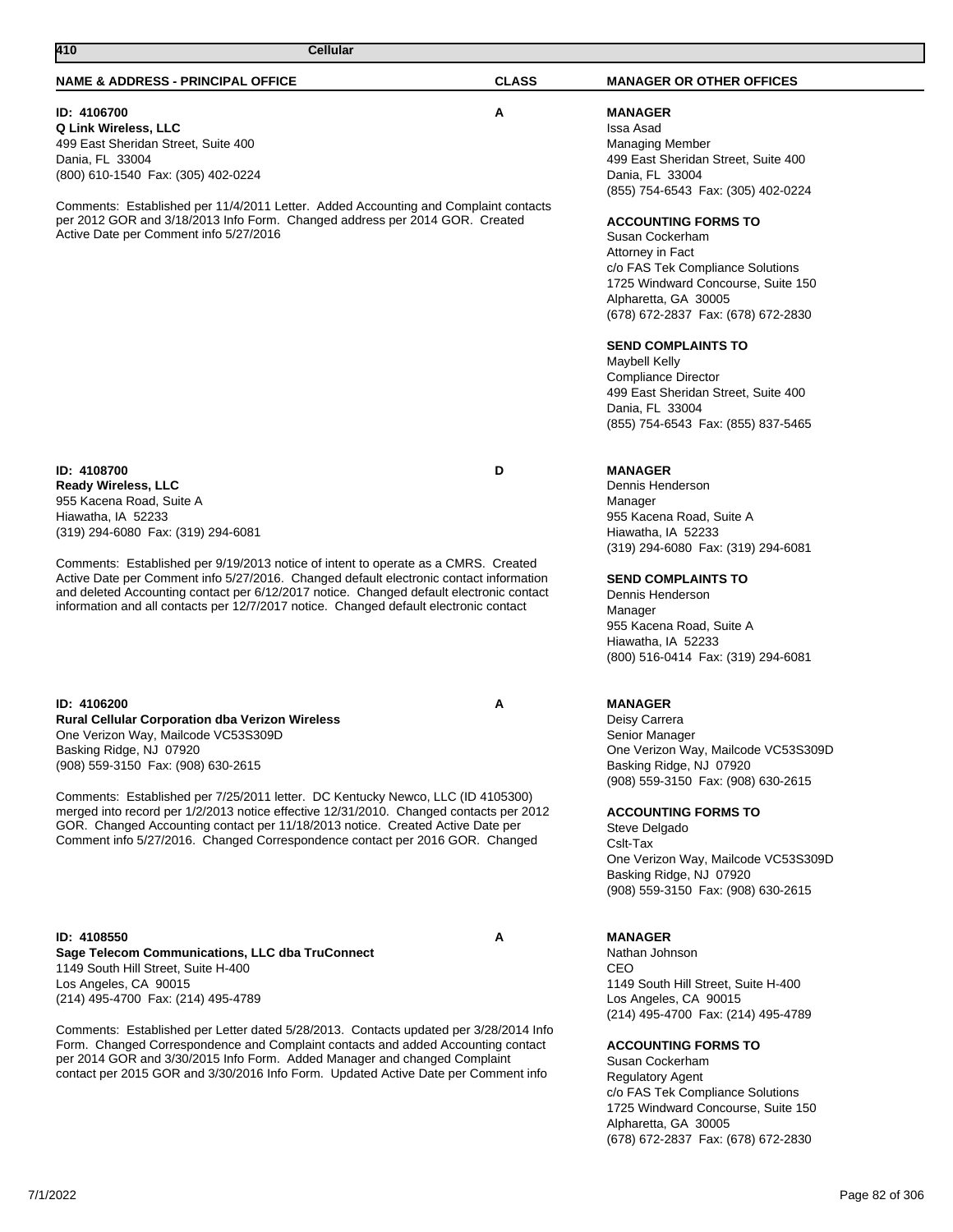# **ID: 4106700 A**

**Q Link Wireless, LLC** 499 East Sheridan Street, Suite 400 Dania, FL 33004 (800) 610-1540 Fax: (305) 402-0224

Comments: Established per 11/4/2011 Letter. Added Accounting and Complaint contacts per 2012 GOR and 3/18/2013 Info Form. Changed address per 2014 GOR. Created Active Date per Comment info 5/27/2016

**ID: 4108700 D Ready Wireless, LLC** 955 Kacena Road, Suite A Hiawatha, IA 52233 (319) 294-6080 Fax: (319) 294-6081

Comments: Established per 9/19/2013 notice of intent to operate as a CMRS. Created Active Date per Comment info 5/27/2016. Changed default electronic contact information and deleted Accounting contact per 6/12/2017 notice. Changed default electronic contact information and all contacts per 12/7/2017 notice. Changed default electronic contact

**ID: 4106200 A Rural Cellular Corporation dba Verizon Wireless** One Verizon Way, Mailcode VC53S309D Basking Ridge, NJ 07920 (908) 559-3150 Fax: (908) 630-2615

Comments: Established per 7/25/2011 letter. DC Kentucky Newco, LLC (ID 4105300) merged into record per 1/2/2013 notice effective 12/31/2010. Changed contacts per 2012 GOR. Changed Accounting contact per 11/18/2013 notice. Created Active Date per Comment info 5/27/2016. Changed Correspondence contact per 2016 GOR. Changed

### **ID: 4108550 A Sage Telecom Communications, LLC dba TruConnect** 1149 South Hill Street, Suite H-400 Los Angeles, CA 90015 (214) 495-4700 Fax: (214) 495-4789

Comments: Established per Letter dated 5/28/2013. Contacts updated per 3/28/2014 Info Form. Changed Correspondence and Complaint contacts and added Accounting contact per 2014 GOR and 3/30/2015 Info Form. Added Manager and changed Complaint contact per 2015 GOR and 3/30/2016 Info Form. Updated Active Date per Comment info

# **MANAGER**

Issa Asad Managing Member 499 East Sheridan Street, Suite 400 Dania, FL 33004 (855) 754-6543 Fax: (305) 402-0224

### **ACCOUNTING FORMS TO**

Susan Cockerham Attorney in Fact c/o FAS Tek Compliance Solutions 1725 Windward Concourse, Suite 150 Alpharetta, GA 30005 (678) 672-2837 Fax: (678) 672-2830

#### **SEND COMPLAINTS TO**

Maybell Kelly Compliance Director 499 East Sheridan Street, Suite 400 Dania, FL 33004 (855) 754-6543 Fax: (855) 837-5465

# **MANAGER**

Dennis Henderson Manager 955 Kacena Road, Suite A Hiawatha, IA 52233 (319) 294-6080 Fax: (319) 294-6081

#### **SEND COMPLAINTS TO**

Dennis Henderson Manager 955 Kacena Road, Suite A Hiawatha, IA 52233 (800) 516-0414 Fax: (319) 294-6081

# **MANAGER**

Deisy Carrera Senior Manager One Verizon Way, Mailcode VC53S309D Basking Ridge, NJ 07920 (908) 559-3150 Fax: (908) 630-2615

#### **ACCOUNTING FORMS TO**

Steve Delgado Cslt-Tax One Verizon Way, Mailcode VC53S309D Basking Ridge, NJ 07920 (908) 559-3150 Fax: (908) 630-2615

# **MANAGER**

Nathan Johnson CEO 1149 South Hill Street, Suite H-400 Los Angeles, CA 90015 (214) 495-4700 Fax: (214) 495-4789

# **ACCOUNTING FORMS TO**

Susan Cockerham Regulatory Agent c/o FAS Tek Compliance Solutions 1725 Windward Concourse, Suite 150 Alpharetta, GA 30005 (678) 672-2837 Fax: (678) 672-2830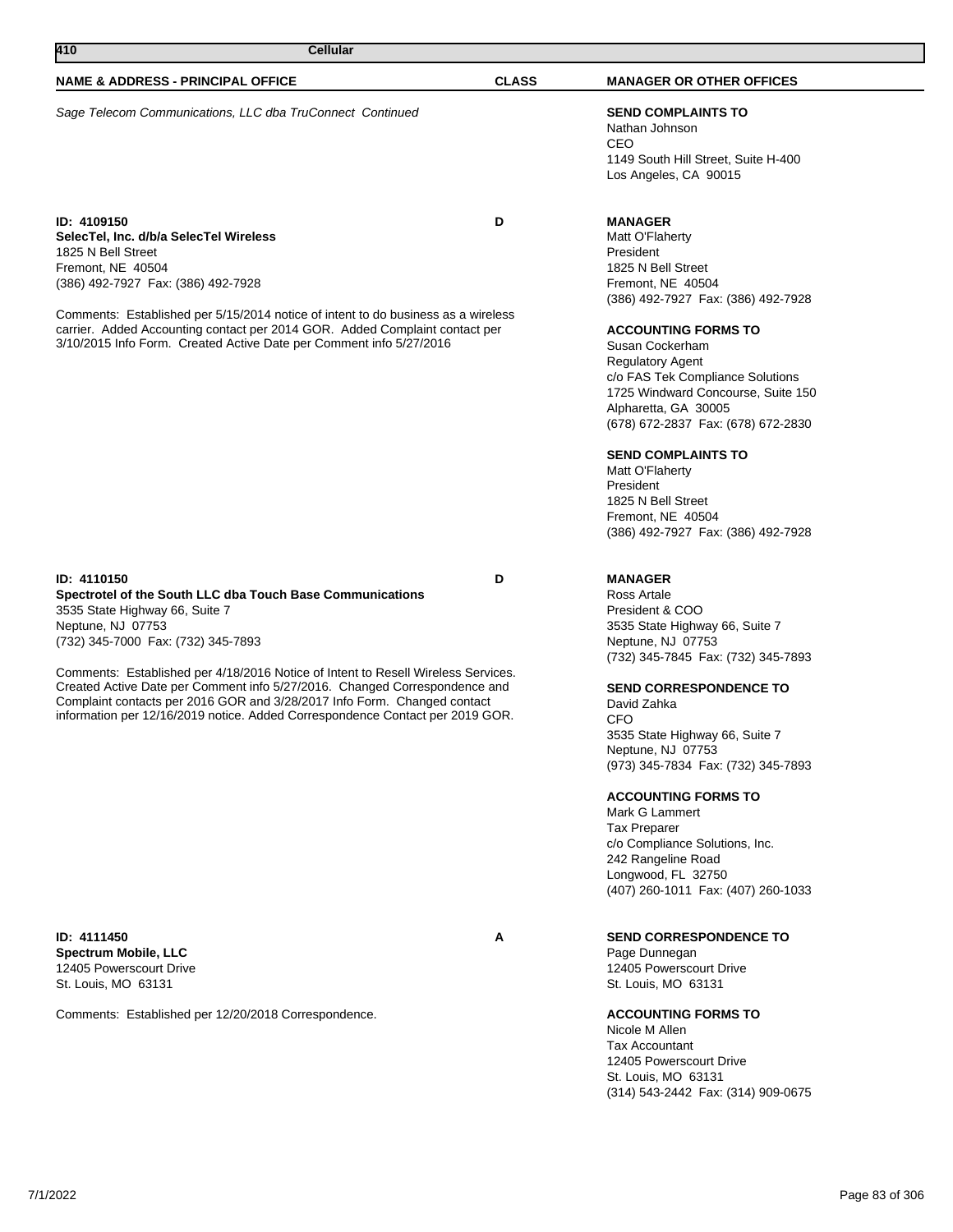| 410<br>Cellular                                                                                                                                                                                                                                                                                                                                                                          |              |                                                                                                                                                                                                                                                                                                                                                                                                                                                                                                   |
|------------------------------------------------------------------------------------------------------------------------------------------------------------------------------------------------------------------------------------------------------------------------------------------------------------------------------------------------------------------------------------------|--------------|---------------------------------------------------------------------------------------------------------------------------------------------------------------------------------------------------------------------------------------------------------------------------------------------------------------------------------------------------------------------------------------------------------------------------------------------------------------------------------------------------|
| <b>NAME &amp; ADDRESS - PRINCIPAL OFFICE</b>                                                                                                                                                                                                                                                                                                                                             | <b>CLASS</b> | <b>MANAGER OR OTHER OFFICES</b>                                                                                                                                                                                                                                                                                                                                                                                                                                                                   |
| Sage Telecom Communications, LLC dba TruConnect Continued                                                                                                                                                                                                                                                                                                                                |              | <b>SEND COMPLAINTS TO</b><br>Nathan Johnson<br>CEO<br>1149 South Hill Street, Suite H-400<br>Los Angeles, CA 90015                                                                                                                                                                                                                                                                                                                                                                                |
| <b>ID: 4109150</b><br>SelecTel, Inc. d/b/a SelecTel Wireless<br>1825 N Bell Street<br>Fremont, NE 40504<br>(386) 492-7927 Fax: (386) 492-7928<br>Comments: Established per 5/15/2014 notice of intent to do business as a wireless<br>carrier. Added Accounting contact per 2014 GOR. Added Complaint contact per<br>3/10/2015 Info Form. Created Active Date per Comment info 5/27/2016 | D            | <b>MANAGER</b><br>Matt O'Flaherty<br>President<br>1825 N Bell Street<br>Fremont, NE 40504<br>(386) 492-7927 Fax: (386) 492-7928<br><b>ACCOUNTING FORMS TO</b><br>Susan Cockerham<br><b>Regulatory Agent</b><br>c/o FAS Tek Compliance Solutions<br>1725 Windward Concourse, Suite 150<br>Alpharetta, GA 30005<br>(678) 672-2837 Fax: (678) 672-2830<br><b>SEND COMPLAINTS TO</b><br>Matt O'Flaherty<br>President<br>1825 N Bell Street<br>Fremont, NE 40504<br>(386) 492-7927 Fax: (386) 492-7928 |
| ID: 4110150<br>Spectrotel of the South LLC dba Touch Base Communications<br>3535 State Highway 66, Suite 7<br>Neptune, NJ 07753<br>(732) 345-7000 Fax: (732) 345-7893                                                                                                                                                                                                                    | D            | <b>MANAGER</b><br>Ross Artale<br>President & COO<br>3535 State Highway 66, Suite 7<br>Neptune, NJ 07753                                                                                                                                                                                                                                                                                                                                                                                           |
| Comments: Established per 4/18/2016 Notice of Intent to Resell Wireless Services.<br>Created Active Date per Comment info 5/27/2016. Changed Correspondence and<br>Complaint contacts per 2016 GOR and 3/28/2017 Info Form. Changed contact<br>information per 12/16/2019 notice. Added Correspondence Contact per 2019 GOR.                                                             |              | (732) 345-7845 Fax: (732) 345-7893<br><b>SEND CORRESPONDENCE TO</b><br>David Zahka<br>CFO<br>3535 State Highway 66, Suite 7<br>Neptune, NJ 07753<br>(973) 345-7834 Fax: (732) 345-7893<br><b>ACCOUNTING FORMS TO</b><br>Mark G Lammert<br><b>Tax Preparer</b><br>c/o Compliance Solutions, Inc.<br>242 Rangeline Road<br>Longwood, FL 32750<br>(407) 260-1011 Fax: (407) 260-1033                                                                                                                 |
| ID: 4111450<br><b>Spectrum Mobile, LLC</b><br>12405 Powerscourt Drive<br>St. Louis, MO 63131                                                                                                                                                                                                                                                                                             | Α            | <b>SEND CORRESPONDENCE TO</b><br>Page Dunnegan<br>12405 Powerscourt Drive<br>St. Louis, MO 63131                                                                                                                                                                                                                                                                                                                                                                                                  |
| Comments: Established per 12/20/2018 Correspondence.                                                                                                                                                                                                                                                                                                                                     |              | <b>ACCOUNTING FORMS TO</b><br>Nicole M Allen<br><b>Tax Accountant</b>                                                                                                                                                                                                                                                                                                                                                                                                                             |

12405 Powerscourt Drive St. Louis, MO 63131 (314) 543-2442 Fax: (314) 909-0675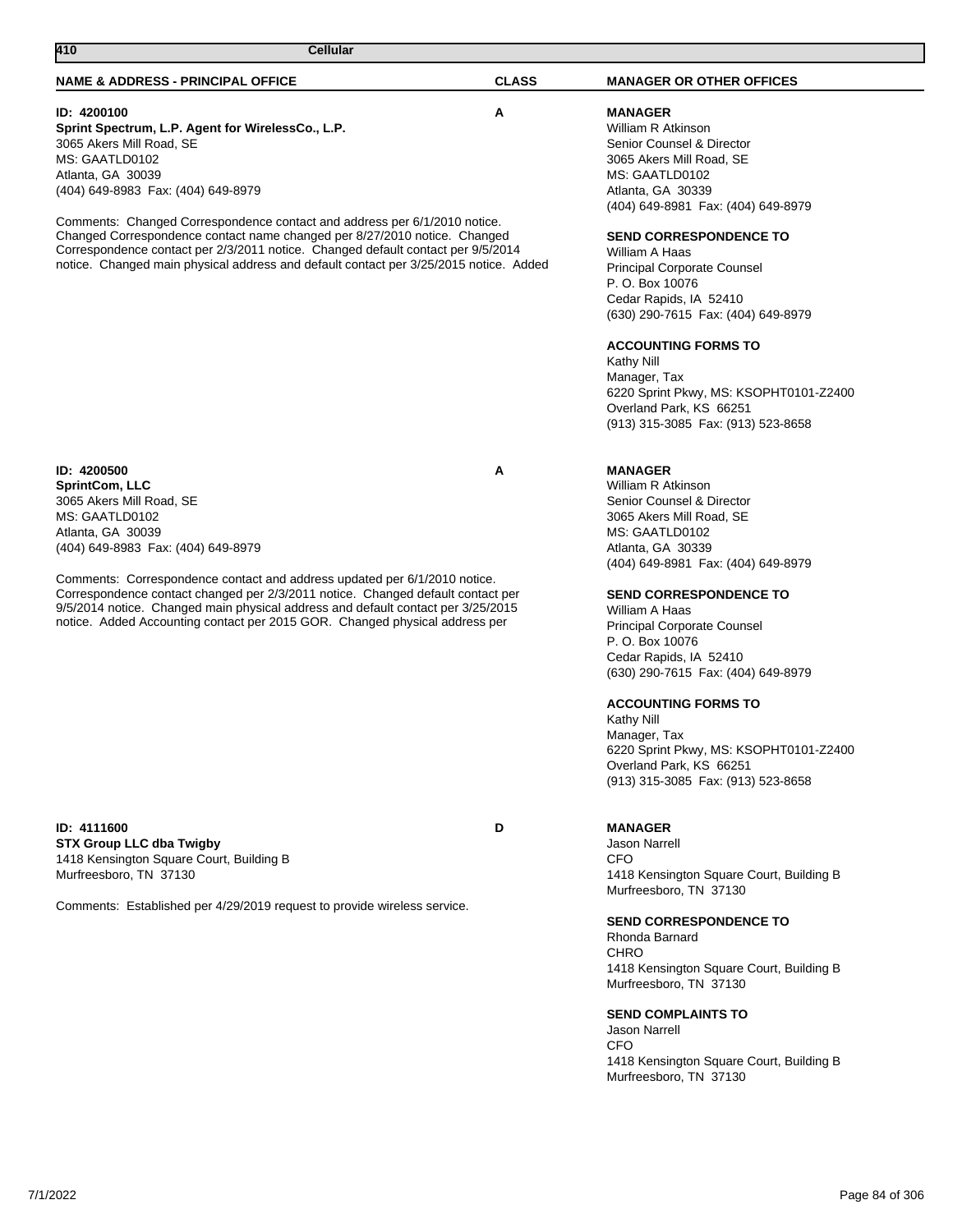# **ID: 4200100 A**

**Sprint Spectrum, L.P. Agent for WirelessCo., L.P.** 3065 Akers Mill Road, SE MS: GAATLD0102 Atlanta, GA 30039 (404) 649-8983 Fax: (404) 649-8979

Comments: Changed Correspondence contact and address per 6/1/2010 notice. Changed Correspondence contact name changed per 8/27/2010 notice. Changed Correspondence contact per 2/3/2011 notice. Changed default contact per 9/5/2014 notice. Changed main physical address and default contact per 3/25/2015 notice. Added

**MANAGER** William R Atkinson Senior Counsel & Director 3065 Akers Mill Road, SE MS: GAATLD0102 Atlanta, GA 30339 (404) 649-8981 Fax: (404) 649-8979

# **SEND CORRESPONDENCE TO**

William A Haas Principal Corporate Counsel P. O. Box 10076 Cedar Rapids, IA 52410 (630) 290-7615 Fax: (404) 649-8979

# **ACCOUNTING FORMS TO**

Kathy Nill Manager, Tax 6220 Sprint Pkwy, MS: KSOPHT0101-Z2400 Overland Park, KS 66251 (913) 315-3085 Fax: (913) 523-8658

**ID: 4200500 A SprintCom, LLC** 3065 Akers Mill Road, SE MS: GAATLD0102 Atlanta, GA 30039 (404) 649-8983 Fax: (404) 649-8979

Comments: Correspondence contact and address updated per 6/1/2010 notice. Correspondence contact changed per 2/3/2011 notice. Changed default contact per 9/5/2014 notice. Changed main physical address and default contact per 3/25/2015 notice. Added Accounting contact per 2015 GOR. Changed physical address per

**ID: 4111600 D STX Group LLC dba Twigby** 1418 Kensington Square Court, Building B Murfreesboro, TN 37130

Comments: Established per 4/29/2019 request to provide wireless service.

# **MANAGER**

William R Atkinson Senior Counsel & Director 3065 Akers Mill Road, SE MS: GAATLD0102 Atlanta, GA 30339 (404) 649-8981 Fax: (404) 649-8979

# **SEND CORRESPONDENCE TO**

William A Haas Principal Corporate Counsel P. O. Box 10076 Cedar Rapids, IA 52410 (630) 290-7615 Fax: (404) 649-8979

# **ACCOUNTING FORMS TO**

Kathy Nill Manager, Tax 6220 Sprint Pkwy, MS: KSOPHT0101-Z2400 Overland Park, KS 66251 (913) 315-3085 Fax: (913) 523-8658

# **MANAGER**

Jason Narrell CFO 1418 Kensington Square Court, Building B Murfreesboro, TN 37130

# **SEND CORRESPONDENCE TO**

Rhonda Barnard **CHRO** 1418 Kensington Square Court, Building B Murfreesboro, TN 37130

# **SEND COMPLAINTS TO**

Jason Narrell CFO 1418 Kensington Square Court, Building B Murfreesboro, TN 37130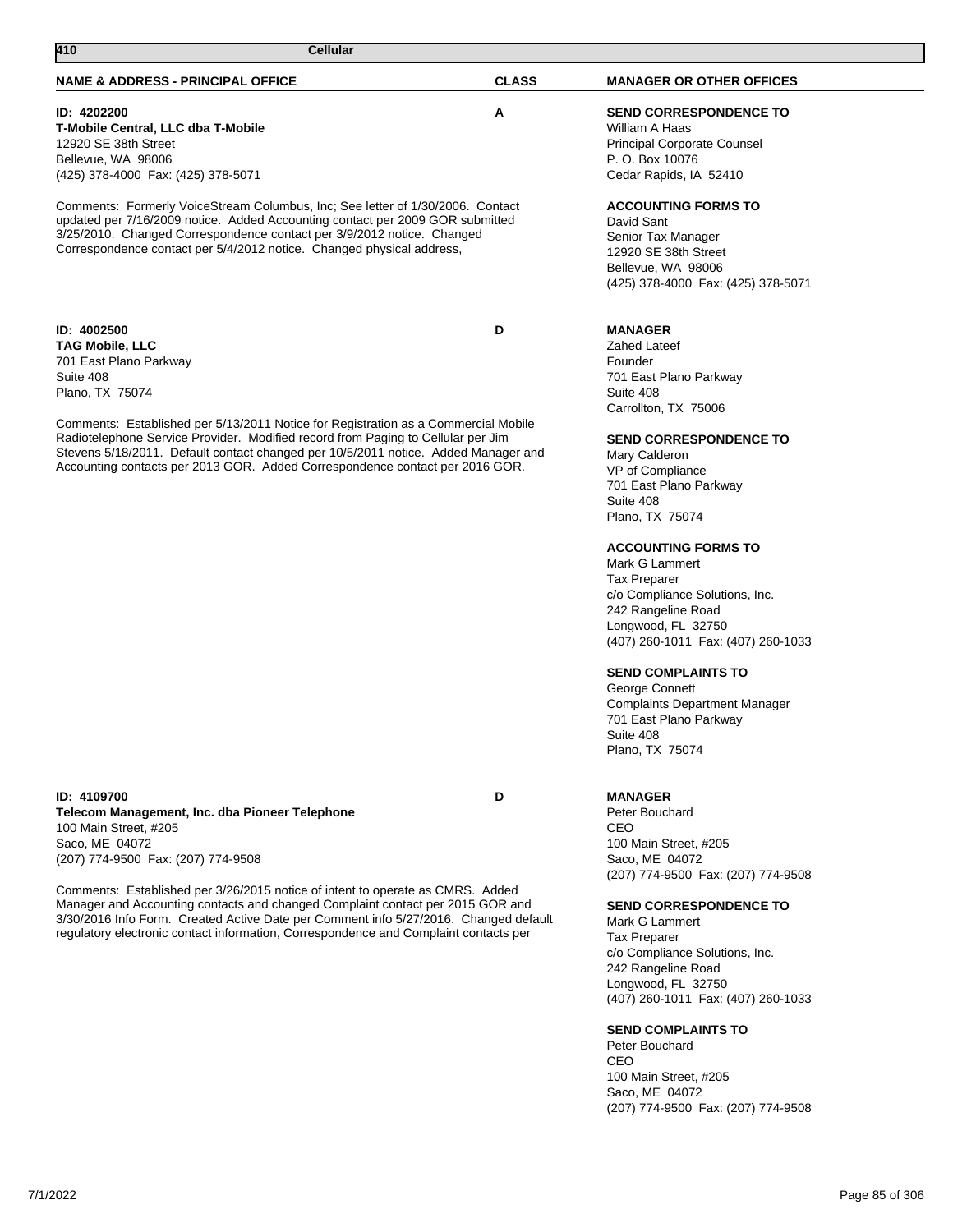# **ID: 4202200 A**

**T-Mobile Central, LLC dba T-Mobile** 12920 SE 38th Street Bellevue, WA 98006 (425) 378-4000 Fax: (425) 378-5071

Comments: Formerly VoiceStream Columbus, Inc; See letter of 1/30/2006. Contact updated per 7/16/2009 notice. Added Accounting contact per 2009 GOR submitted 3/25/2010. Changed Correspondence contact per 3/9/2012 notice. Changed Correspondence contact per 5/4/2012 notice. Changed physical address,

**ID: 4002500 D TAG Mobile, LLC** 701 East Plano Parkway Suite 408 Plano, TX 75074

Comments: Established per 5/13/2011 Notice for Registration as a Commercial Mobile Radiotelephone Service Provider. Modified record from Paging to Cellular per Jim Stevens 5/18/2011. Default contact changed per 10/5/2011 notice. Added Manager and Accounting contacts per 2013 GOR. Added Correspondence contact per 2016 GOR.

**ID: 4109700 D Telecom Management, Inc. dba Pioneer Telephone** 100 Main Street, #205 Saco, ME 04072 (207) 774-9500 Fax: (207) 774-9508

Comments: Established per 3/26/2015 notice of intent to operate as CMRS. Added Manager and Accounting contacts and changed Complaint contact per 2015 GOR and 3/30/2016 Info Form. Created Active Date per Comment info 5/27/2016. Changed default regulatory electronic contact information, Correspondence and Complaint contacts per

# **SEND CORRESPONDENCE TO**

William A Haas Principal Corporate Counsel P. O. Box 10076 Cedar Rapids, IA 52410

# **ACCOUNTING FORMS TO**

David Sant Senior Tax Manager 12920 SE 38th Street Bellevue, WA 98006 (425) 378-4000 Fax: (425) 378-5071

# **MANAGER**

Zahed Lateef Founder 701 East Plano Parkway Suite 408 Carrollton, TX 75006

# **SEND CORRESPONDENCE TO**

Mary Calderon VP of Compliance 701 East Plano Parkway Suite 408 Plano, TX 75074

# **ACCOUNTING FORMS TO**

Mark G Lammert Tax Preparer c/o Compliance Solutions, Inc. 242 Rangeline Road Longwood, FL 32750 (407) 260-1011 Fax: (407) 260-1033

# **SEND COMPLAINTS TO**

George Connett Complaints Department Manager 701 East Plano Parkway Suite 408 Plano, TX 75074

# **MANAGER**

Peter Bouchard CEO 100 Main Street, #205 Saco, ME 04072 (207) 774-9500 Fax: (207) 774-9508

# **SEND CORRESPONDENCE TO**

Mark G Lammert Tax Preparer c/o Compliance Solutions, Inc. 242 Rangeline Road Longwood, FL 32750 (407) 260-1011 Fax: (407) 260-1033

# **SEND COMPLAINTS TO**

Peter Bouchard CEO 100 Main Street, #205 Saco, ME 04072 (207) 774-9500 Fax: (207) 774-9508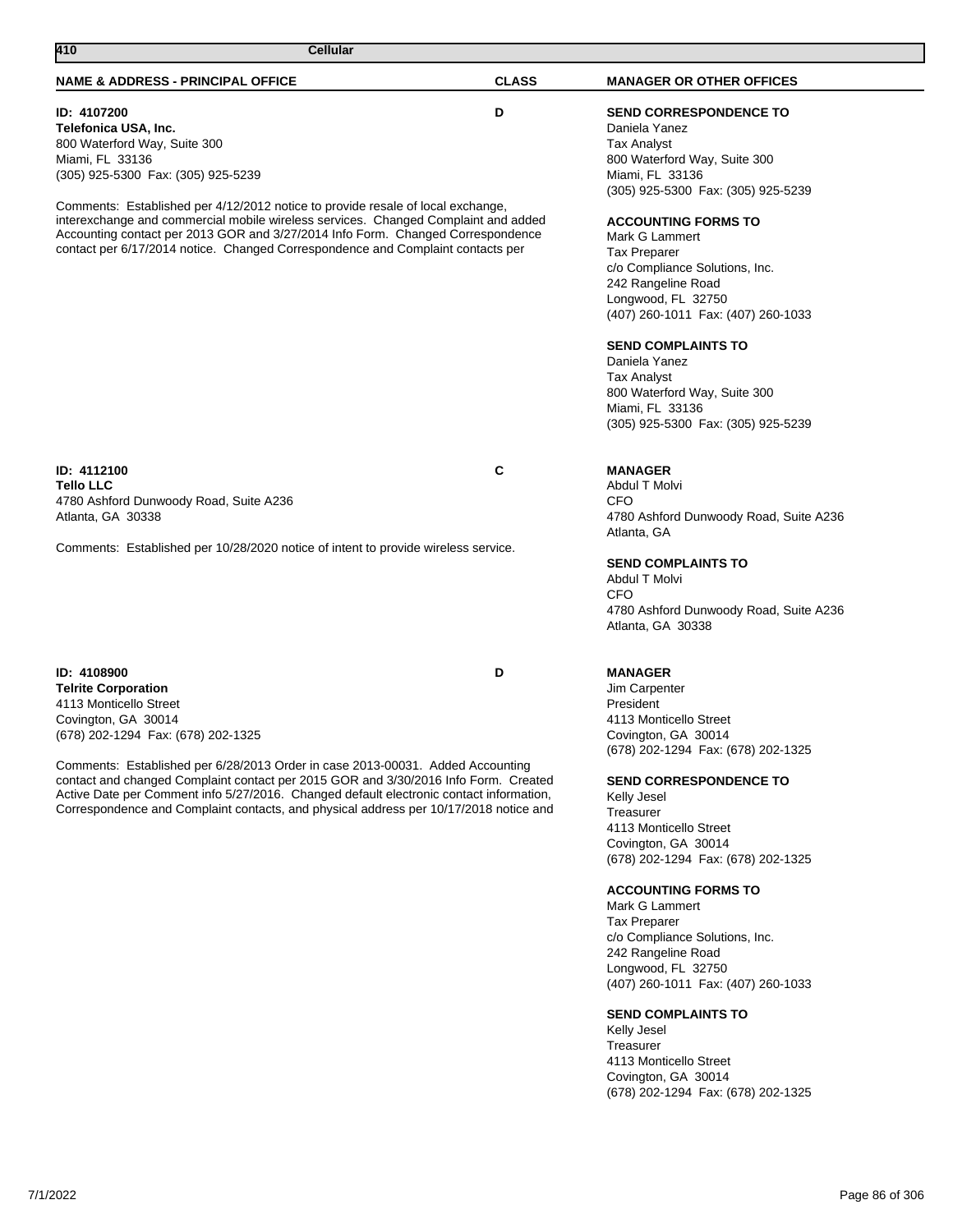# **ID: 4107200 D Telefonica USA, Inc.** 800 Waterford Way, Suite 300 Miami, FL 33136 (305) 925-5300 Fax: (305) 925-5239

Comments: Established per 4/12/2012 notice to provide resale of local exchange, interexchange and commercial mobile wireless services. Changed Complaint and added Accounting contact per 2013 GOR and 3/27/2014 Info Form. Changed Correspondence contact per 6/17/2014 notice. Changed Correspondence and Complaint contacts per

**ID: 4112100 C Tello LLC** 4780 Ashford Dunwoody Road, Suite A236 Atlanta, GA 30338

Comments: Established per 10/28/2020 notice of intent to provide wireless service.

**ID: 4108900 D Telrite Corporation** 4113 Monticello Street Covington, GA 30014 (678) 202-1294 Fax: (678) 202-1325

Comments: Established per 6/28/2013 Order in case 2013-00031. Added Accounting contact and changed Complaint contact per 2015 GOR and 3/30/2016 Info Form. Created Active Date per Comment info 5/27/2016. Changed default electronic contact information, Correspondence and Complaint contacts, and physical address per 10/17/2018 notice and

# **SEND CORRESPONDENCE TO**

Daniela Yanez Tax Analyst 800 Waterford Way, Suite 300 Miami, FL 33136 (305) 925-5300 Fax: (305) 925-5239

# **ACCOUNTING FORMS TO**

Mark G Lammert Tax Preparer c/o Compliance Solutions, Inc. 242 Rangeline Road Longwood, FL 32750 (407) 260-1011 Fax: (407) 260-1033

# **SEND COMPLAINTS TO**

Daniela Yanez Tax Analyst 800 Waterford Way, Suite 300 Miami, FL 33136 (305) 925-5300 Fax: (305) 925-5239

# **MANAGER**

Abdul T Molvi CFO 4780 Ashford Dunwoody Road, Suite A236 Atlanta, GA

# **SEND COMPLAINTS TO**

Abdul T Molvi CFO 4780 Ashford Dunwoody Road, Suite A236 Atlanta, GA 30338

# **MANAGER**

Jim Carpenter President 4113 Monticello Street Covington, GA 30014 (678) 202-1294 Fax: (678) 202-1325

# **SEND CORRESPONDENCE TO**

Kelly Jesel **Treasurer** 4113 Monticello Street Covington, GA 30014 (678) 202-1294 Fax: (678) 202-1325

# **ACCOUNTING FORMS TO**

Mark G Lammert Tax Preparer c/o Compliance Solutions, Inc. 242 Rangeline Road Longwood, FL 32750 (407) 260-1011 Fax: (407) 260-1033

# **SEND COMPLAINTS TO**

Kelly Jesel Treasurer 4113 Monticello Street Covington, GA 30014 (678) 202-1294 Fax: (678) 202-1325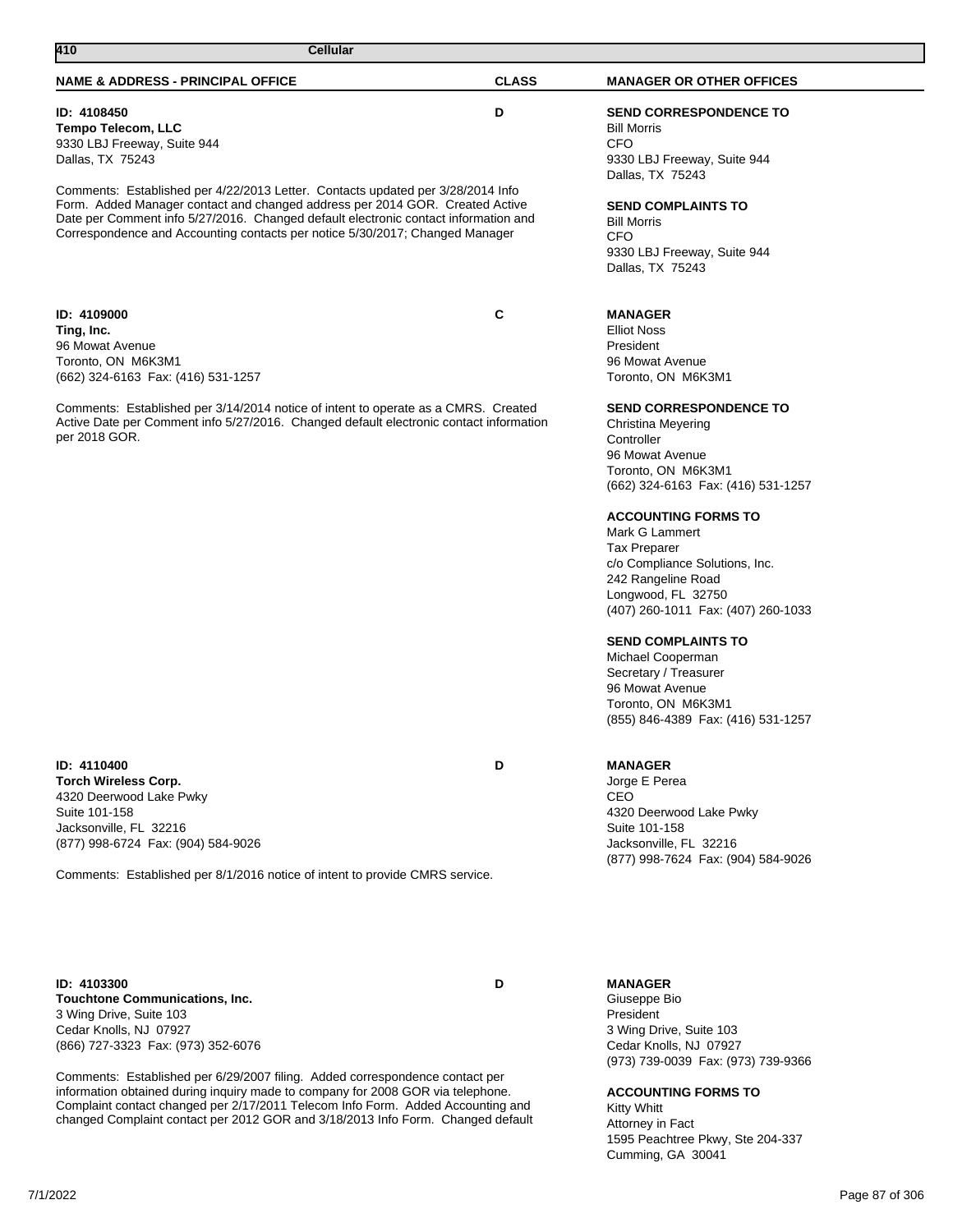| <b>NAME &amp; ADDRESS - PRINCIPAL OFFICE</b>                                                                                                                                                                                                                                                                                                                                                                                          | <b>CLASS</b> | <b>MANAGER OR OTHER OFFICES</b>                                                                                                                                                                                                                                                                                                                                                                                                                                                                       |
|---------------------------------------------------------------------------------------------------------------------------------------------------------------------------------------------------------------------------------------------------------------------------------------------------------------------------------------------------------------------------------------------------------------------------------------|--------------|-------------------------------------------------------------------------------------------------------------------------------------------------------------------------------------------------------------------------------------------------------------------------------------------------------------------------------------------------------------------------------------------------------------------------------------------------------------------------------------------------------|
| ID: 4108450<br><b>Tempo Telecom, LLC</b><br>9330 LBJ Freeway, Suite 944<br>Dallas, TX 75243<br>Comments: Established per 4/22/2013 Letter. Contacts updated per 3/28/2014 Info<br>Form. Added Manager contact and changed address per 2014 GOR. Created Active<br>Date per Comment info 5/27/2016. Changed default electronic contact information and<br>Correspondence and Accounting contacts per notice 5/30/2017; Changed Manager | D            | <b>SEND CORRESPONDENCE TO</b><br><b>Bill Morris</b><br>CFO<br>9330 LBJ Freeway, Suite 944<br>Dallas, TX 75243<br><b>SEND COMPLAINTS TO</b><br><b>Bill Morris</b><br>CFO<br>9330 LBJ Freeway, Suite 944<br>Dallas, TX 75243                                                                                                                                                                                                                                                                            |
| ID: 4109000<br>Ting, Inc.<br>96 Mowat Avenue<br>Toronto, ON M6K3M1<br>(662) 324-6163 Fax: (416) 531-1257                                                                                                                                                                                                                                                                                                                              | С            | <b>MANAGER</b><br><b>Elliot Noss</b><br>President<br>96 Mowat Avenue<br>Toronto, ON M6K3M1                                                                                                                                                                                                                                                                                                                                                                                                            |
| Comments: Established per 3/14/2014 notice of intent to operate as a CMRS. Created<br>Active Date per Comment info 5/27/2016. Changed default electronic contact information<br>per 2018 GOR.                                                                                                                                                                                                                                         |              | <b>SEND CORRESPONDENCE TO</b><br>Christina Meyering<br>Controller<br>96 Mowat Avenue<br>Toronto, ON M6K3M1<br>(662) 324-6163 Fax: (416) 531-1257<br><b>ACCOUNTING FORMS TO</b><br>Mark G Lammert<br><b>Tax Preparer</b><br>c/o Compliance Solutions, Inc.<br>242 Rangeline Road<br>Longwood, FL 32750<br>(407) 260-1011 Fax: (407) 260-1033<br><b>SEND COMPLAINTS TO</b><br>Michael Cooperman<br>Secretary / Treasurer<br>96 Mowat Avenue<br>Toronto, ON M6K3M1<br>(855) 846-4389 Fax: (416) 531-1257 |
| ID: 4110400<br><b>Torch Wireless Corp.</b><br>4320 Deerwood Lake Pwky<br>Suite 101-158<br>Jacksonville, FL 32216<br>(877) 998-6724 Fax: (904) 584-9026<br>Comments: Established per 8/1/2016 notice of intent to provide CMRS service.                                                                                                                                                                                                | D            | <b>MANAGER</b><br>Jorge E Perea<br>CEO<br>4320 Deerwood Lake Pwky<br>Suite 101-158<br>Jacksonville, FL 32216<br>(877) 998-7624 Fax: (904) 584-9026                                                                                                                                                                                                                                                                                                                                                    |
| ID: 4103300<br><b>Touchtone Communications, Inc.</b><br>3 Wing Drive, Suite 103<br>Cedar Knolls, NJ 07927<br>(866) 727-3323 Fax: (973) 352-6076                                                                                                                                                                                                                                                                                       | D            | <b>MANAGER</b><br>Giuseppe Bio<br>President<br>3 Wing Drive, Suite 103<br>Cedar Knolls, NJ 07927                                                                                                                                                                                                                                                                                                                                                                                                      |

Comments: Established per 6/29/2007 filing. Added correspondence contact per information obtained during inquiry made to company for 2008 GOR via telephone. Complaint contact changed per 2/17/2011 Telecom Info Form. Added Accounting and changed Complaint contact per 2012 GOR and 3/18/2013 Info Form. Changed default

**410 Cellular** 

(973) 739-0039 Fax: (973) 739-9366

# **ACCOUNTING FORMS TO**

Kitty Whitt Attorney in Fact 1595 Peachtree Pkwy, Ste 204-337 Cumming, GA 30041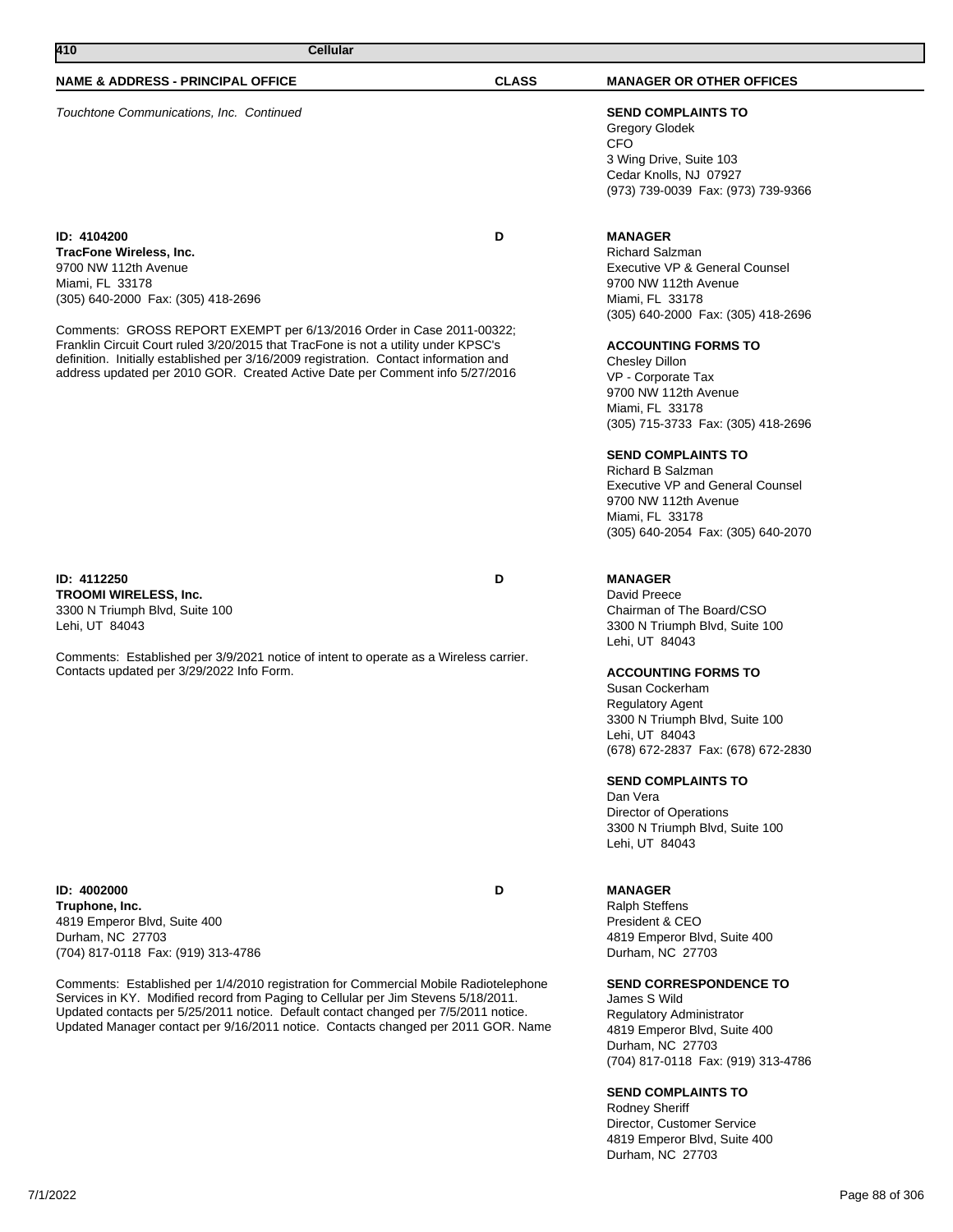Touchtone Communications, Inc. Continued **SEND COMPLAINTS TO**

**ID: 4104200 D TracFone Wireless, Inc.** 9700 NW 112th Avenue Miami, FL 33178 (305) 640-2000 Fax: (305) 418-2696

Comments: GROSS REPORT EXEMPT per 6/13/2016 Order in Case 2011-00322; Franklin Circuit Court ruled 3/20/2015 that TracFone is not a utility under KPSC's definition. Initially established per 3/16/2009 registration. Contact information and address updated per 2010 GOR. Created Active Date per Comment info 5/27/2016

**ID: 4112250 D TROOMI WIRELESS, Inc.** 3300 N Triumph Blvd, Suite 100 Lehi, UT 84043

Comments: Established per 3/9/2021 notice of intent to operate as a Wireless carrier. Contacts updated per 3/29/2022 Info Form.

**ID: 4002000 D Truphone, Inc.** 4819 Emperor Blvd, Suite 400 Durham, NC 27703 (704) 817-0118 Fax: (919) 313-4786

Comments: Established per 1/4/2010 registration for Commercial Mobile Radiotelephone Services in KY. Modified record from Paging to Cellular per Jim Stevens 5/18/2011. Updated contacts per 5/25/2011 notice. Default contact changed per 7/5/2011 notice. Updated Manager contact per 9/16/2011 notice. Contacts changed per 2011 GOR. Name

Gregory Glodek CFO

3 Wing Drive, Suite 103 Cedar Knolls, NJ 07927 (973) 739-0039 Fax: (973) 739-9366

# **MANAGER**

Richard Salzman Executive VP & General Counsel 9700 NW 112th Avenue Miami, FL 33178 (305) 640-2000 Fax: (305) 418-2696

#### **ACCOUNTING FORMS TO**

Chesley Dillon VP - Corporate Tax 9700 NW 112th Avenue Miami, FL 33178 (305) 715-3733 Fax: (305) 418-2696

# **SEND COMPLAINTS TO**

Richard B Salzman Executive VP and General Counsel 9700 NW 112th Avenue Miami, FL 33178 (305) 640-2054 Fax: (305) 640-2070

# **MANAGER**

David Preece Chairman of The Board/CSO 3300 N Triumph Blvd, Suite 100 Lehi, UT 84043

# **ACCOUNTING FORMS TO**

Susan Cockerham Regulatory Agent 3300 N Triumph Blvd, Suite 100 Lehi, UT 84043 (678) 672-2837 Fax: (678) 672-2830

#### **SEND COMPLAINTS TO**

Dan Vera Director of Operations 3300 N Triumph Blvd, Suite 100 Lehi, UT 84043

# **MANAGER**

Ralph Steffens President & CEO 4819 Emperor Blvd, Suite 400 Durham, NC 27703

# **SEND CORRESPONDENCE TO**

James S Wild Regulatory Administrator 4819 Emperor Blvd, Suite 400 Durham, NC 27703 (704) 817-0118 Fax: (919) 313-4786

#### **SEND COMPLAINTS TO**

Rodney Sheriff Director, Customer Service 4819 Emperor Blvd, Suite 400 Durham, NC 27703

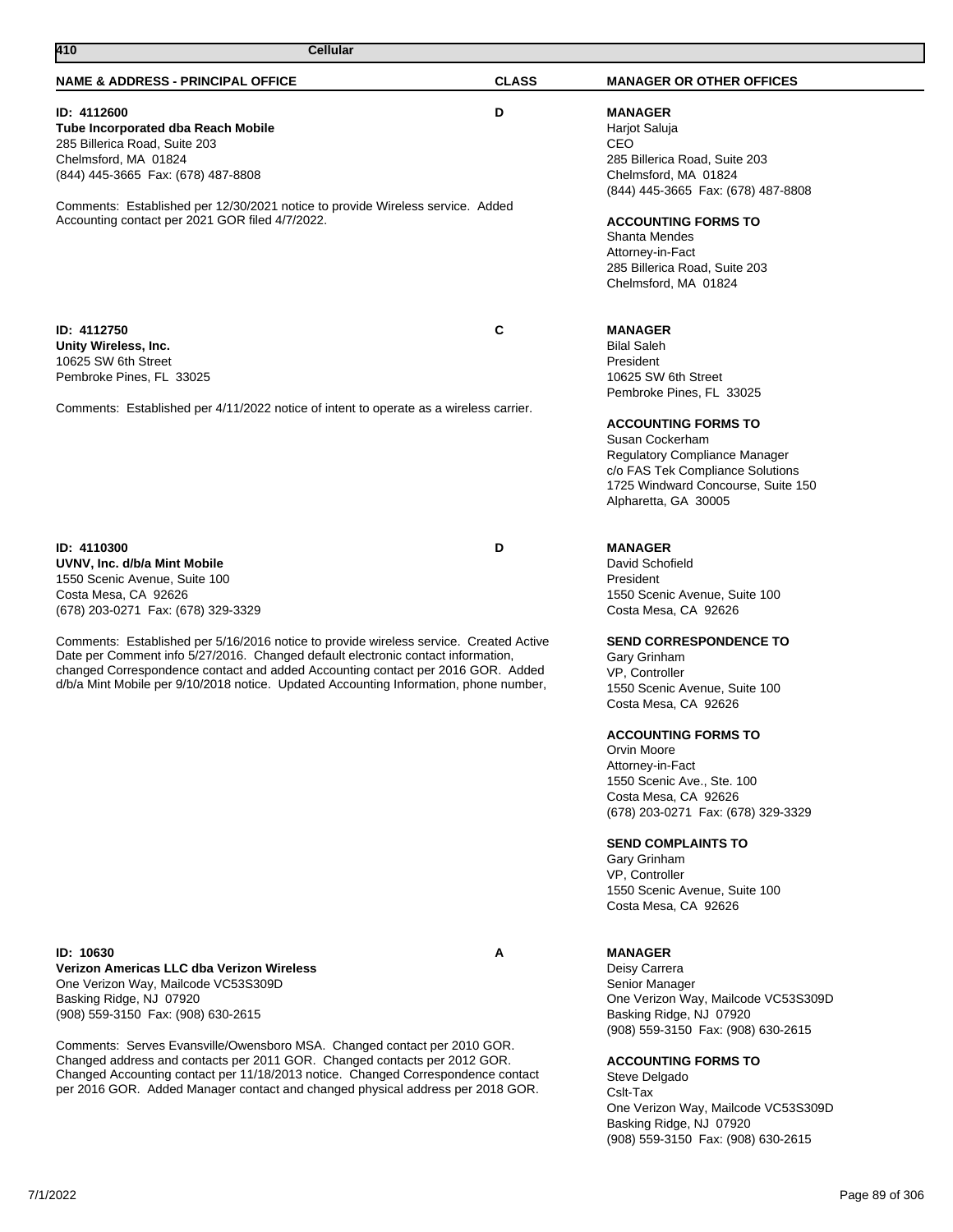| 410<br>Cellular                                                                                                                                                                                                                                                                                                                                        |              |                                                                                                                                                                                                                                                                                                                                                                                                               |
|--------------------------------------------------------------------------------------------------------------------------------------------------------------------------------------------------------------------------------------------------------------------------------------------------------------------------------------------------------|--------------|---------------------------------------------------------------------------------------------------------------------------------------------------------------------------------------------------------------------------------------------------------------------------------------------------------------------------------------------------------------------------------------------------------------|
| <b>NAME &amp; ADDRESS - PRINCIPAL OFFICE</b>                                                                                                                                                                                                                                                                                                           | <b>CLASS</b> | <b>MANAGER OR OTHER OFFICES</b>                                                                                                                                                                                                                                                                                                                                                                               |
| ID: 4112600<br><b>Tube Incorporated dba Reach Mobile</b><br>285 Billerica Road, Suite 203<br>Chelmsford, MA 01824<br>(844) 445-3665 Fax: (678) 487-8808<br>Comments: Established per 12/30/2021 notice to provide Wireless service. Added<br>Accounting contact per 2021 GOR filed 4/7/2022.                                                           | D            | <b>MANAGER</b><br>Harjot Saluja<br><b>CEO</b><br>285 Billerica Road, Suite 203<br>Chelmsford, MA 01824<br>(844) 445-3665 Fax: (678) 487-8808<br><b>ACCOUNTING FORMS TO</b><br><b>Shanta Mendes</b><br>Attorney-in-Fact<br>285 Billerica Road, Suite 203<br>Chelmsford, MA 01824                                                                                                                               |
| ID: 4112750<br>Unity Wireless, Inc.<br>10625 SW 6th Street<br>Pembroke Pines, FL 33025<br>Comments: Established per 4/11/2022 notice of intent to operate as a wireless carrier.                                                                                                                                                                       | C            | <b>MANAGER</b><br><b>Bilal Saleh</b><br>President<br>10625 SW 6th Street<br>Pembroke Pines, FL 33025<br><b>ACCOUNTING FORMS TO</b><br>Susan Cockerham<br>Regulatory Compliance Manager<br>c/o FAS Tek Compliance Solutions<br>1725 Windward Concourse, Suite 150<br>Alpharetta, GA 30005                                                                                                                      |
| ID: 4110300<br>UVNV, Inc. d/b/a Mint Mobile<br>1550 Scenic Avenue, Suite 100<br>Costa Mesa, CA 92626<br>(678) 203-0271 Fax: (678) 329-3329                                                                                                                                                                                                             | D            | <b>MANAGER</b><br>David Schofield<br>President<br>1550 Scenic Avenue, Suite 100<br>Costa Mesa, CA 92626                                                                                                                                                                                                                                                                                                       |
| Comments: Established per 5/16/2016 notice to provide wireless service. Created Active<br>Date per Comment info 5/27/2016. Changed default electronic contact information,<br>changed Correspondence contact and added Accounting contact per 2016 GOR. Added<br>d/b/a Mint Mobile per 9/10/2018 notice. Updated Accounting Information, phone number, |              | <b>SEND CORRESPONDENCE TO</b><br>Gary Grinham<br>VP, Controller<br>1550 Scenic Avenue, Suite 100<br>Costa Mesa, CA 92626<br><b>ACCOUNTING FORMS TO</b><br>Orvin Moore<br>Attorney-in-Fact<br>1550 Scenic Ave., Ste. 100<br>Costa Mesa, CA 92626<br>(678) 203-0271 Fax: (678) 329-3329<br><b>SEND COMPLAINTS TO</b><br>Gary Grinham<br>VP, Controller<br>1550 Scenic Avenue, Suite 100<br>Costa Mesa, CA 92626 |
| ID: 10630<br>Verizon Americas LLC dba Verizon Wireless<br>One Verizon Way, Mailcode VC53S309D<br>Basking Ridge, NJ 07920<br>(908) 559-3150 Fax: (908) 630-2615                                                                                                                                                                                         | A            | <b>MANAGER</b><br>Deisy Carrera<br>Senior Manager<br>One Verizon Way, Mailcode VC53S309D<br>Basking Ridge, NJ 07920                                                                                                                                                                                                                                                                                           |
| Comments: Serves Evansville/Owensboro MSA. Changed contact per 2010 GOR.<br>Changed address and contacts per 2011 GOR. Changed contacts per 2012 GOR.<br>Changed Accounting contact per 11/18/2013 notice. Changed Correspondence contact<br>per 2016 GOR. Added Manager contact and changed physical address per 2018 GOR.                            |              | (908) 559-3150 Fax: (908) 630-2615<br><b>ACCOUNTING FORMS TO</b><br>Steve Delgado<br>Cslt-Tax<br>One Verizon Way, Mailcode VC53S309D<br>Basking Ridge, NJ 07920<br>(908) 559-3150 Fax: (908) 630-2615                                                                                                                                                                                                         |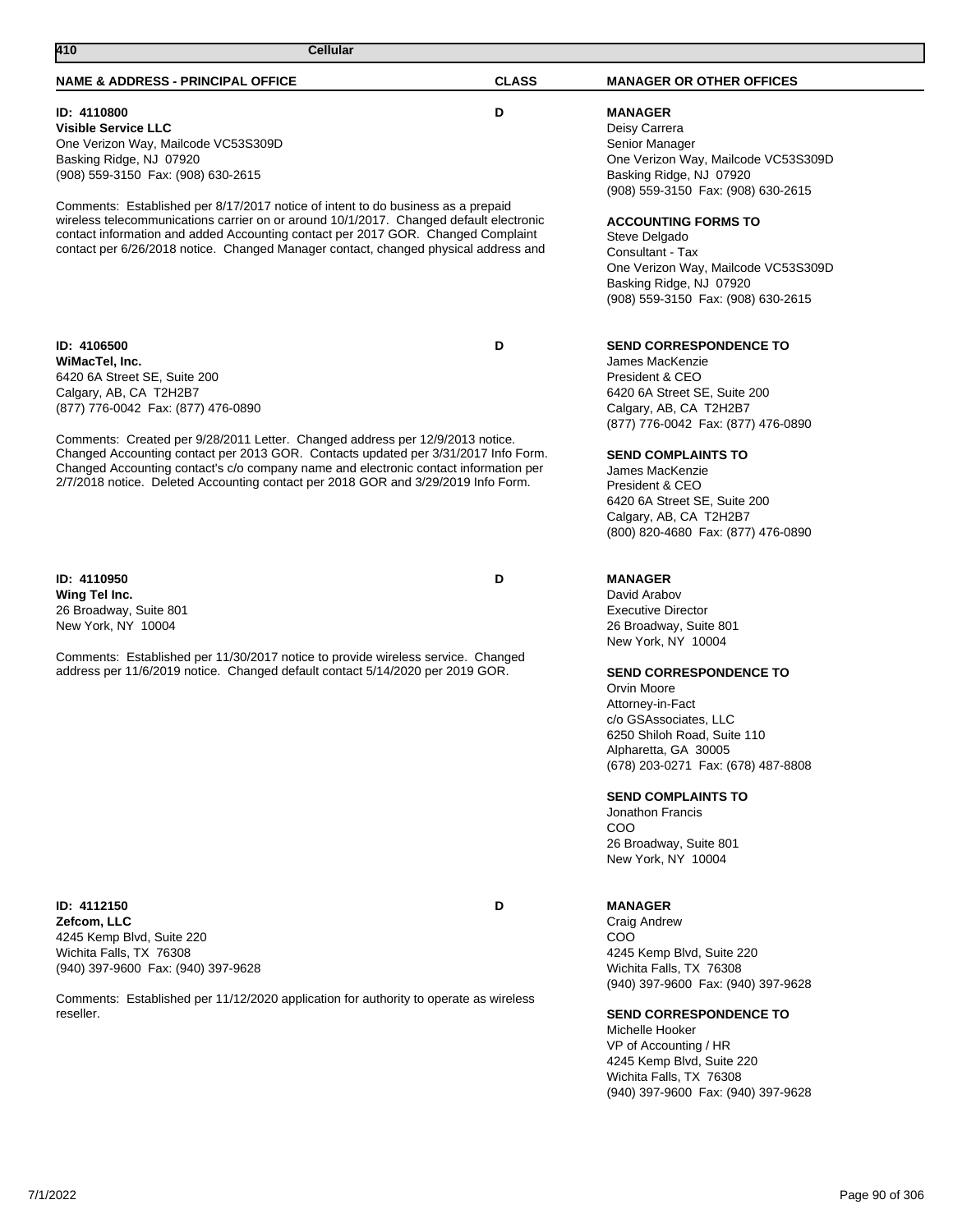# **NAME & ADDRESS - PRINCIPAL OFFICE CLASS MANAGER OR OTHER OFFICES 410 Cellular ID: 4110800 D Visible Service LLC** One Verizon Way, Mailcode VC53S309D Basking Ridge, NJ 07920 (908) 559-3150 Fax: (908) 630-2615 Comments: Established per 8/17/2017 notice of intent to do business as a prepaid wireless telecommunications carrier on or around 10/1/2017. Changed default electronic contact information and added Accounting contact per 2017 GOR. Changed Complaint contact per 6/26/2018 notice. Changed Manager contact, changed physical address and **MANAGER** Deisy Carrera Senior Manager One Verizon Way, Mailcode VC53S309D Basking Ridge, NJ 07920 (908) 559-3150 Fax: (908) 630-2615 **ACCOUNTING FORMS TO** Steve Delgado Consultant - Tax One Verizon Way, Mailcode VC53S309D Basking Ridge, NJ 07920 (908) 559-3150 Fax: (908) 630-2615 **ID: 4106500 D WiMacTel, Inc.** 6420 6A Street SE, Suite 200 Calgary, AB, CA T2H2B7 (877) 776-0042 Fax: (877) 476-0890 Comments: Created per 9/28/2011 Letter. Changed address per 12/9/2013 notice. Changed Accounting contact per 2013 GOR. Contacts updated per 3/31/2017 Info Form. Changed Accounting contact's c/o company name and electronic contact information per 2/7/2018 notice. Deleted Accounting contact per 2018 GOR and 3/29/2019 Info Form. **SEND CORRESPONDENCE TO** James MacKenzie President & CEO 6420 6A Street SE, Suite 200 Calgary, AB, CA T2H2B7 (877) 776-0042 Fax: (877) 476-0890 **SEND COMPLAINTS TO** James MacKenzie President & CEO 6420 6A Street SE, Suite 200 Calgary, AB, CA T2H2B7 (800) 820-4680 Fax: (877) 476-0890 **ID: 4110950 D Wing Tel Inc.** 26 Broadway, Suite 801 New York, NY 10004 Comments: Established per 11/30/2017 notice to provide wireless service. Changed address per 11/6/2019 notice. Changed default contact 5/14/2020 per 2019 GOR. **MANAGER** David Arabov Executive Director 26 Broadway, Suite 801 New York, NY 10004 **SEND CORRESPONDENCE TO** Orvin Moore Attorney-in-Fact c/o GSAssociates, LLC 6250 Shiloh Road, Suite 110

**ID: 4112150 D Zefcom, LLC** 4245 Kemp Blvd, Suite 220 Wichita Falls, TX 76308 (940) 397-9600 Fax: (940) 397-9628

Comments: Established per 11/12/2020 application for authority to operate as wireless reseller.

# **MANAGER**

COO

Alpharetta, GA 30005

**SEND COMPLAINTS TO** Jonathon Francis

26 Broadway, Suite 801 New York, NY 10004

Craig Andrew COO 4245 Kemp Blvd, Suite 220 Wichita Falls, TX 76308 (940) 397-9600 Fax: (940) 397-9628

(678) 203-0271 Fax: (678) 487-8808

# **SEND CORRESPONDENCE TO**

Michelle Hooker VP of Accounting / HR 4245 Kemp Blvd, Suite 220 Wichita Falls, TX 76308 (940) 397-9600 Fax: (940) 397-9628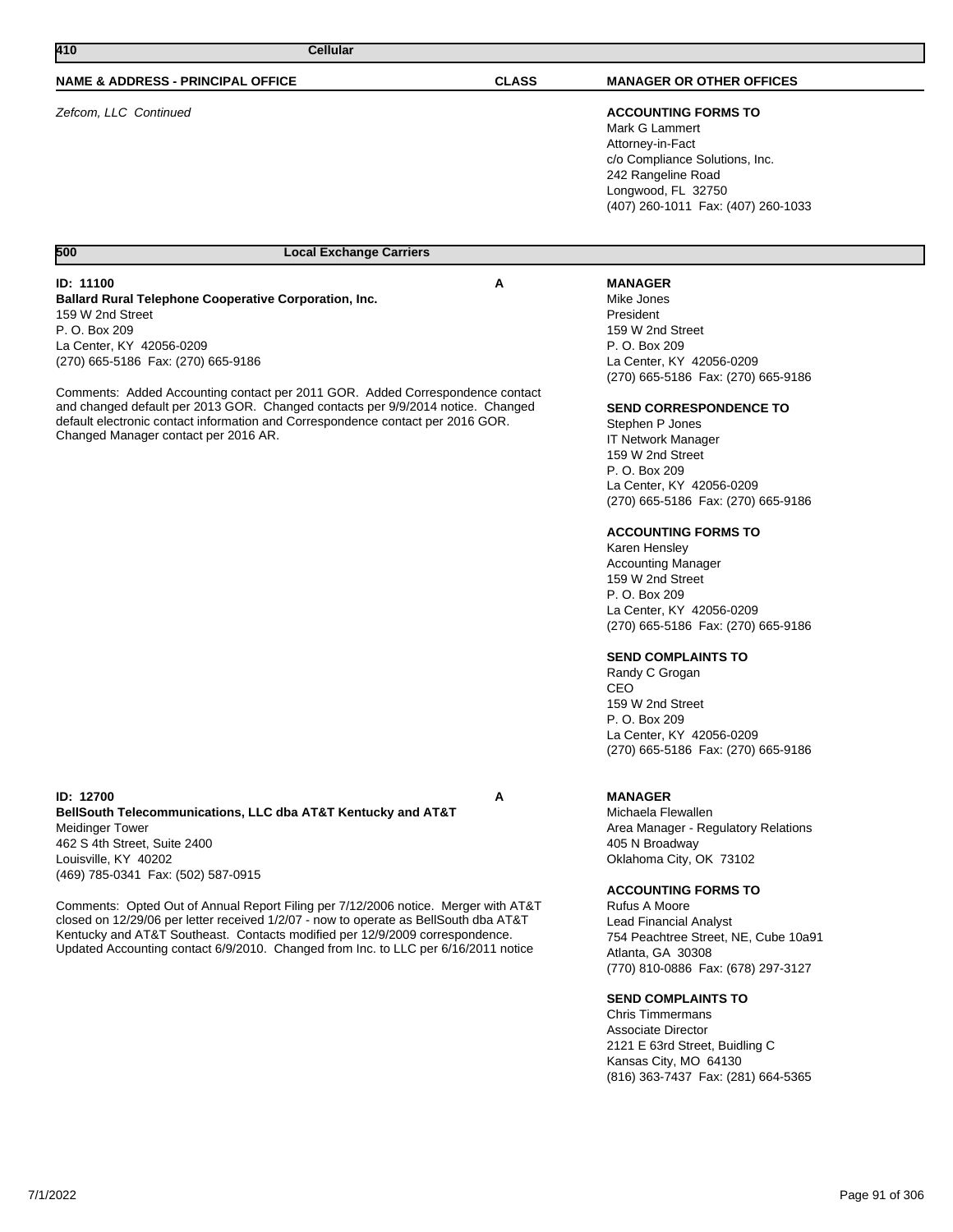| 410<br>Cellular                                                                                                                                                                                                                                                                                                                                                                                                                                                                                                                                              |              |                                                                                                                                                                                                                                                                                                                                                                                                                                                                                                                                                                                                                                                                                          |
|--------------------------------------------------------------------------------------------------------------------------------------------------------------------------------------------------------------------------------------------------------------------------------------------------------------------------------------------------------------------------------------------------------------------------------------------------------------------------------------------------------------------------------------------------------------|--------------|------------------------------------------------------------------------------------------------------------------------------------------------------------------------------------------------------------------------------------------------------------------------------------------------------------------------------------------------------------------------------------------------------------------------------------------------------------------------------------------------------------------------------------------------------------------------------------------------------------------------------------------------------------------------------------------|
| <b>NAME &amp; ADDRESS - PRINCIPAL OFFICE</b>                                                                                                                                                                                                                                                                                                                                                                                                                                                                                                                 | <b>CLASS</b> | <b>MANAGER OR OTHER OFFICES</b>                                                                                                                                                                                                                                                                                                                                                                                                                                                                                                                                                                                                                                                          |
| Zefcom, LLC Continued                                                                                                                                                                                                                                                                                                                                                                                                                                                                                                                                        |              | <b>ACCOUNTING FORMS TO</b><br>Mark G Lammert<br>Attorney-in-Fact<br>c/o Compliance Solutions, Inc.<br>242 Rangeline Road<br>Longwood, FL 32750<br>(407) 260-1011 Fax: (407) 260-1033                                                                                                                                                                                                                                                                                                                                                                                                                                                                                                     |
| 500<br><b>Local Exchange Carriers</b>                                                                                                                                                                                                                                                                                                                                                                                                                                                                                                                        |              |                                                                                                                                                                                                                                                                                                                                                                                                                                                                                                                                                                                                                                                                                          |
| <b>ID: 11100</b><br><b>Ballard Rural Telephone Cooperative Corporation, Inc.</b><br>159 W 2nd Street<br>P. O. Box 209<br>La Center, KY 42056-0209<br>(270) 665-5186 Fax: (270) 665-9186<br>Comments: Added Accounting contact per 2011 GOR. Added Correspondence contact<br>and changed default per 2013 GOR. Changed contacts per 9/9/2014 notice. Changed<br>default electronic contact information and Correspondence contact per 2016 GOR.<br>Changed Manager contact per 2016 AR.                                                                       | A            | <b>MANAGER</b><br>Mike Jones<br>President<br>159 W 2nd Street<br>P. O. Box 209<br>La Center, KY 42056-0209<br>(270) 665-5186 Fax: (270) 665-9186<br><b>SEND CORRESPONDENCE TO</b><br>Stephen P Jones<br><b>IT Network Manager</b><br>159 W 2nd Street<br>P. O. Box 209<br>La Center, KY 42056-0209<br>(270) 665-5186 Fax: (270) 665-9186<br><b>ACCOUNTING FORMS TO</b><br>Karen Hensley<br><b>Accounting Manager</b><br>159 W 2nd Street<br>P. O. Box 209<br>La Center, KY 42056-0209<br>(270) 665-5186 Fax: (270) 665-9186<br><b>SEND COMPLAINTS TO</b><br>Randy C Grogan<br>CEO<br>159 W 2nd Street<br>P. O. Box 209<br>La Center, KY 42056-0209<br>(270) 665-5186 Fax: (270) 665-9186 |
| <b>ID: 12700</b><br>BellSouth Telecommunications, LLC dba AT&T Kentucky and AT&T<br><b>Meidinger Tower</b><br>462 S 4th Street, Suite 2400<br>Louisville, KY 40202<br>(469) 785-0341 Fax: (502) 587-0915<br>Comments: Opted Out of Annual Report Filing per 7/12/2006 notice. Merger with AT&T<br>closed on 12/29/06 per letter received 1/2/07 - now to operate as BellSouth dba AT&T<br>Kentucky and AT&T Southeast. Contacts modified per 12/9/2009 correspondence.<br>Updated Accounting contact 6/9/2010. Changed from Inc. to LLC per 6/16/2011 notice | Α            | <b>MANAGER</b><br>Michaela Flewallen<br>Area Manager - Regulatory Relations<br>405 N Broadway<br>Oklahoma City, OK 73102<br><b>ACCOUNTING FORMS TO</b><br>Rufus A Moore<br>Lead Financial Analyst<br>754 Peachtree Street, NE, Cube 10a91<br>Atlanta, GA 30308<br>(770) 810-0886 Fax: (678) 297-3127<br><b>SEND COMPLAINTS TO</b><br><b>Chris Timmermans</b><br><b>Associate Director</b><br>2121 E 63rd Street, Buidling C<br>Kansas City, MO 64130<br>(816) 363-7437 Fax: (281) 664-5365                                                                                                                                                                                               |

┐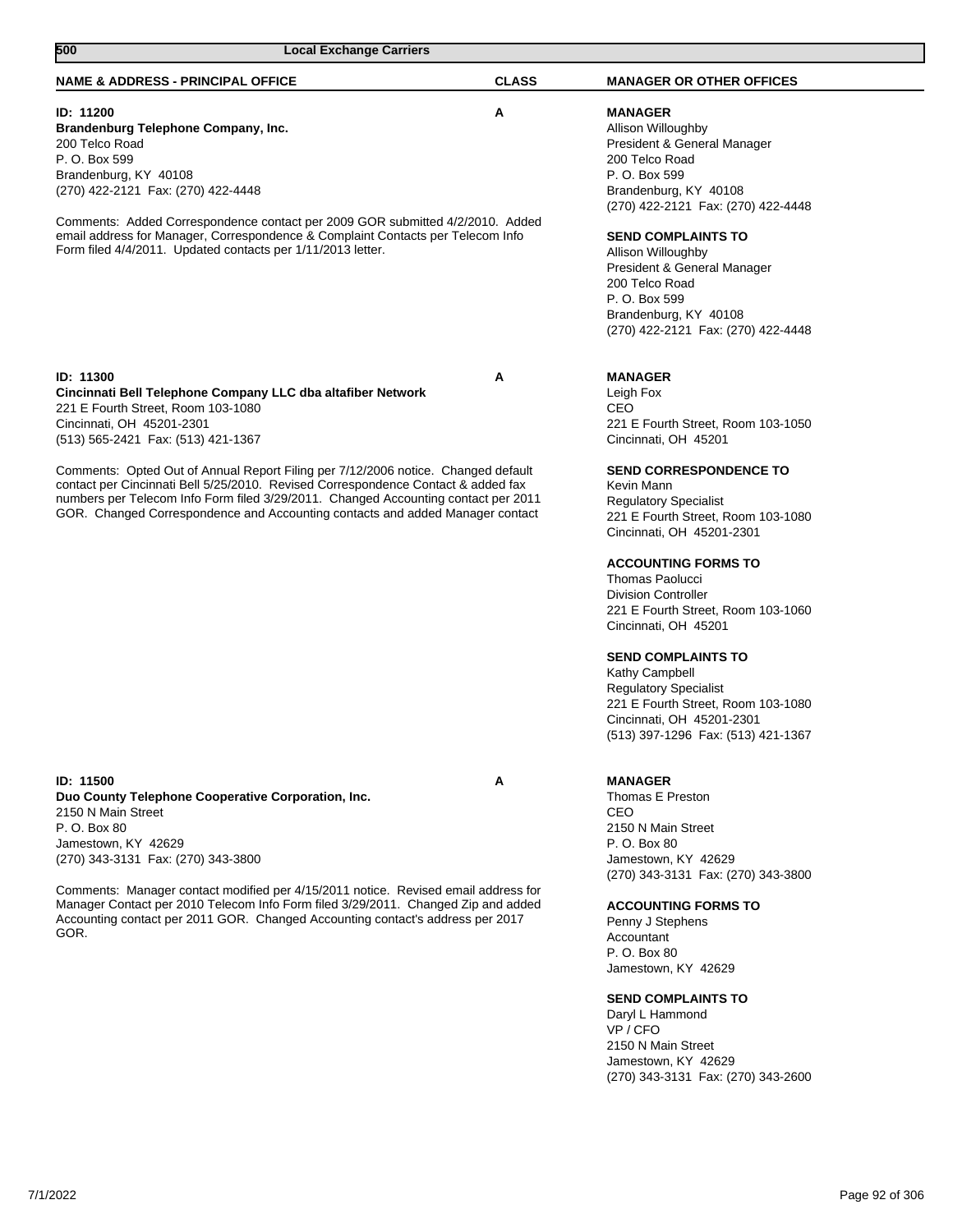| <b>NAME &amp; ADDRESS - PRINCIPAL OFFICE</b>                                                                                                                                                                                                                                                                                                                                                                                                                                                                                       | <b>CLASS</b> | <b>MANAGER OR OTHER OFFICES</b>                                                                                                                                                                                                                                                                                                                                                                                                                                                                                                                                                                |
|------------------------------------------------------------------------------------------------------------------------------------------------------------------------------------------------------------------------------------------------------------------------------------------------------------------------------------------------------------------------------------------------------------------------------------------------------------------------------------------------------------------------------------|--------------|------------------------------------------------------------------------------------------------------------------------------------------------------------------------------------------------------------------------------------------------------------------------------------------------------------------------------------------------------------------------------------------------------------------------------------------------------------------------------------------------------------------------------------------------------------------------------------------------|
| ID: 11200<br>Brandenburg Telephone Company, Inc.<br>200 Telco Road<br>P. O. Box 599<br>Brandenburg, KY 40108<br>(270) 422-2121 Fax: (270) 422-4448<br>Comments: Added Correspondence contact per 2009 GOR submitted 4/2/2010. Added<br>email address for Manager, Correspondence & Complaint Contacts per Telecom Info<br>Form filed 4/4/2011. Updated contacts per 1/11/2013 letter.                                                                                                                                              | Α            | <b>MANAGER</b><br>Allison Willoughby<br>President & General Manager<br>200 Telco Road<br>P. O. Box 599<br>Brandenburg, KY 40108<br>(270) 422-2121 Fax: (270) 422-4448<br><b>SEND COMPLAINTS TO</b><br>Allison Willoughby<br>President & General Manager<br>200 Telco Road<br>P. O. Box 599<br>Brandenburg, KY 40108<br>(270) 422-2121 Fax: (270) 422-4448                                                                                                                                                                                                                                      |
| ID: 11300<br>Cincinnati Bell Telephone Company LLC dba altafiber Network<br>221 E Fourth Street. Room 103-1080<br>Cincinnati, OH 45201-2301<br>(513) 565-2421 Fax: (513) 421-1367<br>Comments: Opted Out of Annual Report Filing per 7/12/2006 notice. Changed default<br>contact per Cincinnati Bell 5/25/2010. Revised Correspondence Contact & added fax<br>numbers per Telecom Info Form filed 3/29/2011. Changed Accounting contact per 2011<br>GOR. Changed Correspondence and Accounting contacts and added Manager contact | Α            | <b>MANAGER</b><br>Leigh Fox<br>CEO<br>221 E Fourth Street, Room 103-1050<br>Cincinnati, OH 45201<br><b>SEND CORRESPONDENCE TO</b><br>Kevin Mann<br><b>Regulatory Specialist</b><br>221 E Fourth Street, Room 103-1080<br>Cincinnati, OH 45201-2301<br><b>ACCOUNTING FORMS TO</b><br><b>Thomas Paolucci</b><br><b>Division Controller</b><br>221 E Fourth Street, Room 103-1060<br>Cincinnati, OH 45201<br><b>SEND COMPLAINTS TO</b><br>Kathy Campbell<br><b>Regulatory Specialist</b><br>221 E Fourth Street, Room 103-1080<br>Cincinnati, OH 45201-2301<br>(513) 397-1296 Fax: (513) 421-1367 |
| <b>ID: 11500</b><br>Duo County Telephone Cooperative Corporation, Inc.<br>2150 N Main Street<br>P. O. Box 80<br>Jamestown, KY 42629<br>(270) 343-3131 Fax: (270) 343-3800<br>Comments: Manager contact modified per 4/15/2011 notice. Revised email address for<br>Manager Contact per 2010 Telecom Info Form filed 3/29/2011. Changed Zip and added<br>Accounting contact per 2011 GOR. Changed Accounting contact's address per 2017<br>GOR.                                                                                     | А            | <b>MANAGER</b><br>Thomas E Preston<br>CEO<br>2150 N Main Street<br>P. O. Box 80<br>Jamestown, KY 42629<br>(270) 343-3131 Fax: (270) 343-3800<br><b>ACCOUNTING FORMS TO</b><br>Penny J Stephens<br>Accountant<br>P. O. Box 80<br>Jamestown, KY 42629<br><b>SEND COMPLAINTS TO</b><br>Daryl L Hammond<br>VP / CFO<br>2150 N Main Street<br>Jamestown, KY 42629<br>(270) 343-3131 Fax: (270) 343-2600                                                                                                                                                                                             |

**500 Local Exchange Carriers**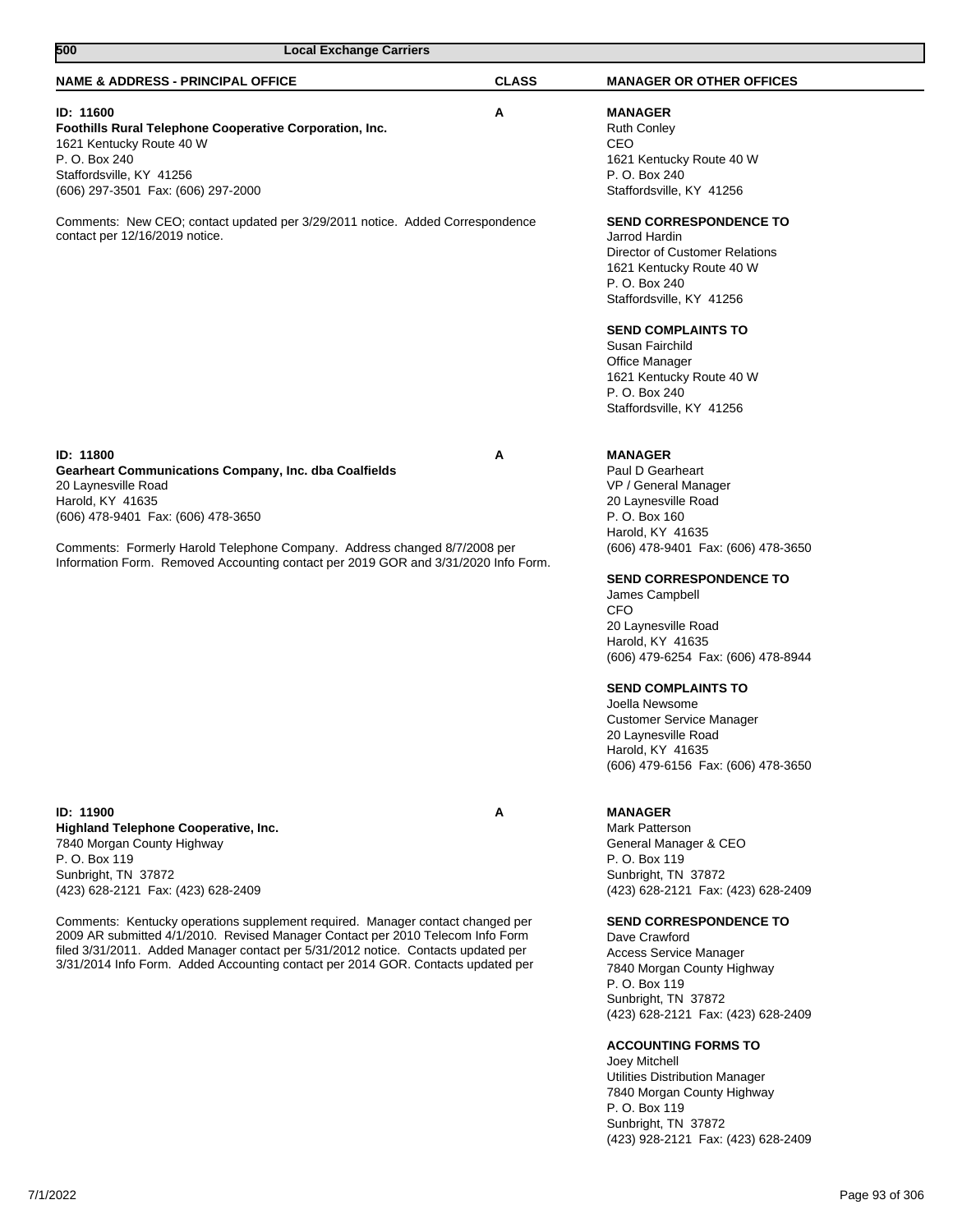| 500<br><b>Local Exchange Carriers</b>                                                                                                                                                                                                                                                                                                     |              |                                                                                                                                                                                                                                           |
|-------------------------------------------------------------------------------------------------------------------------------------------------------------------------------------------------------------------------------------------------------------------------------------------------------------------------------------------|--------------|-------------------------------------------------------------------------------------------------------------------------------------------------------------------------------------------------------------------------------------------|
| <b>NAME &amp; ADDRESS - PRINCIPAL OFFICE</b>                                                                                                                                                                                                                                                                                              | <b>CLASS</b> | <b>MANAGER OR OTHER OFFICES</b>                                                                                                                                                                                                           |
| ID: 11600<br>Foothills Rural Telephone Cooperative Corporation, Inc.<br>1621 Kentucky Route 40 W<br>P. O. Box 240<br>Staffordsville, KY 41256<br>(606) 297-3501 Fax: (606) 297-2000                                                                                                                                                       | A            | <b>MANAGER</b><br><b>Ruth Conley</b><br>CEO<br>1621 Kentucky Route 40 W<br>P. O. Box 240<br>Staffordsville, KY 41256                                                                                                                      |
| Comments: New CEO; contact updated per 3/29/2011 notice. Added Correspondence<br>contact per 12/16/2019 notice.                                                                                                                                                                                                                           |              | <b>SEND CORRESPONDENCE TO</b><br>Jarrod Hardin<br><b>Director of Customer Relations</b><br>1621 Kentucky Route 40 W<br>P. O. Box 240<br>Staffordsville, KY 41256<br><b>SEND COMPLAINTS TO</b><br>Susan Fairchild<br><b>Office Manager</b> |
|                                                                                                                                                                                                                                                                                                                                           |              | 1621 Kentucky Route 40 W<br>P. O. Box 240<br>Staffordsville, KY 41256                                                                                                                                                                     |
| ID: 11800<br><b>Gearheart Communications Company, Inc. dba Coalfields</b><br>20 Laynesville Road<br>Harold, KY 41635<br>(606) 478-9401 Fax: (606) 478-3650                                                                                                                                                                                | Α            | <b>MANAGER</b><br>Paul D Gearheart<br>VP / General Manager<br>20 Laynesville Road<br>P. O. Box 160<br>Harold, KY 41635                                                                                                                    |
| Comments: Formerly Harold Telephone Company. Address changed 8/7/2008 per<br>Information Form. Removed Accounting contact per 2019 GOR and 3/31/2020 Info Form.                                                                                                                                                                           |              | (606) 478-9401 Fax: (606) 478-3650<br><b>SEND CORRESPONDENCE TO</b><br>James Campbell<br><b>CFO</b><br>20 Laynesville Road<br>Harold, KY 41635<br>(606) 479-6254 Fax: (606) 478-8944                                                      |
|                                                                                                                                                                                                                                                                                                                                           |              | <b>SEND COMPLAINTS TO</b><br>Joella Newsome<br><b>Customer Service Manager</b><br>20 Laynesville Road<br>Harold, KY 41635<br>(606) 479-6156 Fax: (606) 478-3650                                                                           |
| ID: 11900<br>Highland Telephone Cooperative, Inc.<br>7840 Morgan County Highway<br>P. O. Box 119<br>Sunbright, TN 37872<br>(423) 628-2121 Fax: (423) 628-2409                                                                                                                                                                             | A            | <b>MANAGER</b><br>Mark Patterson<br>General Manager & CEO<br>P. O. Box 119<br>Sunbright, TN 37872<br>(423) 628-2121 Fax: (423) 628-2409                                                                                                   |
| Comments: Kentucky operations supplement required. Manager contact changed per<br>2009 AR submitted 4/1/2010. Revised Manager Contact per 2010 Telecom Info Form<br>filed 3/31/2011. Added Manager contact per 5/31/2012 notice. Contacts updated per<br>3/31/2014 Info Form. Added Accounting contact per 2014 GOR. Contacts updated per |              | <b>SEND CORRESPONDENCE TO</b><br>Dave Crawford<br>Access Service Manager<br>7840 Morgan County Highway<br>P. O. Box 119<br>Sunbright, TN 37872<br>(423) 628-2121 Fax: (423) 628-2409                                                      |
|                                                                                                                                                                                                                                                                                                                                           |              | <b>ACCOUNTING FORMS TO</b><br>Joey Mitchell<br><b>Utilities Distribution Manager</b><br>7840 Morgan County Highway<br>P. O. Box 119<br>Sunbright, TN 37872                                                                                |

(423) 928-2121 Fax: (423) 628-2409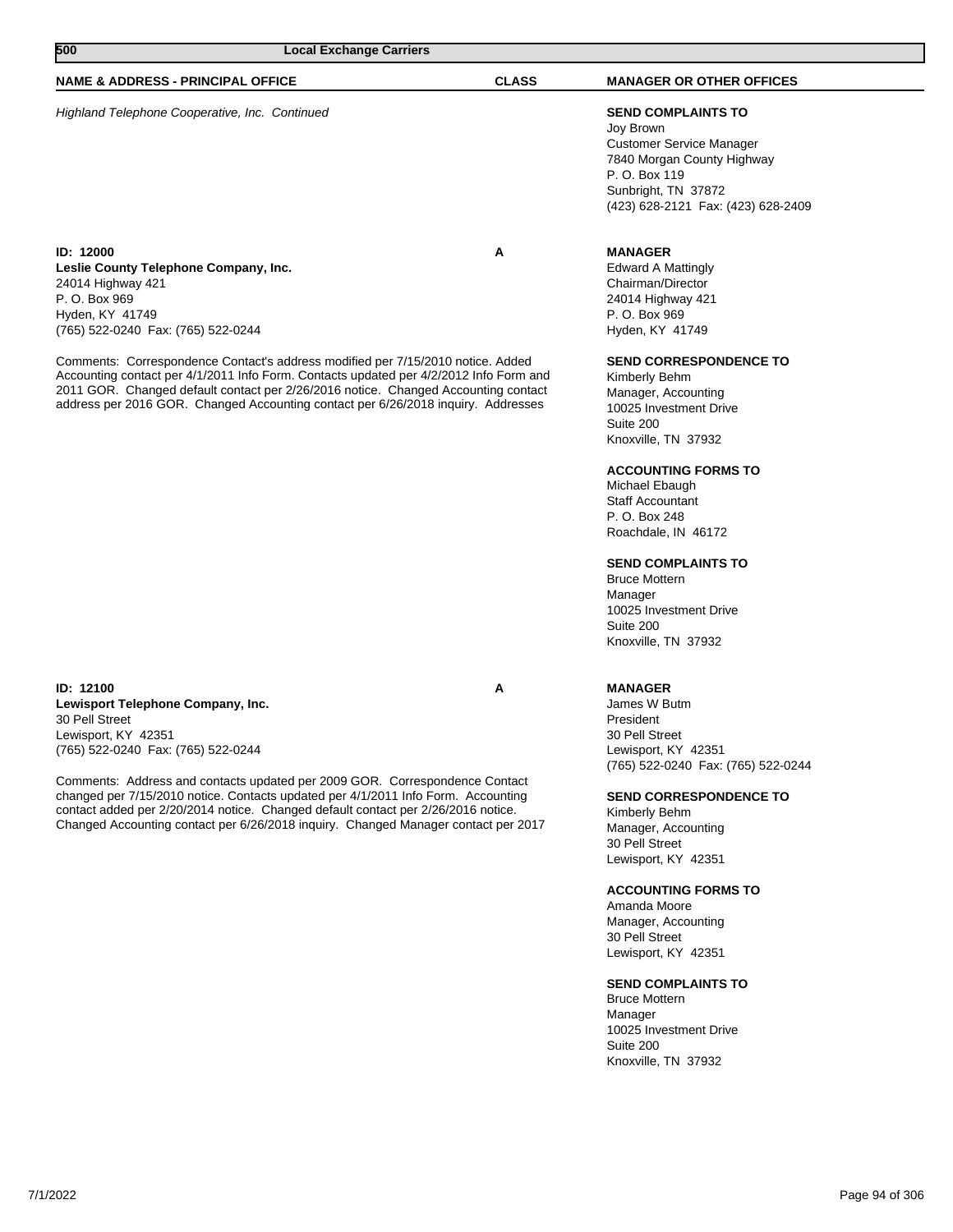| 500                                                                                                                                                      | <b>Local Exchange Carriers</b>                                                                                                                                                                                                                                                                                                                       |              |                                                                                                                                                                                       |  |
|----------------------------------------------------------------------------------------------------------------------------------------------------------|------------------------------------------------------------------------------------------------------------------------------------------------------------------------------------------------------------------------------------------------------------------------------------------------------------------------------------------------------|--------------|---------------------------------------------------------------------------------------------------------------------------------------------------------------------------------------|--|
| <b>NAME &amp; ADDRESS - PRINCIPAL OFFICE</b>                                                                                                             |                                                                                                                                                                                                                                                                                                                                                      | <b>CLASS</b> | <b>MANAGER OR OTHER OFFICES</b>                                                                                                                                                       |  |
| Highland Telephone Cooperative, Inc. Continued                                                                                                           |                                                                                                                                                                                                                                                                                                                                                      |              | <b>SEND COMPLAINTS TO</b><br>Joy Brown<br><b>Customer Service Manager</b><br>7840 Morgan County Highway<br>P. O. Box 119<br>Sunbright, TN 37872<br>(423) 628-2121 Fax: (423) 628-2409 |  |
| <b>ID: 12000</b><br>Leslie County Telephone Company, Inc.<br>24014 Highway 421<br>P. O. Box 969<br>Hyden, KY 41749<br>(765) 522-0240 Fax: (765) 522-0244 |                                                                                                                                                                                                                                                                                                                                                      | A            | <b>MANAGER</b><br>Edward A Mattingly<br>Chairman/Director<br>24014 Highway 421<br>P. O. Box 969<br>Hyden, KY 41749                                                                    |  |
|                                                                                                                                                          | Comments: Correspondence Contact's address modified per 7/15/2010 notice. Added<br>Accounting contact per 4/1/2011 Info Form. Contacts updated per 4/2/2012 Info Form and<br>2011 GOR. Changed default contact per 2/26/2016 notice. Changed Accounting contact<br>address per 2016 GOR. Changed Accounting contact per 6/26/2018 inquiry. Addresses |              | <b>SEND CORRESPONDENCE TO</b><br>Kimberly Behm<br>Manager, Accounting<br>10025 Investment Drive                                                                                       |  |

### **ID: 12100 A Lewisport Telephone Company, Inc.** 30 Pell Street Lewisport, KY 42351 (765) 522-0240 Fax: (765) 522-0244

Comments: Address and contacts updated per 2009 GOR. Correspondence Contact changed per 7/15/2010 notice. Contacts updated per 4/1/2011 Info Form. Accounting contact added per 2/20/2014 notice. Changed default contact per 2/26/2016 notice. Changed Accounting contact per 6/26/2018 inquiry. Changed Manager contact per 2017

# **MANAGER**

James W Butm President 30 Pell Street Lewisport, KY 42351 (765) 522-0240 Fax: (765) 522-0244

# **SEND CORRESPONDENCE TO**

Kimberly Behm Manager, Accounting 30 Pell Street Lewisport, KY 42351

10025 Investment Drive

**ACCOUNTING FORMS TO**

**SEND COMPLAINTS TO**

10025 Investment Drive

Knoxville, TN 37932

Knoxville, TN 37932

Michael Ebaugh Staff Accountant P. O. Box 248 Roachdale, IN 46172

Bruce Mottern Manager

Suite 200

Suite 200

# **ACCOUNTING FORMS TO**

Amanda Moore Manager, Accounting 30 Pell Street Lewisport, KY 42351

### **SEND COMPLAINTS TO**

Bruce Mottern Manager 10025 Investment Drive Suite 200 Knoxville, TN 37932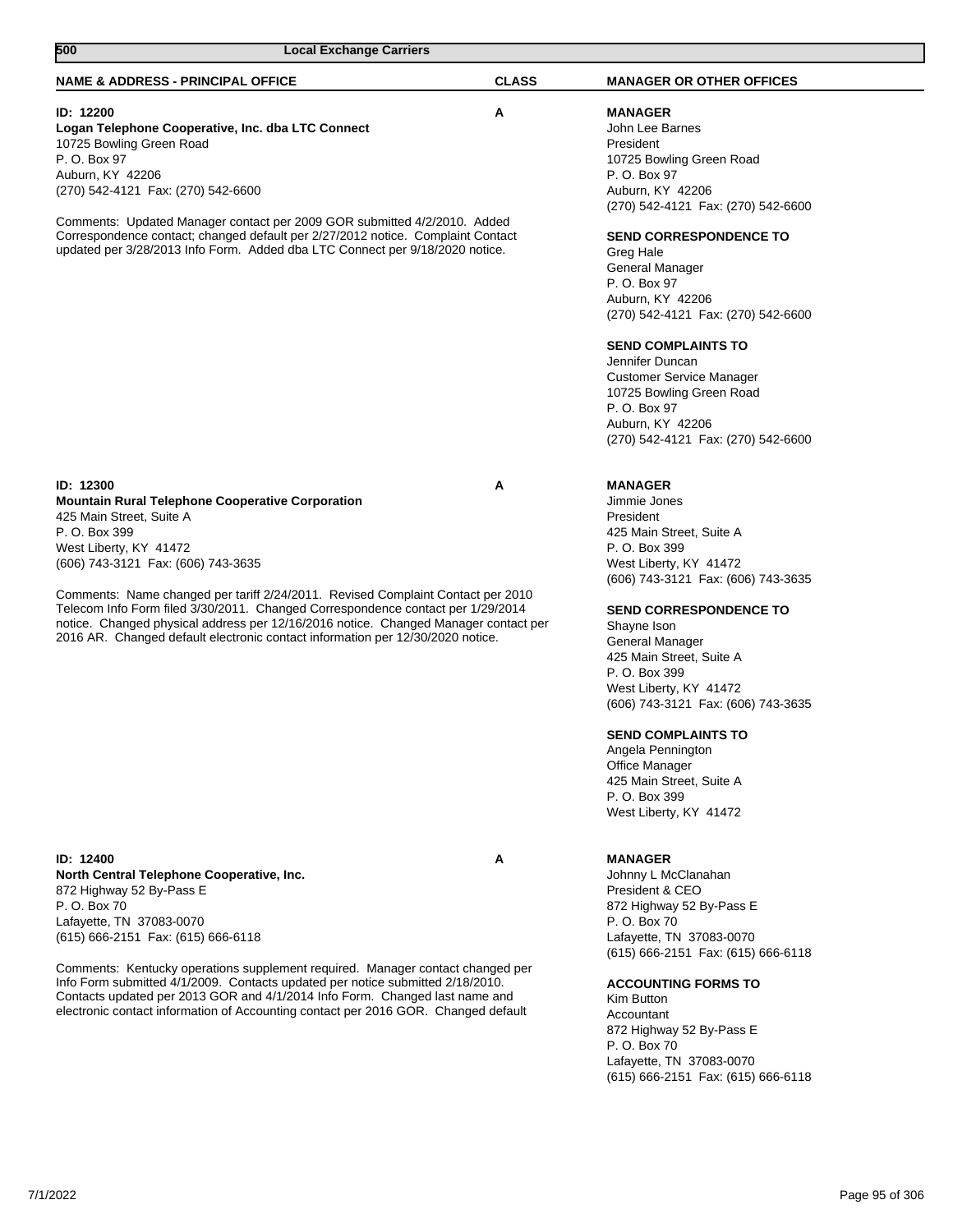| 500<br><b>Local Exchange Carriers</b>                                                                                                                           |              |                                                        |
|-----------------------------------------------------------------------------------------------------------------------------------------------------------------|--------------|--------------------------------------------------------|
| <b>NAME &amp; ADDRESS - PRINCIPAL OFFICE</b>                                                                                                                    | <b>CLASS</b> | <b>MANAGER OR OTHER OFFICES</b>                        |
| ID: 12200                                                                                                                                                       | А            | <b>MANAGER</b>                                         |
| Logan Telephone Cooperative, Inc. dba LTC Connect                                                                                                               |              | John Lee Barnes                                        |
| 10725 Bowling Green Road                                                                                                                                        |              | President                                              |
| P. O. Box 97                                                                                                                                                    |              | 10725 Bowling Green Road                               |
| Auburn, KY 42206                                                                                                                                                |              | P. O. Box 97                                           |
| (270) 542-4121 Fax: (270) 542-6600                                                                                                                              |              | Auburn, KY 42206                                       |
|                                                                                                                                                                 |              | (270) 542-4121 Fax: (270) 542-6600                     |
| Comments: Updated Manager contact per 2009 GOR submitted 4/2/2010. Added                                                                                        |              |                                                        |
| Correspondence contact; changed default per 2/27/2012 notice. Complaint Contact<br>updated per 3/28/2013 Info Form. Added dba LTC Connect per 9/18/2020 notice. |              | <b>SEND CORRESPONDENCE TO</b>                          |
|                                                                                                                                                                 |              | Greg Hale                                              |
|                                                                                                                                                                 |              | General Manager                                        |
|                                                                                                                                                                 |              | P. O. Box 97                                           |
|                                                                                                                                                                 |              | Auburn, KY 42206<br>(270) 542-4121 Fax: (270) 542-6600 |
|                                                                                                                                                                 |              |                                                        |
|                                                                                                                                                                 |              | <b>SEND COMPLAINTS TO</b>                              |
|                                                                                                                                                                 |              | Jennifer Duncan                                        |
|                                                                                                                                                                 |              | <b>Customer Service Manager</b>                        |
|                                                                                                                                                                 |              | 10725 Bowling Green Road                               |
|                                                                                                                                                                 |              | P. O. Box 97                                           |
|                                                                                                                                                                 |              | Auburn, KY 42206                                       |
|                                                                                                                                                                 |              | (270) 542-4121 Fax: (270) 542-6600                     |
|                                                                                                                                                                 |              |                                                        |
| <b>ID: 12300</b>                                                                                                                                                | А            | <b>MANAGER</b>                                         |
| <b>Mountain Rural Telephone Cooperative Corporation</b>                                                                                                         |              | Jimmie Jones                                           |
| 425 Main Street, Suite A                                                                                                                                        |              | President                                              |
| P. O. Box 399                                                                                                                                                   |              | 425 Main Street, Suite A                               |
| West Liberty, KY 41472                                                                                                                                          |              | P. O. Box 399                                          |
| (606) 743-3121 Fax: (606) 743-3635                                                                                                                              |              | West Liberty, KY 41472                                 |
|                                                                                                                                                                 |              | (606) 743-3121 Fax: (606) 743-3635                     |
| Comments: Name changed per tariff 2/24/2011. Revised Complaint Contact per 2010                                                                                 |              |                                                        |
| Telecom Info Form filed 3/30/2011. Changed Correspondence contact per 1/29/2014                                                                                 |              | <b>SEND CORRESPONDENCE TO</b>                          |
| notice. Changed physical address per 12/16/2016 notice. Changed Manager contact per                                                                             |              | Shayne Ison                                            |
| 2016 AR. Changed default electronic contact information per 12/30/2020 notice.                                                                                  |              | General Manager                                        |
|                                                                                                                                                                 |              | 425 Main Street, Suite A                               |
|                                                                                                                                                                 |              | P. O. Box 399                                          |
|                                                                                                                                                                 |              | West Liberty, KY 41472                                 |
|                                                                                                                                                                 |              | (606) 743-3121 Fax: (606) 743-3635                     |
|                                                                                                                                                                 |              | <b>SEND COMPLAINTS TO</b>                              |
|                                                                                                                                                                 |              | Angela Pennington                                      |
|                                                                                                                                                                 |              | Office Manager                                         |
|                                                                                                                                                                 |              | 425 Main Street, Suite A                               |
|                                                                                                                                                                 |              | P. O. Box 399                                          |
|                                                                                                                                                                 |              | West Liberty, KY 41472                                 |
|                                                                                                                                                                 |              |                                                        |
| ID: 12400                                                                                                                                                       | Α            | <b>MANAGER</b>                                         |
| North Central Telephone Cooperative, Inc.                                                                                                                       |              | Johnny L McClanahan                                    |
| 872 Highway 52 By-Pass E                                                                                                                                        |              | President & CEO                                        |
| P. O. Box 70                                                                                                                                                    |              | 872 Highway 52 By-Pass E                               |
| Lafayette, TN 37083-0070                                                                                                                                        |              | P. O. Box 70                                           |
| (615) 666-2151 Fax: (615) 666-6118                                                                                                                              |              | Lafayette, TN 37083-0070                               |
|                                                                                                                                                                 |              | (615) 666-2151 Fax: (615) 666-6118                     |
| Comments: Kentucky operations supplement required. Manager contact changed per                                                                                  |              |                                                        |
| Info Form submitted 4/1/2009. Contacts updated per notice submitted 2/18/2010.                                                                                  |              | <b>ACCOUNTING FORMS TO</b>                             |
| Contacts updated per 2013 GOR and 4/1/2014 Info Form. Changed last name and                                                                                     |              | Kim Button                                             |
| electronic contact information of Accounting contact per 2016 GOR. Changed default                                                                              |              | Accountant                                             |
|                                                                                                                                                                 |              | 872 Highway 52 By-Pass E                               |
|                                                                                                                                                                 |              | P. O. Box 70                                           |
|                                                                                                                                                                 |              | Lafayette, TN 37083-0070                               |
|                                                                                                                                                                 |              | (615) 666-2151 Fax: (615) 666-6118                     |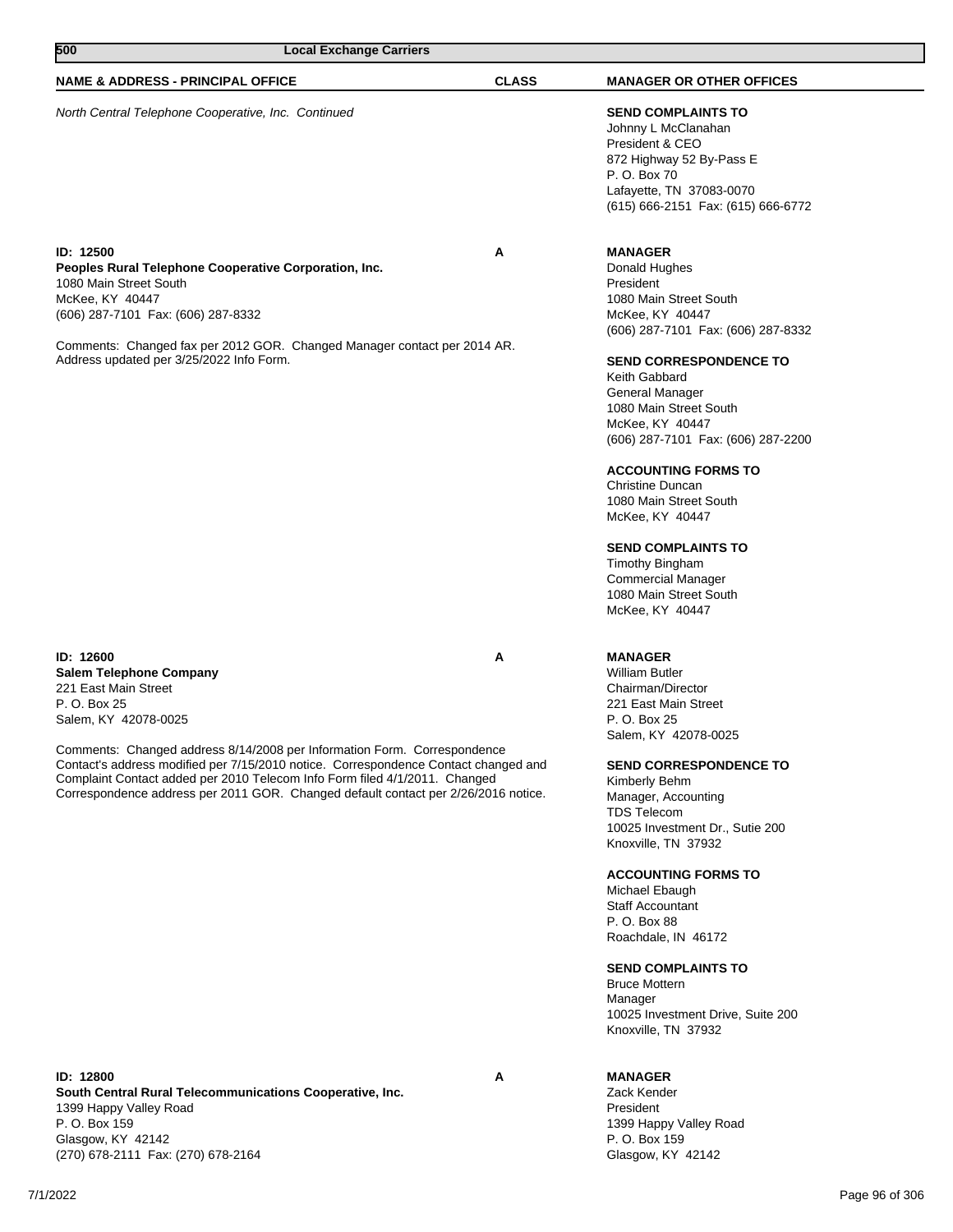| 500<br><b>Local Exchange Carriers</b>                                                                                                                                                                                                                                         |              |                                                                                                                                                                                                                                                                                                                                                                                                                                                                                   |
|-------------------------------------------------------------------------------------------------------------------------------------------------------------------------------------------------------------------------------------------------------------------------------|--------------|-----------------------------------------------------------------------------------------------------------------------------------------------------------------------------------------------------------------------------------------------------------------------------------------------------------------------------------------------------------------------------------------------------------------------------------------------------------------------------------|
| <b>NAME &amp; ADDRESS - PRINCIPAL OFFICE</b>                                                                                                                                                                                                                                  | <b>CLASS</b> | <b>MANAGER OR OTHER OFFICES</b>                                                                                                                                                                                                                                                                                                                                                                                                                                                   |
| North Central Telephone Cooperative, Inc. Continued                                                                                                                                                                                                                           |              | <b>SEND COMPLAINTS TO</b><br>Johnny L McClanahan<br>President & CEO<br>872 Highway 52 By-Pass E<br>P. O. Box 70<br>Lafayette, TN 37083-0070<br>(615) 666-2151 Fax: (615) 666-6772                                                                                                                                                                                                                                                                                                 |
| ID: 12500<br>Peoples Rural Telephone Cooperative Corporation, Inc.<br>1080 Main Street South<br>McKee, KY 40447<br>(606) 287-7101 Fax: (606) 287-8332<br>Comments: Changed fax per 2012 GOR. Changed Manager contact per 2014 AR.<br>Address updated per 3/25/2022 Info Form. | A            | <b>MANAGER</b><br>Donald Hughes<br>President<br>1080 Main Street South<br>McKee, KY 40447<br>(606) 287-7101 Fax: (606) 287-8332<br><b>SEND CORRESPONDENCE TO</b><br>Keith Gabbard<br><b>General Manager</b><br>1080 Main Street South<br>McKee, KY 40447<br>(606) 287-7101 Fax: (606) 287-2200<br><b>ACCOUNTING FORMS TO</b><br><b>Christine Duncan</b><br>1080 Main Street South<br>McKee, KY 40447<br><b>SEND COMPLAINTS TO</b><br>Timothy Bingham<br><b>Commercial Manager</b> |

**ID: 12600 A Salem Telephone Company** 221 East Main Street P. O. Box 25 Salem, KY 42078-0025

Comments: Changed address 8/14/2008 per Information Form. Correspondence Contact's address modified per 7/15/2010 notice. Correspondence Contact changed and Complaint Contact added per 2010 Telecom Info Form filed 4/1/2011. Changed Correspondence address per 2011 GOR. Changed default contact per 2/26/2016 notice.

**ID: 12800 A South Central Rural Telecommunications Cooperative, Inc.** 1399 Happy Valley Road P. O. Box 159 Glasgow, KY 42142 (270) 678-2111 Fax: (270) 678-2164

# **MANAGER**

Zack Kender President 1399 Happy Valley Road P. O. Box 159 Glasgow, KY 42142

1080 Main Street South McKee, KY 40447

Salem, KY 42078-0025

Kimberly Behm Manager, Accounting TDS Telecom

Knoxville, TN 37932

Michael Ebaugh Staff Accountant P. O. Box 88 Roachdale, IN 46172

Bruce Mottern Manager

**SEND CORRESPONDENCE TO**

10025 Investment Dr., Sutie 200

**ACCOUNTING FORMS TO**

**SEND COMPLAINTS TO**

Knoxville, TN 37932

10025 Investment Drive, Suite 200

**MANAGER** William Butler Chairman/Director 221 East Main Street P. O. Box 25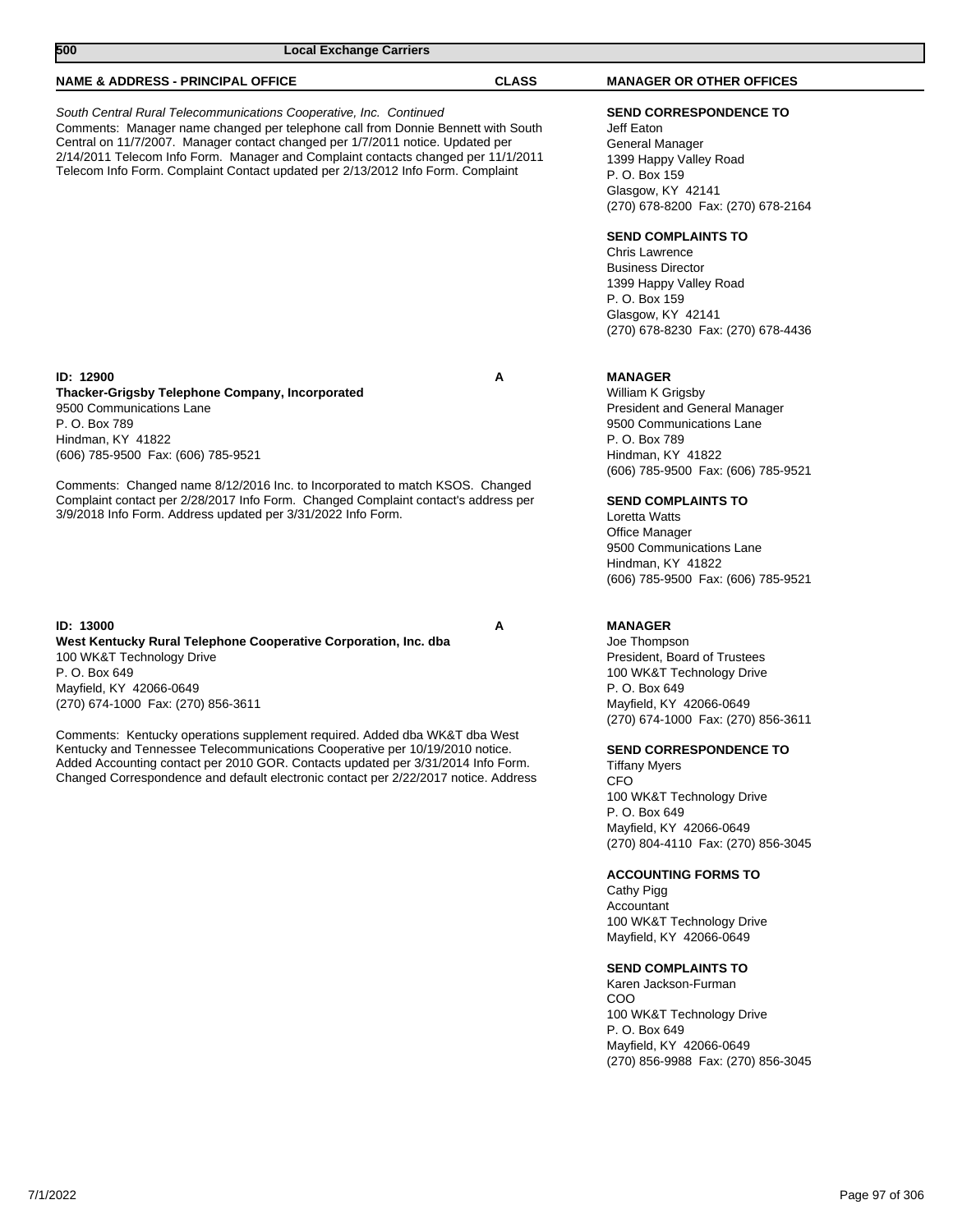| 500<br><b>Local Exchange Carriers</b>                                                                                                                                                                                                                                                                                                                                                                                                                                                                                                |              |                                                                                                                                                                                                                                                                                                                                                                                                                                                                                                                                            |
|--------------------------------------------------------------------------------------------------------------------------------------------------------------------------------------------------------------------------------------------------------------------------------------------------------------------------------------------------------------------------------------------------------------------------------------------------------------------------------------------------------------------------------------|--------------|--------------------------------------------------------------------------------------------------------------------------------------------------------------------------------------------------------------------------------------------------------------------------------------------------------------------------------------------------------------------------------------------------------------------------------------------------------------------------------------------------------------------------------------------|
| <b>NAME &amp; ADDRESS - PRINCIPAL OFFICE</b>                                                                                                                                                                                                                                                                                                                                                                                                                                                                                         | <b>CLASS</b> | <b>MANAGER OR OTHER OFFICES</b>                                                                                                                                                                                                                                                                                                                                                                                                                                                                                                            |
| South Central Rural Telecommunications Cooperative, Inc. Continued<br>Comments: Manager name changed per telephone call from Donnie Bennett with South<br>Central on 11/7/2007. Manager contact changed per 1/7/2011 notice. Updated per<br>2/14/2011 Telecom Info Form. Manager and Complaint contacts changed per 11/1/2011<br>Telecom Info Form. Complaint Contact updated per 2/13/2012 Info Form. Complaint                                                                                                                     |              | <b>SEND CORRESPONDENCE TO</b><br>Jeff Eaton<br>General Manager<br>1399 Happy Valley Road<br>P. O. Box 159<br>Glasgow, KY 42141<br>(270) 678-8200 Fax: (270) 678-2164<br><b>SEND COMPLAINTS TO</b><br><b>Chris Lawrence</b><br><b>Business Director</b><br>1399 Happy Valley Road<br>P. O. Box 159<br>Glasgow, KY 42141<br>(270) 678-8230 Fax: (270) 678-4436                                                                                                                                                                               |
| <b>ID: 12900</b><br>Thacker-Grigsby Telephone Company, Incorporated<br>9500 Communications Lane<br>P. O. Box 789<br>Hindman, KY 41822<br>(606) 785-9500 Fax: (606) 785-9521<br>Comments: Changed name 8/12/2016 Inc. to Incorporated to match KSOS. Changed<br>Complaint contact per 2/28/2017 Info Form. Changed Complaint contact's address per<br>3/9/2018 Info Form. Address updated per 3/31/2022 Info Form.                                                                                                                    | A            | <b>MANAGER</b><br>William K Grigsby<br><b>President and General Manager</b><br>9500 Communications Lane<br>P. O. Box 789<br>Hindman, KY 41822<br>(606) 785-9500 Fax: (606) 785-9521<br><b>SEND COMPLAINTS TO</b><br>Loretta Watts<br>Office Manager<br>9500 Communications Lane<br>Hindman, KY 41822<br>(606) 785-9500 Fax: (606) 785-9521                                                                                                                                                                                                 |
| ID: 13000<br>West Kentucky Rural Telephone Cooperative Corporation, Inc. dba<br>100 WK&T Technology Drive<br>P. O. Box 649<br>Mayfield, KY 42066-0649<br>(270) 674-1000 Fax: (270) 856-3611<br>Comments: Kentucky operations supplement required. Added dba WK&T dba West<br>Kentucky and Tennessee Telecommunications Cooperative per 10/19/2010 notice.<br>Added Accounting contact per 2010 GOR. Contacts updated per 3/31/2014 Info Form.<br>Changed Correspondence and default electronic contact per 2/22/2017 notice. Address | A            | <b>MANAGER</b><br>Joe Thompson<br>President, Board of Trustees<br>100 WK&T Technology Drive<br>P. O. Box 649<br>Mayfield, KY 42066-0649<br>(270) 674-1000 Fax: (270) 856-3611<br><b>SEND CORRESPONDENCE TO</b><br><b>Tiffany Myers</b><br><b>CFO</b><br>100 WK&T Technology Drive<br>P. O. Box 649<br>Mayfield, KY 42066-0649<br>(270) 804-4110 Fax: (270) 856-3045<br><b>ACCOUNTING FORMS TO</b><br>Cathy Pigg<br>Accountant<br>100 WK&T Technology Drive<br>Mayfield, KY 42066-0649<br><b>SEND COMPLAINTS TO</b><br>Karen Jackson-Furman |
|                                                                                                                                                                                                                                                                                                                                                                                                                                                                                                                                      |              | COO<br>100 WK&T Technology Drive<br>P. O. Box 649<br>Mayfield, KY 42066-0649                                                                                                                                                                                                                                                                                                                                                                                                                                                               |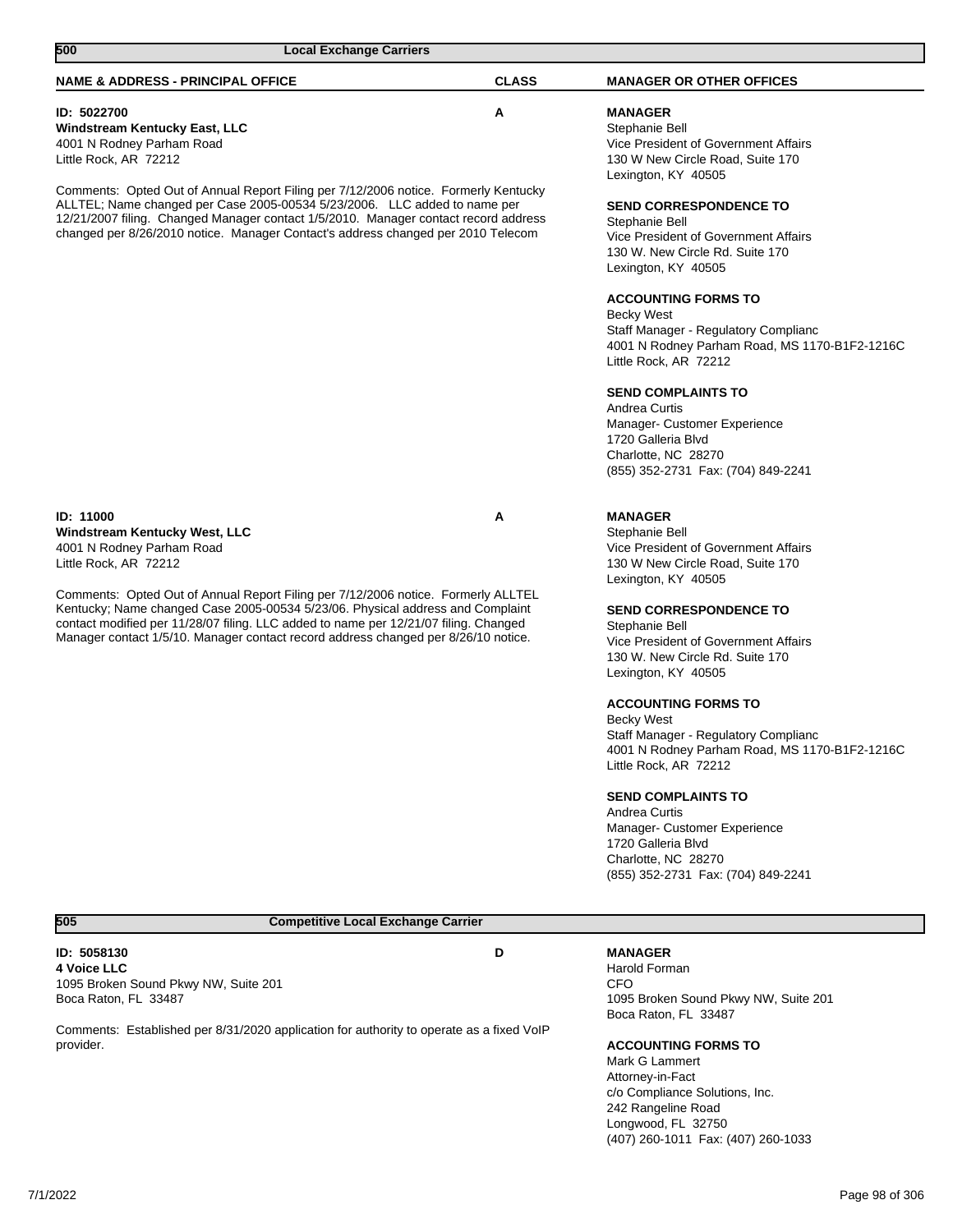| 500<br><b>Local Exchange Carriers</b>                                                                                                                                                                                                                                                                                                             |              |                                                                                                                                                               |
|---------------------------------------------------------------------------------------------------------------------------------------------------------------------------------------------------------------------------------------------------------------------------------------------------------------------------------------------------|--------------|---------------------------------------------------------------------------------------------------------------------------------------------------------------|
| <b>NAME &amp; ADDRESS - PRINCIPAL OFFICE</b>                                                                                                                                                                                                                                                                                                      | <b>CLASS</b> | <b>MANAGER OR OTHER OFFICES</b>                                                                                                                               |
| ID: 5022700<br>Windstream Kentucky East, LLC<br>4001 N Rodney Parham Road<br>Little Rock, AR 72212                                                                                                                                                                                                                                                | A            | <b>MANAGER</b><br>Stephanie Bell<br>Vice President of Government Affairs<br>130 W New Circle Road, Suite 170<br>Lexington, KY 40505                           |
| Comments: Opted Out of Annual Report Filing per 7/12/2006 notice. Formerly Kentucky<br>ALLTEL; Name changed per Case 2005-00534 5/23/2006. LLC added to name per<br>12/21/2007 filing. Changed Manager contact 1/5/2010. Manager contact record address<br>changed per 8/26/2010 notice. Manager Contact's address changed per 2010 Telecom       |              | <b>SEND CORRESPONDENCE TO</b><br>Stephanie Bell<br>Vice President of Government Affairs<br>130 W. New Circle Rd. Suite 170<br>Lexington, KY 40505             |
|                                                                                                                                                                                                                                                                                                                                                   |              | <b>ACCOUNTING FORMS TO</b><br>Becky West<br>Staff Manager - Regulatory Complianc<br>4001 N Rodney Parham Road, MS 1170-B1F2-1216C<br>Little Rock, AR 72212    |
|                                                                                                                                                                                                                                                                                                                                                   |              | <b>SEND COMPLAINTS TO</b><br>Andrea Curtis<br>Manager- Customer Experience<br>1720 Galleria Blvd<br>Charlotte, NC 28270<br>(855) 352-2731 Fax: (704) 849-2241 |
| <b>ID: 11000</b><br>Windstream Kentucky West, LLC<br>4001 N Rodney Parham Road<br>Little Rock, AR 72212                                                                                                                                                                                                                                           | Α            | <b>MANAGER</b><br>Stephanie Bell<br>Vice President of Government Affairs<br>130 W New Circle Road, Suite 170<br>Lexington, KY 40505                           |
| Comments: Opted Out of Annual Report Filing per 7/12/2006 notice. Formerly ALLTEL<br>Kentucky; Name changed Case 2005-00534 5/23/06. Physical address and Complaint<br>contact modified per 11/28/07 filing. LLC added to name per 12/21/07 filing. Changed<br>Manager contact 1/5/10. Manager contact record address changed per 8/26/10 notice. |              | <b>SEND CORRESPONDENCE TO</b><br>Stephanie Bell<br>Vice President of Government Affairs<br>130 W. New Circle Rd. Suite 170<br>Lexington, KY 40505             |
|                                                                                                                                                                                                                                                                                                                                                   |              | <b>ACCOUNTING FORMS TO</b><br>Becky West<br>Staff Manager - Regulatory Complianc<br>4001 N Rodney Parham Road, MS 1170-B1F2-1216C<br>Little Rock, AR 72212    |
|                                                                                                                                                                                                                                                                                                                                                   |              | <b>SEND COMPLAINTS TO</b><br>Andrea Curtis<br>Manager- Customer Experience<br>1720 Galleria Blvd<br>Charlotte, NC 28270<br>(855) 352-2731 Fax: (704) 849-2241 |
| <b>Competitive Local Exchange Carrier</b><br>505                                                                                                                                                                                                                                                                                                  |              |                                                                                                                                                               |
| ID: 5058130<br><b>4 Voice LLC</b><br>1095 Broken Sound Pkwy NW, Suite 201<br>Boca Raton, FL 33487                                                                                                                                                                                                                                                 | D            | <b>MANAGER</b><br>Harold Forman<br><b>CFO</b><br>1095 Broken Sound Pkwy NW, Suite 201                                                                         |
| Comments: Established per 8/31/2020 application for authority to operate as a fixed VoIP<br>provider.                                                                                                                                                                                                                                             |              | Boca Raton, FL 33487<br><b>ACCOUNTING FORMS TO</b><br>Mark G Lammert                                                                                          |

Attorney-in-Fact c/o Compliance Solutions, Inc. 242 Rangeline Road Longwood, FL 32750 (407) 260-1011 Fax: (407) 260-1033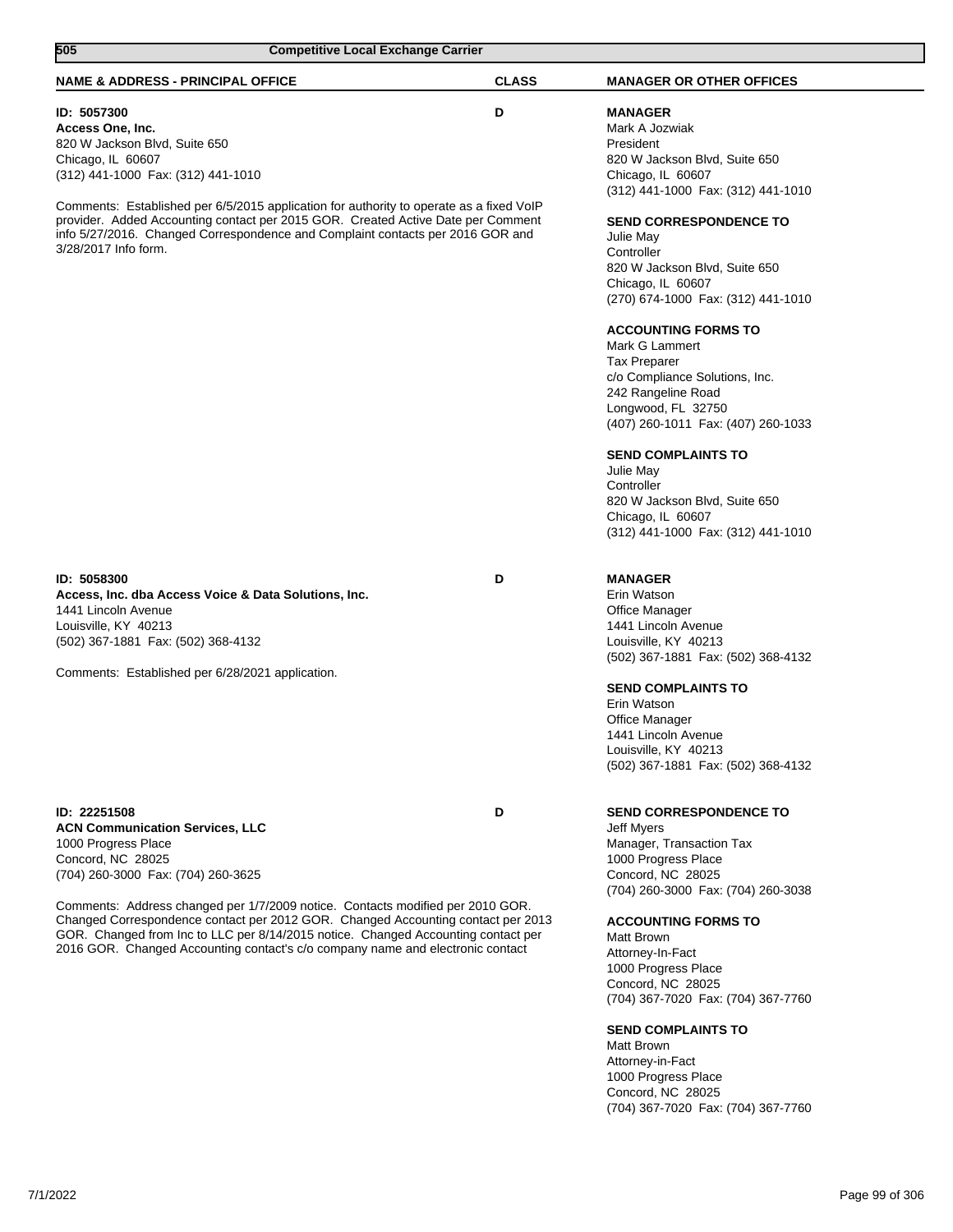| 505<br><b>Competitive Local Exchange Carrier</b>                                                                                                                                                                                                                                                                                                                                                                                                                                      |              |                                                                                                                                                                                                                                                                                                                                                                                                                                                                                                                                                                                                                                           |
|---------------------------------------------------------------------------------------------------------------------------------------------------------------------------------------------------------------------------------------------------------------------------------------------------------------------------------------------------------------------------------------------------------------------------------------------------------------------------------------|--------------|-------------------------------------------------------------------------------------------------------------------------------------------------------------------------------------------------------------------------------------------------------------------------------------------------------------------------------------------------------------------------------------------------------------------------------------------------------------------------------------------------------------------------------------------------------------------------------------------------------------------------------------------|
| <b>NAME &amp; ADDRESS - PRINCIPAL OFFICE</b>                                                                                                                                                                                                                                                                                                                                                                                                                                          | <b>CLASS</b> | <b>MANAGER OR OTHER OFFICES</b>                                                                                                                                                                                                                                                                                                                                                                                                                                                                                                                                                                                                           |
| ID: 5057300<br>Access One, Inc.<br>820 W Jackson Blvd, Suite 650<br>Chicago, IL 60607<br>(312) 441-1000 Fax: (312) 441-1010<br>Comments: Established per 6/5/2015 application for authority to operate as a fixed VoIP<br>provider. Added Accounting contact per 2015 GOR. Created Active Date per Comment<br>info 5/27/2016. Changed Correspondence and Complaint contacts per 2016 GOR and<br>3/28/2017 Info form.                                                                  | D            | <b>MANAGER</b><br>Mark A Jozwiak<br>President<br>820 W Jackson Blvd, Suite 650<br>Chicago, IL 60607<br>(312) 441-1000 Fax: (312) 441-1010<br><b>SEND CORRESPONDENCE TO</b><br>Julie May<br>Controller<br>820 W Jackson Blvd, Suite 650<br>Chicago, IL 60607<br>(270) 674-1000 Fax: (312) 441-1010<br><b>ACCOUNTING FORMS TO</b><br>Mark G Lammert<br>Tax Preparer<br>c/o Compliance Solutions, Inc.<br>242 Rangeline Road<br>Longwood, FL 32750<br>(407) 260-1011 Fax: (407) 260-1033<br><b>SEND COMPLAINTS TO</b><br>Julie May<br>Controller<br>820 W Jackson Blvd, Suite 650<br>Chicago, IL 60607<br>(312) 441-1000 Fax: (312) 441-1010 |
| ID: 5058300<br>Access, Inc. dba Access Voice & Data Solutions, Inc.<br>1441 Lincoln Avenue<br>Louisville, KY 40213<br>(502) 367-1881 Fax: (502) 368-4132<br>Comments: Established per 6/28/2021 application.                                                                                                                                                                                                                                                                          | D            | <b>MANAGER</b><br>Erin Watson<br>Office Manager<br>1441 Lincoln Avenue<br>Louisville, KY 40213<br>(502) 367-1881 Fax: (502) 368-4132<br><b>SEND COMPLAINTS TO</b><br>Erin Watson<br>Office Manager<br>1441 Lincoln Avenue<br>Louisville, KY 40213<br>(502) 367-1881 Fax: (502) 368-4132                                                                                                                                                                                                                                                                                                                                                   |
| ID: 22251508<br><b>ACN Communication Services, LLC</b><br>1000 Progress Place<br>Concord, NC 28025<br>(704) 260-3000 Fax: (704) 260-3625<br>Comments: Address changed per 1/7/2009 notice. Contacts modified per 2010 GOR.<br>Changed Correspondence contact per 2012 GOR. Changed Accounting contact per 2013<br>GOR. Changed from Inc to LLC per 8/14/2015 notice. Changed Accounting contact per<br>2016 GOR. Changed Accounting contact's c/o company name and electronic contact | D            | <b>SEND CORRESPONDENCE TO</b><br>Jeff Myers<br>Manager, Transaction Tax<br>1000 Progress Place<br>Concord, NC 28025<br>(704) 260-3000 Fax: (704) 260-3038<br><b>ACCOUNTING FORMS TO</b><br>Matt Brown<br>Attorney-In-Fact<br>1000 Progress Place<br>Concord, NC 28025<br>(704) 367-7020 Fax: (704) 367-7760<br><b>SEND COMPLAINTS TO</b><br>Matt Brown<br>Attorney-in-Fact<br>1000 Progress Place<br>Concord, NC 28025<br>(704) 367-7020 Fax: (704) 367-7760                                                                                                                                                                              |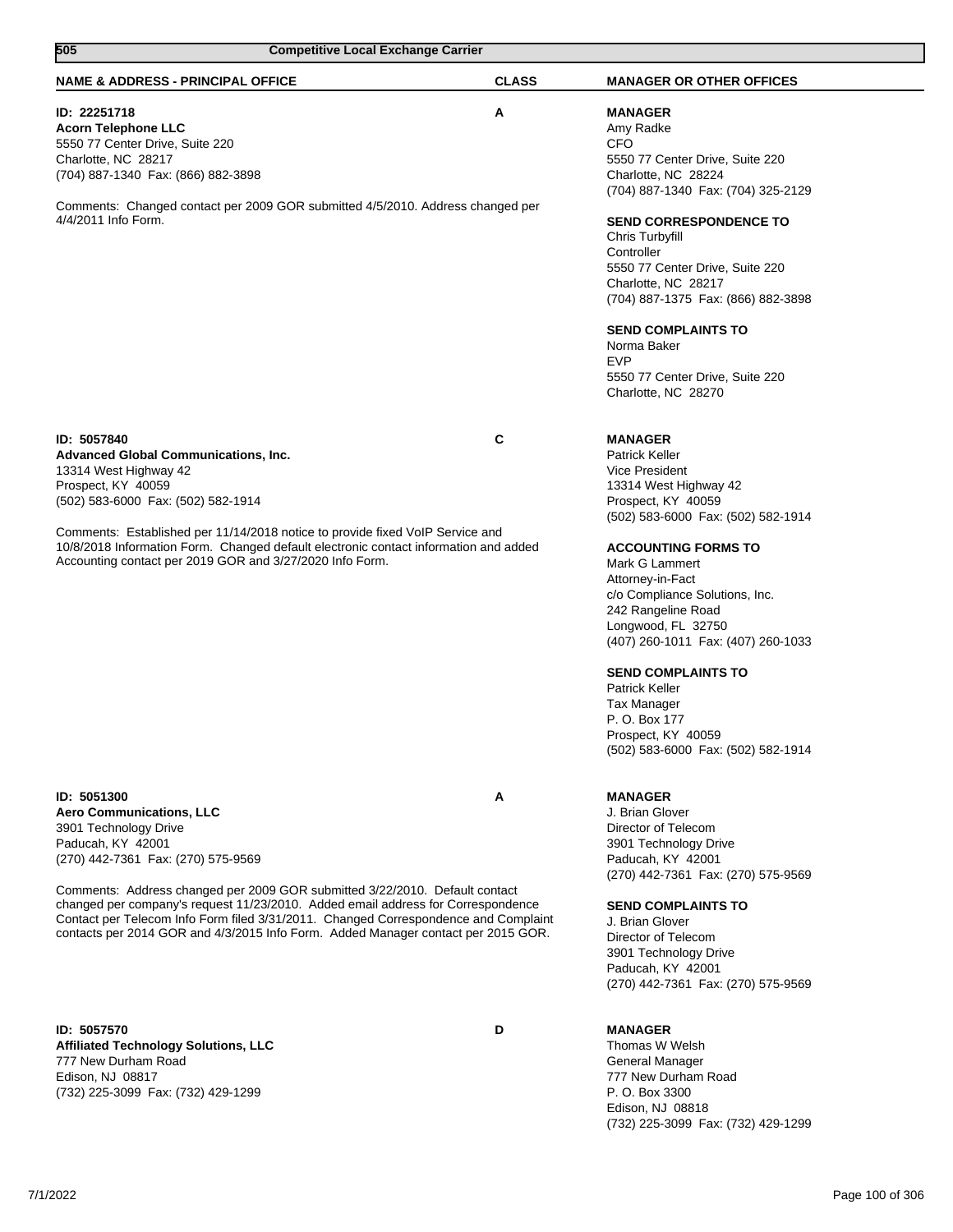| 505                                                                                                                                                                                                                                                                                                                                                                                                                                                                               | <b>Competitive Local Exchange Carrier</b> |                                                                                                                                                                                                                                                                                                                                                                                                                                                                                                 |  |
|-----------------------------------------------------------------------------------------------------------------------------------------------------------------------------------------------------------------------------------------------------------------------------------------------------------------------------------------------------------------------------------------------------------------------------------------------------------------------------------|-------------------------------------------|-------------------------------------------------------------------------------------------------------------------------------------------------------------------------------------------------------------------------------------------------------------------------------------------------------------------------------------------------------------------------------------------------------------------------------------------------------------------------------------------------|--|
| <b>NAME &amp; ADDRESS - PRINCIPAL OFFICE</b>                                                                                                                                                                                                                                                                                                                                                                                                                                      | <b>CLASS</b>                              | <b>MANAGER OR OTHER OFFICES</b>                                                                                                                                                                                                                                                                                                                                                                                                                                                                 |  |
| ID: 22251718<br><b>Acorn Telephone LLC</b><br>5550 77 Center Drive, Suite 220<br>Charlotte, NC 28217<br>(704) 887-1340 Fax: (866) 882-3898<br>Comments: Changed contact per 2009 GOR submitted 4/5/2010. Address changed per<br>4/4/2011 Info Form.                                                                                                                                                                                                                               | Α                                         | <b>MANAGER</b><br>Amy Radke<br><b>CFO</b><br>5550 77 Center Drive, Suite 220<br>Charlotte, NC 28224<br>(704) 887-1340 Fax: (704) 325-2129<br><b>SEND CORRESPONDENCE TO</b><br>Chris Turbyfill<br>Controller<br>5550 77 Center Drive, Suite 220<br>Charlotte, NC 28217<br>(704) 887-1375 Fax: (866) 882-3898<br><b>SEND COMPLAINTS TO</b><br>Norma Baker<br><b>EVP</b><br>5550 77 Center Drive, Suite 220<br>Charlotte, NC 28270                                                                 |  |
| ID: 5057840<br><b>Advanced Global Communications, Inc.</b><br>13314 West Highway 42<br>Prospect, KY 40059<br>(502) 583-6000 Fax: (502) 582-1914<br>Comments: Established per 11/14/2018 notice to provide fixed VoIP Service and<br>10/8/2018 Information Form. Changed default electronic contact information and added<br>Accounting contact per 2019 GOR and 3/27/2020 Info Form.                                                                                              | C                                         | <b>MANAGER</b><br><b>Patrick Keller</b><br>Vice President<br>13314 West Highway 42<br>Prospect, KY 40059<br>(502) 583-6000 Fax: (502) 582-1914<br><b>ACCOUNTING FORMS TO</b><br>Mark G Lammert<br>Attorney-in-Fact<br>c/o Compliance Solutions, Inc.<br>242 Rangeline Road<br>Longwood, FL 32750<br>(407) 260-1011 Fax: (407) 260-1033<br><b>SEND COMPLAINTS TO</b><br><b>Patrick Keller</b><br><b>Tax Manager</b><br>P. O. Box 177<br>Prospect, KY 40059<br>(502) 583-6000 Fax: (502) 582-1914 |  |
| ID: 5051300<br><b>Aero Communications, LLC</b><br>3901 Technology Drive<br>Paducah, KY 42001<br>(270) 442-7361 Fax: (270) 575-9569<br>Comments: Address changed per 2009 GOR submitted 3/22/2010. Default contact<br>changed per company's request 11/23/2010. Added email address for Correspondence<br>Contact per Telecom Info Form filed 3/31/2011. Changed Correspondence and Complaint<br>contacts per 2014 GOR and 4/3/2015 Info Form. Added Manager contact per 2015 GOR. | Α                                         | <b>MANAGER</b><br>J. Brian Glover<br>Director of Telecom<br>3901 Technology Drive<br>Paducah, KY 42001<br>(270) 442-7361 Fax: (270) 575-9569<br><b>SEND COMPLAINTS TO</b><br>J. Brian Glover<br>Director of Telecom<br>3901 Technology Drive<br>Paducah, KY 42001<br>(270) 442-7361 Fax: (270) 575-9569                                                                                                                                                                                         |  |
| ID: 5057570<br><b>Affiliated Technology Solutions, LLC</b><br>777 New Durham Road<br>Edison, NJ 08817<br>(732) 225-3099 Fax: (732) 429-1299                                                                                                                                                                                                                                                                                                                                       | D                                         | <b>MANAGER</b><br>Thomas W Welsh<br>General Manager<br>777 New Durham Road<br>P. O. Box 3300<br>Edison, NJ 08818                                                                                                                                                                                                                                                                                                                                                                                |  |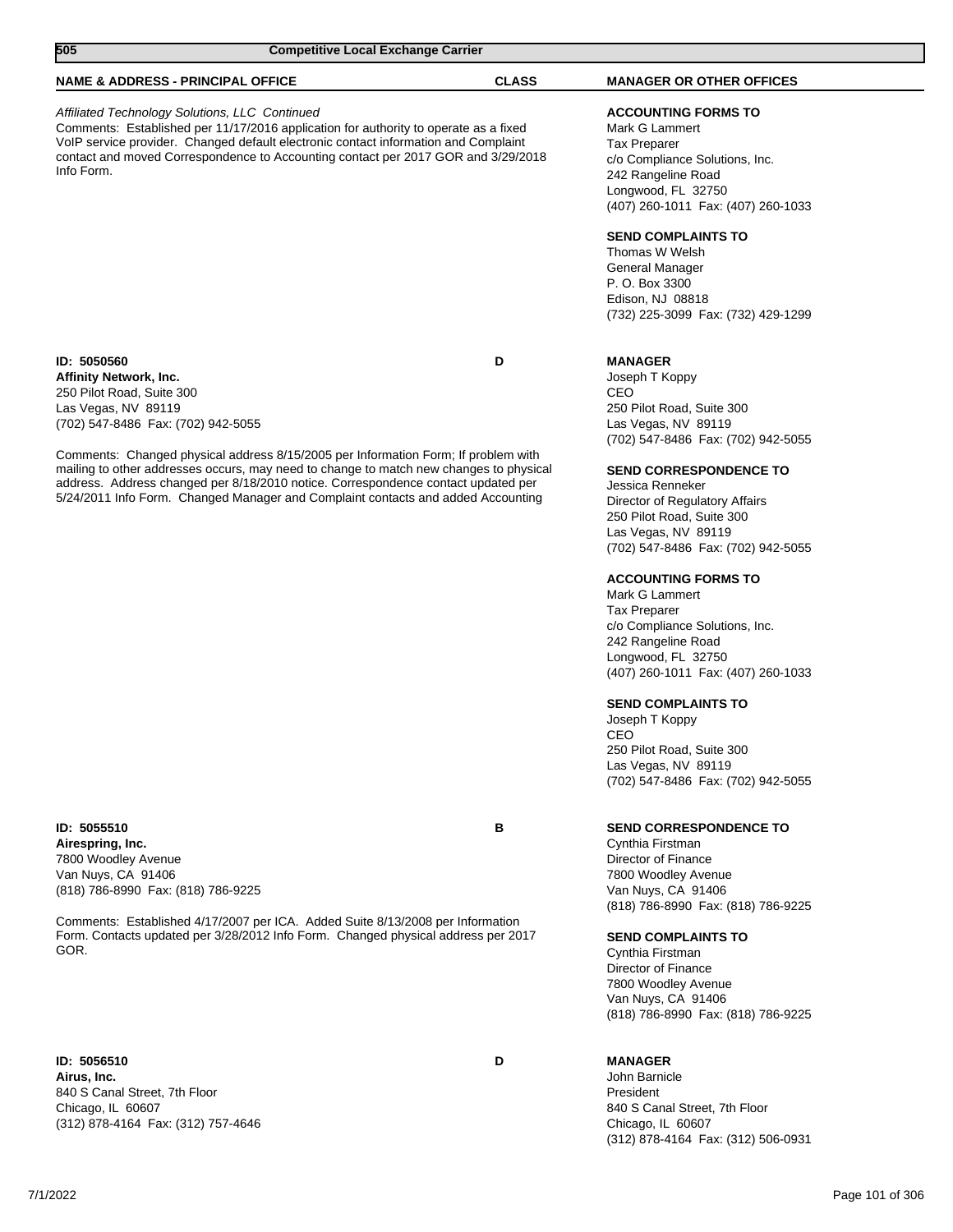| 505<br><b>Competitive Local Exchange Carrier</b>                                                                                                                                                                                                                                                                                                                                                                                                                                                |              |                                                                                                                                                                                                                                                                                                                    |
|-------------------------------------------------------------------------------------------------------------------------------------------------------------------------------------------------------------------------------------------------------------------------------------------------------------------------------------------------------------------------------------------------------------------------------------------------------------------------------------------------|--------------|--------------------------------------------------------------------------------------------------------------------------------------------------------------------------------------------------------------------------------------------------------------------------------------------------------------------|
| <b>NAME &amp; ADDRESS - PRINCIPAL OFFICE</b>                                                                                                                                                                                                                                                                                                                                                                                                                                                    | <b>CLASS</b> | <b>MANAGER OR OTHER OFFICES</b>                                                                                                                                                                                                                                                                                    |
| Affiliated Technology Solutions, LLC Continued<br>Comments: Established per 11/17/2016 application for authority to operate as a fixed<br>VoIP service provider. Changed default electronic contact information and Complaint<br>contact and moved Correspondence to Accounting contact per 2017 GOR and 3/29/2018<br>Info Form.                                                                                                                                                                |              | <b>ACCOUNTING FORMS TO</b><br>Mark G Lammert<br><b>Tax Preparer</b><br>c/o Compliance Solutions, Inc.<br>242 Rangeline Road<br>Longwood, FL 32750<br>(407) 260-1011 Fax: (407) 260-1033<br><b>SEND COMPLAINTS TO</b><br>Thomas W Welsh<br>General Manager<br>P. O. Box 3300                                        |
|                                                                                                                                                                                                                                                                                                                                                                                                                                                                                                 |              | Edison, NJ 08818<br>(732) 225-3099 Fax: (732) 429-1299                                                                                                                                                                                                                                                             |
| ID: 5050560<br><b>Affinity Network, Inc.</b><br>250 Pilot Road, Suite 300<br>Las Vegas, NV 89119<br>(702) 547-8486 Fax: (702) 942-5055<br>Comments: Changed physical address 8/15/2005 per Information Form; If problem with<br>mailing to other addresses occurs, may need to change to match new changes to physical<br>address. Address changed per 8/18/2010 notice. Correspondence contact updated per<br>5/24/2011 Info Form. Changed Manager and Complaint contacts and added Accounting | D            | <b>MANAGER</b><br>Joseph T Koppy<br>CEO<br>250 Pilot Road, Suite 300<br>Las Vegas, NV 89119<br>(702) 547-8486 Fax: (702) 942-5055<br><b>SEND CORRESPONDENCE TO</b><br>Jessica Renneker<br>Director of Regulatory Affairs<br>250 Pilot Road, Suite 300<br>Las Vegas, NV 89119<br>(702) 547-8486 Fax: (702) 942-5055 |
|                                                                                                                                                                                                                                                                                                                                                                                                                                                                                                 |              | <b>ACCOUNTING FORMS TO</b><br>Mark G Lammert<br><b>Tax Preparer</b><br>c/o Compliance Solutions, Inc.<br>242 Rangeline Road<br>Longwood, FL 32750<br>(407) 260-1011 Fax: (407) 260-1033                                                                                                                            |
|                                                                                                                                                                                                                                                                                                                                                                                                                                                                                                 |              | <b>SEND COMPLAINTS TO</b><br>Joseph T Koppy                                                                                                                                                                                                                                                                        |

**ID: 5055510 B Airespring, Inc.** 7800 Woodley Avenue Van Nuys, CA 91406 (818) 786-8990 Fax: (818) 786-9225

Comments: Established 4/17/2007 per ICA. Added Suite 8/13/2008 per Information Form. Contacts updated per 3/28/2012 Info Form. Changed physical address per 2017 GOR.

**ID: 5056510 D Airus, Inc.** 840 S Canal Street, 7th Floor Chicago, IL 60607 (312) 878-4164 Fax: (312) 757-4646

# **SEND CORRESPONDENCE TO**

250 Pilot Road, Suite 300 Las Vegas, NV 89119

Cynthia Firstman Director of Finance 7800 Woodley Avenue Van Nuys, CA 91406 (818) 786-8990 Fax: (818) 786-9225

(702) 547-8486 Fax: (702) 942-5055

### **SEND COMPLAINTS TO**

Cynthia Firstman Director of Finance 7800 Woodley Avenue Van Nuys, CA 91406 (818) 786-8990 Fax: (818) 786-9225

# **MANAGER**

CEO

John Barnicle President 840 S Canal Street, 7th Floor Chicago, IL 60607 (312) 878-4164 Fax: (312) 506-0931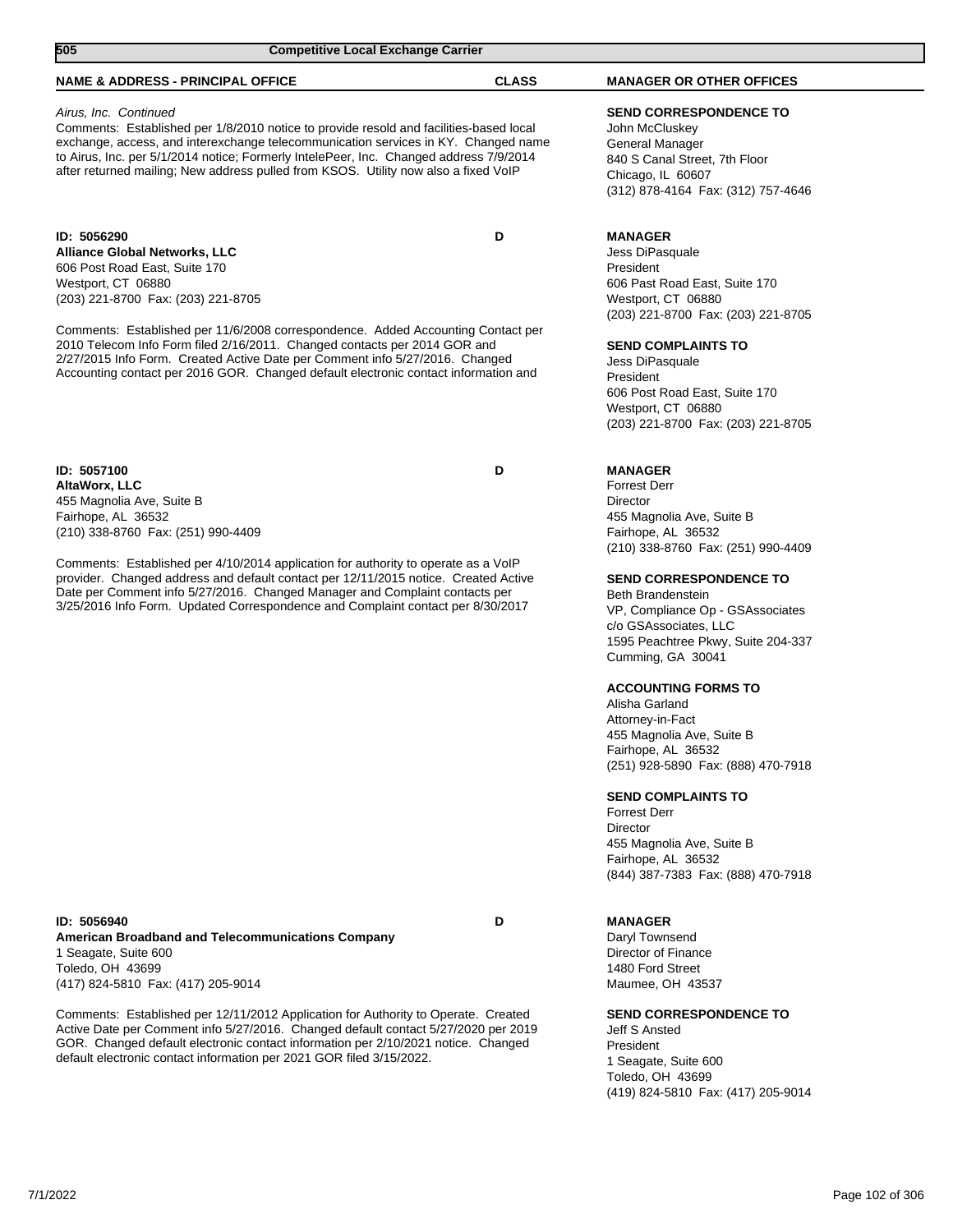| 505<br><b>Competitive Local Exchange Carrier</b>                                                                                                                                                                                                                                                                                                                                                                                                                                         |              |                                                                                                                                                                                                                                                                                                                                                                                                                                                                                              |  |
|------------------------------------------------------------------------------------------------------------------------------------------------------------------------------------------------------------------------------------------------------------------------------------------------------------------------------------------------------------------------------------------------------------------------------------------------------------------------------------------|--------------|----------------------------------------------------------------------------------------------------------------------------------------------------------------------------------------------------------------------------------------------------------------------------------------------------------------------------------------------------------------------------------------------------------------------------------------------------------------------------------------------|--|
| <b>NAME &amp; ADDRESS - PRINCIPAL OFFICE</b>                                                                                                                                                                                                                                                                                                                                                                                                                                             | <b>CLASS</b> | <b>MANAGER OR OTHER OFFICES</b>                                                                                                                                                                                                                                                                                                                                                                                                                                                              |  |
| Airus, Inc. Continued<br>Comments: Established per 1/8/2010 notice to provide resold and facilities-based local<br>exchange, access, and interexchange telecommunication services in KY. Changed name<br>to Airus, Inc. per 5/1/2014 notice; Formerly IntelePeer, Inc. Changed address 7/9/2014<br>after returned mailing; New address pulled from KSOS. Utility now also a fixed VoIP                                                                                                   |              | <b>SEND CORRESPONDENCE TO</b><br>John McCluskey<br>General Manager<br>840 S Canal Street, 7th Floor<br>Chicago, IL 60607<br>(312) 878-4164 Fax: (312) 757-4646                                                                                                                                                                                                                                                                                                                               |  |
| ID: 5056290<br><b>Alliance Global Networks, LLC</b><br>606 Post Road East, Suite 170<br>Westport, CT 06880<br>(203) 221-8700 Fax: (203) 221-8705<br>Comments: Established per 11/6/2008 correspondence. Added Accounting Contact per<br>2010 Telecom Info Form filed 2/16/2011. Changed contacts per 2014 GOR and<br>2/27/2015 Info Form. Created Active Date per Comment info 5/27/2016. Changed<br>Accounting contact per 2016 GOR. Changed default electronic contact information and | D            | <b>MANAGER</b><br>Jess DiPasquale<br>President<br>606 Past Road East, Suite 170<br>Westport, CT 06880<br>(203) 221-8700 Fax: (203) 221-8705<br><b>SEND COMPLAINTS TO</b><br>Jess DiPasquale<br>President<br>606 Post Road East, Suite 170<br>Westport, CT 06880<br>(203) 221-8700 Fax: (203) 221-8705                                                                                                                                                                                        |  |
| ID: 5057100<br>AltaWorx, LLC<br>455 Magnolia Ave, Suite B<br>Fairhope, AL 36532<br>(210) 338-8760 Fax: (251) 990-4409<br>Comments: Established per 4/10/2014 application for authority to operate as a VoIP<br>provider. Changed address and default contact per 12/11/2015 notice. Created Active<br>Date per Comment info 5/27/2016. Changed Manager and Complaint contacts per<br>3/25/2016 Info Form. Updated Correspondence and Complaint contact per 8/30/2017                     | D            | <b>MANAGER</b><br><b>Forrest Derr</b><br>Director<br>455 Magnolia Ave, Suite B<br>Fairhope, AL 36532<br>(210) 338-8760 Fax: (251) 990-4409<br><b>SEND CORRESPONDENCE TO</b><br><b>Beth Brandenstein</b><br>VP, Compliance Op - GSAssociates<br>c/o GSAssociates. LLC<br>1595 Peachtree Pkwy, Suite 204-337<br>Cumming, GA 30041<br><b>ACCOUNTING FORMS TO</b><br>Alisha Garland<br>Attorney-in-Fact<br>455 Magnolia Ave, Suite B<br>Fairhope, AL 36532<br>(251) 928-5890 Fax: (888) 470-7918 |  |

Forrest Derr Director 455 Magnolia Ave, Suite B Fairhope, AL 36532 (844) 387-7383 Fax: (888) 470-7918

**ID: 5056940 D American Broadband and Telecommunications Company** 1 Seagate, Suite 600 Toledo, OH 43699 (417) 824-5810 Fax: (417) 205-9014

Comments: Established per 12/11/2012 Application for Authority to Operate. Created Active Date per Comment info 5/27/2016. Changed default contact 5/27/2020 per 2019 GOR. Changed default electronic contact information per 2/10/2021 notice. Changed default electronic contact information per 2021 GOR filed 3/15/2022.

**MANAGER**

Daryl Townsend Director of Finance 1480 Ford Street Maumee, OH 43537

**SEND CORRESPONDENCE TO**

Jeff S Ansted President 1 Seagate, Suite 600 Toledo, OH 43699 (419) 824-5810 Fax: (417) 205-9014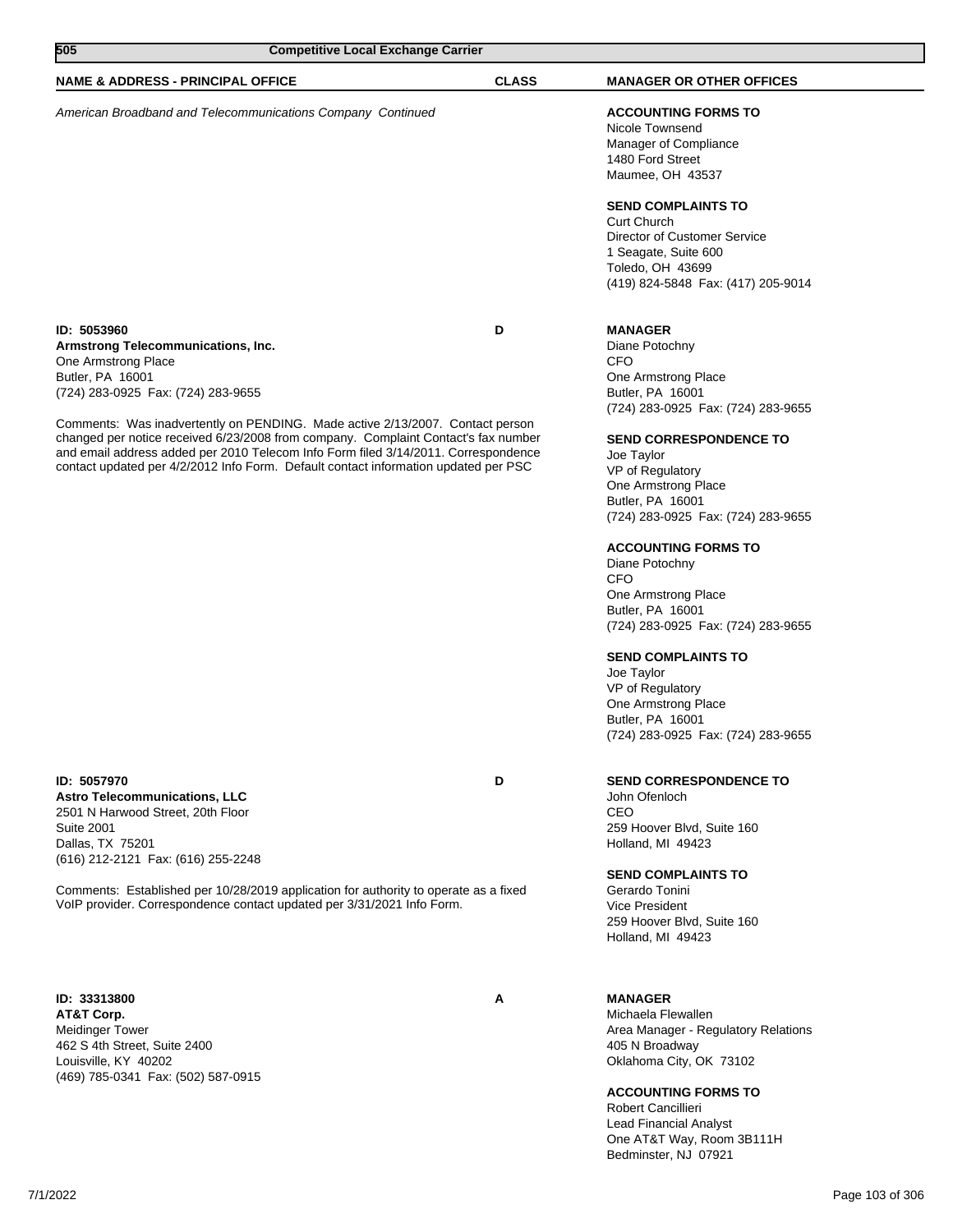| 505<br><b>Competitive Local Exchange Carrier</b>                                                                                                                    |              |                                    |  |
|---------------------------------------------------------------------------------------------------------------------------------------------------------------------|--------------|------------------------------------|--|
|                                                                                                                                                                     |              |                                    |  |
| <b>NAME &amp; ADDRESS - PRINCIPAL OFFICE</b>                                                                                                                        | <b>CLASS</b> | <b>MANAGER OR OTHER OFFICES</b>    |  |
| American Broadband and Telecommunications Company Continued                                                                                                         |              | <b>ACCOUNTING FORMS TO</b>         |  |
|                                                                                                                                                                     |              | Nicole Townsend                    |  |
|                                                                                                                                                                     |              | Manager of Compliance              |  |
|                                                                                                                                                                     |              | 1480 Ford Street                   |  |
|                                                                                                                                                                     |              | Maumee, OH 43537                   |  |
|                                                                                                                                                                     |              | <b>SEND COMPLAINTS TO</b>          |  |
|                                                                                                                                                                     |              | <b>Curt Church</b>                 |  |
|                                                                                                                                                                     |              | Director of Customer Service       |  |
|                                                                                                                                                                     |              | 1 Seagate, Suite 600               |  |
|                                                                                                                                                                     |              | Toledo, OH 43699                   |  |
|                                                                                                                                                                     |              | (419) 824-5848 Fax: (417) 205-9014 |  |
|                                                                                                                                                                     |              |                                    |  |
| ID: 5053960                                                                                                                                                         | D            | <b>MANAGER</b>                     |  |
| Armstrong Telecommunications, Inc.                                                                                                                                  |              | Diane Potochny                     |  |
| One Armstrong Place                                                                                                                                                 |              | CFO                                |  |
| Butler, PA 16001                                                                                                                                                    |              | One Armstrong Place                |  |
| (724) 283-0925 Fax: (724) 283-9655                                                                                                                                  |              | Butler, PA 16001                   |  |
|                                                                                                                                                                     |              | (724) 283-0925 Fax: (724) 283-9655 |  |
| Comments: Was inadvertently on PENDING. Made active 2/13/2007. Contact person<br>changed per notice received 6/23/2008 from company. Complaint Contact's fax number |              |                                    |  |
| and email address added per 2010 Telecom Info Form filed 3/14/2011. Correspondence                                                                                  |              | <b>SEND CORRESPONDENCE TO</b>      |  |
| contact updated per 4/2/2012 Info Form. Default contact information updated per PSC                                                                                 |              | Joe Taylor<br>VP of Regulatory     |  |
|                                                                                                                                                                     |              | One Armstrong Place                |  |
|                                                                                                                                                                     |              | Butler, PA 16001                   |  |
|                                                                                                                                                                     |              | (724) 283-0925 Fax: (724) 283-9655 |  |
|                                                                                                                                                                     |              |                                    |  |
|                                                                                                                                                                     |              | <b>ACCOUNTING FORMS TO</b>         |  |
|                                                                                                                                                                     |              | Diane Potochny                     |  |
|                                                                                                                                                                     |              | CFO                                |  |
|                                                                                                                                                                     |              | One Armstrong Place                |  |
|                                                                                                                                                                     |              | Butler, PA 16001                   |  |
|                                                                                                                                                                     |              | (724) 283-0925 Fax: (724) 283-9655 |  |
|                                                                                                                                                                     |              | <b>SEND COMPLAINTS TO</b>          |  |
|                                                                                                                                                                     |              | Joe Taylor                         |  |
|                                                                                                                                                                     |              | VP of Regulatory                   |  |
|                                                                                                                                                                     |              | One Armstrong Place                |  |
|                                                                                                                                                                     |              | Butler, PA 16001                   |  |
|                                                                                                                                                                     |              | (724) 283-0925 Fax: (724) 283-9655 |  |
|                                                                                                                                                                     |              |                                    |  |
| ID: 5057970                                                                                                                                                         | D            | <b>SEND CORRESPONDENCE TO</b>      |  |
| <b>Astro Telecommunications, LLC</b>                                                                                                                                |              | John Ofenloch                      |  |
| 2501 N Harwood Street, 20th Floor                                                                                                                                   |              | CEO                                |  |
| <b>Suite 2001</b><br>Dallas, TX 75201                                                                                                                               |              | 259 Hoover Blvd, Suite 160         |  |
| (616) 212-2121 Fax: (616) 255-2248                                                                                                                                  |              | Holland, MI 49423                  |  |
|                                                                                                                                                                     |              | <b>SEND COMPLAINTS TO</b>          |  |

Comments: Established per 10/28/2019 application for authority to operate as a fixed VoIP provider. Correspondence contact updated per 3/31/2021 Info Form.

**ID: 33313800 A AT&T Corp.** Meidinger Tower 462 S 4th Street, Suite 2400 Louisville, KY 40202 (469) 785-0341 Fax: (502) 587-0915

**SEND COMPLAINTS TO** Gerardo Tonini

Vice President 259 Hoover Blvd, Suite 160 Holland, MI 49423

# **MANAGER**

Michaela Flewallen Area Manager - Regulatory Relations 405 N Broadway Oklahoma City, OK 73102

### **ACCOUNTING FORMS TO**

Robert Cancillieri Lead Financial Analyst One AT&T Way, Room 3B111H Bedminster, NJ 07921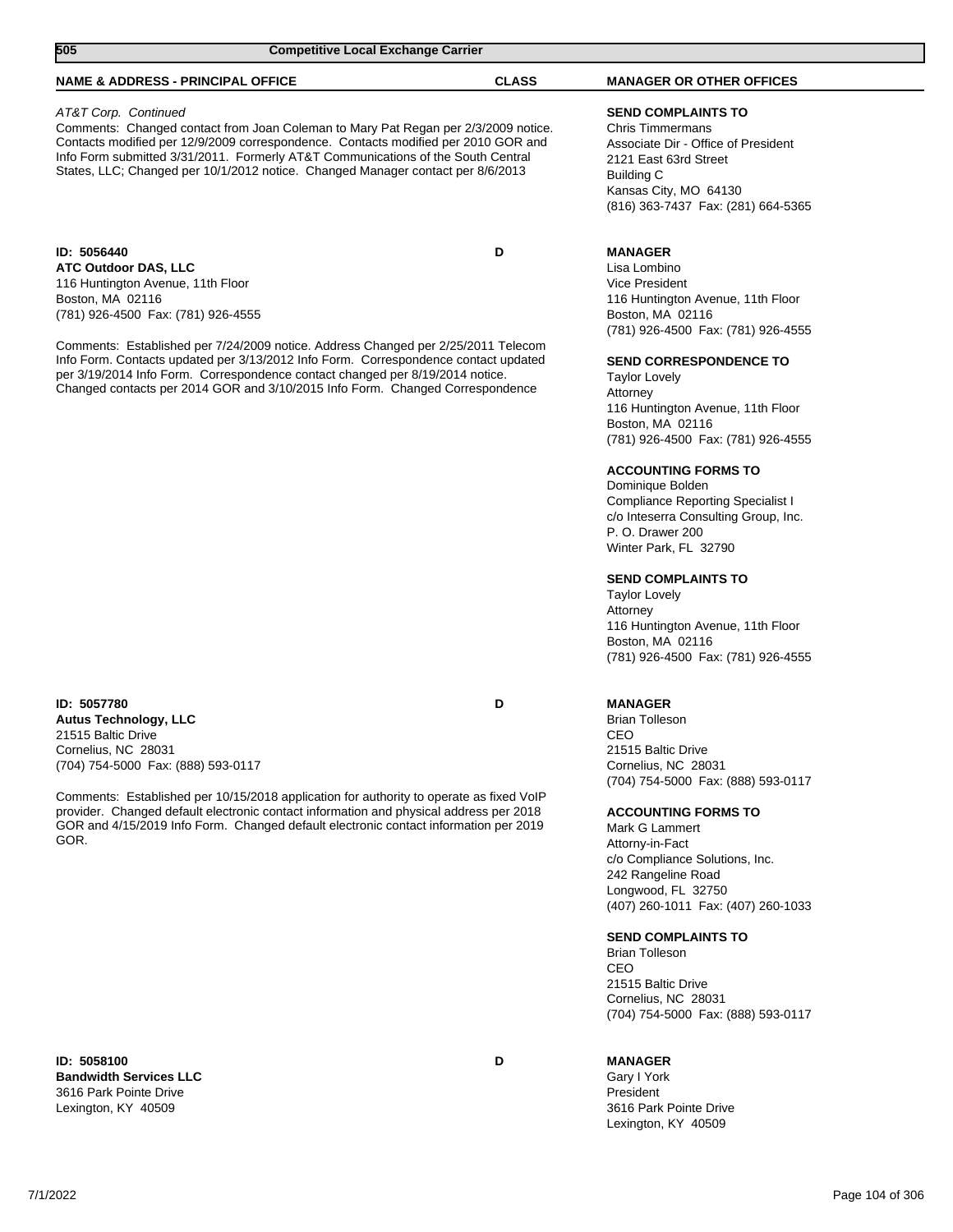| 505<br><b>Competitive Local Exchange Carrier</b>                                                                                                                                                                                                                                                                                                                                                                                                                                        |              |                                                                                                                                                                                                                                                                                                                                                                                                                                                                                                                                                                                                                                                                        |
|-----------------------------------------------------------------------------------------------------------------------------------------------------------------------------------------------------------------------------------------------------------------------------------------------------------------------------------------------------------------------------------------------------------------------------------------------------------------------------------------|--------------|------------------------------------------------------------------------------------------------------------------------------------------------------------------------------------------------------------------------------------------------------------------------------------------------------------------------------------------------------------------------------------------------------------------------------------------------------------------------------------------------------------------------------------------------------------------------------------------------------------------------------------------------------------------------|
| <b>NAME &amp; ADDRESS - PRINCIPAL OFFICE</b>                                                                                                                                                                                                                                                                                                                                                                                                                                            | <b>CLASS</b> | <b>MANAGER OR OTHER OFFICES</b>                                                                                                                                                                                                                                                                                                                                                                                                                                                                                                                                                                                                                                        |
| AT&T Corp. Continued<br>Comments: Changed contact from Joan Coleman to Mary Pat Regan per 2/3/2009 notice.<br>Contacts modified per 12/9/2009 correspondence. Contacts modified per 2010 GOR and<br>Info Form submitted 3/31/2011. Formerly AT&T Communications of the South Central<br>States, LLC; Changed per 10/1/2012 notice. Changed Manager contact per 8/6/2013                                                                                                                 |              | <b>SEND COMPLAINTS TO</b><br><b>Chris Timmermans</b><br>Associate Dir - Office of President<br>2121 East 63rd Street<br>Building C<br>Kansas City, MO 64130<br>(816) 363-7437 Fax: (281) 664-5365                                                                                                                                                                                                                                                                                                                                                                                                                                                                      |
| ID: 5056440<br><b>ATC Outdoor DAS, LLC</b><br>116 Huntington Avenue, 11th Floor<br>Boston, MA 02116<br>(781) 926-4500 Fax: (781) 926-4555<br>Comments: Established per 7/24/2009 notice. Address Changed per 2/25/2011 Telecom<br>Info Form. Contacts updated per 3/13/2012 Info Form. Correspondence contact updated<br>per 3/19/2014 Info Form. Correspondence contact changed per 8/19/2014 notice.<br>Changed contacts per 2014 GOR and 3/10/2015 Info Form. Changed Correspondence | D            | <b>MANAGER</b><br>Lisa Lombino<br><b>Vice President</b><br>116 Huntington Avenue, 11th Floor<br>Boston, MA 02116<br>(781) 926-4500 Fax: (781) 926-4555<br><b>SEND CORRESPONDENCE TO</b><br><b>Taylor Lovely</b><br>Attorney<br>116 Huntington Avenue, 11th Floor<br>Boston, MA 02116<br>(781) 926-4500 Fax: (781) 926-4555<br><b>ACCOUNTING FORMS TO</b><br>Dominique Bolden<br>Compliance Reporting Specialist I<br>c/o Inteserra Consulting Group, Inc.<br>P. O. Drawer 200<br>Winter Park, FL 32790<br><b>SEND COMPLAINTS TO</b><br><b>Taylor Lovely</b><br>Attorney<br>116 Huntington Avenue, 11th Floor<br>Boston, MA 02116<br>(781) 926-4500 Fax: (781) 926-4555 |
| ID: 5057780<br><b>Autus Technology, LLC</b><br>21515 Baltic Drive<br>Cornelius, NC 28031                                                                                                                                                                                                                                                                                                                                                                                                | D            | <b>MANAGER</b><br><b>Brian Tolleson</b><br>CEO<br>21515 Baltic Drive                                                                                                                                                                                                                                                                                                                                                                                                                                                                                                                                                                                                   |

Comments: Established per 10/15/2018 application for authority to operate as fixed VoIP provider. Changed default electronic contact information and physical address per 2018 GOR and 4/15/2019 Info Form. Changed default electronic contact information per 2019 GOR.

**ID: 5058100 D Bandwidth Services LLC** 3616 Park Pointe Drive Lexington, KY 40509

(704) 754-5000 Fax: (888) 593-0117

21515 Baltic Drive Cornelius, NC 28031 (704) 754-5000 Fax: (888) 593-0117

# **ACCOUNTING FORMS TO**

Mark G Lammert Attorny-in-Fact c/o Compliance Solutions, Inc. 242 Rangeline Road Longwood, FL 32750 (407) 260-1011 Fax: (407) 260-1033

#### **SEND COMPLAINTS TO**

Brian Tolleson CEO 21515 Baltic Drive Cornelius, NC 28031 (704) 754-5000 Fax: (888) 593-0117

**MANAGER**

Gary I York President 3616 Park Pointe Drive Lexington, KY 40509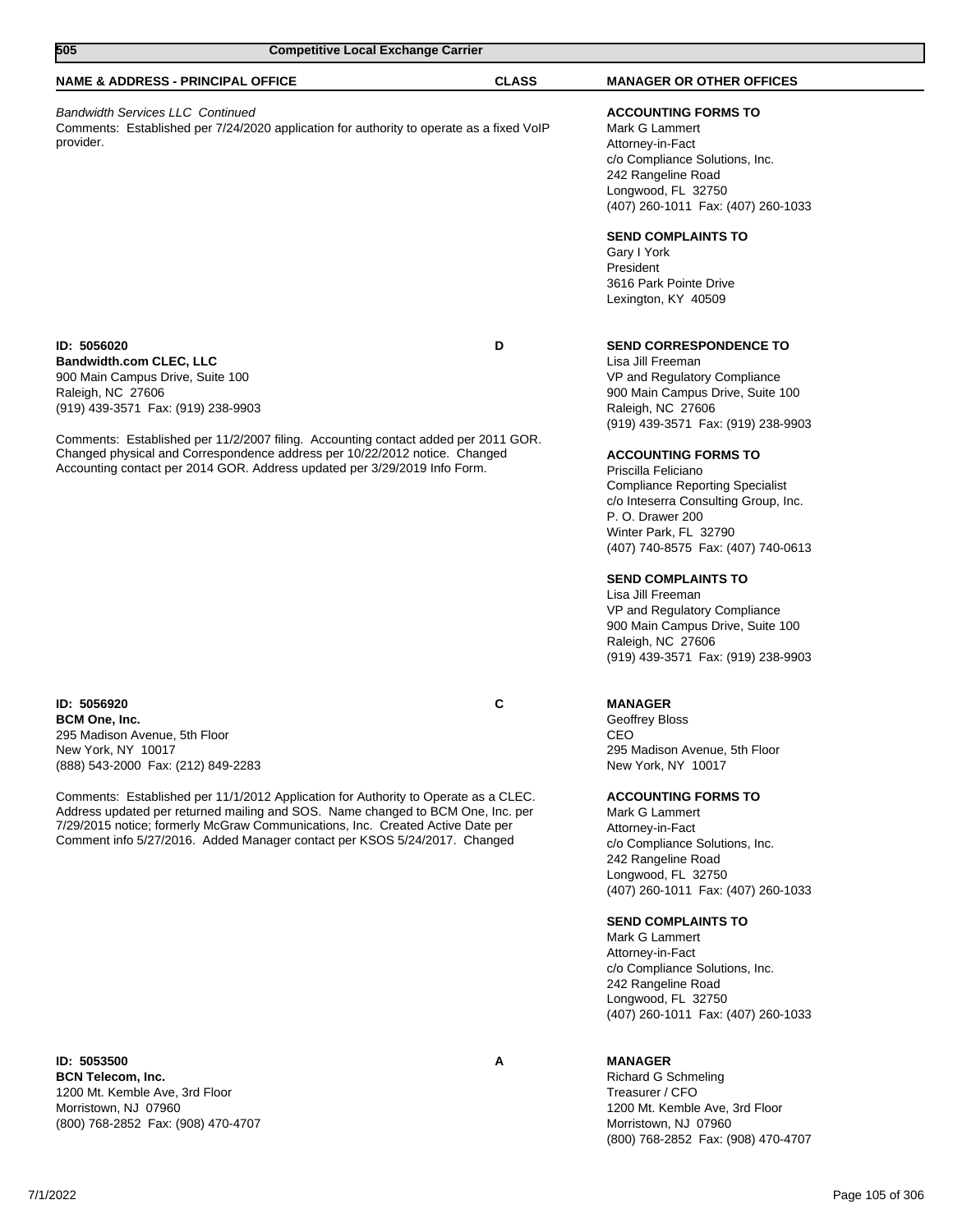| 505<br><b>Competitive Local Exchange Carrier</b>                                                                                                                                                                                                                                                                                      |              |                                                                                                                                                                                                                                                                                                                                                                                                         |
|---------------------------------------------------------------------------------------------------------------------------------------------------------------------------------------------------------------------------------------------------------------------------------------------------------------------------------------|--------------|---------------------------------------------------------------------------------------------------------------------------------------------------------------------------------------------------------------------------------------------------------------------------------------------------------------------------------------------------------------------------------------------------------|
| <b>NAME &amp; ADDRESS - PRINCIPAL OFFICE</b>                                                                                                                                                                                                                                                                                          | <b>CLASS</b> | <b>MANAGER OR OTHER OFFICES</b>                                                                                                                                                                                                                                                                                                                                                                         |
| <b>Bandwidth Services LLC Continued</b><br>Comments: Established per 7/24/2020 application for authority to operate as a fixed VoIP<br>provider.                                                                                                                                                                                      |              | <b>ACCOUNTING FORMS TO</b><br>Mark G Lammert<br>Attorney-in-Fact<br>c/o Compliance Solutions, Inc.<br>242 Rangeline Road<br>Longwood, FL 32750<br>(407) 260-1011 Fax: (407) 260-1033                                                                                                                                                                                                                    |
|                                                                                                                                                                                                                                                                                                                                       |              | <b>SEND COMPLAINTS TO</b><br>Gary I York<br>President<br>3616 Park Pointe Drive<br>Lexington, KY 40509                                                                                                                                                                                                                                                                                                  |
| ID: 5056020<br><b>Bandwidth.com CLEC, LLC</b><br>900 Main Campus Drive, Suite 100<br>Raleigh, NC 27606<br>(919) 439-3571 Fax: (919) 238-9903                                                                                                                                                                                          | D            | <b>SEND CORRESPONDENCE TO</b><br>Lisa Jill Freeman<br>VP and Regulatory Compliance<br>900 Main Campus Drive, Suite 100<br>Raleigh, NC 27606<br>(919) 439-3571 Fax: (919) 238-9903                                                                                                                                                                                                                       |
| Comments: Established per 11/2/2007 filing. Accounting contact added per 2011 GOR.<br>Changed physical and Correspondence address per 10/22/2012 notice. Changed<br>Accounting contact per 2014 GOR. Address updated per 3/29/2019 Info Form.                                                                                         |              | <b>ACCOUNTING FORMS TO</b><br>Priscilla Feliciano<br><b>Compliance Reporting Specialist</b><br>c/o Inteserra Consulting Group, Inc.<br>P. O. Drawer 200<br>Winter Park, FL 32790<br>(407) 740-8575 Fax: (407) 740-0613<br><b>SEND COMPLAINTS TO</b><br>Lisa Jill Freeman<br>VP and Regulatory Compliance<br>900 Main Campus Drive, Suite 100<br>Raleigh, NC 27606<br>(919) 439-3571 Fax: (919) 238-9903 |
| ID: 5056920<br><b>BCM One, Inc.</b><br>295 Madison Avenue, 5th Floor<br>New York, NY 10017<br>(888) 543-2000 Fax: (212) 849-2283                                                                                                                                                                                                      | С            | <b>MANAGER</b><br>Geoffrey Bloss<br><b>CEO</b><br>295 Madison Avenue, 5th Floor<br>New York, NY 10017                                                                                                                                                                                                                                                                                                   |
| Comments: Established per 11/1/2012 Application for Authority to Operate as a CLEC.<br>Address updated per returned mailing and SOS. Name changed to BCM One, Inc. per<br>7/29/2015 notice; formerly McGraw Communications, Inc. Created Active Date per<br>Comment info 5/27/2016. Added Manager contact per KSOS 5/24/2017. Changed |              | <b>ACCOUNTING FORMS TO</b><br>Mark G Lammert<br>Attorney-in-Fact<br>c/o Compliance Solutions, Inc.<br>242 Rangeline Road                                                                                                                                                                                                                                                                                |

**ID: 5053500 A BCN Telecom, Inc.** 1200 Mt. Kemble Ave, 3rd Floor Morristown, NJ 07960 (800) 768-2852 Fax: (908) 470-4707

Longwood, FL 32750 (407) 260-1011 Fax: (407) 260-1033

# **SEND COMPLAINTS TO**

Mark G Lammert Attorney-in-Fact c/o Compliance Solutions, Inc. 242 Rangeline Road Longwood, FL 32750 (407) 260-1011 Fax: (407) 260-1033

# **MANAGER**

Richard G Schmeling Treasurer / CFO 1200 Mt. Kemble Ave, 3rd Floor Morristown, NJ 07960 (800) 768-2852 Fax: (908) 470-4707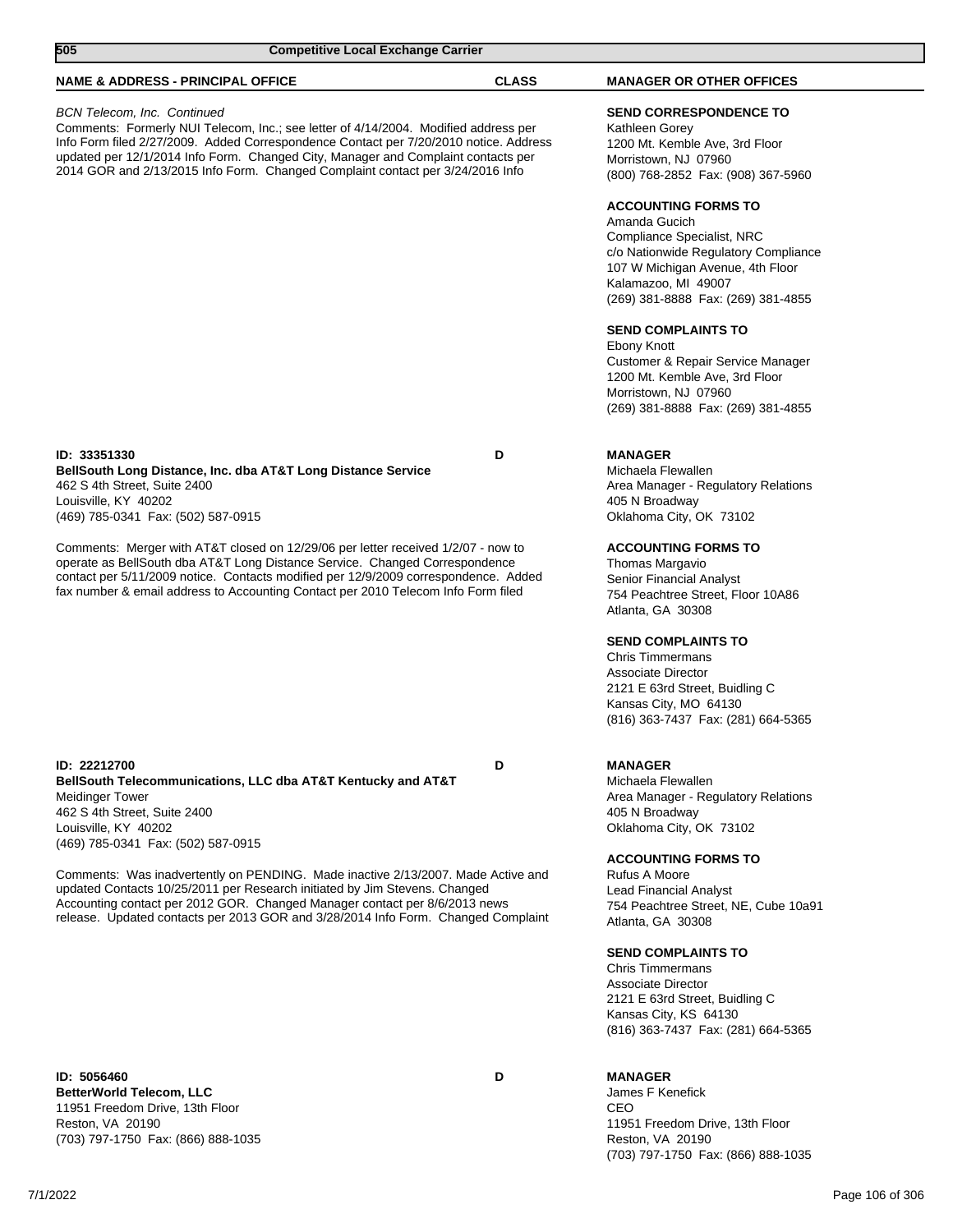| 505                                                                                                                           | <b>Competitive Local Exchange Carrier</b>                                                                                                                                                                                                                                                                                                           |              |                                                                                                                                                                                                                    |
|-------------------------------------------------------------------------------------------------------------------------------|-----------------------------------------------------------------------------------------------------------------------------------------------------------------------------------------------------------------------------------------------------------------------------------------------------------------------------------------------------|--------------|--------------------------------------------------------------------------------------------------------------------------------------------------------------------------------------------------------------------|
| <b>NAME &amp; ADDRESS - PRINCIPAL OFFICE</b>                                                                                  |                                                                                                                                                                                                                                                                                                                                                     | <b>CLASS</b> | <b>MANAGER OR OTHER OFFICES</b>                                                                                                                                                                                    |
| <b>BCN Telecom, Inc. Continued</b>                                                                                            | Comments: Formerly NUI Telecom, Inc.; see letter of 4/14/2004. Modified address per<br>Info Form filed 2/27/2009. Added Correspondence Contact per 7/20/2010 notice. Address<br>updated per 12/1/2014 Info Form. Changed City, Manager and Complaint contacts per<br>2014 GOR and 2/13/2015 Info Form. Changed Complaint contact per 3/24/2016 Info |              | <b>SEND CORRESPONDENCE TO</b><br>Kathleen Gorey<br>1200 Mt. Kemble Ave, 3rd Floor<br>Morristown, NJ 07960<br>(800) 768-2852 Fax: (908) 367-5960                                                                    |
|                                                                                                                               |                                                                                                                                                                                                                                                                                                                                                     |              | <b>ACCOUNTING FORMS TO</b><br>Amanda Gucich<br>Compliance Specialist, NRC<br>c/o Nationwide Regulatory Compliance<br>107 W Michigan Avenue, 4th Floor<br>Kalamazoo, MI 49007<br>(269) 381-8888 Fax: (269) 381-4855 |
|                                                                                                                               |                                                                                                                                                                                                                                                                                                                                                     |              | <b>SEND COMPLAINTS TO</b><br>Ebony Knott<br>Customer & Repair Service Manager<br>1200 Mt. Kemble Ave, 3rd Floor<br>Morristown, NJ 07960<br>(269) 381-8888 Fax: (269) 381-4855                                      |
| ID: 33351330<br>462 S 4th Street, Suite 2400<br>Louisville, KY 40202<br>(469) 785-0341 Fax: (502) 587-0915                    | BellSouth Long Distance, Inc. dba AT&T Long Distance Service                                                                                                                                                                                                                                                                                        | D            | <b>MANAGER</b><br>Michaela Flewallen<br>Area Manager - Regulatory Relations<br>405 N Broadway<br>Oklahoma City, OK 73102                                                                                           |
|                                                                                                                               | Comments: Merger with AT&T closed on 12/29/06 per letter received 1/2/07 - now to<br>operate as BellSouth dba AT&T Long Distance Service. Changed Correspondence<br>contact per 5/11/2009 notice. Contacts modified per 12/9/2009 correspondence. Added<br>fax number & email address to Accounting Contact per 2010 Telecom Info Form filed        |              | <b>ACCOUNTING FORMS TO</b><br>Thomas Margavio<br>Senior Financial Analyst<br>754 Peachtree Street, Floor 10A86<br>Atlanta, GA 30308                                                                                |
|                                                                                                                               |                                                                                                                                                                                                                                                                                                                                                     |              | <b>SEND COMPLAINTS TO</b><br><b>Chris Timmermans</b><br><b>Associate Director</b><br>2121 E 63rd Street, Buidling C<br>Kansas City, MO 64130<br>(816) 363-7437 Fax: (281) 664-5365                                 |
| ID: 22212700<br>Meidinger Tower<br>462 S 4th Street, Suite 2400<br>Louisville, KY 40202<br>(469) 785-0341 Fax: (502) 587-0915 | BellSouth Telecommunications, LLC dba AT&T Kentucky and AT&T                                                                                                                                                                                                                                                                                        | D            | <b>MANAGER</b><br>Michaela Flewallen<br>Area Manager - Regulatory Relations<br>405 N Broadway<br>Oklahoma City, OK 73102                                                                                           |
|                                                                                                                               | Comments: Was inadvertently on PENDING. Made inactive 2/13/2007. Made Active and<br>updated Contacts 10/25/2011 per Research initiated by Jim Stevens. Changed<br>Accounting contact per 2012 GOR. Changed Manager contact per 8/6/2013 news<br>release. Updated contacts per 2013 GOR and 3/28/2014 Info Form. Changed Complaint                   |              | <b>ACCOUNTING FORMS TO</b><br>Rufus A Moore<br>Lead Financial Analyst<br>754 Peachtree Street, NE, Cube 10a91<br>Atlanta, GA 30308                                                                                 |
|                                                                                                                               |                                                                                                                                                                                                                                                                                                                                                     |              | <b>SEND COMPLAINTS TO</b><br><b>Chris Timmermans</b><br><b>Associate Director</b><br>2121 E 63rd Street, Buidling C<br>Kansas City, KS 64130<br>(816) 363-7437 Fax: (281) 664-5365                                 |

**ID: 5056460 D BetterWorld Telecom, LLC** 11951 Freedom Drive, 13th Floor Reston, VA 20190 (703) 797-1750 Fax: (866) 888-1035

**MANAGER** James F Kenefick

CEO 11951 Freedom Drive, 13th Floor Reston, VA 20190 (703) 797-1750 Fax: (866) 888-1035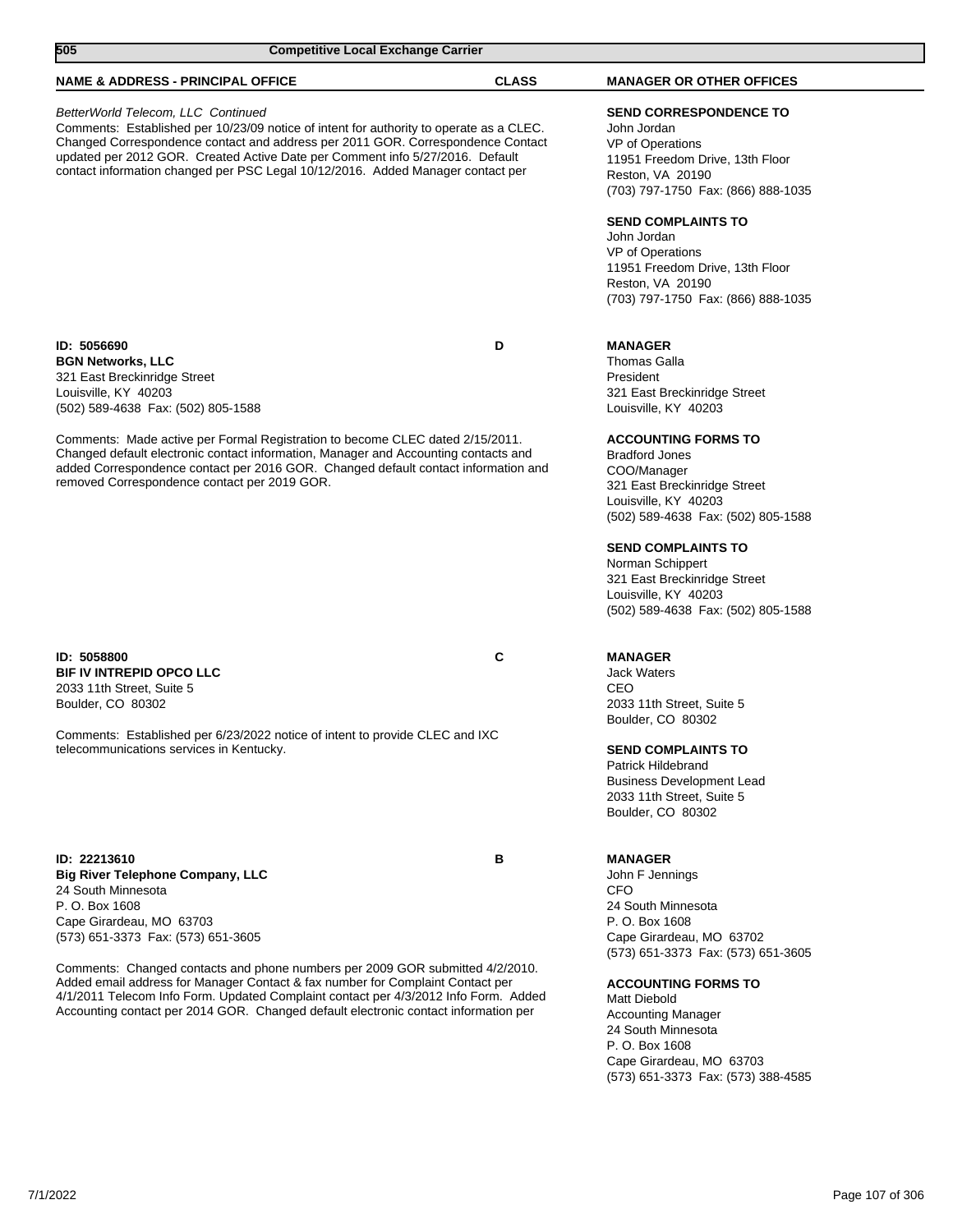| 505                                                                                                                                                                                   | <b>Competitive Local Exchange Carrier</b>                                                                                                                                                                                                                                                                                                      |              |                                                                                                                                                                                                                                                                                                                                                                                                                        |
|---------------------------------------------------------------------------------------------------------------------------------------------------------------------------------------|------------------------------------------------------------------------------------------------------------------------------------------------------------------------------------------------------------------------------------------------------------------------------------------------------------------------------------------------|--------------|------------------------------------------------------------------------------------------------------------------------------------------------------------------------------------------------------------------------------------------------------------------------------------------------------------------------------------------------------------------------------------------------------------------------|
| <b>NAME &amp; ADDRESS - PRINCIPAL OFFICE</b>                                                                                                                                          |                                                                                                                                                                                                                                                                                                                                                | <b>CLASS</b> | <b>MANAGER OR OTHER OFFICES</b>                                                                                                                                                                                                                                                                                                                                                                                        |
| BetterWorld Telecom, LLC Continued                                                                                                                                                    | Comments: Established per 10/23/09 notice of intent for authority to operate as a CLEC.<br>Changed Correspondence contact and address per 2011 GOR. Correspondence Contact<br>updated per 2012 GOR. Created Active Date per Comment info 5/27/2016. Default<br>contact information changed per PSC Legal 10/12/2016. Added Manager contact per |              | <b>SEND CORRESPONDENCE TO</b><br>John Jordan<br>VP of Operations<br>11951 Freedom Drive, 13th Floor<br>Reston, VA 20190<br>(703) 797-1750 Fax: (866) 888-1035<br><b>SEND COMPLAINTS TO</b><br>John Jordan<br>VP of Operations<br>11951 Freedom Drive, 13th Floor<br>Reston, VA 20190<br>(703) 797-1750 Fax: (866) 888-1035                                                                                             |
| ID: 5056690<br><b>BGN Networks, LLC</b><br>321 East Breckinridge Street<br>Louisville, KY 40203<br>(502) 589-4638 Fax: (502) 805-1588<br>removed Correspondence contact per 2019 GOR. | Comments: Made active per Formal Registration to become CLEC dated 2/15/2011.<br>Changed default electronic contact information, Manager and Accounting contacts and<br>added Correspondence contact per 2016 GOR. Changed default contact information and                                                                                     | D            | <b>MANAGER</b><br>Thomas Galla<br>President<br>321 East Breckinridge Street<br>Louisville, KY 40203<br><b>ACCOUNTING FORMS TO</b><br><b>Bradford Jones</b><br>COO/Manager<br>321 East Breckinridge Street<br>Louisville, KY 40203<br>(502) 589-4638 Fax: (502) 805-1588<br><b>SEND COMPLAINTS TO</b><br>Norman Schippert<br>321 East Breckinridge Street<br>Louisville, KY 40203<br>(502) 589-4638 Fax: (502) 805-1588 |
| ID: 5058800<br><b>BIF IV INTREPID OPCO LLC</b><br>2033 11th Street, Suite 5<br>Boulder, CO 80302<br>telecommunications services in Kentucky.                                          | Comments: Established per 6/23/2022 notice of intent to provide CLEC and IXC                                                                                                                                                                                                                                                                   | C            | <b>MANAGER</b><br><b>Jack Waters</b><br>CEO<br>2033 11th Street, Suite 5<br>Boulder, CO 80302<br><b>SEND COMPLAINTS TO</b><br>Patrick Hildebrand<br><b>Business Development Lead</b><br>2033 11th Street, Suite 5<br>Boulder, CO 80302                                                                                                                                                                                 |
| ID: 22213610<br><b>Big River Telephone Company, LLC</b><br>24 South Minnesota<br>P. O. Box 1608<br>Cape Girardeau, MO 63703<br>(573) 651-3373 Fax: (573) 651-3605                     | Comments: Changed contacts and phone numbers per 2009 GOR submitted 4/2/2010.<br>Added email address for Manager Contact & fax number for Complaint Contact per<br>4/1/2011 Telecom Info Form. Updated Complaint contact per 4/3/2012 Info Form. Added<br>Accounting contact per 2014 GOR. Changed default electronic contact information per  | В            | <b>MANAGER</b><br>John F Jennings<br><b>CFO</b><br>24 South Minnesota<br>P. O. Box 1608<br>Cape Girardeau, MO 63702<br>(573) 651-3373 Fax: (573) 651-3605<br><b>ACCOUNTING FORMS TO</b><br>Matt Diebold<br><b>Accounting Manager</b><br>24 South Minnesota<br>P. O. Box 1608<br>Cape Girardeau, MO 63703<br>(573) 651-3373 Fax: (573) 388-4585                                                                         |

7/1/2022 Page 107 of 306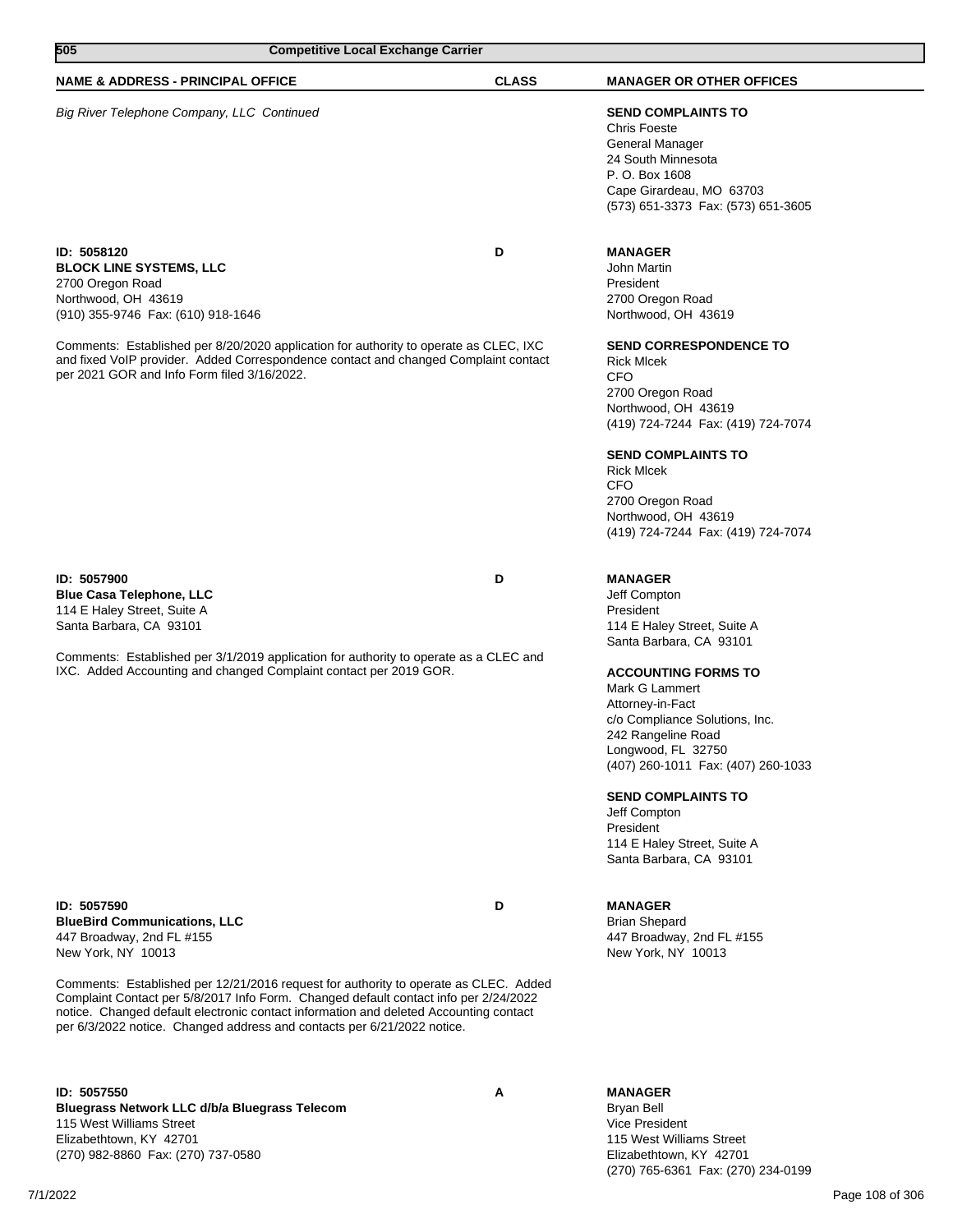| 505<br><b>Competitive Local Exchange Carrier</b>                                                                                                                                                                                                                                                                                                                                                                                                          |              |                                                                                                                                                                                                                                                                                                                                                                                                                   |  |
|-----------------------------------------------------------------------------------------------------------------------------------------------------------------------------------------------------------------------------------------------------------------------------------------------------------------------------------------------------------------------------------------------------------------------------------------------------------|--------------|-------------------------------------------------------------------------------------------------------------------------------------------------------------------------------------------------------------------------------------------------------------------------------------------------------------------------------------------------------------------------------------------------------------------|--|
| <b>NAME &amp; ADDRESS - PRINCIPAL OFFICE</b>                                                                                                                                                                                                                                                                                                                                                                                                              | <b>CLASS</b> | <b>MANAGER OR OTHER OFFICES</b>                                                                                                                                                                                                                                                                                                                                                                                   |  |
| Big River Telephone Company, LLC Continued                                                                                                                                                                                                                                                                                                                                                                                                                |              | <b>SEND COMPLAINTS TO</b><br><b>Chris Foeste</b><br>General Manager<br>24 South Minnesota<br>P. O. Box 1608<br>Cape Girardeau, MO 63703<br>(573) 651-3373 Fax: (573) 651-3605                                                                                                                                                                                                                                     |  |
| ID: 5058120<br><b>BLOCK LINE SYSTEMS, LLC</b><br>2700 Oregon Road<br>Northwood, OH 43619<br>(910) 355-9746 Fax: (610) 918-1646<br>Comments: Established per 8/20/2020 application for authority to operate as CLEC, IXC<br>and fixed VoIP provider. Added Correspondence contact and changed Complaint contact<br>per 2021 GOR and Info Form filed 3/16/2022.                                                                                             | D            | <b>MANAGER</b><br>John Martin<br>President<br>2700 Oregon Road<br>Northwood, OH 43619<br><b>SEND CORRESPONDENCE TO</b><br><b>Rick Micek</b><br><b>CFO</b>                                                                                                                                                                                                                                                         |  |
|                                                                                                                                                                                                                                                                                                                                                                                                                                                           |              | 2700 Oregon Road<br>Northwood, OH 43619<br>(419) 724-7244 Fax: (419) 724-7074<br><b>SEND COMPLAINTS TO</b><br><b>Rick Micek</b><br><b>CFO</b><br>2700 Oregon Road<br>Northwood, OH 43619<br>(419) 724-7244 Fax: (419) 724-7074                                                                                                                                                                                    |  |
| ID: 5057900<br><b>Blue Casa Telephone, LLC</b><br>114 E Haley Street, Suite A<br>Santa Barbara, CA 93101<br>Comments: Established per 3/1/2019 application for authority to operate as a CLEC and<br>IXC. Added Accounting and changed Complaint contact per 2019 GOR.                                                                                                                                                                                    | D            | <b>MANAGER</b><br>Jeff Compton<br>President<br>114 E Haley Street, Suite A<br>Santa Barbara, CA 93101<br><b>ACCOUNTING FORMS TO</b><br>Mark G Lammert<br>Attorney-in-Fact<br>c/o Compliance Solutions, Inc.<br>242 Rangeline Road<br>Longwood, FL 32750<br>(407) 260-1011 Fax: (407) 260-1033<br><b>SEND COMPLAINTS TO</b><br>Jeff Compton<br>President<br>114 E Haley Street, Suite A<br>Santa Barbara, CA 93101 |  |
| ID: 5057590<br><b>BlueBird Communications, LLC</b><br>447 Broadway, 2nd FL #155<br>New York, NY 10013<br>Comments: Established per 12/21/2016 request for authority to operate as CLEC. Added<br>Complaint Contact per 5/8/2017 Info Form. Changed default contact info per 2/24/2022<br>notice. Changed default electronic contact information and deleted Accounting contact<br>per 6/3/2022 notice. Changed address and contacts per 6/21/2022 notice. | D            | <b>MANAGER</b><br><b>Brian Shepard</b><br>447 Broadway, 2nd FL #155<br>New York, NY 10013                                                                                                                                                                                                                                                                                                                         |  |
| ID: 5057550                                                                                                                                                                                                                                                                                                                                                                                                                                               | Α            | <b>MANAGER</b>                                                                                                                                                                                                                                                                                                                                                                                                    |  |

**Bluegrass Network LLC d/b/a Bluegrass Telecom** 115 West Williams Street Elizabethtown, KY 42701 (270) 982-8860 Fax: (270) 737-0580

Bryan Bell Vice President 115 West Williams Street Elizabethtown, KY 42701 (270) 765-6361 Fax: (270) 234-0199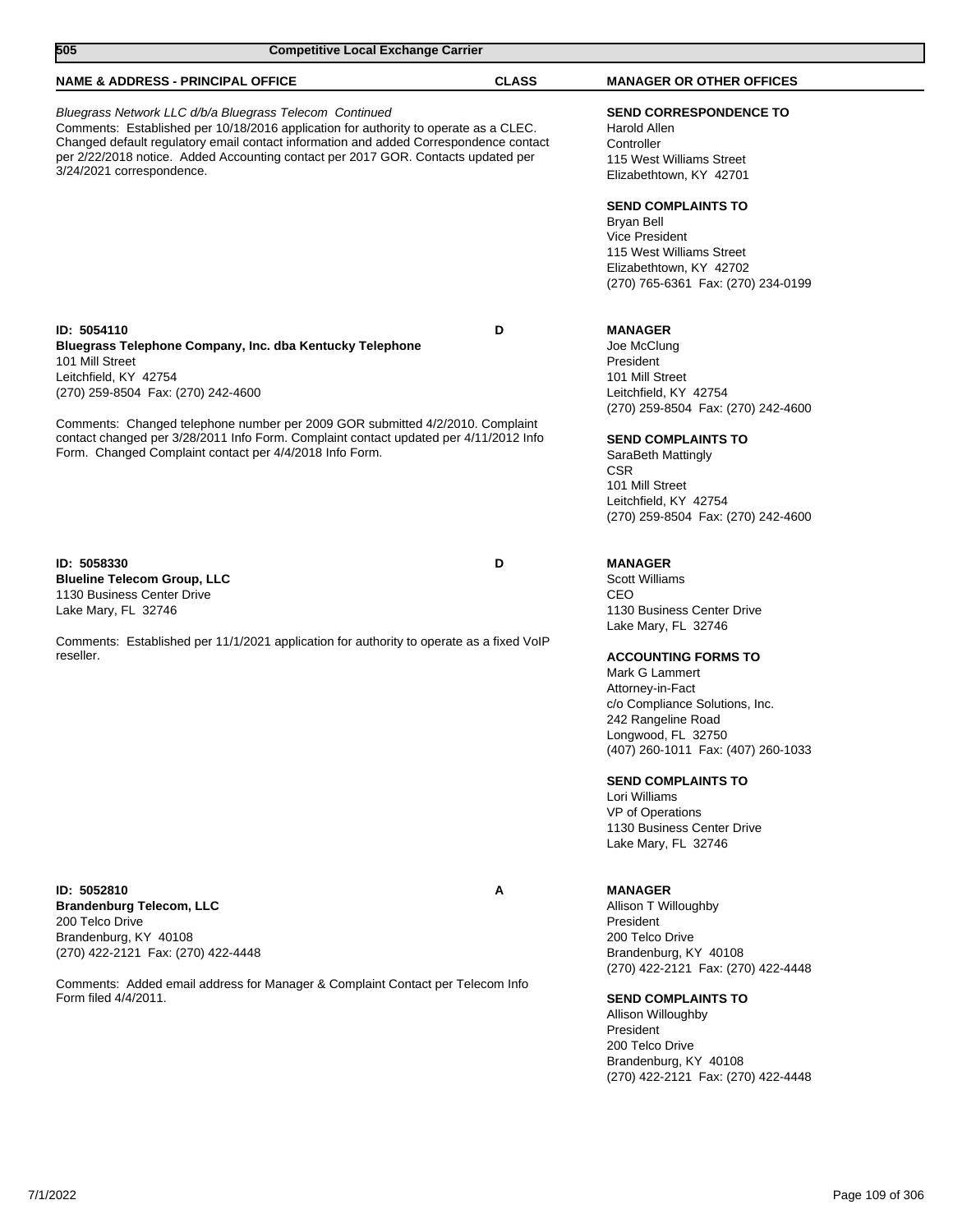| 505<br><b>Competitive Local Exchange Carrier</b>                                                                                                                                                                                                                                                                                                           |                                                                                          |              |                                                                                                                                                               |
|------------------------------------------------------------------------------------------------------------------------------------------------------------------------------------------------------------------------------------------------------------------------------------------------------------------------------------------------------------|------------------------------------------------------------------------------------------|--------------|---------------------------------------------------------------------------------------------------------------------------------------------------------------|
| <b>NAME &amp; ADDRESS - PRINCIPAL OFFICE</b>                                                                                                                                                                                                                                                                                                               |                                                                                          | <b>CLASS</b> | <b>MANAGER OR OTHER OFFICES</b>                                                                                                                               |
| Bluegrass Network LLC d/b/a Bluegrass Telecom Continued<br>Comments: Established per 10/18/2016 application for authority to operate as a CLEC.<br>Changed default regulatory email contact information and added Correspondence contact<br>per 2/22/2018 notice. Added Accounting contact per 2017 GOR. Contacts updated per<br>3/24/2021 correspondence. |                                                                                          |              | <b>SEND CORRESPONDENCE TO</b><br>Harold Allen<br>Controller<br>115 West Williams Street<br>Elizabethtown, KY 42701                                            |
|                                                                                                                                                                                                                                                                                                                                                            |                                                                                          |              | <b>SEND COMPLAINTS TO</b><br>Bryan Bell<br><b>Vice President</b><br>115 West Williams Street<br>Elizabethtown, KY 42702<br>(270) 765-6361 Fax: (270) 234-0199 |
| ID: 5054110                                                                                                                                                                                                                                                                                                                                                |                                                                                          | D            | <b>MANAGER</b>                                                                                                                                                |
|                                                                                                                                                                                                                                                                                                                                                            | Bluegrass Telephone Company, Inc. dba Kentucky Telephone                                 |              | Joe McClung                                                                                                                                                   |
| 101 Mill Street                                                                                                                                                                                                                                                                                                                                            |                                                                                          |              | President                                                                                                                                                     |
| Leitchfield, KY 42754<br>(270) 259-8504 Fax: (270) 242-4600                                                                                                                                                                                                                                                                                                |                                                                                          |              | 101 Mill Street<br>Leitchfield, KY 42754                                                                                                                      |
|                                                                                                                                                                                                                                                                                                                                                            |                                                                                          |              | (270) 259-8504 Fax: (270) 242-4600                                                                                                                            |
|                                                                                                                                                                                                                                                                                                                                                            | Comments: Changed telephone number per 2009 GOR submitted 4/2/2010. Complaint            |              |                                                                                                                                                               |
| Form. Changed Complaint contact per 4/4/2018 Info Form.                                                                                                                                                                                                                                                                                                    | contact changed per 3/28/2011 Info Form. Complaint contact updated per 4/11/2012 Info    |              | <b>SEND COMPLAINTS TO</b><br>SaraBeth Mattingly<br><b>CSR</b>                                                                                                 |
|                                                                                                                                                                                                                                                                                                                                                            |                                                                                          |              | 101 Mill Street                                                                                                                                               |
|                                                                                                                                                                                                                                                                                                                                                            |                                                                                          |              | Leitchfield, KY 42754                                                                                                                                         |
|                                                                                                                                                                                                                                                                                                                                                            |                                                                                          |              | (270) 259-8504 Fax: (270) 242-4600                                                                                                                            |
| ID: 5058330                                                                                                                                                                                                                                                                                                                                                |                                                                                          | D            | <b>MANAGER</b>                                                                                                                                                |
| <b>Blueline Telecom Group, LLC</b>                                                                                                                                                                                                                                                                                                                         |                                                                                          |              | <b>Scott Williams</b>                                                                                                                                         |
| 1130 Business Center Drive                                                                                                                                                                                                                                                                                                                                 |                                                                                          |              | CEO                                                                                                                                                           |
| Lake Mary, FL 32746                                                                                                                                                                                                                                                                                                                                        |                                                                                          |              | 1130 Business Center Drive<br>Lake Mary, FL 32746                                                                                                             |
| reseller.                                                                                                                                                                                                                                                                                                                                                  | Comments: Established per 11/1/2021 application for authority to operate as a fixed VoIP |              | <b>ACCOUNTING FORMS TO</b>                                                                                                                                    |
|                                                                                                                                                                                                                                                                                                                                                            |                                                                                          |              | Mark G Lammert                                                                                                                                                |
|                                                                                                                                                                                                                                                                                                                                                            |                                                                                          |              | Attorney-in-Fact                                                                                                                                              |
|                                                                                                                                                                                                                                                                                                                                                            |                                                                                          |              | c/o Compliance Solutions, Inc.                                                                                                                                |
|                                                                                                                                                                                                                                                                                                                                                            |                                                                                          |              | 242 Rangeline Road<br>Longwood, FL 32750                                                                                                                      |
|                                                                                                                                                                                                                                                                                                                                                            |                                                                                          |              | (407) 260-1011 Fax: (407) 260-1033                                                                                                                            |
|                                                                                                                                                                                                                                                                                                                                                            |                                                                                          |              | <b>SEND COMPLAINTS TO</b>                                                                                                                                     |
|                                                                                                                                                                                                                                                                                                                                                            |                                                                                          |              | Lori Williams                                                                                                                                                 |
|                                                                                                                                                                                                                                                                                                                                                            |                                                                                          |              | VP of Operations<br>1130 Business Center Drive                                                                                                                |
|                                                                                                                                                                                                                                                                                                                                                            |                                                                                          |              | Lake Mary, FL 32746                                                                                                                                           |
|                                                                                                                                                                                                                                                                                                                                                            |                                                                                          |              |                                                                                                                                                               |
| ID: 5052810<br><b>Brandenburg Telecom, LLC</b>                                                                                                                                                                                                                                                                                                             |                                                                                          | Α            | <b>MANAGER</b><br>Allison T Willoughby                                                                                                                        |
| 200 Telco Drive                                                                                                                                                                                                                                                                                                                                            |                                                                                          |              | President                                                                                                                                                     |
| Brandenburg, KY 40108                                                                                                                                                                                                                                                                                                                                      |                                                                                          |              | 200 Telco Drive                                                                                                                                               |
| (270) 422-2121 Fax: (270) 422-4448                                                                                                                                                                                                                                                                                                                         |                                                                                          |              | Brandenburg, KY 40108                                                                                                                                         |
|                                                                                                                                                                                                                                                                                                                                                            | Comments: Added email address for Manager & Complaint Contact per Telecom Info           |              | (270) 422-2121 Fax: (270) 422-4448                                                                                                                            |
| Form filed 4/4/2011.                                                                                                                                                                                                                                                                                                                                       |                                                                                          |              | <b>SEND COMPLAINTS TO</b>                                                                                                                                     |
|                                                                                                                                                                                                                                                                                                                                                            |                                                                                          |              | Allison Willoughby                                                                                                                                            |
|                                                                                                                                                                                                                                                                                                                                                            |                                                                                          |              | President<br>200 Telco Drive                                                                                                                                  |
|                                                                                                                                                                                                                                                                                                                                                            |                                                                                          |              | Brandenburg, KY 40108                                                                                                                                         |
|                                                                                                                                                                                                                                                                                                                                                            |                                                                                          |              | (270) 422-2121 Fax: (270) 422-4448                                                                                                                            |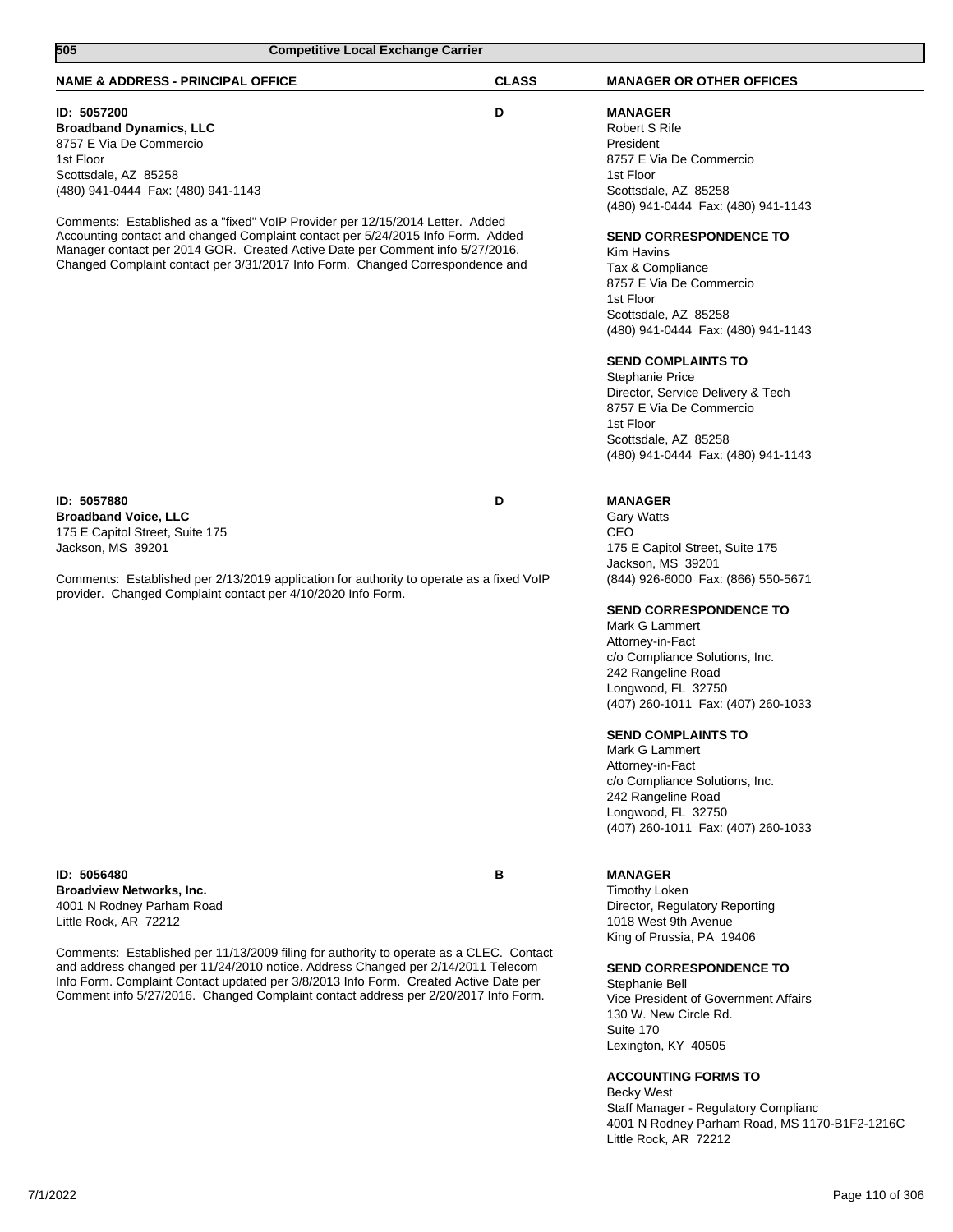| 505<br><b>Competitive Local Exchange Carrier</b>                                                                                                                            |              |                                                            |
|-----------------------------------------------------------------------------------------------------------------------------------------------------------------------------|--------------|------------------------------------------------------------|
| <b>NAME &amp; ADDRESS - PRINCIPAL OFFICE</b>                                                                                                                                | <b>CLASS</b> | <b>MANAGER OR OTHER OFFICES</b>                            |
| ID: 5057200                                                                                                                                                                 | D            | <b>MANAGER</b>                                             |
| <b>Broadband Dynamics, LLC</b>                                                                                                                                              |              | Robert S Rife                                              |
| 8757 E Via De Commercio                                                                                                                                                     |              | President                                                  |
| 1st Floor                                                                                                                                                                   |              | 8757 E Via De Commercio                                    |
| Scottsdale, AZ 85258                                                                                                                                                        |              | 1st Floor                                                  |
| (480) 941-0444 Fax: (480) 941-1143                                                                                                                                          |              | Scottsdale, AZ 85258<br>(480) 941-0444 Fax: (480) 941-1143 |
| Comments: Established as a "fixed" VoIP Provider per 12/15/2014 Letter. Added                                                                                               |              |                                                            |
| Accounting contact and changed Complaint contact per 5/24/2015 Info Form. Added                                                                                             |              | <b>SEND CORRESPONDENCE TO</b>                              |
| Manager contact per 2014 GOR. Created Active Date per Comment info 5/27/2016.                                                                                               |              | Kim Havins                                                 |
| Changed Complaint contact per 3/31/2017 Info Form. Changed Correspondence and                                                                                               |              | Tax & Compliance                                           |
|                                                                                                                                                                             |              | 8757 E Via De Commercio                                    |
|                                                                                                                                                                             |              | 1st Floor                                                  |
|                                                                                                                                                                             |              | Scottsdale, AZ 85258                                       |
|                                                                                                                                                                             |              | (480) 941-0444 Fax: (480) 941-1143                         |
|                                                                                                                                                                             |              | <b>SEND COMPLAINTS TO</b>                                  |
|                                                                                                                                                                             |              | <b>Stephanie Price</b>                                     |
|                                                                                                                                                                             |              | Director, Service Delivery & Tech                          |
|                                                                                                                                                                             |              | 8757 E Via De Commercio                                    |
|                                                                                                                                                                             |              | 1st Floor                                                  |
|                                                                                                                                                                             |              | Scottsdale, AZ 85258                                       |
|                                                                                                                                                                             |              | (480) 941-0444 Fax: (480) 941-1143                         |
| ID: 5057880                                                                                                                                                                 | D            | <b>MANAGER</b>                                             |
| <b>Broadband Voice, LLC</b>                                                                                                                                                 |              | <b>Gary Watts</b>                                          |
| 175 E Capitol Street, Suite 175                                                                                                                                             |              | CEO                                                        |
| Jackson, MS 39201                                                                                                                                                           |              | 175 E Capitol Street, Suite 175                            |
|                                                                                                                                                                             |              | Jackson, MS 39201                                          |
| Comments: Established per 2/13/2019 application for authority to operate as a fixed VoIP<br>provider. Changed Complaint contact per 4/10/2020 Info Form.                    |              | (844) 926-6000 Fax: (866) 550-5671                         |
|                                                                                                                                                                             |              | <b>SEND CORRESPONDENCE TO</b>                              |
|                                                                                                                                                                             |              | Mark G Lammert                                             |
|                                                                                                                                                                             |              | Attorney-in-Fact                                           |
|                                                                                                                                                                             |              | c/o Compliance Solutions, Inc.<br>242 Rangeline Road       |
|                                                                                                                                                                             |              | Longwood, FL 32750                                         |
|                                                                                                                                                                             |              | (407) 260-1011 Fax: (407) 260-1033                         |
|                                                                                                                                                                             |              | <b>SEND COMPLAINTS TO</b>                                  |
|                                                                                                                                                                             |              | Mark G Lammert                                             |
|                                                                                                                                                                             |              | Attorney-in-Fact                                           |
|                                                                                                                                                                             |              | c/o Compliance Solutions, Inc.                             |
|                                                                                                                                                                             |              | 242 Rangeline Road                                         |
|                                                                                                                                                                             |              | Longwood, FL 32750                                         |
|                                                                                                                                                                             |              | (407) 260-1011 Fax: (407) 260-1033                         |
| ID: 5056480                                                                                                                                                                 | в            | <b>MANAGER</b>                                             |
| <b>Broadview Networks, Inc.</b>                                                                                                                                             |              | <b>Timothy Loken</b>                                       |
| 4001 N Rodney Parham Road                                                                                                                                                   |              | Director, Regulatory Reporting                             |
| Little Rock, AR 72212                                                                                                                                                       |              | 1018 West 9th Avenue                                       |
|                                                                                                                                                                             |              | King of Prussia, PA 19406                                  |
| Comments: Established per 11/13/2009 filing for authority to operate as a CLEC. Contact<br>and address changed per 11/24/2010 notice. Address Changed per 2/14/2011 Telecom |              | <b>SEND CORRESPONDENCE TO</b>                              |
| Info Form. Complaint Contact updated per 3/8/2013 Info Form. Created Active Date per                                                                                        |              | Stephanie Bell                                             |
| Comment info 5/27/2016. Changed Complaint contact address per 2/20/2017 Info Form.                                                                                          |              | Vice President of Government Affairs                       |
|                                                                                                                                                                             |              | 130 W. New Circle Rd.                                      |
|                                                                                                                                                                             |              | Suite 170                                                  |
|                                                                                                                                                                             |              | Lexington, KY 40505                                        |
|                                                                                                                                                                             |              |                                                            |
|                                                                                                                                                                             |              | <b>ACCOUNTING FORMS TO</b>                                 |

Becky West Staff Manager - Regulatory Complianc 4001 N Rodney Parham Road, MS 1170-B1F2-1216C Little Rock, AR 72212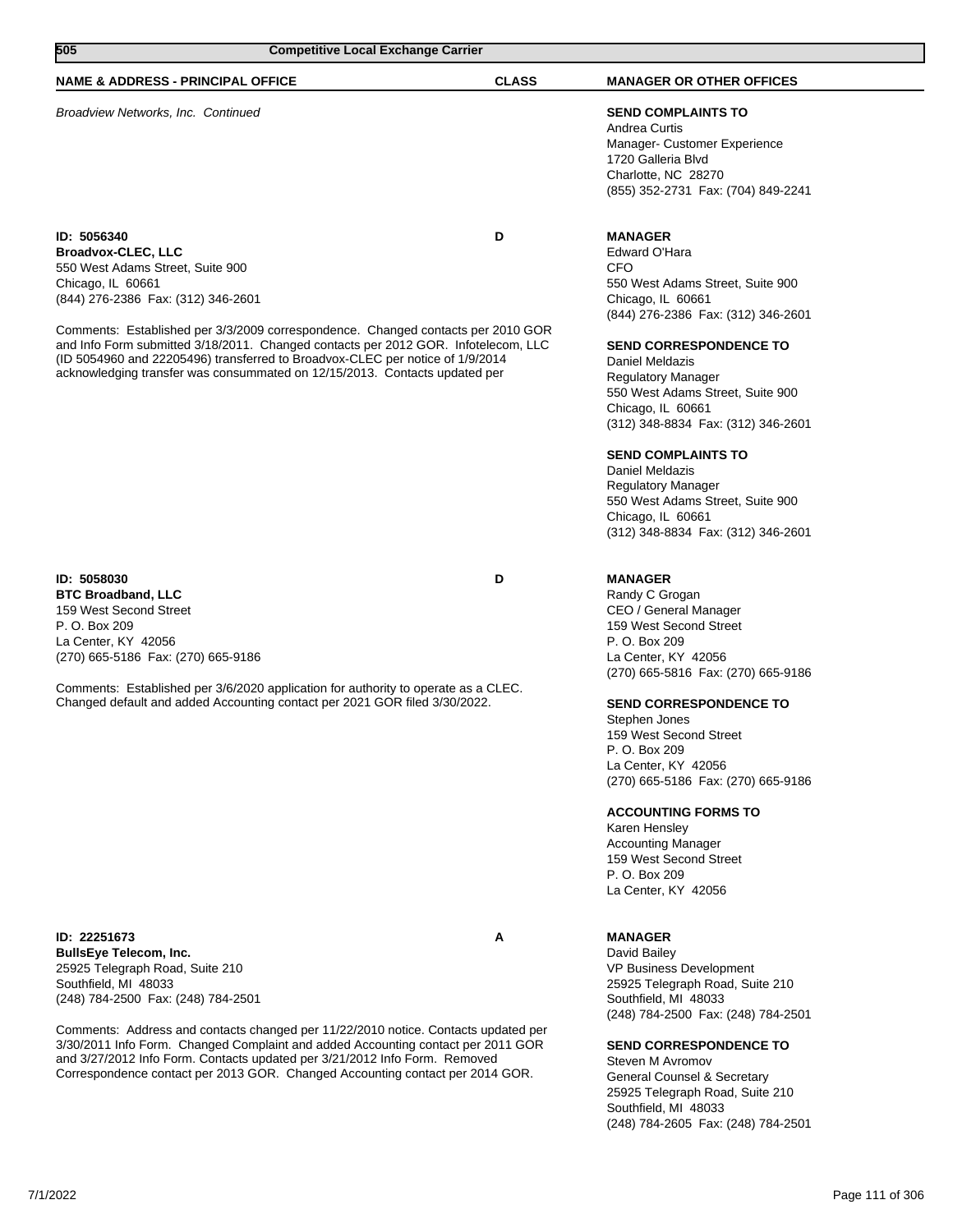| 505<br><b>Competitive Local Exchange Carrier</b>                                                                                                                                                                                                                                                                                                                                                                                                                                 |              |                                                                                                                                                                                                                                                                                                                                                                                                                                                                                                   |
|----------------------------------------------------------------------------------------------------------------------------------------------------------------------------------------------------------------------------------------------------------------------------------------------------------------------------------------------------------------------------------------------------------------------------------------------------------------------------------|--------------|---------------------------------------------------------------------------------------------------------------------------------------------------------------------------------------------------------------------------------------------------------------------------------------------------------------------------------------------------------------------------------------------------------------------------------------------------------------------------------------------------|
| <b>NAME &amp; ADDRESS - PRINCIPAL OFFICE</b>                                                                                                                                                                                                                                                                                                                                                                                                                                     | <b>CLASS</b> | <b>MANAGER OR OTHER OFFICES</b>                                                                                                                                                                                                                                                                                                                                                                                                                                                                   |
| Broadview Networks, Inc. Continued                                                                                                                                                                                                                                                                                                                                                                                                                                               |              | <b>SEND COMPLAINTS TO</b><br>Andrea Curtis<br>Manager- Customer Experience<br>1720 Galleria Blvd<br>Charlotte, NC 28270<br>(855) 352-2731 Fax: (704) 849-2241                                                                                                                                                                                                                                                                                                                                     |
| ID: 5056340<br><b>Broadvox-CLEC, LLC</b><br>550 West Adams Street, Suite 900<br>Chicago, IL 60661<br>(844) 276-2386 Fax: (312) 346-2601<br>Comments: Established per 3/3/2009 correspondence. Changed contacts per 2010 GOR<br>and Info Form submitted 3/18/2011. Changed contacts per 2012 GOR. Infotelecom, LLC<br>(ID 5054960 and 22205496) transferred to Broadvox-CLEC per notice of 1/9/2014<br>acknowledging transfer was consummated on 12/15/2013. Contacts updated per | D            | <b>MANAGER</b><br>Edward O'Hara<br>CFO<br>550 West Adams Street, Suite 900<br>Chicago, IL 60661<br>(844) 276-2386 Fax: (312) 346-2601<br><b>SEND CORRESPONDENCE TO</b><br>Daniel Meldazis<br><b>Regulatory Manager</b><br>550 West Adams Street, Suite 900<br>Chicago, IL 60661<br>(312) 348-8834 Fax: (312) 346-2601<br><b>SEND COMPLAINTS TO</b><br><b>Daniel Meldazis</b><br>Regulatory Manager<br>550 West Adams Street, Suite 900<br>Chicago, IL 60661<br>(312) 348-8834 Fax: (312) 346-2601 |
| ID: 5058030<br><b>BTC Broadband, LLC</b><br>159 West Second Street<br>P. O. Box 209<br>La Center, KY 42056<br>(270) 665-5186 Fax: (270) 665-9186<br>Comments: Established per 3/6/2020 application for authority to operate as a CLEC.<br>Changed default and added Accounting contact per 2021 GOR filed 3/30/2022.                                                                                                                                                             | D            | <b>MANAGER</b><br>Randy C Grogan<br>CEO / General Manager<br>159 West Second Street<br>P. O. Box 209<br>La Center, KY 42056<br>(270) 665-5816 Fax: (270) 665-9186<br><b>SEND CORRESPONDENCE TO</b><br>Stephen Jones<br>159 West Second Street<br>P. O. Box 209<br>La Center, KY 42056<br>(270) 665-5186 Fax: (270) 665-9186<br><b>ACCOUNTING FORMS TO</b><br>Karen Hensley<br><b>Accounting Manager</b><br>159 West Second Street<br>P. O. Box 209<br>La Center, KY 42056                         |

**ID: 22251673 A BullsEye Telecom, Inc.** 25925 Telegraph Road, Suite 210 Southfield, MI 48033 (248) 784-2500 Fax: (248) 784-2501

Comments: Address and contacts changed per 11/22/2010 notice. Contacts updated per 3/30/2011 Info Form. Changed Complaint and added Accounting contact per 2011 GOR and 3/27/2012 Info Form. Contacts updated per 3/21/2012 Info Form. Removed Correspondence contact per 2013 GOR. Changed Accounting contact per 2014 GOR.

## **MANAGER**

David Bailey VP Business Development 25925 Telegraph Road, Suite 210 Southfield, MI 48033 (248) 784-2500 Fax: (248) 784-2501

## **SEND CORRESPONDENCE TO**

Steven M Avromov General Counsel & Secretary 25925 Telegraph Road, Suite 210 Southfield, MI 48033 (248) 784-2605 Fax: (248) 784-2501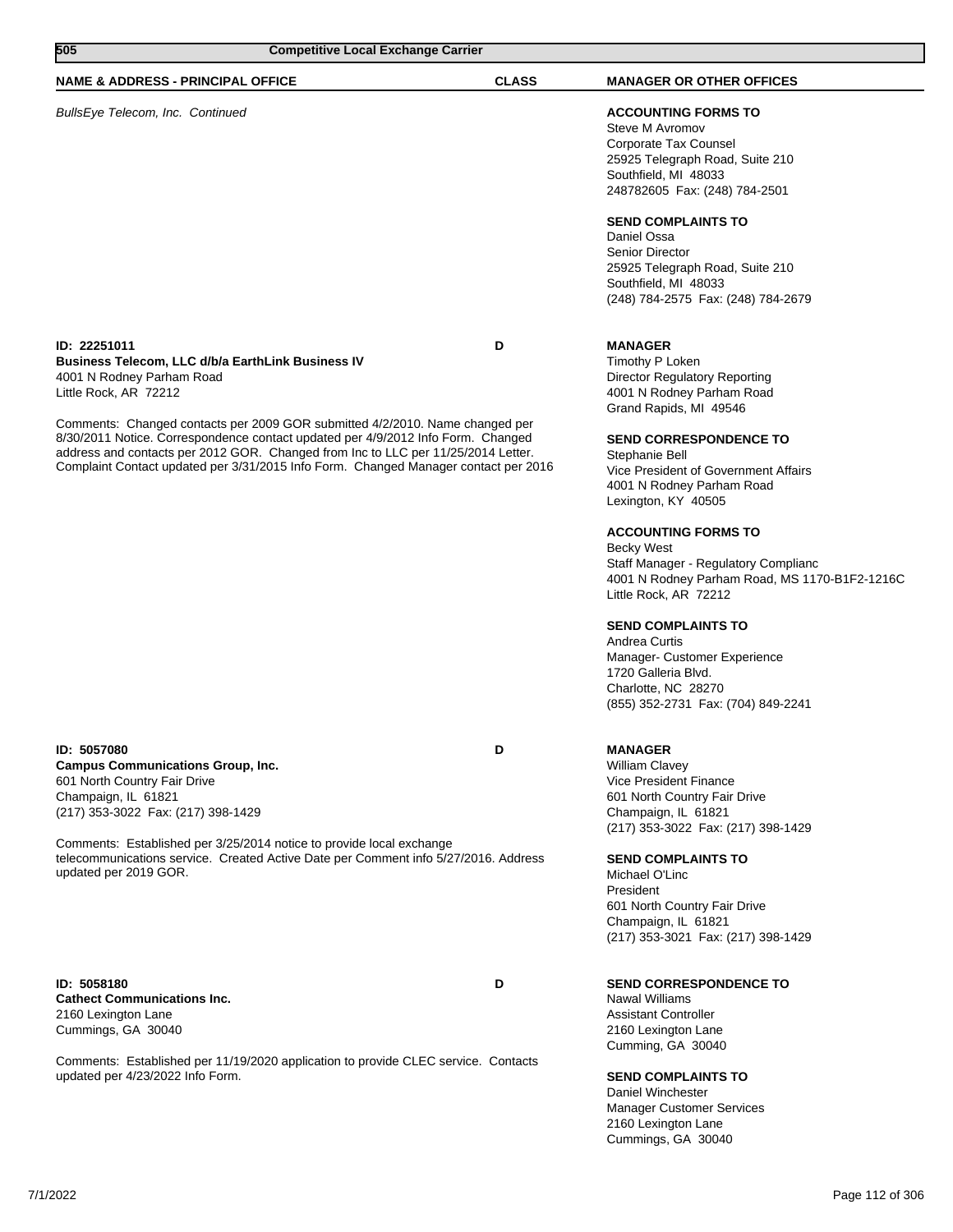| 505<br><b>Competitive Local Exchange Carrier</b>                                                                                                                                                                                                                                                                                                                                                                                                                               |              |                                                                                                                                                                                                                                                                                                                                                                                                                                                                                                                                                                                                                        |
|--------------------------------------------------------------------------------------------------------------------------------------------------------------------------------------------------------------------------------------------------------------------------------------------------------------------------------------------------------------------------------------------------------------------------------------------------------------------------------|--------------|------------------------------------------------------------------------------------------------------------------------------------------------------------------------------------------------------------------------------------------------------------------------------------------------------------------------------------------------------------------------------------------------------------------------------------------------------------------------------------------------------------------------------------------------------------------------------------------------------------------------|
| <b>NAME &amp; ADDRESS - PRINCIPAL OFFICE</b>                                                                                                                                                                                                                                                                                                                                                                                                                                   | <b>CLASS</b> | <b>MANAGER OR OTHER OFFICES</b>                                                                                                                                                                                                                                                                                                                                                                                                                                                                                                                                                                                        |
| BullsEye Telecom, Inc. Continued                                                                                                                                                                                                                                                                                                                                                                                                                                               |              | <b>ACCOUNTING FORMS TO</b><br>Steve M Avromov<br>Corporate Tax Counsel<br>25925 Telegraph Road, Suite 210<br>Southfield, MI 48033<br>248782605 Fax: (248) 784-2501<br><b>SEND COMPLAINTS TO</b><br>Daniel Ossa<br>Senior Director<br>25925 Telegraph Road, Suite 210<br>Southfield, MI 48033<br>(248) 784-2575 Fax: (248) 784-2679                                                                                                                                                                                                                                                                                     |
| ID: 22251011<br><b>Business Telecom, LLC d/b/a EarthLink Business IV</b><br>4001 N Rodney Parham Road<br>Little Rock, AR 72212<br>Comments: Changed contacts per 2009 GOR submitted 4/2/2010. Name changed per<br>8/30/2011 Notice. Correspondence contact updated per 4/9/2012 Info Form. Changed<br>address and contacts per 2012 GOR. Changed from Inc to LLC per 11/25/2014 Letter.<br>Complaint Contact updated per 3/31/2015 Info Form. Changed Manager contact per 2016 | D            | <b>MANAGER</b><br>Timothy P Loken<br><b>Director Regulatory Reporting</b><br>4001 N Rodney Parham Road<br>Grand Rapids, MI 49546<br><b>SEND CORRESPONDENCE TO</b><br>Stephanie Bell<br>Vice President of Government Affairs<br>4001 N Rodney Parham Road<br>Lexington, KY 40505<br><b>ACCOUNTING FORMS TO</b><br><b>Becky West</b><br>Staff Manager - Regulatory Complianc<br>4001 N Rodney Parham Road, MS 1170-B1F2-1216C<br>Little Rock, AR 72212<br><b>SEND COMPLAINTS TO</b><br>Andrea Curtis<br>Manager- Customer Experience<br>1720 Galleria Blvd.<br>Charlotte, NC 28270<br>(855) 352-2731 Fax: (704) 849-2241 |
| ID: 5057080<br><b>Campus Communications Group, Inc.</b><br>601 North Country Fair Drive<br>Champaign, IL 61821<br>(217) 353-3022 Fax: (217) 398-1429<br>Comments: Established per 3/25/2014 notice to provide local exchange<br>telecommunications service. Created Active Date per Comment info 5/27/2016. Address<br>updated per 2019 GOR.                                                                                                                                   | D            | <b>MANAGER</b><br><b>William Clavey</b><br><b>Vice President Finance</b><br>601 North Country Fair Drive<br>Champaign, IL 61821<br>(217) 353-3022 Fax: (217) 398-1429<br><b>SEND COMPLAINTS TO</b><br>Michael O'Linc<br>President<br>601 North Country Fair Drive<br>Champaign, IL 61821<br>(217) 353-3021 Fax: (217) 398-1429                                                                                                                                                                                                                                                                                         |
| ID: 5058180<br><b>Cathect Communications Inc.</b><br>2160 Lexington Lane<br>Cummings, GA 30040<br>Comments: Established per 11/19/2020 application to provide CLEC service. Contacts<br>updated per 4/23/2022 Info Form.                                                                                                                                                                                                                                                       | D            | <b>SEND CORRESPONDENCE TO</b><br><b>Nawal Williams</b><br><b>Assistant Controller</b><br>2160 Lexington Lane<br>Cumming, GA 30040<br><b>SEND COMPLAINTS TO</b>                                                                                                                                                                                                                                                                                                                                                                                                                                                         |

Daniel Winchester Manager Customer Services 2160 Lexington Lane Cummings, GA 30040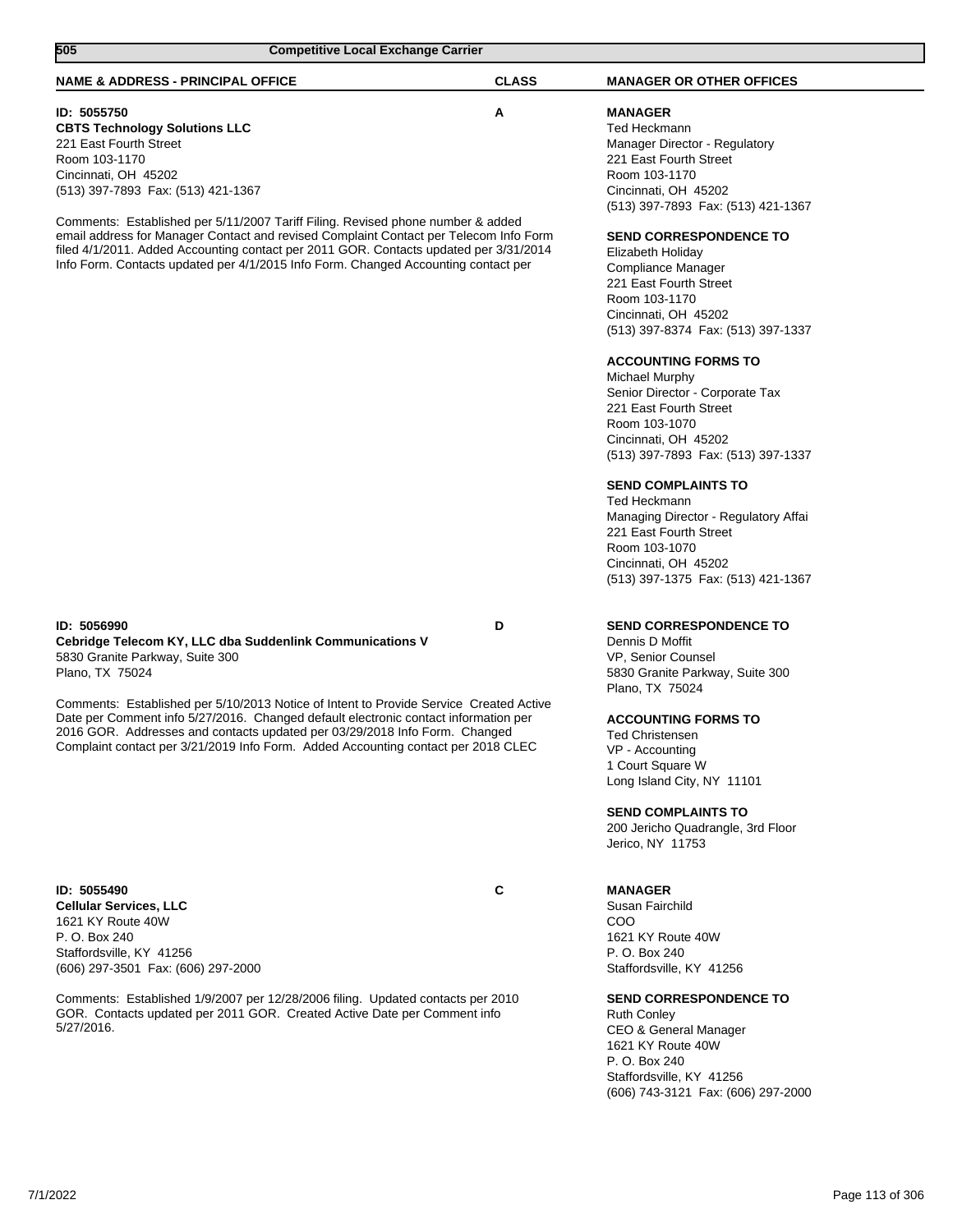| 505<br><b>Competitive Local Exchange Carrier</b>                                                                                                                                                                                                                                                                                                                                                                                                                                                                        |              |                                                                                                                                                                                                                                                                                                                                                                                                                                                                                                                                                                                                                                                                                                                   |
|-------------------------------------------------------------------------------------------------------------------------------------------------------------------------------------------------------------------------------------------------------------------------------------------------------------------------------------------------------------------------------------------------------------------------------------------------------------------------------------------------------------------------|--------------|-------------------------------------------------------------------------------------------------------------------------------------------------------------------------------------------------------------------------------------------------------------------------------------------------------------------------------------------------------------------------------------------------------------------------------------------------------------------------------------------------------------------------------------------------------------------------------------------------------------------------------------------------------------------------------------------------------------------|
| <b>NAME &amp; ADDRESS - PRINCIPAL OFFICE</b>                                                                                                                                                                                                                                                                                                                                                                                                                                                                            | <b>CLASS</b> | <b>MANAGER OR OTHER OFFICES</b>                                                                                                                                                                                                                                                                                                                                                                                                                                                                                                                                                                                                                                                                                   |
| ID: 5055750<br><b>CBTS Technology Solutions LLC</b><br>221 East Fourth Street<br>Room 103-1170<br>Cincinnati, OH 45202<br>(513) 397-7893 Fax: (513) 421-1367<br>Comments: Established per 5/11/2007 Tariff Filing. Revised phone number & added<br>email address for Manager Contact and revised Complaint Contact per Telecom Info Form<br>filed 4/1/2011. Added Accounting contact per 2011 GOR. Contacts updated per 3/31/2014<br>Info Form. Contacts updated per 4/1/2015 Info Form. Changed Accounting contact per | A            | <b>MANAGER</b><br>Ted Heckmann<br>Manager Director - Regulatory<br>221 East Fourth Street<br>Room 103-1170<br>Cincinnati, OH 45202<br>(513) 397-7893 Fax: (513) 421-1367<br><b>SEND CORRESPONDENCE TO</b><br>Elizabeth Holiday<br>Compliance Manager<br>221 East Fourth Street<br>Room 103-1170<br>Cincinnati, OH 45202<br>(513) 397-8374 Fax: (513) 397-1337<br><b>ACCOUNTING FORMS TO</b><br>Michael Murphy<br>Senior Director - Corporate Tax<br>221 East Fourth Street<br>Room 103-1070<br>Cincinnati, OH 45202<br>(513) 397-7893 Fax: (513) 397-1337<br><b>SEND COMPLAINTS TO</b><br>Ted Heckmann<br>Managing Director - Regulatory Affai<br>221 East Fourth Street<br>Room 103-1070<br>Cincinnati, OH 45202 |
| ID: 5056990<br>Cebridge Telecom KY, LLC dba Suddenlink Communications V<br>5830 Granite Parkway, Suite 300<br>Plano, TX 75024<br>Comments: Established per 5/10/2013 Notice of Intent to Provide Service Created Active<br>Date per Comment info 5/27/2016. Changed default electronic contact information per<br>2016 GOR. Addresses and contacts updated per 03/29/2018 Info Form. Changed<br>Complaint contact per 3/21/2019 Info Form. Added Accounting contact per 2018 CLEC                                       | D            | (513) 397-1375 Fax: (513) 421-1367<br><b>SEND CORRESPONDENCE TO</b><br>Dennis D Moffit<br>VP, Senior Counsel<br>5830 Granite Parkway, Suite 300<br>Plano, TX 75024<br><b>ACCOUNTING FORMS TO</b><br><b>Ted Christensen</b><br>VP - Accounting<br>1 Court Square W<br>Long Island City, NY 11101<br><b>SEND COMPLAINTS TO</b><br>200 Jericho Quadrangle, 3rd Floor<br>Jerico, NY 11753                                                                                                                                                                                                                                                                                                                             |
| ID: 5055490<br><b>Cellular Services, LLC</b><br>1621 KY Route 40W<br>P. O. Box 240<br>Staffordsville, KY 41256<br>(606) 297-3501 Fax: (606) 297-2000<br>Comments: Established 1/9/2007 per 12/28/2006 filing. Updated contacts per 2010<br>GOR. Contacts updated per 2011 GOR. Created Active Date per Comment info<br>5/27/2016.                                                                                                                                                                                       | C            | <b>MANAGER</b><br>Susan Fairchild<br>COO<br>1621 KY Route 40W<br>P. O. Box 240<br>Staffordsville, KY 41256<br><b>SEND CORRESPONDENCE TO</b><br><b>Ruth Conley</b><br>CEO & General Manager<br>1621 KY Route 40W<br>P. O. Box 240<br>Staffordsville, KY 41256<br>(606) 743-3121 Fax: (606) 297-2000                                                                                                                                                                                                                                                                                                                                                                                                                |

 $\overline{\phantom{a}}$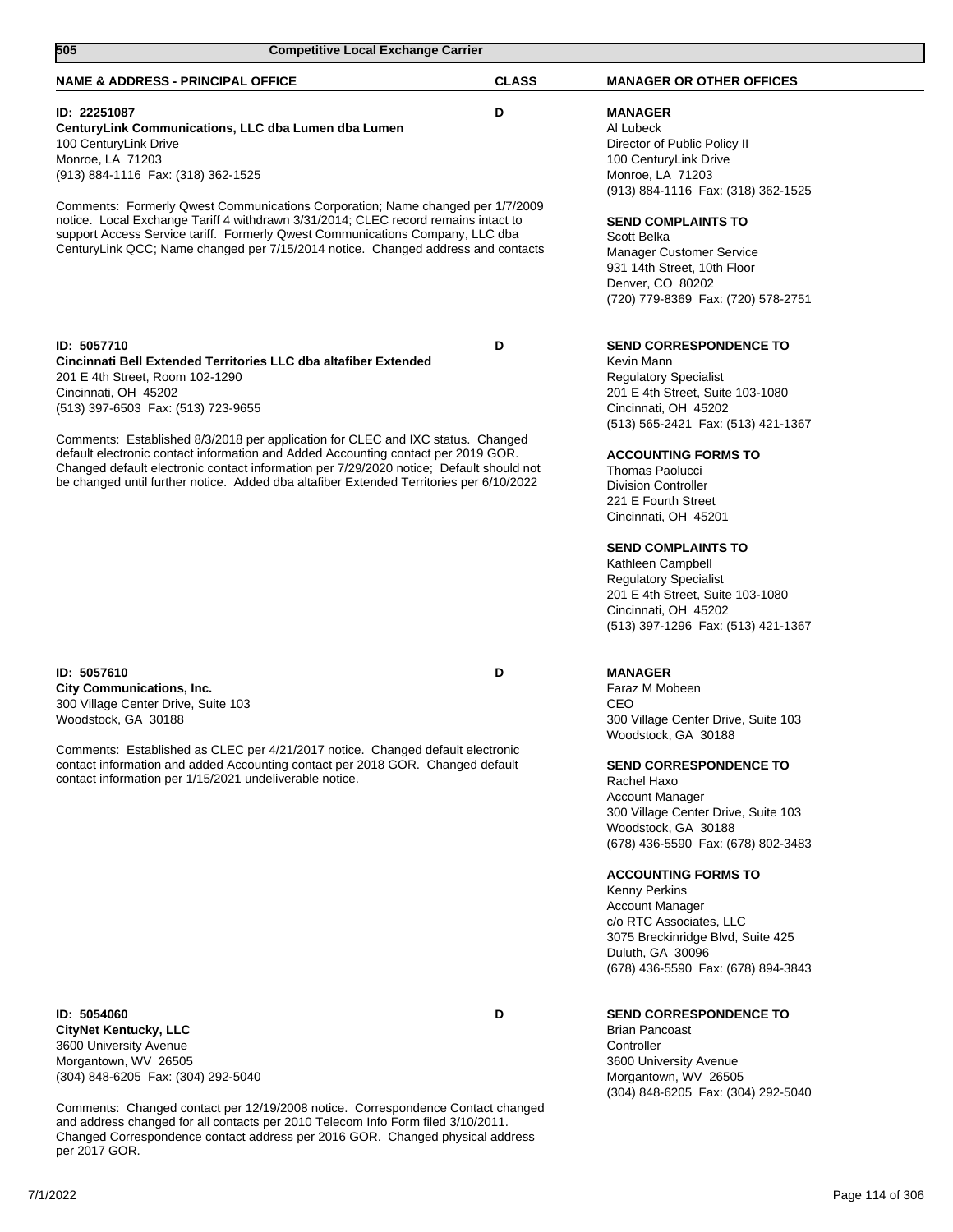| <b>Competitive Local Exchange Carrier</b><br>505                                                                                                                                                                                                                                                                                                                                                                                                                                                                                              |              |                                                                                                                                                                                                                                                                                                                                                                                                                                                                                                        |  |
|-----------------------------------------------------------------------------------------------------------------------------------------------------------------------------------------------------------------------------------------------------------------------------------------------------------------------------------------------------------------------------------------------------------------------------------------------------------------------------------------------------------------------------------------------|--------------|--------------------------------------------------------------------------------------------------------------------------------------------------------------------------------------------------------------------------------------------------------------------------------------------------------------------------------------------------------------------------------------------------------------------------------------------------------------------------------------------------------|--|
| <b>NAME &amp; ADDRESS - PRINCIPAL OFFICE</b>                                                                                                                                                                                                                                                                                                                                                                                                                                                                                                  | <b>CLASS</b> | <b>MANAGER OR OTHER OFFICES</b>                                                                                                                                                                                                                                                                                                                                                                                                                                                                        |  |
| ID: 22251087<br>CenturyLink Communications, LLC dba Lumen dba Lumen<br>100 CenturyLink Drive<br>Monroe, LA 71203<br>(913) 884-1116 Fax: (318) 362-1525<br>Comments: Formerly Qwest Communications Corporation; Name changed per 1/7/2009<br>notice. Local Exchange Tariff 4 withdrawn 3/31/2014; CLEC record remains intact to<br>support Access Service tariff. Formerly Qwest Communications Company, LLC dba<br>CenturyLink QCC; Name changed per 7/15/2014 notice. Changed address and contacts                                           | D            | <b>MANAGER</b><br>Al Lubeck<br>Director of Public Policy II<br>100 CenturyLink Drive<br>Monroe, LA 71203<br>(913) 884-1116 Fax: (318) 362-1525<br><b>SEND COMPLAINTS TO</b><br>Scott Belka<br><b>Manager Customer Service</b><br>931 14th Street, 10th Floor<br>Denver, CO 80202<br>(720) 779-8369 Fax: (720) 578-2751                                                                                                                                                                                 |  |
| ID: 5057710<br>Cincinnati Bell Extended Territories LLC dba altafiber Extended<br>201 E 4th Street, Room 102-1290<br>Cincinnati, OH 45202<br>(513) 397-6503 Fax: (513) 723-9655<br>Comments: Established 8/3/2018 per application for CLEC and IXC status. Changed<br>default electronic contact information and Added Accounting contact per 2019 GOR.<br>Changed default electronic contact information per 7/29/2020 notice; Default should not<br>be changed until further notice. Added dba altafiber Extended Territories per 6/10/2022 | D            | <b>SEND CORRESPONDENCE TO</b><br>Kevin Mann<br><b>Regulatory Specialist</b><br>201 E 4th Street, Suite 103-1080<br>Cincinnati, OH 45202<br>(513) 565-2421 Fax: (513) 421-1367<br><b>ACCOUNTING FORMS TO</b><br><b>Thomas Paolucci</b><br><b>Division Controller</b><br>221 E Fourth Street<br>Cincinnati, OH 45201<br><b>SEND COMPLAINTS TO</b><br>Kathleen Campbell<br><b>Regulatory Specialist</b><br>201 E 4th Street, Suite 103-1080<br>Cincinnati, OH 45202<br>(513) 397-1296 Fax: (513) 421-1367 |  |
| ID: 5057610<br><b>City Communications, Inc.</b><br>300 Village Center Drive, Suite 103<br>Woodstock, GA 30188<br>Comments: Established as CLEC per 4/21/2017 notice. Changed default electronic<br>contact information and added Accounting contact per 2018 GOR. Changed default<br>contact information per 1/15/2021 undeliverable notice.                                                                                                                                                                                                  | D            | <b>MANAGER</b><br>Faraz M Mobeen<br>CEO<br>300 Village Center Drive, Suite 103<br>Woodstock, GA 30188<br><b>SEND CORRESPONDENCE TO</b><br>Rachel Haxo<br><b>Account Manager</b><br>300 Village Center Drive, Suite 103<br>Woodstock, GA 30188<br>(678) 436-5590 Fax: (678) 802-3483<br><b>ACCOUNTING FORMS TO</b><br><b>Kenny Perkins</b><br><b>Account Manager</b><br>c/o RTC Associates, LLC<br>3075 Breckinridge Blvd, Suite 425<br>Duluth, GA 30096<br>(678) 436-5590 Fax: (678) 894-3843          |  |
| ID: 5054060<br><b>CityNet Kentucky, LLC</b><br>3600 University Avenue<br>Morgantown, WV 26505<br>(304) 848-6205 Fax: (304) 292-5040                                                                                                                                                                                                                                                                                                                                                                                                           | D            | <b>SEND CORRESPONDENCE TO</b><br><b>Brian Pancoast</b><br>Controller<br>3600 University Avenue<br>Morgantown, WV 26505                                                                                                                                                                                                                                                                                                                                                                                 |  |

Comments: Changed contact per 12/19/2008 notice. Correspondence Contact changed and address changed for all contacts per 2010 Telecom Info Form filed 3/10/2011. Changed Correspondence contact address per 2016 GOR. Changed physical address per 2017 GOR.

7/1/2022 Page 114 of 306

(304) 848-6205 Fax: (304) 292-5040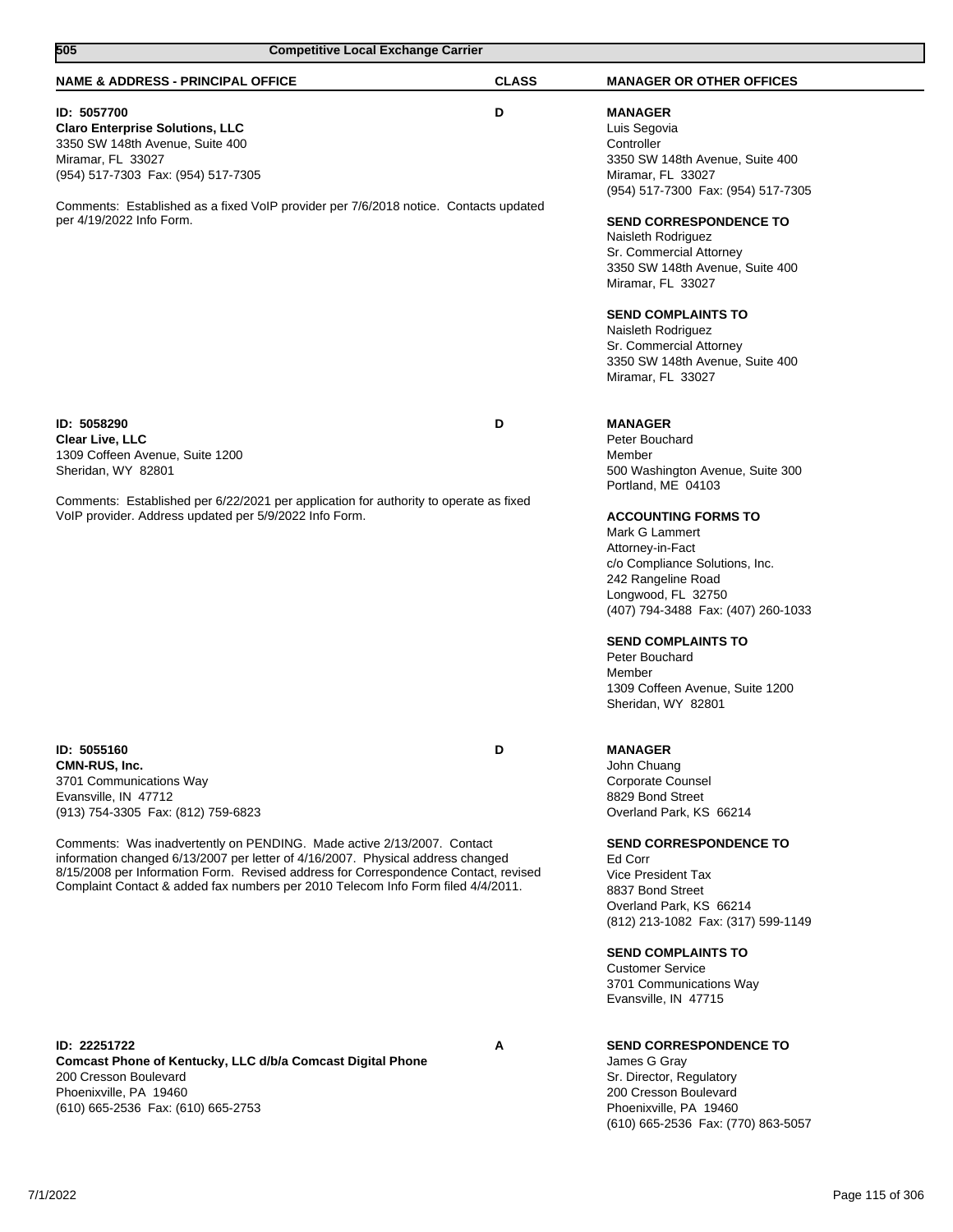| 505<br><b>Competitive Local Exchange Carrier</b>                                                                                                                                                                                                                                                                                                                                                                                                              |              |                                                                                                                                                                                                                                                                                                                                                                                                                            |  |
|---------------------------------------------------------------------------------------------------------------------------------------------------------------------------------------------------------------------------------------------------------------------------------------------------------------------------------------------------------------------------------------------------------------------------------------------------------------|--------------|----------------------------------------------------------------------------------------------------------------------------------------------------------------------------------------------------------------------------------------------------------------------------------------------------------------------------------------------------------------------------------------------------------------------------|--|
| <b>NAME &amp; ADDRESS - PRINCIPAL OFFICE</b>                                                                                                                                                                                                                                                                                                                                                                                                                  | <b>CLASS</b> | <b>MANAGER OR OTHER OFFICES</b>                                                                                                                                                                                                                                                                                                                                                                                            |  |
| ID: 5057700<br><b>Claro Enterprise Solutions, LLC</b><br>3350 SW 148th Avenue, Suite 400<br>Miramar, FL 33027<br>(954) 517-7303 Fax: (954) 517-7305<br>Comments: Established as a fixed VoIP provider per 7/6/2018 notice. Contacts updated<br>per 4/19/2022 Info Form.                                                                                                                                                                                       | D            | <b>MANAGER</b><br>Luis Segovia<br>Controller<br>3350 SW 148th Avenue, Suite 400<br>Miramar, FL 33027<br>(954) 517-7300 Fax: (954) 517-7305<br><b>SEND CORRESPONDENCE TO</b><br>Naisleth Rodriguez<br>Sr. Commercial Attorney<br>3350 SW 148th Avenue, Suite 400<br>Miramar, FL 33027<br><b>SEND COMPLAINTS TO</b><br>Naisleth Rodriguez<br>Sr. Commercial Attorney<br>3350 SW 148th Avenue, Suite 400<br>Miramar, FL 33027 |  |
| ID: 5058290<br>Clear Live, LLC<br>1309 Coffeen Avenue, Suite 1200<br>Sheridan, WY 82801<br>Comments: Established per 6/22/2021 per application for authority to operate as fixed<br>VoIP provider. Address updated per 5/9/2022 Info Form.                                                                                                                                                                                                                    | D            | <b>MANAGER</b><br>Peter Bouchard<br>Member<br>500 Washington Avenue, Suite 300<br>Portland, ME 04103<br><b>ACCOUNTING FORMS TO</b><br>Mark G Lammert<br>Attorney-in-Fact<br>c/o Compliance Solutions, Inc.<br>242 Rangeline Road<br>Longwood, FL 32750<br>(407) 794-3488 Fax: (407) 260-1033<br><b>SEND COMPLAINTS TO</b><br>Peter Bouchard<br>Member<br>1309 Coffeen Avenue, Suite 1200<br>Sheridan, WY 82801             |  |
| ID: 5055160<br>CMN-RUS, Inc.<br>3701 Communications Way<br>Evansville, IN 47712<br>(913) 754-3305 Fax: (812) 759-6823<br>Comments: Was inadvertently on PENDING. Made active 2/13/2007. Contact<br>information changed 6/13/2007 per letter of 4/16/2007. Physical address changed<br>8/15/2008 per Information Form. Revised address for Correspondence Contact, revised<br>Complaint Contact & added fax numbers per 2010 Telecom Info Form filed 4/4/2011. | D            | <b>MANAGER</b><br>John Chuang<br>Corporate Counsel<br>8829 Bond Street<br>Overland Park, KS 66214<br><b>SEND CORRESPONDENCE TO</b><br>Ed Corr<br>Vice President Tax<br>8837 Bond Street<br>Overland Park, KS 66214<br>(812) 213-1082 Fax: (317) 599-1149<br><b>SEND COMPLAINTS TO</b><br><b>Customer Service</b><br>3701 Communications Way<br>Evansville, IN 47715                                                        |  |
| ID: 22251722<br>Comcast Phone of Kentucky, LLC d/b/a Comcast Digital Phone<br>200 Cresson Boulevard<br>Phoenixville, PA 19460<br>(610) 665-2536 Fax: (610) 665-2753                                                                                                                                                                                                                                                                                           | Α            | <b>SEND CORRESPONDENCE TO</b><br>James G Gray<br>Sr. Director, Regulatory<br>200 Cresson Boulevard<br>Phoenixville, PA 19460<br>(610) 665-2536 Fax: (770) 863-5057                                                                                                                                                                                                                                                         |  |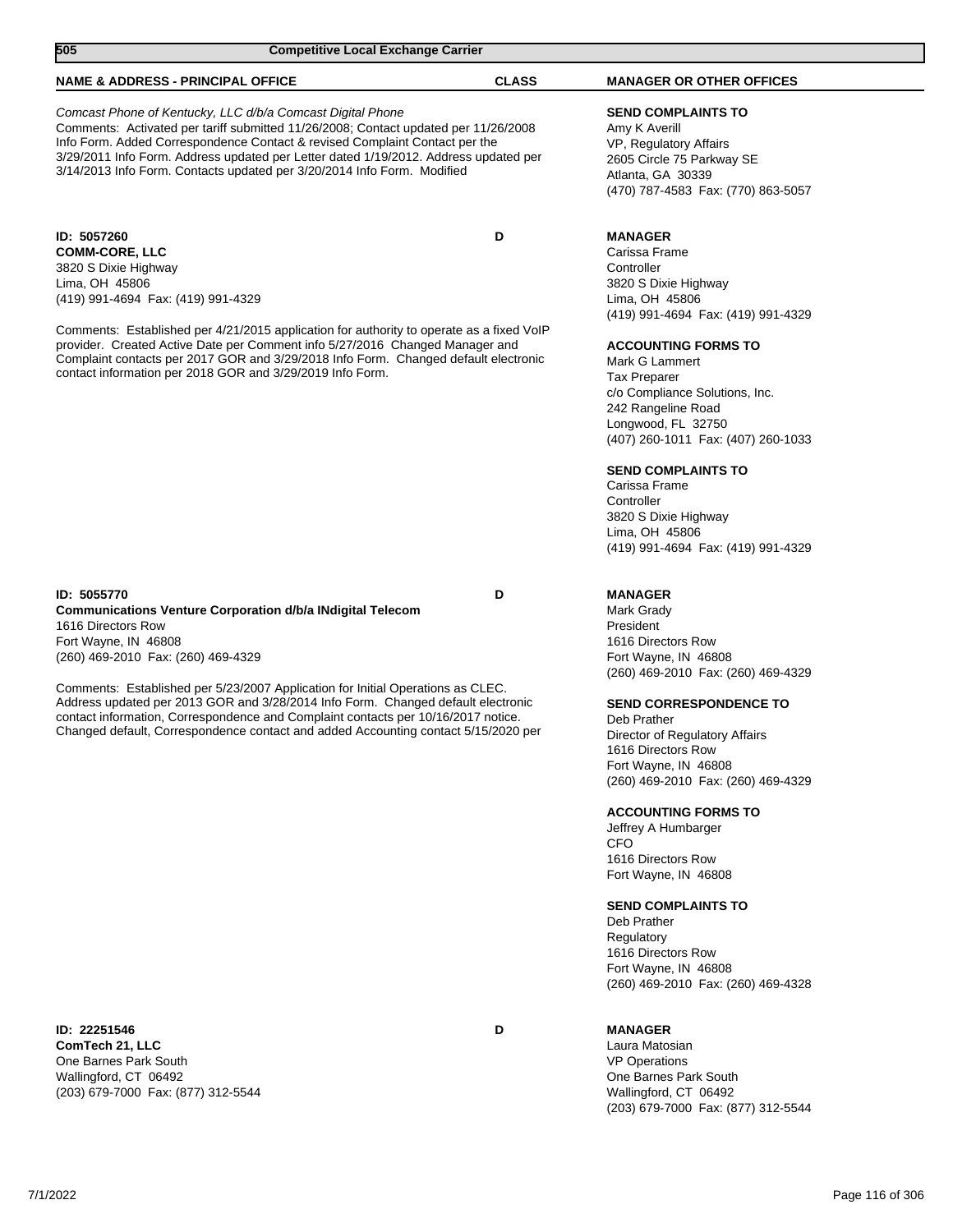| 505<br><b>Competitive Local Exchange Carrier</b>                                         |              |                                    |  |
|------------------------------------------------------------------------------------------|--------------|------------------------------------|--|
| <b>NAME &amp; ADDRESS - PRINCIPAL OFFICE</b>                                             | <b>CLASS</b> | <b>MANAGER OR OTHER OFFICES</b>    |  |
| Comcast Phone of Kentucky, LLC d/b/a Comcast Digital Phone                               |              | <b>SEND COMPLAINTS TO</b>          |  |
| Comments: Activated per tariff submitted 11/26/2008; Contact updated per 11/26/2008      |              | Amy K Averill                      |  |
| Info Form. Added Correspondence Contact & revised Complaint Contact per the              |              | VP, Regulatory Affairs             |  |
| 3/29/2011 Info Form. Address updated per Letter dated 1/19/2012. Address updated per     |              | 2605 Circle 75 Parkway SE          |  |
| 3/14/2013 Info Form. Contacts updated per 3/20/2014 Info Form. Modified                  |              | Atlanta, GA 30339                  |  |
|                                                                                          |              | (470) 787-4583 Fax: (770) 863-5057 |  |
| ID: 5057260                                                                              | D            | <b>MANAGER</b>                     |  |
| <b>COMM-CORE, LLC</b>                                                                    |              | Carissa Frame                      |  |
| 3820 S Dixie Highway                                                                     |              | Controller                         |  |
| Lima, OH 45806                                                                           |              | 3820 S Dixie Highway               |  |
| (419) 991-4694 Fax: (419) 991-4329                                                       |              | Lima, OH 45806                     |  |
|                                                                                          |              | (419) 991-4694 Fax: (419) 991-4329 |  |
| Comments: Established per 4/21/2015 application for authority to operate as a fixed VoIP |              |                                    |  |
| provider. Created Active Date per Comment info 5/27/2016 Changed Manager and             |              | <b>ACCOUNTING FORMS TO</b>         |  |
| Complaint contacts per 2017 GOR and 3/29/2018 Info Form. Changed default electronic      |              | Mark G Lammert                     |  |
| contact information per 2018 GOR and 3/29/2019 Info Form.                                |              | <b>Tax Preparer</b>                |  |
|                                                                                          |              | c/o Compliance Solutions, Inc.     |  |
|                                                                                          |              | 242 Rangeline Road                 |  |
|                                                                                          |              | Longwood, FL 32750                 |  |
|                                                                                          |              | (407) 260-1011 Fax: (407) 260-1033 |  |
|                                                                                          |              | <b>SEND COMPLAINTS TO</b>          |  |
|                                                                                          |              | Carissa Frame                      |  |
|                                                                                          |              | Controller                         |  |
|                                                                                          |              | 3820 S Dixie Highway               |  |
|                                                                                          |              | Lima, OH 45806                     |  |
|                                                                                          |              | (419) 991-4694 Fax: (419) 991-4329 |  |
| ID: 5055770                                                                              | D            | <b>MANAGER</b>                     |  |
| <b>Communications Venture Corporation d/b/a INdigital Telecom</b>                        |              | Mark Grady                         |  |
| 1616 Directors Row                                                                       |              | President                          |  |
| Fort Wayne, IN 46808                                                                     |              | 1616 Directors Row                 |  |
| (260) 469-2010 Fax: (260) 469-4329                                                       |              | Fort Wayne, IN 46808               |  |
|                                                                                          |              | (260) 469-2010 Fax: (260) 469-4329 |  |
| Comments: Established per 5/23/2007 Application for Initial Operations as CLEC.          |              |                                    |  |
| Address updated per 2013 GOR and 3/28/2014 Info Form. Changed default electronic         |              | <b>SEND CORRESPONDENCE TO</b>      |  |
| contact information, Correspondence and Complaint contacts per 10/16/2017 notice.        |              | Deb Prather                        |  |
| Changed default, Correspondence contact and added Accounting contact 5/15/2020 per       |              | Director of Regulatory Affairs     |  |
|                                                                                          |              | 1616 Directors Row                 |  |

**ID: 22251546 D ComTech 21, LLC** One Barnes Park South Wallingford, CT 06492 (203) 679-7000 Fax: (877) 312-5544

#### **MANAGER**

CFO

Fort Wayne, IN 46808

1616 Directors Row Fort Wayne, IN 46808

Deb Prather Regulatory 1616 Directors Row Fort Wayne, IN 46808

**SEND COMPLAINTS TO**

**ACCOUNTING FORMS TO** Jeffrey A Humbarger

(260) 469-2010 Fax: (260) 469-4329

Laura Matosian VP Operations One Barnes Park South Wallingford, CT 06492 (203) 679-7000 Fax: (877) 312-5544

(260) 469-2010 Fax: (260) 469-4328

 $\overline{\phantom{a}}$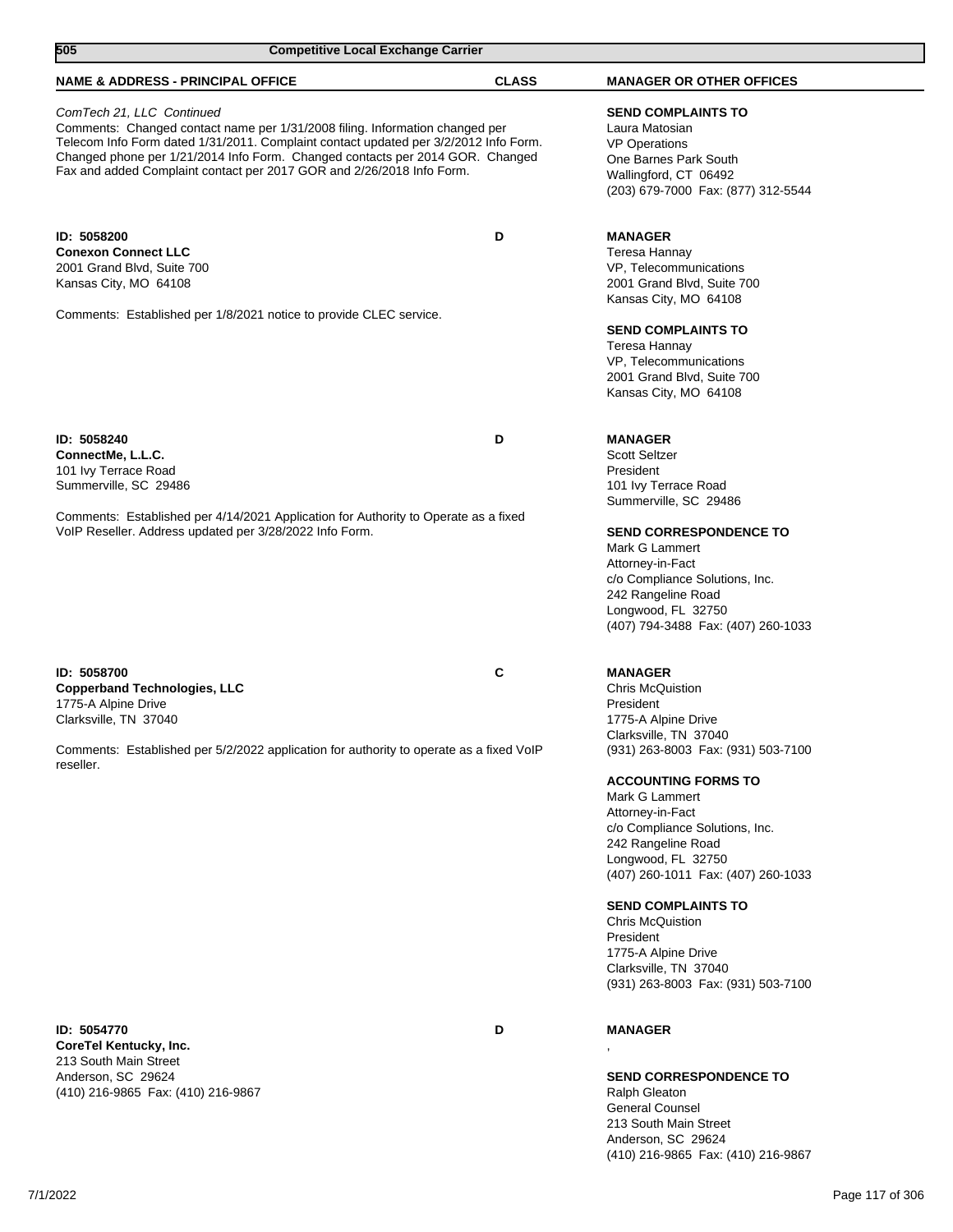| 505<br><b>Competitive Local Exchange Carrier</b>                                                                                                                                                                                                                                                                                                            |              |                                                                                                                                                                                                                                                                                                                                                                                                                                                                                                 |
|-------------------------------------------------------------------------------------------------------------------------------------------------------------------------------------------------------------------------------------------------------------------------------------------------------------------------------------------------------------|--------------|-------------------------------------------------------------------------------------------------------------------------------------------------------------------------------------------------------------------------------------------------------------------------------------------------------------------------------------------------------------------------------------------------------------------------------------------------------------------------------------------------|
| <b>NAME &amp; ADDRESS - PRINCIPAL OFFICE</b>                                                                                                                                                                                                                                                                                                                | <b>CLASS</b> | <b>MANAGER OR OTHER OFFICES</b>                                                                                                                                                                                                                                                                                                                                                                                                                                                                 |
| ComTech 21, LLC Continued<br>Comments: Changed contact name per 1/31/2008 filing. Information changed per<br>Telecom Info Form dated 1/31/2011. Complaint contact updated per 3/2/2012 Info Form.<br>Changed phone per 1/21/2014 Info Form. Changed contacts per 2014 GOR. Changed<br>Fax and added Complaint contact per 2017 GOR and 2/26/2018 Info Form. |              | <b>SEND COMPLAINTS TO</b><br>Laura Matosian<br><b>VP Operations</b><br>One Barnes Park South<br>Wallingford, CT 06492<br>(203) 679-7000 Fax: (877) 312-5544                                                                                                                                                                                                                                                                                                                                     |
| ID: 5058200<br><b>Conexon Connect LLC</b><br>2001 Grand Blvd, Suite 700<br>Kansas City, MO 64108<br>Comments: Established per 1/8/2021 notice to provide CLEC service.                                                                                                                                                                                      | D            | <b>MANAGER</b><br>Teresa Hannay<br>VP, Telecommunications<br>2001 Grand Blvd, Suite 700<br>Kansas City, MO 64108<br><b>SEND COMPLAINTS TO</b><br>Teresa Hannay<br>VP, Telecommunications<br>2001 Grand Blvd, Suite 700<br>Kansas City, MO 64108                                                                                                                                                                                                                                                 |
| ID: 5058240<br>ConnectMe, L.L.C.<br>101 Ivy Terrace Road<br>Summerville, SC 29486<br>Comments: Established per 4/14/2021 Application for Authority to Operate as a fixed<br>VoIP Reseller. Address updated per 3/28/2022 Info Form.                                                                                                                         | D            | <b>MANAGER</b><br><b>Scott Seltzer</b><br>President<br>101 Ivy Terrace Road<br>Summerville, SC 29486<br><b>SEND CORRESPONDENCE TO</b><br>Mark G Lammert<br>Attorney-in-Fact<br>c/o Compliance Solutions, Inc.<br>242 Rangeline Road<br>Longwood, FL 32750<br>(407) 794-3488 Fax: (407) 260-1033                                                                                                                                                                                                 |
| ID: 5058700<br><b>Copperband Technologies, LLC</b><br>1775-A Alpine Drive<br>Clarksville, TN 37040<br>Comments: Established per 5/2/2022 application for authority to operate as a fixed VoIP<br>reseller.                                                                                                                                                  | С            | <b>MANAGER</b><br><b>Chris McQuistion</b><br>President<br>1775-A Alpine Drive<br>Clarksville, TN 37040<br>(931) 263-8003 Fax: (931) 503-7100<br><b>ACCOUNTING FORMS TO</b><br>Mark G Lammert<br>Attorney-in-Fact<br>c/o Compliance Solutions, Inc.<br>242 Rangeline Road<br>Longwood, FL 32750<br>(407) 260-1011 Fax: (407) 260-1033<br><b>SEND COMPLAINTS TO</b><br><b>Chris McQuistion</b><br>President<br>1775-A Alpine Drive<br>Clarksville, TN 37040<br>(931) 263-8003 Fax: (931) 503-7100 |

**ID: 5054770 D CoreTel Kentucky, Inc.** 213 South Main Street Anderson, SC 29624 (410) 216-9865 Fax: (410) 216-9867

## **MANAGER** ,

**SEND CORRESPONDENCE TO** Ralph Gleaton General Counsel 213 South Main Street Anderson, SC 29624 (410) 216-9865 Fax: (410) 216-9867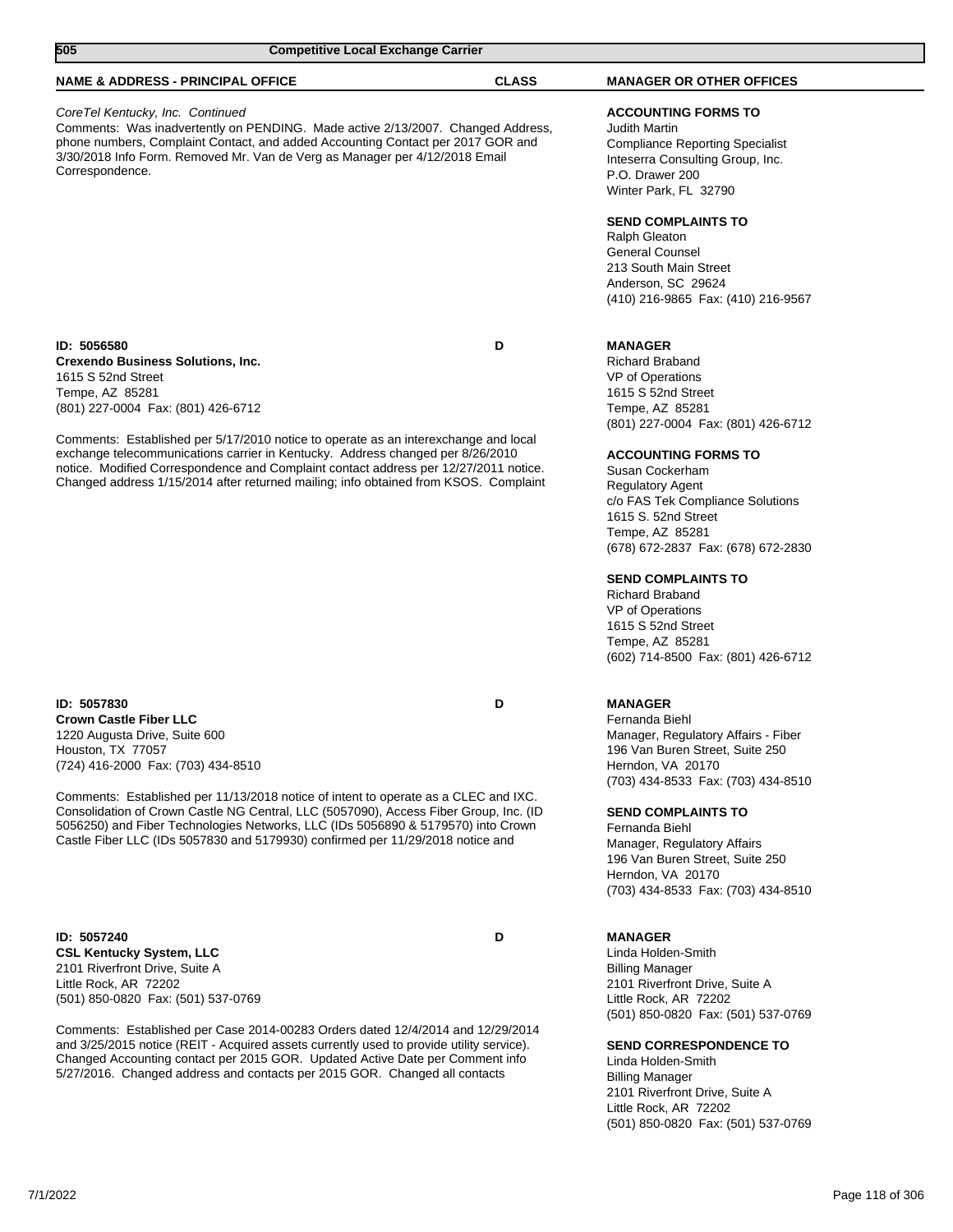| 505<br><b>Competitive Local Exchange Carrier</b>                                                                                                                                                                                                                                                                                                      |              |                                                                                                                                                                                                                                                     |  |
|-------------------------------------------------------------------------------------------------------------------------------------------------------------------------------------------------------------------------------------------------------------------------------------------------------------------------------------------------------|--------------|-----------------------------------------------------------------------------------------------------------------------------------------------------------------------------------------------------------------------------------------------------|--|
| <b>NAME &amp; ADDRESS - PRINCIPAL OFFICE</b>                                                                                                                                                                                                                                                                                                          | <b>CLASS</b> | <b>MANAGER OR OTHER OFFICES</b>                                                                                                                                                                                                                     |  |
| CoreTel Kentucky, Inc. Continued<br>Comments: Was inadvertently on PENDING. Made active 2/13/2007. Changed Address,<br>phone numbers, Complaint Contact, and added Accounting Contact per 2017 GOR and<br>3/30/2018 Info Form. Removed Mr. Van de Verg as Manager per 4/12/2018 Email<br>Correspondence.                                              |              | <b>ACCOUNTING FORMS TO</b><br><b>Judith Martin</b><br><b>Compliance Reporting Specialist</b><br>Inteserra Consulting Group, Inc.<br>P.O. Drawer 200<br>Winter Park, FL 32790                                                                        |  |
|                                                                                                                                                                                                                                                                                                                                                       |              | <b>SEND COMPLAINTS TO</b><br>Ralph Gleaton<br><b>General Counsel</b><br>213 South Main Street<br>Anderson, SC 29624<br>(410) 216-9865 Fax: (410) 216-9567                                                                                           |  |
| ID: 5056580<br><b>Crexendo Business Solutions, Inc.</b><br>1615 S 52nd Street<br>Tempe, AZ 85281<br>(801) 227-0004 Fax: (801) 426-6712                                                                                                                                                                                                                | D            | <b>MANAGER</b><br><b>Richard Braband</b><br>VP of Operations<br>1615 S 52nd Street<br>Tempe, AZ 85281<br>(801) 227-0004 Fax: (801) 426-6712                                                                                                         |  |
| Comments: Established per 5/17/2010 notice to operate as an interexchange and local<br>exchange telecommunications carrier in Kentucky. Address changed per 8/26/2010<br>notice. Modified Correspondence and Complaint contact address per 12/27/2011 notice.<br>Changed address 1/15/2014 after returned mailing; info obtained from KSOS. Complaint |              | <b>ACCOUNTING FORMS TO</b><br>Susan Cockerham<br><b>Regulatory Agent</b><br>c/o FAS Tek Compliance Solutions<br>1615 S. 52nd Street<br>Tempe, AZ 85281<br>(678) 672-2837 Fax: (678) 672-2830<br><b>SEND COMPLAINTS TO</b><br><b>Richard Braband</b> |  |
|                                                                                                                                                                                                                                                                                                                                                       |              | VP of Operations<br>1615 S 52nd Street<br>Tempe, AZ 85281<br>(602) 714-8500 Fax: (801) 426-6712                                                                                                                                                     |  |
| ID: 5057830<br><b>Crown Castle Fiber LLC</b><br>1220 Augusta Drive, Suite 600<br>Houston, TX 77057<br>(724) 416-2000 Fax: (703) 434-8510                                                                                                                                                                                                              | D            | <b>MANAGER</b><br>Fernanda Biehl<br>Manager, Regulatory Affairs - Fiber<br>196 Van Buren Street, Suite 250<br>Herndon, VA 20170<br>(703) 434-8533 Fax: (703) 434-8510                                                                               |  |
| Comments: Established per 11/13/2018 notice of intent to operate as a CLEC and IXC.<br>Consolidation of Crown Castle NG Central, LLC (5057090), Access Fiber Group, Inc. (ID<br>5056250) and Fiber Technologies Networks, LLC (IDs 5056890 & 5179570) into Crown<br>Castle Fiber LLC (IDs 5057830 and 5179930) confirmed per 11/29/2018 notice and    |              | <b>SEND COMPLAINTS TO</b><br>Fernanda Biehl<br>Manager, Regulatory Affairs<br>196 Van Buren Street, Suite 250<br>Herndon, VA 20170<br>(703) 434-8533 Fax: (703) 434-8510                                                                            |  |
| ID: 5057240<br><b>CSL Kentucky System, LLC</b><br>2101 Riverfront Drive, Suite A<br>Little Rock, AR 72202                                                                                                                                                                                                                                             | D            | <b>MANAGER</b><br>Linda Holden-Smith<br><b>Billing Manager</b><br>2101 Riverfront Drive, Suite A                                                                                                                                                    |  |

Comments: Established per Case 2014-00283 Orders dated 12/4/2014 and 12/29/2014 and 3/25/2015 notice (REIT - Acquired assets currently used to provide utility service). Changed Accounting contact per 2015 GOR. Updated Active Date per Comment info 5/27/2016. Changed address and contacts per 2015 GOR. Changed all contacts

(501) 850-0820 Fax: (501) 537-0769

## **SEND CORRESPONDENCE TO**

(501) 850-0820 Fax: (501) 537-0769

Little Rock, AR 72202

Linda Holden-Smith Billing Manager 2101 Riverfront Drive, Suite A Little Rock, AR 72202 (501) 850-0820 Fax: (501) 537-0769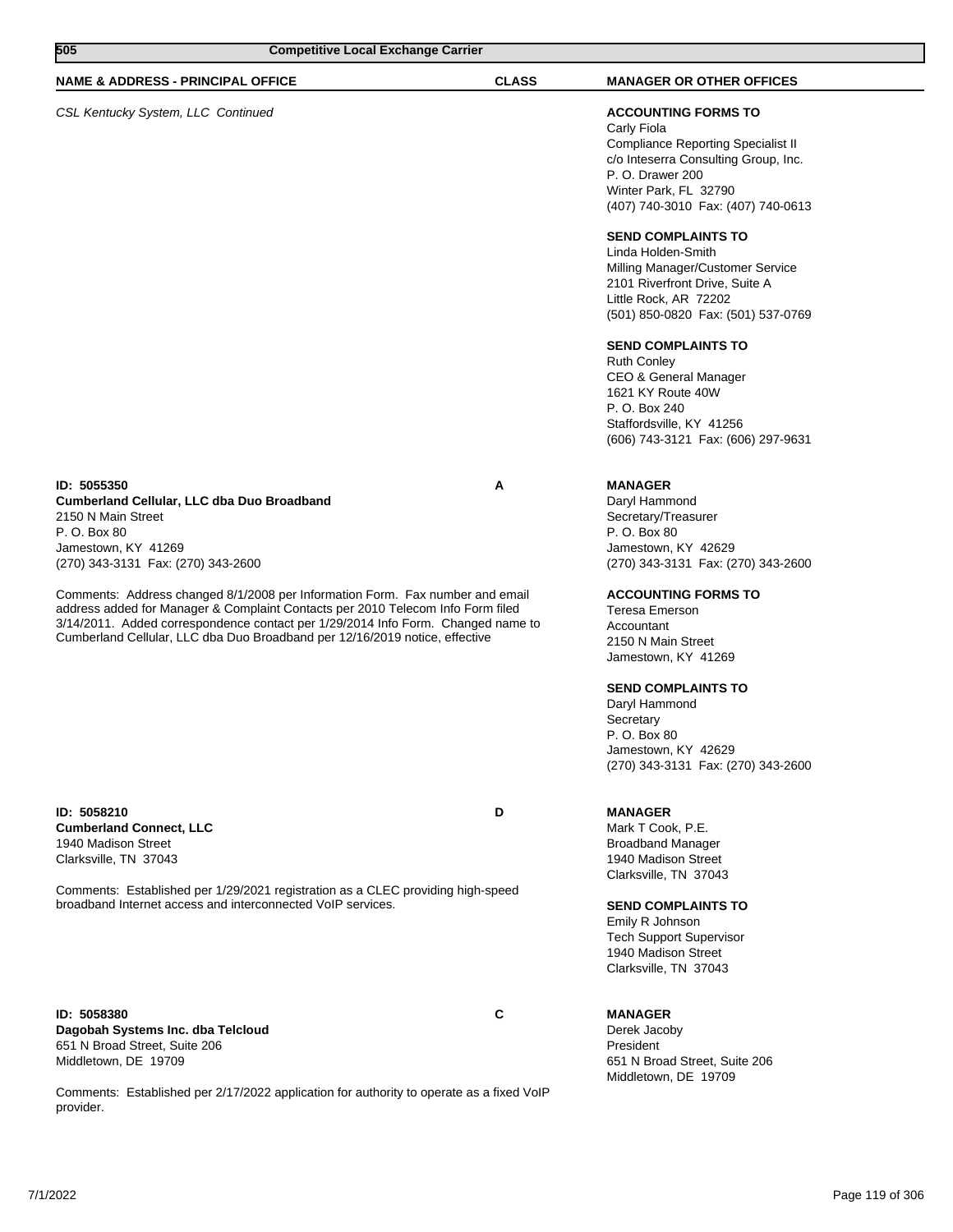| 505<br><b>Competitive Local Exchange Carrier</b>                                                                                                                                                                                                                                                                                    |              |                                                                                                                                                                                                                   |  |
|-------------------------------------------------------------------------------------------------------------------------------------------------------------------------------------------------------------------------------------------------------------------------------------------------------------------------------------|--------------|-------------------------------------------------------------------------------------------------------------------------------------------------------------------------------------------------------------------|--|
| <b>NAME &amp; ADDRESS - PRINCIPAL OFFICE</b>                                                                                                                                                                                                                                                                                        | <b>CLASS</b> | <b>MANAGER OR OTHER OFFICES</b>                                                                                                                                                                                   |  |
| CSL Kentucky System, LLC Continued                                                                                                                                                                                                                                                                                                  |              | <b>ACCOUNTING FORMS TO</b><br>Carly Fiola<br><b>Compliance Reporting Specialist II</b><br>c/o Inteserra Consulting Group, Inc.<br>P. O. Drawer 200<br>Winter Park, FL 32790<br>(407) 740-3010 Fax: (407) 740-0613 |  |
|                                                                                                                                                                                                                                                                                                                                     |              | <b>SEND COMPLAINTS TO</b><br>Linda Holden-Smith<br>Milling Manager/Customer Service<br>2101 Riverfront Drive, Suite A<br>Little Rock, AR 72202<br>(501) 850-0820 Fax: (501) 537-0769                              |  |
|                                                                                                                                                                                                                                                                                                                                     |              | <b>SEND COMPLAINTS TO</b><br><b>Ruth Conley</b><br>CEO & General Manager<br>1621 KY Route 40W<br>P. O. Box 240<br>Staffordsville, KY 41256<br>(606) 743-3121 Fax: (606) 297-9631                                  |  |
| ID: 5055350<br>Cumberland Cellular, LLC dba Duo Broadband<br>2150 N Main Street<br>P. O. Box 80<br>Jamestown, KY 41269<br>(270) 343-3131 Fax: (270) 343-2600                                                                                                                                                                        | A            | <b>MANAGER</b><br>Daryl Hammond<br>Secretary/Treasurer<br>P. O. Box 80<br>Jamestown, KY 42629<br>(270) 343-3131 Fax: (270) 343-2600                                                                               |  |
| Comments: Address changed 8/1/2008 per Information Form. Fax number and email<br>address added for Manager & Complaint Contacts per 2010 Telecom Info Form filed<br>3/14/2011. Added correspondence contact per 1/29/2014 Info Form. Changed name to<br>Cumberland Cellular, LLC dba Duo Broadband per 12/16/2019 notice, effective |              | <b>ACCOUNTING FORMS TO</b><br><b>Teresa Emerson</b><br>Accountant<br>2150 N Main Street<br>Jamestown, KY 41269                                                                                                    |  |
|                                                                                                                                                                                                                                                                                                                                     |              | <b>SEND COMPLAINTS TO</b><br>Daryl Hammond<br>Secretary<br>P. O. Box 80<br>Jamestown, KY 42629<br>(270) 343-3131 Fax: (270) 343-2600                                                                              |  |
| ID: 5058210<br><b>Cumberland Connect, LLC</b><br>1940 Madison Street<br>Clarksville, TN 37043                                                                                                                                                                                                                                       | D            | <b>MANAGER</b><br>Mark T Cook, P.E.<br><b>Broadband Manager</b><br>1940 Madison Street<br>Clarksville, TN 37043                                                                                                   |  |
| Comments: Established per 1/29/2021 registration as a CLEC providing high-speed<br>broadband Internet access and interconnected VoIP services.                                                                                                                                                                                      |              | <b>SEND COMPLAINTS TO</b><br>Emily R Johnson<br><b>Tech Support Supervisor</b><br>1940 Madison Street<br>Clarksville, TN 37043                                                                                    |  |
| ID: 5058380<br>Dagobah Systems Inc. dba Telcloud                                                                                                                                                                                                                                                                                    | C            | <b>MANAGER</b><br>Derek Jacoby                                                                                                                                                                                    |  |

President

651 N Broad Street, Suite 206 Middletown, DE 19709

Comments: Established per 2/17/2022 application for authority to operate as a fixed VoIP provider.

651 N Broad Street, Suite 206 Middletown, DE 19709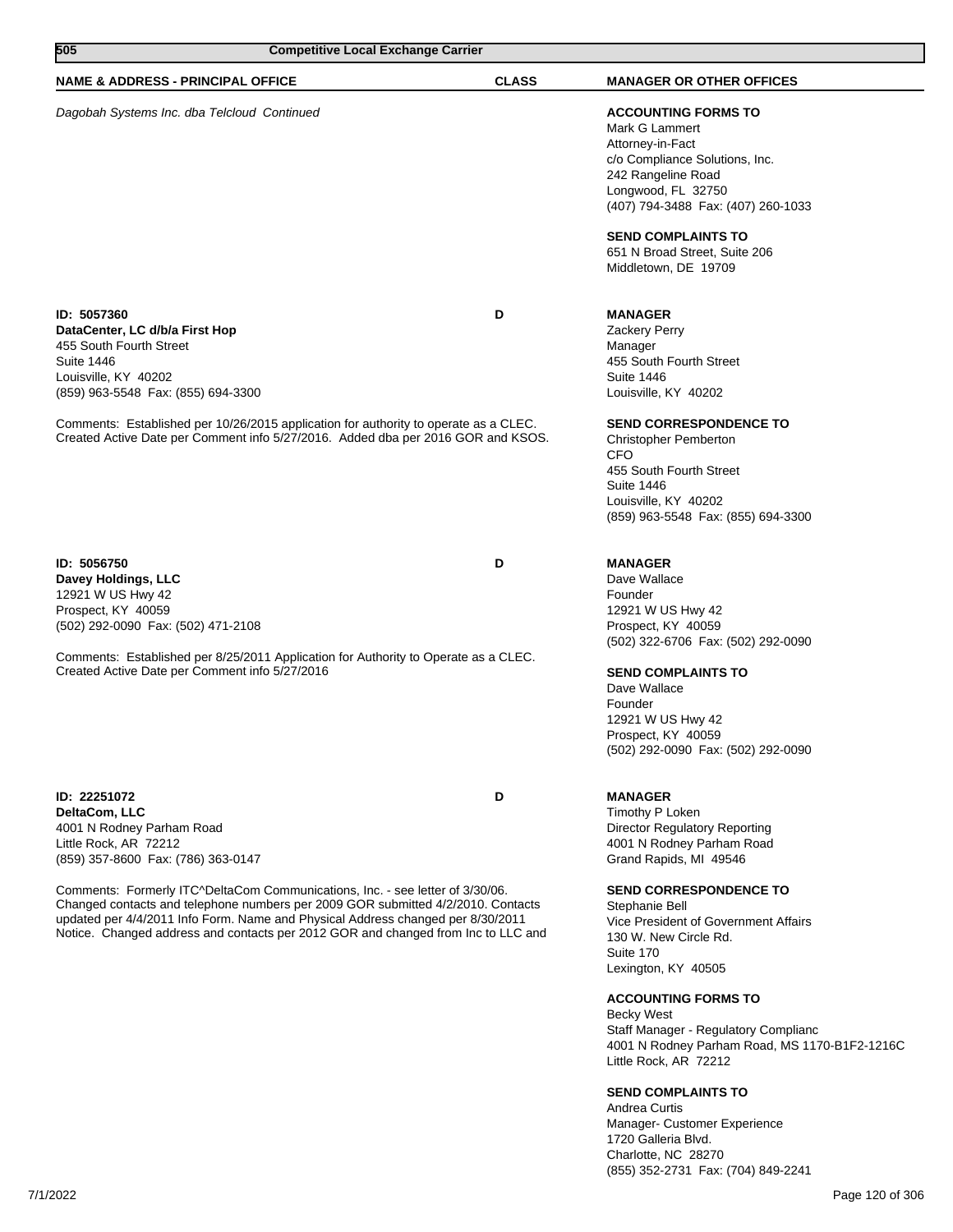| 505<br><b>Competitive Local Exchange Carrier</b>                                                                                                                                                                                                                                                                                                                                                                                                                       |              |                                                                                                                                                                                                                                                                                                                                                                                                                                                               |
|------------------------------------------------------------------------------------------------------------------------------------------------------------------------------------------------------------------------------------------------------------------------------------------------------------------------------------------------------------------------------------------------------------------------------------------------------------------------|--------------|---------------------------------------------------------------------------------------------------------------------------------------------------------------------------------------------------------------------------------------------------------------------------------------------------------------------------------------------------------------------------------------------------------------------------------------------------------------|
| <b>NAME &amp; ADDRESS - PRINCIPAL OFFICE</b>                                                                                                                                                                                                                                                                                                                                                                                                                           | <b>CLASS</b> | <b>MANAGER OR OTHER OFFICES</b>                                                                                                                                                                                                                                                                                                                                                                                                                               |
| Dagobah Systems Inc. dba Telcloud Continued                                                                                                                                                                                                                                                                                                                                                                                                                            |              | <b>ACCOUNTING FORMS TO</b><br>Mark G Lammert<br>Attorney-in-Fact<br>c/o Compliance Solutions, Inc.<br>242 Rangeline Road<br>Longwood, FL 32750<br>(407) 794-3488 Fax: (407) 260-1033<br><b>SEND COMPLAINTS TO</b><br>651 N Broad Street, Suite 206<br>Middletown, DE 19709                                                                                                                                                                                    |
| ID: 5057360<br>DataCenter, LC d/b/a First Hop<br>455 South Fourth Street<br><b>Suite 1446</b><br>Louisville, KY 40202<br>(859) 963-5548 Fax: (855) 694-3300<br>Comments: Established per 10/26/2015 application for authority to operate as a CLEC.<br>Created Active Date per Comment info 5/27/2016. Added dba per 2016 GOR and KSOS.                                                                                                                                | D            | <b>MANAGER</b><br>Zackery Perry<br>Manager<br>455 South Fourth Street<br><b>Suite 1446</b><br>Louisville, KY 40202<br><b>SEND CORRESPONDENCE TO</b><br>Christopher Pemberton<br><b>CFO</b><br>455 South Fourth Street<br><b>Suite 1446</b>                                                                                                                                                                                                                    |
|                                                                                                                                                                                                                                                                                                                                                                                                                                                                        |              | Louisville, KY 40202<br>(859) 963-5548 Fax: (855) 694-3300                                                                                                                                                                                                                                                                                                                                                                                                    |
| ID: 5056750<br>Davey Holdings, LLC<br>12921 W US Hwy 42<br>Prospect, KY 40059<br>(502) 292-0090 Fax: (502) 471-2108<br>Comments: Established per 8/25/2011 Application for Authority to Operate as a CLEC.<br>Created Active Date per Comment info 5/27/2016                                                                                                                                                                                                           | D            | <b>MANAGER</b><br>Dave Wallace<br>Founder<br>12921 W US Hwy 42<br>Prospect, KY 40059<br>(502) 322-6706 Fax: (502) 292-0090<br><b>SEND COMPLAINTS TO</b><br>Dave Wallace<br>Founder<br>12921 W US Hwy 42<br>Prospect, KY 40059<br>(502) 292-0090 Fax: (502) 292-0090                                                                                                                                                                                           |
| ID: 22251072<br>DeltaCom, LLC<br>4001 N Rodney Parham Road<br>Little Rock, AR 72212<br>(859) 357-8600 Fax: (786) 363-0147<br>Comments: Formerly ITC^DeltaCom Communications, Inc. - see letter of 3/30/06.<br>Changed contacts and telephone numbers per 2009 GOR submitted 4/2/2010. Contacts<br>updated per 4/4/2011 Info Form. Name and Physical Address changed per 8/30/2011<br>Notice. Changed address and contacts per 2012 GOR and changed from Inc to LLC and | D            | <b>MANAGER</b><br>Timothy P Loken<br><b>Director Regulatory Reporting</b><br>4001 N Rodney Parham Road<br>Grand Rapids, MI 49546<br><b>SEND CORRESPONDENCE TO</b><br>Stephanie Bell<br>Vice President of Government Affairs<br>130 W. New Circle Rd.<br>Suite 170<br>Lexington, KY 40505<br><b>ACCOUNTING FORMS TO</b><br><b>Becky West</b><br>Staff Manager - Regulatory Complianc<br>4001 N Rodney Parham Road, MS 1170-B1F2-1216C<br>Little Rock, AR 72212 |
|                                                                                                                                                                                                                                                                                                                                                                                                                                                                        |              | <b>SEND COMPLAINTS TO</b><br>Andrea Curtis<br>Manager- Customer Experience<br>1720 Galleria Blvd.<br>Charlotte, NC 28270                                                                                                                                                                                                                                                                                                                                      |

(855) 352-2731 Fax: (704) 849-2241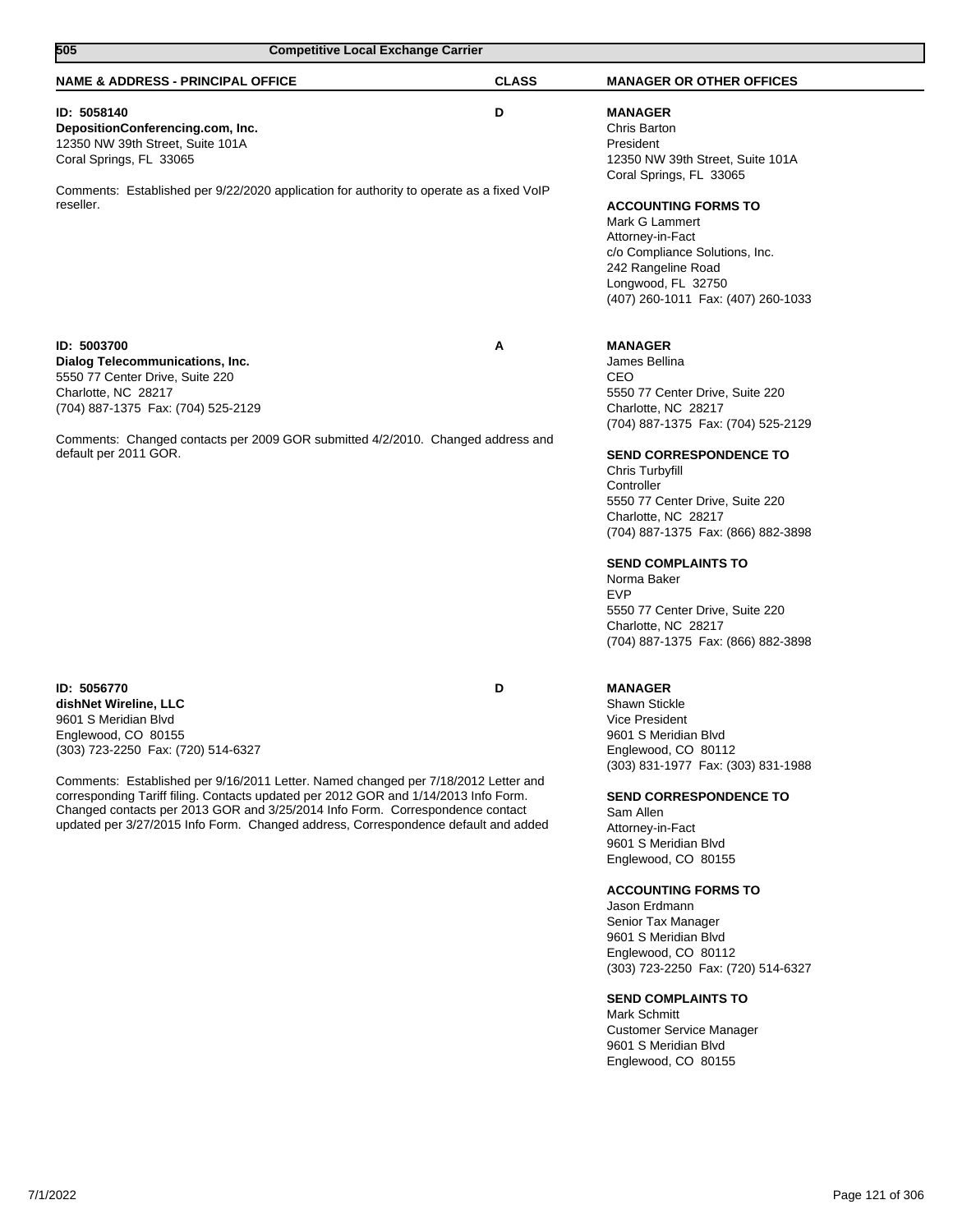| 505                                                                                                                                                                                                                                                                                                                                                                                                                                                                           | <b>Competitive Local Exchange Carrier</b> |              |                                                                                                                                                                                                                                                                                                                                                                                                                                                                                                                           |
|-------------------------------------------------------------------------------------------------------------------------------------------------------------------------------------------------------------------------------------------------------------------------------------------------------------------------------------------------------------------------------------------------------------------------------------------------------------------------------|-------------------------------------------|--------------|---------------------------------------------------------------------------------------------------------------------------------------------------------------------------------------------------------------------------------------------------------------------------------------------------------------------------------------------------------------------------------------------------------------------------------------------------------------------------------------------------------------------------|
| <b>NAME &amp; ADDRESS - PRINCIPAL OFFICE</b>                                                                                                                                                                                                                                                                                                                                                                                                                                  |                                           | <b>CLASS</b> | <b>MANAGER OR OTHER OFFICES</b>                                                                                                                                                                                                                                                                                                                                                                                                                                                                                           |
| ID: 5058140<br>DepositionConferencing.com, Inc.<br>12350 NW 39th Street, Suite 101A<br>Coral Springs, FL 33065                                                                                                                                                                                                                                                                                                                                                                |                                           | D            | <b>MANAGER</b><br>Chris Barton<br>President<br>12350 NW 39th Street, Suite 101A<br>Coral Springs, FL 33065                                                                                                                                                                                                                                                                                                                                                                                                                |
| Comments: Established per 9/22/2020 application for authority to operate as a fixed VoIP<br>reseller.                                                                                                                                                                                                                                                                                                                                                                         |                                           |              | <b>ACCOUNTING FORMS TO</b><br>Mark G Lammert<br>Attorney-in-Fact<br>c/o Compliance Solutions, Inc.<br>242 Rangeline Road<br>Longwood, FL 32750<br>(407) 260-1011 Fax: (407) 260-1033                                                                                                                                                                                                                                                                                                                                      |
| ID: 5003700<br>Dialog Telecommunications, Inc.<br>5550 77 Center Drive, Suite 220<br>Charlotte, NC 28217<br>(704) 887-1375 Fax: (704) 525-2129                                                                                                                                                                                                                                                                                                                                |                                           | Α            | <b>MANAGER</b><br>James Bellina<br>CEO<br>5550 77 Center Drive, Suite 220<br>Charlotte, NC 28217<br>(704) 887-1375 Fax: (704) 525-2129                                                                                                                                                                                                                                                                                                                                                                                    |
| Comments: Changed contacts per 2009 GOR submitted 4/2/2010. Changed address and<br>default per 2011 GOR.                                                                                                                                                                                                                                                                                                                                                                      |                                           |              | <b>SEND CORRESPONDENCE TO</b><br>Chris Turbyfill<br>Controller<br>5550 77 Center Drive, Suite 220<br>Charlotte, NC 28217<br>(704) 887-1375 Fax: (866) 882-3898                                                                                                                                                                                                                                                                                                                                                            |
|                                                                                                                                                                                                                                                                                                                                                                                                                                                                               |                                           |              | <b>SEND COMPLAINTS TO</b><br>Norma Baker<br><b>EVP</b><br>5550 77 Center Drive, Suite 220<br>Charlotte, NC 28217<br>(704) 887-1375 Fax: (866) 882-3898                                                                                                                                                                                                                                                                                                                                                                    |
| ID: 5056770<br>dishNet Wireline, LLC<br>9601 S Meridian Blvd<br>Englewood, CO 80155<br>(303) 723-2250 Fax: (720) 514-6327<br>Comments: Established per 9/16/2011 Letter. Named changed per 7/18/2012 Letter and<br>corresponding Tariff filing. Contacts updated per 2012 GOR and 1/14/2013 Info Form.<br>Changed contacts per 2013 GOR and 3/25/2014 Info Form. Correspondence contact<br>updated per 3/27/2015 Info Form. Changed address, Correspondence default and added |                                           | D            | <b>MANAGER</b><br><b>Shawn Stickle</b><br>Vice President<br>9601 S Meridian Blvd<br>Englewood, CO 80112<br>(303) 831-1977 Fax: (303) 831-1988<br><b>SEND CORRESPONDENCE TO</b><br>Sam Allen<br>Attorney-in-Fact<br>9601 S Meridian Blvd<br>Englewood, CO 80155<br><b>ACCOUNTING FORMS TO</b><br>Jason Erdmann<br>Senior Tax Manager<br>9601 S Meridian Blvd<br>Englewood, CO 80112<br>(303) 723-2250 Fax: (720) 514-6327<br><b>SEND COMPLAINTS TO</b><br>Mark Schmitt<br>Customer Service Manager<br>9601 S Meridian Blvd |
|                                                                                                                                                                                                                                                                                                                                                                                                                                                                               |                                           |              | Englewood, CO 80155                                                                                                                                                                                                                                                                                                                                                                                                                                                                                                       |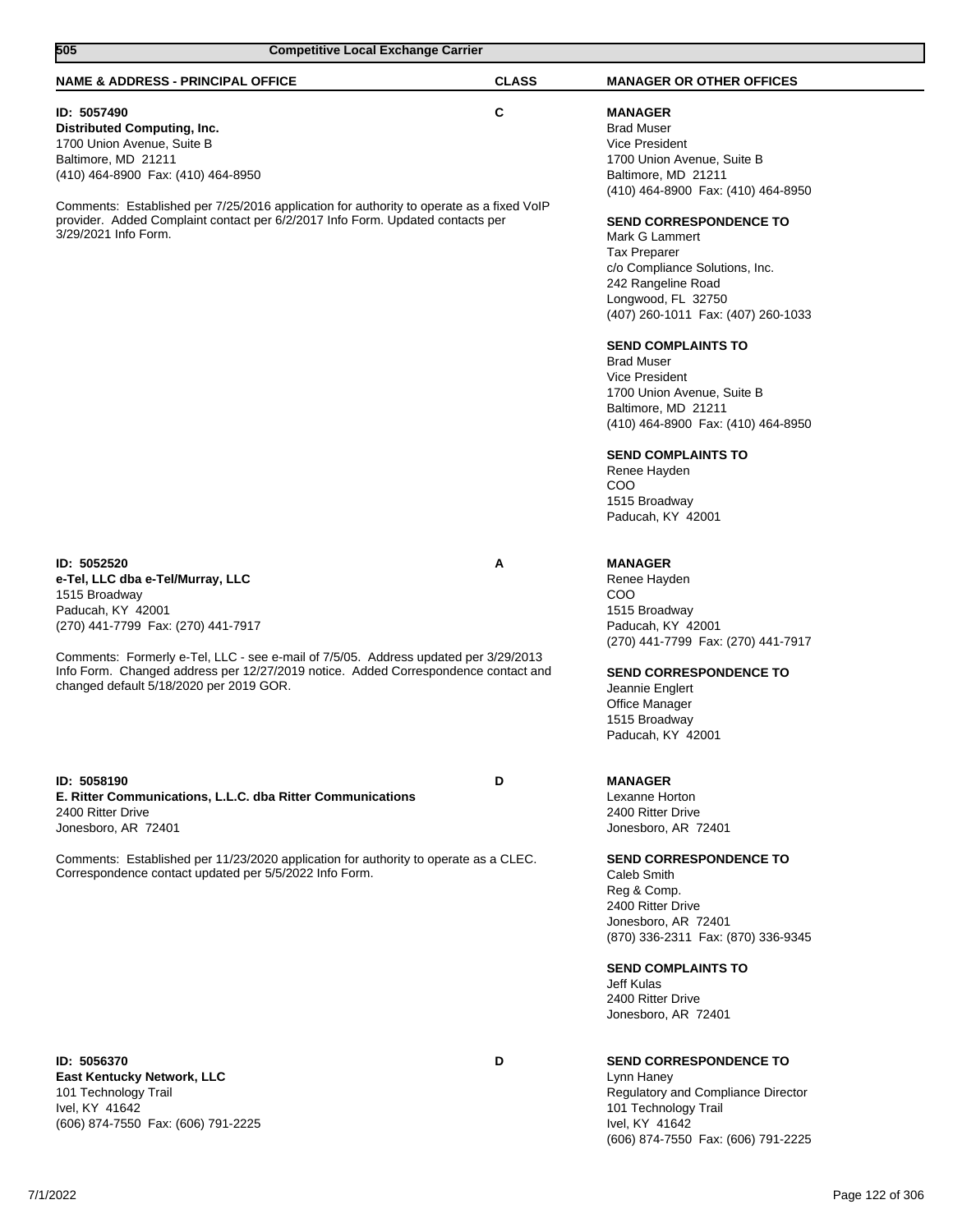| 505<br><b>Competitive Local Exchange Carrier</b>                                                                                                                                                                                                                                                                                                    |              |                                                                                                                                                                                                                                                                                                                                                       |
|-----------------------------------------------------------------------------------------------------------------------------------------------------------------------------------------------------------------------------------------------------------------------------------------------------------------------------------------------------|--------------|-------------------------------------------------------------------------------------------------------------------------------------------------------------------------------------------------------------------------------------------------------------------------------------------------------------------------------------------------------|
| <b>NAME &amp; ADDRESS - PRINCIPAL OFFICE</b>                                                                                                                                                                                                                                                                                                        | <b>CLASS</b> | <b>MANAGER OR OTHER OFFICES</b>                                                                                                                                                                                                                                                                                                                       |
| ID: 5057490<br><b>Distributed Computing, Inc.</b><br>1700 Union Avenue, Suite B<br>Baltimore, MD 21211<br>(410) 464-8900 Fax: (410) 464-8950<br>Comments: Established per 7/25/2016 application for authority to operate as a fixed VoIP<br>provider. Added Complaint contact per 6/2/2017 Info Form. Updated contacts per<br>3/29/2021 Info Form.  | C            | <b>MANAGER</b><br><b>Brad Muser</b><br><b>Vice President</b><br>1700 Union Avenue, Suite B<br>Baltimore, MD 21211<br>(410) 464-8900 Fax: (410) 464-8950<br><b>SEND CORRESPONDENCE TO</b><br>Mark G Lammert<br><b>Tax Preparer</b><br>c/o Compliance Solutions, Inc.<br>242 Rangeline Road<br>Longwood, FL 32750<br>(407) 260-1011 Fax: (407) 260-1033 |
|                                                                                                                                                                                                                                                                                                                                                     |              | <b>SEND COMPLAINTS TO</b><br><b>Brad Muser</b><br><b>Vice President</b><br>1700 Union Avenue, Suite B<br>Baltimore, MD 21211<br>(410) 464-8900 Fax: (410) 464-8950<br><b>SEND COMPLAINTS TO</b><br>Renee Hayden<br>COO<br>1515 Broadway<br>Paducah, KY 42001                                                                                          |
| ID: 5052520<br>e-Tel, LLC dba e-Tel/Murray, LLC<br>1515 Broadway<br>Paducah, KY 42001<br>(270) 441-7799 Fax: (270) 441-7917<br>Comments: Formerly e-Tel, LLC - see e-mail of 7/5/05. Address updated per 3/29/2013<br>Info Form. Changed address per 12/27/2019 notice. Added Correspondence contact and<br>changed default 5/18/2020 per 2019 GOR. | Α            | <b>MANAGER</b><br>Renee Hayden<br>COO<br>1515 Broadway<br>Paducah, KY 42001<br>(270) 441-7799 Fax: (270) 441-7917<br><b>SEND CORRESPONDENCE TO</b><br>Jeannie Englert<br><b>Office Manager</b><br>1515 Broadway<br>Paducah, KY 42001                                                                                                                  |
| ID: 5058190<br>E. Ritter Communications, L.L.C. dba Ritter Communications<br>2400 Ritter Drive<br>Jonesboro, AR 72401                                                                                                                                                                                                                               | D            | <b>MANAGER</b><br>Lexanne Horton<br>2400 Ritter Drive<br>Jonesboro, AR 72401                                                                                                                                                                                                                                                                          |
| Comments: Established per 11/23/2020 application for authority to operate as a CLEC.<br>Correspondence contact updated per 5/5/2022 Info Form.                                                                                                                                                                                                      |              | <b>SEND CORRESPONDENCE TO</b><br>Caleb Smith<br>Reg & Comp.<br>2400 Ritter Drive<br>Jonesboro, AR 72401<br>(870) 336-2311 Fax: (870) 336-9345<br><b>SEND COMPLAINTS TO</b><br>Jeff Kulas<br>2400 Ritter Drive<br>Jonesboro, AR 72401                                                                                                                  |
| ID: 5056370<br><b>East Kentucky Network, LLC</b><br>101 Technology Trail<br>Ivel, KY 41642<br>(606) 874-7550 Fax: (606) 791-2225                                                                                                                                                                                                                    | D            | <b>SEND CORRESPONDENCE TO</b><br>Lynn Haney<br>Regulatory and Compliance Director<br>101 Technology Trail<br>Ivel, KY 41642<br>(606) 874-7550 Fax: (606) 791-2225                                                                                                                                                                                     |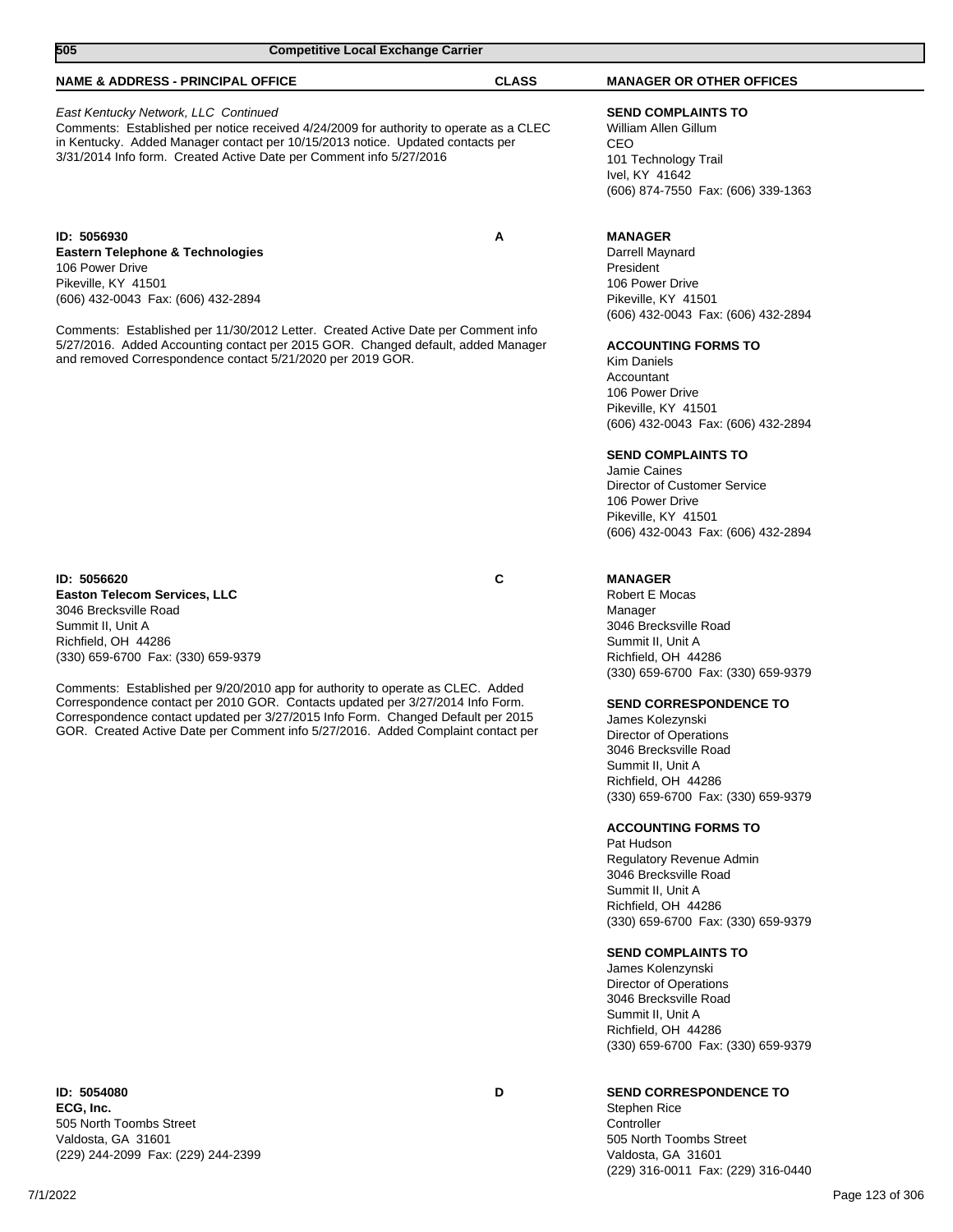| 505<br><b>Competitive Local Exchange Carrier</b>                                                                                                                                                                                                                                                                                                                                                                                                                                                           |              |                                                                                                                                                                                                                                                                                                                                                                                                                                                                                                                                                                                                                                                                                                                            |  |
|------------------------------------------------------------------------------------------------------------------------------------------------------------------------------------------------------------------------------------------------------------------------------------------------------------------------------------------------------------------------------------------------------------------------------------------------------------------------------------------------------------|--------------|----------------------------------------------------------------------------------------------------------------------------------------------------------------------------------------------------------------------------------------------------------------------------------------------------------------------------------------------------------------------------------------------------------------------------------------------------------------------------------------------------------------------------------------------------------------------------------------------------------------------------------------------------------------------------------------------------------------------------|--|
| <b>NAME &amp; ADDRESS - PRINCIPAL OFFICE</b>                                                                                                                                                                                                                                                                                                                                                                                                                                                               | <b>CLASS</b> | <b>MANAGER OR OTHER OFFICES</b>                                                                                                                                                                                                                                                                                                                                                                                                                                                                                                                                                                                                                                                                                            |  |
| East Kentucky Network, LLC Continued<br>Comments: Established per notice received 4/24/2009 for authority to operate as a CLEC<br>in Kentucky. Added Manager contact per 10/15/2013 notice. Updated contacts per<br>3/31/2014 Info form. Created Active Date per Comment info 5/27/2016                                                                                                                                                                                                                    |              | <b>SEND COMPLAINTS TO</b><br>William Allen Gillum<br>CEO<br>101 Technology Trail<br>Ivel, KY 41642<br>(606) 874-7550 Fax: (606) 339-1363                                                                                                                                                                                                                                                                                                                                                                                                                                                                                                                                                                                   |  |
| ID: 5056930<br><b>Eastern Telephone &amp; Technologies</b><br>106 Power Drive<br>Pikeville, KY 41501<br>(606) 432-0043 Fax: (606) 432-2894                                                                                                                                                                                                                                                                                                                                                                 | A            | <b>MANAGER</b><br>Darrell Maynard<br>President<br>106 Power Drive<br>Pikeville, KY 41501<br>(606) 432-0043 Fax: (606) 432-2894                                                                                                                                                                                                                                                                                                                                                                                                                                                                                                                                                                                             |  |
| Comments: Established per 11/30/2012 Letter. Created Active Date per Comment info<br>5/27/2016. Added Accounting contact per 2015 GOR. Changed default, added Manager<br>and removed Correspondence contact 5/21/2020 per 2019 GOR.                                                                                                                                                                                                                                                                        |              | <b>ACCOUNTING FORMS TO</b><br>Kim Daniels<br>Accountant<br>106 Power Drive<br>Pikeville, KY 41501<br>(606) 432-0043 Fax: (606) 432-2894<br><b>SEND COMPLAINTS TO</b><br>Jamie Caines<br>Director of Customer Service<br>106 Power Drive<br>Pikeville, KY 41501<br>(606) 432-0043 Fax: (606) 432-2894                                                                                                                                                                                                                                                                                                                                                                                                                       |  |
| ID: 5056620<br><b>Easton Telecom Services, LLC</b><br>3046 Brecksville Road<br>Summit II, Unit A<br>Richfield, OH 44286<br>(330) 659-6700 Fax: (330) 659-9379<br>Comments: Established per 9/20/2010 app for authority to operate as CLEC. Added<br>Correspondence contact per 2010 GOR. Contacts updated per 3/27/2014 Info Form.<br>Correspondence contact updated per 3/27/2015 Info Form. Changed Default per 2015<br>GOR. Created Active Date per Comment info 5/27/2016. Added Complaint contact per | С            | <b>MANAGER</b><br>Robert E Mocas<br>Manager<br>3046 Brecksville Road<br>Summit II, Unit A<br>Richfield, OH 44286<br>(330) 659-6700 Fax: (330) 659-9379<br><b>SEND CORRESPONDENCE TO</b><br>James Kolezynski<br>Director of Operations<br>3046 Brecksville Road<br>Summit II, Unit A<br>Richfield, OH 44286<br>(330) 659-6700 Fax: (330) 659-9379<br><b>ACCOUNTING FORMS TO</b><br>Pat Hudson<br>Regulatory Revenue Admin<br>3046 Brecksville Road<br>Summit II, Unit A<br>Richfield, OH 44286<br>(330) 659-6700 Fax: (330) 659-9379<br><b>SEND COMPLAINTS TO</b><br>James Kolenzynski<br>Director of Operations<br>3046 Brecksville Road<br>Summit II, Unit A<br>Richfield, OH 44286<br>(330) 659-6700 Fax: (330) 659-9379 |  |

**ID: 5054080 D ECG, Inc.** 505 North Toombs Street Valdosta, GA 31601 (229) 244-2099 Fax: (229) 244-2399

# **SEND CORRESPONDENCE TO**

Stephen Rice Controller 505 North Toombs Street Valdosta, GA 31601 (229) 316-0011 Fax: (229) 316-0440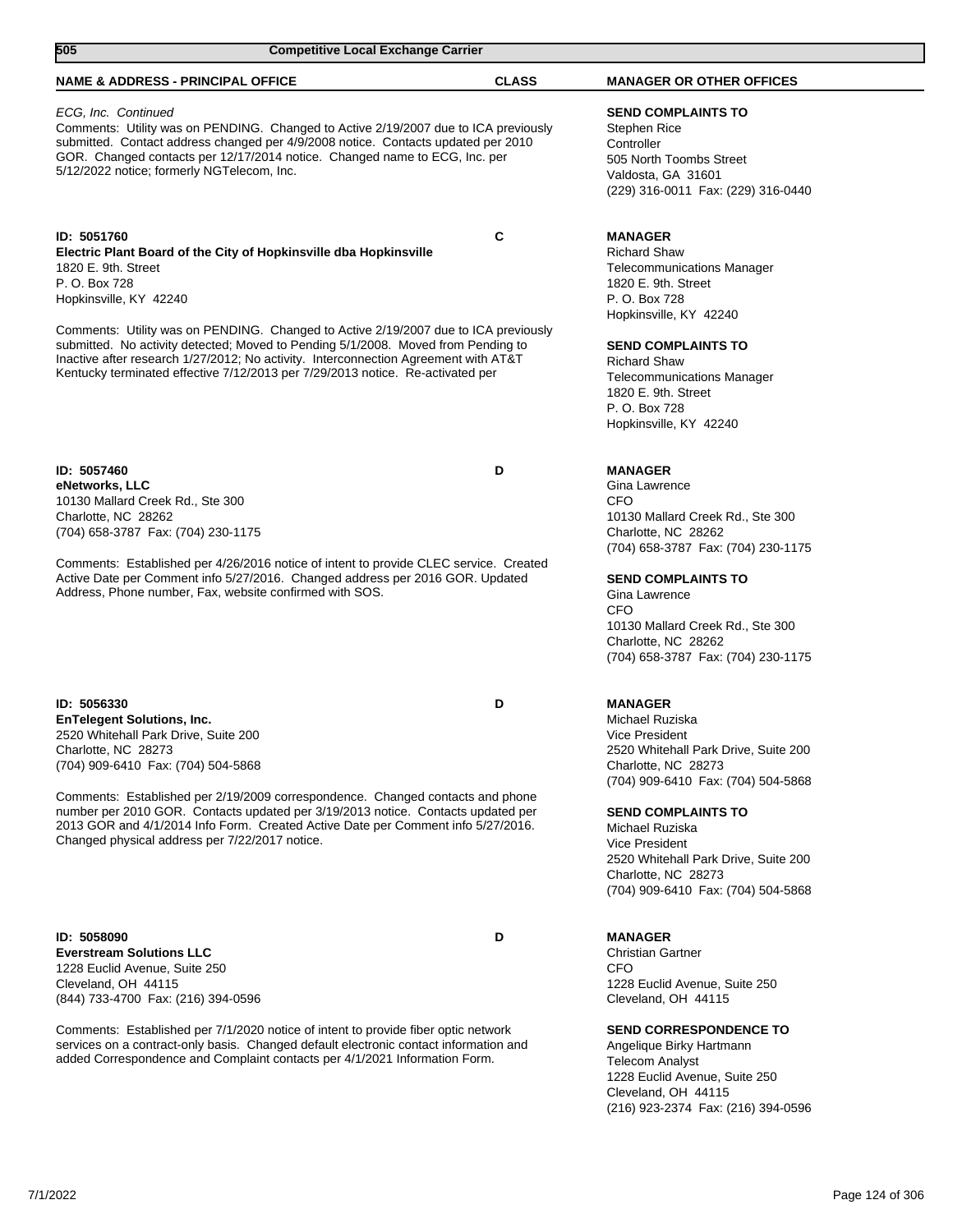| 505<br><b>Competitive Local Exchange Carrier</b>                                                                                                                                                                                                                                                                                                                                                                                                                                                        |              |                                                                                                                                                                                                                                                                                                                                                                                              |
|---------------------------------------------------------------------------------------------------------------------------------------------------------------------------------------------------------------------------------------------------------------------------------------------------------------------------------------------------------------------------------------------------------------------------------------------------------------------------------------------------------|--------------|----------------------------------------------------------------------------------------------------------------------------------------------------------------------------------------------------------------------------------------------------------------------------------------------------------------------------------------------------------------------------------------------|
| <b>NAME &amp; ADDRESS - PRINCIPAL OFFICE</b>                                                                                                                                                                                                                                                                                                                                                                                                                                                            | <b>CLASS</b> | <b>MANAGER OR OTHER OFFICES</b>                                                                                                                                                                                                                                                                                                                                                              |
| ECG, Inc. Continued<br>Comments: Utility was on PENDING. Changed to Active 2/19/2007 due to ICA previously<br>submitted. Contact address changed per 4/9/2008 notice. Contacts updated per 2010<br>GOR. Changed contacts per 12/17/2014 notice. Changed name to ECG, Inc. per<br>5/12/2022 notice; formerly NGTelecom, Inc.                                                                                                                                                                             |              | <b>SEND COMPLAINTS TO</b><br><b>Stephen Rice</b><br>Controller<br>505 North Toombs Street<br>Valdosta, GA 31601<br>(229) 316-0011 Fax: (229) 316-0440                                                                                                                                                                                                                                        |
| ID: 5051760<br>Electric Plant Board of the City of Hopkinsville dba Hopkinsville<br>1820 E. 9th. Street<br>P. O. Box 728<br>Hopkinsville, KY 42240<br>Comments: Utility was on PENDING. Changed to Active 2/19/2007 due to ICA previously<br>submitted. No activity detected; Moved to Pending 5/1/2008. Moved from Pending to<br>Inactive after research 1/27/2012; No activity. Interconnection Agreement with AT&T<br>Kentucky terminated effective 7/12/2013 per 7/29/2013 notice. Re-activated per | C            | <b>MANAGER</b><br><b>Richard Shaw</b><br><b>Telecommunications Manager</b><br>1820 E. 9th. Street<br>P. O. Box 728<br>Hopkinsville, KY 42240<br><b>SEND COMPLAINTS TO</b><br><b>Richard Shaw</b><br><b>Telecommunications Manager</b><br>1820 E. 9th. Street<br>P. O. Box 728<br>Hopkinsville, KY 42240                                                                                      |
| ID: 5057460<br>eNetworks, LLC<br>10130 Mallard Creek Rd., Ste 300<br>Charlotte, NC 28262<br>(704) 658-3787 Fax: (704) 230-1175<br>Comments: Established per 4/26/2016 notice of intent to provide CLEC service. Created<br>Active Date per Comment info 5/27/2016. Changed address per 2016 GOR. Updated<br>Address, Phone number, Fax, website confirmed with SOS.                                                                                                                                     | D            | <b>MANAGER</b><br>Gina Lawrence<br><b>CFO</b><br>10130 Mallard Creek Rd., Ste 300<br>Charlotte, NC 28262<br>(704) 658-3787 Fax: (704) 230-1175<br><b>SEND COMPLAINTS TO</b><br>Gina Lawrence<br><b>CFO</b><br>10130 Mallard Creek Rd., Ste 300                                                                                                                                               |
| ID: 5056330<br><b>EnTelegent Solutions, Inc.</b><br>2520 Whitehall Park Drive, Suite 200<br>Charlotte, NC 28273<br>(704) 909-6410 Fax: (704) 504-5868<br>Comments: Established per 2/19/2009 correspondence. Changed contacts and phone<br>number per 2010 GOR. Contacts updated per 3/19/2013 notice. Contacts updated per<br>2013 GOR and 4/1/2014 Info Form. Created Active Date per Comment info 5/27/2016.<br>Changed physical address per 7/22/2017 notice.                                       | D            | Charlotte, NC 28262<br>(704) 658-3787 Fax: (704) 230-1175<br><b>MANAGER</b><br>Michael Ruziska<br>Vice President<br>2520 Whitehall Park Drive, Suite 200<br>Charlotte, NC 28273<br>(704) 909-6410 Fax: (704) 504-5868<br><b>SEND COMPLAINTS TO</b><br>Michael Ruziska<br>Vice President<br>2520 Whitehall Park Drive, Suite 200<br>Charlotte, NC 28273<br>(704) 909-6410 Fax: (704) 504-5868 |
| ID: 5058090                                                                                                                                                                                                                                                                                                                                                                                                                                                                                             | D            | <b>MANAGER</b>                                                                                                                                                                                                                                                                                                                                                                               |

**Everstream Solutions LLC** 1228 Euclid Avenue, Suite 250 Cleveland, OH 44115 (844) 733-4700 Fax: (216) 394-0596

Comments: Established per 7/1/2020 notice of intent to provide fiber optic network services on a contract-only basis. Changed default electronic contact information and added Correspondence and Complaint contacts per 4/1/2021 Information Form.

Christian Gartner CFO 1228 Euclid Avenue, Suite 250 Cleveland, OH 44115

**SEND CORRESPONDENCE TO**

Angelique Birky Hartmann Telecom Analyst 1228 Euclid Avenue, Suite 250 Cleveland, OH 44115 (216) 923-2374 Fax: (216) 394-0596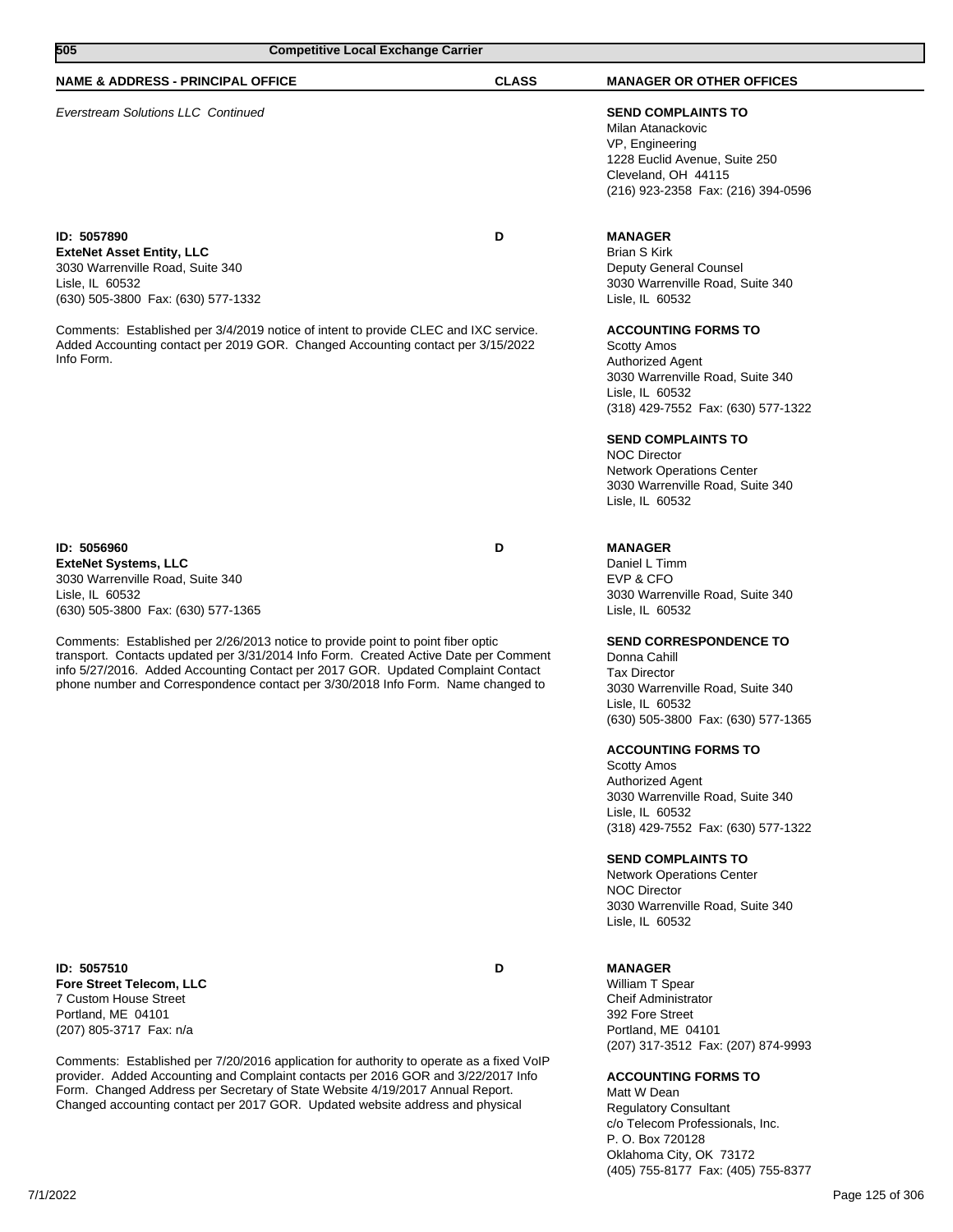| 505<br><b>Competitive Local Exchange Carrier</b>                                                                                                                                                                                                                                                                                                                                                                                                                                            |              |                                                                                                                                                                                                                                                                                                                                                                                                                                                                            |
|---------------------------------------------------------------------------------------------------------------------------------------------------------------------------------------------------------------------------------------------------------------------------------------------------------------------------------------------------------------------------------------------------------------------------------------------------------------------------------------------|--------------|----------------------------------------------------------------------------------------------------------------------------------------------------------------------------------------------------------------------------------------------------------------------------------------------------------------------------------------------------------------------------------------------------------------------------------------------------------------------------|
| <b>NAME &amp; ADDRESS - PRINCIPAL OFFICE</b>                                                                                                                                                                                                                                                                                                                                                                                                                                                | <b>CLASS</b> | <b>MANAGER OR OTHER OFFICES</b>                                                                                                                                                                                                                                                                                                                                                                                                                                            |
| <b>Everstream Solutions LLC Continued</b>                                                                                                                                                                                                                                                                                                                                                                                                                                                   |              | <b>SEND COMPLAINTS TO</b><br>Milan Atanackovic<br>VP, Engineering<br>1228 Euclid Avenue, Suite 250<br>Cleveland, OH 44115<br>(216) 923-2358 Fax: (216) 394-0596                                                                                                                                                                                                                                                                                                            |
| ID: 5057890<br><b>ExteNet Asset Entity, LLC</b><br>3030 Warrenville Road, Suite 340<br>Lisle, IL 60532<br>(630) 505-3800 Fax: (630) 577-1332<br>Comments: Established per 3/4/2019 notice of intent to provide CLEC and IXC service.<br>Added Accounting contact per 2019 GOR. Changed Accounting contact per 3/15/2022<br>Info Form.                                                                                                                                                       | D            | <b>MANAGER</b><br><b>Brian S Kirk</b><br>Deputy General Counsel<br>3030 Warrenville Road, Suite 340<br>Lisle, IL 60532<br><b>ACCOUNTING FORMS TO</b><br><b>Scotty Amos</b><br><b>Authorized Agent</b><br>3030 Warrenville Road, Suite 340<br>Lisle, IL 60532<br>(318) 429-7552 Fax: (630) 577-1322<br><b>SEND COMPLAINTS TO</b><br><b>NOC Director</b><br><b>Network Operations Center</b><br>3030 Warrenville Road, Suite 340<br>Lisle, IL 60532                          |
| ID: 5056960<br><b>ExteNet Systems, LLC</b><br>3030 Warrenville Road, Suite 340<br>Lisle, IL 60532<br>(630) 505-3800 Fax: (630) 577-1365<br>Comments: Established per 2/26/2013 notice to provide point to point fiber optic<br>transport. Contacts updated per 3/31/2014 Info Form. Created Active Date per Comment<br>info 5/27/2016. Added Accounting Contact per 2017 GOR. Updated Complaint Contact<br>phone number and Correspondence contact per 3/30/2018 Info Form. Name changed to | D            | <b>MANAGER</b><br>Daniel L Timm<br>EVP & CFO<br>3030 Warrenville Road, Suite 340<br>Lisle, IL 60532<br><b>SEND CORRESPONDENCE TO</b><br>Donna Cahill<br><b>Tax Director</b><br>3030 Warrenville Road, Suite 340<br>Lisle, IL 60532<br>(630) 505-3800 Fax: (630) 577-1365<br><b>ACCOUNTING FORMS TO</b><br><b>Scotty Amos</b><br>Authorized Agent<br>3030 Warrenville Road, Suite 340<br>Lisle, IL 60532<br>(318) 429-7552 Fax: (630) 577-1322<br><b>SEND COMPLAINTS TO</b> |

Network Operations Center

NOC Director 3030 Warrenville Road, Suite 340 Lisle, IL 60532

**MANAGER** William T Spear Cheif Administrator 392 Fore Street Portland, ME 04101 (207) 317-3512 Fax: (207) 874-9993

**ACCOUNTING FORMS TO** Matt W Dean

Regulatory Consultant c/o Telecom Professionals, Inc. P. O. Box 720128 Oklahoma City, OK 73172 (405) 755-8177 Fax: (405) 755-8377

**ID: 5057510 D Fore Street Telecom, LLC** 7 Custom House Street Portland, ME 04101 (207) 805-3717 Fax: n/a

Comments: Established per 7/20/2016 application for authority to operate as a fixed VoIP provider. Added Accounting and Complaint contacts per 2016 GOR and 3/22/2017 Info Form. Changed Address per Secretary of State Website 4/19/2017 Annual Report. Changed accounting contact per 2017 GOR. Updated website address and physical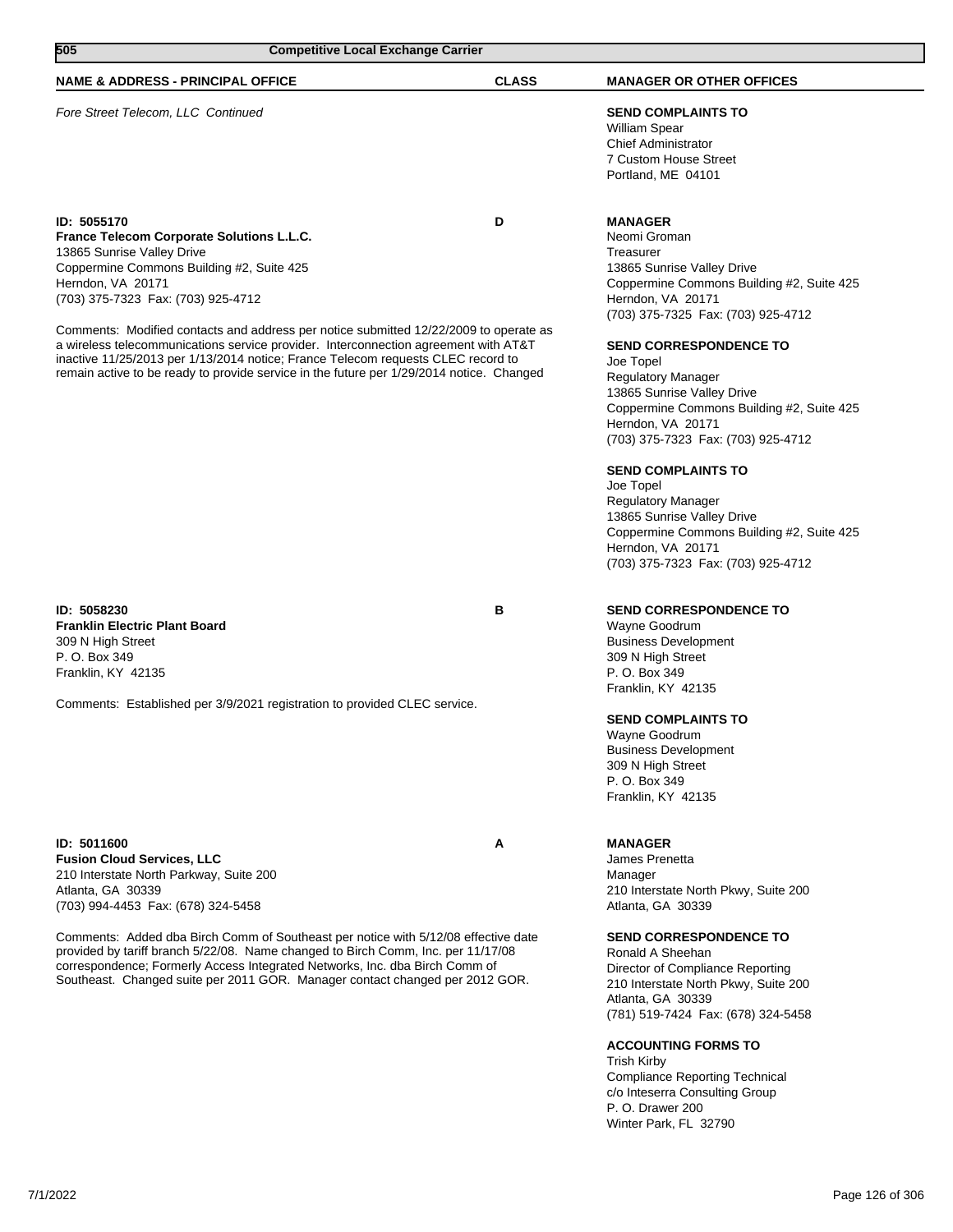| 505<br><b>Competitive Local Exchange Carrier</b>                                         |              |                                           |
|------------------------------------------------------------------------------------------|--------------|-------------------------------------------|
| <b>NAME &amp; ADDRESS - PRINCIPAL OFFICE</b>                                             | <b>CLASS</b> | <b>MANAGER OR OTHER OFFICES</b>           |
| Fore Street Telecom, LLC Continued                                                       |              | <b>SEND COMPLAINTS TO</b>                 |
|                                                                                          |              | <b>William Spear</b>                      |
|                                                                                          |              | <b>Chief Administrator</b>                |
|                                                                                          |              | 7 Custom House Street                     |
|                                                                                          |              | Portland, ME 04101                        |
| ID: 5055170                                                                              | D            | <b>MANAGER</b>                            |
| France Telecom Corporate Solutions L.L.C.                                                |              | Neomi Groman                              |
| 13865 Sunrise Valley Drive                                                               |              | Treasurer                                 |
| Coppermine Commons Building #2, Suite 425                                                |              | 13865 Sunrise Valley Drive                |
| Herndon, VA 20171                                                                        |              | Coppermine Commons Building #2, Suite 425 |
| (703) 375-7323 Fax: (703) 925-4712                                                       |              | Herndon, VA 20171                         |
|                                                                                          |              | (703) 375-7325 Fax: (703) 925-4712        |
| Comments: Modified contacts and address per notice submitted 12/22/2009 to operate as    |              |                                           |
| a wireless telecommunications service provider. Interconnection agreement with AT&T      |              | <b>SEND CORRESPONDENCE TO</b>             |
| inactive 11/25/2013 per 1/13/2014 notice; France Telecom requests CLEC record to         |              | Joe Topel                                 |
| remain active to be ready to provide service in the future per 1/29/2014 notice. Changed |              | <b>Regulatory Manager</b>                 |
|                                                                                          |              | 13865 Sunrise Valley Drive                |
|                                                                                          |              | Coppermine Commons Building #2, Suite 425 |
|                                                                                          |              | Herndon, VA 20171                         |
|                                                                                          |              | (703) 375-7323 Fax: (703) 925-4712        |
|                                                                                          |              | <b>SEND COMPLAINTS TO</b>                 |
|                                                                                          |              | Joe Topel                                 |
|                                                                                          |              | <b>Regulatory Manager</b>                 |
|                                                                                          |              | 13865 Sunrise Valley Drive                |
|                                                                                          |              | Coppermine Commons Building #2, Suite 425 |

**ID: 5058230 B Franklin Electric Plant Board** 309 N High Street P. O. Box 349 Franklin, KY 42135

Comments: Established per 3/9/2021 registration to provided CLEC service.

**ID: 5011600 A Fusion Cloud Services, LLC** 210 Interstate North Parkway, Suite 200 Atlanta, GA 30339 (703) 994-4453 Fax: (678) 324-5458

Comments: Added dba Birch Comm of Southeast per notice with 5/12/08 effective date provided by tariff branch 5/22/08. Name changed to Birch Comm, Inc. per 11/17/08 correspondence; Formerly Access Integrated Networks, Inc. dba Birch Comm of Southeast. Changed suite per 2011 GOR. Manager contact changed per 2012 GOR.

## **SEND CORRESPONDENCE TO**

(703) 375-7323 Fax: (703) 925-4712

Wayne Goodrum Business Development 309 N High Street P. O. Box 349 Franklin, KY 42135

Herndon, VA 20171

#### **SEND COMPLAINTS TO**

Wayne Goodrum Business Development 309 N High Street P. O. Box 349 Franklin, KY 42135

#### **MANAGER**

James Prenetta Manager 210 Interstate North Pkwy, Suite 200 Atlanta, GA 30339

#### **SEND CORRESPONDENCE TO**

Ronald A Sheehan Director of Compliance Reporting 210 Interstate North Pkwy, Suite 200 Atlanta, GA 30339 (781) 519-7424 Fax: (678) 324-5458

## **ACCOUNTING FORMS TO**

Trish Kirby Compliance Reporting Technical c/o Inteserra Consulting Group P. O. Drawer 200 Winter Park, FL 32790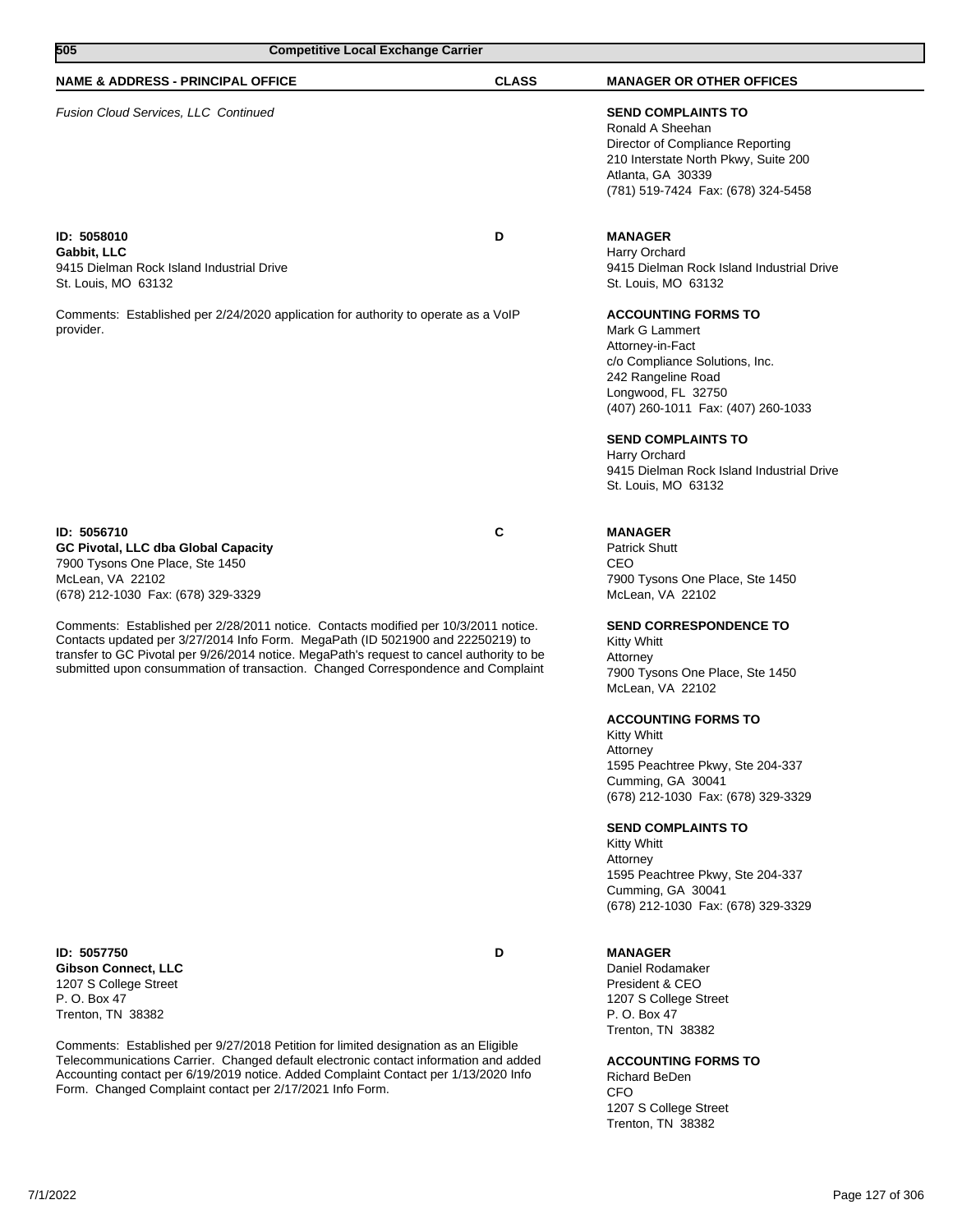| 505<br><b>Competitive Local Exchange Carrier</b>                                                                                                                                                                                                                                                                                                        |              |                                                                                                                                                                                                                                                                                                                                        |  |
|---------------------------------------------------------------------------------------------------------------------------------------------------------------------------------------------------------------------------------------------------------------------------------------------------------------------------------------------------------|--------------|----------------------------------------------------------------------------------------------------------------------------------------------------------------------------------------------------------------------------------------------------------------------------------------------------------------------------------------|--|
| <b>NAME &amp; ADDRESS - PRINCIPAL OFFICE</b>                                                                                                                                                                                                                                                                                                            | <b>CLASS</b> | <b>MANAGER OR OTHER OFFICES</b>                                                                                                                                                                                                                                                                                                        |  |
| Fusion Cloud Services, LLC Continued                                                                                                                                                                                                                                                                                                                    |              | <b>SEND COMPLAINTS TO</b><br>Ronald A Sheehan<br>Director of Compliance Reporting<br>210 Interstate North Pkwy, Suite 200<br>Atlanta, GA 30339<br>(781) 519-7424 Fax: (678) 324-5458                                                                                                                                                   |  |
| ID: 5058010<br>Gabbit, LLC<br>9415 Dielman Rock Island Industrial Drive<br>St. Louis, MO 63132                                                                                                                                                                                                                                                          | D            | <b>MANAGER</b><br>Harry Orchard<br>9415 Dielman Rock Island Industrial Drive<br>St. Louis, MO 63132                                                                                                                                                                                                                                    |  |
| Comments: Established per 2/24/2020 application for authority to operate as a VoIP<br>provider.                                                                                                                                                                                                                                                         |              | <b>ACCOUNTING FORMS TO</b><br>Mark G Lammert<br>Attorney-in-Fact<br>c/o Compliance Solutions, Inc.<br>242 Rangeline Road<br>Longwood, FL 32750<br>(407) 260-1011 Fax: (407) 260-1033<br><b>SEND COMPLAINTS TO</b><br>Harry Orchard<br>9415 Dielman Rock Island Industrial Drive<br>St. Louis, MO 63132                                 |  |
| ID: 5056710<br>GC Pivotal, LLC dba Global Capacity<br>7900 Tysons One Place, Ste 1450<br>McLean, VA 22102<br>(678) 212-1030 Fax: (678) 329-3329                                                                                                                                                                                                         | C            | <b>MANAGER</b><br><b>Patrick Shutt</b><br>CEO<br>7900 Tysons One Place, Ste 1450<br>McLean, VA 22102                                                                                                                                                                                                                                   |  |
| Comments: Established per 2/28/2011 notice. Contacts modified per 10/3/2011 notice.<br>Contacts updated per 3/27/2014 Info Form. MegaPath (ID 5021900 and 22250219) to<br>transfer to GC Pivotal per 9/26/2014 notice. MegaPath's request to cancel authority to be<br>submitted upon consummation of transaction. Changed Correspondence and Complaint |              | <b>SEND CORRESPONDENCE TO</b><br>Kitty Whitt<br>Attorney<br>7900 Tysons One Place, Ste 1450<br>McLean, VA 22102<br><b>ACCOUNTING FORMS TO</b><br>Kitty Whitt<br>Attorney<br>1595 Peachtree Pkwy, Ste 204-337<br>Cumming, GA 30041<br>(678) 212-1030 Fax: (678) 329-3329<br><b>SEND COMPLAINTS TO</b><br><b>Kitty Whitt</b><br>Attorney |  |
| ID: 5057750<br><b>Gibson Connect, LLC</b><br>1207 S College Street<br>P. O. Box 47<br>Trenton, TN 38382                                                                                                                                                                                                                                                 | D            | 1595 Peachtree Pkwy, Ste 204-337<br>Cumming, GA 30041<br>(678) 212-1030 Fax: (678) 329-3329<br><b>MANAGER</b><br>Daniel Rodamaker<br>President & CEO<br>1207 S College Street<br>P. O. Box 47                                                                                                                                          |  |

Comments: Established per 9/27/2018 Petition for limited designation as an Eligible Telecommunications Carrier. Changed default electronic contact information and added Accounting contact per 6/19/2019 notice. Added Complaint Contact per 1/13/2020 Info Form. Changed Complaint contact per 2/17/2021 Info Form.

## **ACCOUNTING FORMS TO**

Richard BeDen CFO 1207 S College Street Trenton, TN 38382

Trenton, TN 38382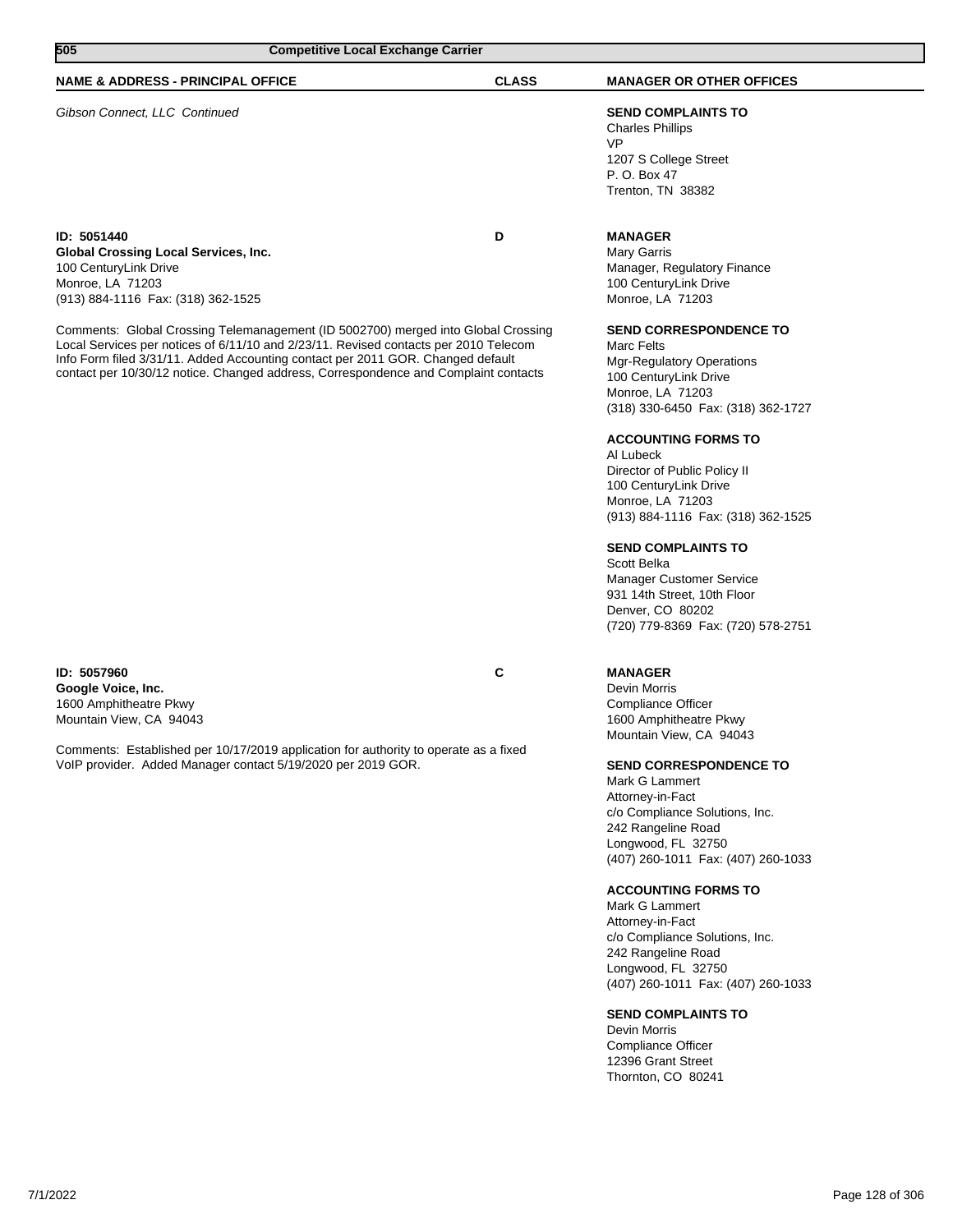| 505                                                                                                                                                                                                                                                                                                                                                 | <b>Competitive Local Exchange Carrier</b> |                                                                                                                                                                    |  |
|-----------------------------------------------------------------------------------------------------------------------------------------------------------------------------------------------------------------------------------------------------------------------------------------------------------------------------------------------------|-------------------------------------------|--------------------------------------------------------------------------------------------------------------------------------------------------------------------|--|
| <b>NAME &amp; ADDRESS - PRINCIPAL OFFICE</b>                                                                                                                                                                                                                                                                                                        | <b>CLASS</b>                              | <b>MANAGER OR OTHER OFFICES</b>                                                                                                                                    |  |
| Gibson Connect, LLC Continued                                                                                                                                                                                                                                                                                                                       |                                           | <b>SEND COMPLAINTS TO</b><br><b>Charles Phillips</b><br><b>VP</b><br>1207 S College Street<br>P. O. Box 47<br>Trenton, TN 38382                                    |  |
| ID: 5051440<br>Global Crossing Local Services, Inc.<br>100 CenturyLink Drive<br>Monroe, LA 71203<br>(913) 884-1116 Fax: (318) 362-1525                                                                                                                                                                                                              | D                                         | <b>MANAGER</b><br>Mary Garris<br>Manager, Regulatory Finance<br>100 CenturyLink Drive<br>Monroe, LA 71203                                                          |  |
| Comments: Global Crossing Telemanagement (ID 5002700) merged into Global Crossing<br>Local Services per notices of 6/11/10 and 2/23/11. Revised contacts per 2010 Telecom<br>Info Form filed 3/31/11. Added Accounting contact per 2011 GOR. Changed default<br>contact per 10/30/12 notice. Changed address, Correspondence and Complaint contacts |                                           | <b>SEND CORRESPONDENCE TO</b><br>Marc Felts<br><b>Mgr-Regulatory Operations</b><br>100 CenturyLink Drive<br>Monroe, LA 71203<br>(318) 330-6450 Fax: (318) 362-1727 |  |
|                                                                                                                                                                                                                                                                                                                                                     |                                           | <b>ACCOUNTING FORMS TO</b>                                                                                                                                         |  |

#### **ID: 5057960 C Google Voice, Inc.** 1600 Amphitheatre Pkwy Mountain View, CA 94043

Comments: Established per 10/17/2019 application for authority to operate as a fixed VoIP provider. Added Manager contact 5/19/2020 per 2019 GOR.

## **MANAGER**

Al Lubeck

Scott Belka

Director of Public Policy II 100 CenturyLink Drive Monroe, LA 71203

**SEND COMPLAINTS TO**

Manager Customer Service 931 14th Street, 10th Floor Denver, CO 80202

(913) 884-1116 Fax: (318) 362-1525

(720) 779-8369 Fax: (720) 578-2751

Devin Morris Compliance Officer 1600 Amphitheatre Pkwy Mountain View, CA 94043

## **SEND CORRESPONDENCE TO**

Mark G Lammert Attorney-in-Fact c/o Compliance Solutions, Inc. 242 Rangeline Road Longwood, FL 32750 (407) 260-1011 Fax: (407) 260-1033

### **ACCOUNTING FORMS TO**

Mark G Lammert Attorney-in-Fact c/o Compliance Solutions, Inc. 242 Rangeline Road Longwood, FL 32750 (407) 260-1011 Fax: (407) 260-1033

#### **SEND COMPLAINTS TO**

Devin Morris Compliance Officer 12396 Grant Street Thornton, CO 80241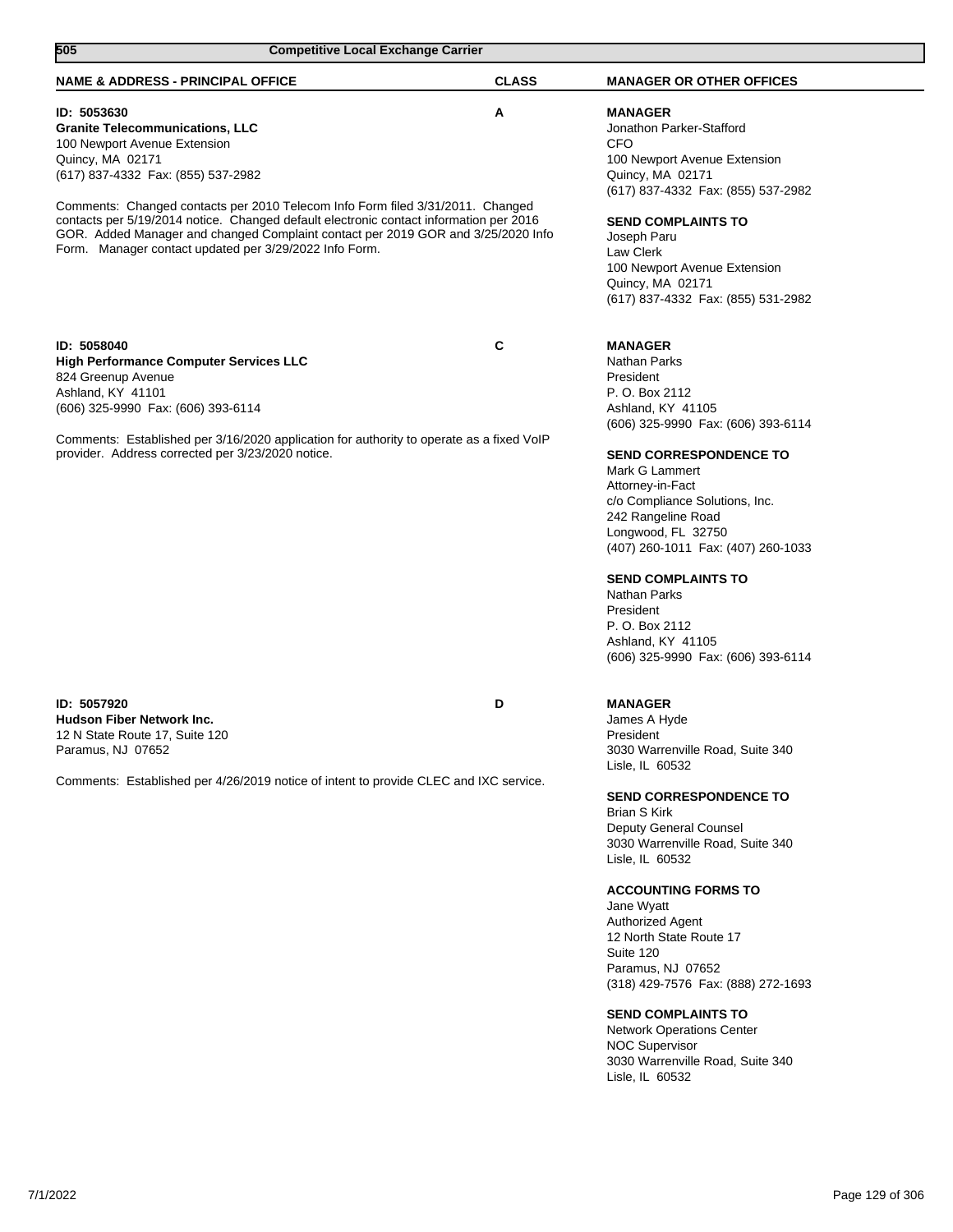| 505                                                                                                                                                                                                                                                                                                                                                                                                                                                                       | <b>Competitive Local Exchange Carrier</b> |                                                                                                                                                                                                                                                                                                                                                                                                                                                                                                                                                                        |
|---------------------------------------------------------------------------------------------------------------------------------------------------------------------------------------------------------------------------------------------------------------------------------------------------------------------------------------------------------------------------------------------------------------------------------------------------------------------------|-------------------------------------------|------------------------------------------------------------------------------------------------------------------------------------------------------------------------------------------------------------------------------------------------------------------------------------------------------------------------------------------------------------------------------------------------------------------------------------------------------------------------------------------------------------------------------------------------------------------------|
| <b>NAME &amp; ADDRESS - PRINCIPAL OFFICE</b>                                                                                                                                                                                                                                                                                                                                                                                                                              | <b>CLASS</b>                              | <b>MANAGER OR OTHER OFFICES</b>                                                                                                                                                                                                                                                                                                                                                                                                                                                                                                                                        |
| ID: 5053630<br><b>Granite Telecommunications, LLC</b><br>100 Newport Avenue Extension<br>Quincy, MA 02171<br>(617) 837-4332 Fax: (855) 537-2982<br>Comments: Changed contacts per 2010 Telecom Info Form filed 3/31/2011. Changed<br>contacts per 5/19/2014 notice. Changed default electronic contact information per 2016<br>GOR. Added Manager and changed Complaint contact per 2019 GOR and 3/25/2020 Info<br>Form. Manager contact updated per 3/29/2022 Info Form. | Α                                         | <b>MANAGER</b><br>Jonathon Parker-Stafford<br><b>CFO</b><br>100 Newport Avenue Extension<br>Quincy, MA 02171<br>(617) 837-4332 Fax: (855) 537-2982<br><b>SEND COMPLAINTS TO</b><br>Joseph Paru<br>Law Clerk<br>100 Newport Avenue Extension<br>Quincy, MA 02171<br>(617) 837-4332 Fax: (855) 531-2982                                                                                                                                                                                                                                                                  |
| ID: 5058040<br><b>High Performance Computer Services LLC</b><br>824 Greenup Avenue<br>Ashland, KY 41101<br>(606) 325-9990 Fax: (606) 393-6114<br>Comments: Established per 3/16/2020 application for authority to operate as a fixed VoIP                                                                                                                                                                                                                                 | C                                         | <b>MANAGER</b><br>Nathan Parks<br>President<br>P. O. Box 2112<br>Ashland, KY 41105<br>(606) 325-9990 Fax: (606) 393-6114                                                                                                                                                                                                                                                                                                                                                                                                                                               |
| provider. Address corrected per 3/23/2020 notice.                                                                                                                                                                                                                                                                                                                                                                                                                         |                                           | <b>SEND CORRESPONDENCE TO</b><br>Mark G Lammert<br>Attorney-in-Fact<br>c/o Compliance Solutions, Inc.<br>242 Rangeline Road<br>Longwood, FL 32750<br>(407) 260-1011 Fax: (407) 260-1033<br><b>SEND COMPLAINTS TO</b><br>Nathan Parks<br>President<br>P. O. Box 2112<br>Ashland, KY 41105<br>(606) 325-9990 Fax: (606) 393-6114                                                                                                                                                                                                                                         |
| ID: 5057920<br><b>Hudson Fiber Network Inc.</b><br>12 N State Route 17, Suite 120<br>Paramus, NJ 07652<br>Comments: Established per 4/26/2019 notice of intent to provide CLEC and IXC service.                                                                                                                                                                                                                                                                           | D                                         | <b>MANAGER</b><br>James A Hyde<br>President<br>3030 Warrenville Road, Suite 340<br>Lisle, IL 60532<br><b>SEND CORRESPONDENCE TO</b><br><b>Brian S Kirk</b><br>Deputy General Counsel<br>3030 Warrenville Road, Suite 340<br>Lisle, IL 60532<br><b>ACCOUNTING FORMS TO</b><br>Jane Wyatt<br><b>Authorized Agent</b><br>12 North State Route 17<br>Suite 120<br>Paramus, NJ 07652<br>(318) 429-7576 Fax: (888) 272-1693<br><b>SEND COMPLAINTS TO</b><br><b>Network Operations Center</b><br><b>NOC Supervisor</b><br>3030 Warrenville Road, Suite 340<br>Lisle, IL 60532 |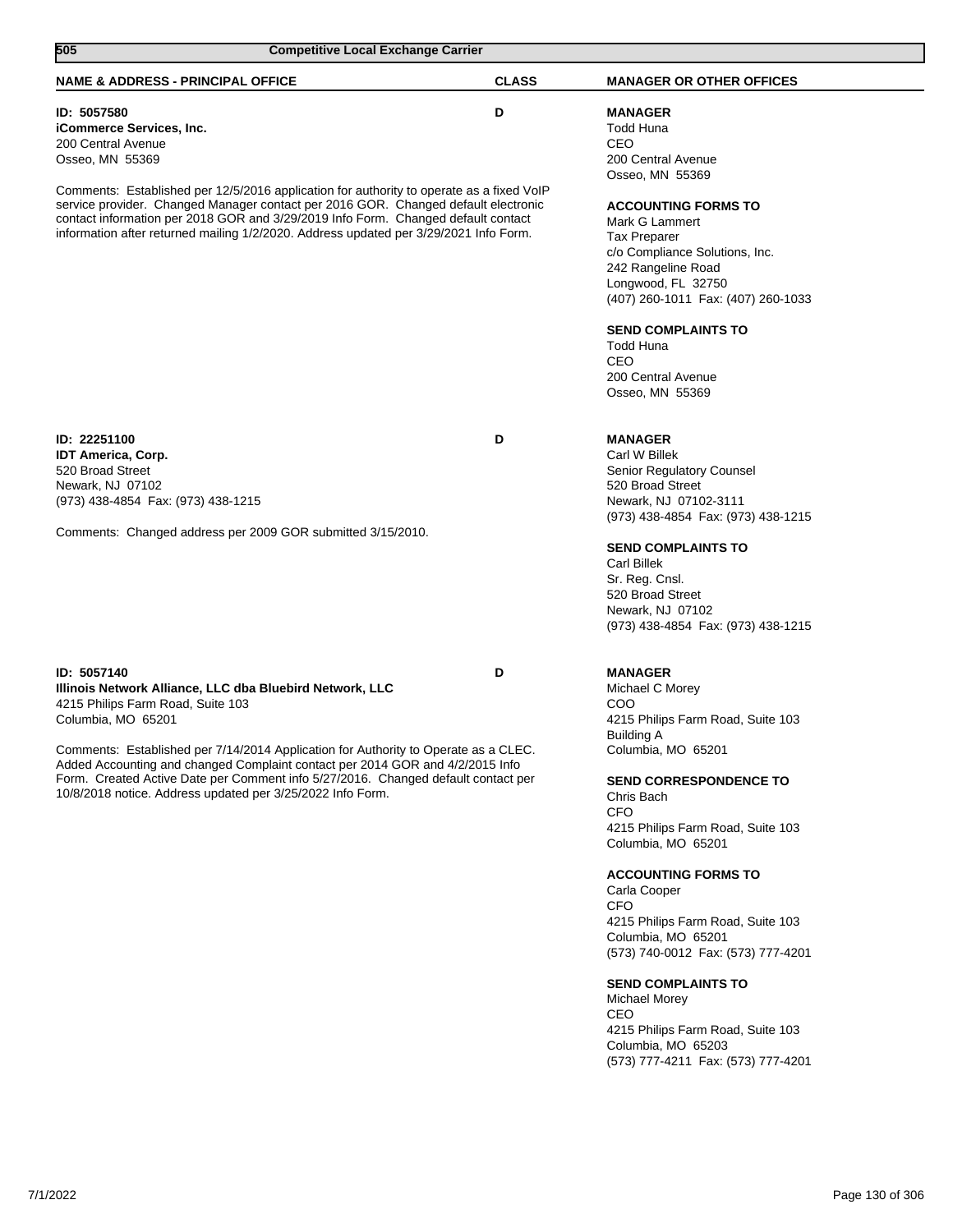| 505<br><b>Competitive Local Exchange Carrier</b>                                                                                                                                                                                                                                                                                                                                                                                                              |              |                                                                                                                                                                                                                                                                                                                                                                                                                                                                                                                                                              |  |
|---------------------------------------------------------------------------------------------------------------------------------------------------------------------------------------------------------------------------------------------------------------------------------------------------------------------------------------------------------------------------------------------------------------------------------------------------------------|--------------|--------------------------------------------------------------------------------------------------------------------------------------------------------------------------------------------------------------------------------------------------------------------------------------------------------------------------------------------------------------------------------------------------------------------------------------------------------------------------------------------------------------------------------------------------------------|--|
| <b>NAME &amp; ADDRESS - PRINCIPAL OFFICE</b>                                                                                                                                                                                                                                                                                                                                                                                                                  | <b>CLASS</b> | <b>MANAGER OR OTHER OFFICES</b>                                                                                                                                                                                                                                                                                                                                                                                                                                                                                                                              |  |
| ID: 5057580<br>iCommerce Services, Inc.<br>200 Central Avenue<br>Osseo, MN 55369<br>Comments: Established per 12/5/2016 application for authority to operate as a fixed VoIP<br>service provider. Changed Manager contact per 2016 GOR. Changed default electronic<br>contact information per 2018 GOR and 3/29/2019 Info Form. Changed default contact<br>information after returned mailing 1/2/2020. Address updated per 3/29/2021 Info Form.              | D            | <b>MANAGER</b><br>Todd Huna<br><b>CEO</b><br>200 Central Avenue<br>Osseo, MN 55369<br><b>ACCOUNTING FORMS TO</b><br>Mark G Lammert<br><b>Tax Preparer</b><br>c/o Compliance Solutions, Inc.<br>242 Rangeline Road<br>Longwood, FL 32750<br>(407) 260-1011 Fax: (407) 260-1033<br><b>SEND COMPLAINTS TO</b><br><b>Todd Huna</b><br>CEO<br>200 Central Avenue<br>Osseo, MN 55369                                                                                                                                                                               |  |
| ID: 22251100<br><b>IDT America, Corp.</b><br>520 Broad Street<br>Newark, NJ 07102<br>(973) 438-4854 Fax: (973) 438-1215<br>Comments: Changed address per 2009 GOR submitted 3/15/2010.                                                                                                                                                                                                                                                                        | D            | <b>MANAGER</b><br>Carl W Billek<br>Senior Regulatory Counsel<br>520 Broad Street<br>Newark, NJ 07102-3111<br>(973) 438-4854 Fax: (973) 438-1215<br><b>SEND COMPLAINTS TO</b><br><b>Carl Billek</b><br>Sr. Reg. Cnsl.<br>520 Broad Street<br>Newark, NJ 07102<br>(973) 438-4854 Fax: (973) 438-1215                                                                                                                                                                                                                                                           |  |
| ID: 5057140<br>Illinois Network Alliance, LLC dba Bluebird Network, LLC<br>4215 Philips Farm Road, Suite 103<br>Columbia, MO 65201<br>Comments: Established per 7/14/2014 Application for Authority to Operate as a CLEC.<br>Added Accounting and changed Complaint contact per 2014 GOR and 4/2/2015 Info<br>Form. Created Active Date per Comment info 5/27/2016. Changed default contact per<br>10/8/2018 notice. Address updated per 3/25/2022 Info Form. | D            | <b>MANAGER</b><br>Michael C Morey<br>COO<br>4215 Philips Farm Road, Suite 103<br>Building A<br>Columbia, MO 65201<br><b>SEND CORRESPONDENCE TO</b><br>Chris Bach<br><b>CFO</b><br>4215 Philips Farm Road, Suite 103<br>Columbia, MO 65201<br><b>ACCOUNTING FORMS TO</b><br>Carla Cooper<br><b>CFO</b><br>4215 Philips Farm Road, Suite 103<br>Columbia, MO 65201<br>(573) 740-0012 Fax: (573) 777-4201<br><b>SEND COMPLAINTS TO</b><br>Michael Morey<br>CEO<br>4215 Philips Farm Road, Suite 103<br>Columbia, MO 65203<br>(573) 777-4211 Fax: (573) 777-4201 |  |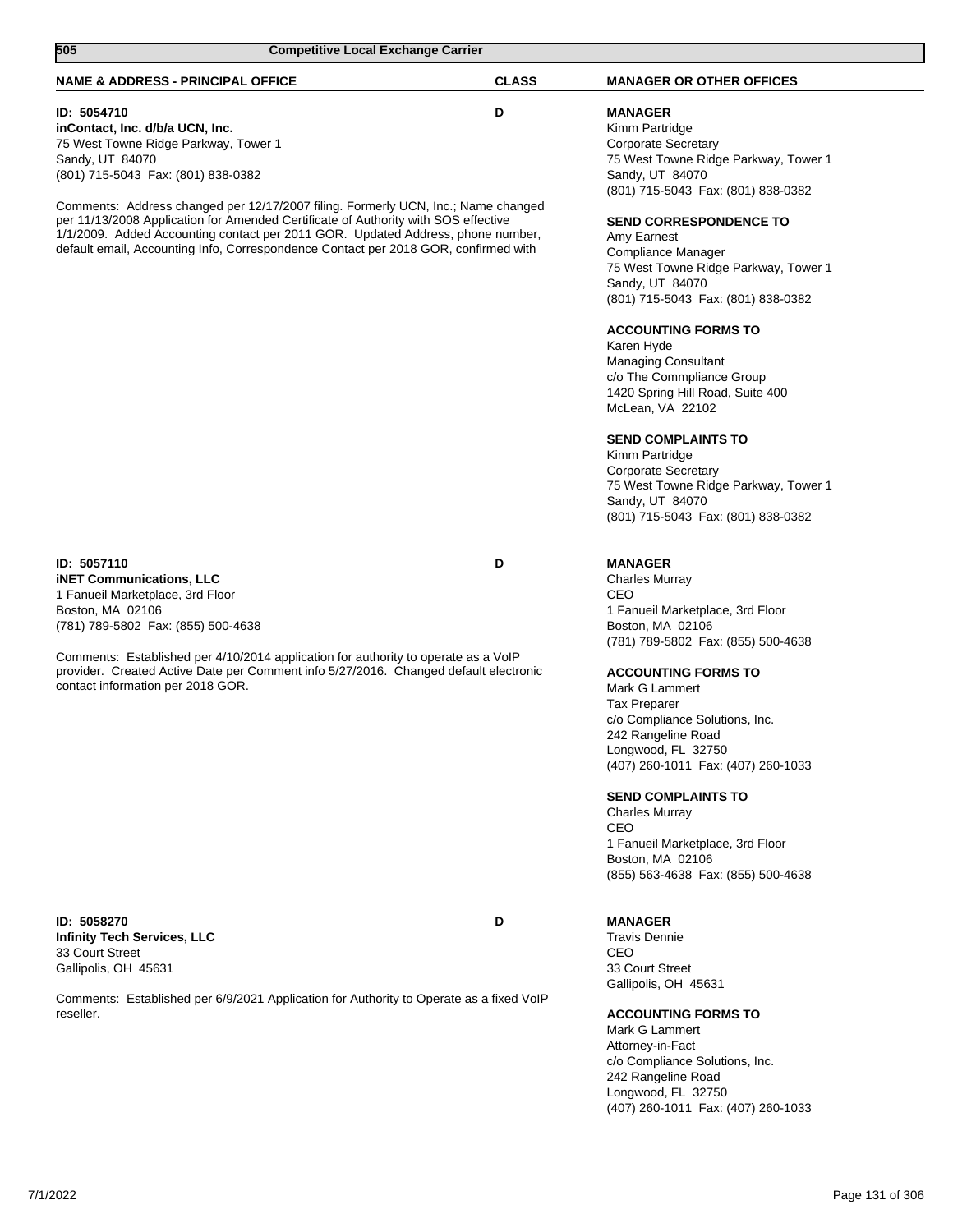| 505<br><b>Competitive Local Exchange Carrier</b>                                                                                                                                                                                                             |              |                                                                                                                                                                                         |
|--------------------------------------------------------------------------------------------------------------------------------------------------------------------------------------------------------------------------------------------------------------|--------------|-----------------------------------------------------------------------------------------------------------------------------------------------------------------------------------------|
| <b>NAME &amp; ADDRESS - PRINCIPAL OFFICE</b>                                                                                                                                                                                                                 | <b>CLASS</b> | <b>MANAGER OR OTHER OFFICES</b>                                                                                                                                                         |
| ID: 5054710<br>inContact, Inc. d/b/a UCN, Inc.<br>75 West Towne Ridge Parkway, Tower 1<br>Sandy, UT 84070<br>(801) 715-5043 Fax: (801) 838-0382<br>Comments: Address changed per 12/17/2007 filing. Formerly UCN, Inc.; Name changed                         | D            | <b>MANAGER</b><br>Kimm Partridge<br><b>Corporate Secretary</b><br>75 West Towne Ridge Parkway, Tower 1<br>Sandy, UT 84070<br>(801) 715-5043 Fax: (801) 838-0382                         |
| per 11/13/2008 Application for Amended Certificate of Authority with SOS effective<br>1/1/2009. Added Accounting contact per 2011 GOR. Updated Address, phone number,<br>default email, Accounting Info, Correspondence Contact per 2018 GOR, confirmed with |              | <b>SEND CORRESPONDENCE TO</b><br>Amy Earnest<br>Compliance Manager<br>75 West Towne Ridge Parkway, Tower 1<br>Sandy, UT 84070<br>(801) 715-5043 Fax: (801) 838-0382                     |
|                                                                                                                                                                                                                                                              |              | <b>ACCOUNTING FORMS TO</b><br>Karen Hyde<br><b>Managing Consultant</b><br>c/o The Commpliance Group<br>1420 Spring Hill Road, Suite 400<br>McLean, VA 22102                             |
|                                                                                                                                                                                                                                                              |              | <b>SEND COMPLAINTS TO</b><br>Kimm Partridge<br>Corporate Secretary<br>75 West Towne Ridge Parkway, Tower 1<br>Sandy, UT 84070<br>(801) 715-5043 Fax: (801) 838-0382                     |
| ID: 5057110<br><b>iNET Communications, LLC</b><br>1 Fanueil Marketplace, 3rd Floor<br>Boston, MA 02106<br>(781) 789-5802 Fax: (855) 500-4638                                                                                                                 | D            | <b>MANAGER</b><br><b>Charles Murray</b><br>CEO<br>1 Fanueil Marketplace, 3rd Floor<br>Boston, MA 02106<br>(781) 789-5802 Fax: (855) 500-4638                                            |
| Comments: Established per 4/10/2014 application for authority to operate as a VoIP<br>provider. Created Active Date per Comment info 5/27/2016. Changed default electronic<br>contact information per 2018 GOR.                                              |              | <b>ACCOUNTING FORMS TO</b><br>Mark G Lammert<br><b>Tax Preparer</b><br>c/o Compliance Solutions, Inc.<br>242 Rangeline Road<br>Longwood, FL 32750<br>(407) 260-1011 Fax: (407) 260-1033 |
|                                                                                                                                                                                                                                                              |              | <b>SEND COMPLAINTS TO</b><br><b>Charles Murray</b><br>CEO<br>1 Fanueil Marketplace, 3rd Floor<br>Boston, MA 02106<br>(855) 563-4638 Fax: (855) 500-4638                                 |
| ID: 5058270<br><b>Infinity Tech Services, LLC</b><br>33 Court Street<br>Gallipolis, OH 45631                                                                                                                                                                 | D            | <b>MANAGER</b><br><b>Travis Dennie</b><br>CEO<br>33 Court Street<br>Gallipolis, OH 45631                                                                                                |
| Comments: Established per 6/9/2021 Application for Authority to Operate as a fixed VoIP<br>reseller.                                                                                                                                                         |              | <b>ACCOUNTING FORMS TO</b><br>Mark G Lammert<br>Attorney-in-Fact<br>c/o Compliance Solutions, Inc.<br>242 Rangeline Road<br>Longwood, FL 32750<br>(407) 260-1011 Fax: (407) 260-1033    |
|                                                                                                                                                                                                                                                              |              |                                                                                                                                                                                         |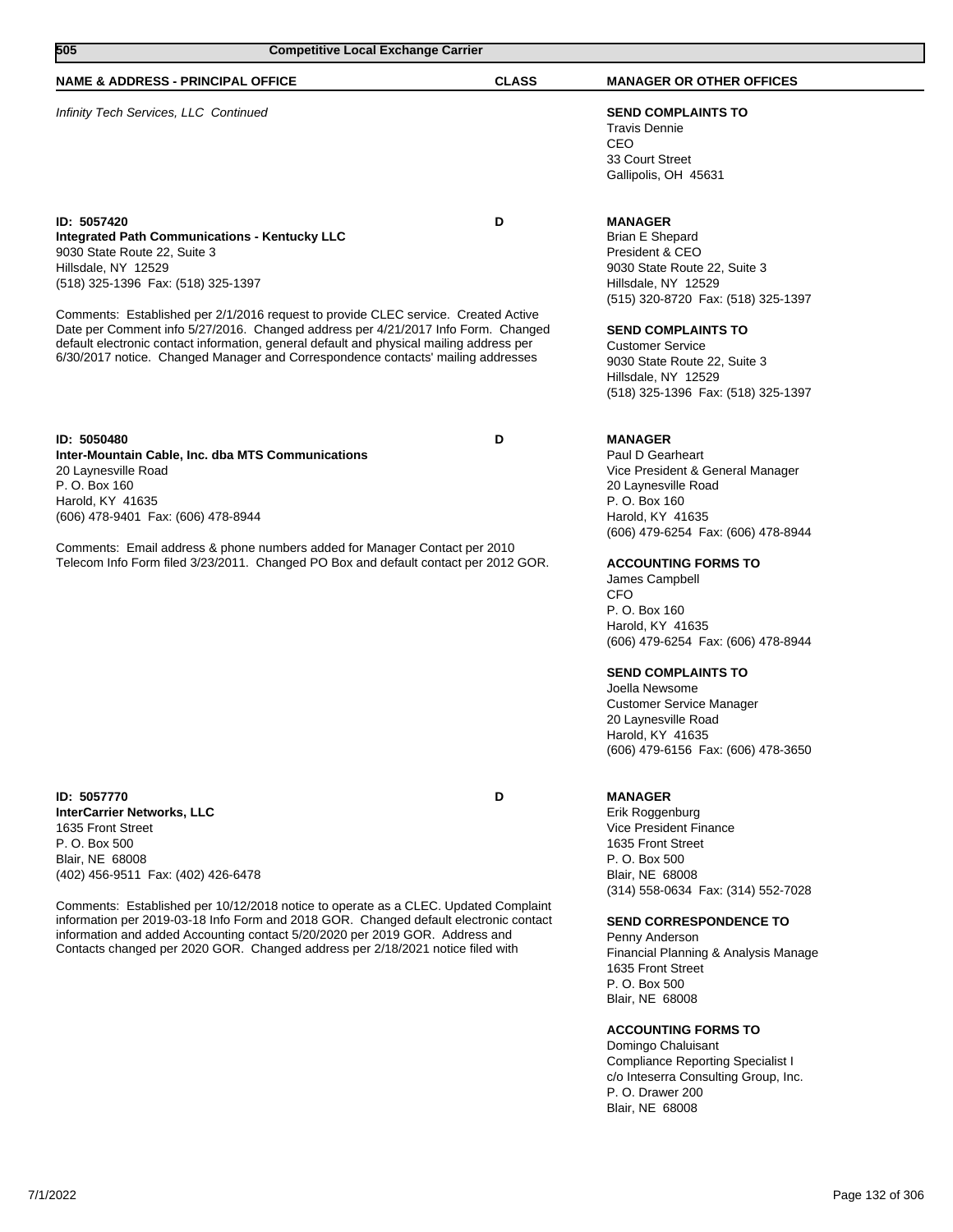| 505<br><b>Competitive Local Exchange Carrier</b>                                                                                                                                                                                                                                                                                                                                                                                                                                                                            |              |                                                                                                                                                                                                                                                                                                                                                                                                                                                                                      |  |
|-----------------------------------------------------------------------------------------------------------------------------------------------------------------------------------------------------------------------------------------------------------------------------------------------------------------------------------------------------------------------------------------------------------------------------------------------------------------------------------------------------------------------------|--------------|--------------------------------------------------------------------------------------------------------------------------------------------------------------------------------------------------------------------------------------------------------------------------------------------------------------------------------------------------------------------------------------------------------------------------------------------------------------------------------------|--|
| <b>NAME &amp; ADDRESS - PRINCIPAL OFFICE</b>                                                                                                                                                                                                                                                                                                                                                                                                                                                                                | <b>CLASS</b> | <b>MANAGER OR OTHER OFFICES</b>                                                                                                                                                                                                                                                                                                                                                                                                                                                      |  |
| Infinity Tech Services, LLC Continued                                                                                                                                                                                                                                                                                                                                                                                                                                                                                       |              | <b>SEND COMPLAINTS TO</b><br><b>Travis Dennie</b><br>CEO<br>33 Court Street<br>Gallipolis, OH 45631                                                                                                                                                                                                                                                                                                                                                                                  |  |
| ID: 5057420<br><b>Integrated Path Communications - Kentucky LLC</b><br>9030 State Route 22, Suite 3<br>Hillsdale, NY 12529<br>(518) 325-1396 Fax: (518) 325-1397<br>Comments: Established per 2/1/2016 request to provide CLEC service. Created Active<br>Date per Comment info 5/27/2016. Changed address per 4/21/2017 Info Form. Changed<br>default electronic contact information, general default and physical mailing address per<br>6/30/2017 notice. Changed Manager and Correspondence contacts' mailing addresses | D            | <b>MANAGER</b><br><b>Brian E Shepard</b><br>President & CEO<br>9030 State Route 22, Suite 3<br>Hillsdale, NY 12529<br>(515) 320-8720 Fax: (518) 325-1397<br><b>SEND COMPLAINTS TO</b><br><b>Customer Service</b><br>9030 State Route 22, Suite 3<br>Hillsdale, NY 12529<br>(518) 325-1396 Fax: (518) 325-1397                                                                                                                                                                        |  |
| ID: 5050480<br>Inter-Mountain Cable, Inc. dba MTS Communications<br>20 Laynesville Road<br>P. O. Box 160<br>Harold, KY 41635<br>(606) 478-9401 Fax: (606) 478-8944<br>Comments: Email address & phone numbers added for Manager Contact per 2010<br>Telecom Info Form filed 3/23/2011. Changed PO Box and default contact per 2012 GOR.                                                                                                                                                                                     | D            | <b>MANAGER</b><br>Paul D Gearheart<br>Vice President & General Manager<br>20 Laynesville Road<br>P. O. Box 160<br>Harold, KY 41635<br>(606) 479-6254 Fax: (606) 478-8944<br><b>ACCOUNTING FORMS TO</b><br>James Campbell<br><b>CFO</b><br>P. O. Box 160<br>Harold, KY 41635<br>(606) 479-6254 Fax: (606) 478-8944<br><b>SEND COMPLAINTS TO</b><br>Joella Newsome<br><b>Customer Service Manager</b><br>20 Laynesville Road<br>Harold, KY 41635<br>(606) 479-6156 Fax: (606) 478-3650 |  |
| ID: 5057770<br><b>InterCarrier Networks, LLC</b><br>1635 Front Street<br>P. O. Box 500<br>Blair, NE 68008<br>(402) 456-9511 Fax: (402) 426-6478<br>Comments: Established per 10/12/2018 notice to operate as a CLEC. Updated Complaint<br>information per 2019-03-18 Info Form and 2018 GOR. Changed default electronic contact                                                                                                                                                                                             | D            | <b>MANAGER</b><br>Erik Roggenburg<br>Vice President Finance<br>1635 Front Street<br>P. O. Box 500<br>Blair, NE 68008<br>(314) 558-0634 Fax: (314) 552-7028<br><b>SEND CORRESPONDENCE TO</b>                                                                                                                                                                                                                                                                                          |  |
| information and added Accounting contact 5/20/2020 per 2019 GOR. Address and<br>Contacts changed per 2020 GOR. Changed address per 2/18/2021 notice filed with                                                                                                                                                                                                                                                                                                                                                              |              | Penny Anderson<br>Financial Planning & Analysis Manage                                                                                                                                                                                                                                                                                                                                                                                                                               |  |

1635 Front Street P. O. Box 500 Blair, NE 68008

P. O. Drawer 200 Blair, NE 68008

**ACCOUNTING FORMS TO** Domingo Chaluisant

Compliance Reporting Specialist I c/o Inteserra Consulting Group, Inc.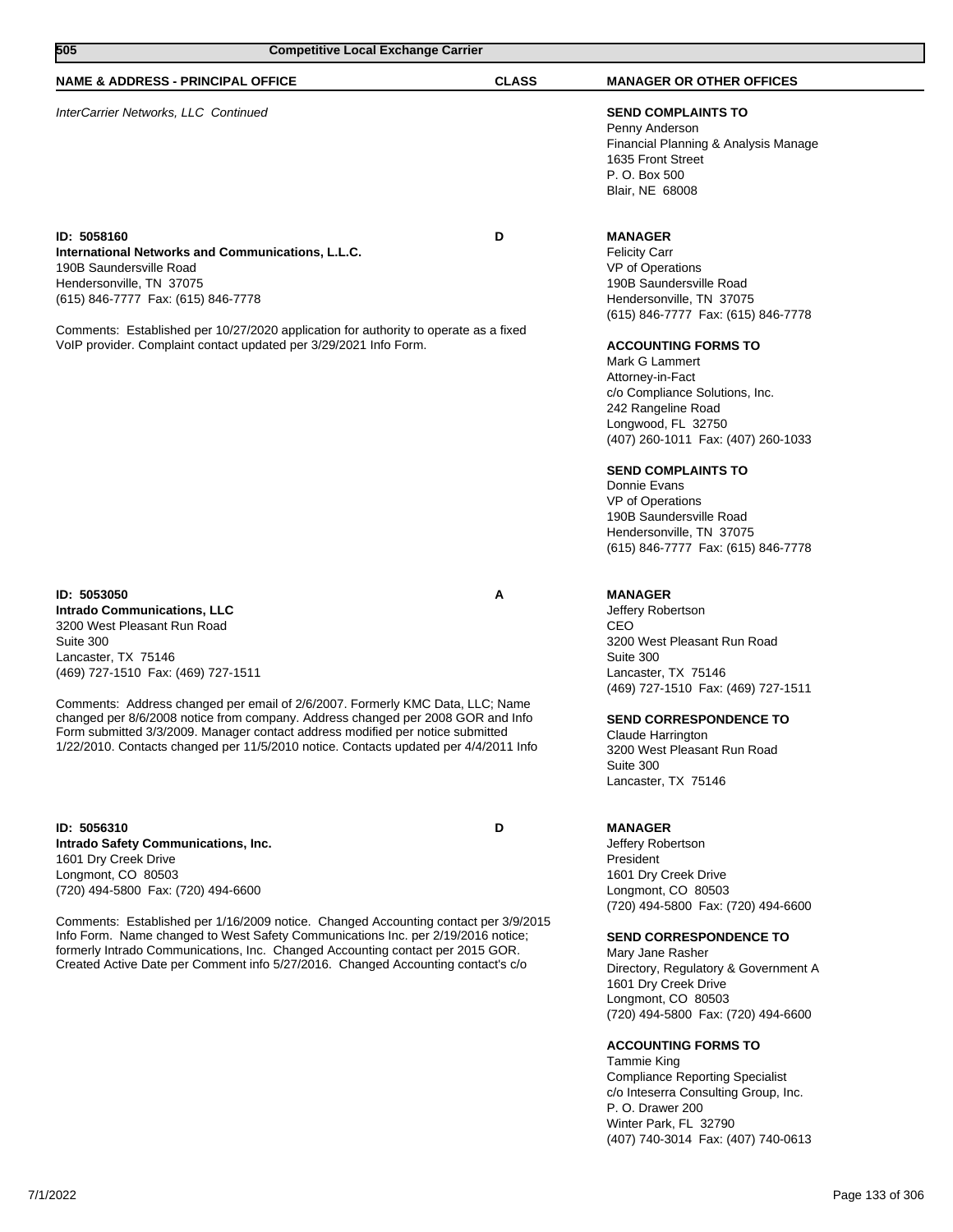| 505<br><b>Competitive Local Exchange Carrier</b>                                                                                                                                                                                                                                                                                                                                                                                                                                                         |              |                                                                                                                                                                                                                                                                                                                                                                                                                                                                                                               |
|----------------------------------------------------------------------------------------------------------------------------------------------------------------------------------------------------------------------------------------------------------------------------------------------------------------------------------------------------------------------------------------------------------------------------------------------------------------------------------------------------------|--------------|---------------------------------------------------------------------------------------------------------------------------------------------------------------------------------------------------------------------------------------------------------------------------------------------------------------------------------------------------------------------------------------------------------------------------------------------------------------------------------------------------------------|
| <b>NAME &amp; ADDRESS - PRINCIPAL OFFICE</b>                                                                                                                                                                                                                                                                                                                                                                                                                                                             | <b>CLASS</b> | <b>MANAGER OR OTHER OFFICES</b>                                                                                                                                                                                                                                                                                                                                                                                                                                                                               |
| InterCarrier Networks, LLC Continued                                                                                                                                                                                                                                                                                                                                                                                                                                                                     |              | <b>SEND COMPLAINTS TO</b><br>Penny Anderson<br>Financial Planning & Analysis Manage<br>1635 Front Street<br>P. O. Box 500<br>Blair, NE 68008                                                                                                                                                                                                                                                                                                                                                                  |
| ID: 5058160<br>International Networks and Communications, L.L.C.<br>190B Saundersville Road<br>Hendersonville, TN 37075<br>(615) 846-7777 Fax: (615) 846-7778<br>Comments: Established per 10/27/2020 application for authority to operate as a fixed<br>VoIP provider. Complaint contact updated per 3/29/2021 Info Form.                                                                                                                                                                               | D            | <b>MANAGER</b><br><b>Felicity Carr</b><br>VP of Operations<br>190B Saundersville Road<br>Hendersonville, TN 37075<br>(615) 846-7777 Fax: (615) 846-7778<br><b>ACCOUNTING FORMS TO</b><br>Mark G Lammert<br>Attorney-in-Fact<br>c/o Compliance Solutions, Inc.<br>242 Rangeline Road<br>Longwood, FL 32750<br>(407) 260-1011 Fax: (407) 260-1033<br><b>SEND COMPLAINTS TO</b><br>Donnie Evans<br>VP of Operations<br>190B Saundersville Road<br>Hendersonville, TN 37075<br>(615) 846-7777 Fax: (615) 846-7778 |
| ID: 5053050<br><b>Intrado Communications, LLC</b><br>3200 West Pleasant Run Road<br>Suite 300<br>Lancaster, TX 75146<br>(469) 727-1510 Fax: (469) 727-1511<br>Comments: Address changed per email of 2/6/2007. Formerly KMC Data, LLC; Name<br>changed per 8/6/2008 notice from company. Address changed per 2008 GOR and Info<br>Form submitted 3/3/2009. Manager contact address modified per notice submitted<br>1/22/2010. Contacts changed per 11/5/2010 notice. Contacts updated per 4/4/2011 Info | А            | <b>MANAGER</b><br>Jeffery Robertson<br>CEO<br>3200 West Pleasant Run Road<br>Suite 300<br>Lancaster, TX 75146<br>(469) 727-1510 Fax: (469) 727-1511<br><b>SEND CORRESPONDENCE TO</b><br>Claude Harrington<br>3200 West Pleasant Run Road<br>Suite 300<br>Lancaster, TX 75146                                                                                                                                                                                                                                  |
| ID: 5056310<br>Intrado Safety Communications, Inc.<br>1601 Dry Creek Drive<br>Longmont, CO 80503<br>(720) 494-5800 Fax: (720) 494-6600<br>Comments: Established per 1/16/2009 notice. Changed Accounting contact per 3/9/2015<br>Info Form. Name changed to West Safety Communications Inc. per 2/19/2016 notice;<br>formerly Intrado Communications, Inc. Changed Accounting contact per 2015 GOR.<br>Created Active Date per Comment info 5/27/2016. Changed Accounting contact's c/o                  | D            | <b>MANAGER</b><br>Jeffery Robertson<br>President<br>1601 Dry Creek Drive<br>Longmont, CO 80503<br>(720) 494-5800 Fax: (720) 494-6600<br><b>SEND CORRESPONDENCE TO</b><br>Mary Jane Rasher<br>Directory, Regulatory & Government A<br>1601 Dry Creek Drive<br>Longmont, CO 80503<br>(720) 494-5800 Fax: (720) 494-6600<br><b>ACCOUNTING FORMS TO</b><br>Tammie King<br><b>Compliance Reporting Specialist</b><br>c/o Inteserra Consulting Group, Inc.<br>P. O. Drawer 200<br>Winter Park, FL 32790             |

┐

(407) 740-3014 Fax: (407) 740-0613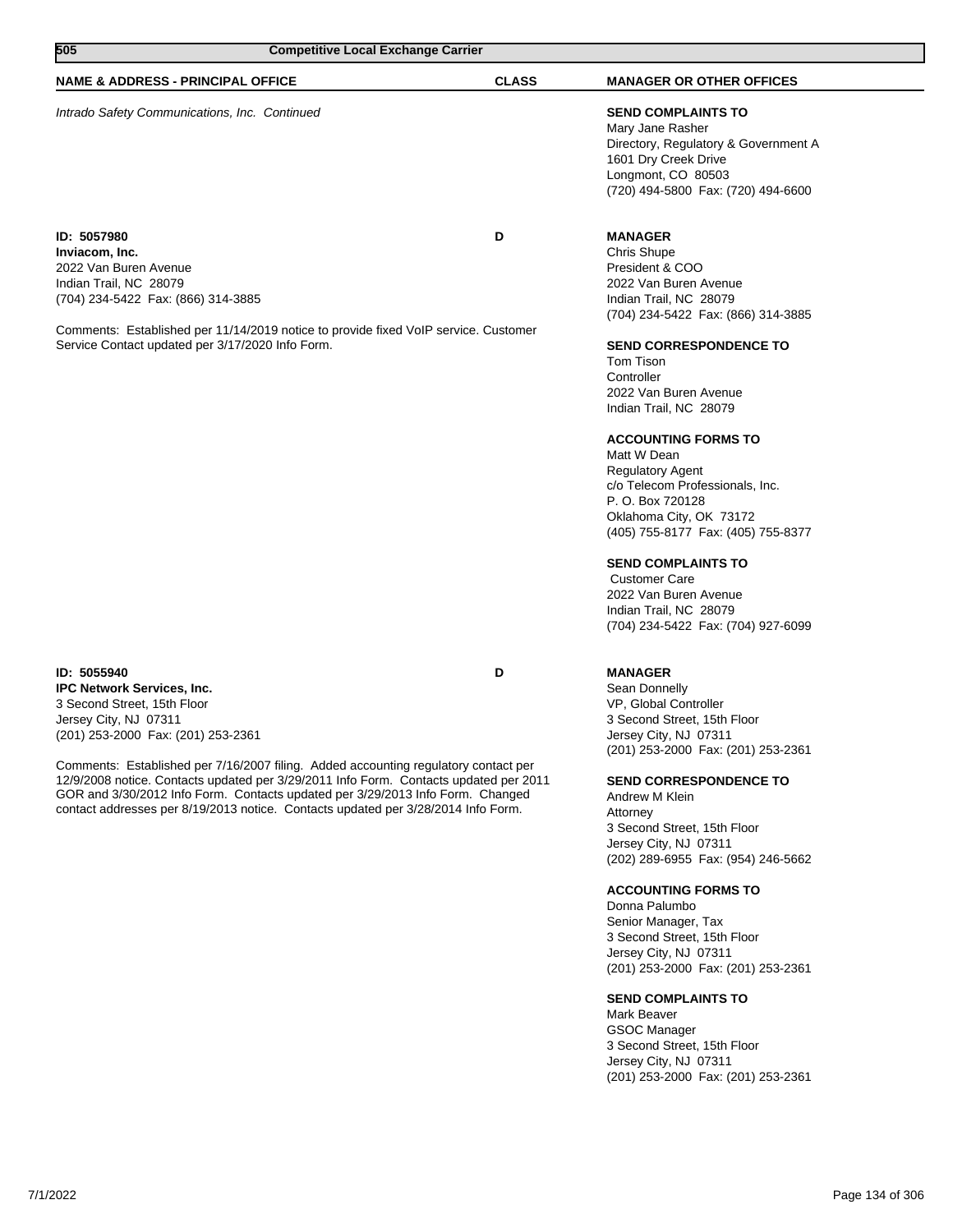| 7/1/2022 | Page 134 of 306 |
|----------|-----------------|
|          |                 |

**ID: 5055940 D IPC Network Services, Inc.** 3 Second Street, 15th Floor Jersey City, NJ 07311 (201) 253-2000 Fax: (201) 253-2361

Comments: Established per 7/16/2007 filing. Added accounting regulatory contact per 12/9/2008 notice. Contacts updated per 3/29/2011 Info Form. Contacts updated per 2011 GOR and 3/30/2012 Info Form. Contacts updated per 3/29/2013 Info Form. Changed contact addresses per 8/19/2013 notice. Contacts updated per 3/28/2014 Info Form.

# **MANAGER**

Sean Donnelly VP, Global Controller 3 Second Street, 15th Floor Jersey City, NJ 07311 (201) 253-2000 Fax: (201) 253-2361

**SEND CORRESPONDENCE TO**

Andrew M Klein Attorney 3 Second Street, 15th Floor Jersey City, NJ 07311 (202) 289-6955 Fax: (954) 246-5662

## **ACCOUNTING FORMS TO**

Donna Palumbo Senior Manager, Tax 3 Second Street, 15th Floor Jersey City, NJ 07311 (201) 253-2000 Fax: (201) 253-2361

## **SEND COMPLAINTS TO**

Mark Beaver GSOC Manager 3 Second Street, 15th Floor Jersey City, NJ 07311 (201) 253-2000 Fax: (201) 253-2361

**ID: 5057980 D Inviacom, Inc.** 2022 Van Buren Avenue Indian Trail, NC 28079 (704) 234-5422 Fax: (866) 314-3885

Comments: Established per 11/14/2019 notice to provide fixed VoIP service. Customer Service Contact updated per 3/17/2020 Info Form.



## **NAME & ADDRESS - PRINCIPAL OFFICE CLASS MANAGER OR OTHER OFFICES**

## Intrado Safety Communications, Inc. Continued **SEND COMPLAINTS TO**

Mary Jane Rasher Directory, Regulatory & Government A 1601 Dry Creek Drive Longmont, CO 80503 (720) 494-5800 Fax: (720) 494-6600

## **MANAGER**

Chris Shupe President & COO 2022 Van Buren Avenue Indian Trail, NC 28079 (704) 234-5422 Fax: (866) 314-3885

## **SEND CORRESPONDENCE TO**

Tom Tison **Controller** 2022 Van Buren Avenue Indian Trail, NC 28079

## **ACCOUNTING FORMS TO**

Matt W Dean Regulatory Agent c/o Telecom Professionals, Inc. P. O. Box 720128 Oklahoma City, OK 73172 (405) 755-8177 Fax: (405) 755-8377

## **SEND COMPLAINTS TO**

 Customer Care 2022 Van Buren Avenue Indian Trail, NC 28079 (704) 234-5422 Fax: (704) 927-6099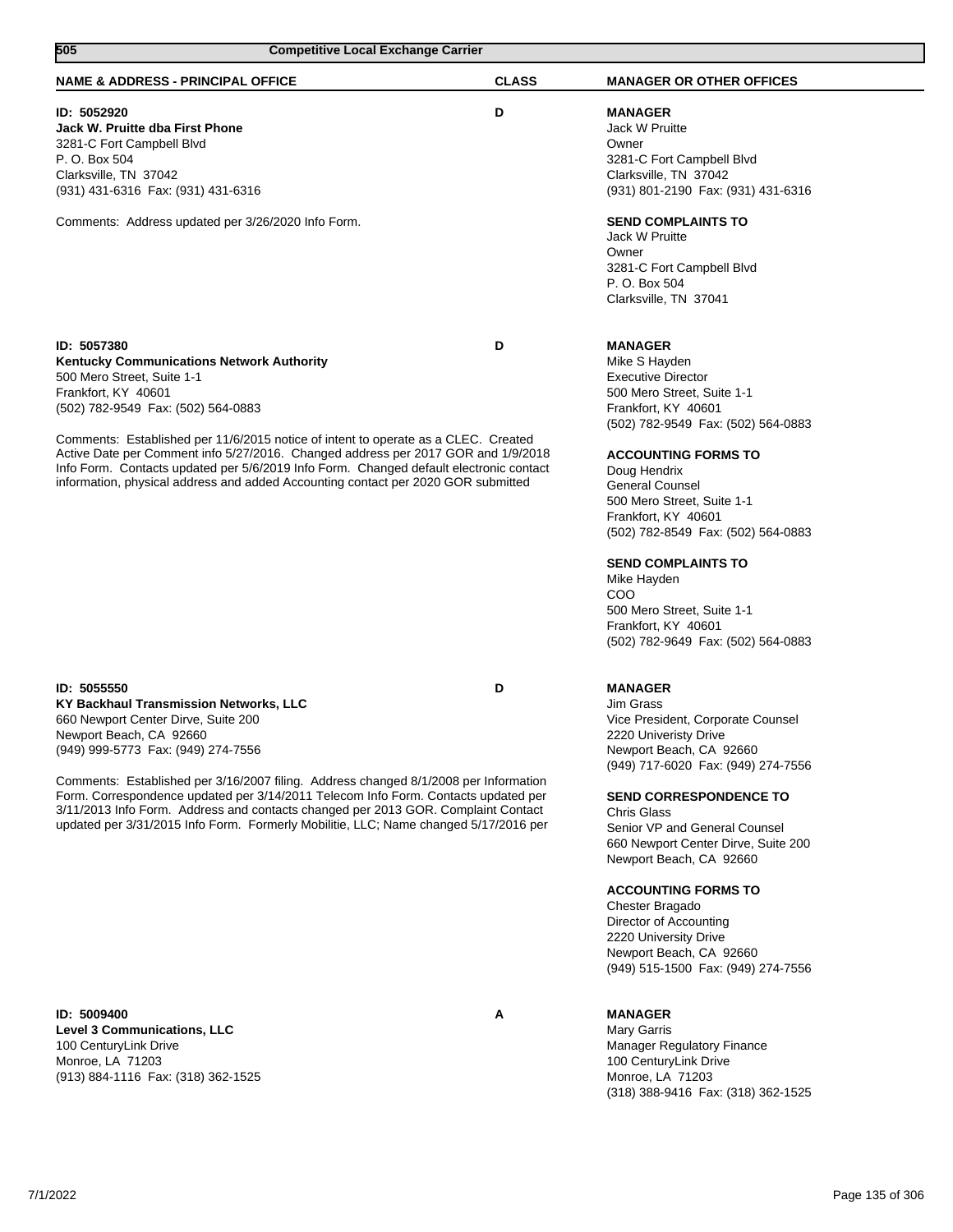| 505<br><b>Competitive Local Exchange Carrier</b>                                                                                                                                                                                                                                                                                                                                                                                                                                                                         |              |                                                                                                                                                                                                                                                                                                                                                                                                                                                                                    |
|--------------------------------------------------------------------------------------------------------------------------------------------------------------------------------------------------------------------------------------------------------------------------------------------------------------------------------------------------------------------------------------------------------------------------------------------------------------------------------------------------------------------------|--------------|------------------------------------------------------------------------------------------------------------------------------------------------------------------------------------------------------------------------------------------------------------------------------------------------------------------------------------------------------------------------------------------------------------------------------------------------------------------------------------|
| <b>NAME &amp; ADDRESS - PRINCIPAL OFFICE</b>                                                                                                                                                                                                                                                                                                                                                                                                                                                                             | <b>CLASS</b> | <b>MANAGER OR OTHER OFFICES</b>                                                                                                                                                                                                                                                                                                                                                                                                                                                    |
| ID: 5052920<br>Jack W. Pruitte dba First Phone<br>3281-C Fort Campbell Blvd<br>P. O. Box 504<br>Clarksville, TN 37042<br>(931) 431-6316 Fax: (931) 431-6316                                                                                                                                                                                                                                                                                                                                                              | D            | <b>MANAGER</b><br>Jack W Pruitte<br>Owner<br>3281-C Fort Campbell Blvd<br>Clarksville, TN 37042<br>(931) 801-2190 Fax: (931) 431-6316                                                                                                                                                                                                                                                                                                                                              |
| Comments: Address updated per 3/26/2020 Info Form.                                                                                                                                                                                                                                                                                                                                                                                                                                                                       |              | <b>SEND COMPLAINTS TO</b><br>Jack W Pruitte<br>Owner<br>3281-C Fort Campbell Blvd<br>P. O. Box 504<br>Clarksville, TN 37041                                                                                                                                                                                                                                                                                                                                                        |
| ID: 5057380<br><b>Kentucky Communications Network Authority</b><br>500 Mero Street, Suite 1-1<br>Frankfort, KY 40601<br>(502) 782-9549 Fax: (502) 564-0883<br>Comments: Established per 11/6/2015 notice of intent to operate as a CLEC. Created<br>Active Date per Comment info 5/27/2016. Changed address per 2017 GOR and 1/9/2018<br>Info Form. Contacts updated per 5/6/2019 Info Form. Changed default electronic contact<br>information, physical address and added Accounting contact per 2020 GOR submitted     | D            | <b>MANAGER</b><br>Mike S Hayden<br><b>Executive Director</b><br>500 Mero Street, Suite 1-1<br>Frankfort, KY 40601<br>(502) 782-9549 Fax: (502) 564-0883<br><b>ACCOUNTING FORMS TO</b><br>Doug Hendrix<br><b>General Counsel</b><br>500 Mero Street, Suite 1-1<br>Frankfort, KY 40601<br>(502) 782-8549 Fax: (502) 564-0883<br><b>SEND COMPLAINTS TO</b><br>Mike Hayden<br>COO<br>500 Mero Street, Suite 1-1<br>Frankfort, KY 40601<br>(502) 782-9649 Fax: (502) 564-0883           |
| ID: 5055550<br>KY Backhaul Transmission Networks, LLC<br>660 Newport Center Dirve, Suite 200<br>Newport Beach, CA 92660<br>(949) 999-5773 Fax: (949) 274-7556<br>Comments: Established per 3/16/2007 filing. Address changed 8/1/2008 per Information<br>Form. Correspondence updated per 3/14/2011 Telecom Info Form. Contacts updated per<br>3/11/2013 Info Form. Address and contacts changed per 2013 GOR. Complaint Contact<br>updated per 3/31/2015 Info Form. Formerly Mobilitie, LLC; Name changed 5/17/2016 per | D            | <b>MANAGER</b><br>Jim Grass<br>Vice President, Corporate Counsel<br>2220 Univeristy Drive<br>Newport Beach, CA 92660<br>(949) 717-6020 Fax: (949) 274-7556<br><b>SEND CORRESPONDENCE TO</b><br>Chris Glass<br>Senior VP and General Counsel<br>660 Newport Center Dirve, Suite 200<br>Newport Beach, CA 92660<br><b>ACCOUNTING FORMS TO</b><br>Chester Bragado<br>Director of Accounting<br>2220 University Drive<br>Newport Beach, CA 92660<br>(949) 515-1500 Fax: (949) 274-7556 |
| ID: 5009400<br>Level 3 Communications, LLC<br>100 CenturyLink Drive<br>Monroe, LA 71203<br>(913) 884-1116 Fax: (318) 362-1525                                                                                                                                                                                                                                                                                                                                                                                            | A            | <b>MANAGER</b><br><b>Mary Garris</b><br><b>Manager Regulatory Finance</b><br>100 CenturyLink Drive<br>Monroe, LA 71203<br>(318) 388-9416 Fax: (318) 362-1525                                                                                                                                                                                                                                                                                                                       |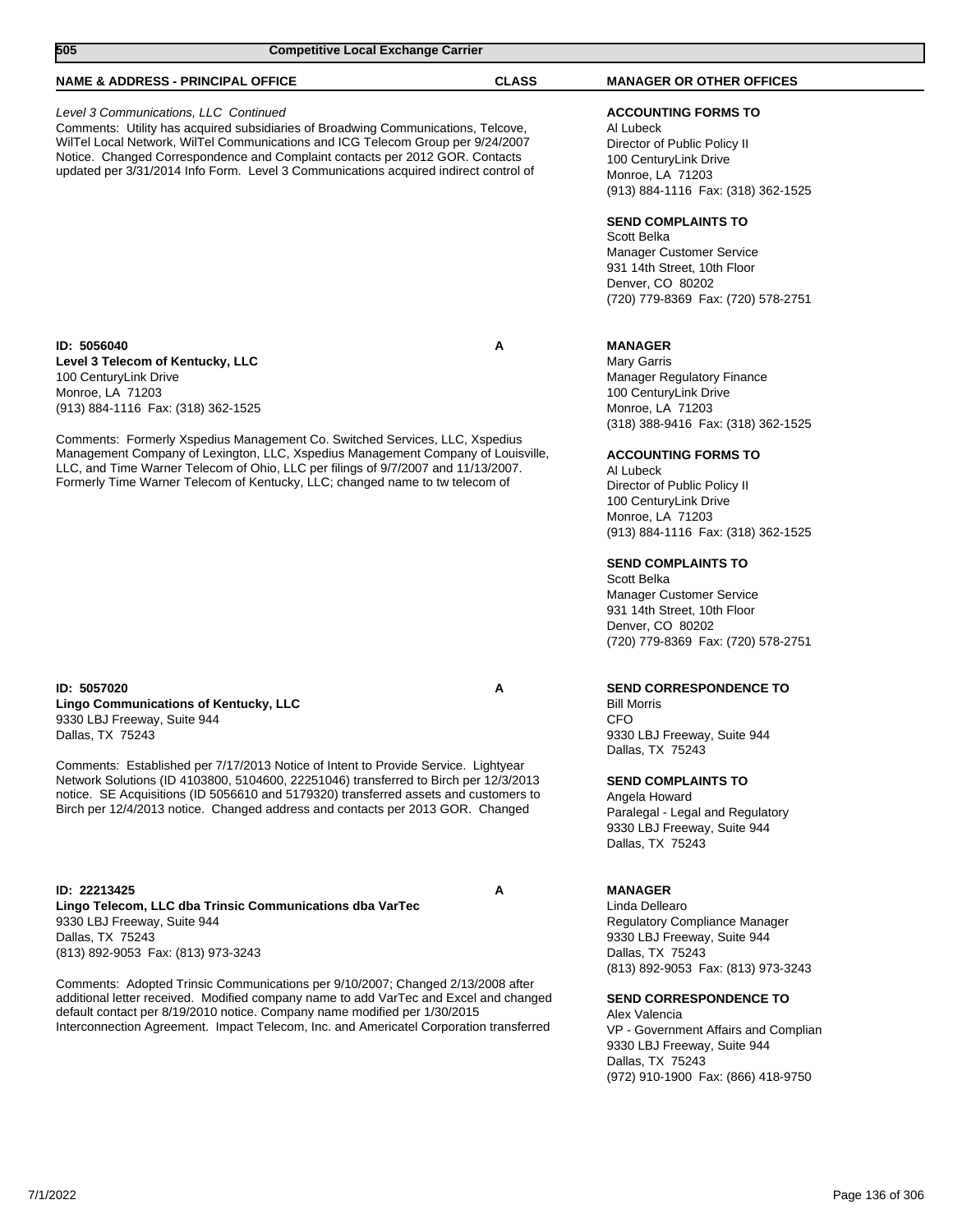| 505<br><b>Competitive Local Exchange Carrier</b>                                                                                                                                                                                                                                                                                                                                                                                                                                                                     |              |                                                                                                                                                                                                                                                                                                                                                                                                                                                                                      |  |
|----------------------------------------------------------------------------------------------------------------------------------------------------------------------------------------------------------------------------------------------------------------------------------------------------------------------------------------------------------------------------------------------------------------------------------------------------------------------------------------------------------------------|--------------|--------------------------------------------------------------------------------------------------------------------------------------------------------------------------------------------------------------------------------------------------------------------------------------------------------------------------------------------------------------------------------------------------------------------------------------------------------------------------------------|--|
| <b>NAME &amp; ADDRESS - PRINCIPAL OFFICE</b>                                                                                                                                                                                                                                                                                                                                                                                                                                                                         | <b>CLASS</b> | <b>MANAGER OR OTHER OFFICES</b>                                                                                                                                                                                                                                                                                                                                                                                                                                                      |  |
| Level 3 Communications, LLC Continued<br>Comments: Utility has acquired subsidiaries of Broadwing Communications, Telcove,<br>WilTel Local Network, WilTel Communications and ICG Telecom Group per 9/24/2007<br>Notice. Changed Correspondence and Complaint contacts per 2012 GOR. Contacts<br>updated per 3/31/2014 Info Form. Level 3 Communications acquired indirect control of                                                                                                                                |              | <b>ACCOUNTING FORMS TO</b><br>Al Lubeck<br>Director of Public Policy II<br>100 CenturyLink Drive<br>Monroe, LA 71203<br>(913) 884-1116 Fax: (318) 362-1525<br><b>SEND COMPLAINTS TO</b><br>Scott Belka<br><b>Manager Customer Service</b><br>931 14th Street, 10th Floor<br>Denver, CO 80202<br>(720) 779-8369 Fax: (720) 578-2751                                                                                                                                                   |  |
| ID: 5056040<br>Level 3 Telecom of Kentucky, LLC<br>100 CenturyLink Drive<br>Monroe, LA 71203<br>(913) 884-1116 Fax: (318) 362-1525<br>Comments: Formerly Xspedius Management Co. Switched Services, LLC, Xspedius<br>Management Company of Lexington, LLC, Xspedius Management Company of Louisville,<br>LLC, and Time Warner Telecom of Ohio, LLC per filings of 9/7/2007 and 11/13/2007.<br>Formerly Time Warner Telecom of Kentucky, LLC; changed name to tw telecom of                                           | А            | <b>MANAGER</b><br>Mary Garris<br><b>Manager Regulatory Finance</b><br>100 CenturyLink Drive<br>Monroe, LA 71203<br>(318) 388-9416 Fax: (318) 362-1525<br><b>ACCOUNTING FORMS TO</b><br>Al Lubeck<br>Director of Public Policy II<br>100 CenturyLink Drive<br>Monroe, LA 71203<br>(913) 884-1116 Fax: (318) 362-1525<br><b>SEND COMPLAINTS TO</b><br>Scott Belka<br>Manager Customer Service<br>931 14th Street, 10th Floor<br>Denver, CO 80202<br>(720) 779-8369 Fax: (720) 578-2751 |  |
| ID: 5057020<br><b>Lingo Communications of Kentucky, LLC</b><br>9330 LBJ Freeway, Suite 944<br>Dallas, TX 75243<br>Comments: Established per 7/17/2013 Notice of Intent to Provide Service. Lightyear<br>Network Solutions (ID 4103800, 5104600, 22251046) transferred to Birch per 12/3/2013<br>notice. SE Acquisitions (ID 5056610 and 5179320) transferred assets and customers to<br>Birch per 12/4/2013 notice. Changed address and contacts per 2013 GOR. Changed                                               | Α            | <b>SEND CORRESPONDENCE TO</b><br><b>Bill Morris</b><br>CFO<br>9330 LBJ Freeway, Suite 944<br>Dallas, TX 75243<br><b>SEND COMPLAINTS TO</b><br>Angela Howard<br>Paralegal - Legal and Regulatory<br>9330 LBJ Freeway, Suite 944<br>Dallas, TX 75243                                                                                                                                                                                                                                   |  |
| ID: 22213425<br>Lingo Telecom, LLC dba Trinsic Communications dba VarTec<br>9330 LBJ Freeway, Suite 944<br>Dallas, TX 75243<br>(813) 892-9053 Fax: (813) 973-3243<br>Comments: Adopted Trinsic Communications per 9/10/2007; Changed 2/13/2008 after<br>additional letter received. Modified company name to add VarTec and Excel and changed<br>default contact per 8/19/2010 notice. Company name modified per 1/30/2015<br>Interconnection Agreement. Impact Telecom, Inc. and Americatel Corporation transferred | А            | <b>MANAGER</b><br>Linda Dellearo<br>Regulatory Compliance Manager<br>9330 LBJ Freeway, Suite 944<br>Dallas, TX 75243<br>(813) 892-9053 Fax: (813) 973-3243<br><b>SEND CORRESPONDENCE TO</b><br>Alex Valencia<br>VP - Government Affairs and Complian<br>0330 LR LEreoway Suite 044                                                                                                                                                                                                   |  |

9330 LBJ Freeway, Suite 944 Dallas, TX 75243 (972) 910-1900 Fax: (866) 418-9750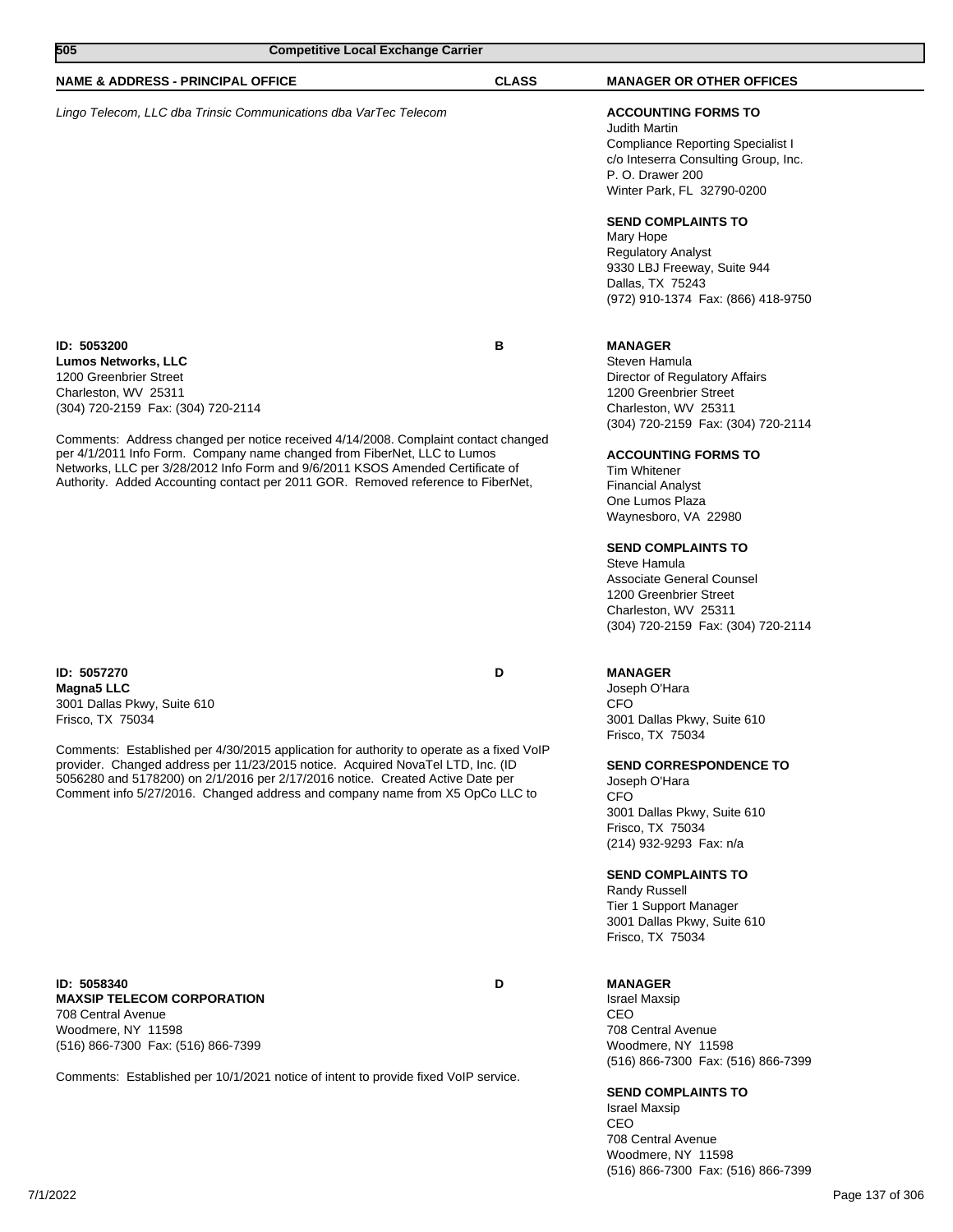| 505<br><b>Competitive Local Exchange Carrier</b>                                                                                                                                                                                                                                                                                                                                                                                                                          |              |                                                                                                                                                                                                                                                                                                                                                                                                                                                  |
|---------------------------------------------------------------------------------------------------------------------------------------------------------------------------------------------------------------------------------------------------------------------------------------------------------------------------------------------------------------------------------------------------------------------------------------------------------------------------|--------------|--------------------------------------------------------------------------------------------------------------------------------------------------------------------------------------------------------------------------------------------------------------------------------------------------------------------------------------------------------------------------------------------------------------------------------------------------|
| <b>NAME &amp; ADDRESS - PRINCIPAL OFFICE</b>                                                                                                                                                                                                                                                                                                                                                                                                                              | <b>CLASS</b> | <b>MANAGER OR OTHER OFFICES</b>                                                                                                                                                                                                                                                                                                                                                                                                                  |
| Lingo Telecom, LLC dba Trinsic Communications dba VarTec Telecom                                                                                                                                                                                                                                                                                                                                                                                                          |              | <b>ACCOUNTING FORMS TO</b><br><b>Judith Martin</b><br><b>Compliance Reporting Specialist I</b><br>c/o Inteserra Consulting Group, Inc.<br>P. O. Drawer 200<br>Winter Park, FL 32790-0200<br><b>SEND COMPLAINTS TO</b><br>Mary Hope<br><b>Regulatory Analyst</b><br>9330 LBJ Freeway, Suite 944<br>Dallas, TX 75243<br>(972) 910-1374 Fax: (866) 418-9750                                                                                         |
| ID: 5053200<br><b>Lumos Networks, LLC</b><br>1200 Greenbrier Street<br>Charleston, WV 25311<br>(304) 720-2159 Fax: (304) 720-2114<br>Comments: Address changed per notice received 4/14/2008. Complaint contact changed<br>per 4/1/2011 Info Form. Company name changed from FiberNet, LLC to Lumos<br>Networks, LLC per 3/28/2012 Info Form and 9/6/2011 KSOS Amended Certificate of<br>Authority. Added Accounting contact per 2011 GOR. Removed reference to FiberNet, | в            | <b>MANAGER</b><br>Steven Hamula<br>Director of Regulatory Affairs<br>1200 Greenbrier Street<br>Charleston, WV 25311<br>(304) 720-2159 Fax: (304) 720-2114<br><b>ACCOUNTING FORMS TO</b><br>Tim Whitener<br><b>Financial Analyst</b><br>One Lumos Plaza<br>Waynesboro, VA 22980<br><b>SEND COMPLAINTS TO</b><br>Steve Hamula<br>Associate General Counsel<br>1200 Greenbrier Street<br>Charleston, WV 25311<br>(304) 720-2159 Fax: (304) 720-2114 |
| ID: 5057270<br><b>Magna5 LLC</b><br>3001 Dallas Pkwy, Suite 610<br>Frisco, TX 75034<br>Comments: Established per 4/30/2015 application for authority to operate as a fixed VoIP<br>provider. Changed address per 11/23/2015 notice. Acquired NovaTel LTD, Inc. (ID<br>5056280 and 5178200) on 2/1/2016 per 2/17/2016 notice. Created Active Date per<br>Comment info 5/27/2016. Changed address and company name from X5 OpCo LLC to                                      | D            | <b>MANAGER</b><br>Joseph O'Hara<br><b>CFO</b><br>3001 Dallas Pkwy, Suite 610<br>Frisco, TX 75034<br><b>SEND CORRESPONDENCE TO</b><br>Joseph O'Hara<br><b>CFO</b><br>3001 Dallas Pkwy, Suite 610<br>Frisco, TX 75034<br>(214) 932-9293 Fax: n/a<br><b>SEND COMPLAINTS TO</b><br><b>Randy Russell</b><br>Tier 1 Support Manager<br>3001 Dallas Pkwy, Suite 610<br>Frisco, TX 75034                                                                 |
| ID: 5058340<br><b>MAXSIP TELECOM CORPORATION</b><br>708 Central Avenue<br>Woodmere, NY 11598<br>(516) 866-7300 Fax: (516) 866-7399<br>Comments: Established per 10/1/2021 notice of intent to provide fixed VoIP service.                                                                                                                                                                                                                                                 | D            | <b>MANAGER</b><br><b>Israel Maxsip</b><br>CEO<br>708 Central Avenue<br>Woodmere, NY 11598<br>(516) 866-7300 Fax: (516) 866-7399<br><b>SEND COMPLAINTS TO</b>                                                                                                                                                                                                                                                                                     |

Israel Maxsip CEO 708 Central Avenue Woodmere, NY 11598 (516) 866-7300 Fax: (516) 866-7399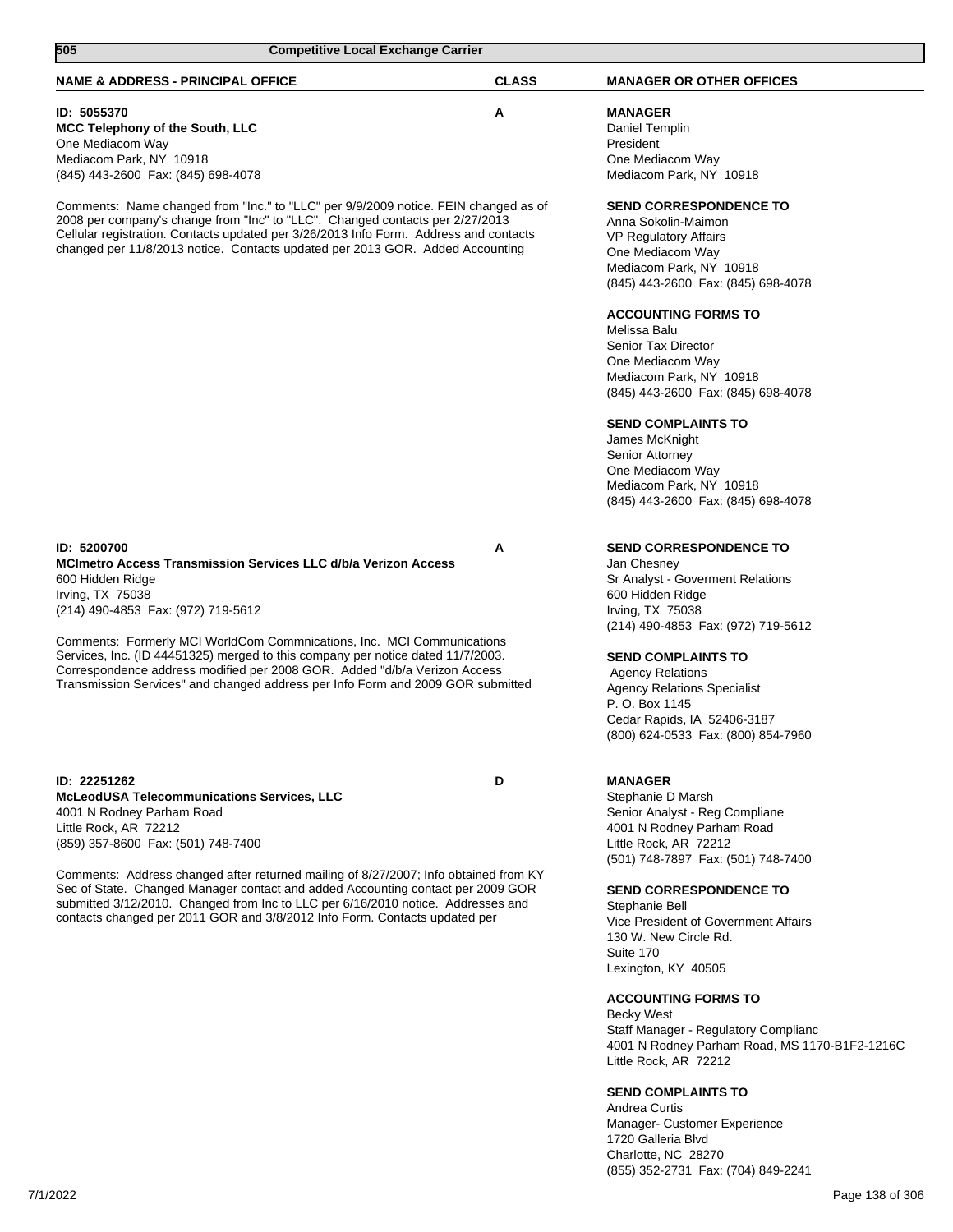| 505<br><b>Competitive Local Exchange Carrier</b>                                                                                                                                                                                                                                                                                               |              |                                                                                                                                                                                   |
|------------------------------------------------------------------------------------------------------------------------------------------------------------------------------------------------------------------------------------------------------------------------------------------------------------------------------------------------|--------------|-----------------------------------------------------------------------------------------------------------------------------------------------------------------------------------|
| <b>NAME &amp; ADDRESS - PRINCIPAL OFFICE</b>                                                                                                                                                                                                                                                                                                   | <b>CLASS</b> | <b>MANAGER OR OTHER OFFICES</b>                                                                                                                                                   |
| ID: 5055370<br>MCC Telephony of the South, LLC<br>One Mediacom Way<br>Mediacom Park, NY 10918<br>(845) 443-2600 Fax: (845) 698-4078                                                                                                                                                                                                            | Α            | <b>MANAGER</b><br>Daniel Templin<br>President<br>One Mediacom Way<br>Mediacom Park, NY 10918                                                                                      |
| Comments: Name changed from "Inc." to "LLC" per 9/9/2009 notice. FEIN changed as of<br>2008 per company's change from "Inc" to "LLC". Changed contacts per 2/27/2013<br>Cellular registration. Contacts updated per 3/26/2013 Info Form. Address and contacts<br>changed per 11/8/2013 notice. Contacts updated per 2013 GOR. Added Accounting |              | <b>SEND CORRESPONDENCE TO</b><br>Anna Sokolin-Maimon<br><b>VP Regulatory Affairs</b><br>One Mediacom Way<br>Mediacom Park, NY 10918<br>(845) 443-2600 Fax: (845) 698-4078         |
|                                                                                                                                                                                                                                                                                                                                                |              | <b>ACCOUNTING FORMS TO</b><br>Melissa Balu<br>Senior Tax Director<br>One Mediacom Way<br>Mediacom Park, NY 10918<br>(845) 443-2600 Fax: (845) 698-4078                            |
|                                                                                                                                                                                                                                                                                                                                                |              | <b>SEND COMPLAINTS TO</b><br>James McKnight<br>Senior Attorney<br>One Mediacom Way<br>Mediacom Park, NY 10918<br>(845) 443-2600 Fax: (845) 698-4078                               |
| ID: 5200700<br><b>MCImetro Access Transmission Services LLC d/b/a Verizon Access</b><br>600 Hidden Ridge<br>Irving, TX 75038<br>(214) 490-4853 Fax: (972) 719-5612                                                                                                                                                                             | Α            | <b>SEND CORRESPONDENCE TO</b><br>Jan Chesney<br>Sr Analyst - Goverment Relations<br>600 Hidden Ridge<br>Irving, TX 75038<br>(214) 490-4853 Fax: (972) 719-5612                    |
| Comments: Formerly MCI WorldCom Commnications, Inc. MCI Communications<br>Services, Inc. (ID 44451325) merged to this company per notice dated 11/7/2003.<br>Correspondence address modified per 2008 GOR. Added "d/b/a Verizon Access<br>Transmission Services" and changed address per Info Form and 2009 GOR submitted                      |              | <b>SEND COMPLAINTS TO</b><br><b>Agency Relations</b><br><b>Agency Relations Specialist</b><br>P. O. Box 1145<br>Cedar Rapids, IA 52406-3187<br>(800) 624-0533 Fax: (800) 854-7960 |
| ID: 22251262<br><b>McLeodUSA Telecommunications Services, LLC</b><br>4001 N Rodney Parham Road<br>Little Rock, AR 72212<br>(859) 357-8600 Fax: (501) 748-7400                                                                                                                                                                                  | D            | <b>MANAGER</b><br>Stephanie D Marsh<br>Senior Analyst - Reg Compliane<br>4001 N Rodney Parham Road<br>Little Rock, AR 72212<br>(501) 748-7897 Fax: (501) 748-7400                 |
| Comments: Address changed after returned mailing of 8/27/2007; Info obtained from KY<br>Sec of State. Changed Manager contact and added Accounting contact per 2009 GOR<br>submitted 3/12/2010. Changed from Inc to LLC per 6/16/2010 notice. Addresses and<br>contacts changed per 2011 GOR and 3/8/2012 Info Form. Contacts updated per      |              | <b>SEND CORRESPONDENCE TO</b><br>Stephanie Bell<br>Vice President of Government Affairs<br>130 W. New Circle Rd.<br>Suite 170<br>Lexington, KY 40505                              |
|                                                                                                                                                                                                                                                                                                                                                |              | <b>ACCOUNTING FORMS TO</b><br><b>Becky West</b><br>Staff Manager - Regulatory Complianc<br>4001 N Rodney Parham Road, MS 1170-B1F2-1216C<br>Little Rock, AR 72212                 |
|                                                                                                                                                                                                                                                                                                                                                |              | <b>SEND COMPLAINTS TO</b><br>Andrea Curtis<br>Manager- Customer Experience                                                                                                        |

1720 Galleria Blvd Charlotte, NC 28270

(855) 352-2731 Fax: (704) 849-2241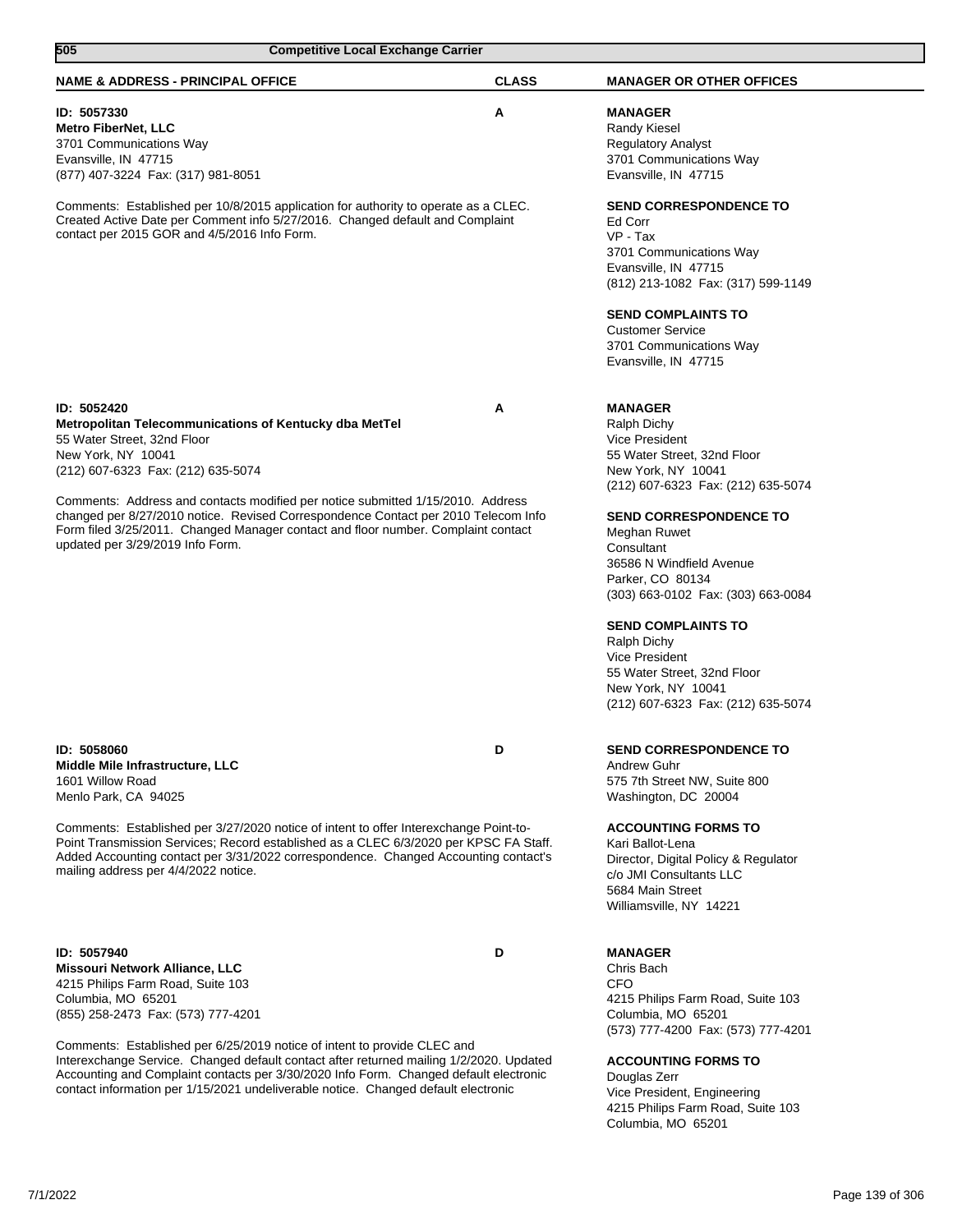| 505<br><b>Competitive Local Exchange Carrier</b>                                                                                                                                                                                                                                                                                                   |              |                                                                                                                                                                                                       |
|----------------------------------------------------------------------------------------------------------------------------------------------------------------------------------------------------------------------------------------------------------------------------------------------------------------------------------------------------|--------------|-------------------------------------------------------------------------------------------------------------------------------------------------------------------------------------------------------|
| <b>NAME &amp; ADDRESS - PRINCIPAL OFFICE</b>                                                                                                                                                                                                                                                                                                       | <b>CLASS</b> | <b>MANAGER OR OTHER OFFICES</b>                                                                                                                                                                       |
| ID: 5057330<br><b>Metro FiberNet, LLC</b><br>3701 Communications Way<br>Evansville, IN 47715<br>(877) 407-3224 Fax: (317) 981-8051                                                                                                                                                                                                                 | Α            | <b>MANAGER</b><br><b>Randy Kiesel</b><br><b>Regulatory Analyst</b><br>3701 Communications Way<br>Evansville, IN 47715                                                                                 |
| Comments: Established per 10/8/2015 application for authority to operate as a CLEC.<br>Created Active Date per Comment info 5/27/2016. Changed default and Complaint<br>contact per 2015 GOR and 4/5/2016 Info Form.                                                                                                                               |              | <b>SEND CORRESPONDENCE TO</b><br>Ed Corr<br>VP - Tax<br>3701 Communications Way<br>Evansville, IN 47715<br>(812) 213-1082 Fax: (317) 599-1149<br><b>SEND COMPLAINTS TO</b><br><b>Customer Service</b> |
|                                                                                                                                                                                                                                                                                                                                                    |              | 3701 Communications Way<br>Evansville, IN 47715                                                                                                                                                       |
| ID: 5052420<br>Metropolitan Telecommunications of Kentucky dba MetTel<br>55 Water Street, 32nd Floor<br>New York, NY 10041<br>(212) 607-6323 Fax: (212) 635-5074<br>Comments: Address and contacts modified per notice submitted 1/15/2010. Address<br>changed per 8/27/2010 notice. Revised Correspondence Contact per 2010 Telecom Info          | Α            | <b>MANAGER</b><br>Ralph Dichy<br><b>Vice President</b><br>55 Water Street, 32nd Floor<br>New York, NY 10041<br>(212) 607-6323 Fax: (212) 635-5074<br><b>SEND CORRESPONDENCE TO</b>                    |
| Form filed 3/25/2011. Changed Manager contact and floor number. Complaint contact<br>updated per 3/29/2019 Info Form.                                                                                                                                                                                                                              |              | Meghan Ruwet<br>Consultant<br>36586 N Windfield Avenue<br>Parker, CO 80134<br>(303) 663-0102 Fax: (303) 663-0084                                                                                      |
|                                                                                                                                                                                                                                                                                                                                                    |              | <b>SEND COMPLAINTS TO</b><br><b>Ralph Dichy</b><br>Vice President<br>55 Water Street, 32nd Floor<br>New York, NY 10041<br>(212) 607-6323 Fax: (212) 635-5074                                          |
| ID: 5058060<br>Middle Mile Infrastructure, LLC<br>1601 Willow Road<br>Menlo Park, CA 94025                                                                                                                                                                                                                                                         | D            | <b>SEND CORRESPONDENCE TO</b><br><b>Andrew Guhr</b><br>575 7th Street NW, Suite 800<br>Washington, DC 20004                                                                                           |
| Comments: Established per 3/27/2020 notice of intent to offer Interexchange Point-to-<br>Point Transmission Services; Record established as a CLEC 6/3/2020 per KPSC FA Staff.<br>Added Accounting contact per 3/31/2022 correspondence. Changed Accounting contact's<br>mailing address per 4/4/2022 notice.                                      |              | <b>ACCOUNTING FORMS TO</b><br>Kari Ballot-Lena<br>Director, Digital Policy & Regulator<br>c/o JMI Consultants LLC<br>5684 Main Street<br>Williamsville, NY 14221                                      |
| ID: 5057940<br>Missouri Network Alliance, LLC<br>4215 Philips Farm Road, Suite 103<br>Columbia, MO 65201<br>(855) 258-2473 Fax: (573) 777-4201                                                                                                                                                                                                     | D            | <b>MANAGER</b><br>Chris Bach<br><b>CFO</b><br>4215 Philips Farm Road, Suite 103<br>Columbia, MO 65201<br>(573) 777-4200 Fax: (573) 777-4201                                                           |
| Comments: Established per 6/25/2019 notice of intent to provide CLEC and<br>Interexchange Service. Changed default contact after returned mailing 1/2/2020. Updated<br>Accounting and Complaint contacts per 3/30/2020 Info Form. Changed default electronic<br>contact information per 1/15/2021 undeliverable notice. Changed default electronic |              | <b>ACCOUNTING FORMS TO</b><br>Douglas Zerr<br>Vice President, Engineering<br>4215 Philips Farm Road, Suite 103<br>Columbia, MO 65201                                                                  |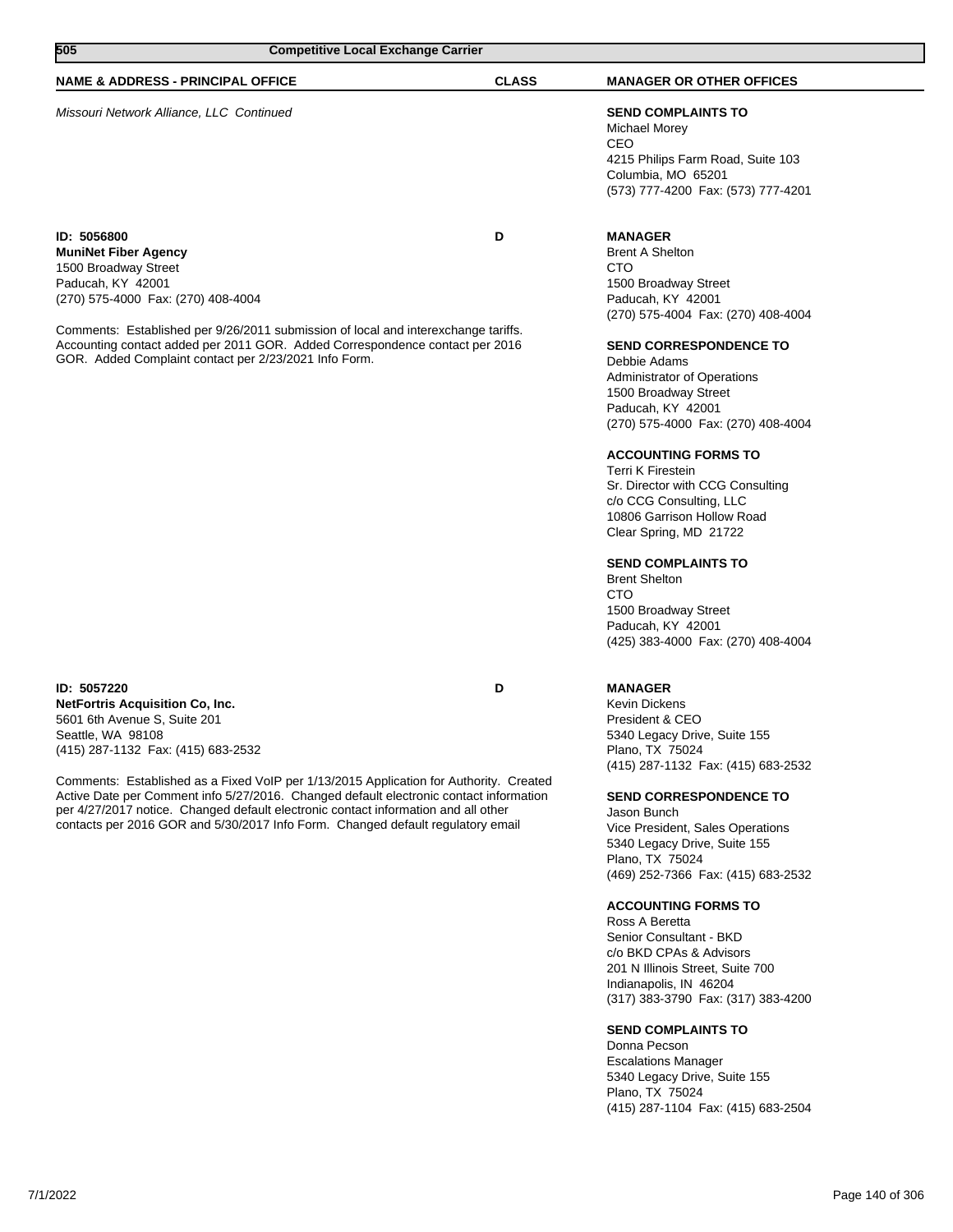| 505                                                                                                                                                                                                                         | <b>Competitive Local Exchange Carrier</b> |                                                                                                                                                    |
|-----------------------------------------------------------------------------------------------------------------------------------------------------------------------------------------------------------------------------|-------------------------------------------|----------------------------------------------------------------------------------------------------------------------------------------------------|
| <b>NAME &amp; ADDRESS - PRINCIPAL OFFICE</b>                                                                                                                                                                                | <b>CLASS</b>                              | <b>MANAGER OR OTHER OFFICES</b>                                                                                                                    |
| Missouri Network Alliance, LLC Continued                                                                                                                                                                                    |                                           | <b>SEND COMPLAINTS TO</b><br>Michael Morey<br>CEO<br>4215 Philips Farm Road, Suite 103<br>Columbia, MO 65201<br>(573) 777-4200 Fax: (573) 777-4201 |
| ID: 5056800<br><b>MuniNet Fiber Agency</b><br>1500 Broadway Street<br>Paducah, KY 42001<br>(270) 575-4000 Fax: (270) 408-4004                                                                                               | D                                         | <b>MANAGER</b><br><b>Brent A Shelton</b><br><b>CTO</b><br>1500 Broadway Street<br>Paducah, KY 42001<br>(270) 575-4004 Fax: (270) 408-4004          |
| Comments: Established per 9/26/2011 submission of local and interexchange tariffs.<br>Accounting contact added per 2011 GOR. Added Correspondence contact per 2016<br>GOR. Added Complaint contact per 2/23/2021 Info Form. |                                           | <b>SEND CORRESPONDENCE TO</b><br>Debbie Adams<br><b>Administrator of Operations</b><br>1500 Broadway Street<br>Paducah, KY 42001                   |

**ACCOUNTING FORMS TO**

Terri K Firestein Sr. Director with CCG Consulting c/o CCG Consulting, LLC 10806 Garrison Hollow Road Clear Spring, MD 21722

(270) 575-4000 Fax: (270) 408-4004

## **SEND COMPLAINTS TO**

Brent Shelton CTO 1500 Broadway Street Paducah, KY 42001 (425) 383-4000 Fax: (270) 408-4004

## **MANAGER**

Kevin Dickens President & CEO 5340 Legacy Drive, Suite 155 Plano, TX 75024 (415) 287-1132 Fax: (415) 683-2532

#### **SEND CORRESPONDENCE TO**

Jason Bunch Vice President, Sales Operations 5340 Legacy Drive, Suite 155 Plano, TX 75024 (469) 252-7366 Fax: (415) 683-2532

### **ACCOUNTING FORMS TO**

Ross A Beretta Senior Consultant - BKD c/o BKD CPAs & Advisors 201 N Illinois Street, Suite 700 Indianapolis, IN 46204 (317) 383-3790 Fax: (317) 383-4200

## **SEND COMPLAINTS TO**

Donna Pecson Escalations Manager 5340 Legacy Drive, Suite 155 Plano, TX 75024 (415) 287-1104 Fax: (415) 683-2504

**ID: 5057220 D NetFortris Acquisition Co, Inc.** 5601 6th Avenue S, Suite 201 Seattle, WA 98108 (415) 287-1132 Fax: (415) 683-2532

Comments: Established as a Fixed VoIP per 1/13/2015 Application for Authority. Created Active Date per Comment info 5/27/2016. Changed default electronic contact information per 4/27/2017 notice. Changed default electronic contact information and all other contacts per 2016 GOR and 5/30/2017 Info Form. Changed default regulatory email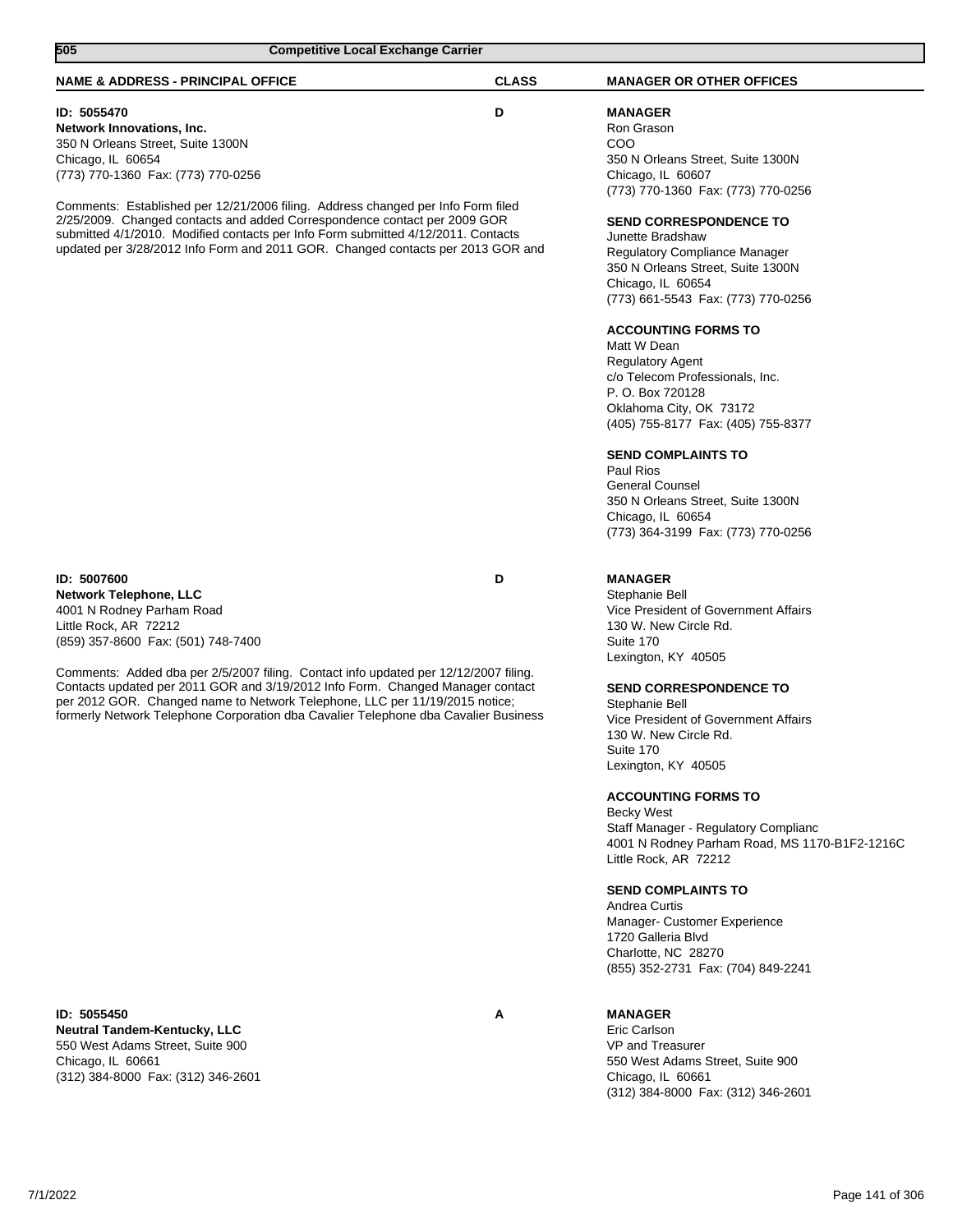| 505<br><b>Competitive Local Exchange Carrier</b>                                                                                                                                                                                                                                                                                                                                                                                                                                         |              |                                                                                                                                                                                                                                                                                                                                                                                                                                                                                                                                                                                                                                                                                               |
|------------------------------------------------------------------------------------------------------------------------------------------------------------------------------------------------------------------------------------------------------------------------------------------------------------------------------------------------------------------------------------------------------------------------------------------------------------------------------------------|--------------|-----------------------------------------------------------------------------------------------------------------------------------------------------------------------------------------------------------------------------------------------------------------------------------------------------------------------------------------------------------------------------------------------------------------------------------------------------------------------------------------------------------------------------------------------------------------------------------------------------------------------------------------------------------------------------------------------|
| <b>NAME &amp; ADDRESS - PRINCIPAL OFFICE</b>                                                                                                                                                                                                                                                                                                                                                                                                                                             | <b>CLASS</b> | <b>MANAGER OR OTHER OFFICES</b>                                                                                                                                                                                                                                                                                                                                                                                                                                                                                                                                                                                                                                                               |
| ID: 5055470<br>Network Innovations, Inc.<br>350 N Orleans Street, Suite 1300N<br>Chicago, IL 60654<br>(773) 770-1360 Fax: (773) 770-0256<br>Comments: Established per 12/21/2006 filing. Address changed per Info Form filed<br>2/25/2009. Changed contacts and added Correspondence contact per 2009 GOR<br>submitted 4/1/2010. Modified contacts per Info Form submitted 4/12/2011. Contacts<br>updated per 3/28/2012 Info Form and 2011 GOR. Changed contacts per 2013 GOR and        | D            | <b>MANAGER</b><br>Ron Grason<br>COO<br>350 N Orleans Street, Suite 1300N<br>Chicago, IL 60607<br>(773) 770-1360 Fax: (773) 770-0256<br><b>SEND CORRESPONDENCE TO</b><br>Junette Bradshaw<br>Regulatory Compliance Manager<br>350 N Orleans Street, Suite 1300N<br>Chicago, IL 60654<br>(773) 661-5543 Fax: (773) 770-0256<br><b>ACCOUNTING FORMS TO</b><br>Matt W Dean<br><b>Regulatory Agent</b><br>c/o Telecom Professionals, Inc.<br>P. O. Box 720128<br>Oklahoma City, OK 73172<br>(405) 755-8177 Fax: (405) 755-8377<br><b>SEND COMPLAINTS TO</b><br>Paul Rios<br><b>General Counsel</b><br>350 N Orleans Street, Suite 1300N<br>Chicago, IL 60654<br>(773) 364-3199 Fax: (773) 770-0256 |
| ID: 5007600<br><b>Network Telephone, LLC</b><br>4001 N Rodney Parham Road<br>Little Rock, AR 72212<br>(859) 357-8600 Fax: (501) 748-7400<br>Comments: Added dba per 2/5/2007 filing. Contact info updated per 12/12/2007 filing.<br>Contacts updated per 2011 GOR and 3/19/2012 Info Form. Changed Manager contact<br>per 2012 GOR. Changed name to Network Telephone, LLC per 11/19/2015 notice;<br>formerly Network Telephone Corporation dba Cavalier Telephone dba Cavalier Business | D            | <b>MANAGER</b><br>Stephanie Bell<br>Vice President of Government Affairs<br>130 W. New Circle Rd.<br>Suite 170<br>Lexington, KY 40505<br><b>SEND CORRESPONDENCE TO</b><br>Stephanie Bell<br>Vice President of Government Affairs<br>130 W. New Circle Rd.<br>Suite 170<br>Lexington, KY 40505<br><b>ACCOUNTING FORMS TO</b><br><b>Becky West</b><br>Staff Manager - Regulatory Complianc<br>4001 N Rodney Parham Road, MS 1170-B1F2-1216C<br>Little Rock, AR 72212<br><b>SEND COMPLAINTS TO</b><br>Andrea Curtis<br>Manager- Customer Experience<br>1720 Galleria Blvd<br>Charlotte, NC 28270<br>(855) 352-2731 Fax: (704) 849-2241                                                           |
| ID: 5055450<br><b>Neutral Tandem-Kentucky, LLC</b><br>550 West Adams Street, Suite 900<br>Chicago, IL 60661<br>(312) 384-8000 Fax: (312) 346-2601                                                                                                                                                                                                                                                                                                                                        | A            | <b>MANAGER</b><br>Eric Carlson<br><b>VP and Treasurer</b><br>550 West Adams Street, Suite 900<br>Chicago, IL 60661<br>(312) 384-8000 Fax: (312) 346-2601                                                                                                                                                                                                                                                                                                                                                                                                                                                                                                                                      |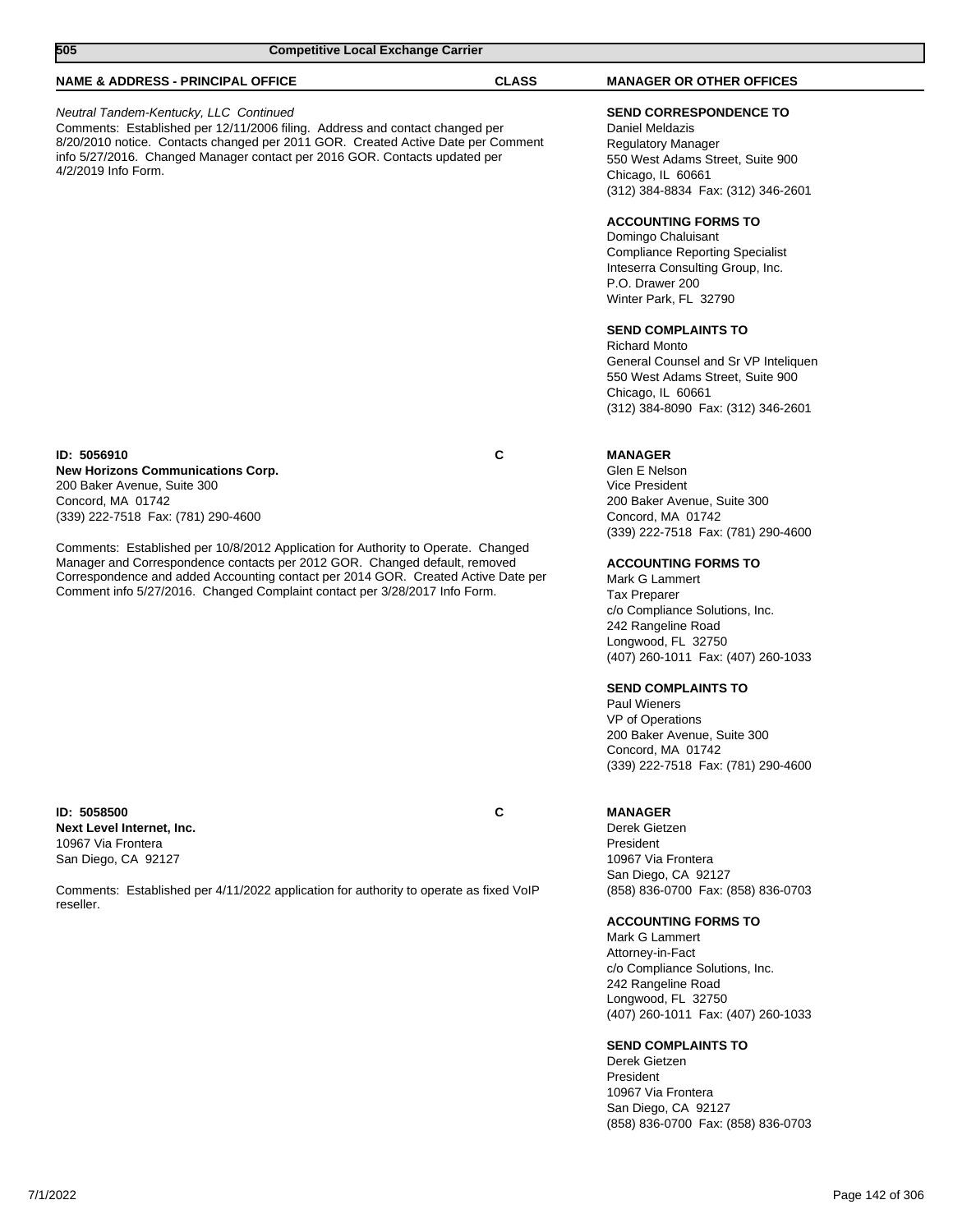| 505<br><b>Competitive Local Exchange Carrier</b> |                                                                                                                                                                                                         |                                                                                                                                                                                                                                                                                                                                                                                                                                                                                                                                                                                                                                                                                |
|--------------------------------------------------|---------------------------------------------------------------------------------------------------------------------------------------------------------------------------------------------------------|--------------------------------------------------------------------------------------------------------------------------------------------------------------------------------------------------------------------------------------------------------------------------------------------------------------------------------------------------------------------------------------------------------------------------------------------------------------------------------------------------------------------------------------------------------------------------------------------------------------------------------------------------------------------------------|
|                                                  | <b>CLASS</b>                                                                                                                                                                                            | <b>MANAGER OR OTHER OFFICES</b>                                                                                                                                                                                                                                                                                                                                                                                                                                                                                                                                                                                                                                                |
|                                                  |                                                                                                                                                                                                         | <b>SEND CORRESPONDENCE TO</b><br>Daniel Meldazis<br><b>Regulatory Manager</b><br>550 West Adams Street, Suite 900<br>Chicago, IL 60661<br>(312) 384-8834 Fax: (312) 346-2601<br><b>ACCOUNTING FORMS TO</b><br>Domingo Chaluisant<br><b>Compliance Reporting Specialist</b><br>Inteserra Consulting Group, Inc.<br>P.O. Drawer 200<br>Winter Park, FL 32790<br><b>SEND COMPLAINTS TO</b><br><b>Richard Monto</b><br>General Counsel and Sr VP Inteliquen<br>550 West Adams Street, Suite 900<br>Chicago, IL 60661<br>(312) 384-8090 Fax: (312) 346-2601                                                                                                                         |
|                                                  | C                                                                                                                                                                                                       | <b>MANAGER</b><br>Glen E Nelson<br><b>Vice President</b><br>200 Baker Avenue, Suite 300<br>Concord, MA 01742<br>(339) 222-7518 Fax: (781) 290-4600<br><b>ACCOUNTING FORMS TO</b><br>Mark G Lammert<br><b>Tax Preparer</b><br>c/o Compliance Solutions, Inc.<br>242 Rangeline Road<br>Longwood, FL 32750<br>(407) 260-1011 Fax: (407) 260-1033<br><b>SEND COMPLAINTS TO</b><br><b>Paul Wieners</b><br>VP of Operations<br>200 Baker Avenue, Suite 300<br>Concord, MA 01742<br>(339) 222-7518 Fax: (781) 290-4600                                                                                                                                                                |
|                                                  | C                                                                                                                                                                                                       | <b>MANAGER</b><br>Derek Gietzen<br>President<br>10967 Via Frontera<br>San Diego, CA 92127<br>(858) 836-0700 Fax: (858) 836-0703<br><b>ACCOUNTING FORMS TO</b><br>Mark G Lammert<br>Attorney-in-Fact<br>c/o Compliance Solutions, Inc.<br>242 Rangeline Road<br>Longwood, FL 32750<br>(407) 260-1011 Fax: (407) 260-1033<br><b>SEND COMPLAINTS TO</b><br>Derek Gietzen                                                                                                                                                                                                                                                                                                          |
|                                                  | <b>NAME &amp; ADDRESS - PRINCIPAL OFFICE</b><br>Neutral Tandem-Kentucky, LLC Continued<br><b>New Horizons Communications Corp.</b><br>200 Baker Avenue, Suite 300<br>(339) 222-7518 Fax: (781) 290-4600 | Comments: Established per 12/11/2006 filing. Address and contact changed per<br>8/20/2010 notice. Contacts changed per 2011 GOR. Created Active Date per Comment<br>info 5/27/2016. Changed Manager contact per 2016 GOR. Contacts updated per<br>Comments: Established per 10/8/2012 Application for Authority to Operate. Changed<br>Manager and Correspondence contacts per 2012 GOR. Changed default, removed<br>Correspondence and added Accounting contact per 2014 GOR. Created Active Date per<br>Comment info 5/27/2016. Changed Complaint contact per 3/28/2017 Info Form.<br>Comments: Established per 4/11/2022 application for authority to operate as fixed VoIP |

San Diego, CA 92127

(858) 836-0700 Fax: (858) 836-0703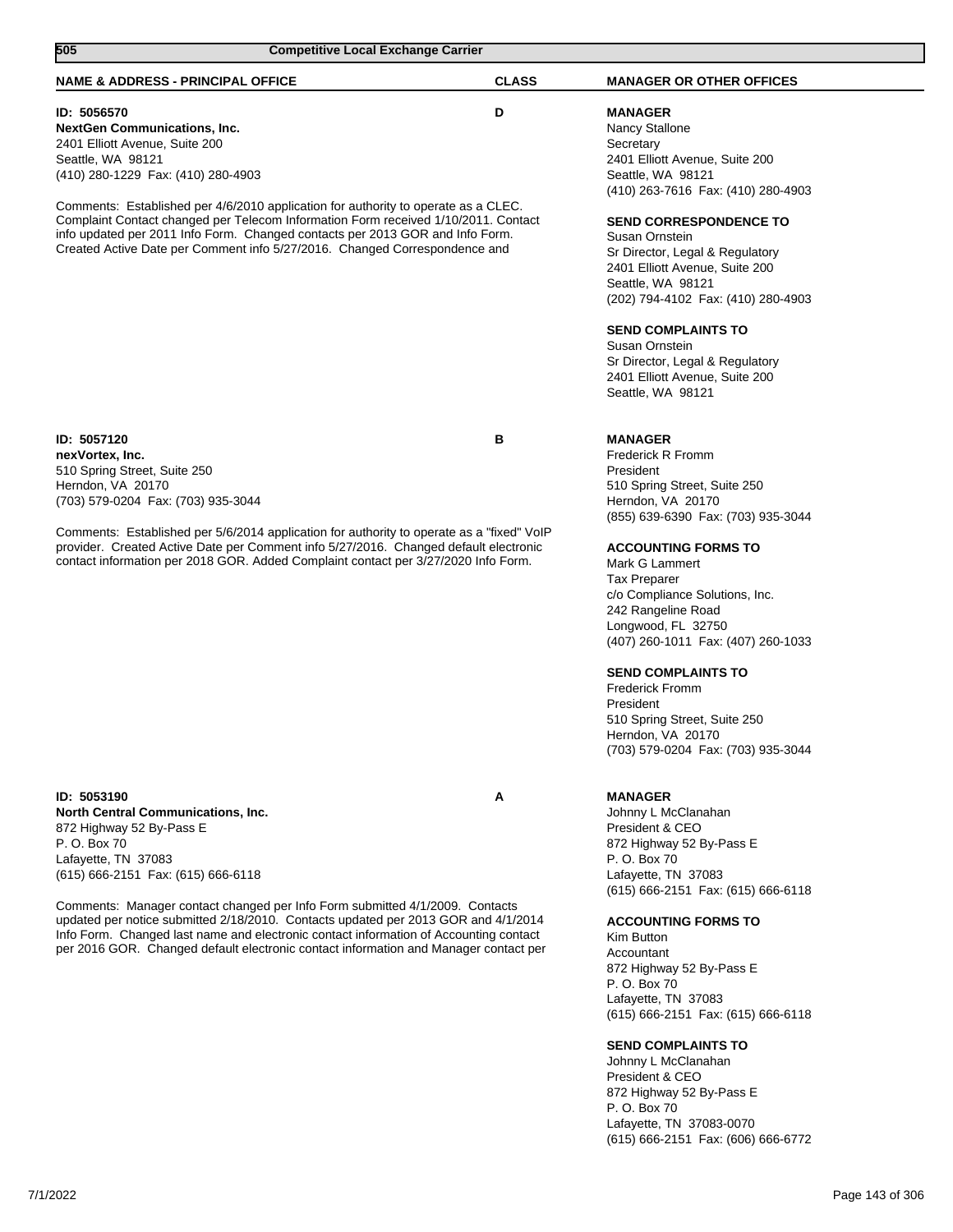| 505<br><b>Competitive Local Exchange Carrier</b>                                                                                                                                                                                                                                                                                                                                                                                                                                                                         |              |                                                                                                                                                                                                                                                                                                                                                                                                                                                                                                                                   |
|--------------------------------------------------------------------------------------------------------------------------------------------------------------------------------------------------------------------------------------------------------------------------------------------------------------------------------------------------------------------------------------------------------------------------------------------------------------------------------------------------------------------------|--------------|-----------------------------------------------------------------------------------------------------------------------------------------------------------------------------------------------------------------------------------------------------------------------------------------------------------------------------------------------------------------------------------------------------------------------------------------------------------------------------------------------------------------------------------|
| <b>NAME &amp; ADDRESS - PRINCIPAL OFFICE</b>                                                                                                                                                                                                                                                                                                                                                                                                                                                                             | <b>CLASS</b> | <b>MANAGER OR OTHER OFFICES</b>                                                                                                                                                                                                                                                                                                                                                                                                                                                                                                   |
| ID: 5056570<br><b>NextGen Communications, Inc.</b><br>2401 Elliott Avenue, Suite 200<br>Seattle, WA 98121<br>(410) 280-1229 Fax: (410) 280-4903<br>Comments: Established per 4/6/2010 application for authority to operate as a CLEC.<br>Complaint Contact changed per Telecom Information Form received 1/10/2011. Contact<br>info updated per 2011 Info Form. Changed contacts per 2013 GOR and Info Form.<br>Created Active Date per Comment info 5/27/2016. Changed Correspondence and                               | D            | <b>MANAGER</b><br>Nancy Stallone<br>Secretary<br>2401 Elliott Avenue, Suite 200<br>Seattle, WA 98121<br>(410) 263-7616 Fax: (410) 280-4903<br><b>SEND CORRESPONDENCE TO</b><br>Susan Ornstein<br>Sr Director, Legal & Regulatory<br>2401 Elliott Avenue, Suite 200<br>Seattle, WA 98121<br>(202) 794-4102 Fax: (410) 280-4903<br><b>SEND COMPLAINTS TO</b><br>Susan Ornstein<br>Sr Director, Legal & Regulatory<br>2401 Elliott Avenue, Suite 200                                                                                 |
| ID: 5057120<br>nexVortex, Inc.<br>510 Spring Street, Suite 250<br>Herndon, VA 20170<br>(703) 579-0204 Fax: (703) 935-3044<br>Comments: Established per 5/6/2014 application for authority to operate as a "fixed" VoIP<br>provider. Created Active Date per Comment info 5/27/2016. Changed default electronic<br>contact information per 2018 GOR. Added Complaint contact per 3/27/2020 Info Form.                                                                                                                     | B            | Seattle, WA 98121<br><b>MANAGER</b><br><b>Frederick R Fromm</b><br>President<br>510 Spring Street, Suite 250<br>Herndon, VA 20170<br>(855) 639-6390 Fax: (703) 935-3044<br><b>ACCOUNTING FORMS TO</b><br>Mark G Lammert<br><b>Tax Preparer</b><br>c/o Compliance Solutions, Inc.<br>242 Rangeline Road<br>Longwood, FL 32750<br>(407) 260-1011 Fax: (407) 260-1033<br><b>SEND COMPLAINTS TO</b><br><b>Frederick Fromm</b><br>President<br>510 Spring Street, Suite 250<br>Herndon, VA 20170<br>(703) 579-0204 Fax: (703) 935-3044 |
| ID: 5053190<br><b>North Central Communications, Inc.</b><br>872 Highway 52 By-Pass E<br>P. O. Box 70<br>Lafayette, TN 37083<br>(615) 666-2151 Fax: (615) 666-6118<br>Comments: Manager contact changed per Info Form submitted 4/1/2009. Contacts<br>updated per notice submitted 2/18/2010. Contacts updated per 2013 GOR and 4/1/2014<br>Info Form. Changed last name and electronic contact information of Accounting contact<br>per 2016 GOR. Changed default electronic contact information and Manager contact per | Α            | <b>MANAGER</b><br>Johnny L McClanahan<br>President & CEO<br>872 Highway 52 By-Pass E<br>P. O. Box 70<br>Lafayette, TN 37083<br>(615) 666-2151 Fax: (615) 666-6118<br><b>ACCOUNTING FORMS TO</b><br>Kim Button<br>Accountant<br>872 Highway 52 By-Pass E<br>P. O. Box 70<br>Lafayette, TN 37083<br>(615) 666-2151 Fax: (615) 666-6118<br><b>SEND COMPLAINTS TO</b><br>Johnny L McClanahan<br>President & CEO<br>872 Highway 52 By-Pass E                                                                                           |

P. O. Box 70 Lafayette, TN 37083-0070 (615) 666-2151 Fax: (606) 666-6772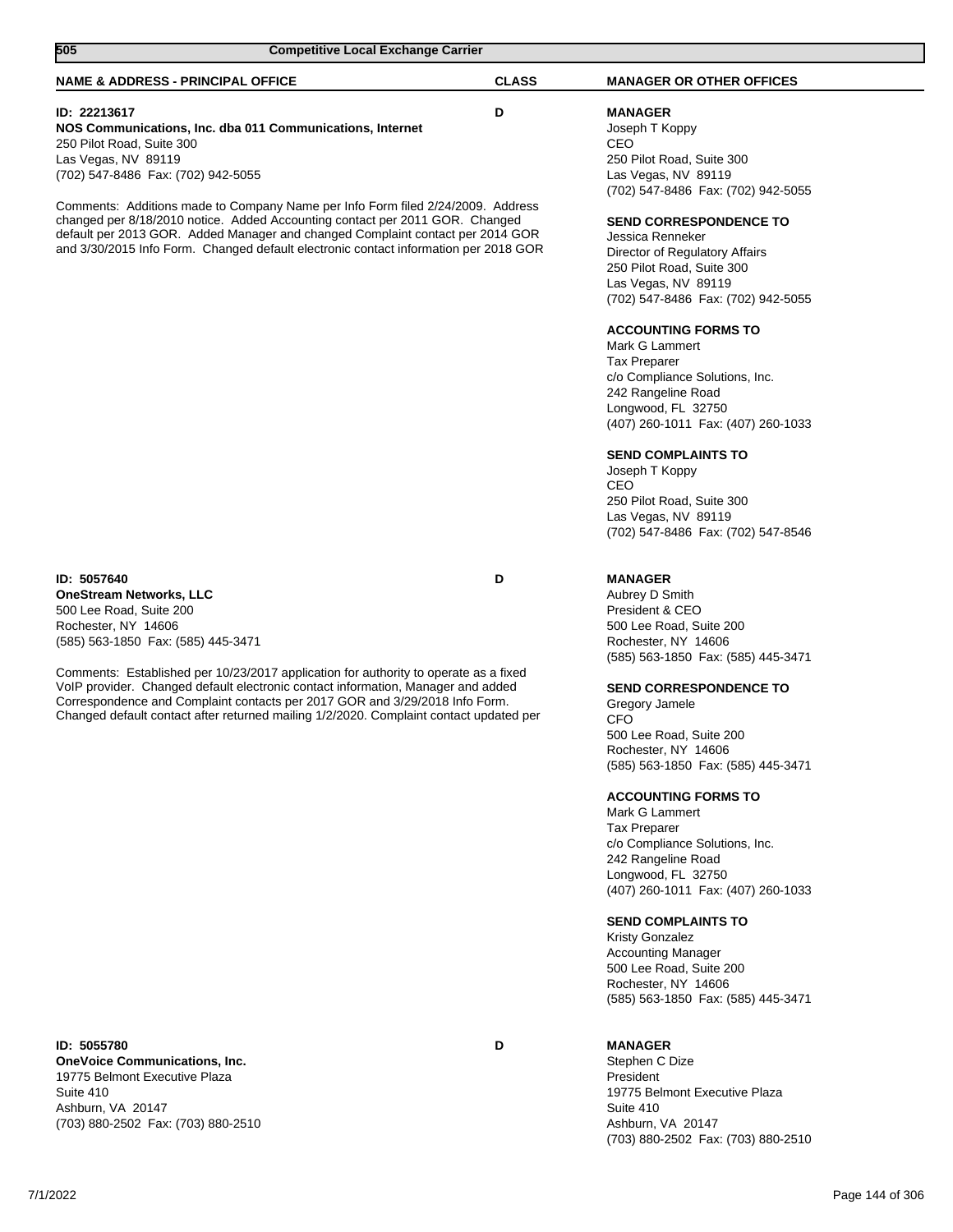| 505<br><b>Competitive Local Exchange Carrier</b>                                                                                                                                                                                                                                                                                                                                                                                                                                           |              |                                                                                                                                                                                                                                                                                                                                                                                                                                                                                                                                                                                                                                                                      |
|--------------------------------------------------------------------------------------------------------------------------------------------------------------------------------------------------------------------------------------------------------------------------------------------------------------------------------------------------------------------------------------------------------------------------------------------------------------------------------------------|--------------|----------------------------------------------------------------------------------------------------------------------------------------------------------------------------------------------------------------------------------------------------------------------------------------------------------------------------------------------------------------------------------------------------------------------------------------------------------------------------------------------------------------------------------------------------------------------------------------------------------------------------------------------------------------------|
| <b>NAME &amp; ADDRESS - PRINCIPAL OFFICE</b>                                                                                                                                                                                                                                                                                                                                                                                                                                               | <b>CLASS</b> | <b>MANAGER OR OTHER OFFICES</b>                                                                                                                                                                                                                                                                                                                                                                                                                                                                                                                                                                                                                                      |
| <b>ID: 22213617</b><br>NOS Communications, Inc. dba 011 Communications, Internet<br>250 Pilot Road, Suite 300<br>Las Vegas, NV 89119<br>(702) 547-8486 Fax: (702) 942-5055                                                                                                                                                                                                                                                                                                                 | D            | <b>MANAGER</b><br>Joseph T Koppy<br>CEO<br>250 Pilot Road, Suite 300<br>Las Vegas, NV 89119<br>(702) 547-8486 Fax: (702) 942-5055                                                                                                                                                                                                                                                                                                                                                                                                                                                                                                                                    |
| Comments: Additions made to Company Name per Info Form filed 2/24/2009. Address<br>changed per 8/18/2010 notice. Added Accounting contact per 2011 GOR. Changed<br>default per 2013 GOR. Added Manager and changed Complaint contact per 2014 GOR<br>and 3/30/2015 Info Form. Changed default electronic contact information per 2018 GOR                                                                                                                                                  |              | <b>SEND CORRESPONDENCE TO</b><br>Jessica Renneker<br>Director of Regulatory Affairs<br>250 Pilot Road, Suite 300<br>Las Vegas, NV 89119<br>(702) 547-8486 Fax: (702) 942-5055<br><b>ACCOUNTING FORMS TO</b><br>Mark G Lammert<br><b>Tax Preparer</b><br>c/o Compliance Solutions, Inc.<br>242 Rangeline Road<br>Longwood, FL 32750<br>(407) 260-1011 Fax: (407) 260-1033<br><b>SEND COMPLAINTS TO</b><br>Joseph T Koppy<br>CEO<br>250 Pilot Road, Suite 300<br>Las Vegas, NV 89119<br>(702) 547-8486 Fax: (702) 547-8546                                                                                                                                             |
| ID: 5057640<br><b>OneStream Networks, LLC</b><br>500 Lee Road, Suite 200<br>Rochester, NY 14606<br>(585) 563-1850 Fax: (585) 445-3471<br>Comments: Established per 10/23/2017 application for authority to operate as a fixed<br>VoIP provider. Changed default electronic contact information, Manager and added<br>Correspondence and Complaint contacts per 2017 GOR and 3/29/2018 Info Form.<br>Changed default contact after returned mailing 1/2/2020. Complaint contact updated per | D            | <b>MANAGER</b><br>Aubrey D Smith<br>President & CEO<br>500 Lee Road, Suite 200<br>Rochester, NY 14606<br>(585) 563-1850 Fax: (585) 445-3471<br><b>SEND CORRESPONDENCE TO</b><br>Gregory Jamele<br>CFO<br>500 Lee Road, Suite 200<br>Rochester, NY 14606<br>(585) 563-1850 Fax: (585) 445-3471<br><b>ACCOUNTING FORMS TO</b><br>Mark G Lammert<br><b>Tax Preparer</b><br>c/o Compliance Solutions, Inc.<br>242 Rangeline Road<br>Longwood, FL 32750<br>(407) 260-1011 Fax: (407) 260-1033<br><b>SEND COMPLAINTS TO</b><br><b>Kristy Gonzalez</b><br><b>Accounting Manager</b><br>500 Lee Road, Suite 200<br>Rochester, NY 14606<br>(585) 563-1850 Fax: (585) 445-3471 |
| ID: 5055780<br><b>OneVoice Communications, Inc.</b><br>19775 Belmont Executive Plaza                                                                                                                                                                                                                                                                                                                                                                                                       | D            | <b>MANAGER</b><br>Stephen C Dize<br>President                                                                                                                                                                                                                                                                                                                                                                                                                                                                                                                                                                                                                        |

19775 Belmont Executive Plaza Suite 410 Ashburn, VA 20147 (703) 880-2502 Fax: (703) 880-2510

President 19775 Belmont Executive Plaza Suite 410 Ashburn, VA 20147 (703) 880-2502 Fax: (703) 880-2510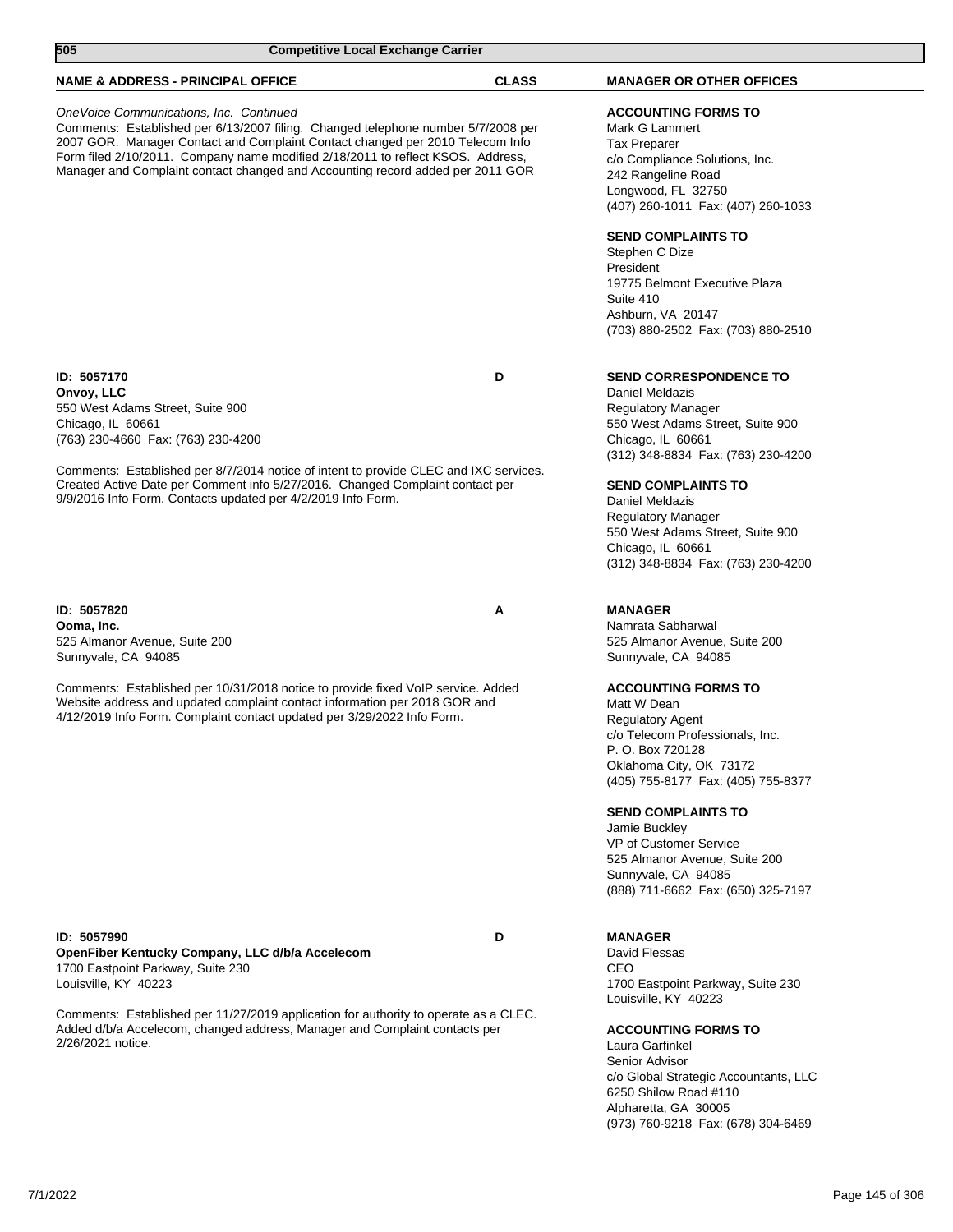| 505                                                                                                                                                                                      | <b>Competitive Local Exchange Carrier</b>                                                                                                                                                                                                                                                                                               |              |                                                                                                                                                                                                                                                                                                                                                                    |
|------------------------------------------------------------------------------------------------------------------------------------------------------------------------------------------|-----------------------------------------------------------------------------------------------------------------------------------------------------------------------------------------------------------------------------------------------------------------------------------------------------------------------------------------|--------------|--------------------------------------------------------------------------------------------------------------------------------------------------------------------------------------------------------------------------------------------------------------------------------------------------------------------------------------------------------------------|
| <b>NAME &amp; ADDRESS - PRINCIPAL OFFICE</b>                                                                                                                                             |                                                                                                                                                                                                                                                                                                                                         | <b>CLASS</b> | <b>MANAGER OR OTHER OFFICES</b>                                                                                                                                                                                                                                                                                                                                    |
| OneVoice Communications, Inc. Continued                                                                                                                                                  | Comments: Established per 6/13/2007 filing. Changed telephone number 5/7/2008 per<br>2007 GOR. Manager Contact and Complaint Contact changed per 2010 Telecom Info<br>Form filed 2/10/2011. Company name modified 2/18/2011 to reflect KSOS. Address,<br>Manager and Complaint contact changed and Accounting record added per 2011 GOR |              | <b>ACCOUNTING FORMS TO</b><br>Mark G Lammert<br><b>Tax Preparer</b><br>c/o Compliance Solutions, Inc.<br>242 Rangeline Road<br>Longwood, FL 32750<br>(407) 260-1011 Fax: (407) 260-1033<br><b>SEND COMPLAINTS TO</b><br>Stephen C Dize<br>President<br>19775 Belmont Executive Plaza<br>Suite 410<br>Ashburn, VA 20147                                             |
|                                                                                                                                                                                          |                                                                                                                                                                                                                                                                                                                                         |              | (703) 880-2502 Fax: (703) 880-2510                                                                                                                                                                                                                                                                                                                                 |
| ID: 5057170<br>Onvoy, LLC<br>550 West Adams Street, Suite 900<br>Chicago, IL 60661<br>(763) 230-4660 Fax: (763) 230-4200<br>9/9/2016 Info Form. Contacts updated per 4/2/2019 Info Form. | Comments: Established per 8/7/2014 notice of intent to provide CLEC and IXC services.<br>Created Active Date per Comment info 5/27/2016. Changed Complaint contact per                                                                                                                                                                  | D            | <b>SEND CORRESPONDENCE TO</b><br>Daniel Meldazis<br><b>Regulatory Manager</b><br>550 West Adams Street, Suite 900<br>Chicago, IL 60661<br>(312) 348-8834 Fax: (763) 230-4200<br><b>SEND COMPLAINTS TO</b><br>Daniel Meldazis<br><b>Regulatory Manager</b><br>550 West Adams Street, Suite 900<br>Chicago, IL 60661                                                 |
| ID: 5057820<br>Ooma, Inc.<br>525 Almanor Avenue, Suite 200<br>Sunnyvale, CA 94085                                                                                                        |                                                                                                                                                                                                                                                                                                                                         | Α            | <b>MANAGER</b><br>Namrata Sabharwal<br>525 Almanor Avenue, Suite 200<br>Sunnyvale, CA 94085                                                                                                                                                                                                                                                                        |
|                                                                                                                                                                                          | Comments: Established per 10/31/2018 notice to provide fixed VoIP service. Added<br>Website address and updated complaint contact information per 2018 GOR and<br>4/12/2019 Info Form. Complaint contact updated per 3/29/2022 Info Form.                                                                                               |              | <b>ACCOUNTING FORMS TO</b><br>Matt W Dean<br><b>Regulatory Agent</b><br>c/o Telecom Professionals, Inc.<br>P. O. Box 720128<br>Oklahoma City, OK 73172<br>(405) 755-8177 Fax: (405) 755-8377<br><b>SEND COMPLAINTS TO</b><br>Jamie Buckley<br>VP of Customer Service<br>525 Almanor Avenue, Suite 200<br>Sunnyvale, CA 94085<br>(888) 711-6662 Fax: (650) 325-7197 |
| ID: 5057990<br>OpenFiber Kentucky Company, LLC d/b/a Accelecom<br>1700 Eastpoint Parkway, Suite 230<br>Louisville, KY 40223                                                              |                                                                                                                                                                                                                                                                                                                                         | D            | <b>MANAGER</b><br>David Flessas<br>CEO<br>1700 Eastpoint Parkway, Suite 230                                                                                                                                                                                                                                                                                        |
| 2/26/2021 notice.                                                                                                                                                                        | Comments: Established per 11/27/2019 application for authority to operate as a CLEC.<br>Added d/b/a Accelecom, changed address, Manager and Complaint contacts per                                                                                                                                                                      |              | Louisville, KY 40223<br><b>ACCOUNTING FORMS TO</b><br>Laura Garfinkel<br>Senior Advisor<br>c/o Global Strategic Accountants, LLC<br>6250 Shilow Road #110<br>Alpharetta, GA 30005                                                                                                                                                                                  |

7/1/2022 Page 145 of 306

(973) 760-9218 Fax: (678) 304-6469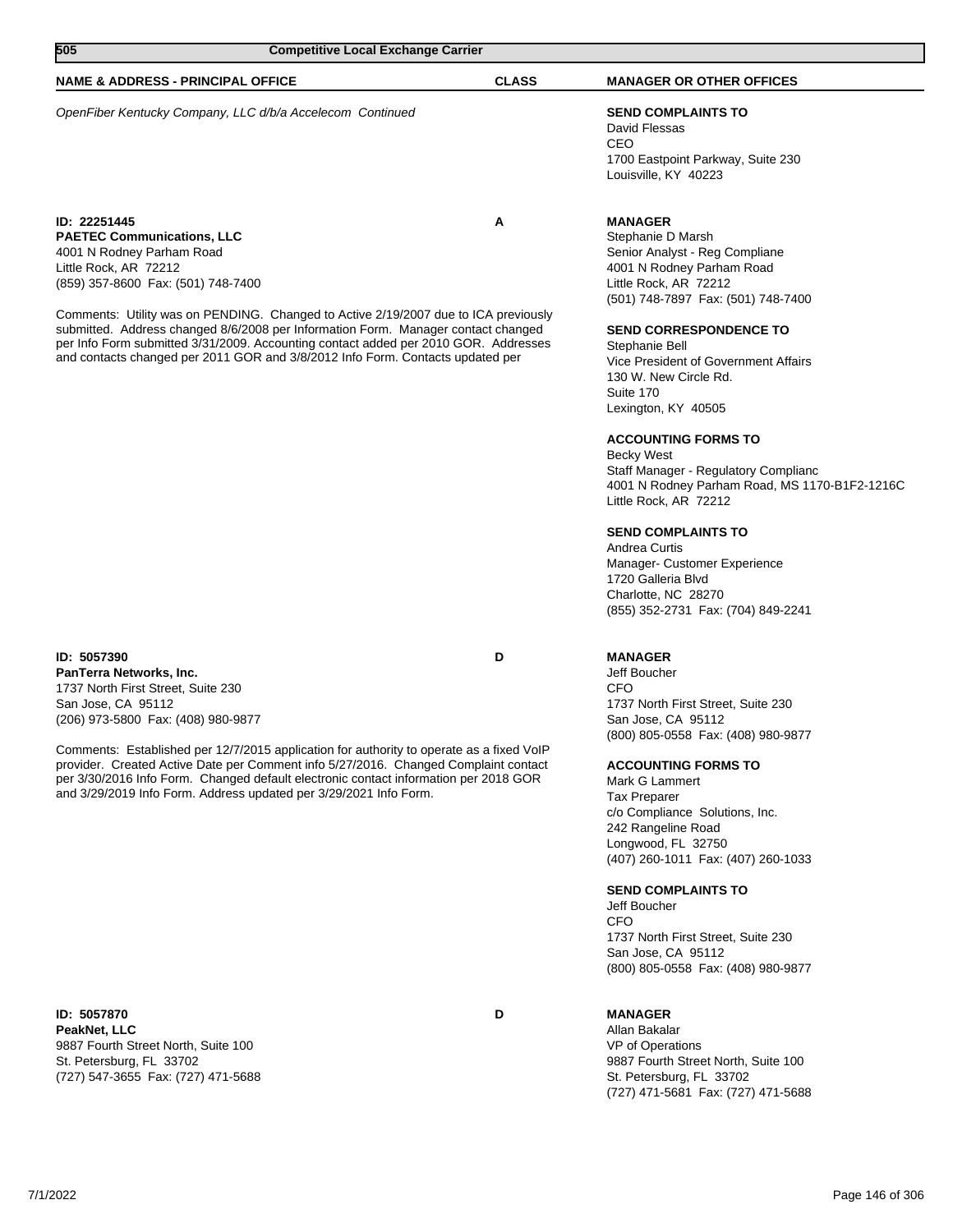| 505                                                                                                                                                                      | <b>Competitive Local Exchange Carrier</b> |                                                           |  |
|--------------------------------------------------------------------------------------------------------------------------------------------------------------------------|-------------------------------------------|-----------------------------------------------------------|--|
| <b>NAME &amp; ADDRESS - PRINCIPAL OFFICE</b>                                                                                                                             | <b>CLASS</b>                              | <b>MANAGER OR OTHER OFFICES</b>                           |  |
| OpenFiber Kentucky Company, LLC d/b/a Accelecom Continued                                                                                                                |                                           | <b>SEND COMPLAINTS TO</b><br>David Flessas<br>CEO         |  |
|                                                                                                                                                                          |                                           | 1700 Eastpoint Parkway, Suite 230<br>Louisville, KY 40223 |  |
| ID: 22251445                                                                                                                                                             | А                                         | <b>MANAGER</b>                                            |  |
| <b>PAETEC Communications, LLC</b>                                                                                                                                        |                                           | Stephanie D Marsh                                         |  |
| 4001 N Rodney Parham Road                                                                                                                                                |                                           | Senior Analyst - Reg Compliane                            |  |
| Little Rock, AR 72212                                                                                                                                                    |                                           | 4001 N Rodney Parham Road                                 |  |
| (859) 357-8600 Fax: (501) 748-7400                                                                                                                                       |                                           | Little Rock, AR 72212                                     |  |
|                                                                                                                                                                          |                                           | (501) 748-7897 Fax: (501) 748-7400                        |  |
| Comments: Utility was on PENDING. Changed to Active 2/19/2007 due to ICA previously                                                                                      |                                           |                                                           |  |
| submitted. Address changed 8/6/2008 per Information Form. Manager contact changed<br>per Info Form submitted 3/31/2009. Accounting contact added per 2010 GOR. Addresses |                                           | <b>SEND CORRESPONDENCE TO</b><br>Stephanie Bell           |  |
| and contacts changed per 2011 GOR and 3/8/2012 Info Form. Contacts updated per                                                                                           |                                           | Vice President of Government Affairs                      |  |

**ID: 5057390 D PanTerra Networks, Inc.** 1737 North First Street, Suite 230 San Jose, CA 95112 (206) 973-5800 Fax: (408) 980-9877

Comments: Established per 12/7/2015 application for authority to operate as a fixed VoIP provider. Created Active Date per Comment info 5/27/2016. Changed Complaint contact per 3/30/2016 Info Form. Changed default electronic contact information per 2018 GOR and 3/29/2019 Info Form. Address updated per 3/29/2021 Info Form.

**ID: 5057870 D PeakNet, LLC** 9887 Fourth Street North, Suite 100 St. Petersburg, FL 33702 (727) 547-3655 Fax: (727) 471-5688

**MANAGER**

130 W. New Circle Rd.

Lexington, KY 40505

Little Rock, AR 72212

**SEND COMPLAINTS TO**

Manager- Customer Experience

**ACCOUNTING FORMS TO**

Staff Manager - Regulatory Complianc

4001 N Rodney Parham Road, MS 1170-B1F2-1216C

Suite 170

Becky West

Andrea Curtis

1720 Galleria Blvd Charlotte, NC 28270

Jeff Boucher CFO 1737 North First Street, Suite 230 San Jose, CA 95112 (800) 805-0558 Fax: (408) 980-9877

(855) 352-2731 Fax: (704) 849-2241

### **ACCOUNTING FORMS TO**

Mark G Lammert Tax Preparer c/o Compliance Solutions, Inc. 242 Rangeline Road Longwood, FL 32750 (407) 260-1011 Fax: (407) 260-1033

### **SEND COMPLAINTS TO**

Jeff Boucher CFO 1737 North First Street, Suite 230 San Jose, CA 95112 (800) 805-0558 Fax: (408) 980-9877

(727) 471-5681 Fax: (727) 471-5688

**MANAGER** Allan Bakalar VP of Operations 9887 Fourth Street North, Suite 100 St. Petersburg, FL 33702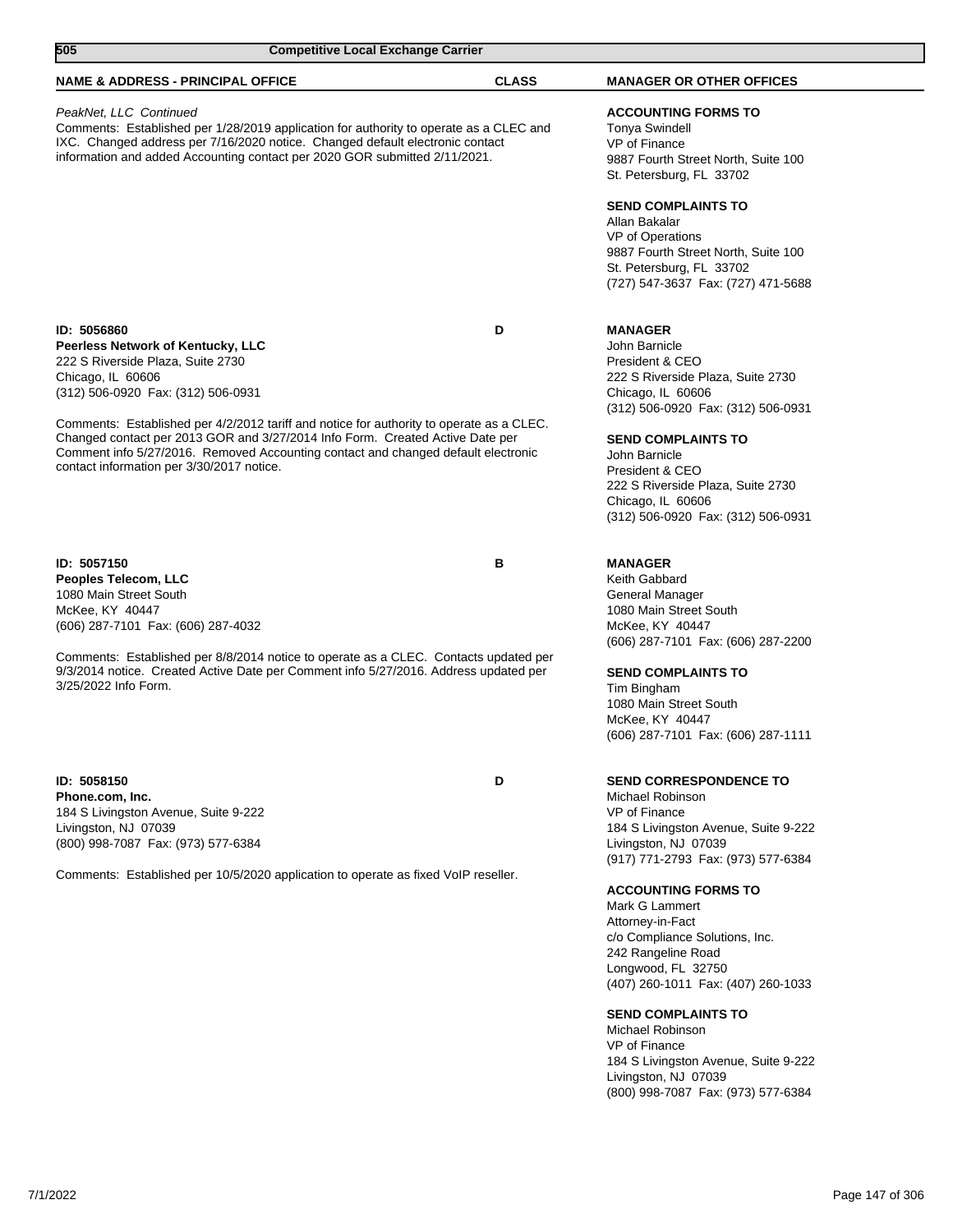| 505                                                                                                                                                                                           | <b>Competitive Local Exchange Carrier</b>                                                                                                                                                                                                                      |              |                                                                                                                                                                                                                                                                                                                                                                                                                                                                                                                                          |
|-----------------------------------------------------------------------------------------------------------------------------------------------------------------------------------------------|----------------------------------------------------------------------------------------------------------------------------------------------------------------------------------------------------------------------------------------------------------------|--------------|------------------------------------------------------------------------------------------------------------------------------------------------------------------------------------------------------------------------------------------------------------------------------------------------------------------------------------------------------------------------------------------------------------------------------------------------------------------------------------------------------------------------------------------|
| <b>NAME &amp; ADDRESS - PRINCIPAL OFFICE</b>                                                                                                                                                  |                                                                                                                                                                                                                                                                | <b>CLASS</b> | <b>MANAGER OR OTHER OFFICES</b>                                                                                                                                                                                                                                                                                                                                                                                                                                                                                                          |
| PeakNet, LLC Continued                                                                                                                                                                        | Comments: Established per 1/28/2019 application for authority to operate as a CLEC and<br>IXC. Changed address per 7/16/2020 notice. Changed default electronic contact<br>information and added Accounting contact per 2020 GOR submitted 2/11/2021.          |              | <b>ACCOUNTING FORMS TO</b><br><b>Tonya Swindell</b><br>VP of Finance<br>9887 Fourth Street North, Suite 100<br>St. Petersburg, FL 33702                                                                                                                                                                                                                                                                                                                                                                                                  |
|                                                                                                                                                                                               |                                                                                                                                                                                                                                                                |              | <b>SEND COMPLAINTS TO</b><br>Allan Bakalar<br>VP of Operations<br>9887 Fourth Street North, Suite 100<br>St. Petersburg, FL 33702<br>(727) 547-3637 Fax: (727) 471-5688                                                                                                                                                                                                                                                                                                                                                                  |
| ID: 5056860<br>Peerless Network of Kentucky, LLC<br>222 S Riverside Plaza, Suite 2730<br>Chicago, IL 60606<br>(312) 506-0920 Fax: (312) 506-0931<br>contact information per 3/30/2017 notice. | Comments: Established per 4/2/2012 tariff and notice for authority to operate as a CLEC.<br>Changed contact per 2013 GOR and 3/27/2014 Info Form. Created Active Date per<br>Comment info 5/27/2016. Removed Accounting contact and changed default electronic | D            | <b>MANAGER</b><br>John Barnicle<br>President & CEO<br>222 S Riverside Plaza, Suite 2730<br>Chicago, IL 60606<br>(312) 506-0920 Fax: (312) 506-0931<br><b>SEND COMPLAINTS TO</b><br>John Barnicle<br>President & CEO<br>222 S Riverside Plaza, Suite 2730<br>Chicago, IL 60606<br>(312) 506-0920 Fax: (312) 506-0931                                                                                                                                                                                                                      |
| ID: 5057150<br>Peoples Telecom, LLC<br>1080 Main Street South<br>McKee, KY 40447<br>(606) 287-7101 Fax: (606) 287-4032<br>3/25/2022 Info Form.                                                | Comments: Established per 8/8/2014 notice to operate as a CLEC. Contacts updated per<br>9/3/2014 notice. Created Active Date per Comment info 5/27/2016. Address updated per                                                                                   | в            | <b>MANAGER</b><br>Keith Gabbard<br>General Manager<br>1080 Main Street South<br>McKee, KY 40447<br>(606) 287-7101 Fax: (606) 287-2200<br><b>SEND COMPLAINTS TO</b><br>Tim Bingham<br>1080 Main Street South<br>McKee, KY 40447<br>(606) 287-7101 Fax: (606) 287-1111                                                                                                                                                                                                                                                                     |
| ID: 5058150<br>Phone.com. Inc.<br>184 S Livingston Avenue, Suite 9-222<br>Livingston, NJ 07039<br>(800) 998-7087 Fax: (973) 577-6384                                                          | Comments: Established per 10/5/2020 application to operate as fixed VoIP reseller.                                                                                                                                                                             | D            | <b>SEND CORRESPONDENCE TO</b><br>Michael Robinson<br>VP of Finance<br>184 S Livingston Avenue, Suite 9-222<br>Livingston, NJ 07039<br>(917) 771-2793 Fax: (973) 577-6384<br><b>ACCOUNTING FORMS TO</b><br>Mark G Lammert<br>Attorney-in-Fact<br>c/o Compliance Solutions, Inc.<br>242 Rangeline Road<br>Longwood, FL 32750<br>(407) 260-1011 Fax: (407) 260-1033<br><b>SEND COMPLAINTS TO</b><br>Michael Robinson<br>VP of Finance<br>184 S Livingston Avenue, Suite 9-222<br>Livingston, NJ 07039<br>(800) 998-7087 Fax: (973) 577-6384 |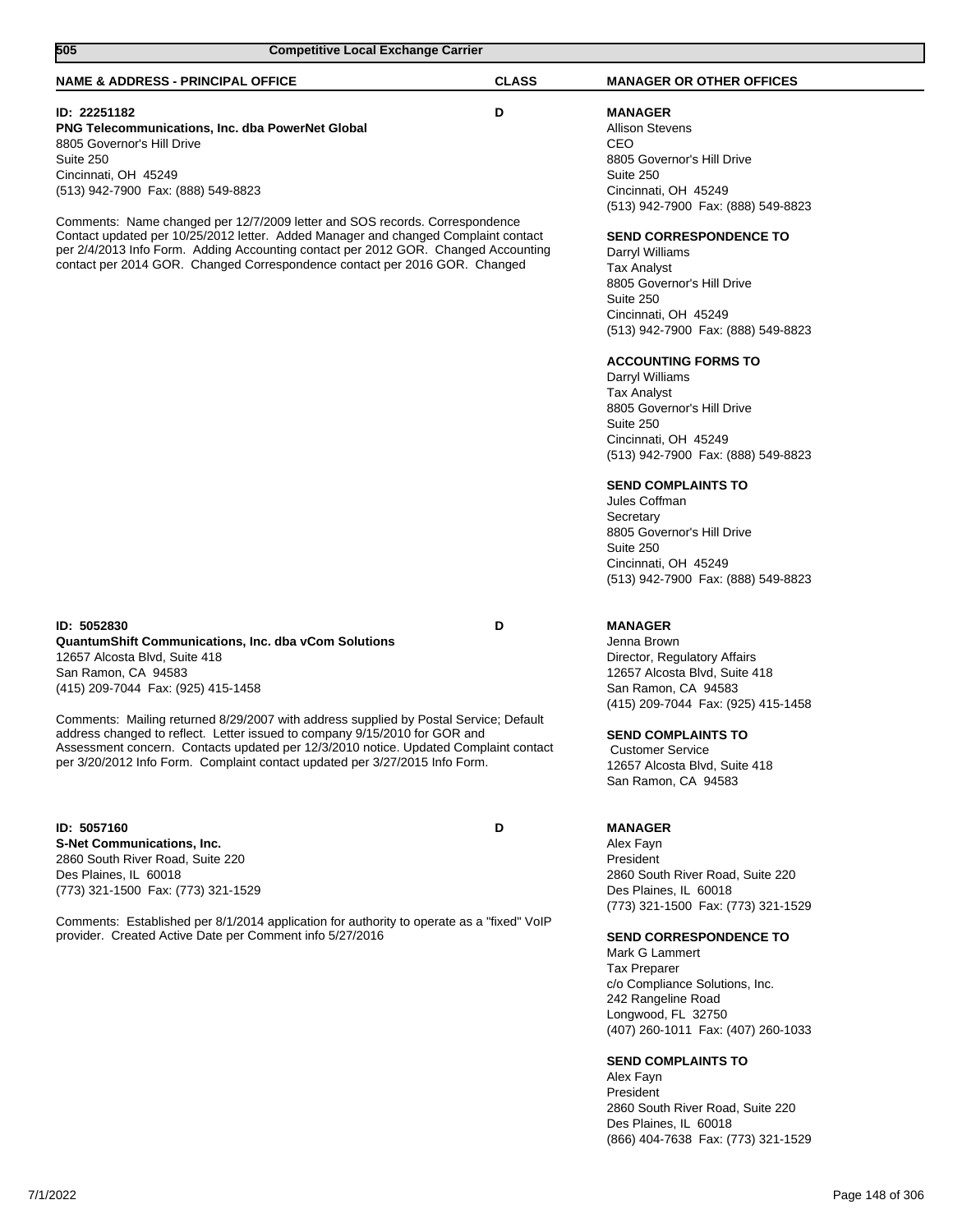| 505<br><b>Competitive Local Exchange Carrier</b>                                                                                                                                                                                                                                                                                                                                                                                                                                                                       |              |                                                                                                                                                                                                                                                                                                                                                                                                                                                                                                                                                                           |
|------------------------------------------------------------------------------------------------------------------------------------------------------------------------------------------------------------------------------------------------------------------------------------------------------------------------------------------------------------------------------------------------------------------------------------------------------------------------------------------------------------------------|--------------|---------------------------------------------------------------------------------------------------------------------------------------------------------------------------------------------------------------------------------------------------------------------------------------------------------------------------------------------------------------------------------------------------------------------------------------------------------------------------------------------------------------------------------------------------------------------------|
| <b>NAME &amp; ADDRESS - PRINCIPAL OFFICE</b>                                                                                                                                                                                                                                                                                                                                                                                                                                                                           | <b>CLASS</b> | <b>MANAGER OR OTHER OFFICES</b>                                                                                                                                                                                                                                                                                                                                                                                                                                                                                                                                           |
| <b>ID: 22251182</b><br><b>PNG Telecommunications, Inc. dba PowerNet Global</b><br>8805 Governor's Hill Drive<br>Suite 250<br>Cincinnati, OH 45249<br>(513) 942-7900 Fax: (888) 549-8823                                                                                                                                                                                                                                                                                                                                | D            | <b>MANAGER</b><br><b>Allison Stevens</b><br>CEO<br>8805 Governor's Hill Drive<br>Suite 250<br>Cincinnati, OH 45249                                                                                                                                                                                                                                                                                                                                                                                                                                                        |
| Comments: Name changed per 12/7/2009 letter and SOS records. Correspondence<br>Contact updated per 10/25/2012 letter. Added Manager and changed Complaint contact<br>per 2/4/2013 Info Form. Adding Accounting contact per 2012 GOR. Changed Accounting<br>contact per 2014 GOR. Changed Correspondence contact per 2016 GOR. Changed                                                                                                                                                                                  |              | (513) 942-7900 Fax: (888) 549-8823<br><b>SEND CORRESPONDENCE TO</b><br>Darryl Williams<br><b>Tax Analyst</b><br>8805 Governor's Hill Drive<br>Suite 250<br>Cincinnati, OH 45249<br>(513) 942-7900 Fax: (888) 549-8823<br><b>ACCOUNTING FORMS TO</b><br>Darryl Williams<br><b>Tax Analyst</b><br>8805 Governor's Hill Drive<br>Suite 250<br>Cincinnati, OH 45249<br>(513) 942-7900 Fax: (888) 549-8823<br><b>SEND COMPLAINTS TO</b><br>Jules Coffman<br>Secretary<br>8805 Governor's Hill Drive<br>Suite 250<br>Cincinnati, OH 45249<br>(513) 942-7900 Fax: (888) 549-8823 |
| ID: 5052830<br><b>QuantumShift Communications, Inc. dba vCom Solutions</b><br>12657 Alcosta Blvd, Suite 418<br>San Ramon, CA 94583<br>(415) 209-7044 Fax: (925) 415-1458<br>Comments: Mailing returned 8/29/2007 with address supplied by Postal Service; Default<br>address changed to reflect. Letter issued to company 9/15/2010 for GOR and<br>Assessment concern. Contacts updated per 12/3/2010 notice. Updated Complaint contact<br>per 3/20/2012 Info Form. Complaint contact updated per 3/27/2015 Info Form. | D            | <b>MANAGER</b><br>Jenna Brown<br>Director, Regulatory Affairs<br>12657 Alcosta Blvd, Suite 418<br>San Ramon, CA 94583<br>(415) 209-7044 Fax: (925) 415-1458<br><b>SEND COMPLAINTS TO</b><br><b>Customer Service</b><br>12657 Alcosta Blvd, Suite 418<br>San Ramon, CA 94583                                                                                                                                                                                                                                                                                               |
| ID: 5057160<br><b>S-Net Communications, Inc.</b><br>2860 South River Road, Suite 220<br>Des Plaines, IL 60018<br>(773) 321-1500 Fax: (773) 321-1529<br>Comments: Established per 8/1/2014 application for authority to operate as a "fixed" VoIP<br>provider. Created Active Date per Comment info 5/27/2016                                                                                                                                                                                                           | D            | <b>MANAGER</b><br>Alex Fayn<br>President<br>2860 South River Road, Suite 220<br>Des Plaines, IL 60018<br>(773) 321-1500 Fax: (773) 321-1529<br><b>SEND CORRESPONDENCE TO</b><br>Mark G Lammert<br><b>Tax Preparer</b><br>c/o Compliance Solutions, Inc.<br>242 Rangeline Road<br>Longwood, FL 32750<br>(407) 260-1011 Fax: (407) 260-1033<br><b>SEND COMPLAINTS TO</b><br>Alex Fayn<br>President<br>2860 South River Road, Suite 220                                                                                                                                      |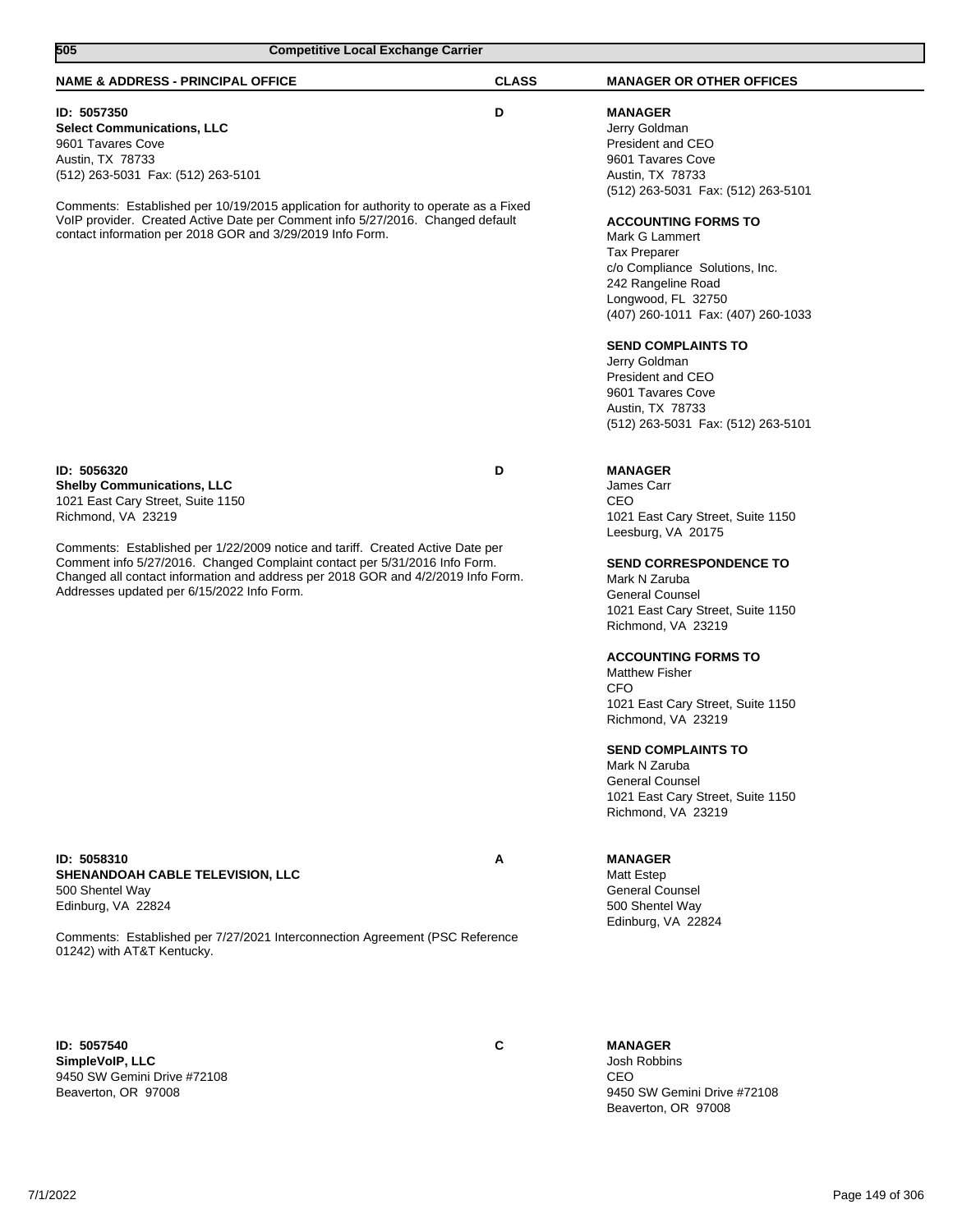| 505<br><b>Competitive Local Exchange Carrier</b>                                                                                                                                                                                                                                                                                                                                                              |              |                                                                                                                                                                                                                                                                                                                                                                                                                                                                                                          |
|---------------------------------------------------------------------------------------------------------------------------------------------------------------------------------------------------------------------------------------------------------------------------------------------------------------------------------------------------------------------------------------------------------------|--------------|----------------------------------------------------------------------------------------------------------------------------------------------------------------------------------------------------------------------------------------------------------------------------------------------------------------------------------------------------------------------------------------------------------------------------------------------------------------------------------------------------------|
| <b>NAME &amp; ADDRESS - PRINCIPAL OFFICE</b>                                                                                                                                                                                                                                                                                                                                                                  | <b>CLASS</b> | <b>MANAGER OR OTHER OFFICES</b>                                                                                                                                                                                                                                                                                                                                                                                                                                                                          |
| ID: 5057350<br><b>Select Communications, LLC</b><br>9601 Tavares Cove<br>Austin, TX 78733<br>(512) 263-5031 Fax: (512) 263-5101<br>Comments: Established per 10/19/2015 application for authority to operate as a Fixed<br>VoIP provider. Created Active Date per Comment info 5/27/2016. Changed default<br>contact information per 2018 GOR and 3/29/2019 Info Form.                                        | D            | <b>MANAGER</b><br>Jerry Goldman<br>President and CEO<br>9601 Tavares Cove<br>Austin, TX 78733<br>(512) 263-5031 Fax: (512) 263-5101<br><b>ACCOUNTING FORMS TO</b><br>Mark G Lammert<br><b>Tax Preparer</b><br>c/o Compliance Solutions, Inc.<br>242 Rangeline Road<br>Longwood, FL 32750<br>(407) 260-1011 Fax: (407) 260-1033<br><b>SEND COMPLAINTS TO</b><br>Jerry Goldman<br>President and CEO<br>9601 Tavares Cove<br>Austin, TX 78733<br>(512) 263-5031 Fax: (512) 263-5101                         |
| ID: 5056320<br><b>Shelby Communications, LLC</b><br>1021 East Cary Street, Suite 1150<br>Richmond, VA 23219<br>Comments: Established per 1/22/2009 notice and tariff. Created Active Date per<br>Comment info 5/27/2016. Changed Complaint contact per 5/31/2016 Info Form.<br>Changed all contact information and address per 2018 GOR and 4/2/2019 Info Form.<br>Addresses updated per 6/15/2022 Info Form. | D            | <b>MANAGER</b><br>James Carr<br>CEO<br>1021 East Cary Street, Suite 1150<br>Leesburg, VA 20175<br><b>SEND CORRESPONDENCE TO</b><br>Mark N Zaruba<br><b>General Counsel</b><br>1021 East Cary Street, Suite 1150<br>Richmond, VA 23219<br><b>ACCOUNTING FORMS TO</b><br><b>Matthew Fisher</b><br><b>CFO</b><br>1021 East Cary Street, Suite 1150<br>Richmond, VA 23219<br><b>SEND COMPLAINTS TO</b><br>Mark N Zaruba<br><b>General Counsel</b><br>1021 East Cary Street, Suite 1150<br>Richmond, VA 23219 |
| ID: 5058310<br><b>SHENANDOAH CABLE TELEVISION, LLC</b><br>500 Shentel Way<br>Edinburg, VA 22824<br>Comments: Established per 7/27/2021 Interconnection Agreement (PSC Reference<br>01242) with AT&T Kentucky.                                                                                                                                                                                                 | Α            | <b>MANAGER</b><br>Matt Estep<br><b>General Counsel</b><br>500 Shentel Way<br>Edinburg, VA 22824                                                                                                                                                                                                                                                                                                                                                                                                          |
| ID: 5057540<br>SimpleVoIP, LLC<br>9450 SW Gemini Drive #72108<br>Beaverton, OR 97008                                                                                                                                                                                                                                                                                                                          | C            | <b>MANAGER</b><br>Josh Robbins<br><b>CEO</b><br>9450 SW Gemini Drive #72108                                                                                                                                                                                                                                                                                                                                                                                                                              |

Beaverton, OR 97008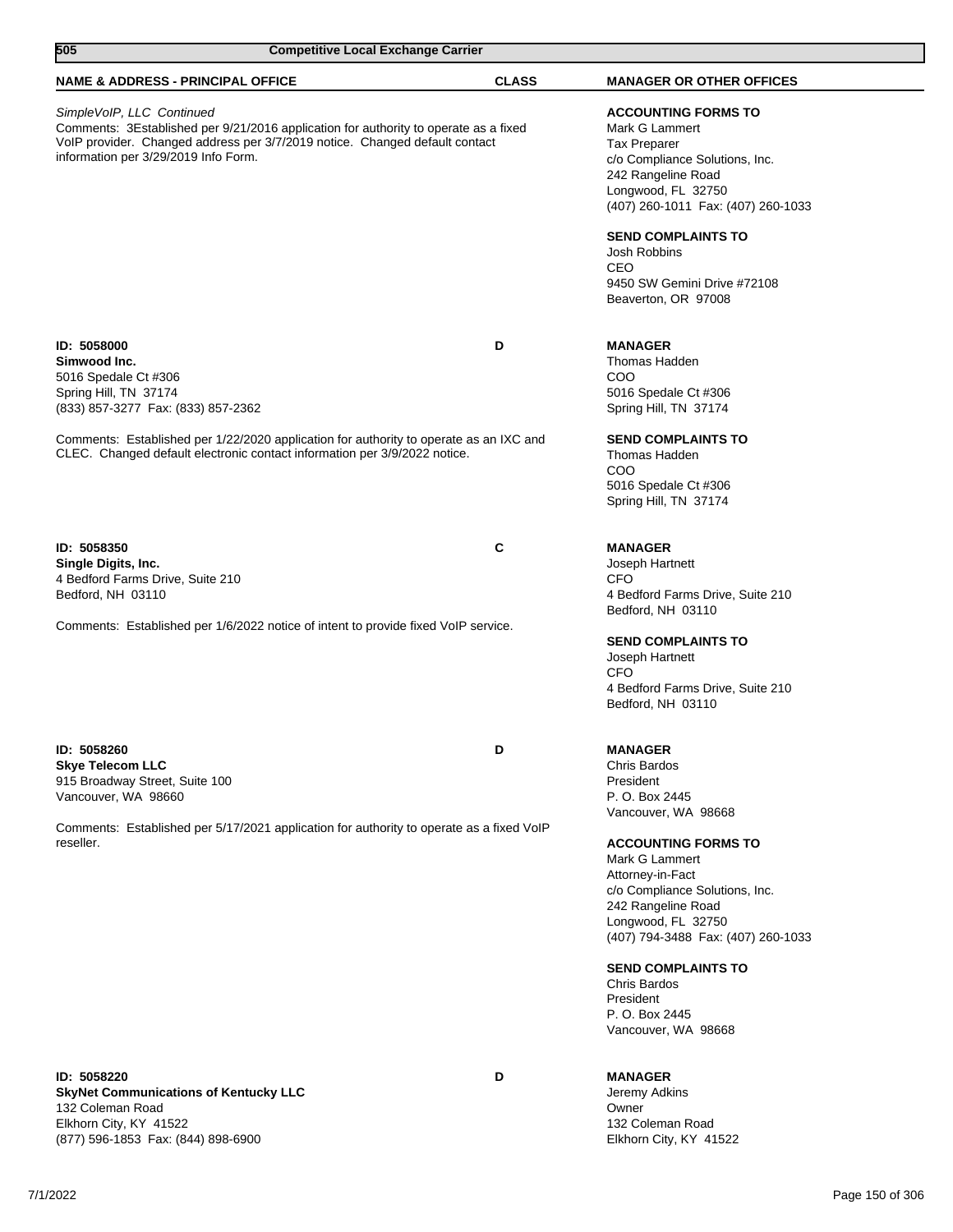| 505                                                                                                                | <b>Competitive Local Exchange Carrier</b>                                                                                                                           |              |                                                                                                                                                                                                                                                                                         |
|--------------------------------------------------------------------------------------------------------------------|---------------------------------------------------------------------------------------------------------------------------------------------------------------------|--------------|-----------------------------------------------------------------------------------------------------------------------------------------------------------------------------------------------------------------------------------------------------------------------------------------|
| <b>NAME &amp; ADDRESS - PRINCIPAL OFFICE</b>                                                                       |                                                                                                                                                                     | <b>CLASS</b> | <b>MANAGER OR OTHER OFFICES</b>                                                                                                                                                                                                                                                         |
| SimpleVoIP, LLC Continued<br>information per 3/29/2019 Info Form.                                                  | Comments: 3Established per 9/21/2016 application for authority to operate as a fixed<br>VoIP provider. Changed address per 3/7/2019 notice. Changed default contact |              | <b>ACCOUNTING FORMS TO</b><br>Mark G Lammert<br><b>Tax Preparer</b><br>c/o Compliance Solutions, Inc.<br>242 Rangeline Road<br>Longwood, FL 32750<br>(407) 260-1011 Fax: (407) 260-1033                                                                                                 |
|                                                                                                                    |                                                                                                                                                                     |              | <b>SEND COMPLAINTS TO</b><br>Josh Robbins<br>CEO<br>9450 SW Gemini Drive #72108<br>Beaverton, OR 97008                                                                                                                                                                                  |
| ID: 5058000<br>Simwood Inc.<br>5016 Spedale Ct #306<br>Spring Hill, TN 37174<br>(833) 857-3277 Fax: (833) 857-2362 |                                                                                                                                                                     | D            | <b>MANAGER</b><br>Thomas Hadden<br>COO<br>5016 Spedale Ct #306<br>Spring Hill, TN 37174                                                                                                                                                                                                 |
|                                                                                                                    | Comments: Established per 1/22/2020 application for authority to operate as an IXC and<br>CLEC. Changed default electronic contact information per 3/9/2022 notice. |              | <b>SEND COMPLAINTS TO</b><br>Thomas Hadden<br>COO<br>5016 Spedale Ct #306<br>Spring Hill, TN 37174                                                                                                                                                                                      |
| ID: 5058350<br>Single Digits, Inc.<br>4 Bedford Farms Drive, Suite 210<br>Bedford, NH 03110                        |                                                                                                                                                                     | C            | <b>MANAGER</b><br>Joseph Hartnett<br>CFO<br>4 Bedford Farms Drive, Suite 210<br>Bedford, NH 03110                                                                                                                                                                                       |
|                                                                                                                    | Comments: Established per 1/6/2022 notice of intent to provide fixed VoIP service.                                                                                  |              | <b>SEND COMPLAINTS TO</b><br>Joseph Hartnett<br>CFO<br>4 Bedford Farms Drive, Suite 210<br>Bedford, NH 03110                                                                                                                                                                            |
| ID: 5058260<br><b>Skye Telecom LLC</b><br>915 Broadway Street, Suite 100<br>Vancouver, WA 98660                    |                                                                                                                                                                     | D            | <b>MANAGER</b><br>Chris Bardos<br>President<br>P. O. Box 2445<br>Vancouver, WA 98668                                                                                                                                                                                                    |
| reseller.                                                                                                          | Comments: Established per 5/17/2021 application for authority to operate as a fixed VoIP                                                                            |              | <b>ACCOUNTING FORMS TO</b><br>Mark G Lammert<br>Attorney-in-Fact<br>c/o Compliance Solutions, Inc.<br>242 Rangeline Road<br>Longwood, FL 32750<br>(407) 794-3488 Fax: (407) 260-1033<br><b>SEND COMPLAINTS TO</b><br>Chris Bardos<br>President<br>P. O. Box 2445<br>Vancouver, WA 98668 |
| ID: 5058220<br><b>SkyNet Communications of Kentucky LLC</b>                                                        |                                                                                                                                                                     | D            | <b>MANAGER</b><br>Jeremy Adkins                                                                                                                                                                                                                                                         |

**SkyNet Communications of Kentucky LLC** 132 Coleman Road Elkhorn City, KY 41522 (877) 596-1853 Fax: (844) 898-6900

Jeremy Adkins Owner 132 Coleman Road Elkhorn City, KY 41522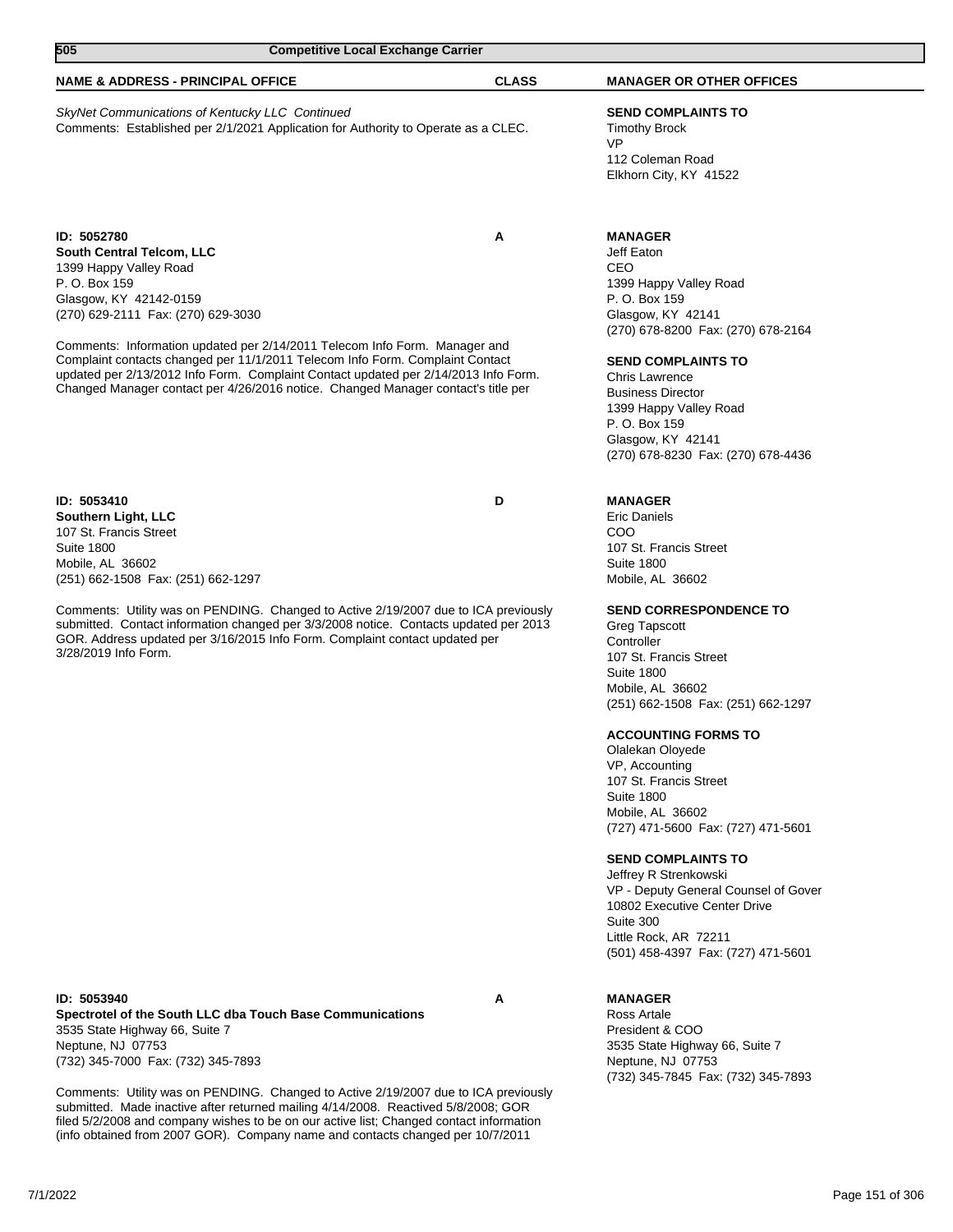| 505                                                                                                                                                 |                                                                                                                                                                                                                                                                                                                                         | <b>Competitive Local Exchange Carrier</b> |                                                                                                                                                                                                                                                                                                                            |  |
|-----------------------------------------------------------------------------------------------------------------------------------------------------|-----------------------------------------------------------------------------------------------------------------------------------------------------------------------------------------------------------------------------------------------------------------------------------------------------------------------------------------|-------------------------------------------|----------------------------------------------------------------------------------------------------------------------------------------------------------------------------------------------------------------------------------------------------------------------------------------------------------------------------|--|
| <b>NAME &amp; ADDRESS - PRINCIPAL OFFICE</b>                                                                                                        |                                                                                                                                                                                                                                                                                                                                         | <b>CLASS</b>                              | <b>MANAGER OR OTHER OFFICES</b>                                                                                                                                                                                                                                                                                            |  |
| SkyNet Communications of Kentucky LLC Continued                                                                                                     | Comments: Established per 2/1/2021 Application for Authority to Operate as a CLEC.                                                                                                                                                                                                                                                      |                                           | <b>SEND COMPLAINTS TO</b><br><b>Timothy Brock</b><br><b>VP</b><br>112 Coleman Road<br>Elkhorn City, KY 41522                                                                                                                                                                                                               |  |
| ID: 5052780<br>South Central Telcom, LLC<br>1399 Happy Valley Road<br>P. O. Box 159<br>Glasgow, KY 42142-0159<br>(270) 629-2111 Fax: (270) 629-3030 | Comments: Information updated per 2/14/2011 Telecom Info Form. Manager and<br>Complaint contacts changed per 11/1/2011 Telecom Info Form. Complaint Contact<br>updated per 2/13/2012 Info Form. Complaint Contact updated per 2/14/2013 Info Form.<br>Changed Manager contact per 4/26/2016 notice. Changed Manager contact's title per | A                                         | <b>MANAGER</b><br>Jeff Eaton<br>CEO<br>1399 Happy Valley Road<br>P. O. Box 159<br>Glasgow, KY 42141<br>(270) 678-8200 Fax: (270) 678-2164<br><b>SEND COMPLAINTS TO</b><br>Chris Lawrence<br><b>Business Director</b><br>1399 Happy Valley Road<br>P. O. Box 159<br>Glasgow, KY 42141<br>(270) 678-8230 Fax: (270) 678-4436 |  |
| ID: 5053410<br>Southern Light, LLC<br>107 St. Francis Street<br><b>Suite 1800</b><br>Mobile, AL 36602                                               |                                                                                                                                                                                                                                                                                                                                         | D                                         | <b>MANAGER</b><br><b>Eric Daniels</b><br>COO<br>107 St. Francis Street<br><b>Suite 1800</b>                                                                                                                                                                                                                                |  |

Mobile, AL 36602 (251) 662-1508 Fax: (251) 662-1297

Comments: Utility was on PENDING. Changed to Active 2/19/2007 due to ICA previously submitted. Contact information changed per 3/3/2008 notice. Contacts updated per 2013 GOR. Address updated per 3/16/2015 Info Form. Complaint contact updated per 3/28/2019 Info Form.

**ID: 5053940 A Spectrotel of the South LLC dba Touch Base Communications** 3535 State Highway 66, Suite 7 Neptune, NJ 07753 (732) 345-7000 Fax: (732) 345-7893

Comments: Utility was on PENDING. Changed to Active 2/19/2007 due to ICA previously submitted. Made inactive after returned mailing 4/14/2008. Reactived 5/8/2008; GOR filed 5/2/2008 and company wishes to be on our active list; Changed contact information (info obtained from 2007 GOR). Company name and contacts changed per 10/7/2011

**MANAGER**

Suite 300

Mobile, AL 36602

107 St. Francis Street

**ACCOUNTING FORMS TO** Olalekan Oloyede VP, Accounting 107 St. Francis Street

**SEND COMPLAINTS TO** Jeffrey R Strenkowski

Little Rock, AR 72211

Greg Tapscott **Controller** 

Suite 1800 Mobile, AL 36602

Suite 1800 Mobile, AL 36602

**SEND CORRESPONDENCE TO**

(251) 662-1508 Fax: (251) 662-1297

(727) 471-5600 Fax: (727) 471-5601

VP - Deputy General Counsel of Gover 10802 Executive Center Drive

(501) 458-4397 Fax: (727) 471-5601

Ross Artale President & COO 3535 State Highway 66, Suite 7 Neptune, NJ 07753 (732) 345-7845 Fax: (732) 345-7893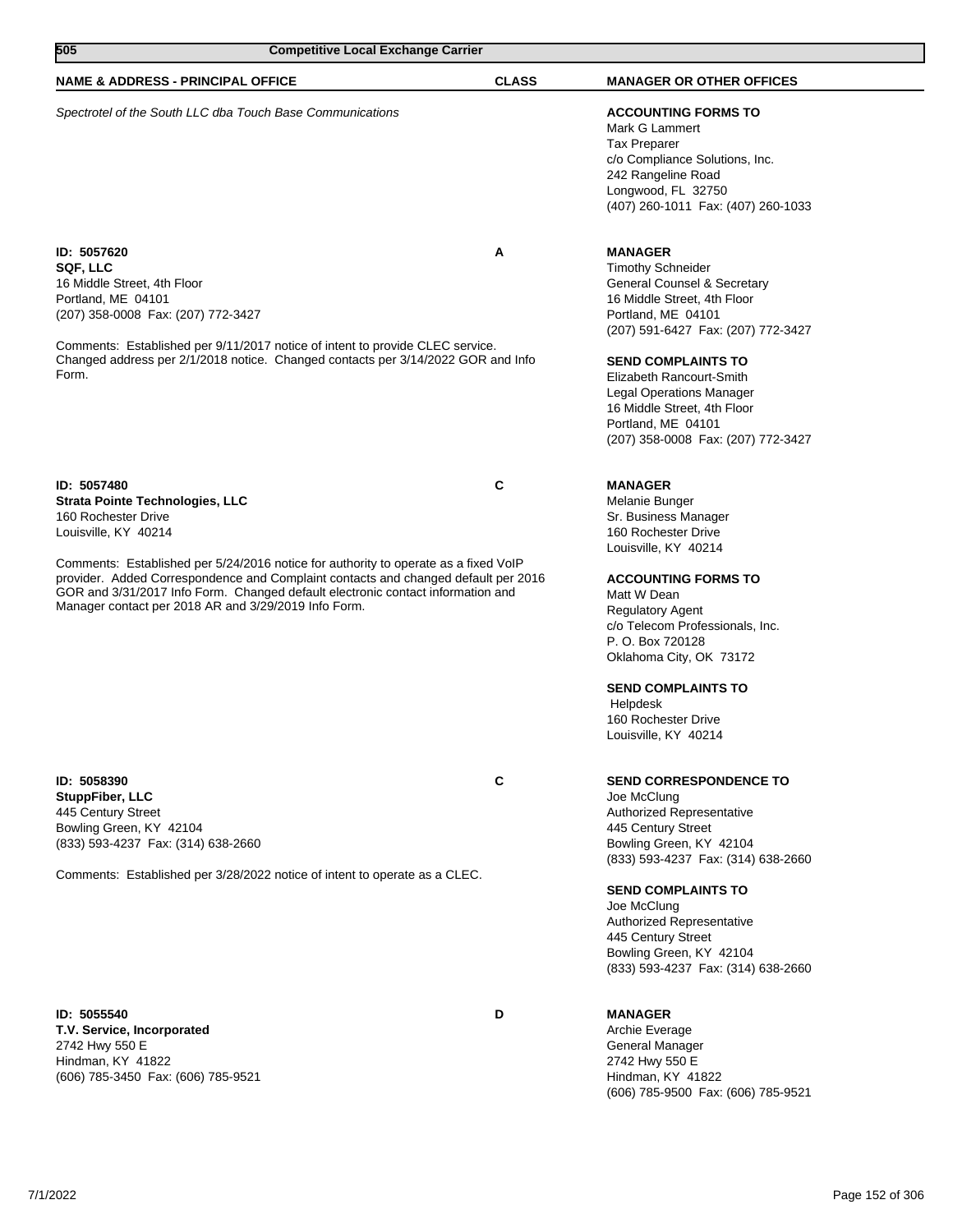| 505                                                                                                                                                   | <b>Competitive Local Exchange Carrier</b>                                                                                                                                                                                                                    |              |                                                                                                                                                                                                                                                                                                                                                             |
|-------------------------------------------------------------------------------------------------------------------------------------------------------|--------------------------------------------------------------------------------------------------------------------------------------------------------------------------------------------------------------------------------------------------------------|--------------|-------------------------------------------------------------------------------------------------------------------------------------------------------------------------------------------------------------------------------------------------------------------------------------------------------------------------------------------------------------|
| <b>NAME &amp; ADDRESS - PRINCIPAL OFFICE</b>                                                                                                          |                                                                                                                                                                                                                                                              | <b>CLASS</b> | <b>MANAGER OR OTHER OFFICES</b>                                                                                                                                                                                                                                                                                                                             |
|                                                                                                                                                       | Spectrotel of the South LLC dba Touch Base Communications                                                                                                                                                                                                    |              | <b>ACCOUNTING FORMS TO</b><br>Mark G Lammert<br><b>Tax Preparer</b><br>c/o Compliance Solutions, Inc.<br>242 Rangeline Road<br>Longwood, FL 32750<br>(407) 260-1011 Fax: (407) 260-1033                                                                                                                                                                     |
| ID: 5057620<br>SQF, LLC<br>16 Middle Street, 4th Floor<br>Portland, ME 04101<br>(207) 358-0008 Fax: (207) 772-3427<br>Form.                           | Comments: Established per 9/11/2017 notice of intent to provide CLEC service.<br>Changed address per 2/1/2018 notice. Changed contacts per 3/14/2022 GOR and Info                                                                                            | Α            | <b>MANAGER</b><br><b>Timothy Schneider</b><br>General Counsel & Secretary<br>16 Middle Street, 4th Floor<br>Portland, ME 04101<br>(207) 591-6427 Fax: (207) 772-3427<br><b>SEND COMPLAINTS TO</b><br>Elizabeth Rancourt-Smith<br><b>Legal Operations Manager</b><br>16 Middle Street, 4th Floor<br>Portland, ME 04101<br>(207) 358-0008 Fax: (207) 772-3427 |
| ID: 5057480<br>Strata Pointe Technologies, LLC<br>160 Rochester Drive<br>Louisville, KY 40214<br>Manager contact per 2018 AR and 3/29/2019 Info Form. | Comments: Established per 5/24/2016 notice for authority to operate as a fixed VoIP<br>provider. Added Correspondence and Complaint contacts and changed default per 2016<br>GOR and 3/31/2017 Info Form. Changed default electronic contact information and | С            | <b>MANAGER</b><br>Melanie Bunger<br>Sr. Business Manager<br>160 Rochester Drive<br>Louisville, KY 40214<br><b>ACCOUNTING FORMS TO</b><br>Matt W Dean<br><b>Regulatory Agent</b><br>c/o Telecom Professionals, Inc.<br>P. O. Box 720128<br>Oklahoma City, OK 73172<br><b>SEND COMPLAINTS TO</b><br>Helpdesk<br>160 Rochester Drive<br>Louisville, KY 40214   |
| ID: 5058390<br>StuppFiber, LLC<br>445 Century Street<br>Bowling Green, KY 42104<br>(833) 593-4237 Fax: (314) 638-2660                                 | Comments: Established per 3/28/2022 notice of intent to operate as a CLEC.                                                                                                                                                                                   | C            | <b>SEND CORRESPONDENCE TO</b><br>Joe McClung<br>Authorized Representative<br>445 Century Street<br>Bowling Green, KY 42104<br>(833) 593-4237 Fax: (314) 638-2660<br><b>SEND COMPLAINTS TO</b><br>Joe McClung<br>Authorized Representative                                                                                                                   |

**ID: 5055540 D T.V. Service, Incorporated** 2742 Hwy 550 E Hindman, KY 41822 (606) 785-3450 Fax: (606) 785-9521

# **MANAGER**

445 Century Street Bowling Green, KY 42104

Archie Everage General Manager 2742 Hwy 550 E Hindman, KY 41822 (606) 785-9500 Fax: (606) 785-9521

(833) 593-4237 Fax: (314) 638-2660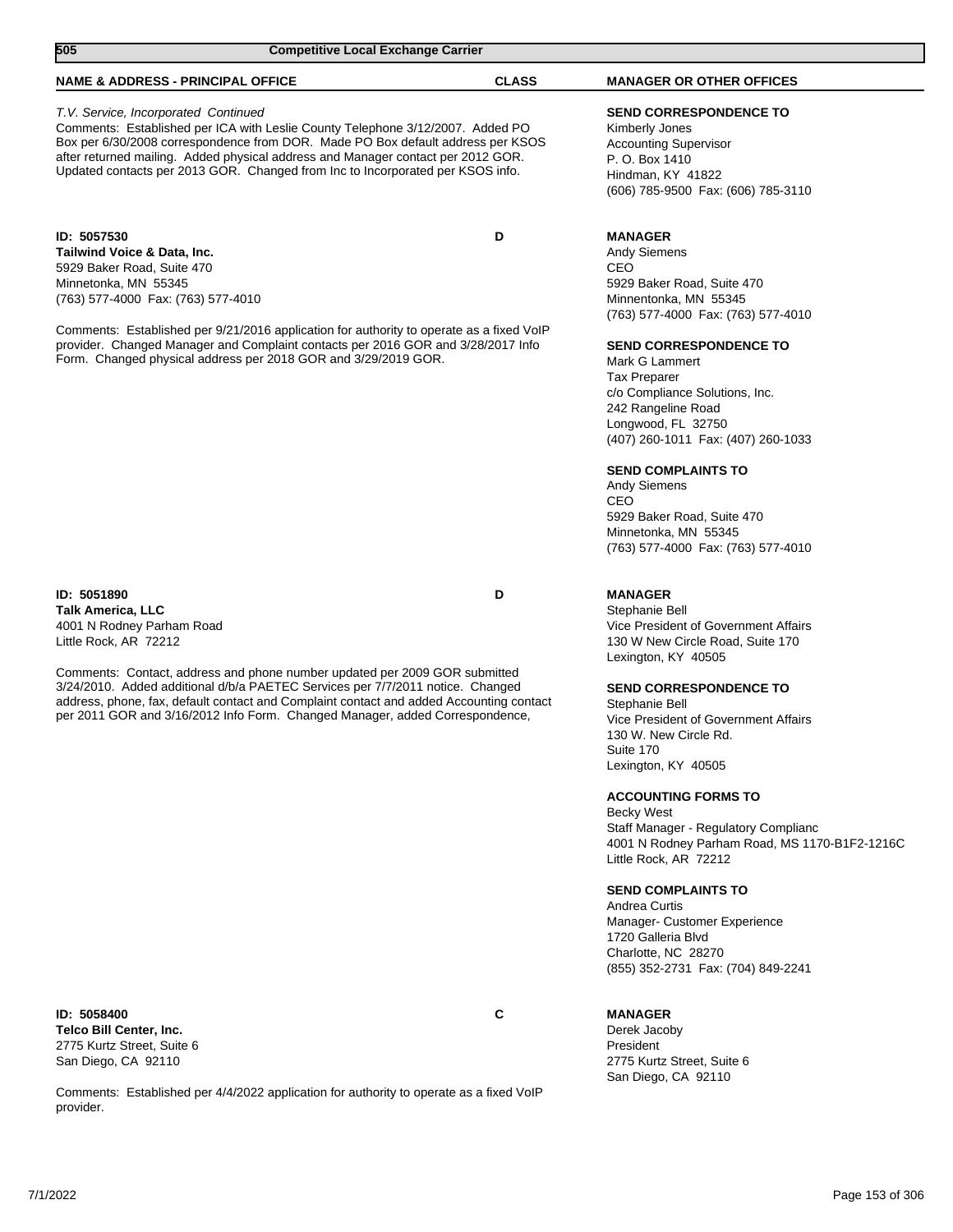| 505<br><b>Competitive Local Exchange Carrier</b>                                                                                                                                                                                                                                                                                                                                |              |                                                                                                                                                                                            |  |
|---------------------------------------------------------------------------------------------------------------------------------------------------------------------------------------------------------------------------------------------------------------------------------------------------------------------------------------------------------------------------------|--------------|--------------------------------------------------------------------------------------------------------------------------------------------------------------------------------------------|--|
| <b>NAME &amp; ADDRESS - PRINCIPAL OFFICE</b>                                                                                                                                                                                                                                                                                                                                    | <b>CLASS</b> | <b>MANAGER OR OTHER OFFICES</b>                                                                                                                                                            |  |
| T.V. Service, Incorporated Continued<br>Comments: Established per ICA with Leslie County Telephone 3/12/2007. Added PO<br>Box per 6/30/2008 correspondence from DOR. Made PO Box default address per KSOS<br>after returned mailing. Added physical address and Manager contact per 2012 GOR.<br>Updated contacts per 2013 GOR. Changed from Inc to Incorporated per KSOS info. |              | <b>SEND CORRESPONDENCE TO</b><br>Kimberly Jones<br><b>Accounting Supervisor</b><br>P. O. Box 1410<br>Hindman, KY 41822<br>(606) 785-9500 Fax: (606) 785-3110                               |  |
| ID: 5057530<br>Tailwind Voice & Data, Inc.<br>5929 Baker Road, Suite 470<br>Minnetonka, MN 55345<br>(763) 577-4000 Fax: (763) 577-4010<br>Comments: Established per 9/21/2016 application for authority to operate as a fixed VoIP                                                                                                                                              | D            | <b>MANAGER</b><br><b>Andy Siemens</b><br>CEO<br>5929 Baker Road, Suite 470<br>Minnentonka, MN 55345<br>(763) 577-4000 Fax: (763) 577-4010                                                  |  |
| provider. Changed Manager and Complaint contacts per 2016 GOR and 3/28/2017 Info<br>Form. Changed physical address per 2018 GOR and 3/29/2019 GOR.                                                                                                                                                                                                                              |              | <b>SEND CORRESPONDENCE TO</b><br>Mark G Lammert<br><b>Tax Preparer</b><br>c/o Compliance Solutions, Inc.<br>242 Rangeline Road<br>Longwood, FL 32750<br>(407) 260-1011 Fax: (407) 260-1033 |  |
|                                                                                                                                                                                                                                                                                                                                                                                 |              | <b>SEND COMPLAINTS TO</b><br><b>Andy Siemens</b>                                                                                                                                           |  |

CEO 5929 Baker Road, Suite 470 Minnetonka, MN 55345 (763) 577-4000 Fax: (763) 577-4010

### **MANAGER**

Stephanie Bell Vice President of Government Affairs 130 W New Circle Road, Suite 170 Lexington, KY 40505

### **SEND CORRESPONDENCE TO**

Stephanie Bell Vice President of Government Affairs 130 W. New Circle Rd. Suite 170 Lexington, KY 40505

### **ACCOUNTING FORMS TO**

Becky West Staff Manager - Regulatory Complianc 4001 N Rodney Parham Road, MS 1170-B1F2-1216C Little Rock, AR 72212

### **SEND COMPLAINTS TO**

Andrea Curtis Manager- Customer Experience 1720 Galleria Blvd Charlotte, NC 28270 (855) 352-2731 Fax: (704) 849-2241

President 2775 Kurtz Street, Suite 6 San Diego, CA 92110

**ID: 5051890 D Talk America, LLC** 4001 N Rodney Parham Road Little Rock, AR 72212

Comments: Contact, address and phone number updated per 2009 GOR submitted 3/24/2010. Added additional d/b/a PAETEC Services per 7/7/2011 notice. Changed address, phone, fax, default contact and Complaint contact and added Accounting contact per 2011 GOR and 3/16/2012 Info Form. Changed Manager, added Correspondence,

### **ID: 5058400 C Telco Bill Center, Inc.** 2775 Kurtz Street, Suite 6 San Diego, CA 92110

Comments: Established per 4/4/2022 application for authority to operate as a fixed VoIP provider.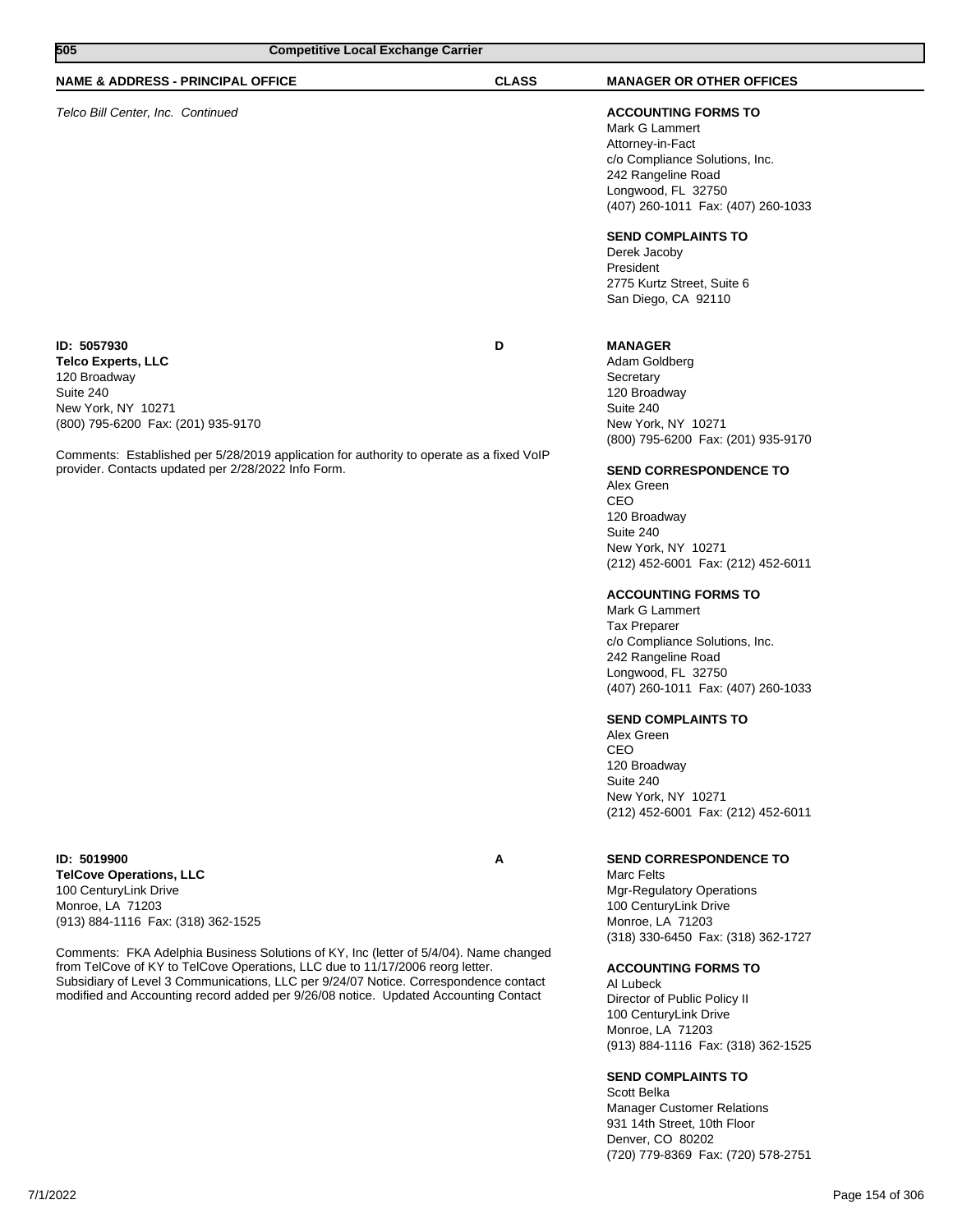| <b>Competitive Local Exchange Carrier</b><br>505                                                                                                                                                                                                                                     |              |                                                                                                                                                                                                                                                                                                                                                                                                                                                                                                                                                                                                                            |
|--------------------------------------------------------------------------------------------------------------------------------------------------------------------------------------------------------------------------------------------------------------------------------------|--------------|----------------------------------------------------------------------------------------------------------------------------------------------------------------------------------------------------------------------------------------------------------------------------------------------------------------------------------------------------------------------------------------------------------------------------------------------------------------------------------------------------------------------------------------------------------------------------------------------------------------------------|
| <b>NAME &amp; ADDRESS - PRINCIPAL OFFICE</b>                                                                                                                                                                                                                                         | <b>CLASS</b> | <b>MANAGER OR OTHER OFFICES</b>                                                                                                                                                                                                                                                                                                                                                                                                                                                                                                                                                                                            |
| Telco Bill Center, Inc. Continued                                                                                                                                                                                                                                                    |              | <b>ACCOUNTING FORMS TO</b><br>Mark G Lammert<br>Attorney-in-Fact<br>c/o Compliance Solutions, Inc.<br>242 Rangeline Road<br>Longwood, FL 32750<br>(407) 260-1011 Fax: (407) 260-1033<br><b>SEND COMPLAINTS TO</b><br>Derek Jacoby<br>President<br>2775 Kurtz Street, Suite 6<br>San Diego, CA 92110                                                                                                                                                                                                                                                                                                                        |
| ID: 5057930<br><b>Telco Experts, LLC</b><br>120 Broadway<br>Suite 240<br>New York, NY 10271<br>(800) 795-6200 Fax: (201) 935-9170<br>Comments: Established per 5/28/2019 application for authority to operate as a fixed VoIP<br>provider. Contacts updated per 2/28/2022 Info Form. | D            | <b>MANAGER</b><br>Adam Goldberg<br>Secretary<br>120 Broadway<br>Suite 240<br>New York, NY 10271<br>(800) 795-6200 Fax: (201) 935-9170<br><b>SEND CORRESPONDENCE TO</b><br>Alex Green<br>CEO<br>120 Broadway<br>Suite 240<br>New York, NY 10271<br>(212) 452-6001 Fax: (212) 452-6011<br><b>ACCOUNTING FORMS TO</b><br>Mark G Lammert<br><b>Tax Preparer</b><br>c/o Compliance Solutions, Inc.<br>242 Rangeline Road<br>Longwood, FL 32750<br>(407) 260-1011 Fax: (407) 260-1033<br><b>SEND COMPLAINTS TO</b><br>Alex Green<br>CEO<br>120 Broadway<br>Suite 240<br>New York, NY 10271<br>(212) 452-6001 Fax: (212) 452-6011 |
| ID: 5019900<br><b>TelCove Operations, LLC</b><br>100 CenturyLink Drive<br>Monroe, LA 71203<br>(913) 884-1116 Fax: (318) 362-1525                                                                                                                                                     | A            | <b>SEND CORRESPONDENCE TO</b><br>Marc Felts<br><b>Mgr-Regulatory Operations</b><br>100 CenturyLink Drive<br>Monroe, LA 71203<br>(318) 330-6450 Fax: (318) 362-1727                                                                                                                                                                                                                                                                                                                                                                                                                                                         |

Comments: FKA Adelphia Business Solutions of KY, Inc (letter of 5/4/04). Name changed from TelCove of KY to TelCove Operations, LLC due to 11/17/2006 reorg letter. Subsidiary of Level 3 Communications, LLC per 9/24/07 Notice. Correspondence contact modified and Accounting record added per 9/26/08 notice. Updated Accounting Contact

### **ACCOUNTING FORMS TO**

Al Lubeck Director of Public Policy II 100 CenturyLink Drive Monroe, LA 71203 (913) 884-1116 Fax: (318) 362-1525

### **SEND COMPLAINTS TO**

Scott Belka Manager Customer Relations 931 14th Street, 10th Floor Denver, CO 80202 (720) 779-8369 Fax: (720) 578-2751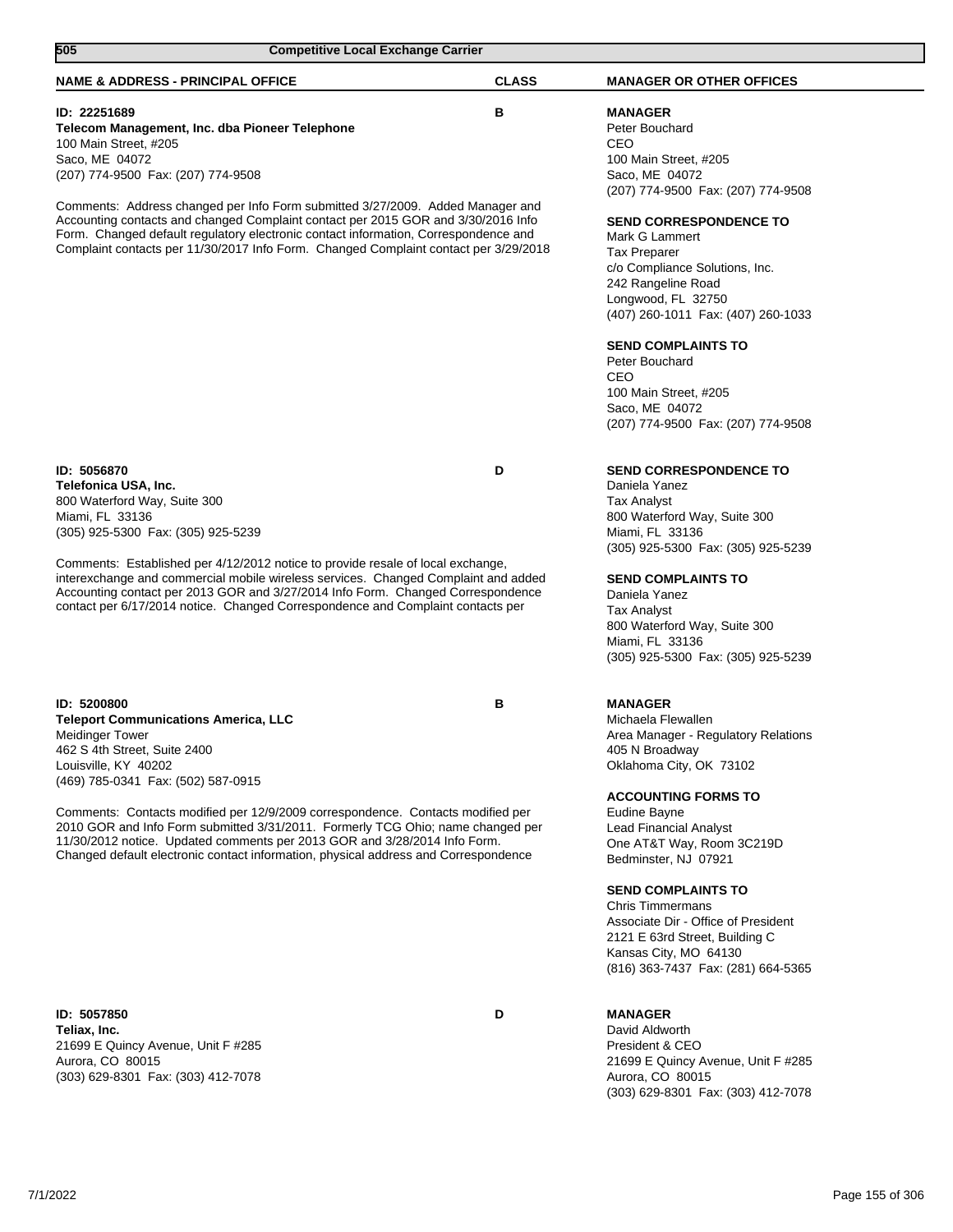| 505<br><b>Competitive Local Exchange Carrier</b>                                                                                                                                                                                                                                                                                                                                                                                                                                                                             |              |                                                                                                                                                                                                                                                                                                                                                                                                                                                               |
|------------------------------------------------------------------------------------------------------------------------------------------------------------------------------------------------------------------------------------------------------------------------------------------------------------------------------------------------------------------------------------------------------------------------------------------------------------------------------------------------------------------------------|--------------|---------------------------------------------------------------------------------------------------------------------------------------------------------------------------------------------------------------------------------------------------------------------------------------------------------------------------------------------------------------------------------------------------------------------------------------------------------------|
| <b>NAME &amp; ADDRESS - PRINCIPAL OFFICE</b>                                                                                                                                                                                                                                                                                                                                                                                                                                                                                 | <b>CLASS</b> | <b>MANAGER OR OTHER OFFICES</b>                                                                                                                                                                                                                                                                                                                                                                                                                               |
| ID: 22251689<br>Telecom Management, Inc. dba Pioneer Telephone<br>100 Main Street, #205<br>Saco, ME 04072<br>(207) 774-9500 Fax: (207) 774-9508<br>Comments: Address changed per Info Form submitted 3/27/2009. Added Manager and<br>Accounting contacts and changed Complaint contact per 2015 GOR and 3/30/2016 Info<br>Form. Changed default regulatory electronic contact information, Correspondence and<br>Complaint contacts per 11/30/2017 Info Form. Changed Complaint contact per 3/29/2018                        | в            | <b>MANAGER</b><br>Peter Bouchard<br>CEO<br>100 Main Street, #205<br>Saco, ME 04072<br>(207) 774-9500 Fax: (207) 774-9508<br><b>SEND CORRESPONDENCE TO</b><br>Mark G Lammert<br><b>Tax Preparer</b><br>c/o Compliance Solutions, Inc.<br>242 Rangeline Road<br>Longwood, FL 32750<br>(407) 260-1011 Fax: (407) 260-1033<br><b>SEND COMPLAINTS TO</b><br>Peter Bouchard<br>CEO<br>100 Main Street, #205<br>Saco, ME 04072<br>(207) 774-9500 Fax: (207) 774-9508 |
| ID: 5056870<br>Telefonica USA, Inc.<br>800 Waterford Way, Suite 300<br>Miami, FL 33136<br>(305) 925-5300 Fax: (305) 925-5239<br>Comments: Established per 4/12/2012 notice to provide resale of local exchange,<br>interexchange and commercial mobile wireless services. Changed Complaint and added<br>Accounting contact per 2013 GOR and 3/27/2014 Info Form. Changed Correspondence<br>contact per 6/17/2014 notice. Changed Correspondence and Complaint contacts per                                                  | D            | SEND CORRESPONDENCE TO<br>Daniela Yanez<br><b>Tax Analyst</b><br>800 Waterford Way, Suite 300<br>Miami, FL 33136<br>(305) 925-5300 Fax: (305) 925-5239<br><b>SEND COMPLAINTS TO</b><br>Daniela Yanez<br><b>Tax Analyst</b><br>800 Waterford Way, Suite 300<br>Miami, FL 33136<br>(305) 925-5300 Fax: (305) 925-5239                                                                                                                                           |
| ID: 5200800<br><b>Teleport Communications America, LLC</b><br><b>Meidinger Tower</b><br>462 S 4th Street, Suite 2400<br>Louisville, KY 40202<br>(469) 785-0341 Fax: (502) 587-0915<br>Comments: Contacts modified per 12/9/2009 correspondence. Contacts modified per<br>2010 GOR and Info Form submitted 3/31/2011. Formerly TCG Ohio; name changed per<br>11/30/2012 notice. Updated comments per 2013 GOR and 3/28/2014 Info Form.<br>Changed default electronic contact information, physical address and Correspondence | в            | <b>MANAGER</b><br>Michaela Flewallen<br>Area Manager - Regulatory Relations<br>405 N Broadway<br>Oklahoma City, OK 73102<br><b>ACCOUNTING FORMS TO</b><br>Eudine Bayne<br><b>Lead Financial Analyst</b><br>One AT&T Way, Room 3C219D<br>Bedminster, NJ 07921<br><b>SEND COMPLAINTS TO</b><br><b>Chris Timmermans</b><br>Associate Dir - Office of President<br>2121 E 63rd Street, Building C<br>Kansas City, MO 64130<br>(816) 363-7437 Fax: (281) 664-5365  |

**ID: 5057850 D Teliax, Inc.** 21699 E Quincy Avenue, Unit F #285 Aurora, CO 80015 (303) 629-8301 Fax: (303) 412-7078

Aurora, CO 80015 (303) 629-8301 Fax: (303) 412-7078

21699 E Quincy Avenue, Unit F #285

**MANAGER** David Aldworth President & CEO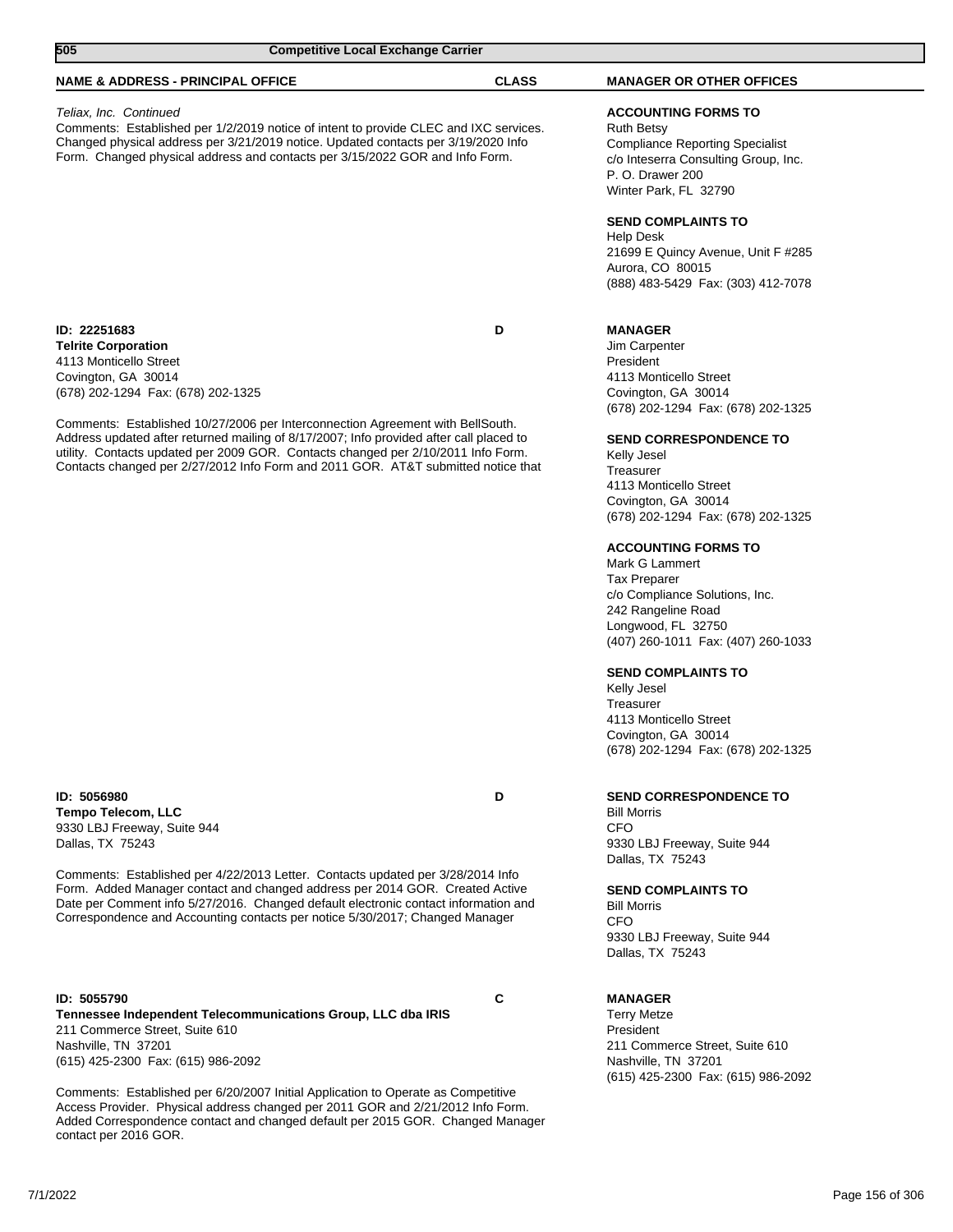| 505                                                                                                                               | <b>Competitive Local Exchange Carrier</b>                                                                                                                                                                                                                                                                                                           |              |                                                                                                                                                                                                                                                                                                                                                                                                                                                                                                                                                        |
|-----------------------------------------------------------------------------------------------------------------------------------|-----------------------------------------------------------------------------------------------------------------------------------------------------------------------------------------------------------------------------------------------------------------------------------------------------------------------------------------------------|--------------|--------------------------------------------------------------------------------------------------------------------------------------------------------------------------------------------------------------------------------------------------------------------------------------------------------------------------------------------------------------------------------------------------------------------------------------------------------------------------------------------------------------------------------------------------------|
| <b>NAME &amp; ADDRESS - PRINCIPAL OFFICE</b>                                                                                      |                                                                                                                                                                                                                                                                                                                                                     | <b>CLASS</b> | <b>MANAGER OR OTHER OFFICES</b>                                                                                                                                                                                                                                                                                                                                                                                                                                                                                                                        |
| Teliax, Inc. Continued                                                                                                            | Comments: Established per 1/2/2019 notice of intent to provide CLEC and IXC services.<br>Changed physical address per 3/21/2019 notice. Updated contacts per 3/19/2020 Info<br>Form. Changed physical address and contacts per 3/15/2022 GOR and Info Form.                                                                                         |              | <b>ACCOUNTING FORMS TO</b><br><b>Ruth Betsy</b><br><b>Compliance Reporting Specialist</b><br>c/o Inteserra Consulting Group, Inc.<br>P. O. Drawer 200<br>Winter Park, FL 32790<br><b>SEND COMPLAINTS TO</b><br><b>Help Desk</b><br>21699 E Quincy Avenue, Unit F #285<br>Aurora, CO 80015<br>(888) 483-5429 Fax: (303) 412-7078                                                                                                                                                                                                                        |
| ID: 22251683<br><b>Telrite Corporation</b><br>4113 Monticello Street<br>Covington, GA 30014<br>(678) 202-1294 Fax: (678) 202-1325 | Comments: Established 10/27/2006 per Interconnection Agreement with BellSouth.<br>Address updated after returned mailing of 8/17/2007; Info provided after call placed to<br>utility. Contacts updated per 2009 GOR. Contacts changed per 2/10/2011 Info Form.<br>Contacts changed per 2/27/2012 Info Form and 2011 GOR. AT&T submitted notice that | D            | <b>MANAGER</b><br>Jim Carpenter<br>President<br>4113 Monticello Street<br>Covington, GA 30014<br><b>SEND CORRESPONDENCE TO</b><br>Kelly Jesel<br>Treasurer<br>4113 Monticello Street<br>Covington, GA 30014<br><b>ACCOUNTING FORMS TO</b><br>Mark G Lammert<br><b>Tax Preparer</b><br>c/o Compliance Solutions, Inc.<br>242 Rangeline Road<br>Longwood, FL 32750<br>(407) 260-1011 Fax: (407) 260-1033<br><b>SEND COMPLAINTS TO</b><br>Kelly Jesel<br>Treasurer<br>4113 Monticello Street<br>Covington, GA 30014<br>(678) 202-1294 Fax: (678) 202-1325 |
| ID: 5056980<br><b>Tempo Telecom, LLC</b><br>9330 LBJ Freeway, Suite 944<br>Dallas, TX 75243                                       | Comments: Established per 4/22/2013 Letter. Contacts updated per 3/28/2014 Info<br>Form. Added Manager contact and changed address per 2014 GOR. Created Active<br>Date per Comment info 5/27/2016. Changed default electronic contact information and<br>Correspondence and Accounting contacts per notice 5/30/2017; Changed Manager              | D            | <b>SEND CORRESPONDENCE TO</b><br><b>Bill Morris</b><br><b>CFO</b><br>9330 LBJ Freeway, Suite 944<br>Dallas, TX 75243<br><b>SEND COMPLAINTS TO</b><br><b>Bill Morris</b><br><b>CFO</b><br>9330 LBJ Freeway, Suite 944<br>Dallas, TX 75243                                                                                                                                                                                                                                                                                                               |
| ID: 5055790<br>211 Commerce Street, Suite 610<br>Nashville, TN 37201<br>(615) 425-2300 Fax: (615) 986-2092                        | Tennessee Independent Telecommunications Group, LLC dba IRIS                                                                                                                                                                                                                                                                                        | C            | <b>MANAGER</b><br><b>Terry Metze</b><br>President<br>211 Commerce Street, Suite 610<br>Nashville, TN 37201                                                                                                                                                                                                                                                                                                                                                                                                                                             |

Comments: Established per 6/20/2007 Initial Application to Operate as Competitive Access Provider. Physical address changed per 2011 GOR and 2/21/2012 Info Form. Added Correspondence contact and changed default per 2015 GOR. Changed Manager contact per 2016 GOR.

7/1/2022 Page 156 of 306

(615) 425-2300 Fax: (615) 986-2092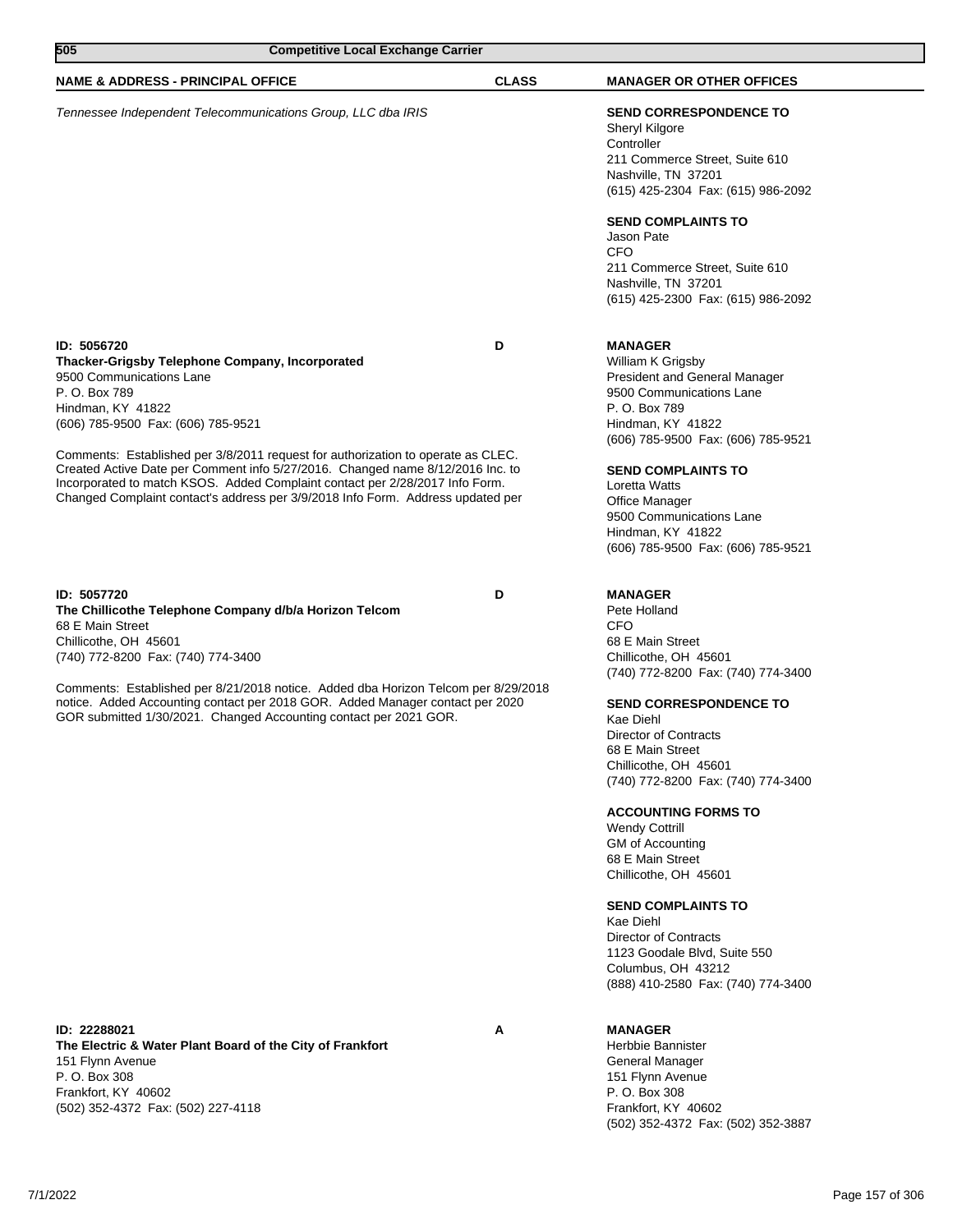| 505<br><b>Competitive Local Exchange Carrier</b>                                                                                                                                                                                                                                                                                      |              |                                                                                                                                                                                                                                                                                                                                                                                                                                                                                                   |
|---------------------------------------------------------------------------------------------------------------------------------------------------------------------------------------------------------------------------------------------------------------------------------------------------------------------------------------|--------------|---------------------------------------------------------------------------------------------------------------------------------------------------------------------------------------------------------------------------------------------------------------------------------------------------------------------------------------------------------------------------------------------------------------------------------------------------------------------------------------------------|
| <b>NAME &amp; ADDRESS - PRINCIPAL OFFICE</b>                                                                                                                                                                                                                                                                                          | <b>CLASS</b> | <b>MANAGER OR OTHER OFFICES</b>                                                                                                                                                                                                                                                                                                                                                                                                                                                                   |
| Tennessee Independent Telecommunications Group, LLC dba IRIS                                                                                                                                                                                                                                                                          |              | <b>SEND CORRESPONDENCE TO</b><br>Sheryl Kilgore<br>Controller<br>211 Commerce Street, Suite 610<br>Nashville, TN 37201<br>(615) 425-2304 Fax: (615) 986-2092<br><b>SEND COMPLAINTS TO</b><br>Jason Pate<br><b>CFO</b><br>211 Commerce Street, Suite 610<br>Nashville, TN 37201<br>(615) 425-2300 Fax: (615) 986-2092                                                                                                                                                                              |
| ID: 5056720<br><b>Thacker-Grigsby Telephone Company, Incorporated</b><br>9500 Communications Lane<br>P. O. Box 789<br>Hindman, KY 41822<br>(606) 785-9500 Fax: (606) 785-9521                                                                                                                                                         | D            | <b>MANAGER</b><br>William K Grigsby<br><b>President and General Manager</b><br>9500 Communications Lane<br>P. O. Box 789<br>Hindman, KY 41822<br>(606) 785-9500 Fax: (606) 785-9521                                                                                                                                                                                                                                                                                                               |
| Comments: Established per 3/8/2011 request for authorization to operate as CLEC.<br>Created Active Date per Comment info 5/27/2016. Changed name 8/12/2016 Inc. to<br>Incorporated to match KSOS. Added Complaint contact per 2/28/2017 Info Form.<br>Changed Complaint contact's address per 3/9/2018 Info Form. Address updated per |              | <b>SEND COMPLAINTS TO</b><br>Loretta Watts<br>Office Manager<br>9500 Communications Lane<br>Hindman, KY 41822<br>(606) 785-9500 Fax: (606) 785-9521                                                                                                                                                                                                                                                                                                                                               |
| ID: 5057720<br>The Chillicothe Telephone Company d/b/a Horizon Telcom<br>68 E Main Street<br>Chillicothe, OH 45601<br>(740) 772-8200 Fax: (740) 774-3400                                                                                                                                                                              | D            | <b>MANAGER</b><br>Pete Holland<br><b>CFO</b><br>68 E Main Street<br>Chillicothe, OH 45601                                                                                                                                                                                                                                                                                                                                                                                                         |
| Comments: Established per 8/21/2018 notice. Added dba Horizon Telcom per 8/29/2018<br>notice. Added Accounting contact per 2018 GOR. Added Manager contact per 2020<br>GOR submitted 1/30/2021. Changed Accounting contact per 2021 GOR.                                                                                              |              | (740) 772-8200 Fax: (740) 774-3400<br><b>SEND CORRESPONDENCE TO</b><br>Kae Diehl<br>Director of Contracts<br>68 E Main Street<br>Chillicothe, OH 45601<br>(740) 772-8200 Fax: (740) 774-3400<br><b>ACCOUNTING FORMS TO</b><br><b>Wendy Cottrill</b><br><b>GM of Accounting</b><br>68 E Main Street<br>Chillicothe, OH 45601<br><b>SEND COMPLAINTS TO</b><br>Kae Diehl<br><b>Director of Contracts</b><br>1123 Goodale Blvd, Suite 550<br>Columbus, OH 43212<br>(888) 410-2580 Fax: (740) 774-3400 |
| ID: 22288021<br>The Electric & Water Plant Board of the City of Frankfort<br>151 Flynn Avenue<br>P. O. Box 308<br>Frankfort, KY 40602                                                                                                                                                                                                 | Α            | <b>MANAGER</b><br><b>Herbbie Bannister</b><br>General Manager<br>151 Flynn Avenue<br>P. O. Box 308                                                                                                                                                                                                                                                                                                                                                                                                |

(502) 352-4372 Fax: (502) 227-4118

Frankfort, KY 40602

(502) 352-4372 Fax: (502) 352-3887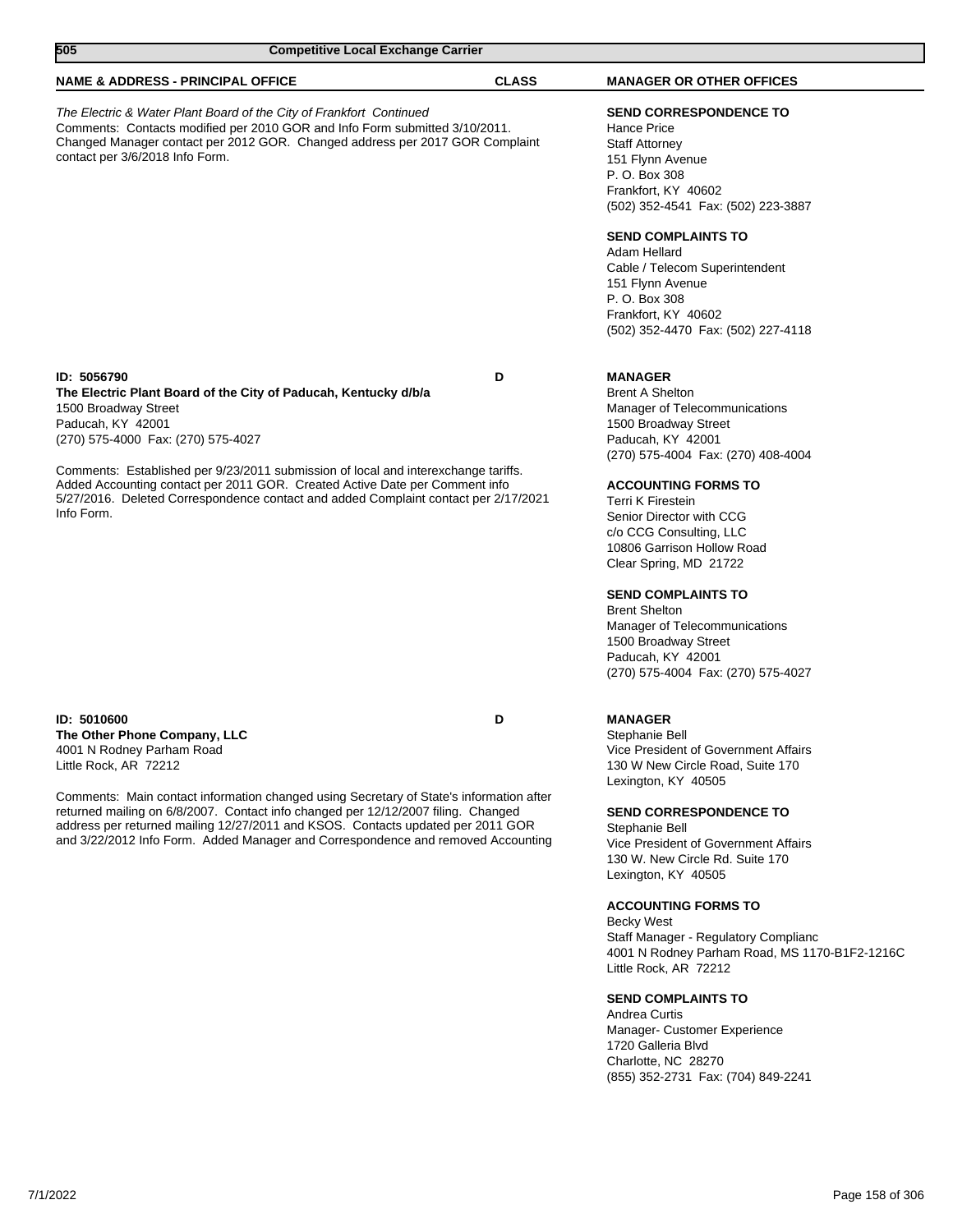| 505                                                                                                          | <b>Competitive Local Exchange Carrier</b>                                                                                                                                                                                                                                                                                                           |              |                                                                                                                                                                                                                                                                                      |
|--------------------------------------------------------------------------------------------------------------|-----------------------------------------------------------------------------------------------------------------------------------------------------------------------------------------------------------------------------------------------------------------------------------------------------------------------------------------------------|--------------|--------------------------------------------------------------------------------------------------------------------------------------------------------------------------------------------------------------------------------------------------------------------------------------|
| <b>NAME &amp; ADDRESS - PRINCIPAL OFFICE</b>                                                                 |                                                                                                                                                                                                                                                                                                                                                     | <b>CLASS</b> | <b>MANAGER OR OTHER OFFICES</b>                                                                                                                                                                                                                                                      |
| contact per 3/6/2018 Info Form.                                                                              | The Electric & Water Plant Board of the City of Frankfort Continued<br>Comments: Contacts modified per 2010 GOR and Info Form submitted 3/10/2011.<br>Changed Manager contact per 2012 GOR. Changed address per 2017 GOR Complaint                                                                                                                  |              | <b>SEND CORRESPONDENCE TO</b><br><b>Hance Price</b><br><b>Staff Attorney</b><br>151 Flynn Avenue<br>P. O. Box 308<br>Frankfort, KY 40602<br>(502) 352-4541 Fax: (502) 223-3887<br><b>SEND COMPLAINTS TO</b>                                                                          |
|                                                                                                              |                                                                                                                                                                                                                                                                                                                                                     |              | Adam Hellard<br>Cable / Telecom Superintendent<br>151 Flynn Avenue<br>P. O. Box 308<br>Frankfort, KY 40602<br>(502) 352-4470 Fax: (502) 227-4118                                                                                                                                     |
| ID: 5056790<br>1500 Broadway Street<br>Paducah, KY 42001<br>(270) 575-4000 Fax: (270) 575-4027<br>Info Form. | The Electric Plant Board of the City of Paducah, Kentucky d/b/a<br>Comments: Established per 9/23/2011 submission of local and interexchange tariffs.<br>Added Accounting contact per 2011 GOR. Created Active Date per Comment info<br>5/27/2016. Deleted Correspondence contact and added Complaint contact per 2/17/2021                         | D            | <b>MANAGER</b><br><b>Brent A Shelton</b><br>Manager of Telecommunications<br>1500 Broadway Street<br>Paducah, KY 42001<br>(270) 575-4004 Fax: (270) 408-4004<br><b>ACCOUNTING FORMS TO</b><br><b>Terri K Firestein</b>                                                               |
|                                                                                                              |                                                                                                                                                                                                                                                                                                                                                     |              | Senior Director with CCG<br>c/o CCG Consulting, LLC<br>10806 Garrison Hollow Road<br>Clear Spring, MD 21722<br><b>SEND COMPLAINTS TO</b><br><b>Brent Shelton</b><br>Manager of Telecommunications<br>1500 Broadway Street<br>Paducah, KY 42001<br>(270) 575-4004 Fax: (270) 575-4027 |
| ID: 5010600<br>The Other Phone Company, LLC<br>4001 N Rodney Parham Road<br>Little Rock, AR 72212            |                                                                                                                                                                                                                                                                                                                                                     | D            | <b>MANAGER</b><br>Stephanie Bell<br>Vice President of Government Affairs<br>130 W New Circle Road, Suite 170<br>Lexington, KY 40505                                                                                                                                                  |
|                                                                                                              | Comments: Main contact information changed using Secretary of State's information after<br>returned mailing on 6/8/2007. Contact info changed per 12/12/2007 filing. Changed<br>address per returned mailing 12/27/2011 and KSOS. Contacts updated per 2011 GOR<br>and 3/22/2012 Info Form. Added Manager and Correspondence and removed Accounting |              | <b>SEND CORRESPONDENCE TO</b><br>Stephanie Bell<br>Vice President of Government Affairs<br>130 W. New Circle Rd. Suite 170<br>Lexington, KY 40505                                                                                                                                    |
|                                                                                                              |                                                                                                                                                                                                                                                                                                                                                     |              | <b>ACCOUNTING FORMS TO</b><br><b>Becky West</b><br>Staff Manager - Regulatory Complianc<br>4001 N Rodney Parham Road, MS 1170-B1F2-1216C<br>Little Rock, AR 72212                                                                                                                    |
|                                                                                                              |                                                                                                                                                                                                                                                                                                                                                     |              | <b>SEND COMPLAINTS TO</b>                                                                                                                                                                                                                                                            |

Andrea Curtis Manager- Customer Experience 1720 Galleria Blvd Charlotte, NC 28270 (855) 352-2731 Fax: (704) 849-2241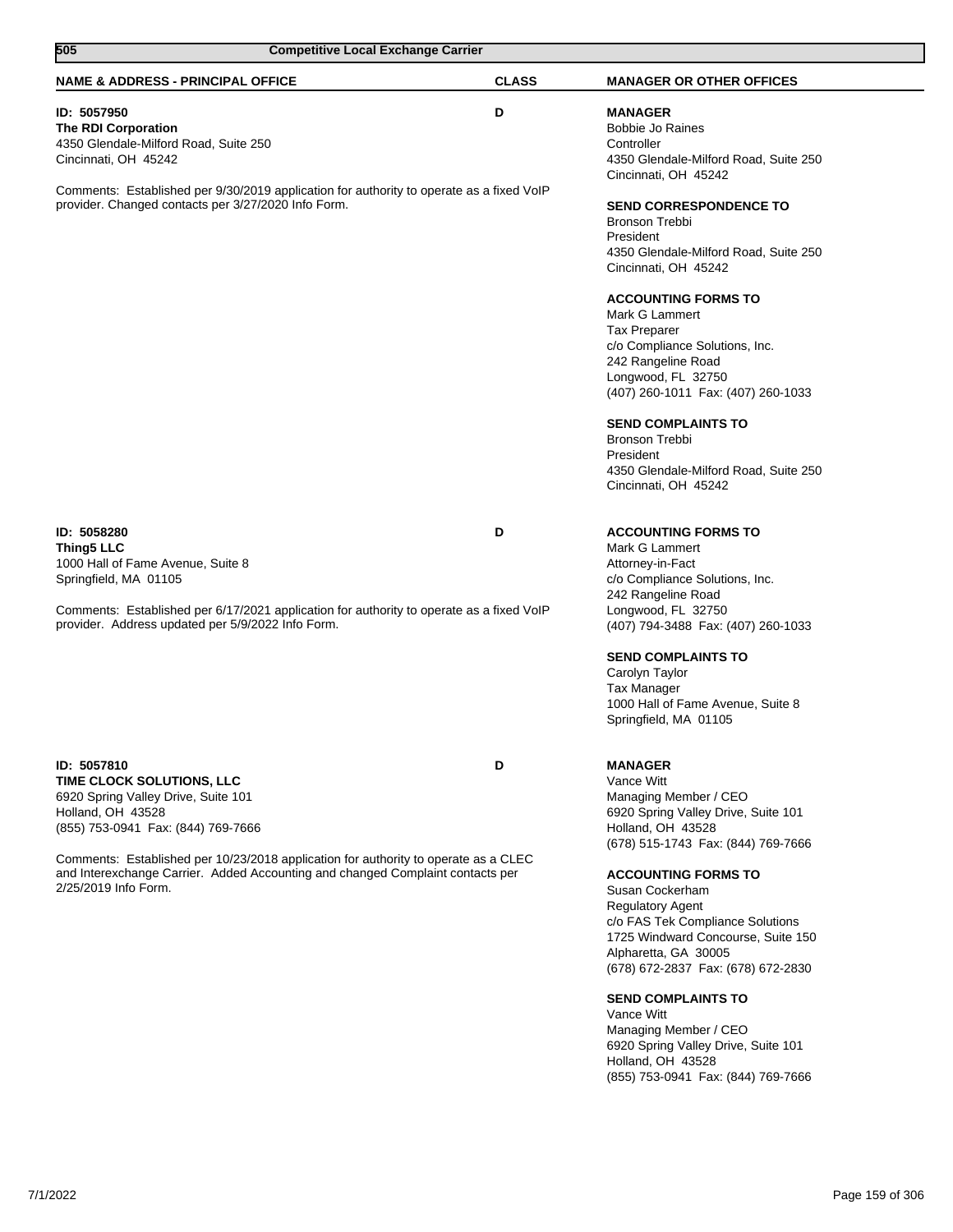| 505<br><b>Competitive Local Exchange Carrier</b>                                                                                                                                                                                                                                                                                            |              |                                                                                                                                                                                                                                                                                                               |
|---------------------------------------------------------------------------------------------------------------------------------------------------------------------------------------------------------------------------------------------------------------------------------------------------------------------------------------------|--------------|---------------------------------------------------------------------------------------------------------------------------------------------------------------------------------------------------------------------------------------------------------------------------------------------------------------|
| <b>NAME &amp; ADDRESS - PRINCIPAL OFFICE</b>                                                                                                                                                                                                                                                                                                | <b>CLASS</b> | <b>MANAGER OR OTHER OFFICES</b>                                                                                                                                                                                                                                                                               |
| ID: 5057950<br><b>The RDI Corporation</b><br>4350 Glendale-Milford Road, Suite 250<br>Cincinnati, OH 45242                                                                                                                                                                                                                                  | D            | <b>MANAGER</b><br><b>Bobbie Jo Raines</b><br>Controller<br>4350 Glendale-Milford Road, Suite 250<br>Cincinnati, OH 45242                                                                                                                                                                                      |
| Comments: Established per 9/30/2019 application for authority to operate as a fixed VoIP<br>provider. Changed contacts per 3/27/2020 Info Form.                                                                                                                                                                                             |              | <b>SEND CORRESPONDENCE TO</b><br><b>Bronson Trebbi</b><br>President<br>4350 Glendale-Milford Road, Suite 250<br>Cincinnati, OH 45242                                                                                                                                                                          |
|                                                                                                                                                                                                                                                                                                                                             |              | <b>ACCOUNTING FORMS TO</b><br>Mark G Lammert<br><b>Tax Preparer</b><br>c/o Compliance Solutions, Inc.<br>242 Rangeline Road<br>Longwood, FL 32750<br>(407) 260-1011 Fax: (407) 260-1033                                                                                                                       |
|                                                                                                                                                                                                                                                                                                                                             |              | <b>SEND COMPLAINTS TO</b><br><b>Bronson Trebbi</b><br>President<br>4350 Glendale-Milford Road, Suite 250<br>Cincinnati, OH 45242                                                                                                                                                                              |
| ID: 5058280<br><b>Thing5 LLC</b><br>1000 Hall of Fame Avenue, Suite 8<br>Springfield, MA 01105                                                                                                                                                                                                                                              | D            | <b>ACCOUNTING FORMS TO</b><br>Mark G Lammert<br>Attorney-in-Fact<br>c/o Compliance Solutions, Inc.<br>242 Rangeline Road                                                                                                                                                                                      |
| Comments: Established per 6/17/2021 application for authority to operate as a fixed VoIP<br>provider. Address updated per 5/9/2022 Info Form.                                                                                                                                                                                               |              | Longwood, FL 32750<br>(407) 794-3488 Fax: (407) 260-1033                                                                                                                                                                                                                                                      |
|                                                                                                                                                                                                                                                                                                                                             |              | <b>SEND COMPLAINTS TO</b><br>Carolyn Taylor<br>Tax Manager<br>1000 Hall of Fame Avenue, Suite 8<br>Springfield, MA 01105                                                                                                                                                                                      |
| ID: 5057810<br>TIME CLOCK SOLUTIONS, LLC<br>6920 Spring Valley Drive, Suite 101<br>Holland, OH 43528<br>(855) 753-0941 Fax: (844) 769-7666<br>Comments: Established per 10/23/2018 application for authority to operate as a CLEC<br>and Interexchange Carrier. Added Accounting and changed Complaint contacts per<br>2/25/2019 Info Form. | D            | <b>MANAGER</b><br>Vance Witt<br>Managing Member / CEO<br>6920 Spring Valley Drive, Suite 101<br>Holland, OH 43528<br>(678) 515-1743 Fax: (844) 769-7666<br><b>ACCOUNTING FORMS TO</b><br>Susan Cockerham<br><b>Regulatory Agent</b><br>c/o FAS Tek Compliance Solutions<br>1725 Windward Concourse, Suite 150 |
|                                                                                                                                                                                                                                                                                                                                             |              | Alpharetta, GA 30005<br>(678) 672-2837 Fax: (678) 672-2830<br><b>SEND COMPLAINTS TO</b><br>Vance Witt<br>Managing Member / CEO<br>6920 Spring Valley Drive, Suite 101<br>Holland, OH 43528<br>(855) 753-0941 Fax: (844) 769-7666                                                                              |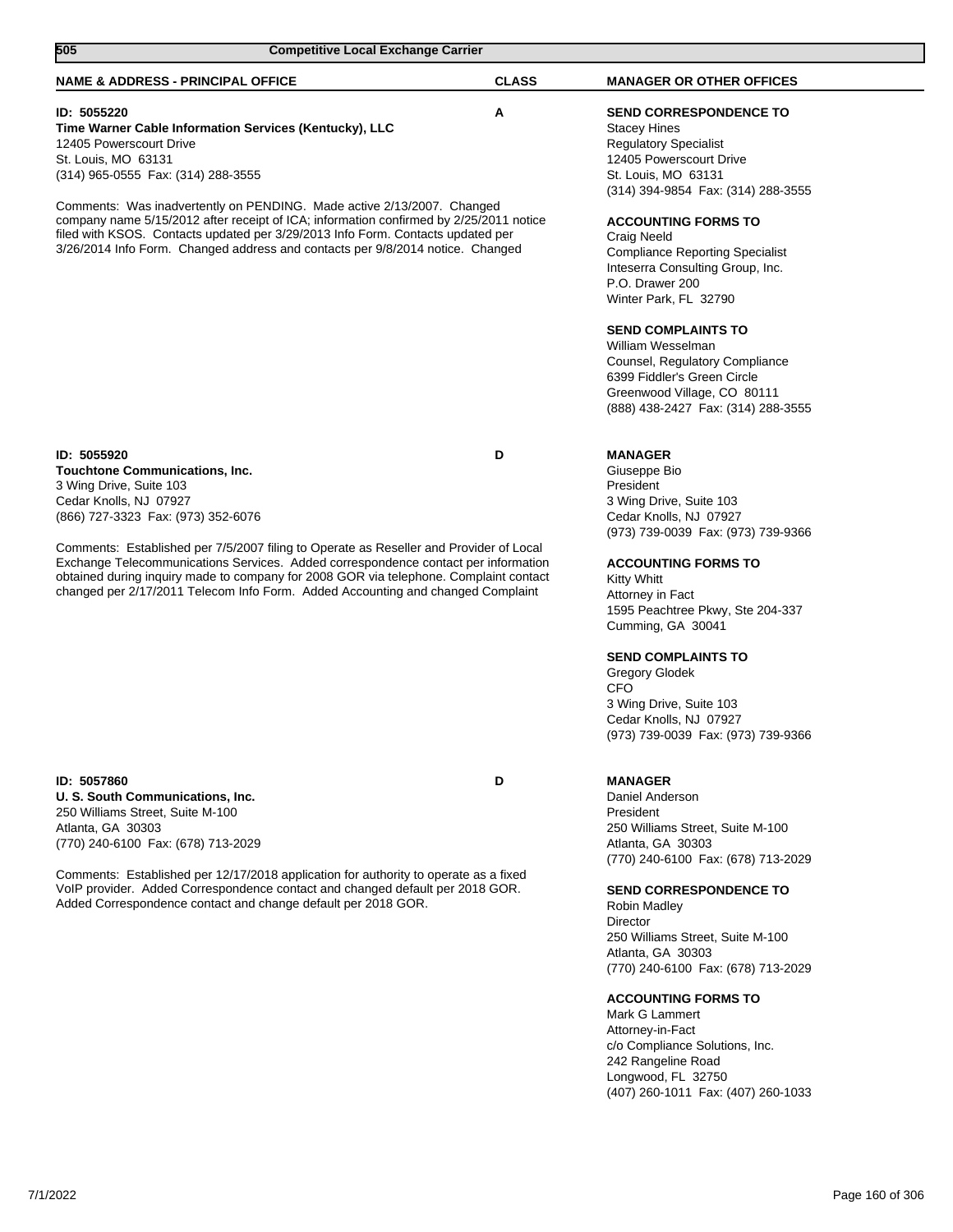| 505<br><b>Competitive Local Exchange Carrier</b>                                                                                                                                                                                                                                                                                                                                                                                                                                                            |              |                                                                                                                                                                                                                                                                                                                                                                                                                                 |
|-------------------------------------------------------------------------------------------------------------------------------------------------------------------------------------------------------------------------------------------------------------------------------------------------------------------------------------------------------------------------------------------------------------------------------------------------------------------------------------------------------------|--------------|---------------------------------------------------------------------------------------------------------------------------------------------------------------------------------------------------------------------------------------------------------------------------------------------------------------------------------------------------------------------------------------------------------------------------------|
| <b>NAME &amp; ADDRESS - PRINCIPAL OFFICE</b>                                                                                                                                                                                                                                                                                                                                                                                                                                                                | <b>CLASS</b> | <b>MANAGER OR OTHER OFFICES</b>                                                                                                                                                                                                                                                                                                                                                                                                 |
| ID: 5055220<br>Time Warner Cable Information Services (Kentucky), LLC<br>12405 Powerscourt Drive<br>St. Louis, MO 63131<br>(314) 965-0555 Fax: (314) 288-3555                                                                                                                                                                                                                                                                                                                                               | Α            | SEND CORRESPONDENCE TO<br><b>Stacey Hines</b><br><b>Regulatory Specialist</b><br>12405 Powerscourt Drive<br>St. Louis, MO 63131                                                                                                                                                                                                                                                                                                 |
| Comments: Was inadvertently on PENDING. Made active 2/13/2007. Changed<br>company name 5/15/2012 after receipt of ICA; information confirmed by 2/25/2011 notice<br>filed with KSOS. Contacts updated per 3/29/2013 Info Form. Contacts updated per<br>3/26/2014 Info Form. Changed address and contacts per 9/8/2014 notice. Changed                                                                                                                                                                       |              | (314) 394-9854 Fax: (314) 288-3555<br><b>ACCOUNTING FORMS TO</b><br><b>Craig Neeld</b><br><b>Compliance Reporting Specialist</b><br>Inteserra Consulting Group, Inc.<br>P.O. Drawer 200<br>Winter Park, FL 32790<br><b>SEND COMPLAINTS TO</b><br>William Wesselman<br>Counsel, Regulatory Compliance<br>6399 Fiddler's Green Circle<br>Greenwood Village, CO 80111<br>(888) 438-2427 Fax: (314) 288-3555                        |
| ID: 5055920<br><b>Touchtone Communications, Inc.</b><br>3 Wing Drive, Suite 103<br>Cedar Knolls, NJ 07927<br>(866) 727-3323 Fax: (973) 352-6076<br>Comments: Established per 7/5/2007 filing to Operate as Reseller and Provider of Local<br>Exchange Telecommunications Services. Added correspondence contact per information<br>obtained during inquiry made to company for 2008 GOR via telephone. Complaint contact<br>changed per 2/17/2011 Telecom Info Form. Added Accounting and changed Complaint | D            | <b>MANAGER</b><br>Giuseppe Bio<br>President<br>3 Wing Drive, Suite 103<br>Cedar Knolls, NJ 07927<br>(973) 739-0039 Fax: (973) 739-9366<br><b>ACCOUNTING FORMS TO</b><br><b>Kitty Whitt</b><br>Attorney in Fact<br>1595 Peachtree Pkwy, Ste 204-337<br>Cumming, GA 30041<br><b>SEND COMPLAINTS TO</b><br>Gregory Glodek<br><b>CFO</b><br>3 Wing Drive, Suite 103<br>Cedar Knolls, NJ 07927<br>(973) 739-0039 Fax: (973) 739-9366 |
| ID: 5057860<br>U. S. South Communications, Inc.<br>250 Williams Street, Suite M-100<br>Atlanta, GA 30303<br>(770) 240-6100 Fax: (678) 713-2029<br>Comments: Established per 12/17/2018 application for authority to operate as a fixed<br>VoIP provider. Added Correspondence contact and changed default per 2018 GOR.<br>Added Correspondence contact and change default per 2018 GOR.                                                                                                                    | D            | <b>MANAGER</b><br>Daniel Anderson<br>President<br>250 Williams Street, Suite M-100<br>Atlanta, GA 30303<br>(770) 240-6100 Fax: (678) 713-2029<br><b>SEND CORRESPONDENCE TO</b><br>Robin Madley<br><b>Director</b><br>250 Williams Street, Suite M-100<br>Atlanta, GA 30303<br>(770) 240-6100 Fax: (678) 713-2029<br><b>ACCOUNTING FORMS TO</b><br>Mark G Lammert<br>Attorney-in-Fact<br>c/o Compliance Solutions, Inc.          |
|                                                                                                                                                                                                                                                                                                                                                                                                                                                                                                             |              | 242 Rangeline Road<br>Longwood, FL 32750<br>(407) 260-1011 Fax: (407) 260-1033                                                                                                                                                                                                                                                                                                                                                  |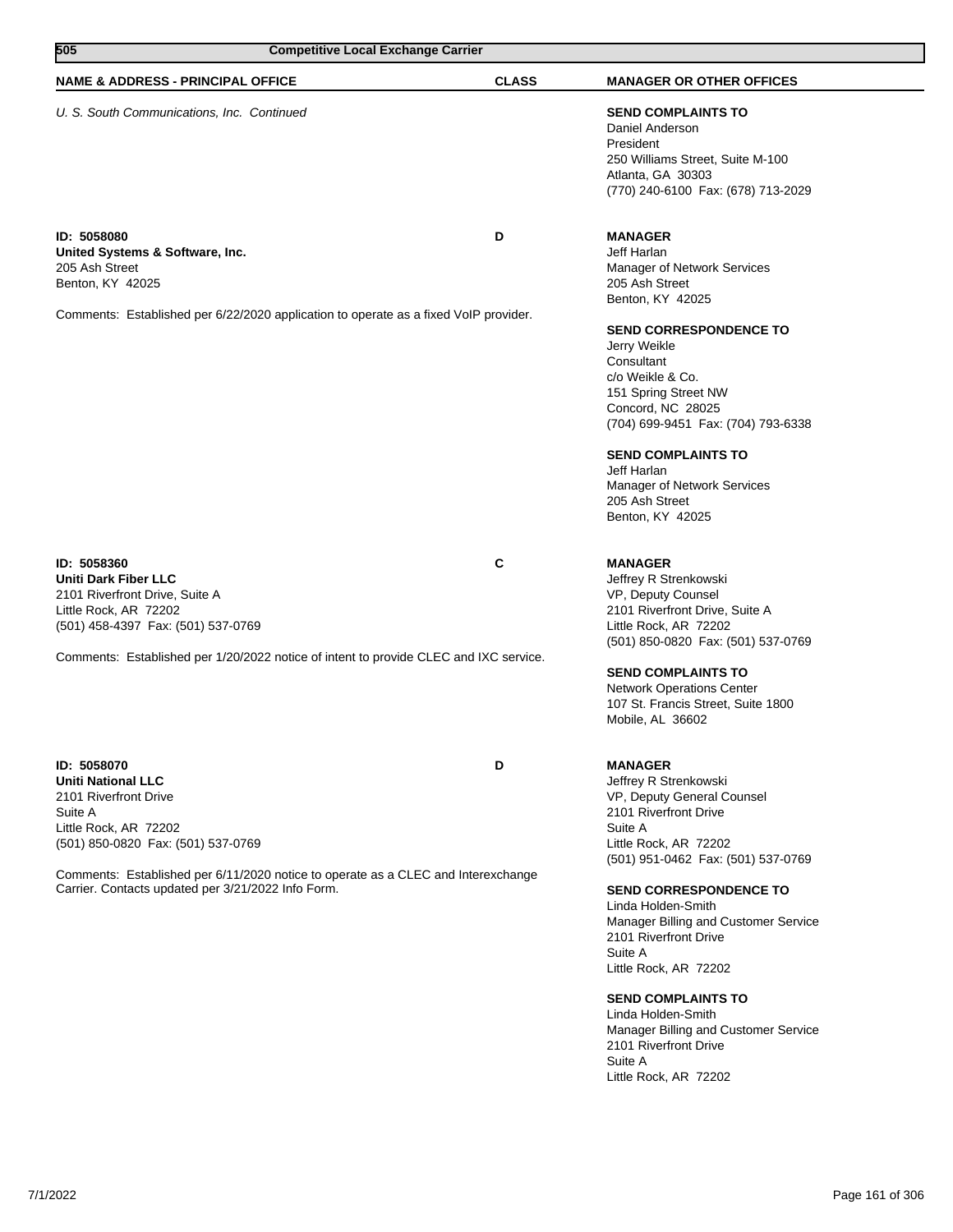| 505<br><b>Competitive Local Exchange Carrier</b>                                                                                                                                                                                                                                       |              |                                                                                                                                                                                                                                                                                                                                                                                                                                                                                              |
|----------------------------------------------------------------------------------------------------------------------------------------------------------------------------------------------------------------------------------------------------------------------------------------|--------------|----------------------------------------------------------------------------------------------------------------------------------------------------------------------------------------------------------------------------------------------------------------------------------------------------------------------------------------------------------------------------------------------------------------------------------------------------------------------------------------------|
| <b>NAME &amp; ADDRESS - PRINCIPAL OFFICE</b>                                                                                                                                                                                                                                           | <b>CLASS</b> | <b>MANAGER OR OTHER OFFICES</b>                                                                                                                                                                                                                                                                                                                                                                                                                                                              |
| U. S. South Communications, Inc. Continued                                                                                                                                                                                                                                             |              | <b>SEND COMPLAINTS TO</b><br>Daniel Anderson<br>President<br>250 Williams Street, Suite M-100<br>Atlanta, GA 30303<br>(770) 240-6100 Fax: (678) 713-2029                                                                                                                                                                                                                                                                                                                                     |
| ID: 5058080<br>United Systems & Software, Inc.<br>205 Ash Street<br>Benton, KY 42025<br>Comments: Established per 6/22/2020 application to operate as a fixed VoIP provider.                                                                                                           | D            | <b>MANAGER</b><br>Jeff Harlan<br>Manager of Network Services<br>205 Ash Street<br>Benton, KY 42025<br><b>SEND CORRESPONDENCE TO</b><br>Jerry Weikle<br>Consultant<br>c/o Weikle & Co.<br>151 Spring Street NW<br>Concord, NC 28025<br>(704) 699-9451 Fax: (704) 793-6338<br><b>SEND COMPLAINTS TO</b><br>Jeff Harlan<br>Manager of Network Services<br>205 Ash Street<br>Benton, KY 42025                                                                                                    |
| ID: 5058360<br><b>Uniti Dark Fiber LLC</b><br>2101 Riverfront Drive, Suite A<br>Little Rock, AR 72202<br>(501) 458-4397 Fax: (501) 537-0769<br>Comments: Established per 1/20/2022 notice of intent to provide CLEC and IXC service.                                                   | C            | <b>MANAGER</b><br>Jeffrey R Strenkowski<br>VP, Deputy Counsel<br>2101 Riverfront Drive, Suite A<br>Little Rock, AR 72202<br>(501) 850-0820 Fax: (501) 537-0769<br><b>SEND COMPLAINTS TO</b><br>Network Operations Center<br>107 St. Francis Street, Suite 1800<br>Mobile, AL 36602                                                                                                                                                                                                           |
| ID: 5058070<br><b>Uniti National LLC</b><br>2101 Riverfront Drive<br>Suite A<br>Little Rock, AR 72202<br>(501) 850-0820 Fax: (501) 537-0769<br>Comments: Established per 6/11/2020 notice to operate as a CLEC and Interexchange<br>Carrier. Contacts updated per 3/21/2022 Info Form. | D            | <b>MANAGER</b><br>Jeffrey R Strenkowski<br>VP, Deputy General Counsel<br>2101 Riverfront Drive<br>Suite A<br>Little Rock, AR 72202<br>(501) 951-0462 Fax: (501) 537-0769<br><b>SEND CORRESPONDENCE TO</b><br>Linda Holden-Smith<br>Manager Billing and Customer Service<br>2101 Riverfront Drive<br>Suite A<br>Little Rock, AR 72202<br><b>SEND COMPLAINTS TO</b><br>Linda Holden-Smith<br>Manager Billing and Customer Service<br>2101 Riverfront Drive<br>Suite A<br>Little Rock, AR 72202 |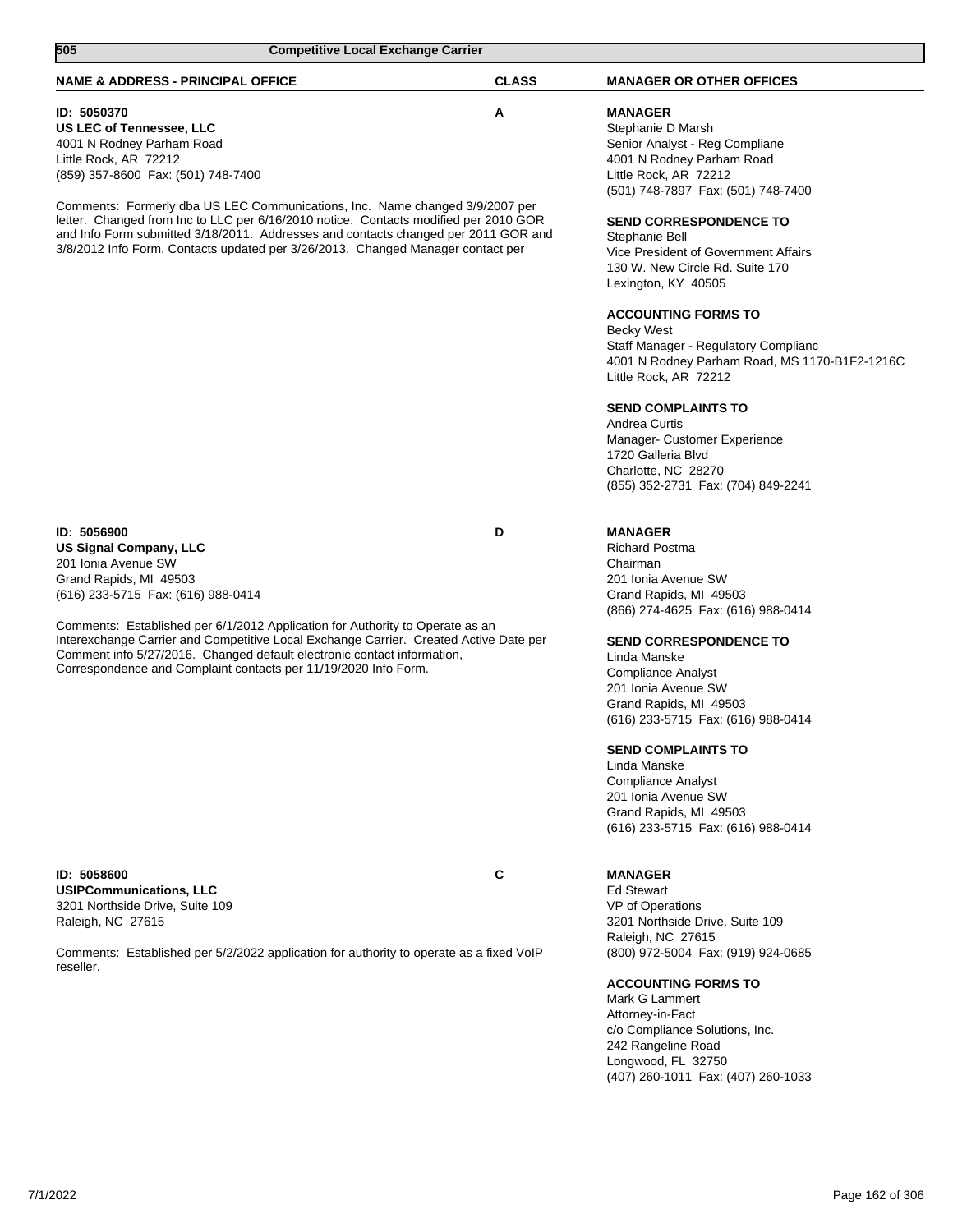| 505<br><b>Competitive Local Exchange Carrier</b>                                                                                                                                                                                                                                                                     |              |                                                                                                                                                                                                                            |
|----------------------------------------------------------------------------------------------------------------------------------------------------------------------------------------------------------------------------------------------------------------------------------------------------------------------|--------------|----------------------------------------------------------------------------------------------------------------------------------------------------------------------------------------------------------------------------|
| <b>NAME &amp; ADDRESS - PRINCIPAL OFFICE</b>                                                                                                                                                                                                                                                                         | <b>CLASS</b> | <b>MANAGER OR OTHER OFFICES</b>                                                                                                                                                                                            |
| ID: 5050370<br><b>US LEC of Tennessee, LLC</b><br>4001 N Rodney Parham Road<br>Little Rock, AR 72212<br>(859) 357-8600 Fax: (501) 748-7400<br>Comments: Formerly dba US LEC Communications, Inc. Name changed 3/9/2007 per                                                                                           | Α            | <b>MANAGER</b><br>Stephanie D Marsh<br>Senior Analyst - Reg Compliane<br>4001 N Rodney Parham Road<br>Little Rock, AR 72212<br>(501) 748-7897 Fax: (501) 748-7400                                                          |
| letter. Changed from Inc to LLC per 6/16/2010 notice. Contacts modified per 2010 GOR<br>and Info Form submitted 3/18/2011. Addresses and contacts changed per 2011 GOR and<br>3/8/2012 Info Form. Contacts updated per 3/26/2013. Changed Manager contact per                                                        |              | <b>SEND CORRESPONDENCE TO</b><br>Stephanie Bell<br>Vice President of Government Affairs<br>130 W. New Circle Rd. Suite 170<br>Lexington, KY 40505                                                                          |
|                                                                                                                                                                                                                                                                                                                      |              | <b>ACCOUNTING FORMS TO</b><br><b>Becky West</b><br>Staff Manager - Regulatory Complianc<br>4001 N Rodney Parham Road, MS 1170-B1F2-1216C<br>Little Rock, AR 72212                                                          |
|                                                                                                                                                                                                                                                                                                                      |              | <b>SEND COMPLAINTS TO</b><br>Andrea Curtis<br>Manager- Customer Experience<br>1720 Galleria Blvd<br>Charlotte, NC 28270<br>(855) 352-2731 Fax: (704) 849-2241                                                              |
| ID: 5056900<br><b>US Signal Company, LLC</b><br>201 Ionia Avenue SW<br>Grand Rapids, MI 49503<br>(616) 233-5715 Fax: (616) 988-0414                                                                                                                                                                                  | D            | <b>MANAGER</b><br><b>Richard Postma</b><br>Chairman<br>201 Ionia Avenue SW<br>Grand Rapids, MI 49503                                                                                                                       |
| Comments: Established per 6/1/2012 Application for Authority to Operate as an<br>Interexchange Carrier and Competitive Local Exchange Carrier. Created Active Date per<br>Comment info 5/27/2016. Changed default electronic contact information,<br>Correspondence and Complaint contacts per 11/19/2020 Info Form. |              | (866) 274-4625 Fax: (616) 988-0414<br><b>SEND CORRESPONDENCE TO</b><br>Linda Manske<br>Compliance Analyst<br>201 Ionia Avenue SW<br>Grand Rapids, MI 49503<br>(616) 233-5715 Fax: (616) 988-0414                           |
|                                                                                                                                                                                                                                                                                                                      |              | <b>SEND COMPLAINTS TO</b><br>Linda Manske<br><b>Compliance Analyst</b><br>201 Ionia Avenue SW<br>Grand Rapids, MI 49503<br>(616) 233-5715 Fax: (616) 988-0414                                                              |
| ID: 5058600<br><b>USIPCommunications, LLC</b><br>3201 Northside Drive, Suite 109<br>Raleigh, NC 27615                                                                                                                                                                                                                | C            | <b>MANAGER</b><br><b>Ed Stewart</b><br>VP of Operations<br>3201 Northside Drive, Suite 109<br>Raleigh, NC 27615                                                                                                            |
| Comments: Established per 5/2/2022 application for authority to operate as a fixed VoIP<br>reseller.                                                                                                                                                                                                                 |              | (800) 972-5004 Fax: (919) 924-0685<br><b>ACCOUNTING FORMS TO</b><br>Mark G Lammert<br>Attorney-in-Fact<br>c/o Compliance Solutions, Inc.<br>242 Rangeline Road<br>Longwood, FL 32750<br>(407) 260-1011 Fax: (407) 260-1033 |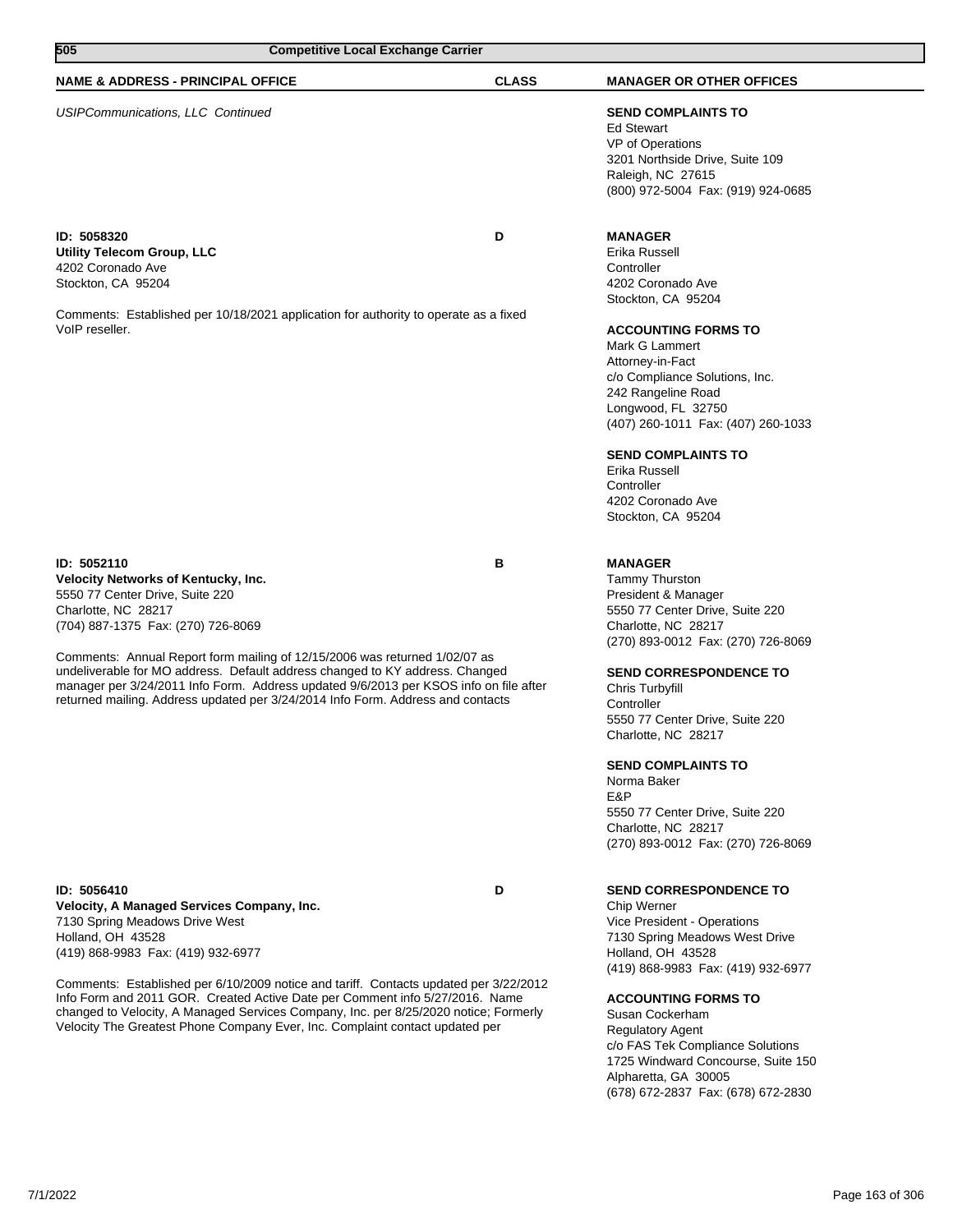| 505<br><b>Competitive Local Exchange Carrier</b>                                                                                                                                                                                                                                                                                              |              |                                                                                                                                                                                                                                                                                                                   |
|-----------------------------------------------------------------------------------------------------------------------------------------------------------------------------------------------------------------------------------------------------------------------------------------------------------------------------------------------|--------------|-------------------------------------------------------------------------------------------------------------------------------------------------------------------------------------------------------------------------------------------------------------------------------------------------------------------|
| <b>NAME &amp; ADDRESS - PRINCIPAL OFFICE</b>                                                                                                                                                                                                                                                                                                  | <b>CLASS</b> | <b>MANAGER OR OTHER OFFICES</b>                                                                                                                                                                                                                                                                                   |
| <b>USIPCommunications, LLC Continued</b>                                                                                                                                                                                                                                                                                                      |              | <b>SEND COMPLAINTS TO</b><br><b>Ed Stewart</b><br>VP of Operations<br>3201 Northside Drive, Suite 109<br>Raleigh, NC 27615<br>(800) 972-5004 Fax: (919) 924-0685                                                                                                                                                  |
| ID: 5058320<br>Utility Telecom Group, LLC<br>4202 Coronado Ave<br>Stockton, CA 95204                                                                                                                                                                                                                                                          | D            | <b>MANAGER</b><br>Erika Russell<br>Controller<br>4202 Coronado Ave<br>Stockton, CA 95204                                                                                                                                                                                                                          |
| Comments: Established per 10/18/2021 application for authority to operate as a fixed<br>VoIP reseller.                                                                                                                                                                                                                                        |              | <b>ACCOUNTING FORMS TO</b><br>Mark G Lammert<br>Attorney-in-Fact<br>c/o Compliance Solutions, Inc.<br>242 Rangeline Road<br>Longwood, FL 32750<br>(407) 260-1011 Fax: (407) 260-1033<br><b>SEND COMPLAINTS TO</b><br>Erika Russell<br>Controller<br>4202 Coronado Ave<br>Stockton, CA 95204                       |
| ID: 5052110<br>Velocity Networks of Kentucky, Inc.<br>5550 77 Center Drive, Suite 220<br>Charlotte, NC 28217<br>(704) 887-1375 Fax: (270) 726-8069                                                                                                                                                                                            | В            | <b>MANAGER</b><br><b>Tammy Thurston</b><br>President & Manager<br>5550 77 Center Drive, Suite 220<br>Charlotte, NC 28217                                                                                                                                                                                          |
| Comments: Annual Report form mailing of 12/15/2006 was returned 1/02/07 as<br>undeliverable for MO address. Default address changed to KY address. Changed<br>manager per 3/24/2011 Info Form. Address updated 9/6/2013 per KSOS info on file after<br>returned mailing. Address updated per 3/24/2014 Info Form. Address and contacts        |              | (270) 893-0012 Fax: (270) 726-8069<br><b>SEND CORRESPONDENCE TO</b><br>Chris Turbyfill<br>Controller<br>5550 77 Center Drive, Suite 220<br>Charlotte, NC 28217<br><b>SEND COMPLAINTS TO</b><br>Norma Baker<br>E&P<br>5550 77 Center Drive, Suite 220<br>Charlotte, NC 28217<br>(270) 893-0012 Fax: (270) 726-8069 |
| ID: 5056410<br>Velocity, A Managed Services Company, Inc.<br>7130 Spring Meadows Drive West<br>Holland, OH 43528<br>(419) 868-9983 Fax: (419) 932-6977                                                                                                                                                                                        | D            | <b>SEND CORRESPONDENCE TO</b><br>Chip Werner<br>Vice President - Operations<br>7130 Spring Meadows West Drive<br>Holland, OH 43528<br>(419) 868-9983 Fax: (419) 932-6977                                                                                                                                          |
| Comments: Established per 6/10/2009 notice and tariff. Contacts updated per 3/22/2012<br>Info Form and 2011 GOR. Created Active Date per Comment info 5/27/2016. Name<br>changed to Velocity, A Managed Services Company, Inc. per 8/25/2020 notice; Formerly<br>Velocity The Greatest Phone Company Ever, Inc. Complaint contact updated per |              | <b>ACCOUNTING FORMS TO</b><br>Susan Cockerham<br><b>Regulatory Agent</b>                                                                                                                                                                                                                                          |

c/o FAS Tek Compliance Solutions 1725 Windward Concourse, Suite 150

(678) 672-2837 Fax: (678) 672-2830

Alpharetta, GA 30005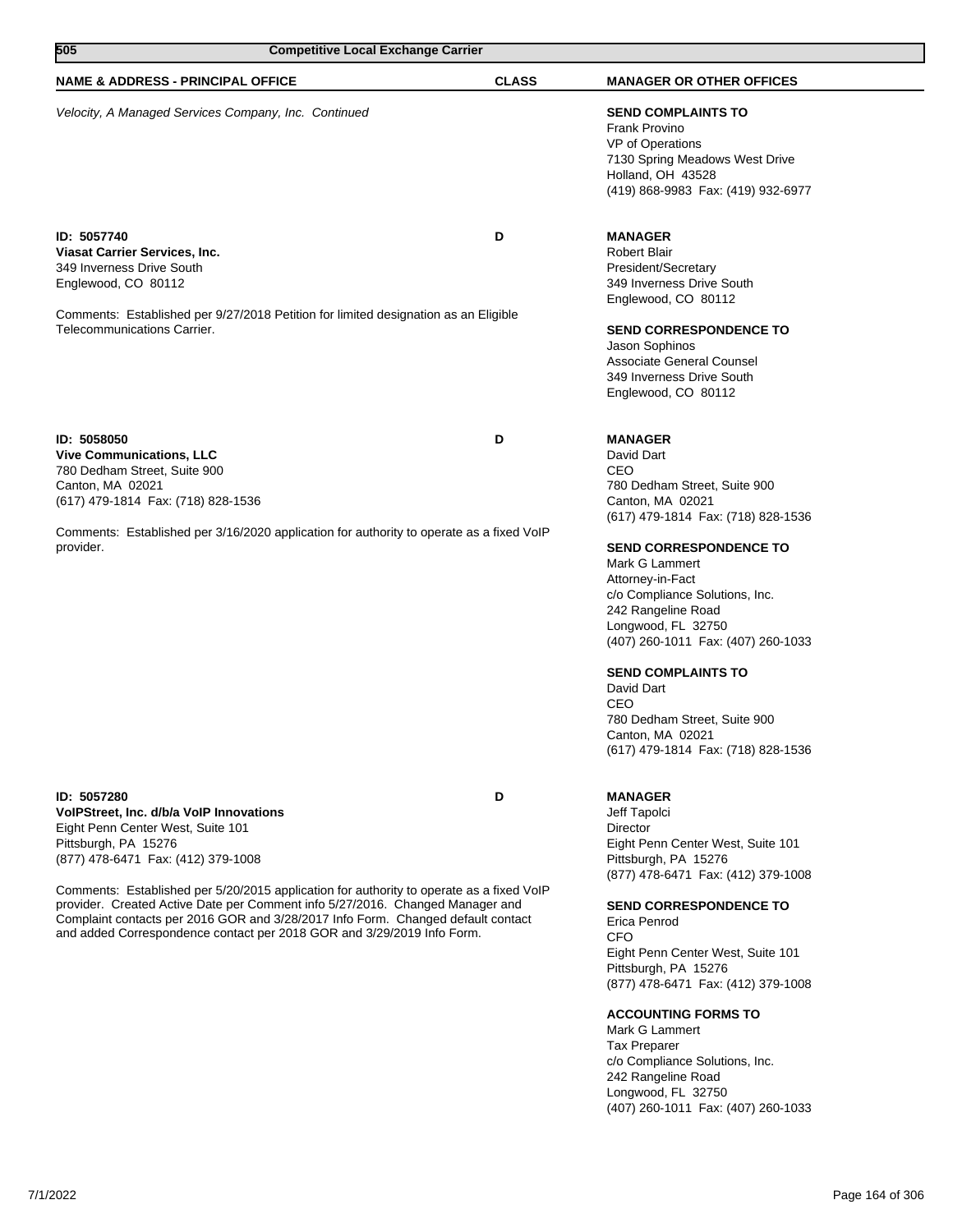| 505                                                                                                                                                                                                                                                                                                                                                                                                                                                                                                  | <b>Competitive Local Exchange Carrier</b> |              |                                                                                                                                                                                                                                                                                                                                                                                                                                                                      |
|------------------------------------------------------------------------------------------------------------------------------------------------------------------------------------------------------------------------------------------------------------------------------------------------------------------------------------------------------------------------------------------------------------------------------------------------------------------------------------------------------|-------------------------------------------|--------------|----------------------------------------------------------------------------------------------------------------------------------------------------------------------------------------------------------------------------------------------------------------------------------------------------------------------------------------------------------------------------------------------------------------------------------------------------------------------|
| <b>NAME &amp; ADDRESS - PRINCIPAL OFFICE</b>                                                                                                                                                                                                                                                                                                                                                                                                                                                         |                                           | <b>CLASS</b> | <b>MANAGER OR OTHER OFFICES</b>                                                                                                                                                                                                                                                                                                                                                                                                                                      |
| Velocity, A Managed Services Company, Inc. Continued                                                                                                                                                                                                                                                                                                                                                                                                                                                 |                                           |              | <b>SEND COMPLAINTS TO</b><br><b>Frank Provino</b><br>VP of Operations<br>7130 Spring Meadows West Drive<br>Holland, OH 43528<br>(419) 868-9983 Fax: (419) 932-6977                                                                                                                                                                                                                                                                                                   |
| ID: 5057740<br>Viasat Carrier Services, Inc.<br>349 Inverness Drive South<br>Englewood, CO 80112<br>Comments: Established per 9/27/2018 Petition for limited designation as an Eligible<br>Telecommunications Carrier.                                                                                                                                                                                                                                                                               |                                           | D            | <b>MANAGER</b><br><b>Robert Blair</b><br>President/Secretary<br>349 Inverness Drive South<br>Englewood, CO 80112<br><b>SEND CORRESPONDENCE TO</b><br>Jason Sophinos<br>Associate General Counsel<br>349 Inverness Drive South<br>Englewood, CO 80112                                                                                                                                                                                                                 |
| ID: 5058050<br><b>Vive Communications, LLC</b><br>780 Dedham Street, Suite 900<br>Canton, MA 02021<br>(617) 479-1814 Fax: (718) 828-1536<br>Comments: Established per 3/16/2020 application for authority to operate as a fixed VoIP<br>provider.                                                                                                                                                                                                                                                    |                                           | D            | <b>MANAGER</b><br>David Dart<br>CEO<br>780 Dedham Street, Suite 900<br>Canton, MA 02021<br>(617) 479-1814 Fax: (718) 828-1536<br><b>SEND CORRESPONDENCE TO</b><br>Mark G Lammert<br>Attorney-in-Fact<br>c/o Compliance Solutions, Inc.<br>242 Rangeline Road<br>Longwood, FL 32750<br>(407) 260-1011 Fax: (407) 260-1033<br><b>SEND COMPLAINTS TO</b><br>David Dart<br>CEO<br>780 Dedham Street, Suite 900<br>Canton, MA 02021<br>(617) 479-1814 Fax: (718) 828-1536 |
| ID: 5057280<br>VoIPStreet, Inc. d/b/a VoIP Innovations<br>Eight Penn Center West, Suite 101<br>Pittsburgh, PA 15276<br>(877) 478-6471 Fax: (412) 379-1008<br>Comments: Established per 5/20/2015 application for authority to operate as a fixed VoIP<br>provider. Created Active Date per Comment info 5/27/2016. Changed Manager and<br>Complaint contacts per 2016 GOR and 3/28/2017 Info Form. Changed default contact<br>and added Correspondence contact per 2018 GOR and 3/29/2019 Info Form. |                                           | D            | <b>MANAGER</b><br>Jeff Tapolci<br>Director<br>Eight Penn Center West, Suite 101<br>Pittsburgh, PA 15276<br>(877) 478-6471 Fax: (412) 379-1008<br><b>SEND CORRESPONDENCE TO</b><br>Erica Penrod<br><b>CFO</b><br>Eight Penn Center West, Suite 101<br>Pittsburgh, PA 15276<br>(877) 478-6471 Fax: (412) 379-1008<br><b>ACCOUNTING FORMS TO</b><br>Mark G Lammert<br><b>Tax Preparer</b><br>c/o Compliance Solutions, Inc.                                             |

242 Rangeline Road Longwood, FL 32750

(407) 260-1011 Fax: (407) 260-1033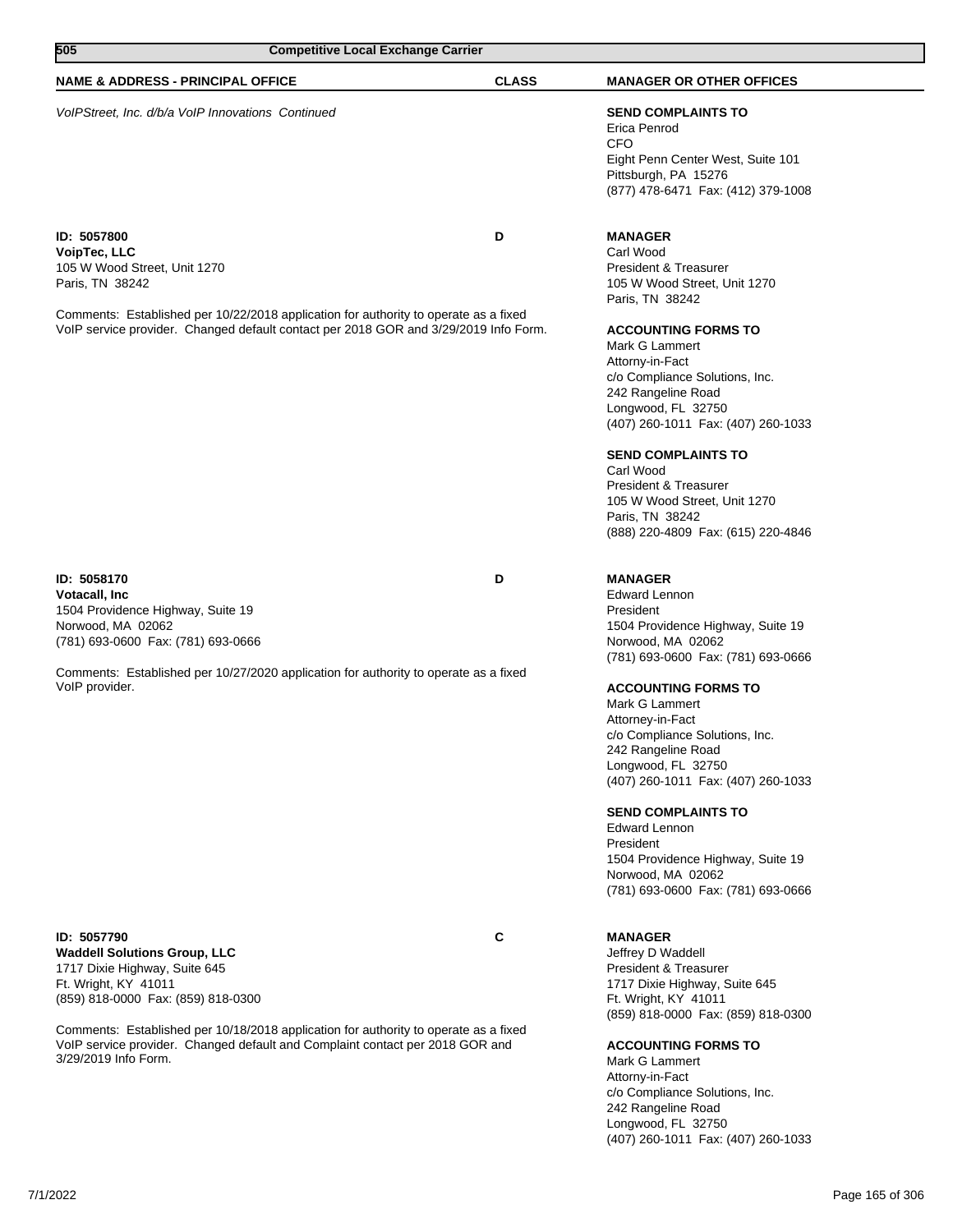| 505<br><b>Competitive Local Exchange Carrier</b>                                                                                                                                                                                                                                                                                                   |              |                                                                                                                                                                                                                                                                                                                                                                                                                                                                                                               |
|----------------------------------------------------------------------------------------------------------------------------------------------------------------------------------------------------------------------------------------------------------------------------------------------------------------------------------------------------|--------------|---------------------------------------------------------------------------------------------------------------------------------------------------------------------------------------------------------------------------------------------------------------------------------------------------------------------------------------------------------------------------------------------------------------------------------------------------------------------------------------------------------------|
| <b>NAME &amp; ADDRESS - PRINCIPAL OFFICE</b>                                                                                                                                                                                                                                                                                                       | <b>CLASS</b> | <b>MANAGER OR OTHER OFFICES</b>                                                                                                                                                                                                                                                                                                                                                                                                                                                                               |
| VoIPStreet, Inc. d/b/a VoIP Innovations Continued                                                                                                                                                                                                                                                                                                  |              | <b>SEND COMPLAINTS TO</b><br>Erica Penrod<br>CFO<br>Eight Penn Center West, Suite 101<br>Pittsburgh, PA 15276<br>(877) 478-6471 Fax: (412) 379-1008                                                                                                                                                                                                                                                                                                                                                           |
| ID: 5057800<br>VoipTec, LLC<br>105 W Wood Street, Unit 1270<br>Paris, TN 38242<br>Comments: Established per 10/22/2018 application for authority to operate as a fixed<br>VoIP service provider. Changed default contact per 2018 GOR and 3/29/2019 Info Form.                                                                                     | D            | <b>MANAGER</b><br>Carl Wood<br><b>President &amp; Treasurer</b><br>105 W Wood Street, Unit 1270<br>Paris, TN 38242<br><b>ACCOUNTING FORMS TO</b><br>Mark G Lammert<br>Attorny-in-Fact<br>c/o Compliance Solutions, Inc.<br>242 Rangeline Road<br>Longwood, FL 32750<br>(407) 260-1011 Fax: (407) 260-1033<br><b>SEND COMPLAINTS TO</b><br>Carl Wood<br>President & Treasurer<br>105 W Wood Street, Unit 1270                                                                                                  |
|                                                                                                                                                                                                                                                                                                                                                    |              | Paris, TN 38242<br>(888) 220-4809 Fax: (615) 220-4846                                                                                                                                                                                                                                                                                                                                                                                                                                                         |
| ID: 5058170<br><b>Votacall, Inc.</b><br>1504 Providence Highway, Suite 19<br>Norwood, MA 02062<br>(781) 693-0600 Fax: (781) 693-0666<br>Comments: Established per 10/27/2020 application for authority to operate as a fixed<br>VoIP provider.                                                                                                     | D            | <b>MANAGER</b><br><b>Edward Lennon</b><br>President<br>1504 Providence Highway, Suite 19<br>Norwood, MA 02062<br>(781) 693-0600 Fax: (781) 693-0666<br><b>ACCOUNTING FORMS TO</b><br>Mark G Lammert<br>Attorney-in-Fact<br>c/o Compliance Solutions, Inc.<br>242 Rangeline Road<br>Longwood, FL 32750<br>(407) 260-1011 Fax: (407) 260-1033<br><b>SEND COMPLAINTS TO</b><br><b>Edward Lennon</b><br>President<br>1504 Providence Highway, Suite 19<br>Norwood, MA 02062<br>(781) 693-0600 Fax: (781) 693-0666 |
| ID: 5057790<br><b>Waddell Solutions Group, LLC</b><br>1717 Dixie Highway, Suite 645<br>Ft. Wright, KY 41011<br>(859) 818-0000 Fax: (859) 818-0300<br>Comments: Established per 10/18/2018 application for authority to operate as a fixed<br>VoIP service provider. Changed default and Complaint contact per 2018 GOR and<br>3/29/2019 Info Form. | C            | <b>MANAGER</b><br>Jeffrey D Waddell<br>President & Treasurer<br>1717 Dixie Highway, Suite 645<br>Ft. Wright, KY 41011<br>(859) 818-0000 Fax: (859) 818-0300<br><b>ACCOUNTING FORMS TO</b><br>Mark G Lammert<br>Attorny-in-Fact<br>c/o Compliance Solutions, Inc.<br>242 Rangeline Road<br>Longwood, FL 32750<br>(407) 260-1011 Fax: (407) 260-1033                                                                                                                                                            |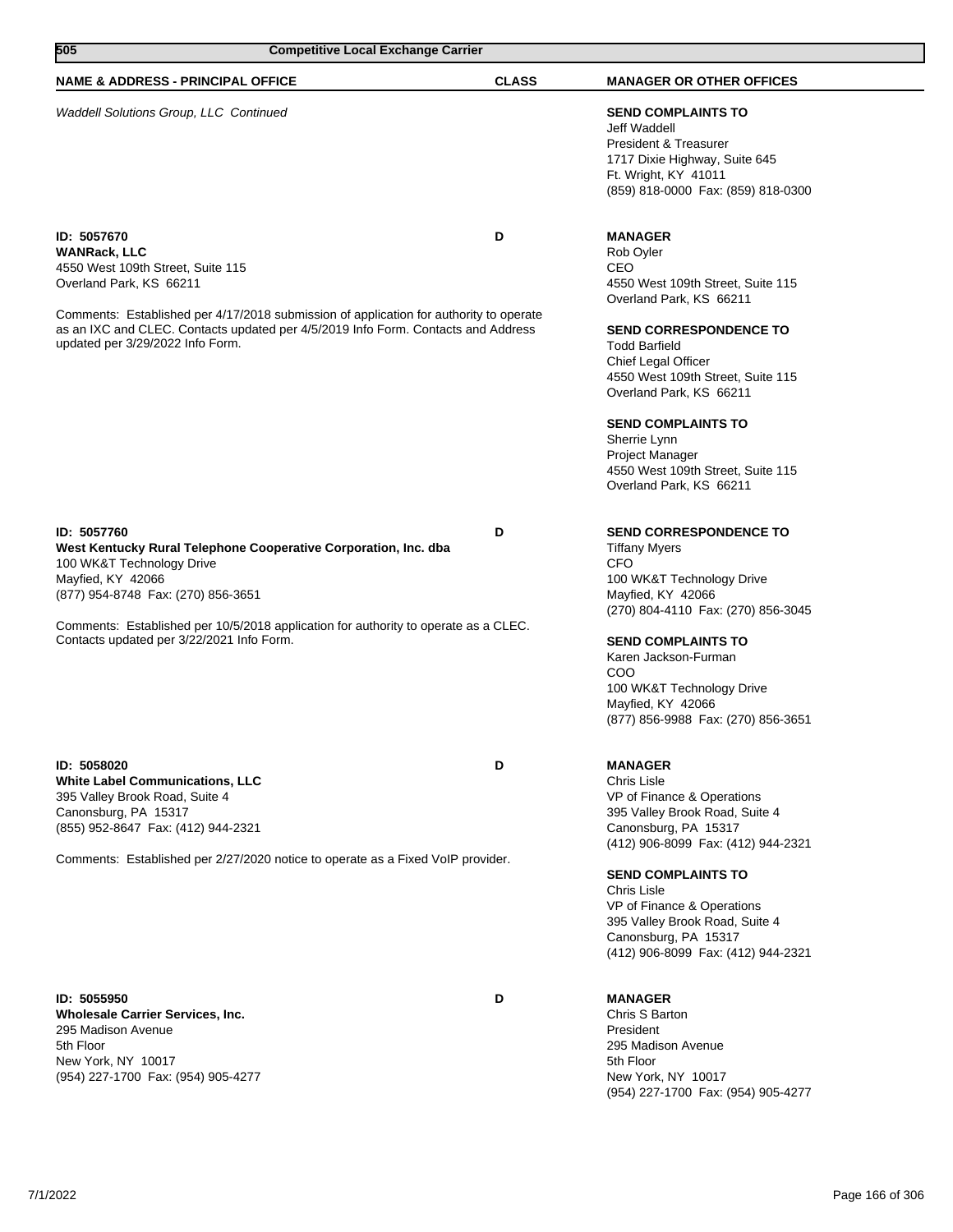| 505<br><b>Competitive Local Exchange Carrier</b>                                                                                                                                                                                                                                                               |              |                                                                                                                                                                                                                                                                                                                                                                                    |  |
|----------------------------------------------------------------------------------------------------------------------------------------------------------------------------------------------------------------------------------------------------------------------------------------------------------------|--------------|------------------------------------------------------------------------------------------------------------------------------------------------------------------------------------------------------------------------------------------------------------------------------------------------------------------------------------------------------------------------------------|--|
| <b>NAME &amp; ADDRESS - PRINCIPAL OFFICE</b>                                                                                                                                                                                                                                                                   | <b>CLASS</b> | <b>MANAGER OR OTHER OFFICES</b>                                                                                                                                                                                                                                                                                                                                                    |  |
| Waddell Solutions Group, LLC Continued                                                                                                                                                                                                                                                                         |              | <b>SEND COMPLAINTS TO</b><br>Jeff Waddell<br><b>President &amp; Treasurer</b><br>1717 Dixie Highway, Suite 645<br>Ft. Wright, KY 41011<br>(859) 818-0000 Fax: (859) 818-0300                                                                                                                                                                                                       |  |
| ID: 5057670<br>WANRack, LLC<br>4550 West 109th Street, Suite 115<br>Overland Park, KS 66211<br>Comments: Established per 4/17/2018 submission of application for authority to operate<br>as an IXC and CLEC. Contacts updated per 4/5/2019 Info Form. Contacts and Address<br>updated per 3/29/2022 Info Form. | D            | <b>MANAGER</b><br>Rob Oyler<br>CEO<br>4550 West 109th Street, Suite 115<br>Overland Park, KS 66211<br><b>SEND CORRESPONDENCE TO</b><br><b>Todd Barfield</b><br>Chief Legal Officer<br>4550 West 109th Street, Suite 115<br>Overland Park, KS 66211<br><b>SEND COMPLAINTS TO</b><br>Sherrie Lynn<br>Project Manager<br>4550 West 109th Street, Suite 115<br>Overland Park, KS 66211 |  |
| ID: 5057760<br>West Kentucky Rural Telephone Cooperative Corporation, Inc. dba<br>100 WK&T Technology Drive<br>Mayfied, KY 42066<br>(877) 954-8748 Fax: (270) 856-3651<br>Comments: Established per 10/5/2018 application for authority to operate as a CLEC.<br>Contacts updated per 3/22/2021 Info Form.     | D            | <b>SEND CORRESPONDENCE TO</b><br><b>Tiffany Myers</b><br><b>CFO</b><br>100 WK&T Technology Drive<br>Mayfied, KY 42066<br>(270) 804-4110 Fax: (270) 856-3045<br><b>SEND COMPLAINTS TO</b><br>Karen Jackson-Furman<br>COO<br>100 WK&T Technology Drive<br>Mayfied, KY 42066<br>(877) 856-9988 Fax: (270) 856-3651                                                                    |  |
| ID: 5058020<br><b>White Label Communications, LLC</b><br>395 Valley Brook Road, Suite 4<br>Canonsburg, PA 15317<br>(855) 952-8647 Fax: (412) 944-2321<br>Comments: Established per 2/27/2020 notice to operate as a Fixed VoIP provider.                                                                       | D            | <b>MANAGER</b><br>Chris Lisle<br>VP of Finance & Operations<br>395 Valley Brook Road, Suite 4<br>Canonsburg, PA 15317<br>(412) 906-8099 Fax: (412) 944-2321<br><b>SEND COMPLAINTS TO</b><br>Chris Lisle<br>VP of Finance & Operations<br>395 Valley Brook Road, Suite 4<br>Canonsburg, PA 15317<br>(412) 906-8099 Fax: (412) 944-2321                                              |  |
| ID: 5055950<br><b>Wholesale Carrier Services, Inc.</b><br>295 Madison Avenue<br>5th Floor<br>New York, NY 10017<br>(954) 227-1700 Fax: (954) 905-4277                                                                                                                                                          | D            | <b>MANAGER</b><br>Chris S Barton<br>President<br>295 Madison Avenue<br>5th Floor<br>New York, NY 10017<br>(954) 227-1700 Fax: (954) 905-4277                                                                                                                                                                                                                                       |  |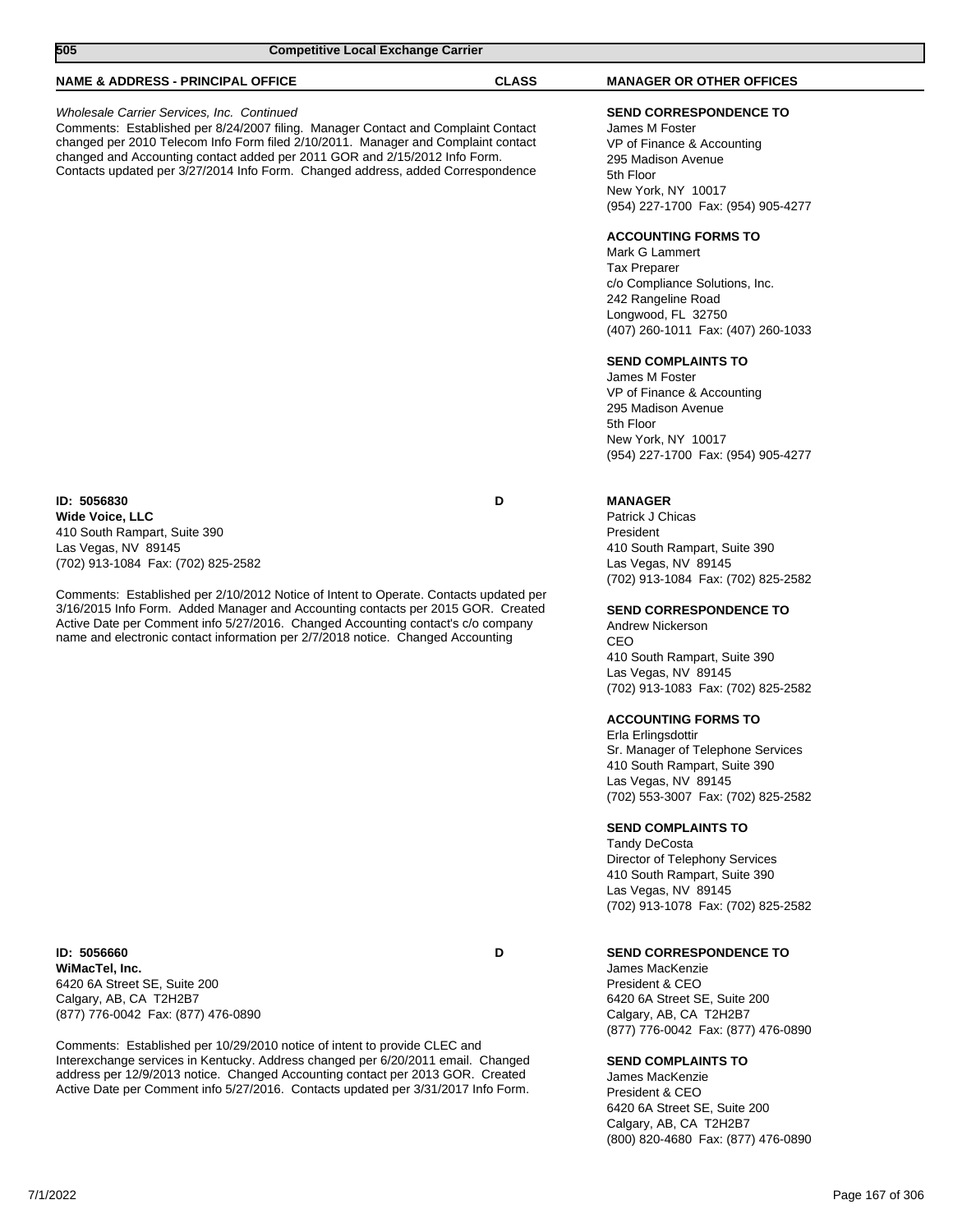| 505<br><b>Competitive Local Exchange Carrier</b>                                                                                                                                                                                                                                                                                                                                      |              |                                                                                                                                                                                             |
|---------------------------------------------------------------------------------------------------------------------------------------------------------------------------------------------------------------------------------------------------------------------------------------------------------------------------------------------------------------------------------------|--------------|---------------------------------------------------------------------------------------------------------------------------------------------------------------------------------------------|
| <b>NAME &amp; ADDRESS - PRINCIPAL OFFICE</b>                                                                                                                                                                                                                                                                                                                                          | <b>CLASS</b> | <b>MANAGER OR OTHER OFFICES</b>                                                                                                                                                             |
| Wholesale Carrier Services, Inc. Continued<br>Comments: Established per 8/24/2007 filing. Manager Contact and Complaint Contact<br>changed per 2010 Telecom Info Form filed 2/10/2011. Manager and Complaint contact<br>changed and Accounting contact added per 2011 GOR and 2/15/2012 Info Form.<br>Contacts updated per 3/27/2014 Info Form. Changed address, added Correspondence |              | <b>SEND CORRESPONDENCE TO</b><br>James M Foster<br>VP of Finance & Accounting<br>295 Madison Avenue<br>5th Floor<br>New York, NY 10017<br>(954) 227-1700 Fax: (954) 905-4277                |
|                                                                                                                                                                                                                                                                                                                                                                                       |              | <b>ACCOUNTING FORMS TO</b><br>Mark G Lammert<br><b>Tax Preparer</b><br>c/o Compliance Solutions, Inc.<br>242 Rangeline Road<br>Longwood, FL 32750<br>(407) 260-1011 Fax: (407) 260-1033     |
|                                                                                                                                                                                                                                                                                                                                                                                       |              | <b>SEND COMPLAINTS TO</b><br>James M Foster<br>VP of Finance & Accounting<br>295 Madison Avenue<br>5th Floor<br>New York, NY 10017<br>(954) 227-1700 Fax: (954) 905-4277                    |
| ID: 5056830<br>Wide Voice, LLC<br>410 South Rampart, Suite 390<br>Las Vegas, NV 89145<br>(702) 913-1084 Fax: (702) 825-2582                                                                                                                                                                                                                                                           | D            | <b>MANAGER</b><br>Patrick J Chicas<br>President<br>410 South Rampart, Suite 390<br>Las Vegas, NV 89145                                                                                      |
| Comments: Established per 2/10/2012 Notice of Intent to Operate. Contacts updated per<br>3/16/2015 Info Form. Added Manager and Accounting contacts per 2015 GOR. Created<br>Active Date per Comment info 5/27/2016. Changed Accounting contact's c/o company<br>name and electronic contact information per 2/7/2018 notice. Changed Accounting                                      |              | (702) 913-1084 Fax: (702) 825-2582<br><b>SEND CORRESPONDENCE TO</b><br>Andrew Nickerson<br>CEO<br>410 South Rampart, Suite 390<br>Las Vegas, NV 89145<br>(702) 913-1083 Fax: (702) 825-2582 |
|                                                                                                                                                                                                                                                                                                                                                                                       |              | <b>ACCOUNTING FORMS TO</b><br>Erla Erlingsdottir<br>Sr. Manager of Telephone Services<br>410 South Rampart, Suite 390<br>Las Vegas, NV 89145<br>(702) 553-3007 Fax: (702) 825-2582          |
|                                                                                                                                                                                                                                                                                                                                                                                       |              | <b>SEND COMPLAINTS TO</b><br><b>Tandy DeCosta</b><br>Director of Telephony Services<br>410 South Rampart, Suite 390<br>Las Vegas, NV 89145<br>(702) 913-1078 Fax: (702) 825-2582            |
| ID: 5056660<br>WiMacTel, Inc.                                                                                                                                                                                                                                                                                                                                                         | D            | <b>SEND CORRESPONDENCE TO</b><br>James MacKenzie                                                                                                                                            |

6420 6A Street SE, Suite 200 Calgary, AB, CA T2H2B7 (877) 776-0042 Fax: (877) 476-0890

Comments: Established per 10/29/2010 notice of intent to provide CLEC and Interexchange services in Kentucky. Address changed per 6/20/2011 email. Changed address per 12/9/2013 notice. Changed Accounting contact per 2013 GOR. Created Active Date per Comment info 5/27/2016. Contacts updated per 3/31/2017 Info Form. President & CEO 6420 6A Street SE, Suite 200 Calgary, AB, CA T2H2B7 (877) 776-0042 Fax: (877) 476-0890

# **SEND COMPLAINTS TO**

James MacKenzie President & CEO 6420 6A Street SE, Suite 200 Calgary, AB, CA T2H2B7 (800) 820-4680 Fax: (877) 476-0890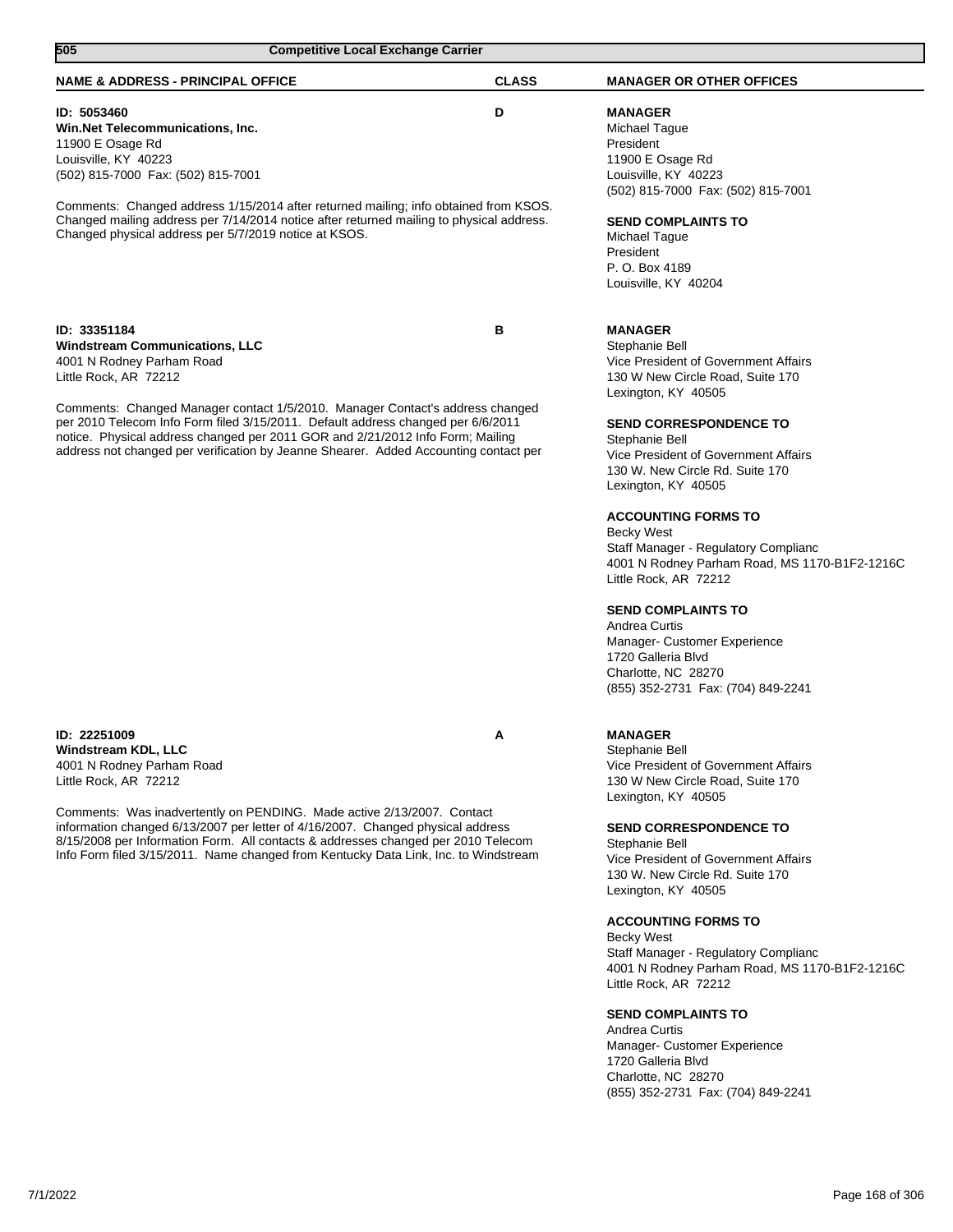| 505<br><b>Competitive Local Exchange Carrier</b>                                                                                                                                                                                                                                                                                                                                                                                                           |              |                                                                                                                                                                                                                                                                                                                                                                                                                                                                                                                                                                                                                                |
|------------------------------------------------------------------------------------------------------------------------------------------------------------------------------------------------------------------------------------------------------------------------------------------------------------------------------------------------------------------------------------------------------------------------------------------------------------|--------------|--------------------------------------------------------------------------------------------------------------------------------------------------------------------------------------------------------------------------------------------------------------------------------------------------------------------------------------------------------------------------------------------------------------------------------------------------------------------------------------------------------------------------------------------------------------------------------------------------------------------------------|
| <b>NAME &amp; ADDRESS - PRINCIPAL OFFICE</b>                                                                                                                                                                                                                                                                                                                                                                                                               | <b>CLASS</b> | <b>MANAGER OR OTHER OFFICES</b>                                                                                                                                                                                                                                                                                                                                                                                                                                                                                                                                                                                                |
| ID: 5053460<br>Win.Net Telecommunications, Inc.<br>11900 E Osage Rd<br>Louisville, KY 40223<br>(502) 815-7000 Fax: (502) 815-7001<br>Comments: Changed address 1/15/2014 after returned mailing; info obtained from KSOS.<br>Changed mailing address per 7/14/2014 notice after returned mailing to physical address.<br>Changed physical address per 5/7/2019 notice at KSOS.                                                                             | D            | <b>MANAGER</b><br>Michael Tague<br>President<br>11900 E Osage Rd<br>Louisville, KY 40223<br>(502) 815-7000 Fax: (502) 815-7001<br><b>SEND COMPLAINTS TO</b><br>Michael Tague<br>President<br>P. O. Box 4189<br>Louisville, KY 40204                                                                                                                                                                                                                                                                                                                                                                                            |
| ID: 33351184<br><b>Windstream Communications, LLC</b><br>4001 N Rodney Parham Road<br>Little Rock, AR 72212<br>Comments: Changed Manager contact 1/5/2010. Manager Contact's address changed<br>per 2010 Telecom Info Form filed 3/15/2011. Default address changed per 6/6/2011<br>notice. Physical address changed per 2011 GOR and 2/21/2012 Info Form; Mailing<br>address not changed per verification by Jeanne Shearer. Added Accounting contact per | в            | <b>MANAGER</b><br>Stephanie Bell<br>Vice President of Government Affairs<br>130 W New Circle Road, Suite 170<br>Lexington, KY 40505<br><b>SEND CORRESPONDENCE TO</b><br>Stephanie Bell<br>Vice President of Government Affairs<br>130 W. New Circle Rd. Suite 170<br>Lexington, KY 40505<br><b>ACCOUNTING FORMS TO</b><br><b>Becky West</b><br>Staff Manager - Regulatory Complianc<br>4001 N Rodney Parham Road, MS 1170-B1F2-1216C<br>Little Rock, AR 72212<br><b>SEND COMPLAINTS TO</b><br>Andrea Curtis<br>Manager- Customer Experience<br>1720 Galleria Blvd<br>Charlotte, NC 28270<br>(855) 352-2731 Fax: (704) 849-2241 |
| ID: 22251009<br>Windstream KDL, LLC<br>4001 N Rodney Parham Road<br>Little Rock, AR 72212<br>Comments: Was inadvertently on PENDING. Made active 2/13/2007. Contact<br>information changed 6/13/2007 per letter of 4/16/2007. Changed physical address<br>8/15/2008 per Information Form. All contacts & addresses changed per 2010 Telecom<br>Info Form filed 3/15/2011. Name changed from Kentucky Data Link, Inc. to Windstream                         | A            | <b>MANAGER</b><br>Stephanie Bell<br>Vice President of Government Affairs<br>130 W New Circle Road, Suite 170<br>Lexington, KY 40505<br><b>SEND CORRESPONDENCE TO</b><br>Stephanie Bell<br>Vice President of Government Affairs<br>130 W. New Circle Rd. Suite 170<br>Lexington, KY 40505<br><b>ACCOUNTING FORMS TO</b><br><b>Becky West</b><br>Staff Manager - Regulatory Complianc<br>4001 N Rodney Parham Road, MS 1170-B1F2-1216C<br>Little Rock, AR 72212<br><b>SEND COMPLAINTS TO</b><br>Andrea Curtis<br>Manager- Customer Experience<br>1720 Galleria Blvd<br>Charlotte, NC 28270                                       |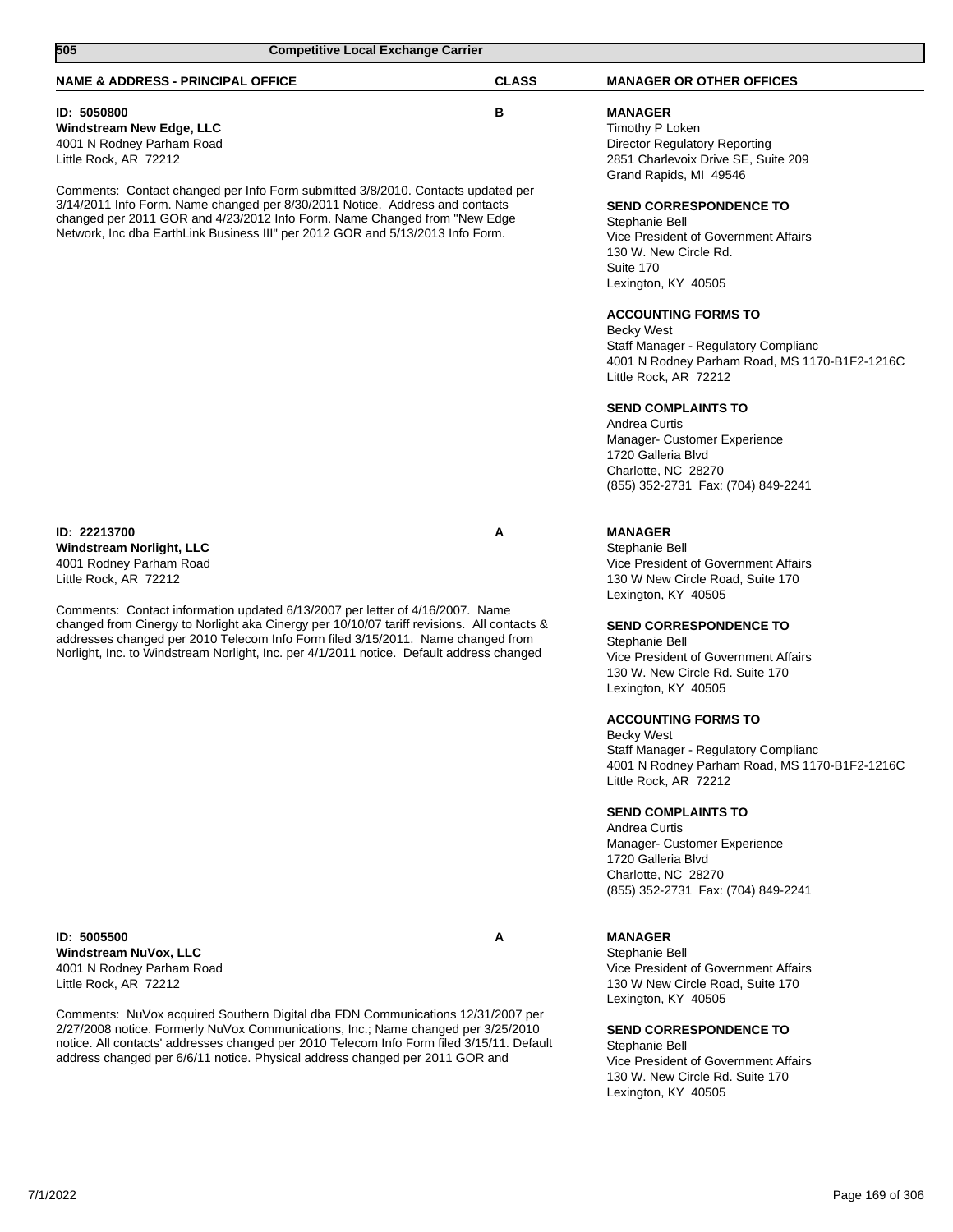| 505<br><b>Competitive Local Exchange Carrier</b>                                                                                                                                                                                                                                                                                                                                                                                        |              |                                                                                                                                                                                                                                                                                             |
|-----------------------------------------------------------------------------------------------------------------------------------------------------------------------------------------------------------------------------------------------------------------------------------------------------------------------------------------------------------------------------------------------------------------------------------------|--------------|---------------------------------------------------------------------------------------------------------------------------------------------------------------------------------------------------------------------------------------------------------------------------------------------|
| <b>NAME &amp; ADDRESS - PRINCIPAL OFFICE</b>                                                                                                                                                                                                                                                                                                                                                                                            | <b>CLASS</b> | <b>MANAGER OR OTHER OFFICES</b>                                                                                                                                                                                                                                                             |
| ID: 5050800<br><b>Windstream New Edge, LLC</b><br>4001 N Rodney Parham Road<br>Little Rock, AR 72212<br>Comments: Contact changed per Info Form submitted 3/8/2010. Contacts updated per<br>3/14/2011 Info Form. Name changed per 8/30/2011 Notice. Address and contacts<br>changed per 2011 GOR and 4/23/2012 Info Form. Name Changed from "New Edge<br>Network, Inc dba EarthLink Business III" per 2012 GOR and 5/13/2013 Info Form. | B            | <b>MANAGER</b><br>Timothy P Loken<br>Director Regulatory Reporting<br>2851 Charlevoix Drive SE, Suite 209<br>Grand Rapids, MI 49546<br><b>SEND CORRESPONDENCE TO</b><br>Stephanie Bell<br>Vice President of Government Affairs<br>130 W. New Circle Rd.<br>Suite 170<br>Lexington, KY 40505 |
|                                                                                                                                                                                                                                                                                                                                                                                                                                         |              | <b>ACCOUNTING FORMS TO</b><br><b>Becky West</b><br>Staff Manager - Regulatory Complianc<br>4001 N Rodney Parham Road, MS 1170-B1F2-1216C<br>Little Rock, AR 72212                                                                                                                           |
|                                                                                                                                                                                                                                                                                                                                                                                                                                         |              | <b>SEND COMPLAINTS TO</b><br>Andrea Curtis<br>Manager- Customer Experience<br>1720 Galleria Blvd<br>Charlotte, NC 28270<br>(855) 352-2731 Fax: (704) 849-2241                                                                                                                               |
| ID: 22213700<br><b>Windstream Norlight, LLC</b><br>4001 Rodney Parham Road<br>Little Rock, AR 72212                                                                                                                                                                                                                                                                                                                                     | Α            | <b>MANAGER</b><br>Stephanie Bell<br>Vice President of Government Affairs<br>130 W New Circle Road, Suite 170<br>Lexington, KY 40505                                                                                                                                                         |
| Comments: Contact information updated 6/13/2007 per letter of 4/16/2007. Name<br>changed from Cinergy to Norlight aka Cinergy per 10/10/07 tariff revisions. All contacts &<br>addresses changed per 2010 Telecom Info Form filed 3/15/2011. Name changed from<br>Norlight, Inc. to Windstream Norlight, Inc. per 4/1/2011 notice. Default address changed                                                                              |              | <b>SEND CORRESPONDENCE TO</b><br>Stephanie Bell<br>Vice President of Government Affairs<br>130 W. New Circle Rd. Suite 170<br>Lexington, KY 40505                                                                                                                                           |
|                                                                                                                                                                                                                                                                                                                                                                                                                                         |              | <b>ACCOUNTING FORMS TO</b><br><b>Becky West</b><br>Staff Manager - Regulatory Complianc<br>4001 N Rodney Parham Road, MS 1170-B1F2-1216C<br>Little Rock, AR 72212                                                                                                                           |
|                                                                                                                                                                                                                                                                                                                                                                                                                                         |              | <b>SEND COMPLAINTS TO</b><br>Andrea Curtis<br>Manager- Customer Experience<br>1720 Galleria Blvd<br>Charlotte, NC 28270<br>(855) 352-2731 Fax: (704) 849-2241                                                                                                                               |
| ID: 5005500<br>Windstream NuVox, LLC<br>4001 N Rodney Parham Road<br>Little Rock, AR 72212                                                                                                                                                                                                                                                                                                                                              | A            | <b>MANAGER</b><br>Stephanie Bell<br>Vice President of Government Affairs<br>130 W New Circle Road, Suite 170<br>Lexington, KY 40505                                                                                                                                                         |
| Comments: NuVox acquired Southern Digital dba FDN Communications 12/31/2007 per<br>2/27/2008 notice. Formerly NuVox Communications, Inc.; Name changed per 3/25/2010<br>notice. All contacts' addresses changed per 2010 Telecom Info Form filed 3/15/11. Default<br>address changed per 6/6/11 notice. Physical address changed per 2011 GOR and                                                                                       |              | <b>SEND CORRESPONDENCE TO</b><br>Stephanie Bell<br>Vice President of Government Affairs<br>130 W. New Circle Rd. Suite 170<br>Lexington, KY 40505                                                                                                                                           |
|                                                                                                                                                                                                                                                                                                                                                                                                                                         |              |                                                                                                                                                                                                                                                                                             |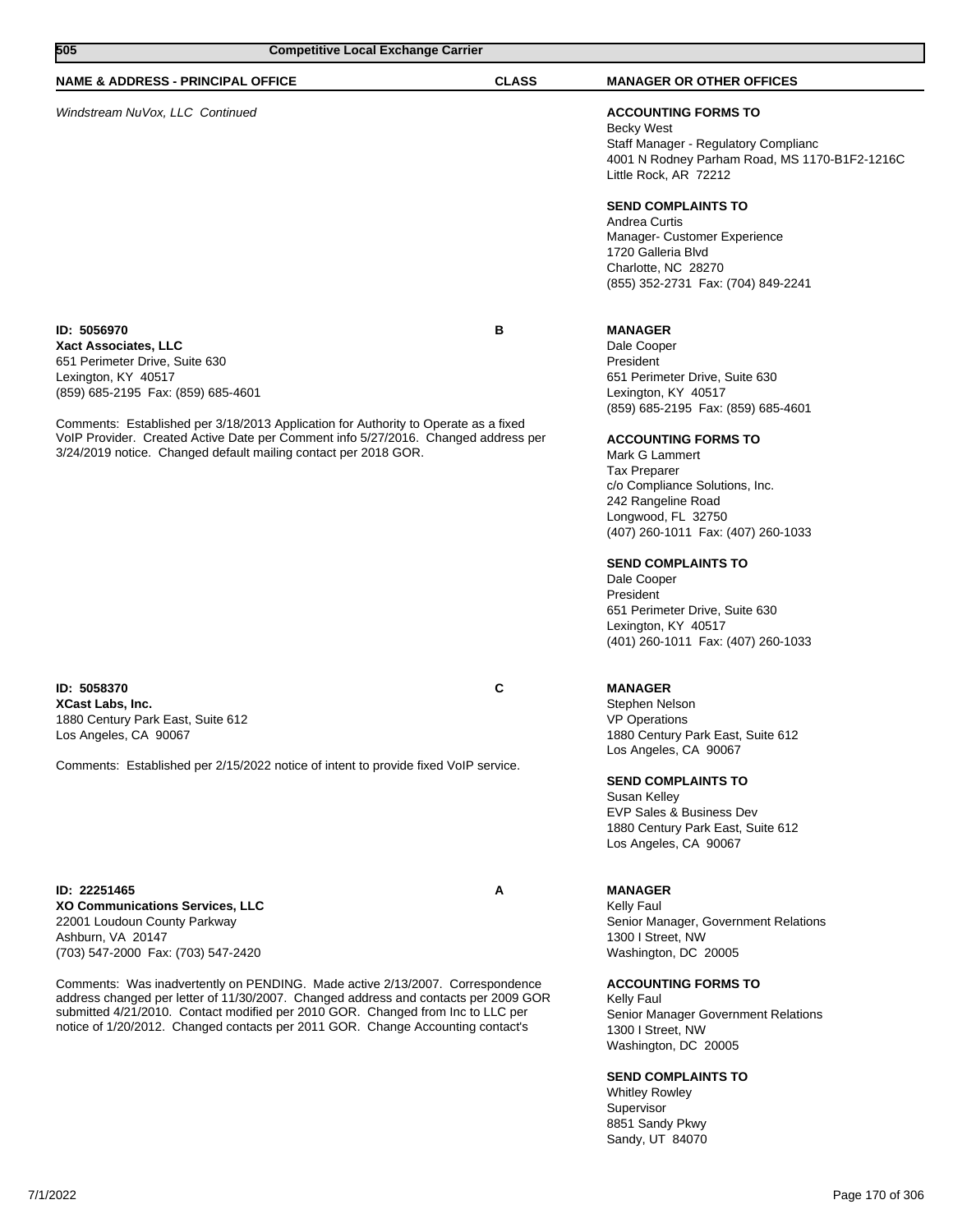| 505<br><b>Competitive Local Exchange Carrier</b>                                                                                                                                                      |                                                                                                                                                                                                                                                                                                                                            |              |                                                                                                                                                                                                                                                                                                                                                                                                                                                                                              |
|-------------------------------------------------------------------------------------------------------------------------------------------------------------------------------------------------------|--------------------------------------------------------------------------------------------------------------------------------------------------------------------------------------------------------------------------------------------------------------------------------------------------------------------------------------------|--------------|----------------------------------------------------------------------------------------------------------------------------------------------------------------------------------------------------------------------------------------------------------------------------------------------------------------------------------------------------------------------------------------------------------------------------------------------------------------------------------------------|
| <b>NAME &amp; ADDRESS - PRINCIPAL OFFICE</b>                                                                                                                                                          |                                                                                                                                                                                                                                                                                                                                            | <b>CLASS</b> | <b>MANAGER OR OTHER OFFICES</b>                                                                                                                                                                                                                                                                                                                                                                                                                                                              |
| Windstream NuVox, LLC Continued                                                                                                                                                                       |                                                                                                                                                                                                                                                                                                                                            |              | <b>ACCOUNTING FORMS TO</b><br><b>Becky West</b><br>Staff Manager - Regulatory Complianc<br>4001 N Rodney Parham Road, MS 1170-B1F2-1216C<br>Little Rock, AR 72212                                                                                                                                                                                                                                                                                                                            |
|                                                                                                                                                                                                       |                                                                                                                                                                                                                                                                                                                                            |              | <b>SEND COMPLAINTS TO</b><br>Andrea Curtis<br>Manager- Customer Experience<br>1720 Galleria Blvd<br>Charlotte, NC 28270<br>(855) 352-2731 Fax: (704) 849-2241                                                                                                                                                                                                                                                                                                                                |
| ID: 5056970<br>Xact Associates, LLC<br>651 Perimeter Drive, Suite 630<br>Lexington, KY 40517<br>(859) 685-2195 Fax: (859) 685-4601<br>3/24/2019 notice. Changed default mailing contact per 2018 GOR. | Comments: Established per 3/18/2013 Application for Authority to Operate as a fixed<br>VolP Provider. Created Active Date per Comment info 5/27/2016. Changed address per                                                                                                                                                                  | в            | <b>MANAGER</b><br>Dale Cooper<br>President<br>651 Perimeter Drive, Suite 630<br>Lexington, KY 40517<br>(859) 685-2195 Fax: (859) 685-4601<br><b>ACCOUNTING FORMS TO</b><br>Mark G Lammert<br><b>Tax Preparer</b><br>c/o Compliance Solutions, Inc.<br>242 Rangeline Road<br>Longwood, FL 32750<br>(407) 260-1011 Fax: (407) 260-1033<br><b>SEND COMPLAINTS TO</b><br>Dale Cooper<br>President<br>651 Perimeter Drive, Suite 630<br>Lexington, KY 40517<br>(401) 260-1011 Fax: (407) 260-1033 |
| ID: 5058370<br><b>XCast Labs, Inc.</b><br>1880 Century Park East, Suite 612<br>Los Angeles, CA 90067                                                                                                  |                                                                                                                                                                                                                                                                                                                                            | C            | <b>MANAGER</b><br>Stephen Nelson<br><b>VP Operations</b><br>1880 Century Park East, Suite 612<br>Los Angeles, CA 90067                                                                                                                                                                                                                                                                                                                                                                       |
|                                                                                                                                                                                                       | Comments: Established per 2/15/2022 notice of intent to provide fixed VoIP service.                                                                                                                                                                                                                                                        |              | <b>SEND COMPLAINTS TO</b><br>Susan Kelley<br>EVP Sales & Business Dev<br>1880 Century Park East, Suite 612<br>Los Angeles, CA 90067                                                                                                                                                                                                                                                                                                                                                          |
| ID: 22251465<br>XO Communications Services, LLC<br>22001 Loudoun County Parkway<br>Ashburn, VA 20147<br>(703) 547-2000 Fax: (703) 547-2420                                                            |                                                                                                                                                                                                                                                                                                                                            | Α            | <b>MANAGER</b><br>Kelly Faul<br>Senior Manager, Government Relations<br>1300 I Street, NW<br>Washington, DC 20005                                                                                                                                                                                                                                                                                                                                                                            |
|                                                                                                                                                                                                       | Comments: Was inadvertently on PENDING. Made active 2/13/2007. Correspondence<br>address changed per letter of 11/30/2007. Changed address and contacts per 2009 GOR<br>submitted 4/21/2010. Contact modified per 2010 GOR. Changed from Inc to LLC per<br>notice of 1/20/2012. Changed contacts per 2011 GOR. Change Accounting contact's |              | <b>ACCOUNTING FORMS TO</b><br>Kelly Faul<br>Senior Manager Government Relations<br>1300 I Street, NW<br>Washington, DC 20005                                                                                                                                                                                                                                                                                                                                                                 |
|                                                                                                                                                                                                       |                                                                                                                                                                                                                                                                                                                                            |              | <b>SEND COMPLAINTS TO</b><br><b>Whitley Rowley</b><br>Supervisor<br>8851 Sandy Pkwy                                                                                                                                                                                                                                                                                                                                                                                                          |

Sandy, UT 84070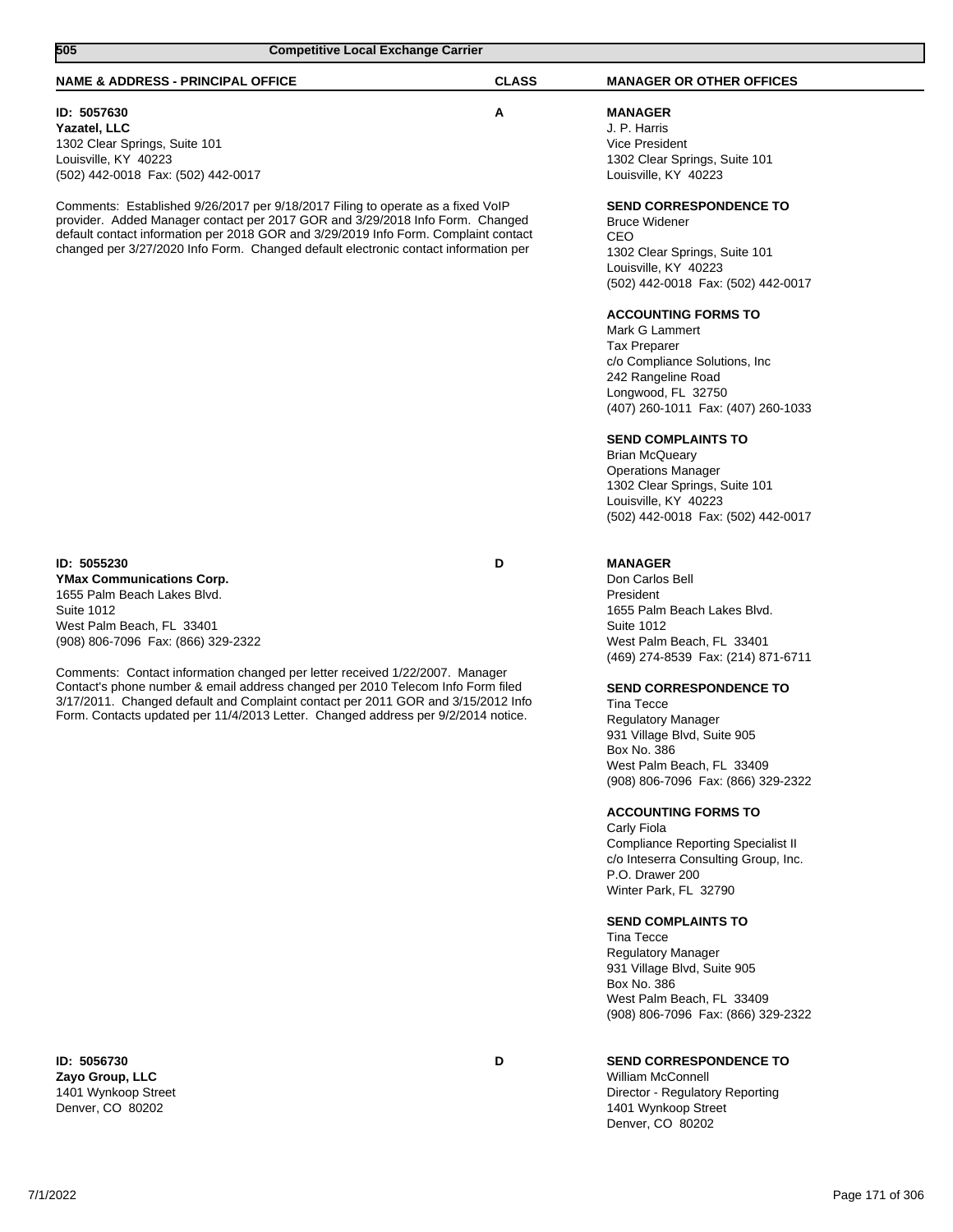| <b>NAME &amp; ADDRESS - PRINCIPAL OFFICE</b>                                                                                                                                                                                                                                                                                                   | <b>CLASS</b> | <b>MANAGER OR OTHER OFFICES</b>                                                                                                                                                                  |
|------------------------------------------------------------------------------------------------------------------------------------------------------------------------------------------------------------------------------------------------------------------------------------------------------------------------------------------------|--------------|--------------------------------------------------------------------------------------------------------------------------------------------------------------------------------------------------|
| ID: 5057630<br>Yazatel, LLC<br>1302 Clear Springs, Suite 101<br>Louisville, KY 40223<br>(502) 442-0018 Fax: (502) 442-0017                                                                                                                                                                                                                     | Α            | <b>MANAGER</b><br>J. P. Harris<br>Vice President<br>1302 Clear Springs, Suite 101<br>Louisville, KY 40223                                                                                        |
| Comments: Established 9/26/2017 per 9/18/2017 Filing to operate as a fixed VoIP<br>provider. Added Manager contact per 2017 GOR and 3/29/2018 Info Form. Changed<br>default contact information per 2018 GOR and 3/29/2019 Info Form. Complaint contact<br>changed per 3/27/2020 Info Form. Changed default electronic contact information per |              | <b>SEND CORRESPONDENCE TO</b><br><b>Bruce Widener</b><br>CEO<br>1302 Clear Springs, Suite 101<br>Louisville, KY 40223<br>(502) 442-0018 Fax: (502) 442-0017                                      |
|                                                                                                                                                                                                                                                                                                                                                |              | <b>ACCOUNTING FORMS TO</b><br>Mark G Lammert<br><b>Tax Preparer</b><br>c/o Compliance Solutions, Inc<br>242 Rangeline Road<br>Longwood, FL 32750<br>(407) 260-1011 Fax: (407) 260-1033           |
|                                                                                                                                                                                                                                                                                                                                                |              | <b>SEND COMPLAINTS TO</b><br><b>Brian McQueary</b><br><b>Operations Manager</b><br>1302 Clear Springs, Suite 101<br>Louisville, KY 40223<br>(502) 442-0018 Fax: (502) 442-0017                   |
| ID: 5055230<br><b>YMax Communications Corp.</b><br>1655 Palm Beach Lakes Blvd.<br><b>Suite 1012</b><br>West Palm Beach, FL 33401<br>(908) 806-7096 Fax: (866) 329-2322                                                                                                                                                                         | D            | <b>MANAGER</b><br>Don Carlos Bell<br>President<br>1655 Palm Beach Lakes Blvd.<br><b>Suite 1012</b><br>West Palm Beach, FL 33401<br>(469) 274-8539 Fax: (214) 871-6711                            |
| Comments: Contact information changed per letter received 1/22/2007. Manager<br>Contact's phone number & email address changed per 2010 Telecom Info Form filed<br>3/17/2011. Changed default and Complaint contact per 2011 GOR and 3/15/2012 Info<br>Form. Contacts updated per 11/4/2013 Letter. Changed address per 9/2/2014 notice.       |              | <b>SEND CORRESPONDENCE TO</b><br><b>Tina Tecce</b><br><b>Regulatory Manager</b><br>931 Village Blvd, Suite 905<br>Box No. 386<br>West Palm Beach, FL 33409<br>(908) 806-7096 Fax: (866) 329-2322 |
|                                                                                                                                                                                                                                                                                                                                                |              | <b>ACCOUNTING FORMS TO</b><br>Carly Fiola<br><b>Compliance Reporting Specialist II</b><br>c/o Inteserra Consulting Group, Inc.<br>P.O. Drawer 200<br>Winter Park, FL 32790                       |
|                                                                                                                                                                                                                                                                                                                                                |              | <b>SEND COMPLAINTS TO</b><br><b>Tina Tecce</b><br><b>Regulatory Manager</b><br>931 Village Blvd, Suite 905<br>Box No. 386<br>West Palm Beach, FL 33409<br>(908) 806-7096 Fax: (866) 329-2322     |
| ID: 5056730                                                                                                                                                                                                                                                                                                                                    | D            | SEND CORRESPONDENCE TO                                                                                                                                                                           |

**505 Competitive Local Exchange Carrier** 

**Zayo Group, LLC** 1401 Wynkoop Street Denver, CO 80202

**SEND CORRESPONDENCE TO**

William McConnell Director - Regulatory Reporting 1401 Wynkoop Street Denver, CO 80202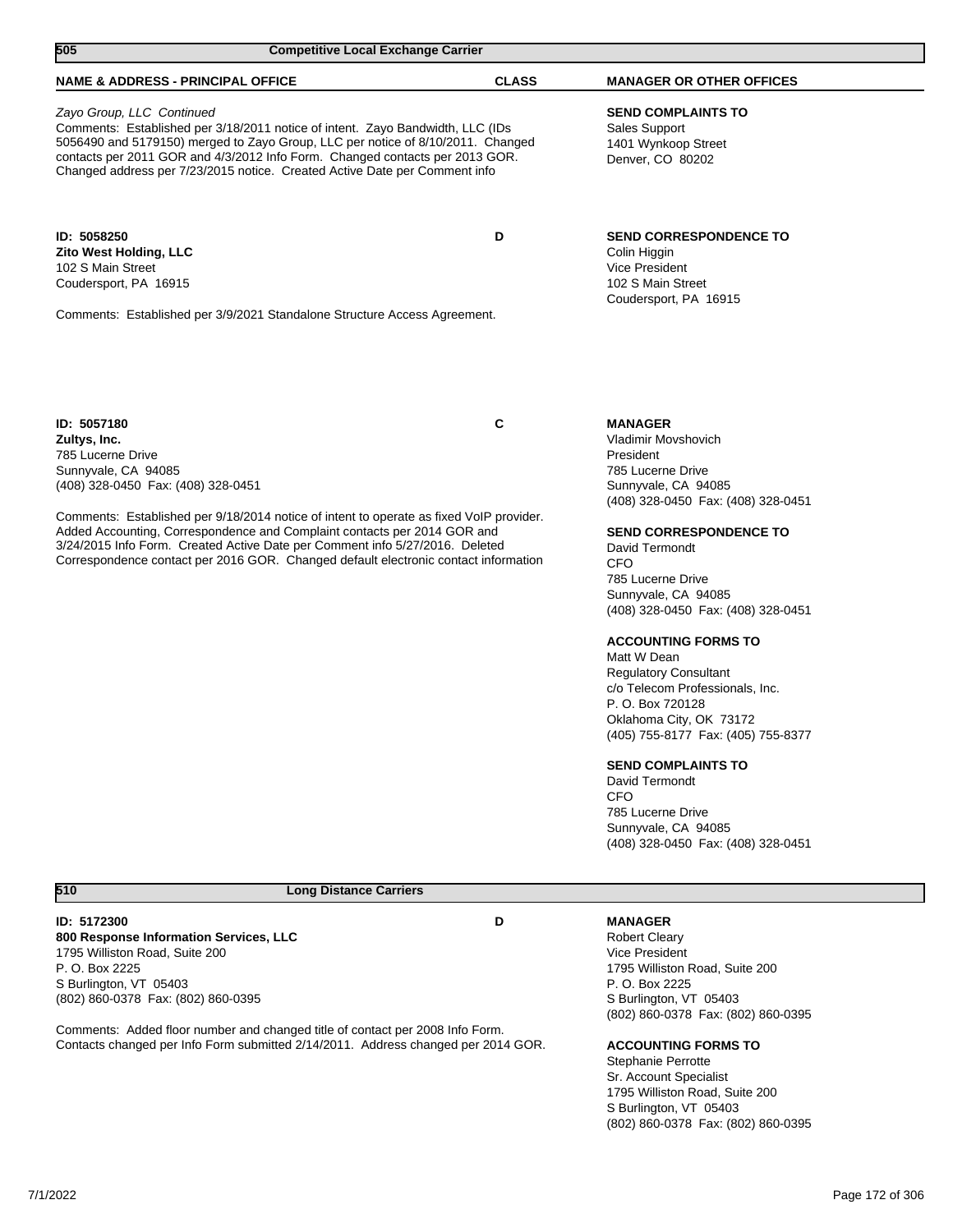| 505<br><b>Competitive Local Exchange Carrier</b>                                                                                                                                                                                                                                                                                                                                                                                                            |              |                                                                                                                                                                                                                                                                                                                                                                                                                                                                                                                                                                                                                                      |
|-------------------------------------------------------------------------------------------------------------------------------------------------------------------------------------------------------------------------------------------------------------------------------------------------------------------------------------------------------------------------------------------------------------------------------------------------------------|--------------|--------------------------------------------------------------------------------------------------------------------------------------------------------------------------------------------------------------------------------------------------------------------------------------------------------------------------------------------------------------------------------------------------------------------------------------------------------------------------------------------------------------------------------------------------------------------------------------------------------------------------------------|
| <b>NAME &amp; ADDRESS - PRINCIPAL OFFICE</b>                                                                                                                                                                                                                                                                                                                                                                                                                | <b>CLASS</b> | <b>MANAGER OR OTHER OFFICES</b>                                                                                                                                                                                                                                                                                                                                                                                                                                                                                                                                                                                                      |
| Zayo Group, LLC Continued<br>Comments: Established per 3/18/2011 notice of intent. Zayo Bandwidth, LLC (IDs<br>5056490 and 5179150) merged to Zayo Group, LLC per notice of 8/10/2011. Changed<br>contacts per 2011 GOR and 4/3/2012 Info Form. Changed contacts per 2013 GOR.<br>Changed address per 7/23/2015 notice. Created Active Date per Comment info                                                                                                |              | <b>SEND COMPLAINTS TO</b><br>Sales Support<br>1401 Wynkoop Street<br>Denver, CO 80202                                                                                                                                                                                                                                                                                                                                                                                                                                                                                                                                                |
| ID: 5058250<br><b>Zito West Holding, LLC</b><br>102 S Main Street<br>Coudersport, PA 16915<br>Comments: Established per 3/9/2021 Standalone Structure Access Agreement.                                                                                                                                                                                                                                                                                     | D            | <b>SEND CORRESPONDENCE TO</b><br>Colin Higgin<br>Vice President<br>102 S Main Street<br>Coudersport, PA 16915                                                                                                                                                                                                                                                                                                                                                                                                                                                                                                                        |
| ID: 5057180<br>Zultys, Inc.<br>785 Lucerne Drive<br>Sunnyvale, CA 94085<br>(408) 328-0450 Fax: (408) 328-0451<br>Comments: Established per 9/18/2014 notice of intent to operate as fixed VoIP provider.<br>Added Accounting, Correspondence and Complaint contacts per 2014 GOR and<br>3/24/2015 Info Form. Created Active Date per Comment info 5/27/2016. Deleted<br>Correspondence contact per 2016 GOR. Changed default electronic contact information | C            | <b>MANAGER</b><br>Vladimir Movshovich<br>President<br>785 Lucerne Drive<br>Sunnyvale, CA 94085<br>(408) 328-0450 Fax: (408) 328-0451<br><b>SEND CORRESPONDENCE TO</b><br>David Termondt<br>CFO<br>785 Lucerne Drive<br>Sunnyvale, CA 94085<br>(408) 328-0450 Fax: (408) 328-0451<br><b>ACCOUNTING FORMS TO</b><br>Matt W Dean<br><b>Regulatory Consultant</b><br>c/o Telecom Professionals, Inc.<br>P. O. Box 720128<br>Oklahoma City, OK 73172<br>(405) 755-8177 Fax: (405) 755-8377<br><b>SEND COMPLAINTS TO</b><br>David Termondt<br><b>CFO</b><br>785 Lucerne Drive<br>Sunnyvale, CA 94085<br>(408) 328-0450 Fax: (408) 328-0451 |
| 510<br><b>Long Distance Carriers</b>                                                                                                                                                                                                                                                                                                                                                                                                                        |              |                                                                                                                                                                                                                                                                                                                                                                                                                                                                                                                                                                                                                                      |
| ID: 5172300<br>800 Response Information Services, LLC<br>1795 Williston Road, Suite 200<br>P. O. Box 2225<br>S Burlington, VT 05403<br>(802) 860-0378 Fax: (802) 860-0395                                                                                                                                                                                                                                                                                   | D            | <b>MANAGER</b><br><b>Robert Cleary</b><br><b>Vice President</b><br>1795 Williston Road, Suite 200<br>P. O. Box 2225<br>S Burlington, VT 05403<br>(802) 860-0378 Fax: (802) 860-0395                                                                                                                                                                                                                                                                                                                                                                                                                                                  |

# **ACCOUNTING FORMS TO**

Stephanie Perrotte Sr. Account Specialist 1795 Williston Road, Suite 200 S Burlington, VT 05403 (802) 860-0378 Fax: (802) 860-0395

Comments: Added floor number and changed title of contact per 2008 Info Form. Contacts changed per Info Form submitted 2/14/2011. Address changed per 2014 GOR.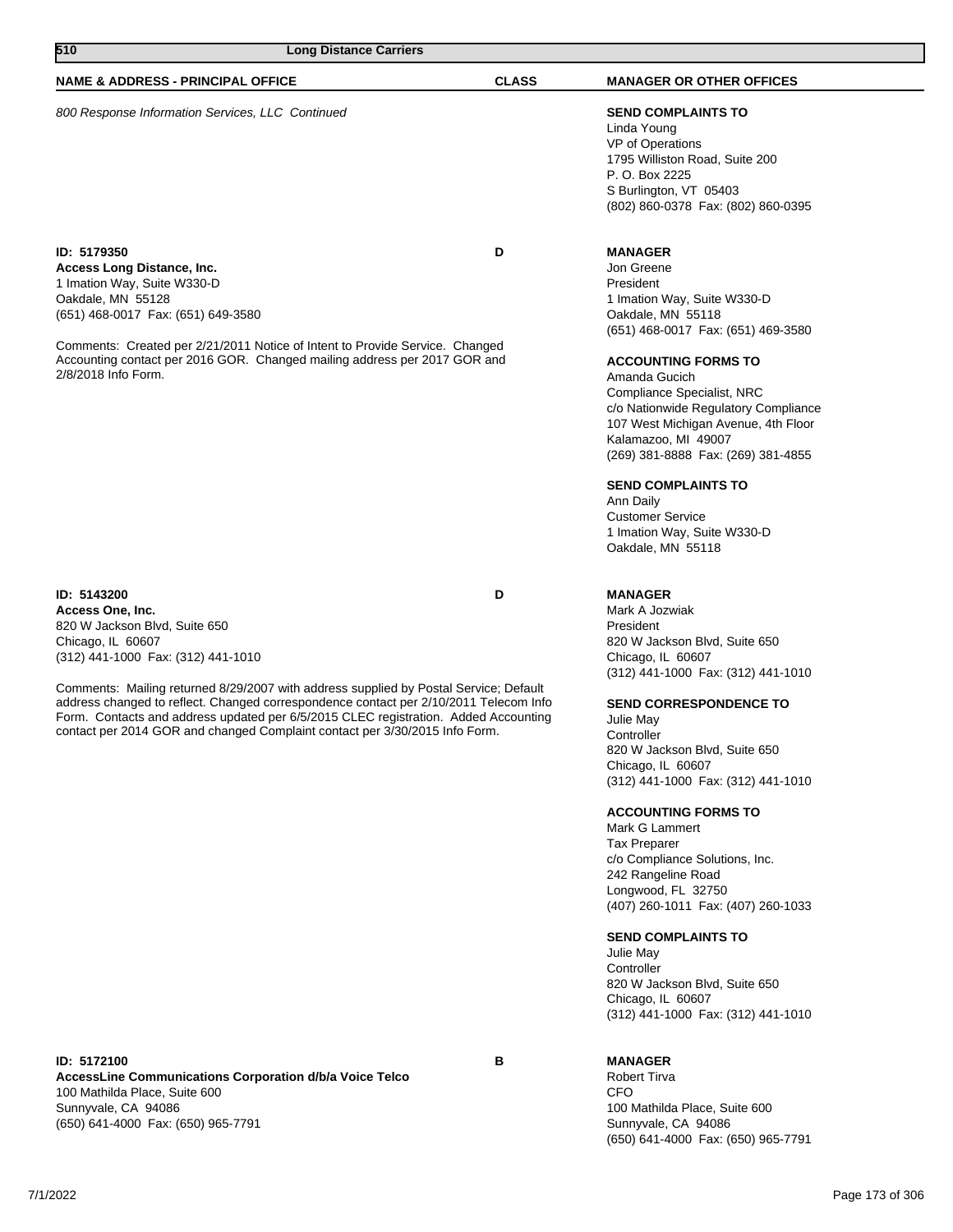**ID: 5143200 D Access One, Inc.** 820 W Jackson Blvd, Suite 650 Chicago, IL 60607 (312) 441-1000 Fax: (312) 441-1010

Comments: Mailing returned 8/29/2007 with address supplied by Postal Service; Default address changed to reflect. Changed correspondence contact per 2/10/2011 Telecom Info Form. Contacts and address updated per 6/5/2015 CLEC registration. Added Accounting contact per 2014 GOR and changed Complaint contact per 3/30/2015 Info Form.

# **NAME & ADDRESS - PRINCIPAL OFFICE CLASS MANAGER OR OTHER OFFICES**

800 Response Information Services, LLC Continued **SEND COMPLAINTS TO**

**510 Long Distance Carriers** 

### **ID: 5179350 D Access Long Distance, Inc.** 1 Imation Way, Suite W330-D

Oakdale, MN 55128 (651) 468-0017 Fax: (651) 649-3580

Comments: Created per 2/21/2011 Notice of Intent to Provide Service. Changed Accounting contact per 2016 GOR. Changed mailing address per 2017 GOR and 2/8/2018 Info Form.

**AccessLine Communications Corporation d/b/a Voice Telco** 100 Mathilda Place, Suite 600 Sunnyvale, CA 94086 (650) 641-4000 Fax: (650) 965-7791

Linda Young VP of Operations 1795 Williston Road, Suite 200 P. O. Box 2225 S Burlington, VT 05403 (802) 860-0378 Fax: (802) 860-0395

### **MANAGER**

Jon Greene President 1 Imation Way, Suite W330-D Oakdale, MN 55118 (651) 468-0017 Fax: (651) 469-3580

### **ACCOUNTING FORMS TO**

Amanda Gucich Compliance Specialist, NRC c/o Nationwide Regulatory Compliance 107 West Michigan Avenue, 4th Floor Kalamazoo, MI 49007 (269) 381-8888 Fax: (269) 381-4855

### **SEND COMPLAINTS TO**

Ann Daily Customer Service 1 Imation Way, Suite W330-D Oakdale, MN 55118

### **MANAGER**

Mark A Jozwiak President 820 W Jackson Blvd, Suite 650 Chicago, IL 60607 (312) 441-1000 Fax: (312) 441-1010

### **SEND CORRESPONDENCE TO**

Julie May Controller 820 W Jackson Blvd, Suite 650 Chicago, IL 60607 (312) 441-1000 Fax: (312) 441-1010

### **ACCOUNTING FORMS TO**

Mark G Lammert Tax Preparer c/o Compliance Solutions, Inc. 242 Rangeline Road Longwood, FL 32750 (407) 260-1011 Fax: (407) 260-1033

### **SEND COMPLAINTS TO**

Julie May **Controller** 820 W Jackson Blvd, Suite 650 Chicago, IL 60607 (312) 441-1000 Fax: (312) 441-1010

## **MANAGER**

Robert Tirva CFO 100 Mathilda Place, Suite 600 Sunnyvale, CA 94086 (650) 641-4000 Fax: (650) 965-7791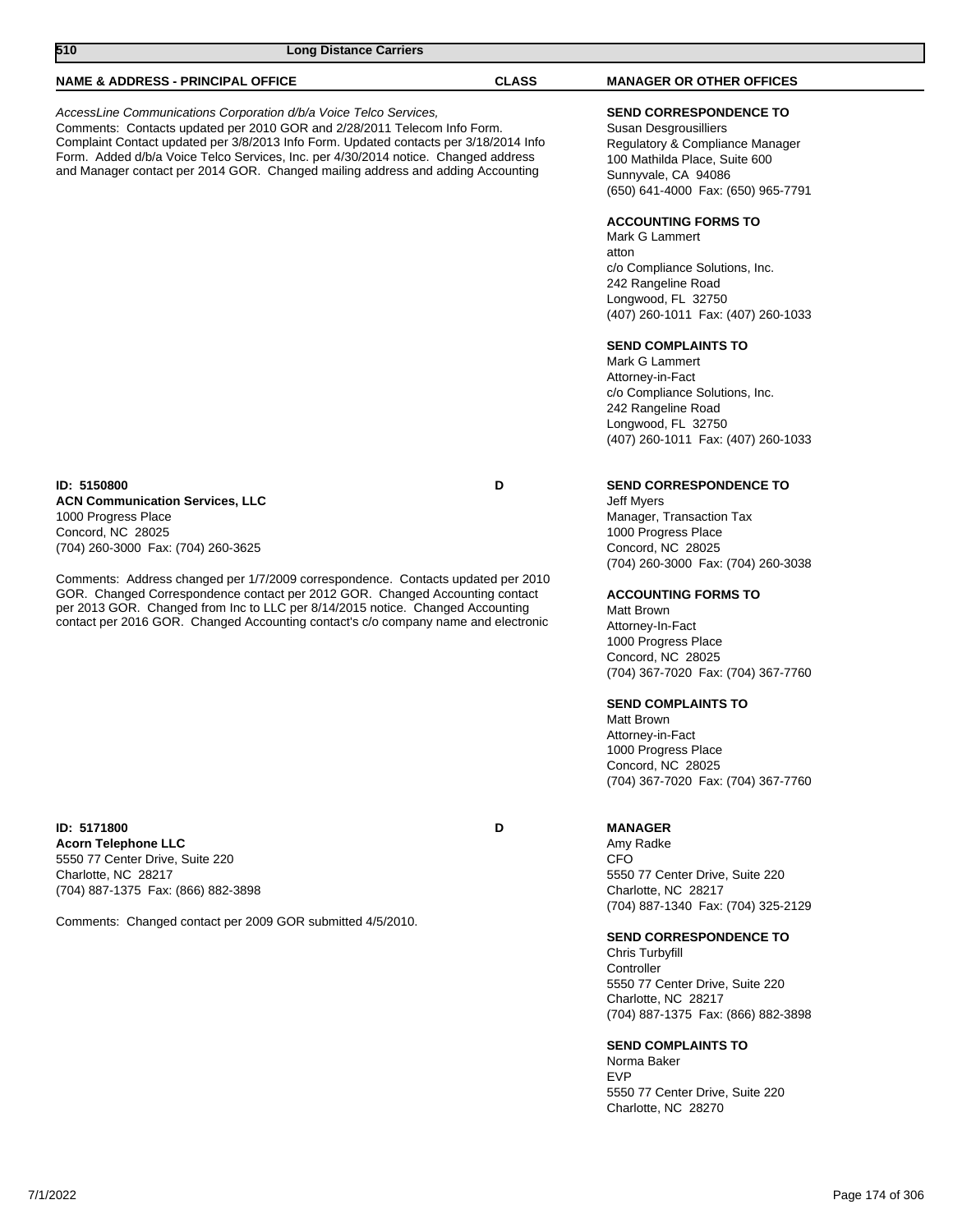| 510<br><b>Long Distance Carriers</b>                                                                                                                                                                                                                                                                                                                                                                            |              |                                                                                                                                                                                         |
|-----------------------------------------------------------------------------------------------------------------------------------------------------------------------------------------------------------------------------------------------------------------------------------------------------------------------------------------------------------------------------------------------------------------|--------------|-----------------------------------------------------------------------------------------------------------------------------------------------------------------------------------------|
| <b>NAME &amp; ADDRESS - PRINCIPAL OFFICE</b>                                                                                                                                                                                                                                                                                                                                                                    | <b>CLASS</b> | <b>MANAGER OR OTHER OFFICES</b>                                                                                                                                                         |
| AccessLine Communications Corporation d/b/a Voice Telco Services,<br>Comments: Contacts updated per 2010 GOR and 2/28/2011 Telecom Info Form.<br>Complaint Contact updated per 3/8/2013 Info Form. Updated contacts per 3/18/2014 Info<br>Form. Added d/b/a Voice Telco Services, Inc. per 4/30/2014 notice. Changed address<br>and Manager contact per 2014 GOR. Changed mailing address and adding Accounting |              | <b>SEND CORRESPONDENCE TO</b><br>Susan Desgrousilliers<br>Regulatory & Compliance Manager<br>100 Mathilda Place, Suite 600<br>Sunnyvale, CA 94086<br>(650) 641-4000 Fax: (650) 965-7791 |
|                                                                                                                                                                                                                                                                                                                                                                                                                 |              | <b>ACCOUNTING FORMS TO</b><br>Mark G Lammert<br>atton<br>c/o Compliance Solutions, Inc.<br>242 Rangeline Road<br>Longwood, FL 32750<br>(407) 260-1011 Fax: (407) 260-1033               |
|                                                                                                                                                                                                                                                                                                                                                                                                                 |              | <b>SEND COMPLAINTS TO</b><br>Mark G Lammert<br>Attorney-in-Fact<br>c/o Compliance Solutions, Inc.<br>242 Rangeline Road<br>Longwood, FL 32750<br>(407) 260-1011 Fax: (407) 260-1033     |
| ID: 5150800<br><b>ACN Communication Services, LLC</b><br>1000 Progress Place<br>Concord, NC 28025<br>(704) 260-3000 Fax: (704) 260-3625                                                                                                                                                                                                                                                                         | D            | <b>SEND CORRESPONDENCE TO</b><br><b>Jeff Myers</b><br>Manager, Transaction Tax<br>1000 Progress Place<br>Concord, NC 28025                                                              |
| Comments: Address changed per 1/7/2009 correspondence. Contacts updated per 2010<br>GOR. Changed Correspondence contact per 2012 GOR. Changed Accounting contact<br>per 2013 GOR. Changed from Inc to LLC per 8/14/2015 notice. Changed Accounting<br>contact per 2016 GOR. Changed Accounting contact's c/o company name and electronic                                                                        |              | (704) 260-3000 Fax: (704) 260-3038<br><b>ACCOUNTING FORMS TO</b><br>Matt Brown<br>Attorney-In-Fact<br>1000 Progress Place<br>Concord, NC 28025<br>(704) 367-7020 Fax: (704) 367-7760    |
|                                                                                                                                                                                                                                                                                                                                                                                                                 |              | <b>SEND COMPLAINTS TO</b><br><b>Matt Brown</b><br>Attorney-in-Fact<br>1000 Progress Place<br>Concord, NC 28025<br>(704) 367-7020 Fax: (704) 367-7760                                    |
| ID: 5171800<br>Acorn Telephone LLC                                                                                                                                                                                                                                                                                                                                                                              | D            | <b>MANAGER</b><br>Amy Radke                                                                                                                                                             |

**Acorn Telephone LLC** 5550 77 Center Drive, Suite 220 Charlotte, NC 28217 (704) 887-1375 Fax: (866) 882-3898

Comments: Changed contact per 2009 GOR submitted 4/5/2010.

CFO 5550 77 Center Drive, Suite 220 Charlotte, NC 28217 (704) 887-1340 Fax: (704) 325-2129

### **SEND CORRESPONDENCE TO**

Chris Turbyfill Controller 5550 77 Center Drive, Suite 220 Charlotte, NC 28217 (704) 887-1375 Fax: (866) 882-3898

### **SEND COMPLAINTS TO**

Norma Baker EVP 5550 77 Center Drive, Suite 220 Charlotte, NC 28270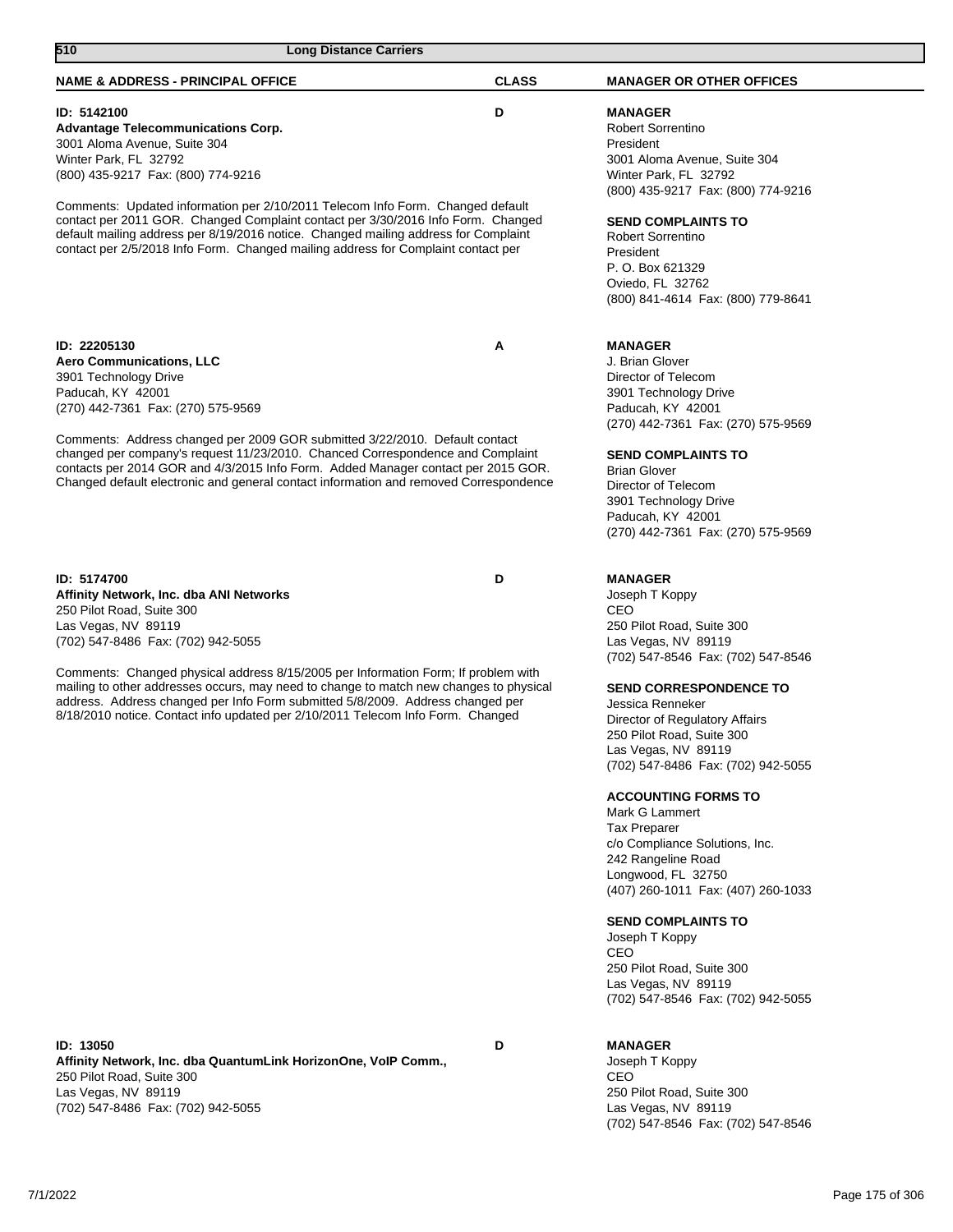| 510<br><b>Long Distance Carriers</b>                                                                                                                                                                                                                                                                                                                                                                                                                                                                      |              |                                                                                                                                                                                                                                                                                                                                                                                                                                                                                                                                                   |
|-----------------------------------------------------------------------------------------------------------------------------------------------------------------------------------------------------------------------------------------------------------------------------------------------------------------------------------------------------------------------------------------------------------------------------------------------------------------------------------------------------------|--------------|---------------------------------------------------------------------------------------------------------------------------------------------------------------------------------------------------------------------------------------------------------------------------------------------------------------------------------------------------------------------------------------------------------------------------------------------------------------------------------------------------------------------------------------------------|
| <b>NAME &amp; ADDRESS - PRINCIPAL OFFICE</b>                                                                                                                                                                                                                                                                                                                                                                                                                                                              | <b>CLASS</b> | <b>MANAGER OR OTHER OFFICES</b>                                                                                                                                                                                                                                                                                                                                                                                                                                                                                                                   |
| ID: 5142100<br><b>Advantage Telecommunications Corp.</b><br>3001 Aloma Avenue, Suite 304<br>Winter Park, FL 32792<br>(800) 435-9217 Fax: (800) 774-9216<br>Comments: Updated information per 2/10/2011 Telecom Info Form. Changed default<br>contact per 2011 GOR. Changed Complaint contact per 3/30/2016 Info Form. Changed<br>default mailing address per 8/19/2016 notice. Changed mailing address for Complaint<br>contact per 2/5/2018 Info Form. Changed mailing address for Complaint contact per | D            | <b>MANAGER</b><br><b>Robert Sorrentino</b><br>President<br>3001 Aloma Avenue, Suite 304<br>Winter Park, FL 32792<br>(800) 435-9217 Fax: (800) 774-9216<br><b>SEND COMPLAINTS TO</b><br><b>Robert Sorrentino</b><br>President<br>P. O. Box 621329<br>Oviedo, FL 32762<br>(800) 841-4614 Fax: (800) 779-8641                                                                                                                                                                                                                                        |
| ID: 22205130<br><b>Aero Communications, LLC</b><br>3901 Technology Drive<br>Paducah, KY 42001<br>(270) 442-7361 Fax: (270) 575-9569<br>Comments: Address changed per 2009 GOR submitted 3/22/2010. Default contact<br>changed per company's request 11/23/2010. Chanced Correspondence and Complaint<br>contacts per 2014 GOR and 4/3/2015 Info Form. Added Manager contact per 2015 GOR.<br>Changed default electronic and general contact information and removed Correspondence                        | A            | <b>MANAGER</b><br>J. Brian Glover<br>Director of Telecom<br>3901 Technology Drive<br>Paducah, KY 42001<br>(270) 442-7361 Fax: (270) 575-9569<br><b>SEND COMPLAINTS TO</b><br><b>Brian Glover</b><br>Director of Telecom<br>3901 Technology Drive<br>Paducah, KY 42001<br>(270) 442-7361 Fax: (270) 575-9569                                                                                                                                                                                                                                       |
| ID: 5174700<br>Affinity Network, Inc. dba ANI Networks<br>250 Pilot Road, Suite 300<br>Las Vegas, NV 89119<br>(702) 547-8486 Fax: (702) 942-5055<br>Comments: Changed physical address 8/15/2005 per Information Form; If problem with<br>mailing to other addresses occurs, may need to change to match new changes to physical<br>address. Address changed per Info Form submitted 5/8/2009. Address changed per<br>8/18/2010 notice. Contact info updated per 2/10/2011 Telecom Info Form. Changed     | D            | <b>MANAGER</b><br>Joseph T Koppy<br><b>CEO</b><br>250 Pilot Road, Suite 300<br>Las Vegas, NV 89119<br>(702) 547-8546 Fax: (702) 547-8546<br><b>SEND CORRESPONDENCE TO</b><br>Jessica Renneker<br>Director of Regulatory Affairs<br>250 Pilot Road, Suite 300<br>Las Vegas, NV 89119<br>(702) 547-8486 Fax: (702) 942-5055<br><b>ACCOUNTING FORMS TO</b><br>Mark G Lammert<br><b>Tax Preparer</b><br>c/o Compliance Solutions, Inc.<br>242 Rangeline Road<br>Longwood, FL 32750<br>(407) 260-1011 Fax: (407) 260-1033<br><b>SEND COMPLAINTS TO</b> |
|                                                                                                                                                                                                                                                                                                                                                                                                                                                                                                           |              | Joseph T Koppy<br>CEO<br>250 Pilot Road, Suite 300<br>Las Vegas, NV 89119                                                                                                                                                                                                                                                                                                                                                                                                                                                                         |

**ID: 13050 D**

**Affinity Network, Inc. dba QuantumLink HorizonOne, VoIP Comm.,** 250 Pilot Road, Suite 300 Las Vegas, NV 89119 (702) 547-8486 Fax: (702) 942-5055

# **MANAGER**

Joseph T Koppy CEO 250 Pilot Road, Suite 300 Las Vegas, NV 89119 (702) 547-8546 Fax: (702) 547-8546

(702) 547-8546 Fax: (702) 942-5055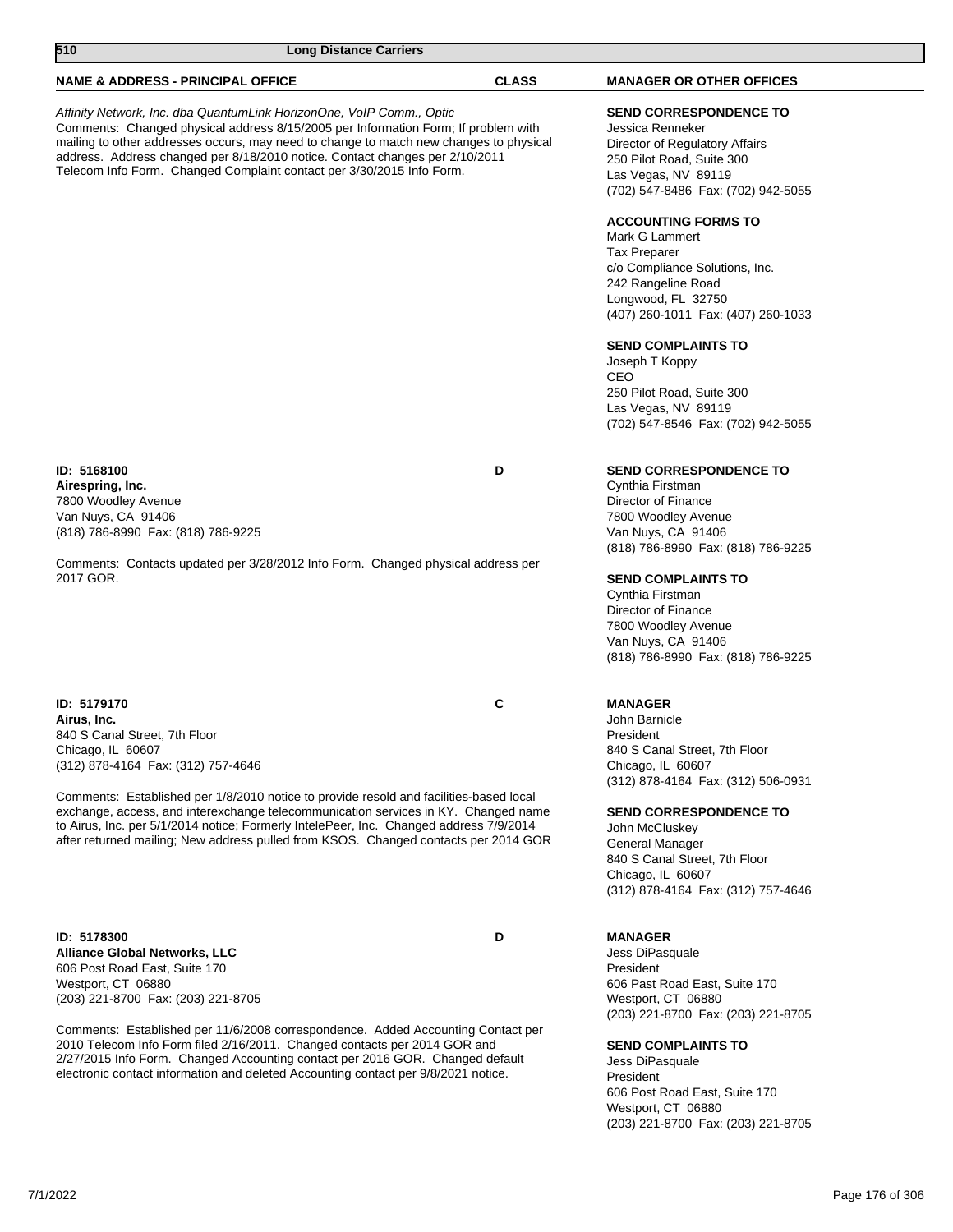| 510<br><b>Long Distance Carriers</b>                                                                                                                                                                                                                                                                                                                                                                                                                                                    |              |                                                                                                                                                                                                                                                 |
|-----------------------------------------------------------------------------------------------------------------------------------------------------------------------------------------------------------------------------------------------------------------------------------------------------------------------------------------------------------------------------------------------------------------------------------------------------------------------------------------|--------------|-------------------------------------------------------------------------------------------------------------------------------------------------------------------------------------------------------------------------------------------------|
| <b>NAME &amp; ADDRESS - PRINCIPAL OFFICE</b>                                                                                                                                                                                                                                                                                                                                                                                                                                            | <b>CLASS</b> | <b>MANAGER OR OTHER OFFICES</b>                                                                                                                                                                                                                 |
| Affinity Network, Inc. dba QuantumLink HorizonOne, VoIP Comm., Optic<br>Comments: Changed physical address 8/15/2005 per Information Form; If problem with<br>mailing to other addresses occurs, may need to change to match new changes to physical<br>address. Address changed per 8/18/2010 notice. Contact changes per 2/10/2011<br>Telecom Info Form. Changed Complaint contact per 3/30/2015 Info Form.                                                                           |              | <b>SEND CORRESPONDENCE TO</b><br>Jessica Renneker<br>Director of Regulatory Affairs<br>250 Pilot Road, Suite 300<br>Las Vegas, NV 89119<br>(702) 547-8486 Fax: (702) 942-5055                                                                   |
|                                                                                                                                                                                                                                                                                                                                                                                                                                                                                         |              | <b>ACCOUNTING FORMS TO</b><br>Mark G Lammert<br><b>Tax Preparer</b><br>c/o Compliance Solutions, Inc.<br>242 Rangeline Road<br>Longwood, FL 32750<br>(407) 260-1011 Fax: (407) 260-1033                                                         |
|                                                                                                                                                                                                                                                                                                                                                                                                                                                                                         |              | <b>SEND COMPLAINTS TO</b><br>Joseph T Koppy<br>CEO<br>250 Pilot Road, Suite 300<br>Las Vegas, NV 89119<br>(702) 547-8546 Fax: (702) 942-5055                                                                                                    |
| ID: 5168100<br>Airespring, Inc.<br>7800 Woodley Avenue<br>Van Nuys, CA 91406<br>(818) 786-8990 Fax: (818) 786-9225                                                                                                                                                                                                                                                                                                                                                                      | D            | <b>SEND CORRESPONDENCE TO</b><br>Cynthia Firstman<br>Director of Finance<br>7800 Woodley Avenue<br>Van Nuys, CA 91406                                                                                                                           |
| Comments: Contacts updated per 3/28/2012 Info Form. Changed physical address per<br>2017 GOR.                                                                                                                                                                                                                                                                                                                                                                                           |              | (818) 786-8990 Fax: (818) 786-9225<br><b>SEND COMPLAINTS TO</b><br>Cynthia Firstman<br>Director of Finance<br>7800 Woodley Avenue<br>Van Nuys, CA 91406<br>(818) 786-8990 Fax: (818) 786-9225                                                   |
| ID: 5179170<br>Airus, Inc.<br>840 S Canal Street, 7th Floor<br>Chicago, IL 60607<br>(312) 878-4164 Fax: (312) 757-4646<br>Comments: Established per 1/8/2010 notice to provide resold and facilities-based local<br>exchange, access, and interexchange telecommunication services in KY. Changed name<br>to Airus, Inc. per 5/1/2014 notice; Formerly IntelePeer, Inc. Changed address 7/9/2014<br>after returned mailing; New address pulled from KSOS. Changed contacts per 2014 GOR | C            | <b>MANAGER</b><br>John Barnicle<br>President<br>840 S Canal Street, 7th Floor<br>Chicago, IL 60607<br>(312) 878-4164 Fax: (312) 506-0931<br><b>SEND CORRESPONDENCE TO</b><br>John McCluskey<br>General Manager<br>840 S Canal Street, 7th Floor |
| ID: 5178300<br><b>Alliance Global Networks, LLC</b><br>606 Post Road East, Suite 170<br>Westport, CT 06880<br>(203) 221-8700 Fax: (203) 221-8705                                                                                                                                                                                                                                                                                                                                        | D            | Chicago, IL 60607<br>(312) 878-4164 Fax: (312) 757-4646<br><b>MANAGER</b><br>Jess DiPasquale<br>President<br>606 Past Road East, Suite 170<br>Westport, CT 06880<br>(203) 221-8700 Fax: (203) 221-8705                                          |

Comments: Established per 11/6/2008 correspondence. Added Accounting Contact per 2010 Telecom Info Form filed 2/16/2011. Changed contacts per 2014 GOR and 2/27/2015 Info Form. Changed Accounting contact per 2016 GOR. Changed default electronic contact information and deleted Accounting contact per 9/8/2021 notice.

**SEND COMPLAINTS TO** Jess DiPasquale President 606 Post Road East, Suite 170 Westport, CT 06880 (203) 221-8700 Fax: (203) 221-8705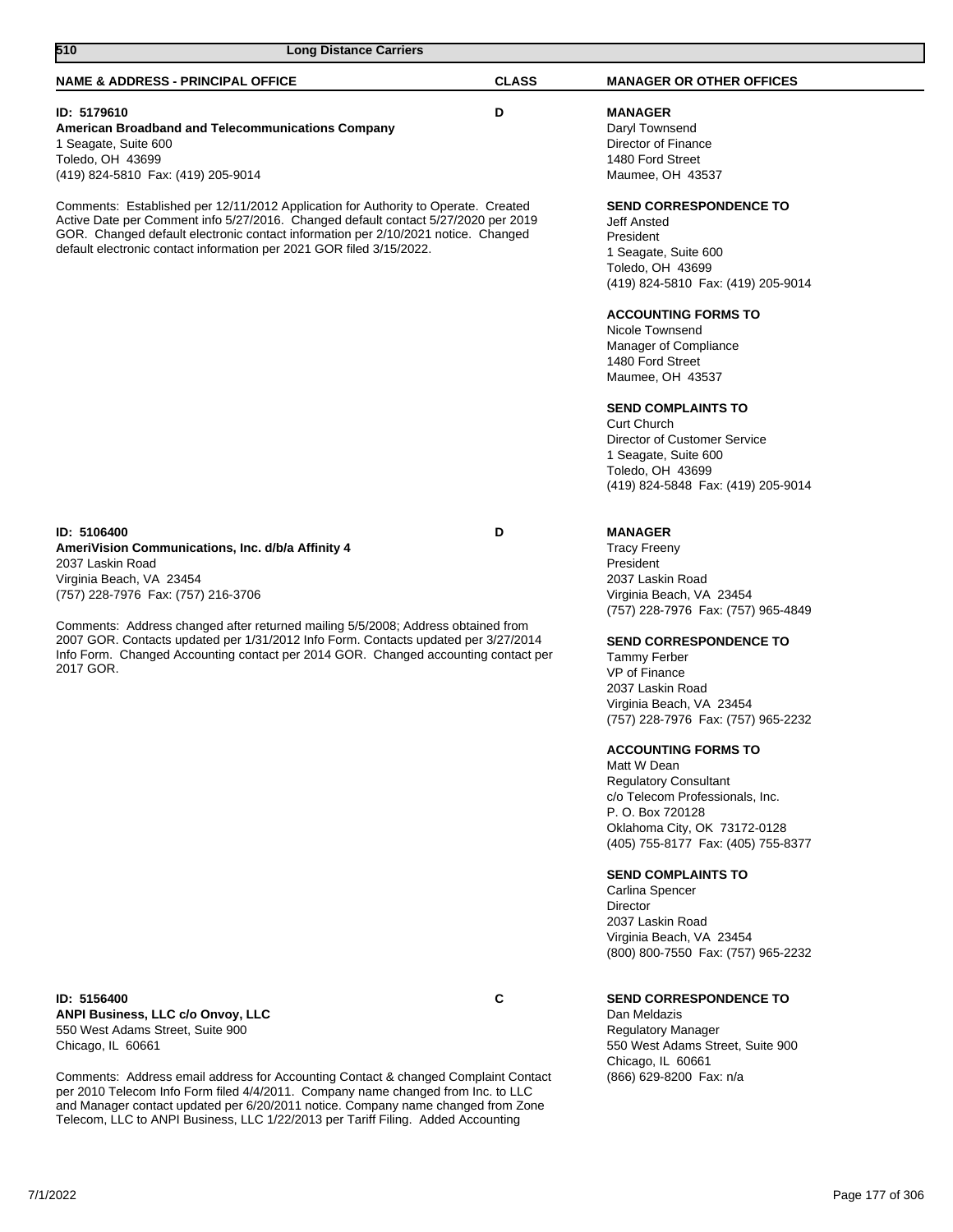| <b>NAME &amp; ADDRESS - PRINCIPAL OFFICE</b>                                                                                                                                                                                                                                                                                                                                                                                        | <b>CLASS</b> | <b>MANAGER OR OTHER OFFICES</b>                                                                                                                                                                                                                                                                                                                                                                                                                                                                                                                                                                                                                                     |
|-------------------------------------------------------------------------------------------------------------------------------------------------------------------------------------------------------------------------------------------------------------------------------------------------------------------------------------------------------------------------------------------------------------------------------------|--------------|---------------------------------------------------------------------------------------------------------------------------------------------------------------------------------------------------------------------------------------------------------------------------------------------------------------------------------------------------------------------------------------------------------------------------------------------------------------------------------------------------------------------------------------------------------------------------------------------------------------------------------------------------------------------|
| ID: 5179610<br>American Broadband and Telecommunications Company<br>1 Seagate, Suite 600<br>Toledo, OH 43699<br>(419) 824-5810 Fax: (419) 205-9014                                                                                                                                                                                                                                                                                  | D            | <b>MANAGER</b><br>Daryl Townsend<br>Director of Finance<br>1480 Ford Street<br>Maumee, OH 43537                                                                                                                                                                                                                                                                                                                                                                                                                                                                                                                                                                     |
| Comments: Established per 12/11/2012 Application for Authority to Operate. Created<br>Active Date per Comment info 5/27/2016. Changed default contact 5/27/2020 per 2019<br>GOR. Changed default electronic contact information per 2/10/2021 notice. Changed<br>default electronic contact information per 2021 GOR filed 3/15/2022.                                                                                               |              | <b>SEND CORRESPONDENCE TO</b><br><b>Jeff Ansted</b><br>President<br>1 Seagate, Suite 600<br>Toledo, OH 43699<br>(419) 824-5810 Fax: (419) 205-9014<br><b>ACCOUNTING FORMS TO</b><br>Nicole Townsend<br>Manager of Compliance<br>1480 Ford Street<br>Maumee, OH 43537<br><b>SEND COMPLAINTS TO</b><br><b>Curt Church</b><br>Director of Customer Service                                                                                                                                                                                                                                                                                                             |
|                                                                                                                                                                                                                                                                                                                                                                                                                                     |              | 1 Seagate, Suite 600<br>Toledo, OH 43699<br>(419) 824-5848 Fax: (419) 205-9014                                                                                                                                                                                                                                                                                                                                                                                                                                                                                                                                                                                      |
| ID: 5106400<br>AmeriVision Communications, Inc. d/b/a Affinity 4<br>2037 Laskin Road<br>Virginia Beach, VA 23454<br>(757) 228-7976 Fax: (757) 216-3706<br>Comments: Address changed after returned mailing 5/5/2008; Address obtained from<br>2007 GOR. Contacts updated per 1/31/2012 Info Form. Contacts updated per 3/27/2014<br>Info Form. Changed Accounting contact per 2014 GOR. Changed accounting contact per<br>2017 GOR. | D            | <b>MANAGER</b><br><b>Tracy Freeny</b><br>President<br>2037 Laskin Road<br>Virginia Beach, VA 23454<br>(757) 228-7976 Fax: (757) 965-4849<br><b>SEND CORRESPONDENCE TO</b><br><b>Tammy Ferber</b><br>VP of Finance<br>2037 Laskin Road<br>Virginia Beach, VA 23454<br>(757) 228-7976 Fax: (757) 965-2232<br><b>ACCOUNTING FORMS TO</b><br>Matt W Dean<br><b>Regulatory Consultant</b><br>c/o Telecom Professionals, Inc.<br>P. O. Box 720128<br>Oklahoma City, OK 73172-0128<br>(405) 755-8177 Fax: (405) 755-8377<br><b>SEND COMPLAINTS TO</b><br>Carlina Spencer<br>Director<br>2037 Laskin Road<br>Virginia Beach, VA 23454<br>(800) 800-7550 Fax: (757) 965-2232 |
| ID: 5156400                                                                                                                                                                                                                                                                                                                                                                                                                         | C            | <b>SEND CORRESPONDENCE TO</b>                                                                                                                                                                                                                                                                                                                                                                                                                                                                                                                                                                                                                                       |

**ANPI Business, LLC c/o Onvoy, LLC** 550 West Adams Street, Suite 900 Chicago, IL 60661

**510 Long Distance Carriers** 

Comments: Address email address for Accounting Contact & changed Complaint Contact per 2010 Telecom Info Form filed 4/4/2011. Company name changed from Inc. to LLC and Manager contact updated per 6/20/2011 notice. Company name changed from Zone Telecom, LLC to ANPI Business, LLC 1/22/2013 per Tariff Filing. Added Accounting

Dan Meldazis Regulatory Manager 550 West Adams Street, Suite 900 Chicago, IL 60661 (866) 629-8200 Fax: n/a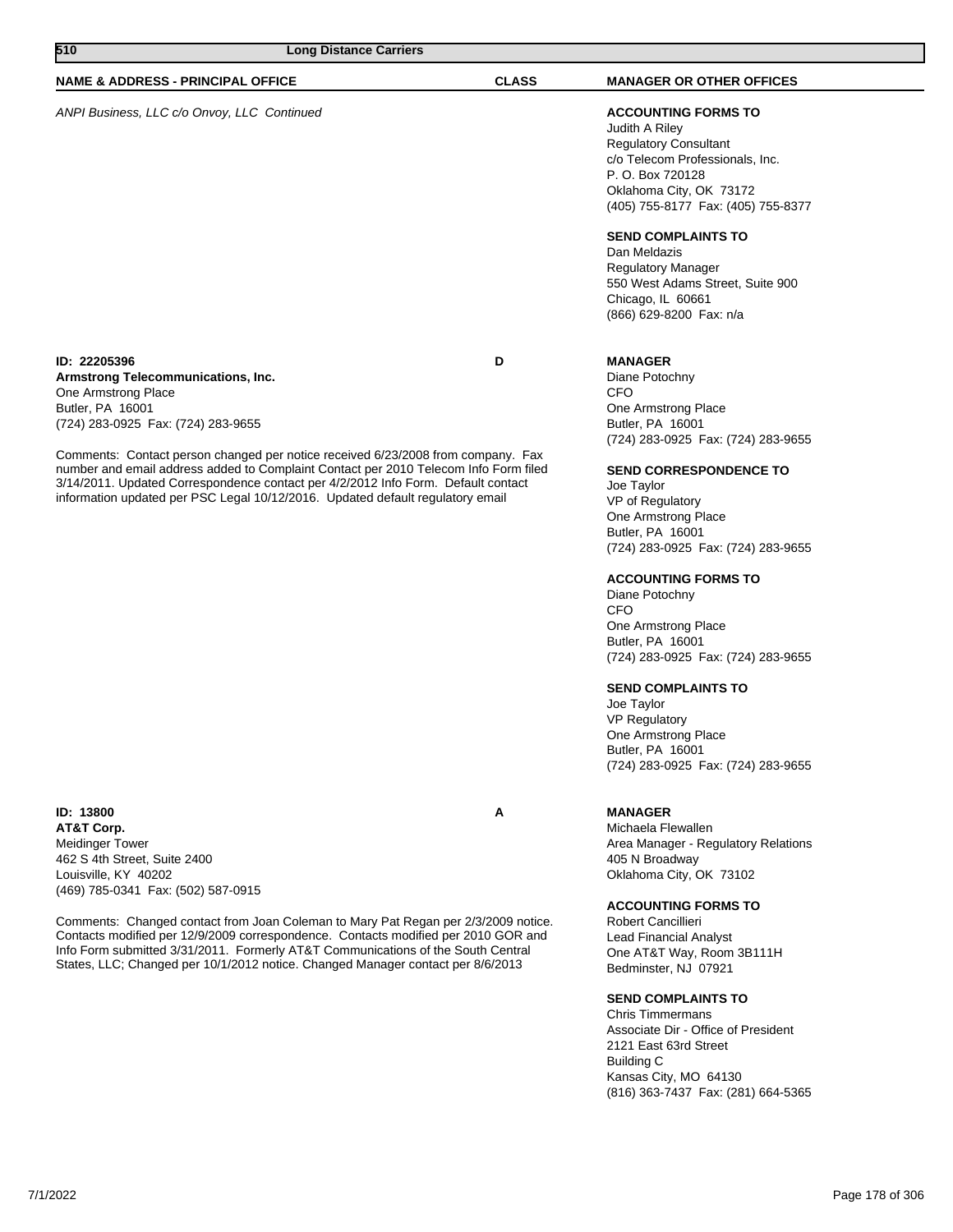| 510<br><b>Long Distance Carriers</b>                                                                                                                                                                                                                                                                                                                                                                                                                                                   |              |                                                                                                                                                                                                                                                                                                                                                                                                                                                                                                                                                                                        |
|----------------------------------------------------------------------------------------------------------------------------------------------------------------------------------------------------------------------------------------------------------------------------------------------------------------------------------------------------------------------------------------------------------------------------------------------------------------------------------------|--------------|----------------------------------------------------------------------------------------------------------------------------------------------------------------------------------------------------------------------------------------------------------------------------------------------------------------------------------------------------------------------------------------------------------------------------------------------------------------------------------------------------------------------------------------------------------------------------------------|
| <b>NAME &amp; ADDRESS - PRINCIPAL OFFICE</b>                                                                                                                                                                                                                                                                                                                                                                                                                                           | <b>CLASS</b> | <b>MANAGER OR OTHER OFFICES</b>                                                                                                                                                                                                                                                                                                                                                                                                                                                                                                                                                        |
| ANPI Business, LLC c/o Onvoy, LLC Continued                                                                                                                                                                                                                                                                                                                                                                                                                                            |              | <b>ACCOUNTING FORMS TO</b><br>Judith A Riley<br><b>Regulatory Consultant</b><br>c/o Telecom Professionals, Inc.<br>P. O. Box 720128<br>Oklahoma City, OK 73172<br>(405) 755-8177 Fax: (405) 755-8377<br><b>SEND COMPLAINTS TO</b><br>Dan Meldazis<br><b>Regulatory Manager</b><br>550 West Adams Street, Suite 900<br>Chicago, IL 60661<br>(866) 629-8200 Fax: n/a                                                                                                                                                                                                                     |
| ID: 22205396<br>Armstrong Telecommunications, Inc.<br>One Armstrong Place<br>Butler, PA 16001<br>(724) 283-0925 Fax: (724) 283-9655<br>Comments: Contact person changed per notice received 6/23/2008 from company. Fax<br>number and email address added to Complaint Contact per 2010 Telecom Info Form filed<br>3/14/2011. Updated Correspondence contact per 4/2/2012 Info Form. Default contact<br>information updated per PSC Legal 10/12/2016. Updated default regulatory email | D            | <b>MANAGER</b><br>Diane Potochny<br><b>CFO</b><br>One Armstrong Place<br>Butler, PA 16001<br>(724) 283-0925 Fax: (724) 283-9655<br><b>SEND CORRESPONDENCE TO</b><br>Joe Taylor<br>VP of Regulatory<br>One Armstrong Place<br>Butler, PA 16001<br>(724) 283-0925 Fax: (724) 283-9655<br><b>ACCOUNTING FORMS TO</b><br>Diane Potochny<br><b>CFO</b><br>One Armstrong Place<br>Butler, PA 16001<br>(724) 283-0925 Fax: (724) 283-9655<br><b>SEND COMPLAINTS TO</b><br>Joe Taylor<br><b>VP Regulatory</b><br>One Armstrong Place<br>Butler, PA 16001<br>(724) 283-0925 Fax: (724) 283-9655 |
| ID: 13800<br>AT&T Corp.<br><b>Meidinger Tower</b><br>462 S 4th Street, Suite 2400<br>Louisville, KY 40202<br>(469) 785-0341 Fax: (502) 587-0915                                                                                                                                                                                                                                                                                                                                        | A            | <b>MANAGER</b><br>Michaela Flewallen<br>Area Manager - Regulatory Relations<br>405 N Broadway<br>Oklahoma City, OK 73102                                                                                                                                                                                                                                                                                                                                                                                                                                                               |
| Comments: Changed contact from Joan Coleman to Mary Pat Regan per 2/3/2009 notice.<br>Contacts modified per 12/9/2009 correspondence. Contacts modified per 2010 GOR and<br>Info Form submitted 3/31/2011. Formerly AT&T Communications of the South Central<br>States, LLC; Changed per 10/1/2012 notice. Changed Manager contact per 8/6/2013                                                                                                                                        |              | <b>ACCOUNTING FORMS TO</b><br>Robert Cancillieri<br>Lead Financial Analyst<br>One AT&T Way, Room 3B111H<br>Bedminster, NJ 07921<br><b>SEND COMPLAINTS TO</b>                                                                                                                                                                                                                                                                                                                                                                                                                           |

Chris Timmermans Associate Dir - Office of President 2121 East 63rd Street Building C Kansas City, MO 64130 (816) 363-7437 Fax: (281) 664-5365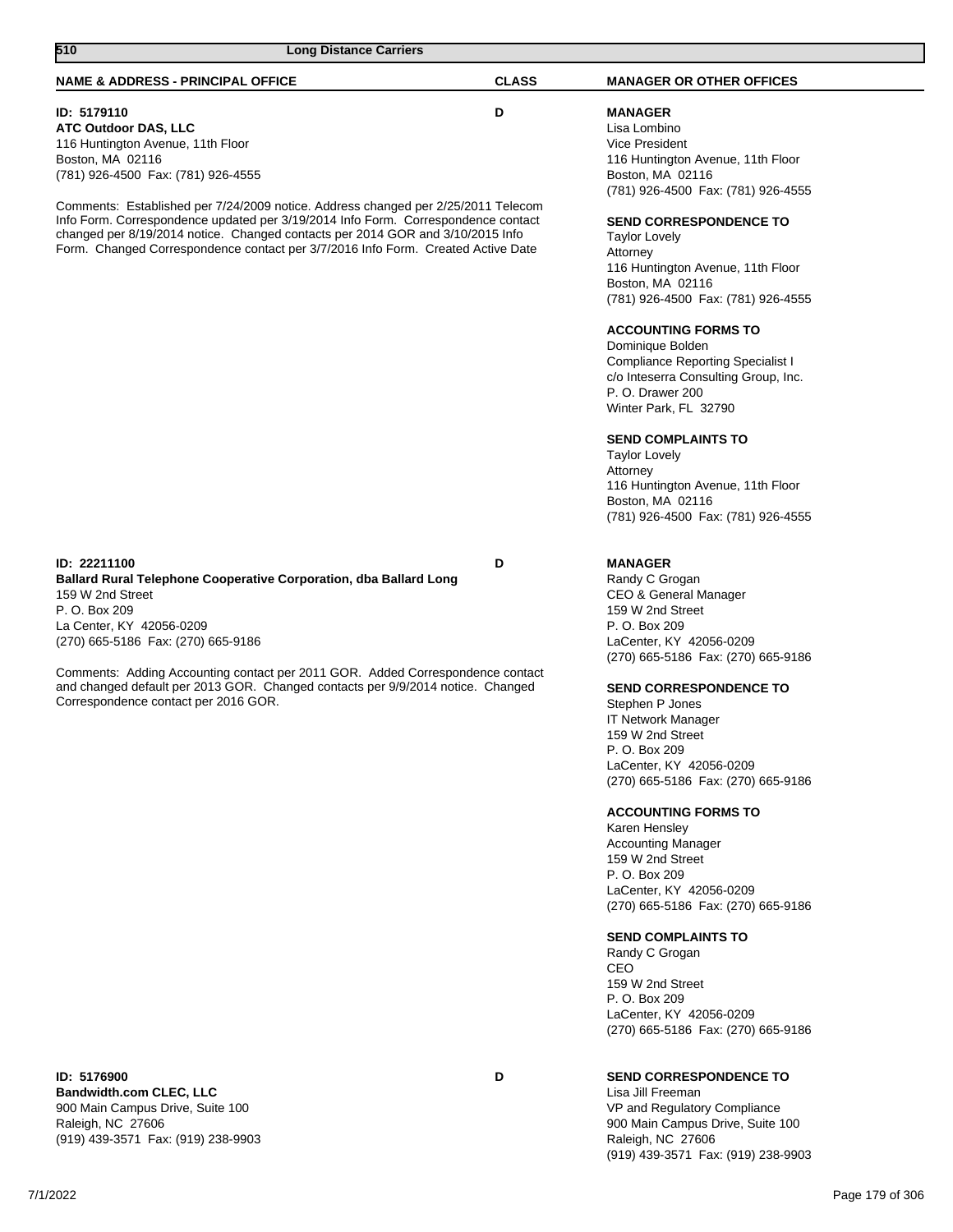| <b>NAME &amp; ADDRESS - PRINCIPAL OFFICE</b>                                                                                                                                                                                                                                                                                                                                                                                                                                              | <b>CLASS</b> | <b>MANAGER OR OTHER OFFICES</b>                                                                                                                                                                                                                                                                                                                                                                                                                                                             |
|-------------------------------------------------------------------------------------------------------------------------------------------------------------------------------------------------------------------------------------------------------------------------------------------------------------------------------------------------------------------------------------------------------------------------------------------------------------------------------------------|--------------|---------------------------------------------------------------------------------------------------------------------------------------------------------------------------------------------------------------------------------------------------------------------------------------------------------------------------------------------------------------------------------------------------------------------------------------------------------------------------------------------|
| ID: 5179110<br><b>ATC Outdoor DAS, LLC</b><br>116 Huntington Avenue, 11th Floor<br>Boston, MA 02116<br>(781) 926-4500 Fax: (781) 926-4555<br>Comments: Established per 7/24/2009 notice. Address changed per 2/25/2011 Telecom<br>Info Form. Correspondence updated per 3/19/2014 Info Form. Correspondence contact<br>changed per 8/19/2014 notice. Changed contacts per 2014 GOR and 3/10/2015 Info<br>Form. Changed Correspondence contact per 3/7/2016 Info Form. Created Active Date | D            | <b>MANAGER</b><br>Lisa Lombino<br><b>Vice President</b><br>116 Huntington Avenue, 11th Floor<br>Boston, MA 02116<br>(781) 926-4500 Fax: (781) 926-4555<br>SEND CORRESPONDENCE TO<br><b>Taylor Lovely</b><br>Attorney<br>116 Huntington Avenue, 11th Floor<br>Boston, MA 02116<br>(781) 926-4500 Fax: (781) 926-4555<br><b>ACCOUNTING FORMS TO</b>                                                                                                                                           |
|                                                                                                                                                                                                                                                                                                                                                                                                                                                                                           |              | Dominique Bolden<br><b>Compliance Reporting Specialist I</b><br>c/o Inteserra Consulting Group, Inc.<br>P.O. Drawer 200<br>Winter Park, FL 32790                                                                                                                                                                                                                                                                                                                                            |
|                                                                                                                                                                                                                                                                                                                                                                                                                                                                                           |              | <b>SEND COMPLAINTS TO</b><br><b>Taylor Lovely</b><br>Attorney<br>116 Huntington Avenue, 11th Floor<br>Boston, MA 02116<br>(781) 926-4500 Fax: (781) 926-4555                                                                                                                                                                                                                                                                                                                                |
| ID: 22211100<br><b>Ballard Rural Telephone Cooperative Corporation, dba Ballard Long</b><br>159 W 2nd Street<br>P. O. Box 209<br>La Center, KY 42056-0209<br>(270) 665-5186 Fax: (270) 665-9186                                                                                                                                                                                                                                                                                           | D            | <b>MANAGER</b><br>Randy C Grogan<br>CEO & General Manager<br>159 W 2nd Street<br>P. O. Box 209<br>LaCenter, KY 42056-0209<br>(270) 665-5186 Fax: (270) 665-9186                                                                                                                                                                                                                                                                                                                             |
| Comments: Adding Accounting contact per 2011 GOR. Added Correspondence contact<br>and changed default per 2013 GOR. Changed contacts per 9/9/2014 notice. Changed<br>Correspondence contact per 2016 GOR.                                                                                                                                                                                                                                                                                 |              | <b>SEND CORRESPONDENCE TO</b><br>Stephen P Jones<br><b>IT Network Manager</b><br>159 W 2nd Street<br>P. O. Box 209<br>LaCenter, KY 42056-0209<br>(270) 665-5186 Fax: (270) 665-9186<br><b>ACCOUNTING FORMS TO</b><br>Karen Hensley<br><b>Accounting Manager</b><br>159 W 2nd Street<br>P. O. Box 209<br>LaCenter, KY 42056-0209<br>(270) 665-5186 Fax: (270) 665-9186<br><b>SEND COMPLAINTS TO</b><br>Randy C Grogan<br>CEO<br>159 W 2nd Street<br>P. O. Box 209<br>LaCenter, KY 42056-0209 |
| ID: 5176900<br><b>Bandwidth.com CLEC, LLC</b><br>900 Main Campus Drive, Suite 100<br>Raleigh, NC 27606<br>(919) 439-3571 Fax: (919) 238-9903                                                                                                                                                                                                                                                                                                                                              | D            | (270) 665-5186 Fax: (270) 665-9186<br><b>SEND CORRESPONDENCE TO</b><br>Lisa Jill Freeman<br>VP and Regulatory Compliance<br>900 Main Campus Drive, Suite 100<br>Raleigh, NC 27606                                                                                                                                                                                                                                                                                                           |

**510 Long Distance Carriers** 

(919) 439-3571 Fax: (919) 238-9903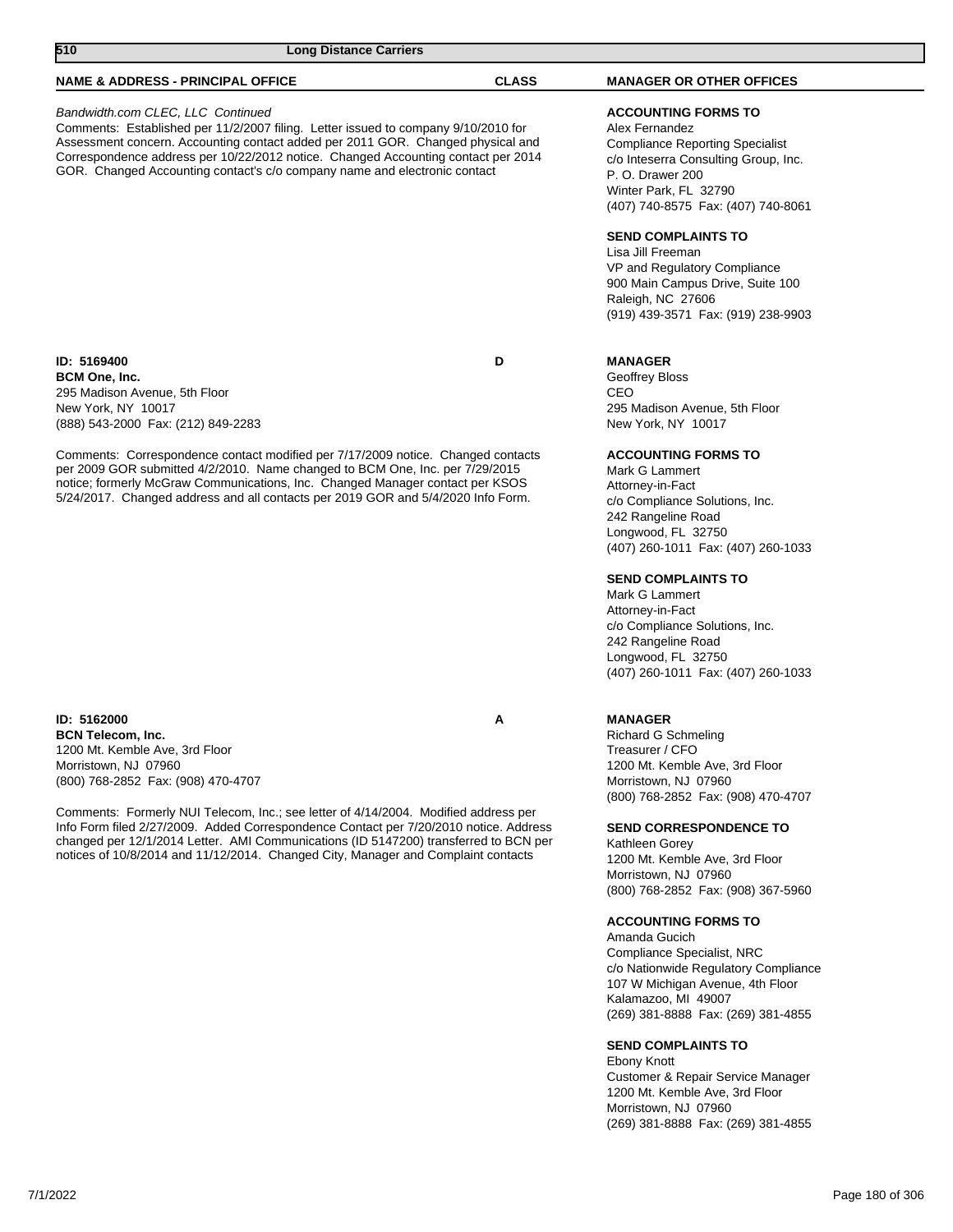| 510<br><b>Long Distance Carriers</b>                                                                                                                                                                                                                                                                                                                                                                                                                                                                 |              |                                                                                                                                                                                                                                                      |
|------------------------------------------------------------------------------------------------------------------------------------------------------------------------------------------------------------------------------------------------------------------------------------------------------------------------------------------------------------------------------------------------------------------------------------------------------------------------------------------------------|--------------|------------------------------------------------------------------------------------------------------------------------------------------------------------------------------------------------------------------------------------------------------|
| <b>NAME &amp; ADDRESS - PRINCIPAL OFFICE</b>                                                                                                                                                                                                                                                                                                                                                                                                                                                         | <b>CLASS</b> | <b>MANAGER OR OTHER OFFICES</b>                                                                                                                                                                                                                      |
| Bandwidth.com CLEC, LLC Continued<br>Comments: Established per 11/2/2007 filing. Letter issued to company 9/10/2010 for<br>Assessment concern. Accounting contact added per 2011 GOR. Changed physical and<br>Correspondence address per 10/22/2012 notice. Changed Accounting contact per 2014<br>GOR. Changed Accounting contact's c/o company name and electronic contact                                                                                                                         |              | <b>ACCOUNTING FORMS TO</b><br>Alex Fernandez<br><b>Compliance Reporting Specialist</b><br>c/o Inteserra Consulting Group, Inc.<br>P. O. Drawer 200<br>Winter Park, FL 32790<br>(407) 740-8575 Fax: (407) 740-8061                                    |
|                                                                                                                                                                                                                                                                                                                                                                                                                                                                                                      |              | <b>SEND COMPLAINTS TO</b><br>Lisa Jill Freeman<br>VP and Regulatory Compliance<br>900 Main Campus Drive, Suite 100<br>Raleigh, NC 27606<br>(919) 439-3571 Fax: (919) 238-9903                                                                        |
| ID: 5169400<br><b>BCM One, Inc.</b><br>295 Madison Avenue, 5th Floor<br>New York, NY 10017<br>(888) 543-2000 Fax: (212) 849-2283                                                                                                                                                                                                                                                                                                                                                                     | D            | <b>MANAGER</b><br>Geoffrey Bloss<br>CEO<br>295 Madison Avenue, 5th Floor<br>New York, NY 10017                                                                                                                                                       |
| Comments: Correspondence contact modified per 7/17/2009 notice. Changed contacts<br>per 2009 GOR submitted 4/2/2010. Name changed to BCM One, Inc. per 7/29/2015<br>notice; formerly McGraw Communications, Inc. Changed Manager contact per KSOS<br>5/24/2017. Changed address and all contacts per 2019 GOR and 5/4/2020 Info Form.                                                                                                                                                                |              | <b>ACCOUNTING FORMS TO</b><br>Mark G Lammert<br>Attorney-in-Fact<br>c/o Compliance Solutions, Inc.<br>242 Rangeline Road<br>Longwood, FL 32750<br>(407) 260-1011 Fax: (407) 260-1033                                                                 |
|                                                                                                                                                                                                                                                                                                                                                                                                                                                                                                      |              | <b>SEND COMPLAINTS TO</b><br>Mark G Lammert<br>Attorney-in-Fact<br>c/o Compliance Solutions, Inc.<br>242 Rangeline Road<br>Longwood, FL 32750<br>(407) 260-1011 Fax: (407) 260-1033                                                                  |
| ID: 5162000<br><b>BCN Telecom, Inc.</b><br>1200 Mt. Kemble Ave, 3rd Floor<br>Morristown, NJ 07960<br>(800) 768-2852 Fax: (908) 470-4707<br>Comments: Formerly NUI Telecom, Inc.; see letter of 4/14/2004. Modified address per<br>Info Form filed 2/27/2009. Added Correspondence Contact per 7/20/2010 notice. Address<br>changed per 12/1/2014 Letter. AMI Communications (ID 5147200) transferred to BCN per<br>notices of 10/8/2014 and 11/12/2014. Changed City, Manager and Complaint contacts | A            | <b>MANAGER</b><br><b>Richard G Schmeling</b><br>Treasurer / CFO<br>1200 Mt. Kemble Ave, 3rd Floor<br>Morristown, NJ 07960<br>(800) 768-2852 Fax: (908) 470-4707<br><b>SEND CORRESPONDENCE TO</b><br>Kathleen Gorey<br>1200 Mt. Kemble Ave, 3rd Floor |
|                                                                                                                                                                                                                                                                                                                                                                                                                                                                                                      |              | Morristown, NJ 07960<br>(800) 768-2852 Fax: (908) 367-5960<br><b>ACCOUNTING FORMS TO</b><br>Amanda Gucich<br>Compliance Specialist, NRC<br>c/o Nationwide Regulatory Compliance<br>107 W Michigan Avenue, 4th Floor                                  |

### **SEND COMPLAINTS TO**

Kalamazoo, MI 49007

Ebony Knott Customer & Repair Service Manager 1200 Mt. Kemble Ave, 3rd Floor Morristown, NJ 07960 (269) 381-8888 Fax: (269) 381-4855

(269) 381-8888 Fax: (269) 381-4855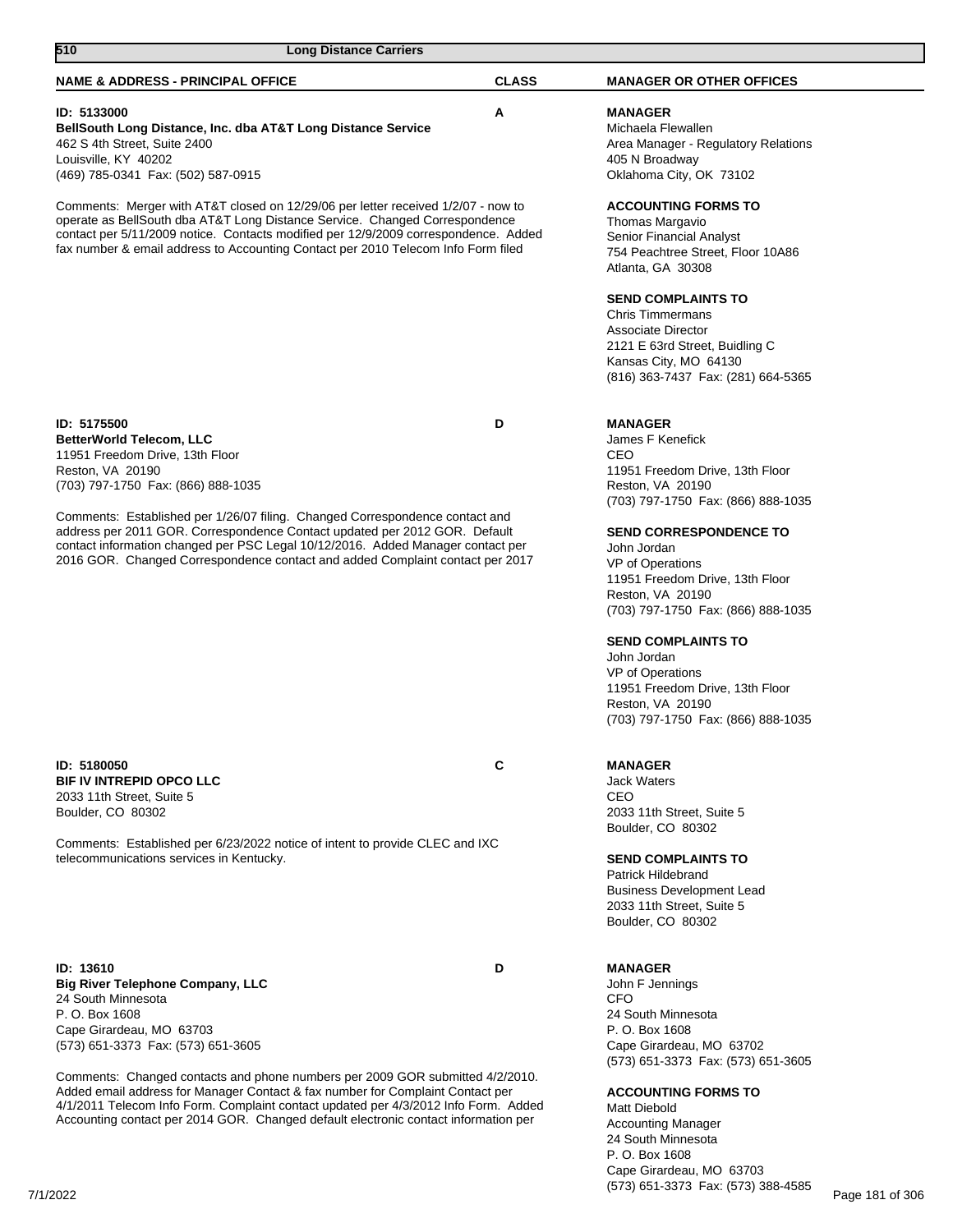| 510<br><b>Long Distance Carriers</b>                                                                                                                                                                                                                                                                                                                                                                                                                                          |              |                                                                                                                                                                                                                                                                                                                                                                                                                                                                      |  |
|-------------------------------------------------------------------------------------------------------------------------------------------------------------------------------------------------------------------------------------------------------------------------------------------------------------------------------------------------------------------------------------------------------------------------------------------------------------------------------|--------------|----------------------------------------------------------------------------------------------------------------------------------------------------------------------------------------------------------------------------------------------------------------------------------------------------------------------------------------------------------------------------------------------------------------------------------------------------------------------|--|
| <b>NAME &amp; ADDRESS - PRINCIPAL OFFICE</b>                                                                                                                                                                                                                                                                                                                                                                                                                                  | <b>CLASS</b> | <b>MANAGER OR OTHER OFFICES</b>                                                                                                                                                                                                                                                                                                                                                                                                                                      |  |
| ID: 5133000<br>BellSouth Long Distance, Inc. dba AT&T Long Distance Service<br>462 S 4th Street, Suite 2400<br>Louisville, KY 40202<br>(469) 785-0341 Fax: (502) 587-0915                                                                                                                                                                                                                                                                                                     | Α            | <b>MANAGER</b><br>Michaela Flewallen<br>Area Manager - Regulatory Relations<br>405 N Broadway<br>Oklahoma City, OK 73102                                                                                                                                                                                                                                                                                                                                             |  |
| Comments: Merger with AT&T closed on 12/29/06 per letter received 1/2/07 - now to<br>operate as BellSouth dba AT&T Long Distance Service. Changed Correspondence<br>contact per 5/11/2009 notice. Contacts modified per 12/9/2009 correspondence. Added<br>fax number & email address to Accounting Contact per 2010 Telecom Info Form filed                                                                                                                                  |              | <b>ACCOUNTING FORMS TO</b><br>Thomas Margavio<br>Senior Financial Analyst<br>754 Peachtree Street, Floor 10A86<br>Atlanta, GA 30308<br><b>SEND COMPLAINTS TO</b><br><b>Chris Timmermans</b><br><b>Associate Director</b><br>2121 E 63rd Street, Buidling C<br>Kansas City, MO 64130<br>(816) 363-7437 Fax: (281) 664-5365                                                                                                                                            |  |
| ID: 5175500<br><b>BetterWorld Telecom, LLC</b><br>11951 Freedom Drive, 13th Floor<br>Reston, VA 20190<br>(703) 797-1750 Fax: (866) 888-1035<br>Comments: Established per 1/26/07 filing. Changed Correspondence contact and<br>address per 2011 GOR. Correspondence Contact updated per 2012 GOR. Default<br>contact information changed per PSC Legal 10/12/2016. Added Manager contact per<br>2016 GOR. Changed Correspondence contact and added Complaint contact per 2017 | D            | <b>MANAGER</b><br>James F Kenefick<br>CEO<br>11951 Freedom Drive, 13th Floor<br>Reston, VA 20190<br>(703) 797-1750 Fax: (866) 888-1035<br><b>SEND CORRESPONDENCE TO</b><br>John Jordan<br>VP of Operations<br>11951 Freedom Drive, 13th Floor<br>Reston, VA 20190<br>(703) 797-1750 Fax: (866) 888-1035<br><b>SEND COMPLAINTS TO</b><br>John Jordan<br>VP of Operations<br>11951 Freedom Drive, 13th Floor<br>Reston, VA 20190<br>(703) 797-1750 Fax: (866) 888-1035 |  |
| ID: 5180050<br><b>BIF IV INTREPID OPCO LLC</b><br>2033 11th Street, Suite 5<br>Boulder, CO 80302<br>Comments: Established per 6/23/2022 notice of intent to provide CLEC and IXC<br>telecommunications services in Kentucky.                                                                                                                                                                                                                                                  | C            | <b>MANAGER</b><br><b>Jack Waters</b><br>CEO<br>2033 11th Street, Suite 5<br>Boulder, CO 80302<br><b>SEND COMPLAINTS TO</b><br>Patrick Hildebrand<br><b>Business Development Lead</b><br>2033 11th Street, Suite 5<br>Boulder, CO 80302                                                                                                                                                                                                                               |  |
| <b>ID: 13610</b><br><b>Big River Telephone Company, LLC</b>                                                                                                                                                                                                                                                                                                                                                                                                                   | D            | <b>MANAGER</b><br>John F Jennings                                                                                                                                                                                                                                                                                                                                                                                                                                    |  |

**Big River Telephone Company, LLC** 24 South Minnesota P. O. Box 1608 Cape Girardeau, MO 63703 (573) 651-3373 Fax: (573) 651-3605

Comments: Changed contacts and phone numbers per 2009 GOR submitted 4/2/2010. Added email address for Manager Contact & fax number for Complaint Contact per 4/1/2011 Telecom Info Form. Complaint contact updated per 4/3/2012 Info Form. Added Accounting contact per 2014 GOR. Changed default electronic contact information per

(573) 651-3373 Fax: (573) 651-3605 **ACCOUNTING FORMS TO** Matt Diebold Accounting Manager 24 South Minnesota P. O. Box 1608

CFO

24 South Minnesota P. O. Box 1608

Cape Girardeau, MO 63702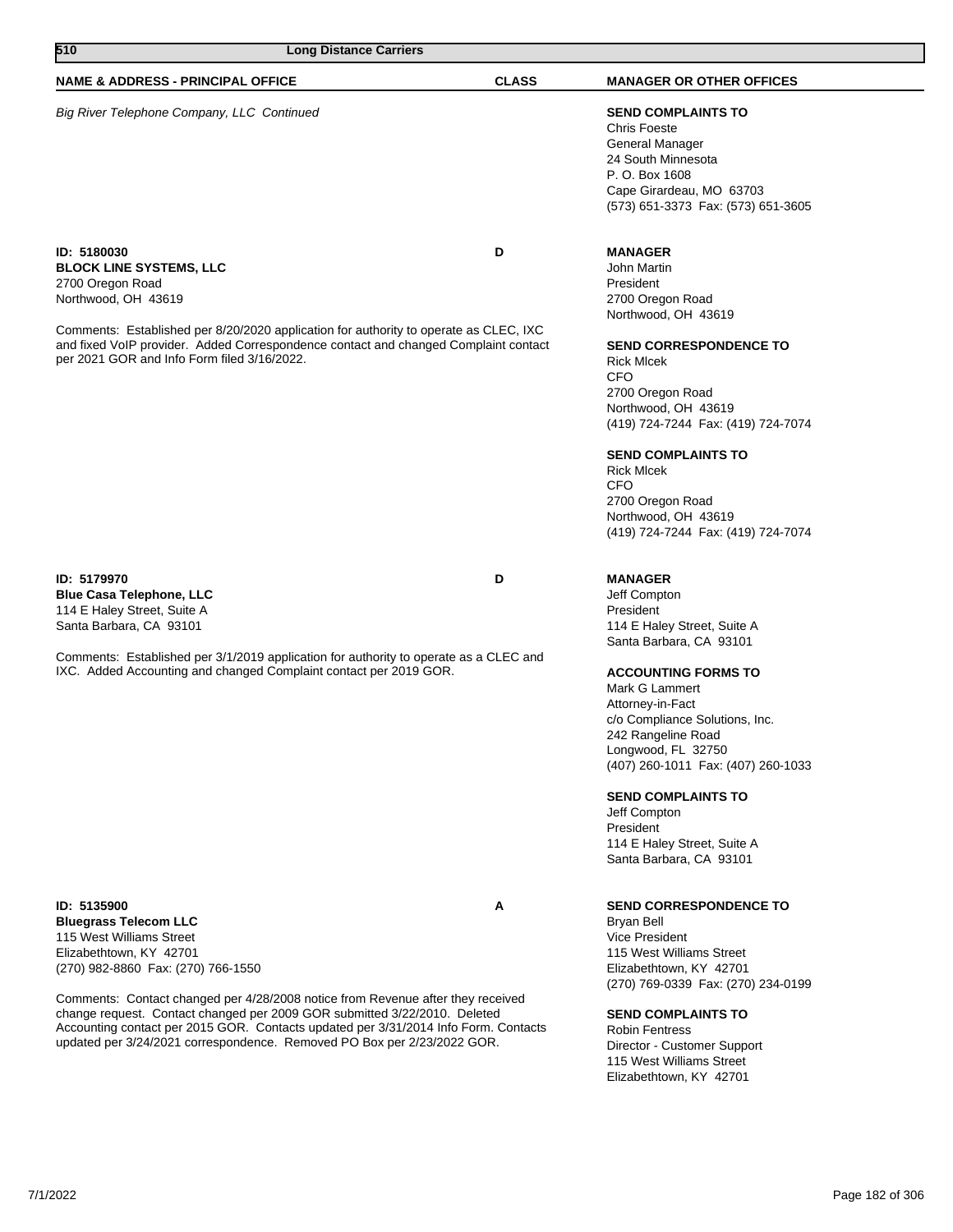| 510<br><b>Long Distance Carriers</b>                                                                                                                                                                                                                |              |                                                                                                                                                                                                                                                                                                          |
|-----------------------------------------------------------------------------------------------------------------------------------------------------------------------------------------------------------------------------------------------------|--------------|----------------------------------------------------------------------------------------------------------------------------------------------------------------------------------------------------------------------------------------------------------------------------------------------------------|
| <b>NAME &amp; ADDRESS - PRINCIPAL OFFICE</b>                                                                                                                                                                                                        | <b>CLASS</b> | <b>MANAGER OR OTHER OFFICES</b>                                                                                                                                                                                                                                                                          |
| Big River Telephone Company, LLC Continued                                                                                                                                                                                                          |              | <b>SEND COMPLAINTS TO</b><br><b>Chris Foeste</b><br>General Manager<br>24 South Minnesota<br>P. O. Box 1608<br>Cape Girardeau, MO 63703<br>(573) 651-3373 Fax: (573) 651-3605                                                                                                                            |
| ID: 5180030<br><b>BLOCK LINE SYSTEMS, LLC</b><br>2700 Oregon Road<br>Northwood, OH 43619<br>Comments: Established per 8/20/2020 application for authority to operate as CLEC, IXC                                                                   | D            | <b>MANAGER</b><br>John Martin<br>President<br>2700 Oregon Road<br>Northwood, OH 43619                                                                                                                                                                                                                    |
| and fixed VoIP provider. Added Correspondence contact and changed Complaint contact<br>per 2021 GOR and Info Form filed 3/16/2022.                                                                                                                  |              | <b>SEND CORRESPONDENCE TO</b><br><b>Rick MIcek</b><br><b>CFO</b><br>2700 Oregon Road<br>Northwood, OH 43619<br>(419) 724-7244 Fax: (419) 724-7074                                                                                                                                                        |
|                                                                                                                                                                                                                                                     |              | <b>SEND COMPLAINTS TO</b><br><b>Rick MIcek</b><br><b>CFO</b><br>2700 Oregon Road<br>Northwood, OH 43619<br>(419) 724-7244 Fax: (419) 724-7074                                                                                                                                                            |
| ID: 5179970<br><b>Blue Casa Telephone, LLC</b><br>114 E Haley Street, Suite A<br>Santa Barbara, CA 93101                                                                                                                                            | D            | <b>MANAGER</b><br>Jeff Compton<br>President<br>114 E Haley Street, Suite A<br>Santa Barbara, CA 93101                                                                                                                                                                                                    |
| Comments: Established per 3/1/2019 application for authority to operate as a CLEC and<br>IXC. Added Accounting and changed Complaint contact per 2019 GOR.                                                                                          |              | <b>ACCOUNTING FORMS TO</b><br>Mark G Lammert<br>Attorney-in-Fact<br>c/o Compliance Solutions, Inc.<br>242 Rangeline Road<br>Longwood, FL 32750<br>(407) 260-1011 Fax: (407) 260-1033<br><b>SEND COMPLAINTS TO</b><br>Jeff Compton<br>President<br>114 E Haley Street, Suite A<br>Santa Barbara, CA 93101 |
| ID: 5135900<br><b>Bluegrass Telecom LLC</b><br>115 West Williams Street<br>Elizabethtown, KY 42701<br>(270) 982-8860 Fax: (270) 766-1550                                                                                                            | A            | <b>SEND CORRESPONDENCE TO</b><br>Bryan Bell<br><b>Vice President</b><br>115 West Williams Street<br>Elizabethtown, KY 42701<br>(270) 769-0339 Fax: (270) 234-0199                                                                                                                                        |
| Comments: Contact changed per 4/28/2008 notice from Revenue after they received<br>change request. Contact changed per 2009 GOR submitted 3/22/2010. Deleted<br>Accounting contact per 2015 GOR. Contacts updated per 3/31/2014 Info Form. Contacts |              | <b>SEND COMPLAINTS TO</b><br><b>Robin Fentress</b>                                                                                                                                                                                                                                                       |

Robin Fentress Director - Customer Support 115 West Williams Street Elizabethtown, KY 42701

updated per 3/24/2021 correspondence. Removed PO Box per 2/23/2022 GOR.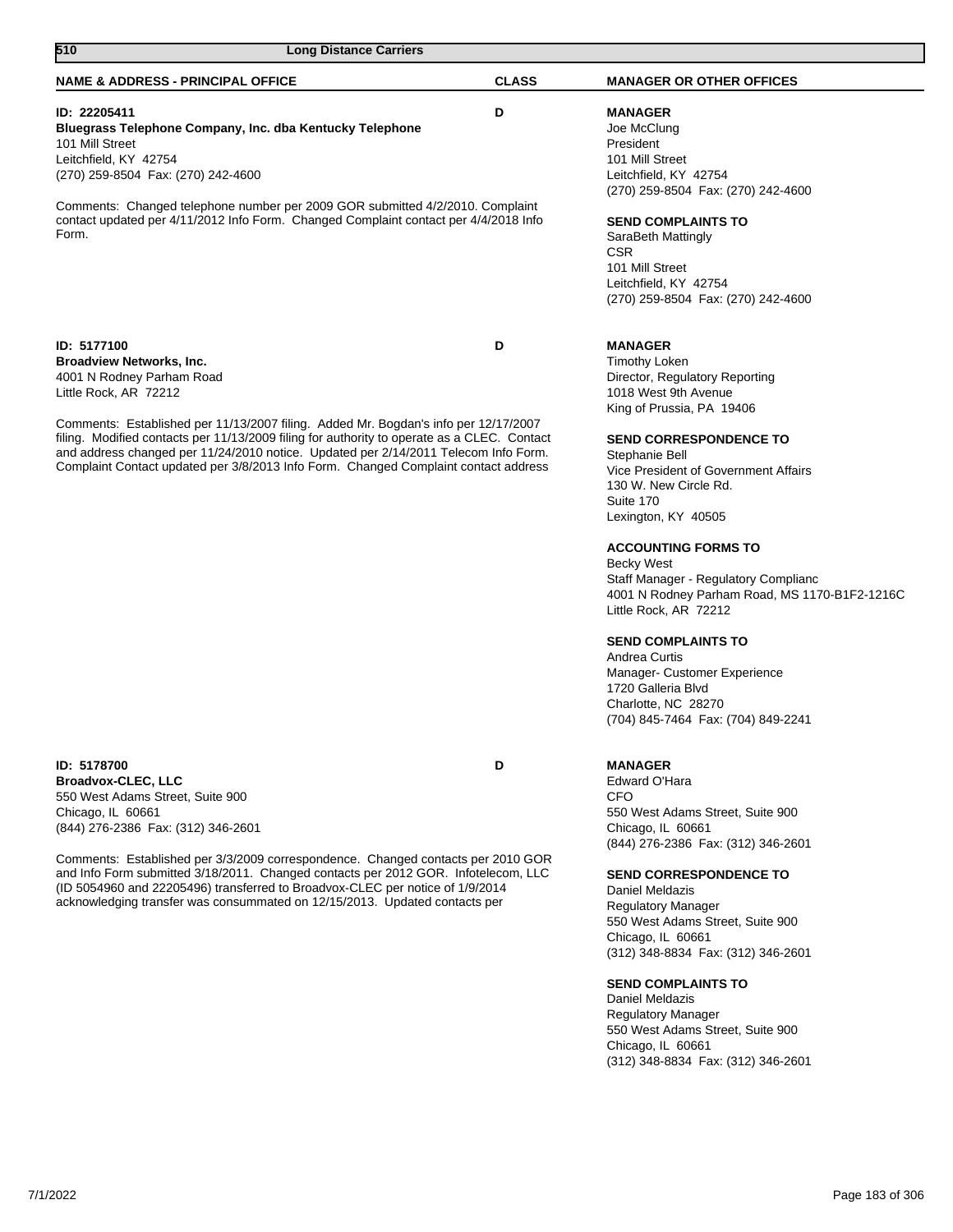| 510<br><b>Long Distance Carriers</b>                                                                                                                                                                                                                                                                                                                                                                                                                                             |              |                                                                                                                                                                                                                                                                                                                                                                                                                                                                                                                                                                                                                      |  |
|----------------------------------------------------------------------------------------------------------------------------------------------------------------------------------------------------------------------------------------------------------------------------------------------------------------------------------------------------------------------------------------------------------------------------------------------------------------------------------|--------------|----------------------------------------------------------------------------------------------------------------------------------------------------------------------------------------------------------------------------------------------------------------------------------------------------------------------------------------------------------------------------------------------------------------------------------------------------------------------------------------------------------------------------------------------------------------------------------------------------------------------|--|
| <b>NAME &amp; ADDRESS - PRINCIPAL OFFICE</b>                                                                                                                                                                                                                                                                                                                                                                                                                                     | <b>CLASS</b> | <b>MANAGER OR OTHER OFFICES</b>                                                                                                                                                                                                                                                                                                                                                                                                                                                                                                                                                                                      |  |
| ID: 22205411<br>Bluegrass Telephone Company, Inc. dba Kentucky Telephone<br>101 Mill Street<br>Leitchfield, KY 42754<br>(270) 259-8504 Fax: (270) 242-4600<br>Comments: Changed telephone number per 2009 GOR submitted 4/2/2010. Complaint<br>contact updated per 4/11/2012 Info Form. Changed Complaint contact per 4/4/2018 Info<br>Form.                                                                                                                                     | D            | <b>MANAGER</b><br>Joe McClung<br>President<br>101 Mill Street<br>Leitchfield, KY 42754<br>(270) 259-8504 Fax: (270) 242-4600<br><b>SEND COMPLAINTS TO</b><br>SaraBeth Mattingly<br><b>CSR</b><br>101 Mill Street<br>Leitchfield, KY 42754<br>(270) 259-8504 Fax: (270) 242-4600                                                                                                                                                                                                                                                                                                                                      |  |
| ID: 5177100<br><b>Broadview Networks, Inc.</b><br>4001 N Rodney Parham Road<br>Little Rock, AR 72212<br>Comments: Established per 11/13/2007 filing. Added Mr. Bogdan's info per 12/17/2007<br>filing. Modified contacts per 11/13/2009 filing for authority to operate as a CLEC. Contact<br>and address changed per 11/24/2010 notice. Updated per 2/14/2011 Telecom Info Form.<br>Complaint Contact updated per 3/8/2013 Info Form. Changed Complaint contact address         | D            | <b>MANAGER</b><br><b>Timothy Loken</b><br>Director, Regulatory Reporting<br>1018 West 9th Avenue<br>King of Prussia, PA 19406<br><b>SEND CORRESPONDENCE TO</b><br>Stephanie Bell<br>Vice President of Government Affairs<br>130 W. New Circle Rd.<br>Suite 170<br>Lexington, KY 40505<br><b>ACCOUNTING FORMS TO</b><br>Becky West<br>Staff Manager - Regulatory Complianc<br>4001 N Rodney Parham Road, MS 1170-B1F2-1216C<br>Little Rock, AR 72212<br><b>SEND COMPLAINTS TO</b><br>Andrea Curtis<br>Manager- Customer Experience<br>1720 Galleria Blyd<br>Charlotte, NC 28270<br>(704) 845-7464 Fax: (704) 849-2241 |  |
| ID: 5178700<br><b>Broadvox-CLEC, LLC</b><br>550 West Adams Street, Suite 900<br>Chicago, IL 60661<br>(844) 276-2386 Fax: (312) 346-2601<br>Comments: Established per 3/3/2009 correspondence. Changed contacts per 2010 GOR<br>and Info Form submitted 3/18/2011. Changed contacts per 2012 GOR. Infotelecom, LLC<br>(ID 5054960 and 22205496) transferred to Broadvox-CLEC per notice of 1/9/2014<br>acknowledging transfer was consummated on 12/15/2013. Updated contacts per | D            | <b>MANAGER</b><br>Edward O'Hara<br><b>CFO</b><br>550 West Adams Street, Suite 900<br>Chicago, IL 60661<br>(844) 276-2386 Fax: (312) 346-2601<br><b>SEND CORRESPONDENCE TO</b><br>Daniel Meldazis<br><b>Regulatory Manager</b><br>550 West Adams Street, Suite 900<br>Chicago, IL 60661<br>(312) 348-8834 Fax: (312) 346-2601<br><b>SEND COMPLAINTS TO</b>                                                                                                                                                                                                                                                            |  |

Daniel Meldazis Regulatory Manager 550 West Adams Street, Suite 900 Chicago, IL 60661 (312) 348-8834 Fax: (312) 346-2601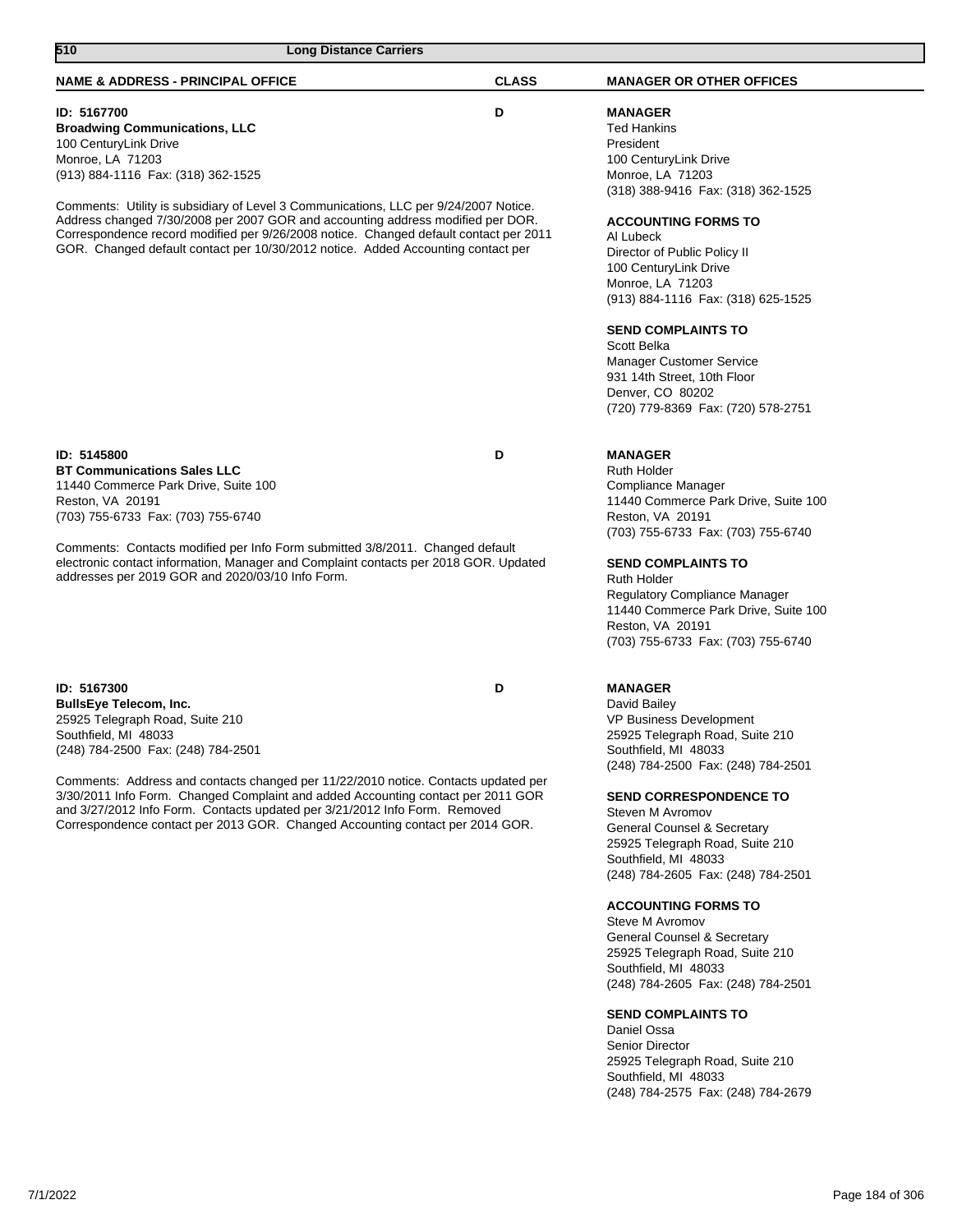| 510<br><b>Long Distance Carriers</b>                                                                                                                                                                                                                                                                                                                                                                                                                                                           |              |                                                                                                                                                                                                                                                                                                                                                                                                                                                                                                                                                                                                                                                                                                                    |
|------------------------------------------------------------------------------------------------------------------------------------------------------------------------------------------------------------------------------------------------------------------------------------------------------------------------------------------------------------------------------------------------------------------------------------------------------------------------------------------------|--------------|--------------------------------------------------------------------------------------------------------------------------------------------------------------------------------------------------------------------------------------------------------------------------------------------------------------------------------------------------------------------------------------------------------------------------------------------------------------------------------------------------------------------------------------------------------------------------------------------------------------------------------------------------------------------------------------------------------------------|
| <b>NAME &amp; ADDRESS - PRINCIPAL OFFICE</b>                                                                                                                                                                                                                                                                                                                                                                                                                                                   | <b>CLASS</b> | <b>MANAGER OR OTHER OFFICES</b>                                                                                                                                                                                                                                                                                                                                                                                                                                                                                                                                                                                                                                                                                    |
| ID: 5167700<br><b>Broadwing Communications, LLC</b><br>100 CenturyLink Drive<br>Monroe, LA 71203<br>(913) 884-1116 Fax: (318) 362-1525<br>Comments: Utility is subsidiary of Level 3 Communications, LLC per 9/24/2007 Notice.<br>Address changed 7/30/2008 per 2007 GOR and accounting address modified per DOR.<br>Correspondence record modified per 9/26/2008 notice. Changed default contact per 2011<br>GOR. Changed default contact per 10/30/2012 notice. Added Accounting contact per | D            | <b>MANAGER</b><br><b>Ted Hankins</b><br>President<br>100 CenturyLink Drive<br>Monroe, LA 71203<br>(318) 388-9416 Fax: (318) 362-1525<br><b>ACCOUNTING FORMS TO</b><br>Al Lubeck<br>Director of Public Policy II<br>100 CenturyLink Drive<br>Monroe, LA 71203<br>(913) 884-1116 Fax: (318) 625-1525<br><b>SEND COMPLAINTS TO</b><br>Scott Belka<br><b>Manager Customer Service</b><br>931 14th Street, 10th Floor<br>Denver, CO 80202<br>(720) 779-8369 Fax: (720) 578-2751                                                                                                                                                                                                                                         |
| ID: 5145800<br><b>BT Communications Sales LLC</b><br>11440 Commerce Park Drive, Suite 100<br>Reston, VA 20191<br>(703) 755-6733 Fax: (703) 755-6740<br>Comments: Contacts modified per Info Form submitted 3/8/2011. Changed default<br>electronic contact information, Manager and Complaint contacts per 2018 GOR. Updated<br>addresses per 2019 GOR and 2020/03/10 Info Form.                                                                                                               | D            | <b>MANAGER</b><br><b>Ruth Holder</b><br>Compliance Manager<br>11440 Commerce Park Drive, Suite 100<br>Reston, VA 20191<br>(703) 755-6733 Fax: (703) 755-6740<br><b>SEND COMPLAINTS TO</b><br>Ruth Holder<br>Regulatory Compliance Manager<br>11440 Commerce Park Drive, Suite 100<br>Reston, VA 20191<br>(703) 755-6733 Fax: (703) 755-6740                                                                                                                                                                                                                                                                                                                                                                        |
| ID: 5167300<br><b>BullsEye Telecom, Inc.</b><br>25925 Telegraph Road, Suite 210<br>Southfield, MI 48033<br>(248) 784-2500 Fax: (248) 784-2501<br>Comments: Address and contacts changed per 11/22/2010 notice. Contacts updated per<br>3/30/2011 Info Form. Changed Complaint and added Accounting contact per 2011 GOR<br>and 3/27/2012 Info Form. Contacts updated per 3/21/2012 Info Form. Removed<br>Correspondence contact per 2013 GOR. Changed Accounting contact per 2014 GOR.         | D            | <b>MANAGER</b><br>David Bailey<br>VP Business Development<br>25925 Telegraph Road, Suite 210<br>Southfield, MI 48033<br>(248) 784-2500 Fax: (248) 784-2501<br><b>SEND CORRESPONDENCE TO</b><br>Steven M Avromov<br>General Counsel & Secretary<br>25925 Telegraph Road, Suite 210<br>Southfield, MI 48033<br>(248) 784-2605 Fax: (248) 784-2501<br><b>ACCOUNTING FORMS TO</b><br>Steve M Avromov<br><b>General Counsel &amp; Secretary</b><br>25925 Telegraph Road, Suite 210<br>Southfield, MI 48033<br>(248) 784-2605 Fax: (248) 784-2501<br><b>SEND COMPLAINTS TO</b><br>Daniel Ossa<br><b>Senior Director</b><br>25925 Telegraph Road, Suite 210<br>Southfield, MI 48033<br>(248) 784-2575 Fax: (248) 784-2679 |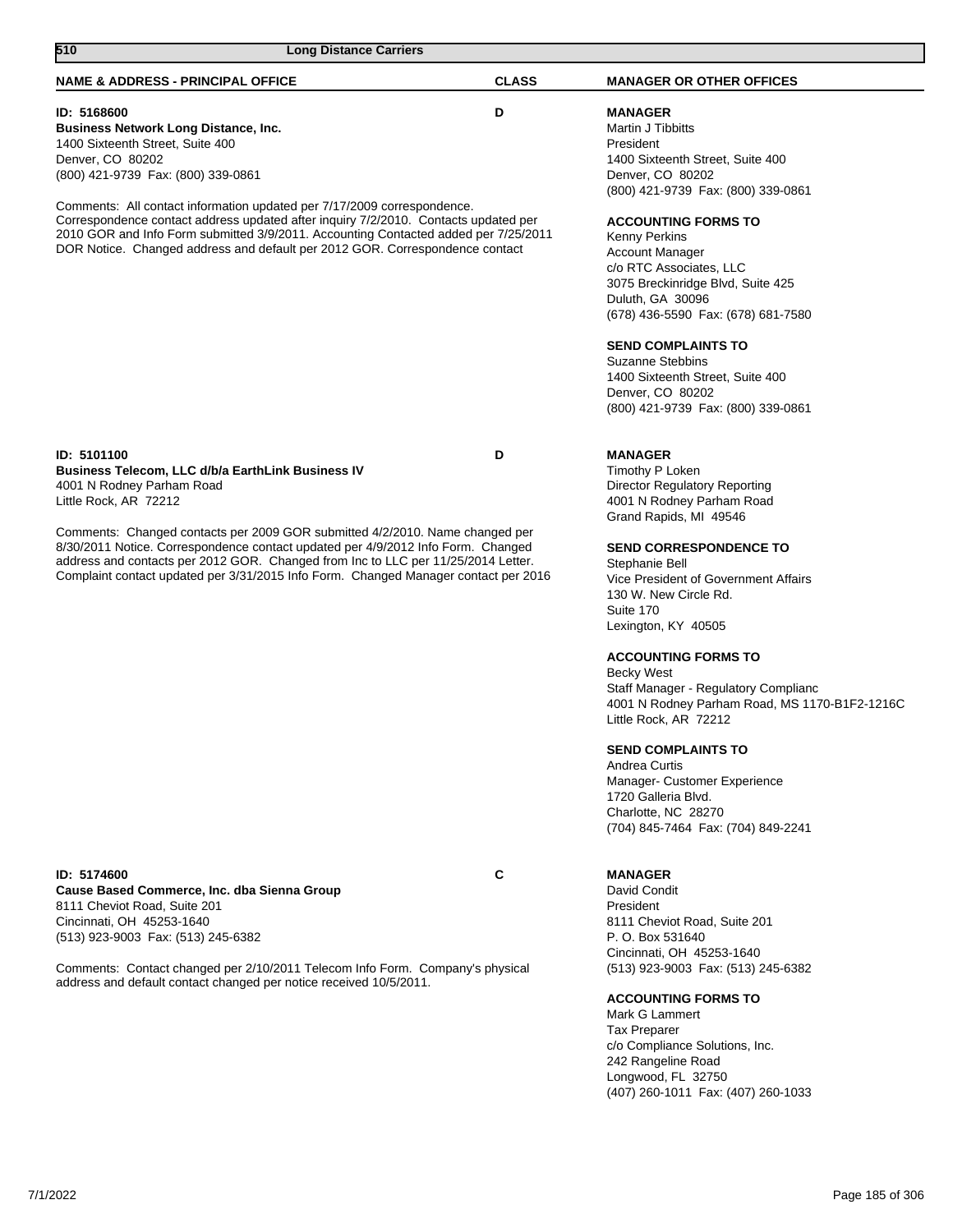| 510<br><b>Long Distance Carriers</b>                                                                                                                                                                                                                                                                                                         |              |                                                                                                                                                                                                                                                                                                                                                                                                                                                                                                                       |
|----------------------------------------------------------------------------------------------------------------------------------------------------------------------------------------------------------------------------------------------------------------------------------------------------------------------------------------------|--------------|-----------------------------------------------------------------------------------------------------------------------------------------------------------------------------------------------------------------------------------------------------------------------------------------------------------------------------------------------------------------------------------------------------------------------------------------------------------------------------------------------------------------------|
| <b>NAME &amp; ADDRESS - PRINCIPAL OFFICE</b>                                                                                                                                                                                                                                                                                                 | <b>CLASS</b> | <b>MANAGER OR OTHER OFFICES</b>                                                                                                                                                                                                                                                                                                                                                                                                                                                                                       |
| ID: 5168600<br><b>Business Network Long Distance, Inc.</b><br>1400 Sixteenth Street, Suite 400<br>Denver, CO 80202<br>(800) 421-9739 Fax: (800) 339-0861                                                                                                                                                                                     | D            | <b>MANAGER</b><br>Martin J Tibbitts<br>President<br>1400 Sixteenth Street, Suite 400<br>Denver, CO 80202                                                                                                                                                                                                                                                                                                                                                                                                              |
| Comments: All contact information updated per 7/17/2009 correspondence.<br>Correspondence contact address updated after inquiry 7/2/2010. Contacts updated per<br>2010 GOR and Info Form submitted 3/9/2011. Accounting Contacted added per 7/25/2011<br>DOR Notice. Changed address and default per 2012 GOR. Correspondence contact        |              | (800) 421-9739 Fax: (800) 339-0861<br><b>ACCOUNTING FORMS TO</b><br>Kenny Perkins<br><b>Account Manager</b><br>c/o RTC Associates, LLC<br>3075 Breckinridge Blvd, Suite 425<br>Duluth, GA 30096<br>(678) 436-5590 Fax: (678) 681-7580<br><b>SEND COMPLAINTS TO</b><br><b>Suzanne Stebbins</b><br>1400 Sixteenth Street, Suite 400<br>Denver, CO 80202<br>(800) 421-9739 Fax: (800) 339-0861                                                                                                                           |
| ID: 5101100<br>Business Telecom, LLC d/b/a EarthLink Business IV<br>4001 N Rodney Parham Road<br>Little Rock, AR 72212                                                                                                                                                                                                                       | D            | <b>MANAGER</b><br>Timothy P Loken<br><b>Director Regulatory Reporting</b><br>4001 N Rodney Parham Road                                                                                                                                                                                                                                                                                                                                                                                                                |
| Comments: Changed contacts per 2009 GOR submitted 4/2/2010. Name changed per<br>8/30/2011 Notice. Correspondence contact updated per 4/9/2012 Info Form. Changed<br>address and contacts per 2012 GOR. Changed from Inc to LLC per 11/25/2014 Letter.<br>Complaint contact updated per 3/31/2015 Info Form. Changed Manager contact per 2016 |              | Grand Rapids, MI 49546<br><b>SEND CORRESPONDENCE TO</b><br>Stephanie Bell<br>Vice President of Government Affairs<br>130 W. New Circle Rd.<br>Suite 170<br>Lexington, KY 40505<br><b>ACCOUNTING FORMS TO</b><br><b>Becky West</b><br>Staff Manager - Regulatory Complianc<br>4001 N Rodney Parham Road, MS 1170-B1F2-1216C<br>Little Rock, AR 72212<br><b>SEND COMPLAINTS TO</b><br>Andrea Curtis<br>Manager- Customer Experience<br>1720 Galleria Blvd.<br>Charlotte, NC 28270<br>(704) 845-7464 Fax: (704) 849-2241 |
| ID: 5174600<br>Cause Based Commerce, Inc. dba Sienna Group<br>8111 Cheviot Road, Suite 201<br>Cincinnati, OH 45253-1640<br>(513) 923-9003 Fax: (513) 245-6382<br>Comments: Contact changed per 2/10/2011 Telecom Info Form. Company's physical<br>address and default contact changed per notice received 10/5/2011.                         | С            | <b>MANAGER</b><br>David Condit<br>President<br>8111 Cheviot Road, Suite 201<br>P. O. Box 531640<br>Cincinnati, OH 45253-1640<br>(513) 923-9003 Fax: (513) 245-6382<br><b>ACCOUNTING FORMS TO</b><br>Mark G Lammert<br><b>Tax Preparer</b><br>c/o Compliance Solutions, Inc.<br>242 Rangeline Road<br>Longwood, FL 32750                                                                                                                                                                                               |

(407) 260-1011 Fax: (407) 260-1033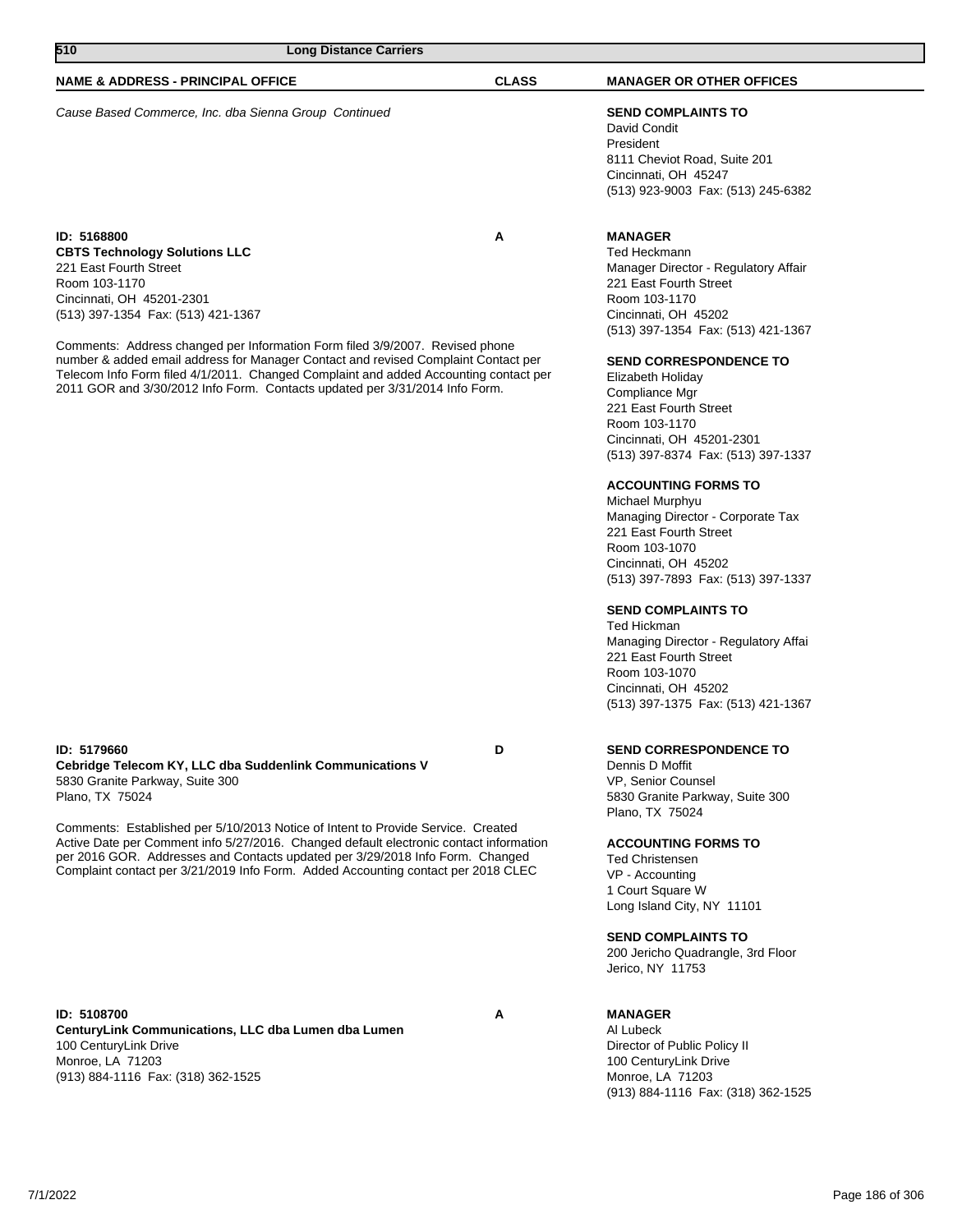| ט ו־כו<br>Long Distance Carriers                                                                                                                                                                                                                                                                                                          |              |                                                                                                                                                                                 |  |
|-------------------------------------------------------------------------------------------------------------------------------------------------------------------------------------------------------------------------------------------------------------------------------------------------------------------------------------------|--------------|---------------------------------------------------------------------------------------------------------------------------------------------------------------------------------|--|
| <b>NAME &amp; ADDRESS - PRINCIPAL OFFICE</b>                                                                                                                                                                                                                                                                                              | <b>CLASS</b> | <b>MANAGER OR OTHER OFFICES</b>                                                                                                                                                 |  |
| Cause Based Commerce, Inc. dba Sienna Group Continued                                                                                                                                                                                                                                                                                     |              | <b>SEND COMPLAINTS TO</b><br>David Condit<br>President<br>8111 Cheviot Road, Suite 201<br>Cincinnati, OH 45247<br>(513) 923-9003 Fax: (513) 245-6382                            |  |
| ID: 5168800<br><b>CBTS Technology Solutions LLC</b><br>221 East Fourth Street<br>Room 103-1170<br>Cincinnati, OH 45201-2301<br>(513) 397-1354 Fax: (513) 421-1367                                                                                                                                                                         | A            | <b>MANAGER</b><br>Ted Heckmann<br>Manager Director - Regulatory Affair<br>221 East Fourth Street<br>Room 103-1170<br>Cincinnati, OH 45202<br>(513) 397-1354 Fax: (513) 421-1367 |  |
| Comments: Address changed per Information Form filed 3/9/2007. Revised phone<br>number & added email address for Manager Contact and revised Complaint Contact per<br>Telecom Info Form filed 4/1/2011. Changed Complaint and added Accounting contact per<br>2011 GOR and 3/30/2012 Info Form. Contacts updated per 3/31/2014 Info Form. |              | <b>SEND CORRESPONDENCE TO</b><br>Elizabeth Holiday<br>Compliance Mgr<br>221 East Fourth Street                                                                                  |  |

**510 Long Distance Carriers** 

Room 103-1170 Cincinnati, OH 45201-2301 (513) 397-8374 Fax: (513) 397-1337

## **ACCOUNTING FORMS TO**

Michael Murphyu Managing Director - Corporate Tax 221 East Fourth Street Room 103-1070 Cincinnati, OH 45202 (513) 397-7893 Fax: (513) 397-1337

#### **SEND COMPLAINTS TO**

Ted Hickman Managing Director - Regulatory Affai 221 East Fourth Street Room 103-1070 Cincinnati, OH 45202 (513) 397-1375 Fax: (513) 421-1367

### **SEND CORRESPONDENCE TO**

Dennis D Moffit VP, Senior Counsel 5830 Granite Parkway, Suite 300 Plano, TX 75024

#### **ACCOUNTING FORMS TO**

Ted Christensen VP - Accounting 1 Court Square W Long Island City, NY 11101

#### **SEND COMPLAINTS TO**

200 Jericho Quadrangle, 3rd Floor Jerico, NY 11753

## **MANAGER**

Al Lubeck Director of Public Policy II 100 CenturyLink Drive Monroe, LA 71203 (913) 884-1116 Fax: (318) 362-1525

#### **ID: 5179660 D Cebridge Telecom KY, LLC dba Suddenlink Communications V** 5830 Granite Parkway, Suite 300 Plano, TX 75024

Comments: Established per 5/10/2013 Notice of Intent to Provide Service. Created Active Date per Comment info 5/27/2016. Changed default electronic contact information per 2016 GOR. Addresses and Contacts updated per 3/29/2018 Info Form. Changed Complaint contact per 3/21/2019 Info Form. Added Accounting contact per 2018 CLEC

**ID: 5108700 A CenturyLink Communications, LLC dba Lumen dba Lumen** 100 CenturyLink Drive Monroe, LA 71203 (913) 884-1116 Fax: (318) 362-1525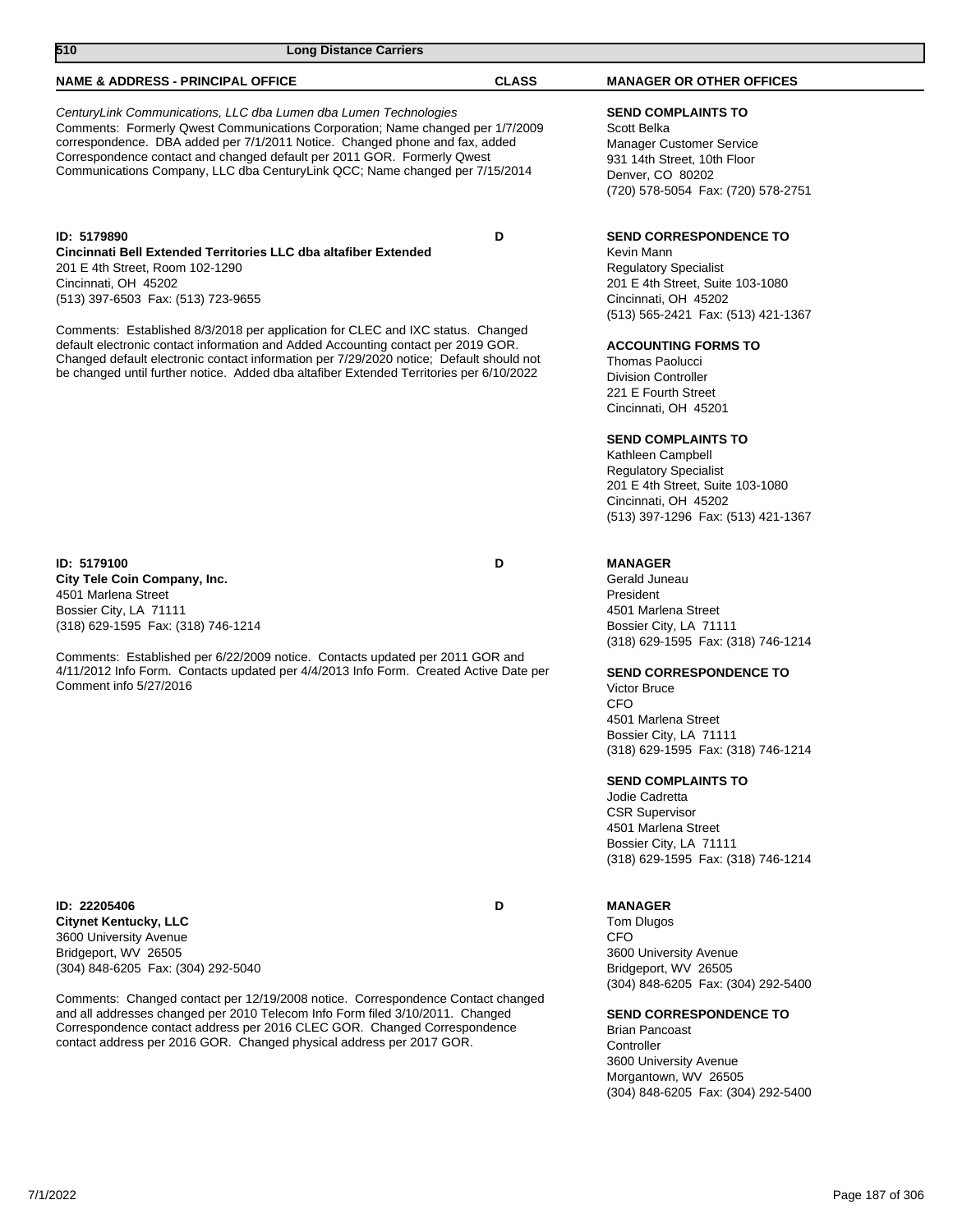| <b>NAME &amp; ADDRESS - PRINCIPAL OFFICE</b>                                                                                                                                                                                                                                                                                                                                                                                                                                                                                                  | <b>CLASS</b> | <b>MANAGER OR OTHER OFFICES</b>                                                                                                                                                                                                                                                                                                                                                                                                                                                                        |
|-----------------------------------------------------------------------------------------------------------------------------------------------------------------------------------------------------------------------------------------------------------------------------------------------------------------------------------------------------------------------------------------------------------------------------------------------------------------------------------------------------------------------------------------------|--------------|--------------------------------------------------------------------------------------------------------------------------------------------------------------------------------------------------------------------------------------------------------------------------------------------------------------------------------------------------------------------------------------------------------------------------------------------------------------------------------------------------------|
| CenturyLink Communications, LLC dba Lumen dba Lumen Technologies<br>Comments: Formerly Qwest Communications Corporation; Name changed per 1/7/2009<br>correspondence. DBA added per 7/1/2011 Notice. Changed phone and fax, added<br>Correspondence contact and changed default per 2011 GOR. Formerly Qwest<br>Communications Company, LLC dba CenturyLink QCC; Name changed per 7/15/2014                                                                                                                                                   |              | <b>SEND COMPLAINTS TO</b><br>Scott Belka<br><b>Manager Customer Service</b><br>931 14th Street, 10th Floor<br>Denver, CO 80202<br>(720) 578-5054 Fax: (720) 578-2751                                                                                                                                                                                                                                                                                                                                   |
| ID: 5179890<br>Cincinnati Bell Extended Territories LLC dba altafiber Extended<br>201 E 4th Street, Room 102-1290<br>Cincinnati, OH 45202<br>(513) 397-6503 Fax: (513) 723-9655<br>Comments: Established 8/3/2018 per application for CLEC and IXC status. Changed<br>default electronic contact information and Added Accounting contact per 2019 GOR.<br>Changed default electronic contact information per 7/29/2020 notice; Default should not<br>be changed until further notice. Added dba altafiber Extended Territories per 6/10/2022 | D            | <b>SEND CORRESPONDENCE TO</b><br>Kevin Mann<br><b>Regulatory Specialist</b><br>201 E 4th Street, Suite 103-1080<br>Cincinnati, OH 45202<br>(513) 565-2421 Fax: (513) 421-1367<br><b>ACCOUNTING FORMS TO</b><br><b>Thomas Paolucci</b><br><b>Division Controller</b><br>221 E Fourth Street<br>Cincinnati, OH 45201<br><b>SEND COMPLAINTS TO</b><br>Kathleen Campbell<br><b>Regulatory Specialist</b><br>201 E 4th Street, Suite 103-1080<br>Cincinnati, OH 45202<br>(513) 397-1296 Fax: (513) 421-1367 |
| ID: 5179100<br>City Tele Coin Company, Inc.<br>4501 Marlena Street<br>Bossier City, LA 71111<br>(318) 629-1595 Fax: (318) 746-1214<br>Comments: Established per 6/22/2009 notice. Contacts updated per 2011 GOR and<br>4/11/2012 Info Form. Contacts updated per 4/4/2013 Info Form. Created Active Date per<br>Comment info 5/27/2016                                                                                                                                                                                                        | D            | <b>MANAGER</b><br>Gerald Juneau<br>President<br>4501 Marlena Street<br>Bossier City, LA 71111<br>(318) 629-1595 Fax: (318) 746-1214<br><b>SEND CORRESPONDENCE TO</b><br><b>Victor Bruce</b><br>CFO<br>4501 Marlena Street<br>Bossier City, LA 71111<br>(318) 629-1595 Fax: (318) 746-1214<br><b>SEND COMPLAINTS TO</b><br>Jodie Cadretta<br><b>CSR Supervisor</b><br>4501 Marlena Street<br>Bossier City, LA 71111<br>(318) 629-1595 Fax: (318) 746-1214                                               |
| ID: 22205406<br><b>Citynet Kentucky, LLC</b>                                                                                                                                                                                                                                                                                                                                                                                                                                                                                                  | D            | <b>MANAGER</b><br>Tom Dlugos                                                                                                                                                                                                                                                                                                                                                                                                                                                                           |

3600 University Avenue Bridgeport, WV 26505 (304) 848-6205 Fax: (304) 292-5040

Comments: Changed contact per 12/19/2008 notice. Correspondence Contact changed and all addresses changed per 2010 Telecom Info Form filed 3/10/2011. Changed Correspondence contact address per 2016 CLEC GOR. Changed Correspondence contact address per 2016 GOR. Changed physical address per 2017 GOR.

**510 Long Distance Carriers** 

CFO 3600 University Avenue Bridgeport, WV 26505 (304) 848-6205 Fax: (304) 292-5400

## **SEND CORRESPONDENCE TO**

Brian Pancoast **Controller** 3600 University Avenue Morgantown, WV 26505 (304) 848-6205 Fax: (304) 292-5400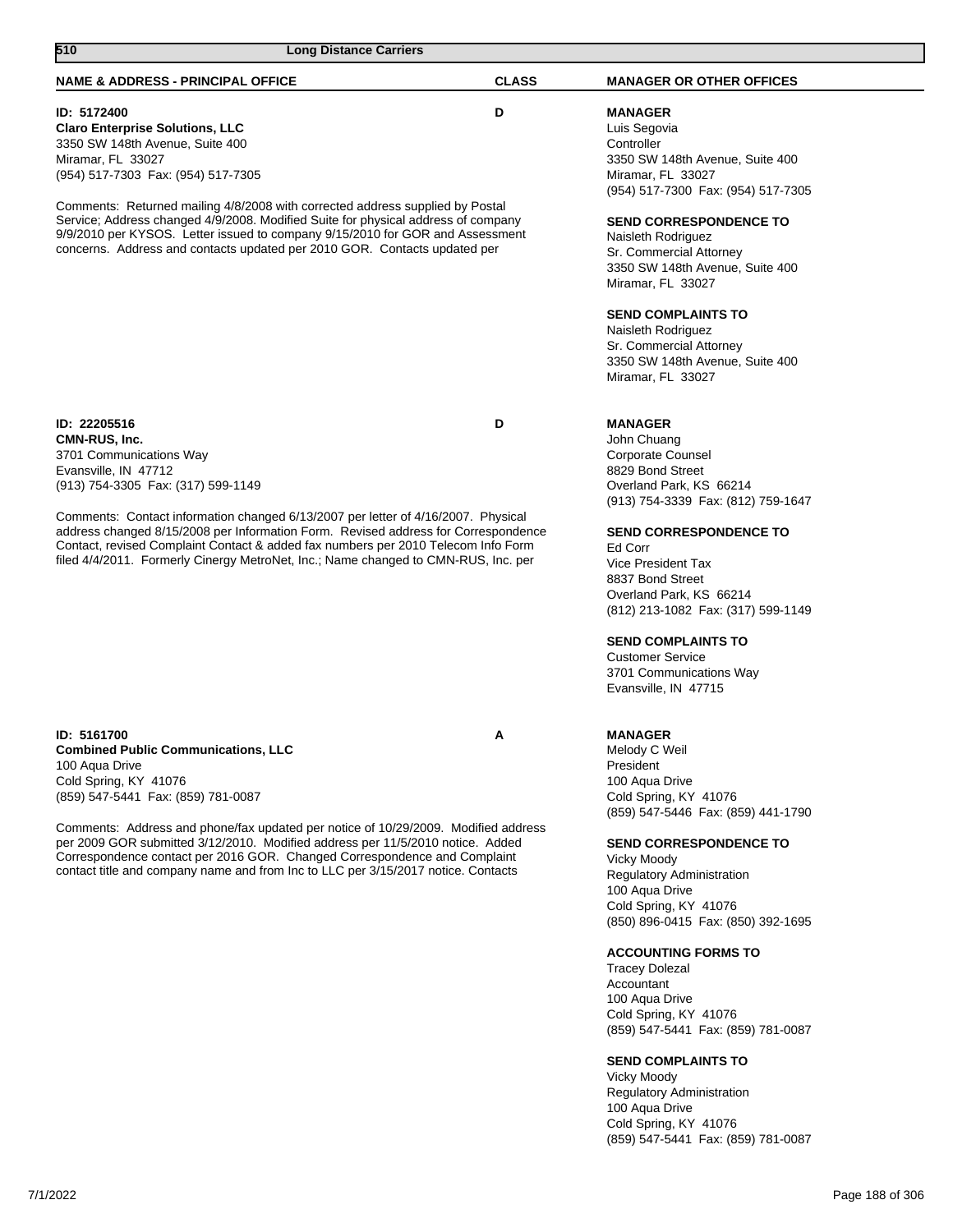# **NAME & ADDRESS - PRINCIPAL OFFICE CLASS MANAGER OR OTHER OFFICES 510 Long Distance Carriers**

## **ID: 5172400 D**

**Claro Enterprise Solutions, LLC** 3350 SW 148th Avenue, Suite 400 Miramar, FL 33027 (954) 517-7303 Fax: (954) 517-7305

Comments: Returned mailing 4/8/2008 with corrected address supplied by Postal Service; Address changed 4/9/2008. Modified Suite for physical address of company 9/9/2010 per KYSOS. Letter issued to company 9/15/2010 for GOR and Assessment concerns. Address and contacts updated per 2010 GOR. Contacts updated per

**ID: 22205516 D CMN-RUS, Inc.** 3701 Communications Way Evansville, IN 47712 (913) 754-3305 Fax: (317) 599-1149

Comments: Contact information changed 6/13/2007 per letter of 4/16/2007. Physical address changed 8/15/2008 per Information Form. Revised address for Correspondence Contact, revised Complaint Contact & added fax numbers per 2010 Telecom Info Form filed 4/4/2011. Formerly Cinergy MetroNet, Inc.; Name changed to CMN-RUS, Inc. per

**ID: 5161700 A Combined Public Communications, LLC** 100 Aqua Drive Cold Spring, KY 41076 (859) 547-5441 Fax: (859) 781-0087

Comments: Address and phone/fax updated per notice of 10/29/2009. Modified address per 2009 GOR submitted 3/12/2010. Modified address per 11/5/2010 notice. Added Correspondence contact per 2016 GOR. Changed Correspondence and Complaint contact title and company name and from Inc to LLC per 3/15/2017 notice. Contacts

**MANAGER** Luis Segovia **Controller** 3350 SW 148th Avenue, Suite 400 Miramar, FL 33027 (954) 517-7300 Fax: (954) 517-7305

## **SEND CORRESPONDENCE TO**

Naisleth Rodriguez Sr. Commercial Attorney 3350 SW 148th Avenue, Suite 400 Miramar, FL 33027

## **SEND COMPLAINTS TO**

Naisleth Rodriguez Sr. Commercial Attorney 3350 SW 148th Avenue, Suite 400 Miramar, FL 33027

## **MANAGER**

John Chuang Corporate Counsel 8829 Bond Street Overland Park, KS 66214 (913) 754-3339 Fax: (812) 759-1647

## **SEND CORRESPONDENCE TO**

Ed Corr Vice President Tax 8837 Bond Street Overland Park, KS 66214 (812) 213-1082 Fax: (317) 599-1149

## **SEND COMPLAINTS TO**

Customer Service 3701 Communications Way Evansville, IN 47715

## **MANAGER**

Melody C Weil President 100 Aqua Drive Cold Spring, KY 41076 (859) 547-5446 Fax: (859) 441-1790

## **SEND CORRESPONDENCE TO**

Vicky Moody Regulatory Administration 100 Aqua Drive Cold Spring, KY 41076 (850) 896-0415 Fax: (850) 392-1695

## **ACCOUNTING FORMS TO**

Tracey Dolezal Accountant 100 Aqua Drive Cold Spring, KY 41076 (859) 547-5441 Fax: (859) 781-0087

## **SEND COMPLAINTS TO**

Vicky Moody Regulatory Administration 100 Aqua Drive Cold Spring, KY 41076 (859) 547-5441 Fax: (859) 781-0087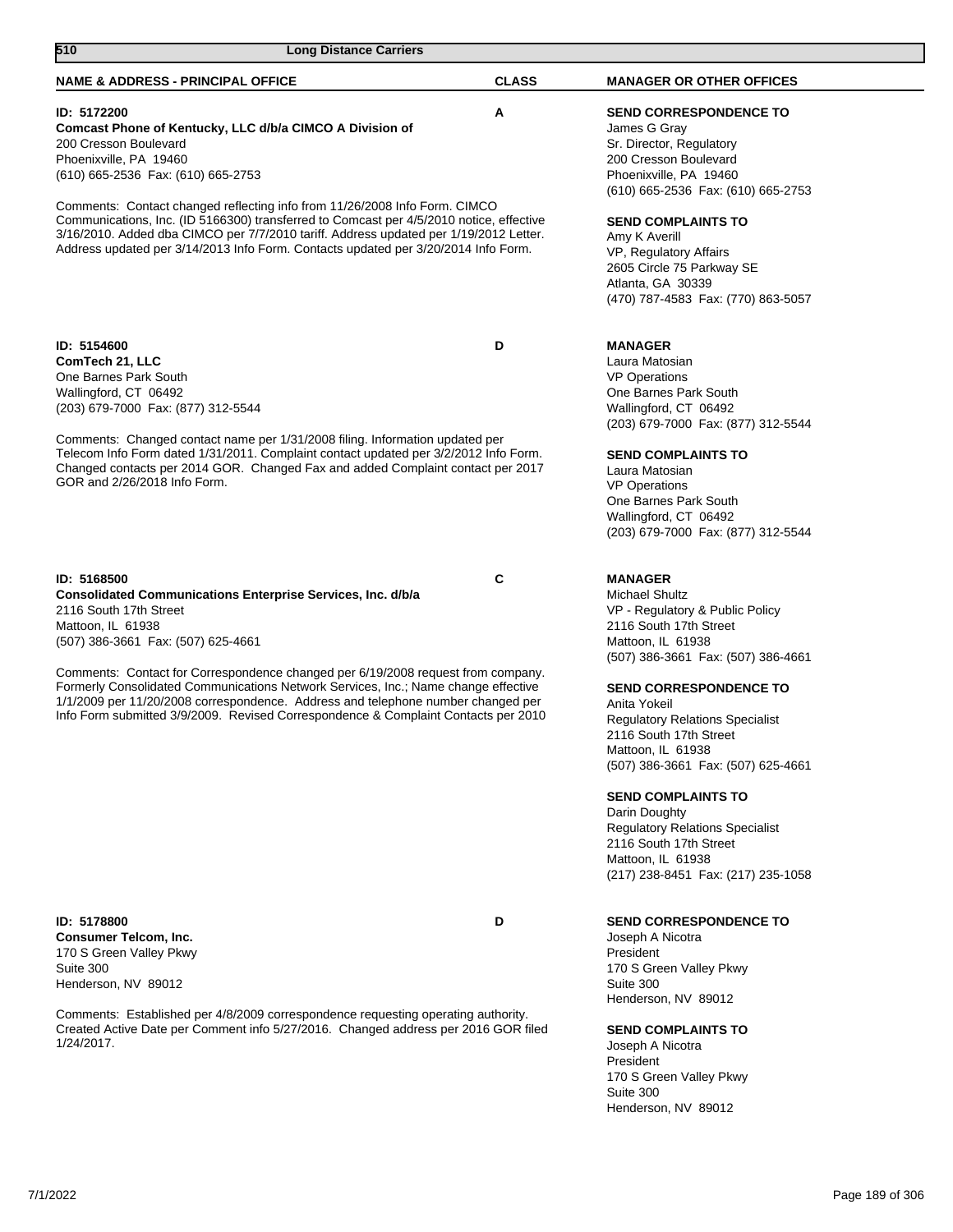| 510<br><b>Long Distance Carriers</b>                                                                                                                                                                                                                                                                                                                                                                                                                                                                                     |              |                                                                                                                                                                                                                                                                                                                                                                                                                                                                                                                       |  |
|--------------------------------------------------------------------------------------------------------------------------------------------------------------------------------------------------------------------------------------------------------------------------------------------------------------------------------------------------------------------------------------------------------------------------------------------------------------------------------------------------------------------------|--------------|-----------------------------------------------------------------------------------------------------------------------------------------------------------------------------------------------------------------------------------------------------------------------------------------------------------------------------------------------------------------------------------------------------------------------------------------------------------------------------------------------------------------------|--|
| <b>NAME &amp; ADDRESS - PRINCIPAL OFFICE</b>                                                                                                                                                                                                                                                                                                                                                                                                                                                                             | <b>CLASS</b> | <b>MANAGER OR OTHER OFFICES</b>                                                                                                                                                                                                                                                                                                                                                                                                                                                                                       |  |
| ID: 5172200<br>Comcast Phone of Kentucky, LLC d/b/a CIMCO A Division of<br>200 Cresson Boulevard<br>Phoenixville, PA 19460<br>(610) 665-2536 Fax: (610) 665-2753<br>Comments: Contact changed reflecting info from 11/26/2008 Info Form. CIMCO<br>Communications, Inc. (ID 5166300) transferred to Comcast per 4/5/2010 notice, effective<br>3/16/2010. Added dba CIMCO per 7/7/2010 tariff. Address updated per 1/19/2012 Letter.<br>Address updated per 3/14/2013 Info Form. Contacts updated per 3/20/2014 Info Form. | Α            | <b>SEND CORRESPONDENCE TO</b><br>James G Gray<br>Sr. Director, Regulatory<br>200 Cresson Boulevard<br>Phoenixville, PA 19460<br>(610) 665-2536 Fax: (610) 665-2753<br><b>SEND COMPLAINTS TO</b><br>Amy K Averill<br>VP, Regulatory Affairs<br>2605 Circle 75 Parkway SE<br>Atlanta, GA 30339<br>(470) 787-4583 Fax: (770) 863-5057                                                                                                                                                                                    |  |
| ID: 5154600<br>ComTech 21, LLC<br>One Barnes Park South<br>Wallingford, CT 06492<br>(203) 679-7000 Fax: (877) 312-5544<br>Comments: Changed contact name per 1/31/2008 filing. Information updated per<br>Telecom Info Form dated 1/31/2011. Complaint contact updated per 3/2/2012 Info Form.<br>Changed contacts per 2014 GOR. Changed Fax and added Complaint contact per 2017<br>GOR and 2/26/2018 Info Form.                                                                                                        | D            | <b>MANAGER</b><br>Laura Matosian<br><b>VP Operations</b><br>One Barnes Park South<br>Wallingford, CT 06492<br>(203) 679-7000 Fax: (877) 312-5544<br><b>SEND COMPLAINTS TO</b><br>Laura Matosian<br><b>VP Operations</b><br>One Barnes Park South<br>Wallingford, CT 06492<br>(203) 679-7000 Fax: (877) 312-5544                                                                                                                                                                                                       |  |
| ID: 5168500<br>Consolidated Communications Enterprise Services, Inc. d/b/a<br>2116 South 17th Street<br>Mattoon, IL 61938<br>(507) 386-3661 Fax: (507) 625-4661<br>Comments: Contact for Correspondence changed per 6/19/2008 request from company.<br>Formerly Consolidated Communications Network Services, Inc.; Name change effective<br>1/1/2009 per 11/20/2008 correspondence. Address and telephone number changed per<br>Info Form submitted 3/9/2009. Revised Correspondence & Complaint Contacts per 2010      | C            | <b>MANAGER</b><br>Michael Shultz<br>VP - Regulatory & Public Policy<br>2116 South 17th Street<br>Mattoon, IL 61938<br>(507) 386-3661 Fax: (507) 386-4661<br><b>SEND CORRESPONDENCE TO</b><br>Anita Yokeil<br><b>Regulatory Relations Specialist</b><br>2116 South 17th Street<br>Mattoon, IL 61938<br>(507) 386-3661 Fax: (507) 625-4661<br><b>SEND COMPLAINTS TO</b><br>Darin Doughty<br><b>Regulatory Relations Specialist</b><br>2116 South 17th Street<br>Mattoon, IL 61938<br>(217) 238-8451 Fax: (217) 235-1058 |  |
| ID: 5178800<br><b>Consumer Telcom, Inc.</b><br>170 S Green Valley Pkwy<br>Suite 300<br>Henderson, NV 89012                                                                                                                                                                                                                                                                                                                                                                                                               | D            | <b>SEND CORRESPONDENCE TO</b><br>Joseph A Nicotra<br>President<br>170 S Green Valley Pkwy<br>Suite 300<br>Henderson, NV 89012                                                                                                                                                                                                                                                                                                                                                                                         |  |

Comments: Established per 4/8/2009 correspondence requesting operating authority. Created Active Date per Comment info 5/27/2016. Changed address per 2016 GOR filed 1/24/2017.

## **SEND COMPLAINTS TO**

Joseph A Nicotra President 170 S Green Valley Pkwy Suite 300 Henderson, NV 89012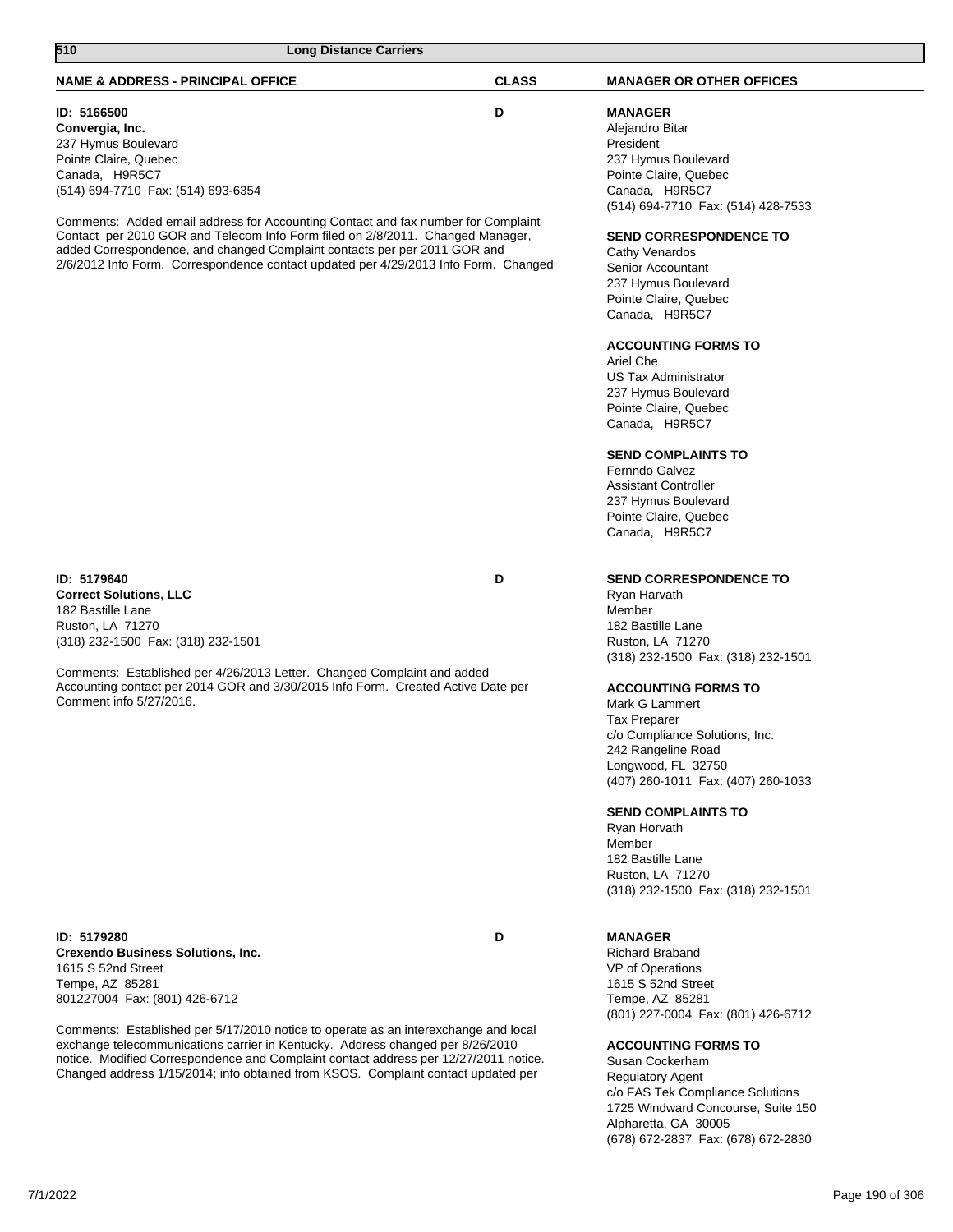# **NAME & ADDRESS - PRINCIPAL OFFICE CLASS MANAGER OR OTHER OFFICES 510 Long Distance Carriers**

**ID: 5166500 D Convergia, Inc.** 237 Hymus Boulevard Pointe Claire, Quebec Canada, H9R5C7 (514) 694-7710 Fax: (514) 693-6354

Comments: Added email address for Accounting Contact and fax number for Complaint Contact per 2010 GOR and Telecom Info Form filed on 2/8/2011. Changed Manager, added Correspondence, and changed Complaint contacts per per 2011 GOR and 2/6/2012 Info Form. Correspondence contact updated per 4/29/2013 Info Form. Changed

**ID: 5179640 D Correct Solutions, LLC** 182 Bastille Lane Ruston, LA 71270 (318) 232-1500 Fax: (318) 232-1501

Comments: Established per 4/26/2013 Letter. Changed Complaint and added Accounting contact per 2014 GOR and 3/30/2015 Info Form. Created Active Date per Comment info 5/27/2016.

**ID: 5179280 D Crexendo Business Solutions, Inc.** 1615 S 52nd Street Tempe, AZ 85281 801227004 Fax: (801) 426-6712

Comments: Established per 5/17/2010 notice to operate as an interexchange and local exchange telecommunications carrier in Kentucky. Address changed per 8/26/2010 notice. Modified Correspondence and Complaint contact address per 12/27/2011 notice. Changed address 1/15/2014; info obtained from KSOS. Complaint contact updated per

**MANAGER** Alejandro Bitar President 237 Hymus Boulevard Pointe Claire, Quebec Canada, H9R5C7 (514) 694-7710 Fax: (514) 428-7533

## **SEND CORRESPONDENCE TO**

Cathy Venardos Senior Accountant 237 Hymus Boulevard Pointe Claire, Quebec Canada, H9R5C7

## **ACCOUNTING FORMS TO**

Ariel Che US Tax Administrator 237 Hymus Boulevard Pointe Claire, Quebec Canada, H9R5C7

## **SEND COMPLAINTS TO**

Fernndo Galvez Assistant Controller 237 Hymus Boulevard Pointe Claire, Quebec Canada, H9R5C7

## **SEND CORRESPONDENCE TO**

Ryan Harvath Member 182 Bastille Lane Ruston, LA 71270 (318) 232-1500 Fax: (318) 232-1501

## **ACCOUNTING FORMS TO**

Mark G Lammert Tax Preparer c/o Compliance Solutions, Inc. 242 Rangeline Road Longwood, FL 32750 (407) 260-1011 Fax: (407) 260-1033

## **SEND COMPLAINTS TO**

Ryan Horvath Member 182 Bastille Lane Ruston, LA 71270 (318) 232-1500 Fax: (318) 232-1501

## **MANAGER**

Richard Braband VP of Operations 1615 S 52nd Street Tempe, AZ 85281 (801) 227-0004 Fax: (801) 426-6712

## **ACCOUNTING FORMS TO**

Susan Cockerham Regulatory Agent c/o FAS Tek Compliance Solutions 1725 Windward Concourse, Suite 150 Alpharetta, GA 30005 (678) 672-2837 Fax: (678) 672-2830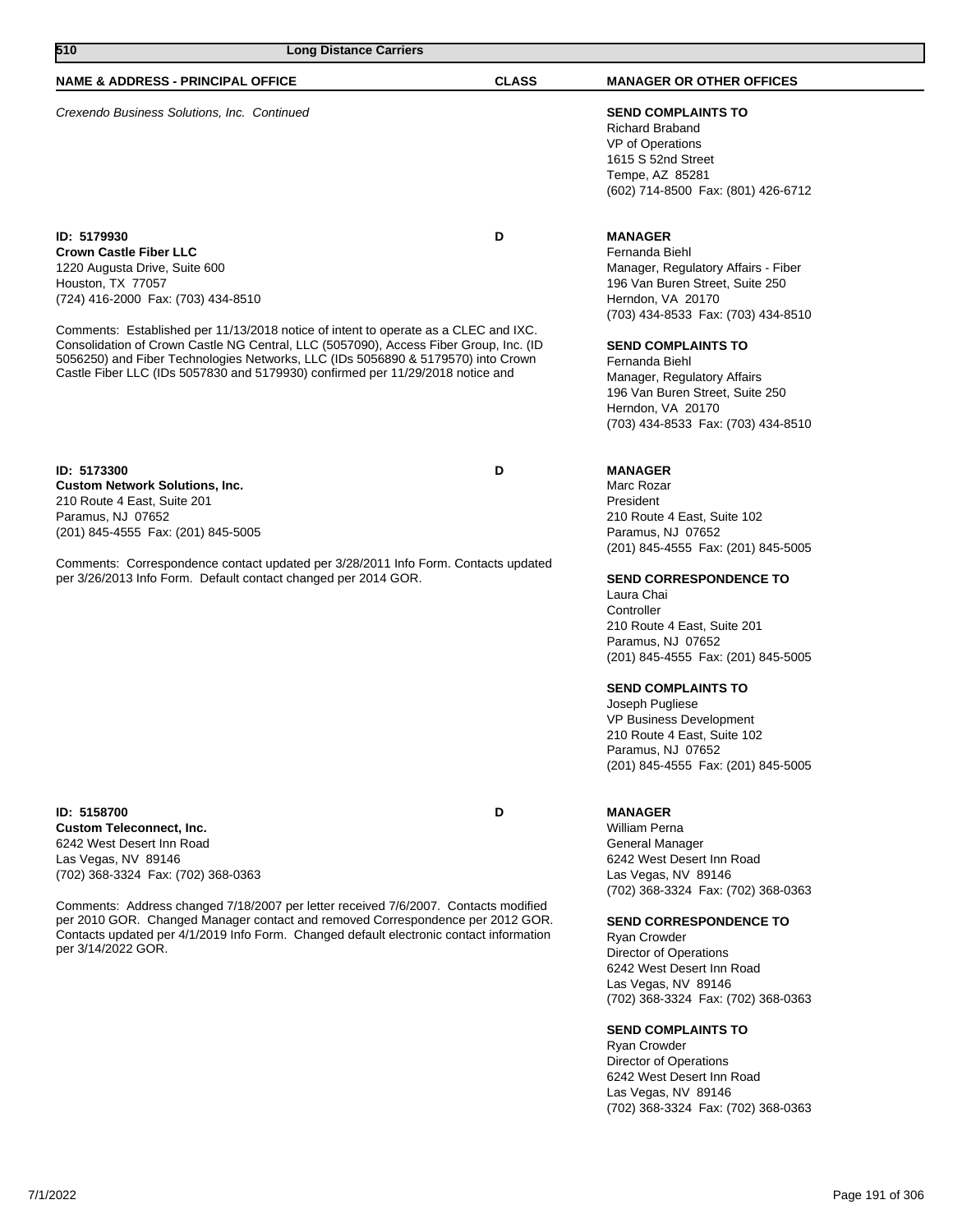## **NAME & ADDRESS - PRINCIPAL OFFICE CLASS MANAGER OR OTHER OFFICES**

Crexendo Business Solutions, Inc. Continued **SEND COMPLAINTS TO**

**ID: 5179930 D Crown Castle Fiber LLC** 1220 Augusta Drive, Suite 600 Houston, TX 77057 (724) 416-2000 Fax: (703) 434-8510

Comments: Established per 11/13/2018 notice of intent to operate as a CLEC and IXC. Consolidation of Crown Castle NG Central, LLC (5057090), Access Fiber Group, Inc. (ID 5056250) and Fiber Technologies Networks, LLC (IDs 5056890 & 5179570) into Crown Castle Fiber LLC (IDs 5057830 and 5179930) confirmed per 11/29/2018 notice and

**ID: 5173300 D Custom Network Solutions, Inc.** 210 Route 4 East, Suite 201 Paramus, NJ 07652 (201) 845-4555 Fax: (201) 845-5005

Comments: Correspondence contact updated per 3/28/2011 Info Form. Contacts updated per 3/26/2013 Info Form. Default contact changed per 2014 GOR.

**ID: 5158700 D Custom Teleconnect, Inc.** 6242 West Desert Inn Road Las Vegas, NV 89146 (702) 368-3324 Fax: (702) 368-0363

Comments: Address changed 7/18/2007 per letter received 7/6/2007. Contacts modified per 2010 GOR. Changed Manager contact and removed Correspondence per 2012 GOR. Contacts updated per 4/1/2019 Info Form. Changed default electronic contact information per 3/14/2022 GOR.

## Richard Braband VP of Operations 1615 S 52nd Street Tempe, AZ 85281

(602) 714-8500 Fax: (801) 426-6712

#### **MANAGER** Fernanda Biehl

Manager, Regulatory Affairs - Fiber 196 Van Buren Street, Suite 250 Herndon, VA 20170 (703) 434-8533 Fax: (703) 434-8510

### **SEND COMPLAINTS TO**

Fernanda Biehl Manager, Regulatory Affairs 196 Van Buren Street, Suite 250 Herndon, VA 20170 (703) 434-8533 Fax: (703) 434-8510

## **MANAGER**

Marc Rozar President 210 Route 4 East, Suite 102 Paramus, NJ 07652 (201) 845-4555 Fax: (201) 845-5005

### **SEND CORRESPONDENCE TO**

Laura Chai **Controller** 210 Route 4 East, Suite 201 Paramus, NJ 07652 (201) 845-4555 Fax: (201) 845-5005

### **SEND COMPLAINTS TO**

Joseph Pugliese VP Business Development 210 Route 4 East, Suite 102 Paramus, NJ 07652 (201) 845-4555 Fax: (201) 845-5005

## **MANAGER**

William Perna General Manager 6242 West Desert Inn Road Las Vegas, NV 89146 (702) 368-3324 Fax: (702) 368-0363

## **SEND CORRESPONDENCE TO**

Ryan Crowder Director of Operations 6242 West Desert Inn Road Las Vegas, NV 89146 (702) 368-3324 Fax: (702) 368-0363

## **SEND COMPLAINTS TO**

Ryan Crowder Director of Operations 6242 West Desert Inn Road Las Vegas, NV 89146 (702) 368-3324 Fax: (702) 368-0363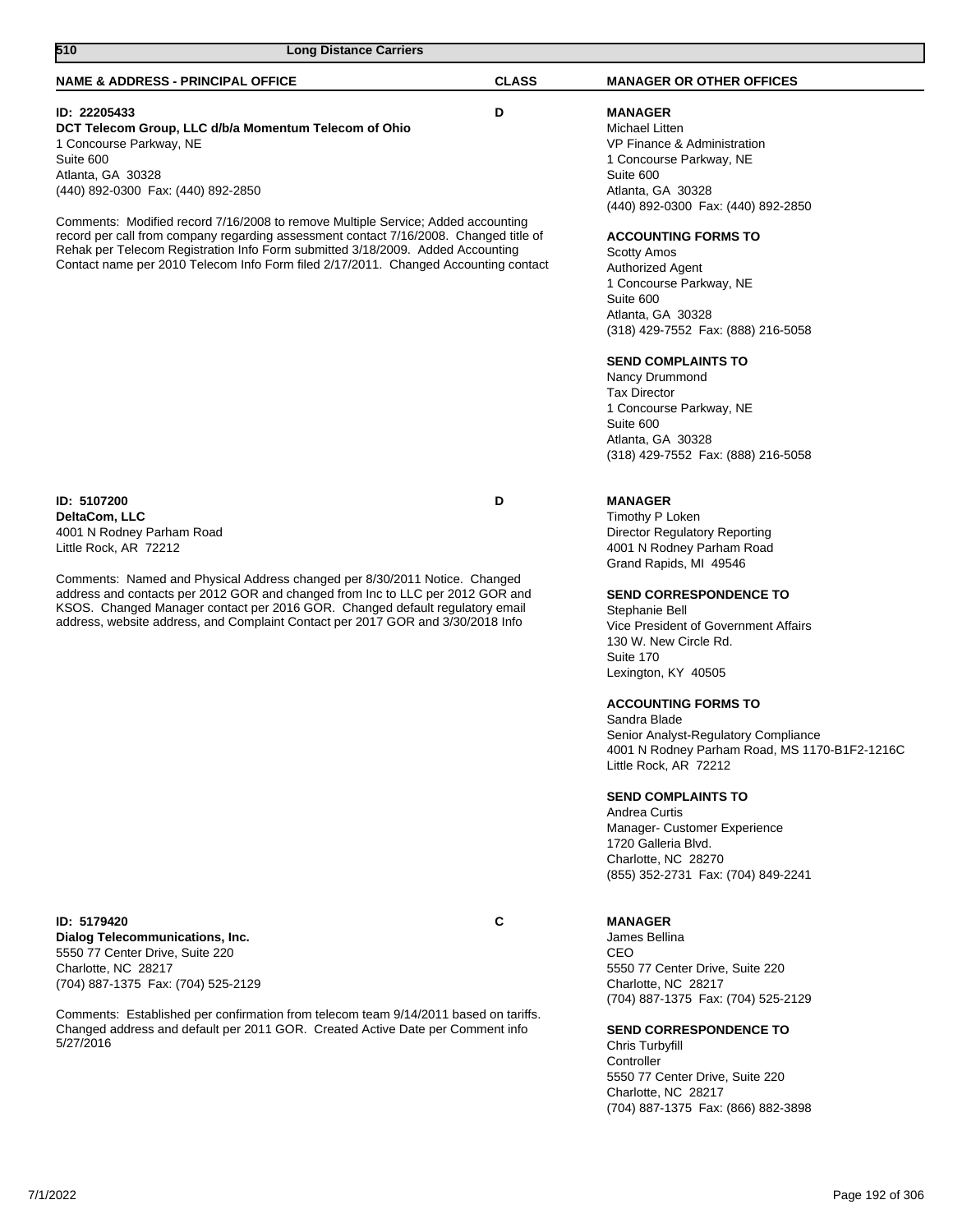| 510<br><b>Long Distance Carriers</b>                                                                                                                                                                                                                                                                                                                                                                                  |              |                                                                                                                                                                                                                                                                                                                                                                                                                                                                                                                                                                                      |
|-----------------------------------------------------------------------------------------------------------------------------------------------------------------------------------------------------------------------------------------------------------------------------------------------------------------------------------------------------------------------------------------------------------------------|--------------|--------------------------------------------------------------------------------------------------------------------------------------------------------------------------------------------------------------------------------------------------------------------------------------------------------------------------------------------------------------------------------------------------------------------------------------------------------------------------------------------------------------------------------------------------------------------------------------|
| <b>NAME &amp; ADDRESS - PRINCIPAL OFFICE</b>                                                                                                                                                                                                                                                                                                                                                                          | <b>CLASS</b> | <b>MANAGER OR OTHER OFFICES</b>                                                                                                                                                                                                                                                                                                                                                                                                                                                                                                                                                      |
| ID: 22205433<br>DCT Telecom Group, LLC d/b/a Momentum Telecom of Ohio<br>1 Concourse Parkway, NE<br>Suite 600<br>Atlanta, GA 30328<br>(440) 892-0300 Fax: (440) 892-2850                                                                                                                                                                                                                                              | D            | <b>MANAGER</b><br>Michael Litten<br>VP Finance & Administration<br>1 Concourse Parkway, NE<br>Suite 600<br>Atlanta, GA 30328<br>(440) 892-0300 Fax: (440) 892-2850                                                                                                                                                                                                                                                                                                                                                                                                                   |
| Comments: Modified record 7/16/2008 to remove Multiple Service; Added accounting<br>record per call from company regarding assessment contact 7/16/2008. Changed title of<br>Rehak per Telecom Registration Info Form submitted 3/18/2009. Added Accounting<br>Contact name per 2010 Telecom Info Form filed 2/17/2011. Changed Accounting contact                                                                    |              | <b>ACCOUNTING FORMS TO</b><br><b>Scotty Amos</b><br><b>Authorized Agent</b><br>1 Concourse Parkway, NE<br>Suite 600<br>Atlanta, GA 30328<br>(318) 429-7552 Fax: (888) 216-5058<br><b>SEND COMPLAINTS TO</b><br>Nancy Drummond<br><b>Tax Director</b><br>1 Concourse Parkway, NE<br>Suite 600                                                                                                                                                                                                                                                                                         |
|                                                                                                                                                                                                                                                                                                                                                                                                                       |              | Atlanta, GA 30328<br>(318) 429-7552 Fax: (888) 216-5058                                                                                                                                                                                                                                                                                                                                                                                                                                                                                                                              |
| ID: 5107200<br>DeltaCom, LLC<br>4001 N Rodney Parham Road<br>Little Rock, AR 72212<br>Comments: Named and Physical Address changed per 8/30/2011 Notice. Changed<br>address and contacts per 2012 GOR and changed from Inc to LLC per 2012 GOR and<br>KSOS. Changed Manager contact per 2016 GOR. Changed default regulatory email<br>address, website address, and Complaint Contact per 2017 GOR and 3/30/2018 Info | D            | <b>MANAGER</b><br>Timothy P Loken<br><b>Director Regulatory Reporting</b><br>4001 N Rodney Parham Road<br>Grand Rapids, MI 49546<br><b>SEND CORRESPONDENCE TO</b><br>Stephanie Bell<br>Vice President of Government Affairs<br>130 W. New Circle Rd.<br>Suite 170<br>Lexington, KY 40505<br><b>ACCOUNTING FORMS TO</b><br>Sandra Blade<br>Senior Analyst-Regulatory Compliance<br>4001 N Rodney Parham Road, MS 1170-B1F2-1216C<br>Little Rock, AR 72212<br><b>SEND COMPLAINTS TO</b><br>Andrea Curtis<br>Manager- Customer Experience<br>1720 Galleria Blvd.<br>Charlotte, NC 28270 |
| ID: 5179420<br>Dialog Telecommunications, Inc.<br>5550 77 Center Drive, Suite 220<br>Charlotte, NC 28217<br>(704) 887-1375 Fax: (704) 525-2129<br>Comments: Established per confirmation from telecom team 9/14/2011 based on tariffs.<br>0.0140000                                                                                                                                                                   | C            | (855) 352-2731 Fax: (704) 849-2241<br><b>MANAGER</b><br>James Bellina<br>CEO<br>5550 77 Center Drive, Suite 220<br>Charlotte, NC 28217<br>(704) 887-1375 Fax: (704) 525-2129                                                                                                                                                                                                                                                                                                                                                                                                         |

Changed address and default per 2011 GOR. Created Active Date per Comment info 5/27/2016

**SEND CORRESPONDENCE TO**

Chris Turbyfill Controller 5550 77 Center Drive, Suite 220 Charlotte, NC 28217 (704) 887-1375 Fax: (866) 882-3898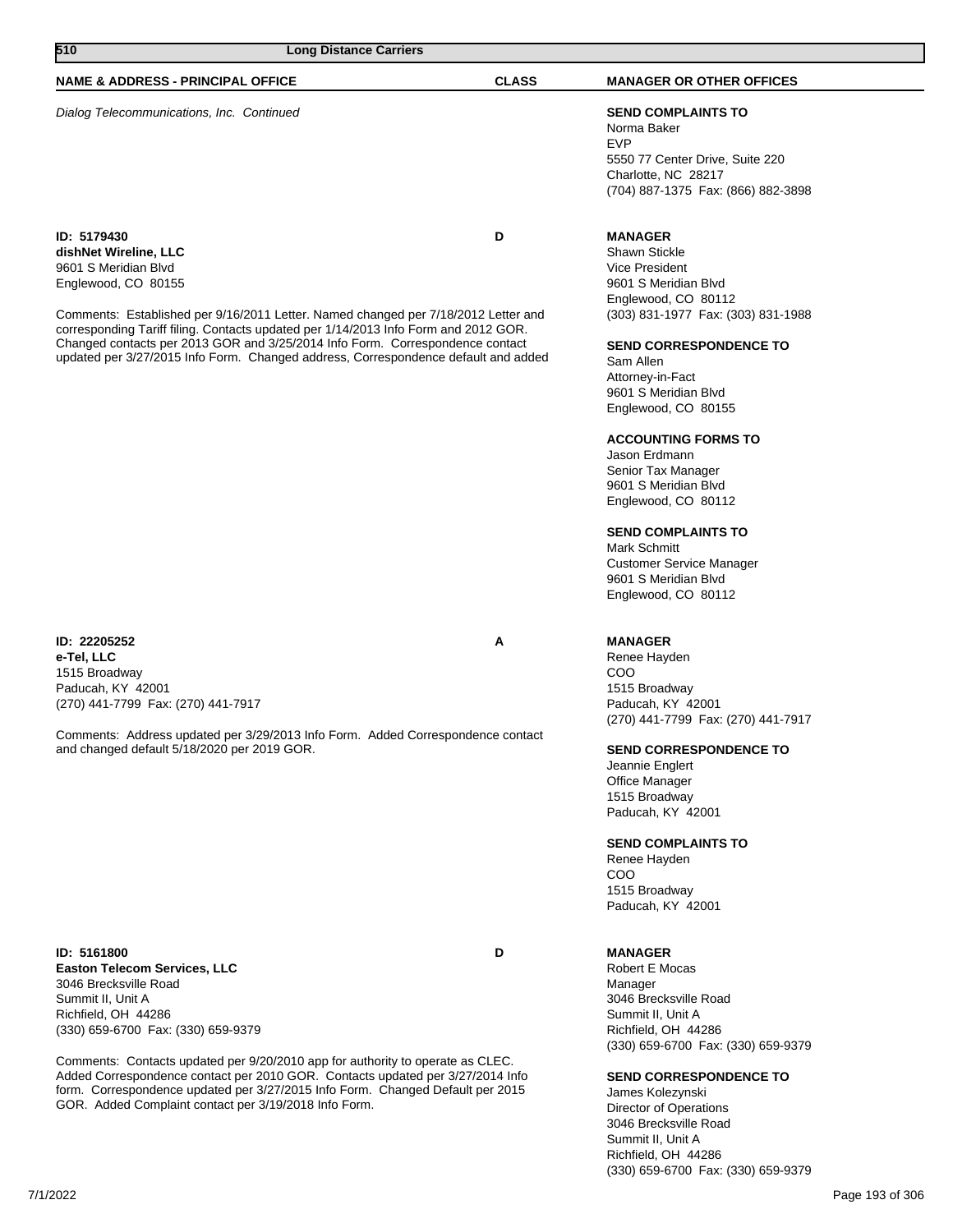## **NAME & ADDRESS - PRINCIPAL OFFICE CLASS MANAGER OR OTHER OFFICES**

Dialog Telecommunications, Inc. Continued **SEND COMPLAINTS TO**

**ID: 5179430 D dishNet Wireline, LLC** 9601 S Meridian Blvd Englewood, CO 80155

Comments: Established per 9/16/2011 Letter. Named changed per 7/18/2012 Letter and corresponding Tariff filing. Contacts updated per 1/14/2013 Info Form and 2012 GOR. Changed contacts per 2013 GOR and 3/25/2014 Info Form. Correspondence contact updated per 3/27/2015 Info Form. Changed address, Correspondence default and added

#### **ID: 22205252 A e-Tel, LLC** 1515 Broadway Paducah, KY 42001 (270) 441-7799 Fax: (270) 441-7917

Comments: Address updated per 3/29/2013 Info Form. Added Correspondence contact and changed default 5/18/2020 per 2019 GOR.

**ID: 5161800 D Easton Telecom Services, LLC** 3046 Brecksville Road Summit II, Unit A Richfield, OH 44286 (330) 659-6700 Fax: (330) 659-9379

Comments: Contacts updated per 9/20/2010 app for authority to operate as CLEC. Added Correspondence contact per 2010 GOR. Contacts updated per 3/27/2014 Info form. Correspondence updated per 3/27/2015 Info Form. Changed Default per 2015 GOR. Added Complaint contact per 3/19/2018 Info Form.

## Norma Baker EVP 5550 77 Center Drive, Suite 220 Charlotte, NC 28217

(704) 887-1375 Fax: (866) 882-3898

## **MANAGER**

Shawn Stickle Vice President 9601 S Meridian Blvd Englewood, CO 80112 (303) 831-1977 Fax: (303) 831-1988

#### **SEND CORRESPONDENCE TO**

Sam Allen Attorney-in-Fact 9601 S Meridian Blvd Englewood, CO 80155

#### **ACCOUNTING FORMS TO**

Jason Erdmann Senior Tax Manager 9601 S Meridian Blvd Englewood, CO 80112

## **SEND COMPLAINTS TO**

Mark Schmitt Customer Service Manager 9601 S Meridian Blvd Englewood, CO 80112

#### **MANAGER**

Renee Hayden COO 1515 Broadway Paducah, KY 42001 (270) 441-7799 Fax: (270) 441-7917

### **SEND CORRESPONDENCE TO**

Jeannie Englert Office Manager 1515 Broadway Paducah, KY 42001

#### **SEND COMPLAINTS TO**

Renee Hayden COO 1515 Broadway Paducah, KY 42001

### **MANAGER**

Robert E Mocas Manager 3046 Brecksville Road Summit II, Unit A Richfield, OH 44286 (330) 659-6700 Fax: (330) 659-9379

## **SEND CORRESPONDENCE TO**

James Kolezynski Director of Operations 3046 Brecksville Road Summit II, Unit A Richfield, OH 44286 (330) 659-6700 Fax: (330) 659-9379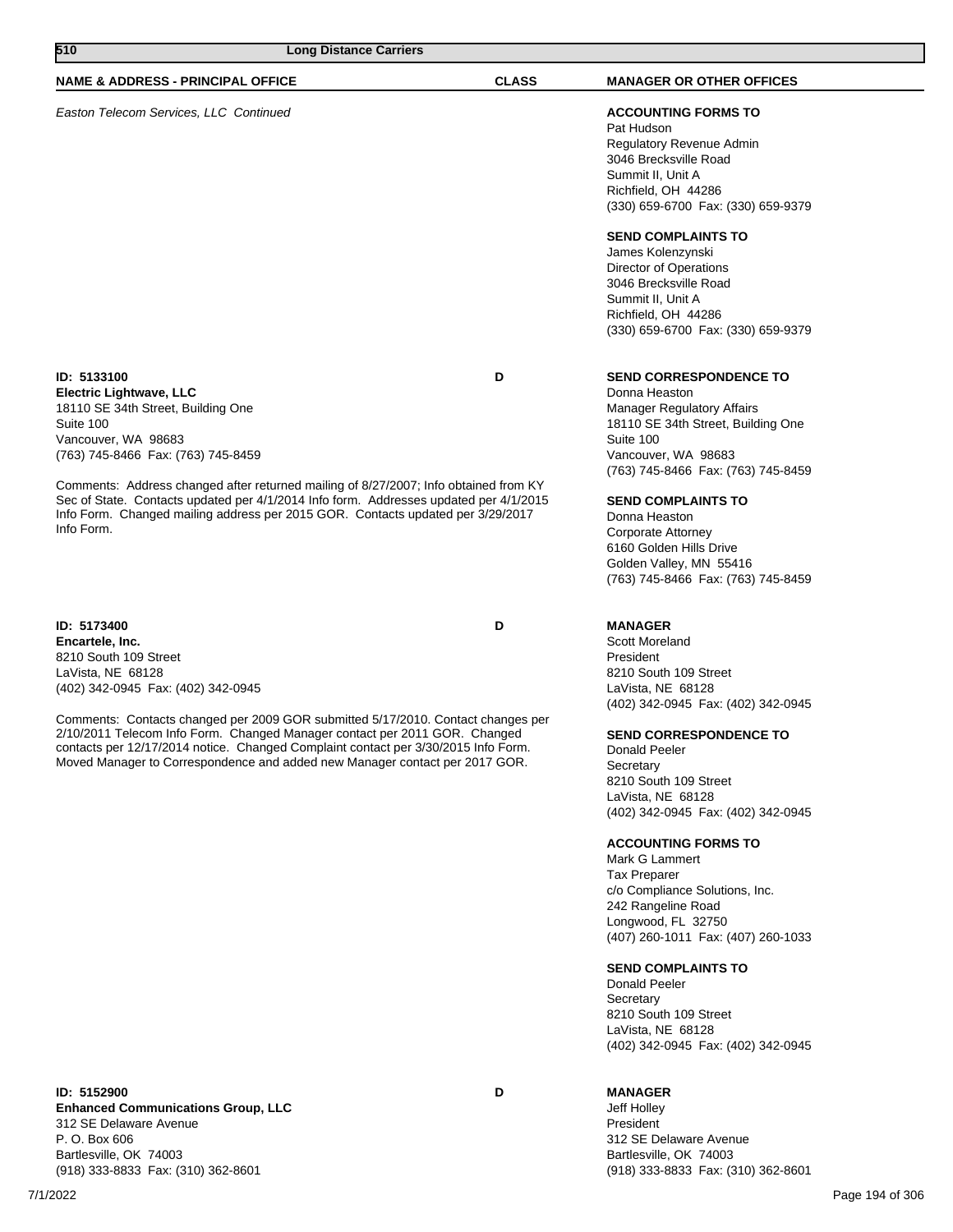| 510<br><b>Long Distance Carriers</b>                                                                                                                                                                                                                                                                                                                                                                                                                      |              |                                                                                                                                                                                                                                                                                                                                                                                                                                                                                                                                                                     |
|-----------------------------------------------------------------------------------------------------------------------------------------------------------------------------------------------------------------------------------------------------------------------------------------------------------------------------------------------------------------------------------------------------------------------------------------------------------|--------------|---------------------------------------------------------------------------------------------------------------------------------------------------------------------------------------------------------------------------------------------------------------------------------------------------------------------------------------------------------------------------------------------------------------------------------------------------------------------------------------------------------------------------------------------------------------------|
| <b>NAME &amp; ADDRESS - PRINCIPAL OFFICE</b>                                                                                                                                                                                                                                                                                                                                                                                                              | <b>CLASS</b> | <b>MANAGER OR OTHER OFFICES</b>                                                                                                                                                                                                                                                                                                                                                                                                                                                                                                                                     |
| Easton Telecom Services, LLC Continued                                                                                                                                                                                                                                                                                                                                                                                                                    |              | <b>ACCOUNTING FORMS TO</b><br>Pat Hudson<br>Regulatory Revenue Admin<br>3046 Brecksville Road<br>Summit II, Unit A<br>Richfield, OH 44286<br>(330) 659-6700 Fax: (330) 659-9379                                                                                                                                                                                                                                                                                                                                                                                     |
|                                                                                                                                                                                                                                                                                                                                                                                                                                                           |              | <b>SEND COMPLAINTS TO</b><br>James Kolenzynski<br>Director of Operations<br>3046 Brecksville Road<br>Summit II, Unit A<br>Richfield, OH 44286<br>(330) 659-6700 Fax: (330) 659-9379                                                                                                                                                                                                                                                                                                                                                                                 |
| ID: 5133100<br><b>Electric Lightwave, LLC</b><br>18110 SE 34th Street, Building One<br>Suite 100<br>Vancouver, WA 98683<br>(763) 745-8466 Fax: (763) 745-8459                                                                                                                                                                                                                                                                                             | D            | <b>SEND CORRESPONDENCE TO</b><br>Donna Heaston<br><b>Manager Regulatory Affairs</b><br>18110 SE 34th Street, Building One<br>Suite 100<br>Vancouver, WA 98683<br>(763) 745-8466 Fax: (763) 745-8459                                                                                                                                                                                                                                                                                                                                                                 |
| Comments: Address changed after returned mailing of 8/27/2007; Info obtained from KY<br>Sec of State. Contacts updated per 4/1/2014 Info form. Addresses updated per 4/1/2015<br>Info Form. Changed mailing address per 2015 GOR. Contacts updated per 3/29/2017<br>Info Form.                                                                                                                                                                            |              | <b>SEND COMPLAINTS TO</b><br>Donna Heaston<br>Corporate Attorney<br>6160 Golden Hills Drive<br>Golden Valley, MN 55416<br>(763) 745-8466 Fax: (763) 745-8459                                                                                                                                                                                                                                                                                                                                                                                                        |
| ID: 5173400<br>Encartele, Inc.<br>8210 South 109 Street<br>LaVista, NE 68128<br>(402) 342-0945 Fax: (402) 342-0945<br>Comments: Contacts changed per 2009 GOR submitted 5/17/2010. Contact changes per<br>2/10/2011 Telecom Info Form. Changed Manager contact per 2011 GOR. Changed<br>contacts per 12/17/2014 notice. Changed Complaint contact per 3/30/2015 Info Form.<br>Moved Manager to Correspondence and added new Manager contact per 2017 GOR. | D            | <b>MANAGER</b><br>Scott Moreland<br>President<br>8210 South 109 Street<br>LaVista, NE 68128<br>(402) 342-0945 Fax: (402) 342-0945<br><b>SEND CORRESPONDENCE TO</b><br>Donald Peeler<br>Secretary<br>8210 South 109 Street<br>LaVista, NE 68128<br>(402) 342-0945 Fax: (402) 342-0945<br><b>ACCOUNTING FORMS TO</b><br>Mark G Lammert<br><b>Tax Preparer</b><br>c/o Compliance Solutions, Inc.<br>242 Rangeline Road<br>Longwood, FL 32750<br>(407) 260-1011 Fax: (407) 260-1033<br><b>SEND COMPLAINTS TO</b><br>Donald Peeler<br>Secretary<br>8210 South 109 Street |

**ID: 5152900 D Enhanced Communications Group, LLC** 312 SE Delaware Avenue P. O. Box 606 Bartlesville, OK 74003 (918) 333-8833 Fax: (310) 362-8601

## **MANAGER**

Jeff Holley **President** 312 SE Delaware Avenue Bartlesville, OK 74003 (918) 333-8833 Fax: (310) 362-8601

(402) 342-0945 Fax: (402) 342-0945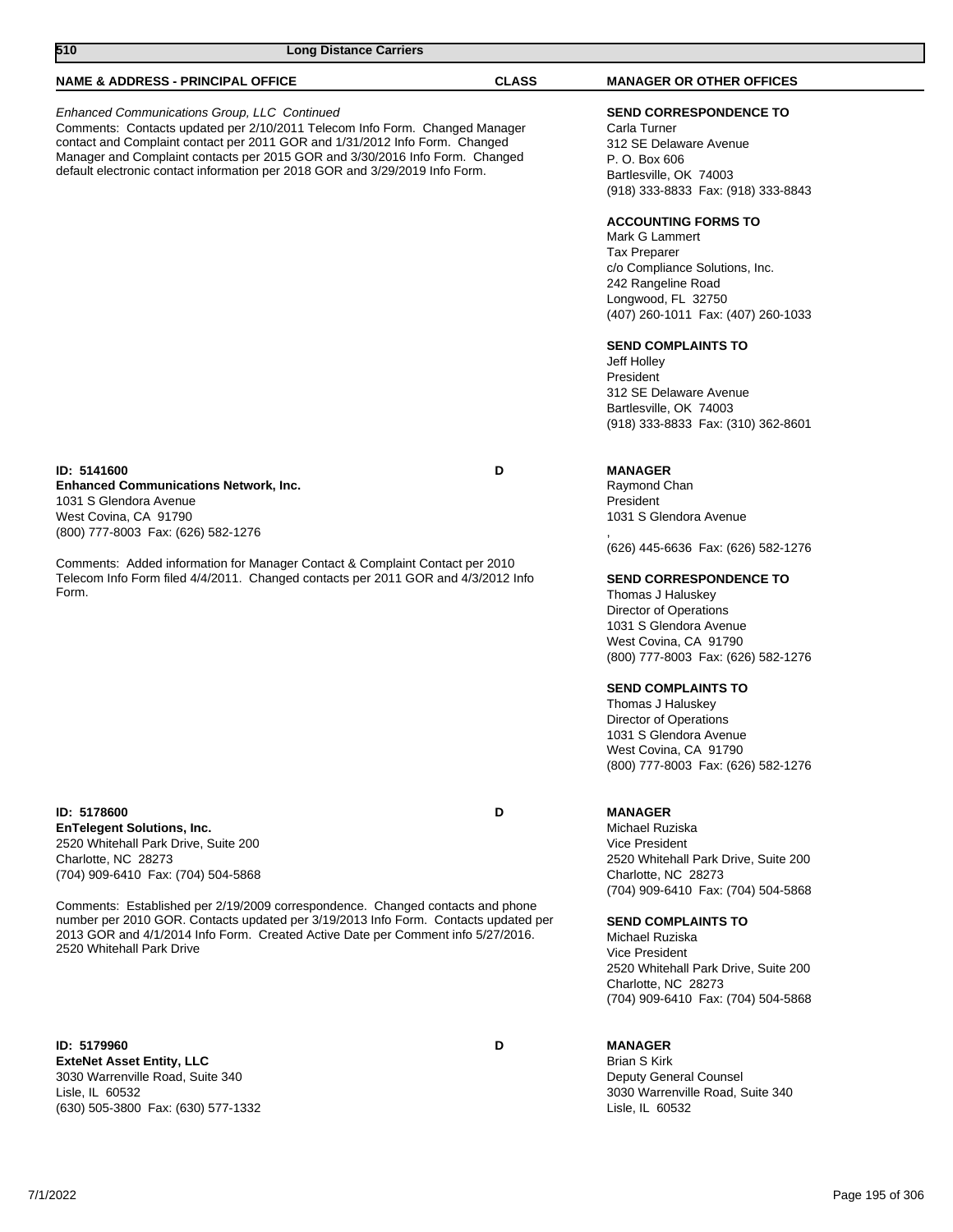| 510<br><b>Long Distance Carriers</b>                                                                                                                                                                                                                                                                                                                                       |              |                                                                                                                                                                                                                                                                                                                                                                                                                                                                                                 |
|----------------------------------------------------------------------------------------------------------------------------------------------------------------------------------------------------------------------------------------------------------------------------------------------------------------------------------------------------------------------------|--------------|-------------------------------------------------------------------------------------------------------------------------------------------------------------------------------------------------------------------------------------------------------------------------------------------------------------------------------------------------------------------------------------------------------------------------------------------------------------------------------------------------|
| <b>NAME &amp; ADDRESS - PRINCIPAL OFFICE</b>                                                                                                                                                                                                                                                                                                                               | <b>CLASS</b> | <b>MANAGER OR OTHER OFFICES</b>                                                                                                                                                                                                                                                                                                                                                                                                                                                                 |
| Enhanced Communications Group, LLC Continued<br>Comments: Contacts updated per 2/10/2011 Telecom Info Form. Changed Manager<br>contact and Complaint contact per 2011 GOR and 1/31/2012 Info Form. Changed<br>Manager and Complaint contacts per 2015 GOR and 3/30/2016 Info Form. Changed<br>default electronic contact information per 2018 GOR and 3/29/2019 Info Form. |              | SEND CORRESPONDENCE TO<br>Carla Turner<br>312 SE Delaware Avenue<br>P. O. Box 606<br>Bartlesville, OK 74003<br>(918) 333-8833 Fax: (918) 333-8843<br><b>ACCOUNTING FORMS TO</b><br>Mark G Lammert<br><b>Tax Preparer</b><br>c/o Compliance Solutions, Inc.<br>242 Rangeline Road<br>Longwood, FL 32750<br>(407) 260-1011 Fax: (407) 260-1033<br><b>SEND COMPLAINTS TO</b><br>Jeff Holley<br>President<br>312 SE Delaware Avenue<br>Bartlesville, OK 74003<br>(918) 333-8833 Fax: (310) 362-8601 |
| ID: 5141600<br><b>Enhanced Communications Network, Inc.</b><br>1031 S Glendora Avenue<br>West Covina, CA 91790<br>(800) 777-8003 Fax: (626) 582-1276<br>Comments: Added information for Manager Contact & Complaint Contact per 2010<br>Telecom Info Form filed 4/4/2011. Changed contacts per 2011 GOR and 4/3/2012 Info<br>Form.                                         | D            | <b>MANAGER</b><br>Raymond Chan<br>President<br>1031 S Glendora Avenue<br>(626) 445-6636 Fax: (626) 582-1276<br><b>SEND CORRESPONDENCE TO</b><br>Thomas J Haluskey<br><b>Director of Operations</b><br>1031 S Glendora Avenue<br>West Covina, CA 91790<br>(800) 777-8003 Fax: (626) 582-1276<br><b>SEND COMPLAINTS TO</b><br>Thomas J Haluskey                                                                                                                                                   |
|                                                                                                                                                                                                                                                                                                                                                                            |              | Director of Operations<br>1031 S Glendora Avenue<br>West Covina, CA 91790<br>(800) 777-8003 Fax: (626) 582-1276                                                                                                                                                                                                                                                                                                                                                                                 |
| ID: 5178600<br><b>EnTelegent Solutions, Inc.</b><br>2520 Whitehall Park Drive, Suite 200<br>Charlotte, NC 28273<br>(704) 909-6410 Fax: (704) 504-5868                                                                                                                                                                                                                      | D            | <b>MANAGER</b><br>Michael Ruziska<br>Vice President<br>2520 Whitehall Park Drive, Suite 200<br>Charlotte, NC 28273                                                                                                                                                                                                                                                                                                                                                                              |
| Comments: Established per 2/19/2009 correspondence. Changed contacts and phone<br>number per 2010 GOR. Contacts updated per 3/19/2013 Info Form. Contacts updated per<br>2013 GOR and 4/1/2014 Info Form. Created Active Date per Comment info 5/27/2016.<br>2520 Whitehall Park Drive                                                                                     |              | (704) 909-6410 Fax: (704) 504-5868<br><b>SEND COMPLAINTS TO</b><br>Michael Ruziska<br>Vice President<br>2520 Whitehall Park Drive, Suite 200<br>Charlotte, NC 28273<br>(704) 909-6410 Fax: (704) 504-5868                                                                                                                                                                                                                                                                                       |
| ID: 5179960<br><b>Extablet Accet Entity IIC</b>                                                                                                                                                                                                                                                                                                                            | D            | <b>MANAGER</b><br>Rrian S Kirk                                                                                                                                                                                                                                                                                                                                                                                                                                                                  |

**ExteNet Asset Entity, LLC** 3030 Warrenville Road, Suite 340 Lisle, IL 60532 (630) 505-3800 Fax: (630) 577-1332

Brian S Kirk Deputy General Counsel 3030 Warrenville Road, Suite 340 Lisle, IL 60532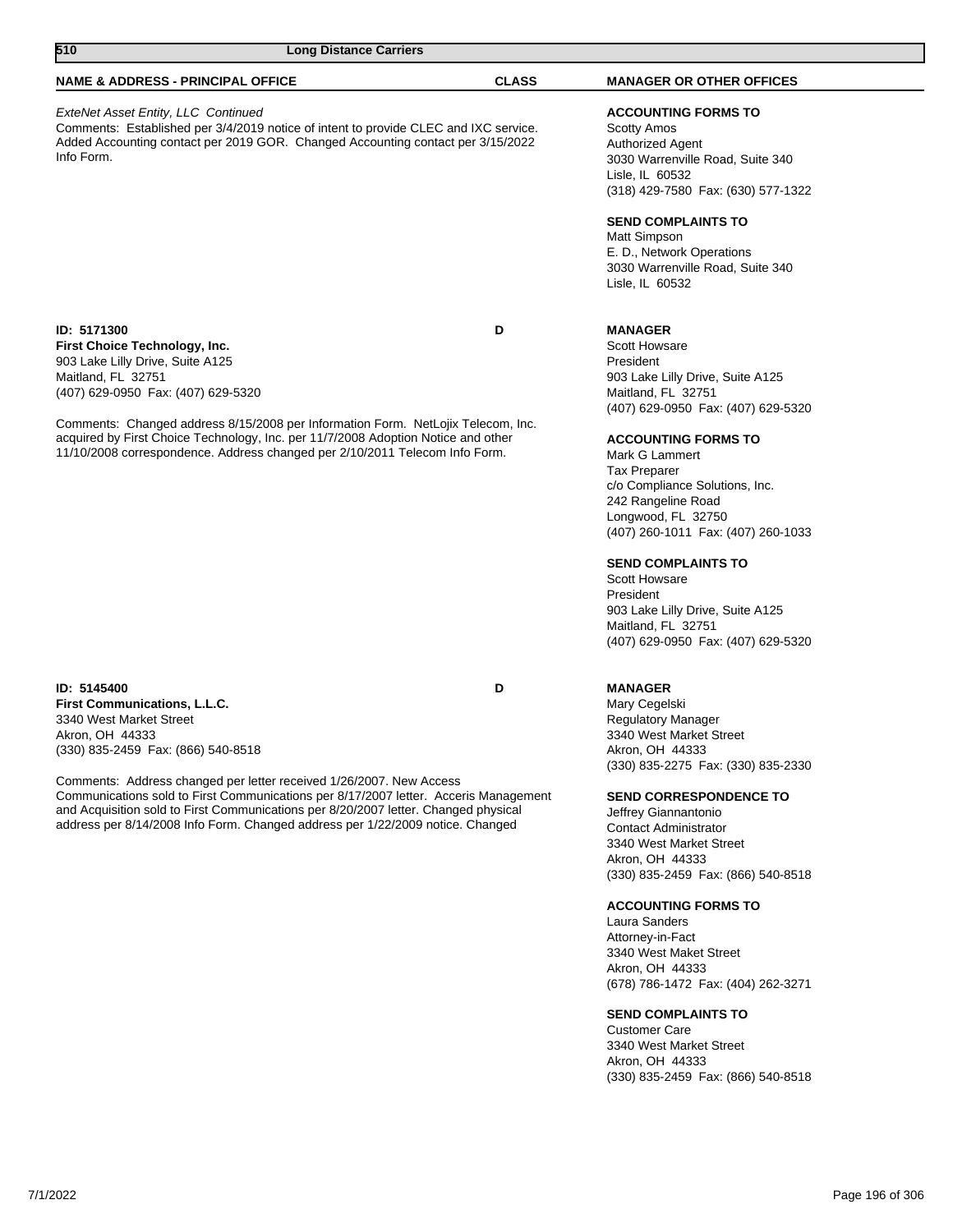| 510                                                                                                                                                                                                                                                                                                                                                                                                                                                                            | <b>Long Distance Carriers</b> |              |                                                                                                                                                                                                                                                                                                                                                                                                                                                                                                           |
|--------------------------------------------------------------------------------------------------------------------------------------------------------------------------------------------------------------------------------------------------------------------------------------------------------------------------------------------------------------------------------------------------------------------------------------------------------------------------------|-------------------------------|--------------|-----------------------------------------------------------------------------------------------------------------------------------------------------------------------------------------------------------------------------------------------------------------------------------------------------------------------------------------------------------------------------------------------------------------------------------------------------------------------------------------------------------|
| <b>NAME &amp; ADDRESS - PRINCIPAL OFFICE</b>                                                                                                                                                                                                                                                                                                                                                                                                                                   |                               | <b>CLASS</b> | <b>MANAGER OR OTHER OFFICES</b>                                                                                                                                                                                                                                                                                                                                                                                                                                                                           |
| ExteNet Asset Entity, LLC Continued<br>Comments: Established per 3/4/2019 notice of intent to provide CLEC and IXC service.<br>Added Accounting contact per 2019 GOR. Changed Accounting contact per 3/15/2022<br>Info Form.                                                                                                                                                                                                                                                   |                               |              | <b>ACCOUNTING FORMS TO</b><br><b>Scotty Amos</b><br>Authorized Agent<br>3030 Warrenville Road, Suite 340<br>Lisle, IL 60532<br>(318) 429-7580 Fax: (630) 577-1322<br><b>SEND COMPLAINTS TO</b><br>Matt Simpson<br>E. D., Network Operations<br>3030 Warrenville Road, Suite 340<br>Lisle, IL 60532                                                                                                                                                                                                        |
| ID: 5171300<br>First Choice Technology, Inc.<br>903 Lake Lilly Drive, Suite A125<br>Maitland, FL 32751<br>(407) 629-0950 Fax: (407) 629-5320<br>Comments: Changed address 8/15/2008 per Information Form. NetLojix Telecom, Inc.<br>acquired by First Choice Technology, Inc. per 11/7/2008 Adoption Notice and other<br>11/10/2008 correspondence. Address changed per 2/10/2011 Telecom Info Form.                                                                           | D                             |              | <b>MANAGER</b><br><b>Scott Howsare</b><br>President<br>903 Lake Lilly Drive, Suite A125<br>Maitland, FL 32751<br>(407) 629-0950 Fax: (407) 629-5320<br><b>ACCOUNTING FORMS TO</b><br>Mark G Lammert<br><b>Tax Preparer</b><br>c/o Compliance Solutions, Inc.<br>242 Rangeline Road<br>Longwood, FL 32750<br>(407) 260-1011 Fax: (407) 260-1033<br><b>SEND COMPLAINTS TO</b><br>Scott Howsare<br>President<br>903 Lake Lilly Drive, Suite A125<br>Maitland, FL 32751<br>(407) 629-0950 Fax: (407) 629-5320 |
| ID: 5145400<br><b>First Communications, L.L.C.</b><br>3340 West Market Street<br>Akron, OH 44333<br>(330) 835-2459 Fax: (866) 540-8518<br>Comments: Address changed per letter received 1/26/2007. New Access<br>Communications sold to First Communications per 8/17/2007 letter. Acceris Management<br>and Acquisition sold to First Communications per 8/20/2007 letter. Changed physical<br>address per 8/14/2008 Info Form. Changed address per 1/22/2009 notice. Changed | D                             |              | <b>MANAGER</b><br>Mary Cegelski<br><b>Regulatory Manager</b><br>3340 West Market Street<br>Akron, OH 44333<br>(330) 835-2275 Fax: (330) 835-2330<br><b>SEND CORRESPONDENCE TO</b><br>Jeffrey Giannantonio<br><b>Contact Administrator</b><br>3340 West Market Street<br>Akron, OH 44333<br>(330) 835-2459 Fax: (866) 540-8518<br><b>ACCOUNTING FORMS TO</b><br>Laura Sanders<br>Attorney-in-Fact<br>3340 West Maket Street<br>Akron, OH 44333<br>(678) 786-1472 Fax: (404) 262-3271                       |

## **SEND COMPLAINTS TO**

Customer Care 3340 West Market Street Akron, OH 44333 (330) 835-2459 Fax: (866) 540-8518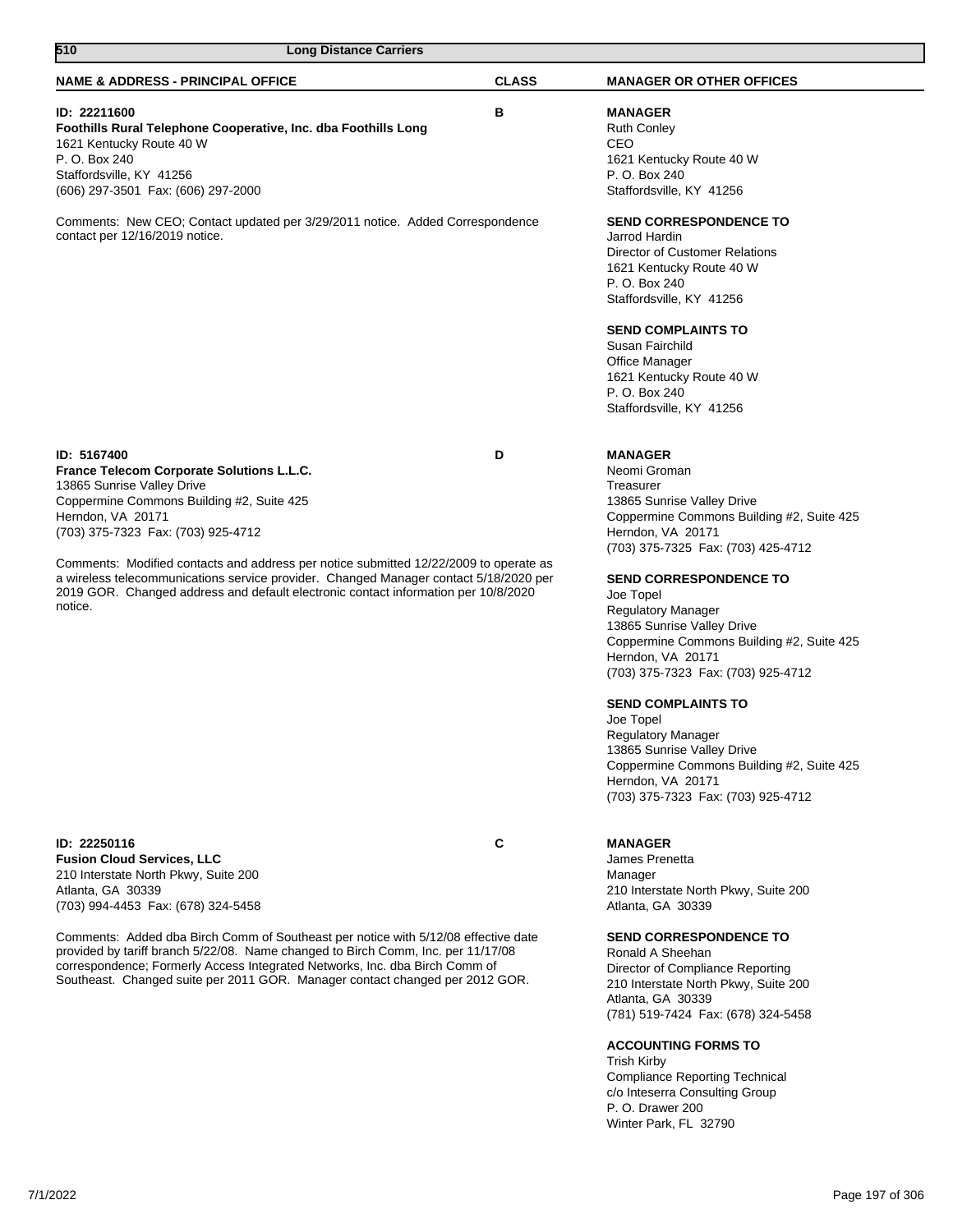| 510<br><b>Long Distance Carriers</b>                                                                                                                                                                                                                                                                                                                                                                                                                                              |              |                                                                                                                                                                                                                                                                                                                                                                                                                                                                                                                                                                                                                 |
|-----------------------------------------------------------------------------------------------------------------------------------------------------------------------------------------------------------------------------------------------------------------------------------------------------------------------------------------------------------------------------------------------------------------------------------------------------------------------------------|--------------|-----------------------------------------------------------------------------------------------------------------------------------------------------------------------------------------------------------------------------------------------------------------------------------------------------------------------------------------------------------------------------------------------------------------------------------------------------------------------------------------------------------------------------------------------------------------------------------------------------------------|
| <b>NAME &amp; ADDRESS - PRINCIPAL OFFICE</b>                                                                                                                                                                                                                                                                                                                                                                                                                                      | <b>CLASS</b> | <b>MANAGER OR OTHER OFFICES</b>                                                                                                                                                                                                                                                                                                                                                                                                                                                                                                                                                                                 |
| ID: 22211600<br>Foothills Rural Telephone Cooperative, Inc. dba Foothills Long<br>1621 Kentucky Route 40 W<br>P. O. Box 240<br>Staffordsville, KY 41256<br>(606) 297-3501 Fax: (606) 297-2000                                                                                                                                                                                                                                                                                     | В            | <b>MANAGER</b><br><b>Ruth Conley</b><br>CEO<br>1621 Kentucky Route 40 W<br>P. O. Box 240<br>Staffordsville, KY 41256                                                                                                                                                                                                                                                                                                                                                                                                                                                                                            |
| Comments: New CEO; Contact updated per 3/29/2011 notice. Added Correspondence<br>contact per 12/16/2019 notice.                                                                                                                                                                                                                                                                                                                                                                   |              | <b>SEND CORRESPONDENCE TO</b><br>Jarrod Hardin<br>Director of Customer Relations<br>1621 Kentucky Route 40 W<br>P. O. Box 240<br>Staffordsville, KY 41256<br><b>SEND COMPLAINTS TO</b><br>Susan Fairchild<br>Office Manager<br>1621 Kentucky Route 40 W<br>P. O. Box 240                                                                                                                                                                                                                                                                                                                                        |
|                                                                                                                                                                                                                                                                                                                                                                                                                                                                                   |              | Staffordsville, KY 41256                                                                                                                                                                                                                                                                                                                                                                                                                                                                                                                                                                                        |
| ID: 5167400<br>France Telecom Corporate Solutions L.L.C.<br>13865 Sunrise Valley Drive<br>Coppermine Commons Building #2, Suite 425<br>Herndon, VA 20171<br>(703) 375-7323 Fax: (703) 925-4712<br>Comments: Modified contacts and address per notice submitted 12/22/2009 to operate as<br>a wireless telecommunications service provider. Changed Manager contact 5/18/2020 per<br>2019 GOR. Changed address and default electronic contact information per 10/8/2020<br>notice. | D            | <b>MANAGER</b><br>Neomi Groman<br>Treasurer<br>13865 Sunrise Valley Drive<br>Coppermine Commons Building #2, Suite 425<br>Herndon, VA 20171<br>(703) 375-7325 Fax: (703) 425-4712<br><b>SEND CORRESPONDENCE TO</b><br>Joe Topel<br><b>Regulatory Manager</b><br>13865 Sunrise Valley Drive<br>Coppermine Commons Building #2, Suite 425<br>Herndon, VA 20171<br>(703) 375-7323 Fax: (703) 925-4712<br><b>SEND COMPLAINTS TO</b><br>Joe Topel<br><b>Regulatory Manager</b><br>13865 Sunrise Valley Drive<br>Coppermine Commons Building #2, Suite 425<br>Herndon, VA 20171<br>(703) 375-7323 Fax: (703) 925-4712 |
| ID: 22250116<br><b>Fusion Cloud Services, LLC</b><br>210 Interstate North Pkwy, Suite 200<br>Atlanta, GA 30339<br>(703) 994-4453 Fax: (678) 324-5458                                                                                                                                                                                                                                                                                                                              | C            | <b>MANAGER</b><br>James Prenetta<br>Manager<br>210 Interstate North Pkwy, Suite 200<br>Atlanta, GA 30339                                                                                                                                                                                                                                                                                                                                                                                                                                                                                                        |
| Comments: Added dba Birch Comm of Southeast per notice with 5/12/08 effective date<br>provided by tariff branch 5/22/08. Name changed to Birch Comm, Inc. per 11/17/08<br>correspondence; Formerly Access Integrated Networks, Inc. dba Birch Comm of<br>Southeast. Changed suite per 2011 GOR. Manager contact changed per 2012 GOR.                                                                                                                                             |              | <b>SEND CORRESPONDENCE TO</b><br>Ronald A Sheehan<br>Director of Compliance Reporting<br>210 Interstate North Pkwy, Suite 200<br>Atlanta, GA 30339<br>(781) 519-7424 Fax: (678) 324-5458                                                                                                                                                                                                                                                                                                                                                                                                                        |

## **ACCOUNTING FORMS TO**

Trish Kirby Compliance Reporting Technical c/o Inteserra Consulting Group P. O. Drawer 200 Winter Park, FL 32790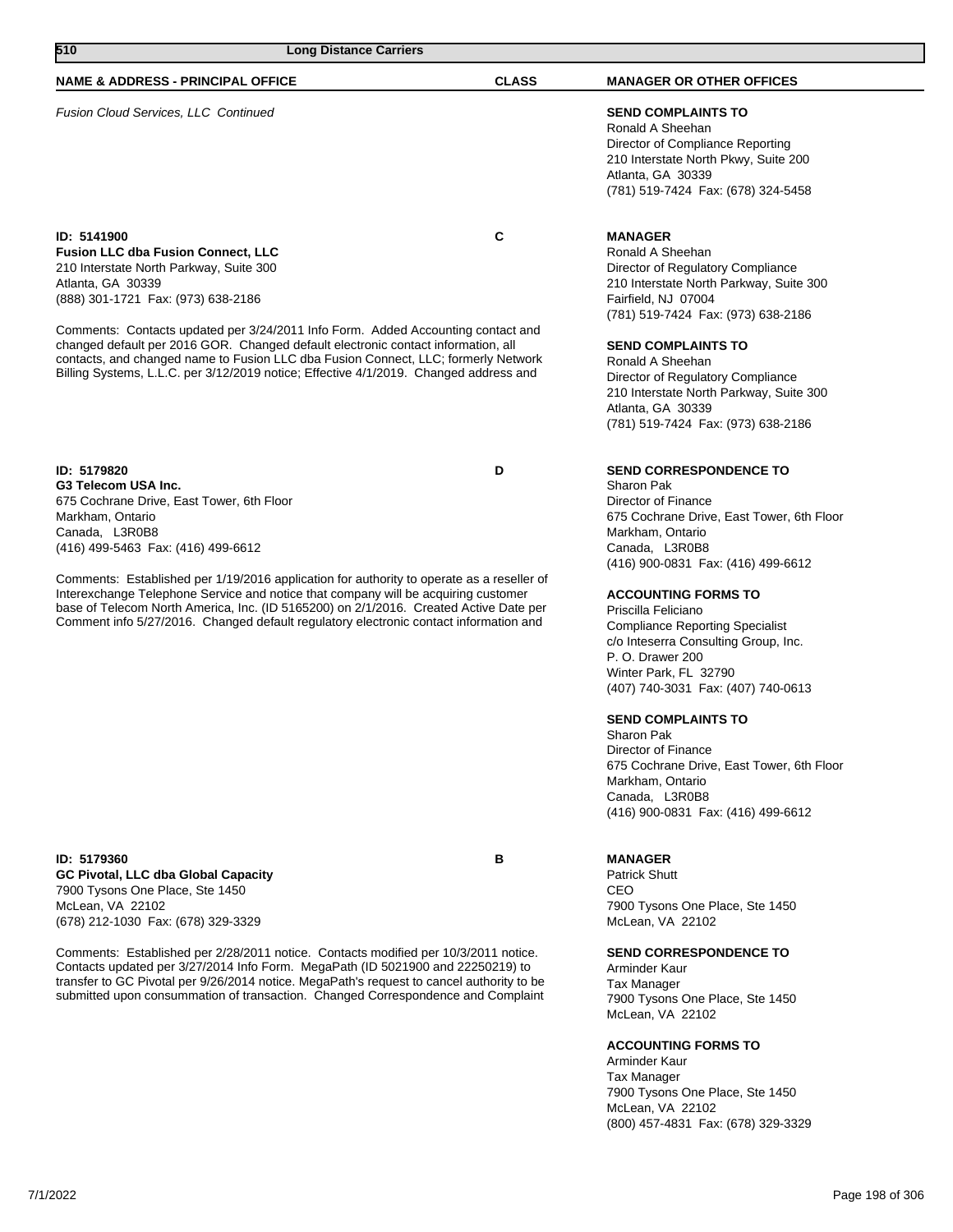| 510<br><b>Long Distance Carriers</b>                                                                                                                                                                                                                                                                                                                 |              |                                                                                                                                                                                          |
|------------------------------------------------------------------------------------------------------------------------------------------------------------------------------------------------------------------------------------------------------------------------------------------------------------------------------------------------------|--------------|------------------------------------------------------------------------------------------------------------------------------------------------------------------------------------------|
| <b>NAME &amp; ADDRESS - PRINCIPAL OFFICE</b>                                                                                                                                                                                                                                                                                                         | <b>CLASS</b> | <b>MANAGER OR OTHER OFFICES</b>                                                                                                                                                          |
| <b>Fusion Cloud Services, LLC Continued</b>                                                                                                                                                                                                                                                                                                          |              | <b>SEND COMPLAINTS TO</b><br>Ronald A Sheehan<br>Director of Compliance Reporting<br>210 Interstate North Pkwy, Suite 200<br>Atlanta, GA 30339<br>(781) 519-7424 Fax: (678) 324-5458     |
| ID: 5141900<br><b>Fusion LLC dba Fusion Connect, LLC</b><br>210 Interstate North Parkway, Suite 300<br>Atlanta, GA 30339<br>(888) 301-1721 Fax: (973) 638-2186                                                                                                                                                                                       | C            | <b>MANAGER</b><br>Ronald A Sheehan<br>Director of Regulatory Compliance<br>210 Interstate North Parkway, Suite 300<br>Fairfield, NJ 07004<br>(781) 519-7424 Fax: (973) 638-2186          |
| Comments: Contacts updated per 3/24/2011 Info Form. Added Accounting contact and<br>changed default per 2016 GOR. Changed default electronic contact information, all<br>contacts, and changed name to Fusion LLC dba Fusion Connect, LLC; formerly Network<br>Billing Systems, L.L.C. per 3/12/2019 notice; Effective 4/1/2019. Changed address and |              | <b>SEND COMPLAINTS TO</b><br>Ronald A Sheehan<br>Director of Regulatory Compliance<br>210 Interstate North Parkway, Suite 300<br>Atlanta, GA 30339<br>(781) 519-7424 Fax: (973) 638-2186 |

**ID: 5179820 D G3 Telecom USA Inc.** 675 Cochrane Drive, East Tower, 6th Floor Markham, Ontario Canada, L3R0B8 (416) 499-5463 Fax: (416) 499-6612

Comments: Established per 1/19/2016 application for authority to operate as a reseller of Interexchange Telephone Service and notice that company will be acquiring customer base of Telecom North America, Inc. (ID 5165200) on 2/1/2016. Created Active Date per Comment info 5/27/2016. Changed default regulatory electronic contact information and

**ID: 5179360 B GC Pivotal, LLC dba Global Capacity** 7900 Tysons One Place, Ste 1450 McLean, VA 22102 (678) 212-1030 Fax: (678) 329-3329

Comments: Established per 2/28/2011 notice. Contacts modified per 10/3/2011 notice. Contacts updated per 3/27/2014 Info Form. MegaPath (ID 5021900 and 22250219) to transfer to GC Pivotal per 9/26/2014 notice. MegaPath's request to cancel authority to be submitted upon consummation of transaction. Changed Correspondence and Complaint

## 7900 Tysons One Place, Ste 1450 McLean, VA 22102

**SEND CORRESPONDENCE TO**

675 Cochrane Drive, East Tower, 6th Floor

(416) 900-0831 Fax: (416) 499-6612

**ACCOUNTING FORMS TO**

**SEND COMPLAINTS TO**

Compliance Reporting Specialist c/o Inteserra Consulting Group, Inc.

(407) 740-3031 Fax: (407) 740-0613

(416) 900-0831 Fax: (416) 499-6612

7900 Tysons One Place, Ste 1450

**SEND CORRESPONDENCE TO**

675 Cochrane Drive, East Tower, 6th Floor

Sharon Pak Director of Finance

Markham, Ontario Canada, L3R0B8

Priscilla Feliciano

P. O. Drawer 200 Winter Park, FL 32790

Sharon Pak Director of Finance

**MANAGER** Patrick Shutt CEO

Markham, Ontario Canada, L3R0B8

McLean, VA 22102

Arminder Kaur Tax Manager

### **ACCOUNTING FORMS TO**

Arminder Kaur Tax Manager 7900 Tysons One Place, Ste 1450 McLean, VA 22102 (800) 457-4831 Fax: (678) 329-3329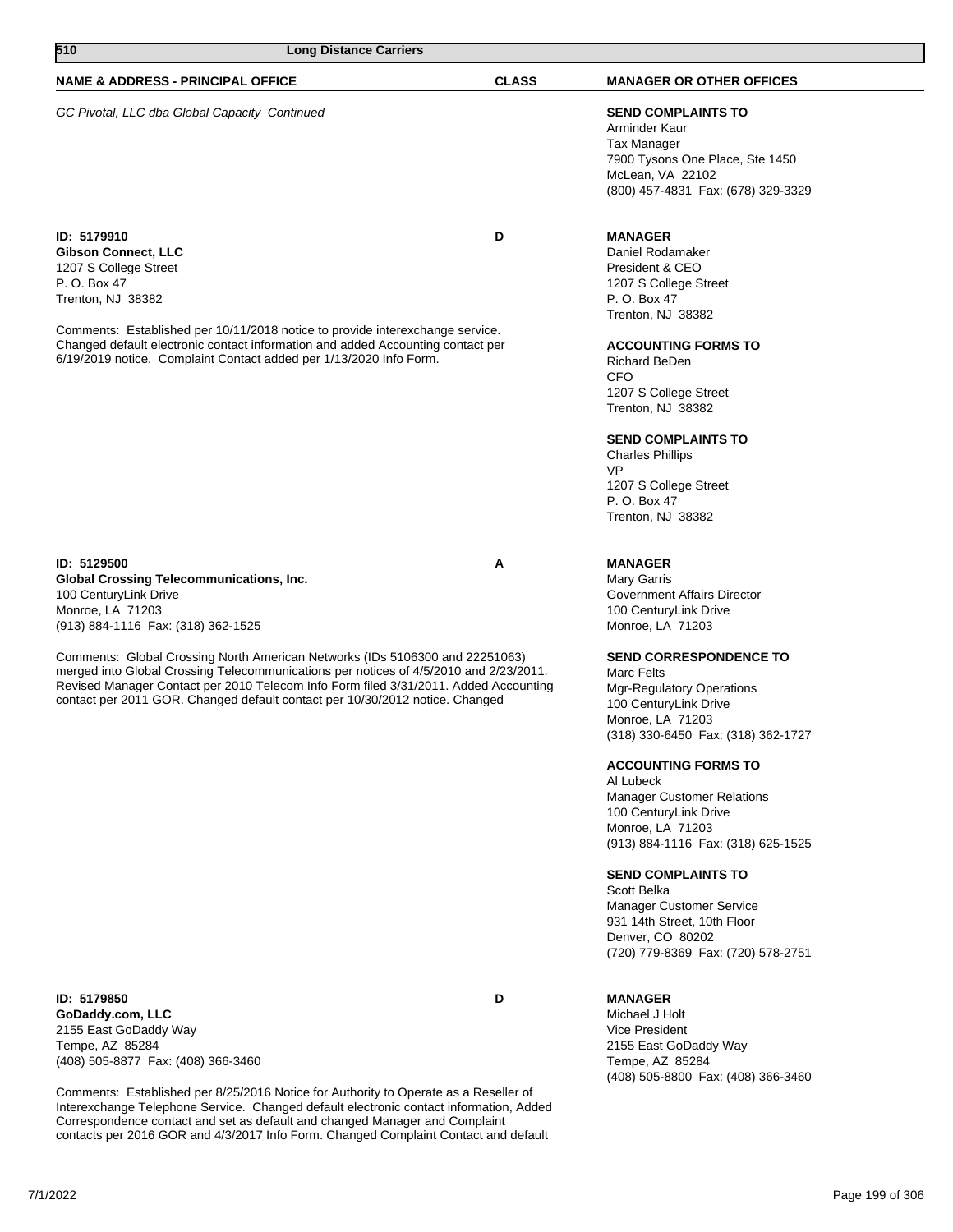| 510<br><b>Long Distance Carriers</b>                                                                                                                                                                                                                                                                                                                                                                                                                                                               |              |                                                                                                                                                                                                                                                                                                                                                                                                                                                                                                                                                                                                                            |
|----------------------------------------------------------------------------------------------------------------------------------------------------------------------------------------------------------------------------------------------------------------------------------------------------------------------------------------------------------------------------------------------------------------------------------------------------------------------------------------------------|--------------|----------------------------------------------------------------------------------------------------------------------------------------------------------------------------------------------------------------------------------------------------------------------------------------------------------------------------------------------------------------------------------------------------------------------------------------------------------------------------------------------------------------------------------------------------------------------------------------------------------------------------|
| <b>NAME &amp; ADDRESS - PRINCIPAL OFFICE</b>                                                                                                                                                                                                                                                                                                                                                                                                                                                       | <b>CLASS</b> | <b>MANAGER OR OTHER OFFICES</b>                                                                                                                                                                                                                                                                                                                                                                                                                                                                                                                                                                                            |
| GC Pivotal, LLC dba Global Capacity Continued                                                                                                                                                                                                                                                                                                                                                                                                                                                      |              | <b>SEND COMPLAINTS TO</b><br>Arminder Kaur<br>Tax Manager<br>7900 Tysons One Place, Ste 1450<br>McLean, VA 22102<br>(800) 457-4831 Fax: (678) 329-3329                                                                                                                                                                                                                                                                                                                                                                                                                                                                     |
| ID: 5179910<br><b>Gibson Connect, LLC</b><br>1207 S College Street<br>P. O. Box 47<br>Trenton, NJ 38382<br>Comments: Established per 10/11/2018 notice to provide interexchange service.<br>Changed default electronic contact information and added Accounting contact per<br>6/19/2019 notice. Complaint Contact added per 1/13/2020 Info Form.                                                                                                                                                  | D            | <b>MANAGER</b><br>Daniel Rodamaker<br>President & CEO<br>1207 S College Street<br>P. O. Box 47<br>Trenton, NJ 38382<br><b>ACCOUNTING FORMS TO</b><br>Richard BeDen<br><b>CFO</b><br>1207 S College Street<br>Trenton, NJ 38382<br><b>SEND COMPLAINTS TO</b><br><b>Charles Phillips</b><br><b>VP</b><br>1207 S College Street<br>P. O. Box 47<br>Trenton, NJ 38382                                                                                                                                                                                                                                                          |
| ID: 5129500<br><b>Global Crossing Telecommunications, Inc.</b><br>100 CenturyLink Drive<br>Monroe, LA 71203<br>(913) 884-1116 Fax: (318) 362-1525<br>Comments: Global Crossing North American Networks (IDs 5106300 and 22251063)<br>merged into Global Crossing Telecommunications per notices of 4/5/2010 and 2/23/2011.<br>Revised Manager Contact per 2010 Telecom Info Form filed 3/31/2011. Added Accounting<br>contact per 2011 GOR. Changed default contact per 10/30/2012 notice. Changed | Α            | <b>MANAGER</b><br>Mary Garris<br>Government Affairs Director<br>100 CenturyLink Drive<br>Monroe, LA 71203<br><b>SEND CORRESPONDENCE TO</b><br>Marc Felts<br><b>Mgr-Regulatory Operations</b><br>100 CenturyLink Drive<br>Monroe, LA 71203<br>(318) 330-6450 Fax: (318) 362-1727<br><b>ACCOUNTING FORMS TO</b><br>Al Lubeck<br><b>Manager Customer Relations</b><br>100 CenturyLink Drive<br>Monroe, LA 71203<br>(913) 884-1116 Fax: (318) 625-1525<br><b>SEND COMPLAINTS TO</b><br>Scott Belka<br><b>Manager Customer Service</b><br>931 14th Street, 10th Floor<br>Denver, CO 80202<br>(720) 779-8369 Fax: (720) 578-2751 |

**ID: 5179850 D GoDaddy.com, LLC** 2155 East GoDaddy Way Tempe, AZ 85284 (408) 505-8877 Fax: (408) 366-3460

Comments: Established per 8/25/2016 Notice for Authority to Operate as a Reseller of Interexchange Telephone Service. Changed default electronic contact information, Added Correspondence contact and set as default and changed Manager and Complaint contacts per 2016 GOR and 4/3/2017 Info Form. Changed Complaint Contact and default

## **MANAGER**

Michael J Holt Vice President 2155 East GoDaddy Way Tempe, AZ 85284 (408) 505-8800 Fax: (408) 366-3460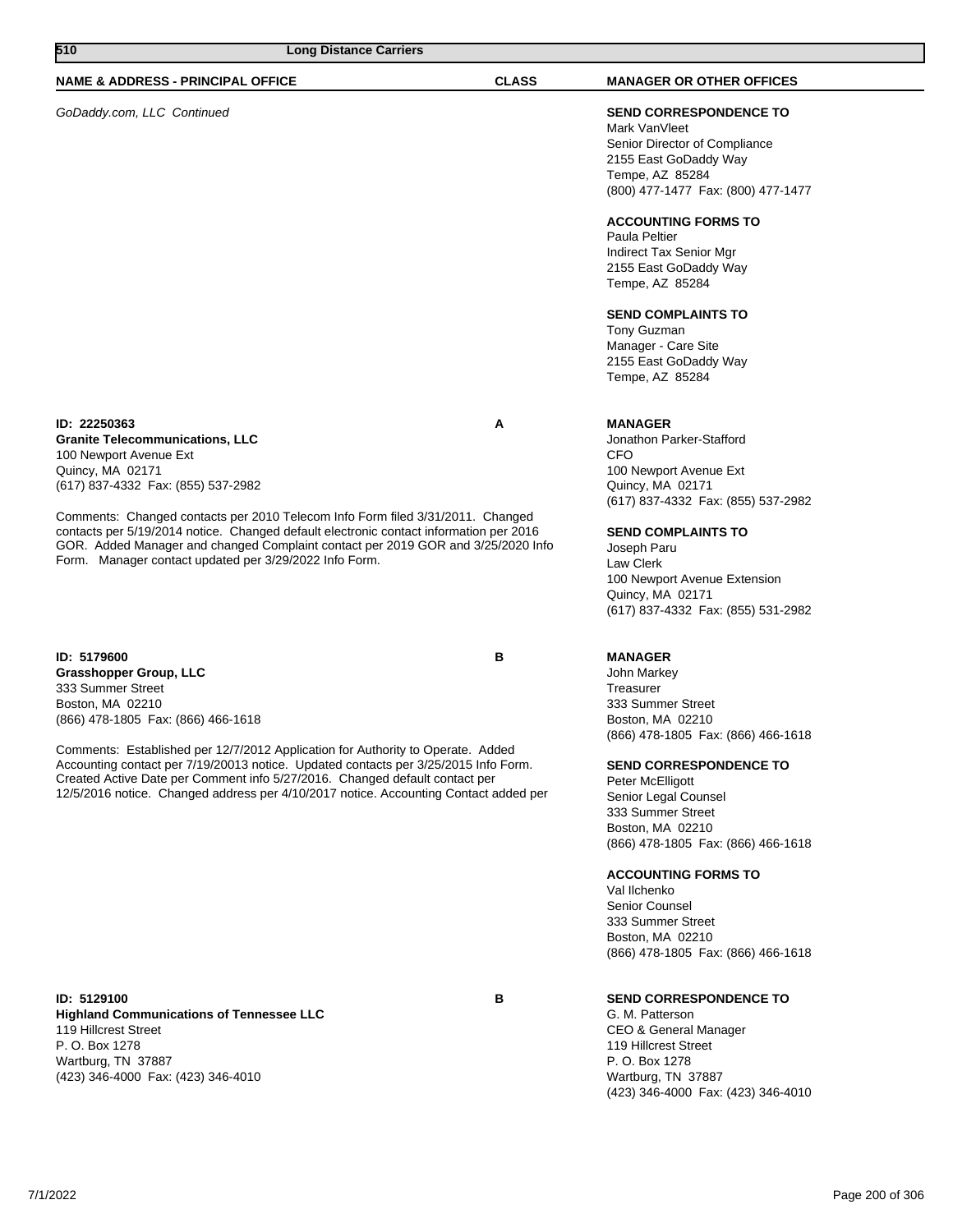## **NAME & ADDRESS - PRINCIPAL OFFICE CLASS MANAGER OR OTHER OFFICES**

## GoDaddy.com, LLC Continued **SEND CORRESPONDENCE TO**

## **ID: 22250363 A**

**Granite Telecommunications, LLC** 100 Newport Avenue Ext Quincy, MA 02171 (617) 837-4332 Fax: (855) 537-2982

Comments: Changed contacts per 2010 Telecom Info Form filed 3/31/2011. Changed contacts per 5/19/2014 notice. Changed default electronic contact information per 2016 GOR. Added Manager and changed Complaint contact per 2019 GOR and 3/25/2020 Info Form. Manager contact updated per 3/29/2022 Info Form.

**ID: 5179600 B Grasshopper Group, LLC** 333 Summer Street Boston, MA 02210 (866) 478-1805 Fax: (866) 466-1618

Comments: Established per 12/7/2012 Application for Authority to Operate. Added Accounting contact per 7/19/20013 notice. Updated contacts per 3/25/2015 Info Form. Created Active Date per Comment info 5/27/2016. Changed default contact per 12/5/2016 notice. Changed address per 4/10/2017 notice. Accounting Contact added per

### **ID: 5129100 B Highland Communications of Tennessee LLC** 119 Hillcrest Street P. O. Box 1278 Wartburg, TN 37887 (423) 346-4000 Fax: (423) 346-4010

Mark VanVleet Senior Director of Compliance 2155 East GoDaddy Way Tempe, AZ 85284 (800) 477-1477 Fax: (800) 477-1477

## **ACCOUNTING FORMS TO**

Paula Peltier Indirect Tax Senior Mgr 2155 East GoDaddy Way Tempe, AZ 85284

### **SEND COMPLAINTS TO**

Tony Guzman Manager - Care Site 2155 East GoDaddy Way Tempe, AZ 85284

### **MANAGER**

Jonathon Parker-Stafford CFO 100 Newport Avenue Ext Quincy, MA 02171 (617) 837-4332 Fax: (855) 537-2982

#### **SEND COMPLAINTS TO**

Joseph Paru Law Clerk 100 Newport Avenue Extension Quincy, MA 02171 (617) 837-4332 Fax: (855) 531-2982

## **MANAGER**

John Markey **Treasurer** 333 Summer Street Boston, MA 02210 (866) 478-1805 Fax: (866) 466-1618

#### **SEND CORRESPONDENCE TO**

Peter McElligott Senior Legal Counsel 333 Summer Street Boston, MA 02210 (866) 478-1805 Fax: (866) 466-1618

#### **ACCOUNTING FORMS TO**

Val Ilchenko Senior Counsel 333 Summer Street Boston, MA 02210 (866) 478-1805 Fax: (866) 466-1618

## **SEND CORRESPONDENCE TO**

G. M. Patterson CEO & General Manager 119 Hillcrest Street P. O. Box 1278 Wartburg, TN 37887 (423) 346-4000 Fax: (423) 346-4010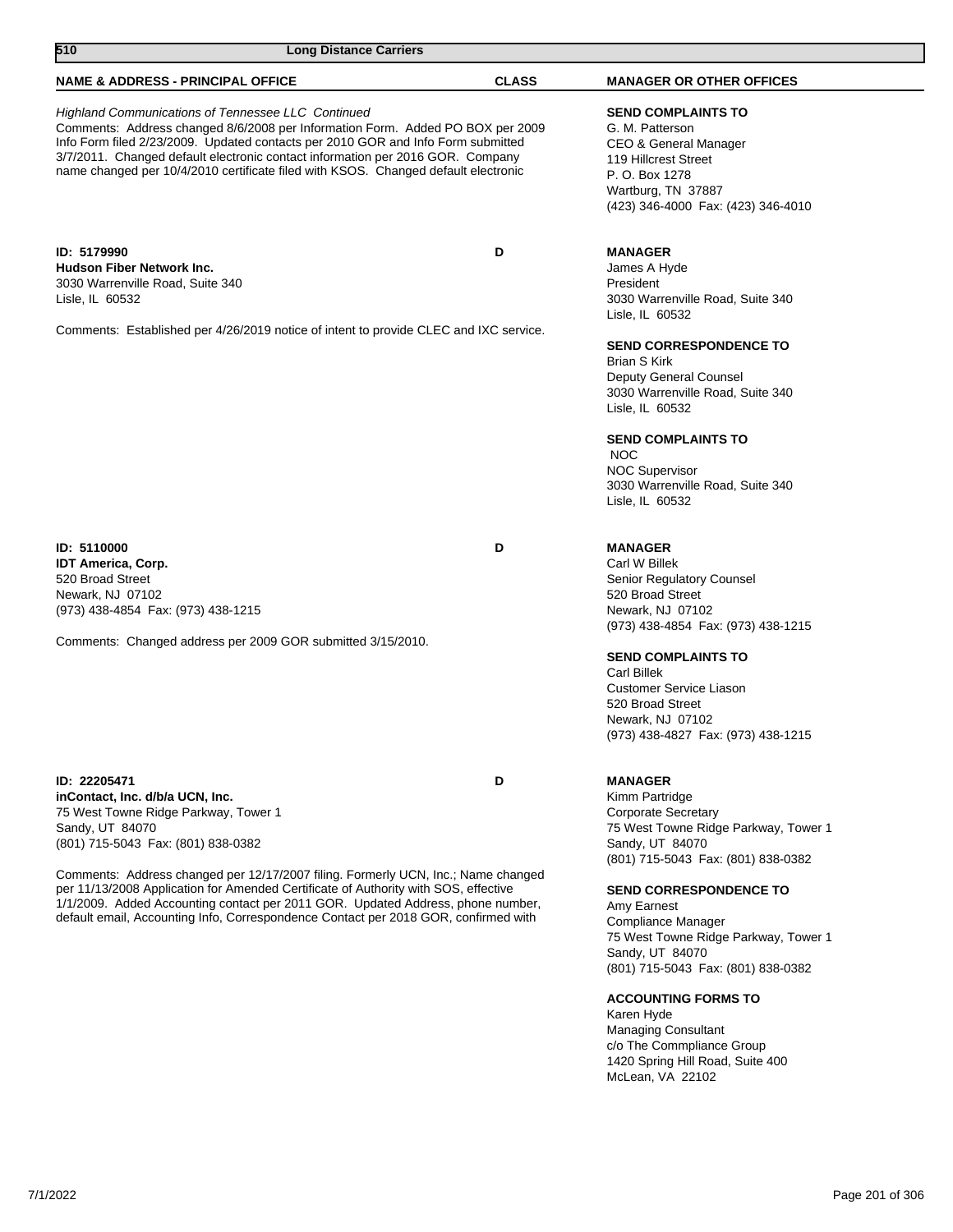| 510<br><b>Long Distance Carriers</b>                                                                                                                                                                                                                                                                                                                                                                                                                                                                          |              |                                                                                                                                                                                                                                                                                                                                                                                                           |
|---------------------------------------------------------------------------------------------------------------------------------------------------------------------------------------------------------------------------------------------------------------------------------------------------------------------------------------------------------------------------------------------------------------------------------------------------------------------------------------------------------------|--------------|-----------------------------------------------------------------------------------------------------------------------------------------------------------------------------------------------------------------------------------------------------------------------------------------------------------------------------------------------------------------------------------------------------------|
| <b>NAME &amp; ADDRESS - PRINCIPAL OFFICE</b>                                                                                                                                                                                                                                                                                                                                                                                                                                                                  | <b>CLASS</b> | <b>MANAGER OR OTHER OFFICES</b>                                                                                                                                                                                                                                                                                                                                                                           |
| <b>Highland Communications of Tennessee LLC Continued</b><br>Comments: Address changed 8/6/2008 per Information Form. Added PO BOX per 2009<br>Info Form filed 2/23/2009. Updated contacts per 2010 GOR and Info Form submitted<br>3/7/2011. Changed default electronic contact information per 2016 GOR. Company<br>name changed per 10/4/2010 certificate filed with KSOS. Changed default electronic                                                                                                       |              | <b>SEND COMPLAINTS TO</b><br>G. M. Patterson<br>CEO & General Manager<br>119 Hillcrest Street<br>P. O. Box 1278<br>Wartburg, TN 37887<br>(423) 346-4000 Fax: (423) 346-4010                                                                                                                                                                                                                               |
| ID: 5179990<br><b>Hudson Fiber Network Inc.</b><br>3030 Warrenville Road, Suite 340<br>Lisle, IL 60532                                                                                                                                                                                                                                                                                                                                                                                                        | D            | <b>MANAGER</b><br>James A Hyde<br>President<br>3030 Warrenville Road, Suite 340<br>Lisle, IL 60532                                                                                                                                                                                                                                                                                                        |
| Comments: Established per 4/26/2019 notice of intent to provide CLEC and IXC service.                                                                                                                                                                                                                                                                                                                                                                                                                         |              | SEND CORRESPONDENCE TO<br>Brian S Kirk<br>Deputy General Counsel<br>3030 Warrenville Road, Suite 340<br>Lisle, IL 60532<br><b>SEND COMPLAINTS TO</b><br><b>NOC</b><br><b>NOC Supervisor</b><br>3030 Warrenville Road, Suite 340<br>Lisle, IL 60532                                                                                                                                                        |
| ID: 5110000<br><b>IDT America, Corp.</b><br>520 Broad Street<br>Newark, NJ 07102<br>(973) 438-4854 Fax: (973) 438-1215<br>Comments: Changed address per 2009 GOR submitted 3/15/2010.                                                                                                                                                                                                                                                                                                                         | D            | <b>MANAGER</b><br>Carl W Billek<br>Senior Regulatory Counsel<br>520 Broad Street<br>Newark, NJ 07102<br>(973) 438-4854 Fax: (973) 438-1215<br><b>SEND COMPLAINTS TO</b><br><b>Carl Billek</b><br>Customer Service Liason<br>520 Broad Street<br>Newark, NJ 07102<br>(973) 438-4827 Fax: (973) 438-1215                                                                                                    |
| <b>ID: 22205471</b><br>inContact, Inc. d/b/a UCN, Inc.<br>75 West Towne Ridge Parkway, Tower 1<br>Sandy, UT 84070<br>(801) 715-5043 Fax: (801) 838-0382<br>Comments: Address changed per 12/17/2007 filing. Formerly UCN, Inc.; Name changed<br>per 11/13/2008 Application for Amended Certificate of Authority with SOS, effective<br>1/1/2009. Added Accounting contact per 2011 GOR. Updated Address, phone number,<br>default email, Accounting Info, Correspondence Contact per 2018 GOR, confirmed with | D            | <b>MANAGER</b><br>Kimm Partridge<br><b>Corporate Secretary</b><br>75 West Towne Ridge Parkway, Tower 1<br>Sandy, UT 84070<br>(801) 715-5043 Fax: (801) 838-0382<br><b>SEND CORRESPONDENCE TO</b><br>Amy Earnest<br>Compliance Manager<br>75 West Towne Ridge Parkway, Tower 1<br>Sandy, UT 84070<br>(801) 715-5043 Fax: (801) 838-0382<br><b>ACCOUNTING FORMS TO</b><br>Karen Hyde<br>Managing Consultant |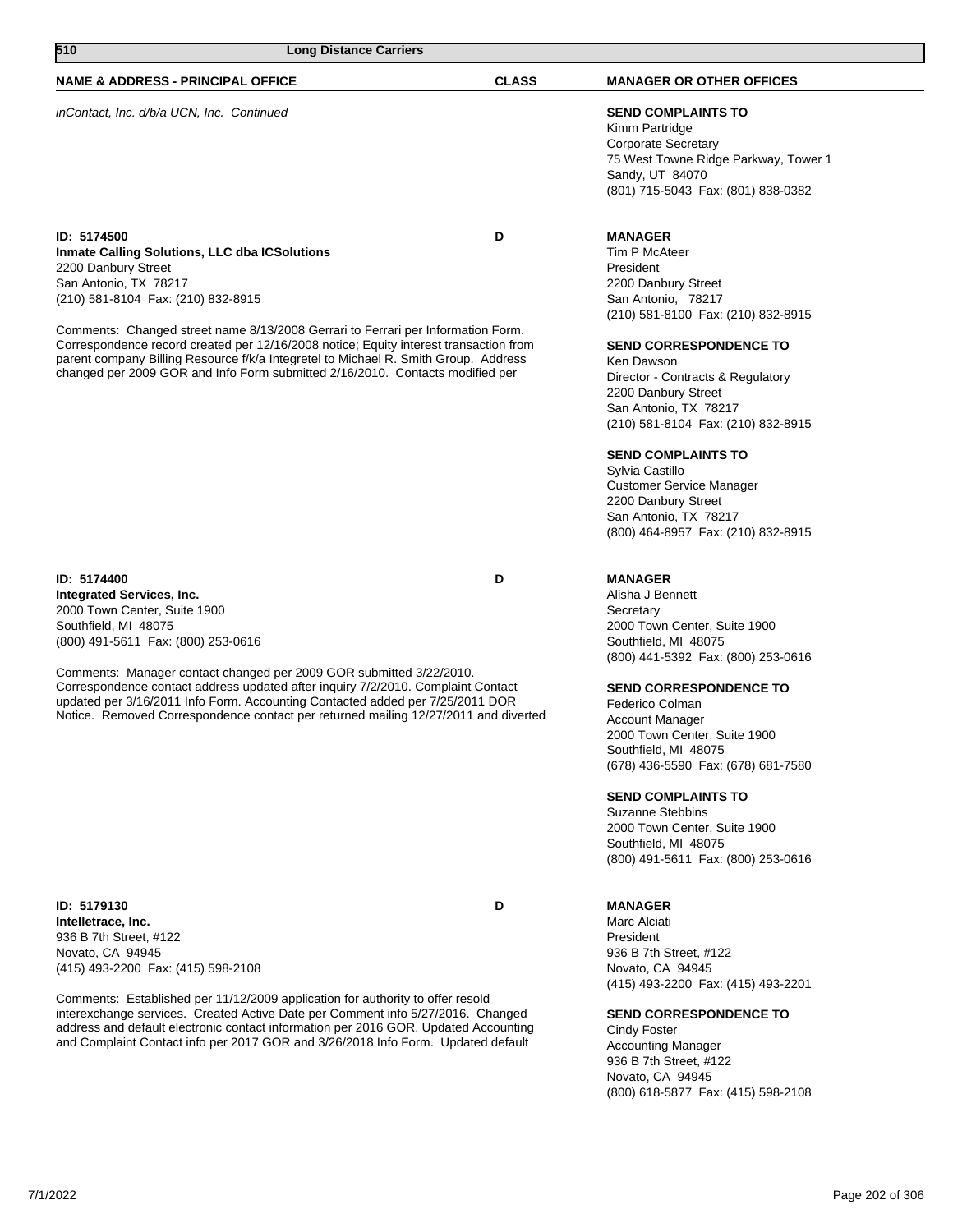| NAME & ADDRESS - PRINCIPAL OFFICE                                                                                                                                                                                                                                                                                                                                                                                                                                                                              | <b>CLASS</b> | <b>MANAGER OR OTHER OFFICES</b>                                                                                                                                                                                                                                                                                                                                                                                                                                                    |
|----------------------------------------------------------------------------------------------------------------------------------------------------------------------------------------------------------------------------------------------------------------------------------------------------------------------------------------------------------------------------------------------------------------------------------------------------------------------------------------------------------------|--------------|------------------------------------------------------------------------------------------------------------------------------------------------------------------------------------------------------------------------------------------------------------------------------------------------------------------------------------------------------------------------------------------------------------------------------------------------------------------------------------|
| inContact, Inc. d/b/a UCN, Inc. Continued                                                                                                                                                                                                                                                                                                                                                                                                                                                                      |              | <b>SEND COMPLAINTS TO</b><br>Kimm Partridge<br><b>Corporate Secretary</b><br>75 West Towne Ridge Parkway, Tower 1<br>Sandy, UT 84070<br>(801) 715-5043 Fax: (801) 838-0382                                                                                                                                                                                                                                                                                                         |
| ID: 5174500<br><b>Inmate Calling Solutions, LLC dba ICSolutions</b><br>2200 Danbury Street<br>San Antonio, TX 78217<br>(210) 581-8104 Fax: (210) 832-8915<br>Comments: Changed street name 8/13/2008 Gerrari to Ferrari per Information Form.<br>Correspondence record created per 12/16/2008 notice; Equity interest transaction from<br>parent company Billing Resource f/k/a Integretel to Michael R. Smith Group. Address<br>changed per 2009 GOR and Info Form submitted 2/16/2010. Contacts modified per | D            | <b>MANAGER</b><br>Tim P McAteer<br>President<br>2200 Danbury Street<br>San Antonio, 78217<br>(210) 581-8100 Fax: (210) 832-8915<br><b>SEND CORRESPONDENCE TO</b><br>Ken Dawson<br>Director - Contracts & Regulatory<br>2200 Danbury Street<br>San Antonio, TX 78217<br>(210) 581-8104 Fax: (210) 832-8915<br><b>SEND COMPLAINTS TO</b><br>Sylvia Castillo<br><b>Customer Service Manager</b><br>2200 Danbury Street<br>San Antonio, TX 78217<br>(800) 464-8957 Fax: (210) 832-8915 |
| ID: 5174400<br>Integrated Services, Inc.<br>2000 Town Center, Suite 1900<br>Southfield, MI 48075<br>(800) 491-5611 Fax: (800) 253-0616<br>Comments: Manager contact changed per 2009 GOR submitted 3/22/2010.<br>Correspondence contact address updated after inquiry 7/2/2010. Complaint Contact<br>updated per 3/16/2011 Info Form. Accounting Contacted added per 7/25/2011 DOR<br>Notice. Removed Correspondence contact per returned mailing 12/27/2011 and diverted                                      | D            | <b>MANAGER</b><br>Alisha J Bennett<br>Secretary<br>2000 Town Center, Suite 1900<br>Southfield, MI 48075<br>(800) 441-5392 Fax: (800) 253-0616<br><b>SEND CORRESPONDENCE TO</b><br>Federico Colman<br>Account Manager<br>2000 Town Center, Suite 1900<br>Southfield, MI 48075<br>(678) 436-5590 Fax: (678) 681-7580<br><b>SEND COMPLAINTS TO</b><br><b>Suzanne Stebbins</b><br>2000 Town Center, Suite 1900<br>Southfield, MI 48075<br>(800) 491-5611 Fax: (800) 253-0616           |
| ID: 5179130<br>Intelletrace, Inc.<br>936 B 7th Street, #122<br>Novato, CA 94945<br>(415) 493-2200 Fax: (415) 598-2108<br>Comments: Established per 11/12/2009 application for authority to offer resold<br>interexchange services. Created Active Date per Comment info 5/27/2016. Changed<br>address and default electronic contact information per 2016 GOR. Updated Accounting<br>and Complaint Contact info per 2017 GOR and 3/26/2018 Info Form. Updated default                                          | D            | <b>MANAGER</b><br>Marc Alciati<br>President<br>936 B 7th Street, #122<br>Novato, CA 94945<br>(415) 493-2200 Fax: (415) 493-2201<br><b>SEND CORRESPONDENCE TO</b><br>Cindy Foster<br><b>Accounting Manager</b><br>936 B 7th Street, #122<br>Novato, CA 94945<br>(800) 618-5877 Fax: (415) 598-2108                                                                                                                                                                                  |

**510 Long Distance Carriers**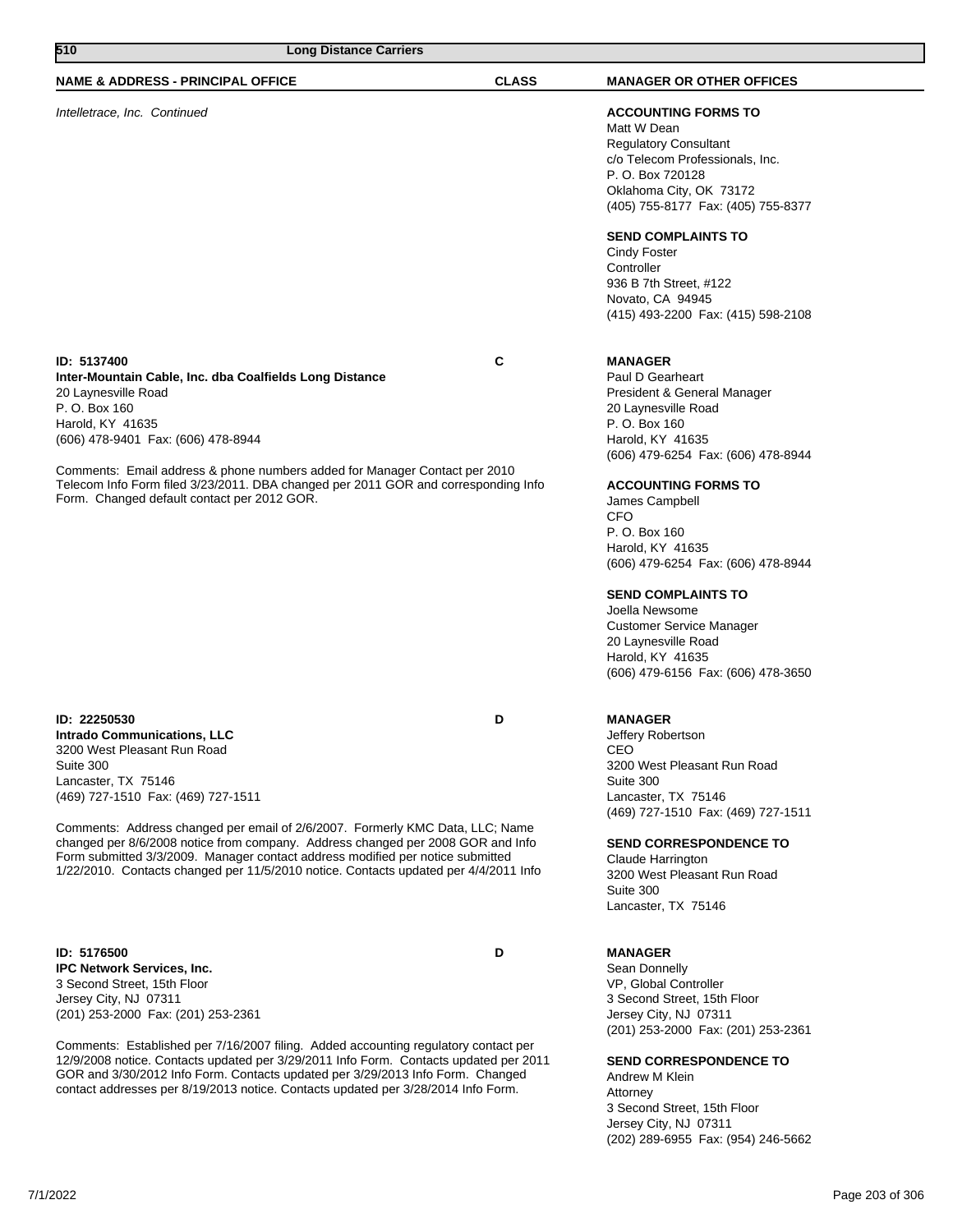| 510<br><b>Long Distance Carriers</b>                                                                                                                                                                                                                                                                                                                                                                                                                                                                      |              |                                                                                                                                                                                                                                                                                                                                                                                                                                                                                 |
|-----------------------------------------------------------------------------------------------------------------------------------------------------------------------------------------------------------------------------------------------------------------------------------------------------------------------------------------------------------------------------------------------------------------------------------------------------------------------------------------------------------|--------------|---------------------------------------------------------------------------------------------------------------------------------------------------------------------------------------------------------------------------------------------------------------------------------------------------------------------------------------------------------------------------------------------------------------------------------------------------------------------------------|
| <b>NAME &amp; ADDRESS - PRINCIPAL OFFICE</b>                                                                                                                                                                                                                                                                                                                                                                                                                                                              | <b>CLASS</b> | <b>MANAGER OR OTHER OFFICES</b>                                                                                                                                                                                                                                                                                                                                                                                                                                                 |
| Intelletrace, Inc. Continued                                                                                                                                                                                                                                                                                                                                                                                                                                                                              |              | <b>ACCOUNTING FORMS TO</b><br>Matt W Dean<br><b>Regulatory Consultant</b><br>c/o Telecom Professionals, Inc.<br>P. O. Box 720128<br>Oklahoma City, OK 73172<br>(405) 755-8177 Fax: (405) 755-8377<br><b>SEND COMPLAINTS TO</b><br>Cindy Foster<br>Controller<br>936 B 7th Street, #122<br>Novato, CA 94945<br>(415) 493-2200 Fax: (415) 598-2108                                                                                                                                |
| ID: 5137400<br>Inter-Mountain Cable, Inc. dba Coalfields Long Distance<br>20 Laynesville Road<br>P. O. Box 160<br>Harold, KY 41635<br>(606) 478-9401 Fax: (606) 478-8944<br>Comments: Email address & phone numbers added for Manager Contact per 2010<br>Telecom Info Form filed 3/23/2011. DBA changed per 2011 GOR and corresponding Info<br>Form. Changed default contact per 2012 GOR.                                                                                                               | С            | <b>MANAGER</b><br>Paul D Gearheart<br>President & General Manager<br>20 Laynesville Road<br>P. O. Box 160<br>Harold, KY 41635<br>(606) 479-6254 Fax: (606) 478-8944<br><b>ACCOUNTING FORMS TO</b><br>James Campbell<br><b>CFO</b><br>P. O. Box 160<br>Harold, KY 41635<br>(606) 479-6254 Fax: (606) 478-8944<br><b>SEND COMPLAINTS TO</b><br>Joella Newsome<br><b>Customer Service Manager</b><br>20 Laynesville Road<br>Harold, KY 41635<br>(606) 479-6156 Fax: (606) 478-3650 |
| ID: 22250530<br><b>Intrado Communications, LLC</b><br>3200 West Pleasant Run Road<br>Suite 300<br>Lancaster, TX 75146<br>(469) 727-1510 Fax: (469) 727-1511<br>Comments: Address changed per email of 2/6/2007. Formerly KMC Data, LLC; Name<br>changed per 8/6/2008 notice from company. Address changed per 2008 GOR and Info<br>Form submitted 3/3/2009. Manager contact address modified per notice submitted<br>1/22/2010. Contacts changed per 11/5/2010 notice. Contacts updated per 4/4/2011 Info | D            | <b>MANAGER</b><br>Jeffery Robertson<br>CEO<br>3200 West Pleasant Run Road<br>Suite 300<br>Lancaster, TX 75146<br>(469) 727-1510 Fax: (469) 727-1511<br><b>SEND CORRESPONDENCE TO</b><br>Claude Harrington<br>3200 West Pleasant Run Road<br>Suite 300<br>Lancaster, TX 75146                                                                                                                                                                                                    |
| ID: 5176500<br>IPC Network Services, Inc.<br>3 Second Street, 15th Floor<br>Jersey City, NJ 07311<br>(201) 253-2000 Fax: (201) 253-2361<br>Comments: Established per 7/16/2007 filing. Added accounting regulatory contact per<br>12/9/2008 notice. Contacts updated per 3/29/2011 Info Form. Contacts updated per 2011<br>GOR and 3/30/2012 Info Form. Contacts updated per 3/29/2013 Info Form. Changed                                                                                                 | D            | <b>MANAGER</b><br>Sean Donnelly<br>VP, Global Controller<br>3 Second Street, 15th Floor<br>Jersey City, NJ 07311<br>(201) 253-2000 Fax: (201) 253-2361<br><b>SEND CORRESPONDENCE TO</b><br>Andrew M Klein                                                                                                                                                                                                                                                                       |

Andrew M Klein Attorney 3 Second Street, 15th Floor Jersey City, NJ 07311 (202) 289-6955 Fax: (954) 246-5662

contact addresses per 8/19/2013 notice. Contacts updated per 3/28/2014 Info Form.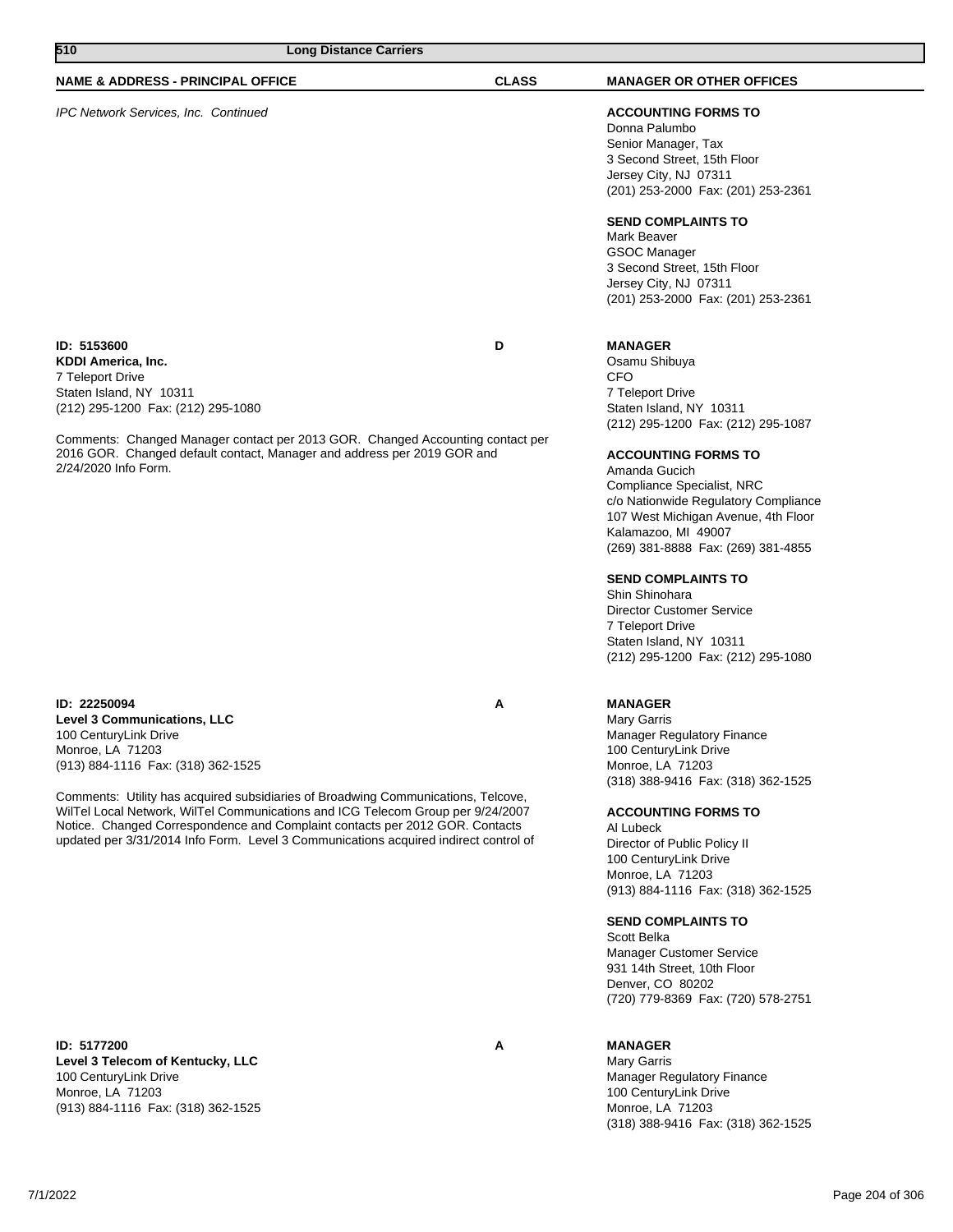| 510<br><b>Long Distance Carriers</b>                                                                                                                                                                                                                                                                                                                                                                                                                                                  |              |                                                                                                                                                                                                                                                                                                                                                                                                                                                                                                                                     |
|---------------------------------------------------------------------------------------------------------------------------------------------------------------------------------------------------------------------------------------------------------------------------------------------------------------------------------------------------------------------------------------------------------------------------------------------------------------------------------------|--------------|-------------------------------------------------------------------------------------------------------------------------------------------------------------------------------------------------------------------------------------------------------------------------------------------------------------------------------------------------------------------------------------------------------------------------------------------------------------------------------------------------------------------------------------|
| <b>NAME &amp; ADDRESS - PRINCIPAL OFFICE</b>                                                                                                                                                                                                                                                                                                                                                                                                                                          | <b>CLASS</b> | <b>MANAGER OR OTHER OFFICES</b>                                                                                                                                                                                                                                                                                                                                                                                                                                                                                                     |
| IPC Network Services, Inc. Continued                                                                                                                                                                                                                                                                                                                                                                                                                                                  |              | <b>ACCOUNTING FORMS TO</b><br>Donna Palumbo<br>Senior Manager, Tax<br>3 Second Street, 15th Floor<br>Jersey City, NJ 07311<br>(201) 253-2000 Fax: (201) 253-2361<br><b>SEND COMPLAINTS TO</b><br>Mark Beaver<br><b>GSOC Manager</b><br>3 Second Street, 15th Floor<br>Jersey City, NJ 07311<br>(201) 253-2000 Fax: (201) 253-2361                                                                                                                                                                                                   |
| ID: 5153600<br>KDDI America, Inc.<br>7 Teleport Drive<br>Staten Island, NY 10311<br>(212) 295-1200 Fax: (212) 295-1080<br>Comments: Changed Manager contact per 2013 GOR. Changed Accounting contact per<br>2016 GOR. Changed default contact, Manager and address per 2019 GOR and<br>2/24/2020 Info Form.                                                                                                                                                                           | D            | <b>MANAGER</b><br>Osamu Shibuya<br><b>CFO</b><br>7 Teleport Drive<br>Staten Island, NY 10311<br>(212) 295-1200 Fax: (212) 295-1087<br><b>ACCOUNTING FORMS TO</b><br>Amanda Gucich<br>Compliance Specialist, NRC<br>c/o Nationwide Regulatory Compliance<br>107 West Michigan Avenue, 4th Floor<br>Kalamazoo, MI 49007<br>(269) 381-8888 Fax: (269) 381-4855<br><b>SEND COMPLAINTS TO</b><br>Shin Shinohara<br><b>Director Customer Service</b><br>7 Teleport Drive<br>Staten Island, NY 10311<br>(212) 295-1200 Fax: (212) 295-1080 |
| ID: 22250094<br><b>Level 3 Communications, LLC</b><br>100 CenturyLink Drive<br>Monroe, LA 71203<br>(913) 884-1116 Fax: (318) 362-1525<br>Comments: Utility has acquired subsidiaries of Broadwing Communications, Telcove,<br>WilTel Local Network, WilTel Communications and ICG Telecom Group per 9/24/2007<br>Notice. Changed Correspondence and Complaint contacts per 2012 GOR. Contacts<br>updated per 3/31/2014 Info Form. Level 3 Communications acquired indirect control of | А            | <b>MANAGER</b><br><b>Mary Garris</b><br><b>Manager Regulatory Finance</b><br>100 CenturyLink Drive<br>Monroe, LA 71203<br>(318) 388-9416 Fax: (318) 362-1525<br><b>ACCOUNTING FORMS TO</b><br>Al Lubeck<br>Director of Public Policy II<br>100 CenturyLink Drive<br>Monroe, LA 71203<br>(913) 884-1116 Fax: (318) 362-1525<br><b>SEND COMPLAINTS TO</b><br>Scott Belka<br><b>Manager Customer Service</b><br>931 14th Street, 10th Floor<br>Denver, CO 80202<br>(720) 779-8369 Fax: (720) 578-2751                                  |
| ID: 5177200                                                                                                                                                                                                                                                                                                                                                                                                                                                                           | А            | <b>MANAGER</b>                                                                                                                                                                                                                                                                                                                                                                                                                                                                                                                      |

**Level 3 Telecom of Kentucky, LLC** 100 CenturyLink Drive Monroe, LA 71203 (913) 884-1116 Fax: (318) 362-1525

## **MANAGER**

Mary Garris Manager Regulatory Finance 100 CenturyLink Drive Monroe, LA 71203 (318) 388-9416 Fax: (318) 362-1525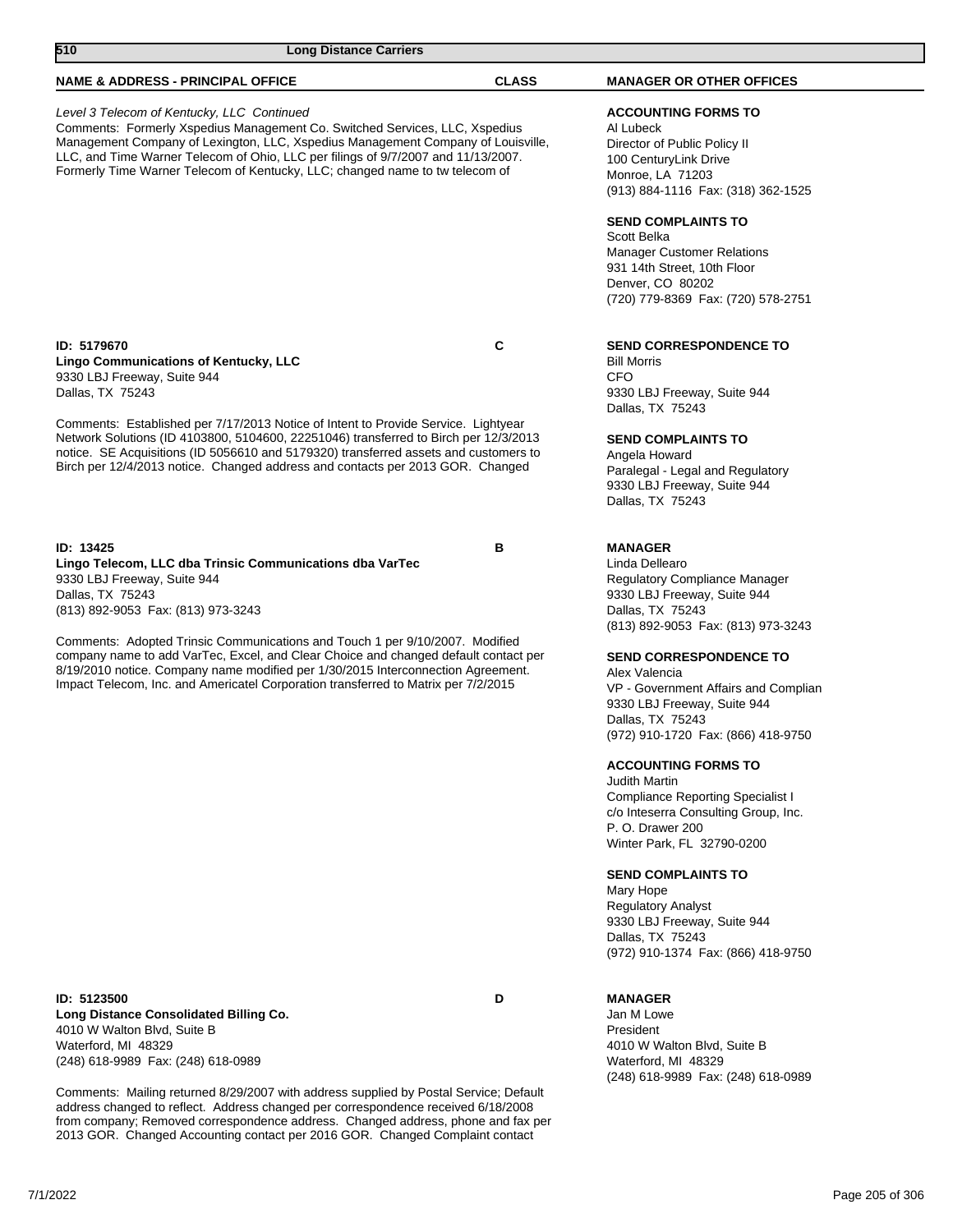| <b>CLASS</b>                                                                                                                                                                                                                                                                                                                                         | <b>MANAGER OR OTHER OFFICES</b>                                                                                                                                                                                                                                                                                                                                                                                                                                                                                                                                                                                                                                                                    |
|------------------------------------------------------------------------------------------------------------------------------------------------------------------------------------------------------------------------------------------------------------------------------------------------------------------------------------------------------|----------------------------------------------------------------------------------------------------------------------------------------------------------------------------------------------------------------------------------------------------------------------------------------------------------------------------------------------------------------------------------------------------------------------------------------------------------------------------------------------------------------------------------------------------------------------------------------------------------------------------------------------------------------------------------------------------|
| Comments: Formerly Xspedius Management Co. Switched Services, LLC, Xspedius<br>Management Company of Lexington, LLC, Xspedius Management Company of Louisville,<br>LLC, and Time Warner Telecom of Ohio, LLC per filings of 9/7/2007 and 11/13/2007.<br>Formerly Time Warner Telecom of Kentucky, LLC; changed name to tw telecom of                 | <b>ACCOUNTING FORMS TO</b><br>Al Lubeck<br>Director of Public Policy II<br>100 CenturyLink Drive<br>Monroe, LA 71203<br>(913) 884-1116 Fax: (318) 362-1525                                                                                                                                                                                                                                                                                                                                                                                                                                                                                                                                         |
|                                                                                                                                                                                                                                                                                                                                                      | <b>SEND COMPLAINTS TO</b><br>Scott Belka<br><b>Manager Customer Relations</b><br>931 14th Street, 10th Floor<br>Denver, CO 80202<br>(720) 779-8369 Fax: (720) 578-2751                                                                                                                                                                                                                                                                                                                                                                                                                                                                                                                             |
| C                                                                                                                                                                                                                                                                                                                                                    | <b>SEND CORRESPONDENCE TO</b><br><b>Bill Morris</b><br><b>CFO</b><br>9330 LBJ Freeway, Suite 944                                                                                                                                                                                                                                                                                                                                                                                                                                                                                                                                                                                                   |
| Comments: Established per 7/17/2013 Notice of Intent to Provide Service. Lightyear<br>Network Solutions (ID 4103800, 5104600, 22251046) transferred to Birch per 12/3/2013<br>notice. SE Acquisitions (ID 5056610 and 5179320) transferred assets and customers to<br>Birch per 12/4/2013 notice. Changed address and contacts per 2013 GOR. Changed | Dallas, TX 75243<br><b>SEND COMPLAINTS TO</b><br>Angela Howard<br>Paralegal - Legal and Regulatory<br>9330 LBJ Freeway, Suite 944<br>Dallas, TX 75243                                                                                                                                                                                                                                                                                                                                                                                                                                                                                                                                              |
| в<br>Comments: Adopted Trinsic Communications and Touch 1 per 9/10/2007. Modified<br>company name to add VarTec, Excel, and Clear Choice and changed default contact per<br>8/19/2010 notice. Company name modified per 1/30/2015 Interconnection Agreement.<br>Impact Telecom, Inc. and Americatel Corporation transferred to Matrix per 7/2/2015   | <b>MANAGER</b><br>Linda Dellearo<br>Regulatory Compliance Manager<br>9330 LBJ Freeway, Suite 944<br>Dallas, TX 75243<br>(813) 892-9053 Fax: (813) 973-3243<br><b>SEND CORRESPONDENCE TO</b><br>Alex Valencia<br>VP - Government Affairs and Complian<br>9330 LBJ Freeway, Suite 944<br>Dallas, TX 75243<br>(972) 910-1720 Fax: (866) 418-9750<br><b>ACCOUNTING FORMS TO</b><br><b>Judith Martin</b><br>Compliance Reporting Specialist I<br>c/o Inteserra Consulting Group, Inc.<br>P. O. Drawer 200<br>Winter Park, FL 32790-0200<br><b>SEND COMPLAINTS TO</b><br>Mary Hope<br><b>Regulatory Analyst</b><br>9330 LBJ Freeway, Suite 944<br>Dallas, TX 75243<br>(972) 910-1374 Fax: (866) 418-9750 |
|                                                                                                                                                                                                                                                                                                                                                      |                                                                                                                                                                                                                                                                                                                                                                                                                                                                                                                                                                                                                                                                                                    |

**ID: 5123500 D Long Distance Consolidated Billing Co.** 4010 W Walton Blvd, Suite B Waterford, MI 48329 (248) 618-9989 Fax: (248) 618-0989

Comments: Mailing returned 8/29/2007 with address supplied by Postal Service; Default address changed to reflect. Address changed per correspondence received 6/18/2008 from company; Removed correspondence address. Changed address, phone and fax per 2013 GOR. Changed Accounting contact per 2016 GOR. Changed Complaint contact

**MANAGER**

Jan M Lowe President 4010 W Walton Blvd, Suite B Waterford, MI 48329 (248) 618-9989 Fax: (248) 618-0989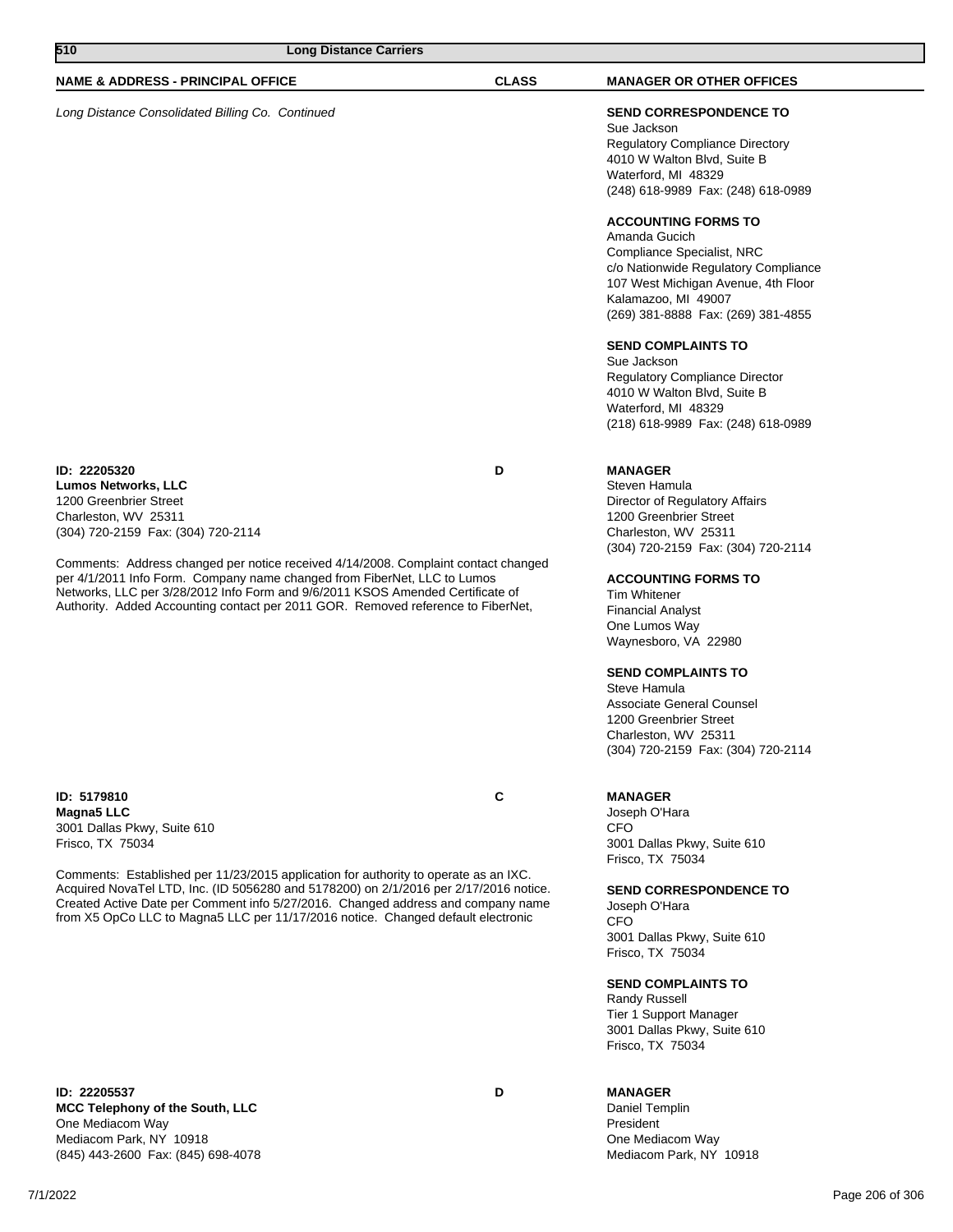|                                                                                                                                                                                                                                                                                                                                                                                                                                                                            |   | Kalamazoo, MI 49007<br>(269) 381-8888 Fax: (269) 381-4855                                                                                                                                                                                                                                                                                                                                                                                             |                 |
|----------------------------------------------------------------------------------------------------------------------------------------------------------------------------------------------------------------------------------------------------------------------------------------------------------------------------------------------------------------------------------------------------------------------------------------------------------------------------|---|-------------------------------------------------------------------------------------------------------------------------------------------------------------------------------------------------------------------------------------------------------------------------------------------------------------------------------------------------------------------------------------------------------------------------------------------------------|-----------------|
|                                                                                                                                                                                                                                                                                                                                                                                                                                                                            |   | <b>SEND COMPLAINTS TO</b><br>Sue Jackson<br><b>Regulatory Compliance Director</b><br>4010 W Walton Blvd, Suite B<br>Waterford, MI 48329<br>(218) 618-9989 Fax: (248) 618-0989                                                                                                                                                                                                                                                                         |                 |
| ID: 22205320<br><b>Lumos Networks, LLC</b><br>1200 Greenbrier Street<br>Charleston, WV 25311<br>(304) 720-2159 Fax: (304) 720-2114<br>Comments: Address changed per notice received 4/14/2008. Complaint contact changed<br>per 4/1/2011 Info Form. Company name changed from FiberNet, LLC to Lumos<br>Networks, LLC per 3/28/2012 Info Form and 9/6/2011 KSOS Amended Certificate of<br>Authority. Added Accounting contact per 2011 GOR. Removed reference to FiberNet, | D | <b>MANAGER</b><br>Steven Hamula<br>Director of Regulatory Affairs<br>1200 Greenbrier Street<br>Charleston, WV 25311<br>(304) 720-2159 Fax: (304) 720-2114<br><b>ACCOUNTING FORMS TO</b><br><b>Tim Whitener</b><br><b>Financial Analyst</b><br>One Lumos Way<br>Waynesboro, VA 22980<br><b>SEND COMPLAINTS TO</b><br>Steve Hamula<br>Associate General Counsel<br>1200 Greenbrier Street<br>Charleston, WV 25311<br>(304) 720-2159 Fax: (304) 720-2114 |                 |
| ID: 5179810<br>Magna5 LLC<br>3001 Dallas Pkwy, Suite 610<br>Frisco, TX 75034<br>Comments: Established per 11/23/2015 application for authority to operate as an IXC.<br>Acquired NovaTel LTD, Inc. (ID 5056280 and 5178200) on 2/1/2016 per 2/17/2016 notice.                                                                                                                                                                                                              | C | <b>MANAGER</b><br>Joseph O'Hara<br><b>CFO</b><br>3001 Dallas Pkwy, Suite 610<br>Frisco, TX 75034                                                                                                                                                                                                                                                                                                                                                      |                 |
| Created Active Date per Comment info 5/27/2016. Changed address and company name<br>from X5 OpCo LLC to Magna5 LLC per 11/17/2016 notice. Changed default electronic                                                                                                                                                                                                                                                                                                       |   | <b>SEND CORRESPONDENCE TO</b><br>Joseph O'Hara<br><b>CFO</b><br>3001 Dallas Pkwy, Suite 610<br>Frisco, TX 75034<br><b>SEND COMPLAINTS TO</b><br><b>Randy Russell</b><br>Tier 1 Support Manager<br>3001 Dallas Pkwy, Suite 610<br>Frisco, TX 75034                                                                                                                                                                                                     |                 |
| ID: 22205537<br>MCC Telephony of the South, LLC<br>One Mediacom Way<br>Mediacom Park, NY 10918<br>(845) 443-2600 Fax: (845) 698-4078                                                                                                                                                                                                                                                                                                                                       | D | <b>MANAGER</b><br>Daniel Templin<br>President<br>One Mediacom Way<br>Mediacom Park, NY 10918                                                                                                                                                                                                                                                                                                                                                          |                 |
| 7/1/2022                                                                                                                                                                                                                                                                                                                                                                                                                                                                   |   |                                                                                                                                                                                                                                                                                                                                                                                                                                                       | Page 206 of 306 |

**NAME & ADDRESS - PRINCIPAL OFFICE CLASS MANAGER OR OTHER OFFICES**

Long Distance Consolidated Billing Co. Continued **SEND CORRESPONDENCE TO**

Sue Jackson

Amanda Gucich

Regulatory Compliance Directory 4010 W Walton Blvd, Suite B Waterford, MI 48329

**ACCOUNTING FORMS TO**

Compliance Specialist, NRC

(248) 618-9989 Fax: (248) 618-0989

c/o Nationwide Regulatory Compliance 107 West Michigan Avenue, 4th Floor

**510 Long Distance Carriers**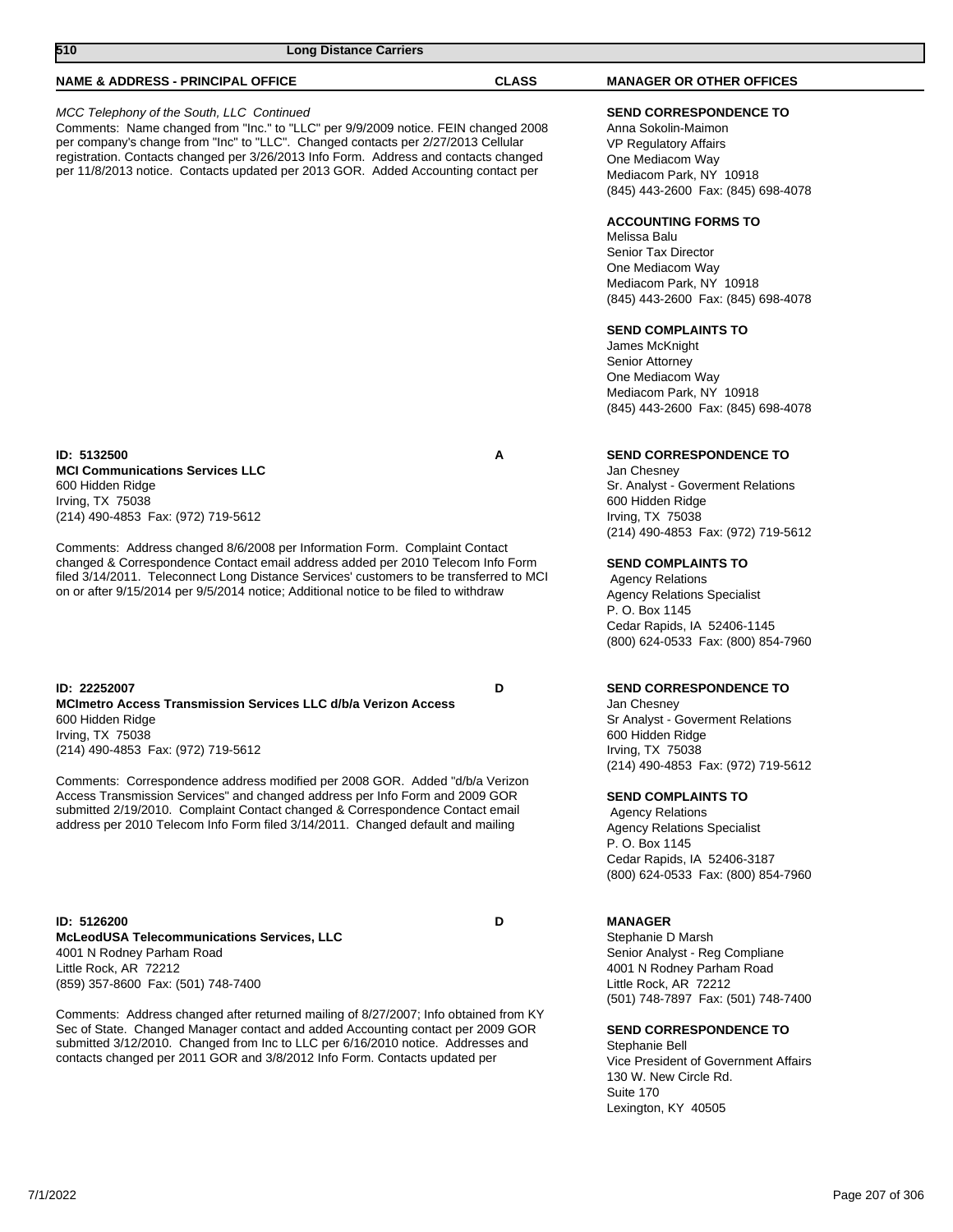| 510<br><b>Long Distance Carriers</b>                                                                                                                                                                                                                                                                                                                                                              |              |                                                                                                                                                                                   |
|---------------------------------------------------------------------------------------------------------------------------------------------------------------------------------------------------------------------------------------------------------------------------------------------------------------------------------------------------------------------------------------------------|--------------|-----------------------------------------------------------------------------------------------------------------------------------------------------------------------------------|
| <b>NAME &amp; ADDRESS - PRINCIPAL OFFICE</b>                                                                                                                                                                                                                                                                                                                                                      | <b>CLASS</b> | <b>MANAGER OR OTHER OFFICES</b>                                                                                                                                                   |
| MCC Telephony of the South, LLC Continued<br>Comments: Name changed from "Inc." to "LLC" per 9/9/2009 notice. FEIN changed 2008<br>per company's change from "Inc" to "LLC". Changed contacts per 2/27/2013 Cellular<br>registration. Contacts changed per 3/26/2013 Info Form. Address and contacts changed<br>per 11/8/2013 notice. Contacts updated per 2013 GOR. Added Accounting contact per |              | <b>SEND CORRESPONDENCE TO</b><br>Anna Sokolin-Maimon<br><b>VP Regulatory Affairs</b><br>One Mediacom Way<br>Mediacom Park, NY 10918<br>(845) 443-2600 Fax: (845) 698-4078         |
|                                                                                                                                                                                                                                                                                                                                                                                                   |              | <b>ACCOUNTING FORMS TO</b><br>Melissa Balu<br>Senior Tax Director<br>One Mediacom Way<br>Mediacom Park, NY 10918<br>(845) 443-2600 Fax: (845) 698-4078                            |
|                                                                                                                                                                                                                                                                                                                                                                                                   |              | <b>SEND COMPLAINTS TO</b><br>James McKnight<br>Senior Attorney<br>One Mediacom Way<br>Mediacom Park, NY 10918<br>(845) 443-2600 Fax: (845) 698-4078                               |
| ID: 5132500<br><b>MCI Communications Services LLC</b><br>600 Hidden Ridge<br>Irving, TX 75038<br>(214) 490-4853 Fax: (972) 719-5612                                                                                                                                                                                                                                                               | A            | <b>SEND CORRESPONDENCE TO</b><br>Jan Chesney<br>Sr. Analyst - Goverment Relations<br>600 Hidden Ridge<br>Irving, TX 75038<br>(214) 490-4853 Fax: (972) 719-5612                   |
| Comments: Address changed 8/6/2008 per Information Form. Complaint Contact<br>changed & Correspondence Contact email address added per 2010 Telecom Info Form<br>filed 3/14/2011. Teleconnect Long Distance Services' customers to be transferred to MCI<br>on or after 9/15/2014 per 9/5/2014 notice; Additional notice to be filed to withdraw                                                  |              | <b>SEND COMPLAINTS TO</b><br><b>Agency Relations</b><br><b>Agency Relations Specialist</b><br>P. O. Box 1145<br>Cedar Rapids, IA 52406-1145<br>(800) 624-0533 Fax: (800) 854-7960 |
| ID: 22252007<br><b>MCImetro Access Transmission Services LLC d/b/a Verizon Access</b><br>600 Hidden Ridge<br>Irving, TX 75038<br>(214) 490-4853 Fax: (972) 719-5612                                                                                                                                                                                                                               | D            | <b>SEND CORRESPONDENCE TO</b><br>Jan Chesney<br>Sr Analyst - Goverment Relations<br>600 Hidden Ridge<br>Irving, TX 75038<br>(214) 490-4853 Fax: (972) 719-5612                    |
| Comments: Correspondence address modified per 2008 GOR. Added "d/b/a Verizon"<br>Access Transmission Services" and changed address per Info Form and 2009 GOR<br>submitted 2/19/2010. Complaint Contact changed & Correspondence Contact email<br>address per 2010 Telecom Info Form filed 3/14/2011. Changed default and mailing                                                                 |              | <b>SEND COMPLAINTS TO</b><br><b>Agency Relations</b><br><b>Agency Relations Specialist</b><br>P. O. Box 1145<br>Cedar Rapids, IA 52406-3187<br>(800) 624-0533 Fax: (800) 854-7960 |
| ID: 5126200<br><b>McLeodUSA Telecommunications Services, LLC</b><br>4001 N Rodney Parham Road<br>Little Rock, AR 72212                                                                                                                                                                                                                                                                            | D            | <b>MANAGER</b><br>Stephanie D Marsh<br>Senior Analyst - Reg Compliane<br>4001 N Rodney Parham Road                                                                                |

Little Rock, AR 72212 (859) 357-8600 Fax: (501) 748-7400

Comments: Address changed after returned mailing of 8/27/2007; Info obtained from KY Sec of State. Changed Manager contact and added Accounting contact per 2009 GOR submitted 3/12/2010. Changed from Inc to LLC per 6/16/2010 notice. Addresses and contacts changed per 2011 GOR and 3/8/2012 Info Form. Contacts updated per

Little Rock, AR 72212

130 W. New Circle Rd.

Lexington, KY 40505

Stephanie Bell

Suite 170

(501) 748-7897 Fax: (501) 748-7400

Vice President of Government Affairs

**SEND CORRESPONDENCE TO**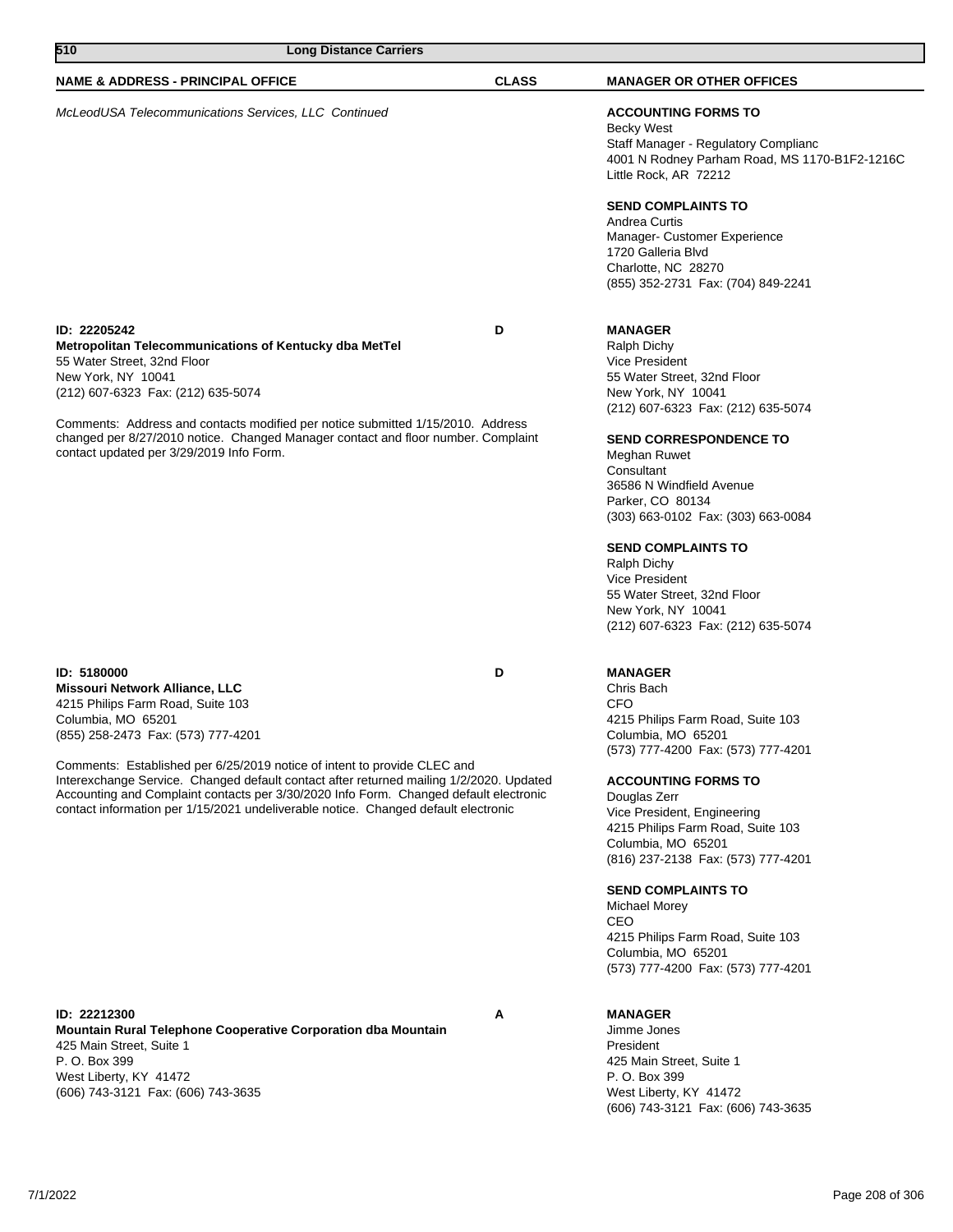| 510<br><b>Long Distance Carriers</b>                                                                                                                                                                                                                                                                                                                                                                                                                                                                 |              |                                                                                                                                                                                                                                                                                                                                                                                                                                                                                        |
|------------------------------------------------------------------------------------------------------------------------------------------------------------------------------------------------------------------------------------------------------------------------------------------------------------------------------------------------------------------------------------------------------------------------------------------------------------------------------------------------------|--------------|----------------------------------------------------------------------------------------------------------------------------------------------------------------------------------------------------------------------------------------------------------------------------------------------------------------------------------------------------------------------------------------------------------------------------------------------------------------------------------------|
| <b>NAME &amp; ADDRESS - PRINCIPAL OFFICE</b>                                                                                                                                                                                                                                                                                                                                                                                                                                                         | <b>CLASS</b> | <b>MANAGER OR OTHER OFFICES</b>                                                                                                                                                                                                                                                                                                                                                                                                                                                        |
| McLeodUSA Telecommunications Services, LLC Continued                                                                                                                                                                                                                                                                                                                                                                                                                                                 |              | <b>ACCOUNTING FORMS TO</b><br><b>Becky West</b><br>Staff Manager - Regulatory Complianc<br>4001 N Rodney Parham Road, MS 1170-B1F2-1216C<br>Little Rock, AR 72212                                                                                                                                                                                                                                                                                                                      |
|                                                                                                                                                                                                                                                                                                                                                                                                                                                                                                      |              | <b>SEND COMPLAINTS TO</b><br>Andrea Curtis<br>Manager- Customer Experience<br>1720 Galleria Blvd<br>Charlotte, NC 28270<br>(855) 352-2731 Fax: (704) 849-2241                                                                                                                                                                                                                                                                                                                          |
| ID: 22205242<br>Metropolitan Telecommunications of Kentucky dba MetTel<br>55 Water Street, 32nd Floor<br>New York, NY 10041<br>(212) 607-6323 Fax: (212) 635-5074<br>Comments: Address and contacts modified per notice submitted 1/15/2010. Address<br>changed per 8/27/2010 notice. Changed Manager contact and floor number. Complaint<br>contact updated per 3/29/2019 Info Form.                                                                                                                | D            | <b>MANAGER</b><br><b>Ralph Dichy</b><br>Vice President<br>55 Water Street, 32nd Floor<br>New York, NY 10041<br>(212) 607-6323 Fax: (212) 635-5074<br><b>SEND CORRESPONDENCE TO</b><br>Meghan Ruwet<br>Consultant<br>36586 N Windfield Avenue<br>Parker, CO 80134<br>(303) 663-0102 Fax: (303) 663-0084<br><b>SEND COMPLAINTS TO</b><br><b>Ralph Dichy</b><br>Vice President<br>55 Water Street, 32nd Floor<br>New York, NY 10041<br>(212) 607-6323 Fax: (212) 635-5074                 |
| ID: 5180000<br>Missouri Network Alliance, LLC<br>4215 Philips Farm Road, Suite 103<br>Columbia, MO 65201<br>(855) 258-2473 Fax: (573) 777-4201<br>Comments: Established per 6/25/2019 notice of intent to provide CLEC and<br>Interexchange Service. Changed default contact after returned mailing 1/2/2020. Updated<br>Accounting and Complaint contacts per 3/30/2020 Info Form. Changed default electronic<br>contact information per 1/15/2021 undeliverable notice. Changed default electronic | D            | <b>MANAGER</b><br>Chris Bach<br><b>CFO</b><br>4215 Philips Farm Road, Suite 103<br>Columbia, MO 65201<br>(573) 777-4200 Fax: (573) 777-4201<br><b>ACCOUNTING FORMS TO</b><br>Douglas Zerr<br>Vice President, Engineering<br>4215 Philips Farm Road, Suite 103<br>Columbia, MO 65201<br>(816) 237-2138 Fax: (573) 777-4201<br><b>SEND COMPLAINTS TO</b><br><b>Michael Morey</b><br>CEO<br>4215 Philips Farm Road, Suite 103<br>Columbia, MO 65201<br>(573) 777-4200 Fax: (573) 777-4201 |
| ID: 22212300<br>Mountain Rural Telephone Cooperative Corporation dba Mountain<br>425 Main Street, Suite 1<br>P. O. Box 399<br>West Liberty, KY 41472<br>(606) 743-3121 Fax: (606) 743-3635                                                                                                                                                                                                                                                                                                           | Α            | <b>MANAGER</b><br>Jimme Jones<br>President<br>425 Main Street, Suite 1<br>P. O. Box 399<br>West Liberty, KY 41472<br>(606) 743-3121 Fax: (606) 743-3635                                                                                                                                                                                                                                                                                                                                |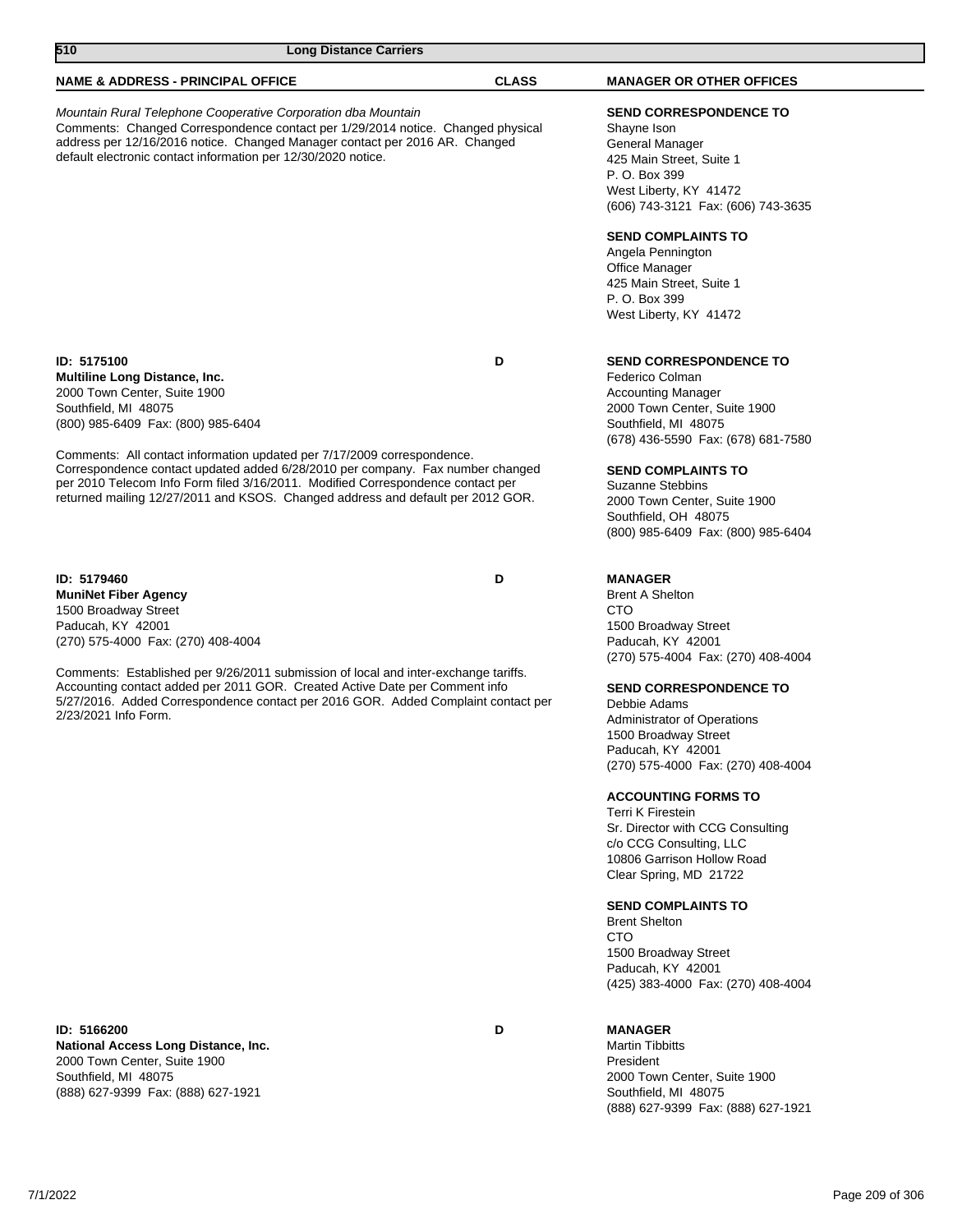| 510                                                                                                                                                                                                                                                                                                                             | <b>Long Distance Carriers</b> |                                                                                                                                                    |                                                                                                                                                                                                              |
|---------------------------------------------------------------------------------------------------------------------------------------------------------------------------------------------------------------------------------------------------------------------------------------------------------------------------------|-------------------------------|----------------------------------------------------------------------------------------------------------------------------------------------------|--------------------------------------------------------------------------------------------------------------------------------------------------------------------------------------------------------------|
| <b>NAME &amp; ADDRESS - PRINCIPAL OFFICE</b>                                                                                                                                                                                                                                                                                    |                               | <b>CLASS</b>                                                                                                                                       | <b>MANAGER OR OTHER OFFICES</b>                                                                                                                                                                              |
| Mountain Rural Telephone Cooperative Corporation dba Mountain<br>Comments: Changed Correspondence contact per 1/29/2014 notice. Changed physical<br>address per 12/16/2016 notice. Changed Manager contact per 2016 AR. Changed<br>default electronic contact information per 12/30/2020 notice.                                |                               |                                                                                                                                                    | <b>SEND CORRESPONDENCE TO</b><br>Shayne Ison<br>General Manager<br>425 Main Street, Suite 1<br>P. O. Box 399<br>West Liberty, KY 41472<br>(606) 743-3121 Fax: (606) 743-3635                                 |
|                                                                                                                                                                                                                                                                                                                                 |                               |                                                                                                                                                    | <b>SEND COMPLAINTS TO</b><br>Angela Pennington<br>Office Manager<br>425 Main Street, Suite 1<br>P. O. Box 399<br>West Liberty, KY 41472                                                                      |
| ID: 5175100<br>Multiline Long Distance, Inc.<br>2000 Town Center, Suite 1900<br>Southfield, MI 48075<br>(800) 985-6409 Fax: (800) 985-6404                                                                                                                                                                                      |                               | D                                                                                                                                                  | <b>SEND CORRESPONDENCE TO</b><br>Federico Colman<br><b>Accounting Manager</b><br>2000 Town Center, Suite 1900<br>Southfield, MI 48075<br>(678) 436-5590 Fax: (678) 681-7580                                  |
| Comments: All contact information updated per 7/17/2009 correspondence.<br>Correspondence contact updated added 6/28/2010 per company. Fax number changed<br>per 2010 Telecom Info Form filed 3/16/2011. Modified Correspondence contact per<br>returned mailing 12/27/2011 and KSOS. Changed address and default per 2012 GOR. |                               | <b>SEND COMPLAINTS TO</b><br><b>Suzanne Stebbins</b><br>2000 Town Center, Suite 1900<br>Southfield, OH 48075<br>(800) 985-6409 Fax: (800) 985-6404 |                                                                                                                                                                                                              |
| ID: 5179460<br><b>MuniNet Fiber Agency</b><br>1500 Broadway Street<br>Paducah, KY 42001<br>(270) 575-4000 Fax: (270) 408-4004                                                                                                                                                                                                   |                               | D                                                                                                                                                  | <b>MANAGER</b><br><b>Brent A Shelton</b><br>CTO<br>1500 Broadway Street<br>Paducah, KY 42001                                                                                                                 |
| Comments: Established per 9/26/2011 submission of local and inter-exchange tariffs.<br>Accounting contact added per 2011 GOR. Created Active Date per Comment info<br>5/27/2016. Added Correspondence contact per 2016 GOR. Added Complaint contact per<br>2/23/2021 Info Form.                                                 |                               |                                                                                                                                                    | (270) 575-4004 Fax: (270) 408-4004<br><b>SEND CORRESPONDENCE TO</b><br>Debbie Adams<br><b>Administrator of Operations</b><br>1500 Broadway Street<br>Paducah, KY 42001<br>(270) 575-4000 Fax: (270) 408-4004 |
|                                                                                                                                                                                                                                                                                                                                 |                               |                                                                                                                                                    | <b>ACCOUNTING FORMS TO</b><br>Terri K Firestein<br>Sr. Director with CCG Consulting<br>c/o CCG Consulting, LLC<br>10806 Garrison Hollow Road<br>Clear Spring, MD 21722                                       |
|                                                                                                                                                                                                                                                                                                                                 |                               |                                                                                                                                                    | <b>SEND COMPLAINTS TO</b><br><b>Brent Shelton</b><br>CTO<br>1500 Broadway Street<br>Paducah, KY 42001<br>(425) 383-4000 Fax: (270) 408-4004                                                                  |

**ID: 5166200 D National Access Long Distance, Inc.** 2000 Town Center, Suite 1900 Southfield, MI 48075 (888) 627-9399 Fax: (888) 627-1921

## **MANAGER**

Martin Tibbitts President 2000 Town Center, Suite 1900 Southfield, MI 48075 (888) 627-9399 Fax: (888) 627-1921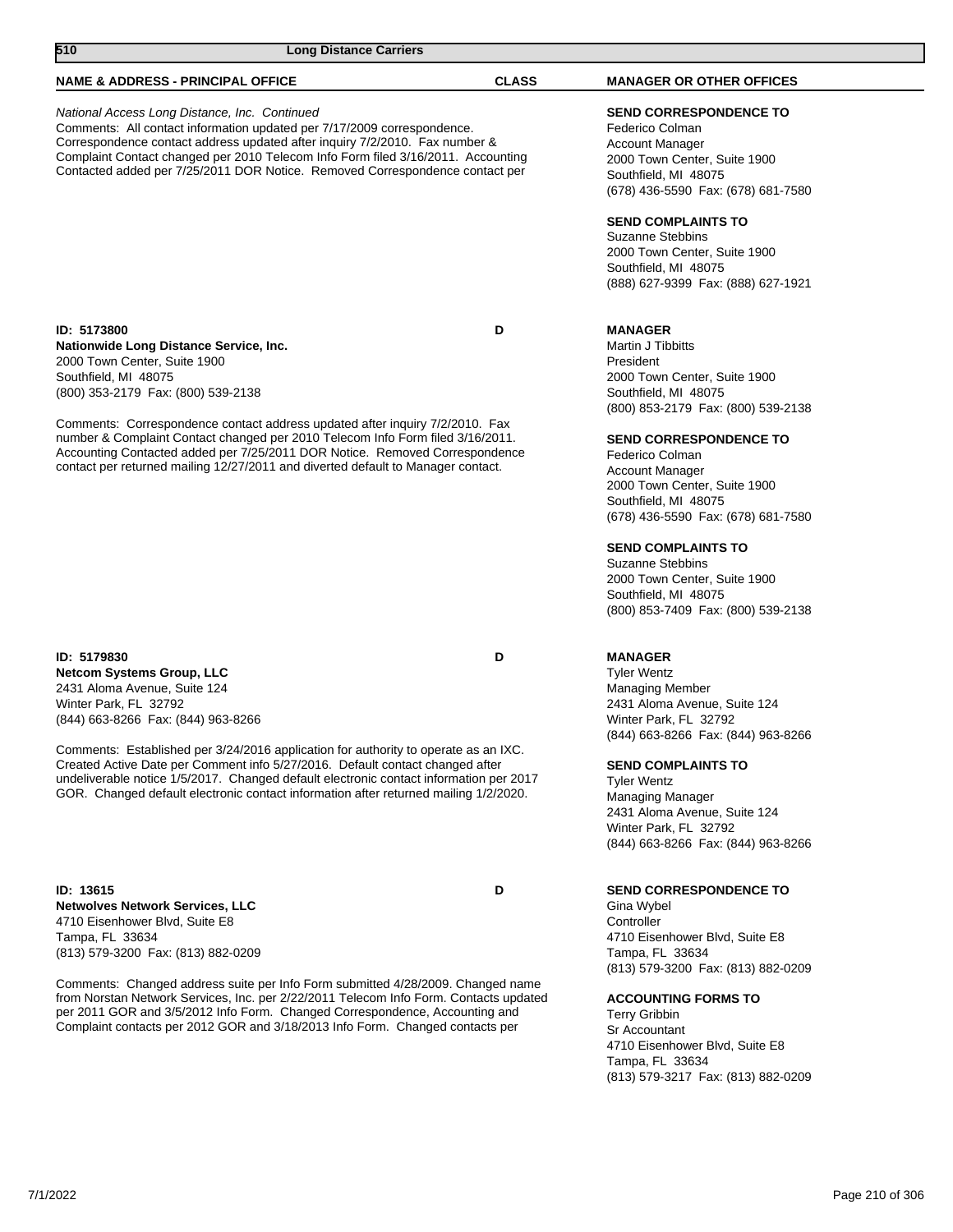## **NAME & ADDRESS - PRINCIPAL OFFICE CLASS MANAGER OR OTHER OFFICES**

#### National Access Long Distance, Inc. Continued Comments: All contact information updated per 7/17/2009 correspondence. Correspondence contact address updated after inquiry 7/2/2010. Fax number & Complaint Contact changed per 2010 Telecom Info Form filed 3/16/2011. Accounting Contacted added per 7/25/2011 DOR Notice. Removed Correspondence contact per

**ID: 5173800 D Nationwide Long Distance Service, Inc.** 2000 Town Center, Suite 1900 Southfield, MI 48075 (800) 353-2179 Fax: (800) 539-2138

Comments: Correspondence contact address updated after inquiry 7/2/2010. Fax number & Complaint Contact changed per 2010 Telecom Info Form filed 3/16/2011. Accounting Contacted added per 7/25/2011 DOR Notice. Removed Correspondence contact per returned mailing 12/27/2011 and diverted default to Manager contact.

#### **ID: 5179830 D Netcom Systems Group, LLC** 2431 Aloma Avenue, Suite 124 Winter Park, FL 32792 (844) 663-8266 Fax: (844) 963-8266

Comments: Established per 3/24/2016 application for authority to operate as an IXC. Created Active Date per Comment info 5/27/2016. Default contact changed after undeliverable notice 1/5/2017. Changed default electronic contact information per 2017 GOR. Changed default electronic contact information after returned mailing 1/2/2020.

**ID: 13615 D Netwolves Network Services, LLC** 4710 Eisenhower Blvd, Suite E8 Tampa, FL 33634 (813) 579-3200 Fax: (813) 882-0209

Comments: Changed address suite per Info Form submitted 4/28/2009. Changed name from Norstan Network Services, Inc. per 2/22/2011 Telecom Info Form. Contacts updated per 2011 GOR and 3/5/2012 Info Form. Changed Correspondence, Accounting and Complaint contacts per 2012 GOR and 3/18/2013 Info Form. Changed contacts per

## **SEND CORRESPONDENCE TO**

Federico Colman Account Manager 2000 Town Center, Suite 1900 Southfield, MI 48075 (678) 436-5590 Fax: (678) 681-7580

## **SEND COMPLAINTS TO**

Suzanne Stebbins 2000 Town Center, Suite 1900 Southfield, MI 48075 (888) 627-9399 Fax: (888) 627-1921

## **MANAGER**

Martin J Tibbitts President 2000 Town Center, Suite 1900 Southfield, MI 48075 (800) 853-2179 Fax: (800) 539-2138

## **SEND CORRESPONDENCE TO**

Federico Colman Account Manager 2000 Town Center, Suite 1900 Southfield, MI 48075 (678) 436-5590 Fax: (678) 681-7580

## **SEND COMPLAINTS TO**

Suzanne Stebbins 2000 Town Center, Suite 1900 Southfield, MI 48075 (800) 853-7409 Fax: (800) 539-2138

## **MANAGER**

Tyler Wentz Managing Member 2431 Aloma Avenue, Suite 124 Winter Park, FL 32792 (844) 663-8266 Fax: (844) 963-8266

## **SEND COMPLAINTS TO**

Tyler Wentz Managing Manager 2431 Aloma Avenue, Suite 124 Winter Park, FL 32792 (844) 663-8266 Fax: (844) 963-8266

## **SEND CORRESPONDENCE TO**

Gina Wybel **Controller** 4710 Eisenhower Blvd, Suite E8 Tampa, FL 33634 (813) 579-3200 Fax: (813) 882-0209

## **ACCOUNTING FORMS TO**

Terry Gribbin Sr Accountant 4710 Eisenhower Blvd, Suite E8 Tampa, FL 33634 (813) 579-3217 Fax: (813) 882-0209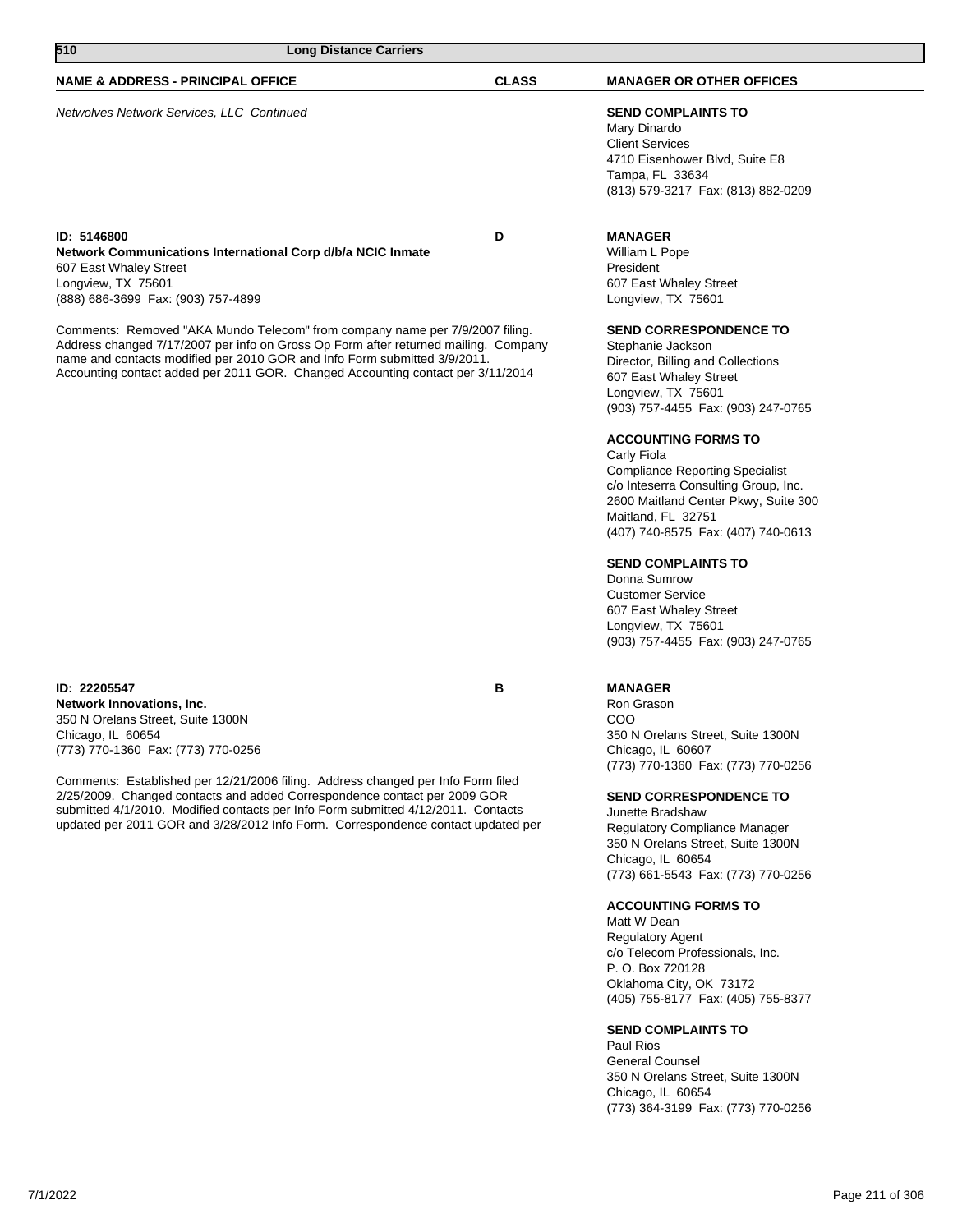| 510<br><b>Long Distance Carriers</b>                                                                                                                                                                                                                                                                                                |              |                                                                                                                                                                                                                                 |
|-------------------------------------------------------------------------------------------------------------------------------------------------------------------------------------------------------------------------------------------------------------------------------------------------------------------------------------|--------------|---------------------------------------------------------------------------------------------------------------------------------------------------------------------------------------------------------------------------------|
| <b>NAME &amp; ADDRESS - PRINCIPAL OFFICE</b>                                                                                                                                                                                                                                                                                        | <b>CLASS</b> | <b>MANAGER OR OTHER OFFICES</b>                                                                                                                                                                                                 |
| Netwolves Network Services, LLC Continued                                                                                                                                                                                                                                                                                           |              | <b>SEND COMPLAINTS TO</b><br>Mary Dinardo<br><b>Client Services</b><br>4710 Eisenhower Blvd, Suite E8<br>Tampa, FL 33634<br>(813) 579-3217 Fax: (813) 882-0209                                                                  |
| ID: 5146800<br>Network Communications International Corp d/b/a NCIC Inmate<br>607 East Whaley Street<br>Longview, TX 75601<br>(888) 686-3699 Fax: (903) 757-4899                                                                                                                                                                    | D            | <b>MANAGER</b><br>William L Pope<br>President<br>607 East Whaley Street<br>Longview, TX 75601                                                                                                                                   |
| Comments: Removed "AKA Mundo Telecom" from company name per 7/9/2007 filing.<br>Address changed 7/17/2007 per info on Gross Op Form after returned mailing. Company<br>name and contacts modified per 2010 GOR and Info Form submitted 3/9/2011.<br>Accounting contact added per 2011 GOR. Changed Accounting contact per 3/11/2014 |              | <b>SEND CORRESPONDENCE TO</b><br>Stephanie Jackson<br>Director, Billing and Collections<br>607 East Whaley Street<br>Longview, TX 75601<br>(903) 757-4455 Fax: (903) 247-0765                                                   |
|                                                                                                                                                                                                                                                                                                                                     |              | <b>ACCOUNTING FORMS TO</b><br>Carly Fiola<br><b>Compliance Reporting Specialist</b><br>c/o Inteserra Consulting Group, Inc.<br>2600 Maitland Center Pkwy, Suite 300<br>Maitland, FL 32751<br>(407) 740-8575 Fax: (407) 740-0613 |
|                                                                                                                                                                                                                                                                                                                                     |              | <b>SEND COMPLAINTS TO</b><br>Donna Sumrow<br><b>Customer Service</b><br>607 East Whaley Street                                                                                                                                  |

**ID: 22205547 B Network Innovations, Inc.** 350 N Orelans Street, Suite 1300N Chicago, IL 60654 (773) 770-1360 Fax: (773) 770-0256

Comments: Established per 12/21/2006 filing. Address changed per Info Form filed 2/25/2009. Changed contacts and added Correspondence contact per 2009 GOR submitted 4/1/2010. Modified contacts per Info Form submitted 4/12/2011. Contacts updated per 2011 GOR and 3/28/2012 Info Form. Correspondence contact updated per

## **MANAGER**

Longview, TX 75601

Ron Grason COO 350 N Orelans Street, Suite 1300N Chicago, IL 60607 (773) 770-1360 Fax: (773) 770-0256

(903) 757-4455 Fax: (903) 247-0765

## **SEND CORRESPONDENCE TO**

Junette Bradshaw Regulatory Compliance Manager 350 N Orelans Street, Suite 1300N Chicago, IL 60654 (773) 661-5543 Fax: (773) 770-0256

## **ACCOUNTING FORMS TO**

Matt W Dean Regulatory Agent c/o Telecom Professionals, Inc. P. O. Box 720128 Oklahoma City, OK 73172 (405) 755-8177 Fax: (405) 755-8377

## **SEND COMPLAINTS TO**

Paul Rios General Counsel 350 N Orelans Street, Suite 1300N Chicago, IL 60654 (773) 364-3199 Fax: (773) 770-0256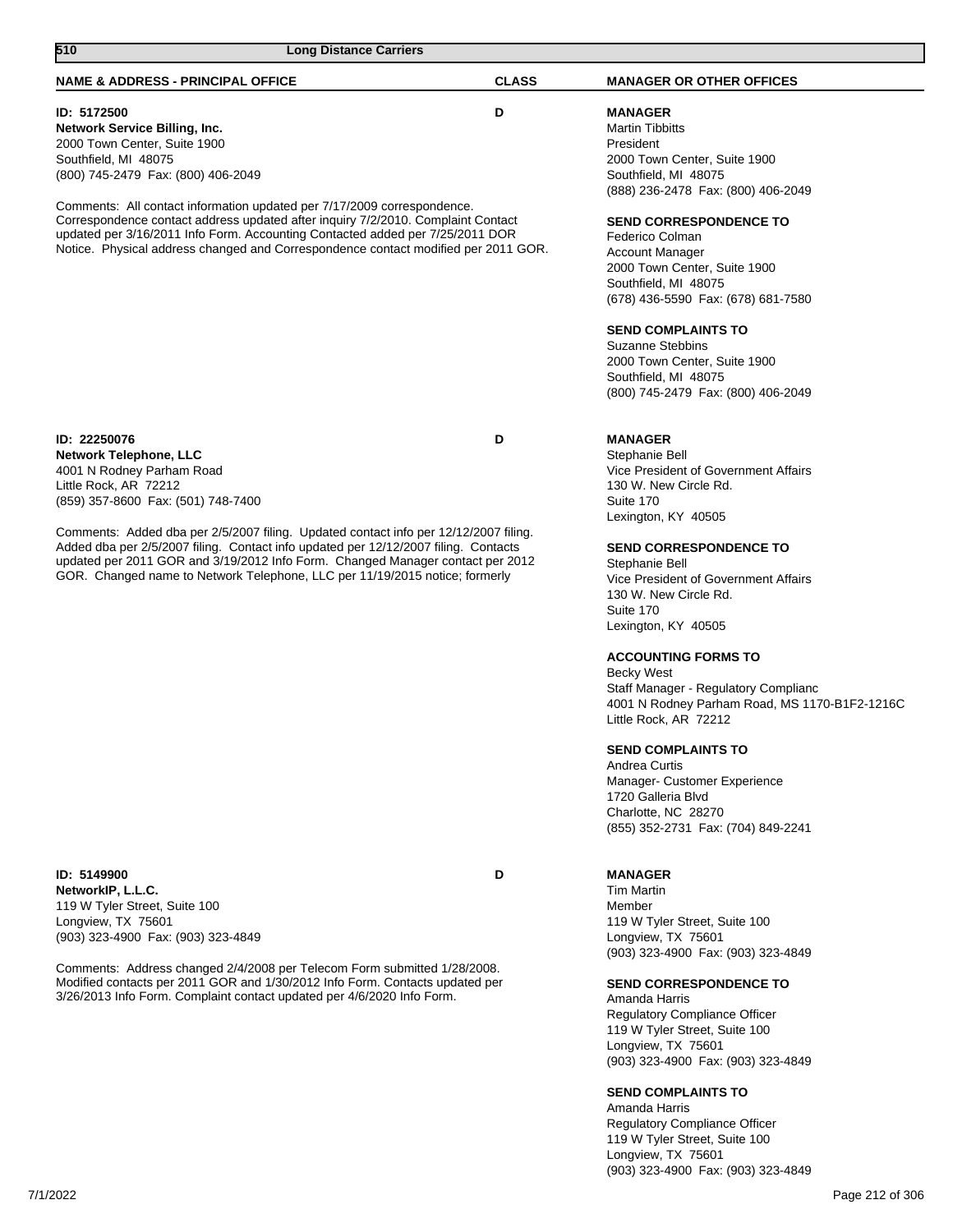| <b>NAME &amp; ADDRESS - PRINCIPAL OFFICE</b>                                                                                                                                                                                                                                                                                                 | <b>CLASS</b> | <b>MANAGER OR OTHER OFFICES</b>                                                                                                                                          |
|----------------------------------------------------------------------------------------------------------------------------------------------------------------------------------------------------------------------------------------------------------------------------------------------------------------------------------------------|--------------|--------------------------------------------------------------------------------------------------------------------------------------------------------------------------|
| ID: 5172500<br><b>Network Service Billing, Inc.</b><br>2000 Town Center, Suite 1900<br>Southfield, MI 48075<br>(800) 745-2479 Fax: (800) 406-2049<br>Comments: All contact information updated per 7/17/2009 correspondence.                                                                                                                 | D            | <b>MANAGER</b><br><b>Martin Tibbitts</b><br>President<br>2000 Town Center, Suite 1900<br>Southfield, MI 48075<br>(888) 236-2478 Fax: (800) 406-2049                      |
| Correspondence contact address updated after inquiry 7/2/2010. Complaint Contact<br>updated per 3/16/2011 Info Form. Accounting Contacted added per 7/25/2011 DOR<br>Notice. Physical address changed and Correspondence contact modified per 2011 GOR.                                                                                      |              | <b>SEND CORRESPONDENCE TO</b><br>Federico Colman<br><b>Account Manager</b><br>2000 Town Center, Suite 1900<br>Southfield, MI 48075<br>(678) 436-5590 Fax: (678) 681-7580 |
|                                                                                                                                                                                                                                                                                                                                              |              | <b>SEND COMPLAINTS TO</b><br><b>Suzanne Stebbins</b><br>2000 Town Center, Suite 1900<br>Southfield, MI 48075<br>(800) 745-2479 Fax: (800) 406-2049                       |
| ID: 22250076<br><b>Network Telephone, LLC</b><br>4001 N Rodney Parham Road<br>Little Rock, AR 72212<br>(859) 357-8600 Fax: (501) 748-7400                                                                                                                                                                                                    | D            | <b>MANAGER</b><br>Stephanie Bell<br>Vice President of Government Affairs<br>130 W. New Circle Rd.<br>Suite 170<br>Lexington, KY 40505                                    |
| Comments: Added dba per 2/5/2007 filing. Updated contact info per 12/12/2007 filing.<br>Added dba per 2/5/2007 filing. Contact info updated per 12/12/2007 filing. Contacts<br>updated per 2011 GOR and 3/19/2012 Info Form. Changed Manager contact per 2012<br>GOR. Changed name to Network Telephone, LLC per 11/19/2015 notice; formerly |              | <b>SEND CORRESPONDENCE TO</b><br>Stephanie Bell<br>Vice President of Government Affairs<br>130 W. New Circle Rd.<br>Suite 170<br>Lexington, KY 40505                     |
|                                                                                                                                                                                                                                                                                                                                              |              | <b>ACCOUNTING FORMS TO</b><br><b>Becky West</b><br>Staff Manager - Regulatory Complianc<br>4001 N Rodney Parham Road, MS 1170-B1F2-1216C<br>Little Rock, AR 72212        |
|                                                                                                                                                                                                                                                                                                                                              |              | <b>SEND COMPLAINTS TO</b><br>Andrea Curtis<br>Manager- Customer Experience<br>1720 Galleria Blvd<br>Charlotte, NC 28270<br>(855) 352-2731 Fax: (704) 849-2241            |
| ID: 5149900<br>NetworkIP, L.L.C.<br>119 W Tyler Street, Suite 100<br>Longview, TX 75601<br>(903) 323-4900 Fax: (903) 323-4849                                                                                                                                                                                                                | D            | <b>MANAGER</b><br><b>Tim Martin</b><br>Member<br>119 W Tyler Street, Suite 100<br>Longview, TX 75601<br>(903) 323-4900 Fax: (903) 323-4849                               |
| Comments: Address changed 2/4/2008 per Telecom Form submitted 1/28/2008.<br>Modified contacts per 2011 GOR and 1/30/2012 Info Form. Contacts updated per<br>3/26/2013 Info Form. Complaint contact updated per 4/6/2020 Info Form.                                                                                                           |              | <b>SEND CORRESPONDENCE TO</b><br>Amanda Harris<br>Regulatory Compliance Officer<br>119 W Tyler Street, Suite 100<br>Longview, TX 75601                                   |

**510 Long Distance Carriers** 

**SEND COMPLAINTS TO**

Amanda Harris Regulatory Compliance Officer 119 W Tyler Street, Suite 100 Longview, TX 75601 (903) 323-4900 Fax: (903) 323-4849

(903) 323-4900 Fax: (903) 323-4849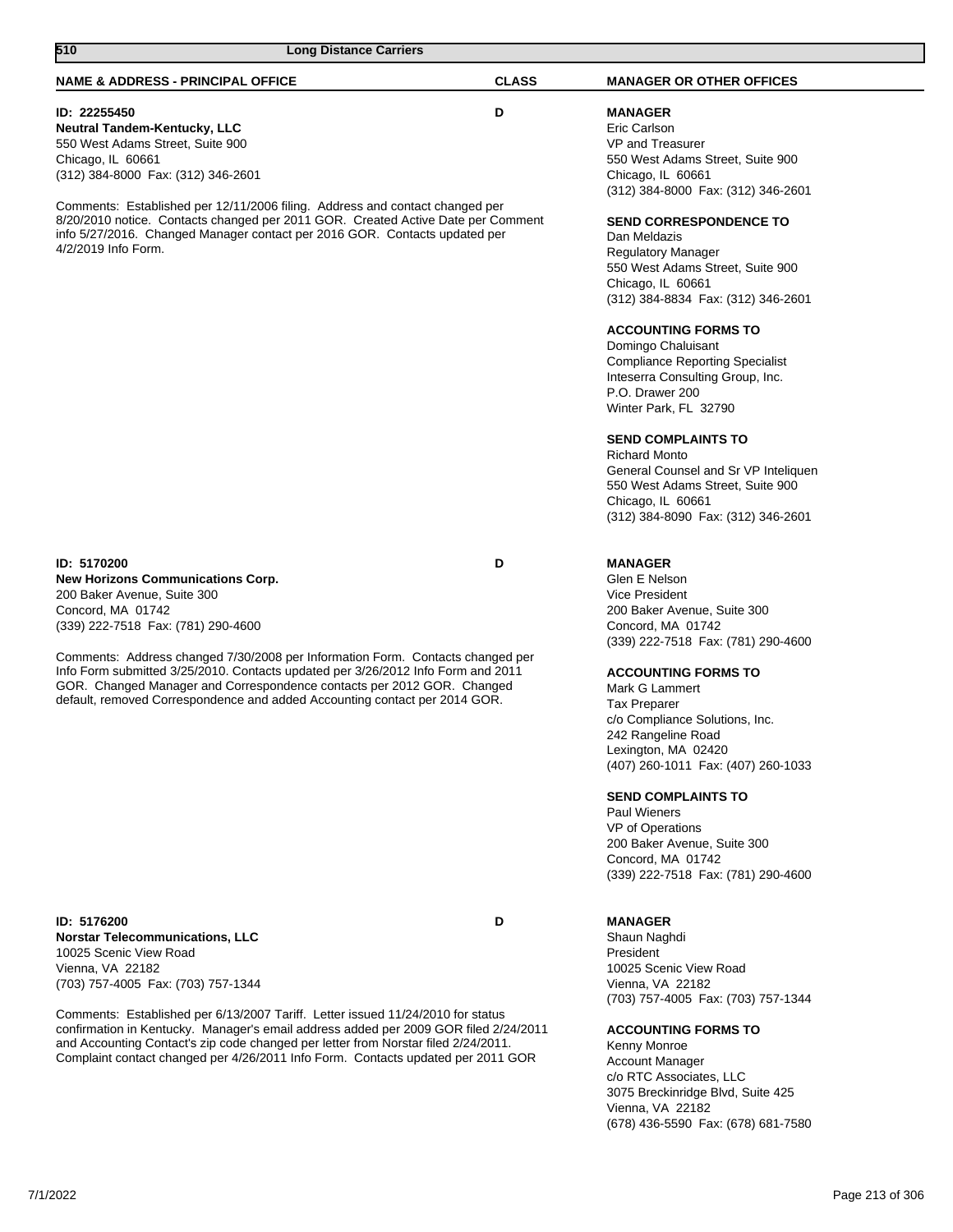| ID: 22255450<br><b>Neutral Tandem-Kentucky, LLC</b><br>550 West Adams Street, Suite 900<br>Chicago, IL 60661<br>(312) 384-8000 Fax: (312) 346-2601<br>Comments: Established per 12/11/2006 filing. Address and contact changed per<br>8/20/2010 notice. Contacts changed per 2011 GOR. Created Active Date per Comment<br>info 5/27/2016. Changed Manager contact per 2016 GOR. Contacts updated per<br>4/2/2019 Info Form.                                                                    | D | <b>MANAGER</b><br>Eric Carlson<br><b>VP and Treasurer</b><br>550 West Adams Street, Suite 900<br>Chicago, IL 60661<br>(312) 384-8000 Fax: (312) 346-2601<br><b>SEND CORRESPONDENCE TO</b><br>Dan Meldazis<br><b>Regulatory Manager</b><br>550 West Adams Street, Suite 900<br>Chicago, IL 60661<br>(312) 384-8834 Fax: (312) 346-2601<br><b>ACCOUNTING FORMS TO</b><br>Domingo Chaluisant<br><b>Compliance Reporting Specialist</b><br>Inteserra Consulting Group, Inc.<br>P.O. Drawer 200<br>Winter Park, FL 32790<br><b>SEND COMPLAINTS TO</b><br><b>Richard Monto</b><br>General Counsel and Sr VP Inteliquen<br>550 West Adams Street, Suite 900<br>Chicago, IL 60661<br>(312) 384-8090 Fax: (312) 346-2601 |
|------------------------------------------------------------------------------------------------------------------------------------------------------------------------------------------------------------------------------------------------------------------------------------------------------------------------------------------------------------------------------------------------------------------------------------------------------------------------------------------------|---|-----------------------------------------------------------------------------------------------------------------------------------------------------------------------------------------------------------------------------------------------------------------------------------------------------------------------------------------------------------------------------------------------------------------------------------------------------------------------------------------------------------------------------------------------------------------------------------------------------------------------------------------------------------------------------------------------------------------|
| ID: 5170200<br><b>New Horizons Communications Corp.</b><br>200 Baker Avenue, Suite 300<br>Concord, MA 01742<br>(339) 222-7518 Fax: (781) 290-4600<br>Comments: Address changed 7/30/2008 per Information Form. Contacts changed per<br>Info Form submitted 3/25/2010. Contacts updated per 3/26/2012 Info Form and 2011<br>GOR. Changed Manager and Correspondence contacts per 2012 GOR. Changed<br>default, removed Correspondence and added Accounting contact per 2014 GOR.                | D | <b>MANAGER</b><br>Glen E Nelson<br><b>Vice President</b><br>200 Baker Avenue, Suite 300<br>Concord, MA 01742<br>(339) 222-7518 Fax: (781) 290-4600<br><b>ACCOUNTING FORMS TO</b><br>Mark G Lammert<br><b>Tax Preparer</b><br>c/o Compliance Solutions, Inc.<br>242 Rangeline Road<br>Lexington, MA 02420<br>(407) 260-1011 Fax: (407) 260-1033<br><b>SEND COMPLAINTS TO</b><br><b>Paul Wieners</b><br>VP of Operations<br>200 Baker Avenue, Suite 300<br>Concord, MA 01742<br>(339) 222-7518 Fax: (781) 290-4600                                                                                                                                                                                                |
| ID: 5176200<br><b>Norstar Telecommunications, LLC</b><br>10025 Scenic View Road<br>Vienna, VA 22182<br>(703) 757-4005 Fax: (703) 757-1344<br>Comments: Established per 6/13/2007 Tariff. Letter issued 11/24/2010 for status<br>confirmation in Kentucky. Manager's email address added per 2009 GOR filed 2/24/2011<br>and Accounting Contact's zip code changed per letter from Norstar filed 2/24/2011.<br>Complaint contact changed per 4/26/2011 Info Form. Contacts updated per 2011 GOR | D | <b>MANAGER</b><br>Shaun Naghdi<br>President<br>10025 Scenic View Road<br>Vienna, VA 22182<br>(703) 757-4005 Fax: (703) 757-1344<br><b>ACCOUNTING FORMS TO</b><br>Kenny Monroe<br><b>Account Manager</b><br>c/o RTC Associates, LLC<br>3075 Breckinridge Blvd, Suite 425<br>Vienna, VA 22182<br>(678) 436-5590 Fax: (678) 681-7580                                                                                                                                                                                                                                                                                                                                                                               |

**NAME & ADDRESS - PRINCIPAL OFFICE CLASS MANAGER OR OTHER OFFICES**

**510 Long Distance Carriers**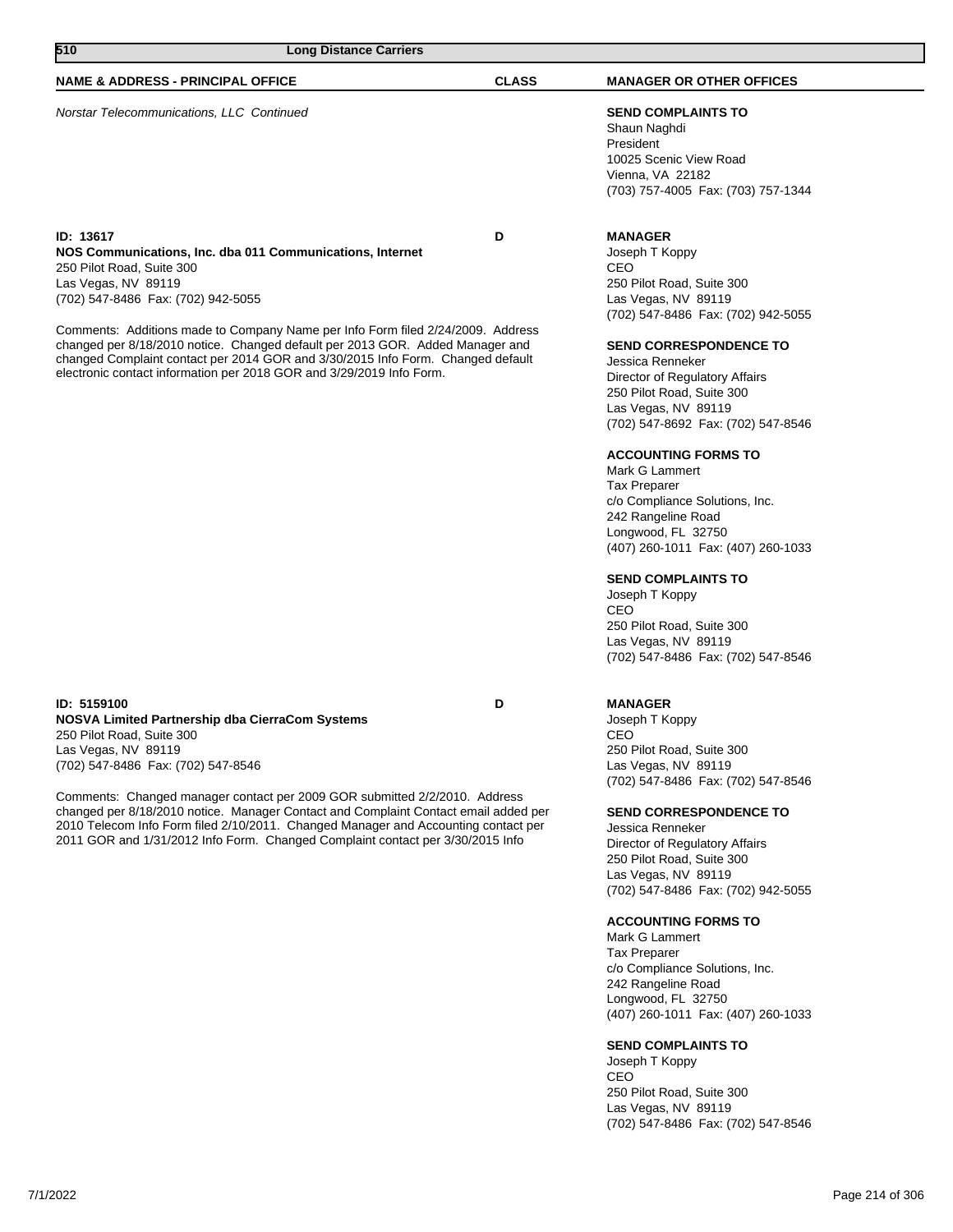| 510<br><b>Long Distance Carriers</b>                                                                                                                                                                                                                                                                                        |              |                                                                                                                                                                               |
|-----------------------------------------------------------------------------------------------------------------------------------------------------------------------------------------------------------------------------------------------------------------------------------------------------------------------------|--------------|-------------------------------------------------------------------------------------------------------------------------------------------------------------------------------|
| <b>NAME &amp; ADDRESS - PRINCIPAL OFFICE</b>                                                                                                                                                                                                                                                                                | <b>CLASS</b> | <b>MANAGER OR OTHER OFFICES</b>                                                                                                                                               |
| Norstar Telecommunications, LLC Continued                                                                                                                                                                                                                                                                                   |              | <b>SEND COMPLAINTS TO</b><br>Shaun Naghdi<br>President<br>10025 Scenic View Road<br>Vienna, VA 22182<br>(703) 757-4005 Fax: (703) 757-1344                                    |
| ID: 13617<br>NOS Communications, Inc. dba 011 Communications, Internet<br>250 Pilot Road, Suite 300<br>Las Vegas, NV 89119<br>(702) 547-8486 Fax: (702) 942-5055                                                                                                                                                            | D            | <b>MANAGER</b><br>Joseph T Koppy<br>CEO<br>250 Pilot Road, Suite 300<br>Las Vegas, NV 89119<br>(702) 547-8486 Fax: (702) 942-5055                                             |
| Comments: Additions made to Company Name per Info Form filed 2/24/2009. Address<br>changed per 8/18/2010 notice. Changed default per 2013 GOR. Added Manager and<br>changed Complaint contact per 2014 GOR and 3/30/2015 Info Form. Changed default<br>electronic contact information per 2018 GOR and 3/29/2019 Info Form. |              | <b>SEND CORRESPONDENCE TO</b><br>Jessica Renneker<br>Director of Regulatory Affairs<br>250 Pilot Road, Suite 300<br>Las Vegas, NV 89119<br>(702) 547-8692 Fax: (702) 547-8546 |
|                                                                                                                                                                                                                                                                                                                             |              | <b>ACCOUNTING FORMS TO</b><br>Mark G Lammert<br><b>Tax Preparer</b>                                                                                                           |

**ID: 5159100 D NOSVA Limited Partnership dba CierraCom Systems** 250 Pilot Road, Suite 300 Las Vegas, NV 89119 (702) 547-8486 Fax: (702) 547-8546

Comments: Changed manager contact per 2009 GOR submitted 2/2/2010. Address changed per 8/18/2010 notice. Manager Contact and Complaint Contact email added per 2010 Telecom Info Form filed 2/10/2011. Changed Manager and Accounting contact per 2011 GOR and 1/31/2012 Info Form. Changed Complaint contact per 3/30/2015 Info

## **MANAGER**

CEO

Joseph T Koppy CEO 250 Pilot Road, Suite 300 Las Vegas, NV 89119 (702) 547-8486 Fax: (702) 547-8546

(702) 547-8486 Fax: (702) 547-8546

c/o Compliance Solutions, Inc. 242 Rangeline Road Longwood, FL 32750

**SEND COMPLAINTS TO** Joseph T Koppy

250 Pilot Road, Suite 300 Las Vegas, NV 89119

(407) 260-1011 Fax: (407) 260-1033

#### **SEND CORRESPONDENCE TO**

Jessica Renneker Director of Regulatory Affairs 250 Pilot Road, Suite 300 Las Vegas, NV 89119 (702) 547-8486 Fax: (702) 942-5055

## **ACCOUNTING FORMS TO**

Mark G Lammert Tax Preparer c/o Compliance Solutions, Inc. 242 Rangeline Road Longwood, FL 32750 (407) 260-1011 Fax: (407) 260-1033

### **SEND COMPLAINTS TO**

Joseph T Koppy CEO 250 Pilot Road, Suite 300 Las Vegas, NV 89119 (702) 547-8486 Fax: (702) 547-8546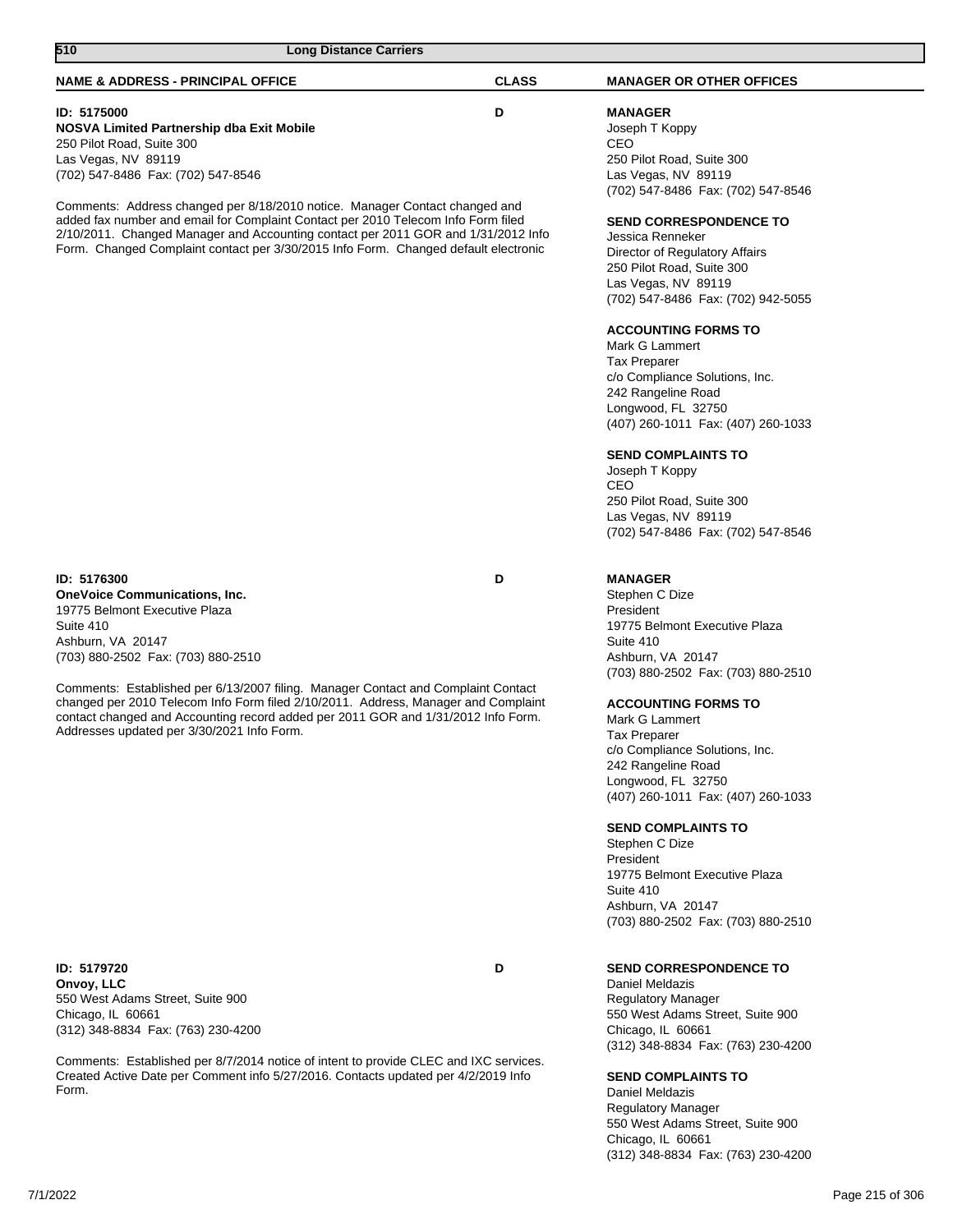Comments: Established per 8/7/2014 notice of intent to provide CLEC and IXC services. Created Active Date per Comment info 5/27/2016. Contacts updated per 4/2/2019 Info Form.

**SEND COMPLAINTS TO**

Daniel Meldazis Regulatory Manager 550 West Adams Street, Suite 900 Chicago, IL 60661 (312) 348-8834 Fax: (763) 230-4200

| 510<br><b>Long Distance Carriers</b>                                                                                                                                                                                                                                                                                                         |              |                                                                                                                                                                                                                                                                                                                                                                                                                                                                                                                          |
|----------------------------------------------------------------------------------------------------------------------------------------------------------------------------------------------------------------------------------------------------------------------------------------------------------------------------------------------|--------------|--------------------------------------------------------------------------------------------------------------------------------------------------------------------------------------------------------------------------------------------------------------------------------------------------------------------------------------------------------------------------------------------------------------------------------------------------------------------------------------------------------------------------|
| <b>NAME &amp; ADDRESS - PRINCIPAL OFFICE</b>                                                                                                                                                                                                                                                                                                 | <b>CLASS</b> | <b>MANAGER OR OTHER OFFICES</b>                                                                                                                                                                                                                                                                                                                                                                                                                                                                                          |
| ID: 5175000<br>NOSVA Limited Partnership dba Exit Mobile<br>250 Pilot Road, Suite 300<br>Las Vegas, NV 89119<br>(702) 547-8486 Fax: (702) 547-8546                                                                                                                                                                                           | D            | <b>MANAGER</b><br>Joseph T Koppy<br>CEO<br>250 Pilot Road, Suite 300<br>Las Vegas, NV 89119<br>(702) 547-8486 Fax: (702) 547-8546                                                                                                                                                                                                                                                                                                                                                                                        |
| Comments: Address changed per 8/18/2010 notice. Manager Contact changed and<br>added fax number and email for Complaint Contact per 2010 Telecom Info Form filed<br>2/10/2011. Changed Manager and Accounting contact per 2011 GOR and 1/31/2012 Info<br>Form. Changed Complaint contact per 3/30/2015 Info Form. Changed default electronic |              | <b>SEND CORRESPONDENCE TO</b><br>Jessica Renneker<br>Director of Regulatory Affairs<br>250 Pilot Road, Suite 300<br>Las Vegas, NV 89119<br>(702) 547-8486 Fax: (702) 942-5055<br><b>ACCOUNTING FORMS TO</b><br>Mark G Lammert<br><b>Tax Preparer</b><br>c/o Compliance Solutions, Inc.<br>242 Rangeline Road<br>Longwood, FL 32750<br>(407) 260-1011 Fax: (407) 260-1033<br><b>SEND COMPLAINTS TO</b><br>Joseph T Koppy<br>CEO<br>250 Pilot Road, Suite 300<br>Las Vegas, NV 89119<br>(702) 547-8486 Fax: (702) 547-8546 |
| ID: 5176300<br><b>OneVoice Communications, Inc.</b><br>19775 Belmont Executive Plaza<br>Suite 410<br>Ashburn, VA 20147<br>(703) 880-2502 Fax: (703) 880-2510                                                                                                                                                                                 | D            | <b>MANAGER</b><br>Stephen C Dize<br>President<br>19775 Belmont Executive Plaza<br>Suite 410<br>Ashburn, VA 20147                                                                                                                                                                                                                                                                                                                                                                                                         |
| Comments: Established per 6/13/2007 filing. Manager Contact and Complaint Contact<br>changed per 2010 Telecom Info Form filed 2/10/2011. Address, Manager and Complaint<br>contact changed and Accounting record added per 2011 GOR and 1/31/2012 Info Form.<br>Addresses updated per 3/30/2021 Info Form.                                   |              | (703) 880-2502 Fax: (703) 880-2510<br><b>ACCOUNTING FORMS TO</b><br>Mark G Lammert<br><b>Tax Preparer</b><br>c/o Compliance Solutions, Inc.<br>242 Rangeline Road<br>Longwood, FL 32750<br>(407) 260-1011 Fax: (407) 260-1033<br><b>SEND COMPLAINTS TO</b><br>Stephen C Dize<br>President<br>19775 Belmont Executive Plaza<br>Suite 410<br>Ashburn, VA 20147<br>(703) 880-2502 Fax: (703) 880-2510                                                                                                                       |
| ID: 5179720<br>Onvoy, LLC<br>550 West Adams Street, Suite 900<br>Chicago, IL 60661<br>(312) 348-8834 Fax: (763) 230-4200                                                                                                                                                                                                                     | D            | <b>SEND CORRESPONDENCE TO</b><br>Daniel Meldazis<br><b>Regulatory Manager</b><br>550 West Adams Street, Suite 900<br>Chicago, IL 60661<br>(312) 348-8834 Fax: (763) 230-4200                                                                                                                                                                                                                                                                                                                                             |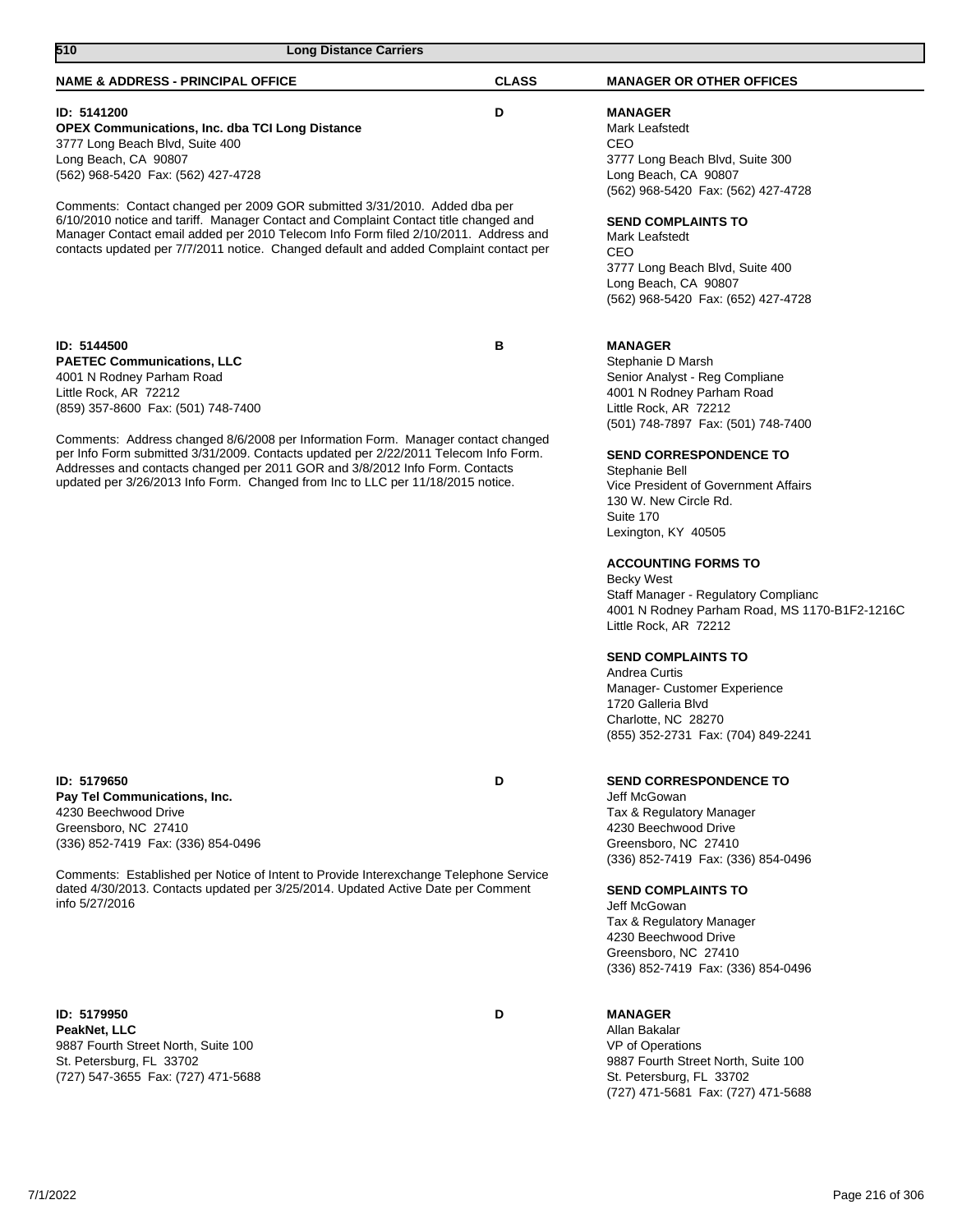| 510<br><b>Long Distance Carriers</b>                                                                                                                                                                                                                                                                                                                                                                                                                                                        |              |                                                                                                                                                                                                                                                                                                                                                                                                                                                                                                |
|---------------------------------------------------------------------------------------------------------------------------------------------------------------------------------------------------------------------------------------------------------------------------------------------------------------------------------------------------------------------------------------------------------------------------------------------------------------------------------------------|--------------|------------------------------------------------------------------------------------------------------------------------------------------------------------------------------------------------------------------------------------------------------------------------------------------------------------------------------------------------------------------------------------------------------------------------------------------------------------------------------------------------|
| <b>NAME &amp; ADDRESS - PRINCIPAL OFFICE</b>                                                                                                                                                                                                                                                                                                                                                                                                                                                | <b>CLASS</b> | <b>MANAGER OR OTHER OFFICES</b>                                                                                                                                                                                                                                                                                                                                                                                                                                                                |
| ID: 5141200<br><b>OPEX Communications, Inc. dba TCI Long Distance</b><br>3777 Long Beach Blvd, Suite 400<br>Long Beach, CA 90807<br>(562) 968-5420 Fax: (562) 427-4728<br>Comments: Contact changed per 2009 GOR submitted 3/31/2010. Added dba per                                                                                                                                                                                                                                         | D            | <b>MANAGER</b><br>Mark Leafstedt<br>CEO<br>3777 Long Beach Blvd, Suite 300<br>Long Beach, CA 90807<br>(562) 968-5420 Fax: (562) 427-4728                                                                                                                                                                                                                                                                                                                                                       |
| 6/10/2010 notice and tariff. Manager Contact and Complaint Contact title changed and<br>Manager Contact email added per 2010 Telecom Info Form filed 2/10/2011. Address and<br>contacts updated per 7/7/2011 notice. Changed default and added Complaint contact per                                                                                                                                                                                                                        |              | <b>SEND COMPLAINTS TO</b><br>Mark Leafstedt<br>CEO<br>3777 Long Beach Blvd, Suite 400<br>Long Beach, CA 90807<br>(562) 968-5420 Fax: (652) 427-4728                                                                                                                                                                                                                                                                                                                                            |
| ID: 5144500<br><b>PAETEC Communications, LLC</b><br>4001 N Rodney Parham Road<br>Little Rock, AR 72212<br>(859) 357-8600 Fax: (501) 748-7400<br>Comments: Address changed 8/6/2008 per Information Form. Manager contact changed<br>per Info Form submitted 3/31/2009. Contacts updated per 2/22/2011 Telecom Info Form.<br>Addresses and contacts changed per 2011 GOR and 3/8/2012 Info Form. Contacts<br>updated per 3/26/2013 Info Form. Changed from Inc to LLC per 11/18/2015 notice. | в            | <b>MANAGER</b><br>Stephanie D Marsh<br>Senior Analyst - Reg Compliane<br>4001 N Rodney Parham Road<br>Little Rock, AR 72212<br>(501) 748-7897 Fax: (501) 748-7400<br><b>SEND CORRESPONDENCE TO</b><br>Stephanie Bell<br>Vice President of Government Affairs<br>130 W. New Circle Rd.<br>Suite 170<br>Lexington, KY 40505<br><b>ACCOUNTING FORMS TO</b><br><b>Becky West</b><br>Staff Manager - Regulatory Complianc<br>4001 N Rodney Parham Road, MS 1170-B1F2-1216C<br>Little Rock, AR 72212 |
|                                                                                                                                                                                                                                                                                                                                                                                                                                                                                             |              | <b>SEND COMPLAINTS TO</b><br>Andrea Curtis<br>Manager- Customer Experience<br>1720 Galleria Blvd<br>Charlotte, NC 28270<br>(855) 352-2731 Fax: (704) 849-2241                                                                                                                                                                                                                                                                                                                                  |
| <b>ID: 5179650</b><br>Pay Tel Communications, Inc.<br>4230 Beechwood Drive<br>Greensboro, NC 27410<br>(336) 852-7419 Fax: (336) 854-0496<br>Comments: Established per Notice of Intent to Provide Interexchange Telephone Service<br>dated 4/30/2013. Contacts updated per 3/25/2014. Updated Active Date per Comment<br>info 5/27/2016                                                                                                                                                     | D            | <b>SEND CORRESPONDENCE TO</b><br>Jeff McGowan<br>Tax & Regulatory Manager<br>4230 Beechwood Drive<br>Greensboro, NC 27410<br>(336) 852-7419 Fax: (336) 854-0496<br><b>SEND COMPLAINTS TO</b><br>Jeff McGowan<br>Tax & Regulatory Manager<br>4230 Beechwood Drive<br>Greensboro, NC 27410<br>(336) 852-7419 Fax: (336) 854-0496                                                                                                                                                                 |
| <b>ID: 5179950</b><br>PeakNet, LLC<br>9887 Fourth Street North, Suite 100<br>St. Petersburg, FL 33702<br>(727) 547-3655 Fax: (727) 471-5688                                                                                                                                                                                                                                                                                                                                                 | D            | <b>MANAGER</b><br>Allan Bakalar<br>VP of Operations<br>9887 Fourth Street North, Suite 100<br>St. Petersburg, FL 33702                                                                                                                                                                                                                                                                                                                                                                         |

(727) 471-5681 Fax: (727) 471-5688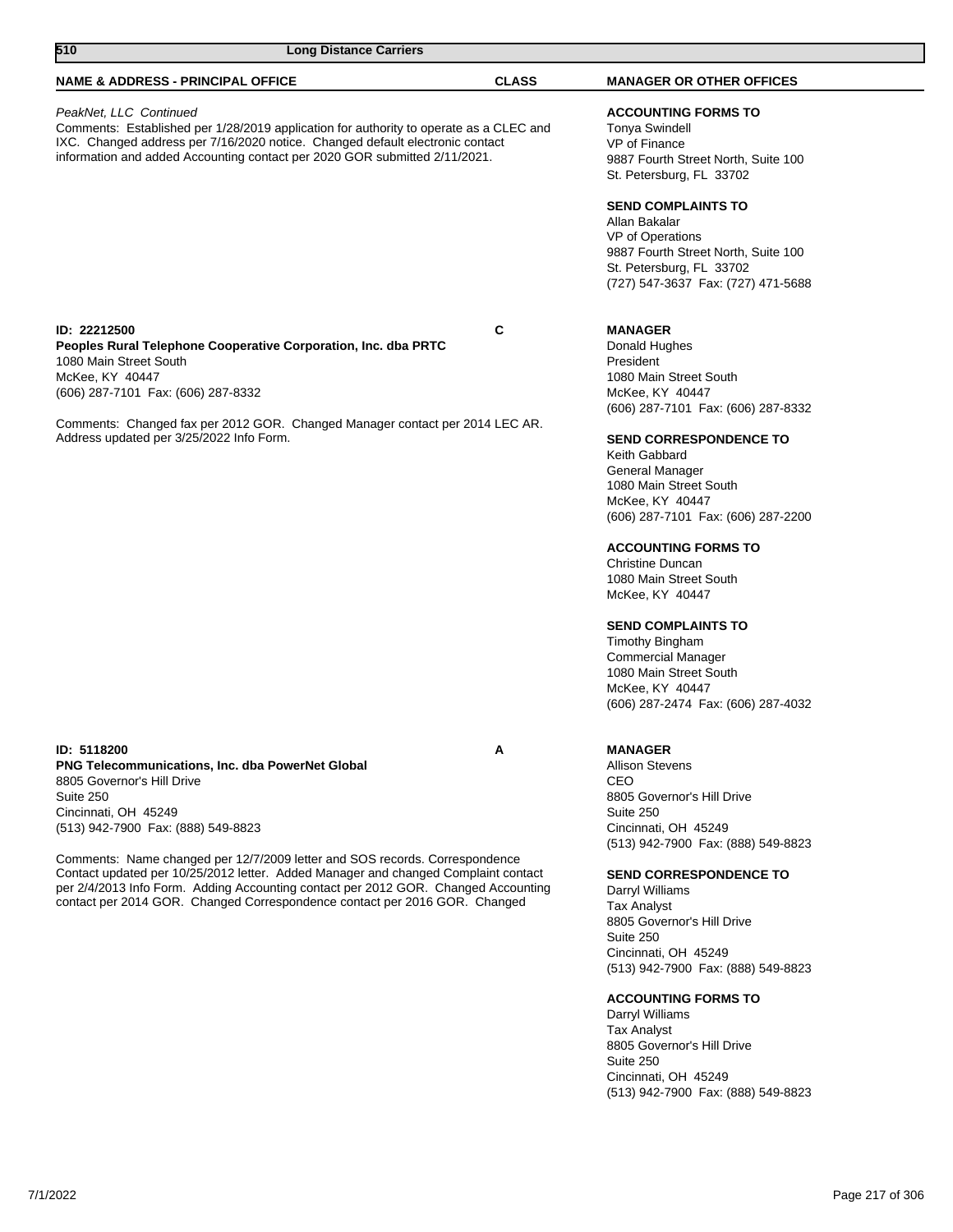| 510<br><b>Long Distance Carriers</b>                                                                                                                                                                                                                                                                                                                 |              |                                                                                                                                                                                                                                                                                                                                                                                                                                               |
|------------------------------------------------------------------------------------------------------------------------------------------------------------------------------------------------------------------------------------------------------------------------------------------------------------------------------------------------------|--------------|-----------------------------------------------------------------------------------------------------------------------------------------------------------------------------------------------------------------------------------------------------------------------------------------------------------------------------------------------------------------------------------------------------------------------------------------------|
| <b>NAME &amp; ADDRESS - PRINCIPAL OFFICE</b>                                                                                                                                                                                                                                                                                                         | <b>CLASS</b> | <b>MANAGER OR OTHER OFFICES</b>                                                                                                                                                                                                                                                                                                                                                                                                               |
| PeakNet, LLC Continued<br>Comments: Established per 1/28/2019 application for authority to operate as a CLEC and<br>IXC. Changed address per 7/16/2020 notice. Changed default electronic contact<br>information and added Accounting contact per 2020 GOR submitted 2/11/2021.                                                                      |              | <b>ACCOUNTING FORMS TO</b><br><b>Tonya Swindell</b><br>VP of Finance<br>9887 Fourth Street North, Suite 100<br>St. Petersburg, FL 33702<br><b>SEND COMPLAINTS TO</b><br>Allan Bakalar<br>VP of Operations<br>9887 Fourth Street North, Suite 100<br>St. Petersburg, FL 33702<br>(727) 547-3637 Fax: (727) 471-5688                                                                                                                            |
| ID: 22212500<br>Peoples Rural Telephone Cooperative Corporation, Inc. dba PRTC<br>1080 Main Street South<br>McKee, KY 40447<br>(606) 287-7101 Fax: (606) 287-8332<br>Comments: Changed fax per 2012 GOR. Changed Manager contact per 2014 LEC AR.<br>Address updated per 3/25/2022 Info Form.                                                        | C            | <b>MANAGER</b><br>Donald Hughes<br>President<br>1080 Main Street South<br>McKee, KY 40447<br>(606) 287-7101 Fax: (606) 287-8332<br><b>SEND CORRESPONDENCE TO</b><br>Keith Gabbard<br>General Manager<br>1080 Main Street South<br>McKee, KY 40447<br>(606) 287-7101 Fax: (606) 287-2200<br><b>ACCOUNTING FORMS TO</b><br>Christine Duncan<br>1080 Main Street South<br>McKee, KY 40447<br><b>SEND COMPLAINTS TO</b><br><b>Timothy Bingham</b> |
| ID: 5118200<br><b>PNG Telecommunications, Inc. dba PowerNet Global</b><br>8805 Governor's Hill Drive<br>Suite 250<br>Cincinnati, OH 45249<br>(513) 942-7900 Fax: (888) 549-8823<br>Comments: Name changed per 12/7/2009 letter and SOS records. Correspondence<br>Contact updated per 10/25/2012 letter. Added Manager and changed Complaint contact | A            | <b>Commercial Manager</b><br>1080 Main Street South<br>McKee, KY 40447<br>(606) 287-2474 Fax: (606) 287-4032<br><b>MANAGER</b><br><b>Allison Stevens</b><br>CEO<br>8805 Governor's Hill Drive<br>Suite 250<br>Cincinnati, OH 45249<br>(513) 942-7900 Fax: (888) 549-8823<br><b>SEND CORRESPONDENCE TO</b>                                                                                                                                     |
| per 2/4/2013 Info Form. Adding Accounting contact per 2012 GOR. Changed Accounting<br>contact per 2014 GOR. Changed Correspondence contact per 2016 GOR. Changed                                                                                                                                                                                     |              | Darryl Williams<br><b>Tax Analyst</b><br>8805 Governor's Hill Drive<br>Suite 250<br>Cincinnati, OH 45249<br>(513) 942-7900 Fax: (888) 549-8823<br><b>ACCOUNTING FORMS TO</b><br>Darryl Williams<br><b>Tax Analyst</b><br>8805 Governor's Hill Drive<br>Suite 250<br>Cincinnati, OH 45249<br>(513) 942-7900 Fax: (888) 549-8823                                                                                                                |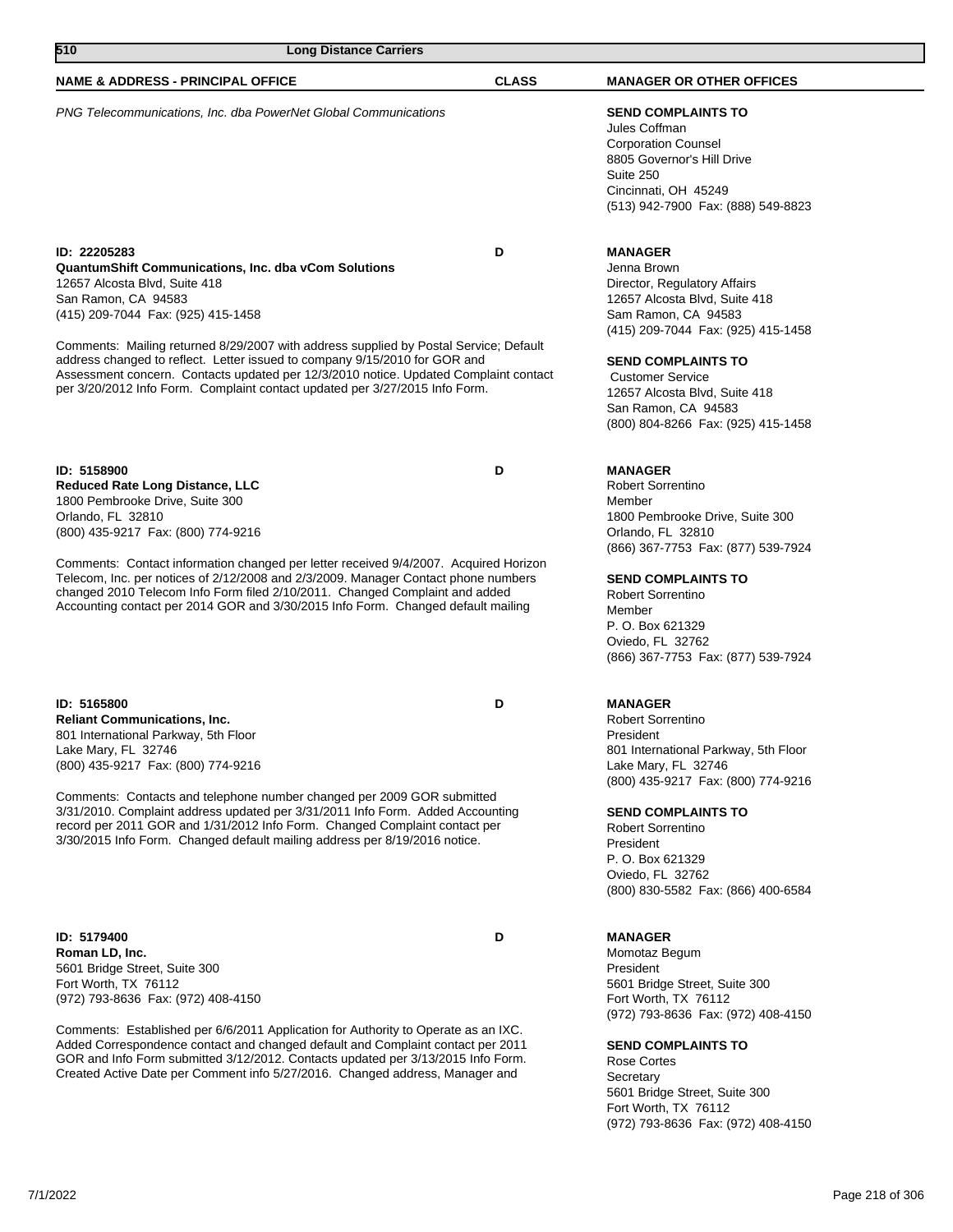| 510<br><b>Long Distance Carriers</b>                                                                                                                                                                                                                                                                                                       |              |                                                                                                                                                                                   |  |
|--------------------------------------------------------------------------------------------------------------------------------------------------------------------------------------------------------------------------------------------------------------------------------------------------------------------------------------------|--------------|-----------------------------------------------------------------------------------------------------------------------------------------------------------------------------------|--|
| <b>NAME &amp; ADDRESS - PRINCIPAL OFFICE</b>                                                                                                                                                                                                                                                                                               | <b>CLASS</b> | <b>MANAGER OR OTHER OFFICES</b>                                                                                                                                                   |  |
| PNG Telecommunications, Inc. dba PowerNet Global Communications                                                                                                                                                                                                                                                                            |              | <b>SEND COMPLAINTS TO</b><br>Jules Coffman<br><b>Corporation Counsel</b><br>8805 Governor's Hill Drive<br>Suite 250<br>Cincinnati, OH 45249<br>(513) 942-7900 Fax: (888) 549-8823 |  |
| ID: 22205283<br><b>QuantumShift Communications, Inc. dba vCom Solutions</b><br>12657 Alcosta Blvd, Suite 418<br>San Ramon, CA 94583<br>(415) 209-7044 Fax: (925) 415-1458                                                                                                                                                                  | D            | <b>MANAGER</b><br>Jenna Brown<br>Director, Regulatory Affairs<br>12657 Alcosta Blvd, Suite 418<br>Sam Ramon, CA 94583<br>(415) 209-7044 Fax: (925) 415-1458                       |  |
| Comments: Mailing returned 8/29/2007 with address supplied by Postal Service; Default<br>address changed to reflect. Letter issued to company 9/15/2010 for GOR and<br>Assessment concern. Contacts updated per 12/3/2010 notice. Updated Complaint contact<br>per 3/20/2012 Info Form. Complaint contact updated per 3/27/2015 Info Form. |              | <b>SEND COMPLAINTS TO</b><br><b>Customer Service</b><br>12657 Alcosta Blvd, Suite 418<br>San Ramon, CA 94583<br>(800) 804-8266 Fax: (925) 415-1458                                |  |
| ID: 5158900<br><b>Reduced Rate Long Distance, LLC</b><br>1800 Pembrooke Drive, Suite 300<br>Orlando, FL 32810<br>(800) 435-9217 Fax: (800) 774-9216                                                                                                                                                                                        | D            | <b>MANAGER</b><br><b>Robert Sorrentino</b><br>Member<br>1800 Pembrooke Drive, Suite 300<br>Orlando, FL 32810<br>(866) 367-7753 Fax: (877) 539-7924                                |  |
| Comments: Contact information changed per letter received 9/4/2007. Acquired Horizon<br>Telecom, Inc. per notices of 2/12/2008 and 2/3/2009. Manager Contact phone numbers                                                                                                                                                                 |              | <b>SEND COMPLAINTS TO</b>                                                                                                                                                         |  |

**ID: 5165800 D Reliant Communications, Inc.** 801 International Parkway, 5th Floor Lake Mary, FL 32746 (800) 435-9217 Fax: (800) 774-9216

Comments: Contacts and telephone number changed per 2009 GOR submitted 3/31/2010. Complaint address updated per 3/31/2011 Info Form. Added Accounting record per 2011 GOR and 1/31/2012 Info Form. Changed Complaint contact per 3/30/2015 Info Form. Changed default mailing address per 8/19/2016 notice.

changed 2010 Telecom Info Form filed 2/10/2011. Changed Complaint and added Accounting contact per 2014 GOR and 3/30/2015 Info Form. Changed default mailing

**ID: 5179400 D Roman LD, Inc.** 5601 Bridge Street, Suite 300 Fort Worth, TX 76112 (972) 793-8636 Fax: (972) 408-4150

Comments: Established per 6/6/2011 Application for Authority to Operate as an IXC. Added Correspondence contact and changed default and Complaint contact per 2011 GOR and Info Form submitted 3/12/2012. Contacts updated per 3/13/2015 Info Form. Created Active Date per Comment info 5/27/2016. Changed address, Manager and

Robert Sorrentino President 801 International Parkway, 5th Floor Lake Mary, FL 32746 (800) 435-9217 Fax: (800) 774-9216

(866) 367-7753 Fax: (877) 539-7924

#### **SEND COMPLAINTS TO**

Robert Sorrentino Member P. O. Box 621329 Oviedo, FL 32762

**MANAGER**

Robert Sorrentino President P. O. Box 621329 Oviedo, FL 32762 (800) 830-5582 Fax: (866) 400-6584

### **MANAGER**

Momotaz Begum President 5601 Bridge Street, Suite 300 Fort Worth, TX 76112 (972) 793-8636 Fax: (972) 408-4150

#### **SEND COMPLAINTS TO**

Rose Cortes **Secretary** 5601 Bridge Street, Suite 300 Fort Worth, TX 76112 (972) 793-8636 Fax: (972) 408-4150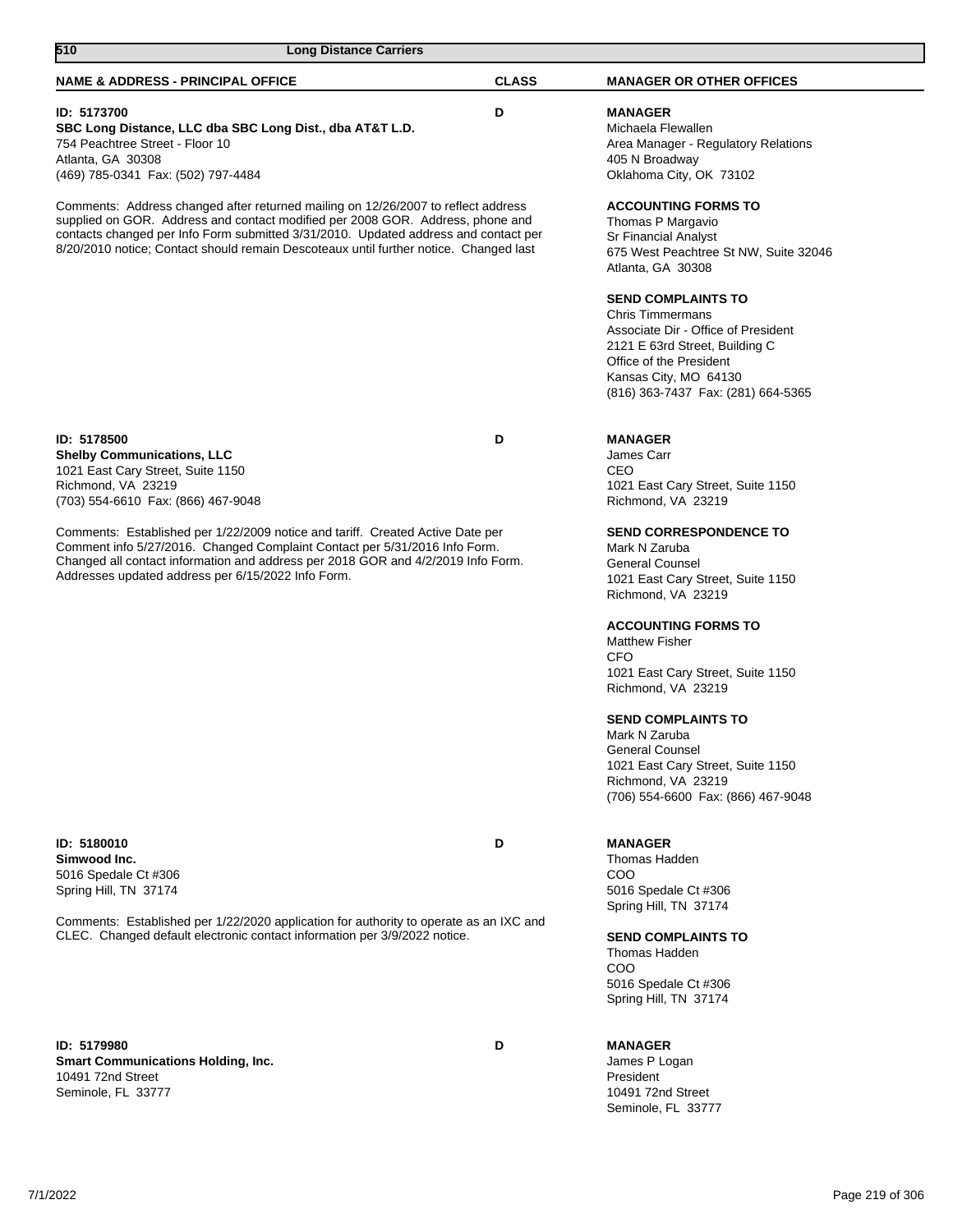| 510<br><b>Long Distance Carriers</b>                                                                                                                                                                                                                                                                                                                |              |                                                                                                                                                                                                                         |  |
|-----------------------------------------------------------------------------------------------------------------------------------------------------------------------------------------------------------------------------------------------------------------------------------------------------------------------------------------------------|--------------|-------------------------------------------------------------------------------------------------------------------------------------------------------------------------------------------------------------------------|--|
| <b>NAME &amp; ADDRESS - PRINCIPAL OFFICE</b>                                                                                                                                                                                                                                                                                                        | <b>CLASS</b> | <b>MANAGER OR OTHER OFFICES</b>                                                                                                                                                                                         |  |
| ID: 5173700<br>SBC Long Distance, LLC dba SBC Long Dist., dba AT&T L.D.<br>754 Peachtree Street - Floor 10<br>Atlanta, GA 30308<br>(469) 785-0341 Fax: (502) 797-4484                                                                                                                                                                               | D            | <b>MANAGER</b><br>Michaela Flewallen<br>Area Manager - Regulatory Relations<br>405 N Broadway<br>Oklahoma City, OK 73102                                                                                                |  |
| Comments: Address changed after returned mailing on 12/26/2007 to reflect address<br>supplied on GOR. Address and contact modified per 2008 GOR. Address, phone and<br>contacts changed per Info Form submitted 3/31/2010. Updated address and contact per<br>8/20/2010 notice; Contact should remain Descoteaux until further notice. Changed last |              | <b>ACCOUNTING FORMS TO</b><br>Thomas P Margavio<br><b>Sr Financial Analyst</b><br>675 West Peachtree St NW, Suite 32046<br>Atlanta, GA 30308                                                                            |  |
|                                                                                                                                                                                                                                                                                                                                                     |              | <b>SEND COMPLAINTS TO</b><br><b>Chris Timmermans</b><br>Associate Dir - Office of President<br>2121 E 63rd Street, Building C<br>Office of the President<br>Kansas City, MO 64130<br>(816) 363-7437 Fax: (281) 664-5365 |  |
| ID: 5178500<br><b>Shelby Communications, LLC</b><br>1021 East Cary Street, Suite 1150<br>Richmond, VA 23219<br>(703) 554-6610 Fax: (866) 467-9048                                                                                                                                                                                                   | D            | <b>MANAGER</b><br>James Carr<br>CEO<br>1021 East Cary Street, Suite 1150<br>Richmond, VA 23219                                                                                                                          |  |
| Comments: Established per 1/22/2009 notice and tariff. Created Active Date per<br>Comment info 5/27/2016. Changed Complaint Contact per 5/31/2016 Info Form.<br>Changed all contact information and address per 2018 GOR and 4/2/2019 Info Form.<br>Addresses updated address per 6/15/2022 Info Form.                                              |              | <b>SEND CORRESPONDENCE TO</b><br>Mark N Zaruba<br><b>General Counsel</b><br>1021 East Cary Street, Suite 1150<br>Richmond, VA 23219                                                                                     |  |
|                                                                                                                                                                                                                                                                                                                                                     |              | <b>ACCOUNTING FORMS TO</b><br><b>Matthew Fisher</b><br>CFO<br>1021 East Cary Street, Suite 1150<br>Richmond, VA 23219                                                                                                   |  |
|                                                                                                                                                                                                                                                                                                                                                     |              | <b>SEND COMPLAINTS TO</b><br>Mark N Zaruba<br><b>General Counsel</b><br>1021 East Cary Street, Suite 1150<br>Richmond, VA 23219<br>(706) 554-6600 Fax: (866) 467-9048                                                   |  |
| ID: 5180010<br>Simwood Inc.<br>5016 Spedale Ct #306<br>Spring Hill, TN 37174                                                                                                                                                                                                                                                                        | D            | <b>MANAGER</b><br>Thomas Hadden<br>COO<br>5016 Spedale Ct #306<br>Spring Hill, TN 37174                                                                                                                                 |  |

Comments: Established per 1/22/2020 application for authority to operate as an IXC and CLEC. Changed default electronic contact information per 3/9/2022 notice.

**ID: 5179980 D Smart Communications Holding, Inc.** 10491 72nd Street Seminole, FL 33777

#### **SEND COMPLAINTS TO** Thomas Hadden

COO 5016 Spedale Ct #306 Spring Hill, TN 37174

# **MANAGER**

James P Logan President 10491 72nd Street Seminole, FL 33777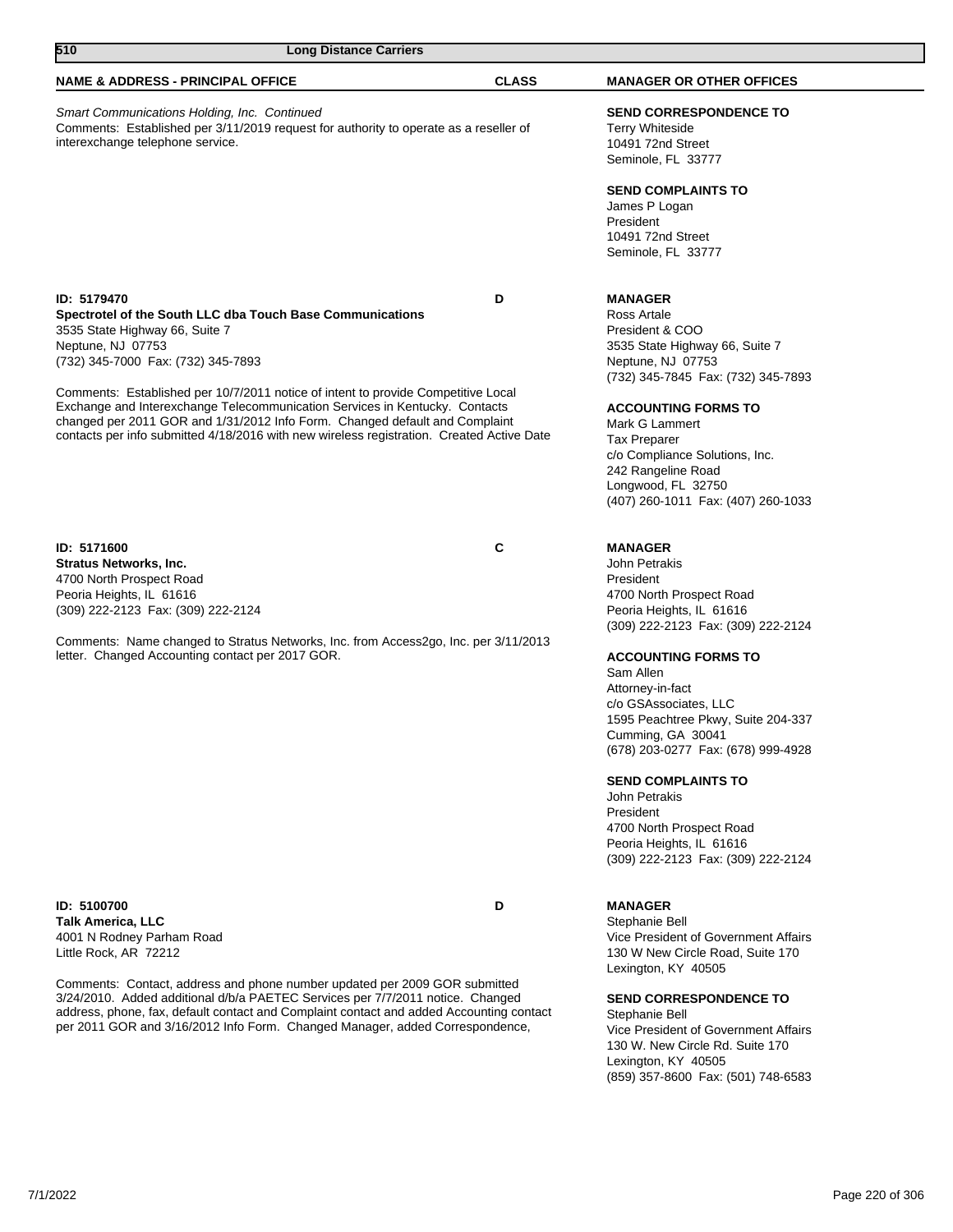| 510<br><b>Long Distance Carriers</b>                                                                                                                                                                                                                                                                                                         |              |                                                                                                                                                                                                                                                          |
|----------------------------------------------------------------------------------------------------------------------------------------------------------------------------------------------------------------------------------------------------------------------------------------------------------------------------------------------|--------------|----------------------------------------------------------------------------------------------------------------------------------------------------------------------------------------------------------------------------------------------------------|
| <b>NAME &amp; ADDRESS - PRINCIPAL OFFICE</b>                                                                                                                                                                                                                                                                                                 | <b>CLASS</b> | <b>MANAGER OR OTHER OFFICES</b>                                                                                                                                                                                                                          |
| Smart Communications Holding, Inc. Continued<br>Comments: Established per 3/11/2019 request for authority to operate as a reseller of<br>interexchange telephone service.                                                                                                                                                                    |              | <b>SEND CORRESPONDENCE TO</b><br><b>Terry Whiteside</b><br>10491 72nd Street<br>Seminole, FL 33777                                                                                                                                                       |
|                                                                                                                                                                                                                                                                                                                                              |              | <b>SEND COMPLAINTS TO</b><br>James P Logan<br>President<br>10491 72nd Street<br>Seminole, FL 33777                                                                                                                                                       |
| <b>ID: 5179470</b><br>Spectrotel of the South LLC dba Touch Base Communications<br>3535 State Highway 66, Suite 7                                                                                                                                                                                                                            | D            | <b>MANAGER</b><br>Ross Artale<br>President & COO                                                                                                                                                                                                         |
| Neptune, NJ 07753<br>(732) 345-7000 Fax: (732) 345-7893                                                                                                                                                                                                                                                                                      |              | 3535 State Highway 66, Suite 7<br>Neptune, NJ 07753<br>(732) 345-7845 Fax: (732) 345-7893                                                                                                                                                                |
| Comments: Established per 10/7/2011 notice of intent to provide Competitive Local<br>Exchange and Interexchange Telecommunication Services in Kentucky. Contacts<br>changed per 2011 GOR and 1/31/2012 Info Form. Changed default and Complaint<br>contacts per info submitted 4/18/2016 with new wireless registration. Created Active Date |              | <b>ACCOUNTING FORMS TO</b><br>Mark G Lammert<br><b>Tax Preparer</b><br>c/o Compliance Solutions, Inc.<br>242 Rangeline Road<br>Longwood, FL 32750<br>(407) 260-1011 Fax: (407) 260-1033                                                                  |
| ID: 5171600<br><b>Stratus Networks, Inc.</b><br>4700 North Prospect Road<br>Peoria Heights, IL 61616<br>(309) 222-2123 Fax: (309) 222-2124                                                                                                                                                                                                   | С            | <b>MANAGER</b><br>John Petrakis<br>President<br>4700 North Prospect Road<br>Peoria Heights, IL 61616                                                                                                                                                     |
| Comments: Name changed to Stratus Networks, Inc. from Access2go, Inc. per 3/11/2013<br>letter. Changed Accounting contact per 2017 GOR.                                                                                                                                                                                                      |              | (309) 222-2123 Fax: (309) 222-2124<br><b>ACCOUNTING FORMS TO</b><br>Sam Allen<br>Attorney-in-fact<br>c/o GSAssociates, LLC<br>1595 Peachtree Pkwy, Suite 204-337<br>Cumming, GA 30041<br>(678) 203-0277 Fax: (678) 999-4928<br><b>SEND COMPLAINTS TO</b> |
|                                                                                                                                                                                                                                                                                                                                              |              | John Petrakis<br>President<br>4700 North Prospect Road<br>Peoria Heights, IL 61616<br>(309) 222-2123 Fax: (309) 222-2124                                                                                                                                 |
| ID: 5100700<br><b>Talk America, LLC</b><br>4001 N Rodney Parham Road<br>Little Rock, AR 72212                                                                                                                                                                                                                                                | D            | <b>MANAGER</b><br>Stephanie Bell<br>Vice President of Government Affairs<br>130 W New Circle Road, Suite 170<br>Lexington, KY 40505                                                                                                                      |
| Comments: Contact, address and phone number updated per 2009 GOR submitted<br>3/24/2010. Added additional d/b/a PAETEC Services per 7/7/2011 notice. Changed<br>address, phone, fax, default contact and Complaint contact and added Accounting contact<br>per 2011 GOR and 3/16/2012 Info Form. Changed Manager, added Correspondence,      |              | <b>SEND CORRESPONDENCE TO</b><br>Stephanie Bell<br>Vice President of Government Affairs<br>130 W. New Circle Rd. Suite 170<br>Lexington, KY 40505<br>(859) 357-8600 Fax: (501) 748-6583                                                                  |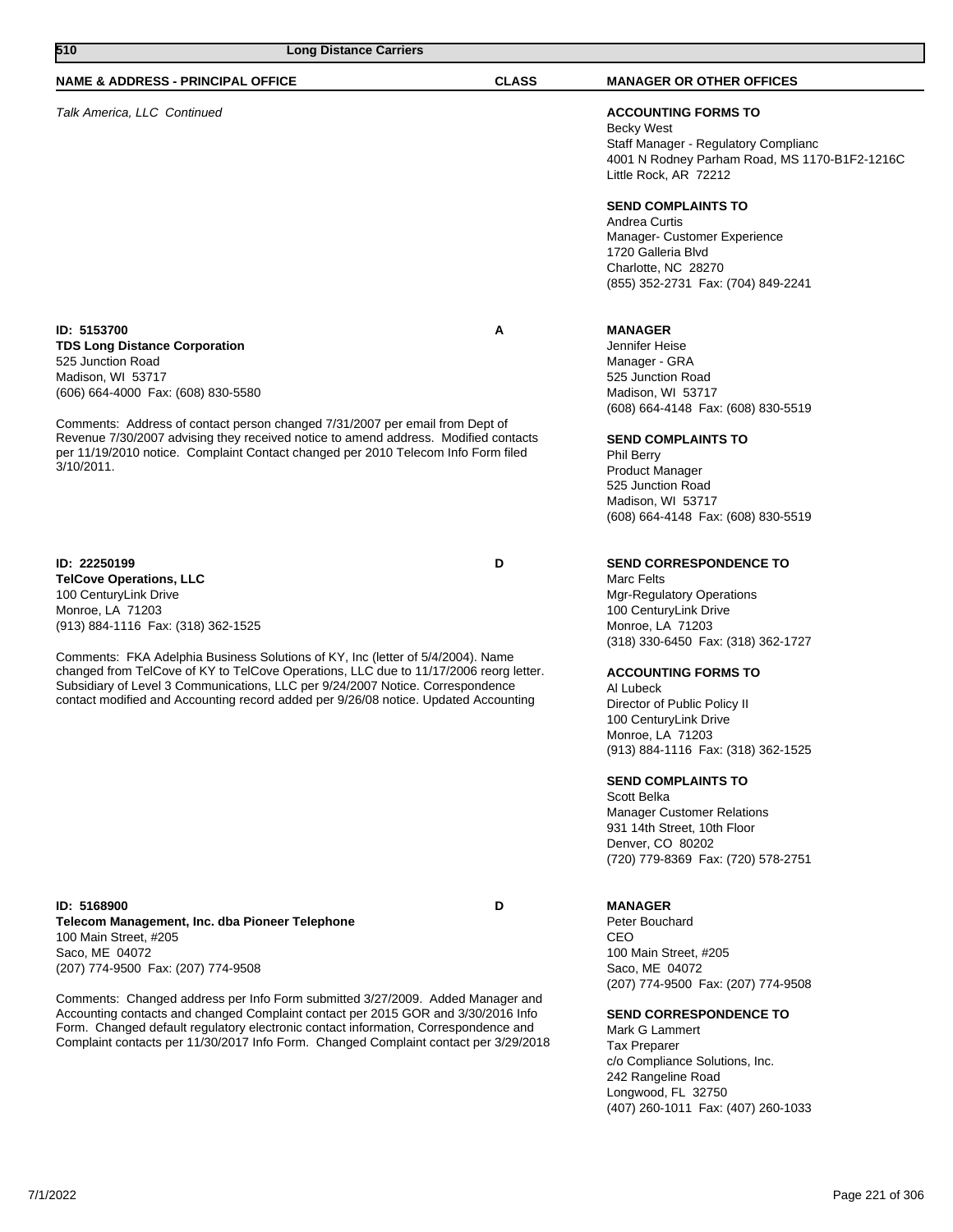| 510<br><b>Long Distance Carriers</b>                                                                                                                                                                                                                                                                                                               |              |                                                                                                                                                                           |
|----------------------------------------------------------------------------------------------------------------------------------------------------------------------------------------------------------------------------------------------------------------------------------------------------------------------------------------------------|--------------|---------------------------------------------------------------------------------------------------------------------------------------------------------------------------|
| <b>NAME &amp; ADDRESS - PRINCIPAL OFFICE</b>                                                                                                                                                                                                                                                                                                       | <b>CLASS</b> | <b>MANAGER OR OTHER OFFICES</b>                                                                                                                                           |
| Talk America, LLC Continued                                                                                                                                                                                                                                                                                                                        |              | <b>ACCOUNTING FORMS TO</b><br><b>Becky West</b><br>Staff Manager - Regulatory Complianc<br>4001 N Rodney Parham Road, MS 1170-B1F2-1216C<br>Little Rock, AR 72212         |
|                                                                                                                                                                                                                                                                                                                                                    |              | <b>SEND COMPLAINTS TO</b><br>Andrea Curtis<br>Manager- Customer Experience<br>1720 Galleria Blvd<br>Charlotte, NC 28270<br>(855) 352-2731 Fax: (704) 849-2241             |
| ID: 5153700<br><b>TDS Long Distance Corporation</b><br>525 Junction Road<br>Madison, WI 53717<br>(606) 664-4000 Fax: (608) 830-5580                                                                                                                                                                                                                | Α            | <b>MANAGER</b><br>Jennifer Heise<br>Manager - GRA<br>525 Junction Road<br>Madison, WI 53717<br>(608) 664-4148 Fax: (608) 830-5519                                         |
| Comments: Address of contact person changed 7/31/2007 per email from Dept of<br>Revenue 7/30/2007 advising they received notice to amend address. Modified contacts<br>per 11/19/2010 notice. Complaint Contact changed per 2010 Telecom Info Form filed<br>$3/10/2011$ .                                                                          |              | <b>SEND COMPLAINTS TO</b><br>Phil Berry<br><b>Product Manager</b><br>525 Junction Road<br>Madison, WI 53717<br>(608) 664-4148 Fax: (608) 830-5519                         |
| ID: 22250199<br><b>TelCove Operations, LLC</b><br>100 CenturyLink Drive<br>Monroe, LA 71203<br>(913) 884-1116 Fax: (318) 362-1525                                                                                                                                                                                                                  | D            | <b>SEND CORRESPONDENCE TO</b><br><b>Marc Felts</b><br><b>Mgr-Regulatory Operations</b><br>100 CenturyLink Drive<br>Monroe, LA 71203<br>(318) 330-6450 Fax: (318) 362-1727 |
| Comments: FKA Adelphia Business Solutions of KY, Inc (letter of 5/4/2004). Name<br>changed from TelCove of KY to TelCove Operations, LLC due to 11/17/2006 reorg letter.<br>Subsidiary of Level 3 Communications, LLC per 9/24/2007 Notice. Correspondence<br>contact modified and Accounting record added per 9/26/08 notice. Updated Accounting  |              | <b>ACCOUNTING FORMS TO</b><br>Al Lubeck<br>Director of Public Policy II<br>100 CenturyLink Drive<br>Monroe, LA 71203<br>(913) 884-1116 Fax: (318) 362-1525                |
|                                                                                                                                                                                                                                                                                                                                                    |              | <b>SEND COMPLAINTS TO</b><br>Scott Belka<br><b>Manager Customer Relations</b><br>931 14th Street, 10th Floor<br>Denver, CO 80202<br>(720) 779-8369 Fax: (720) 578-2751    |
| ID: 5168900<br>Telecom Management, Inc. dba Pioneer Telephone<br>100 Main Street, #205<br>Saco, ME 04072<br>(207) 774-9500 Fax: (207) 774-9508                                                                                                                                                                                                     | D            | <b>MANAGER</b><br>Peter Bouchard<br>CEO<br>100 Main Street, #205<br>Saco, ME 04072<br>(207) 774-9500 Fax: (207) 774-9508                                                  |
| Comments: Changed address per Info Form submitted 3/27/2009. Added Manager and<br>Accounting contacts and changed Complaint contact per 2015 GOR and 3/30/2016 Info<br>Form. Changed default regulatory electronic contact information, Correspondence and<br>Complaint contacts per 11/30/2017 Info Form. Changed Complaint contact per 3/29/2018 |              | <b>SEND CORRESPONDENCE TO</b><br>Mark G Lammert<br><b>Tax Preparer</b><br>c/o Compliance Solutions, Inc.<br>242 Rangeline Road<br>Longwood, FL 32750                      |

(407) 260-1011 Fax: (407) 260-1033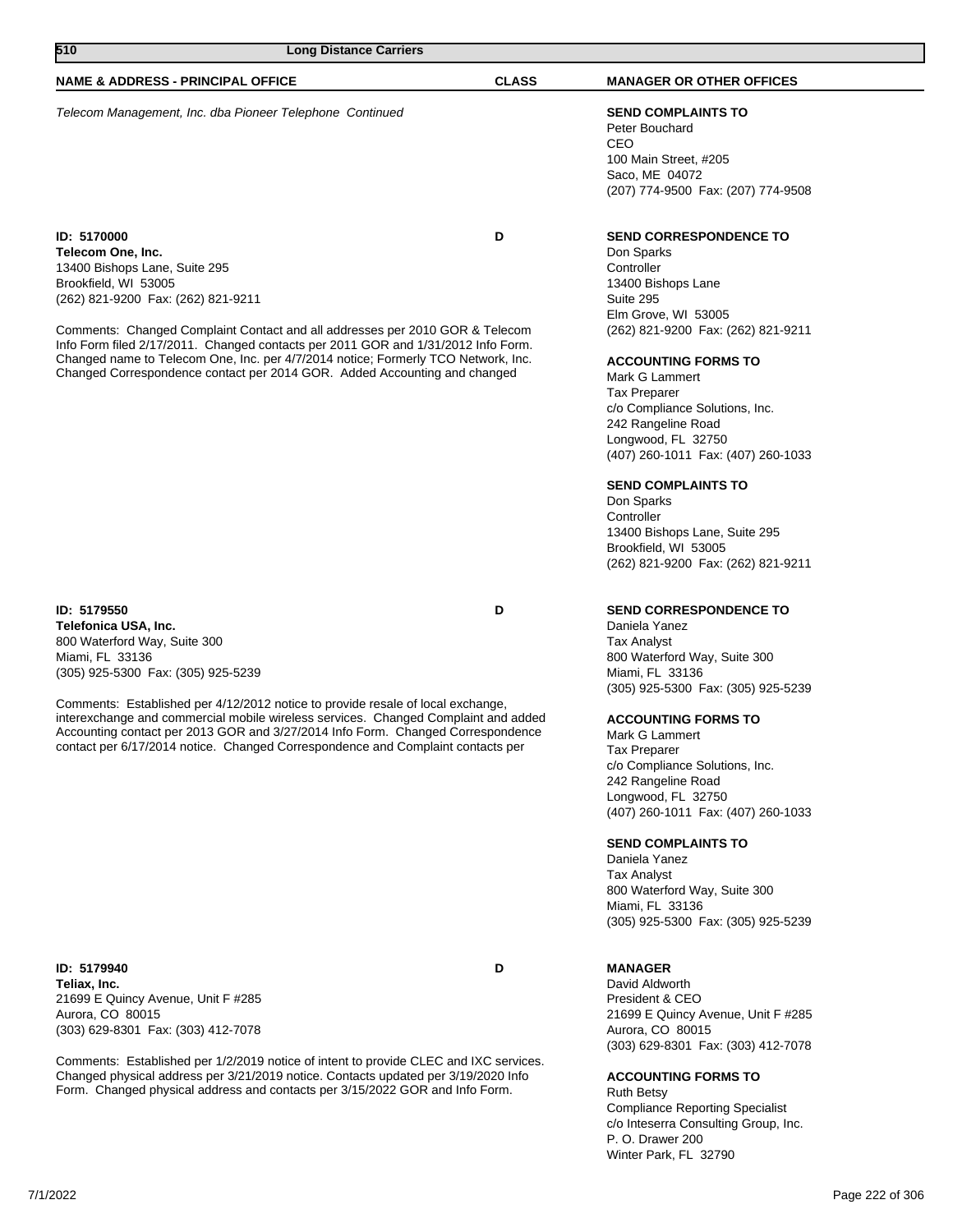Telecom Management, Inc. dba Pioneer Telephone Continued **SEND COMPLAINTS TO**

**510 Long Distance Carriers** 

**ID: 5170000 D Telecom One, Inc.** 13400 Bishops Lane, Suite 295 Brookfield, WI 53005 (262) 821-9200 Fax: (262) 821-9211

Comments: Changed Complaint Contact and all addresses per 2010 GOR & Telecom Info Form filed 2/17/2011. Changed contacts per 2011 GOR and 1/31/2012 Info Form. Changed name to Telecom One, Inc. per 4/7/2014 notice; Formerly TCO Network, Inc. Changed Correspondence contact per 2014 GOR. Added Accounting and changed

**ID: 5179550 D Telefonica USA, Inc.** 800 Waterford Way, Suite 300 Miami, FL 33136 (305) 925-5300 Fax: (305) 925-5239

Comments: Established per 4/12/2012 notice to provide resale of local exchange, interexchange and commercial mobile wireless services. Changed Complaint and added Accounting contact per 2013 GOR and 3/27/2014 Info Form. Changed Correspondence contact per 6/17/2014 notice. Changed Correspondence and Complaint contacts per

**ID: 5179940 D Teliax, Inc.** 21699 E Quincy Avenue, Unit F #285 Aurora, CO 80015 (303) 629-8301 Fax: (303) 412-7078

Comments: Established per 1/2/2019 notice of intent to provide CLEC and IXC services. Changed physical address per 3/21/2019 notice. Contacts updated per 3/19/2020 Info Form. Changed physical address and contacts per 3/15/2022 GOR and Info Form.

# **NAME & ADDRESS - PRINCIPAL OFFICE CLASS MANAGER OR OTHER OFFICES**

Peter Bouchard CEO 100 Main Street, #205 Saco, ME 04072 (207) 774-9500 Fax: (207) 774-9508

# **SEND CORRESPONDENCE TO**

Don Sparks **Controller** 13400 Bishops Lane Suite 295 Elm Grove, WI 53005 (262) 821-9200 Fax: (262) 821-9211

# **ACCOUNTING FORMS TO**

Mark G Lammert Tax Preparer c/o Compliance Solutions, Inc. 242 Rangeline Road Longwood, FL 32750 (407) 260-1011 Fax: (407) 260-1033

# **SEND COMPLAINTS TO**

Don Sparks **Controller** 13400 Bishops Lane, Suite 295 Brookfield, WI 53005 (262) 821-9200 Fax: (262) 821-9211

# **SEND CORRESPONDENCE TO**

Daniela Yanez Tax Analyst 800 Waterford Way, Suite 300 Miami, FL 33136 (305) 925-5300 Fax: (305) 925-5239

# **ACCOUNTING FORMS TO**

Mark G Lammert Tax Preparer c/o Compliance Solutions, Inc. 242 Rangeline Road Longwood, FL 32750 (407) 260-1011 Fax: (407) 260-1033

# **SEND COMPLAINTS TO**

Daniela Yanez Tax Analyst 800 Waterford Way, Suite 300 Miami, FL 33136 (305) 925-5300 Fax: (305) 925-5239

# **MANAGER**

David Aldworth President & CEO 21699 E Quincy Avenue, Unit F #285 Aurora, CO 80015 (303) 629-8301 Fax: (303) 412-7078

### **ACCOUNTING FORMS TO**

Ruth Betsy Compliance Reporting Specialist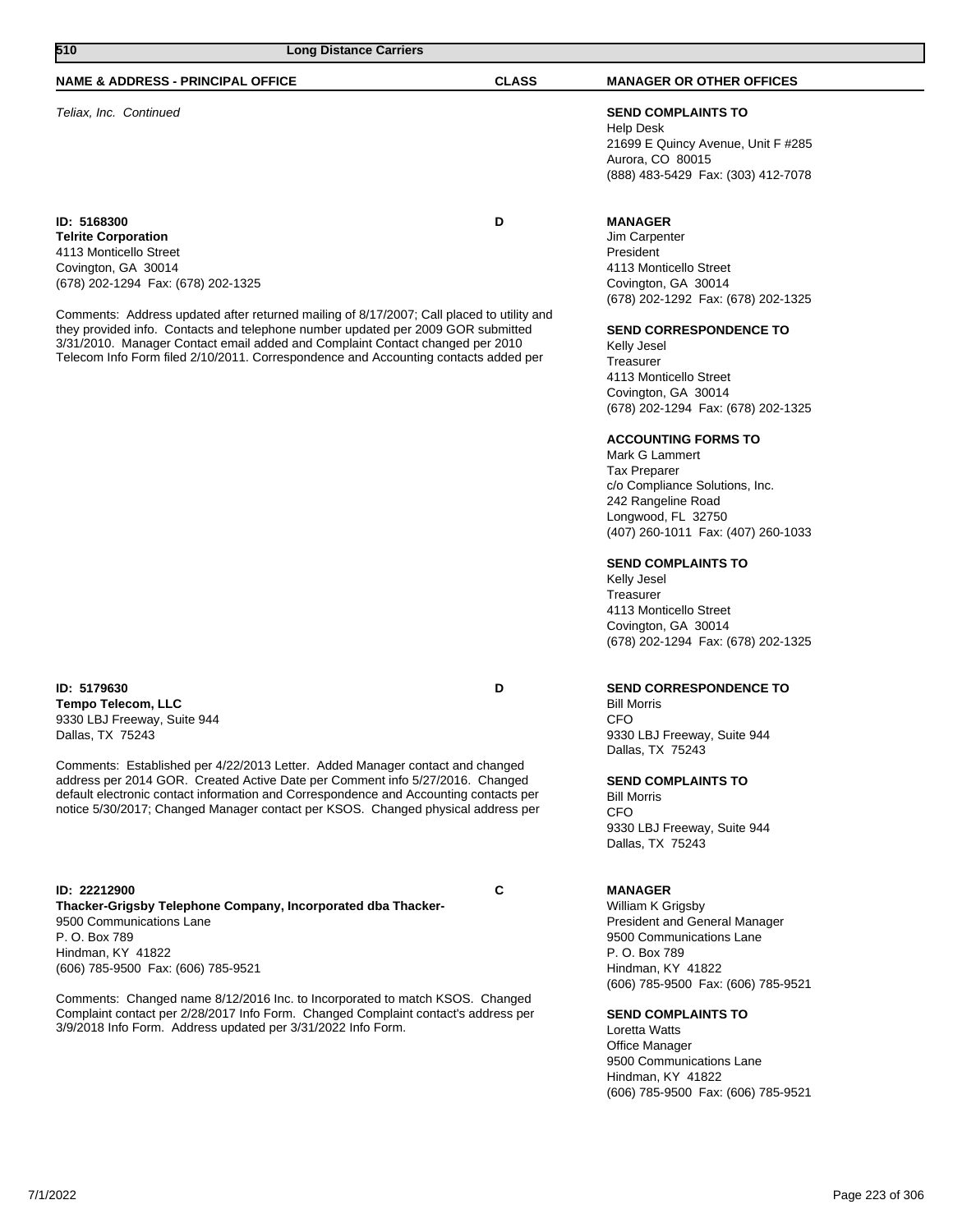| 7/1/2022 | Page 223 of 306 |
|----------|-----------------|

**ID: 22212900 C**

default electronic contact information and Correspondence and Accounting contacts per notice 5/30/2017; Changed Manager contact per KSOS. Changed physical address per

Comments: Established per 4/22/2013 Letter. Added Manager contact and changed address per 2014 GOR. Created Active Date per Comment info 5/27/2016. Changed

**Thacker-Grigsby Telephone Company, Incorporated dba Thacker-**9500 Communications Lane P. O. Box 789 Hindman, KY 41822 (606) 785-9500 Fax: (606) 785-9521

Comments: Changed name 8/12/2016 Inc. to Incorporated to match KSOS. Changed Complaint contact per 2/28/2017 Info Form. Changed Complaint contact's address per 3/9/2018 Info Form. Address updated per 3/31/2022 Info Form.

**SEND CORRESPONDENCE TO**

Bill Morris **CFO** 9330 LBJ Freeway, Suite 944 Dallas, TX 75243

**SEND COMPLAINTS TO**

Bill Morris **CFO** 9330 LBJ Freeway, Suite 944 Dallas, TX 75243

### **MANAGER**

William K Grigsby President and General Manager 9500 Communications Lane P. O. Box 789 Hindman, KY 41822 (606) 785-9500 Fax: (606) 785-9521

### **SEND COMPLAINTS TO**

Loretta Watts Office Manager 9500 Communications Lane Hindman, KY 41822 (606) 785-9500 Fax: (606) 785-9521

**ID: 5179630 D Tempo Telecom, LLC** 9330 LBJ Freeway, Suite 944 Dallas, TX 75243

**ID: 5168300 D Telrite Corporation** 4113 Monticello Street Covington, GA 30014 (678) 202-1294 Fax: (678) 202-1325

Comments: Address updated after returned mailing of 8/17/2007; Call placed to utility and they provided info. Contacts and telephone number updated per 2009 GOR submitted 3/31/2010. Manager Contact email added and Complaint Contact changed per 2010 Telecom Info Form filed 2/10/2011. Correspondence and Accounting contacts added per

# Teliax, Inc. Continued **SEND COMPLAINTS TO**

Help Desk 21699 E Quincy Avenue, Unit F #285 (888) 483-5429 Fax: (303) 412-7078

President 4113 Monticello Street Covington, GA 30014 (678) 202-1292 Fax: (678) 202-1325

#### **SEND CORRESPONDENCE TO**

Kelly Jesel **Treasurer** 4113 Monticello Street Covington, GA 30014 (678) 202-1294 Fax: (678) 202-1325

#### **ACCOUNTING FORMS TO**

Mark G Lammert Tax Preparer c/o Compliance Solutions, Inc. 242 Rangeline Road Longwood, FL 32750 (407) 260-1011 Fax: (407) 260-1033

#### **SEND COMPLAINTS TO**

Kelly Jesel **Treasurer** 4113 Monticello Street Covington, GA 30014 (678) 202-1294 Fax: (678) 202-1325

**MANAGER** Jim Carpenter

Aurora, CO 80015

**510 Long Distance Carriers** 

**NAME & ADDRESS - PRINCIPAL OFFICE CLASS MANAGER OR OTHER OFFICES**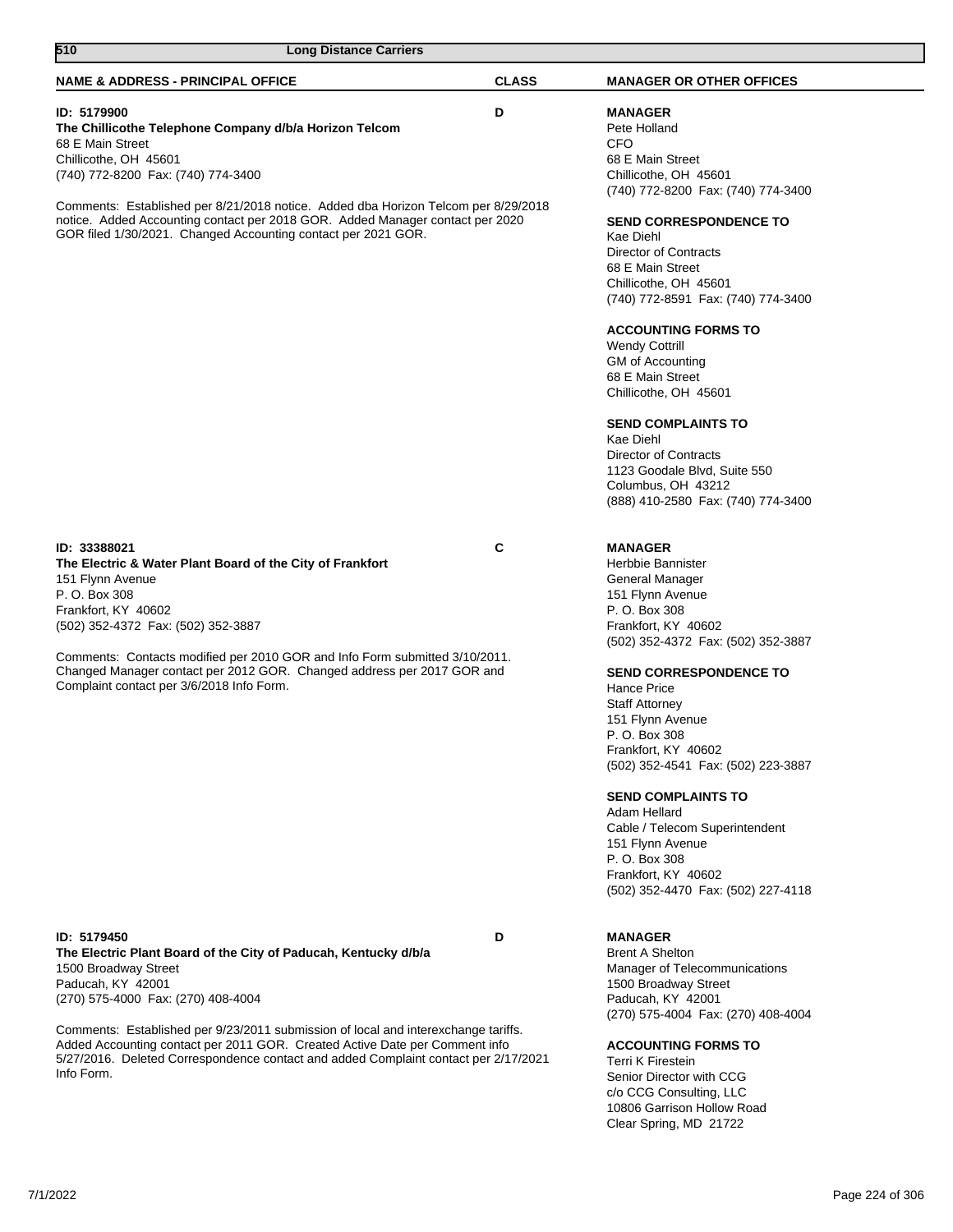| 510<br><b>Long Distance Carriers</b>                                                                                                                                                                                                                                                                                                                                                                                                        |              |                                                                                                                                                                                                                                                                                                                                                                                                                                                                                                                                                                                                |
|---------------------------------------------------------------------------------------------------------------------------------------------------------------------------------------------------------------------------------------------------------------------------------------------------------------------------------------------------------------------------------------------------------------------------------------------|--------------|------------------------------------------------------------------------------------------------------------------------------------------------------------------------------------------------------------------------------------------------------------------------------------------------------------------------------------------------------------------------------------------------------------------------------------------------------------------------------------------------------------------------------------------------------------------------------------------------|
| <b>NAME &amp; ADDRESS - PRINCIPAL OFFICE</b>                                                                                                                                                                                                                                                                                                                                                                                                | <b>CLASS</b> | <b>MANAGER OR OTHER OFFICES</b>                                                                                                                                                                                                                                                                                                                                                                                                                                                                                                                                                                |
| ID: 5179900<br>The Chillicothe Telephone Company d/b/a Horizon Telcom<br>68 E Main Street<br>Chillicothe, OH 45601<br>(740) 772-8200 Fax: (740) 774-3400<br>Comments: Established per 8/21/2018 notice. Added dba Horizon Telcom per 8/29/2018<br>notice. Added Accounting contact per 2018 GOR. Added Manager contact per 2020<br>GOR filed 1/30/2021. Changed Accounting contact per 2021 GOR.                                            | D            | <b>MANAGER</b><br>Pete Holland<br><b>CFO</b><br>68 E Main Street<br>Chillicothe, OH 45601<br>(740) 772-8200 Fax: (740) 774-3400<br><b>SEND CORRESPONDENCE TO</b><br>Kae Diehl<br><b>Director of Contracts</b><br>68 E Main Street<br>Chillicothe, OH 45601<br>(740) 772-8591 Fax: (740) 774-3400<br><b>ACCOUNTING FORMS TO</b><br><b>Wendy Cottrill</b><br>GM of Accounting<br>68 E Main Street<br>Chillicothe, OH 45601<br><b>SEND COMPLAINTS TO</b><br>Kae Diehl<br><b>Director of Contracts</b><br>1123 Goodale Blvd, Suite 550<br>Columbus, OH 43212<br>(888) 410-2580 Fax: (740) 774-3400 |
| ID: 33388021<br>The Electric & Water Plant Board of the City of Frankfort<br>151 Flynn Avenue<br>P. O. Box 308<br>Frankfort, KY 40602<br>(502) 352-4372 Fax: (502) 352-3887<br>Comments: Contacts modified per 2010 GOR and Info Form submitted 3/10/2011.<br>Changed Manager contact per 2012 GOR. Changed address per 2017 GOR and<br>Complaint contact per 3/6/2018 Info Form.                                                           | C            | <b>MANAGER</b><br>Herbbie Bannister<br>General Manager<br>151 Flynn Avenue<br>P. O. Box 308<br>Frankfort, KY 40602<br>(502) 352-4372 Fax: (502) 352-3887<br><b>SEND CORRESPONDENCE TO</b><br><b>Hance Price</b><br><b>Staff Attorney</b><br>151 Flynn Avenue<br>P. O. Box 308<br>Frankfort, KY 40602<br>(502) 352-4541 Fax: (502) 223-3887<br><b>SEND COMPLAINTS TO</b><br>Adam Hellard<br>Cable / Telecom Superintendent<br>151 Flynn Avenue<br>P. O. Box 308<br>Frankfort, KY 40602<br>(502) 352-4470 Fax: (502) 227-4118                                                                    |
| ID: 5179450<br>The Electric Plant Board of the City of Paducah, Kentucky d/b/a<br>1500 Broadway Street<br>Paducah, KY 42001<br>(270) 575-4000 Fax: (270) 408-4004<br>Comments: Established per 9/23/2011 submission of local and interexchange tariffs.<br>Added Accounting contact per 2011 GOR. Created Active Date per Comment info<br>5/27/2016. Deleted Correspondence contact and added Complaint contact per 2/17/2021<br>Info Form. | D            | <b>MANAGER</b><br><b>Brent A Shelton</b><br>Manager of Telecommunications<br>1500 Broadway Street<br>Paducah, KY 42001<br>(270) 575-4004 Fax: (270) 408-4004<br><b>ACCOUNTING FORMS TO</b><br><b>Terri K Firestein</b><br>Senior Director with CCG<br>c/o CCG Consulting, LLC<br>10806 Garrison Hollow Road                                                                                                                                                                                                                                                                                    |

Clear Spring, MD 21722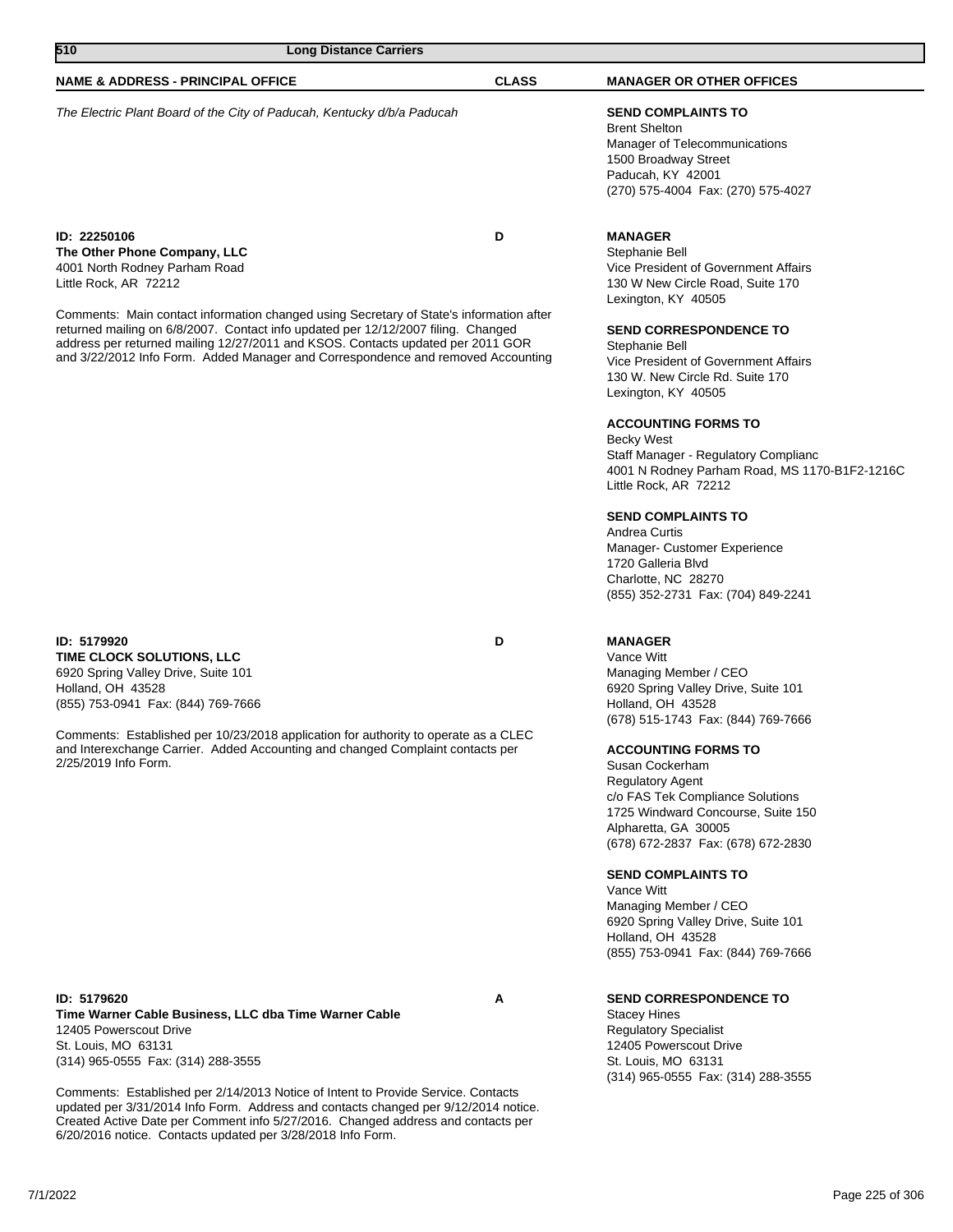| 510<br><b>Long Distance Carriers</b>                                                                                                                                                                                                                                                                                                                                                                                                                          |              |                                                                                                                                                                                                                                                                                                                                                                                                                                                                                                                                             |
|---------------------------------------------------------------------------------------------------------------------------------------------------------------------------------------------------------------------------------------------------------------------------------------------------------------------------------------------------------------------------------------------------------------------------------------------------------------|--------------|---------------------------------------------------------------------------------------------------------------------------------------------------------------------------------------------------------------------------------------------------------------------------------------------------------------------------------------------------------------------------------------------------------------------------------------------------------------------------------------------------------------------------------------------|
| <b>NAME &amp; ADDRESS - PRINCIPAL OFFICE</b>                                                                                                                                                                                                                                                                                                                                                                                                                  | <b>CLASS</b> | <b>MANAGER OR OTHER OFFICES</b>                                                                                                                                                                                                                                                                                                                                                                                                                                                                                                             |
| The Electric Plant Board of the City of Paducah, Kentucky d/b/a Paducah                                                                                                                                                                                                                                                                                                                                                                                       |              | <b>SEND COMPLAINTS TO</b><br><b>Brent Shelton</b><br>Manager of Telecommunications<br>1500 Broadway Street<br>Paducah, KY 42001<br>(270) 575-4004 Fax: (270) 575-4027                                                                                                                                                                                                                                                                                                                                                                       |
| ID: 22250106<br>The Other Phone Company, LLC<br>4001 North Rodney Parham Road<br>Little Rock, AR 72212<br>Comments: Main contact information changed using Secretary of State's information after<br>returned mailing on 6/8/2007. Contact info updated per 12/12/2007 filing. Changed<br>address per returned mailing 12/27/2011 and KSOS. Contacts updated per 2011 GOR<br>and 3/22/2012 Info Form. Added Manager and Correspondence and removed Accounting | D            | <b>MANAGER</b><br>Stephanie Bell<br>Vice President of Government Affairs<br>130 W New Circle Road, Suite 170<br>Lexington, KY 40505<br><b>SEND CORRESPONDENCE TO</b><br>Stephanie Bell<br>Vice President of Government Affairs<br>130 W. New Circle Rd. Suite 170<br>Lexington, KY 40505<br><b>ACCOUNTING FORMS TO</b><br><b>Becky West</b><br>Staff Manager - Regulatory Complianc<br>4001 N Rodney Parham Road, MS 1170-B1F2-1216C<br>Little Rock, AR 72212<br><b>SEND COMPLAINTS TO</b><br>Andrea Curtis<br>Manager- Customer Experience |

**ID: 5179920 D TIME CLOCK SOLUTIONS, LLC** 6920 Spring Valley Drive, Suite 101 Holland, OH 43528 (855) 753-0941 Fax: (844) 769-7666

Comments: Established per 10/23/2018 application for authority to operate as a CLEC and Interexchange Carrier. Added Accounting and changed Complaint contacts per 2/25/2019 Info Form.

**ID: 5179620 A Time Warner Cable Business, LLC dba Time Warner Cable** 12405 Powerscout Drive St. Louis, MO 63131 (314) 965-0555 Fax: (314) 288-3555

Comments: Established per 2/14/2013 Notice of Intent to Provide Service. Contacts updated per 3/31/2014 Info Form. Address and contacts changed per 9/12/2014 notice. Created Active Date per Comment info 5/27/2016. Changed address and contacts per 6/20/2016 notice. Contacts updated per 3/28/2018 Info Form.

# **MANAGER**

Charlotte, NC 28270

Vance Witt Managing Member / CEO 6920 Spring Valley Drive, Suite 101 Holland, OH 43528 (678) 515-1743 Fax: (844) 769-7666

(855) 352-2731 Fax: (704) 849-2241

#### **ACCOUNTING FORMS TO**

Susan Cockerham Regulatory Agent c/o FAS Tek Compliance Solutions 1725 Windward Concourse, Suite 150 Alpharetta, GA 30005 (678) 672-2837 Fax: (678) 672-2830

#### **SEND COMPLAINTS TO**

Vance Witt Managing Member / CEO 6920 Spring Valley Drive, Suite 101 Holland, OH 43528 (855) 753-0941 Fax: (844) 769-7666

#### **SEND CORRESPONDENCE TO**

Stacey Hines Regulatory Specialist 12405 Powerscout Drive St. Louis, MO 63131 (314) 965-0555 Fax: (314) 288-3555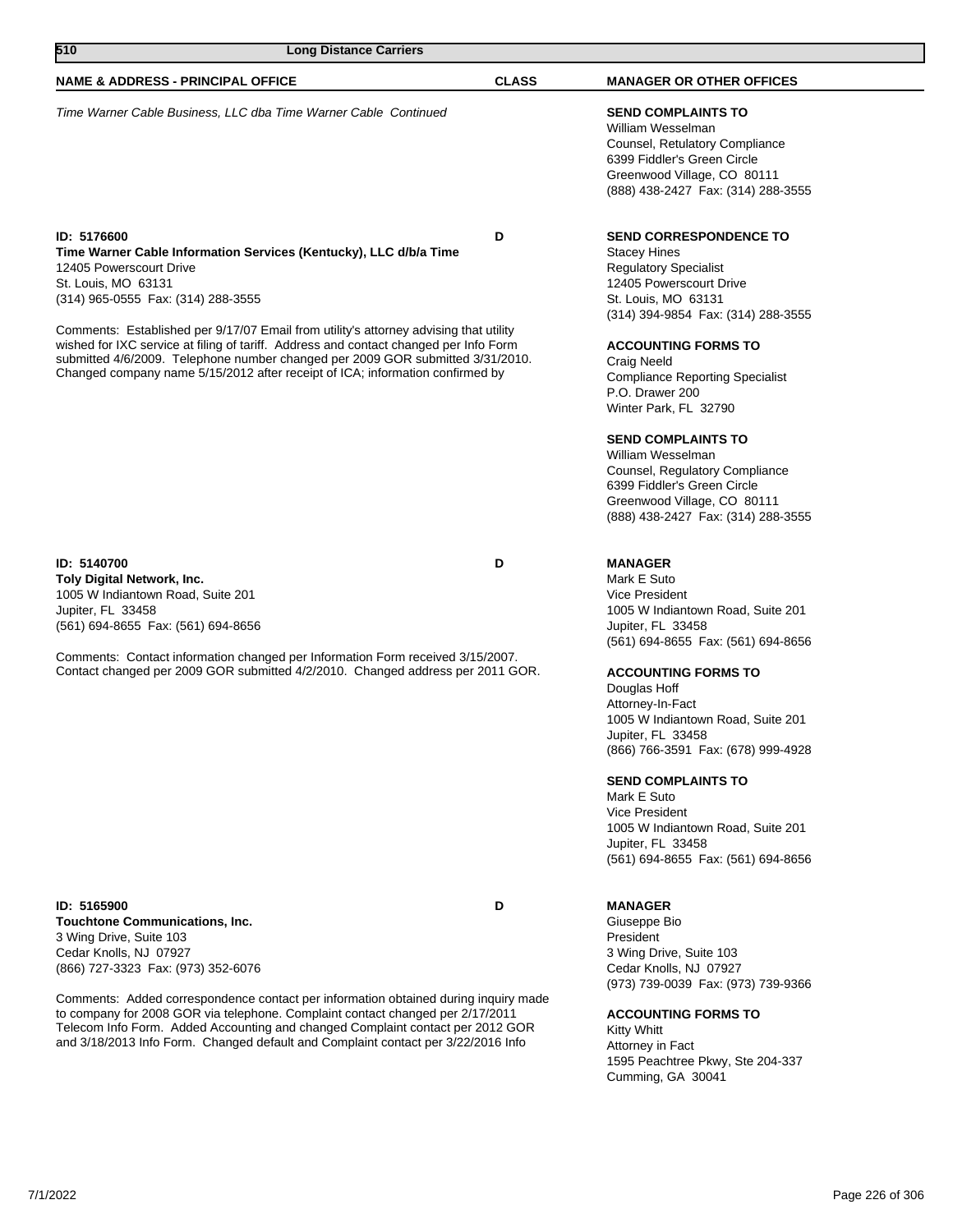| 510<br><b>Long Distance Carriers</b>                                                                                                                                                                                                                                                                                                                                                                                                                                                                                          |              |                                                                                                                                                                                                                                                                                                                                                                                                     |
|-------------------------------------------------------------------------------------------------------------------------------------------------------------------------------------------------------------------------------------------------------------------------------------------------------------------------------------------------------------------------------------------------------------------------------------------------------------------------------------------------------------------------------|--------------|-----------------------------------------------------------------------------------------------------------------------------------------------------------------------------------------------------------------------------------------------------------------------------------------------------------------------------------------------------------------------------------------------------|
| <b>NAME &amp; ADDRESS - PRINCIPAL OFFICE</b>                                                                                                                                                                                                                                                                                                                                                                                                                                                                                  | <b>CLASS</b> | <b>MANAGER OR OTHER OFFICES</b>                                                                                                                                                                                                                                                                                                                                                                     |
| Time Warner Cable Business, LLC dba Time Warner Cable Continued                                                                                                                                                                                                                                                                                                                                                                                                                                                               |              | <b>SEND COMPLAINTS TO</b><br>William Wesselman<br>Counsel, Retulatory Compliance<br>6399 Fiddler's Green Circle<br>Greenwood Village, CO 80111<br>(888) 438-2427 Fax: (314) 288-3555                                                                                                                                                                                                                |
| ID: 5176600<br>Time Warner Cable Information Services (Kentucky), LLC d/b/a Time<br>12405 Powerscourt Drive<br>St. Louis, MO 63131<br>(314) 965-0555 Fax: (314) 288-3555<br>Comments: Established per 9/17/07 Email from utility's attorney advising that utility<br>wished for IXC service at filing of tariff. Address and contact changed per Info Form<br>submitted 4/6/2009. Telephone number changed per 2009 GOR submitted 3/31/2010.<br>Changed company name 5/15/2012 after receipt of ICA; information confirmed by | D            | <b>SEND CORRESPONDENCE TO</b><br><b>Stacey Hines</b><br><b>Regulatory Specialist</b><br>12405 Powerscourt Drive<br>St. Louis, MO 63131<br>(314) 394-9854 Fax: (314) 288-3555<br><b>ACCOUNTING FORMS TO</b><br>Craig Neeld<br><b>Compliance Reporting Specialist</b><br>P.O. Drawer 200<br>Winter Park, FL 32790<br><b>SEND COMPLAINTS TO</b><br>William Wesselman<br>Counsel, Regulatory Compliance |
| ID: 5140700<br>Toly Digital Network, Inc.                                                                                                                                                                                                                                                                                                                                                                                                                                                                                     | D            | 6399 Fiddler's Green Circle<br>Greenwood Village, CO 80111<br>(888) 438-2427 Fax: (314) 288-3555<br><b>MANAGER</b><br>Mark E Suto                                                                                                                                                                                                                                                                   |
| 1005 W Indiantown Road, Suite 201<br>Jupiter, FL 33458<br>(561) 694-8655 Fax: (561) 694-8656                                                                                                                                                                                                                                                                                                                                                                                                                                  |              | <b>Vice President</b><br>1005 W Indiantown Road, Suite 201<br>Jupiter, FL 33458<br>(561) 694-8655 Fax: (561) 694-8656                                                                                                                                                                                                                                                                               |
| Comments: Contact information changed per Information Form received 3/15/2007.<br>Contact changed per 2009 GOR submitted 4/2/2010. Changed address per 2011 GOR.                                                                                                                                                                                                                                                                                                                                                              |              | <b>ACCOUNTING FORMS TO</b><br>Douglas Hoff<br>Attorney-In-Fact<br>1005 W Indiantown Road, Suite 201<br>Jupiter, FL 33458<br>(866) 766-3591 Fax: (678) 999-4928<br><b>SEND COMPLAINTS TO</b><br>Mark E Suto                                                                                                                                                                                          |
|                                                                                                                                                                                                                                                                                                                                                                                                                                                                                                                               |              | Vice President<br>1005 W Indiantown Road, Suite 201<br>Jupiter, FL 33458<br>(561) 694-8655 Fax: (561) 694-8656                                                                                                                                                                                                                                                                                      |
| ID: 5165900<br><b>Touchtone Communications, Inc.</b><br>3 Wing Drive, Suite 103<br>Cedar Knolls, NJ 07927<br>(866) 727-3323 Fax: (973) 352-6076                                                                                                                                                                                                                                                                                                                                                                               | D            | <b>MANAGER</b><br>Giuseppe Bio<br>President<br>3 Wing Drive, Suite 103<br>Cedar Knolls, NJ 07927<br>(973) 739-0039 Fax: (973) 739-9366                                                                                                                                                                                                                                                              |
| Comments: Added correspondence contact per information obtained during inquiry made<br>to company for 2008 GOR via telephone. Complaint contact changed per 2/17/2011<br>Telecom Info Form. Added Accounting and changed Complaint contact per 2012 GOR<br>and 3/18/2013 Info Form. Changed default and Complaint contact per 3/22/2016 Info                                                                                                                                                                                  |              | <b>ACCOUNTING FORMS TO</b><br><b>Kitty Whitt</b><br>Attorney in Fact                                                                                                                                                                                                                                                                                                                                |

1595 Peachtree Pkwy, Ste 204-337

Cumming, GA 30041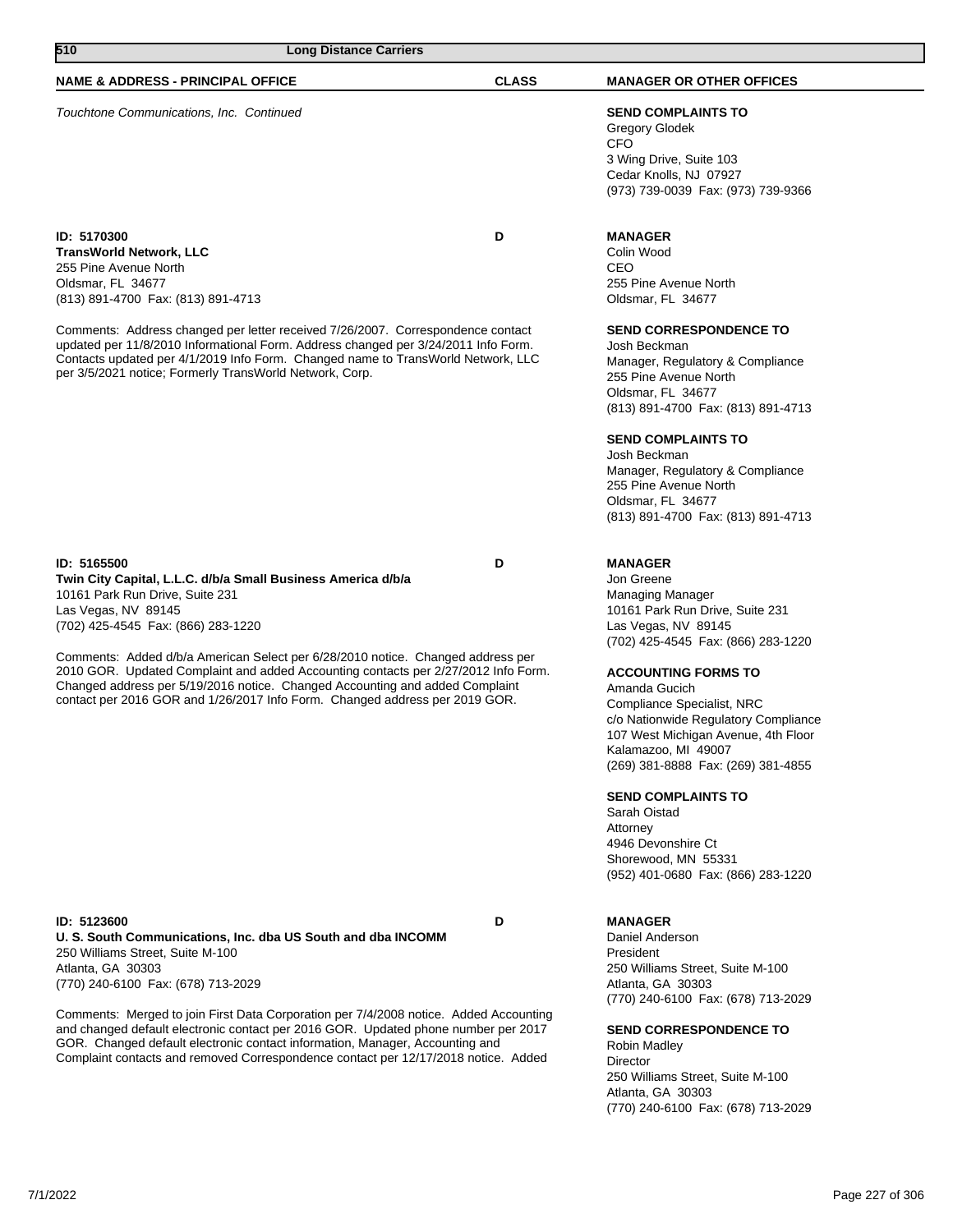| 7/1/2022 |  | Page 227 of 306 |
|----------|--|-----------------|

| <b>NAME &amp; ADDRESS - PRINCIPAL OFFICE</b>                                                                                                                                                                                                                                                                         | <b>CLASS</b> | <b>MANAGER OR OTHER (</b>                                                                                                                  |
|----------------------------------------------------------------------------------------------------------------------------------------------------------------------------------------------------------------------------------------------------------------------------------------------------------------------|--------------|--------------------------------------------------------------------------------------------------------------------------------------------|
| Touchtone Communications, Inc. Continued                                                                                                                                                                                                                                                                             |              | <b>SEND COMPLAINTS TO</b><br>Gregory Glodek<br><b>CFO</b><br>3 Wing Drive, Suite 103<br>Cedar Knolls, NJ 07927<br>(973) 739-0039 Fax: (973 |
| ID: 5170300                                                                                                                                                                                                                                                                                                          | D            | <b>MANAGER</b>                                                                                                                             |
| <b>TransWorld Network, LLC</b>                                                                                                                                                                                                                                                                                       |              | Colin Wood                                                                                                                                 |
| 255 Pine Avenue North                                                                                                                                                                                                                                                                                                |              | CEO                                                                                                                                        |
| Oldsmar, FL 34677                                                                                                                                                                                                                                                                                                    |              | 255 Pine Avenue North                                                                                                                      |
| (813) 891-4700 Fax: (813) 891-4713                                                                                                                                                                                                                                                                                   |              | Oldsmar, FL 34677                                                                                                                          |
| Comments: Address changed per letter received 7/26/2007. Correspondence contact<br>updated per 11/8/2010 Informational Form. Address changed per 3/24/2011 Info Form.<br>Contacts updated per 4/1/2019 Info Form. Changed name to TransWorld Network, LLC<br>per 3/5/2021 notice: Formerly TransWorld Network, Corp. |              | <b>SEND CORRESPONDEN</b><br>Josh Beckman<br>Manager, Regulatory & C<br>255 Pine Avenue North                                               |

**ID: 5165500 D Twin City Capital, L.L.C. d/b/a Small Business America d/b/a** 10161 Park Run Drive, Suite 231 Las Vegas, NV 89145 (702) 425-4545 Fax: (866) 283-1220

Comments: Added d/b/a American Select per 6/28/2010 notice. Changed address per 2010 GOR. Updated Complaint and added Accounting contacts per 2/27/2012 Info Form. Changed address per 5/19/2016 notice. Changed Accounting and added Complaint contact per 2016 GOR and 1/26/2017 Info Form. Changed address per 2019 GOR.

**ID: 5123600 D U. S. South Communications, Inc. dba US South and dba INCOMM** 250 Williams Street, Suite M-100 Atlanta, GA 30303 (770) 240-6100 Fax: (678) 713-2029

Comments: Merged to join First Data Corporation per 7/4/2008 notice. Added Accounting and changed default electronic contact per 2016 GOR. Updated phone number per 2017 GOR. Changed default electronic contact information, Manager, Accounting and Complaint contacts and removed Correspondence contact per 12/17/2018 notice. Added

#### **NTHER OFFICES**

 $ta$  103 07927 Fax: (973) 739-9366

#### **ONDENCE TO**

tory & Compliance 55 Pine Avenue North Oldsmar, FL 34677 (813) 891-4700 Fax: (813) 891-4713

### **SEND COMPLAINTS TO**

Josh Beckman Manager, Regulatory & Compliance 255 Pine Avenue North Oldsmar, FL 34677 (813) 891-4700 Fax: (813) 891-4713

#### **MANAGER**

Jon Greene Managing Manager 10161 Park Run Drive, Suite 231 Las Vegas, NV 89145 (702) 425-4545 Fax: (866) 283-1220

#### **ACCOUNTING FORMS TO**

Amanda Gucich Compliance Specialist, NRC c/o Nationwide Regulatory Compliance 107 West Michigan Avenue, 4th Floor Kalamazoo, MI 49007 (269) 381-8888 Fax: (269) 381-4855

#### **SEND COMPLAINTS TO**

Sarah Oistad Attorney 4946 Devonshire Ct Shorewood, MN 55331 (952) 401-0680 Fax: (866) 283-1220

#### **MANAGER**

Daniel Anderson President 250 Williams Street, Suite M-100 Atlanta, GA 30303 (770) 240-6100 Fax: (678) 713-2029

#### **SEND CORRESPONDENCE TO**

Robin Madley **Director** 250 Williams Street, Suite M-100 Atlanta, GA 30303 (770) 240-6100 Fax: (678) 713-2029

### **510 Long Distance Carriers**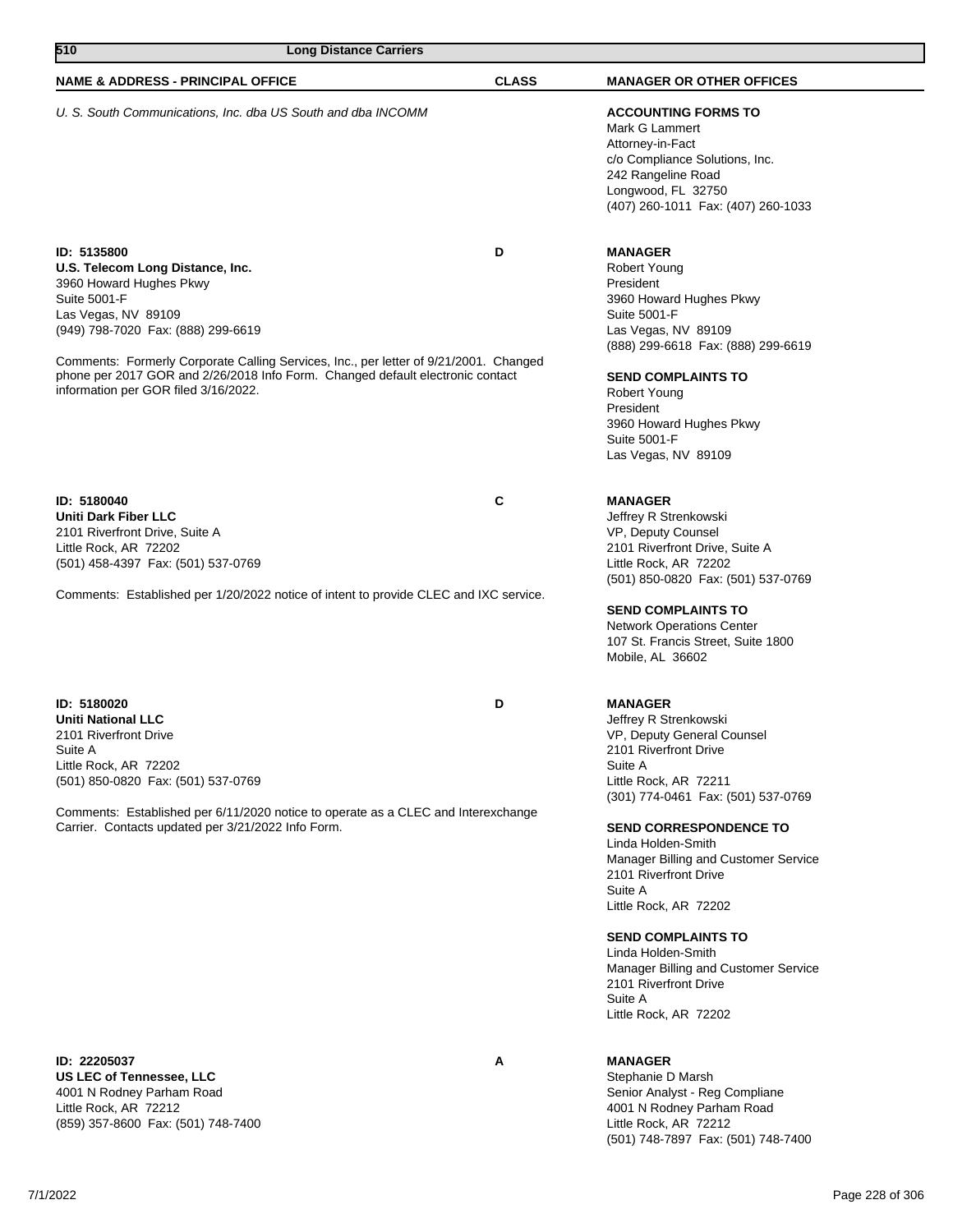| 510<br><b>Long Distance Carriers</b>                                                                                                                                                                                                                                                                                                                                       |              |                                                                                                                                                                                                                                                                                                                                                                   |
|----------------------------------------------------------------------------------------------------------------------------------------------------------------------------------------------------------------------------------------------------------------------------------------------------------------------------------------------------------------------------|--------------|-------------------------------------------------------------------------------------------------------------------------------------------------------------------------------------------------------------------------------------------------------------------------------------------------------------------------------------------------------------------|
| <b>NAME &amp; ADDRESS - PRINCIPAL OFFICE</b>                                                                                                                                                                                                                                                                                                                               | <b>CLASS</b> | <b>MANAGER OR OTHER OFFICES</b>                                                                                                                                                                                                                                                                                                                                   |
| U. S. South Communications, Inc. dba US South and dba INCOMM                                                                                                                                                                                                                                                                                                               |              | <b>ACCOUNTING FORMS TO</b><br>Mark G Lammert<br>Attorney-in-Fact<br>c/o Compliance Solutions, Inc.<br>242 Rangeline Road<br>Longwood, FL 32750<br>(407) 260-1011 Fax: (407) 260-1033                                                                                                                                                                              |
| ID: 5135800<br>U.S. Telecom Long Distance, Inc.<br>3960 Howard Hughes Pkwy<br>Suite 5001-F<br>Las Vegas, NV 89109<br>(949) 798-7020 Fax: (888) 299-6619<br>Comments: Formerly Corporate Calling Services, Inc., per letter of 9/21/2001. Changed<br>phone per 2017 GOR and 2/26/2018 Info Form. Changed default electronic contact<br>information per GOR filed 3/16/2022. | D            | <b>MANAGER</b><br>Robert Young<br>President<br>3960 Howard Hughes Pkwy<br>Suite 5001-F<br>Las Vegas, NV 89109<br>(888) 299-6618 Fax: (888) 299-6619<br><b>SEND COMPLAINTS TO</b><br>Robert Young<br>President<br>3960 Howard Hughes Pkwy<br>Suite 5001-F<br>Las Vegas, NV 89109                                                                                   |
| ID: 5180040<br><b>Uniti Dark Fiber LLC</b><br>2101 Riverfront Drive, Suite A<br>Little Rock, AR 72202<br>(501) 458-4397 Fax: (501) 537-0769<br>Comments: Established per 1/20/2022 notice of intent to provide CLEC and IXC service.                                                                                                                                       | C            | <b>MANAGER</b><br>Jeffrey R Strenkowski<br>VP, Deputy Counsel<br>2101 Riverfront Drive, Suite A<br>Little Rock, AR 72202<br>(501) 850-0820 Fax: (501) 537-0769<br><b>SEND COMPLAINTS TO</b><br><b>Network Operations Center</b><br>107 St. Francis Street, Suite 1800<br>Mobile, AL 36602                                                                         |
| ID: 5180020<br><b>Uniti National LLC</b><br>2101 Riverfront Drive<br>Suite A<br>Little Rock, AR 72202<br>(501) 850-0820 Fax: (501) 537-0769<br>Comments: Established per 6/11/2020 notice to operate as a CLEC and Interexchange<br>Carrier. Contacts updated per 3/21/2022 Info Form.                                                                                     | D            | <b>MANAGER</b><br>Jeffrey R Strenkowski<br>VP, Deputy General Counsel<br>2101 Riverfront Drive<br>Suite A<br>Little Rock, AR 72211<br>(301) 774-0461 Fax: (501) 537-0769<br><b>SEND CORRESPONDENCE TO</b><br>Linda Holden-Smith<br>Manager Billing and Customer Service<br>2101 Riverfront Drive<br>Suite A<br>Little Rock, AR 72202<br><b>SEND COMPLAINTS TO</b> |

**ID: 22205037 A US LEC of Tennessee, LLC** 4001 N Rodney Parham Road Little Rock, AR 72212 (859) 357-8600 Fax: (501) 748-7400

# **MANAGER**

Suite A

Linda Holden-Smith

2101 Riverfront Drive

Little Rock, AR 72202

Stephanie D Marsh Senior Analyst - Reg Compliane 4001 N Rodney Parham Road Little Rock, AR 72212 (501) 748-7897 Fax: (501) 748-7400

Manager Billing and Customer Service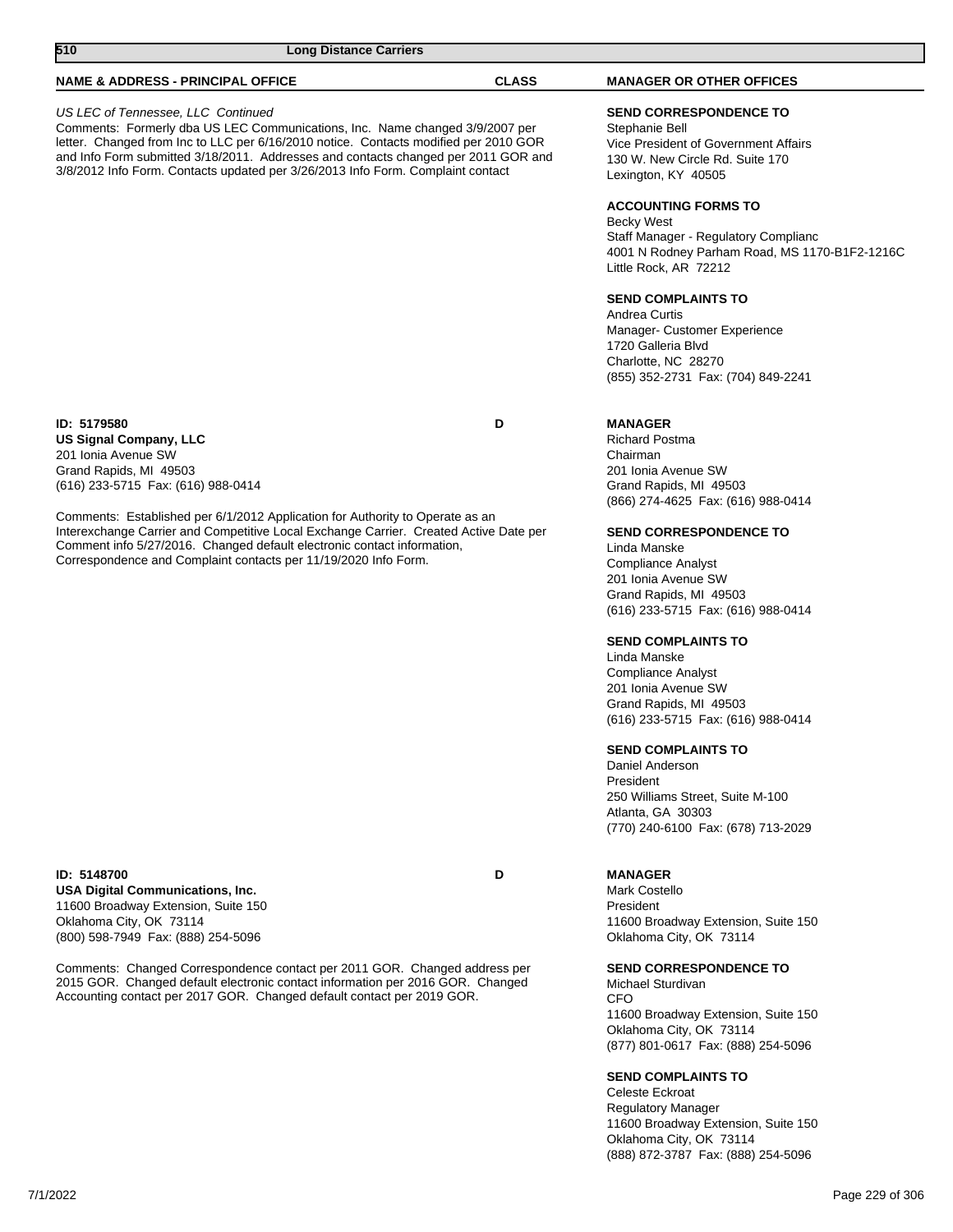| <b>NAME &amp; ADDRESS - PRINCIPAL OFFICE</b>                                                                                                                                                                                                                                                                                                                                        | <b>CLASS</b> | <b>MANAGER OR OTHER OFFICES</b>                                                                                                                                                 |
|-------------------------------------------------------------------------------------------------------------------------------------------------------------------------------------------------------------------------------------------------------------------------------------------------------------------------------------------------------------------------------------|--------------|---------------------------------------------------------------------------------------------------------------------------------------------------------------------------------|
| US LEC of Tennessee, LLC Continued<br>Comments: Formerly dba US LEC Communications, Inc. Name changed 3/9/2007 per<br>letter. Changed from Inc to LLC per 6/16/2010 notice. Contacts modified per 2010 GOR<br>and Info Form submitted 3/18/2011. Addresses and contacts changed per 2011 GOR and<br>3/8/2012 Info Form. Contacts updated per 3/26/2013 Info Form. Complaint contact |              | <b>SEND CORRESPONDENCE TO</b><br>Stephanie Bell<br>Vice President of Government Affairs<br>130 W. New Circle Rd. Suite 170<br>Lexington, KY 40505<br><b>ACCOUNTING FORMS TO</b> |
|                                                                                                                                                                                                                                                                                                                                                                                     |              | Becky West<br>Staff Manager - Regulatory Complianc<br>4001 N Rodney Parham Road, MS 1170-B1F2-1216C<br>Little Rock, AR 72212                                                    |
|                                                                                                                                                                                                                                                                                                                                                                                     |              | <b>SEND COMPLAINTS TO</b><br>Andrea Curtis<br>Manager- Customer Experience<br>1720 Galleria Blvd<br>Charlotte, NC 28270<br>(855) 352-2731 Fax: (704) 849-2241                   |
| ID: 5179580<br>US Signal Company, LLC<br>201 Ionia Avenue SW<br>Grand Rapids, MI 49503<br>(616) 233-5715 Fax: (616) 988-0414                                                                                                                                                                                                                                                        | D            | <b>MANAGER</b><br><b>Richard Postma</b><br>Chairman<br>201 Ionia Avenue SW<br>Grand Rapids, MI 49503<br>(866) 274-4625 Fax: (616) 988-0414                                      |
| Comments: Established per 6/1/2012 Application for Authority to Operate as an<br>Interexchange Carrier and Competitive Local Exchange Carrier. Created Active Date per<br>Comment info 5/27/2016. Changed default electronic contact information,<br>Correspondence and Complaint contacts per 11/19/2020 Info Form.                                                                |              | <b>SEND CORRESPONDENCE TO</b><br>Linda Manske<br><b>Compliance Analyst</b><br>201 Ionia Avenue SW<br>Grand Rapids, MI 49503<br>(616) 233-5715 Fax: (616) 988-0414               |
|                                                                                                                                                                                                                                                                                                                                                                                     |              | <b>SEND COMPLAINTS TO</b><br>Linda Manske<br><b>Compliance Analyst</b><br>201 Ionia Avenue SW<br>Grand Rapids, MI 49503<br>(616) 233-5715 Fax: (616) 988-0414                   |
|                                                                                                                                                                                                                                                                                                                                                                                     |              | <b>SEND COMPLAINTS TO</b><br>Daniel Anderson<br>President<br>250 Williams Street, Suite M-100<br>Atlanta, GA 30303<br>(770) 240-6100 Fax: (678) 713-2029                        |
| ID: 5148700<br><b>USA Digital Communications, Inc.</b><br>11600 Broadway Extension, Suite 150<br>Oklahoma City, OK 73114<br>(800) 598-7949 Fax: (888) 254-5096                                                                                                                                                                                                                      | D            | <b>MANAGER</b><br>Mark Costello<br>President<br>11600 Broadway Extension, Suite 150<br>Oklahoma City, OK 73114                                                                  |
| Comments: Changed Correspondence contact per 2011 GOR. Changed address per<br>2015 GOR. Changed default electronic contact information per 2016 GOR. Changed<br>Accounting contact per 2017 GOR. Changed default contact per 2019 GOR.                                                                                                                                              |              | <b>SEND CORRESPONDENCE TO</b><br>Michael Sturdivan<br><b>CFO</b><br>11600 Broadway Extension, Suite 150<br>Oklahoma City, OK 73114<br>(877) 801-0617 Fax: (888) 254-5096        |
|                                                                                                                                                                                                                                                                                                                                                                                     |              | <b>SEND COMPLAINTS TO</b>                                                                                                                                                       |

**510 Long Distance Carriers** 

Celeste Eckroat Regulatory Manager 11600 Broadway Extension, Suite 150 Oklahoma City, OK 73114 (888) 872-3787 Fax: (888) 254-5096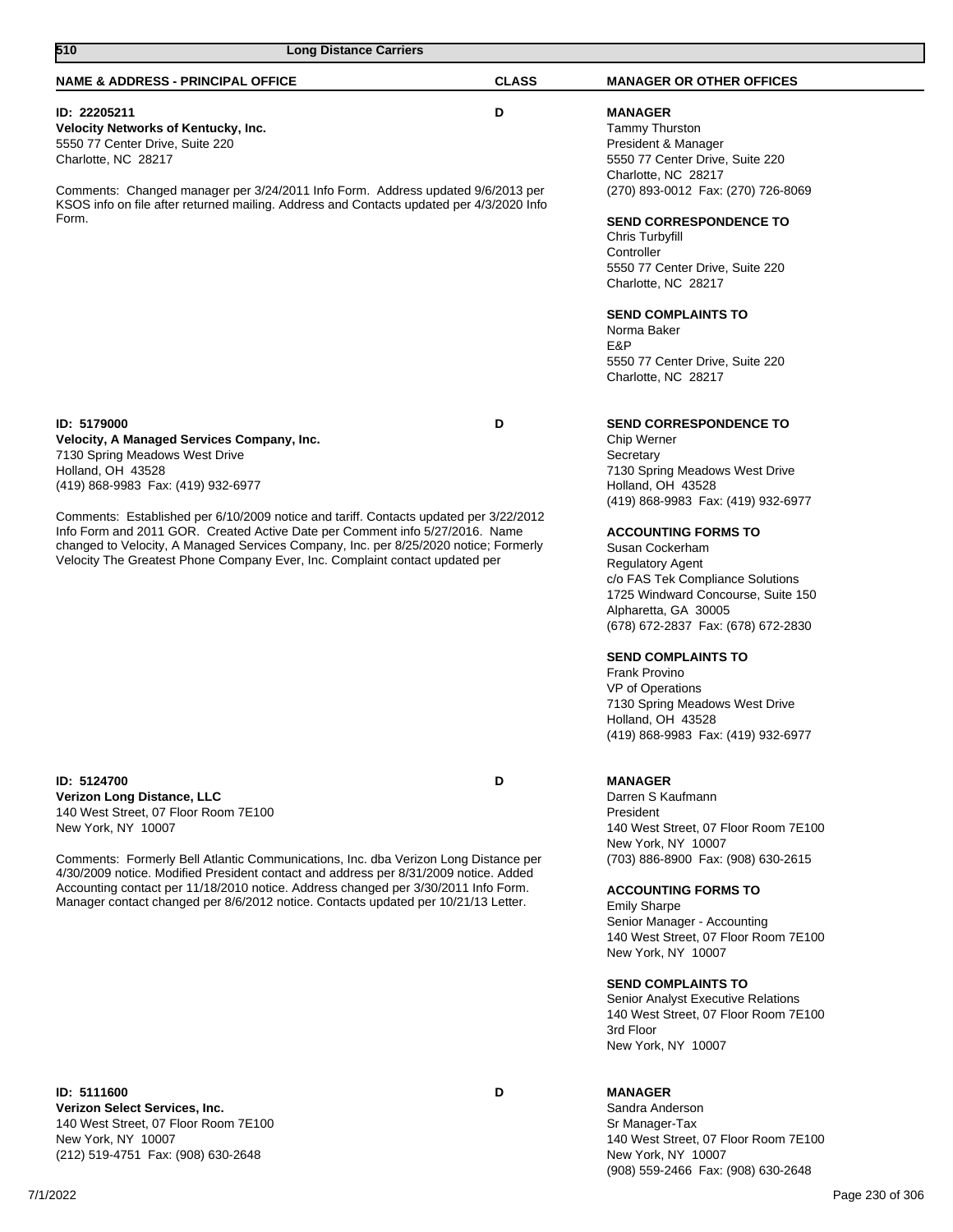| 510<br><b>Long Distance Carriers</b>                                                                                                                                        |              |                                                                                                   |
|-----------------------------------------------------------------------------------------------------------------------------------------------------------------------------|--------------|---------------------------------------------------------------------------------------------------|
| <b>NAME &amp; ADDRESS - PRINCIPAL OFFICE</b>                                                                                                                                | <b>CLASS</b> | <b>MANAGER OR OTHER OFFICES</b>                                                                   |
| ID: 22205211<br>Velocity Networks of Kentucky, Inc.<br>5550 77 Center Drive, Suite 220<br>Charlotte, NC 28217                                                               | D            | <b>MANAGER</b><br><b>Tammy Thurston</b><br>President & Manager<br>5550 77 Center Drive, Suite 220 |
| Comments: Changed manager per 3/24/2011 Info Form. Address updated 9/6/2013 per<br>KSOS info on file after returned mailing. Address and Contacts updated per 4/3/2020 Info |              | Charlotte, NC 28217<br>(270) 893-0012 Fax: (270) 726-8069                                         |
| Form.                                                                                                                                                                       |              | <b>SEND CORRESPONDENCE TO</b><br>Chris Turbyfill                                                  |
|                                                                                                                                                                             |              | Controller<br>5550 77 Center Drive, Suite 220<br>Charlotte, NC 28217                              |
|                                                                                                                                                                             |              | <b>SEND COMPLAINTS TO</b><br>Norma Baker                                                          |
|                                                                                                                                                                             |              | E&P<br>5550 77 Center Drive, Suite 220<br>Charlotte, NC 28217                                     |
| ID: 5179000                                                                                                                                                                 | D            | <b>SEND CORRESPONDENCE TO</b>                                                                     |
| Velocity, A Managed Services Company, Inc.<br>7130 Spring Meadows West Drive                                                                                                |              | Chip Werner<br>Secretary                                                                          |
| Holland, OH 43528                                                                                                                                                           |              | 7130 Spring Meadows West Drive                                                                    |
| (419) 868-9983 Fax: (419) 932-6977                                                                                                                                          |              | Holland, OH 43528                                                                                 |
|                                                                                                                                                                             |              | (419) 868-9983 Fax: (419) 932-6977                                                                |
| Comments: Established per 6/10/2009 notice and tariff. Contacts updated per 3/22/2012<br>Info Form and 2011 GOR. Created Active Date per Comment info 5/27/2016. Name       |              |                                                                                                   |
| changed to Velocity, A Managed Services Company, Inc. per 8/25/2020 notice; Formerly                                                                                        |              | <b>ACCOUNTING FORMS TO</b><br>Susan Cockerham                                                     |
| Velocity The Greatest Phone Company Ever, Inc. Complaint contact updated per                                                                                                |              | <b>Regulatory Agent</b>                                                                           |
|                                                                                                                                                                             |              | c/o FAS Tek Compliance Solutions                                                                  |
|                                                                                                                                                                             |              | 1725 Windward Concourse, Suite 150                                                                |
|                                                                                                                                                                             |              | Alpharetta, GA 30005                                                                              |
|                                                                                                                                                                             |              | (678) 672-2837 Fax: (678) 672-2830                                                                |
|                                                                                                                                                                             |              | <b>SEND COMPLAINTS TO</b>                                                                         |
|                                                                                                                                                                             |              | <b>Frank Provino</b>                                                                              |
|                                                                                                                                                                             |              | VP of Operations                                                                                  |
|                                                                                                                                                                             |              | 7130 Spring Meadows West Drive                                                                    |
|                                                                                                                                                                             |              | Holland, OH 43528<br>(419) 868-9983 Fax: (419) 932-6977                                           |
|                                                                                                                                                                             |              |                                                                                                   |
| ID: 5124700                                                                                                                                                                 | D            | <b>MANAGER</b>                                                                                    |
| <b>Verizon Long Distance, LLC</b>                                                                                                                                           |              | Darren S Kaufmann                                                                                 |
| 140 West Street, 07 Floor Room 7E100                                                                                                                                        |              | President                                                                                         |
| New York, NY 10007                                                                                                                                                          |              | 140 West Street, 07 Floor Room 7E100<br>New York, NY 10007                                        |
| Comments: Formerly Bell Atlantic Communications, Inc. dba Verizon Long Distance per<br>4/30/2009 notice. Modified President contact and address per 8/31/2009 notice. Added |              | (703) 886-8900 Fax: (908) 630-2615                                                                |
| Accounting contact per 11/18/2010 notice. Address changed per 3/30/2011 Info Form.                                                                                          |              | <b>ACCOUNTING FORMS TO</b>                                                                        |
| Manager contact changed per 8/6/2012 notice. Contacts updated per 10/21/13 Letter.                                                                                          |              | <b>Emily Sharpe</b>                                                                               |
|                                                                                                                                                                             |              | Senior Manager - Accounting                                                                       |
|                                                                                                                                                                             |              | 140 West Street, 07 Floor Room 7E100<br>New York, NY 10007                                        |
|                                                                                                                                                                             |              |                                                                                                   |
|                                                                                                                                                                             |              | <b>SEND COMPLAINTS TO</b>                                                                         |
|                                                                                                                                                                             |              | Senior Analyst Executive Relations<br>140 West Street, 07 Floor Room 7E100                        |

**ID: 5111600 D Verizon Select Services, Inc.** 140 West Street, 07 Floor Room 7E100 New York, NY 10007 (212) 519-4751 Fax: (908) 630-2648

### **MANAGER**

3rd Floor

New York, NY 10007

Sandra Anderson Sr Manager-Tax 140 West Street, 07 Floor Room 7E100 New York, NY 10007 (908) 559-2466 Fax: (908) 630-2648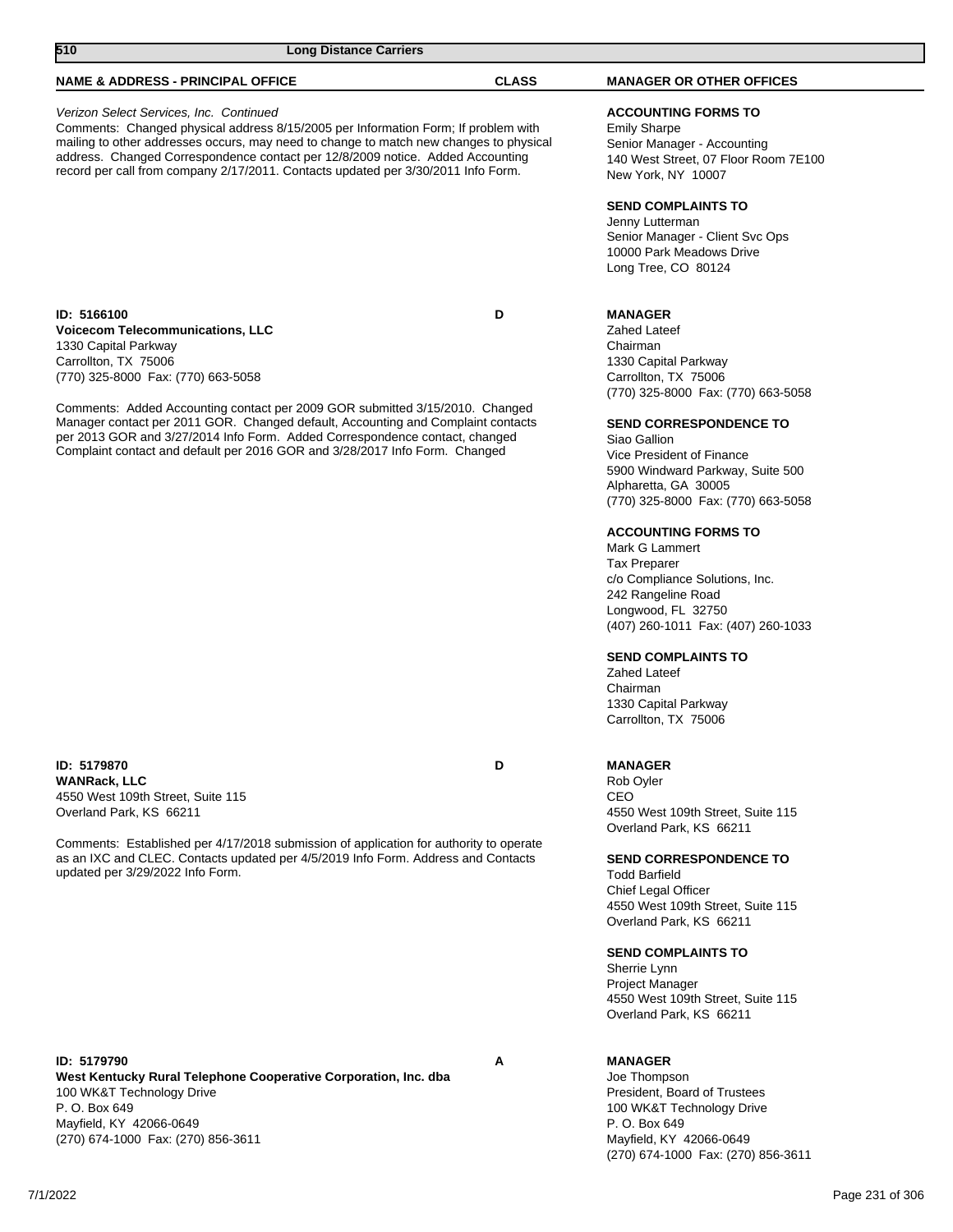| 510                                                                                                                                                                                                                                                                                                                                                                                            | <b>Long Distance Carriers</b> |                                                                                                                                                                                                                                                                                                                                                                                                                                                                                         |
|------------------------------------------------------------------------------------------------------------------------------------------------------------------------------------------------------------------------------------------------------------------------------------------------------------------------------------------------------------------------------------------------|-------------------------------|-----------------------------------------------------------------------------------------------------------------------------------------------------------------------------------------------------------------------------------------------------------------------------------------------------------------------------------------------------------------------------------------------------------------------------------------------------------------------------------------|
| <b>NAME &amp; ADDRESS - PRINCIPAL OFFICE</b>                                                                                                                                                                                                                                                                                                                                                   | <b>CLASS</b>                  | <b>MANAGER OR OTHER OFFICES</b>                                                                                                                                                                                                                                                                                                                                                                                                                                                         |
| Verizon Select Services, Inc. Continued<br>Comments: Changed physical address 8/15/2005 per Information Form; If problem with<br>mailing to other addresses occurs, may need to change to match new changes to physical<br>address. Changed Correspondence contact per 12/8/2009 notice. Added Accounting<br>record per call from company 2/17/2011. Contacts updated per 3/30/2011 Info Form. |                               | <b>ACCOUNTING FORMS TO</b><br><b>Emily Sharpe</b><br>Senior Manager - Accounting<br>140 West Street, 07 Floor Room 7E100<br>New York, NY 10007                                                                                                                                                                                                                                                                                                                                          |
|                                                                                                                                                                                                                                                                                                                                                                                                |                               | <b>SEND COMPLAINTS TO</b><br>Jenny Lutterman<br>Senior Manager - Client Svc Ops<br>10000 Park Meadows Drive<br>Long Tree, CO 80124                                                                                                                                                                                                                                                                                                                                                      |
| ID: 5166100<br><b>Voicecom Telecommunications, LLC</b><br>1330 Capital Parkway<br>Carrollton, TX 75006<br>(770) 325-8000 Fax: (770) 663-5058                                                                                                                                                                                                                                                   | D                             | <b>MANAGER</b><br><b>Zahed Lateef</b><br>Chairman<br>1330 Capital Parkway<br>Carrollton, TX 75006<br>(770) 325-8000 Fax: (770) 663-5058                                                                                                                                                                                                                                                                                                                                                 |
| Comments: Added Accounting contact per 2009 GOR submitted 3/15/2010. Changed<br>Manager contact per 2011 GOR. Changed default, Accounting and Complaint contacts<br>per 2013 GOR and 3/27/2014 Info Form. Added Correspondence contact, changed<br>Complaint contact and default per 2016 GOR and 3/28/2017 Info Form. Changed                                                                 |                               | <b>SEND CORRESPONDENCE TO</b><br>Siao Gallion<br>Vice President of Finance<br>5900 Windward Parkway, Suite 500<br>Alpharetta, GA 30005<br>(770) 325-8000 Fax: (770) 663-5058<br><b>ACCOUNTING FORMS TO</b><br>Mark G Lammert<br><b>Tax Preparer</b><br>c/o Compliance Solutions, Inc.<br>242 Rangeline Road<br>Longwood, FL 32750<br>(407) 260-1011 Fax: (407) 260-1033<br><b>SEND COMPLAINTS TO</b><br><b>Zahed Lateef</b><br>Chairman<br>1330 Capital Parkway<br>Carrollton, TX 75006 |
| ID: 5179870<br><b>WANRack, LLC</b><br>4550 West 109th Street, Suite 115<br>Overland Park, KS 66211<br>Comments: Established per 4/17/2018 submission of application for authority to operate<br>as an IXC and CLEC. Contacts updated per 4/5/2019 Info Form. Address and Contacts<br>updated per 3/29/2022 Info Form.                                                                          | D                             | <b>MANAGER</b><br>Rob Oyler<br>CEO<br>4550 West 109th Street, Suite 115<br>Overland Park, KS 66211<br><b>SEND CORRESPONDENCE TO</b><br><b>Todd Barfield</b><br>Chief Legal Officer<br>4550 West 109th Street, Suite 115<br>Overland Park, KS 66211<br><b>SEND COMPLAINTS TO</b><br>Sherrie Lynn<br><b>Project Manager</b><br>4550 West 109th Street, Suite 115<br>Overland Park, KS 66211                                                                                               |

**ID: 5179790 A West Kentucky Rural Telephone Cooperative Corporation, Inc. dba** 100 WK&T Technology Drive P. O. Box 649 Mayfield, KY 42066-0649 (270) 674-1000 Fax: (270) 856-3611

# **MANAGER**

Joe Thompson President, Board of Trustees 100 WK&T Technology Drive P. O. Box 649 Mayfield, KY 42066-0649 (270) 674-1000 Fax: (270) 856-3611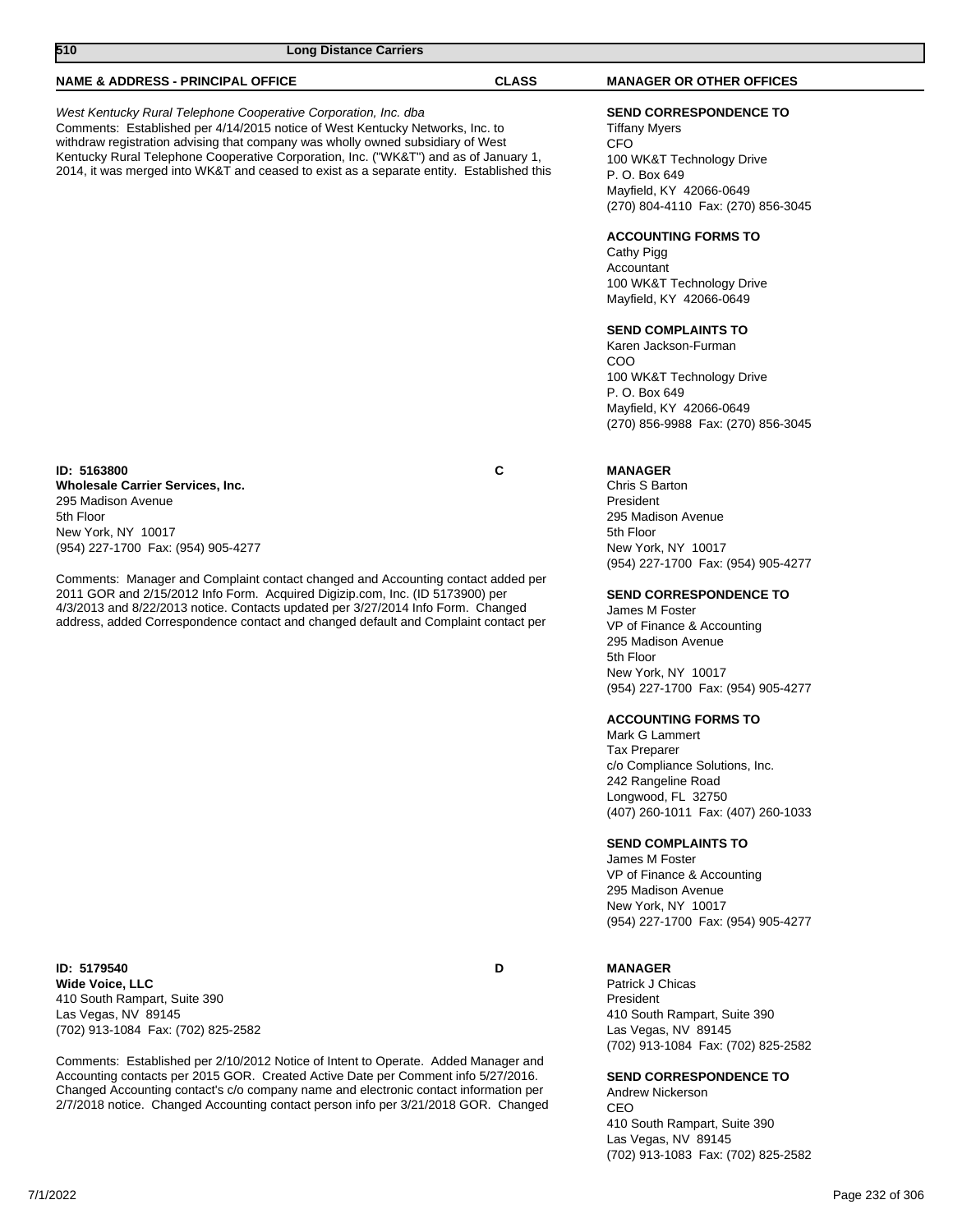| 510<br><b>Long Distance Carriers</b>                                                                                                                                                                                                                                                                                                                                                                                    |              |                                                                                                                                                                                                                                                                                                                                                                         |
|-------------------------------------------------------------------------------------------------------------------------------------------------------------------------------------------------------------------------------------------------------------------------------------------------------------------------------------------------------------------------------------------------------------------------|--------------|-------------------------------------------------------------------------------------------------------------------------------------------------------------------------------------------------------------------------------------------------------------------------------------------------------------------------------------------------------------------------|
| <b>NAME &amp; ADDRESS - PRINCIPAL OFFICE</b>                                                                                                                                                                                                                                                                                                                                                                            | <b>CLASS</b> | <b>MANAGER OR OTHER OFFICES</b>                                                                                                                                                                                                                                                                                                                                         |
| West Kentucky Rural Telephone Cooperative Corporation, Inc. dba<br>Comments: Established per 4/14/2015 notice of West Kentucky Networks, Inc. to<br>withdraw registration advising that company was wholly owned subsidiary of West<br>Kentucky Rural Telephone Cooperative Corporation, Inc. ("WK&T") and as of January 1,<br>2014, it was merged into WK&T and ceased to exist as a separate entity. Established this |              | <b>SEND CORRESPONDENCE TO</b><br><b>Tiffany Myers</b><br>CFO<br>100 WK&T Technology Drive<br>P. O. Box 649<br>Mayfield, KY 42066-0649<br>(270) 804-4110 Fax: (270) 856-3045<br><b>ACCOUNTING FORMS TO</b><br>Cathy Pigg                                                                                                                                                 |
|                                                                                                                                                                                                                                                                                                                                                                                                                         |              | Accountant<br>100 WK&T Technology Drive<br>Mayfield, KY 42066-0649                                                                                                                                                                                                                                                                                                      |
|                                                                                                                                                                                                                                                                                                                                                                                                                         |              | <b>SEND COMPLAINTS TO</b><br>Karen Jackson-Furman<br><b>COO</b><br>100 WK&T Technology Drive<br>P. O. Box 649<br>Mayfield, KY 42066-0649<br>(270) 856-9988 Fax: (270) 856-3045                                                                                                                                                                                          |
| ID: 5163800<br><b>Wholesale Carrier Services, Inc.</b><br>295 Madison Avenue<br>5th Floor<br>New York, NY 10017<br>(954) 227-1700 Fax: (954) 905-4277                                                                                                                                                                                                                                                                   | C            | <b>MANAGER</b><br>Chris S Barton<br>President<br>295 Madison Avenue<br>5th Floor<br>New York, NY 10017<br>(954) 227-1700 Fax: (954) 905-4277                                                                                                                                                                                                                            |
| Comments: Manager and Complaint contact changed and Accounting contact added per<br>2011 GOR and 2/15/2012 Info Form. Acquired Digizip.com, Inc. (ID 5173900) per<br>4/3/2013 and 8/22/2013 notice. Contacts updated per 3/27/2014 Info Form. Changed<br>address, added Correspondence contact and changed default and Complaint contact per                                                                            |              | <b>SEND CORRESPONDENCE TO</b><br>James M Foster<br>VP of Finance & Accounting<br>295 Madison Avenue<br>5th Floor<br>New York, NY 10017<br>(954) 227-1700 Fax: (954) 905-4277<br><b>ACCOUNTING FORMS TO</b><br>Mark G Lammert<br><b>Tax Preparer</b><br>c/o Compliance Solutions, Inc.<br>242 Rangeline Road<br>Longwood, FL 32750<br>(407) 260-1011 Fax: (407) 260-1033 |
|                                                                                                                                                                                                                                                                                                                                                                                                                         |              | <b>SEND COMPLAINTS TO</b><br>Iames M Foster                                                                                                                                                                                                                                                                                                                             |

James M Foster VP of Finance & Accounting 295 Madison Avenue New York, NY 10017 (954) 227-1700 Fax: (954) 905-4277

**MANAGER** Patrick J Chicas President 410 South Rampart, Suite 390 Las Vegas, NV 89145 (702) 913-1084 Fax: (702) 825-2582

**SEND CORRESPONDENCE TO** Andrew Nickerson CEO 410 South Rampart, Suite 390 Las Vegas, NV 89145 (702) 913-1083 Fax: (702) 825-2582

**ID: 5179540 D Wide Voice, LLC** 410 South Rampart, Suite 390 Las Vegas, NV 89145 (702) 913-1084 Fax: (702) 825-2582

Comments: Established per 2/10/2012 Notice of Intent to Operate. Added Manager and Accounting contacts per 2015 GOR. Created Active Date per Comment info 5/27/2016. Changed Accounting contact's c/o company name and electronic contact information per 2/7/2018 notice. Changed Accounting contact person info per 3/21/2018 GOR. Changed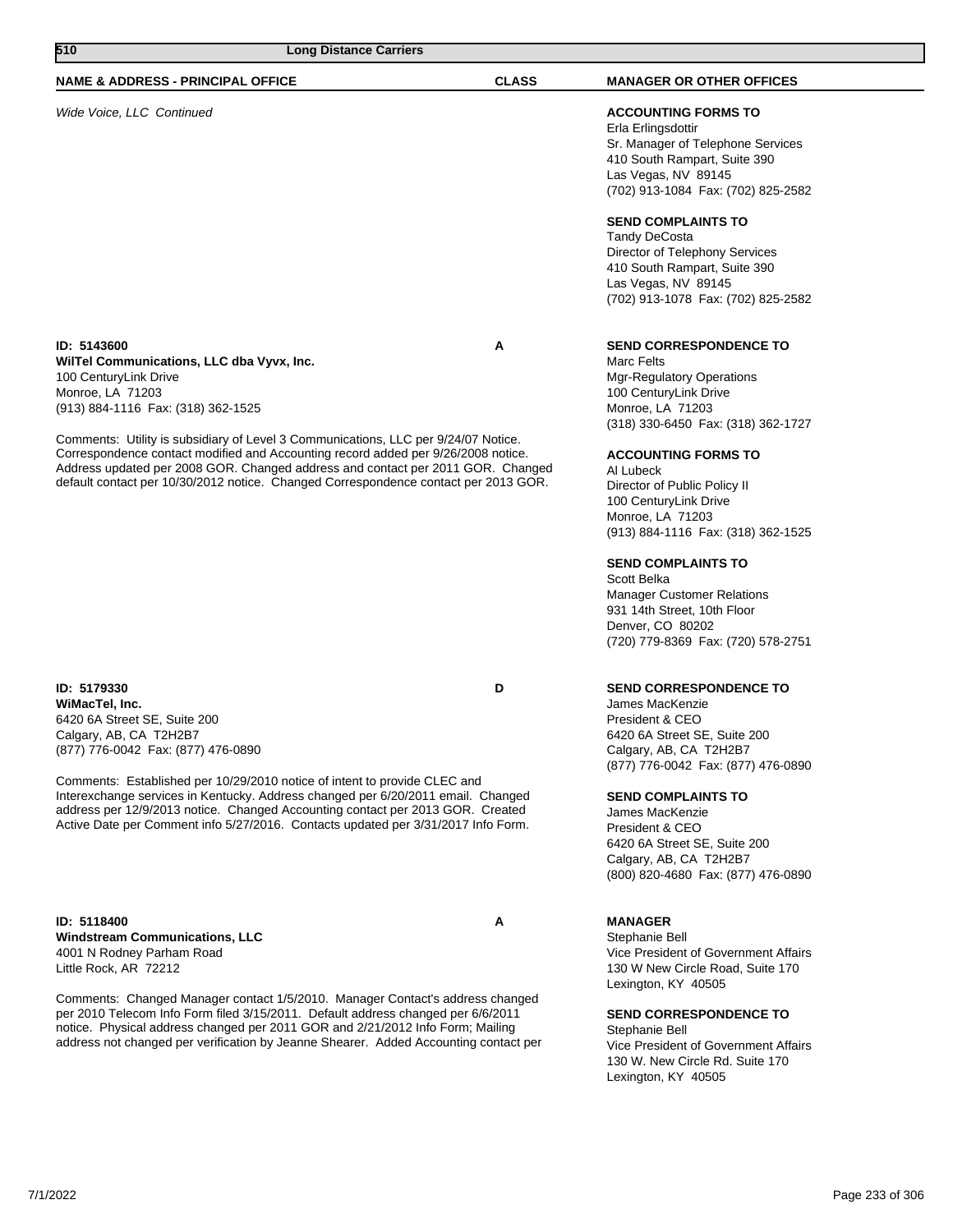| 510<br><b>Long Distance Carriers</b>                                                                                                                                                                                                                                                                                                                                                                                                                                                             |              |                                                                                                                                                                                                                                                                                                                                                                                                                                                                                                            |
|--------------------------------------------------------------------------------------------------------------------------------------------------------------------------------------------------------------------------------------------------------------------------------------------------------------------------------------------------------------------------------------------------------------------------------------------------------------------------------------------------|--------------|------------------------------------------------------------------------------------------------------------------------------------------------------------------------------------------------------------------------------------------------------------------------------------------------------------------------------------------------------------------------------------------------------------------------------------------------------------------------------------------------------------|
| <b>NAME &amp; ADDRESS - PRINCIPAL OFFICE</b>                                                                                                                                                                                                                                                                                                                                                                                                                                                     | <b>CLASS</b> | <b>MANAGER OR OTHER OFFICES</b>                                                                                                                                                                                                                                                                                                                                                                                                                                                                            |
| Wide Voice, LLC Continued                                                                                                                                                                                                                                                                                                                                                                                                                                                                        |              | <b>ACCOUNTING FORMS TO</b><br>Erla Erlingsdottir<br>Sr. Manager of Telephone Services<br>410 South Rampart, Suite 390<br>Las Vegas, NV 89145<br>(702) 913-1084 Fax: (702) 825-2582<br><b>SEND COMPLAINTS TO</b><br>Tandy DeCosta<br>Director of Telephony Services<br>410 South Rampart, Suite 390<br>Las Vegas, NV 89145<br>(702) 913-1078 Fax: (702) 825-2582                                                                                                                                            |
| ID: 5143600<br>WilTel Communications, LLC dba Vyvx, Inc.<br>100 CenturyLink Drive<br>Monroe, LA 71203<br>(913) 884-1116 Fax: (318) 362-1525<br>Comments: Utility is subsidiary of Level 3 Communications, LLC per 9/24/07 Notice.<br>Correspondence contact modified and Accounting record added per 9/26/2008 notice.<br>Address updated per 2008 GOR. Changed address and contact per 2011 GOR. Changed<br>default contact per 10/30/2012 notice. Changed Correspondence contact per 2013 GOR. | Α            | <b>SEND CORRESPONDENCE TO</b><br>Marc Felts<br><b>Mgr-Regulatory Operations</b><br>100 CenturyLink Drive<br>Monroe, LA 71203<br>(318) 330-6450 Fax: (318) 362-1727<br><b>ACCOUNTING FORMS TO</b><br>Al Lubeck<br>Director of Public Policy II<br>100 CenturyLink Drive<br>Monroe, LA 71203<br>(913) 884-1116 Fax: (318) 362-1525<br><b>SEND COMPLAINTS TO</b><br>Scott Belka<br><b>Manager Customer Relations</b><br>931 14th Street, 10th Floor<br>Denver, CO 80202<br>(720) 779-8369 Fax: (720) 578-2751 |
| ID: 5179330<br>WiMacTel, Inc.<br>6420 6A Street SE, Suite 200<br>Calgary, AB, CA T2H2B7<br>(877) 776-0042 Fax: (877) 476-0890<br>Comments: Established per 10/29/2010 notice of intent to provide CLEC and<br>Interexchange services in Kentucky. Address changed per 6/20/2011 email. Changed<br>address per 12/9/2013 notice. Changed Accounting contact per 2013 GOR. Created<br>Active Date per Comment info 5/27/2016. Contacts updated per 3/31/2017 Info Form.                            | D            | <b>SEND CORRESPONDENCE TO</b><br>James MacKenzie<br>President & CEO<br>6420 6A Street SE, Suite 200<br>Calgary, AB, CA T2H2B7<br>(877) 776-0042 Fax: (877) 476-0890<br><b>SEND COMPLAINTS TO</b><br>James MacKenzie<br>President & CEO<br>6420 6A Street SE, Suite 200<br>Calgary, AB, CA T2H2B7<br>(800) 820-4680 Fax: (877) 476-0890                                                                                                                                                                     |
| ID: 5118400<br><b>Windstream Communications, LLC</b><br>4001 N Rodney Parham Road<br>Little Rock, AR 72212                                                                                                                                                                                                                                                                                                                                                                                       | A            | <b>MANAGER</b><br>Stephanie Bell<br>Vice President of Government Affairs<br>130 W New Circle Road, Suite 170<br>Lexington, KY 40505                                                                                                                                                                                                                                                                                                                                                                        |

Comments: Changed Manager contact 1/5/2010. Manager Contact's address changed per 2010 Telecom Info Form filed 3/15/2011. Default address changed per 6/6/2011 notice. Physical address changed per 2011 GOR and 2/21/2012 Info Form; Mailing address not changed per verification by Jeanne Shearer. Added Accounting contact per

**SEND CORRESPONDENCE TO**

Stephanie Bell Vice President of Government Affairs 130 W. New Circle Rd. Suite 170 Lexington, KY 40505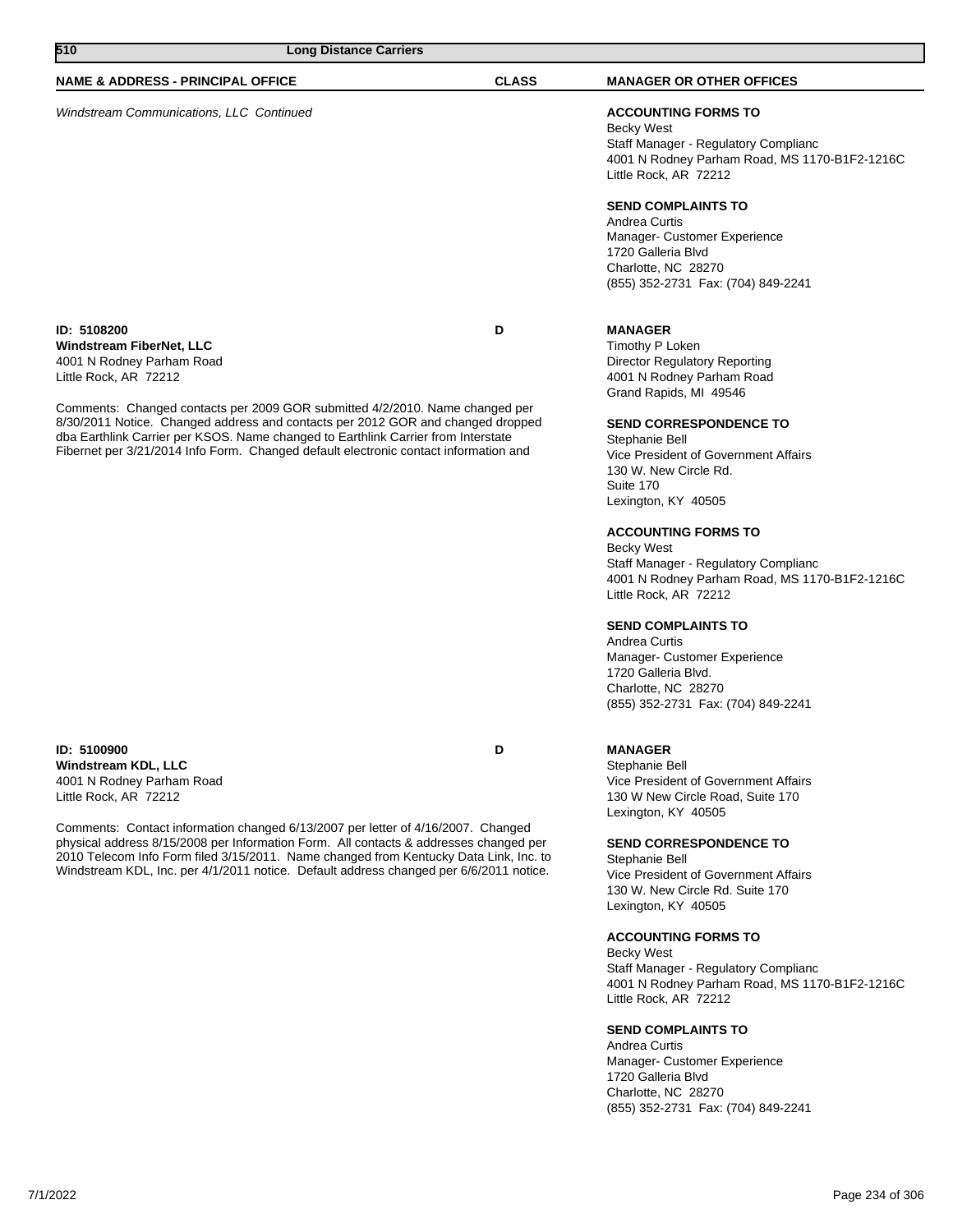| 510                                                                                           | <b>Long Distance Carriers</b>                                                                                                                                                                                                                                                                                                                                |              |                                                                                                                                                                   |
|-----------------------------------------------------------------------------------------------|--------------------------------------------------------------------------------------------------------------------------------------------------------------------------------------------------------------------------------------------------------------------------------------------------------------------------------------------------------------|--------------|-------------------------------------------------------------------------------------------------------------------------------------------------------------------|
| <b>NAME &amp; ADDRESS - PRINCIPAL OFFICE</b>                                                  |                                                                                                                                                                                                                                                                                                                                                              | <b>CLASS</b> | <b>MANAGER OR OTHER OFFICES</b>                                                                                                                                   |
| <b>Windstream Communications, LLC Continued</b>                                               |                                                                                                                                                                                                                                                                                                                                                              |              | <b>ACCOUNTING FORMS TO</b><br>Becky West<br>Staff Manager - Regulatory Complianc<br>4001 N Rodney Parham Road, MS 1170-B1F2-1216C<br>Little Rock, AR 72212        |
|                                                                                               |                                                                                                                                                                                                                                                                                                                                                              |              | <b>SEND COMPLAINTS TO</b><br>Andrea Curtis<br>Manager- Customer Experience<br>1720 Galleria Blvd<br>Charlotte, NC 28270<br>(855) 352-2731 Fax: (704) 849-2241     |
| ID: 5108200<br>Windstream FiberNet, LLC<br>4001 N Rodney Parham Road<br>Little Rock, AR 72212 |                                                                                                                                                                                                                                                                                                                                                              | D            | <b>MANAGER</b><br>Timothy P Loken<br><b>Director Regulatory Reporting</b><br>4001 N Rodney Parham Road<br>Grand Rapids, MI 49546                                  |
|                                                                                               | Comments: Changed contacts per 2009 GOR submitted 4/2/2010. Name changed per<br>8/30/2011 Notice. Changed address and contacts per 2012 GOR and changed dropped<br>dba Earthlink Carrier per KSOS. Name changed to Earthlink Carrier from Interstate<br>Fibernet per 3/21/2014 Info Form. Changed default electronic contact information and                 |              | <b>SEND CORRESPONDENCE TO</b><br>Stephanie Bell<br>Vice President of Government Affairs<br>130 W. New Circle Rd.<br>Suite 170<br>Lexington, KY 40505              |
|                                                                                               |                                                                                                                                                                                                                                                                                                                                                              |              | <b>ACCOUNTING FORMS TO</b><br><b>Becky West</b><br>Staff Manager - Regulatory Complianc<br>4001 N Rodney Parham Road, MS 1170-B1F2-1216C<br>Little Rock, AR 72212 |
|                                                                                               |                                                                                                                                                                                                                                                                                                                                                              |              | <b>SEND COMPLAINTS TO</b><br>Andrea Curtis<br>Manager- Customer Experience<br>1720 Galleria Blvd.<br>Charlotte, NC 28270<br>(855) 352-2731 Fax: (704) 849-2241    |
| ID: 5100900<br>Windstream KDL, LLC<br>4001 N Rodney Parham Road<br>Little Rock, AR 72212      |                                                                                                                                                                                                                                                                                                                                                              | D            | <b>MANAGER</b><br>Stephanie Bell<br>Vice President of Government Affairs<br>130 W New Circle Road, Suite 170<br>Lexington, KY 40505                               |
|                                                                                               | Comments: Contact information changed 6/13/2007 per letter of 4/16/2007. Changed<br>physical address 8/15/2008 per Information Form. All contacts & addresses changed per<br>2010 Telecom Info Form filed 3/15/2011. Name changed from Kentucky Data Link, Inc. to<br>Windstream KDL, Inc. per 4/1/2011 notice. Default address changed per 6/6/2011 notice. |              | <b>SEND CORRESPONDENCE TO</b><br>Stephanie Bell<br>Vice President of Government Affairs<br>130 W. New Circle Rd. Suite 170<br>Lexington, KY 40505                 |
|                                                                                               |                                                                                                                                                                                                                                                                                                                                                              |              | <b>ACCOUNTING FORMS TO</b><br>Becky West<br>Staff Manager - Regulatory Complianc<br>4001 N Rodney Parham Road, MS 1170-B1F2-1216C<br>Little Rock, AR 72212        |
|                                                                                               |                                                                                                                                                                                                                                                                                                                                                              |              | <b>SEND COMPLAINTS TO</b><br>Andrea Curtis<br>Manager- Customer Experience<br>1720 Galleria Blvd                                                                  |

Charlotte, NC 28270

(855) 352-2731 Fax: (704) 849-2241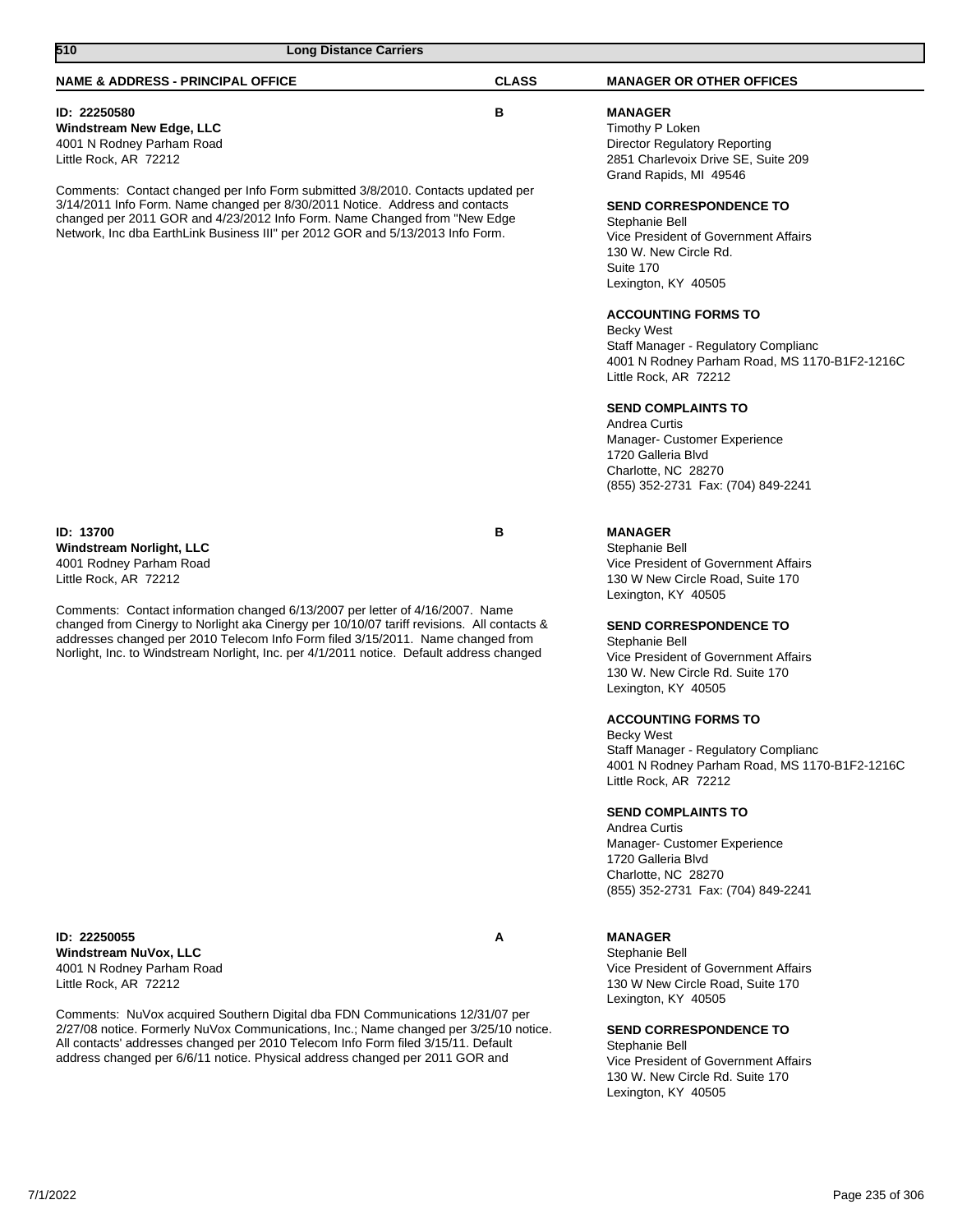| 510<br><b>Long Distance Carriers</b>                                                                                                                                                                                                                                                                                                                       |              |                                                                                                                                                                                                                                                                                                                                                                                                                                   |
|------------------------------------------------------------------------------------------------------------------------------------------------------------------------------------------------------------------------------------------------------------------------------------------------------------------------------------------------------------|--------------|-----------------------------------------------------------------------------------------------------------------------------------------------------------------------------------------------------------------------------------------------------------------------------------------------------------------------------------------------------------------------------------------------------------------------------------|
| <b>NAME &amp; ADDRESS - PRINCIPAL OFFICE</b>                                                                                                                                                                                                                                                                                                               | <b>CLASS</b> | <b>MANAGER OR OTHER OFFICES</b>                                                                                                                                                                                                                                                                                                                                                                                                   |
| ID: 22250580<br><b>Windstream New Edge, LLC</b><br>4001 N Rodney Parham Road<br>Little Rock, AR 72212                                                                                                                                                                                                                                                      | в            | <b>MANAGER</b><br>Timothy P Loken<br><b>Director Regulatory Reporting</b><br>2851 Charlevoix Drive SE, Suite 209                                                                                                                                                                                                                                                                                                                  |
| Comments: Contact changed per Info Form submitted 3/8/2010. Contacts updated per<br>3/14/2011 Info Form. Name changed per 8/30/2011 Notice. Address and contacts<br>changed per 2011 GOR and 4/23/2012 Info Form. Name Changed from "New Edge<br>Network, Inc dba EarthLink Business III" per 2012 GOR and 5/13/2013 Info Form.                            |              | Grand Rapids, MI 49546<br><b>SEND CORRESPONDENCE TO</b><br>Stephanie Bell<br>Vice President of Government Affairs<br>130 W. New Circle Rd.<br>Suite 170<br>Lexington, KY 40505<br><b>ACCOUNTING FORMS TO</b><br><b>Becky West</b><br>Staff Manager - Regulatory Complianc<br>4001 N Rodney Parham Road, MS 1170-B1F2-1216C<br>Little Rock, AR 72212<br><b>SEND COMPLAINTS TO</b><br>Andrea Curtis<br>Manager- Customer Experience |
|                                                                                                                                                                                                                                                                                                                                                            |              | 1720 Galleria Blvd<br>Charlotte, NC 28270<br>(855) 352-2731 Fax: (704) 849-2241                                                                                                                                                                                                                                                                                                                                                   |
| <b>ID: 13700</b><br><b>Windstream Norlight, LLC</b><br>4001 Rodney Parham Road<br>Little Rock, AR 72212                                                                                                                                                                                                                                                    | в            | <b>MANAGER</b><br>Stephanie Bell<br>Vice President of Government Affairs<br>130 W New Circle Road, Suite 170<br>Lexington, KY 40505                                                                                                                                                                                                                                                                                               |
| Comments: Contact information changed 6/13/2007 per letter of 4/16/2007. Name<br>changed from Cinergy to Norlight aka Cinergy per 10/10/07 tariff revisions. All contacts &<br>addresses changed per 2010 Telecom Info Form filed 3/15/2011. Name changed from<br>Norlight, Inc. to Windstream Norlight, Inc. per 4/1/2011 notice. Default address changed |              | <b>SEND CORRESPONDENCE TO</b><br>Stephanie Bell<br>Vice President of Government Affairs<br>130 W. New Circle Rd. Suite 170<br>Lexington, KY 40505                                                                                                                                                                                                                                                                                 |
|                                                                                                                                                                                                                                                                                                                                                            |              | <b>ACCOUNTING FORMS TO</b><br><b>Becky West</b><br>Staff Manager - Regulatory Complianc<br>4001 N Rodney Parham Road, MS 1170-B1F2-1216C<br>Little Rock, AR 72212                                                                                                                                                                                                                                                                 |
|                                                                                                                                                                                                                                                                                                                                                            |              | <b>SEND COMPLAINTS TO</b><br>Andrea Curtis<br>Manager- Customer Experience<br>1720 Galleria Blvd<br>Charlotte, NC 28270<br>(855) 352-2731 Fax: (704) 849-2241                                                                                                                                                                                                                                                                     |
| ID: 22250055<br>Windstream NuVox, LLC<br>4001 N Rodney Parham Road<br>Little Rock, AR 72212                                                                                                                                                                                                                                                                | A            | <b>MANAGER</b><br>Stephanie Bell<br>Vice President of Government Affairs<br>130 W New Circle Road, Suite 170<br>Lexington, KY 40505                                                                                                                                                                                                                                                                                               |
| Comments: NuVox acquired Southern Digital dba FDN Communications 12/31/07 per<br>2/27/08 notice. Formerly NuVox Communications, Inc.; Name changed per 3/25/10 notice.<br>All contacts' addresses changed per 2010 Telecom Info Form filed 3/15/11. Default<br>address changed per 6/6/11 notice. Physical address changed per 2011 GOR and                |              | <b>SEND CORRESPONDENCE TO</b><br>Stephanie Bell<br>Vice President of Government Affairs<br>130 W. New Circle Rd. Suite 170<br>Lexington, KY 40505                                                                                                                                                                                                                                                                                 |
|                                                                                                                                                                                                                                                                                                                                                            |              |                                                                                                                                                                                                                                                                                                                                                                                                                                   |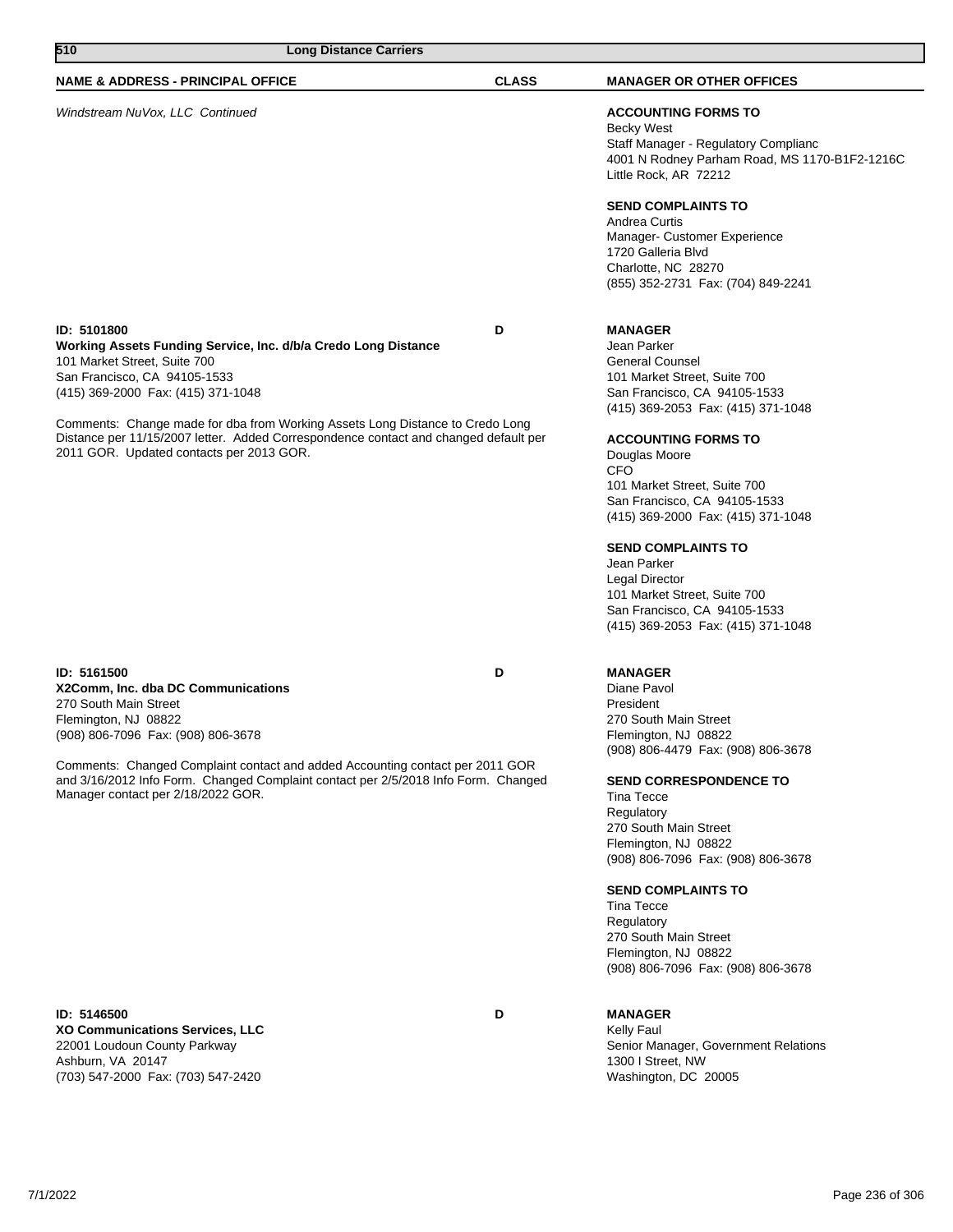| 510                                                                                                                                                                                                                                                                                                                                                                                                      | <b>Long Distance Carriers</b> |              |                                                                                                                                                                                                                                                                                                                                                                                                                                                                                                      |
|----------------------------------------------------------------------------------------------------------------------------------------------------------------------------------------------------------------------------------------------------------------------------------------------------------------------------------------------------------------------------------------------------------|-------------------------------|--------------|------------------------------------------------------------------------------------------------------------------------------------------------------------------------------------------------------------------------------------------------------------------------------------------------------------------------------------------------------------------------------------------------------------------------------------------------------------------------------------------------------|
| <b>NAME &amp; ADDRESS - PRINCIPAL OFFICE</b>                                                                                                                                                                                                                                                                                                                                                             |                               | <b>CLASS</b> | <b>MANAGER OR OTHER OFFICES</b>                                                                                                                                                                                                                                                                                                                                                                                                                                                                      |
| Windstream NuVox, LLC Continued                                                                                                                                                                                                                                                                                                                                                                          |                               |              | <b>ACCOUNTING FORMS TO</b><br><b>Becky West</b><br>Staff Manager - Regulatory Complianc<br>4001 N Rodney Parham Road, MS 1170-B1F2-1216C<br>Little Rock, AR 72212<br><b>SEND COMPLAINTS TO</b><br>Andrea Curtis<br>Manager- Customer Experience<br>1720 Galleria Blvd<br>Charlotte, NC 28270<br>(855) 352-2731 Fax: (704) 849-2241                                                                                                                                                                   |
| ID: 5101800<br>Working Assets Funding Service, Inc. d/b/a Credo Long Distance<br>101 Market Street, Suite 700<br>San Francisco, CA 94105-1533<br>(415) 369-2000 Fax: (415) 371-1048<br>Comments: Change made for dba from Working Assets Long Distance to Credo Long<br>Distance per 11/15/2007 letter. Added Correspondence contact and changed default per<br>2011 GOR. Updated contacts per 2013 GOR. | D                             |              | <b>MANAGER</b><br>Jean Parker<br><b>General Counsel</b><br>101 Market Street, Suite 700<br>San Francisco, CA 94105-1533<br>(415) 369-2053 Fax: (415) 371-1048<br><b>ACCOUNTING FORMS TO</b><br>Douglas Moore<br><b>CFO</b><br>101 Market Street, Suite 700<br>San Francisco, CA 94105-1533<br>(415) 369-2000 Fax: (415) 371-1048<br><b>SEND COMPLAINTS TO</b><br>Jean Parker<br>Legal Director<br>101 Market Street, Suite 700<br>San Francisco, CA 94105-1533<br>(415) 369-2053 Fax: (415) 371-1048 |
| ID: 5161500<br>X2Comm, Inc. dba DC Communications<br>270 South Main Street<br>Flemington, NJ 08822<br>(908) 806-7096 Fax: (908) 806-3678<br>Comments: Changed Complaint contact and added Accounting contact per 2011 GOR<br>and 3/16/2012 Info Form. Changed Complaint contact per 2/5/2018 Info Form. Changed<br>Manager contact per 2/18/2022 GOR.                                                    |                               | D            | <b>MANAGER</b><br>Diane Pavol<br>President<br>270 South Main Street<br>Flemington, NJ 08822<br>(908) 806-4479 Fax: (908) 806-3678<br><b>SEND CORRESPONDENCE TO</b><br>Tina Tecce<br>Regulatory<br>270 South Main Street<br>Flemington, NJ 08822<br>(908) 806-7096 Fax: (908) 806-3678<br><b>SEND COMPLAINTS TO</b><br><b>Tina Tecce</b><br>Regulatory<br>270 South Main Street<br>Flemington, NJ 08822<br>(908) 806-7096 Fax: (908) 806-3678                                                         |
| ID: 5146500<br>XO Communications Services, LLC<br>22001 Loudoun County Parkway<br>Ashburn, VA 20147<br>(703) 547-2000 Fax: (703) 547-2420                                                                                                                                                                                                                                                                |                               | D            | <b>MANAGER</b><br>Kelly Faul<br>Senior Manager, Government Relations<br>1300 I Street, NW<br>Washington, DC 20005                                                                                                                                                                                                                                                                                                                                                                                    |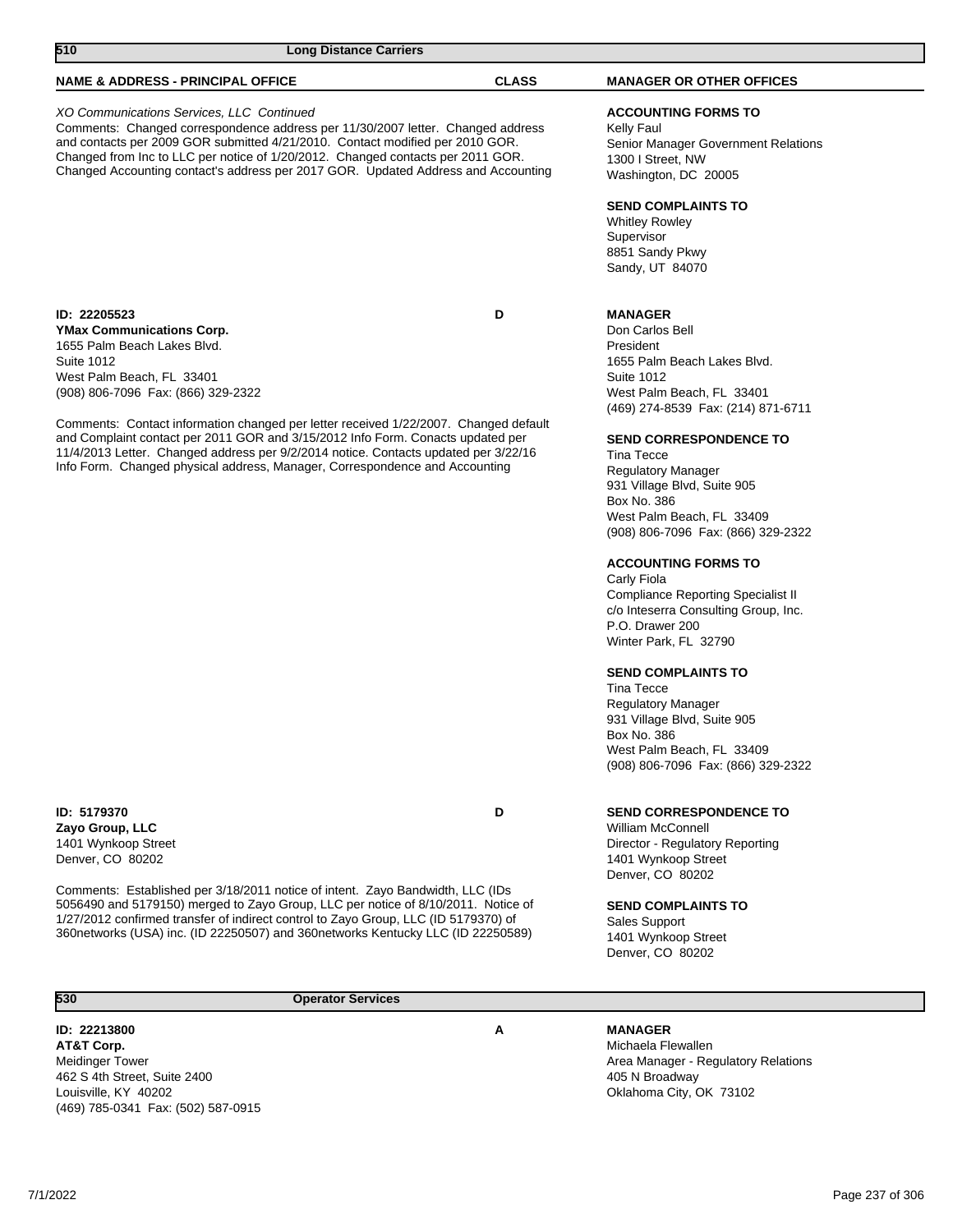5056490 and 5179150) merged to Zayo Group, LLC per notice of 8/10/2011. Notice of 1/27/2012 confirmed transfer of indirect control to Zayo Group, LLC (ID 5179370) of 360networks (USA) inc. (ID 22250507) and 360networks Kentucky LLC (ID 22250589)

**530 Operator Services** 

**ID: 22213800 A AT&T Corp.** Meidinger Tower 462 S 4th Street, Suite 2400 Louisville, KY 40202 (469) 785-0341 Fax: (502) 587-0915

### **MANAGER**

Sales Support 1401 Wynkoop Street Denver, CO 80202

Michaela Flewallen Area Manager - Regulatory Relations 405 N Broadway Oklahoma City, OK 73102

**SEND COMPLAINTS TO**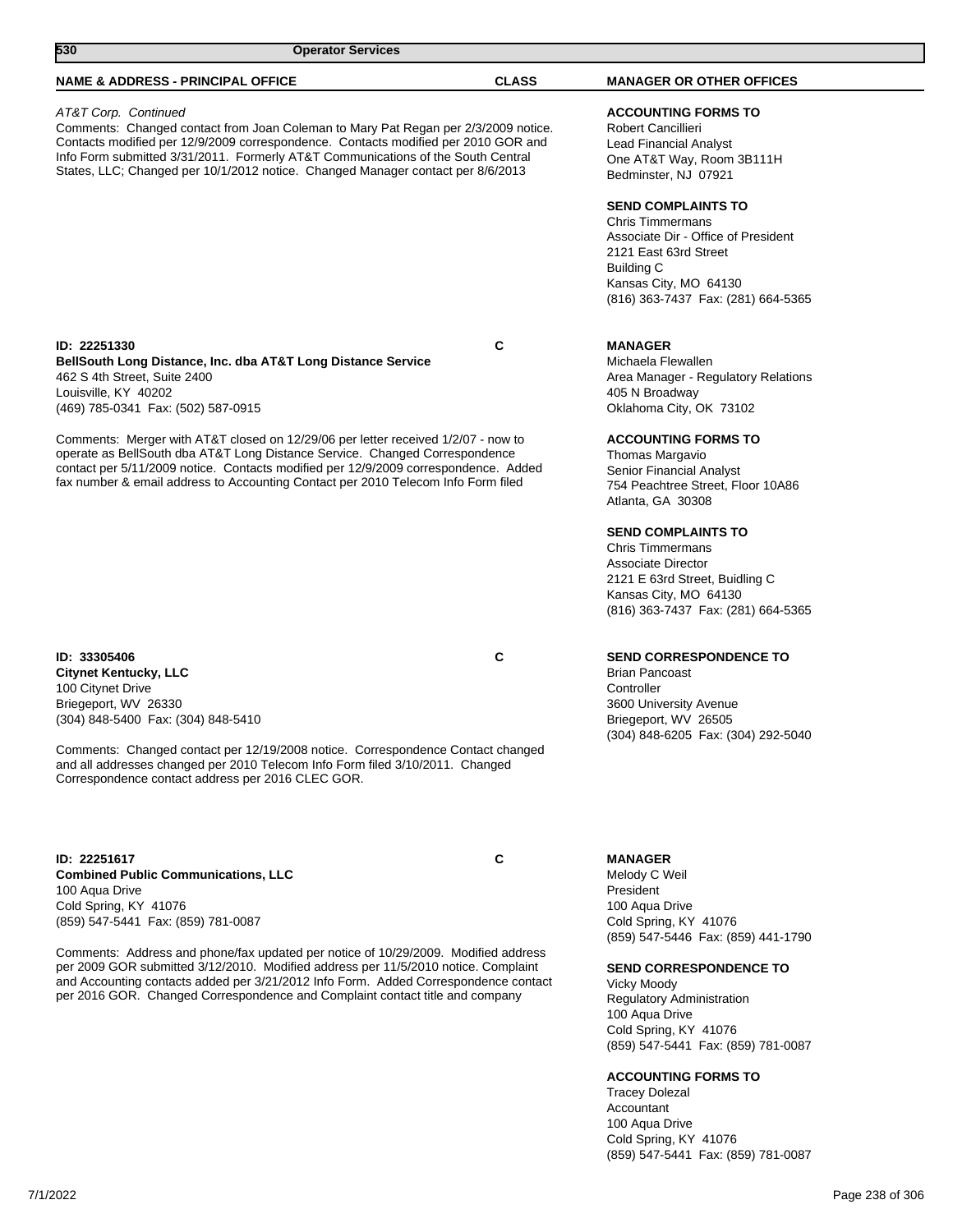| 530                                                                                                                                                                                                                                                                                                                                                                     | <b>Operator Services</b> |                                                                                                                                                                                                          |
|-------------------------------------------------------------------------------------------------------------------------------------------------------------------------------------------------------------------------------------------------------------------------------------------------------------------------------------------------------------------------|--------------------------|----------------------------------------------------------------------------------------------------------------------------------------------------------------------------------------------------------|
| <b>NAME &amp; ADDRESS - PRINCIPAL OFFICE</b>                                                                                                                                                                                                                                                                                                                            | <b>CLASS</b>             | <b>MANAGER OR OTHER OFFICES</b>                                                                                                                                                                          |
| AT&T Corp. Continued<br>Comments: Changed contact from Joan Coleman to Mary Pat Regan per 2/3/2009 notice.<br>Contacts modified per 12/9/2009 correspondence. Contacts modified per 2010 GOR and<br>Info Form submitted 3/31/2011. Formerly AT&T Communications of the South Central<br>States, LLC; Changed per 10/1/2012 notice. Changed Manager contact per 8/6/2013 |                          | <b>ACCOUNTING FORMS TO</b><br>Robert Cancillieri<br>Lead Financial Analyst<br>One AT&T Way, Room 3B111H<br>Bedminster, NJ 07921                                                                          |
|                                                                                                                                                                                                                                                                                                                                                                         |                          | <b>SEND COMPLAINTS TO</b><br><b>Chris Timmermans</b><br>Associate Dir - Office of President<br>2121 East 63rd Street<br><b>Building C</b><br>Kansas City, MO 64130<br>(816) 363-7437 Fax: (281) 664-5365 |
| ID: 22251330<br>BellSouth Long Distance, Inc. dba AT&T Long Distance Service<br>462 S 4th Street, Suite 2400<br>Louisville, KY 40202<br>(469) 785-0341 Fax: (502) 587-0915                                                                                                                                                                                              | C                        | <b>MANAGER</b><br>Michaela Flewallen<br>Area Manager - Regulatory Relations<br>405 N Broadway<br>Oklahoma City, OK 73102                                                                                 |
| Comments: Merger with AT&T closed on 12/29/06 per letter received 1/2/07 - now to<br>operate as BellSouth dba AT&T Long Distance Service. Changed Correspondence<br>contact per 5/11/2009 notice. Contacts modified per 12/9/2009 correspondence. Added<br>fax number & email address to Accounting Contact per 2010 Telecom Info Form filed                            |                          | <b>ACCOUNTING FORMS TO</b><br>Thomas Margavio<br>Senior Financial Analyst<br>754 Peachtree Street, Floor 10A86<br>Atlanta, GA 30308                                                                      |
|                                                                                                                                                                                                                                                                                                                                                                         |                          | <b>SEND COMPLAINTS TO</b><br><b>Chris Timmermans</b><br>Associate Director<br>2121 E 63rd Street, Buidling C<br>Kansas City, MO 64130<br>(816) 363-7437 Fax: (281) 664-5365                              |
| ID: 33305406<br><b>Citynet Kentucky, LLC</b><br>100 Citynet Drive<br>Briegeport, WV 26330<br>(304) 848-5400 Fax: (304) 848-5410<br>Comments: Changed contact per 12/19/2008 notice. Correspondence Contact changed<br>and all addresses changed per 2010 Telecom Info Form filed 3/10/2011. Changed<br>Correspondence contact address per 2016 CLEC GOR.                | C                        | <b>SEND CORRESPONDENCE TO</b><br><b>Brian Pancoast</b><br>Controller<br>3600 University Avenue<br>Briegeport, WV 26505<br>(304) 848-6205 Fax: (304) 292-5040                                             |
| ID: 22251617<br><b>Combined Public Communications, LLC</b><br>100 Aqua Drive<br>Cold Spring, KY 41076<br>(859) 547-5441 Fax: (859) 781-0087<br>Comments: Address and phone/fax updated per notice of 10/29/2009. Modified address                                                                                                                                       | C                        | <b>MANAGER</b><br>Melody C Weil<br>President<br>100 Aqua Drive<br>Cold Spring, KY 41076<br>(859) 547-5446 Fax: (859) 441-1790                                                                            |
| per 2009 GOR submitted 3/12/2010. Modified address per 11/5/2010 notice. Complaint<br>and Accounting contacts added per 3/21/2012 Info Form. Added Correspondence contact<br>per 2016 GOR. Changed Correspondence and Complaint contact title and company                                                                                                               |                          | <b>SEND CORRESPONDENCE TO</b><br><b>Vicky Moody</b><br>Regulatory Administration<br>100 Aqua Drive<br>Cold Spring, KY 41076<br>(859) 547-5441 Fax: (859) 781-0087                                        |

#### **ACCOUNTING FORMS TO**

Tracey Dolezal Accountant 100 Aqua Drive Cold Spring, KY 41076 (859) 547-5441 Fax: (859) 781-0087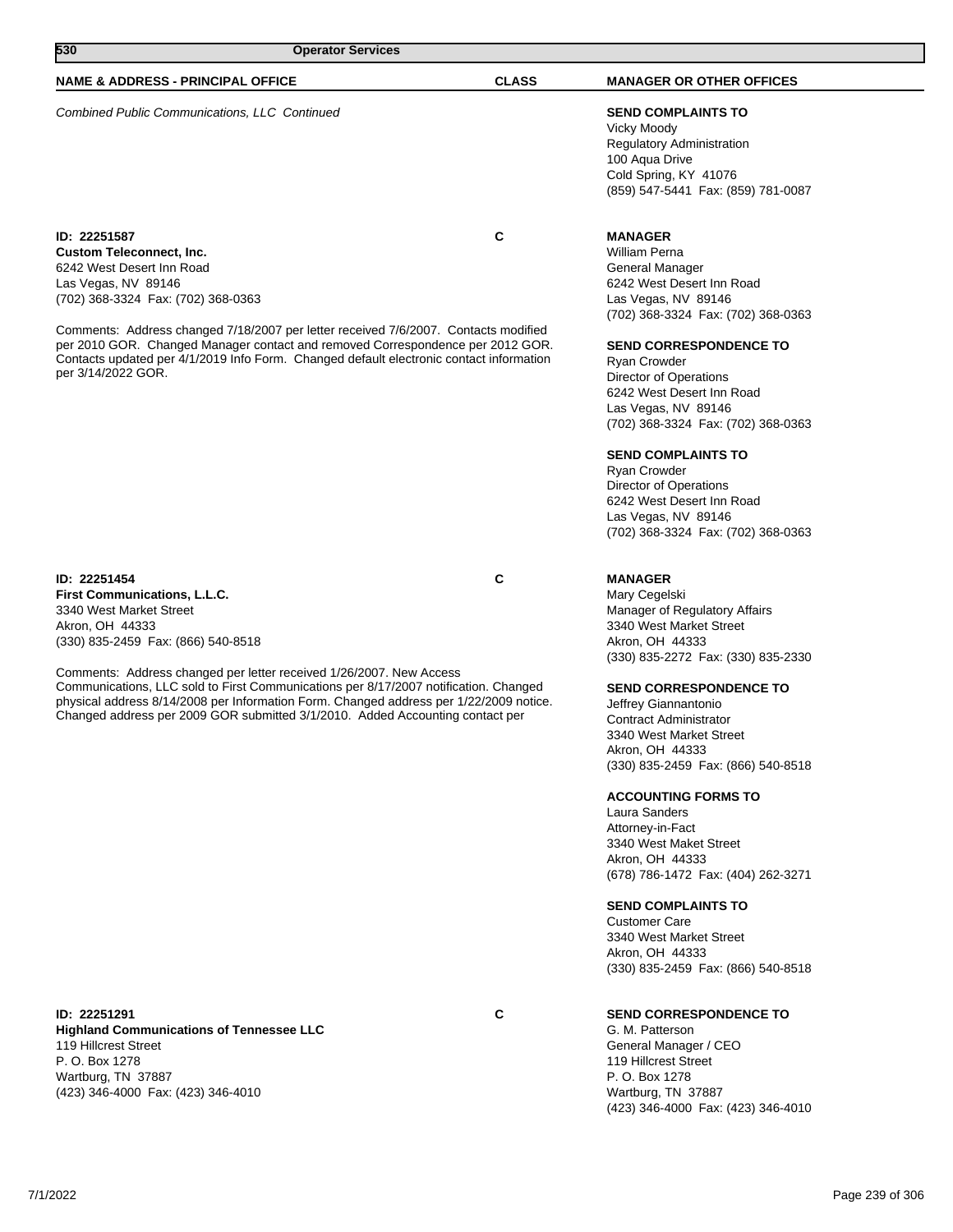# **530 Operator Services**

### **NAME & ADDRESS - PRINCIPAL OFFICE CLASS MANAGER OR OTHER OFFICES**

Combined Public Communications, LLC Continued **SEND COMPLAINTS TO**

**ID: 22251587 C Custom Teleconnect, Inc.** 6242 West Desert Inn Road Las Vegas, NV 89146 (702) 368-3324 Fax: (702) 368-0363

Comments: Address changed 7/18/2007 per letter received 7/6/2007. Contacts modified per 2010 GOR. Changed Manager contact and removed Correspondence per 2012 GOR. Contacts updated per 4/1/2019 Info Form. Changed default electronic contact information per 3/14/2022 GOR.

# **ID: 22251454 C**

**First Communications, L.L.C.** 3340 West Market Street Akron, OH 44333 (330) 835-2459 Fax: (866) 540-8518

Comments: Address changed per letter received 1/26/2007. New Access Communications, LLC sold to First Communications per 8/17/2007 notification. Changed physical address 8/14/2008 per Information Form. Changed address per 1/22/2009 notice. Changed address per 2009 GOR submitted 3/1/2010. Added Accounting contact per

#### **ID: 22251291 C Highland Communications of Tennessee LLC** 119 Hillcrest Street P. O. Box 1278 Wartburg, TN 37887 (423) 346-4000 Fax: (423) 346-4010

Vicky Moody Regulatory Administration 100 Aqua Drive Cold Spring, KY 41076 (859) 547-5441 Fax: (859) 781-0087

### **MANAGER**

William Perna General Manager 6242 West Desert Inn Road Las Vegas, NV 89146 (702) 368-3324 Fax: (702) 368-0363

#### **SEND CORRESPONDENCE TO**

Ryan Crowder Director of Operations 6242 West Desert Inn Road Las Vegas, NV 89146 (702) 368-3324 Fax: (702) 368-0363

#### **SEND COMPLAINTS TO**

Ryan Crowder Director of Operations 6242 West Desert Inn Road Las Vegas, NV 89146 (702) 368-3324 Fax: (702) 368-0363

### **MANAGER**

Mary Cegelski Manager of Regulatory Affairs 3340 West Market Street Akron, OH 44333 (330) 835-2272 Fax: (330) 835-2330

#### **SEND CORRESPONDENCE TO**

Jeffrey Giannantonio Contract Administrator 3340 West Market Street Akron, OH 44333 (330) 835-2459 Fax: (866) 540-8518

#### **ACCOUNTING FORMS TO**

Laura Sanders Attorney-in-Fact 3340 West Maket Street Akron, OH 44333 (678) 786-1472 Fax: (404) 262-3271

#### **SEND COMPLAINTS TO**

Customer Care 3340 West Market Street Akron, OH 44333 (330) 835-2459 Fax: (866) 540-8518

### **SEND CORRESPONDENCE TO**

G. M. Patterson General Manager / CEO 119 Hillcrest Street P. O. Box 1278 Wartburg, TN 37887 (423) 346-4000 Fax: (423) 346-4010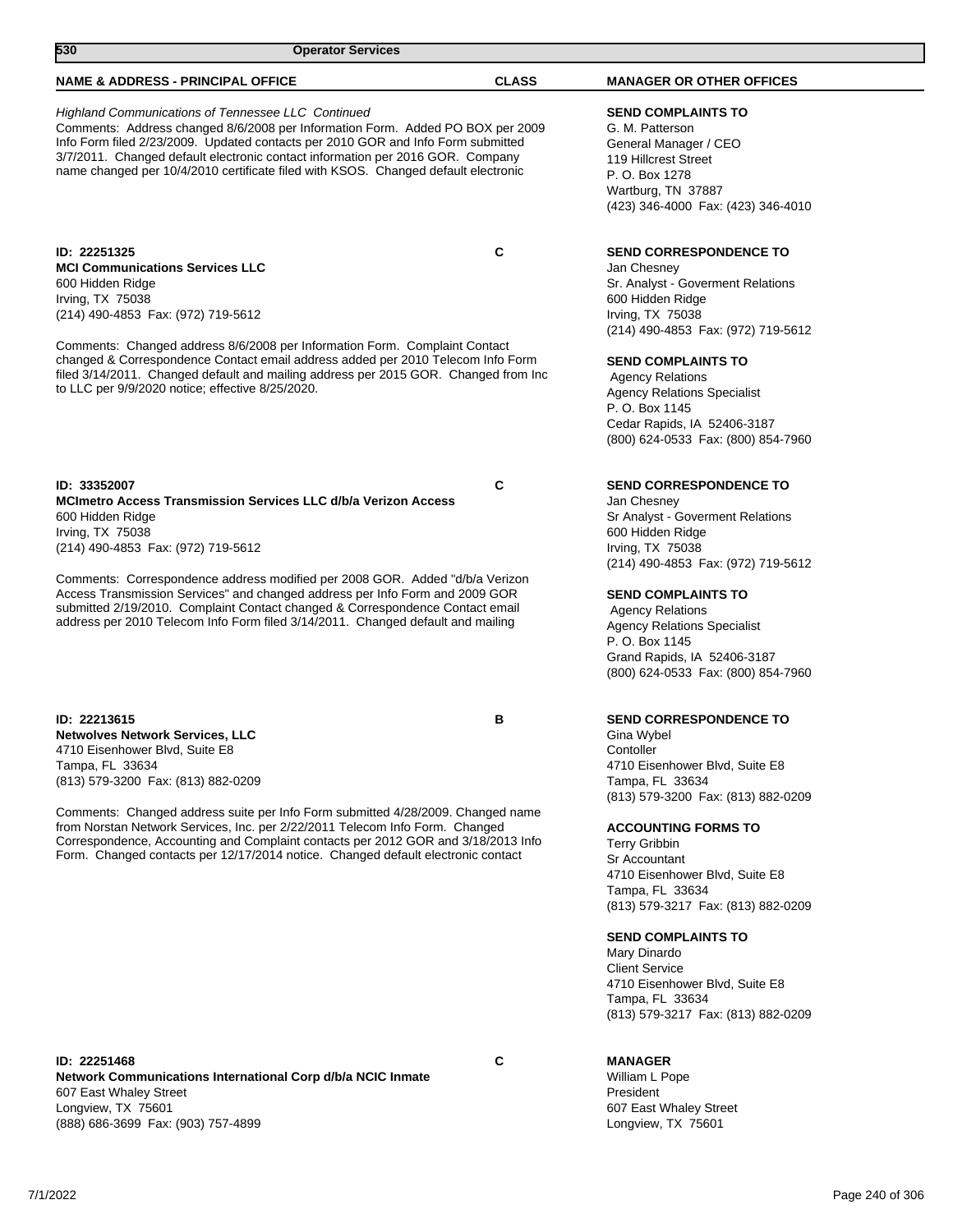| 530<br><b>Operator Services</b>                                                                                                                                                                                                                                                                                                                                                                                                                                                                  |              |                                                                                                                                                                                                                                                                                                                                                        |
|--------------------------------------------------------------------------------------------------------------------------------------------------------------------------------------------------------------------------------------------------------------------------------------------------------------------------------------------------------------------------------------------------------------------------------------------------------------------------------------------------|--------------|--------------------------------------------------------------------------------------------------------------------------------------------------------------------------------------------------------------------------------------------------------------------------------------------------------------------------------------------------------|
| NAME & ADDRESS - PRINCIPAL OFFICE                                                                                                                                                                                                                                                                                                                                                                                                                                                                | <b>CLASS</b> | <b>MANAGER OR OTHER OFFICES</b>                                                                                                                                                                                                                                                                                                                        |
| <b>Highland Communications of Tennessee LLC Continued</b><br>Comments: Address changed 8/6/2008 per Information Form. Added PO BOX per 2009<br>Info Form filed 2/23/2009. Updated contacts per 2010 GOR and Info Form submitted<br>3/7/2011. Changed default electronic contact information per 2016 GOR. Company<br>name changed per 10/4/2010 certificate filed with KSOS. Changed default electronic                                                                                          |              | <b>SEND COMPLAINTS TO</b><br>G. M. Patterson<br>General Manager / CEO<br>119 Hillcrest Street<br>P. O. Box 1278<br>Wartburg, TN 37887<br>(423) 346-4000 Fax: (423) 346-4010                                                                                                                                                                            |
| ID: 22251325<br><b>MCI Communications Services LLC</b><br>600 Hidden Ridge<br>Irving, TX 75038<br>(214) 490-4853 Fax: (972) 719-5612<br>Comments: Changed address 8/6/2008 per Information Form. Complaint Contact<br>changed & Correspondence Contact email address added per 2010 Telecom Info Form<br>filed 3/14/2011. Changed default and mailing address per 2015 GOR. Changed from Inc<br>to LLC per 9/9/2020 notice; effective 8/25/2020.                                                 | $\mathbf c$  | <b>SEND CORRESPONDENCE TO</b><br>Jan Chesney<br>Sr. Analyst - Goverment Relations<br>600 Hidden Ridge<br>Irving, $TX$ 75038<br>(214) 490-4853 Fax: (972) 719-5612<br><b>SEND COMPLAINTS TO</b><br><b>Agency Relations</b><br><b>Agency Relations Specialist</b><br>P. O. Box 1145<br>Cedar Rapids, IA 52406-3187<br>(800) 624-0533 Fax: (800) 854-7960 |
| ID: 33352007<br>MCImetro Access Transmission Services LLC d/b/a Verizon Access<br>600 Hidden Ridge<br>Irving, TX 75038<br>(214) 490-4853 Fax: (972) 719-5612<br>Comments: Correspondence address modified per 2008 GOR. Added "d/b/a Verizon<br>Access Transmission Services" and changed address per Info Form and 2009 GOR<br>submitted 2/19/2010. Complaint Contact changed & Correspondence Contact email<br>address per 2010 Telecom Info Form filed 3/14/2011. Changed default and mailing | C            | <b>SEND CORRESPONDENCE TO</b><br>Jan Chesney<br>Sr Analyst - Goverment Relations<br>600 Hidden Ridge<br>Irving, TX 75038<br>(214) 490-4853 Fax: (972) 719-5612<br><b>SEND COMPLAINTS TO</b><br><b>Agency Relations</b><br><b>Agency Relations Specialist</b><br>P. O. Box 1145<br>Grand Rapids, IA 52406-3187<br>(800) 624-0533 Fax: (800) 854-7960    |
| ID: 22213615<br>Netwolves Network Services, LLC<br>4710 Eisenhower Blvd, Suite E8<br>Tampa, FL 33634                                                                                                                                                                                                                                                                                                                                                                                             | в            | <b>SEND CORRESPONDENCE TO</b><br>Gina Wybel<br>Contoller<br>4710 Eisenhower Blvd, Suite E8                                                                                                                                                                                                                                                             |

Tampa, FL 33634 (813) 579-3200 Fax: (813) 882-0209

Comments: Changed address suite per Info Form submitted 4/28/2009. Changed name from Norstan Network Services, Inc. per 2/22/2011 Telecom Info Form. Changed Correspondence, Accounting and Complaint contacts per 2012 GOR and 3/18/2013 Info Form. Changed contacts per 12/17/2014 notice. Changed default electronic contact

**ID: 22251468 C Network Communications International Corp d/b/a NCIC Inmate** 607 East Whaley Street Longview, TX 75601 (888) 686-3699 Fax: (903) 757-4899

### **MANAGER**

Mary Dinardo Client Service

Tampa, FL 33634

Tampa, FL 33634

Tampa, FL 33634

Terry Gribbin Sr Accountant

(813) 579-3200 Fax: (813) 882-0209

**ACCOUNTING FORMS TO**

**SEND COMPLAINTS TO**

4710 Eisenhower Blvd, Suite E8

4710 Eisenhower Blvd, Suite E8

(813) 579-3217 Fax: (813) 882-0209

(813) 579-3217 Fax: (813) 882-0209

William L Pope President 607 East Whaley Street Longview, TX 75601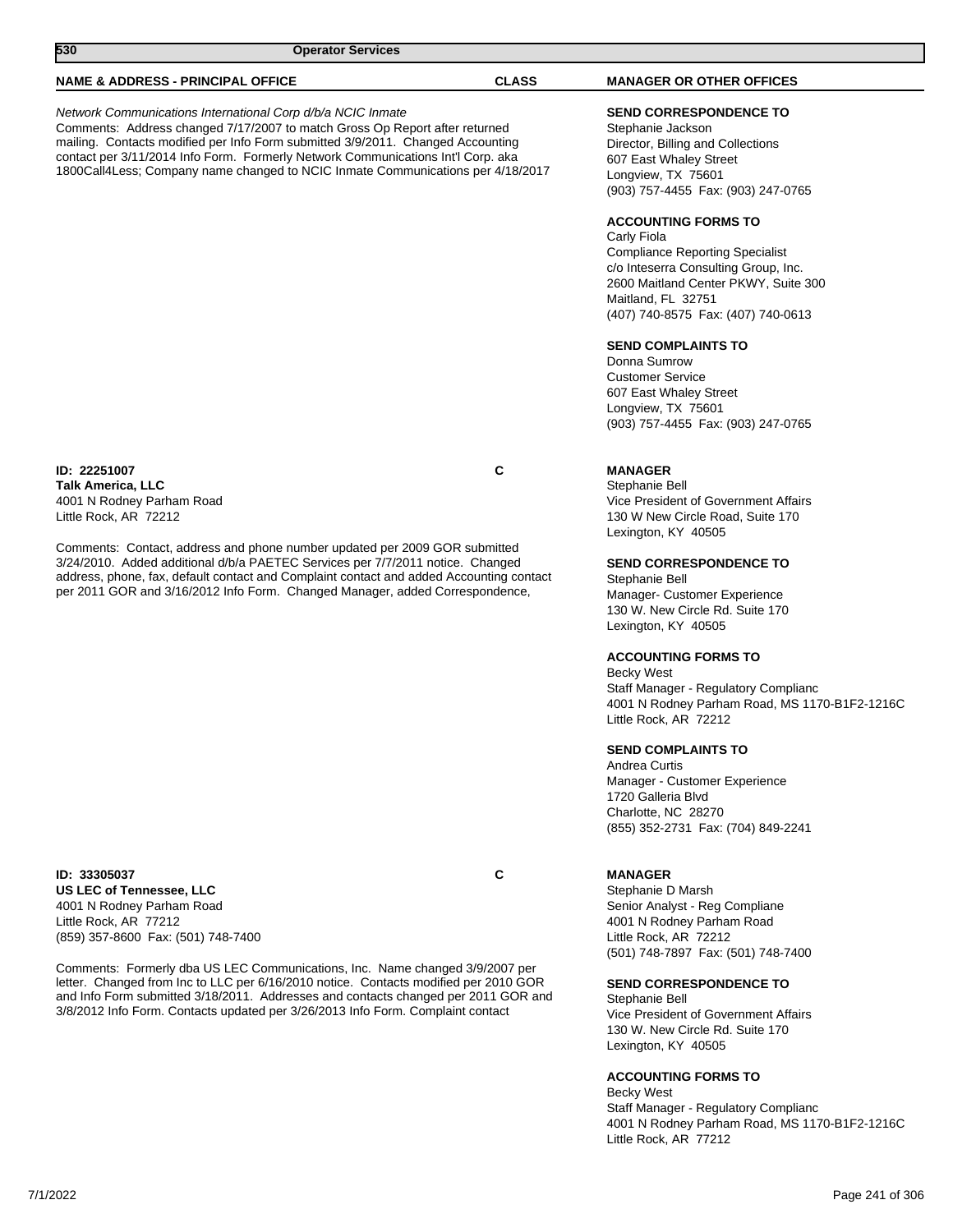| 530<br><b>Operator Services</b>                                                                                                                                                                                                                                                                                                                                                                                                           |              |                                                                                                                                                                                                                                                                                                                                                                                                                                                                                                                                                                                |
|-------------------------------------------------------------------------------------------------------------------------------------------------------------------------------------------------------------------------------------------------------------------------------------------------------------------------------------------------------------------------------------------------------------------------------------------|--------------|--------------------------------------------------------------------------------------------------------------------------------------------------------------------------------------------------------------------------------------------------------------------------------------------------------------------------------------------------------------------------------------------------------------------------------------------------------------------------------------------------------------------------------------------------------------------------------|
| <b>NAME &amp; ADDRESS - PRINCIPAL OFFICE</b>                                                                                                                                                                                                                                                                                                                                                                                              | <b>CLASS</b> | <b>MANAGER OR OTHER OFFICES</b>                                                                                                                                                                                                                                                                                                                                                                                                                                                                                                                                                |
| Network Communications International Corp d/b/a NCIC Inmate<br>Comments: Address changed 7/17/2007 to match Gross Op Report after returned<br>mailing. Contacts modified per Info Form submitted 3/9/2011. Changed Accounting<br>contact per 3/11/2014 Info Form. Formerly Network Communications Int'l Corp. aka<br>1800Call4Less; Company name changed to NCIC Inmate Communications per 4/18/2017                                      |              | <b>SEND CORRESPONDENCE TO</b><br>Stephanie Jackson<br>Director, Billing and Collections<br>607 East Whaley Street<br>Longview, TX 75601<br>(903) 757-4455 Fax: (903) 247-0765<br><b>ACCOUNTING FORMS TO</b><br>Carly Fiola<br><b>Compliance Reporting Specialist</b><br>c/o Inteserra Consulting Group, Inc.<br>2600 Maitland Center PKWY, Suite 300<br>Maitland, FL 32751<br>(407) 740-8575 Fax: (407) 740-0613<br><b>SEND COMPLAINTS TO</b><br>Donna Sumrow<br><b>Customer Service</b><br>607 East Whaley Street<br>Longview, TX 75601<br>(903) 757-4455 Fax: (903) 247-0765 |
| ID: 22251007<br><b>Talk America, LLC</b><br>4001 N Rodney Parham Road<br>Little Rock, AR 72212<br>Comments: Contact, address and phone number updated per 2009 GOR submitted<br>3/24/2010. Added additional d/b/a PAETEC Services per 7/7/2011 notice. Changed<br>address, phone, fax, default contact and Complaint contact and added Accounting contact<br>per 2011 GOR and 3/16/2012 Info Form. Changed Manager, added Correspondence, | C            | <b>MANAGER</b><br>Stephanie Bell<br>Vice President of Government Affairs<br>130 W New Circle Road, Suite 170<br>Lexington, KY 40505<br><b>SEND CORRESPONDENCE TO</b><br>Stephanie Bell<br>Manager- Customer Experience<br>130 W. New Circle Rd. Suite 170<br>Lexington, KY 40505<br><b>ACCOUNTING FORMS TO</b><br>Becky West<br>Staff Manager - Regulatory Complianc<br>4001 N Rodney Parham Road, MS 1170-B1F2-1216C<br>Little Rock, AR 72212                                                                                                                                 |

**SEND COMPLAINTS TO**

Andrea Curtis Manager - Customer Experience 1720 Galleria Blvd Charlotte, NC 28270 (855) 352-2731 Fax: (704) 849-2241

#### **ID: 33305037 C US LEC of Tennessee, LLC** 4001 N Rodney Parham Road Little Rock, AR 77212 (859) 357-8600 Fax: (501) 748-7400

Comments: Formerly dba US LEC Communications, Inc. Name changed 3/9/2007 per letter. Changed from Inc to LLC per 6/16/2010 notice. Contacts modified per 2010 GOR and Info Form submitted 3/18/2011. Addresses and contacts changed per 2011 GOR and 3/8/2012 Info Form. Contacts updated per 3/26/2013 Info Form. Complaint contact

#### **MANAGER**

Stephanie D Marsh Senior Analyst - Reg Compliane 4001 N Rodney Parham Road Little Rock, AR 72212 (501) 748-7897 Fax: (501) 748-7400

# **SEND CORRESPONDENCE TO**

Stephanie Bell Vice President of Government Affairs 130 W. New Circle Rd. Suite 170 Lexington, KY 40505

# **ACCOUNTING FORMS TO**

Becky West Staff Manager - Regulatory Complianc 4001 N Rodney Parham Road, MS 1170-B1F2-1216C Little Rock, AR 77212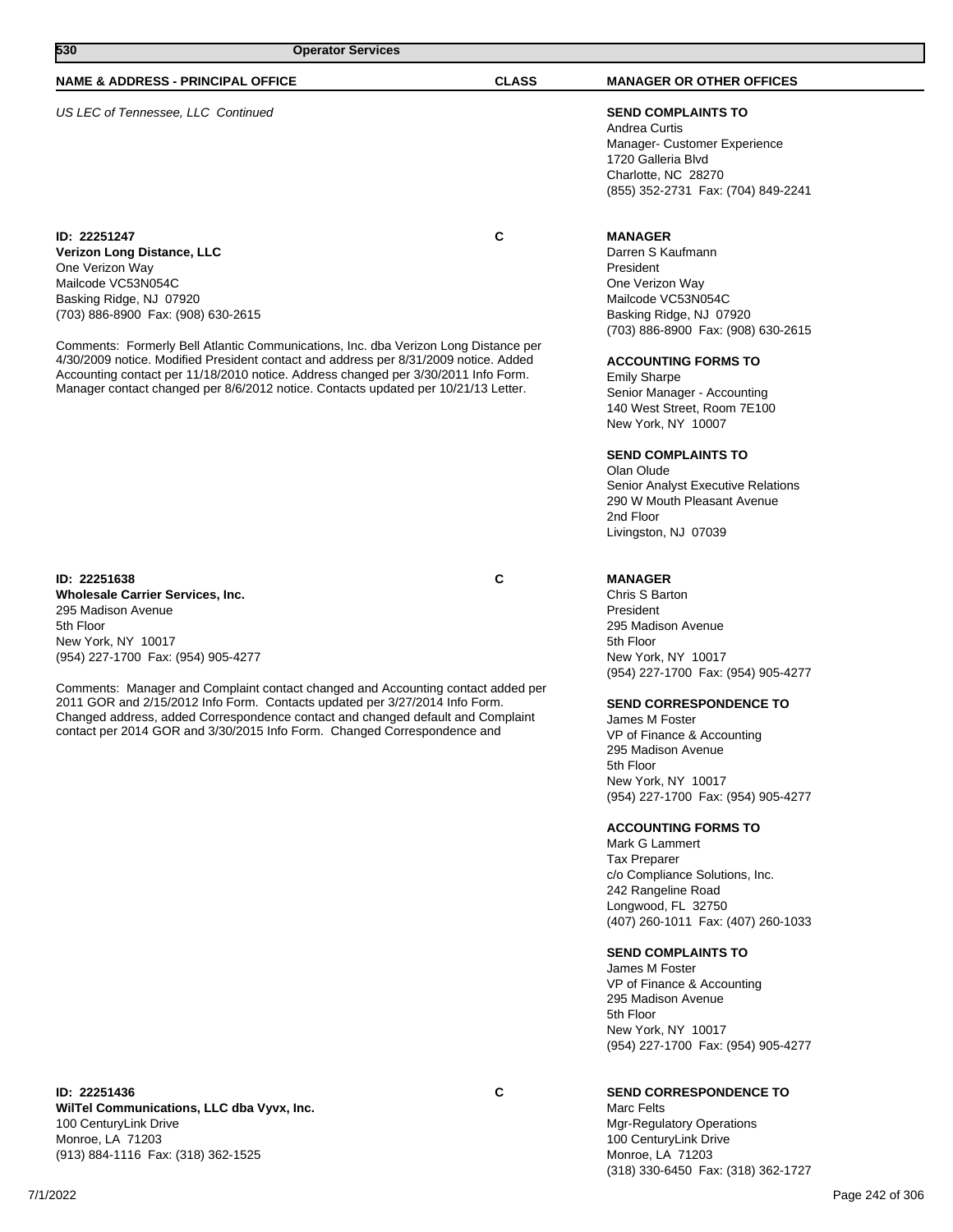100 CenturyLink Drive Monroe, LA 71203

**WilTel Communications, LLC dba Vyvx, Inc.**

(913) 884-1116 Fax: (318) 362-1525

# **NAME & ADDRESS - PRINCIPAL OFFICE CLASS MANAGER OR OTHER OFFICES**

# US LEC of Tennessee, LLC Continued **SEND COMPLAINTS TO**

**ID: 22251247 C Verizon Long Distance, LLC** One Verizon Way Mailcode VC53N054C Basking Ridge, NJ 07920 (703) 886-8900 Fax: (908) 630-2615

Comments: Formerly Bell Atlantic Communications, Inc. dba Verizon Long Distance per 4/30/2009 notice. Modified President contact and address per 8/31/2009 notice. Added Accounting contact per 11/18/2010 notice. Address changed per 3/30/2011 Info Form. Manager contact changed per 8/6/2012 notice. Contacts updated per 10/21/13 Letter.

#### **ID: 22251638 C**

**Wholesale Carrier Services, Inc.** 295 Madison Avenue 5th Floor New York, NY 10017 (954) 227-1700 Fax: (954) 905-4277

Comments: Manager and Complaint contact changed and Accounting contact added per 2011 GOR and 2/15/2012 Info Form. Contacts updated per 3/27/2014 Info Form. Changed address, added Correspondence contact and changed default and Complaint contact per 2014 GOR and 3/30/2015 Info Form. Changed Correspondence and

Andrea Curtis Manager- Customer Experience 1720 Galleria Blvd Charlotte, NC 28270 (855) 352-2731 Fax: (704) 849-2241

#### **MANAGER**

Darren S Kaufmann President One Verizon Way Mailcode VC53N054C Basking Ridge, NJ 07920 (703) 886-8900 Fax: (908) 630-2615

#### **ACCOUNTING FORMS TO**

Emily Sharpe Senior Manager - Accounting 140 West Street, Room 7E100 New York, NY 10007

#### **SEND COMPLAINTS TO**

Olan Olude Senior Analyst Executive Relations 290 W Mouth Pleasant Avenue 2nd Floor Livingston, NJ 07039

#### **MANAGER**

Chris S Barton President 295 Madison Avenue 5th Floor New York, NY 10017 (954) 227-1700 Fax: (954) 905-4277

### **SEND CORRESPONDENCE TO**

James M Foster VP of Finance & Accounting 295 Madison Avenue 5th Floor New York, NY 10017 (954) 227-1700 Fax: (954) 905-4277

#### **ACCOUNTING FORMS TO**

Mark G Lammert Tax Preparer c/o Compliance Solutions, Inc. 242 Rangeline Road Longwood, FL 32750 (407) 260-1011 Fax: (407) 260-1033

#### **SEND COMPLAINTS TO**

James M Foster VP of Finance & Accounting 295 Madison Avenue 5th Floor New York, NY 10017 (954) 227-1700 Fax: (954) 905-4277

#### **SEND CORRESPONDENCE TO**

Marc Felts Mgr-Regulatory Operations 100 CenturyLink Drive Monroe, LA 71203 (318) 330-6450 Fax: (318) 362-1727

|--|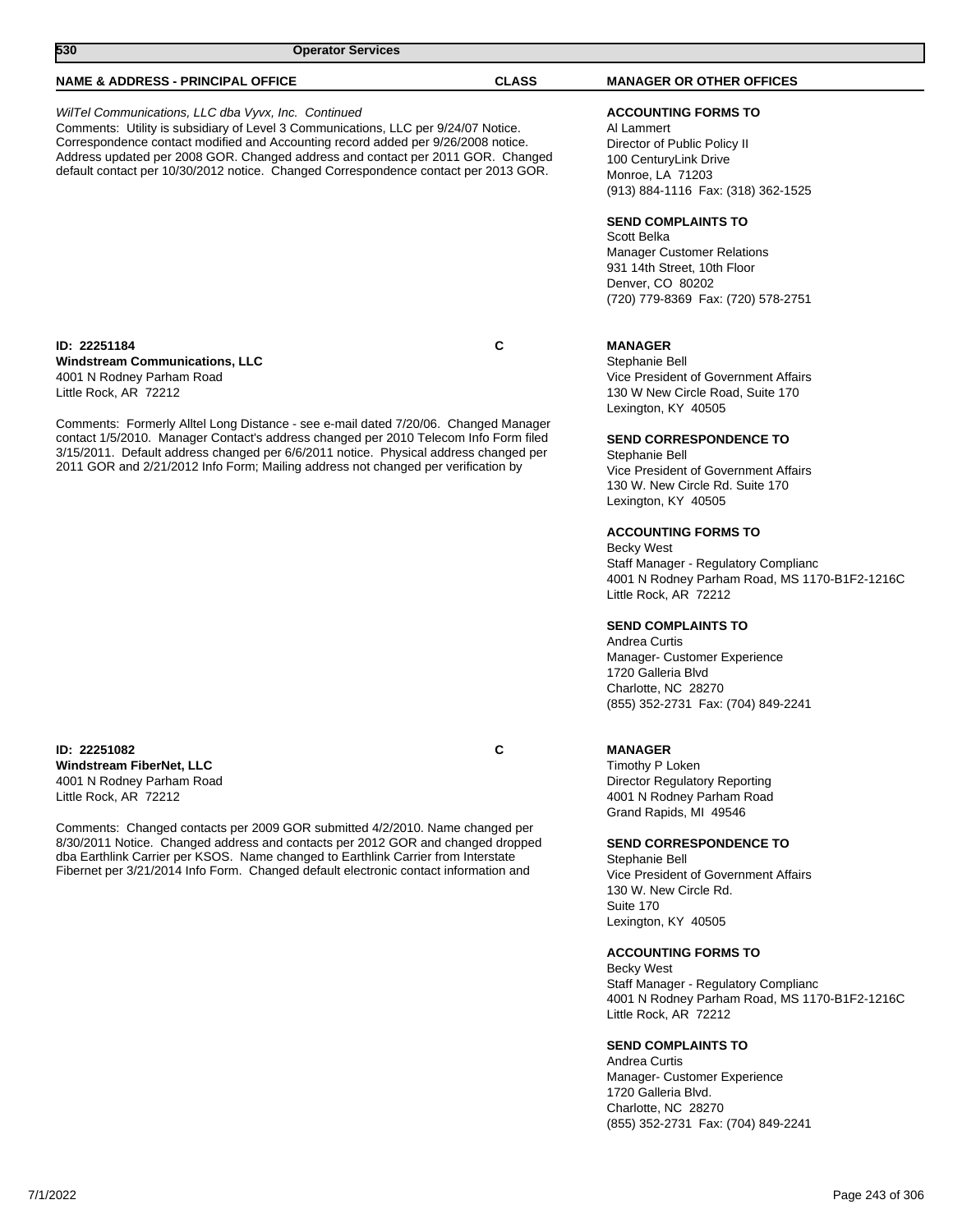### **SEND COMPLAINTS TO**

Andrea Curtis Manager- Customer Experience 1720 Galleria Blvd. Charlotte, NC 28270 (855) 352-2731 Fax: (704) 849-2241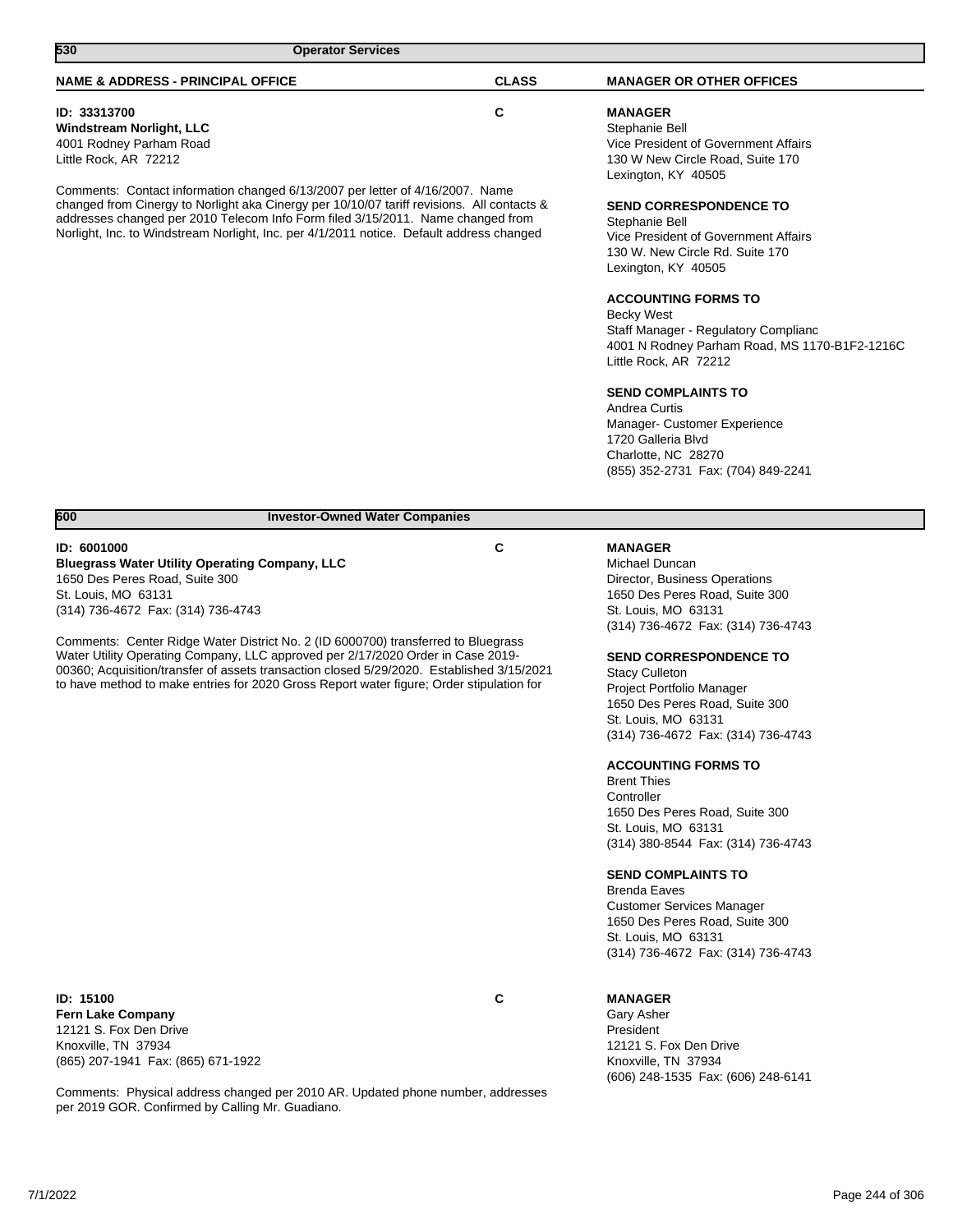| 530<br><b>Operator Services</b>                                                                                                                                                                                                                                                                                                                                                                                                                                                                                                      |              |                                                                                                                                                                                                                                                                                                                                                                                                                                                                                                                                                                                                                 |
|--------------------------------------------------------------------------------------------------------------------------------------------------------------------------------------------------------------------------------------------------------------------------------------------------------------------------------------------------------------------------------------------------------------------------------------------------------------------------------------------------------------------------------------|--------------|-----------------------------------------------------------------------------------------------------------------------------------------------------------------------------------------------------------------------------------------------------------------------------------------------------------------------------------------------------------------------------------------------------------------------------------------------------------------------------------------------------------------------------------------------------------------------------------------------------------------|
| <b>NAME &amp; ADDRESS - PRINCIPAL OFFICE</b>                                                                                                                                                                                                                                                                                                                                                                                                                                                                                         | <b>CLASS</b> | <b>MANAGER OR OTHER OFFICES</b>                                                                                                                                                                                                                                                                                                                                                                                                                                                                                                                                                                                 |
| ID: 33313700<br><b>Windstream Norlight, LLC</b><br>4001 Rodney Parham Road<br>Little Rock, AR 72212                                                                                                                                                                                                                                                                                                                                                                                                                                  | C            | <b>MANAGER</b><br>Stephanie Bell<br>Vice President of Government Affairs<br>130 W New Circle Road, Suite 170                                                                                                                                                                                                                                                                                                                                                                                                                                                                                                    |
| Comments: Contact information changed 6/13/2007 per letter of 4/16/2007. Name<br>changed from Cinergy to Norlight aka Cinergy per 10/10/07 tariff revisions. All contacts &<br>addresses changed per 2010 Telecom Info Form filed 3/15/2011. Name changed from<br>Norlight, Inc. to Windstream Norlight, Inc. per 4/1/2011 notice. Default address changed                                                                                                                                                                           |              | Lexington, KY 40505<br><b>SEND CORRESPONDENCE TO</b><br>Stephanie Bell<br>Vice President of Government Affairs<br>130 W. New Circle Rd. Suite 170<br>Lexington, KY 40505<br><b>ACCOUNTING FORMS TO</b><br><b>Becky West</b><br>Staff Manager - Regulatory Complianc<br>4001 N Rodney Parham Road, MS 1170-B1F2-1216C<br>Little Rock, AR 72212<br><b>SEND COMPLAINTS TO</b><br>Andrea Curtis<br>Manager- Customer Experience<br>1720 Galleria Blvd<br>Charlotte, NC 28270<br>(855) 352-2731 Fax: (704) 849-2241                                                                                                  |
|                                                                                                                                                                                                                                                                                                                                                                                                                                                                                                                                      |              |                                                                                                                                                                                                                                                                                                                                                                                                                                                                                                                                                                                                                 |
| 600<br><b>Investor-Owned Water Companies</b>                                                                                                                                                                                                                                                                                                                                                                                                                                                                                         |              |                                                                                                                                                                                                                                                                                                                                                                                                                                                                                                                                                                                                                 |
| ID: 6001000<br><b>Bluegrass Water Utility Operating Company, LLC</b><br>1650 Des Peres Road, Suite 300<br>St. Louis, MO 63131<br>(314) 736-4672 Fax: (314) 736-4743<br>Comments: Center Ridge Water District No. 2 (ID 6000700) transferred to Bluegrass<br>Water Utility Operating Company, LLC approved per 2/17/2020 Order in Case 2019-<br>00360; Acquisition/transfer of assets transaction closed 5/29/2020. Established 3/15/2021<br>to have method to make entries for 2020 Gross Report water figure; Order stipulation for | C            | <b>MANAGER</b><br>Michael Duncan<br>Director, Business Operations<br>1650 Des Peres Road, Suite 300<br>St. Louis, MO 63131<br>(314) 736-4672 Fax: (314) 736-4743<br><b>SEND CORRESPONDENCE TO</b><br><b>Stacy Culleton</b><br>Project Portfolio Manager<br>1650 Des Peres Road, Suite 300<br>St. Louis, MO 63131<br>(314) 736-4672 Fax: (314) 736-4743<br><b>ACCOUNTING FORMS TO</b><br><b>Brent Thies</b><br>Controller<br>1650 Des Peres Road, Suite 300<br>St. Louis, MO 63131<br>(314) 380-8544 Fax: (314) 736-4743<br><b>SEND COMPLAINTS TO</b><br><b>Brenda Eaves</b><br><b>Customer Services Manager</b> |
|                                                                                                                                                                                                                                                                                                                                                                                                                                                                                                                                      |              | 1650 Des Peres Road, Suite 300<br>St. Louis, MO 63131<br>(314) 736-4672 Fax: (314) 736-4743                                                                                                                                                                                                                                                                                                                                                                                                                                                                                                                     |

**ID: 15100 C Fern Lake Company** 12121 S. Fox Den Drive Knoxville, TN 37934 (865) 207-1941 Fax: (865) 671-1922

Comments: Physical address changed per 2010 AR. Updated phone number, addresses per 2019 GOR. Confirmed by Calling Mr. Guadiano.

#### **MANAGER**

Gary Asher President 12121 S. Fox Den Drive Knoxville, TN 37934 (606) 248-1535 Fax: (606) 248-6141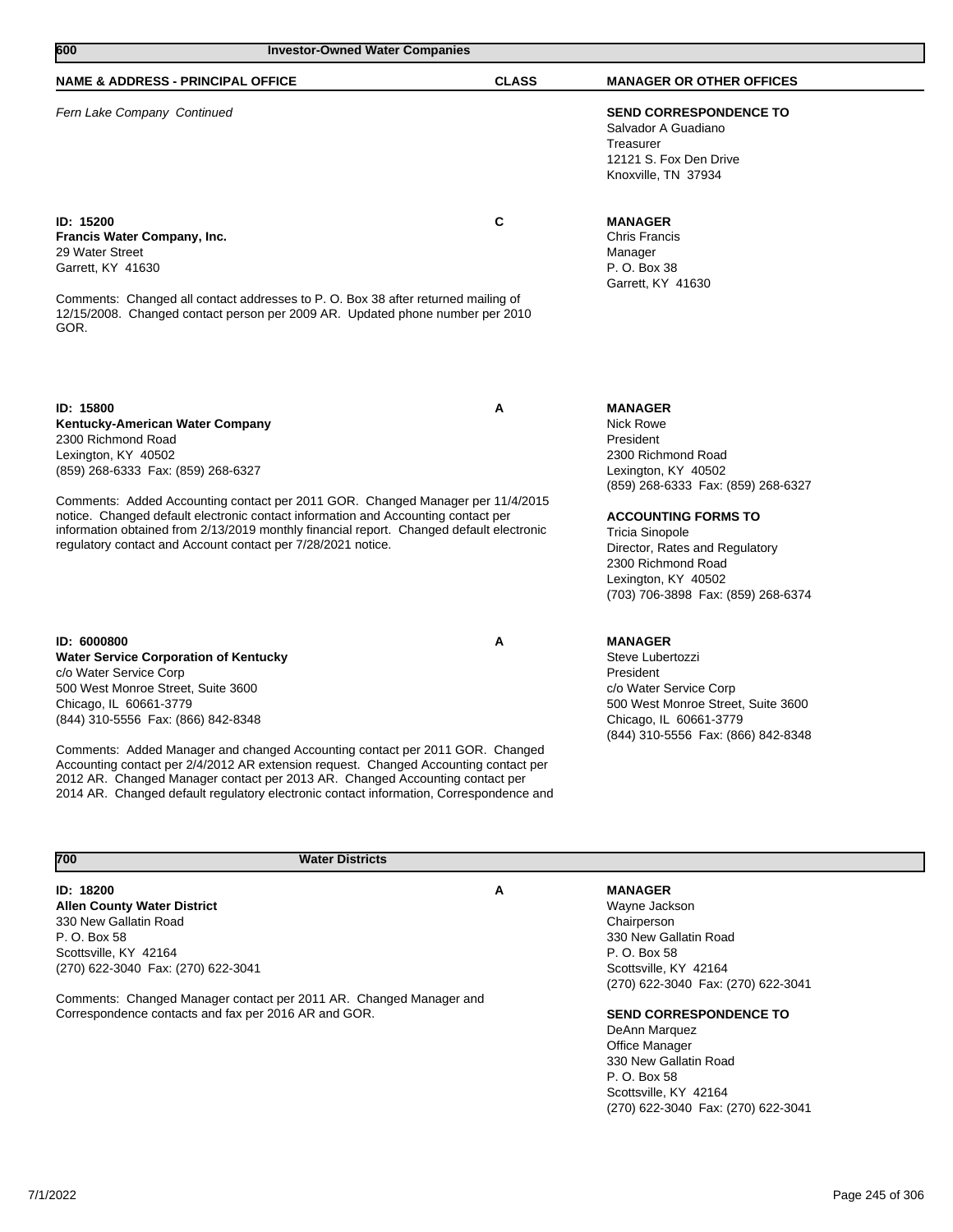| 600<br><b>Investor-Owned Water Companies</b>                                                                                                                                                                                                                                                                                                                                                                                                                       |              |                                                                                                                                                                                                                                                    |
|--------------------------------------------------------------------------------------------------------------------------------------------------------------------------------------------------------------------------------------------------------------------------------------------------------------------------------------------------------------------------------------------------------------------------------------------------------------------|--------------|----------------------------------------------------------------------------------------------------------------------------------------------------------------------------------------------------------------------------------------------------|
| <b>NAME &amp; ADDRESS - PRINCIPAL OFFICE</b>                                                                                                                                                                                                                                                                                                                                                                                                                       | <b>CLASS</b> | <b>MANAGER OR OTHER OFFICES</b>                                                                                                                                                                                                                    |
| Fern Lake Company Continued                                                                                                                                                                                                                                                                                                                                                                                                                                        |              | <b>SEND CORRESPONDENCE TO</b><br>Salvador A Guadiano<br>Treasurer<br>12121 S. Fox Den Drive<br>Knoxville, TN 37934                                                                                                                                 |
| <b>ID: 15200</b><br>Francis Water Company, Inc.<br>29 Water Street<br>Garrett, KY 41630<br>Comments: Changed all contact addresses to P. O. Box 38 after returned mailing of<br>12/15/2008. Changed contact person per 2009 AR. Updated phone number per 2010<br>GOR.                                                                                                                                                                                              | C            | <b>MANAGER</b><br><b>Chris Francis</b><br>Manager<br>P. O. Box 38<br>Garrett, KY 41630                                                                                                                                                             |
|                                                                                                                                                                                                                                                                                                                                                                                                                                                                    |              |                                                                                                                                                                                                                                                    |
| ID: 15800<br>Kentucky-American Water Company<br>2300 Richmond Road<br>Lexington, KY 40502<br>(859) 268-6333 Fax: (859) 268-6327<br>Comments: Added Accounting contact per 2011 GOR. Changed Manager per 11/4/2015<br>notice. Changed default electronic contact information and Accounting contact per<br>information obtained from 2/13/2019 monthly financial report. Changed default electronic<br>regulatory contact and Account contact per 7/28/2021 notice. | A            | <b>MANAGER</b><br><b>Nick Rowe</b><br>President<br>2300 Richmond Road<br>Lexington, KY 40502<br>(859) 268-6333 Fax: (859) 268-6327<br><b>ACCOUNTING FORMS TO</b><br><b>Tricia Sinopole</b><br>Director, Rates and Regulatory<br>2300 Richmond Road |
|                                                                                                                                                                                                                                                                                                                                                                                                                                                                    |              | Lexington, KY 40502<br>(703) 706-3898 Fax: (859) 268-6374                                                                                                                                                                                          |
| ID: 6000800<br><b>Water Service Corporation of Kentucky</b><br>c/o Water Service Corp<br>500 West Monroe Street, Suite 3600<br>Chicago, IL 60661-3779<br>(844) 310-5556 Fax: (866) 842-8348                                                                                                                                                                                                                                                                        | Α            | <b>MANAGER</b><br>Steve Lubertozzi<br>President<br>c/o Water Service Corp<br>500 West Monroe Street, Suite 3600<br>Chicago, IL 60661-3779<br>(844) 310-5556 Fax: (866) 842-8348                                                                    |
| Comments: Added Manager and changed Accounting contact per 2011 GOR. Changed<br>Accounting contact per 2/4/2012 AR extension request. Changed Accounting contact per<br>2012 AR. Changed Manager contact per 2013 AR. Changed Accounting contact per<br>2014 AR. Changed default regulatory electronic contact information, Correspondence and                                                                                                                     |              |                                                                                                                                                                                                                                                    |
| 700<br><b>Water Districts</b>                                                                                                                                                                                                                                                                                                                                                                                                                                      |              |                                                                                                                                                                                                                                                    |
| ID: 18200<br><b>Allen County Water District</b><br>330 New Gallatin Road<br>P. O. Box 58<br>Scottsville, KY 42164                                                                                                                                                                                                                                                                                                                                                  | Α            | <b>MANAGER</b><br>Wayne Jackson<br>Chairperson<br>330 New Gallatin Road<br>P. O. Box 58                                                                                                                                                            |

Comments: Changed Manager contact per 2011 AR. Changed Manager and Correspondence contacts and fax per 2016 AR and GOR.

(270) 622-3040 Fax: (270) 622-3041

 $\mathcal{L}_{\mathcal{A}}$ 

Scottsville, KY 42164

DeAnn Marquez Office Manager 330 New Gallatin Road

P. O. Box 58 Scottsville, KY 42164

(270) 622-3040 Fax: (270) 622-3041

(270) 622-3040 Fax: (270) 622-3041

**SEND CORRESPONDENCE TO**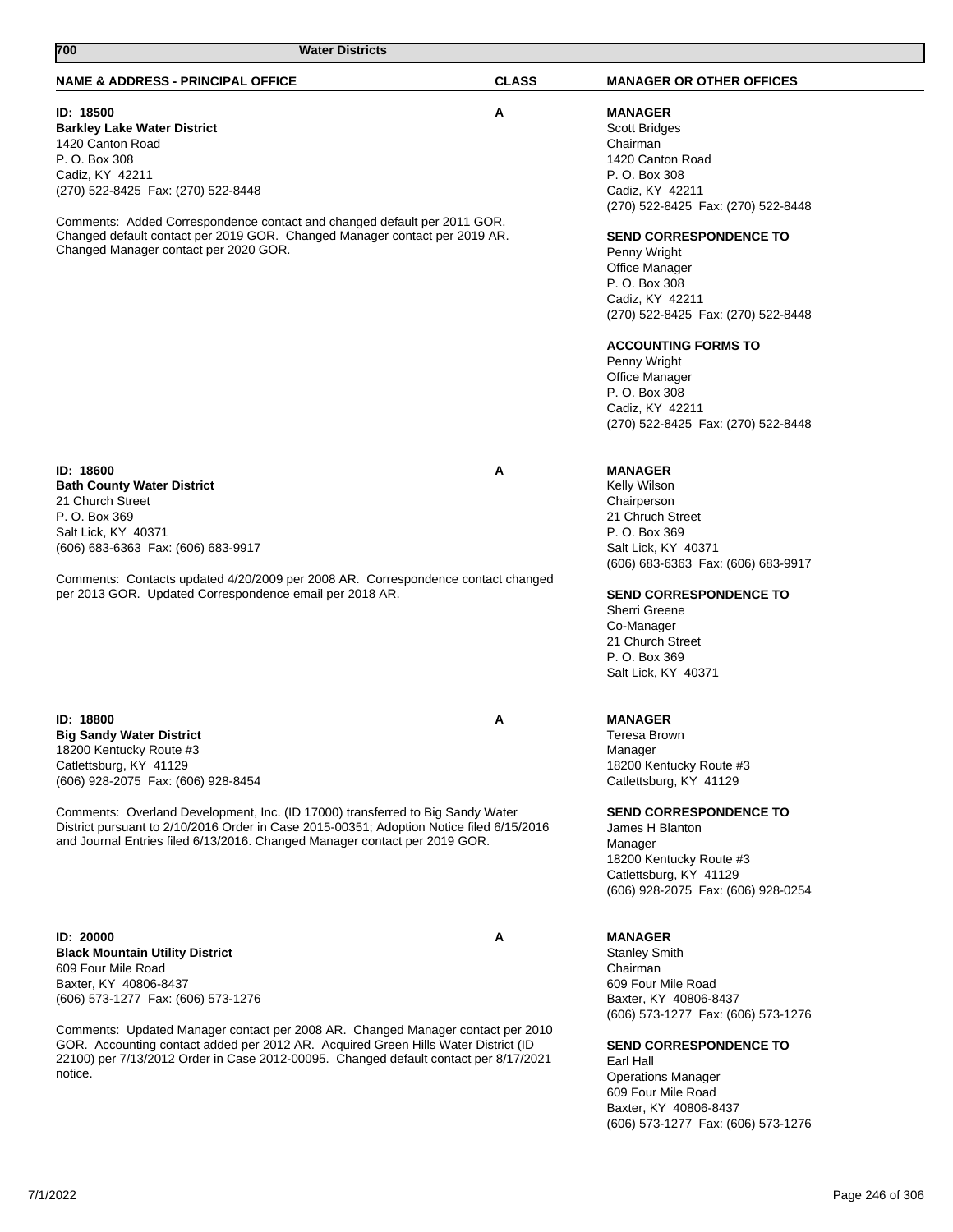# **700 Water Districts**

#### **NAME & ADDRESS - PRINCIPAL OFFICE CLASS MANAGER OR OTHER OFFICES**

#### **ID: 18500 A**

**Barkley Lake Water District** 1420 Canton Road P. O. Box 308 Cadiz, KY 42211 (270) 522-8425 Fax: (270) 522-8448

Comments: Added Correspondence contact and changed default per 2011 GOR. Changed default contact per 2019 GOR. Changed Manager contact per 2019 AR. Changed Manager contact per 2020 GOR.

**ID: 18600 A Bath County Water District** 21 Church Street P. O. Box 369 Salt Lick, KY 40371 (606) 683-6363 Fax: (606) 683-9917

Comments: Contacts updated 4/20/2009 per 2008 AR. Correspondence contact changed per 2013 GOR. Updated Correspondence email per 2018 AR.

**ID: 18800 A Big Sandy Water District** 18200 Kentucky Route #3 Catlettsburg, KY 41129 (606) 928-2075 Fax: (606) 928-8454

Comments: Overland Development, Inc. (ID 17000) transferred to Big Sandy Water District pursuant to 2/10/2016 Order in Case 2015-00351; Adoption Notice filed 6/15/2016 and Journal Entries filed 6/13/2016. Changed Manager contact per 2019 GOR.

**ID: 20000 A Black Mountain Utility District** 609 Four Mile Road Baxter, KY 40806-8437 (606) 573-1277 Fax: (606) 573-1276

Comments: Updated Manager contact per 2008 AR. Changed Manager contact per 2010 GOR. Accounting contact added per 2012 AR. Acquired Green Hills Water District (ID 22100) per 7/13/2012 Order in Case 2012-00095. Changed default contact per 8/17/2021 notice.

**MANAGER** Scott Bridges Chairman 1420 Canton Road P. O. Box 308 Cadiz, KY 42211 (270) 522-8425 Fax: (270) 522-8448

#### **SEND CORRESPONDENCE TO**

Penny Wright Office Manager P. O. Box 308 Cadiz, KY 42211 (270) 522-8425 Fax: (270) 522-8448

#### **ACCOUNTING FORMS TO**

Penny Wright Office Manager P. O. Box 308 Cadiz, KY 42211 (270) 522-8425 Fax: (270) 522-8448

### **MANAGER**

Kelly Wilson Chairperson 21 Chruch Street P. O. Box 369 Salt Lick, KY 40371 (606) 683-6363 Fax: (606) 683-9917

#### **SEND CORRESPONDENCE TO**

Sherri Greene Co-Manager 21 Church Street P. O. Box 369 Salt Lick, KY 40371

### **MANAGER**

Teresa Brown Manager 18200 Kentucky Route #3 Catlettsburg, KY 41129

**SEND CORRESPONDENCE TO**

James H Blanton Manager 18200 Kentucky Route #3 Catlettsburg, KY 41129 (606) 928-2075 Fax: (606) 928-0254

### **MANAGER**

Stanley Smith Chairman 609 Four Mile Road Baxter, KY 40806-8437 (606) 573-1277 Fax: (606) 573-1276

**SEND CORRESPONDENCE TO**

Earl Hall Operations Manager 609 Four Mile Road Baxter, KY 40806-8437 (606) 573-1277 Fax: (606) 573-1276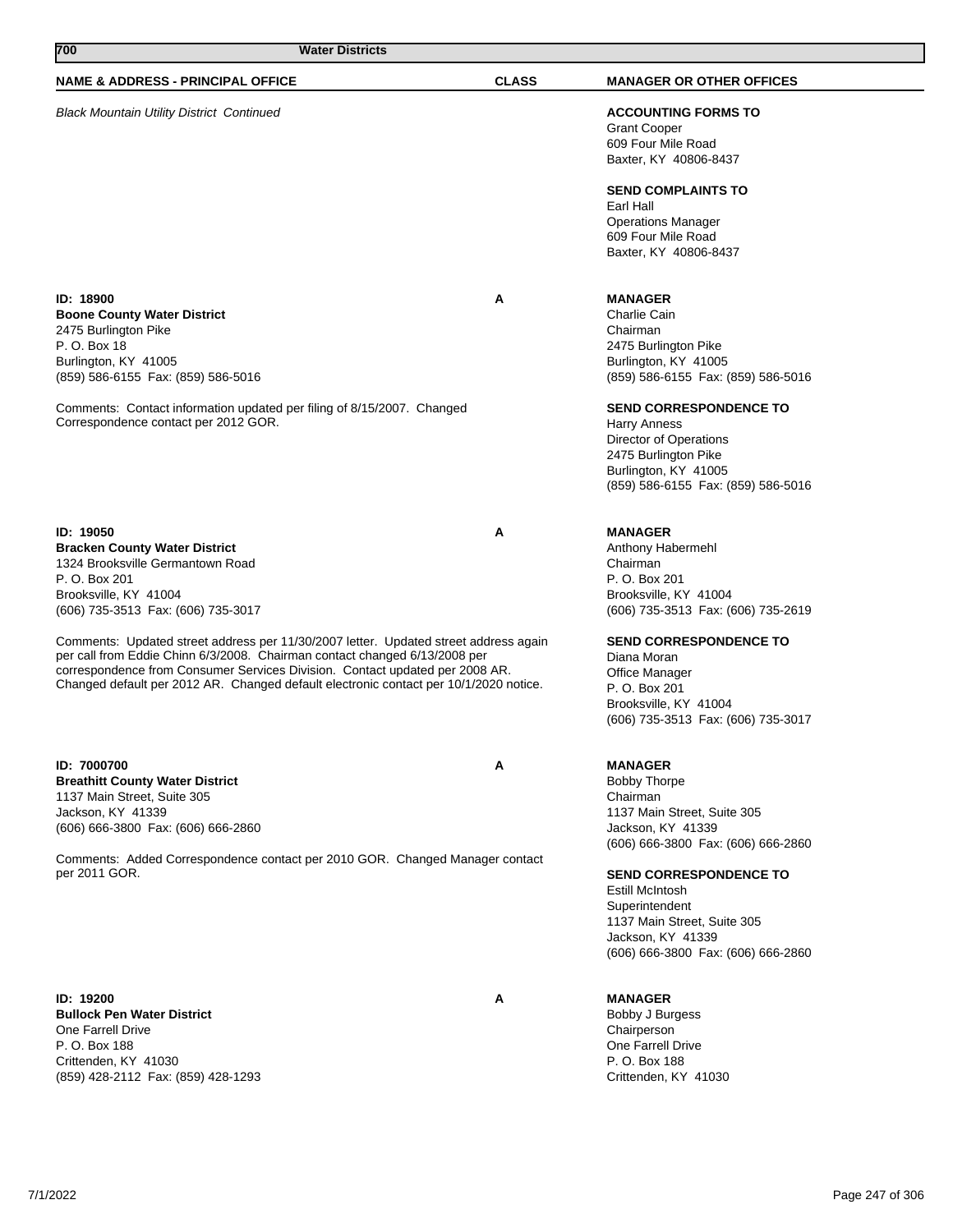| 700<br><b>Water Districts</b>                                                                                                                                                                                                                                                                                                               |              |                                                                                                                                                                             |
|---------------------------------------------------------------------------------------------------------------------------------------------------------------------------------------------------------------------------------------------------------------------------------------------------------------------------------------------|--------------|-----------------------------------------------------------------------------------------------------------------------------------------------------------------------------|
| <b>NAME &amp; ADDRESS - PRINCIPAL OFFICE</b>                                                                                                                                                                                                                                                                                                | <b>CLASS</b> | <b>MANAGER OR OTHER OFFICES</b>                                                                                                                                             |
| <b>Black Mountain Utility District Continued</b>                                                                                                                                                                                                                                                                                            |              | <b>ACCOUNTING FORMS TO</b><br><b>Grant Cooper</b><br>609 Four Mile Road<br>Baxter, KY 40806-8437                                                                            |
|                                                                                                                                                                                                                                                                                                                                             |              | <b>SEND COMPLAINTS TO</b><br>Earl Hall<br><b>Operations Manager</b><br>609 Four Mile Road<br>Baxter, KY 40806-8437                                                          |
| ID: 18900<br><b>Boone County Water District</b><br>2475 Burlington Pike<br>P. O. Box 18<br>Burlington, KY 41005<br>(859) 586-6155 Fax: (859) 586-5016                                                                                                                                                                                       | A            | <b>MANAGER</b><br>Charlie Cain<br>Chairman<br>2475 Burlington Pike<br>Burlington, KY 41005<br>(859) 586-6155 Fax: (859) 586-5016                                            |
| Comments: Contact information updated per filing of 8/15/2007. Changed<br>Correspondence contact per 2012 GOR.                                                                                                                                                                                                                              |              | <b>SEND CORRESPONDENCE TO</b><br><b>Harry Anness</b><br><b>Director of Operations</b><br>2475 Burlington Pike<br>Burlington, KY 41005<br>(859) 586-6155 Fax: (859) 586-5016 |
| ID: 19050<br><b>Bracken County Water District</b><br>1324 Brooksville Germantown Road<br>P. O. Box 201<br>Brooksville, KY 41004<br>(606) 735-3513 Fax: (606) 735-3017                                                                                                                                                                       | A            | <b>MANAGER</b><br>Anthony Habermehl<br>Chairman<br>P. O. Box 201<br>Brooksville, KY 41004<br>(606) 735-3513 Fax: (606) 735-2619                                             |
| Comments: Updated street address per 11/30/2007 letter. Updated street address again<br>per call from Eddie Chinn 6/3/2008. Chairman contact changed 6/13/2008 per<br>correspondence from Consumer Services Division. Contact updated per 2008 AR.<br>Changed default per 2012 AR. Changed default electronic contact per 10/1/2020 notice. |              | <b>SEND CORRESPONDENCE TO</b><br>Diana Moran<br>Office Manager<br>P. O. Box 201<br>Brooksville, KY 41004<br>(606) 735-3513 Fax: (606) 735-3017                              |
| ID: 7000700<br><b>Breathitt County Water District</b><br>1137 Main Street, Suite 305<br>Jackson, KY 41339<br>(606) 666-3800 Fax: (606) 666-2860                                                                                                                                                                                             | A            | <b>MANAGER</b><br><b>Bobby Thorpe</b><br>Chairman<br>1137 Main Street, Suite 305<br>Jackson, KY 41339<br>(606) 666-3800 Fax: (606) 666-2860                                 |
| Comments: Added Correspondence contact per 2010 GOR. Changed Manager contact<br>per 2011 GOR.                                                                                                                                                                                                                                               |              | <b>SEND CORRESPONDENCE TO</b><br>Estill McIntosh<br>Superintendent<br>1137 Main Street, Suite 305<br>Jackson, KY 41339<br>(606) 666-3800 Fax: (606) 666-2860                |
| ID: 19200<br><b>Bullock Pen Water District</b><br>One Farrell Drive<br>P. O. Box 188<br>Crittenden, KY 41030<br>(859) 428-2112 Fax: (859) 428-1293                                                                                                                                                                                          | A            | <b>MANAGER</b><br>Bobby J Burgess<br>Chairperson<br>One Farrell Drive<br>P. O. Box 188<br>Crittenden, KY 41030                                                              |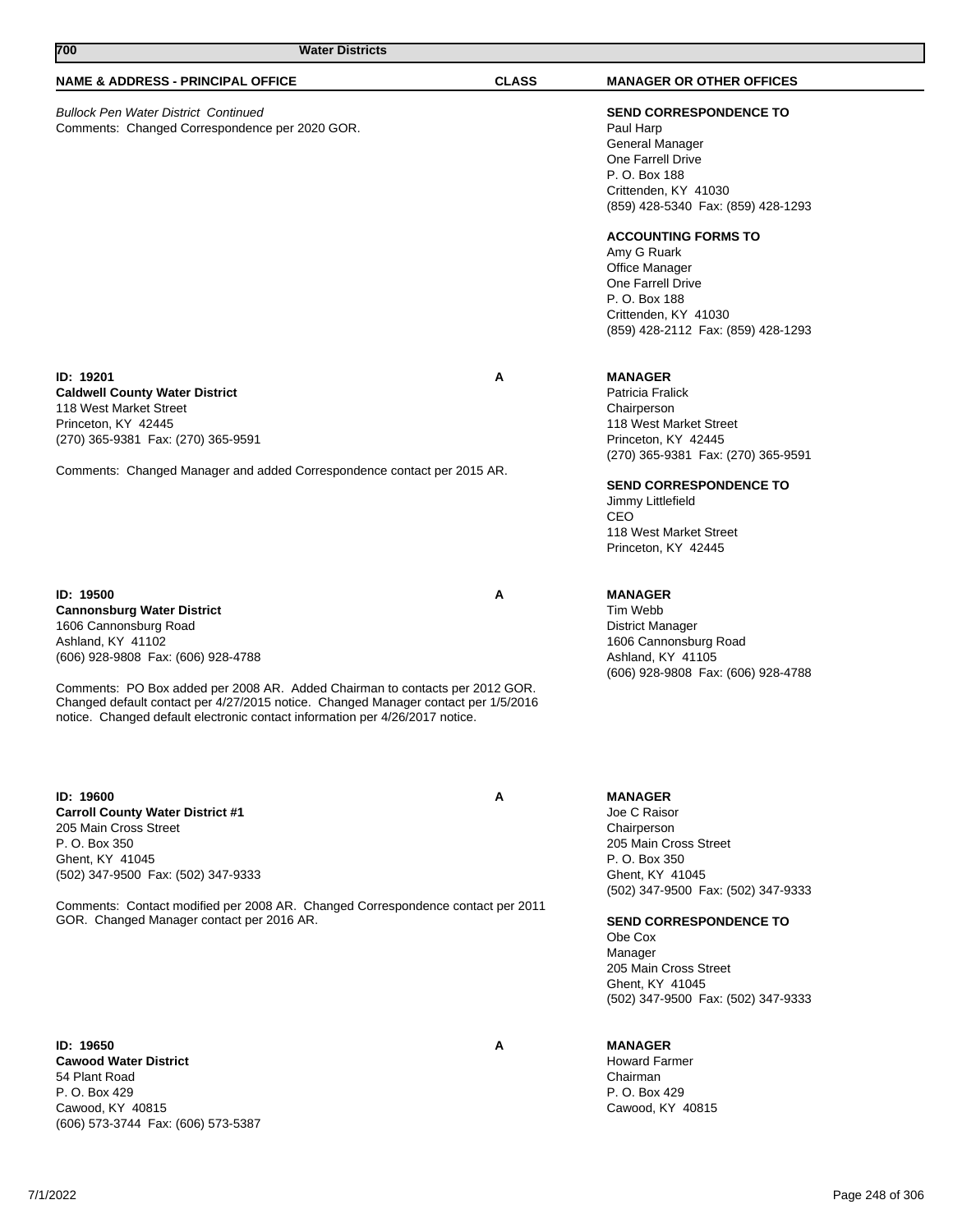| 700<br><b>Water Districts</b>                                                                                                                                                                                                                                                                                                                                                            |              |                                                                                                                                                                                                                                                                                                                                      |
|------------------------------------------------------------------------------------------------------------------------------------------------------------------------------------------------------------------------------------------------------------------------------------------------------------------------------------------------------------------------------------------|--------------|--------------------------------------------------------------------------------------------------------------------------------------------------------------------------------------------------------------------------------------------------------------------------------------------------------------------------------------|
| <b>NAME &amp; ADDRESS - PRINCIPAL OFFICE</b>                                                                                                                                                                                                                                                                                                                                             | <b>CLASS</b> | <b>MANAGER OR OTHER OFFICES</b>                                                                                                                                                                                                                                                                                                      |
| <b>Bullock Pen Water District Continued</b><br>Comments: Changed Correspondence per 2020 GOR.                                                                                                                                                                                                                                                                                            |              | <b>SEND CORRESPONDENCE TO</b><br>Paul Harp<br>General Manager<br>One Farrell Drive<br>P. O. Box 188<br>Crittenden, KY 41030<br>(859) 428-5340 Fax: (859) 428-1293<br><b>ACCOUNTING FORMS TO</b><br>Amy G Ruark<br>Office Manager<br>One Farrell Drive<br>P. O. Box 188<br>Crittenden, KY 41030<br>(859) 428-2112 Fax: (859) 428-1293 |
| ID: 19201<br><b>Caldwell County Water District</b><br>118 West Market Street<br>Princeton, KY 42445<br>(270) 365-9381 Fax: (270) 365-9591<br>Comments: Changed Manager and added Correspondence contact per 2015 AR.                                                                                                                                                                     | A            | <b>MANAGER</b><br>Patricia Fralick<br>Chairperson<br>118 West Market Street<br>Princeton, KY 42445<br>(270) 365-9381 Fax: (270) 365-9591<br><b>SEND CORRESPONDENCE TO</b><br>Jimmy Littlefield<br>CEO<br>118 West Market Street<br>Princeton, KY 42445                                                                               |
| ID: 19500<br><b>Cannonsburg Water District</b><br>1606 Cannonsburg Road<br>Ashland, KY 41102<br>(606) 928-9808 Fax: (606) 928-4788<br>Comments: PO Box added per 2008 AR. Added Chairman to contacts per 2012 GOR.<br>Changed default contact per 4/27/2015 notice. Changed Manager contact per 1/5/2016<br>notice. Changed default electronic contact information per 4/26/2017 notice. | A            | <b>MANAGER</b><br>Tim Webb<br><b>District Manager</b><br>1606 Cannonsburg Road<br>Ashland, KY 41105<br>(606) 928-9808 Fax: (606) 928-4788                                                                                                                                                                                            |
| ID: 19600<br><b>Carroll County Water District #1</b><br>205 Main Cross Street<br>P. O. Box 350<br>Ghent, KY 41045<br>(502) 347-9500 Fax: (502) 347-9333<br>Comments: Contact modified per 2008 AR. Changed Correspondence contact per 2011<br>GOR. Changed Manager contact per 2016 AR.                                                                                                  | A            | <b>MANAGER</b><br>Joe C Raisor<br>Chairperson<br>205 Main Cross Street<br>P. O. Box 350<br>Ghent, KY 41045<br>(502) 347-9500 Fax: (502) 347-9333<br><b>SEND CORRESPONDENCE TO</b><br>Obe Cox<br>Manager<br>205 Main Cross Street<br>Ghent, KY 41045<br>(502) 347-9500 Fax: (502) 347-9333                                            |

**ID: 19650 A Cawood Water District** 54 Plant Road P. O. Box 429 Cawood, KY 40815 (606) 573-3744 Fax: (606) 573-5387

# **MANAGER**

Howard Farmer Chairman P. O. Box 429 Cawood, KY 40815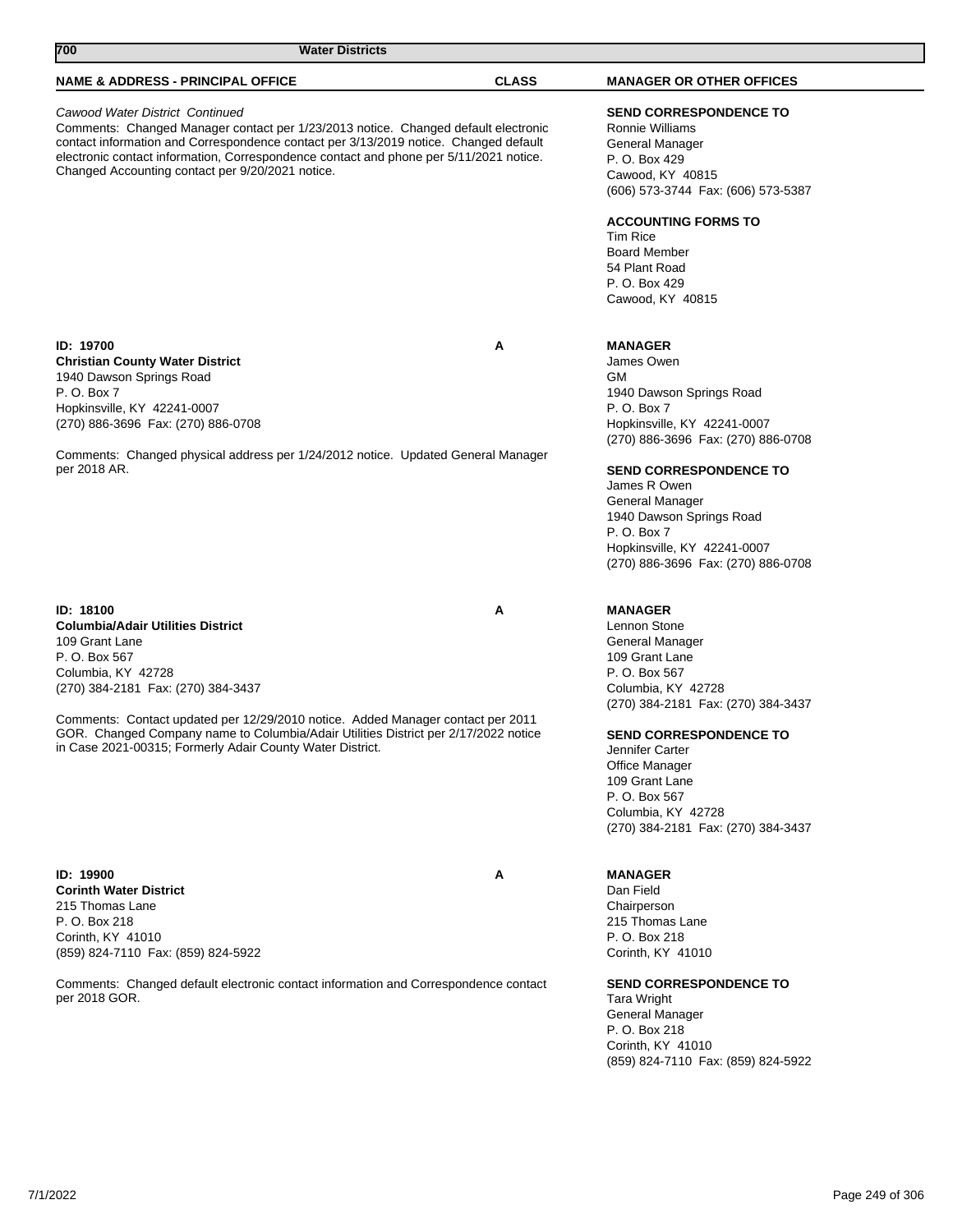| 700<br><b>Water Districts</b>                                                                                                                                                                                                                                                                                                                                                               |              |                                                                                                                                                                                                                                                                                                                              |
|---------------------------------------------------------------------------------------------------------------------------------------------------------------------------------------------------------------------------------------------------------------------------------------------------------------------------------------------------------------------------------------------|--------------|------------------------------------------------------------------------------------------------------------------------------------------------------------------------------------------------------------------------------------------------------------------------------------------------------------------------------|
| <b>NAME &amp; ADDRESS - PRINCIPAL OFFICE</b>                                                                                                                                                                                                                                                                                                                                                | <b>CLASS</b> | <b>MANAGER OR OTHER OFFICES</b>                                                                                                                                                                                                                                                                                              |
| Cawood Water District Continued<br>Comments: Changed Manager contact per 1/23/2013 notice. Changed default electronic<br>contact information and Correspondence contact per 3/13/2019 notice. Changed default<br>electronic contact information, Correspondence contact and phone per 5/11/2021 notice.<br>Changed Accounting contact per 9/20/2021 notice.                                 |              | <b>SEND CORRESPONDENCE TO</b><br>Ronnie Williams<br>General Manager<br>P. O. Box 429<br>Cawood, KY 40815<br>(606) 573-3744 Fax: (606) 573-5387                                                                                                                                                                               |
|                                                                                                                                                                                                                                                                                                                                                                                             |              | <b>ACCOUNTING FORMS TO</b><br><b>Tim Rice</b><br><b>Board Member</b><br>54 Plant Road<br>P. O. Box 429<br>Cawood, KY 40815                                                                                                                                                                                                   |
| <b>ID: 19700</b><br><b>Christian County Water District</b><br>1940 Dawson Springs Road<br>P. O. Box 7<br>Hopkinsville, KY 42241-0007<br>(270) 886-3696 Fax: (270) 886-0708                                                                                                                                                                                                                  | Α            | <b>MANAGER</b><br>James Owen<br><b>GM</b><br>1940 Dawson Springs Road<br>P. O. Box 7<br>Hopkinsville, KY 42241-0007<br>(270) 886-3696 Fax: (270) 886-0708                                                                                                                                                                    |
| Comments: Changed physical address per 1/24/2012 notice. Updated General Manager<br>per 2018 AR.                                                                                                                                                                                                                                                                                            |              | <b>SEND CORRESPONDENCE TO</b><br>James R Owen<br>General Manager<br>1940 Dawson Springs Road<br>P. O. Box 7<br>Hopkinsville, KY 42241-0007<br>(270) 886-3696 Fax: (270) 886-0708                                                                                                                                             |
| ID: 18100<br><b>Columbia/Adair Utilities District</b><br>109 Grant Lane<br>P. O. Box 567<br>Columbia, KY 42728<br>(270) 384-2181 Fax: (270) 384-3437<br>Comments: Contact updated per 12/29/2010 notice. Added Manager contact per 2011<br>GOR. Changed Company name to Columbia/Adair Utilities District per 2/17/2022 notice<br>in Case 2021-00315; Formerly Adair County Water District. | Α            | <b>MANAGER</b><br>Lennon Stone<br>General Manager<br>109 Grant Lane<br>P. O. Box 567<br>Columbia, KY 42728<br>(270) 384-2181 Fax: (270) 384-3437<br><b>SEND CORRESPONDENCE TO</b><br>Jennifer Carter<br><b>Office Manager</b><br>109 Grant Lane<br>P. O. Box 567<br>Columbia, KY 42728<br>(270) 384-2181 Fax: (270) 384-3437 |
| ID: 19900<br><b>Corinth Water District</b><br>215 Thomas Lane<br>P. O. Box 218<br>Corinth, KY 41010<br>(859) 824-7110 Fax: (859) 824-5922<br>Comments: Changed default electronic contact information and Correspondence contact<br>per 2018 GOR.                                                                                                                                           | Α            | <b>MANAGER</b><br>Dan Field<br>Chairperson<br>215 Thomas Lane<br>P. O. Box 218<br>Corinth, KY 41010<br><b>SEND CORRESPONDENCE TO</b><br><b>Tara Wright</b>                                                                                                                                                                   |
|                                                                                                                                                                                                                                                                                                                                                                                             |              | General Manager<br>P. O. Box 218<br>Corinth, KY 41010<br>(859) 824-7110 Fax: (859) 824-5922                                                                                                                                                                                                                                  |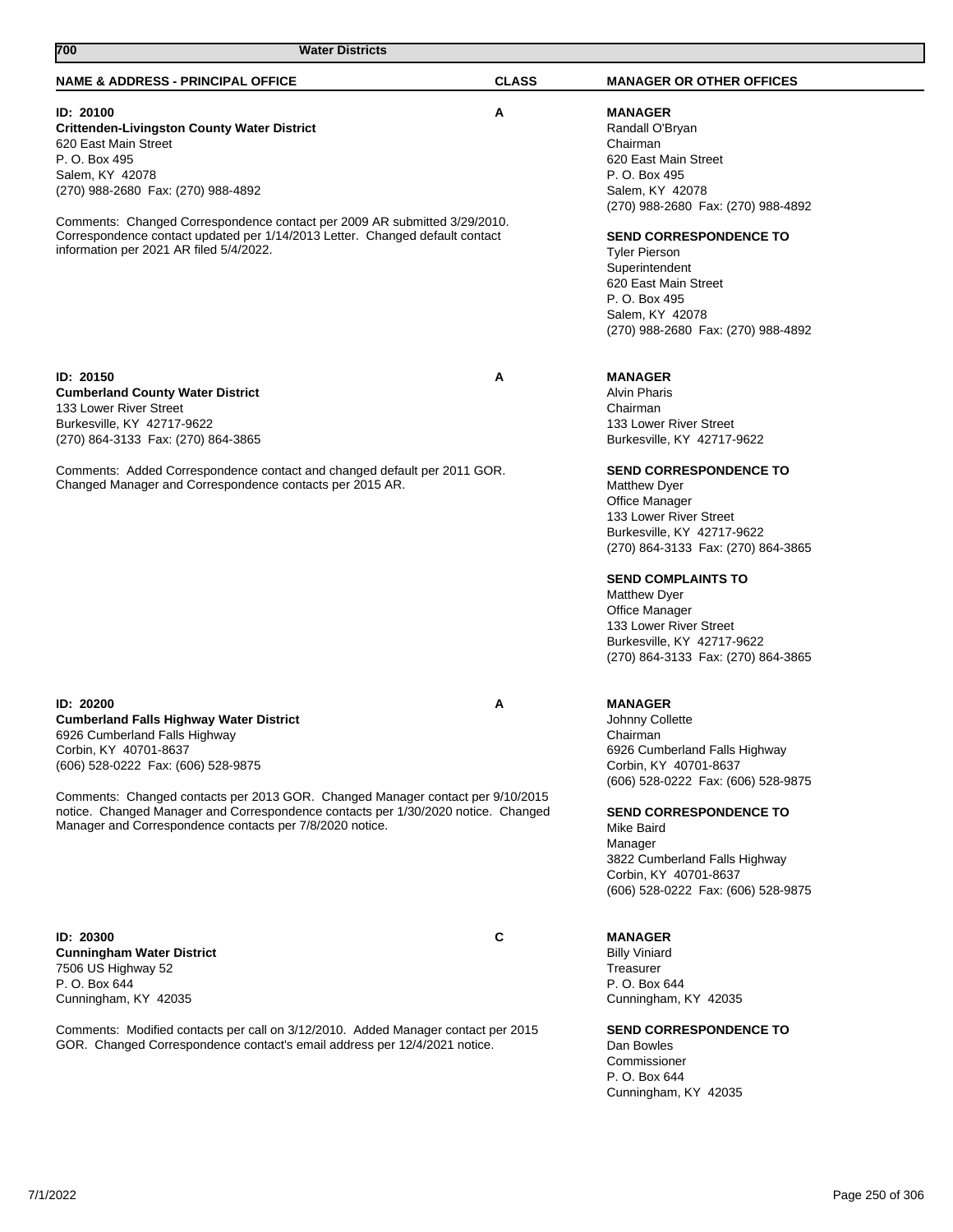| P. O. Box 495<br>Salem, KY 42078<br>(270) 988-2680 Fax: (270) 988-4892<br>Comments: Changed Correspondence contact per 2009 AR submitted 3/29/2010.<br>Correspondence contact updated per 1/14/2013 Letter. Changed default contact<br>information per 2021 AR filed 5/4/2022. | 620 East Main Street<br>P. O. Box 495<br>Salem, KY 42078<br>(270) 988-2680 Fax: (270) 988-4892<br><b>SEND CORRESPONDENCE TO</b><br><b>Tyler Pierson</b><br>Superintendent<br>620 East Main Street<br>P. O. Box 495<br>Salem, KY 42078<br>(270) 988-2680 Fax: (270) 988-4892                                                                     |
|--------------------------------------------------------------------------------------------------------------------------------------------------------------------------------------------------------------------------------------------------------------------------------|-------------------------------------------------------------------------------------------------------------------------------------------------------------------------------------------------------------------------------------------------------------------------------------------------------------------------------------------------|
| <b>ID: 20150</b><br><b>Cumberland County Water District</b><br>133 Lower River Street<br>Burkesville, KY 42717-9622<br>(270) 864-3133 Fax: (270) 864-3865                                                                                                                      | A<br><b>MANAGER</b><br><b>Alvin Pharis</b><br>Chairman<br>133 Lower River Street<br>Burkesville, KY 42717-9622                                                                                                                                                                                                                                  |
| Comments: Added Correspondence contact and changed default per 2011 GOR.<br>Changed Manager and Correspondence contacts per 2015 AR.                                                                                                                                           | <b>SEND CORRESPONDENCE TO</b><br><b>Matthew Dyer</b><br>Office Manager<br>133 Lower River Street<br>Burkesville, KY 42717-9622<br>(270) 864-3133 Fax: (270) 864-3865<br><b>SEND COMPLAINTS TO</b><br><b>Matthew Dyer</b><br><b>Office Manager</b><br>133 Lower River Street<br>Burkesville, KY 42717-9622<br>(270) 864-3133 Fax: (270) 864-3865 |
| <b>ID: 20200</b><br><b>Cumberland Falls Highway Water District</b><br>6926 Cumberland Falls Highway<br>Corbin, KY 40701-8637<br>(606) 528-0222 Fax: (606) 528-9875                                                                                                             | Α<br><b>MANAGER</b><br>Johnny Collette<br>Chairman<br>6926 Cumberland Falls Highway<br>Corbin, KY 40701-8637<br>(606) 528-0222 Fax: (606) 528-9875                                                                                                                                                                                              |
| Comments: Changed contacts per 2013 GOR. Changed Manager contact per 9/10/2015<br>notice. Changed Manager and Correspondence contacts per 1/30/2020 notice. Changed<br>Manager and Correspondence contacts per 7/8/2020 notice.                                                | <b>SEND CORRESPONDENCE TO</b><br>Mike Baird<br>Manager<br>3822 Cumberland Falls Highway<br>Corbin, KY 40701-8637<br>(606) 528-0222 Fax: (606) 528-9875                                                                                                                                                                                          |
| ID: 20300<br><b>Cunningham Water District</b><br>7506 US Highway 52<br>P. O. Box 644<br>Cunningham, KY 42035                                                                                                                                                                   | C<br><b>MANAGER</b><br><b>Billy Viniard</b><br>Treasurer<br>P. O. Box 644<br>Cunningham, KY 42035                                                                                                                                                                                                                                               |
| Comments: Modified contacts per call on 3/12/2010. Added Manager contact per 2015<br>GOR. Changed Correspondence contact's email address per 12/4/2021 notice.                                                                                                                 | <b>SEND CORRESPONDENCE TO</b><br>Dan Bowles<br>Commissioner<br>P. O. Box 644<br>Cunningham, KY 42035                                                                                                                                                                                                                                            |
| 7/1/2022                                                                                                                                                                                                                                                                       | Page 250 of 306                                                                                                                                                                                                                                                                                                                                 |

**NAME & ADDRESS - PRINCIPAL OFFICE CLASS MANAGER OR OTHER OFFICES**

**MANAGER** Randall O'Bryan Chairman

620 East Main Street

**Crittenden-Livingston County Water District**

**700 Water Districts** 

**ID: 20100 A**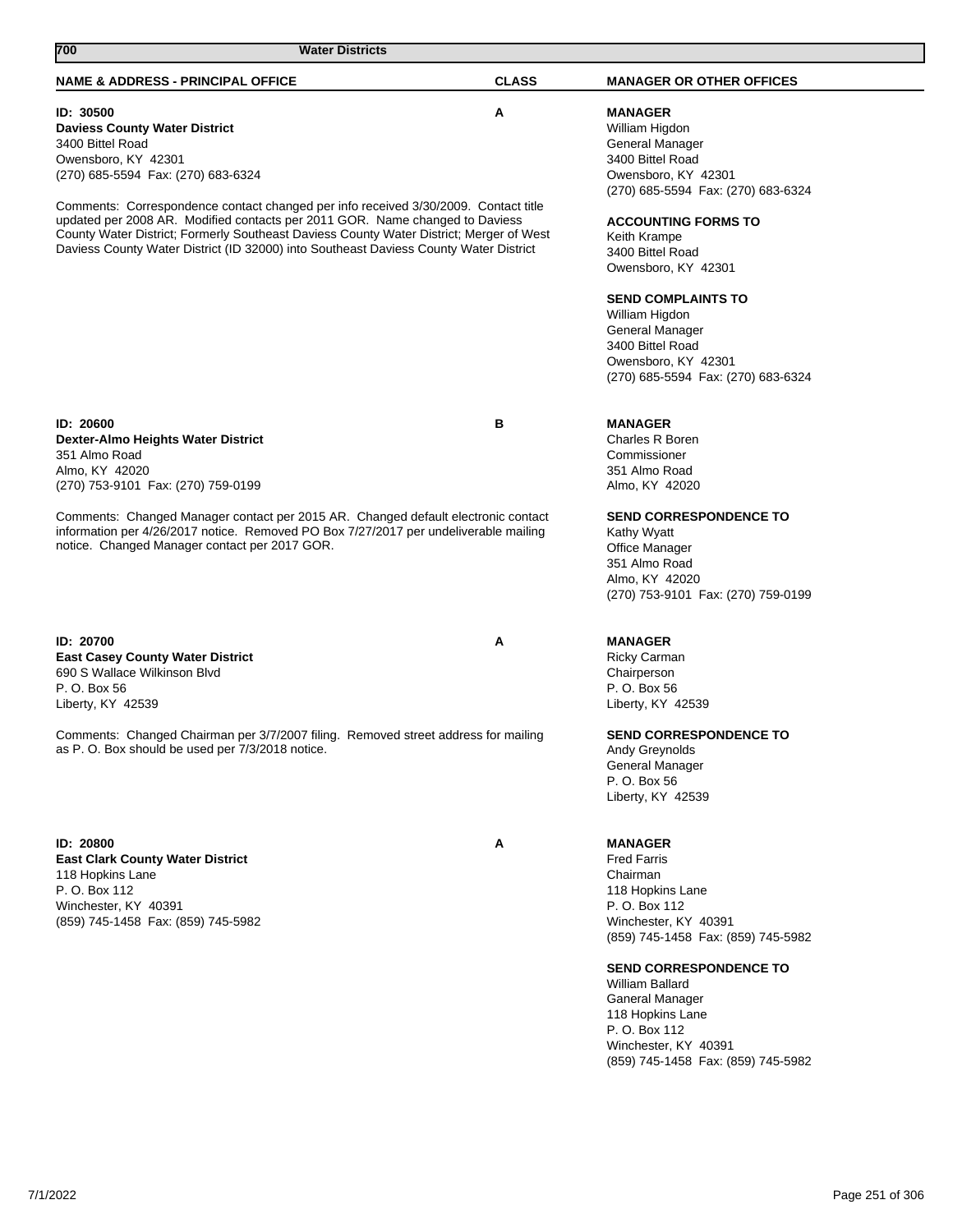| <b>NAME &amp; ADDRESS - PRINCIPAL OFFICE</b>                                                                                                                                                                                                                                                                                                            | <b>CLASS</b> | <b>MANAGER OR OTHER OFFICES</b>                                                                                                                                                                                                                                                                                                             |
|---------------------------------------------------------------------------------------------------------------------------------------------------------------------------------------------------------------------------------------------------------------------------------------------------------------------------------------------------------|--------------|---------------------------------------------------------------------------------------------------------------------------------------------------------------------------------------------------------------------------------------------------------------------------------------------------------------------------------------------|
| ID: 30500<br><b>Daviess County Water District</b><br>3400 Bittel Road<br>Owensboro, KY 42301<br>(270) 685-5594  Fax: (270) 683-6324                                                                                                                                                                                                                     | Α            | <b>MANAGER</b><br>William Higdon<br>General Manager<br>3400 Bittel Road<br>Owensboro, KY 42301<br>(270) 685-5594  Fax: (270) 683-6324                                                                                                                                                                                                       |
| Comments: Correspondence contact changed per info received 3/30/2009. Contact title<br>updated per 2008 AR. Modified contacts per 2011 GOR. Name changed to Daviess<br>County Water District; Formerly Southeast Daviess County Water District; Merger of West<br>Daviess County Water District (ID 32000) into Southeast Daviess County Water District |              | <b>ACCOUNTING FORMS TO</b><br>Keith Krampe<br>3400 Bittel Road<br>Owensboro, KY 42301                                                                                                                                                                                                                                                       |
|                                                                                                                                                                                                                                                                                                                                                         |              | <b>SEND COMPLAINTS TO</b><br>William Higdon<br>General Manager<br>3400 Bittel Road<br>Owensboro, KY 42301<br>(270) 685-5594 Fax: (270) 683-6324                                                                                                                                                                                             |
| ID: 20600<br><b>Dexter-Almo Heights Water District</b><br>351 Almo Road<br>Almo, KY 42020<br>(270) 753-9101 Fax: (270) 759-0199                                                                                                                                                                                                                         | в            | <b>MANAGER</b><br><b>Charles R Boren</b><br>Commissioner<br>351 Almo Road<br>Almo, KY 42020                                                                                                                                                                                                                                                 |
| Comments: Changed Manager contact per 2015 AR. Changed default electronic contact<br>information per 4/26/2017 notice. Removed PO Box 7/27/2017 per undeliverable mailing<br>notice. Changed Manager contact per 2017 GOR.                                                                                                                              |              | <b>SEND CORRESPONDENCE TO</b><br>Kathy Wyatt<br>Office Manager<br>351 Almo Road<br>Almo, KY 42020<br>(270) 753-9101 Fax: (270) 759-0199                                                                                                                                                                                                     |
| ID: 20700<br><b>East Casey County Water District</b><br>690 S Wallace Wilkinson Blyd<br>P. O. Box 56<br>Liberty, KY 42539                                                                                                                                                                                                                               | A            | <b>MANAGER</b><br>Ricky Carman<br>Chairperson<br>P. O. Box 56<br>Liberty, KY 42539                                                                                                                                                                                                                                                          |
| Comments: Changed Chairman per 3/7/2007 filing. Removed street address for mailing<br>as P. O. Box should be used per 7/3/2018 notice.                                                                                                                                                                                                                  |              | <b>SEND CORRESPONDENCE TO</b><br>Andy Greynolds<br>General Manager<br>P. O. Box 56<br>Liberty, KY 42539                                                                                                                                                                                                                                     |
| ID: 20800<br><b>East Clark County Water District</b><br>118 Hopkins Lane<br>P. O. Box 112<br>Winchester, KY 40391<br>(859) 745-1458 Fax: (859) 745-5982                                                                                                                                                                                                 | A            | <b>MANAGER</b><br><b>Fred Farris</b><br>Chairman<br>118 Hopkins Lane<br>P. O. Box 112<br>Winchester, KY 40391<br>(859) 745-1458 Fax: (859) 745-5982<br><b>SEND CORRESPONDENCE TO</b><br><b>William Ballard</b><br><b>Ganeral Manager</b><br>118 Hopkins Lane<br>P. O. Box 112<br>Winchester, KY 40391<br>(859) 745-1458 Fax: (859) 745-5982 |

**700 Water Districts**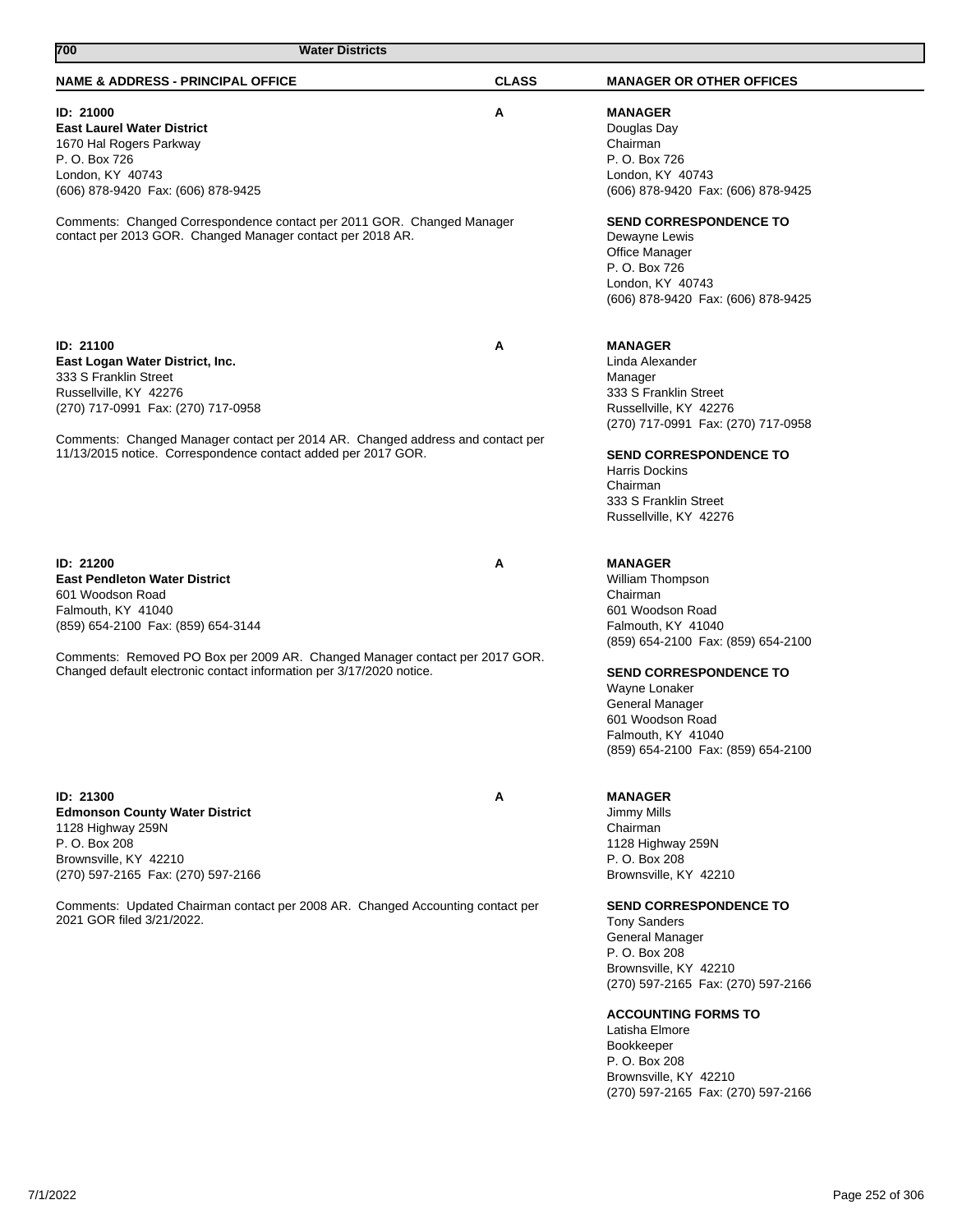| 700<br><b>Water Districts</b>                                                                                                                                                                                                                                                            |              |                                                                                                                                                                                                                                                                                                                                                                                                                          |
|------------------------------------------------------------------------------------------------------------------------------------------------------------------------------------------------------------------------------------------------------------------------------------------|--------------|--------------------------------------------------------------------------------------------------------------------------------------------------------------------------------------------------------------------------------------------------------------------------------------------------------------------------------------------------------------------------------------------------------------------------|
| <b>NAME &amp; ADDRESS - PRINCIPAL OFFICE</b>                                                                                                                                                                                                                                             | <b>CLASS</b> | <b>MANAGER OR OTHER OFFICES</b>                                                                                                                                                                                                                                                                                                                                                                                          |
| ID: 21000<br><b>East Laurel Water District</b><br>1670 Hal Rogers Parkway<br>P. O. Box 726<br>London, KY 40743<br>(606) 878-9420 Fax: (606) 878-9425                                                                                                                                     | Α            | <b>MANAGER</b><br>Douglas Day<br>Chairman<br>P. O. Box 726<br>London, KY 40743<br>(606) 878-9420 Fax: (606) 878-9425                                                                                                                                                                                                                                                                                                     |
| Comments: Changed Correspondence contact per 2011 GOR. Changed Manager<br>contact per 2013 GOR. Changed Manager contact per 2018 AR.                                                                                                                                                     |              | <b>SEND CORRESPONDENCE TO</b><br>Dewayne Lewis<br>Office Manager<br>P. O. Box 726<br>London, KY 40743<br>(606) 878-9420 Fax: (606) 878-9425                                                                                                                                                                                                                                                                              |
| ID: 21100<br>East Logan Water District, Inc.<br>333 S Franklin Street<br>Russellville, KY 42276<br>(270) 717-0991 Fax: (270) 717-0958                                                                                                                                                    | A            | <b>MANAGER</b><br>Linda Alexander<br>Manager<br>333 S Franklin Street<br>Russellville, KY 42276<br>(270) 717-0991 Fax: (270) 717-0958                                                                                                                                                                                                                                                                                    |
| Comments: Changed Manager contact per 2014 AR. Changed address and contact per<br>11/13/2015 notice. Correspondence contact added per 2017 GOR.                                                                                                                                          |              | <b>SEND CORRESPONDENCE TO</b><br>Harris Dockins<br>Chairman<br>333 S Franklin Street<br>Russellville, KY 42276                                                                                                                                                                                                                                                                                                           |
| ID: 21200<br><b>East Pendleton Water District</b><br>601 Woodson Road<br>Falmouth, KY 41040<br>(859) 654-2100 Fax: (859) 654-3144<br>Comments: Removed PO Box per 2009 AR. Changed Manager contact per 2017 GOR.<br>Changed default electronic contact information per 3/17/2020 notice. | Α            | <b>MANAGER</b><br>William Thompson<br>Chairman<br>601 Woodson Road<br>Falmouth, KY 41040<br>(859) 654-2100 Fax: (859) 654-2100<br><b>SEND CORRESPONDENCE TO</b><br>Wayne Lonaker<br>General Manager<br>601 Woodson Road<br>Falmouth, KY 41040<br>(859) 654-2100 Fax: (859) 654-2100                                                                                                                                      |
| ID: 21300<br><b>Edmonson County Water District</b><br>1128 Highway 259N<br>P. O. Box 208<br>Brownsville, KY 42210<br>(270) 597-2165 Fax: (270) 597-2166<br>Comments: Updated Chairman contact per 2008 AR. Changed Accounting contact per<br>2021 GOR filed 3/21/2022.                   | A            | <b>MANAGER</b><br>Jimmy Mills<br>Chairman<br>1128 Highway 259N<br>P. O. Box 208<br>Brownsville, KY 42210<br><b>SEND CORRESPONDENCE TO</b><br><b>Tony Sanders</b><br>General Manager<br>P. O. Box 208<br>Brownsville, KY 42210<br>(270) 597-2165 Fax: (270) 597-2166<br><b>ACCOUNTING FORMS TO</b><br>Latisha Elmore<br><b>Bookkeeper</b><br>P. O. Box 208<br>Brownsville, KY 42210<br>(270) 597-2165 Fax: (270) 597-2166 |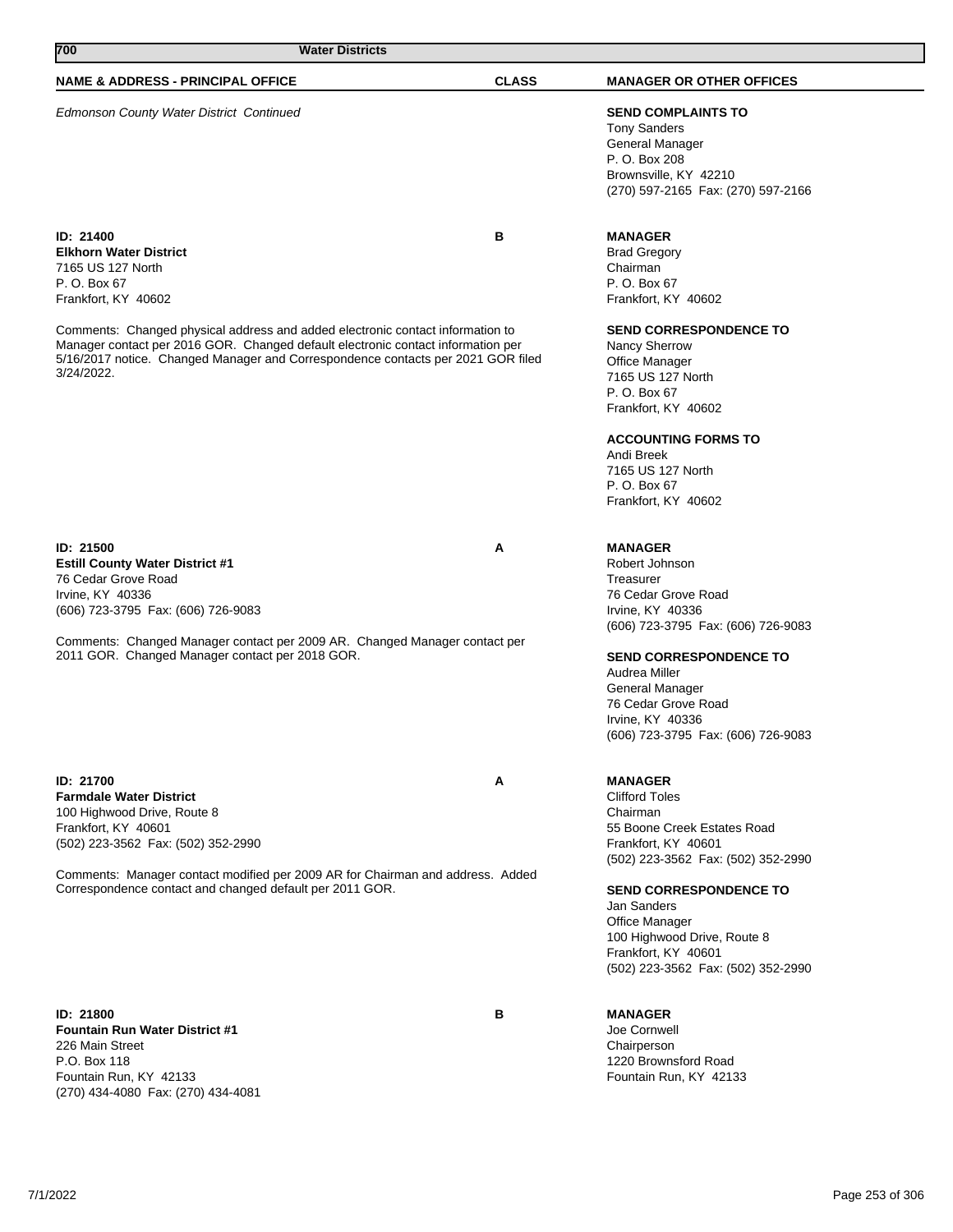| <b>NAME &amp; ADDRESS - PRINCIPAL OFFICE</b>                                                                                                                         | <b>CLASS</b> | <b>MANAGER OR OTHER OFFICES</b>     |
|----------------------------------------------------------------------------------------------------------------------------------------------------------------------|--------------|-------------------------------------|
| <b>Edmonson County Water District Continued</b>                                                                                                                      |              | <b>SEND COMPLAINTS TO</b>           |
|                                                                                                                                                                      |              | <b>Tony Sanders</b>                 |
|                                                                                                                                                                      |              | <b>General Manager</b>              |
|                                                                                                                                                                      |              | P. O. Box 208                       |
|                                                                                                                                                                      |              | Brownsville, KY 42210               |
|                                                                                                                                                                      |              | (270) 597-2165 Fax: (270) 597-2166  |
| ID: 21400                                                                                                                                                            | в            | <b>MANAGER</b>                      |
| <b>Elkhorn Water District</b>                                                                                                                                        |              | <b>Brad Gregory</b>                 |
| 7165 US 127 North                                                                                                                                                    |              | Chairman                            |
| P. O. Box 67                                                                                                                                                         |              | P. O. Box 67                        |
| Frankfort, KY 40602                                                                                                                                                  |              | Frankfort, KY 40602                 |
|                                                                                                                                                                      |              |                                     |
| Comments: Changed physical address and added electronic contact information to                                                                                       |              | <b>SEND CORRESPONDENCE TO</b>       |
| Manager contact per 2016 GOR. Changed default electronic contact information per<br>5/16/2017 notice. Changed Manager and Correspondence contacts per 2021 GOR filed |              | Nancy Sherrow                       |
| 3/24/2022.                                                                                                                                                           |              | <b>Office Manager</b>               |
|                                                                                                                                                                      |              | 7165 US 127 North                   |
|                                                                                                                                                                      |              | P. O. Box 67<br>Frankfort, KY 40602 |
|                                                                                                                                                                      |              |                                     |
|                                                                                                                                                                      |              | <b>ACCOUNTING FORMS TO</b>          |
|                                                                                                                                                                      |              | Andi Breek                          |
|                                                                                                                                                                      |              | 7165 US 127 North<br>P. O. Box 67   |
|                                                                                                                                                                      |              | Frankfort, KY 40602                 |
|                                                                                                                                                                      |              |                                     |
| ID: 21500                                                                                                                                                            | Α            | <b>MANAGER</b>                      |
| <b>Estill County Water District #1</b>                                                                                                                               |              | Robert Johnson                      |
| 76 Cedar Grove Road                                                                                                                                                  |              | Treasurer                           |
| Irvine, KY 40336                                                                                                                                                     |              | 76 Cedar Grove Road                 |
| (606) 723-3795 Fax: (606) 726-9083                                                                                                                                   |              | Irvine, KY 40336                    |
|                                                                                                                                                                      |              | (606) 723-3795 Fax: (606) 726-9083  |
| Comments: Changed Manager contact per 2009 AR. Changed Manager contact per                                                                                           |              |                                     |
| 2011 GOR. Changed Manager contact per 2018 GOR.                                                                                                                      |              | <b>SEND CORRESPONDENCE TO</b>       |
|                                                                                                                                                                      |              | Audrea Miller                       |
|                                                                                                                                                                      |              | General Manager                     |
|                                                                                                                                                                      |              | 76 Cedar Grove Road                 |
|                                                                                                                                                                      |              | Irvine, KY 40336                    |
|                                                                                                                                                                      |              | (606) 723-3795 Fax: (606) 726-9083  |
| ID: 21700                                                                                                                                                            | A            | <b>MANAGER</b>                      |
| <b>Farmdale Water District</b>                                                                                                                                       |              | <b>Clifford Toles</b>               |
| 100 Highwood Drive, Route 8                                                                                                                                          |              | Chairman                            |
| Frankfort, KY 40601                                                                                                                                                  |              | 55 Boone Creek Estates Road         |
| (502) 223-3562 Fax: (502) 352-2990                                                                                                                                   |              | Frankfort, KY 40601                 |
|                                                                                                                                                                      |              | (502) 223-3562 Fax: (502) 352-2990  |
| Comments: Manager contact modified per 2009 AR for Chairman and address. Added<br>Correspondence contact and changed default per 2011 GOR.                           |              | <b>SEND CORRESPONDENCE TO</b>       |
|                                                                                                                                                                      |              | Jan Sanders                         |
|                                                                                                                                                                      |              | Office Manager                      |
|                                                                                                                                                                      |              | 100 Highwood Drive, Route 8         |
|                                                                                                                                                                      |              | Frankfort, KY 40601                 |
|                                                                                                                                                                      |              | (502) 223-3562 Fax: (502) 352-2990  |
|                                                                                                                                                                      |              |                                     |
| <b>ID: 21800</b>                                                                                                                                                     | В            | <b>MANAGER</b>                      |
| <b>Fountain Run Water District #1</b>                                                                                                                                |              | Joe Cornwell                        |
| 226 Main Street<br>P.O. Box 118                                                                                                                                      |              | Chairperson<br>1220 Brownsford Road |
| Fountain Run, KY 42133                                                                                                                                               |              | Fountain Run, KY 42133              |
| (270) 434-4080 Fax: (270) 434-4081                                                                                                                                   |              |                                     |
|                                                                                                                                                                      |              |                                     |

**700 Water Districts**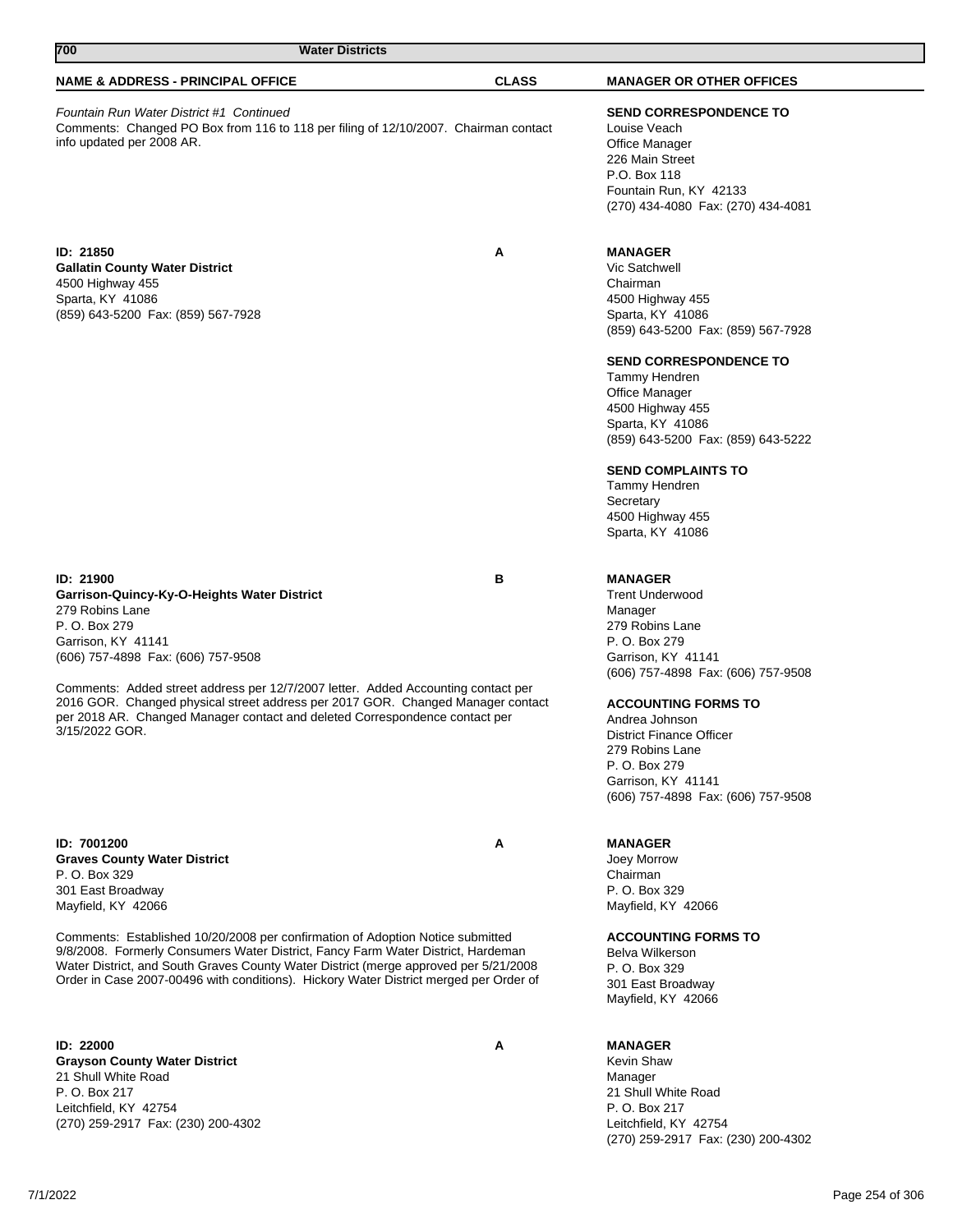| 700                                                                                                                                                                                                                                                                                                                                                                                                                               | <b>Water Districts</b> |                                                                                                                                                                                                                                                                                                                                                                                       |
|-----------------------------------------------------------------------------------------------------------------------------------------------------------------------------------------------------------------------------------------------------------------------------------------------------------------------------------------------------------------------------------------------------------------------------------|------------------------|---------------------------------------------------------------------------------------------------------------------------------------------------------------------------------------------------------------------------------------------------------------------------------------------------------------------------------------------------------------------------------------|
| <b>NAME &amp; ADDRESS - PRINCIPAL OFFICE</b>                                                                                                                                                                                                                                                                                                                                                                                      | <b>CLASS</b>           | <b>MANAGER OR OTHER OFFICES</b>                                                                                                                                                                                                                                                                                                                                                       |
| Fountain Run Water District #1 Continued<br>Comments: Changed PO Box from 116 to 118 per filing of 12/10/2007. Chairman contact<br>info updated per 2008 AR.                                                                                                                                                                                                                                                                      |                        | <b>SEND CORRESPONDENCE TO</b><br>Louise Veach<br>Office Manager<br>226 Main Street<br>P.O. Box 118<br>Fountain Run, KY 42133<br>(270) 434-4080 Fax: (270) 434-4081                                                                                                                                                                                                                    |
| ID: 21850<br><b>Gallatin County Water District</b><br>4500 Highway 455<br>Sparta, KY 41086<br>(859) 643-5200 Fax: (859) 567-7928                                                                                                                                                                                                                                                                                                  | Α                      | <b>MANAGER</b><br>Vic Satchwell<br>Chairman<br>4500 Highway 455<br>Sparta, KY 41086<br>(859) 643-5200 Fax: (859) 567-7928<br><b>SEND CORRESPONDENCE TO</b><br>Tammy Hendren<br><b>Office Manager</b><br>4500 Highway 455<br>Sparta, KY 41086<br>(859) 643-5200 Fax: (859) 643-5222<br><b>SEND COMPLAINTS TO</b><br>Tammy Hendren<br>Secretary<br>4500 Highway 455<br>Sparta, KY 41086 |
| ID: 21900<br>Garrison-Quincy-Ky-O-Heights Water District<br>279 Robins Lane<br>P. O. Box 279<br>Garrison, KY 41141<br>(606) 757-4898 Fax: (606) 757-9508<br>Comments: Added street address per 12/7/2007 letter. Added Accounting contact per<br>2016 GOR. Changed physical street address per 2017 GOR. Changed Manager contact<br>per 2018 AR. Changed Manager contact and deleted Correspondence contact per<br>3/15/2022 GOR. | в                      | <b>MANAGER</b><br><b>Trent Underwood</b><br>Manager<br>279 Robins Lane<br>P. O. Box 279<br>Garrison, KY 41141<br>(606) 757-4898 Fax: (606) 757-9508<br><b>ACCOUNTING FORMS TO</b><br>Andrea Johnson<br><b>District Finance Officer</b><br>279 Robins Lane<br>P. O. Box 279<br>Garrison, KY 41141<br>(606) 757-4898 Fax: (606) 757-9508                                                |
| ID: 7001200<br><b>Graves County Water District</b><br>P. O. Box 329<br>301 East Broadway<br>Mayfield, KY 42066                                                                                                                                                                                                                                                                                                                    | A                      | <b>MANAGER</b><br>Joey Morrow<br>Chairman<br>P. O. Box 329<br>Mayfield, KY 42066                                                                                                                                                                                                                                                                                                      |

Comments: Established 10/20/2008 per confirmation of Adoption Notice submitted 9/8/2008. Formerly Consumers Water District, Fancy Farm Water District, Hardeman Water District, and South Graves County Water District (merge approved per 5/21/2008 Order in Case 2007-00496 with conditions). Hickory Water District merged per Order of

**ID: 22000 A Grayson County Water District** 21 Shull White Road P. O. Box 217 Leitchfield, KY 42754 (270) 259-2917 Fax: (230) 200-4302

Manager 21 Shull White Road

**MANAGER** Kevin Shaw

Belva Wilkerson P. O. Box 329 301 East Broadway Mayfield, KY 42066

**ACCOUNTING FORMS TO**

P. O. Box 217 Leitchfield, KY 42754 (270) 259-2917 Fax: (230) 200-4302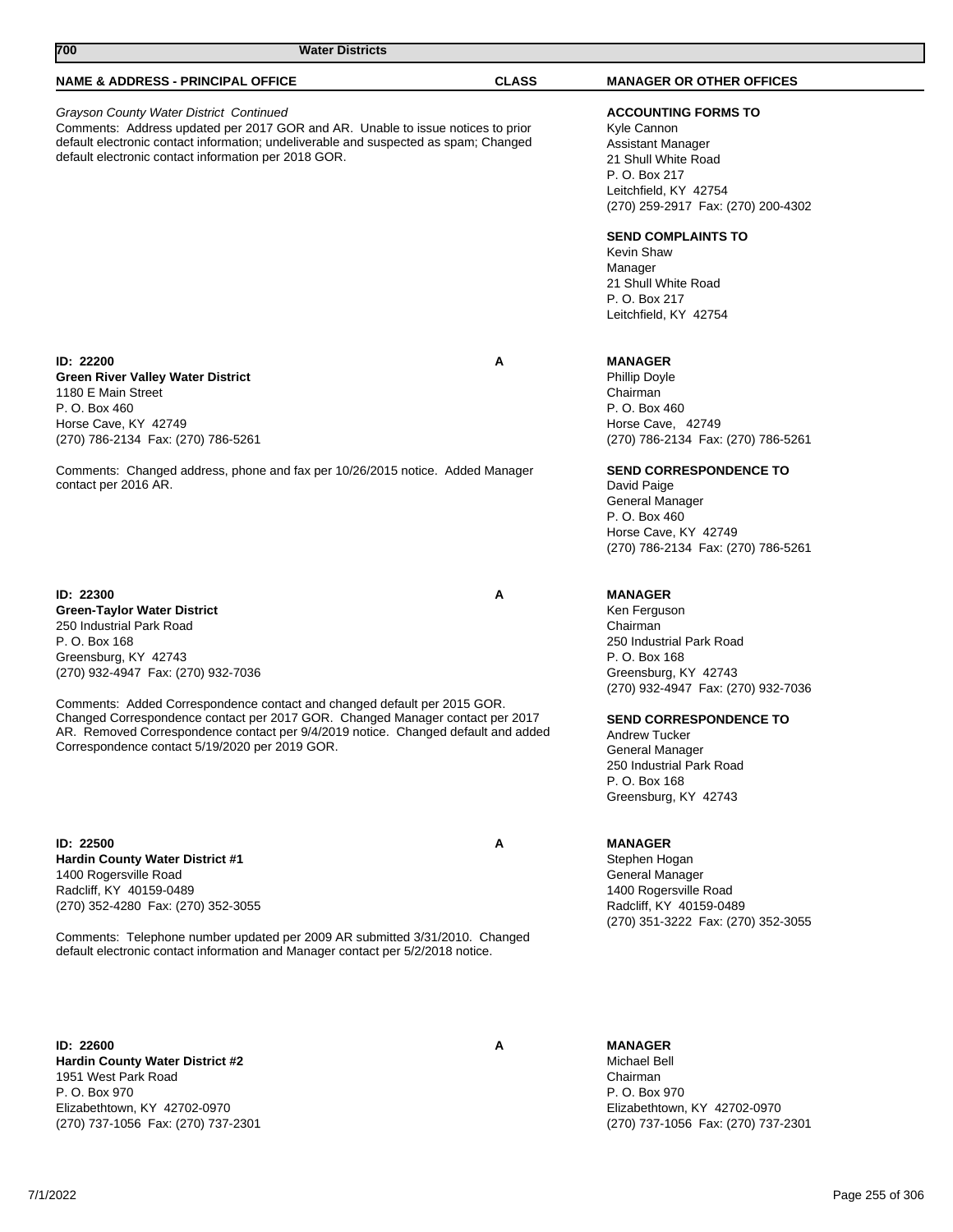| 700                                                                                                                                                                                                                                                                                                                                                                                                                                                                   | <b>Water Districts</b> |              |                                                                                                                                                                                                                                                                                                 |
|-----------------------------------------------------------------------------------------------------------------------------------------------------------------------------------------------------------------------------------------------------------------------------------------------------------------------------------------------------------------------------------------------------------------------------------------------------------------------|------------------------|--------------|-------------------------------------------------------------------------------------------------------------------------------------------------------------------------------------------------------------------------------------------------------------------------------------------------|
| <b>NAME &amp; ADDRESS - PRINCIPAL OFFICE</b>                                                                                                                                                                                                                                                                                                                                                                                                                          |                        | <b>CLASS</b> | <b>MANAGER OR OTHER OFFICES</b>                                                                                                                                                                                                                                                                 |
| Grayson County Water District Continued<br>Comments: Address updated per 2017 GOR and AR. Unable to issue notices to prior<br>default electronic contact information; undeliverable and suspected as spam; Changed<br>default electronic contact information per 2018 GOR.                                                                                                                                                                                            |                        |              | <b>ACCOUNTING FORMS TO</b><br>Kyle Cannon<br>Assistant Manager<br>21 Shull White Road<br>P. O. Box 217<br>Leitchfield, KY 42754<br>(270) 259-2917 Fax: (270) 200-4302<br><b>SEND COMPLAINTS TO</b><br>Kevin Shaw<br>Manager<br>21 Shull White Road<br>P. O. Box 217<br>Leitchfield, KY 42754    |
| ID: 22200<br><b>Green River Valley Water District</b><br>1180 E Main Street<br>P. O. Box 460<br>Horse Cave, KY 42749<br>(270) 786-2134 Fax: (270) 786-5261<br>Comments: Changed address, phone and fax per 10/26/2015 notice. Added Manager<br>contact per 2016 AR.                                                                                                                                                                                                   |                        | A            | <b>MANAGER</b><br>Phillip Doyle<br>Chairman<br>P. O. Box 460<br>Horse Cave, 42749<br>(270) 786-2134 Fax: (270) 786-5261<br><b>SEND CORRESPONDENCE TO</b><br>David Paige<br>General Manager<br>P. O. Box 460<br>Horse Cave, KY 42749<br>(270) 786-2134 Fax: (270) 786-5261                       |
| <b>ID: 22300</b><br><b>Green-Taylor Water District</b><br>250 Industrial Park Road<br>P. O. Box 168<br>Greensburg, KY 42743<br>(270) 932-4947 Fax: (270) 932-7036<br>Comments: Added Correspondence contact and changed default per 2015 GOR.<br>Changed Correspondence contact per 2017 GOR. Changed Manager contact per 2017<br>AR. Removed Correspondence contact per 9/4/2019 notice. Changed default and added<br>Correspondence contact 5/19/2020 per 2019 GOR. |                        | A            | <b>MANAGER</b><br>Ken Ferguson<br>Chairman<br>250 Industrial Park Road<br>P. O. Box 168<br>Greensburg, KY 42743<br>(270) 932-4947 Fax: (270) 932-7036<br><b>SEND CORRESPONDENCE TO</b><br>Andrew Tucker<br>General Manager<br>250 Industrial Park Road<br>P. O. Box 168<br>Greensburg, KY 42743 |
| ID: 22500<br>Hardin County Water District #1<br>1400 Rogersville Road<br>Radcliff, KY 40159-0489<br>(270) 352-4280 Fax: (270) 352-3055<br>Comments: Telephone number updated per 2009 AR submitted 3/31/2010. Changed<br>default electronic contact information and Manager contact per 5/2/2018 notice.                                                                                                                                                              |                        | Α            | <b>MANAGER</b><br>Stephen Hogan<br>General Manager<br>1400 Rogersville Road<br>Radcliff, KY 40159-0489<br>(270) 351-3222 Fax: (270) 352-3055                                                                                                                                                    |
| ID: 22600<br>Hardin County Water District #2                                                                                                                                                                                                                                                                                                                                                                                                                          |                        | Α            | <b>MANAGER</b><br>Michael Bell                                                                                                                                                                                                                                                                  |

**Hardin County Water District #2** 1951 West Park Road P. O. Box 970 Elizabethtown, KY 42702-0970 (270) 737-1056 Fax: (270) 737-2301

Chairman P. O. Box 970 Elizabethtown, KY 42702-0970 (270) 737-1056 Fax: (270) 737-2301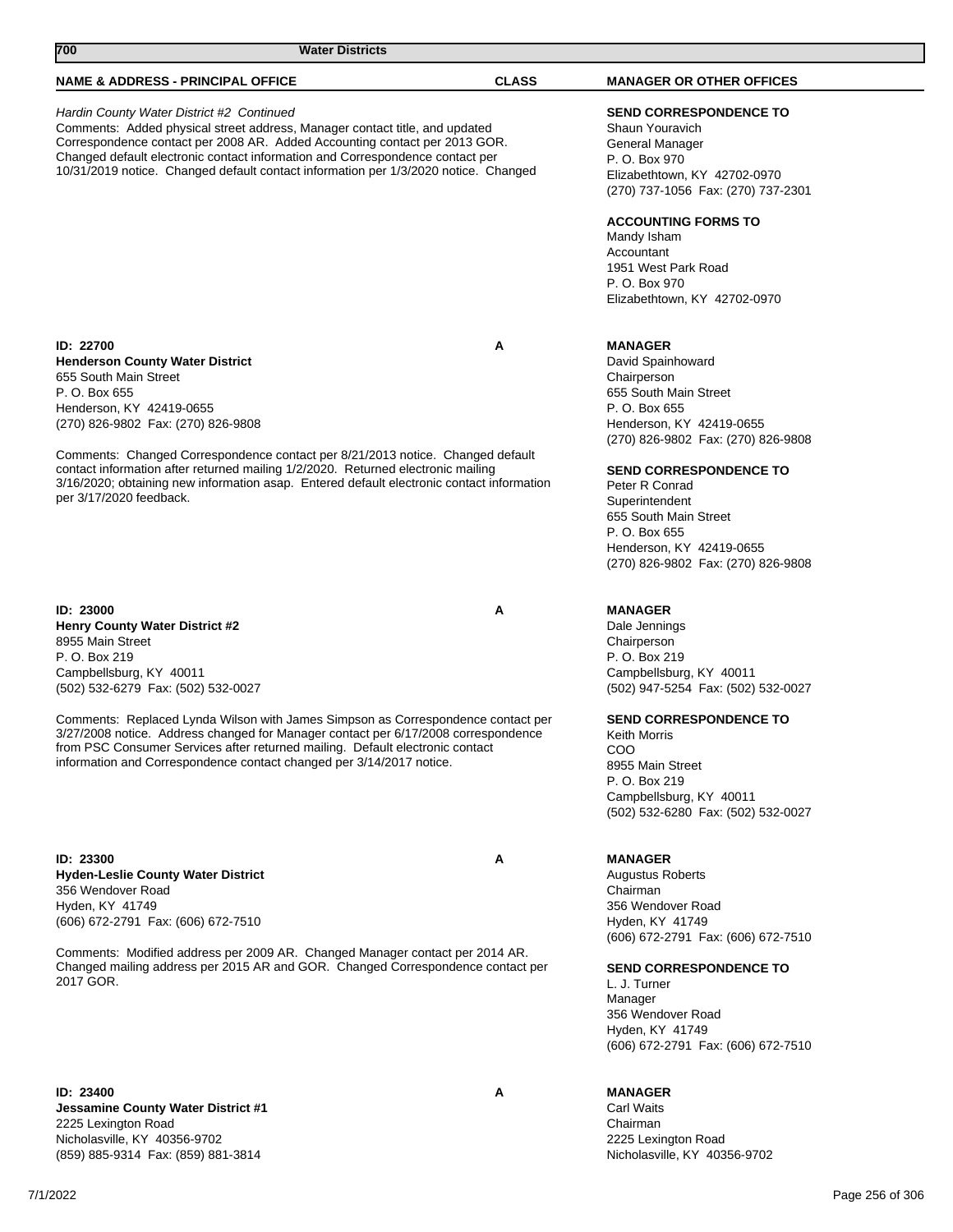| 700<br><b>Water Districts</b>                                                                                                                                                                                                                                                                                                                                                  |              |                                                                                                                                                                                                                                                                                                      |
|--------------------------------------------------------------------------------------------------------------------------------------------------------------------------------------------------------------------------------------------------------------------------------------------------------------------------------------------------------------------------------|--------------|------------------------------------------------------------------------------------------------------------------------------------------------------------------------------------------------------------------------------------------------------------------------------------------------------|
| <b>NAME &amp; ADDRESS - PRINCIPAL OFFICE</b>                                                                                                                                                                                                                                                                                                                                   | <b>CLASS</b> | <b>MANAGER OR OTHER OFFICES</b>                                                                                                                                                                                                                                                                      |
| Hardin County Water District #2 Continued<br>Comments: Added physical street address, Manager contact title, and updated<br>Correspondence contact per 2008 AR. Added Accounting contact per 2013 GOR.<br>Changed default electronic contact information and Correspondence contact per<br>10/31/2019 notice. Changed default contact information per 1/3/2020 notice. Changed |              | <b>SEND CORRESPONDENCE TO</b><br>Shaun Youravich<br><b>General Manager</b><br>P. O. Box 970<br>Elizabethtown, KY 42702-0970<br>(270) 737-1056 Fax: (270) 737-2301<br><b>ACCOUNTING FORMS TO</b><br>Mandy Isham<br>Accountant<br>1951 West Park Road<br>P. O. Box 970<br>Elizabethtown, KY 42702-0970 |
| ID: 22700<br><b>Henderson County Water District</b><br>655 South Main Street<br>P. O. Box 655                                                                                                                                                                                                                                                                                  | A            | <b>MANAGER</b><br>David Spainhoward<br>Chairperson<br>655 South Main Street                                                                                                                                                                                                                          |
| Henderson, KY 42419-0655<br>(270) 826-9802 Fax: (270) 826-9808                                                                                                                                                                                                                                                                                                                 |              | P. O. Box 655<br>Henderson, KY 42419-0655<br>(270) 826-9802 Fax: (270) 826-9808                                                                                                                                                                                                                      |
| Comments: Changed Correspondence contact per 8/21/2013 notice. Changed default<br>contact information after returned mailing 1/2/2020. Returned electronic mailing<br>3/16/2020; obtaining new information asap. Entered default electronic contact information<br>per 3/17/2020 feedback.                                                                                     |              | <b>SEND CORRESPONDENCE TO</b><br>Peter R Conrad<br>Superintendent<br>655 South Main Street<br>P. O. Box 655<br>Henderson, KY 42419-0655<br>(270) 826-9802 Fax: (270) 826-9808                                                                                                                        |
| ID: 23000<br>Henry County Water District #2<br>8955 Main Street<br>P. O. Box 219                                                                                                                                                                                                                                                                                               | Α            | <b>MANAGER</b><br>Dale Jennings<br>Chairperson<br>P. O. Box 219                                                                                                                                                                                                                                      |
| Campbellsburg, KY 40011<br>(502) 532-6279 Fax: (502) 532-0027                                                                                                                                                                                                                                                                                                                  |              | Campbellsburg, KY 40011<br>(502) 947-5254 Fax: (502) 532-0027                                                                                                                                                                                                                                        |
| Comments: Replaced Lynda Wilson with James Simpson as Correspondence contact per<br>3/27/2008 notice. Address changed for Manager contact per 6/17/2008 correspondence<br>from PSC Consumer Services after returned mailing. Default electronic contact<br>information and Correspondence contact changed per 3/14/2017 notice.                                                |              | <b>SEND CORRESPONDENCE TO</b><br>Keith Morris<br>COO<br>8955 Main Street<br>P. O. Box 219<br>Campbellsburg, KY 40011<br>(502) 532-6280 Fax: (502) 532-0027                                                                                                                                           |
| ID: 23300<br><b>Hyden-Leslie County Water District</b><br>356 Wendover Road                                                                                                                                                                                                                                                                                                    | Α            | <b>MANAGER</b><br><b>Augustus Roberts</b><br>Chairman                                                                                                                                                                                                                                                |

356 Wendover Road Hyden, KY 41749 (606) 672-2791 Fax: (606) 672-7510

**ID: 23400 A Jessamine County Water District #1** 2225 Lexington Road Nicholasville, KY 40356-9702 (859) 885-9314 Fax: (859) 881-3814

Comments: Modified address per 2009 AR. Changed Manager contact per 2014 AR. Changed mailing address per 2015 AR and GOR. Changed Correspondence contact per 2017 GOR.

## **MANAGER**

L. J. Turner Manager

356 Wendover Road Hyden, KY 41749

356 Wendover Road Hyden, KY 41749

(606) 672-2791 Fax: (606) 672-7510

(606) 672-2791 Fax: (606) 672-7510

**SEND CORRESPONDENCE TO**

Carl Waits Chairman 2225 Lexington Road Nicholasville, KY 40356-9702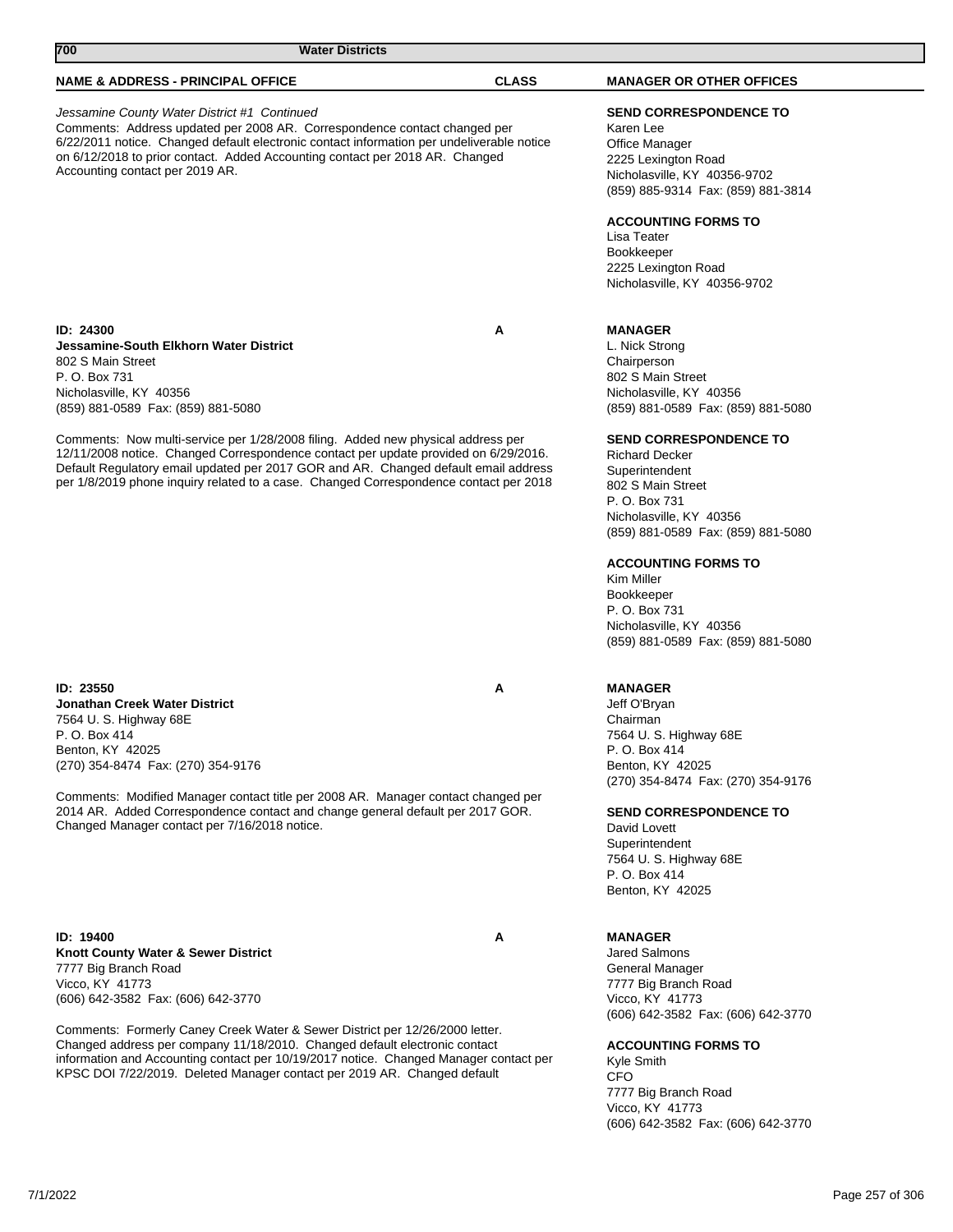| 700<br><b>Water Districts</b>                                                                                                                                                                                                                                                                                                                                           |                                                                                                                                                                                                                                                                                       |  |
|-------------------------------------------------------------------------------------------------------------------------------------------------------------------------------------------------------------------------------------------------------------------------------------------------------------------------------------------------------------------------|---------------------------------------------------------------------------------------------------------------------------------------------------------------------------------------------------------------------------------------------------------------------------------------|--|
| <b>NAME &amp; ADDRESS - PRINCIPAL OFFICE</b>                                                                                                                                                                                                                                                                                                                            | <b>CLASS</b><br><b>MANAGER OR OTHER OFFICES</b>                                                                                                                                                                                                                                       |  |
| Jessamine County Water District #1 Continued<br>Comments: Address updated per 2008 AR. Correspondence contact changed per<br>6/22/2011 notice. Changed default electronic contact information per undeliverable notice<br>on 6/12/2018 to prior contact. Added Accounting contact per 2018 AR. Changed<br>Accounting contact per 2019 AR.                               | <b>SEND CORRESPONDENCE TO</b><br>Karen Lee<br>Office Manager<br>2225 Lexington Road<br>Nicholasville, KY 40356-9702<br>(859) 885-9314 Fax: (859) 881-3814                                                                                                                             |  |
|                                                                                                                                                                                                                                                                                                                                                                         | <b>ACCOUNTING FORMS TO</b><br>Lisa Teater<br><b>Bookkeeper</b><br>2225 Lexington Road<br>Nicholasville, KY 40356-9702                                                                                                                                                                 |  |
| ID: 24300<br>Jessamine-South Elkhorn Water District<br>802 S Main Street<br>P. O. Box 731<br>Nicholasville, KY 40356<br>(859) 881-0589 Fax: (859) 881-5080                                                                                                                                                                                                              | A<br><b>MANAGER</b><br>L. Nick Strong<br>Chairperson<br>802 S Main Street<br>Nicholasville, KY 40356<br>(859) 881-0589 Fax: (859) 881-5080                                                                                                                                            |  |
| Comments: Now multi-service per 1/28/2008 filing. Added new physical address per<br>12/11/2008 notice. Changed Correspondence contact per update provided on 6/29/2016.<br>Default Regulatory email updated per 2017 GOR and AR. Changed default email address<br>per 1/8/2019 phone inquiry related to a case. Changed Correspondence contact per 2018                 | <b>SEND CORRESPONDENCE TO</b><br><b>Richard Decker</b><br>Superintendent<br>802 S Main Street<br>P. O. Box 731<br>Nicholasville, KY 40356<br>(859) 881-0589 Fax: (859) 881-5080                                                                                                       |  |
|                                                                                                                                                                                                                                                                                                                                                                         | <b>ACCOUNTING FORMS TO</b><br>Kim Miller<br><b>Bookkeeper</b><br>P. O. Box 731<br>Nicholasville, KY 40356<br>(859) 881-0589 Fax: (859) 881-5080                                                                                                                                       |  |
| ID: 23550<br>Jonathan Creek Water District<br>7564 U. S. Highway 68E<br>P. O. Box 414<br>Benton, KY 42025<br>(270) 354-8474 Fax: (270) 354-9176<br>Comments: Modified Manager contact title per 2008 AR. Manager contact changed per<br>2014 AR. Added Correspondence contact and change general default per 2017 GOR.<br>Changed Manager contact per 7/16/2018 notice. | <b>MANAGER</b><br>Α<br>Jeff O'Bryan<br>Chairman<br>7564 U.S. Highway 68E<br>P. O. Box 414<br>Benton, KY 42025<br>(270) 354-8474 Fax: (270) 354-9176<br><b>SEND CORRESPONDENCE TO</b><br>David Lovett<br>Superintendent<br>7564 U. S. Highway 68E<br>P. O. Box 414<br>Benton, KY 42025 |  |
| ID: 19400<br>Knott County Water & Sewer District<br>7777 Big Branch Road<br>Vicco, KY 41773<br>(606) 642-3582 Fax: (606) 642-3770<br>Comments: Formerly Caney Creek Water & Sewer District per 12/26/2000 letter.<br>Changed address per company 11/18/2010. Changed default electronic contact                                                                         | Α<br><b>MANAGER</b><br><b>Jared Salmons</b><br>General Manager<br>7777 Big Branch Road<br>Vicco, KY 41773<br>(606) 642-3582 Fax: (606) 642-3770<br><b>ACCOUNTING FORMS TO</b>                                                                                                         |  |
| information and Accounting contact per 10/19/2017 notice. Changed Manager contact per                                                                                                                                                                                                                                                                                   | Kyle Smith                                                                                                                                                                                                                                                                            |  |

CFO 7777 Big Branch Road Vicco, KY 41773 (606) 642-3582 Fax: (606) 642-3770

KPSC DOI 7/22/2019. Deleted Manager contact per 2019 AR. Changed default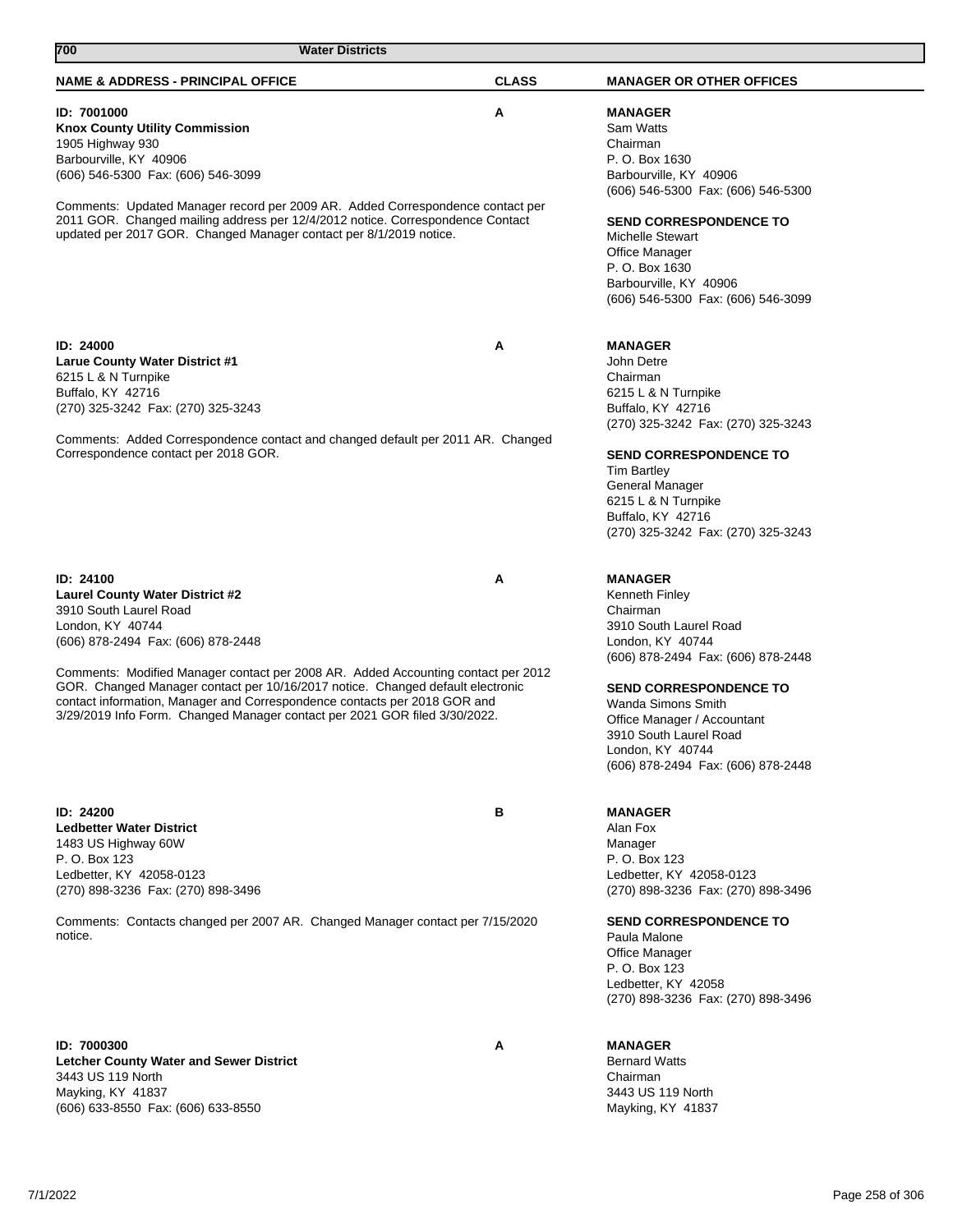| 700<br><b>Water Districts</b>                                                                                                                                                                                                                                                                                                                                                                                                                                             |              |                                                                                                                                                                                                                                                                                                                   |
|---------------------------------------------------------------------------------------------------------------------------------------------------------------------------------------------------------------------------------------------------------------------------------------------------------------------------------------------------------------------------------------------------------------------------------------------------------------------------|--------------|-------------------------------------------------------------------------------------------------------------------------------------------------------------------------------------------------------------------------------------------------------------------------------------------------------------------|
| <b>NAME &amp; ADDRESS - PRINCIPAL OFFICE</b>                                                                                                                                                                                                                                                                                                                                                                                                                              | <b>CLASS</b> | <b>MANAGER OR OTHER OFFICES</b>                                                                                                                                                                                                                                                                                   |
| ID: 7001000<br><b>Knox County Utility Commission</b><br>1905 Highway 930<br>Barbourville, KY 40906<br>(606) 546-5300 Fax: (606) 546-3099<br>Comments: Updated Manager record per 2009 AR. Added Correspondence contact per<br>2011 GOR. Changed mailing address per 12/4/2012 notice. Correspondence Contact<br>updated per 2017 GOR. Changed Manager contact per 8/1/2019 notice.                                                                                        | Α            | <b>MANAGER</b><br>Sam Watts<br>Chairman<br>P. O. Box 1630<br>Barbourville, KY 40906<br>(606) 546-5300 Fax: (606) 546-5300<br><b>SEND CORRESPONDENCE TO</b><br><b>Michelle Stewart</b><br>Office Manager<br>P. O. Box 1630<br>Barbourville, KY 40906<br>(606) 546-5300 Fax: (606) 546-3099                         |
| ID: 24000<br>Larue County Water District #1<br>6215 L & N Turnpike<br>Buffalo, KY 42716<br>(270) 325-3242 Fax: (270) 325-3243<br>Comments: Added Correspondence contact and changed default per 2011 AR. Changed<br>Correspondence contact per 2018 GOR.                                                                                                                                                                                                                  | Α            | <b>MANAGER</b><br>John Detre<br>Chairman<br>6215 L & N Turnpike<br>Buffalo, KY 42716<br>(270) 325-3242 Fax: (270) 325-3243<br><b>SEND CORRESPONDENCE TO</b><br><b>Tim Bartley</b><br>General Manager<br>6215 L & N Turnpike<br>Buffalo, KY 42716<br>(270) 325-3242 Fax: (270) 325-3243                            |
| ID: 24100<br><b>Laurel County Water District #2</b><br>3910 South Laurel Road<br>London, KY 40744<br>(606) 878-2494 Fax: (606) 878-2448<br>Comments: Modified Manager contact per 2008 AR. Added Accounting contact per 2012<br>GOR. Changed Manager contact per 10/16/2017 notice. Changed default electronic<br>contact information, Manager and Correspondence contacts per 2018 GOR and<br>3/29/2019 Info Form. Changed Manager contact per 2021 GOR filed 3/30/2022. | Α            | <b>MANAGER</b><br><b>Kenneth Finley</b><br>Chairman<br>3910 South Laurel Road<br>London, KY 40744<br>(606) 878-2494 Fax: (606) 878-2448<br><b>SEND CORRESPONDENCE TO</b><br>Wanda Simons Smith<br>Office Manager / Accountant<br>3910 South Laurel Road<br>London, KY 40744<br>(606) 878-2494 Fax: (606) 878-2448 |
| ID: 24200<br><b>Ledbetter Water District</b><br>1483 US Highway 60W<br>P. O. Box 123<br>Ledbetter, KY 42058-0123<br>(270) 898-3236 Fax: (270) 898-3496<br>Comments: Contacts changed per 2007 AR. Changed Manager contact per 7/15/2020<br>notice.                                                                                                                                                                                                                        | в            | <b>MANAGER</b><br>Alan Fox<br>Manager<br>P. O. Box 123<br>Ledbetter, KY 42058-0123<br>(270) 898-3236 Fax: (270) 898-3496<br><b>SEND CORRESPONDENCE TO</b><br>Paula Malone<br>Office Manager<br>P. O. Box 123<br>Ledbetter, KY 42058<br>(270) 898-3236 Fax: (270) 898-3496                                         |
| ID: 7000300<br><b>Letcher County Water and Sewer District</b><br>3443 US 119 North<br>Mayking, KY 41837<br>(606) 633-8550 Fax: (606) 633-8550                                                                                                                                                                                                                                                                                                                             | Α            | <b>MANAGER</b><br><b>Bernard Watts</b><br>Chairman<br>3443 US 119 North<br>Mayking, KY 41837                                                                                                                                                                                                                      |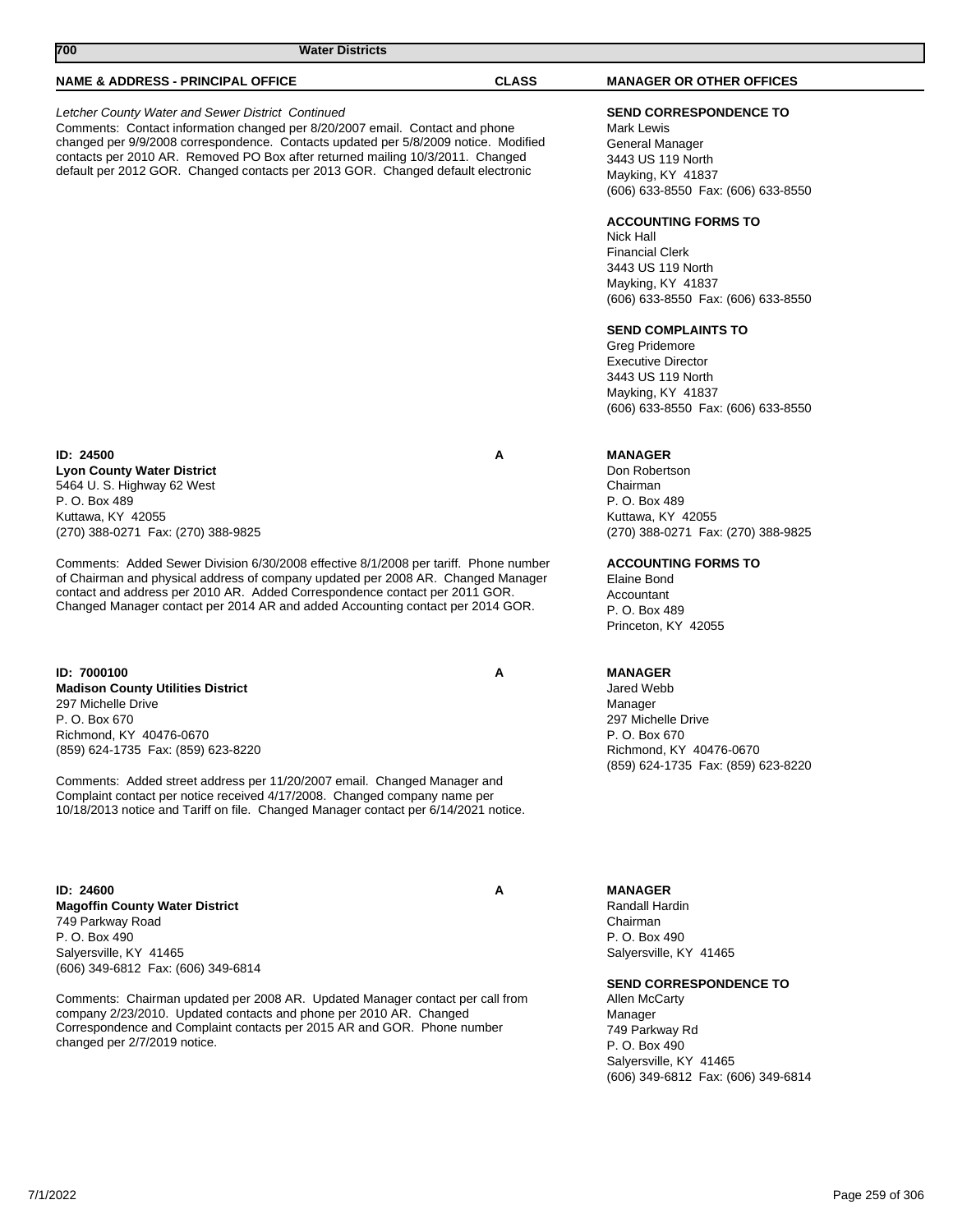| 700<br><b>Water Districts</b>                                                                                                                                                                                                                                                                                                                                                                                   |              |                                                                                                                                                          |
|-----------------------------------------------------------------------------------------------------------------------------------------------------------------------------------------------------------------------------------------------------------------------------------------------------------------------------------------------------------------------------------------------------------------|--------------|----------------------------------------------------------------------------------------------------------------------------------------------------------|
| <b>NAME &amp; ADDRESS - PRINCIPAL OFFICE</b>                                                                                                                                                                                                                                                                                                                                                                    | <b>CLASS</b> | <b>MANAGER OR OTHER OFFICES</b>                                                                                                                          |
| Letcher County Water and Sewer District Continued<br>Comments: Contact information changed per 8/20/2007 email. Contact and phone<br>changed per 9/9/2008 correspondence. Contacts updated per 5/8/2009 notice. Modified<br>contacts per 2010 AR. Removed PO Box after returned mailing 10/3/2011. Changed<br>default per 2012 GOR. Changed contacts per 2013 GOR. Changed default electronic                   |              | <b>SEND CORRESPONDENCE TO</b><br>Mark Lewis<br>General Manager<br>3443 US 119 North<br>Mayking, KY 41837<br>(606) 633-8550 Fax: (606) 633-8550           |
|                                                                                                                                                                                                                                                                                                                                                                                                                 |              | <b>ACCOUNTING FORMS TO</b><br>Nick Hall<br><b>Financial Clerk</b><br>3443 US 119 North<br>Mayking, KY 41837<br>(606) 633-8550 Fax: (606) 633-8550        |
|                                                                                                                                                                                                                                                                                                                                                                                                                 |              | <b>SEND COMPLAINTS TO</b><br>Greg Pridemore<br><b>Executive Director</b><br>3443 US 119 North<br>Mayking, KY 41837<br>(606) 633-8550 Fax: (606) 633-8550 |
| <b>ID: 24500</b><br><b>Lyon County Water District</b><br>5464 U.S. Highway 62 West<br>P. O. Box 489<br>Kuttawa, KY 42055<br>(270) 388-0271 Fax: (270) 388-9825                                                                                                                                                                                                                                                  | Α            | <b>MANAGER</b><br>Don Robertson<br>Chairman<br>P. O. Box 489<br>Kuttawa, KY 42055<br>(270) 388-0271 Fax: (270) 388-9825                                  |
| Comments: Added Sewer Division 6/30/2008 effective 8/1/2008 per tariff. Phone number<br>of Chairman and physical address of company updated per 2008 AR. Changed Manager<br>contact and address per 2010 AR. Added Correspondence contact per 2011 GOR.<br>Changed Manager contact per 2014 AR and added Accounting contact per 2014 GOR.                                                                       |              | <b>ACCOUNTING FORMS TO</b><br>Elaine Bond<br>Accountant<br>P. O. Box 489<br>Princeton, KY 42055                                                          |
| ID: 7000100<br><b>Madison County Utilities District</b><br>297 Michelle Drive<br>P. O. Box 670<br>Richmond, KY 40476-0670<br>(859) 624-1735 Fax: (859) 623-8220<br>Comments: Added street address per 11/20/2007 email. Changed Manager and<br>Complaint contact per notice received 4/17/2008. Changed company name per<br>10/18/2013 notice and Tariff on file. Changed Manager contact per 6/14/2021 notice. | Α            | <b>MANAGER</b><br>Jared Webb<br>Manager<br>297 Michelle Drive<br>P. O. Box 670<br>Richmond, KY 40476-0670<br>(859) 624-1735 Fax: (859) 623-8220          |
| ID: 24600<br><b>Magoffin County Water District</b><br>749 Parkway Road<br>P. O. Box 490<br>Salyersville, KY 41465<br>(606) 349-6812 Fax: (606) 349-6814                                                                                                                                                                                                                                                         | Α            | <b>MANAGER</b><br>Randall Hardin<br>Chairman<br>P. O. Box 490<br>Salyersville, KY 41465                                                                  |
| Comments: Chairman updated per 2008 AR. Updated Manager contact per call from<br>company 2/23/2010. Updated contacts and phone per 2010 AR. Changed<br>Correspondence and Complaint contacts per 2015 AR and GOR. Phone number                                                                                                                                                                                  |              | <b>SEND CORRESPONDENCE TO</b><br>Allen McCarty<br>Manager<br>749 Parkway Rd                                                                              |

Correspondence and Complaint contacts per 2015 AR and GOR. Phone number changed per 2/7/2019 notice.

P. O. Box 490 Salyersville, KY 41465

(606) 349-6812 Fax: (606) 349-6814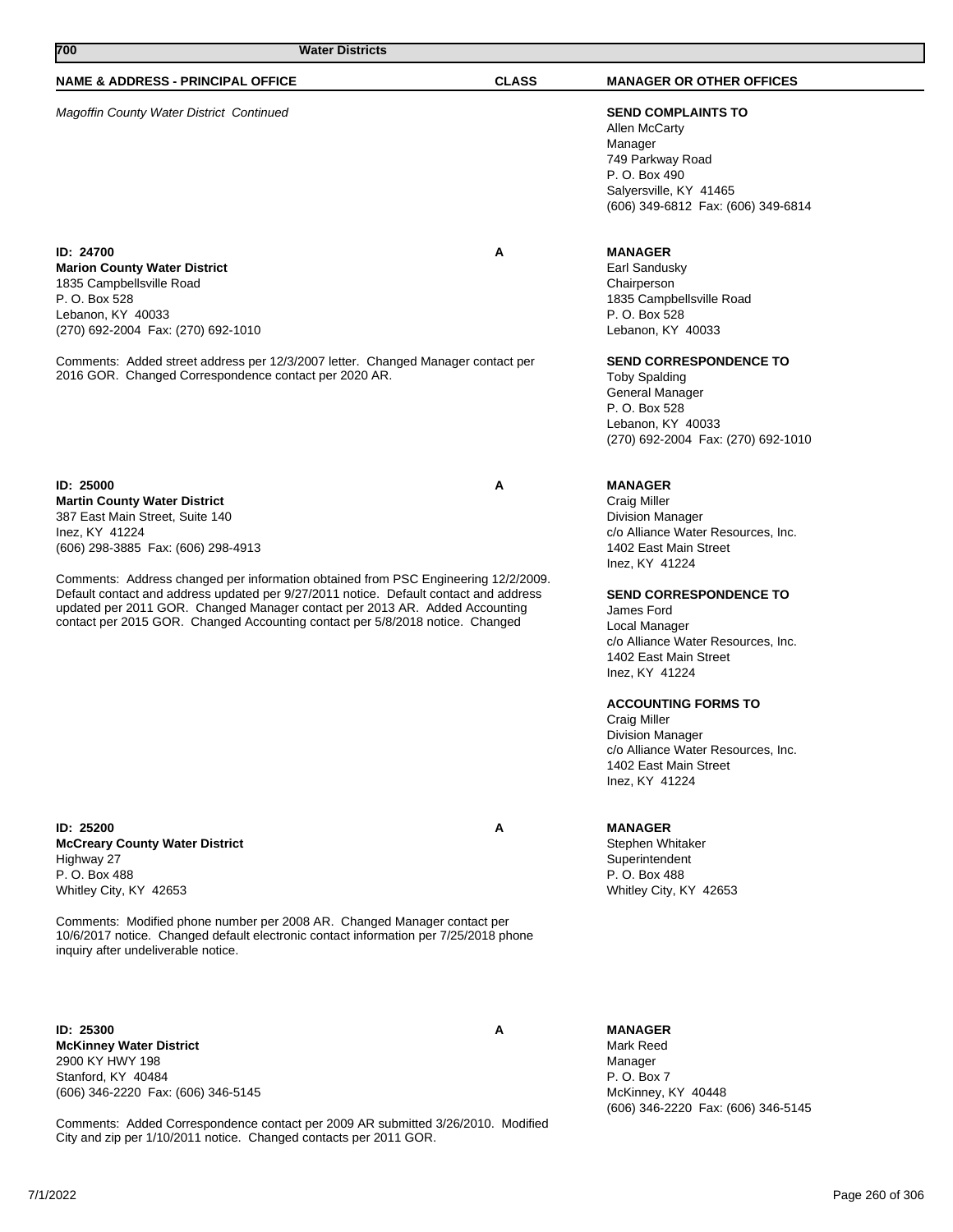| 700<br><b>Water Districts</b>                                                                                                                                                                                                                                                                                                                                                                                                                                                              |              |                                                                                                                                                                                                                                                                                                                                                                                                                                                              |
|--------------------------------------------------------------------------------------------------------------------------------------------------------------------------------------------------------------------------------------------------------------------------------------------------------------------------------------------------------------------------------------------------------------------------------------------------------------------------------------------|--------------|--------------------------------------------------------------------------------------------------------------------------------------------------------------------------------------------------------------------------------------------------------------------------------------------------------------------------------------------------------------------------------------------------------------------------------------------------------------|
| <b>NAME &amp; ADDRESS - PRINCIPAL OFFICE</b>                                                                                                                                                                                                                                                                                                                                                                                                                                               | <b>CLASS</b> | <b>MANAGER OR OTHER OFFICES</b>                                                                                                                                                                                                                                                                                                                                                                                                                              |
| <b>Magoffin County Water District Continued</b>                                                                                                                                                                                                                                                                                                                                                                                                                                            |              | <b>SEND COMPLAINTS TO</b><br>Allen McCarty<br>Manager<br>749 Parkway Road<br>P. O. Box 490<br>Salyersville, KY 41465<br>(606) 349-6812 Fax: (606) 349-6814                                                                                                                                                                                                                                                                                                   |
| ID: 24700<br><b>Marion County Water District</b><br>1835 Campbellsville Road<br>P. O. Box 528<br>Lebanon, KY 40033<br>(270) 692-2004 Fax: (270) 692-1010<br>Comments: Added street address per 12/3/2007 letter. Changed Manager contact per<br>2016 GOR. Changed Correspondence contact per 2020 AR.                                                                                                                                                                                      | Α            | <b>MANAGER</b><br>Earl Sandusky<br>Chairperson<br>1835 Campbellsville Road<br>P. O. Box 528<br>Lebanon, KY 40033<br><b>SEND CORRESPONDENCE TO</b><br><b>Toby Spalding</b><br>General Manager<br>P. O. Box 528<br>Lebanon, KY 40033<br>(270) 692-2004 Fax: (270) 692-1010                                                                                                                                                                                     |
| ID: 25000<br><b>Martin County Water District</b><br>387 East Main Street, Suite 140<br>Inez, KY 41224<br>(606) 298-3885 Fax: (606) 298-4913<br>Comments: Address changed per information obtained from PSC Engineering 12/2/2009.<br>Default contact and address updated per 9/27/2011 notice. Default contact and address<br>updated per 2011 GOR. Changed Manager contact per 2013 AR. Added Accounting<br>contact per 2015 GOR. Changed Accounting contact per 5/8/2018 notice. Changed | A            | <b>MANAGER</b><br><b>Craig Miller</b><br><b>Division Manager</b><br>c/o Alliance Water Resources, Inc.<br>1402 East Main Street<br>Inez, KY 41224<br><b>SEND CORRESPONDENCE TO</b><br>James Ford<br>Local Manager<br>c/o Alliance Water Resources, Inc.<br>1402 East Main Street<br>Inez, KY 41224<br><b>ACCOUNTING FORMS TO</b><br>Craig Miller<br><b>Division Manager</b><br>c/o Alliance Water Resources, Inc.<br>1402 East Main Street<br>Inez, KY 41224 |
| ID: 25200<br><b>McCreary County Water District</b>                                                                                                                                                                                                                                                                                                                                                                                                                                         | Α            | <b>MANAGER</b><br>Stephen Whitaker                                                                                                                                                                                                                                                                                                                                                                                                                           |

**McCreary County Water District** Highway 27 P. O. Box 488 Whitley City, KY 42653

Comments: Modified phone number per 2008 AR. Changed Manager contact per 10/6/2017 notice. Changed default electronic contact information per 7/25/2018 phone inquiry after undeliverable notice.

**ID: 25300 A McKinney Water District** 2900 KY HWY 198 Stanford, KY 40484 (606) 346-2220 Fax: (606) 346-5145

Comments: Added Correspondence contact per 2009 AR submitted 3/26/2010. Modified City and zip per 1/10/2011 notice. Changed contacts per 2011 GOR.

**MANAGER** Mark Reed Manager P. O. Box 7 McKinney, KY 40448 (606) 346-2220 Fax: (606) 346-5145

**Superintendent** P. O. Box 488 Whitley City, KY 42653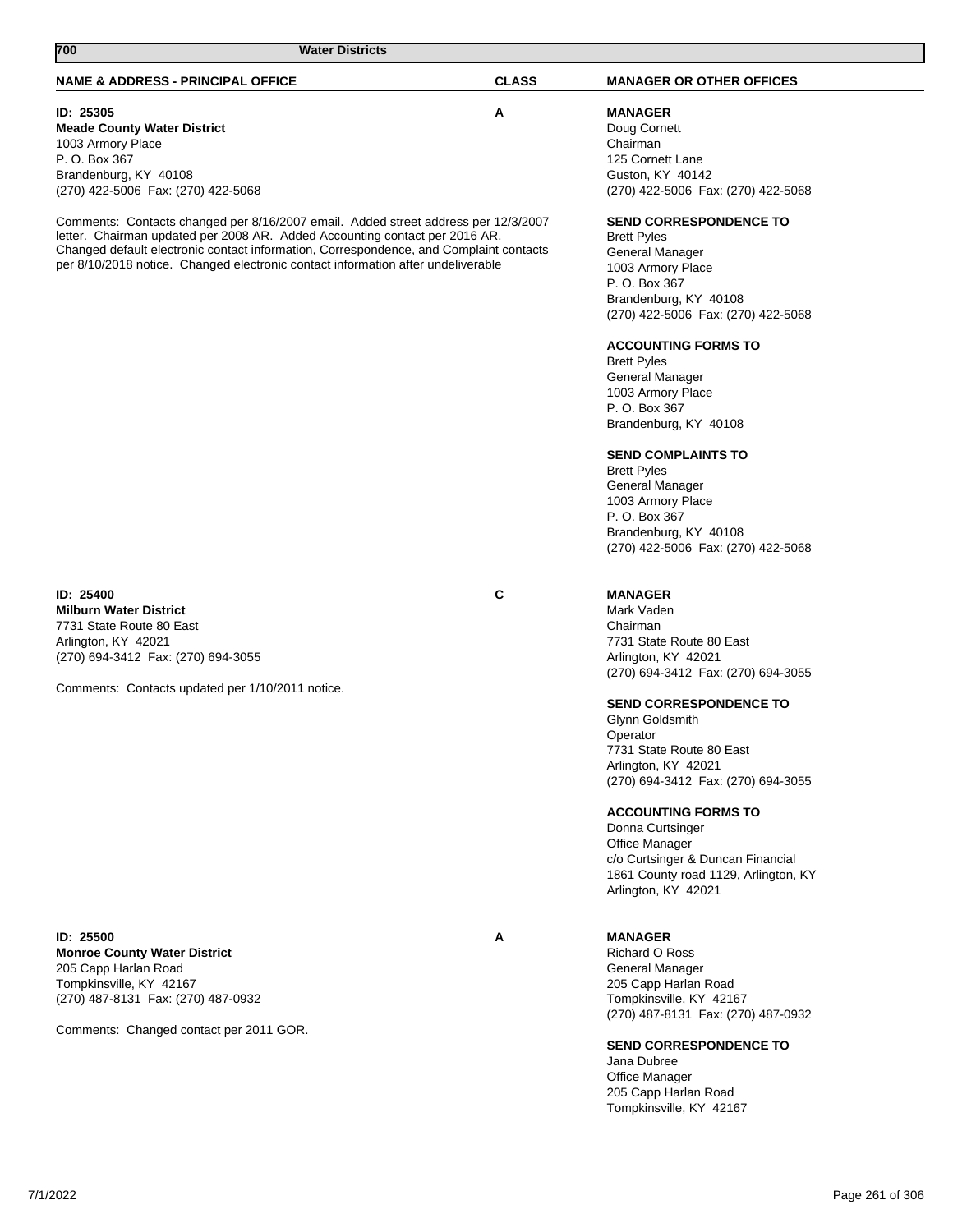## **NAME & ADDRESS - PRINCIPAL OFFICE CLASS MANAGER OR OTHER OFFICES 700 Water Districts ID: 25305 A Meade County Water District** 1003 Armory Place P. O. Box 367 Brandenburg, KY 40108 (270) 422-5006 Fax: (270) 422-5068 Comments: Contacts changed per 8/16/2007 email. Added street address per 12/3/2007 letter. Chairman updated per 2008 AR. Added Accounting contact per 2016 AR. Changed default electronic contact information, Correspondence, and Complaint contacts per 8/10/2018 notice. Changed electronic contact information after undeliverable **MANAGER** Doug Cornett Chairman 125 Cornett Lane Guston, KY 40142 (270) 422-5006 Fax: (270) 422-5068 **SEND CORRESPONDENCE TO** Brett Pyles General Manager 1003 Armory Place P. O. Box 367 Brandenburg, KY 40108 (270) 422-5006 Fax: (270) 422-5068 **ACCOUNTING FORMS TO** Brett Pyles General Manager 1003 Armory Place P. O. Box 367 Brandenburg, KY 40108 **SEND COMPLAINTS TO** Brett Pyles General Manager 1003 Armory Place P. O. Box 367 Brandenburg, KY 40108 (270) 422-5006 Fax: (270) 422-5068 **ID: 25400 C Milburn Water District** 7731 State Route 80 East Arlington, KY 42021 (270) 694-3412 Fax: (270) 694-3055 Comments: Contacts updated per 1/10/2011 notice. **MANAGER** Mark Vaden Chairman 7731 State Route 80 East Arlington, KY 42021 (270) 694-3412 Fax: (270) 694-3055 **SEND CORRESPONDENCE TO** Glynn Goldsmith Operator 7731 State Route 80 East Arlington, KY 42021 (270) 694-3412 Fax: (270) 694-3055 **ACCOUNTING FORMS TO** Donna Curtsinger Office Manager c/o Curtsinger & Duncan Financial 1861 County road 1129, Arlington, KY

**ID: 25500 A Monroe County Water District** 205 Capp Harlan Road Tompkinsville, KY 42167 (270) 487-8131 Fax: (270) 487-0932

Comments: Changed contact per 2011 GOR.

## **MANAGER**

Arlington, KY 42021

Richard O Ross General Manager 205 Capp Harlan Road Tompkinsville, KY 42167 (270) 487-8131 Fax: (270) 487-0932

**SEND CORRESPONDENCE TO**

Jana Dubree Office Manager 205 Capp Harlan Road Tompkinsville, KY 42167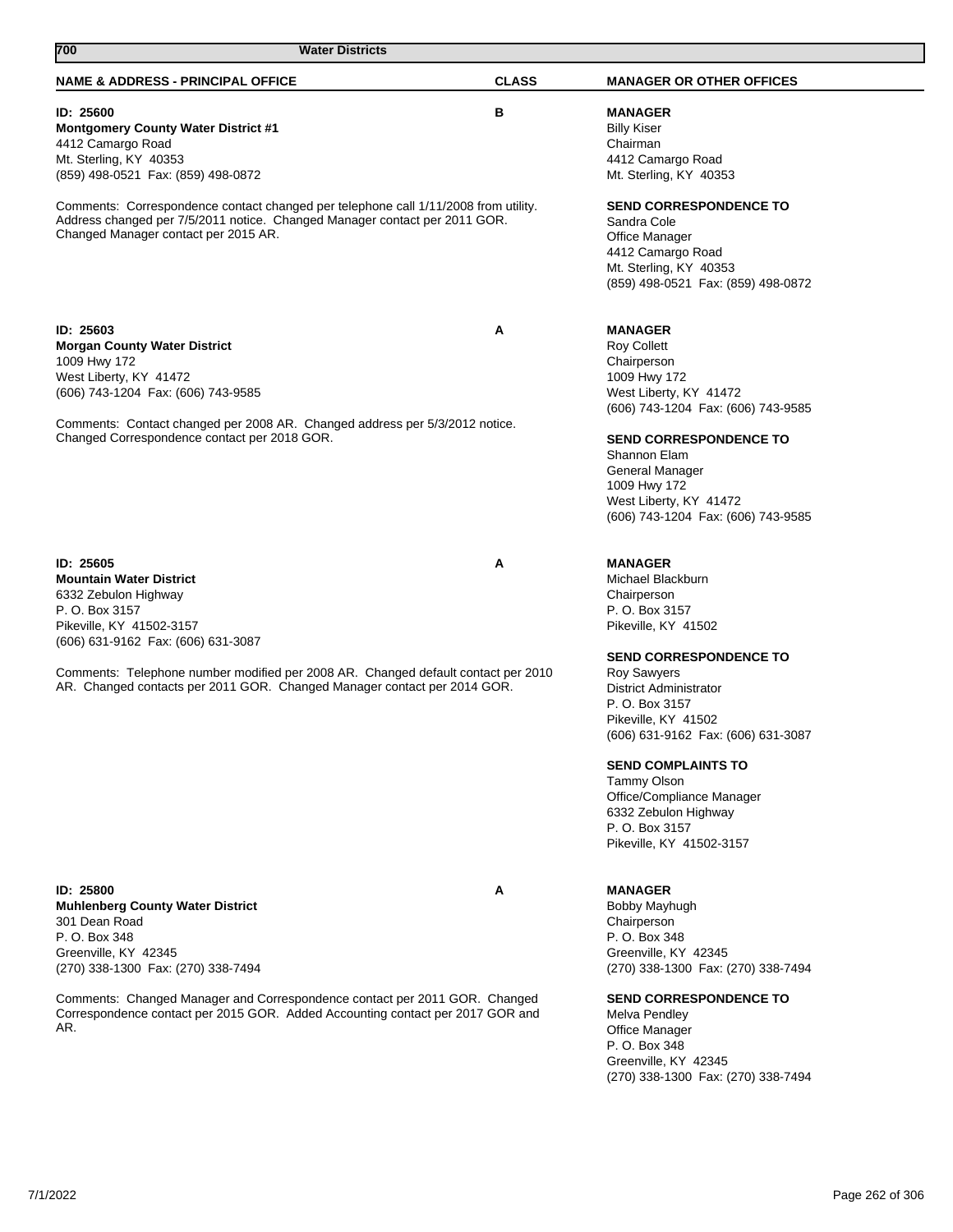| 700<br><b>Water Districts</b>                                                                                                                                                                                                                                   |              |                                                                                                                                                                                                                                                                                                             |
|-----------------------------------------------------------------------------------------------------------------------------------------------------------------------------------------------------------------------------------------------------------------|--------------|-------------------------------------------------------------------------------------------------------------------------------------------------------------------------------------------------------------------------------------------------------------------------------------------------------------|
| <b>NAME &amp; ADDRESS - PRINCIPAL OFFICE</b>                                                                                                                                                                                                                    | <b>CLASS</b> | <b>MANAGER OR OTHER OFFICES</b>                                                                                                                                                                                                                                                                             |
| ID: 25600<br><b>Montgomery County Water District #1</b><br>4412 Camargo Road<br>Mt. Sterling, KY 40353<br>(859) 498-0521 Fax: (859) 498-0872                                                                                                                    | в            | <b>MANAGER</b><br><b>Billy Kiser</b><br>Chairman<br>4412 Camargo Road<br>Mt. Sterling, KY 40353                                                                                                                                                                                                             |
| Comments: Correspondence contact changed per telephone call 1/11/2008 from utility.<br>Address changed per 7/5/2011 notice. Changed Manager contact per 2011 GOR.<br>Changed Manager contact per 2015 AR.                                                       |              | <b>SEND CORRESPONDENCE TO</b><br>Sandra Cole<br><b>Office Manager</b><br>4412 Camargo Road<br>Mt. Sterling, KY 40353<br>(859) 498-0521 Fax: (859) 498-0872                                                                                                                                                  |
| ID: 25603<br><b>Morgan County Water District</b><br>1009 Hwy 172<br>West Liberty, KY 41472<br>(606) 743-1204 Fax: (606) 743-9585<br>Comments: Contact changed per 2008 AR. Changed address per 5/3/2012 notice.<br>Changed Correspondence contact per 2018 GOR. | Α            | <b>MANAGER</b><br>Roy Collett<br>Chairperson<br>1009 Hwy 172<br>West Liberty, KY 41472<br>(606) 743-1204 Fax: (606) 743-9585<br><b>SEND CORRESPONDENCE TO</b><br>Shannon Elam<br><b>General Manager</b><br>1009 Hwy 172<br>West Liberty, KY 41472<br>(606) 743-1204 Fax: (606) 743-9585                     |
| ID: 25605<br><b>Mountain Water District</b><br>6332 Zebulon Highway<br>P. O. Box 3157<br>Pikeville, KY 41502-3157<br>(606) 631-9162 Fax: (606) 631-3087                                                                                                         | Α            | <b>MANAGER</b><br>Michael Blackburn<br>Chairperson<br>P. O. Box 3157<br>Pikeville, KY 41502                                                                                                                                                                                                                 |
| Comments: Telephone number modified per 2008 AR. Changed default contact per 2010<br>AR. Changed contacts per 2011 GOR. Changed Manager contact per 2014 GOR.                                                                                                   |              | <b>SEND CORRESPONDENCE TO</b><br><b>Roy Sawyers</b><br>District Administrator<br>P. O. Box 3157<br>Pikeville, KY 41502<br>(606) 631-9162 Fax: (606) 631-3087<br><b>SEND COMPLAINTS TO</b><br>Tammy Olson<br>Office/Compliance Manager<br>6332 Zebulon Highway<br>P. O. Box 3157<br>Pikeville, KY 41502-3157 |
| ID: 25800<br><b>Muhlenberg County Water District</b><br>301 Dean Road<br>P. O. Box 348<br>Greenville, KY 42345<br>(270) 338-1300 Fax: (270) 338-7494                                                                                                            | A            | <b>MANAGER</b><br>Bobby Mayhugh<br>Chairperson<br>P. O. Box 348<br>Greenville, KY 42345<br>(270) 338-1300 Fax: (270) 338-7494                                                                                                                                                                               |
| Comments: Changed Manager and Correspondence contact per 2011 GOR. Changed<br>Correspondence contact per 2015 GOR. Added Accounting contact per 2017 GOR and<br>AR.                                                                                             |              | <b>SEND CORRESPONDENCE TO</b><br>Melva Pendley<br><b>Office Manager</b><br>P. O. Box 348<br>Greenville, KY 42345<br>(270) 338-1300 Fax: (270) 338-7494                                                                                                                                                      |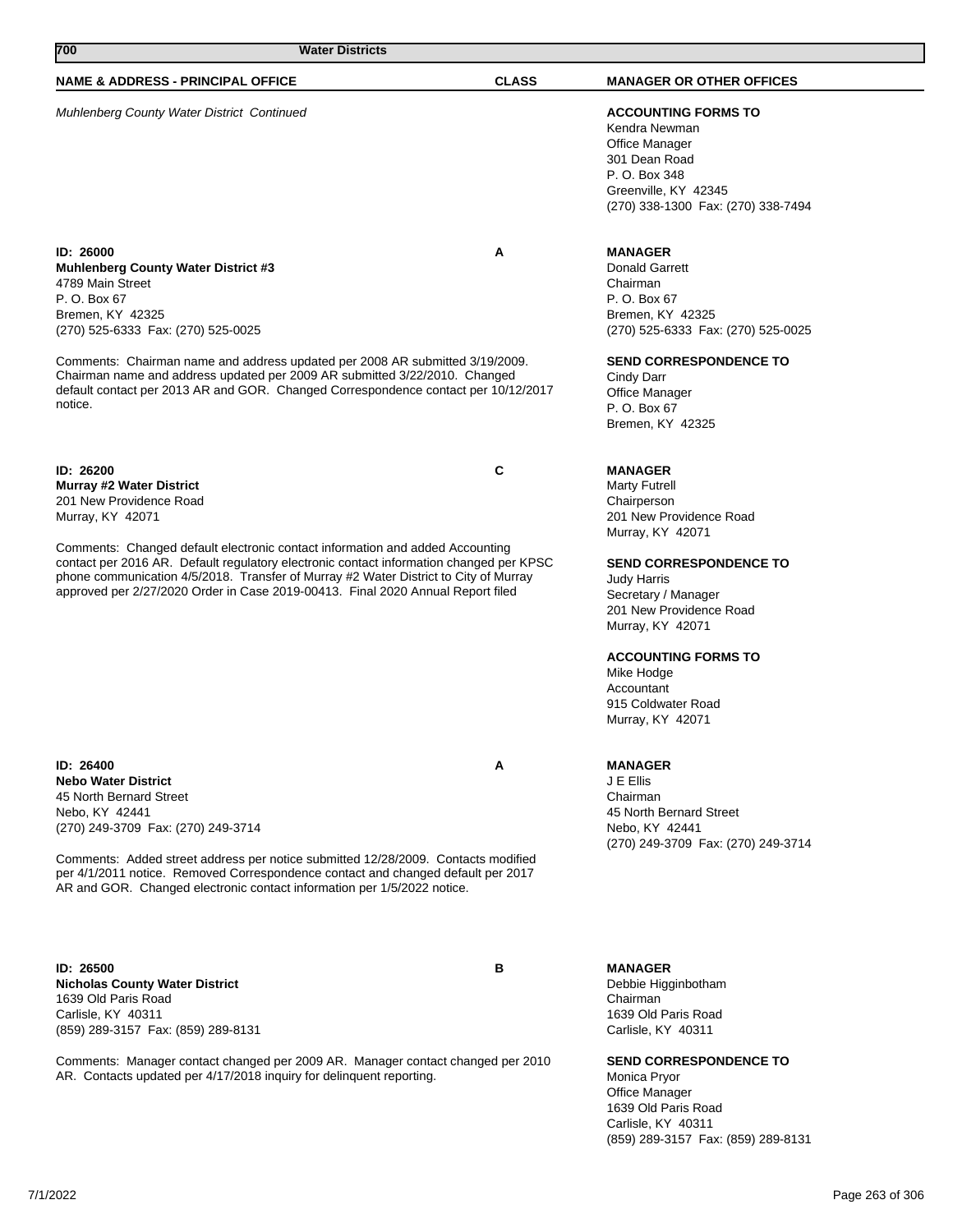| 700<br><b>Water Districts</b>                                                                                                                                                                                                                                                                                                                                                                                        |              |                                                                                                                                                                                                                        |
|----------------------------------------------------------------------------------------------------------------------------------------------------------------------------------------------------------------------------------------------------------------------------------------------------------------------------------------------------------------------------------------------------------------------|--------------|------------------------------------------------------------------------------------------------------------------------------------------------------------------------------------------------------------------------|
| <b>NAME &amp; ADDRESS - PRINCIPAL OFFICE</b>                                                                                                                                                                                                                                                                                                                                                                         | <b>CLASS</b> | <b>MANAGER OR OTHER OFFICES</b>                                                                                                                                                                                        |
| Muhlenberg County Water District Continued                                                                                                                                                                                                                                                                                                                                                                           |              | <b>ACCOUNTING FORMS TO</b><br>Kendra Newman<br><b>Office Manager</b><br>301 Dean Road<br>P. O. Box 348<br>Greenville, KY 42345<br>(270) 338-1300 Fax: (270) 338-7494                                                   |
| ID: 26000<br><b>Muhlenberg County Water District #3</b><br>4789 Main Street<br>P. O. Box 67<br>Bremen, KY 42325<br>(270) 525-6333 Fax: (270) 525-0025<br>Comments: Chairman name and address updated per 2008 AR submitted 3/19/2009.<br>Chairman name and address updated per 2009 AR submitted 3/22/2010. Changed<br>default contact per 2013 AR and GOR. Changed Correspondence contact per 10/12/2017<br>notice. | А            | <b>MANAGER</b><br>Donald Garrett<br>Chairman<br>P. O. Box 67<br>Bremen, KY 42325<br>(270) 525-6333 Fax: (270) 525-0025<br>SEND CORRESPONDENCE TO<br>Cindy Darr<br>Office Manager<br>P. O. Box 67<br>Bremen, KY 42325   |
| ID: 26200<br><b>Murray #2 Water District</b><br>201 New Providence Road<br>Murray, KY 42071                                                                                                                                                                                                                                                                                                                          | С            | <b>MANAGER</b><br><b>Marty Futrell</b><br>Chairperson<br>201 New Providence Road<br>Murray, KY 42071                                                                                                                   |
| Comments: Changed default electronic contact information and added Accounting<br>contact per 2016 AR. Default regulatory electronic contact information changed per KPSC<br>phone communication 4/5/2018. Transfer of Murray #2 Water District to City of Murray<br>approved per 2/27/2020 Order in Case 2019-00413. Final 2020 Annual Report filed                                                                  |              | <b>SEND CORRESPONDENCE TO</b><br>Judy Harris<br>Secretary / Manager<br>201 New Providence Road<br>Murray, KY 42071<br><b>ACCOUNTING FORMS TO</b><br>Mike Hodge<br>Accountant<br>915 Coldwater Road<br>Murray, KY 42071 |
| ID: 26400<br><b>Nebo Water District</b><br>45 North Bernard Street<br>Nebo, KY 42441<br>(270) 249-3709 Fax: (270) 249-3714<br>Comments: Added street address per notice submitted 12/28/2009. Contacts modified<br>per 4/1/2011 notice. Removed Correspondence contact and changed default per 2017<br>AR and GOR. Changed electronic contact information per 1/5/2022 notice.                                       | А            | <b>MANAGER</b><br>J E Ellis<br>Chairman<br>45 North Bernard Street<br>Nebo, KY 42441<br>(270) 249-3709 Fax: (270) 249-3714                                                                                             |

**ID: 26500 B Nicholas County Water District** 1639 Old Paris Road Carlisle, KY 40311 (859) 289-3157 Fax: (859) 289-8131

Comments: Manager contact changed per 2009 AR. Manager contact changed per 2010 AR. Contacts updated per 4/17/2018 inquiry for delinquent reporting.

**MANAGER** Debbie Higginbotham Chairman 1639 Old Paris Road Carlisle, KY 40311

**SEND CORRESPONDENCE TO** Monica Pryor Office Manager 1639 Old Paris Road Carlisle, KY 40311 (859) 289-3157 Fax: (859) 289-8131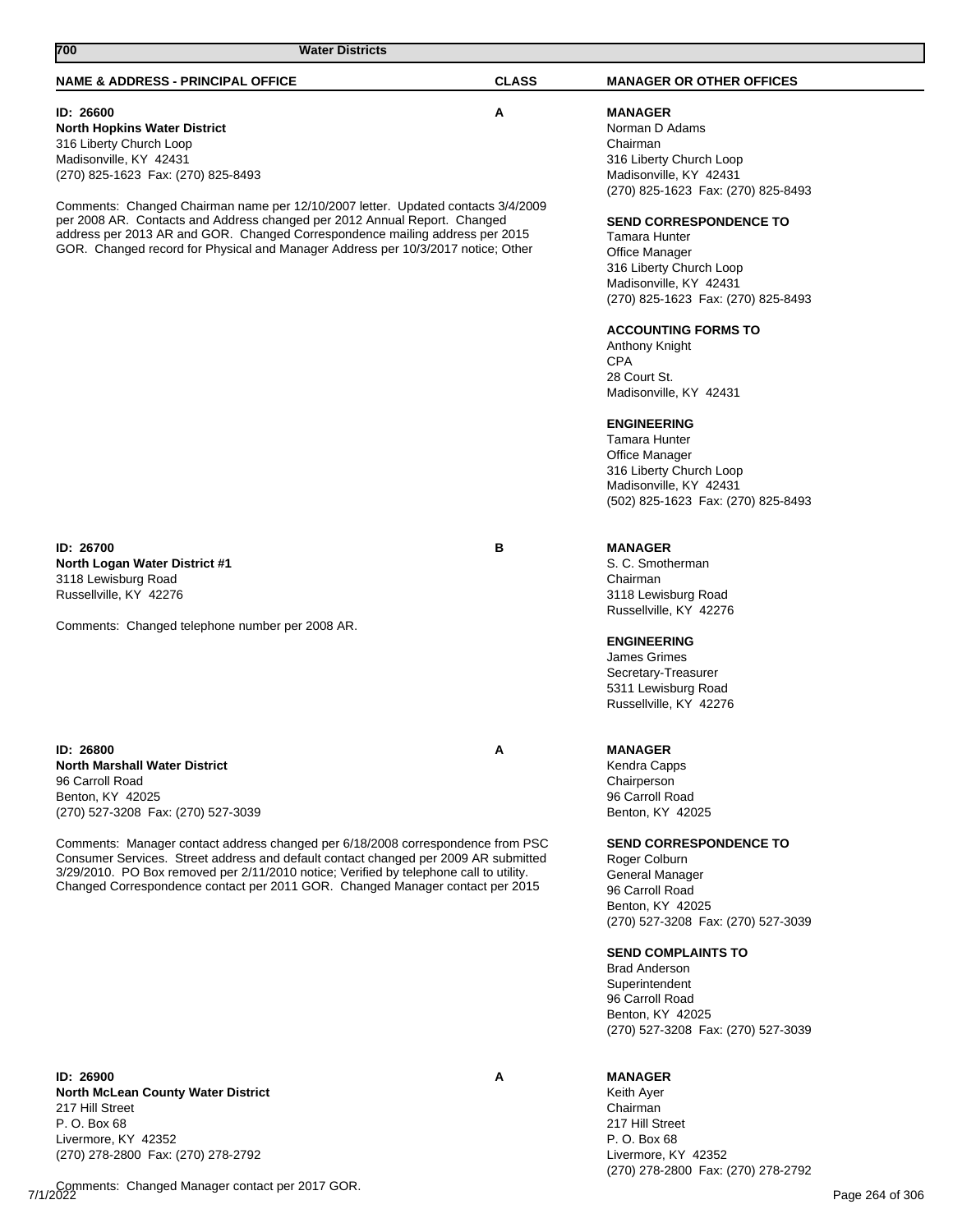| <b>NAME &amp; ADDRESS - PRINCIPAL OFFICE</b>                                                                                                                                                                                                                                                                                                                                                                                                                                               | <b>CLASS</b> | <b>MANAGER OR OTHER OFFICES</b>                                                                                                                                                                                                                                                                                                                                                                                                       |
|--------------------------------------------------------------------------------------------------------------------------------------------------------------------------------------------------------------------------------------------------------------------------------------------------------------------------------------------------------------------------------------------------------------------------------------------------------------------------------------------|--------------|---------------------------------------------------------------------------------------------------------------------------------------------------------------------------------------------------------------------------------------------------------------------------------------------------------------------------------------------------------------------------------------------------------------------------------------|
| ID: 26600<br><b>North Hopkins Water District</b><br>316 Liberty Church Loop<br>Madisonville, KY 42431<br>(270) 825-1623 Fax: (270) 825-8493                                                                                                                                                                                                                                                                                                                                                | А            | <b>MANAGER</b><br>Norman D Adams<br>Chairman<br>316 Liberty Church Loop<br>Madisonville, KY 42431<br>(270) 825-1623 Fax: (270) 825-8493                                                                                                                                                                                                                                                                                               |
| Comments: Changed Chairman name per 12/10/2007 letter. Updated contacts 3/4/2009<br>per 2008 AR. Contacts and Address changed per 2012 Annual Report. Changed<br>address per 2013 AR and GOR. Changed Correspondence mailing address per 2015<br>GOR. Changed record for Physical and Manager Address per 10/3/2017 notice; Other                                                                                                                                                          |              | <b>SEND CORRESPONDENCE TO</b><br>Tamara Hunter<br><b>Office Manager</b><br>316 Liberty Church Loop<br>Madisonville, KY 42431<br>(270) 825-1623 Fax: (270) 825-8493<br><b>ACCOUNTING FORMS TO</b><br>Anthony Knight<br><b>CPA</b><br>28 Court St.<br>Madisonville, KY 42431<br><b>ENGINEERING</b><br><b>Tamara Hunter</b><br>Office Manager<br>316 Liberty Church Loop<br>Madisonville, KY 42431<br>(502) 825-1623 Fax: (270) 825-8493 |
| <b>ID: 26700</b><br>North Logan Water District #1<br>3118 Lewisburg Road<br>Russellville, KY 42276<br>Comments: Changed telephone number per 2008 AR.                                                                                                                                                                                                                                                                                                                                      | в            | <b>MANAGER</b><br>S. C. Smotherman<br>Chairman<br>3118 Lewisburg Road<br>Russellville, KY 42276<br><b>ENGINEERING</b><br>James Grimes<br>Secretary-Treasurer<br>5311 Lewisburg Road<br>Russellville, KY 42276                                                                                                                                                                                                                         |
| <b>ID: 26800</b><br><b>North Marshall Water District</b><br>96 Carroll Road<br>Benton, KY 42025<br>(270) 527-3208 Fax: (270) 527-3039<br>Comments: Manager contact address changed per 6/18/2008 correspondence from PSC<br>Consumer Services. Street address and default contact changed per 2009 AR submitted<br>3/29/2010. PO Box removed per 2/11/2010 notice; Verified by telephone call to utility.<br>Changed Correspondence contact per 2011 GOR. Changed Manager contact per 2015 | А            | <b>MANAGER</b><br>Kendra Capps<br>Chairperson<br>96 Carroll Road<br>Benton, KY 42025<br><b>SEND CORRESPONDENCE TO</b><br>Roger Colburn<br>General Manager<br>96 Carroll Road<br>Benton, KY 42025<br>(270) 527-3208 Fax: (270) 527-3039<br><b>SEND COMPLAINTS TO</b><br><b>Brad Anderson</b><br>Superintendent<br>96 Carroll Road<br>Benton, KY 42025<br>(270) 527-3208 Fax: (270) 527-3039                                            |
| ID: 26900                                                                                                                                                                                                                                                                                                                                                                                                                                                                                  | Α            | <b>MANAGER</b>                                                                                                                                                                                                                                                                                                                                                                                                                        |

**ID: 26900 A North McLean County Water District** 217 Hill Street P. O. Box 68 Livermore, KY 42352 (270) 278-2800 Fax: (270) 278-2792

7/1/2022 Page 264 of 306 Comments: Changed Manager contact per 2017 GOR.

**700 Water Districts** 

Keith Ayer Chairman 217 Hill Street P. O. Box 68 Livermore, KY 42352

(270) 278-2800 Fax: (270) 278-2792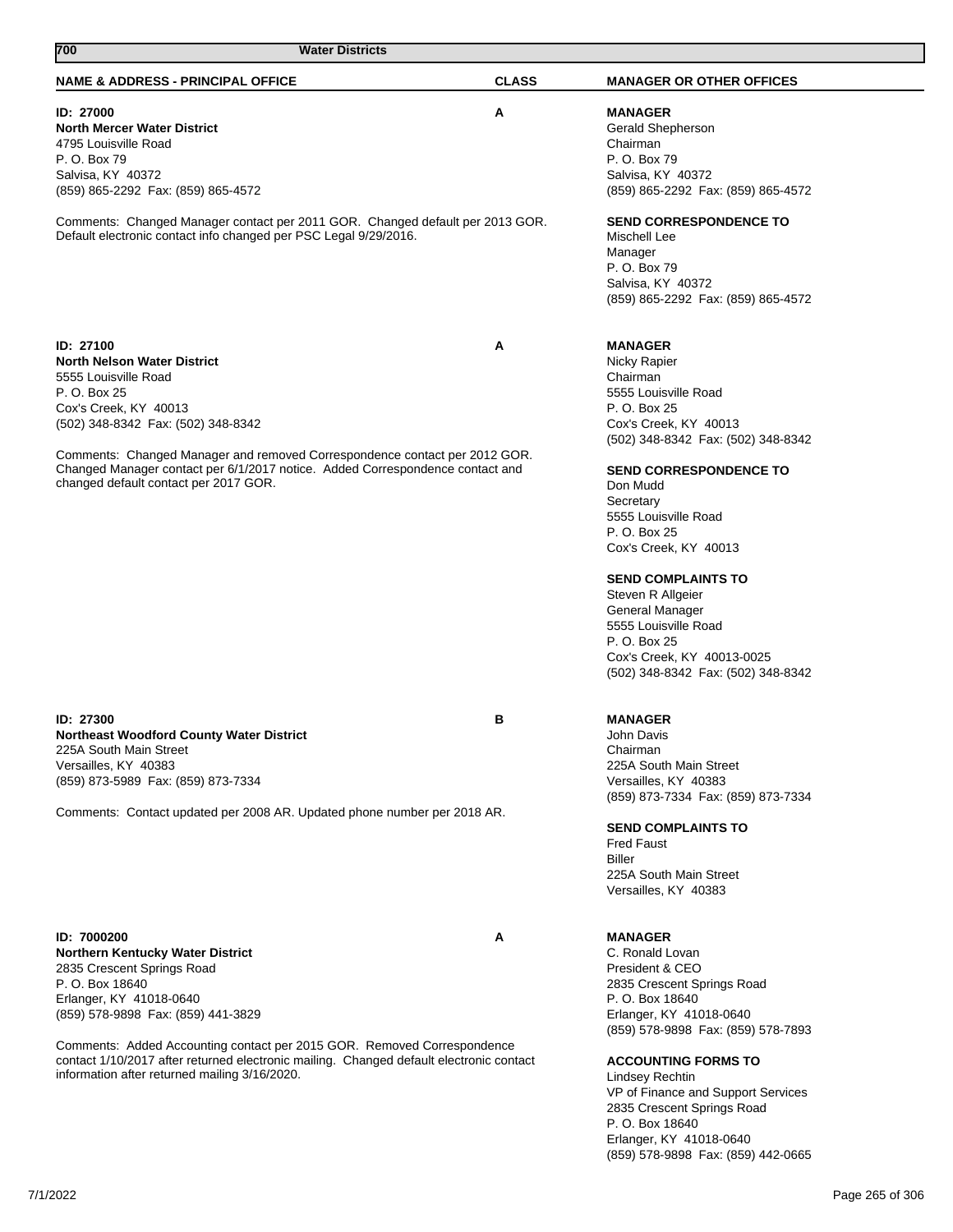|          | P. U. B0X Z5<br>Cox's Creek, KY 40013<br>(502) 348-8342 Fax: (502) 348-8342<br>Comments: Changed Manager and removed Correspondence contact per 2012 GOR.<br>Changed Manager contact per 6/1/2017 notice. Added Correspondence contact and<br>changed default contact per 2017 GOR. |   | 5555 LOUISVIIIE ROAD<br>P. O. Box 25<br>Cox's Creek, KY 40013<br>(502) 348-8342 Fax: (502) 348-8342<br><b>SEND CORRESPONDENCE TO</b><br>Don Mudd<br>Secretary<br>5555 Louisville Road<br>P. O. Box 25<br>Cox's Creek, KY 40013<br><b>SEND COMPLAINTS TO</b><br>Steven R Allgeier<br>General Manager<br>5555 Louisville Road<br>P. O. Box 25<br>Cox's Creek, KY 40013-0025<br>(502) 348-8342 Fax: (502) 348-8342 |                 |
|----------|-------------------------------------------------------------------------------------------------------------------------------------------------------------------------------------------------------------------------------------------------------------------------------------|---|-----------------------------------------------------------------------------------------------------------------------------------------------------------------------------------------------------------------------------------------------------------------------------------------------------------------------------------------------------------------------------------------------------------------|-----------------|
|          | ID: 27300<br>Northeast Woodford County Water District<br>225A South Main Street<br>Versailles, KY 40383<br>(859) 873-5989 Fax: (859) 873-7334<br>Comments: Contact updated per 2008 AR. Updated phone number per 2018 AR.                                                           | в | <b>MANAGER</b><br>John Davis<br>Chairman<br>225A South Main Street<br>Versailles, KY 40383<br>(859) 873-7334 Fax: (859) 873-7334<br><b>SEND COMPLAINTS TO</b><br><b>Fred Faust</b>                                                                                                                                                                                                                              |                 |
|          | ID: 7000200<br>Northern Kentucky Water District<br>2835 Crescent Springs Road                                                                                                                                                                                                       | A | <b>Biller</b><br>225A South Main Street<br>Versailles, KY 40383<br><b>MANAGER</b><br>C. Ronald Lovan<br>President & CEO                                                                                                                                                                                                                                                                                         |                 |
|          | P. O. Box 18640                                                                                                                                                                                                                                                                     |   | 2835 Crescent Springs Road                                                                                                                                                                                                                                                                                                                                                                                      |                 |
|          | Erlanger, KY 41018-0640<br>(859) 578-9898 Fax: (859) 441-3829                                                                                                                                                                                                                       |   | P. O. Box 18640<br>Erlanger, KY 41018-0640<br>(859) 578-9898 Fax: (859) 578-7893                                                                                                                                                                                                                                                                                                                                |                 |
|          | Comments: Added Accounting contact per 2015 GOR. Removed Correspondence<br>contact 1/10/2017 after returned electronic mailing. Changed default electronic contact<br>information after returned mailing 3/16/2020.                                                                 |   | <b>ACCOUNTING FORMS TO</b><br><b>Lindsey Rechtin</b><br>VP of Finance and Support Services<br>2835 Crescent Springs Road<br>P. O. Box 18640<br>Erlanger, KY 41018-0640<br>(859) 578-9898 Fax: (859) 442-0665                                                                                                                                                                                                    |                 |
| 7/1/2022 |                                                                                                                                                                                                                                                                                     |   |                                                                                                                                                                                                                                                                                                                                                                                                                 | Page 265 of 306 |

**ID: 27100 A North Nelson Water District** 5555 Louisville Road P. O. Box 25 Cox's Creek, KY 4

(859) 865-2292 Fax: (859) 865-4572

**North Mercer Water District** 4795 Louisville Road P. O. Box 79 Salvisa, KY 40372

Comments: Changed Manager contact per 2011 GOR. Changed default per 2013 GOR. Default electronic contact info changed per PSC Legal 9/29/2016.

**ID: 27000 A**

Gerald Shepherson Chairman P. O. Box 79 Salvisa, KY 40372 (859) 865-2292 Fax: (859) 865-4572

**SEND CORRESPONDENCE TO** Mischell Lee Manager P. O. Box 79 Salvisa, KY 40372 (859) 865-2292 Fax: (859) 865-4572

## **MANAGER**

**MANAGER**

Nicky Rapier Chairman 5555 Louisville Road

# **NAME & ADDRESS - PRINCIPAL OFFICE CLASS MANAGER OR OTHER OFFICES**

**700 Water Districts**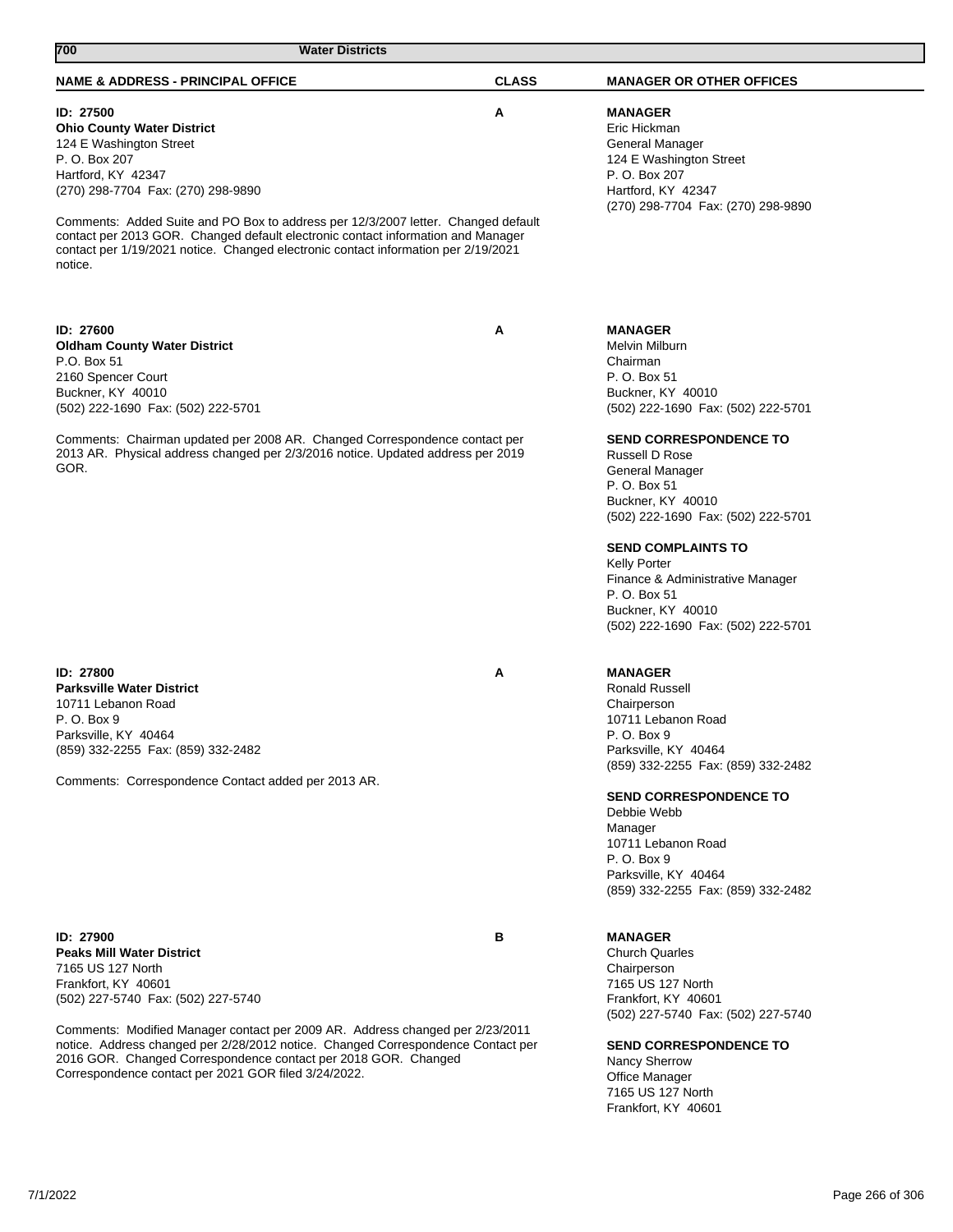|                                                                                                                                                                                                     | <b>Fainoville, NT 40404</b><br>(859) 332-2255 Fax: (859) 332-2482                                                                                                                                                                   |                                      |
|-----------------------------------------------------------------------------------------------------------------------------------------------------------------------------------------------------|-------------------------------------------------------------------------------------------------------------------------------------------------------------------------------------------------------------------------------------|--------------------------------------|
| в                                                                                                                                                                                                   | <b>MANAGER</b>                                                                                                                                                                                                                      |                                      |
|                                                                                                                                                                                                     |                                                                                                                                                                                                                                     |                                      |
|                                                                                                                                                                                                     | 7165 US 127 North                                                                                                                                                                                                                   |                                      |
|                                                                                                                                                                                                     | Frankfort, KY 40601<br>(502) 227-5740 Fax: (502) 227-5740                                                                                                                                                                           |                                      |
|                                                                                                                                                                                                     | <b>SEND CORRESPONDENCE TO</b><br>Nancy Sherrow<br><b>Office Manager</b><br>7165 US 127 North<br>Frankfort, KY 40601                                                                                                                 |                                      |
|                                                                                                                                                                                                     |                                                                                                                                                                                                                                     |                                      |
|                                                                                                                                                                                                     |                                                                                                                                                                                                                                     | Page 266 of 306                      |
| ID: 27900<br><b>Peaks Mill Water District</b><br>7165 US 127 North<br>Frankfort, KY 40601<br>(502) 227-5740 Fax: (502) 227-5740<br>Correspondence contact per 2021 GOR filed 3/24/2022.<br>7/1/2022 | Comments: Modified Manager contact per 2009 AR. Address changed per 2/23/2011<br>notice. Address changed per 2/28/2012 notice. Changed Correspondence Contact per<br>2016 GOR. Changed Correspondence contact per 2018 GOR. Changed | <b>Church Quarles</b><br>Chairperson |

(270) 298-7704 Fax: (270) 298-9890 Comments: Added Suite and PO Box to address per 12/3/2007 letter. Changed default contact per 2013 GOR. Changed default electronic contact information and Manager contact per 1/19/2021 notice. Changed electronic contact information per 2/19/2021

**Ohio County Water District** 124 E Washington Street

P. O. Box 207 Hartford, KY 42347

notice.

**ID: 27600 A Oldham County Water District** P.O. Box 51 2160 Spencer Court Buckner, KY 40010

**ID: 27800 A Parksville Water District** 10711 Lebanon Road P. O. Box 9 Parksville, KY 40464 (859) 332-2255 Fax: (859) 332-2482

Comments: Correspondence Contact added per 2013 AR.

(502) 222-1690 Fax: (502) 222-5701

Comments: Chairman updated per 2008 AR. Changed Correspondence contact per 2013 AR. Physical address changed per 2/3/2016 notice. Updated address per 2019 GOR.

**ID: 27500 A**

# **NAME & ADDRESS - PRINCIPAL OFFICE CLASS MANAGER OR OTHER OFFICES**

**MANAGER** Eric Hickman General Manager 124 E Washington Street P. O. Box 207 Hartford, KY 42347 (270) 298-7704 Fax: (270) 298-9890

**MANAGER**

Melvin Milburn Chairman P. O. Box 51 Buckner, KY 40010 (502) 222-1690 Fax: (502) 222-5701

## **SEND CORRESPONDENCE TO**

Russell D Rose General Manager P. O. Box 51 Buckner, KY 40010 (502) 222-1690 Fax: (502) 222-5701

## **SEND COMPLAINTS TO**

Kelly Porter Finance & Administrative Manager P. O. Box 51 Buckner, KY 40010 (502) 222-1690 Fax: (502) 222-5701

## **MANAGER**

Ronald Russell **Chairperson** 10711 Lebanon Road P. O. Box 9 Parksville, KY 40464 (859) 332-2255 Fax: (859) 332-2482

## **SEND CORRESPONDENCE TO**

Debbie Webb Manager 10711 Lebanon Road P. O. Box 9 Parksville, KY 40464 (859) 332-2255 Fax: (859) 332-2482

## ER

#### **700 Water Districts**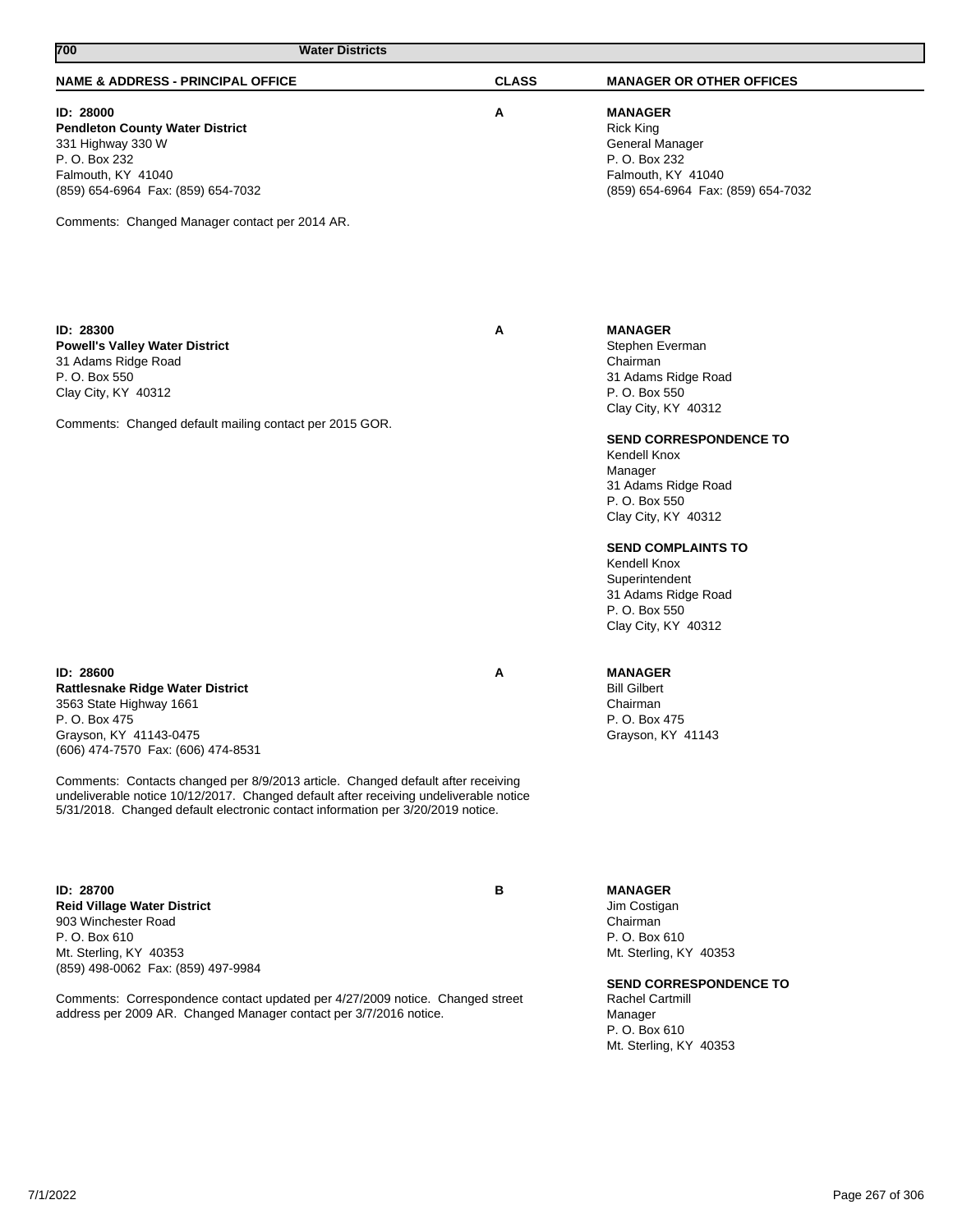| 700<br><b>Water Districts</b>                                                                                                                                                                                                                                                                                                                                                                                                    |              |                                                                                                                                                                                                                                                                                                                                                                |
|----------------------------------------------------------------------------------------------------------------------------------------------------------------------------------------------------------------------------------------------------------------------------------------------------------------------------------------------------------------------------------------------------------------------------------|--------------|----------------------------------------------------------------------------------------------------------------------------------------------------------------------------------------------------------------------------------------------------------------------------------------------------------------------------------------------------------------|
| <b>NAME &amp; ADDRESS - PRINCIPAL OFFICE</b>                                                                                                                                                                                                                                                                                                                                                                                     | <b>CLASS</b> | <b>MANAGER OR OTHER OFFICES</b>                                                                                                                                                                                                                                                                                                                                |
| ID: 28000<br><b>Pendleton County Water District</b><br>331 Highway 330 W<br>P. O. Box 232<br>Falmouth, KY 41040<br>(859) 654-6964 Fax: (859) 654-7032<br>Comments: Changed Manager contact per 2014 AR.                                                                                                                                                                                                                          | Α            | <b>MANAGER</b><br><b>Rick King</b><br>General Manager<br>P. O. Box 232<br>Falmouth, KY 41040<br>(859) 654-6964 Fax: (859) 654-7032                                                                                                                                                                                                                             |
| ID: 28300<br><b>Powell's Valley Water District</b><br>31 Adams Ridge Road<br>P. O. Box 550<br>Clay City, KY 40312<br>Comments: Changed default mailing contact per 2015 GOR.                                                                                                                                                                                                                                                     | Α            | <b>MANAGER</b><br>Stephen Everman<br>Chairman<br>31 Adams Ridge Road<br>P. O. Box 550<br>Clay City, KY 40312<br>SEND CORRESPONDENCE TO<br>Kendell Knox<br>Manager<br>31 Adams Ridge Road<br>P. O. Box 550<br>Clay City, KY 40312<br><b>SEND COMPLAINTS TO</b><br>Kendell Knox<br>Superintendent<br>31 Adams Ridge Road<br>P. O. Box 550<br>Clay City, KY 40312 |
| ID: 28600<br><b>Rattlesnake Ridge Water District</b><br>3563 State Highway 1661<br>P. O. Box 475<br>Grayson, KY 41143-0475<br>(606) 474-7570 Fax: (606) 474-8531<br>Comments: Contacts changed per 8/9/2013 article. Changed default after receiving<br>undeliverable notice 10/12/2017. Changed default after receiving undeliverable notice<br>5/31/2018. Changed default electronic contact information per 3/20/2019 notice. | Α            | <b>MANAGER</b><br><b>Bill Gilbert</b><br>Chairman<br>P. O. Box 475<br>Grayson, KY 41143                                                                                                                                                                                                                                                                        |
| ID: 28700<br><b>Reid Village Water District</b><br>903 Winchester Road<br>P. O. Box 610<br>Mt. Sterling, KY 40353<br>(859) 498-0062 Fax: (859) 497-9984<br>Comments: Correspondence contact updated per 4/27/2009 notice. Changed street<br>address per 2009 AR. Changed Manager contact per 3/7/2016 notice.                                                                                                                    | в            | <b>MANAGER</b><br>Jim Costigan<br>Chairman<br>P.O. Box 610<br>Mt. Sterling, KY 40353<br><b>SEND CORRESPONDENCE TO</b><br><b>Rachel Cartmill</b><br>Manager<br>P. O. Box 610<br>Mt. Sterling, KY 40353                                                                                                                                                          |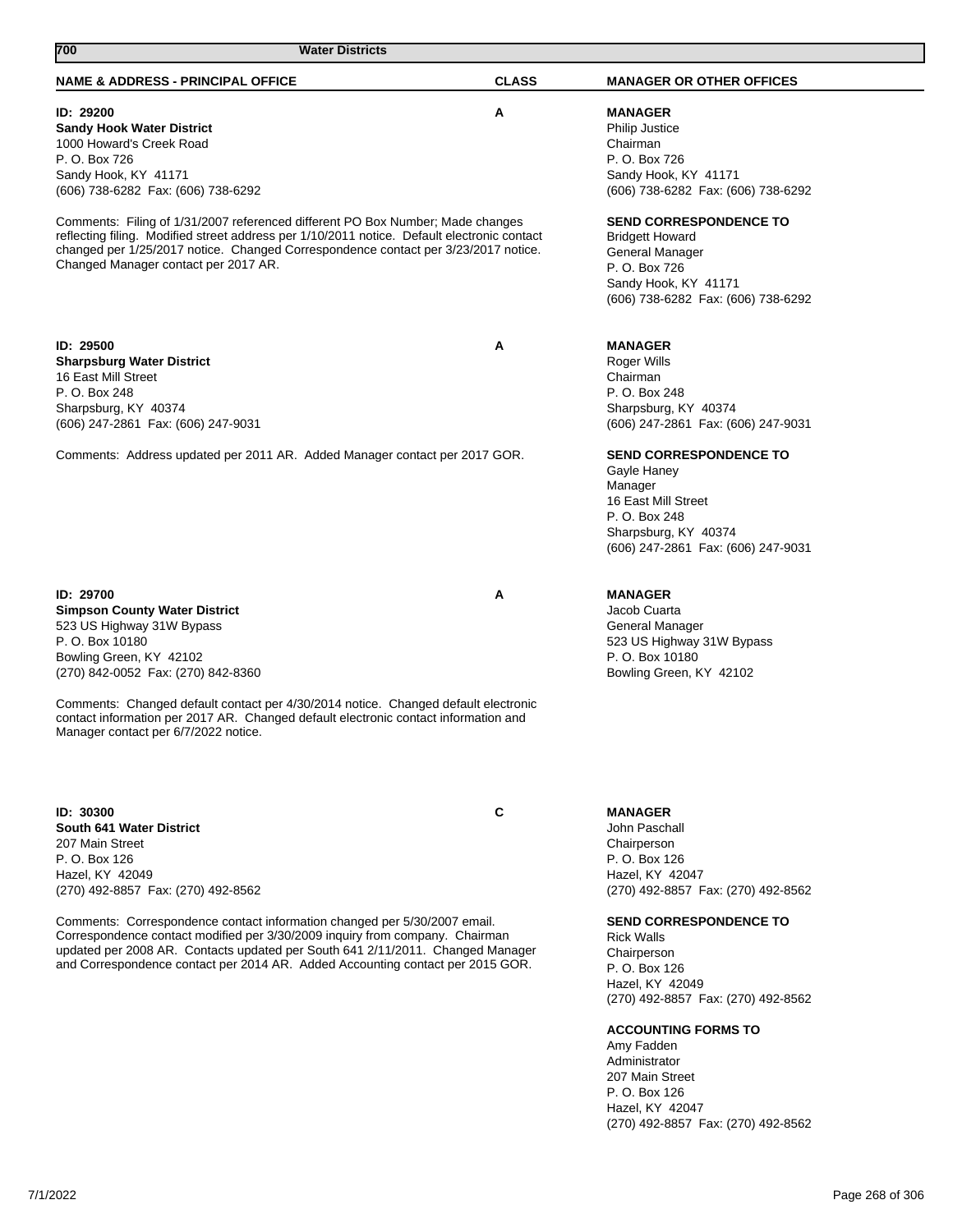| <b>NAME &amp; ADDRESS - PRINCIPAL OFFICE</b>                                                | <b>CLASS</b> | <b>MANAGER OR OTHER OFFICES</b>    |
|---------------------------------------------------------------------------------------------|--------------|------------------------------------|
|                                                                                             |              |                                    |
| ID: 29200                                                                                   | Α            | <b>MANAGER</b>                     |
| <b>Sandy Hook Water District</b>                                                            |              | <b>Philip Justice</b>              |
| 1000 Howard's Creek Road<br>P. O. Box 726                                                   |              | Chairman                           |
|                                                                                             |              | P. O. Box 726                      |
| Sandy Hook, KY 41171                                                                        |              | Sandy Hook, KY 41171               |
| (606) 738-6282 Fax: (606) 738-6292                                                          |              | (606) 738-6282 Fax: (606) 738-6292 |
| Comments: Filing of 1/31/2007 referenced different PO Box Number; Made changes              |              | <b>SEND CORRESPONDENCE TO</b>      |
| reflecting filing. Modified street address per 1/10/2011 notice. Default electronic contact |              | <b>Bridgett Howard</b>             |
| changed per 1/25/2017 notice. Changed Correspondence contact per 3/23/2017 notice.          |              | General Manager                    |
| Changed Manager contact per 2017 AR.                                                        |              | P. O. Box 726                      |
|                                                                                             |              | Sandy Hook, KY 41171               |
|                                                                                             |              | (606) 738-6282 Fax: (606) 738-6292 |
|                                                                                             |              |                                    |
|                                                                                             |              |                                    |
| ID: 29500                                                                                   | A            | <b>MANAGER</b>                     |
| <b>Sharpsburg Water District</b>                                                            |              | Roger Wills                        |
| 16 East Mill Street                                                                         |              | Chairman                           |
| P. O. Box 248                                                                               |              | P. O. Box 248                      |
| Sharpsburg, KY 40374                                                                        |              | Sharpsburg, KY 40374               |
| (606) 247-2861 Fax: (606) 247-9031                                                          |              | (606) 247-2861 Fax: (606) 247-9031 |
|                                                                                             |              |                                    |
| Comments: Address updated per 2011 AR. Added Manager contact per 2017 GOR.                  |              | <b>SEND CORRESPONDENCE TO</b>      |
|                                                                                             |              | Gayle Haney                        |
|                                                                                             |              | Manager                            |
|                                                                                             |              | 16 East Mill Street                |
|                                                                                             |              | P. O. Box 248                      |
|                                                                                             |              | Sharpsburg, KY 40374               |
|                                                                                             |              | (606) 247-2861 Fax: (606) 247-9031 |
|                                                                                             |              |                                    |
| ID: 29700                                                                                   | A            | <b>MANAGER</b>                     |
| <b>Simpson County Water District</b>                                                        |              | Jacob Cuarta                       |
| 523 US Highway 31W Bypass                                                                   |              | General Manager                    |
| P. O. Box 10180                                                                             |              | 523 US Highway 31W Bypass          |
| Bowling Green, KY 42102                                                                     |              | P. O. Box 10180                    |
| (270) 842-0052 Fax: (270) 842-8360                                                          |              | Bowling Green, KY 42102            |
|                                                                                             |              |                                    |
| Comments: Changed default contact per 4/30/2014 notice. Changed default electronic          |              |                                    |
| contact information per 2017 AR. Changed default electronic contact information and         |              |                                    |
| Manager contact per 6/7/2022 notice.                                                        |              |                                    |
|                                                                                             |              |                                    |
|                                                                                             |              |                                    |
|                                                                                             |              |                                    |
| ID: 30300                                                                                   | C            | <b>MANAGER</b>                     |
| South 641 Water District                                                                    |              | John Paschall                      |
| 207 Main Street                                                                             |              | Chairperson                        |
| P. O. Box 126                                                                               |              | P. O. Box 126                      |
| Hazel, KY 42049                                                                             |              | Hazel, KY 42047                    |
| (270) 492-8857 Fax: (270) 492-8562                                                          |              | (270) 492-8857 Fax: (270) 492-8562 |
|                                                                                             |              |                                    |
| Comments: Correspondence contact information changed per 5/30/2007 email.                   |              | <b>SEND CORRESPONDENCE TO</b>      |
| Correspondence contact modified per 3/30/2009 inquiry from company. Chairman                |              | <b>Rick Walls</b>                  |
| updated per 2008 AR. Contacts updated per South 641 2/11/2011. Changed Manager              |              | Chairperson                        |
| and Correspondence contact per 2014 AR. Added Accounting contact per 2015 GOR.              |              | P. O. Box 126                      |
|                                                                                             |              | Hazel, KY 42049                    |
|                                                                                             |              | (270) 492-8857 Fax: (270) 492-8562 |
|                                                                                             |              |                                    |
|                                                                                             |              | <b>ACCOUNTING FORMS TO</b>         |
|                                                                                             |              | Amy Fadden                         |
|                                                                                             |              | Administrator                      |
|                                                                                             |              | 207 Main Street                    |

**700 Water Districts** 

7/1/2022 Page 268 of 306

P. O. Box 126 Hazel, KY 42047

(270) 492-8857 Fax: (270) 492-8562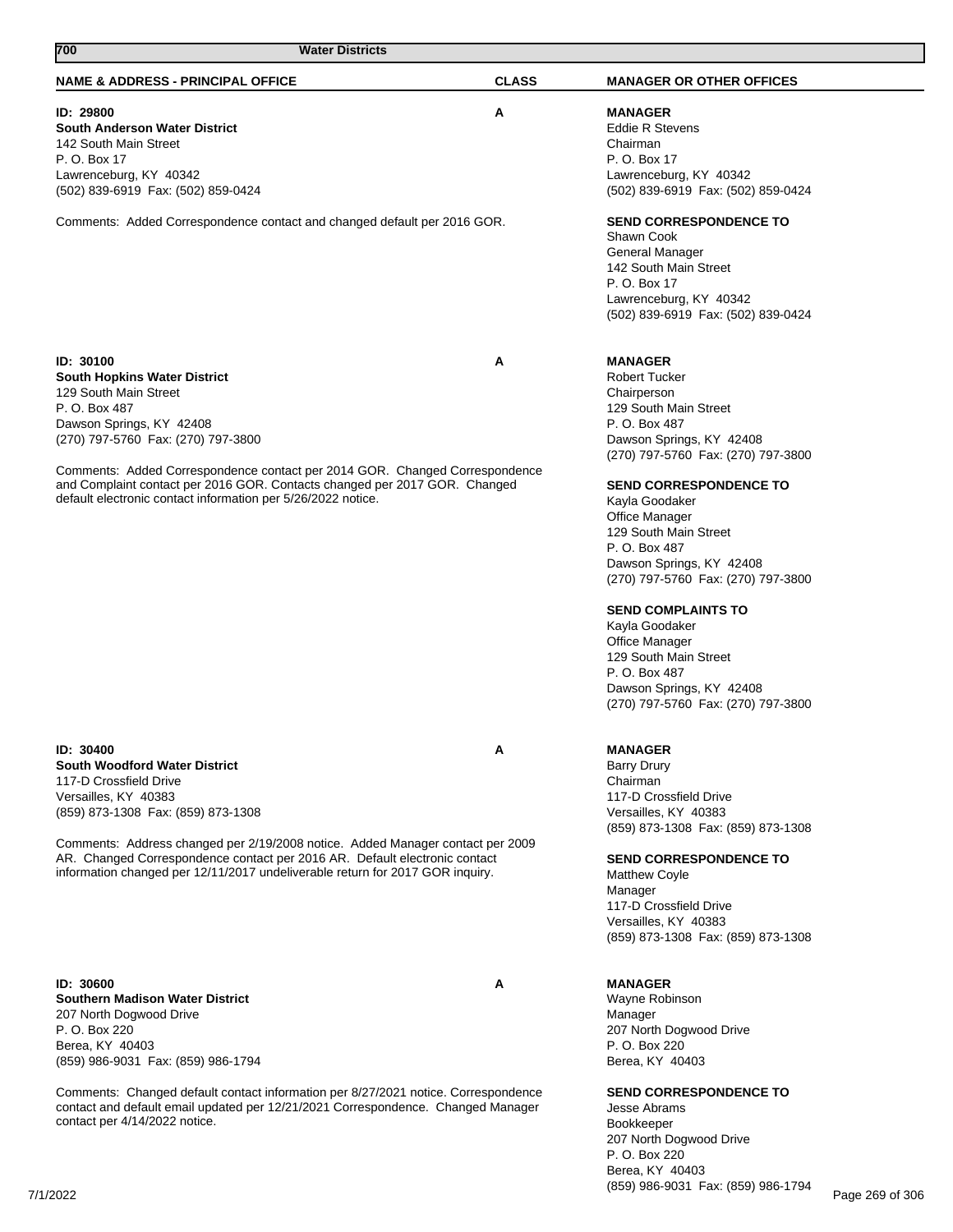| 700<br><b>Water Districts</b>                                                                                                                                                                                                                                                                                                                                                              |              |                                                                                                                                                                                                                                                                                                                                                                                                                                                                                                                                               |
|--------------------------------------------------------------------------------------------------------------------------------------------------------------------------------------------------------------------------------------------------------------------------------------------------------------------------------------------------------------------------------------------|--------------|-----------------------------------------------------------------------------------------------------------------------------------------------------------------------------------------------------------------------------------------------------------------------------------------------------------------------------------------------------------------------------------------------------------------------------------------------------------------------------------------------------------------------------------------------|
| <b>NAME &amp; ADDRESS - PRINCIPAL OFFICE</b>                                                                                                                                                                                                                                                                                                                                               | <b>CLASS</b> | <b>MANAGER OR OTHER OFFICES</b>                                                                                                                                                                                                                                                                                                                                                                                                                                                                                                               |
| ID: 29800<br>South Anderson Water District<br>142 South Main Street<br>P. O. Box 17<br>Lawrenceburg, KY 40342<br>(502) 839-6919 Fax: (502) 859-0424                                                                                                                                                                                                                                        | Α            | <b>MANAGER</b><br><b>Eddie R Stevens</b><br>Chairman<br>P. O. Box 17<br>Lawrenceburg, KY 40342<br>(502) 839-6919 Fax: (502) 859-0424                                                                                                                                                                                                                                                                                                                                                                                                          |
| Comments: Added Correspondence contact and changed default per 2016 GOR.                                                                                                                                                                                                                                                                                                                   |              | <b>SEND CORRESPONDENCE TO</b><br>Shawn Cook<br>General Manager<br>142 South Main Street<br>P. O. Box 17<br>Lawrenceburg, KY 40342<br>(502) 839-6919 Fax: (502) 839-0424                                                                                                                                                                                                                                                                                                                                                                       |
| ID: 30100<br><b>South Hopkins Water District</b><br>129 South Main Street<br>P. O. Box 487<br>Dawson Springs, KY 42408<br>(270) 797-5760 Fax: (270) 797-3800<br>Comments: Added Correspondence contact per 2014 GOR. Changed Correspondence<br>and Complaint contact per 2016 GOR. Contacts changed per 2017 GOR. Changed<br>default electronic contact information per 5/26/2022 notice.  | A            | <b>MANAGER</b><br><b>Robert Tucker</b><br>Chairperson<br>129 South Main Street<br>P. O. Box 487<br>Dawson Springs, KY 42408<br>(270) 797-5760 Fax: (270) 797-3800<br><b>SEND CORRESPONDENCE TO</b><br>Kayla Goodaker<br><b>Office Manager</b><br>129 South Main Street<br>P. O. Box 487<br>Dawson Springs, KY 42408<br>(270) 797-5760 Fax: (270) 797-3800<br><b>SEND COMPLAINTS TO</b><br>Kayla Goodaker<br><b>Office Manager</b><br>129 South Main Street<br>P. O. Box 487<br>Dawson Springs, KY 42408<br>(270) 797-5760 Fax: (270) 797-3800 |
| ID: 30400<br><b>South Woodford Water District</b><br>117-D Crossfield Drive<br>Versailles, KY 40383<br>(859) 873-1308 Fax: (859) 873-1308<br>Comments: Address changed per 2/19/2008 notice. Added Manager contact per 2009<br>AR. Changed Correspondence contact per 2016 AR. Default electronic contact<br>information changed per 12/11/2017 undeliverable return for 2017 GOR inquiry. | A            | <b>MANAGER</b><br><b>Barry Drury</b><br>Chairman<br>117-D Crossfield Drive<br>Versailles, KY 40383<br>(859) 873-1308 Fax: (859) 873-1308<br><b>SEND CORRESPONDENCE TO</b><br><b>Matthew Coyle</b><br>Manager<br>117-D Crossfield Drive<br>Versailles, KY 40383<br>(859) 873-1308 Fax: (859) 873-1308                                                                                                                                                                                                                                          |
| ID: 30600<br><b>Southern Madison Water District</b><br>207 North Dogwood Drive<br>P. O. Box 220<br>Berea, KY 40403<br>(859) 986-9031 Fax: (859) 986-1794                                                                                                                                                                                                                                   | Α            | <b>MANAGER</b><br>Wayne Robinson<br>Manager<br>207 North Dogwood Drive<br>P. O. Box 220<br>Berea, KY 40403                                                                                                                                                                                                                                                                                                                                                                                                                                    |
| Comments: Changed default contact information per 8/27/2021 notice. Correspondence<br>contact and default email updated per 12/21/2021 Correspondence. Changed Manager<br>contact per 4/14/2022 notice.                                                                                                                                                                                    |              | <b>SEND CORRESPONDENCE TO</b><br>Jesse Abrams<br>Bookkeeper<br>207 North Dogwood Drive<br>P. O. Box 220                                                                                                                                                                                                                                                                                                                                                                                                                                       |

Berea, KY 40403

(859) 986-9031 Fax: (859) 986-1794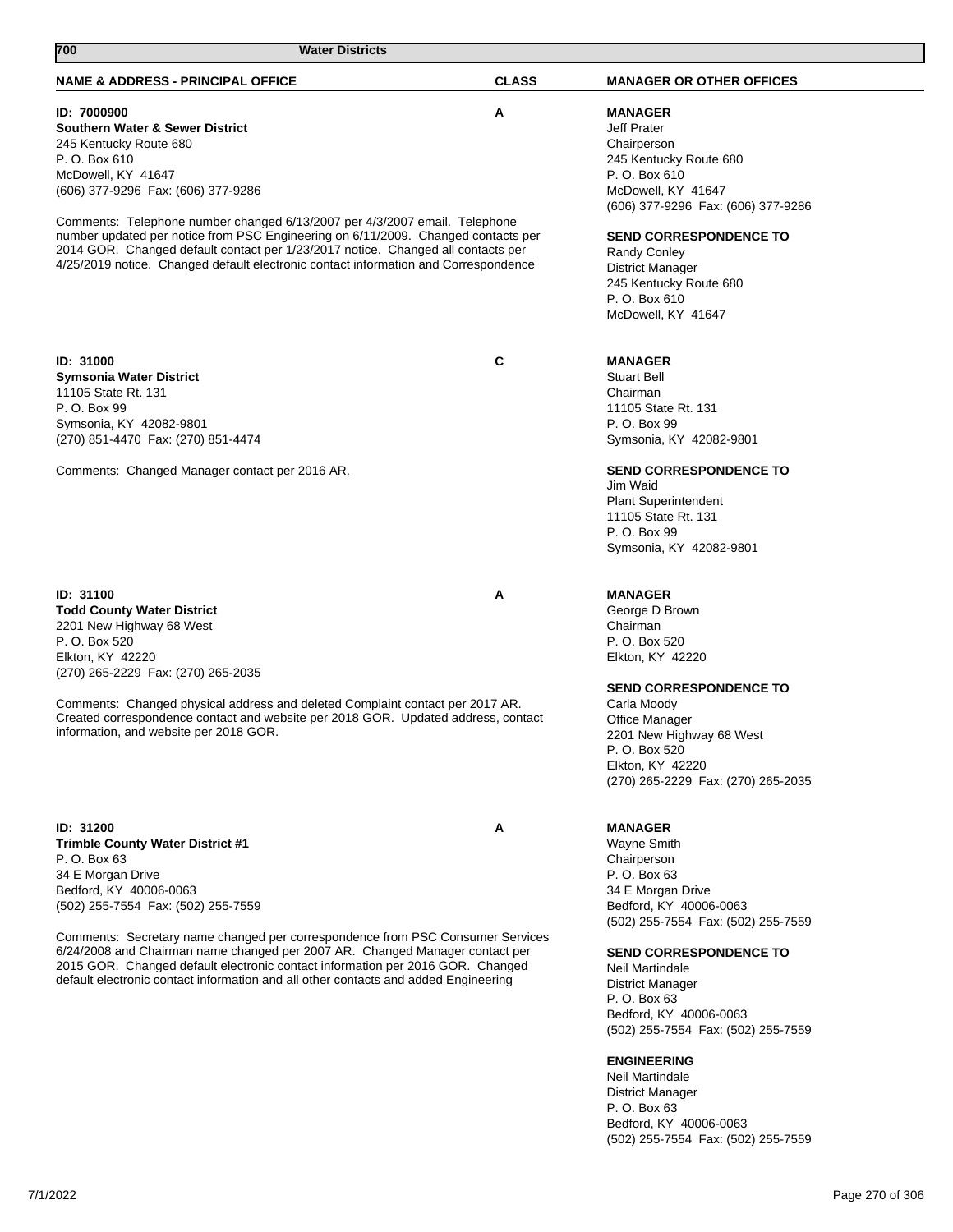| 700<br><b>Water Districts</b>                                                                                                                                      |              |                                                              |
|--------------------------------------------------------------------------------------------------------------------------------------------------------------------|--------------|--------------------------------------------------------------|
| <b>NAME &amp; ADDRESS - PRINCIPAL OFFICE</b>                                                                                                                       | <b>CLASS</b> | <b>MANAGER OR OTHER OFFICES</b>                              |
| ID: 7000900                                                                                                                                                        | A            | <b>MANAGER</b>                                               |
| <b>Southern Water &amp; Sewer District</b>                                                                                                                         |              | Jeff Prater                                                  |
| 245 Kentucky Route 680                                                                                                                                             |              | Chairperson                                                  |
| P. O. Box 610                                                                                                                                                      |              | 245 Kentucky Route 680                                       |
| McDowell, KY 41647                                                                                                                                                 |              | P. O. Box 610                                                |
| (606) 377-9296 Fax: (606) 377-9286                                                                                                                                 |              | McDowell, KY 41647                                           |
|                                                                                                                                                                    |              | (606) 377-9296 Fax: (606) 377-9286                           |
| Comments: Telephone number changed 6/13/2007 per 4/3/2007 email. Telephone<br>number updated per notice from PSC Engineering on 6/11/2009. Changed contacts per    |              | <b>SEND CORRESPONDENCE TO</b>                                |
| 2014 GOR. Changed default contact per 1/23/2017 notice. Changed all contacts per                                                                                   |              | <b>Randy Conley</b>                                          |
| 4/25/2019 notice. Changed default electronic contact information and Correspondence                                                                                |              | <b>District Manager</b>                                      |
|                                                                                                                                                                    |              | 245 Kentucky Route 680                                       |
|                                                                                                                                                                    |              | P. O. Box 610                                                |
|                                                                                                                                                                    |              | McDowell, KY 41647                                           |
|                                                                                                                                                                    |              |                                                              |
| <b>ID: 31000</b>                                                                                                                                                   | C            | <b>MANAGER</b>                                               |
| <b>Symsonia Water District</b>                                                                                                                                     |              | <b>Stuart Bell</b>                                           |
| 11105 State Rt. 131                                                                                                                                                |              | Chairman                                                     |
| P. O. Box 99                                                                                                                                                       |              | 11105 State Rt. 131                                          |
| Symsonia, KY 42082-9801                                                                                                                                            |              | P. O. Box 99                                                 |
| (270) 851-4470 Fax: (270) 851-4474                                                                                                                                 |              | Symsonia, KY 42082-9801                                      |
| Comments: Changed Manager contact per 2016 AR.                                                                                                                     |              | <b>SEND CORRESPONDENCE TO</b>                                |
|                                                                                                                                                                    |              | Jim Waid                                                     |
|                                                                                                                                                                    |              | <b>Plant Superintendent</b>                                  |
|                                                                                                                                                                    |              | 11105 State Rt. 131                                          |
|                                                                                                                                                                    |              | P. O. Box 99<br>Symsonia, KY 42082-9801                      |
|                                                                                                                                                                    |              |                                                              |
|                                                                                                                                                                    |              |                                                              |
| <b>ID: 31100</b><br><b>Todd County Water District</b>                                                                                                              | A            | <b>MANAGER</b><br>George D Brown                             |
| 2201 New Highway 68 West                                                                                                                                           |              | Chairman                                                     |
| P. O. Box 520                                                                                                                                                      |              | P. O. Box 520                                                |
| Elkton, KY 42220                                                                                                                                                   |              | Elkton, KY 42220                                             |
| (270) 265-2229 Fax: (270) 265-2035                                                                                                                                 |              |                                                              |
|                                                                                                                                                                    |              | <b>SEND CORRESPONDENCE TO</b>                                |
| Comments: Changed physical address and deleted Complaint contact per 2017 AR.<br>Created correspondence contact and website per 2018 GOR. Updated address, contact |              | Carla Moody<br>Office Manager                                |
| information, and website per 2018 GOR.                                                                                                                             |              | 2201 New Highway 68 West                                     |
|                                                                                                                                                                    |              | P. O. Box 520                                                |
|                                                                                                                                                                    |              | Elkton, KY 42220                                             |
|                                                                                                                                                                    |              | (270) 265-2229 Fax: (270) 265-2035                           |
|                                                                                                                                                                    |              |                                                              |
| ID: 31200                                                                                                                                                          | A            | <b>MANAGER</b>                                               |
| <b>Trimble County Water District #1</b>                                                                                                                            |              | <b>Wayne Smith</b>                                           |
| P. O. Box 63                                                                                                                                                       |              | Chairperson                                                  |
| 34 E Morgan Drive                                                                                                                                                  |              | P. O. Box 63                                                 |
| Bedford, KY 40006-0063<br>(502) 255-7554 Fax: (502) 255-7559                                                                                                       |              | 34 E Morgan Drive                                            |
|                                                                                                                                                                    |              | Bedford, KY 40006-0063<br>(502) 255-7554 Fax: (502) 255-7559 |
| Comments: Secretary name changed per correspondence from PSC Consumer Services                                                                                     |              |                                                              |
| 6/24/2008 and Chairman name changed per 2007 AR. Changed Manager contact per                                                                                       |              | <b>SEND CORRESPONDENCE TO</b>                                |
| 2015 GOR. Changed default electronic contact information per 2016 GOR. Changed                                                                                     |              | Neil Martindale                                              |
| default electronic contact information and all other contacts and added Engineering                                                                                |              | <b>District Manager</b>                                      |
|                                                                                                                                                                    |              | P. O. Box 63                                                 |
|                                                                                                                                                                    |              | Bedford, KY 40006-0063<br>(502) 255-7554 Fax: (502) 255-7559 |
|                                                                                                                                                                    |              |                                                              |
|                                                                                                                                                                    |              | <b>ENGINEERING</b>                                           |
|                                                                                                                                                                    |              | Neil Martindale                                              |
|                                                                                                                                                                    |              | District Manager<br>P. O. Box 63                             |
|                                                                                                                                                                    |              | Bedford, KY 40006-0063                                       |
|                                                                                                                                                                    |              | (502) 255-7554 Fax: (502) 255-7559                           |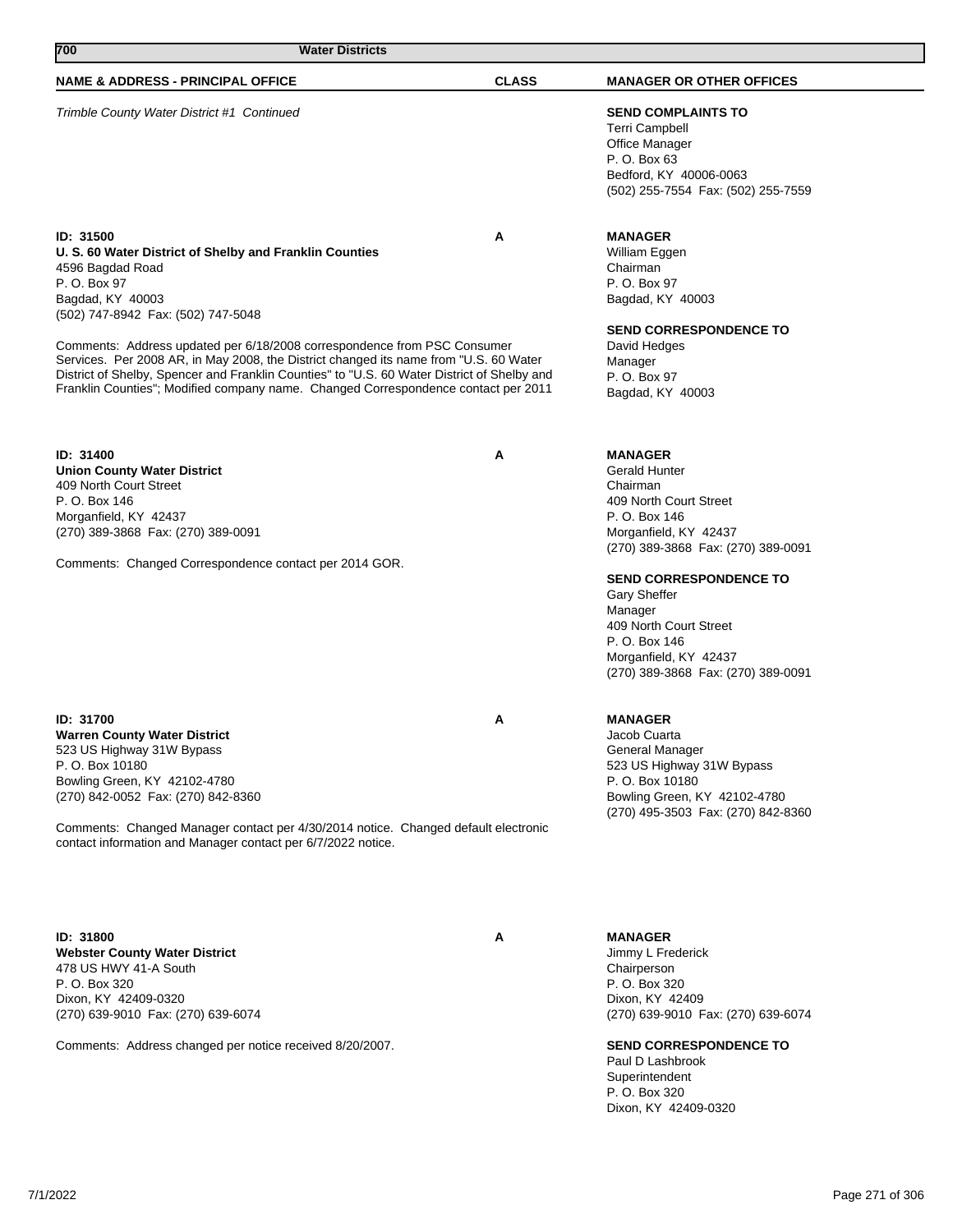| 700<br><b>Water Districts</b>                                                                                                                                                                                                                                                                                                                                                                                                                                                                                                |              |                                                                                                                                                                                                                                                                                                                                    |
|------------------------------------------------------------------------------------------------------------------------------------------------------------------------------------------------------------------------------------------------------------------------------------------------------------------------------------------------------------------------------------------------------------------------------------------------------------------------------------------------------------------------------|--------------|------------------------------------------------------------------------------------------------------------------------------------------------------------------------------------------------------------------------------------------------------------------------------------------------------------------------------------|
| <b>NAME &amp; ADDRESS - PRINCIPAL OFFICE</b>                                                                                                                                                                                                                                                                                                                                                                                                                                                                                 | <b>CLASS</b> | <b>MANAGER OR OTHER OFFICES</b>                                                                                                                                                                                                                                                                                                    |
| Trimble County Water District #1 Continued                                                                                                                                                                                                                                                                                                                                                                                                                                                                                   |              | <b>SEND COMPLAINTS TO</b><br>Terri Campbell<br>Office Manager<br>P. O. Box 63<br>Bedford, KY 40006-0063<br>(502) 255-7554 Fax: (502) 255-7559                                                                                                                                                                                      |
| ID: 31500<br>U. S. 60 Water District of Shelby and Franklin Counties<br>4596 Bagdad Road<br>P. O. Box 97<br>Bagdad, KY 40003<br>(502) 747-8942 Fax: (502) 747-5048<br>Comments: Address updated per 6/18/2008 correspondence from PSC Consumer<br>Services. Per 2008 AR, in May 2008, the District changed its name from "U.S. 60 Water<br>District of Shelby, Spencer and Franklin Counties" to "U.S. 60 Water District of Shelby and<br>Franklin Counties"; Modified company name. Changed Correspondence contact per 2011 | A            | <b>MANAGER</b><br>William Eggen<br>Chairman<br>P. O. Box 97<br>Bagdad, KY 40003<br><b>SEND CORRESPONDENCE TO</b><br>David Hedges<br>Manager<br>P. O. Box 97<br>Bagdad, KY 40003                                                                                                                                                    |
| ID: 31400<br><b>Union County Water District</b><br>409 North Court Street<br>P. O. Box 146<br>Morganfield, KY 42437<br>(270) 389-3868 Fax: (270) 389-0091<br>Comments: Changed Correspondence contact per 2014 GOR.                                                                                                                                                                                                                                                                                                          | Α            | <b>MANAGER</b><br><b>Gerald Hunter</b><br>Chairman<br>409 North Court Street<br>P. O. Box 146<br>Morganfield, KY 42437<br>(270) 389-3868 Fax: (270) 389-0091<br><b>SEND CORRESPONDENCE TO</b><br>Gary Sheffer<br>Manager<br>409 North Court Street<br>P. O. Box 146<br>Morganfield, KY 42437<br>(270) 389-3868 Fax: (270) 389-0091 |
| <b>ID: 31700</b><br><b>Warren County Water District</b><br>523 US Highway 31W Bypass<br>P. O. Box 10180<br>Bowling Green, KY 42102-4780<br>(270) 842-0052 Fax: (270) 842-8360<br>Comments: Changed Manager contact per 4/30/2014 notice. Changed default electronic<br>contact information and Manager contact per 6/7/2022 notice.                                                                                                                                                                                          | A            | <b>MANAGER</b><br>Jacob Cuarta<br>General Manager<br>523 US Highway 31W Bypass<br>P.O. Box 10180<br>Bowling Green, KY 42102-4780<br>(270) 495-3503 Fax: (270) 842-8360                                                                                                                                                             |
| ID: 31800                                                                                                                                                                                                                                                                                                                                                                                                                                                                                                                    | A            | <b>MANAGER</b>                                                                                                                                                                                                                                                                                                                     |

**Webster County Water District** 478 US HWY 41-A South P. O. Box 320 Dixon, KY 42409-0320 (270) 639-9010 Fax: (270) 639-6074

Comments: Address changed per notice received 8/20/2007.

## **MANAGER**

Jimmy L Frederick Chairperson P. O. Box 320 Dixon, KY 42409 (270) 639-9010 Fax: (270) 639-6074

## **SEND CORRESPONDENCE TO**

Paul D Lashbrook Superintendent P. O. Box 320 Dixon, KY 42409-0320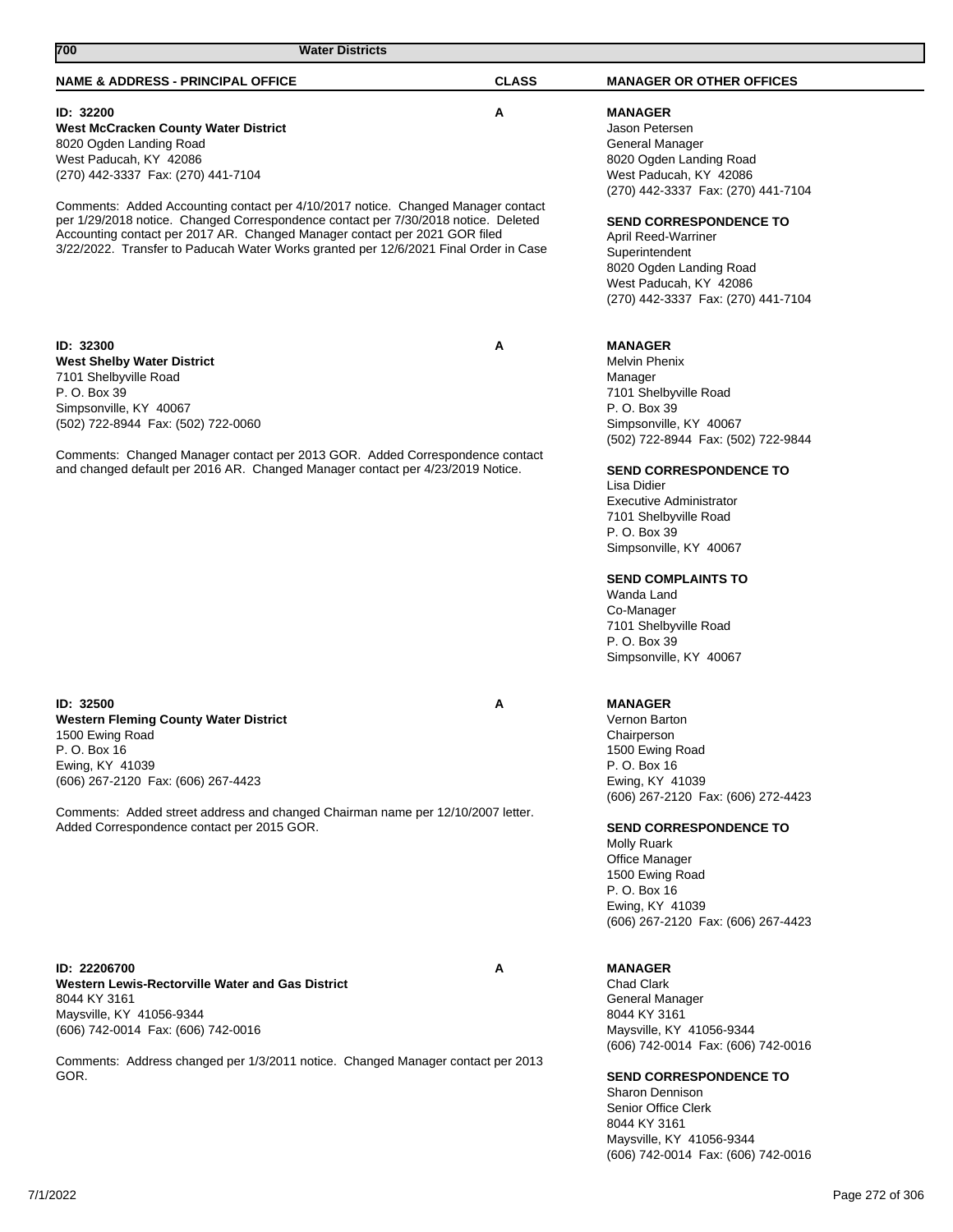| <b>NAME &amp; ADDRESS - PRINCIPAL OFFICE</b>                                                                                                                           | <b>CLASS</b> | <b>MANAGER OR OTHER OFFICES</b>                                |
|------------------------------------------------------------------------------------------------------------------------------------------------------------------------|--------------|----------------------------------------------------------------|
|                                                                                                                                                                        |              |                                                                |
| ID: 32200                                                                                                                                                              | Α            | <b>MANAGER</b>                                                 |
| <b>West McCracken County Water District</b>                                                                                                                            |              | Jason Petersen                                                 |
| 8020 Ogden Landing Road                                                                                                                                                |              | General Manager                                                |
| West Paducah, KY 42086                                                                                                                                                 |              | 8020 Ogden Landing Road                                        |
| (270) 442-3337 Fax: (270) 441-7104                                                                                                                                     |              | West Paducah, KY 42086                                         |
|                                                                                                                                                                        |              | (270) 442-3337 Fax: (270) 441-7104                             |
| Comments: Added Accounting contact per 4/10/2017 notice. Changed Manager contact<br>per 1/29/2018 notice. Changed Correspondence contact per 7/30/2018 notice. Deleted |              |                                                                |
| Accounting contact per 2017 AR. Changed Manager contact per 2021 GOR filed                                                                                             |              | <b>SEND CORRESPONDENCE TO</b>                                  |
| 3/22/2022. Transfer to Paducah Water Works granted per 12/6/2021 Final Order in Case                                                                                   |              | April Reed-Warriner                                            |
|                                                                                                                                                                        |              | Superintendent<br>8020 Ogden Landing Road                      |
|                                                                                                                                                                        |              | West Paducah, KY 42086                                         |
|                                                                                                                                                                        |              | (270) 442-3337 Fax: (270) 441-7104                             |
|                                                                                                                                                                        |              |                                                                |
|                                                                                                                                                                        |              |                                                                |
| ID: 32300                                                                                                                                                              | Α            | <b>MANAGER</b>                                                 |
| <b>West Shelby Water District</b>                                                                                                                                      |              | Melvin Phenix                                                  |
| 7101 Shelbyville Road                                                                                                                                                  |              | Manager                                                        |
| P. O. Box 39                                                                                                                                                           |              | 7101 Shelbyville Road                                          |
| Simpsonville, KY 40067                                                                                                                                                 |              | P. O. Box 39                                                   |
| (502) 722-8944 Fax: (502) 722-0060                                                                                                                                     |              | Simpsonville, KY 40067                                         |
|                                                                                                                                                                        |              | (502) 722-8944 Fax: (502) 722-9844                             |
| Comments: Changed Manager contact per 2013 GOR. Added Correspondence contact                                                                                           |              |                                                                |
| and changed default per 2016 AR. Changed Manager contact per 4/23/2019 Notice.                                                                                         |              | <b>SEND CORRESPONDENCE TO</b>                                  |
|                                                                                                                                                                        |              | Lisa Didier                                                    |
|                                                                                                                                                                        |              | <b>Executive Administrator</b>                                 |
|                                                                                                                                                                        |              | 7101 Shelbyville Road                                          |
|                                                                                                                                                                        |              | P. O. Box 39                                                   |
|                                                                                                                                                                        |              | Simpsonville, KY 40067                                         |
|                                                                                                                                                                        |              |                                                                |
|                                                                                                                                                                        |              | <b>SEND COMPLAINTS TO</b><br>Wanda Land                        |
|                                                                                                                                                                        |              |                                                                |
|                                                                                                                                                                        |              | Co-Manager<br>7101 Shelbyville Road                            |
|                                                                                                                                                                        |              | P. O. Box 39                                                   |
|                                                                                                                                                                        |              | Simpsonville, KY 40067                                         |
|                                                                                                                                                                        |              |                                                                |
|                                                                                                                                                                        |              |                                                                |
| ID: 32500                                                                                                                                                              | Α            | <b>MANAGER</b>                                                 |
| <b>Western Fleming County Water District</b>                                                                                                                           |              | Vernon Barton                                                  |
| 1500 Ewing Road                                                                                                                                                        |              | Chairperson                                                    |
| P. O. Box 16                                                                                                                                                           |              | 1500 Ewing Road                                                |
| Ewing, KY 41039                                                                                                                                                        |              | P. O. Box 16                                                   |
| (606) 267-2120 Fax: (606) 267-4423                                                                                                                                     |              | Ewing, KY 41039                                                |
|                                                                                                                                                                        |              | (606) 267-2120 Fax: (606) 272-4423                             |
| Comments: Added street address and changed Chairman name per 12/10/2007 letter.<br>Added Correspondence contact per 2015 GOR.                                          |              |                                                                |
|                                                                                                                                                                        |              | <b>SEND CORRESPONDENCE TO</b><br><b>Molly Ruark</b>            |
|                                                                                                                                                                        |              | <b>Office Manager</b>                                          |
|                                                                                                                                                                        |              | 1500 Ewing Road                                                |
|                                                                                                                                                                        |              | P. O. Box 16                                                   |
|                                                                                                                                                                        |              | Ewing, KY 41039                                                |
|                                                                                                                                                                        |              | (606) 267-2120 Fax: (606) 267-4423                             |
|                                                                                                                                                                        |              |                                                                |
|                                                                                                                                                                        |              |                                                                |
| ID: 22206700                                                                                                                                                           | Α            | <b>MANAGER</b>                                                 |
| Western Lewis-Rectorville Water and Gas District                                                                                                                       |              | <b>Chad Clark</b>                                              |
| 8044 KY 3161                                                                                                                                                           |              | General Manager                                                |
| Maysville, KY 41056-9344                                                                                                                                               |              | 8044 KY 3161                                                   |
| (606) 742-0014 Fax: (606) 742-0016                                                                                                                                     |              | Maysville, KY 41056-9344                                       |
|                                                                                                                                                                        |              | (606) 742-0014 Fax: (606) 742-0016                             |
| Comments: Address changed per 1/3/2011 notice. Changed Manager contact per 2013<br>GOR.                                                                                |              | <b>SEND CORRESPONDENCE TO</b>                                  |
|                                                                                                                                                                        |              | <b>Sharon Dennison</b>                                         |
|                                                                                                                                                                        |              | Senior Office Clerk                                            |
|                                                                                                                                                                        |              | 8044 KY 3161                                                   |
|                                                                                                                                                                        |              |                                                                |
|                                                                                                                                                                        |              | Maysville, KY 41056-9344<br>(606) 742-0014 Fax: (606) 742-0016 |
|                                                                                                                                                                        |              |                                                                |

**700 Water Districts** 

7/1/2022 Page 272 of 306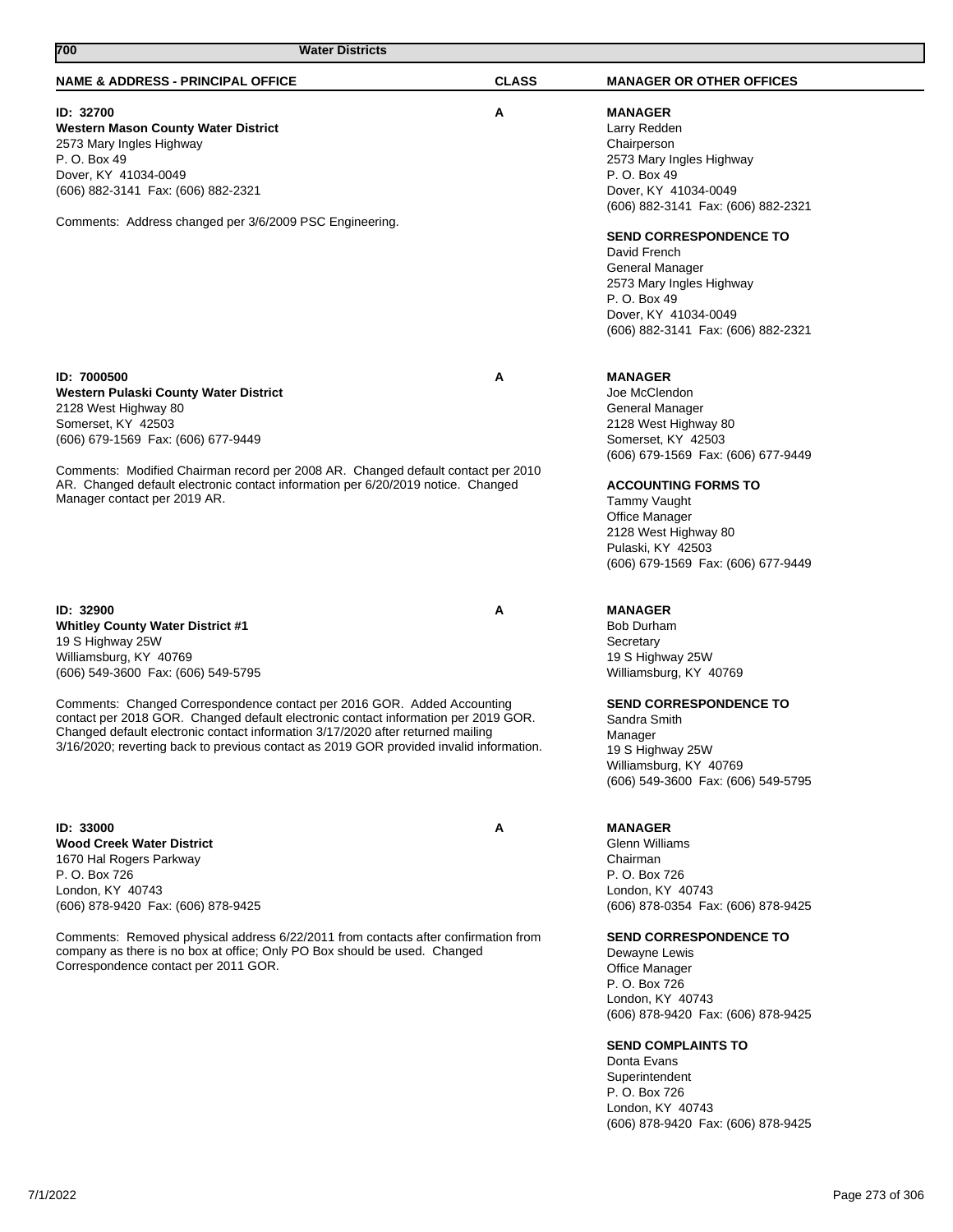| <b>NAME &amp; ADDRESS - PRINCIPAL OFFICE</b>                                                                                                                                                                                                                                                                                                                                                                                                                                            | <b>CLASS</b> | <b>MANAGER OR OTHER OFFICES</b>                                                                                                                                                                                                                                                                                                                                                         |
|-----------------------------------------------------------------------------------------------------------------------------------------------------------------------------------------------------------------------------------------------------------------------------------------------------------------------------------------------------------------------------------------------------------------------------------------------------------------------------------------|--------------|-----------------------------------------------------------------------------------------------------------------------------------------------------------------------------------------------------------------------------------------------------------------------------------------------------------------------------------------------------------------------------------------|
| ID: 32700<br>Western Mason County Water District<br>2573 Mary Ingles Highway<br>P. O. Box 49<br>Dover, KY 41034-0049<br>(606) 882-3141 Fax: (606) 882-2321<br>Comments: Address changed per 3/6/2009 PSC Engineering.                                                                                                                                                                                                                                                                   | Α            | <b>MANAGER</b><br>Larry Redden<br>Chairperson<br>2573 Mary Ingles Highway<br>P. O. Box 49<br>Dover, KY 41034-0049<br>(606) 882-3141 Fax: (606) 882-2321<br><b>SEND CORRESPONDENCE TO</b><br>David French<br>General Manager<br>2573 Mary Ingles Highway<br>P. O. Box 49<br>Dover, KY 41034-0049<br>(606) 882-3141 Fax: (606) 882-2321                                                   |
| <b>ID: 7000500</b><br>Western Pulaski County Water District<br>2128 West Highway 80<br>Somerset, KY 42503<br>(606) 679-1569 Fax: (606) 677-9449<br>Comments: Modified Chairman record per 2008 AR. Changed default contact per 2010<br>AR. Changed default electronic contact information per 6/20/2019 notice. Changed<br>Manager contact per 2019 AR.                                                                                                                                 | Α            | <b>MANAGER</b><br>Joe McClendon<br>General Manager<br>2128 West Highway 80<br>Somerset, KY 42503<br>(606) 679-1569 Fax: (606) 677-9449<br><b>ACCOUNTING FORMS TO</b><br>Tammy Vaught<br><b>Office Manager</b><br>2128 West Highway 80<br>Pulaski, KY 42503<br>(606) 679-1569 Fax: (606) 677-9449                                                                                        |
| ID: 32900<br><b>Whitley County Water District #1</b><br>19 S Highway 25W<br>Williamsburg, KY 40769<br>(606) 549-3600 Fax: (606) 549-5795<br>Comments: Changed Correspondence contact per 2016 GOR. Added Accounting<br>contact per 2018 GOR. Changed default electronic contact information per 2019 GOR.<br>Changed default electronic contact information 3/17/2020 after returned mailing<br>3/16/2020; reverting back to previous contact as 2019 GOR provided invalid information. | Α            | <b>MANAGER</b><br><b>Bob Durham</b><br>Secretary<br>19 S Highway 25W<br>Williamsburg, KY 40769<br><b>SEND CORRESPONDENCE TO</b><br>Sandra Smith<br>Manager<br>19 S Highway 25W<br>Williamsburg, KY 40769<br>(606) 549-3600 Fax: (606) 549-5795                                                                                                                                          |
| ID: 33000<br><b>Wood Creek Water District</b><br>1670 Hal Rogers Parkway<br>P. O. Box 726<br>London, KY 40743<br>(606) 878-9420 Fax: (606) 878-9425<br>Comments: Removed physical address 6/22/2011 from contacts after confirmation from<br>company as there is no box at office; Only PO Box should be used. Changed<br>Correspondence contact per 2011 GOR.                                                                                                                          | Α            | <b>MANAGER</b><br><b>Glenn Williams</b><br>Chairman<br>P. O. Box 726<br>London, KY 40743<br>(606) 878-0354 Fax: (606) 878-9425<br><b>SEND CORRESPONDENCE TO</b><br>Dewayne Lewis<br><b>Office Manager</b><br>P. O. Box 726<br>London, KY 40743<br>(606) 878-9420 Fax: (606) 878-9425<br><b>SEND COMPLAINTS TO</b><br>Donta Evans<br>Superintendent<br>P. O. Box 726<br>London, KY 40743 |

**700 Water Districts** 

(606) 878-9420 Fax: (606) 878-9425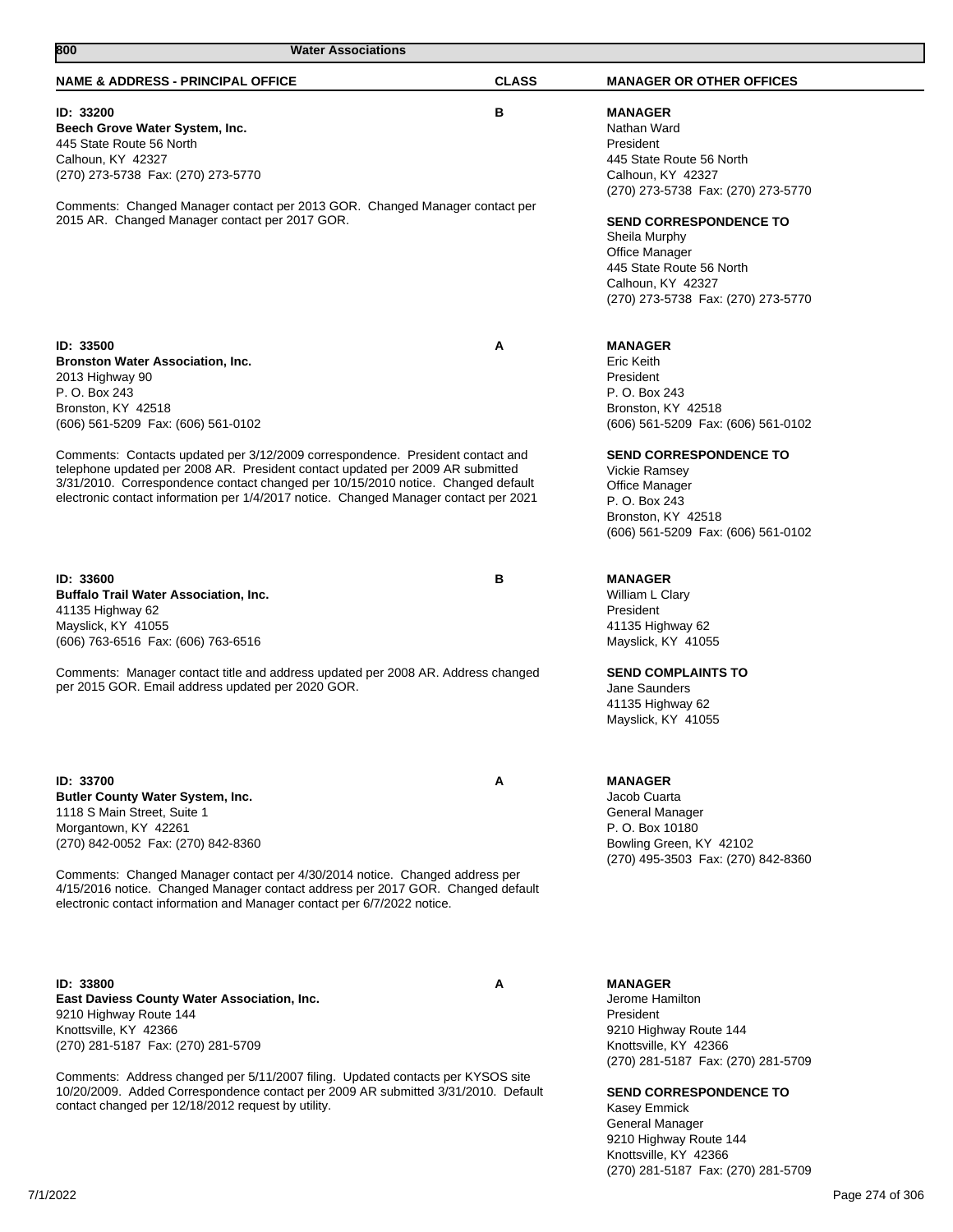| 800<br><b>Water Associations</b>                                                                                                                                                                                                                                                                                                                                                                                                                                                                     |              |                                                                                                                                                                                                                                                                                                     |
|------------------------------------------------------------------------------------------------------------------------------------------------------------------------------------------------------------------------------------------------------------------------------------------------------------------------------------------------------------------------------------------------------------------------------------------------------------------------------------------------------|--------------|-----------------------------------------------------------------------------------------------------------------------------------------------------------------------------------------------------------------------------------------------------------------------------------------------------|
| <b>NAME &amp; ADDRESS - PRINCIPAL OFFICE</b>                                                                                                                                                                                                                                                                                                                                                                                                                                                         | <b>CLASS</b> | <b>MANAGER OR OTHER OFFICES</b>                                                                                                                                                                                                                                                                     |
| ID: 33200<br>Beech Grove Water System, Inc.<br>445 State Route 56 North<br>Calhoun, KY 42327<br>(270) 273-5738 Fax: (270) 273-5770<br>Comments: Changed Manager contact per 2013 GOR. Changed Manager contact per<br>2015 AR. Changed Manager contact per 2017 GOR.                                                                                                                                                                                                                                  | В            | <b>MANAGER</b><br>Nathan Ward<br>President<br>445 State Route 56 North<br>Calhoun, KY 42327<br>(270) 273-5738 Fax: (270) 273-5770<br><b>SEND CORRESPONDENCE TO</b><br>Sheila Murphy<br><b>Office Manager</b><br>445 State Route 56 North<br>Calhoun, KY 42327<br>(270) 273-5738 Fax: (270) 273-5770 |
| ID: 33500<br><b>Bronston Water Association, Inc.</b><br>2013 Highway 90<br>P. O. Box 243<br>Bronston, KY 42518<br>(606) 561-5209 Fax: (606) 561-0102<br>Comments: Contacts updated per 3/12/2009 correspondence. President contact and<br>telephone updated per 2008 AR. President contact updated per 2009 AR submitted<br>3/31/2010. Correspondence contact changed per 10/15/2010 notice. Changed default<br>electronic contact information per 1/4/2017 notice. Changed Manager contact per 2021 | Α            | <b>MANAGER</b><br>Eric Keith<br>President<br>P. O. Box 243<br>Bronston, KY 42518<br>(606) 561-5209 Fax: (606) 561-0102<br><b>SEND CORRESPONDENCE TO</b><br><b>Vickie Ramsey</b><br><b>Office Manager</b><br>P. O. Box 243<br>Bronston, KY 42518<br>(606) 561-5209 Fax: (606) 561-0102               |
| ID: 33600<br><b>Buffalo Trail Water Association, Inc.</b><br>41135 Highway 62<br>Mayslick, KY 41055<br>(606) 763-6516 Fax: (606) 763-6516<br>Comments: Manager contact title and address updated per 2008 AR. Address changed<br>per 2015 GOR. Email address updated per 2020 GOR.                                                                                                                                                                                                                   | В            | <b>MANAGER</b><br>William L Clary<br>President<br>41135 Highway 62<br>Mayslick, KY 41055<br><b>SEND COMPLAINTS TO</b><br>Jane Saunders<br>41135 Highway 62<br>Mayslick, KY 41055                                                                                                                    |
| ID: 33700<br>Butler County Water System, Inc.<br>1118 S Main Street, Suite 1<br>Morgantown, KY 42261<br>(270) 842-0052 Fax: (270) 842-8360<br>Comments: Changed Manager contact per 4/30/2014 notice. Changed address per<br>4/15/2016 notice. Changed Manager contact address per 2017 GOR. Changed default<br>electronic contact information and Manager contact per 6/7/2022 notice.                                                                                                              | A            | <b>MANAGER</b><br>Jacob Cuarta<br>General Manager<br>P. O. Box 10180<br>Bowling Green, KY 42102<br>(270) 495-3503 Fax: (270) 842-8360                                                                                                                                                               |
| ID: 33800<br><b>East Daviess County Water Association, Inc.</b><br>9210 Highway Route 144<br>Knottsville, KY 42366<br>(270) 281-5187 Fax: (270) 281-5709<br>Comments: Address changed per 5/11/2007 filing. Updated contacts per KYSOS site<br>10/20/2009. Added Correspondence contact per 2009 AR submitted 3/31/2010. Default<br>contact changed per 12/18/2012 request by utility.                                                                                                               | A            | <b>MANAGER</b><br>Jerome Hamilton<br>President<br>9210 Highway Route 144<br>Knottsville, KY 42366<br>(270) 281-5187 Fax: (270) 281-5709<br><b>SEND CORRESPONDENCE TO</b><br>Kasey Emmick<br>General Manager                                                                                         |

9210 Highway Route 144 Knottsville, KY 42366

(270) 281-5187 Fax: (270) 281-5709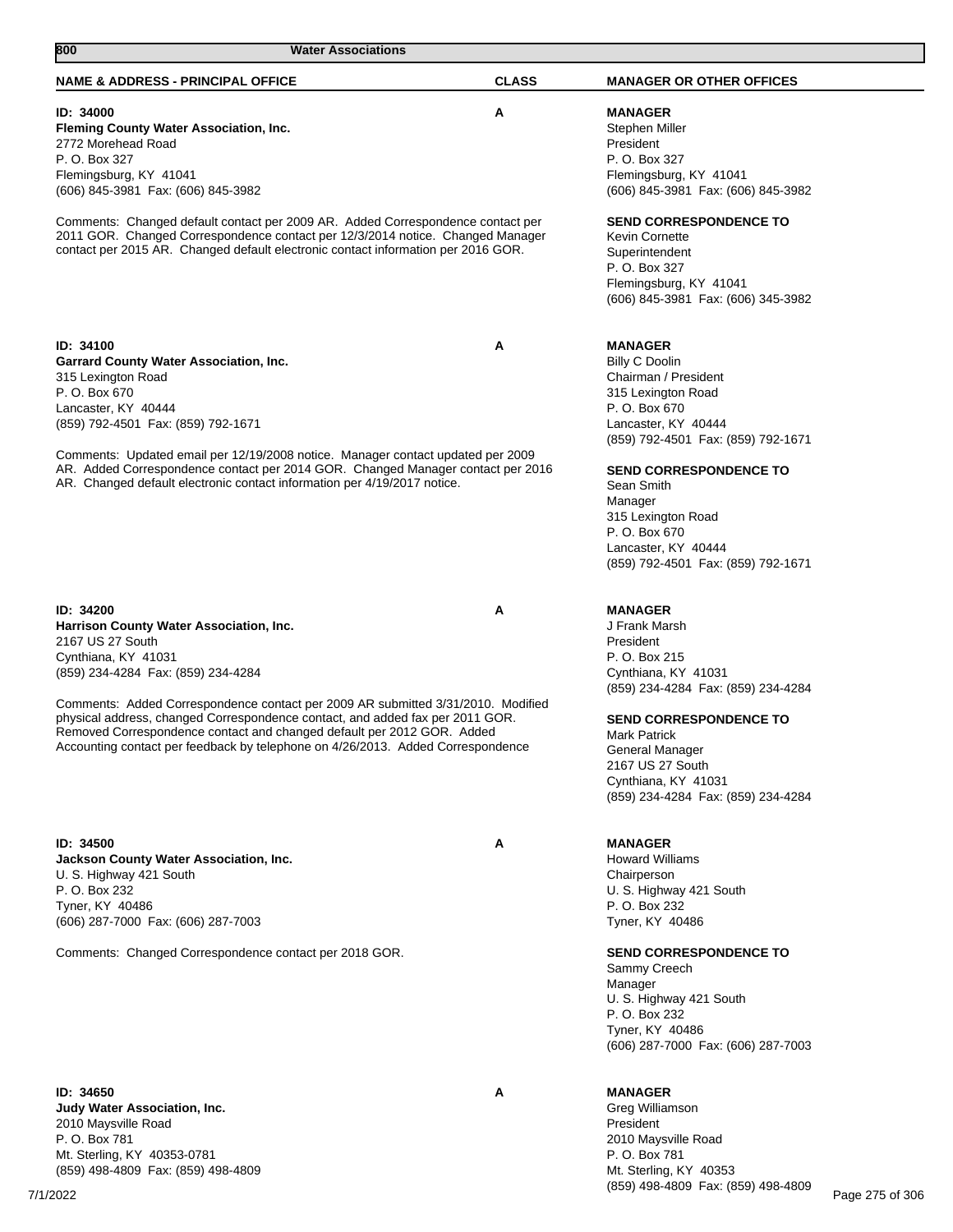| <b>NAME &amp; ADDRESS - PRINCIPAL OFFICE</b>                                                                                                                                                                                                  | <b>CLASS</b> | <b>MANAGER OR OTHER OFFICES</b>                                                                                                                                 |
|-----------------------------------------------------------------------------------------------------------------------------------------------------------------------------------------------------------------------------------------------|--------------|-----------------------------------------------------------------------------------------------------------------------------------------------------------------|
| ID: 34000<br>Fleming County Water Association, Inc.<br>2772 Morehead Road<br>P. O. Box 327<br>Flemingsburg, KY 41041<br>(606) 845-3981 Fax: (606) 845-3982<br>Comments: Changed default contact per 2009 AR. Added Correspondence contact per | A            | <b>MANAGER</b><br>Stephen Miller<br>President<br>P. O. Box 327<br>Flemingsburg, KY 41041<br>(606) 845-3981 Fax: (606) 845-3982<br><b>SEND CORRESPONDENCE TO</b> |
| 2011 GOR. Changed Correspondence contact per 12/3/2014 notice. Changed Manager<br>contact per 2015 AR. Changed default electronic contact information per 2016 GOR.                                                                           |              | <b>Kevin Cornette</b><br>Superintendent<br>P. O. Box 327<br>Flemingsburg, KY 41041<br>(606) 845-3981 Fax: (606) 345-3982                                        |
| <b>ID: 34100</b>                                                                                                                                                                                                                              | A            | <b>MANAGER</b>                                                                                                                                                  |
| <b>Garrard County Water Association, Inc.</b>                                                                                                                                                                                                 |              | <b>Billy C Doolin</b>                                                                                                                                           |
| 315 Lexington Road                                                                                                                                                                                                                            |              | Chairman / President                                                                                                                                            |
| P. O. Box 670<br>Lancaster, KY 40444                                                                                                                                                                                                          |              | 315 Lexington Road<br>P. O. Box 670                                                                                                                             |
| (859) 792-4501 Fax: (859) 792-1671                                                                                                                                                                                                            |              | Lancaster, KY 40444                                                                                                                                             |
|                                                                                                                                                                                                                                               |              | (859) 792-4501 Fax: (859) 792-1671                                                                                                                              |
| Comments: Updated email per 12/19/2008 notice. Manager contact updated per 2009                                                                                                                                                               |              |                                                                                                                                                                 |
| AR. Added Correspondence contact per 2014 GOR. Changed Manager contact per 2016<br>AR. Changed default electronic contact information per 4/19/2017 notice.                                                                                   |              | <b>SEND CORRESPONDENCE TO</b><br>Sean Smith                                                                                                                     |
|                                                                                                                                                                                                                                               |              | Manager                                                                                                                                                         |
|                                                                                                                                                                                                                                               |              | 315 Lexington Road<br>P. O. Box 670                                                                                                                             |
|                                                                                                                                                                                                                                               |              | Lancaster, KY 40444                                                                                                                                             |
|                                                                                                                                                                                                                                               |              | (859) 792-4501 Fax: (859) 792-1671                                                                                                                              |
| ID: 34200                                                                                                                                                                                                                                     | A            | <b>MANAGER</b>                                                                                                                                                  |
| Harrison County Water Association, Inc.                                                                                                                                                                                                       |              | J Frank Marsh                                                                                                                                                   |
| 2167 US 27 South                                                                                                                                                                                                                              |              | President                                                                                                                                                       |
| Cynthiana, KY 41031                                                                                                                                                                                                                           |              | P. O. Box 215                                                                                                                                                   |
| (859) 234-4284 Fax: (859) 234-4284                                                                                                                                                                                                            |              | Cynthiana, KY 41031                                                                                                                                             |
| Comments: Added Correspondence contact per 2009 AR submitted 3/31/2010. Modified                                                                                                                                                              |              | (859) 234-4284 Fax: (859) 234-4284                                                                                                                              |
| physical address, changed Correspondence contact, and added fax per 2011 GOR.<br>Removed Correspondence contact and changed default per 2012 GOR. Added                                                                                       |              | <b>SEND CORRESPONDENCE TO</b><br><b>Mark Patrick</b>                                                                                                            |
| Accounting contact per feedback by telephone on 4/26/2013. Added Correspondence                                                                                                                                                               |              | General Manager                                                                                                                                                 |
|                                                                                                                                                                                                                                               |              | 2167 US 27 South                                                                                                                                                |
|                                                                                                                                                                                                                                               |              | Cynthiana, KY 41031<br>(859) 234-4284 Fax: (859) 234-4284                                                                                                       |
|                                                                                                                                                                                                                                               |              |                                                                                                                                                                 |
| ID: 34500                                                                                                                                                                                                                                     | A            | <b>MANAGER</b>                                                                                                                                                  |
| Jackson County Water Association, Inc.                                                                                                                                                                                                        |              | <b>Howard Williams</b>                                                                                                                                          |
| U. S. Highway 421 South                                                                                                                                                                                                                       |              | Chairperson                                                                                                                                                     |
| P. O. Box 232                                                                                                                                                                                                                                 |              | U. S. Highway 421 South                                                                                                                                         |
| Tyner, KY 40486                                                                                                                                                                                                                               |              | P. O. Box 232                                                                                                                                                   |
| (606) 287-7000 Fax: (606) 287-7003                                                                                                                                                                                                            |              | Tyner, KY 40486                                                                                                                                                 |
| Comments: Changed Correspondence contact per 2018 GOR.                                                                                                                                                                                        |              | <b>SEND CORRESPONDENCE TO</b><br>Sammy Creech                                                                                                                   |
|                                                                                                                                                                                                                                               |              | Manager                                                                                                                                                         |
|                                                                                                                                                                                                                                               |              | U. S. Highway 421 South<br>P. O. Box 232                                                                                                                        |
|                                                                                                                                                                                                                                               |              | Tyner, KY 40486                                                                                                                                                 |
|                                                                                                                                                                                                                                               |              | (606) 287-7000 Fax: (606) 287-7003                                                                                                                              |
| ID: 34650                                                                                                                                                                                                                                     | Α            | <b>MANAGER</b>                                                                                                                                                  |
| Judy Water Association, Inc.                                                                                                                                                                                                                  |              | Greg Williamson                                                                                                                                                 |
| 2010 Maysville Road                                                                                                                                                                                                                           |              | President                                                                                                                                                       |
| P. O. Box 781                                                                                                                                                                                                                                 |              | 2010 Maysville Road                                                                                                                                             |
| Mt. Sterling, KY 40353-0781                                                                                                                                                                                                                   |              | P. O. Box 781                                                                                                                                                   |
| (859) 498-4809 Fax: (859) 498-4809                                                                                                                                                                                                            |              | Mt. Sterling, KY 40353                                                                                                                                          |

**800 Water Associations** 

7/1/2022 Page 275 of 306

(859) 498-4809 Fax: (859) 498-4809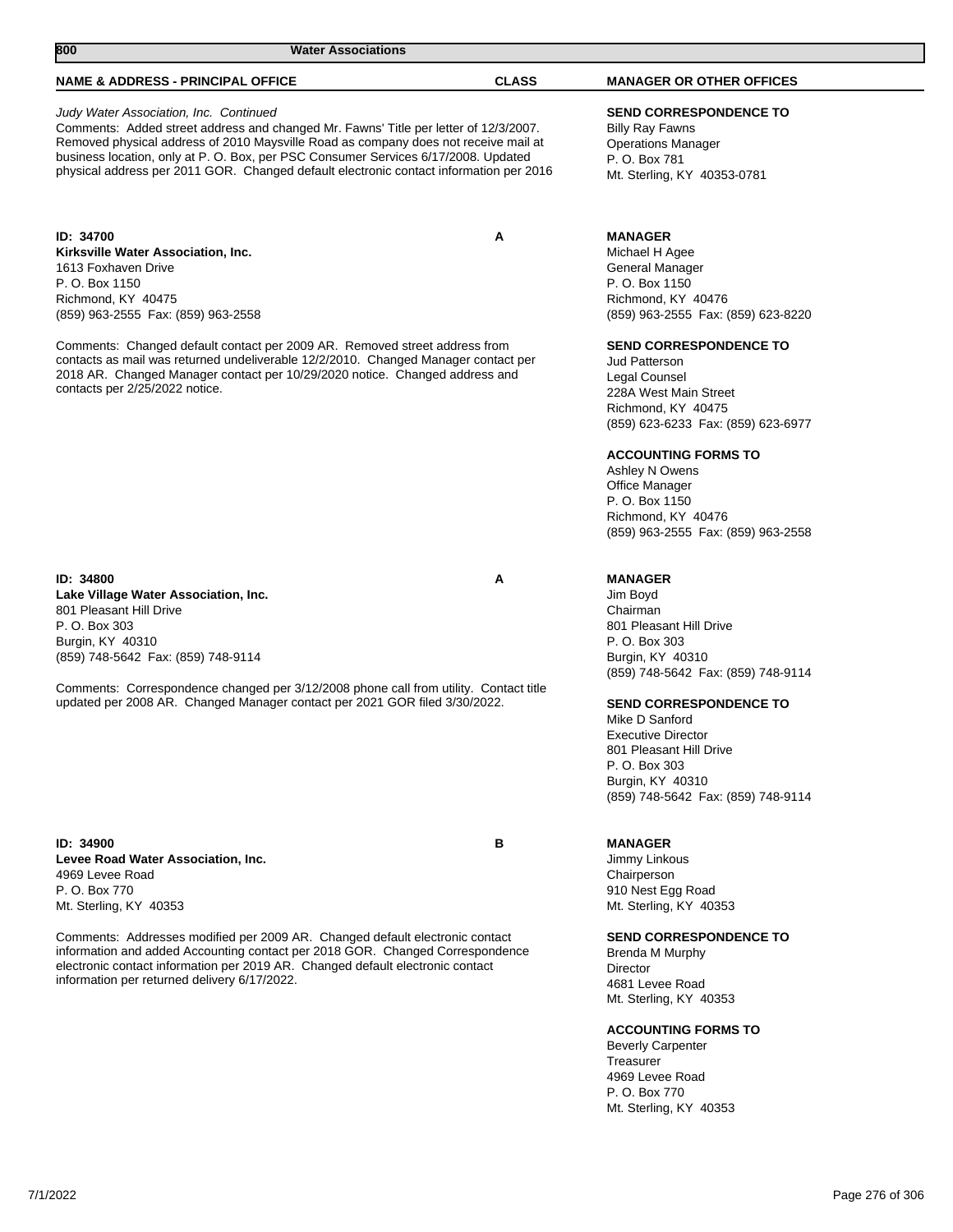## **NAME & ADDRESS - PRINCIPAL OFFICE CLASS MANAGER OR OTHER OFFICES**

#### Judy Water Association, Inc. Continued

Comments: Added street address and changed Mr. Fawns' Title per letter of 12/3/2007. Removed physical address of 2010 Maysville Road as company does not receive mail at business location, only at P. O. Box, per PSC Consumer Services 6/17/2008. Updated physical address per 2011 GOR. Changed default electronic contact information per 2016

## **ID: 34700 A Kirksville Water Association, Inc.**

1613 Foxhaven Drive P. O. Box 1150 Richmond, KY 40475 (859) 963-2555 Fax: (859) 963-2558

Comments: Changed default contact per 2009 AR. Removed street address from contacts as mail was returned undeliverable 12/2/2010. Changed Manager contact per 2018 AR. Changed Manager contact per 10/29/2020 notice. Changed address and contacts per 2/25/2022 notice.

#### **ID: 34800 A**

**Lake Village Water Association, Inc.** 801 Pleasant Hill Drive P. O. Box 303 Burgin, KY 40310 (859) 748-5642 Fax: (859) 748-9114

Comments: Correspondence changed per 3/12/2008 phone call from utility. Contact title updated per 2008 AR. Changed Manager contact per 2021 GOR filed 3/30/2022.

**ID: 34900 B Levee Road Water Association, Inc.** 4969 Levee Road P. O. Box 770 Mt. Sterling, KY 40353

Comments: Addresses modified per 2009 AR. Changed default electronic contact information and added Accounting contact per 2018 GOR. Changed Correspondence electronic contact information per 2019 AR. Changed default electronic contact information per returned delivery 6/17/2022.

# **SEND CORRESPONDENCE TO**

Billy Ray Fawns Operations Manager P. O. Box 781 Mt. Sterling, KY 40353-0781

#### **MANAGER**

Michael H Agee General Manager P. O. Box 1150 Richmond, KY 40476 (859) 963-2555 Fax: (859) 623-8220

#### **SEND CORRESPONDENCE TO**

Jud Patterson Legal Counsel 228A West Main Street Richmond, KY 40475 (859) 623-6233 Fax: (859) 623-6977

#### **ACCOUNTING FORMS TO**

Ashley N Owens Office Manager P. O. Box 1150 Richmond, KY 40476 (859) 963-2555 Fax: (859) 963-2558

## **MANAGER**

Jim Boyd Chairman 801 Pleasant Hill Drive P. O. Box 303 Burgin, KY 40310 (859) 748-5642 Fax: (859) 748-9114

## **SEND CORRESPONDENCE TO**

Mike D Sanford Executive Director 801 Pleasant Hill Drive P. O. Box 303 Burgin, KY 40310 (859) 748-5642 Fax: (859) 748-9114

#### **MANAGER**

Jimmy Linkous Chairperson 910 Nest Egg Road Mt. Sterling, KY 40353

#### **SEND CORRESPONDENCE TO**

Brenda M Murphy Director 4681 Levee Road Mt. Sterling, KY 40353

#### **ACCOUNTING FORMS TO**

Beverly Carpenter Treasurer 4969 Levee Road P. O. Box 770 Mt. Sterling, KY 40353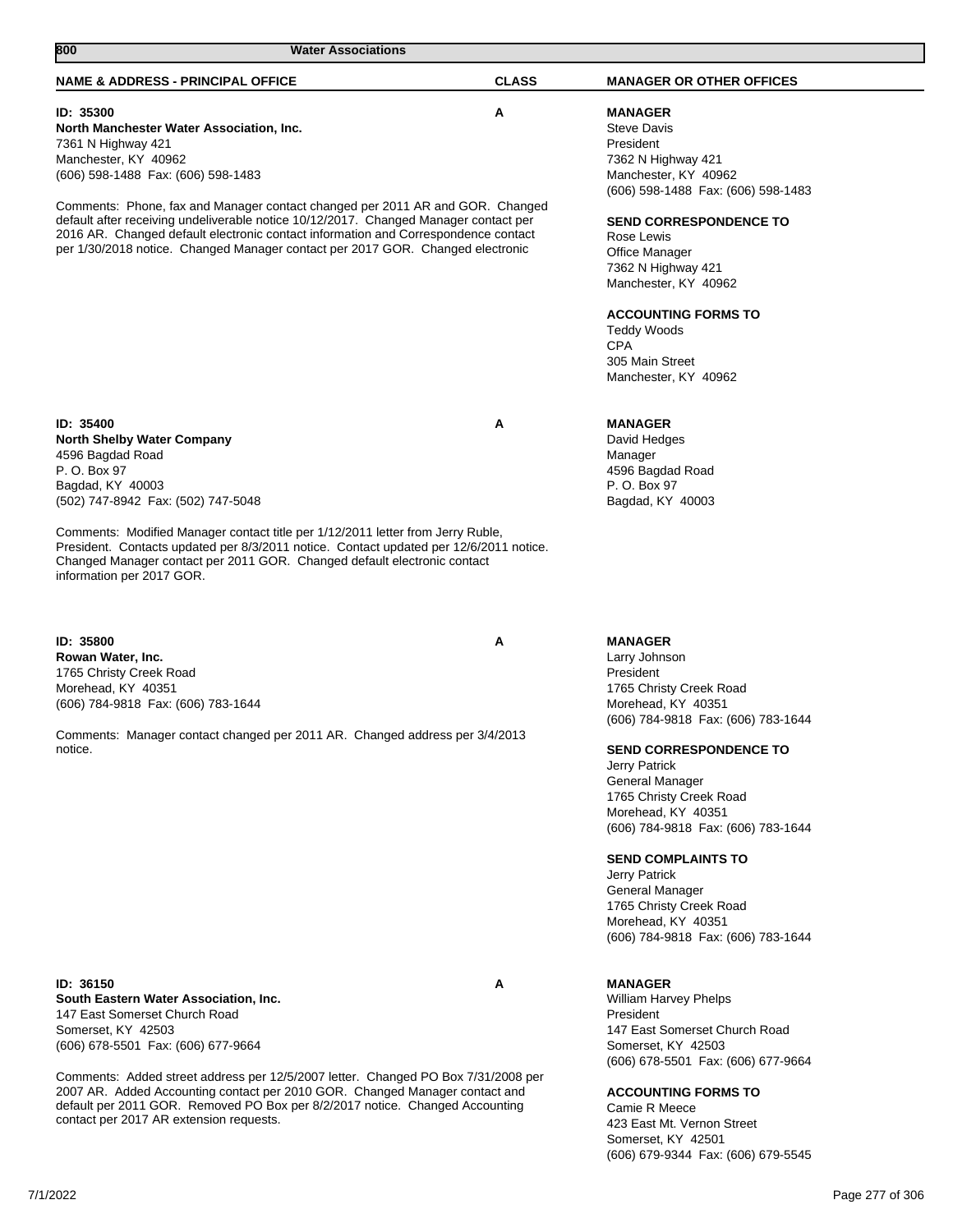| 800<br><b>Water Associations</b>                                                                                                                                                                                                                                                                                          |              |                                                                                                                                                                                         |
|---------------------------------------------------------------------------------------------------------------------------------------------------------------------------------------------------------------------------------------------------------------------------------------------------------------------------|--------------|-----------------------------------------------------------------------------------------------------------------------------------------------------------------------------------------|
| <b>NAME &amp; ADDRESS - PRINCIPAL OFFICE</b>                                                                                                                                                                                                                                                                              | <b>CLASS</b> | <b>MANAGER OR OTHER OFFICES</b>                                                                                                                                                         |
| <b>ID: 35300</b><br>North Manchester Water Association, Inc.<br>7361 N Highway 421<br>Manchester, KY 40962<br>(606) 598-1488 Fax: (606) 598-1483<br>Comments: Phone, fax and Manager contact changed per 2011 AR and GOR. Changed<br>default after receiving undeliverable notice 10/12/2017. Changed Manager contact per | Α            | <b>MANAGER</b><br><b>Steve Davis</b><br>President<br>7362 N Highway 421<br>Manchester, KY 40962<br>(606) 598-1488 Fax: (606) 598-1483<br><b>SEND CORRESPONDENCE TO</b>                  |
| 2016 AR. Changed default electronic contact information and Correspondence contact<br>per 1/30/2018 notice. Changed Manager contact per 2017 GOR. Changed electronic                                                                                                                                                      |              | Rose Lewis<br>Office Manager<br>7362 N Highway 421<br>Manchester, KY 40962<br><b>ACCOUNTING FORMS TO</b><br><b>Teddy Woods</b><br><b>CPA</b><br>305 Main Street<br>Manchester, KY 40962 |
| ID: 35400                                                                                                                                                                                                                                                                                                                 | Α            | <b>MANAGER</b>                                                                                                                                                                          |
| <b>North Shelby Water Company</b>                                                                                                                                                                                                                                                                                         |              | David Hedges                                                                                                                                                                            |
| 4596 Bagdad Road<br>P. O. Box 97                                                                                                                                                                                                                                                                                          |              | Manager<br>4596 Bagdad Road                                                                                                                                                             |
| Bagdad, KY 40003                                                                                                                                                                                                                                                                                                          |              | P. O. Box 97                                                                                                                                                                            |
| (502) 747-8942 Fax: (502) 747-5048                                                                                                                                                                                                                                                                                        |              | Bagdad, KY 40003                                                                                                                                                                        |
| Comments: Modified Manager contact title per 1/12/2011 letter from Jerry Ruble,<br>President. Contacts updated per 8/3/2011 notice. Contact updated per 12/6/2011 notice.<br>Changed Manager contact per 2011 GOR. Changed default electronic contact<br>information per 2017 GOR.                                        |              |                                                                                                                                                                                         |
| ID: 35800                                                                                                                                                                                                                                                                                                                 | A            | <b>MANAGER</b>                                                                                                                                                                          |
| Rowan Water, Inc.                                                                                                                                                                                                                                                                                                         |              | Larry Johnson                                                                                                                                                                           |
| 1765 Christy Creek Road                                                                                                                                                                                                                                                                                                   |              | President                                                                                                                                                                               |
| Morehead, KY 40351                                                                                                                                                                                                                                                                                                        |              | 1765 Christy Creek Road                                                                                                                                                                 |
| (606) 784-9818 Fax: (606) 783-1644                                                                                                                                                                                                                                                                                        |              | Morehead, KY 40351<br>(606) 784-9818 Fax: (606) 783-1644                                                                                                                                |
| Comments: Manager contact changed per 2011 AR. Changed address per 3/4/2013                                                                                                                                                                                                                                               |              |                                                                                                                                                                                         |
| notice.                                                                                                                                                                                                                                                                                                                   |              | <b>SEND CORRESPONDENCE TO</b>                                                                                                                                                           |
|                                                                                                                                                                                                                                                                                                                           |              | Jerry Patrick                                                                                                                                                                           |
|                                                                                                                                                                                                                                                                                                                           |              | General Manager                                                                                                                                                                         |
|                                                                                                                                                                                                                                                                                                                           |              | 1765 Christy Creek Road<br>Morehead, KY 40351                                                                                                                                           |
|                                                                                                                                                                                                                                                                                                                           |              | (606) 784-9818 Fax: (606) 783-1644                                                                                                                                                      |
|                                                                                                                                                                                                                                                                                                                           |              |                                                                                                                                                                                         |
|                                                                                                                                                                                                                                                                                                                           |              | <b>SEND COMPLAINTS TO</b><br>Jerry Patrick                                                                                                                                              |
|                                                                                                                                                                                                                                                                                                                           |              | General Manager                                                                                                                                                                         |
|                                                                                                                                                                                                                                                                                                                           |              | 1765 Christy Creek Road                                                                                                                                                                 |
|                                                                                                                                                                                                                                                                                                                           |              | Morehead, KY 40351                                                                                                                                                                      |
|                                                                                                                                                                                                                                                                                                                           |              | (606) 784-9818 Fax: (606) 783-1644                                                                                                                                                      |
|                                                                                                                                                                                                                                                                                                                           |              |                                                                                                                                                                                         |
| ID: 36150                                                                                                                                                                                                                                                                                                                 | Α            | <b>MANAGER</b>                                                                                                                                                                          |
| South Eastern Water Association, Inc.<br>147 East Somerset Church Road                                                                                                                                                                                                                                                    |              | <b>William Harvey Phelps</b><br>President                                                                                                                                               |
| Somerset, KY 42503                                                                                                                                                                                                                                                                                                        |              | 147 East Somerset Church Road                                                                                                                                                           |
| (606) 678-5501 Fax: (606) 677-9664                                                                                                                                                                                                                                                                                        |              | Somerset, KY 42503<br>(606) 678-5501 Fax: (606) 677-9664                                                                                                                                |
|                                                                                                                                                                                                                                                                                                                           |              |                                                                                                                                                                                         |

Comments: Added street address per 12/5/2007 letter. Changed PO Box 7/31/2008 per 2007 AR. Added Accounting contact per 2010 GOR. Changed Manager contact and default per 2011 GOR. Removed PO Box per 8/2/2017 notice. Changed Accounting contact per 2017 AR extension requests.

7/1/2022 Page 277 of 306

**ACCOUNTING FORMS TO**

423 East Mt. Vernon Street Somerset, KY 42501

(606) 679-9344 Fax: (606) 679-5545

Camie R Meece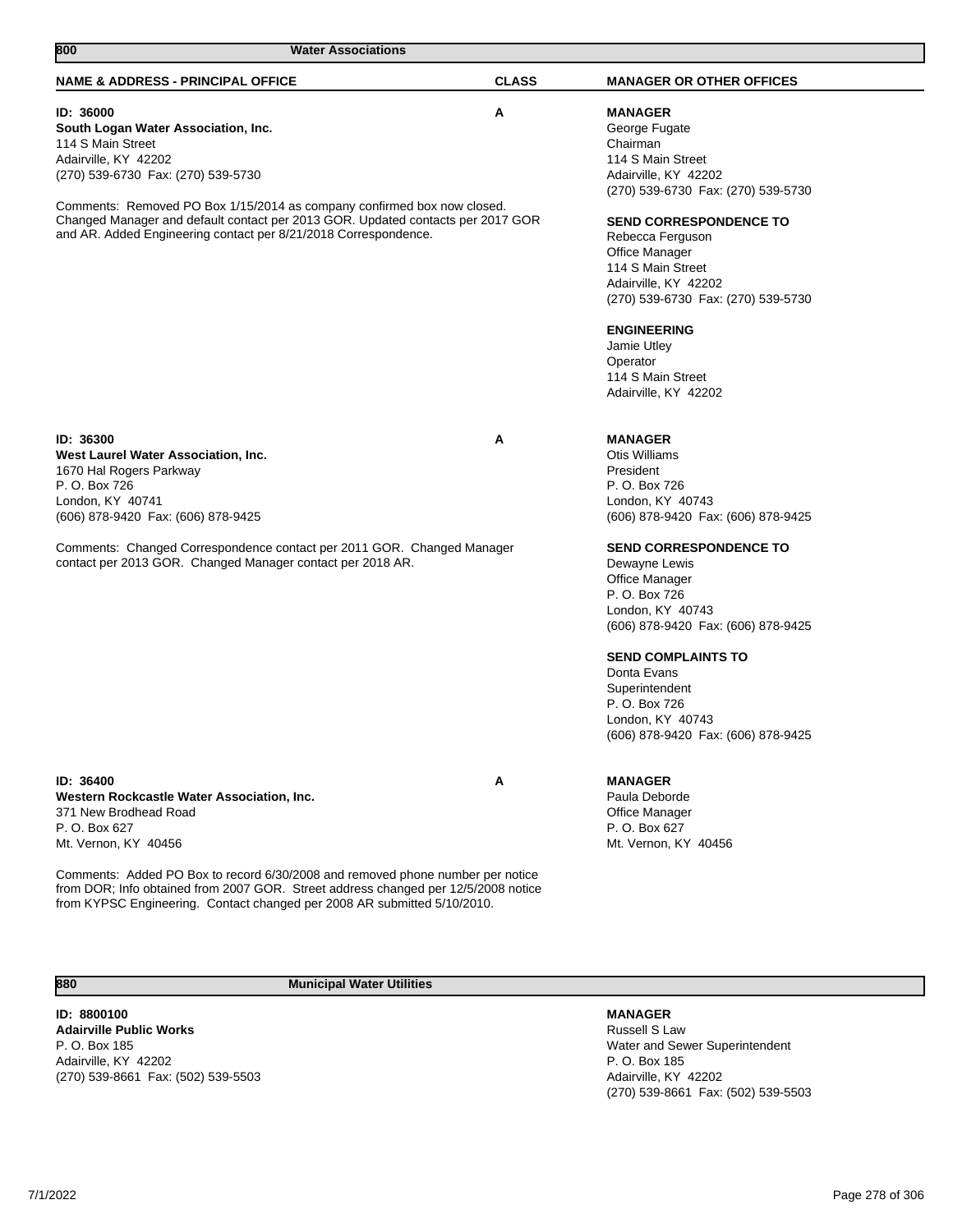| 800<br><b>Water Associations</b>                                                                                                                                                                                                                                                                                                                                              |              |                                                                                                                                                                                                                                                                                                                                                                                                                               |
|-------------------------------------------------------------------------------------------------------------------------------------------------------------------------------------------------------------------------------------------------------------------------------------------------------------------------------------------------------------------------------|--------------|-------------------------------------------------------------------------------------------------------------------------------------------------------------------------------------------------------------------------------------------------------------------------------------------------------------------------------------------------------------------------------------------------------------------------------|
| <b>NAME &amp; ADDRESS - PRINCIPAL OFFICE</b>                                                                                                                                                                                                                                                                                                                                  | <b>CLASS</b> | <b>MANAGER OR OTHER OFFICES</b>                                                                                                                                                                                                                                                                                                                                                                                               |
| ID: 36000<br>South Logan Water Association, Inc.<br>114 S Main Street<br>Adairville, KY 42202<br>(270) 539-6730 Fax: (270) 539-5730<br>Comments: Removed PO Box 1/15/2014 as company confirmed box now closed.<br>Changed Manager and default contact per 2013 GOR. Updated contacts per 2017 GOR<br>and AR. Added Engineering contact per 8/21/2018 Correspondence.          | Α            | <b>MANAGER</b><br>George Fugate<br>Chairman<br>114 S Main Street<br>Adairville, KY 42202<br>(270) 539-6730 Fax: (270) 539-5730<br><b>SEND CORRESPONDENCE TO</b><br>Rebecca Ferguson<br>Office Manager<br>114 S Main Street<br>Adairville, KY 42202<br>(270) 539-6730 Fax: (270) 539-5730<br><b>ENGINEERING</b><br>Jamie Utley<br>Operator<br>114 S Main Street<br>Adairville, KY 42202                                        |
| ID: 36300<br>West Laurel Water Association, Inc.<br>1670 Hal Rogers Parkway<br>P. O. Box 726<br>London, KY 40741<br>(606) 878-9420 Fax: (606) 878-9425<br>Comments: Changed Correspondence contact per 2011 GOR. Changed Manager<br>contact per 2013 GOR. Changed Manager contact per 2018 AR.                                                                                | A            | <b>MANAGER</b><br><b>Otis Williams</b><br>President<br>P. O. Box 726<br>London, KY 40743<br>(606) 878-9420 Fax: (606) 878-9425<br><b>SEND CORRESPONDENCE TO</b><br>Dewayne Lewis<br><b>Office Manager</b><br>P. O. Box 726<br>London, KY 40743<br>(606) 878-9420 Fax: (606) 878-9425<br><b>SEND COMPLAINTS TO</b><br>Donta Evans<br>Superintendent<br>P. O. Box 726<br>London, KY 40743<br>(606) 878-9420 Fax: (606) 878-9425 |
| ID: 36400<br>Western Rockcastle Water Association, Inc.<br>371 New Brodhead Road<br>P. O. Box 627<br>Mt. Vernon, KY 40456<br>Comments: Added PO Box to record 6/30/2008 and removed phone number per notice<br>from DOR; Info obtained from 2007 GOR. Street address changed per 12/5/2008 notice<br>from KYPSC Engineering. Contact changed per 2008 AR submitted 5/10/2010. | Α            | <b>MANAGER</b><br>Paula Deborde<br>Office Manager<br>P. O. Box 627<br>Mt. Vernon, KY 40456                                                                                                                                                                                                                                                                                                                                    |
| <b>Municipal Water Utilities</b><br>880                                                                                                                                                                                                                                                                                                                                       |              |                                                                                                                                                                                                                                                                                                                                                                                                                               |

**ID: 8800100 Adairville Public Works** P. O. Box 185 Adairville, KY 42202 (270) 539-8661 Fax: (502) 539-5503

## **MANAGER**

Russell S Law Water and Sewer Superintendent P. O. Box 185 Adairville, KY 42202 (270) 539-8661 Fax: (502) 539-5503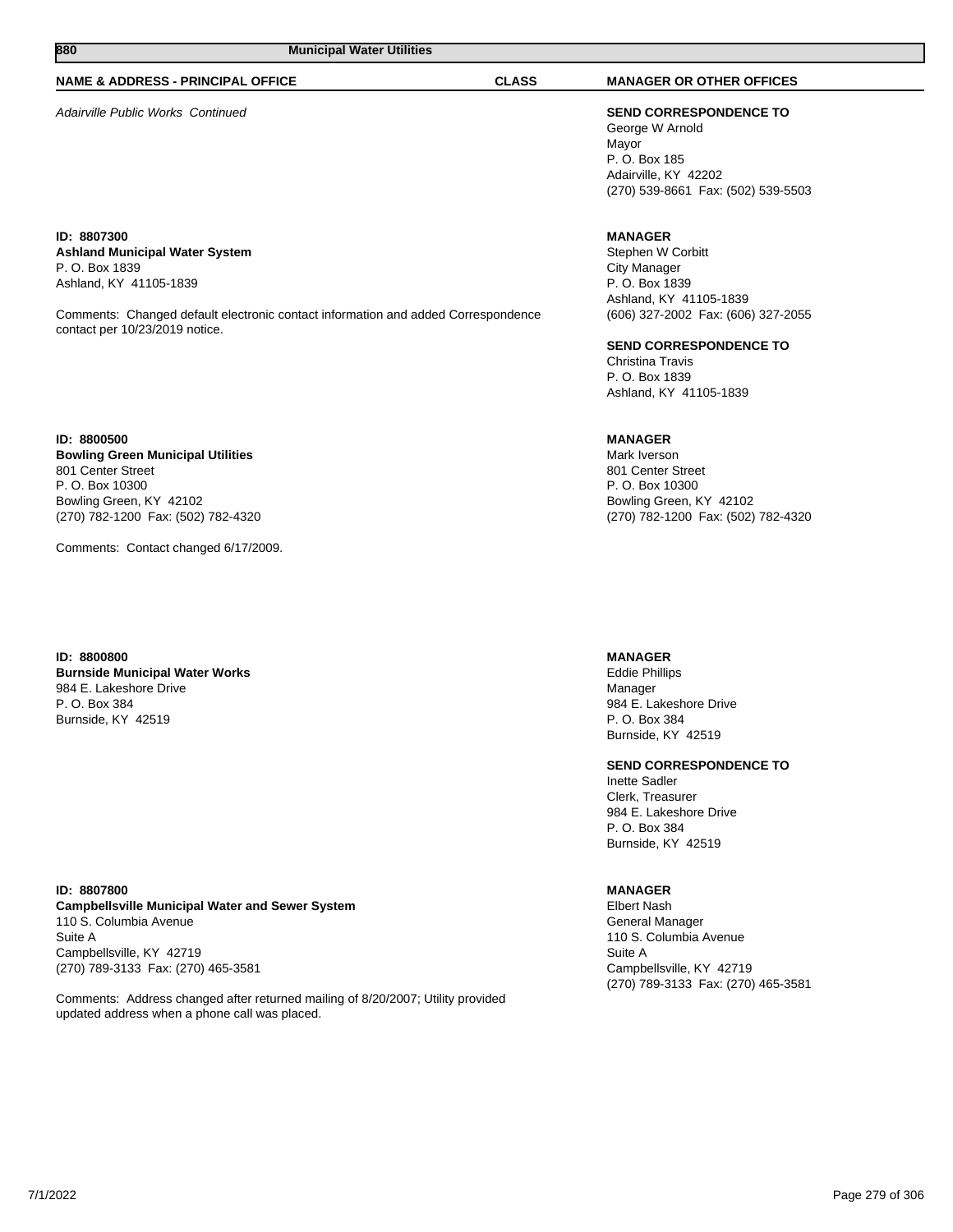#### **NAME & ADDRESS - PRINCIPAL OFFICE CLASS MANAGER OR OTHER OFFICES**

Adairville Public Works Continued **SEND CORRESPONDENCE TO**

**ID: 8807300 Ashland Municipal Water System** P. O. Box 1839 Ashland, KY 41105-1839

Comments: Changed default electronic contact information and added Correspondence contact per 10/23/2019 notice.

**ID: 8800500 Bowling Green Municipal Utilities** 801 Center Street P. O. Box 10300 Bowling Green, KY 42102 (270) 782-1200 Fax: (502) 782-4320

Comments: Contact changed 6/17/2009.

**ID: 8800800 Burnside Municipal Water Works** 984 E. Lakeshore Drive P. O. Box 384 Burnside, KY 42519

**ID: 8807800 Campbellsville Municipal Water and Sewer System** 110 S. Columbia Avenue Suite A Campbellsville, KY 42719 (270) 789-3133 Fax: (270) 465-3581

Comments: Address changed after returned mailing of 8/20/2007; Utility provided updated address when a phone call was placed.

George W Arnold Mayor P. O. Box 185 Adairville, KY 42202 (270) 539-8661 Fax: (502) 539-5503

## **MANAGER**

Stephen W Corbitt City Manager P. O. Box 1839 Ashland, KY 41105-1839 (606) 327-2002 Fax: (606) 327-2055

#### **SEND CORRESPONDENCE TO**

Christina Travis P. O. Box 1839 Ashland, KY 41105-1839

#### **MANAGER**

Mark Iverson 801 Center Street P. O. Box 10300 Bowling Green, KY 42102 (270) 782-1200 Fax: (502) 782-4320

#### **MANAGER**

Eddie Phillips Manager 984 E. Lakeshore Drive P. O. Box 384 Burnside, KY 42519

#### **SEND CORRESPONDENCE TO**

Inette Sadler Clerk, Treasurer 984 E. Lakeshore Drive P. O. Box 384 Burnside, KY 42519

### **MANAGER**

Elbert Nash General Manager 110 S. Columbia Avenue Suite A Campbellsville, KY 42719 (270) 789-3133 Fax: (270) 465-3581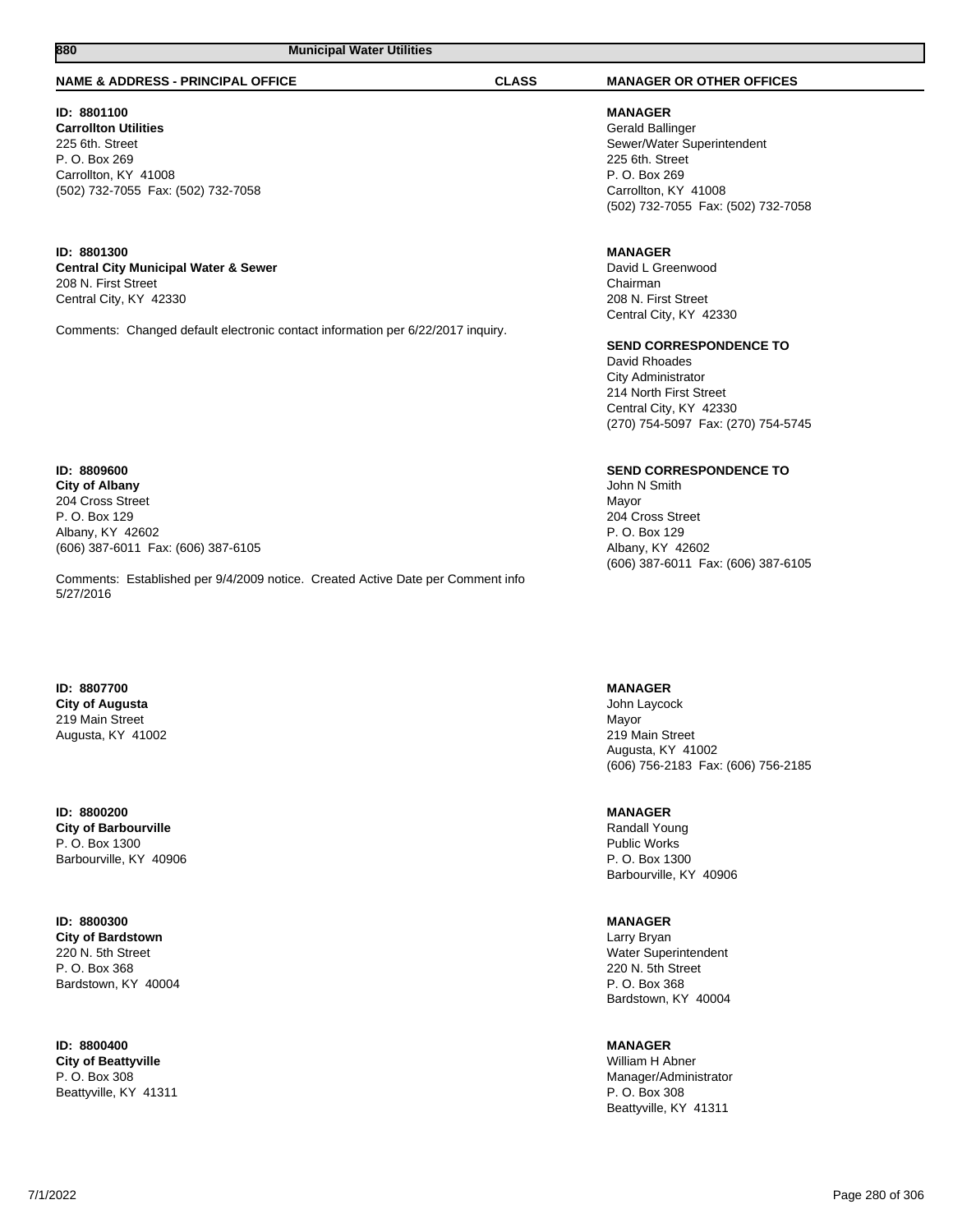#### **NAME & ADDRESS - PRINCIPAL OFFICE CLASS MANAGER OR OTHER OFFICES**

#### **ID: 8801100 Carrollton Utilities** 225 6th. Street P. O. Box 269 Carrollton, KY 41008 (502) 732-7055 Fax: (502) 732-7058

#### **ID: 8801300 Central City Municipal Water & Sewer** 208 N. First Street Central City, KY 42330

Comments: Changed default electronic contact information per 6/22/2017 inquiry.

#### **ID: 8809600 City of Albany** 204 Cross Street P. O. Box 129 Albany, KY 42602 (606) 387-6011 Fax: (606) 387-6105

Comments: Established per 9/4/2009 notice. Created Active Date per Comment info 5/27/2016

#### **ID: 8807700 City of Augusta** 219 Main Street Augusta, KY 41002

#### **ID: 8800200 City of Barbourville** P. O. Box 1300 Barbourville, KY 40906

#### **ID: 8800300 City of Bardstown** 220 N. 5th Street P. O. Box 368

Bardstown, KY 40004

**ID: 8800400 City of Beattyville** P. O. Box 308

Beattyville, KY 41311

#### **MANAGER** Gerald Ballinger Sewer/Water Superintendent 225 6th. Street P. O. Box 269 Carrollton, KY 41008 (502) 732-7055 Fax: (502) 732-7058

## **MANAGER**

David L Greenwood Chairman 208 N. First Street Central City, KY 42330

#### **SEND CORRESPONDENCE TO**

David Rhoades City Administrator 214 North First Street Central City, KY 42330 (270) 754-5097 Fax: (270) 754-5745

## **SEND CORRESPONDENCE TO**

John N Smith Mayor 204 Cross Street P. O. Box 129 Albany, KY 42602 (606) 387-6011 Fax: (606) 387-6105

## **MANAGER**

John Laycock Mayor 219 Main Street Augusta, KY 41002 (606) 756-2183 Fax: (606) 756-2185

## **MANAGER**

Randall Young Public Works P. O. Box 1300 Barbourville, KY 40906

## **MANAGER**

Larry Bryan Water Superintendent 220 N. 5th Street P. O. Box 368 Bardstown, KY 40004

## **MANAGER**

William H Abner Manager/Administrator P. O. Box 308 Beattyville, KY 41311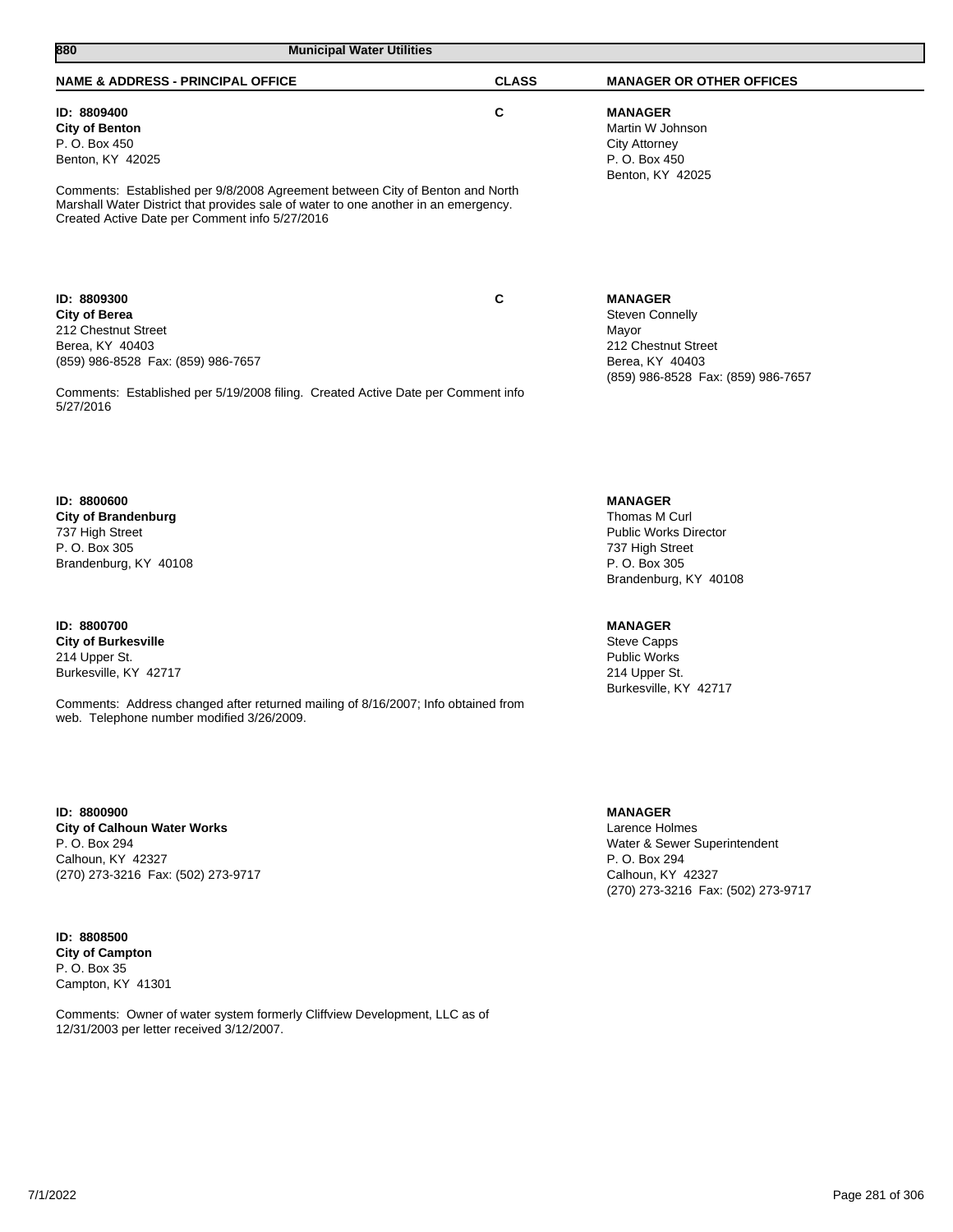| 880<br><b>Municipal Water Utilities</b>                                                                                                                                                                                                                                                             |              |                                                                                                                                              |
|-----------------------------------------------------------------------------------------------------------------------------------------------------------------------------------------------------------------------------------------------------------------------------------------------------|--------------|----------------------------------------------------------------------------------------------------------------------------------------------|
| <b>NAME &amp; ADDRESS - PRINCIPAL OFFICE</b>                                                                                                                                                                                                                                                        | <b>CLASS</b> | <b>MANAGER OR OTHER OFFICES</b>                                                                                                              |
| ID: 8809400<br><b>City of Benton</b><br>P. O. Box 450<br>Benton, KY 42025<br>Comments: Established per 9/8/2008 Agreement between City of Benton and North<br>Marshall Water District that provides sale of water to one another in an emergency.<br>Created Active Date per Comment info 5/27/2016 | C            | <b>MANAGER</b><br>Martin W Johnson<br><b>City Attorney</b><br>P. O. Box 450<br>Benton, KY 42025                                              |
| ID: 8809300<br><b>City of Berea</b><br>212 Chestnut Street<br>Berea, KY 40403<br>(859) 986-8528 Fax: (859) 986-7657<br>Comments: Established per 5/19/2008 filing. Created Active Date per Comment info<br>5/27/2016                                                                                | C            | <b>MANAGER</b><br><b>Steven Connelly</b><br>Mayor<br>212 Chestnut Street<br>Berea, KY 40403<br>(859) 986-8528 Fax: (859) 986-7657            |
| ID: 8800600<br><b>City of Brandenburg</b><br>737 High Street<br>P. O. Box 305<br>Brandenburg, KY 40108                                                                                                                                                                                              |              | <b>MANAGER</b><br>Thomas M Curl<br><b>Public Works Director</b><br>737 High Street<br>P. O. Box 305<br>Brandenburg, KY 40108                 |
| ID: 8800700<br><b>City of Burkesville</b><br>214 Upper St.<br>Burkesville, KY 42717<br>Comments: Address changed after returned mailing of 8/16/2007; Info obtained from<br>web. Telephone number modified 3/26/2009.                                                                               |              | <b>MANAGER</b><br><b>Steve Capps</b><br><b>Public Works</b><br>214 Upper St.<br>Burkesville, KY 42717                                        |
| ID: 8800900<br><b>City of Calhoun Water Works</b><br>P. O. Box 294<br>Calhoun, KY 42327<br>(270) 273-3216 Fax: (502) 273-9717                                                                                                                                                                       |              | <b>MANAGER</b><br>Larence Holmes<br>Water & Sewer Superintendent<br>P. O. Box 294<br>Calhoun, KY 42327<br>(270) 273-3216 Fax: (502) 273-9717 |

**ID: 8808500 City of Campton** P. O. Box 35 Campton, KY 41301

Comments: Owner of water system formerly Cliffview Development, LLC as of 12/31/2003 per letter received 3/12/2007.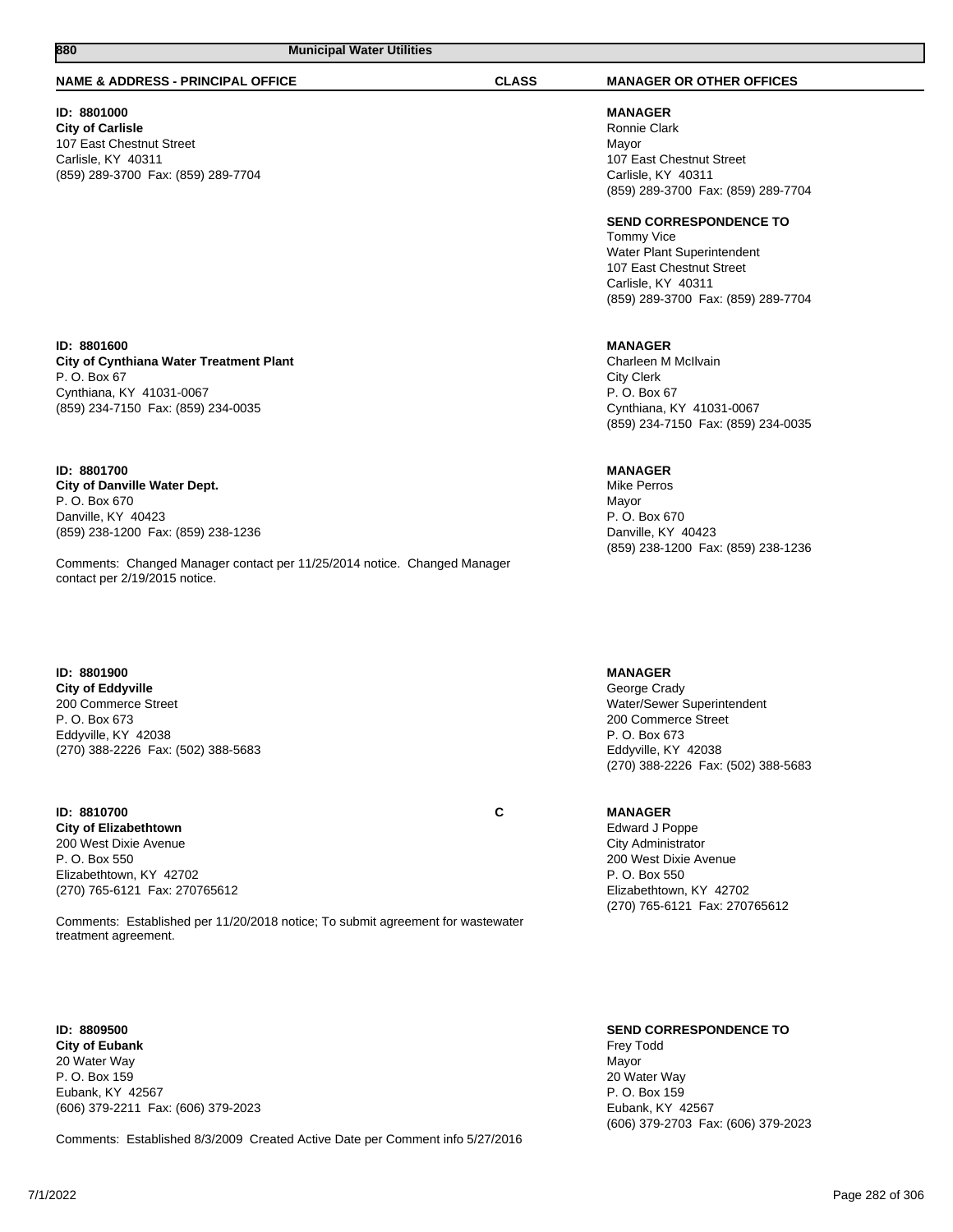#### **NAME & ADDRESS - PRINCIPAL OFFICE CLASS MANAGER OR OTHER OFFICES**

#### **ID: 8801000**

**City of Carlisle** 107 East Chestnut Street Carlisle, KY 40311 (859) 289-3700 Fax: (859) 289-7704

**MANAGER** Ronnie Clark Mayor 107 East Chestnut Street Carlisle, KY 40311 (859) 289-3700 Fax: (859) 289-7704

**SEND CORRESPONDENCE TO**

Tommy Vice Water Plant Superintendent 107 East Chestnut Street Carlisle, KY 40311 (859) 289-3700 Fax: (859) 289-7704

#### **MANAGER**

Charleen M McIlvain City Clerk P. O. Box 67 Cynthiana, KY 41031-0067 (859) 234-7150 Fax: (859) 234-0035

#### **MANAGER**

Mike Perros Mayor P. O. Box 670 Danville, KY 40423 (859) 238-1200 Fax: (859) 238-1236

#### **MANAGER**

George Crady Water/Sewer Superintendent 200 Commerce Street P. O. Box 673 Eddyville, KY 42038 (270) 388-2226 Fax: (502) 388-5683

#### **MANAGER**

Edward J Poppe City Administrator 200 West Dixie Avenue P. O. Box 550 Elizabethtown, KY 42702 (270) 765-6121 Fax: 270765612

#### **ID: 8801600 City of Cynthiana Water Treatment Plant** P. O. Box 67 Cynthiana, KY 41031-0067 (859) 234-7150 Fax: (859) 234-0035

**ID: 8801700 City of Danville Water Dept.** P. O. Box 670 Danville, KY 40423 (859) 238-1200 Fax: (859) 238-1236

Comments: Changed Manager contact per 11/25/2014 notice. Changed Manager contact per 2/19/2015 notice.

#### **ID: 8801900 City of Eddyville** 200 Commerce Street P. O. Box 673 Eddyville, KY 42038 (270) 388-2226 Fax: (502) 388-5683

# **ID: 8810700 C**

**City of Elizabethtown** 200 West Dixie Avenue P. O. Box 550 Elizabethtown, KY 42702 (270) 765-6121 Fax: 270765612

Comments: Established per 11/20/2018 notice; To submit agreement for wastewater treatment agreement.

## **ID: 8809500**

**City of Eubank** 20 Water Way P. O. Box 159 Eubank, KY 42567 (606) 379-2211 Fax: (606) 379-2023

Comments: Established 8/3/2009 Created Active Date per Comment info 5/27/2016

**SEND CORRESPONDENCE TO** Frey Todd Mayor 20 Water Way P. O. Box 159 Eubank, KY 42567 (606) 379-2703 Fax: (606) 379-2023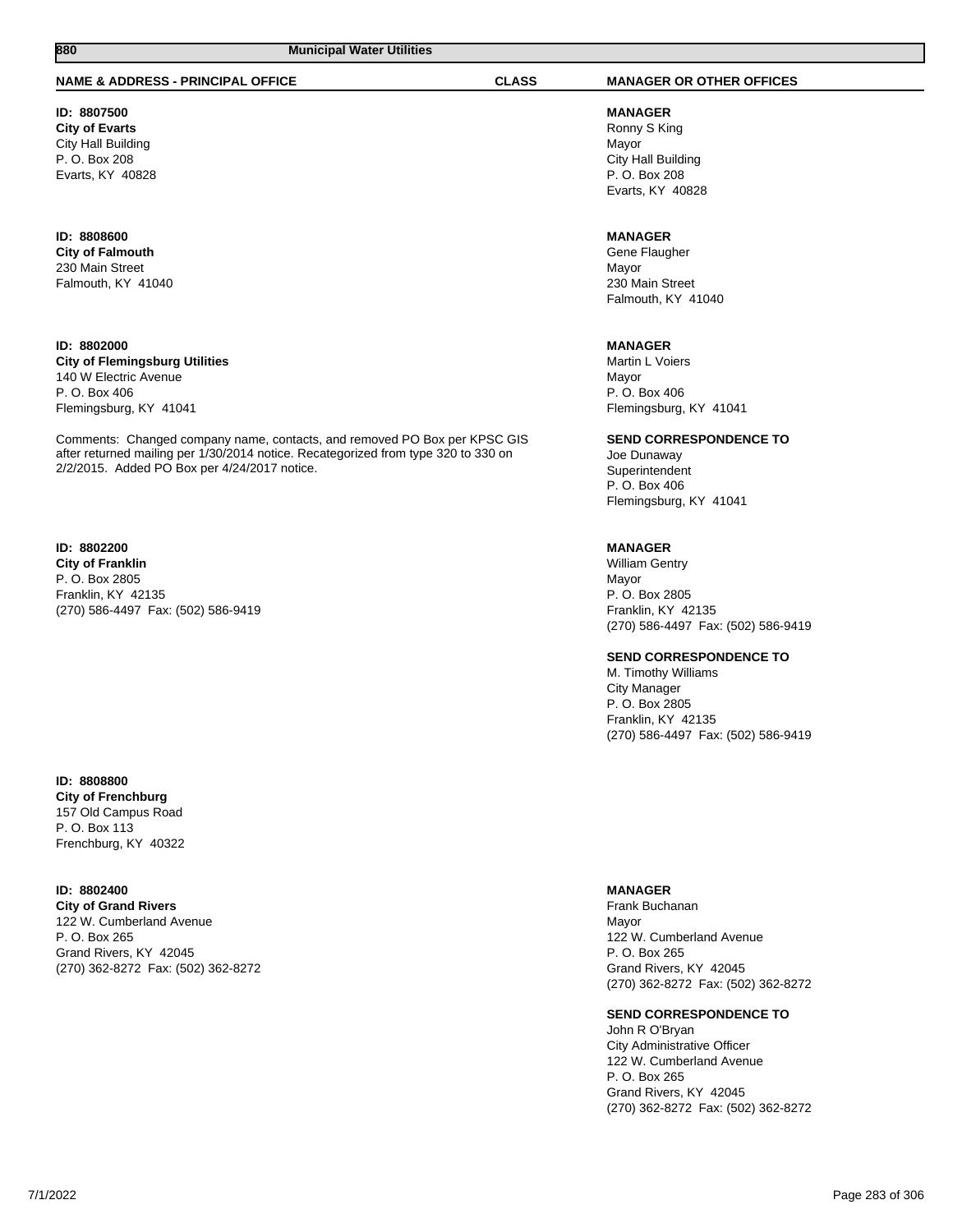#### **NAME & ADDRESS - PRINCIPAL OFFICE CLASS MANAGER OR OTHER OFFICES**

# **ID: 8807500**

**City of Evarts** City Hall Building P. O. Box 208 Evarts, KY 40828

# **ID: 8808600 City of Falmouth**

230 Main Street Falmouth, KY 41040

## **ID: 8802000**

**City of Flemingsburg Utilities** 140 W Electric Avenue P. O. Box 406 Flemingsburg, KY 41041

Comments: Changed company name, contacts, and removed PO Box per KPSC GIS after returned mailing per 1/30/2014 notice. Recategorized from type 320 to 330 on 2/2/2015. Added PO Box per 4/24/2017 notice.

## **ID: 8802200**

**City of Franklin** P. O. Box 2805 Franklin, KY 42135 (270) 586-4497 Fax: (502) 586-9419

#### **ID: 8808800 City of Frenchburg** 157 Old Campus Road

P. O. Box 113 Frenchburg, KY 40322

#### **ID: 8802400**

**City of Grand Rivers** 122 W. Cumberland Avenue P. O. Box 265 Grand Rivers, KY 42045 (270) 362-8272 Fax: (502) 362-8272

**MANAGER** Ronny S King Mayor City Hall Building P. O. Box 208 Evarts, KY 40828

#### **MANAGER**

Gene Flaugher Mayor 230 Main Street Falmouth, KY 41040

## **MANAGER**

Martin L Voiers Mayor P. O. Box 406 Flemingsburg, KY 41041

#### **SEND CORRESPONDENCE TO**

Joe Dunaway Superintendent P. O. Box 406 Flemingsburg, KY 41041

#### **MANAGER**

William Gentry Mayor P. O. Box 2805 Franklin, KY 42135 (270) 586-4497 Fax: (502) 586-9419

#### **SEND CORRESPONDENCE TO**

M. Timothy Williams City Manager P. O. Box 2805 Franklin, KY 42135 (270) 586-4497 Fax: (502) 586-9419

#### **MANAGER**

Frank Buchanan Mayor 122 W. Cumberland Avenue P. O. Box 265 Grand Rivers, KY 42045 (270) 362-8272 Fax: (502) 362-8272

#### **SEND CORRESPONDENCE TO**

John R O'Bryan City Administrative Officer 122 W. Cumberland Avenue P. O. Box 265 Grand Rivers, KY 42045 (270) 362-8272 Fax: (502) 362-8272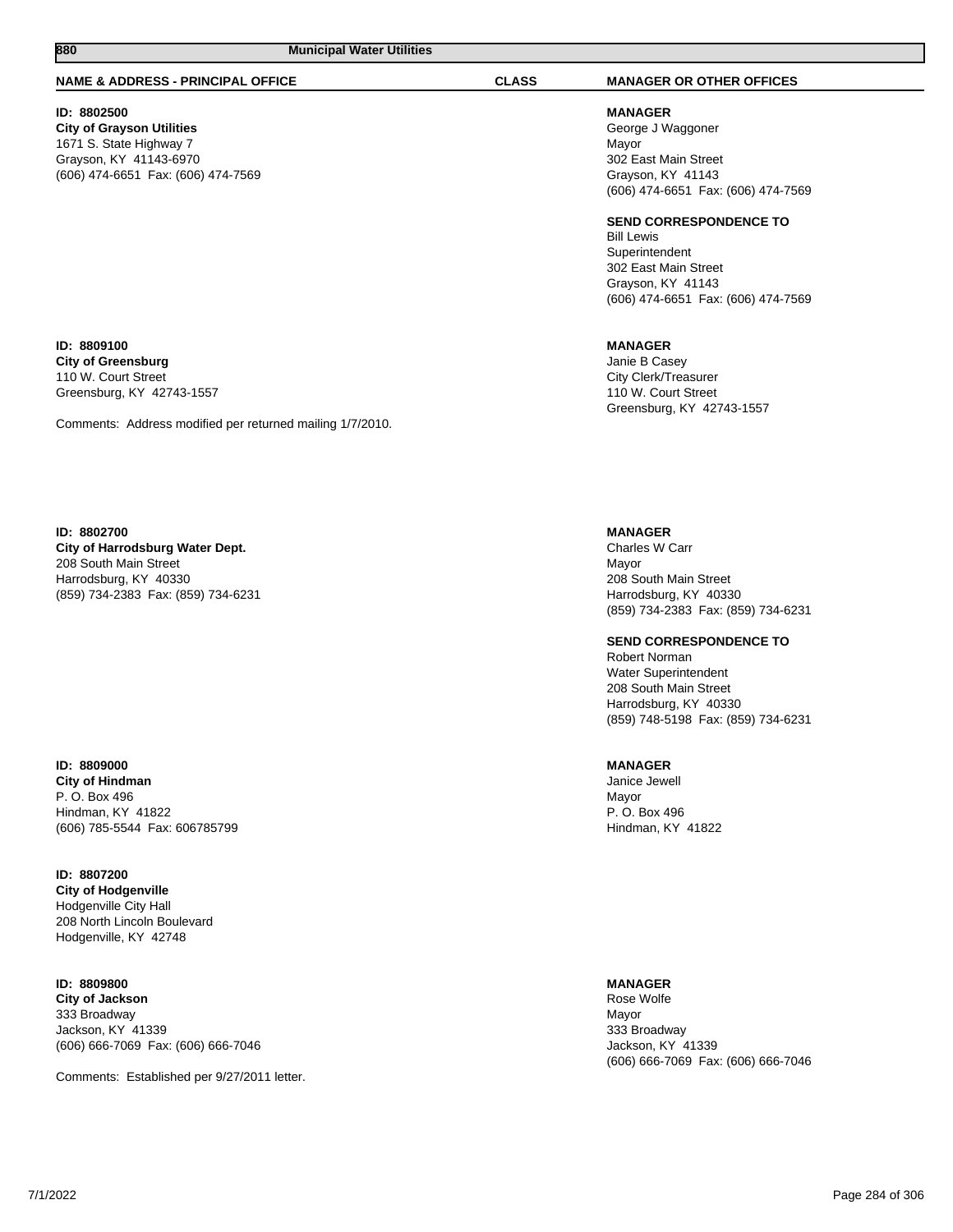#### **NAME & ADDRESS - PRINCIPAL OFFICE CLASS MANAGER OR OTHER OFFICES**

#### **ID: 8802500**

**ID: 8809100 City of Greensburg** 110 W. Court Street Greensburg, KY 42743-1557

**City of Grayson Utilities** 1671 S. State Highway 7 Grayson, KY 41143-6970 (606) 474-6651 Fax: (606) 474-7569

**MANAGER** George J Waggoner Mayor 302 East Main Street Grayson, KY 41143 (606) 474-6651 Fax: (606) 474-7569

#### **SEND CORRESPONDENCE TO**

Bill Lewis Superintendent 302 East Main Street Grayson, KY 41143 (606) 474-6651 Fax: (606) 474-7569

**MANAGER**

Janie B Casey City Clerk/Treasurer 110 W. Court Street Greensburg, KY 42743-1557

**ID: 8802700 City of Harrodsburg Water Dept.**

Comments: Address modified per returned mailing 1/7/2010.

208 South Main Street Harrodsburg, KY 40330 (859) 734-2383 Fax: (859) 734-6231

**ID: 8809000 City of Hindman** P. O. Box 496 Hindman, KY 41822 (606) 785-5544 Fax: 606785799

**ID: 8807200 City of Hodgenville** Hodgenville City Hall 208 North Lincoln Boulevard Hodgenville, KY 42748

**ID: 8809800**

**City of Jackson** 333 Broadway Jackson, KY 41339 (606) 666-7069 Fax: (606) 666-7046

Comments: Established per 9/27/2011 letter.

**MANAGER**

Charles W Carr Mayor 208 South Main Street Harrodsburg, KY 40330 (859) 734-2383 Fax: (859) 734-6231

**SEND CORRESPONDENCE TO** Robert Norman Water Superintendent 208 South Main Street Harrodsburg, KY 40330 (859) 748-5198 Fax: (859) 734-6231

#### **MANAGER**

Janice Jewell Mayor P. O. Box 496 Hindman, KY 41822

**MANAGER**

Rose Wolfe Mayor 333 Broadway Jackson, KY 41339 (606) 666-7069 Fax: (606) 666-7046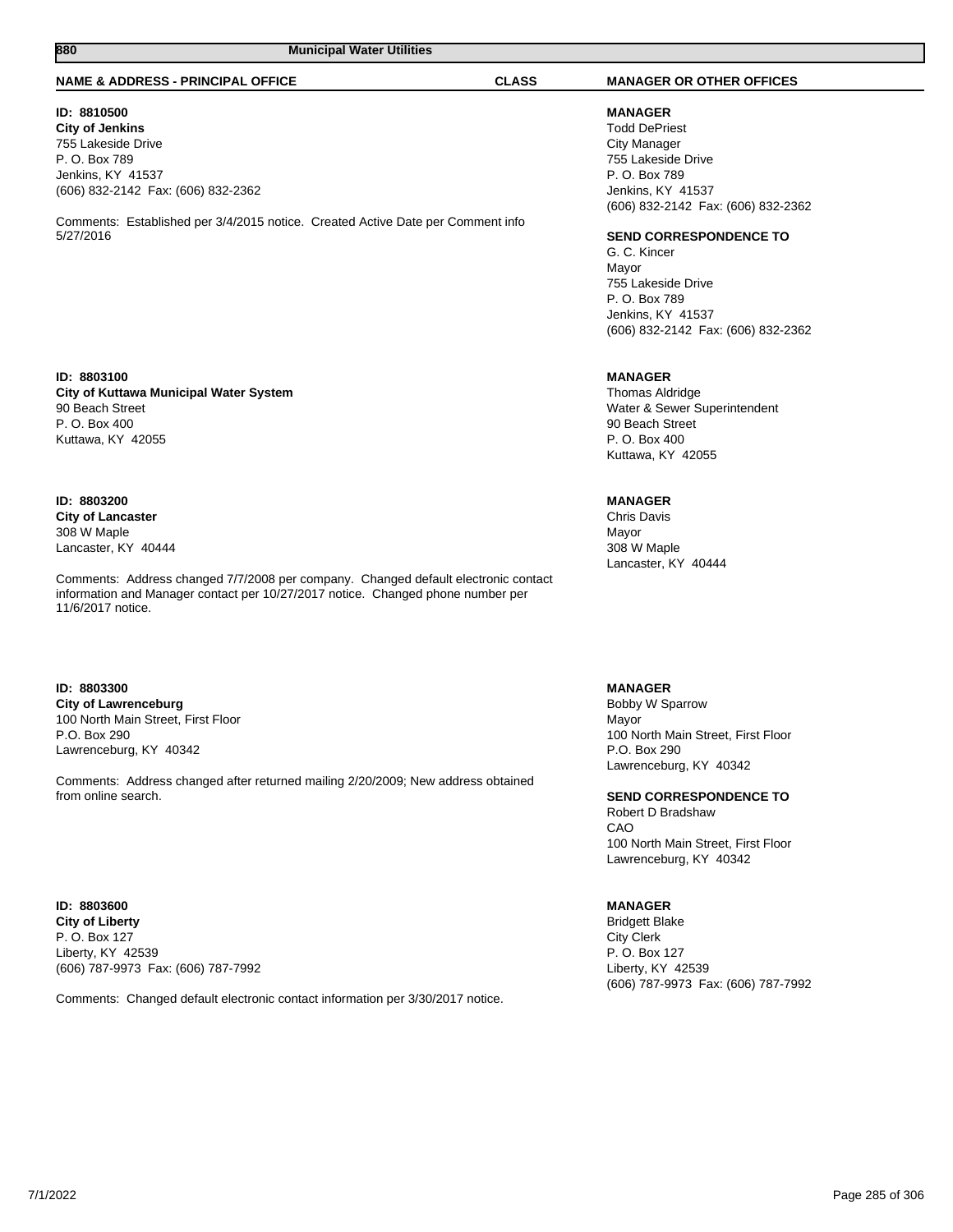#### **NAME & ADDRESS - PRINCIPAL OFFICE CLASS MANAGER OR OTHER OFFICES**

#### **ID: 8810500**

**City of Jenkins** 755 Lakeside Drive P. O. Box 789 Jenkins, KY 41537 (606) 832-2142 Fax: (606) 832-2362

Comments: Established per 3/4/2015 notice. Created Active Date per Comment info 5/27/2016

#### **ID: 8803100 City of Kuttawa Municipal Water System** 90 Beach Street P. O. Box 400 Kuttawa, KY 42055

#### **ID: 8803200 City of Lancaster** 308 W Maple Lancaster, KY 40444

Comments: Address changed 7/7/2008 per company. Changed default electronic contact information and Manager contact per 10/27/2017 notice. Changed phone number per 11/6/2017 notice.

#### **ID: 8803300 City of Lawrenceburg** 100 North Main Street, First Floor P.O. Box 290 Lawrenceburg, KY 40342

Comments: Address changed after returned mailing 2/20/2009; New address obtained from online search.

#### **ID: 8803600 City of Liberty** P. O. Box 127 Liberty, KY 42539 (606) 787-9973 Fax: (606) 787-7992

Comments: Changed default electronic contact information per 3/30/2017 notice.

# **MANAGER**

Todd DePriest City Manager 755 Lakeside Drive P. O. Box 789 Jenkins, KY 41537 (606) 832-2142 Fax: (606) 832-2362

#### **SEND CORRESPONDENCE TO**

G. C. Kincer Mayor 755 Lakeside Drive P. O. Box 789 Jenkins, KY 41537 (606) 832-2142 Fax: (606) 832-2362

## **MANAGER**

Thomas Aldridge Water & Sewer Superintendent 90 Beach Street P. O. Box 400 Kuttawa, KY 42055

## **MANAGER**

Chris Davis Mayor 308 W Maple Lancaster, KY 40444

#### **MANAGER**

Bobby W Sparrow Mayor 100 North Main Street, First Floor P.O. Box 290 Lawrenceburg, KY 40342

**SEND CORRESPONDENCE TO** Robert D Bradshaw CAO

### 100 North Main Street, First Floor Lawrenceburg, KY 40342

## **MANAGER**

Bridgett Blake City Clerk P. O. Box 127 Liberty, KY 42539 (606) 787-9973 Fax: (606) 787-7992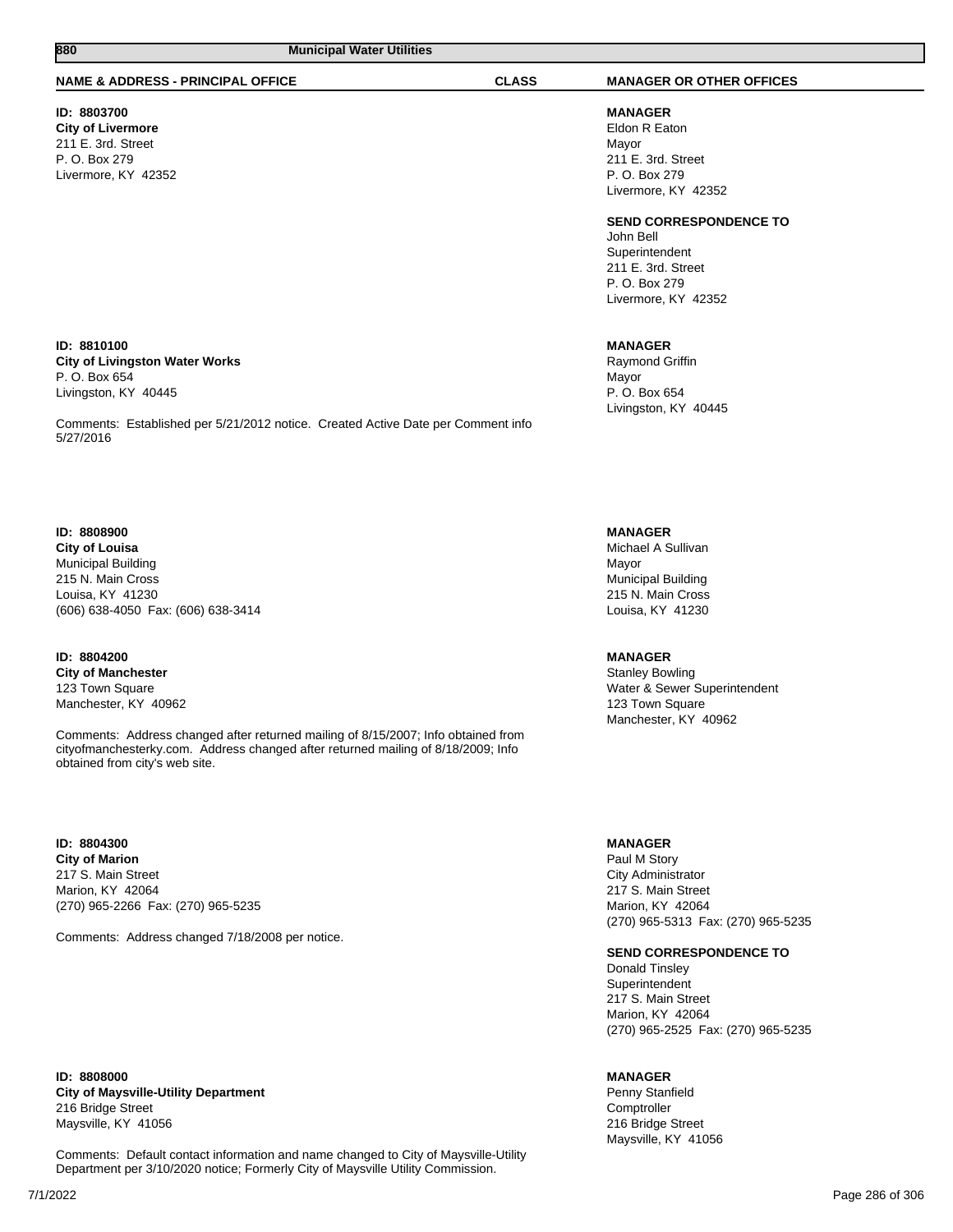#### **NAME & ADDRESS - PRINCIPAL OFFICE CLASS MANAGER OR OTHER OFFICES**

## **ID: 8803700**

**City of Livermore** 211 E. 3rd. Street P. O. Box 279 Livermore, KY 42352

**MANAGER** Eldon R Eaton Mayor 211 E. 3rd. Street P. O. Box 279 Livermore, KY 42352

**SEND CORRESPONDENCE TO**

John Bell Superintendent 211 E. 3rd. Street P. O. Box 279 Livermore, KY 42352

#### **MANAGER**

Raymond Griffin Mayor P. O. Box 654 Livingston, KY 40445

**MANAGER**

Michael A Sullivan Mayor Municipal Building 215 N. Main Cross Louisa, KY 41230

#### **MANAGER**

Stanley Bowling Water & Sewer Superintendent 123 Town Square Manchester, KY 40962

### **MANAGER**

Paul M Story City Administrator 217 S. Main Street Marion, KY 42064 (270) 965-5313 Fax: (270) 965-5235

#### **SEND CORRESPONDENCE TO**

Donald Tinsley Superintendent 217 S. Main Street Marion, KY 42064 (270) 965-2525 Fax: (270) 965-5235

#### **MANAGER**

Penny Stanfield **Comptroller** 216 Bridge Street Maysville, KY 41056

#### **ID: 8810100 City of Livingston Water Works** P. O. Box 654 Livingston, KY 40445

Comments: Established per 5/21/2012 notice. Created Active Date per Comment info 5/27/2016

#### **ID: 8808900**

**City of Louisa** Municipal Building 215 N. Main Cross Louisa, KY 41230 (606) 638-4050 Fax: (606) 638-3414

### **ID: 8804200 City of Manchester** 123 Town Square

Manchester, KY 40962

Comments: Address changed after returned mailing of 8/15/2007; Info obtained from cityofmanchesterky.com. Address changed after returned mailing of 8/18/2009; Info obtained from city's web site.

#### **ID: 8804300 City of Marion** 217 S. Main Street Marion, KY 42064 (270) 965-2266 Fax: (270) 965-5235

Comments: Address changed 7/18/2008 per notice.

**ID: 8808000 City of Maysville-Utility Department** 216 Bridge Street Maysville, KY 41056

Comments: Default contact information and name changed to City of Maysville-Utility Department per 3/10/2020 notice; Formerly City of Maysville Utility Commission.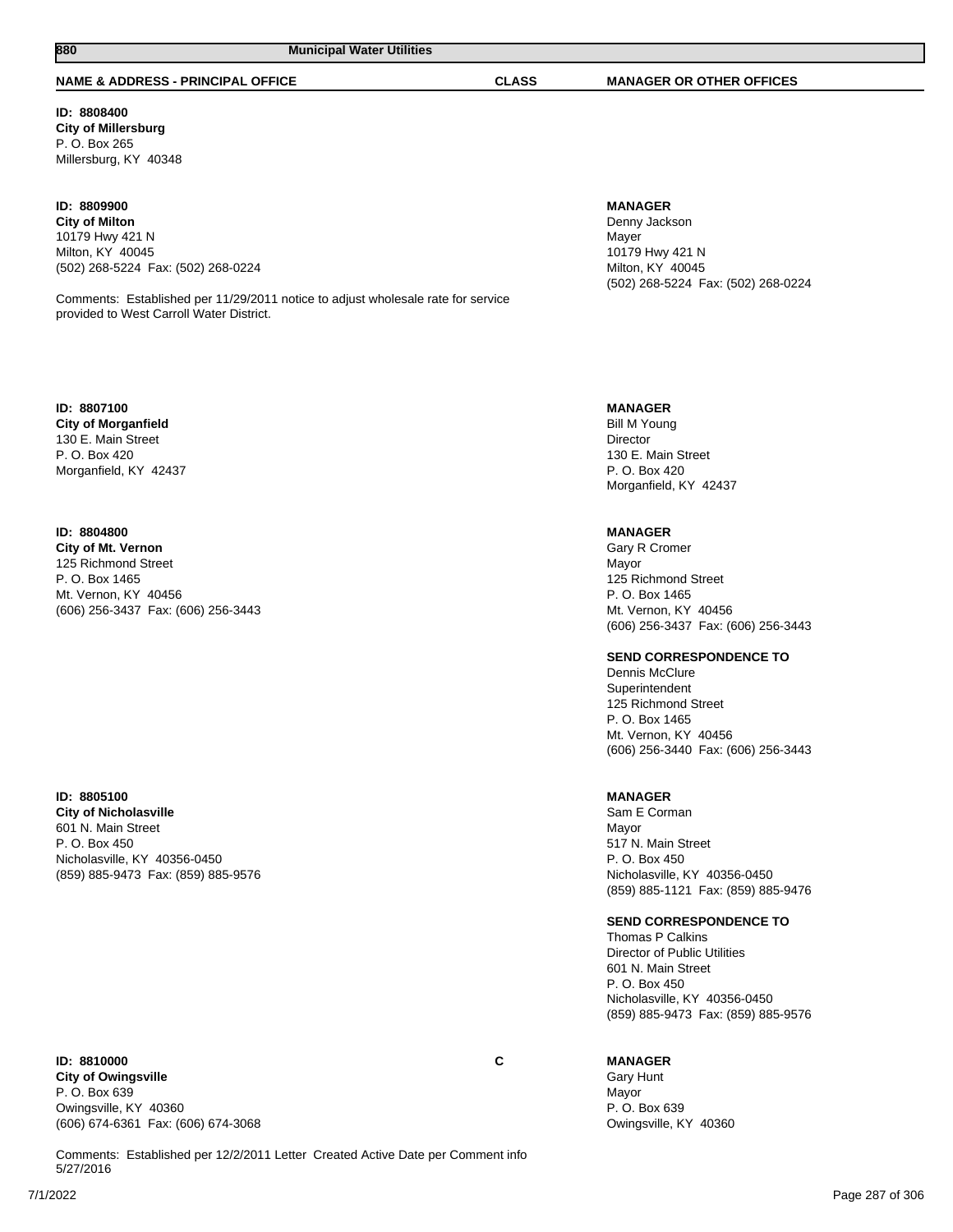## **NAME & ADDRESS - PRINCIPAL OFFICE CLASS MANAGER OR OTHER OFFICES**

**880 Municipal Water Utilities** 

**ID: 8808400 City of Millersburg** P. O. Box 265 Millersburg, KY 40348

## **ID: 8809900**

**City of Milton** 10179 Hwy 421 N Milton, KY 40045 (502) 268-5224 Fax: (502) 268-0224

Comments: Established per 11/29/2011 notice to adjust wholesale rate for service provided to West Carroll Water District.

#### **ID: 8807100 City of Morganfield** 130 E. Main Street P. O. Box 420 Morganfield, KY 42437

## **ID: 8804800**

**City of Mt. Vernon** 125 Richmond Street P. O. Box 1465 Mt. Vernon, KY 40456 (606) 256-3437 Fax: (606) 256-3443

#### **ID: 8805100 City of Nicholasville**

601 N. Main Street P. O. Box 450 Nicholasville, KY 40356-0450 (859) 885-9473 Fax: (859) 885-9576

#### **ID: 8810000 C City of Owingsville** P. O. Box 639 Owingsville, KY 40360 (606) 674-6361 Fax: (606) 674-3068

Comments: Established per 12/2/2011 Letter Created Active Date per Comment info 5/27/2016

## **MANAGER**

Denny Jackson Mayer 10179 Hwy 421 N Milton, KY 40045 (502) 268-5224 Fax: (502) 268-0224

#### **MANAGER**

Bill M Young Director 130 E. Main Street P. O. Box 420 Morganfield, KY 42437

### **MANAGER**

Gary R Cromer Mayor 125 Richmond Street P. O. Box 1465 Mt. Vernon, KY 40456 (606) 256-3437 Fax: (606) 256-3443

#### **SEND CORRESPONDENCE TO**

Dennis McClure Superintendent 125 Richmond Street P. O. Box 1465 Mt. Vernon, KY 40456 (606) 256-3440 Fax: (606) 256-3443

#### **MANAGER**

Sam E Corman Mayor 517 N. Main Street P. O. Box 450 Nicholasville, KY 40356-0450 (859) 885-1121 Fax: (859) 885-9476

#### **SEND CORRESPONDENCE TO**

Thomas P Calkins Director of Public Utilities 601 N. Main Street P. O. Box 450 Nicholasville, KY 40356-0450 (859) 885-9473 Fax: (859) 885-9576

## **MANAGER**

Gary Hunt Mayor P. O. Box 639 Owingsville, KY 40360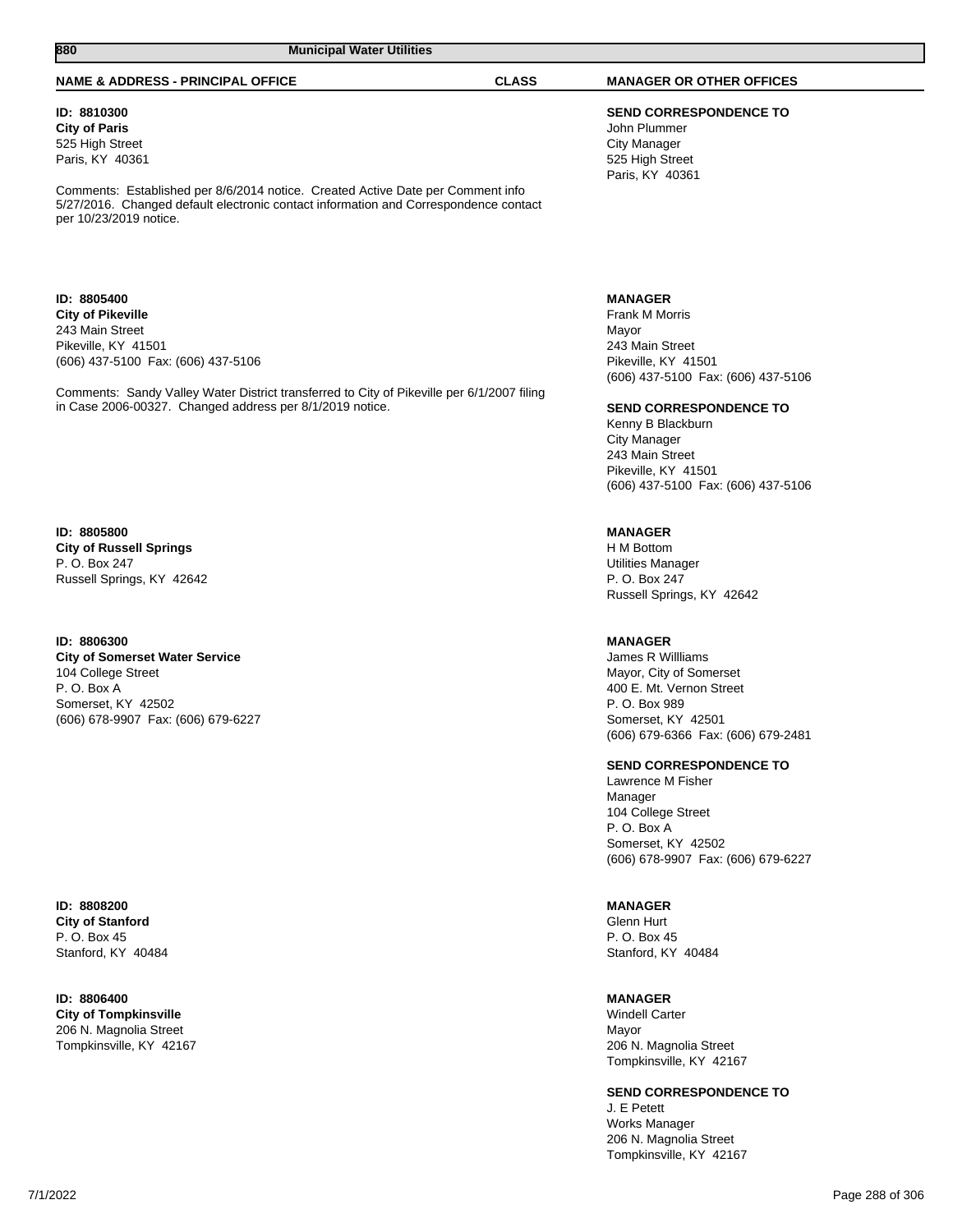#### **NAME & ADDRESS - PRINCIPAL OFFICE CLASS MANAGER OR OTHER OFFICES**

**ID: 8810300 City of Paris** 525 High Street Paris, KY 40361

Comments: Established per 8/6/2014 notice. Created Active Date per Comment info 5/27/2016. Changed default electronic contact information and Correspondence contact per 10/23/2019 notice.

**ID: 8805400 City of Pikeville** 243 Main Street Pikeville, KY 41501 (606) 437-5100 Fax: (606) 437-5106

Comments: Sandy Valley Water District transferred to City of Pikeville per 6/1/2007 filing in Case 2006-00327. Changed address per 8/1/2019 notice.

**ID: 8805800 City of Russell Springs** P. O. Box 247 Russell Springs, KY 42642

#### **ID: 8806300 City of Somerset Water Service** 104 College Street P. O. Box A Somerset, KY 42502 (606) 678-9907 Fax: (606) 679-6227

**ID: 8808200 City of Stanford** P. O. Box 45 Stanford, KY 40484

#### **ID: 8806400 City of Tompkinsville** 206 N. Magnolia Street Tompkinsville, KY 42167

**SEND CORRESPONDENCE TO** John Plummer City Manager 525 High Street Paris, KY 40361

#### **MANAGER**

Frank M Morris Mayor 243 Main Street Pikeville, KY 41501 (606) 437-5100 Fax: (606) 437-5106

#### **SEND CORRESPONDENCE TO**

Kenny B Blackburn City Manager 243 Main Street Pikeville, KY 41501 (606) 437-5100 Fax: (606) 437-5106

## **MANAGER**

H M Bottom Utilities Manager P. O. Box 247 Russell Springs, KY 42642

#### **MANAGER**

James R Willliams Mayor, City of Somerset 400 E. Mt. Vernon Street P. O. Box 989 Somerset, KY 42501 (606) 679-6366 Fax: (606) 679-2481

#### **SEND CORRESPONDENCE TO**

Lawrence M Fisher Manager 104 College Street P. O. Box A Somerset, KY 42502 (606) 678-9907 Fax: (606) 679-6227

#### **MANAGER**

Glenn Hurt P. O. Box 45 Stanford, KY 40484

#### **MANAGER**

Windell Carter Mayor 206 N. Magnolia Street Tompkinsville, KY 42167

#### **SEND CORRESPONDENCE TO**

J. E Petett Works Manager 206 N. Magnolia Street Tompkinsville, KY 42167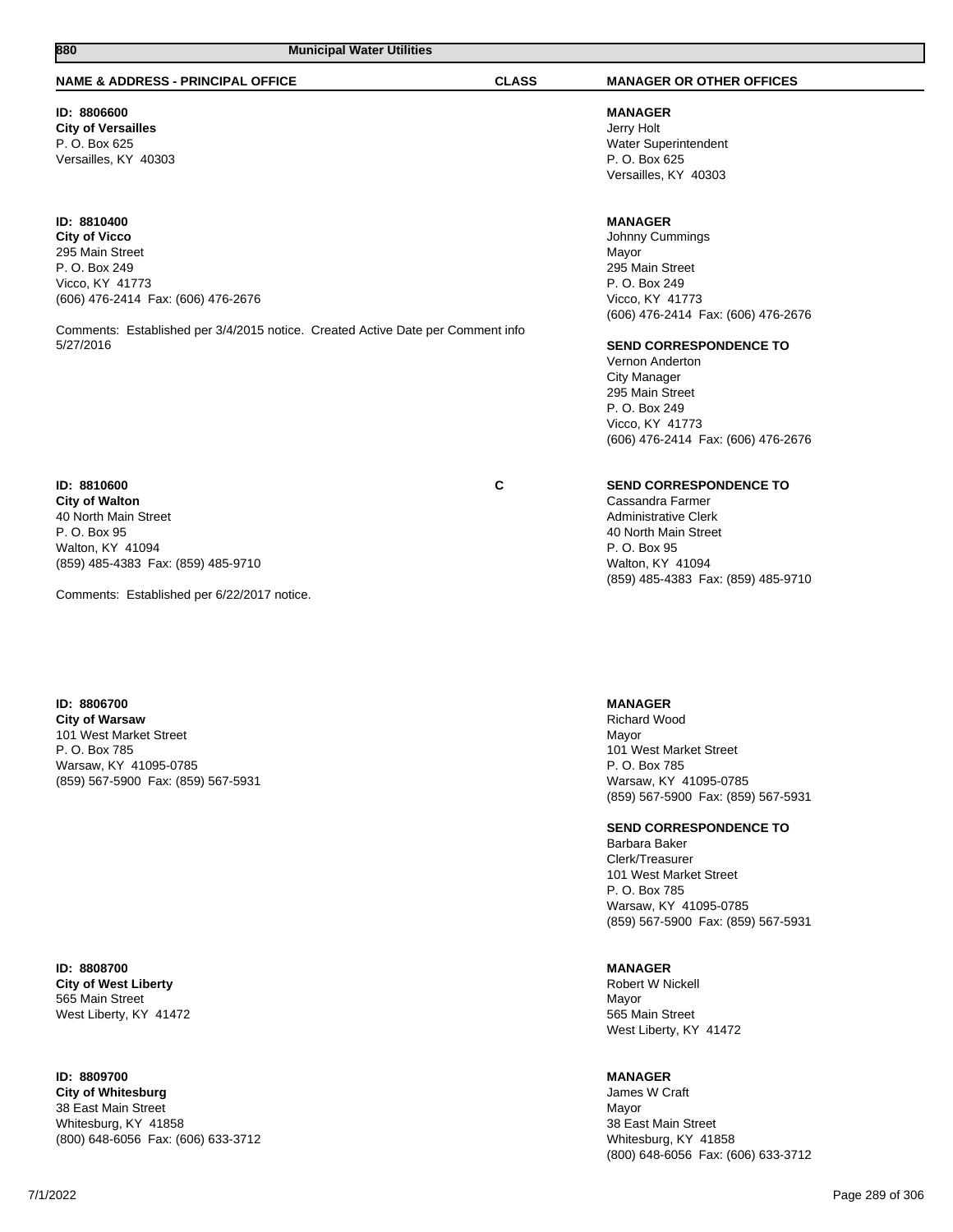# **NAME & ADDRESS - PRINCIPAL OFFICE CLASS MANAGER OR OTHER OFFICES**

**ID: 8806600 City of Versailles** P. O. Box 625 Versailles, KY 40303

### **ID: 8810400**

**City of Vicco** 295 Main Street P. O. Box 249 Vicco, KY 41773 (606) 476-2414 Fax: (606) 476-2676

Comments: Established per 3/4/2015 notice. Created Active Date per Comment info 5/27/2016

**ID: 8810600 C City of Walton** 40 North Main Street P. O. Box 95 Walton, KY 41094 (859) 485-4383 Fax: (859) 485-9710

Comments: Established per 6/22/2017 notice.

#### **ID: 8806700 City of Warsaw** 101 West Market Street P. O. Box 785 Warsaw, KY 41095-0785

(859) 567-5900 Fax: (859) 567-5931

**ID: 8808700 City of West Liberty** 565 Main Street West Liberty, KY 41472

**ID: 8809700 City of Whitesburg** 38 East Main Street Whitesburg, KY 41858 (800) 648-6056 Fax: (606) 633-3712

**MANAGER** Jerry Holt Water Superintendent P. O. Box 625 Versailles, KY 40303

# **MANAGER**

Johnny Cummings Mayor 295 Main Street P. O. Box 249 Vicco, KY 41773 (606) 476-2414 Fax: (606) 476-2676

### **SEND CORRESPONDENCE TO**

Vernon Anderton City Manager 295 Main Street P. O. Box 249 Vicco, KY 41773 (606) 476-2414 Fax: (606) 476-2676

# **SEND CORRESPONDENCE TO**

Cassandra Farmer Administrative Clerk 40 North Main Street P. O. Box 95 Walton, KY 41094 (859) 485-4383 Fax: (859) 485-9710

**MANAGER**

Richard Wood Mayor 101 West Market Street P. O. Box 785 Warsaw, KY 41095-0785 (859) 567-5900 Fax: (859) 567-5931

### **SEND CORRESPONDENCE TO**

Barbara Baker Clerk/Treasurer 101 West Market Street P. O. Box 785 Warsaw, KY 41095-0785 (859) 567-5900 Fax: (859) 567-5931

# **MANAGER**

Robert W Nickell Mayor 565 Main Street West Liberty, KY 41472

# **MANAGER**

James W Craft Mayor 38 East Main Street Whitesburg, KY 41858 (800) 648-6056 Fax: (606) 633-3712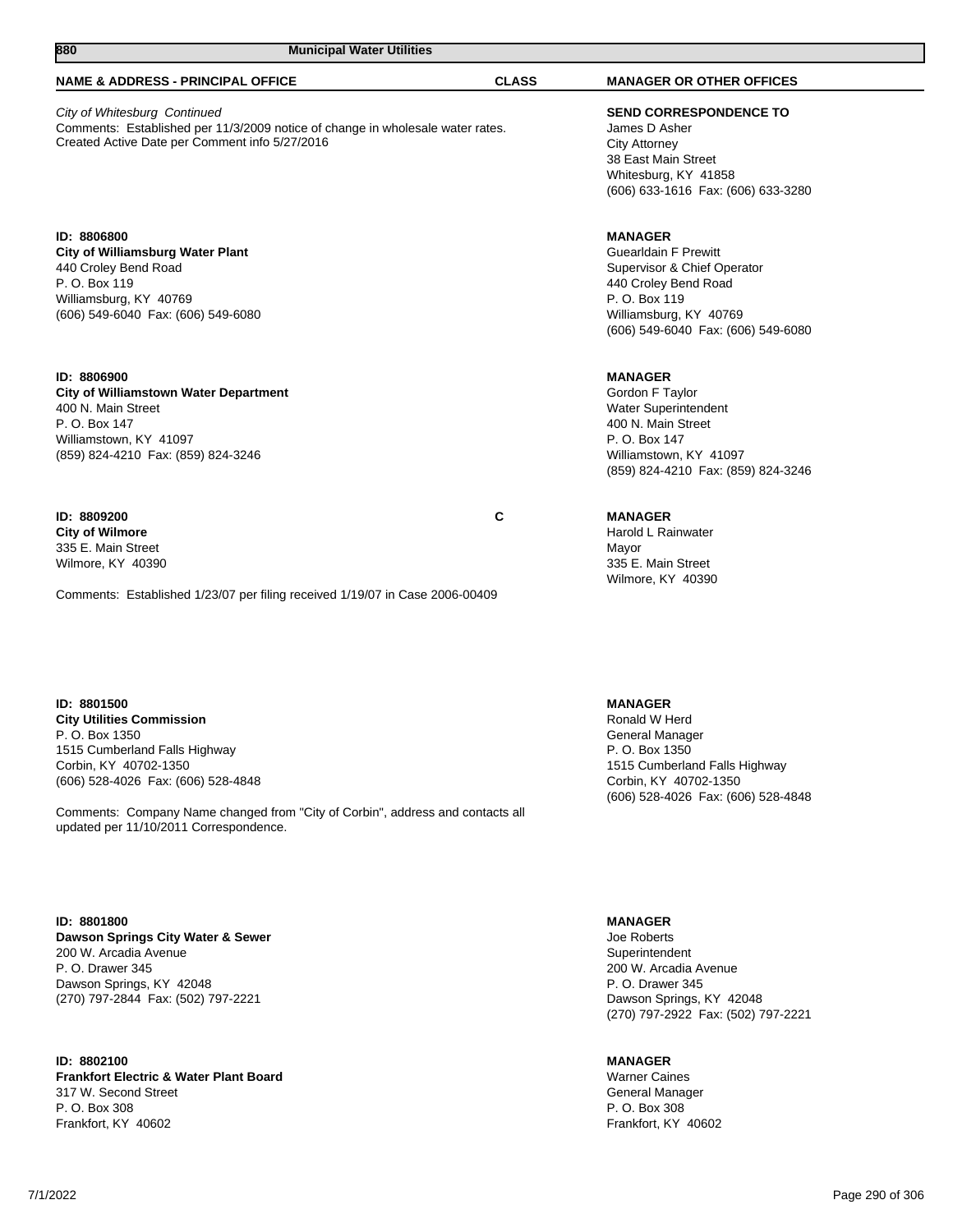# **NAME & ADDRESS - PRINCIPAL OFFICE CLASS MANAGER OR OTHER OFFICES** City of Whitesburg Continued

Comments: Established per 11/3/2009 notice of change in wholesale water rates. Created Active Date per Comment info 5/27/2016

**880 Municipal Water Utilities** 

**ID: 8806800 City of Williamsburg Water Plant** 440 Croley Bend Road P. O. Box 119 Williamsburg, KY 40769 (606) 549-6040 Fax: (606) 549-6080

# **ID: 8806900**

**City of Williamstown Water Department** 400 N. Main Street P. O. Box 147 Williamstown, KY 41097 (859) 824-4210 Fax: (859) 824-3246

**ID: 8809200 C City of Wilmore** 335 E. Main Street Wilmore, KY 40390

Comments: Established 1/23/07 per filing received 1/19/07 in Case 2006-00409

**ID: 8801500 City Utilities Commission** P. O. Box 1350 1515 Cumberland Falls Highway Corbin, KY 40702-1350 (606) 528-4026 Fax: (606) 528-4848

Comments: Company Name changed from "City of Corbin", address and contacts all updated per 11/10/2011 Correspondence.

**ID: 8801800 Dawson Springs City Water & Sewer** 200 W. Arcadia Avenue P. O. Drawer 345 Dawson Springs, KY 42048 (270) 797-2844 Fax: (502) 797-2221

**ID: 8802100 Frankfort Electric & Water Plant Board** 317 W. Second Street P. O. Box 308 Frankfort, KY 40602

**SEND CORRESPONDENCE TO** James D Asher City Attorney 38 East Main Street Whitesburg, KY 41858 (606) 633-1616 Fax: (606) 633-3280

# **MANAGER**

Guearldain F Prewitt Supervisor & Chief Operator 440 Croley Bend Road P. O. Box 119 Williamsburg, KY 40769 (606) 549-6040 Fax: (606) 549-6080

**MANAGER**

Gordon F Taylor Water Superintendent 400 N. Main Street P. O. Box 147 Williamstown, KY 41097 (859) 824-4210 Fax: (859) 824-3246

# **MANAGER**

Harold L Rainwater Mayor 335 E. Main Street Wilmore, KY 40390

**MANAGER** Ronald W Herd General Manager P. O. Box 1350 1515 Cumberland Falls Highway Corbin, KY 40702-1350 (606) 528-4026 Fax: (606) 528-4848

**MANAGER**

Joe Roberts **Superintendent** 200 W. Arcadia Avenue P. O. Drawer 345 Dawson Springs, KY 42048 (270) 797-2922 Fax: (502) 797-2221

**MANAGER**

Warner Caines General Manager P. O. Box 308 Frankfort, KY 40602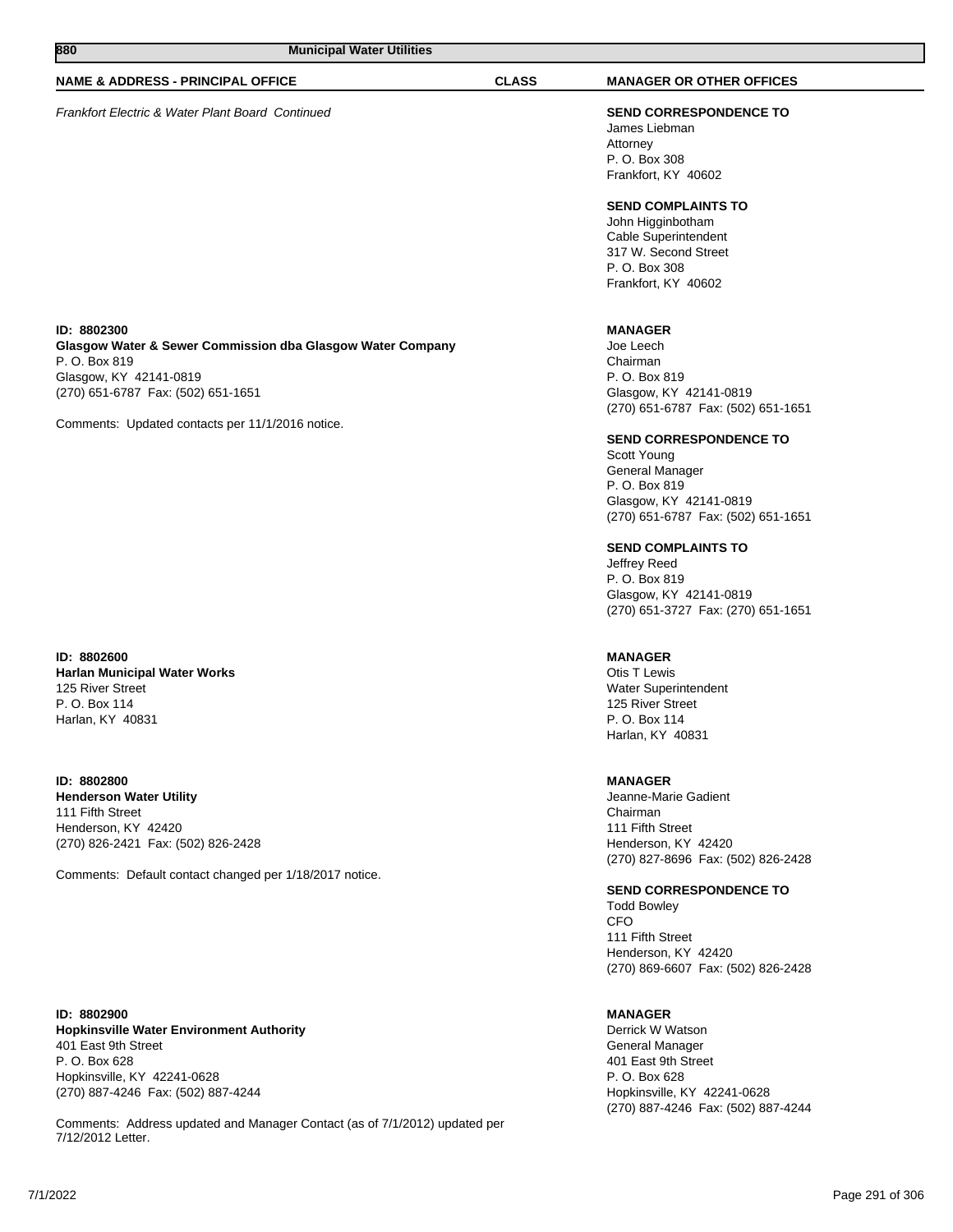# **NAME & ADDRESS - PRINCIPAL OFFICE CLASS MANAGER OR OTHER OFFICES**

Frankfort Electric & Water Plant Board Continued **SEND CORRESPONDENCE TO**

James Liebman Attorney P. O. Box 308 Frankfort, KY 40602

# **SEND COMPLAINTS TO**

John Higginbotham Cable Superintendent 317 W. Second Street P. O. Box 308 Frankfort, KY 40602

# **MANAGER**

Joe Leech Chairman P. O. Box 819 Glasgow, KY 42141-0819 (270) 651-6787 Fax: (502) 651-1651

#### **SEND CORRESPONDENCE TO**

Scott Young General Manager P. O. Box 819 Glasgow, KY 42141-0819 (270) 651-6787 Fax: (502) 651-1651

#### **SEND COMPLAINTS TO**

Jeffrey Reed P. O. Box 819 Glasgow, KY 42141-0819 (270) 651-3727 Fax: (270) 651-1651

### **MANAGER**

Otis T Lewis Water Superintendent 125 River Street P. O. Box 114 Harlan, KY 40831

# **MANAGER**

Jeanne-Marie Gadient Chairman 111 Fifth Street Henderson, KY 42420 (270) 827-8696 Fax: (502) 826-2428

# **SEND CORRESPONDENCE TO**

Todd Bowley CFO 111 Fifth Street Henderson, KY 42420 (270) 869-6607 Fax: (502) 826-2428

# **MANAGER**

Derrick W Watson General Manager 401 East 9th Street P. O. Box 628 Hopkinsville, KY 42241-0628 (270) 887-4246 Fax: (502) 887-4244

# **ID: 8802300 Glasgow Water & Sewer Commission dba Glasgow Water Company**

P. O. Box 819 Glasgow, KY 42141-0819 (270) 651-6787 Fax: (502) 651-1651

Comments: Updated contacts per 11/1/2016 notice.

# **ID: 8802600 Harlan Municipal Water Works** 125 River Street P. O. Box 114 Harlan, KY 40831

**ID: 8802800 Henderson Water Utility** 111 Fifth Street Henderson, KY 42420 (270) 826-2421 Fax: (502) 826-2428

Comments: Default contact changed per 1/18/2017 notice.

**ID: 8802900 Hopkinsville Water Environment Authority** 401 East 9th Street P. O. Box 628 Hopkinsville, KY 42241-0628 (270) 887-4246 Fax: (502) 887-4244

Comments: Address updated and Manager Contact (as of 7/1/2012) updated per 7/12/2012 Letter.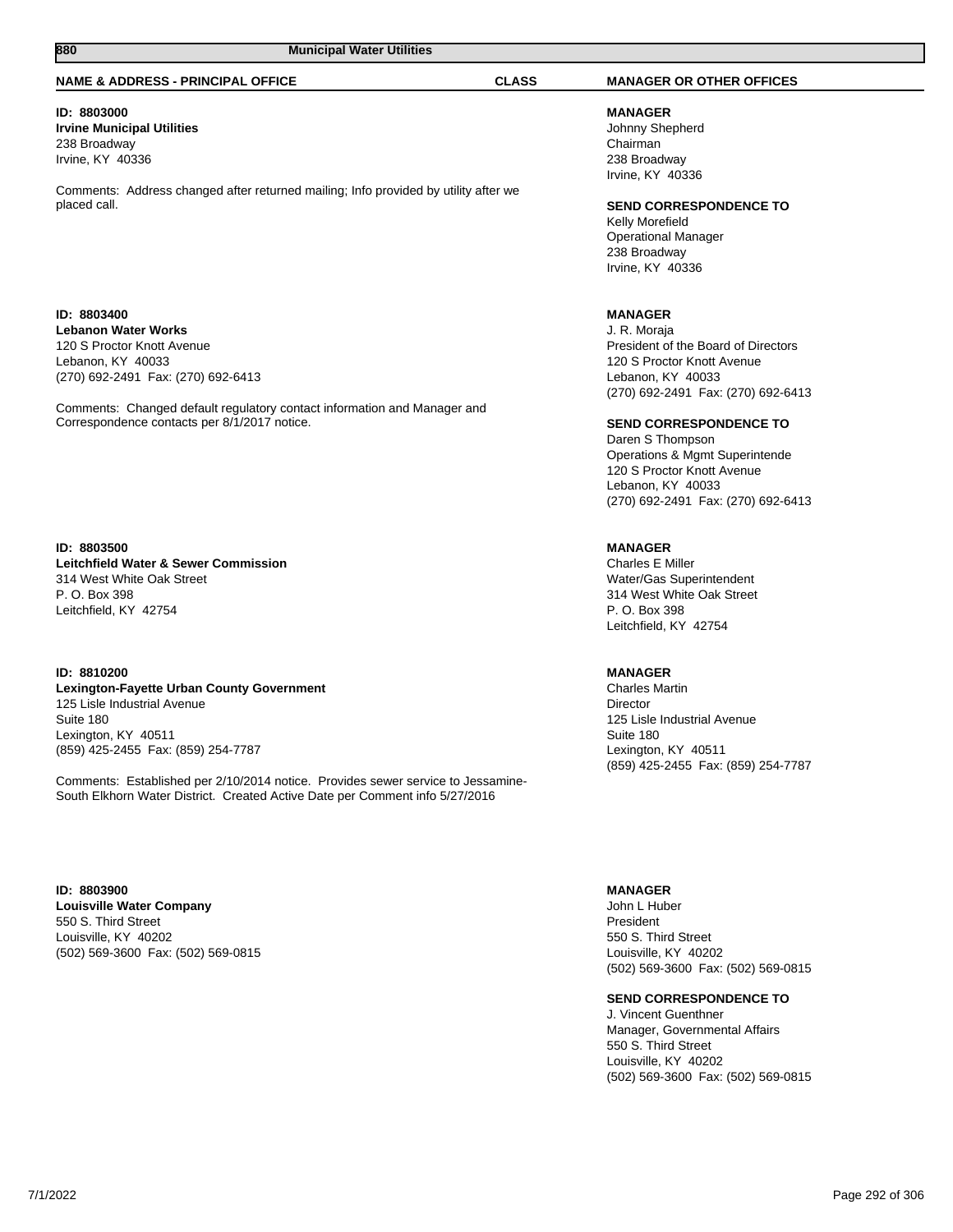# **NAME & ADDRESS - PRINCIPAL OFFICE CLASS MANAGER OR OTHER OFFICES**

# **ID: 8803000**

**Irvine Municipal Utilities** 238 Broadway Irvine, KY 40336

Comments: Address changed after returned mailing; Info provided by utility after we placed call.

# **ID: 8803400 Lebanon Water Works** 120 S Proctor Knott Avenue Lebanon, KY 40033 (270) 692-2491 Fax: (270) 692-6413

Comments: Changed default regulatory contact information and Manager and Correspondence contacts per 8/1/2017 notice.

# **ID: 8803500 Leitchfield Water & Sewer Commission** 314 West White Oak Street P. O. Box 398 Leitchfield, KY 42754

# **ID: 8810200 Lexington-Fayette Urban County Government** 125 Lisle Industrial Avenue Suite 180 Lexington, KY 40511 (859) 425-2455 Fax: (859) 254-7787

Comments: Established per 2/10/2014 notice. Provides sewer service to Jessamine-South Elkhorn Water District. Created Active Date per Comment info 5/27/2016

**ID: 8803900 Louisville Water Company** 550 S. Third Street Louisville, KY 40202 (502) 569-3600 Fax: (502) 569-0815

**MANAGER** Johnny Shepherd Chairman 238 Broadway Irvine, KY 40336

# **SEND CORRESPONDENCE TO**

Kelly Morefield Operational Manager 238 Broadway Irvine, KY 40336

# **MANAGER**

J. R. Moraja President of the Board of Directors 120 S Proctor Knott Avenue Lebanon, KY 40033 (270) 692-2491 Fax: (270) 692-6413

# **SEND CORRESPONDENCE TO**

Daren S Thompson Operations & Mgmt Superintende 120 S Proctor Knott Avenue Lebanon, KY 40033 (270) 692-2491 Fax: (270) 692-6413

# **MANAGER**

Charles E Miller Water/Gas Superintendent 314 West White Oak Street P. O. Box 398 Leitchfield, KY 42754

#### **MANAGER**

Charles Martin Director 125 Lisle Industrial Avenue Suite 180 Lexington, KY 40511 (859) 425-2455 Fax: (859) 254-7787

#### **MANAGER**

John L Huber President 550 S. Third Street Louisville, KY 40202 (502) 569-3600 Fax: (502) 569-0815

# **SEND CORRESPONDENCE TO**

J. Vincent Guenthner Manager, Governmental Affairs 550 S. Third Street Louisville, KY 40202 (502) 569-3600 Fax: (502) 569-0815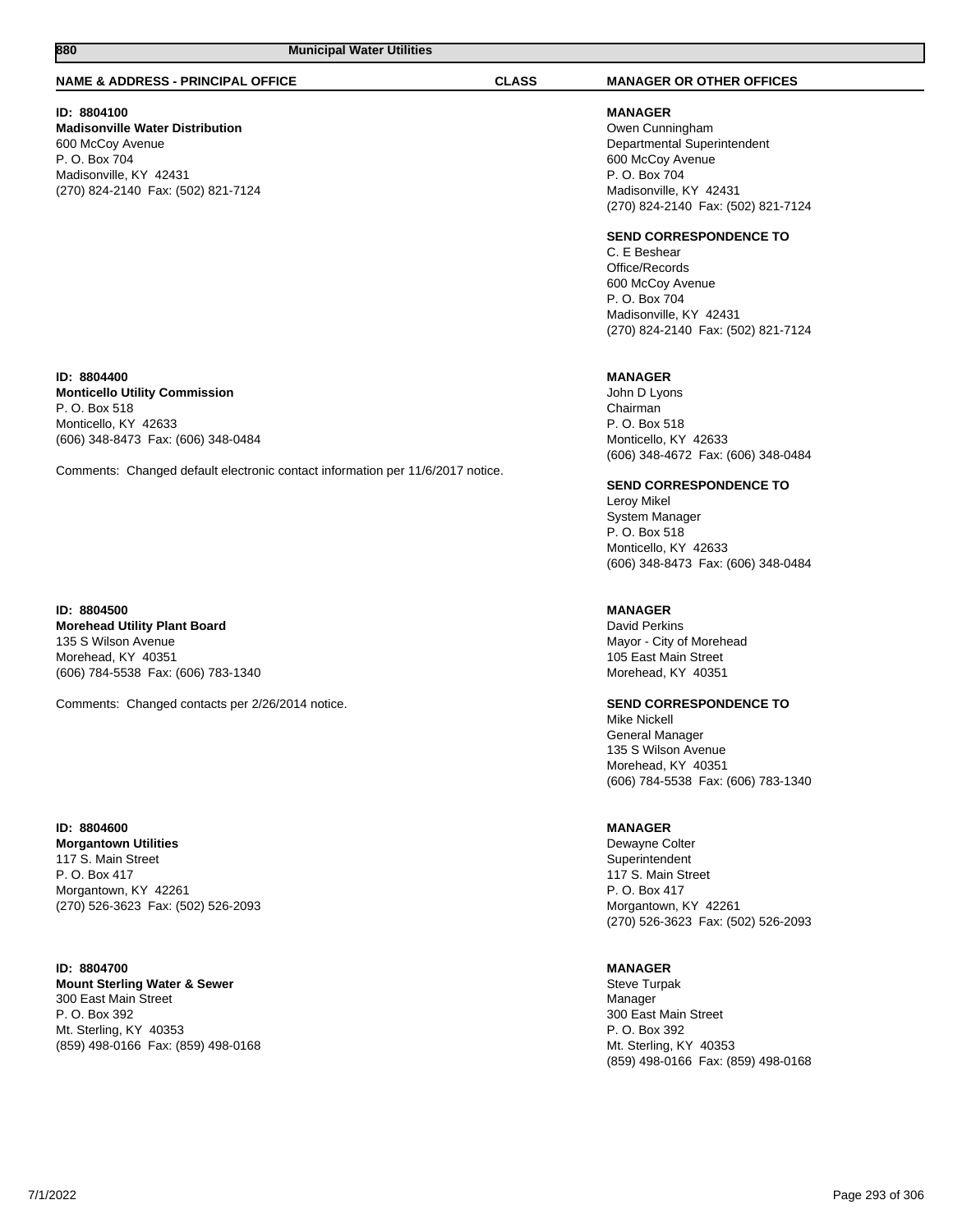# **NAME & ADDRESS - PRINCIPAL OFFICE CLASS MANAGER OR OTHER OFFICES**

# **ID: 8804100**

**Madisonville Water Distribution** 600 McCoy Avenue P. O. Box 704 Madisonville, KY 42431 (270) 824-2140 Fax: (502) 821-7124

#### **ID: 8804400 Monticello Utility Commission**

P. O. Box 518 Monticello, KY 42633 (606) 348-8473 Fax: (606) 348-0484

Comments: Changed default electronic contact information per 11/6/2017 notice.

# **ID: 8804500 Morehead Utility Plant Board** 135 S Wilson Avenue Morehead, KY 40351 (606) 784-5538 Fax: (606) 783-1340

Comments: Changed contacts per 2/26/2014 notice.

# **ID: 8804600 Morgantown Utilities** 117 S. Main Street P. O. Box 417 Morgantown, KY 42261 (270) 526-3623 Fax: (502) 526-2093

### **ID: 8804700 Mount Sterling Water & Sewer** 300 East Main Street P. O. Box 392 Mt. Sterling, KY 40353 (859) 498-0166 Fax: (859) 498-0168

**MANAGER** Owen Cunningham Departmental Superintendent 600 McCoy Avenue P. O. Box 704 Madisonville, KY 42431 (270) 824-2140 Fax: (502) 821-7124

# **SEND CORRESPONDENCE TO**

C. E Beshear Office/Records 600 McCoy Avenue P. O. Box 704 Madisonville, KY 42431 (270) 824-2140 Fax: (502) 821-7124

# **MANAGER**

John D Lyons Chairman P. O. Box 518 Monticello, KY 42633 (606) 348-4672 Fax: (606) 348-0484

# **SEND CORRESPONDENCE TO**

Leroy Mikel System Manager P. O. Box 518 Monticello, KY 42633 (606) 348-8473 Fax: (606) 348-0484

# **MANAGER**

David Perkins Mayor - City of Morehead 105 East Main Street Morehead, KY 40351

# **SEND CORRESPONDENCE TO**

Mike Nickell General Manager 135 S Wilson Avenue Morehead, KY 40351 (606) 784-5538 Fax: (606) 783-1340

# **MANAGER**

Dewayne Colter Superintendent 117 S. Main Street P. O. Box 417 Morgantown, KY 42261 (270) 526-3623 Fax: (502) 526-2093

# **MANAGER**

Steve Turpak Manager 300 East Main Street P. O. Box 392 Mt. Sterling, KY 40353 (859) 498-0166 Fax: (859) 498-0168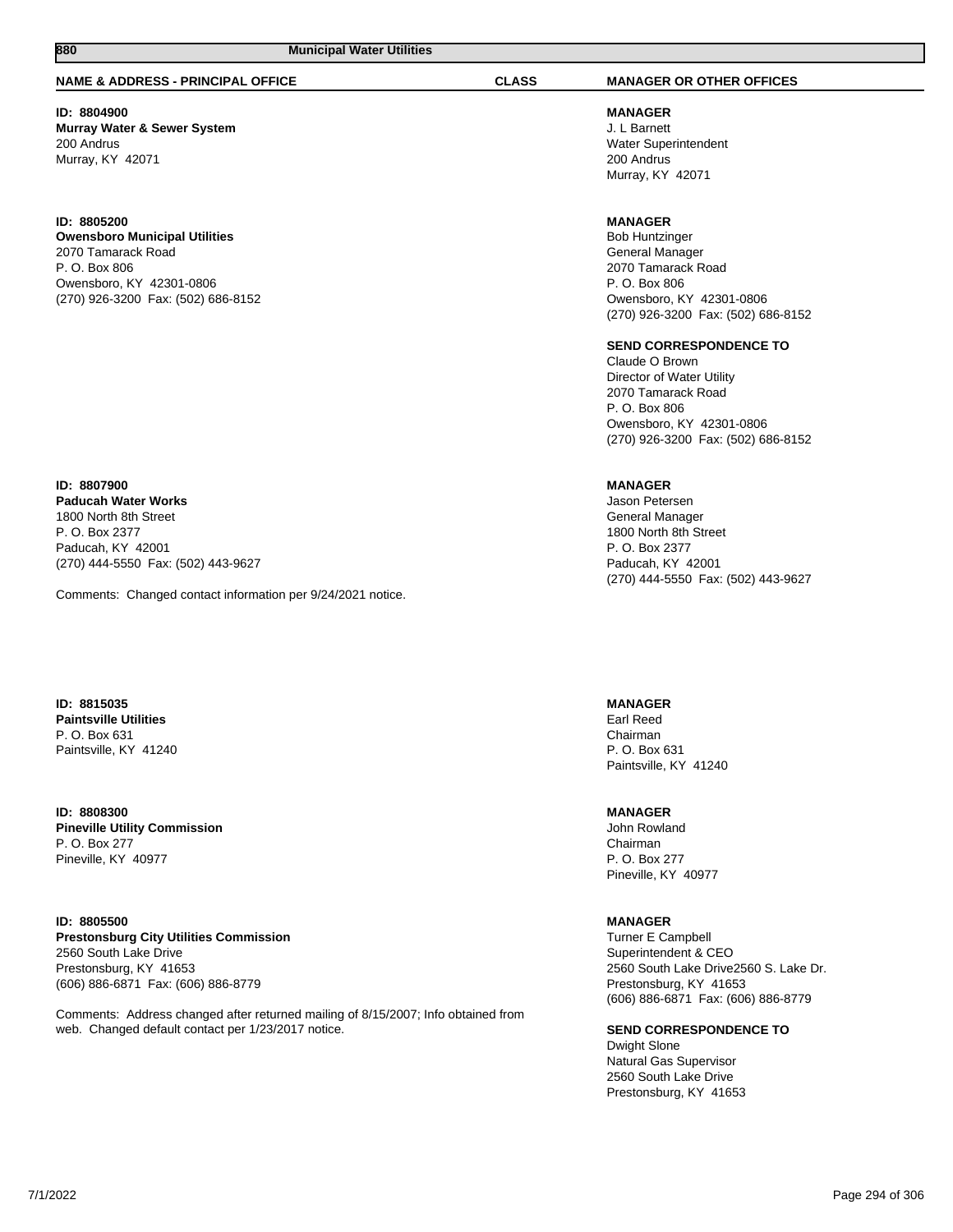**ID: 8804900 Murray Water & Sewer System** 200 Andrus Murray, KY 42071

# **ID: 8805200 Owensboro Municipal Utilities** 2070 Tamarack Road P. O. Box 806 Owensboro, KY 42301-0806 (270) 926-3200 Fax: (502) 686-8152

# **ID: 8807900 Paducah Water Works** 1800 North 8th Street P. O. Box 2377 Paducah, KY 42001 (270) 444-5550 Fax: (502) 443-9627

Comments: Changed contact information per 9/24/2021 notice.

**ID: 8815035 Paintsville Utilities** P. O. Box 631 Paintsville, KY 41240

**ID: 8808300 Pineville Utility Commission** P. O. Box 277 Pineville, KY 40977

**ID: 8805500 Prestonsburg City Utilities Commission** 2560 South Lake Drive Prestonsburg, KY 41653 (606) 886-6871 Fax: (606) 886-8779

Comments: Address changed after returned mailing of 8/15/2007; Info obtained from web. Changed default contact per 1/23/2017 notice.

# **NAME & ADDRESS - PRINCIPAL OFFICE CLASS MANAGER OR OTHER OFFICES**

**MANAGER** J. L Barnett Water Superintendent 200 Andrus Murray, KY 42071

# **MANAGER**

Bob Huntzinger General Manager 2070 Tamarack Road P. O. Box 806 Owensboro, KY 42301-0806 (270) 926-3200 Fax: (502) 686-8152

# **SEND CORRESPONDENCE TO**

Claude O Brown Director of Water Utility 2070 Tamarack Road P. O. Box 806 Owensboro, KY 42301-0806 (270) 926-3200 Fax: (502) 686-8152

# **MANAGER**

Jason Petersen General Manager 1800 North 8th Street P. O. Box 2377 Paducah, KY 42001 (270) 444-5550 Fax: (502) 443-9627

# **MANAGER**

Earl Reed Chairman P. O. Box 631 Paintsville, KY 41240

# **MANAGER**

John Rowland Chairman P. O. Box 277 Pineville, KY 40977

# **MANAGER**

Turner E Campbell Superintendent & CEO 2560 South Lake Drive2560 S. Lake Dr. Prestonsburg, KY 41653 (606) 886-6871 Fax: (606) 886-8779

**SEND CORRESPONDENCE TO**

Dwight Slone Natural Gas Supervisor 2560 South Lake Drive Prestonsburg, KY 41653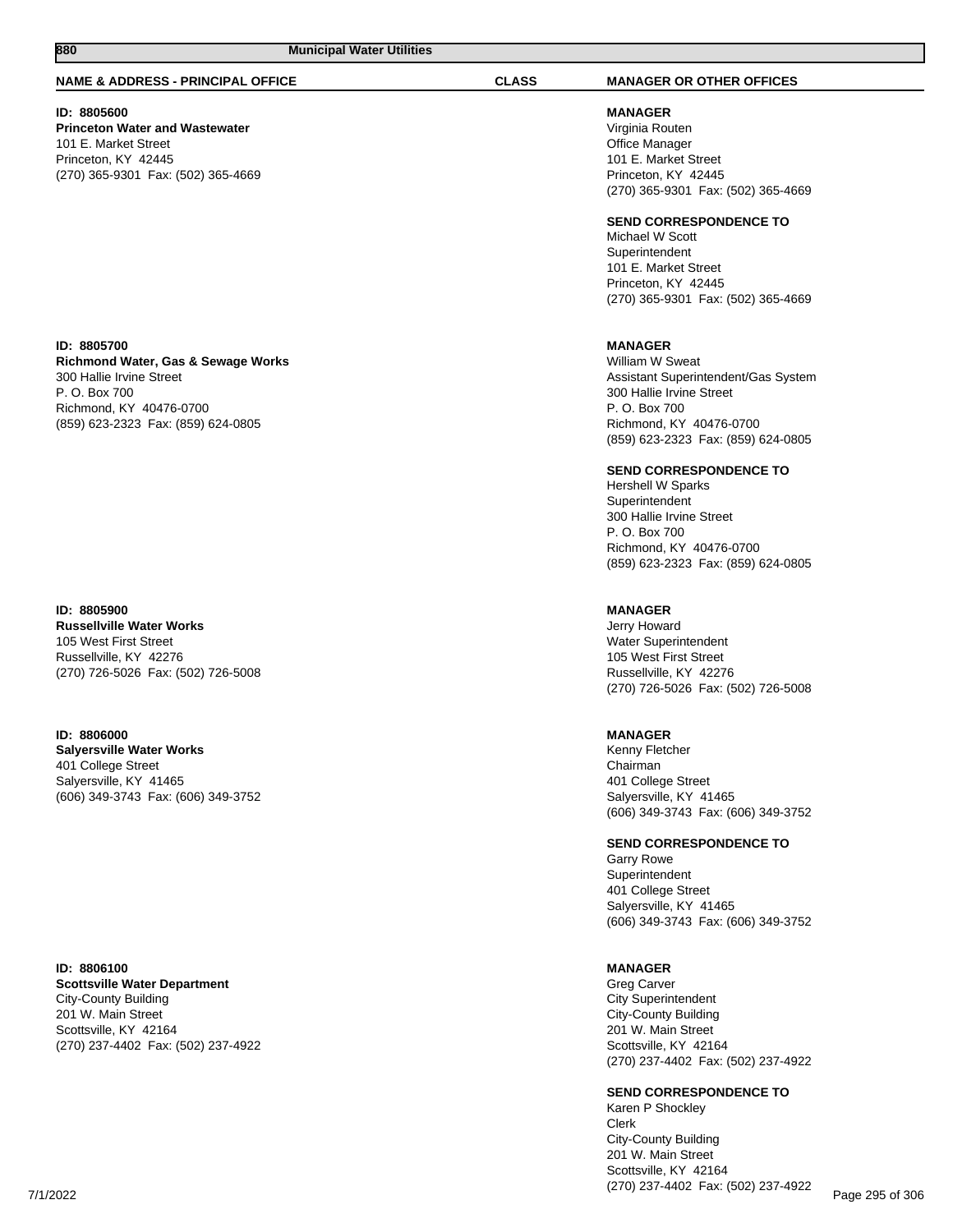# **NAME & ADDRESS - PRINCIPAL OFFICE CLASS MANAGER OR OTHER OFFICES**

# **ID: 8805600**

**Princeton Water and Wastewater** 101 E. Market Street Princeton, KY 42445 (270) 365-9301 Fax: (502) 365-4669

# **ID: 8805700**

**Richmond Water, Gas & Sewage Works** 300 Hallie Irvine Street P. O. Box 700 Richmond, KY 40476-0700 (859) 623-2323 Fax: (859) 624-0805

#### **ID: 8805900**

**Russellville Water Works** 105 West First Street Russellville, KY 42276 (270) 726-5026 Fax: (502) 726-5008

**ID: 8806000 Salyersville Water Works** 401 College Street Salyersville, KY 41465 (606) 349-3743 Fax: (606) 349-3752

**ID: 8806100 Scottsville Water Department** City-County Building 201 W. Main Street Scottsville, KY 42164 (270) 237-4402 Fax: (502) 237-4922

**MANAGER**

Virginia Routen Office Manager 101 E. Market Street Princeton, KY 42445 (270) 365-9301 Fax: (502) 365-4669

#### **SEND CORRESPONDENCE TO**

Michael W Scott Superintendent 101 E. Market Street Princeton, KY 42445 (270) 365-9301 Fax: (502) 365-4669

# **MANAGER**

William W Sweat Assistant Superintendent/Gas System 300 Hallie Irvine Street P. O. Box 700 Richmond, KY 40476-0700 (859) 623-2323 Fax: (859) 624-0805

# **SEND CORRESPONDENCE TO**

Hershell W Sparks Superintendent 300 Hallie Irvine Street P. O. Box 700 Richmond, KY 40476-0700 (859) 623-2323 Fax: (859) 624-0805

# **MANAGER**

Jerry Howard Water Superintendent 105 West First Street Russellville, KY 42276 (270) 726-5026 Fax: (502) 726-5008

#### **MANAGER**

Kenny Fletcher Chairman 401 College Street Salyersville, KY 41465 (606) 349-3743 Fax: (606) 349-3752

**SEND CORRESPONDENCE TO**

Garry Rowe Superintendent 401 College Street Salyersville, KY 41465 (606) 349-3743 Fax: (606) 349-3752

#### **MANAGER**

Greg Carver City Superintendent City-County Building 201 W. Main Street Scottsville, KY 42164 (270) 237-4402 Fax: (502) 237-4922

#### **SEND CORRESPONDENCE TO**

Karen P Shockley Clerk City-County Building 201 W. Main Street Scottsville, KY 42164 (270) 237-4402 Fax: (502) 237-4922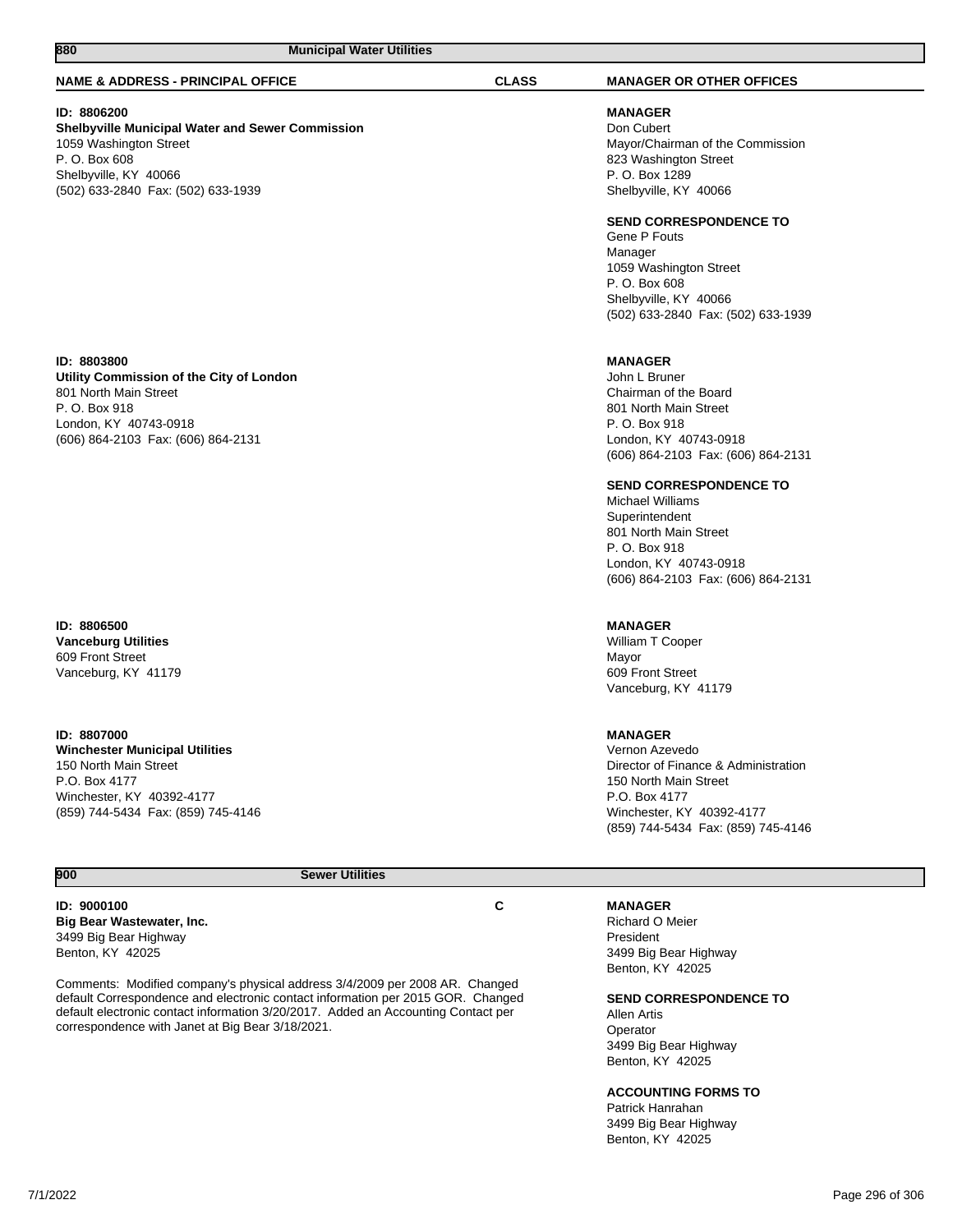#### **NAME & ADDRESS - PRINCIPAL OFFICE CLASS MANAGER OR OTHER OFFICES**

# **ID: 8806200**

# **Shelbyville Municipal Water and Sewer Commission** 1059 Washington Street P. O. Box 608 Shelbyville, KY 40066 (502) 633-2840 Fax: (502) 633-1939

#### **ID: 8803800**

**Utility Commission of the City of London** 801 North Main Street P. O. Box 918 London, KY 40743-0918 (606) 864-2103 Fax: (606) 864-2131

# **ID: 8806500 Vanceburg Utilities** 609 Front Street Vanceburg, KY 41179

**ID: 8807000 Winchester Municipal Utilities** 150 North Main Street P.O. Box 4177 Winchester, KY 40392-4177 (859) 744-5434 Fax: (859) 745-4146

**MANAGER** Don Cubert Mayor/Chairman of the Commission 823 Washington Street P. O. Box 1289 Shelbyville, KY 40066

#### **SEND CORRESPONDENCE TO**

Gene P Fouts Manager 1059 Washington Street P. O. Box 608 Shelbyville, KY 40066 (502) 633-2840 Fax: (502) 633-1939

# **MANAGER**

John L Bruner Chairman of the Board 801 North Main Street P. O. Box 918 London, KY 40743-0918 (606) 864-2103 Fax: (606) 864-2131

# **SEND CORRESPONDENCE TO**

Michael Williams **Superintendent** 801 North Main Street P. O. Box 918 London, KY 40743-0918 (606) 864-2103 Fax: (606) 864-2131

#### **MANAGER**

William T Cooper Mayor 609 Front Street Vanceburg, KY 41179

# **MANAGER**

Vernon Azevedo Director of Finance & Administration 150 North Main Street P.O. Box 4177 Winchester, KY 40392-4177 (859) 744-5434 Fax: (859) 745-4146

#### **900 Sewer Utilities ID: 9000100 C Big Bear Wastewater, Inc.** 3499 Big Bear Highway Benton, KY 42025 **MANAGER** Richard O Meier President

Comments: Modified company's physical address 3/4/2009 per 2008 AR. Changed default Correspondence and electronic contact information per 2015 GOR. Changed default electronic contact information 3/20/2017. Added an Accounting Contact per correspondence with Janet at Big Bear 3/18/2021.

3499 Big Bear Highway Benton, KY 42025

# **SEND CORRESPONDENCE TO**

Allen Artis **Operator** 3499 Big Bear Highway Benton, KY 42025

# **ACCOUNTING FORMS TO**

Patrick Hanrahan 3499 Big Bear Highway Benton, KY 42025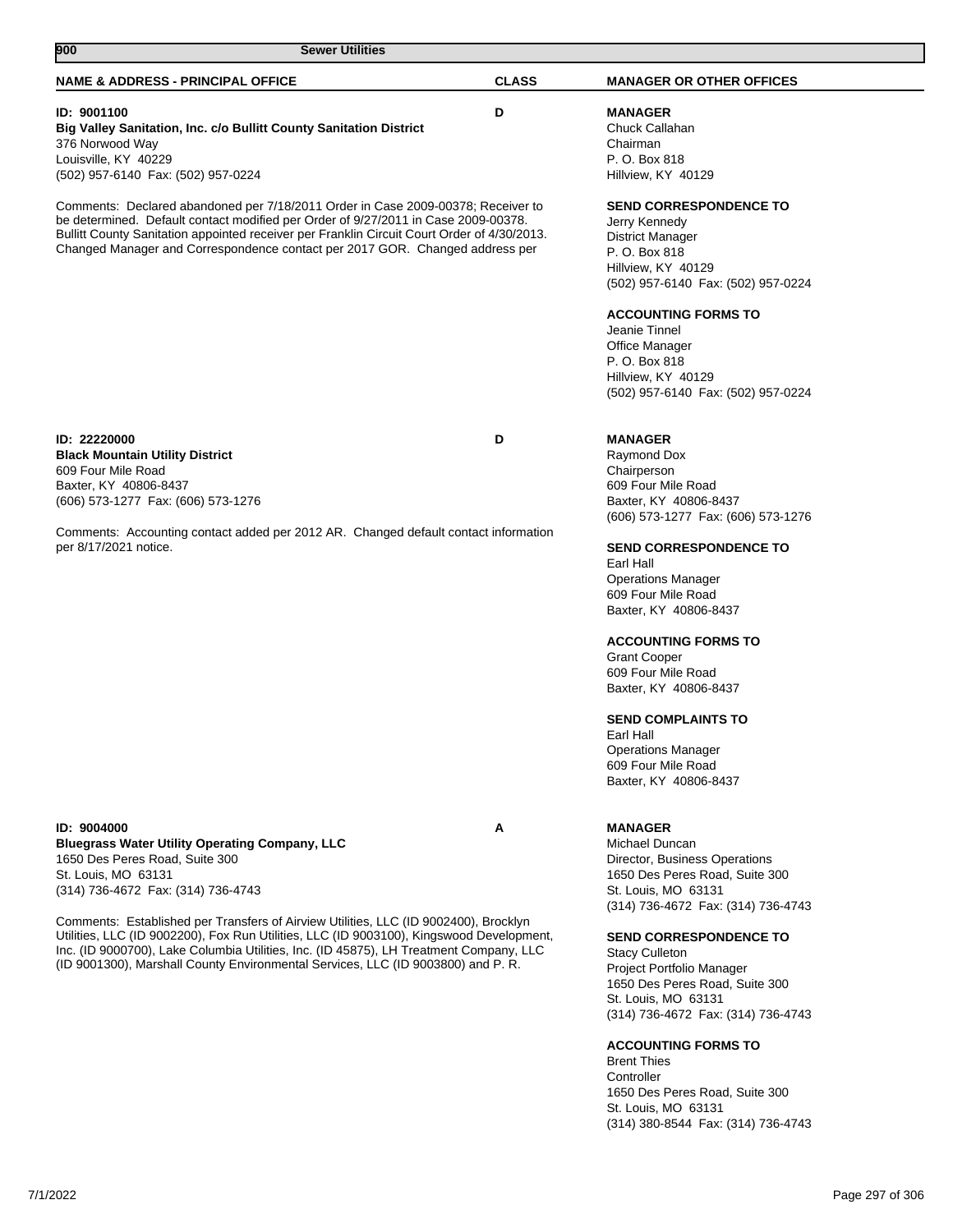| 900<br><b>Sewer Utilities</b>                                                                                                                                                                                                                                                                                                                                  |              |                                                                                                                                                                                                                                                                                                                                                                                                                                                                                       |  |
|----------------------------------------------------------------------------------------------------------------------------------------------------------------------------------------------------------------------------------------------------------------------------------------------------------------------------------------------------------------|--------------|---------------------------------------------------------------------------------------------------------------------------------------------------------------------------------------------------------------------------------------------------------------------------------------------------------------------------------------------------------------------------------------------------------------------------------------------------------------------------------------|--|
| <b>NAME &amp; ADDRESS - PRINCIPAL OFFICE</b>                                                                                                                                                                                                                                                                                                                   | <b>CLASS</b> | <b>MANAGER OR OTHER OFFICES</b>                                                                                                                                                                                                                                                                                                                                                                                                                                                       |  |
| ID: 9001100<br>Big Valley Sanitation, Inc. c/o Bullitt County Sanitation District<br>376 Norwood Way<br>Louisville, KY 40229<br>(502) 957-6140 Fax: (502) 957-0224                                                                                                                                                                                             | D            | <b>MANAGER</b><br>Chuck Callahan<br>Chairman<br>P. O. Box 818<br>Hillview, KY 40129                                                                                                                                                                                                                                                                                                                                                                                                   |  |
| Comments: Declared abandoned per 7/18/2011 Order in Case 2009-00378; Receiver to<br>be determined. Default contact modified per Order of 9/27/2011 in Case 2009-00378.<br>Bullitt County Sanitation appointed receiver per Franklin Circuit Court Order of 4/30/2013.<br>Changed Manager and Correspondence contact per 2017 GOR. Changed address per          |              | <b>SEND CORRESPONDENCE TO</b><br>Jerry Kennedy<br>District Manager<br>P. O. Box 818<br>Hillview, KY 40129<br>(502) 957-6140 Fax: (502) 957-0224<br><b>ACCOUNTING FORMS TO</b><br>Jeanie Tinnel<br>Office Manager<br>P. O. Box 818                                                                                                                                                                                                                                                     |  |
|                                                                                                                                                                                                                                                                                                                                                                |              | Hillview, KY 40129<br>(502) 957-6140 Fax: (502) 957-0224                                                                                                                                                                                                                                                                                                                                                                                                                              |  |
| ID: 22220000<br><b>Black Mountain Utility District</b><br>609 Four Mile Road<br>Baxter, KY 40806-8437<br>(606) 573-1277 Fax: (606) 573-1276<br>Comments: Accounting contact added per 2012 AR. Changed default contact information<br>per 8/17/2021 notice.                                                                                                    | D            | <b>MANAGER</b><br>Raymond Dox<br>Chairperson<br>609 Four Mile Road<br>Baxter, KY 40806-8437<br>(606) 573-1277 Fax: (606) 573-1276<br><b>SEND CORRESPONDENCE TO</b><br>Earl Hall<br><b>Operations Manager</b><br>609 Four Mile Road<br>Baxter, KY 40806-8437<br><b>ACCOUNTING FORMS TO</b><br><b>Grant Cooper</b><br>609 Four Mile Road<br>Baxter, KY 40806-8437<br><b>SEND COMPLAINTS TO</b><br>Earl Hall<br><b>Operations Manager</b><br>609 Four Mile Road<br>Baxter, KY 40806-8437 |  |
| ID: 9004000<br><b>Bluegrass Water Utility Operating Company, LLC</b><br>1650 Des Peres Road, Suite 300<br>St. Louis, MO 63131<br>(314) 736-4672 Fax: (314) 736-4743                                                                                                                                                                                            | Α            | <b>MANAGER</b><br>Michael Duncan<br>Director, Business Operations<br>1650 Des Peres Road, Suite 300<br>St. Louis, MO 63131                                                                                                                                                                                                                                                                                                                                                            |  |
| Comments: Established per Transfers of Airview Utilities, LLC (ID 9002400), Brocklyn<br>Utilities, LLC (ID 9002200), Fox Run Utilities, LLC (ID 9003100), Kingswood Development,<br>Inc. (ID 9000700), Lake Columbia Utilities, Inc. (ID 45875), LH Treatment Company, LLC<br>(ID 9001300), Marshall County Environmental Services, LLC (ID 9003800) and P. R. |              | (314) 736-4672 Fax: (314) 736-4743<br><b>SEND CORRESPONDENCE TO</b><br><b>Stacy Culleton</b><br>Project Portfolio Manager<br>1650 Des Peres Road, Suite 300<br>St. Louis, MO 63131                                                                                                                                                                                                                                                                                                    |  |

# **ACCOUNTING FORMS TO**

Brent Thies Controller 1650 Des Peres Road, Suite 300 St. Louis, MO 63131 (314) 380-8544 Fax: (314) 736-4743

(314) 736-4672 Fax: (314) 736-4743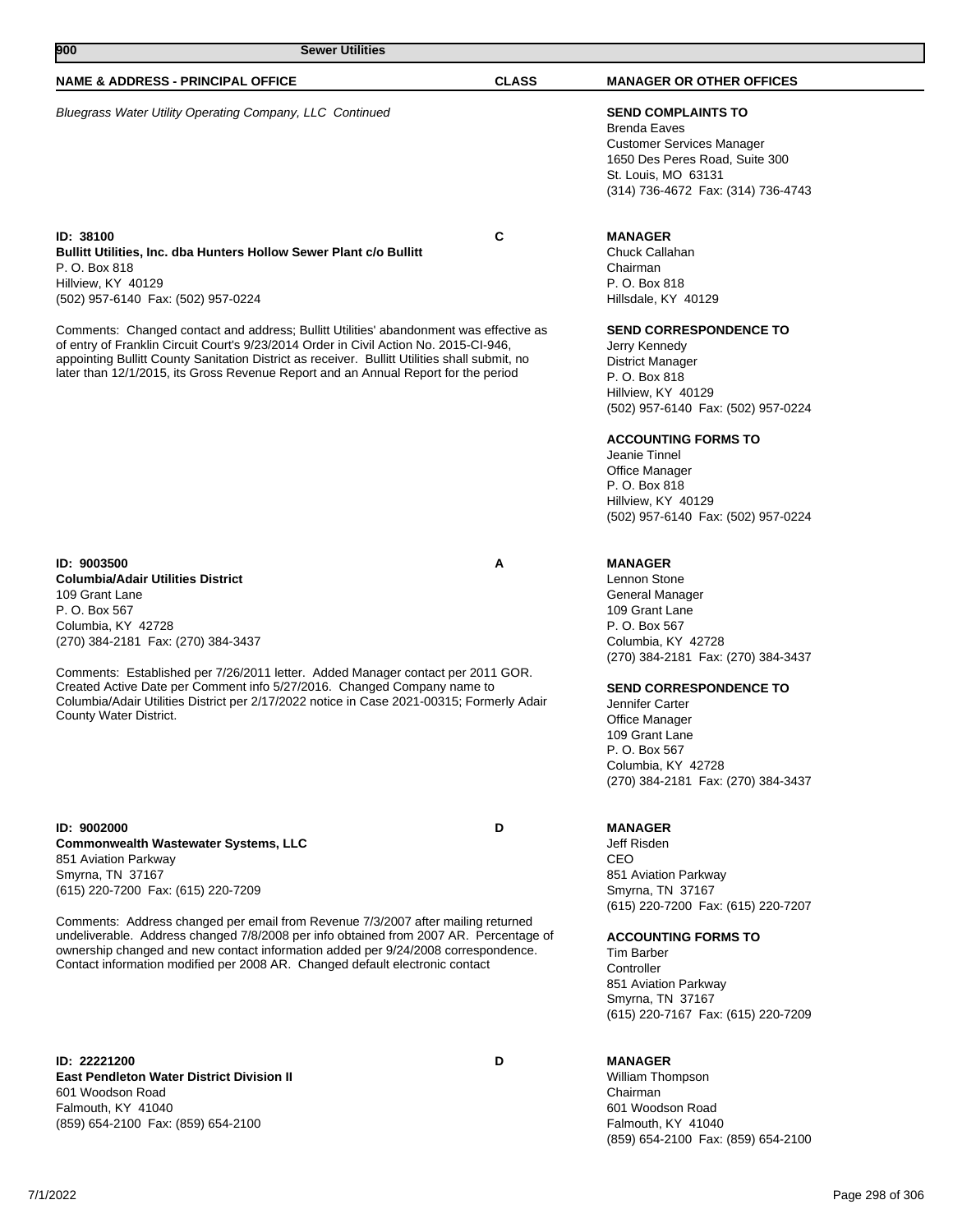| 900<br><b>Sewer Utilities</b>                                                                                                                                                                                                                                                                                                                                          |              |                                                                                                                                                                                                                                                                                                      |
|------------------------------------------------------------------------------------------------------------------------------------------------------------------------------------------------------------------------------------------------------------------------------------------------------------------------------------------------------------------------|--------------|------------------------------------------------------------------------------------------------------------------------------------------------------------------------------------------------------------------------------------------------------------------------------------------------------|
| <b>NAME &amp; ADDRESS - PRINCIPAL OFFICE</b>                                                                                                                                                                                                                                                                                                                           | <b>CLASS</b> | <b>MANAGER OR OTHER OFFICES</b>                                                                                                                                                                                                                                                                      |
| Bluegrass Water Utility Operating Company, LLC Continued                                                                                                                                                                                                                                                                                                               |              | <b>SEND COMPLAINTS TO</b><br><b>Brenda Eaves</b><br>Customer Services Manager<br>1650 Des Peres Road, Suite 300<br>St. Louis, MO 63131<br>(314) 736-4672 Fax: (314) 736-4743                                                                                                                         |
| ID: 38100<br><b>Bullitt Utilities, Inc. dba Hunters Hollow Sewer Plant c/o Bullitt</b><br>P. O. Box 818<br>Hillview, KY 40129<br>(502) 957-6140 Fax: (502) 957-0224                                                                                                                                                                                                    | C            | <b>MANAGER</b><br>Chuck Callahan<br>Chairman<br>P. O. Box 818<br>Hillsdale, KY 40129                                                                                                                                                                                                                 |
| Comments: Changed contact and address; Bullitt Utilities' abandonment was effective as<br>of entry of Franklin Circuit Court's 9/23/2014 Order in Civil Action No. 2015-CI-946,<br>appointing Bullitt County Sanitation District as receiver. Bullitt Utilities shall submit, no<br>later than 12/1/2015, its Gross Revenue Report and an Annual Report for the period |              | <b>SEND CORRESPONDENCE TO</b><br>Jerry Kennedy<br><b>District Manager</b><br>P. O. Box 818<br>Hillview, KY 40129<br>(502) 957-6140 Fax: (502) 957-0224<br><b>ACCOUNTING FORMS TO</b><br>Jeanie Tinnel<br>Office Manager<br>P. O. Box 818<br>Hillview, KY 40129<br>(502) 957-6140 Fax: (502) 957-0224 |
| ID: 9003500<br><b>Columbia/Adair Utilities District</b><br>109 Grant Lane<br>P. O. Box 567<br>Columbia, KY 42728<br>(270) 384-2181 Fax: (270) 384-3437                                                                                                                                                                                                                 | Α            | <b>MANAGER</b><br>Lennon Stone<br>General Manager<br>109 Grant Lane<br>P. O. Box 567<br>Columbia, KY 42728                                                                                                                                                                                           |
| Comments: Established per 7/26/2011 letter. Added Manager contact per 2011 GOR.<br>Created Active Date per Comment info 5/27/2016. Changed Company name to<br>Columbia/Adair Utilities District per 2/17/2022 notice in Case 2021-00315; Formerly Adair<br>County Water District.                                                                                      |              | (270) 384-2181 Fax: (270) 384-3437<br><b>SEND CORRESPONDENCE TO</b><br>Jennifer Carter<br>Office Manager<br>109 Grant Lane<br>P. O. Box 567<br>Columbia, KY 42728<br>(270) 384-2181 Fax: (270) 384-3437                                                                                              |
| ID: 9002000<br><b>Commonwealth Wastewater Systems, LLC</b><br>851 Aviation Parkway<br>Smyrna, TN 37167<br>(615) 220-7200 Fax: (615) 220-7209                                                                                                                                                                                                                           | D            | <b>MANAGER</b><br>Jeff Risden<br>CEO<br>851 Aviation Parkway<br>Smyrna, TN 37167<br>(615) 220-7200 Fax: (615) 220-7207                                                                                                                                                                               |
| Comments: Address changed per email from Revenue 7/3/2007 after mailing returned<br>undeliverable. Address changed 7/8/2008 per info obtained from 2007 AR. Percentage of<br>ownership changed and new contact information added per 9/24/2008 correspondence.<br>Contact information modified per 2008 AR. Changed default electronic contact                         |              | <b>ACCOUNTING FORMS TO</b><br>Tim Barber<br>Controller<br>851 Aviation Parkway<br>Smyrna, TN 37167<br>(615) 220-7167 Fax: (615) 220-7209                                                                                                                                                             |
| ID: 22221200<br><b>East Pendleton Water District Division II</b><br>601 Woodson Road<br>Falmouth, KY 41040<br>(859) 654-2100 Fax: (859) 654-2100                                                                                                                                                                                                                       | D            | <b>MANAGER</b><br>William Thompson<br>Chairman<br>601 Woodson Road<br>Falmouth, KY 41040                                                                                                                                                                                                             |

(859) 654-2100 Fax: (859) 654-2100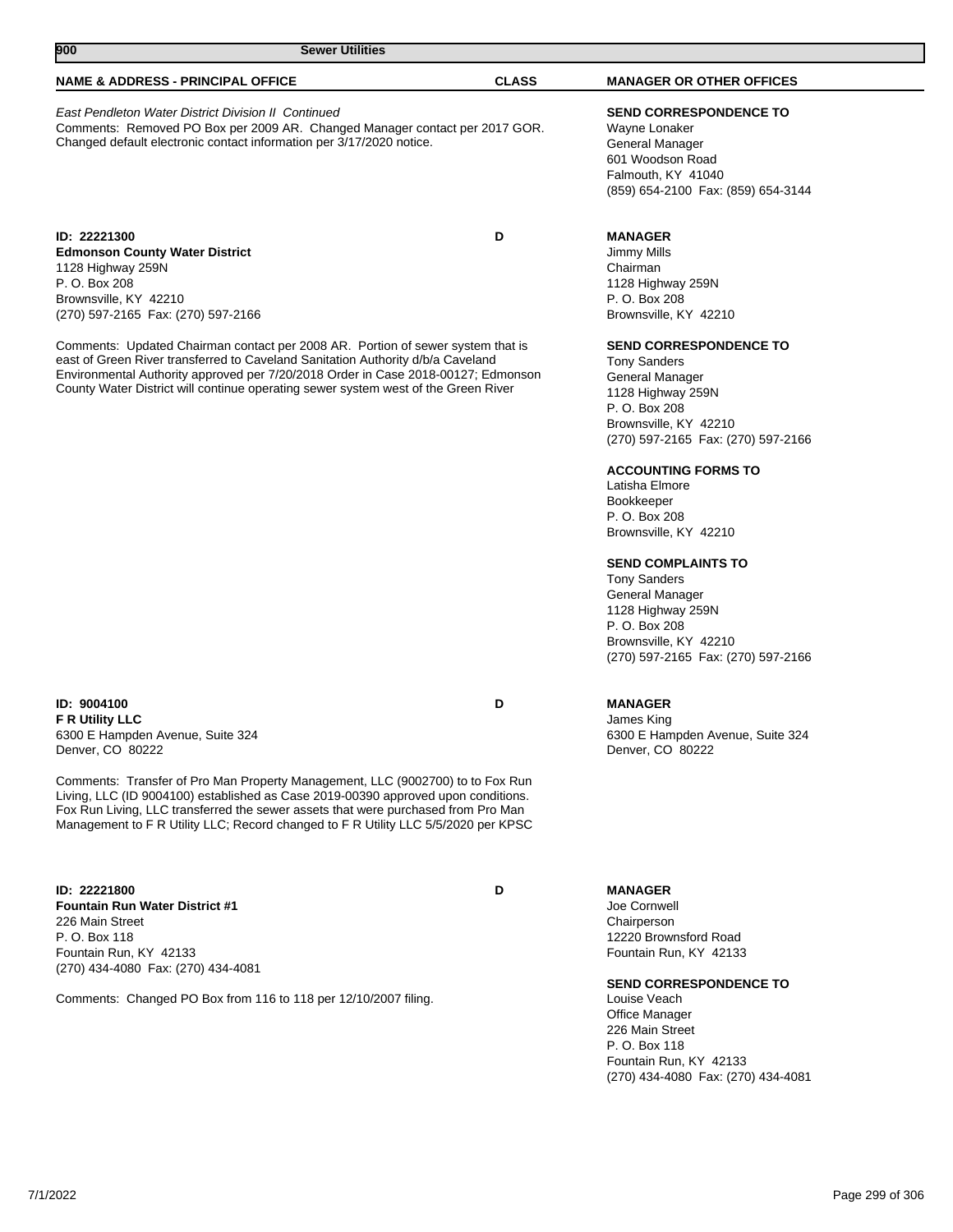| 900<br><b>Sewer Utilities</b>                                                                                                                                                                                     |              |                                                                                                                                                   |
|-------------------------------------------------------------------------------------------------------------------------------------------------------------------------------------------------------------------|--------------|---------------------------------------------------------------------------------------------------------------------------------------------------|
| <b>NAME &amp; ADDRESS - PRINCIPAL OFFICE</b>                                                                                                                                                                      | <b>CLASS</b> | <b>MANAGER OR OTHER OFFICES</b>                                                                                                                   |
| <b>East Pendleton Water District Division II Continued</b><br>Comments: Removed PO Box per 2009 AR. Changed Manager contact per 2017 GOR.<br>Changed default electronic contact information per 3/17/2020 notice. |              | <b>SEND CORRESPONDENCE TO</b><br>Wayne Lonaker<br>General Manager<br>601 Woodson Road<br>Falmouth, KY 41040<br>(859) 654-2100 Fax: (859) 654-3144 |
| ID: 22221300<br><b>Edmonson County Water District</b><br>1128 Highway 259N<br>P. O. Box 208<br>Brownsville, KY 42210<br>(270) 597-2165 Fax: (270) 597-2166                                                        | D            | <b>MANAGER</b><br>Jimmy Mills<br>Chairman<br>1128 Highway 259N<br>P. O. Box 208<br>Brownsville, KY 42210                                          |

**SEND CORRESPONDENCE TO**

Tony Sanders General Manager 1128 Highway 259N P. O. Box 208 Brownsville, KY 42210 (270) 597-2165 Fax: (270) 597-2166

# **ACCOUNTING FORMS TO**

Latisha Elmore Bookkeeper P. O. Box 208 Brownsville, KY 42210

# **SEND COMPLAINTS TO**

Tony Sanders General Manager 1128 Highway 259N P. O. Box 208 Brownsville, KY 42210 (270) 597-2165 Fax: (270) 597-2166

6300 E Hampden Avenue, Suite 324

James King

# **MANAGER**

Denver, CO 80222

Joe Cornwell Chairperson

**MANAGER**

12220 Brownsford Road Fountain Run, KY 42133

# **SEND CORRESPONDENCE TO**

Louise Veach Office Manager 226 Main Street P. O. Box 118 Fountain Run, KY 42133 (270) 434-4080 Fax: (270) 434-4081

**ID: 9004100 D F R Utility LLC** 6300 E Hampden Avenue, Suite 324 Denver, CO 80222

Comments: Transfer of Pro Man Property Management, LLC (9002700) to to Fox Run Living, LLC (ID 9004100) established as Case 2019-00390 approved upon conditions. Fox Run Living, LLC transferred the sewer assets that were purchased from Pro Man Management to F R Utility LLC; Record changed to F R Utility LLC 5/5/2020 per KPSC

**ID: 22221800 D Fountain Run Water District #1** 226 Main Street P. O. Box 118 Fountain Run, KY 42133 (270) 434-4080 Fax: (270) 434-4081

Comments: Changed PO Box from 116 to 118 per 12/10/2007 filing.

Comments: Updated Chairman contact per 2008 AR. Portion of sewer system that is east of Green River transferred to Caveland Sanitation Authority d/b/a Caveland Environmental Authority approved per 7/20/2018 Order in Case 2018-00127; Edmonson County Water District will continue operating sewer system west of the Green River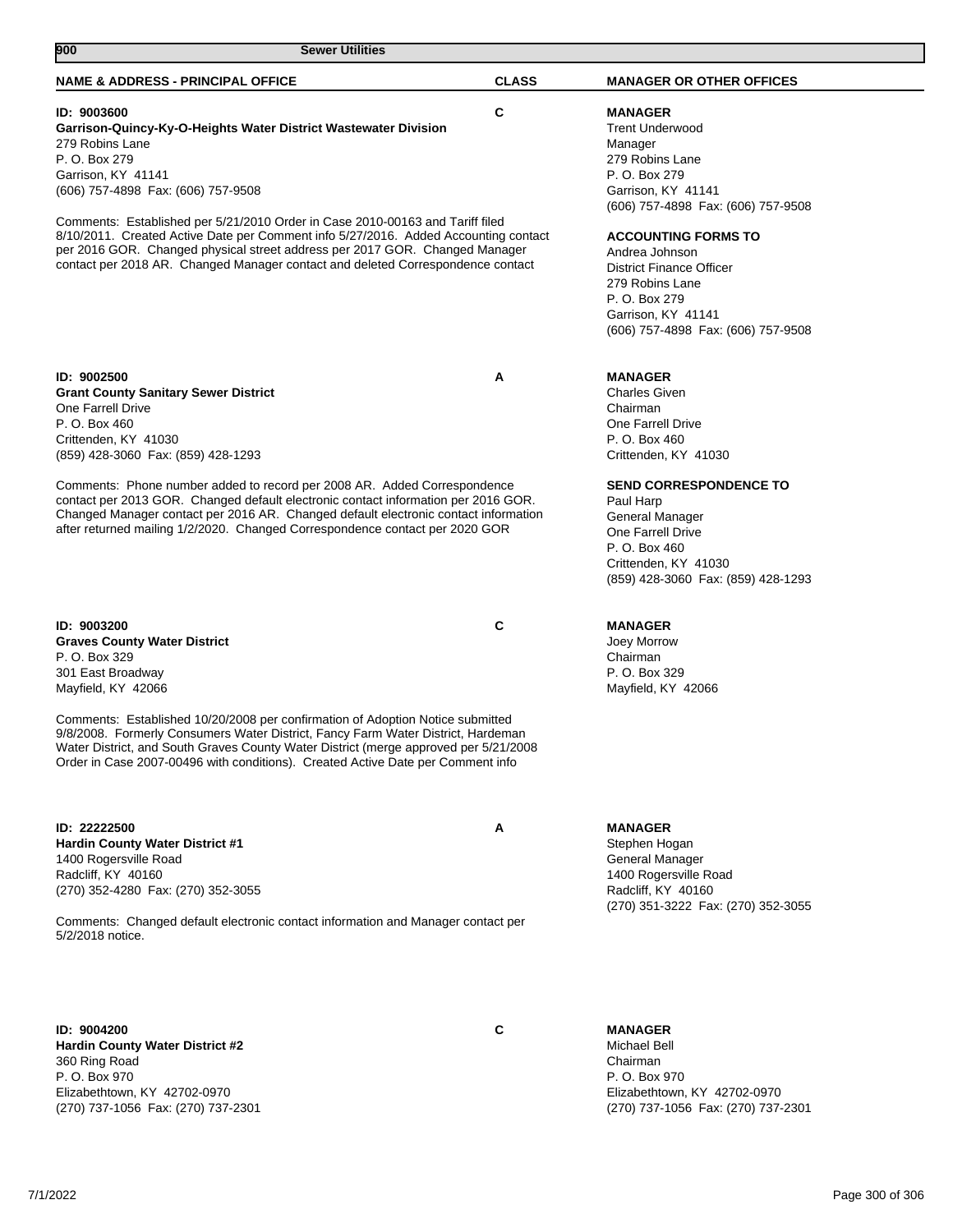| <b>NAME &amp; ADDRESS - PRINCIPAL OFFICE</b>                                                                                                                                                                                                                                                                                                  | <b>CLASS</b> | <b>MANAGER OR OTHER OFFICES</b>                                                                                                                                                                                       |
|-----------------------------------------------------------------------------------------------------------------------------------------------------------------------------------------------------------------------------------------------------------------------------------------------------------------------------------------------|--------------|-----------------------------------------------------------------------------------------------------------------------------------------------------------------------------------------------------------------------|
| ID: 9003600<br>Garrison-Quincy-Ky-O-Heights Water District Wastewater Division<br>279 Robins Lane<br>P. O. Box 279<br>Garrison, KY 41141<br>(606) 757-4898 Fax: (606) 757-9508                                                                                                                                                                | C            | <b>MANAGER</b><br><b>Trent Underwood</b><br>Manager<br>279 Robins Lane<br>P. O. Box 279<br>Garrison, KY 41141                                                                                                         |
| Comments: Established per 5/21/2010 Order in Case 2010-00163 and Tariff filed<br>8/10/2011. Created Active Date per Comment info 5/27/2016. Added Accounting contact<br>per 2016 GOR. Changed physical street address per 2017 GOR. Changed Manager<br>contact per 2018 AR. Changed Manager contact and deleted Correspondence contact        |              | (606) 757-4898 Fax: (606) 757-9508<br><b>ACCOUNTING FORMS TO</b><br>Andrea Johnson<br><b>District Finance Officer</b><br>279 Robins Lane<br>P. O. Box 279<br>Garrison, KY 41141<br>(606) 757-4898 Fax: (606) 757-9508 |
| ID: 9002500<br><b>Grant County Sanitary Sewer District</b><br>One Farrell Drive<br>P. O. Box 460<br>Crittenden, KY 41030<br>(859) 428-3060 Fax: (859) 428-1293<br>Comments: Phone number added to record per 2008 AR. Added Correspondence                                                                                                    | Α            | <b>MANAGER</b><br><b>Charles Given</b><br>Chairman<br>One Farrell Drive<br>P. O. Box 460<br>Crittenden, KY 41030<br><b>SEND CORRESPONDENCE TO</b>                                                                     |
| contact per 2013 GOR. Changed default electronic contact information per 2016 GOR.<br>Changed Manager contact per 2016 AR. Changed default electronic contact information<br>after returned mailing 1/2/2020. Changed Correspondence contact per 2020 GOR                                                                                     |              | Paul Harp<br>General Manager<br>One Farrell Drive<br>P. O. Box 460<br>Crittenden, KY 41030<br>(859) 428-3060 Fax: (859) 428-1293                                                                                      |
| ID: 9003200<br><b>Graves County Water District</b><br>P. O. Box 329<br>301 East Broadway<br>Mayfield, KY 42066                                                                                                                                                                                                                                | C            | <b>MANAGER</b><br>Joey Morrow<br>Chairman<br>P. O. Box 329<br>Mayfield, KY 42066                                                                                                                                      |
| Comments: Established 10/20/2008 per confirmation of Adoption Notice submitted<br>9/8/2008. Formerly Consumers Water District, Fancy Farm Water District, Hardeman<br>Water District, and South Graves County Water District (merge approved per 5/21/2008<br>Order in Case 2007-00496 with conditions). Created Active Date per Comment info |              |                                                                                                                                                                                                                       |
| ID: 22222500<br><b>Hardin County Water District #1</b><br>1400 Rogersville Road<br>Radcliff, KY 40160<br>(270) 352-4280 Fax: (270) 352-3055<br>Comments: Changed default electronic contact information and Manager contact per<br>5/2/2018 notice.                                                                                           | Α            | <b>MANAGER</b><br>Stephen Hogan<br>General Manager<br>1400 Rogersville Road<br>Radcliff, KY 40160<br>(270) 351-3222 Fax: (270) 352-3055                                                                               |
| ID: 9004200<br>Hardin County Water District #2                                                                                                                                                                                                                                                                                                | C            | <b>MANAGER</b><br>Michael Bell                                                                                                                                                                                        |

360 Ring Road P. O. Box 970 Elizabethtown, KY 42702-0970 (270) 737-1056 Fax: (270) 737-2301

**900 Sewer Utilities** 

Chairman P. O. Box 970 Elizabethtown, KY 42702-0970 (270) 737-1056 Fax: (270) 737-2301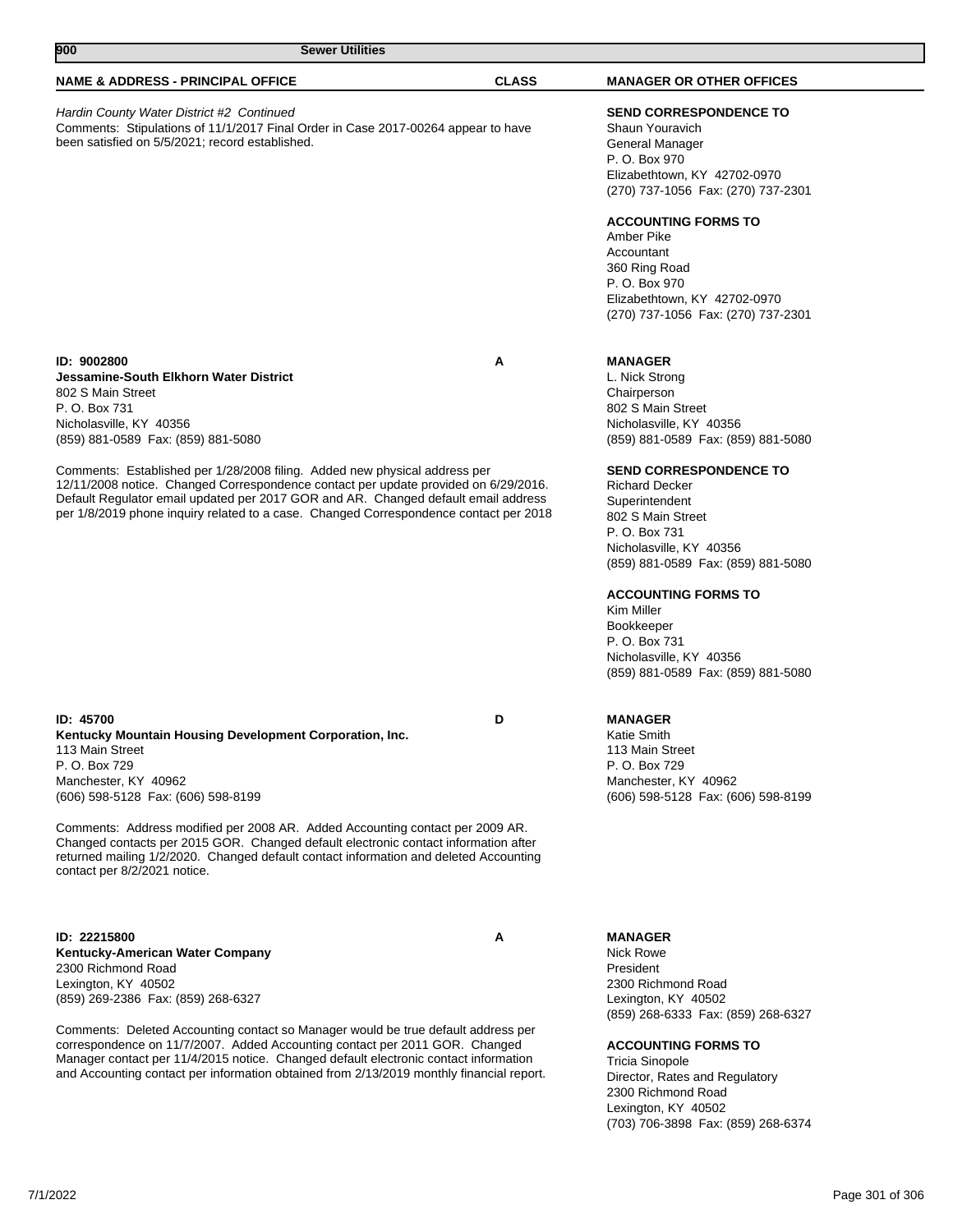| <b>Sewer Utilities</b><br>900                                                                                                                                                                                                                                                                                                                                                                                                                                                                                    |              |                                                                                                                                                                                                                                                                                                                                                                                                                                                                      |
|------------------------------------------------------------------------------------------------------------------------------------------------------------------------------------------------------------------------------------------------------------------------------------------------------------------------------------------------------------------------------------------------------------------------------------------------------------------------------------------------------------------|--------------|----------------------------------------------------------------------------------------------------------------------------------------------------------------------------------------------------------------------------------------------------------------------------------------------------------------------------------------------------------------------------------------------------------------------------------------------------------------------|
| <b>NAME &amp; ADDRESS - PRINCIPAL OFFICE</b>                                                                                                                                                                                                                                                                                                                                                                                                                                                                     | <b>CLASS</b> | <b>MANAGER OR OTHER OFFICES</b>                                                                                                                                                                                                                                                                                                                                                                                                                                      |
| Hardin County Water District #2 Continued<br>Comments: Stipulations of 11/1/2017 Final Order in Case 2017-00264 appear to have<br>been satisfied on 5/5/2021; record established.                                                                                                                                                                                                                                                                                                                                |              |                                                                                                                                                                                                                                                                                                                                                                                                                                                                      |
|                                                                                                                                                                                                                                                                                                                                                                                                                                                                                                                  |              | P. O. Box 970<br>Elizabethtown, KY 42702-0970<br>(270) 737-1056 Fax: (270) 737-2301                                                                                                                                                                                                                                                                                                                                                                                  |
| ID: 9002800<br>Jessamine-South Elkhorn Water District<br>802 S Main Street<br>P. O. Box 731<br>Nicholasville, KY 40356<br>(859) 881-0589 Fax: (859) 881-5080<br>Comments: Established per 1/28/2008 filing. Added new physical address per<br>12/11/2008 notice. Changed Correspondence contact per update provided on 6/29/2016.<br>Default Regulator email updated per 2017 GOR and AR. Changed default email address<br>per 1/8/2019 phone inquiry related to a case. Changed Correspondence contact per 2018 | A            | <b>MANAGER</b><br>L. Nick Strong<br>Chairperson<br>802 S Main Street<br>Nicholasville, KY 40356<br>(859) 881-0589 Fax: (859) 881-5080<br><b>SEND CORRESPONDENCE TO</b><br><b>Richard Decker</b><br>Superintendent<br>802 S Main Street<br>P. O. Box 731<br>Nicholasville, KY 40356<br>(859) 881-0589 Fax: (859) 881-5080<br><b>ACCOUNTING FORMS TO</b><br>Kim Miller<br>Bookkeeper<br>P. O. Box 731<br>Nicholasville, KY 40356<br>(859) 881-0589 Fax: (859) 881-5080 |
| ID: 45700<br>Kentucky Mountain Housing Development Corporation, Inc.<br>113 Main Street<br>P. O. Box 729<br>Manchester, KY 40962<br>(606) 598-5128 Fax: (606) 598-8199                                                                                                                                                                                                                                                                                                                                           | D            | <b>MANAGER</b><br>Katie Smith<br>113 Main Street<br>P. O. Box 729<br>Manchester, KY 40962<br>(606) 598-5128 Fax: (606) 598-8199                                                                                                                                                                                                                                                                                                                                      |
| Comments: Address modified per 2008 AR. Added Accounting contact per 2009 AR.<br>Changed contacts per 2015 GOR. Changed default electronic contact information after<br>returned mailing 1/2/2020. Changed default contact information and deleted Accounting<br>contact per 8/2/2021 notice.                                                                                                                                                                                                                    |              |                                                                                                                                                                                                                                                                                                                                                                                                                                                                      |

# **ID: 22215800 A Kentucky-American Water Company** 2300 Richmond Road Lexington, KY 40502 (859) 269-2386 Fax: (859) 268-6327

Comments: Deleted Accounting contact so Manager would be true default address per correspondence on 11/7/2007. Added Accounting contact per 2011 GOR. Changed Manager contact per 11/4/2015 notice. Changed default electronic contact information and Accounting contact per information obtained from 2/13/2019 monthly financial report.

# **MANAGER**

Nick Rowe President 2300 Richmond Road Lexington, KY 40502 (859) 268-6333 Fax: (859) 268-6327

# **ACCOUNTING FORMS TO**

Tricia Sinopole Director, Rates and Regulatory 2300 Richmond Road Lexington, KY 40502 (703) 706-3898 Fax: (859) 268-6374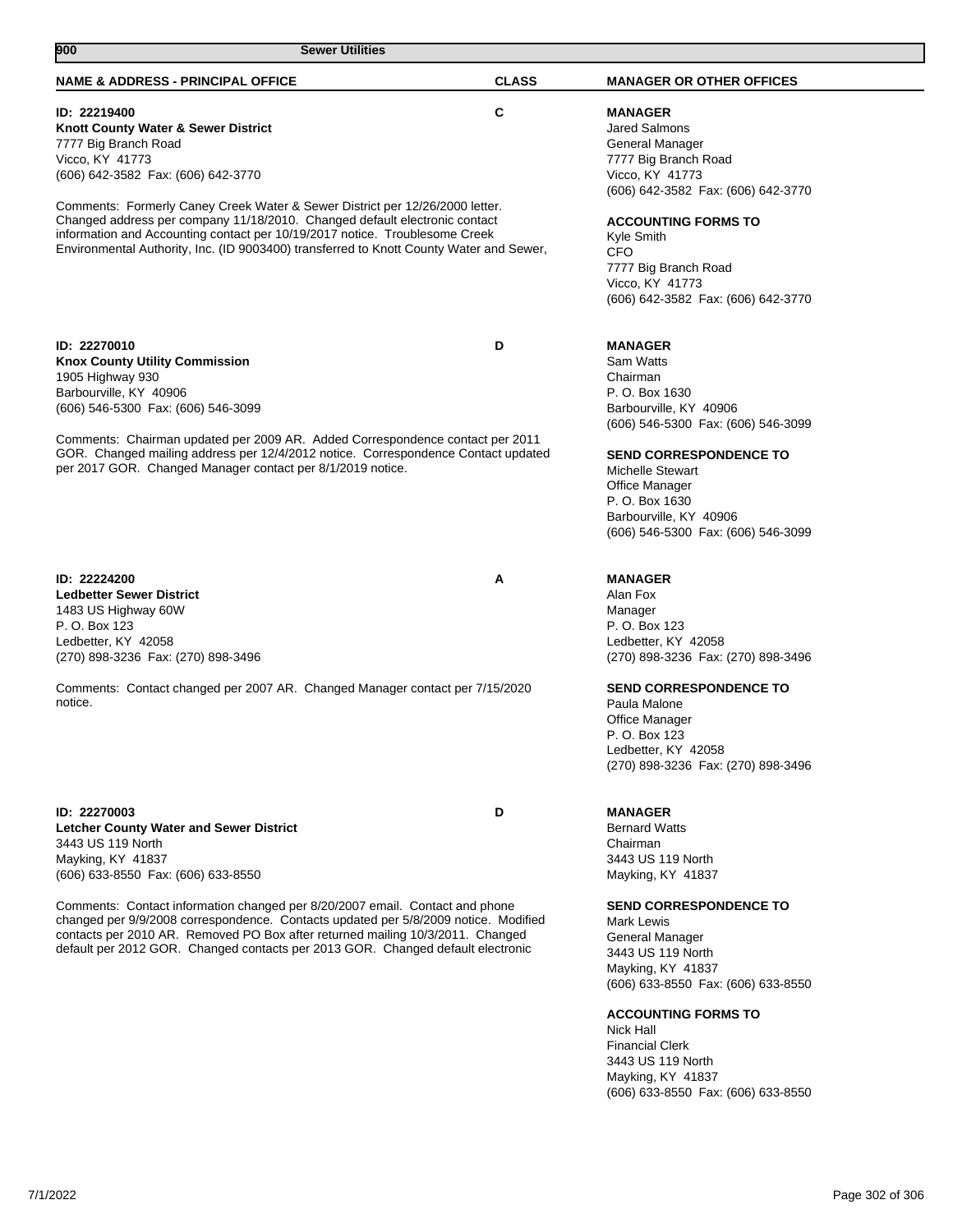| <b>Sewer Utilities</b><br>900                                                                                                                                                                                                                                                                                                                                                                                                                                                              |              |                                                                                                                                                                                                                                                                                                                                                                                                                                           |
|--------------------------------------------------------------------------------------------------------------------------------------------------------------------------------------------------------------------------------------------------------------------------------------------------------------------------------------------------------------------------------------------------------------------------------------------------------------------------------------------|--------------|-------------------------------------------------------------------------------------------------------------------------------------------------------------------------------------------------------------------------------------------------------------------------------------------------------------------------------------------------------------------------------------------------------------------------------------------|
| <b>NAME &amp; ADDRESS - PRINCIPAL OFFICE</b>                                                                                                                                                                                                                                                                                                                                                                                                                                               | <b>CLASS</b> | <b>MANAGER OR OTHER OFFICES</b>                                                                                                                                                                                                                                                                                                                                                                                                           |
| ID: 22219400<br>Knott County Water & Sewer District<br>7777 Big Branch Road<br>Vicco, KY 41773<br>(606) 642-3582 Fax: (606) 642-3770<br>Comments: Formerly Caney Creek Water & Sewer District per 12/26/2000 letter.<br>Changed address per company 11/18/2010. Changed default electronic contact<br>information and Accounting contact per 10/19/2017 notice. Troublesome Creek<br>Environmental Authority, Inc. (ID 9003400) transferred to Knott County Water and Sewer,               | C            | <b>MANAGER</b><br><b>Jared Salmons</b><br>General Manager<br>7777 Big Branch Road<br>Vicco, KY 41773<br>(606) 642-3582 Fax: (606) 642-3770<br><b>ACCOUNTING FORMS TO</b><br>Kyle Smith<br><b>CFO</b><br>7777 Big Branch Road<br>Vicco, KY 41773<br>(606) 642-3582 Fax: (606) 642-3770                                                                                                                                                     |
| ID: 22270010<br><b>Knox County Utility Commission</b><br>1905 Highway 930<br>Barbourville, KY 40906<br>(606) 546-5300 Fax: (606) 546-3099<br>Comments: Chairman updated per 2009 AR. Added Correspondence contact per 2011<br>GOR. Changed mailing address per 12/4/2012 notice. Correspondence Contact updated<br>per 2017 GOR. Changed Manager contact per 8/1/2019 notice.                                                                                                              | D            | <b>MANAGER</b><br>Sam Watts<br>Chairman<br>P. O. Box 1630<br>Barbourville, KY 40906<br>(606) 546-5300 Fax: (606) 546-3099<br><b>SEND CORRESPONDENCE TO</b><br><b>Michelle Stewart</b><br>Office Manager<br>P. O. Box 1630<br>Barbourville, KY 40906<br>(606) 546-5300 Fax: (606) 546-3099                                                                                                                                                 |
| ID: 22224200<br><b>Ledbetter Sewer District</b><br>1483 US Highway 60W<br>P. O. Box 123<br>Ledbetter, KY 42058<br>(270) 898-3236 Fax: (270) 898-3496<br>Comments: Contact changed per 2007 AR. Changed Manager contact per 7/15/2020<br>notice.                                                                                                                                                                                                                                            | A            | <b>MANAGER</b><br>Alan Fox<br>Manager<br>P. O. Box 123<br>Ledbetter, KY 42058<br>(270) 898-3236 Fax: (270) 898-3496<br><b>SEND CORRESPONDENCE TO</b><br>Paula Malone<br>Office Manager<br>P. O. Box 123<br>Ledbetter, KY 42058                                                                                                                                                                                                            |
| ID: 22270003<br><b>Letcher County Water and Sewer District</b><br>3443 US 119 North<br>Mayking, KY 41837<br>(606) 633-8550 Fax: (606) 633-8550<br>Comments: Contact information changed per 8/20/2007 email. Contact and phone<br>changed per 9/9/2008 correspondence. Contacts updated per 5/8/2009 notice. Modified<br>contacts per 2010 AR. Removed PO Box after returned mailing 10/3/2011. Changed<br>default per 2012 GOR. Changed contacts per 2013 GOR. Changed default electronic | D            | (270) 898-3236 Fax: (270) 898-3496<br><b>MANAGER</b><br><b>Bernard Watts</b><br>Chairman<br>3443 US 119 North<br>Mayking, KY 41837<br><b>SEND CORRESPONDENCE TO</b><br>Mark Lewis<br>General Manager<br>3443 US 119 North<br>Mayking, KY 41837<br>(606) 633-8550 Fax: (606) 633-8550<br><b>ACCOUNTING FORMS TO</b><br>Nick Hall<br><b>Financial Clerk</b><br>3443 US 119 North<br>Mayking, KY 41837<br>(606) 633-8550 Fax: (606) 633-8550 |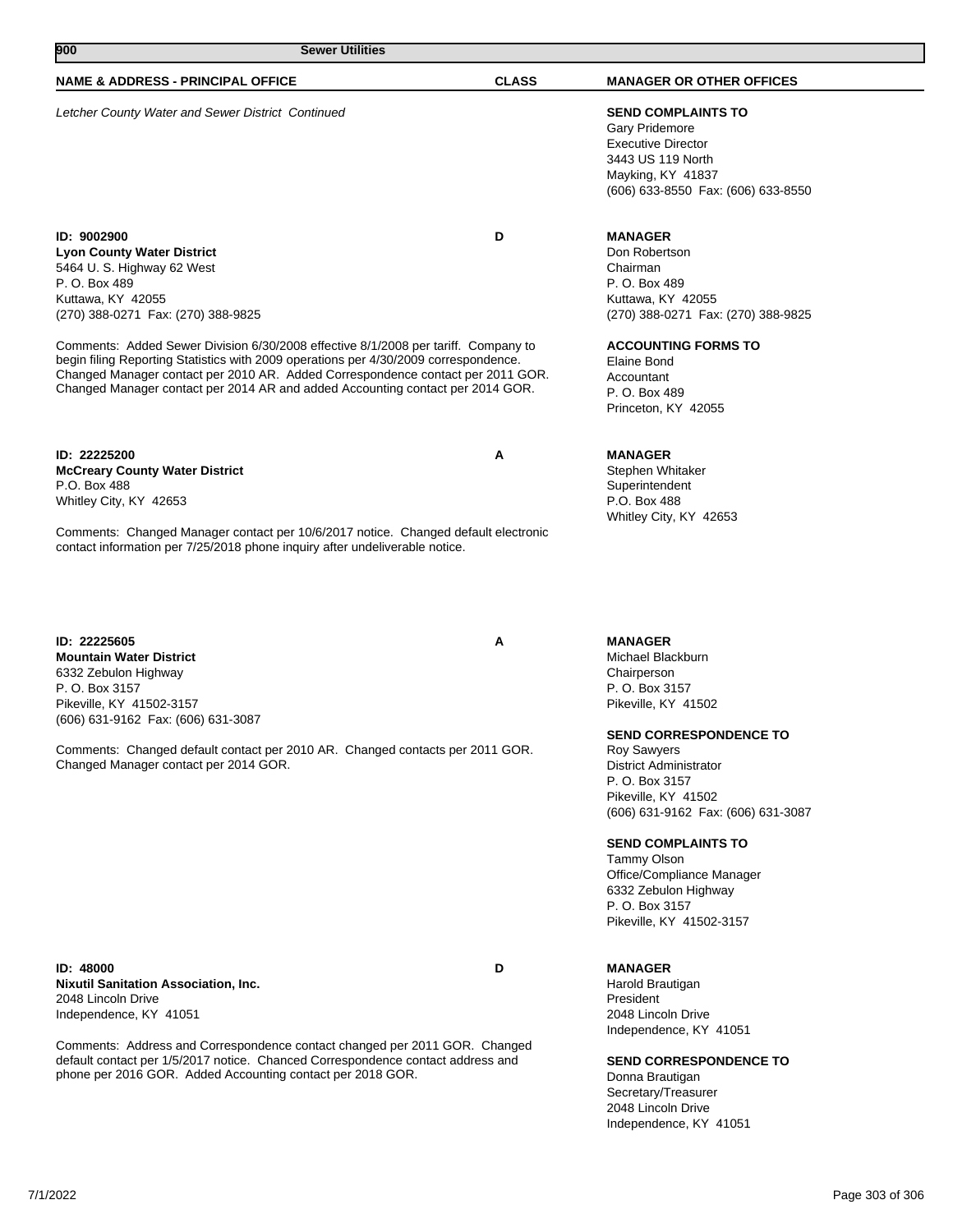# **900 Sewer Utilities**

### **NAME & ADDRESS - PRINCIPAL OFFICE CLASS MANAGER OR OTHER OFFICES**

Letcher County Water and Sewer District Continued **SEND COMPLAINTS TO**

**ID: 9002900 D Lyon County Water District** 5464 U. S. Highway 62 West P. O. Box 489 Kuttawa, KY 42055 (270) 388-0271 Fax: (270) 388-9825

Comments: Added Sewer Division 6/30/2008 effective 8/1/2008 per tariff. Company to begin filing Reporting Statistics with 2009 operations per 4/30/2009 correspondence. Changed Manager contact per 2010 AR. Added Correspondence contact per 2011 GOR. Changed Manager contact per 2014 AR and added Accounting contact per 2014 GOR.

**ID: 22225200 A McCreary County Water District** P.O. Box 488 Whitley City, KY 42653

Comments: Changed Manager contact per 10/6/2017 notice. Changed default electronic contact information per 7/25/2018 phone inquiry after undeliverable notice.

**ID: 22225605 A Mountain Water District** 6332 Zebulon Highway P. O. Box 3157 Pikeville, KY 41502-3157 (606) 631-9162 Fax: (606) 631-3087

Comments: Changed default contact per 2010 AR. Changed contacts per 2011 GOR. Changed Manager contact per 2014 GOR.

**ID: 48000 D Nixutil Sanitation Association, Inc.** 2048 Lincoln Drive Independence, KY 41051

Comments: Address and Correspondence contact changed per 2011 GOR. Changed default contact per 1/5/2017 notice. Chanced Correspondence contact address and phone per 2016 GOR. Added Accounting contact per 2018 GOR.

Gary Pridemore Executive Director 3443 US 119 North Mayking, KY 41837 (606) 633-8550 Fax: (606) 633-8550

### **MANAGER**

Don Robertson Chairman P. O. Box 489 Kuttawa, KY 42055 (270) 388-0271 Fax: (270) 388-9825

#### **ACCOUNTING FORMS TO**

Elaine Bond Accountant P. O. Box 489 Princeton, KY 42055

# **MANAGER**

Stephen Whitaker **Superintendent** P.O. Box 488 Whitley City, KY 42653

#### **MANAGER**

Michael Blackburn Chairperson P. O. Box 3157 Pikeville, KY 41502

# **SEND CORRESPONDENCE TO**

Roy Sawyers District Administrator P. O. Box 3157 Pikeville, KY 41502 (606) 631-9162 Fax: (606) 631-3087

#### **SEND COMPLAINTS TO**

Tammy Olson Office/Compliance Manager 6332 Zebulon Highway P. O. Box 3157 Pikeville, KY 41502-3157

#### **MANAGER**

Harold Brautigan President 2048 Lincoln Drive Independence, KY 41051

**SEND CORRESPONDENCE TO** Donna Brautigan

Secretary/Treasurer 2048 Lincoln Drive Independence, KY 41051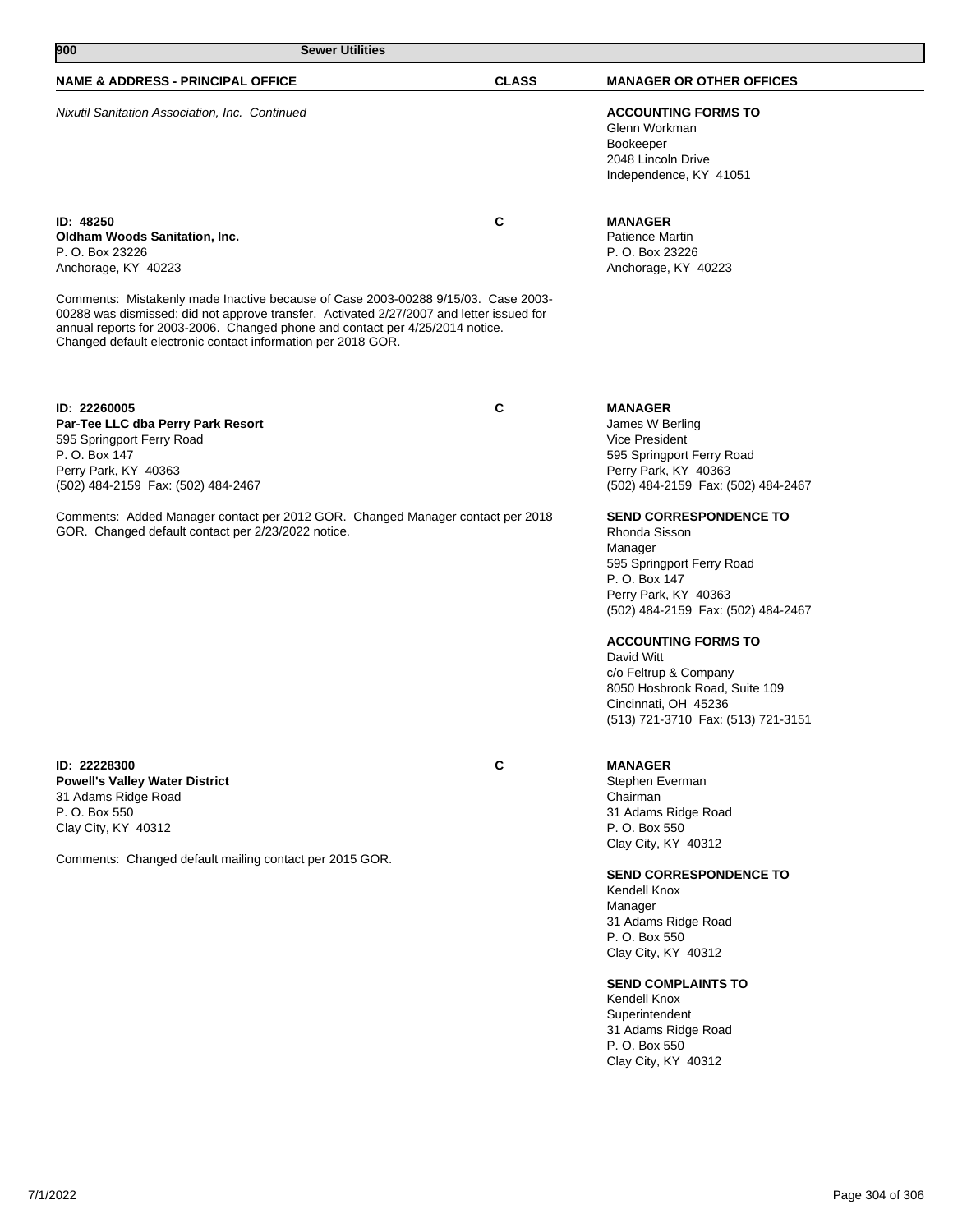| 900<br><b>Sewer Utilities</b>                                                                                                                                                                                                                                                                                                  |              |                                                                                                                                                |  |
|--------------------------------------------------------------------------------------------------------------------------------------------------------------------------------------------------------------------------------------------------------------------------------------------------------------------------------|--------------|------------------------------------------------------------------------------------------------------------------------------------------------|--|
| <b>NAME &amp; ADDRESS - PRINCIPAL OFFICE</b>                                                                                                                                                                                                                                                                                   | <b>CLASS</b> | <b>MANAGER OR OTHER OFFICES</b>                                                                                                                |  |
| Nixutil Sanitation Association, Inc. Continued                                                                                                                                                                                                                                                                                 |              | <b>ACCOUNTING FORMS TO</b><br>Glenn Workman<br>Bookeeper<br>2048 Lincoln Drive<br>Independence, KY 41051                                       |  |
| ID: 48250<br><b>Oldham Woods Sanitation, Inc.</b><br>P. O. Box 23226<br>Anchorage, KY 40223                                                                                                                                                                                                                                    | C            | <b>MANAGER</b><br>Patience Martin<br>P. O. Box 23226<br>Anchorage, KY 40223                                                                    |  |
| Comments: Mistakenly made Inactive because of Case 2003-00288 9/15/03. Case 2003-<br>00288 was dismissed; did not approve transfer. Activated 2/27/2007 and letter issued for<br>annual reports for 2003-2006. Changed phone and contact per 4/25/2014 notice.<br>Changed default electronic contact information per 2018 GOR. |              |                                                                                                                                                |  |
| ID: 22260005<br>Par-Tee LLC dba Perry Park Resort<br>595 Springport Ferry Road<br>P. O. Box 147<br>Perry Park, KY 40363<br>(502) 484-2159 Fax: (502) 484-2467                                                                                                                                                                  | C            | <b>MANAGER</b><br>James W Berling<br>Vice President<br>595 Springport Ferry Road<br>Perry Park, KY 40363<br>(502) 484-2159 Fax: (502) 484-2467 |  |

Comments: Added Manager contact per 2012 GOR. Changed Manager contact per 2018 GOR. Changed default contact per 2/23/2022 notice.

**ID: 22228300 C Powell's Valley Water District** 31 Adams Ridge Road P. O. Box 550 Clay City, KY 40312

Comments: Changed default mailing contact per 2015 GOR.

# **MANAGER**

David Witt

Stephen Everman Chairman 31 Adams Ridge Road P. O. Box 550 Clay City, KY 40312

**SEND CORRESPONDENCE TO**

**SEND CORRESPONDENCE TO**

(502) 484-2159 Fax: (502) 484-2467

(513) 721-3710 Fax: (513) 721-3151

595 Springport Ferry Road

**ACCOUNTING FORMS TO**

c/o Feltrup & Company 8050 Hosbrook Road, Suite 109

Cincinnati, OH 45236

Rhonda Sisson Manager

P. O. Box 147 Perry Park, KY 40363

Kendell Knox Manager 31 Adams Ridge Road P. O. Box 550 Clay City, KY 40312

# **SEND COMPLAINTS TO**

Kendell Knox Superintendent 31 Adams Ridge Road P. O. Box 550 Clay City, KY 40312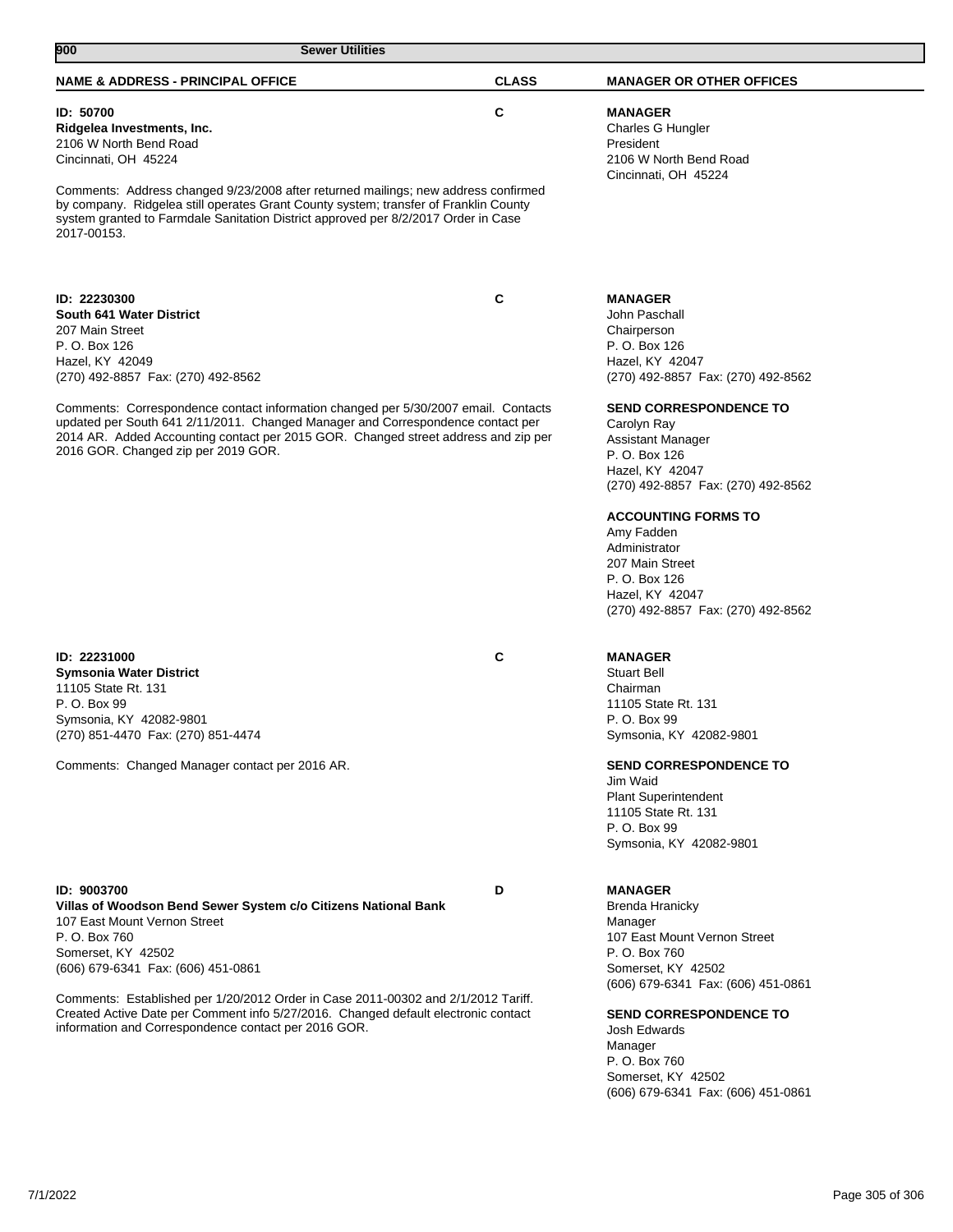| 900<br><b>Sewer Utilities</b>                                                                                                                                                             |              |                                                                                                    |
|-------------------------------------------------------------------------------------------------------------------------------------------------------------------------------------------|--------------|----------------------------------------------------------------------------------------------------|
| <b>NAME &amp; ADDRESS - PRINCIPAL OFFICE</b>                                                                                                                                              | <b>CLASS</b> | <b>MANAGER OR OTHER OFFICES</b>                                                                    |
| ID: 50700<br>Ridgelea Investments, Inc.<br>2106 W North Bend Road<br>Cincinnati, OH 45224<br>Comments: Address changed 9/23/2008 after returned mailings; new address confirmed           | C            | <b>MANAGER</b><br>Charles G Hungler<br>President<br>2106 W North Bend Road<br>Cincinnati, OH 45224 |
| by company. Ridgelea still operates Grant County system; transfer of Franklin County<br>system granted to Farmdale Sanitation District approved per 8/2/2017 Order in Case<br>2017-00153. |              |                                                                                                    |
| ID: 22230300<br>South 641 Water District                                                                                                                                                  | C            | <b>MANAGER</b><br>John Paschall                                                                    |
| 207 Main Street                                                                                                                                                                           |              | Chairperson                                                                                        |
| P. O. Box 126                                                                                                                                                                             |              | P. O. Box 126                                                                                      |
| Hazel, KY 42049<br>(270) 492-8857 Fax: (270) 492-8562                                                                                                                                     |              | Hazel, KY 42047<br>(270) 492-8857 Fax: (270) 492-8562                                              |
| Comments: Correspondence contact information changed per 5/30/2007 email. Contacts<br>updated per South 641 2/11/2011. Changed Manager and Correspondence contact per                     |              | <b>SEND CORRESPONDENCE TO</b><br>Carolyn Ray                                                       |
| 2014 AR. Added Accounting contact per 2015 GOR. Changed street address and zip per                                                                                                        |              | Assistant Manager                                                                                  |
| 2016 GOR. Changed zip per 2019 GOR.                                                                                                                                                       |              | P. O. Box 126                                                                                      |
|                                                                                                                                                                                           |              | Hazel, KY 42047<br>(270) 492-8857 Fax: (270) 492-8562                                              |
|                                                                                                                                                                                           |              | <b>ACCOUNTING FORMS TO</b>                                                                         |
|                                                                                                                                                                                           |              | Amy Fadden<br>Administrator                                                                        |
|                                                                                                                                                                                           |              | 207 Main Street                                                                                    |
|                                                                                                                                                                                           |              | P. O. Box 126                                                                                      |
|                                                                                                                                                                                           |              | Hazel, KY 42047<br>(270) 492-8857 Fax: (270) 492-8562                                              |
|                                                                                                                                                                                           |              |                                                                                                    |
| ID: 22231000<br><b>Symsonia Water District</b>                                                                                                                                            | C            | <b>MANAGER</b><br><b>Stuart Bell</b>                                                               |
| 11105 State Rt. 131                                                                                                                                                                       |              | Chairman                                                                                           |
| P. O. Box 99                                                                                                                                                                              |              | 11105 State Rt. 131                                                                                |
| Symsonia, KY 42082-9801<br>(270) 851-4470 Fax: (270) 851-4474                                                                                                                             |              | P. O. Box 99<br>Symsonia, KY 42082-9801                                                            |
| Comments: Changed Manager contact per 2016 AR.                                                                                                                                            |              | <b>SEND CORRESPONDENCE TO</b>                                                                      |
|                                                                                                                                                                                           |              | Jim Waid                                                                                           |
|                                                                                                                                                                                           |              | <b>Plant Superintendent</b><br>11105 State Rt. 131                                                 |
|                                                                                                                                                                                           |              | P. O. Box 99                                                                                       |
|                                                                                                                                                                                           |              | Symsonia, KY 42082-9801                                                                            |
| ID: 9003700                                                                                                                                                                               | D            | <b>MANAGER</b>                                                                                     |
| Villas of Woodson Bend Sewer System c/o Citizens National Bank                                                                                                                            |              | Brenda Hranicky                                                                                    |
| 107 East Mount Vernon Street<br>P. O. Box 760                                                                                                                                             |              | Manager<br>107 East Mount Vernon Street                                                            |
| Somerset, KY 42502                                                                                                                                                                        |              | P. O. Box 760                                                                                      |
| (606) 679-6341 Fax: (606) 451-0861                                                                                                                                                        |              | Somerset, KY 42502                                                                                 |
| Comments: Established per 1/20/2012 Order in Case 2011-00302 and 2/1/2012 Tariff.                                                                                                         |              | (606) 679-6341 Fax: (606) 451-0861                                                                 |
| Created Active Date per Comment info 5/27/2016. Changed default electronic contact                                                                                                        |              | <b>SEND CORRESPONDENCE TO</b>                                                                      |
| information and Correspondence contact per 2016 GOR.                                                                                                                                      |              | Josh Edwards<br>Manager                                                                            |
|                                                                                                                                                                                           |              | P. O. Box 760                                                                                      |
|                                                                                                                                                                                           |              | Somerset, KY 42502                                                                                 |
|                                                                                                                                                                                           |              | (606) 679-6341 Fax: (606) 451-0861                                                                 |
|                                                                                                                                                                                           |              |                                                                                                    |
|                                                                                                                                                                                           |              |                                                                                                    |